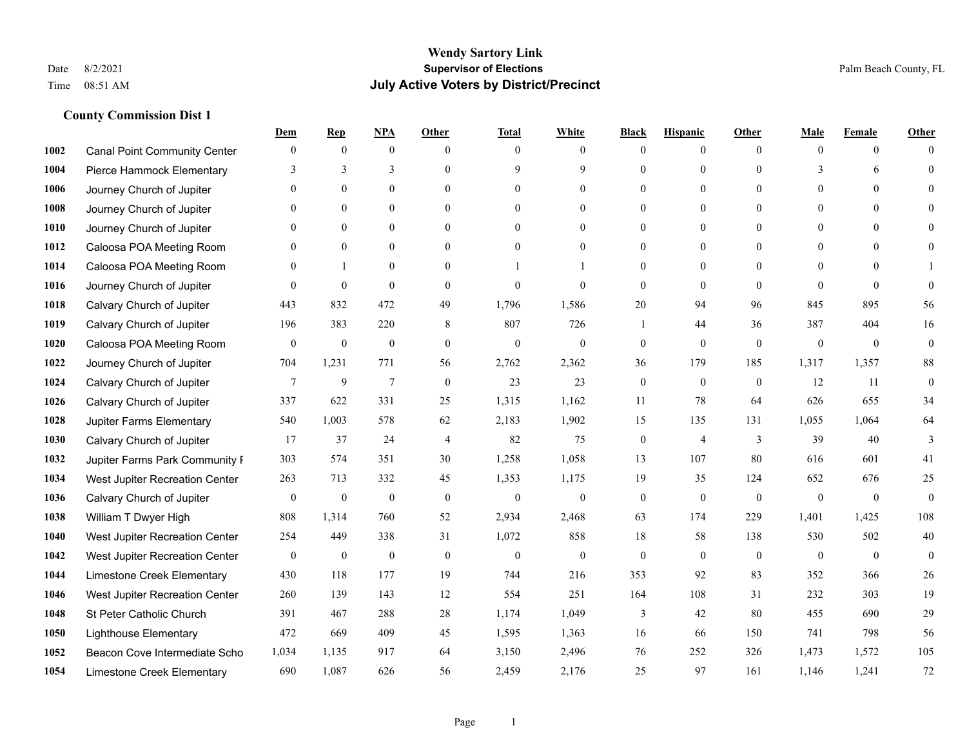|      |                                     | Dem              | <b>Rep</b>       | NPA              | <b>Other</b>   | <b>Total</b>     | <b>White</b>     | <b>Black</b>     | <b>Hispanic</b> | <b>Other</b>   | <b>Male</b>  | <b>Female</b>  | <b>Other</b>     |
|------|-------------------------------------|------------------|------------------|------------------|----------------|------------------|------------------|------------------|-----------------|----------------|--------------|----------------|------------------|
| 1002 | <b>Canal Point Community Center</b> | $\mathbf{0}$     | $\mathbf{0}$     | $\boldsymbol{0}$ | $\theta$       | $\Omega$         | $\overline{0}$   | $\mathbf{0}$     | $\mathbf{0}$    | $\theta$       | $\mathbf{0}$ | $\mathbf{0}$   | $\Omega$         |
| 1004 | Pierce Hammock Elementary           | 3                | 3                | 3                | $\theta$       | 9                | 9                | $\theta$         | $\mathbf{0}$    | $\Omega$       | 3            | 6              | $\theta$         |
| 1006 | Journey Church of Jupiter           | $\Omega$         | $\theta$         | $\theta$         | $\Omega$       | $\Omega$         | $\Omega$         | $\Omega$         | $\theta$        | $\Omega$       | $\Omega$     | $\Omega$       | $\Omega$         |
| 1008 | Journey Church of Jupiter           | $\mathbf{0}$     | $\mathbf{0}$     | $\mathbf{0}$     | $\mathbf{0}$   | $\theta$         | $\overline{0}$   | $\overline{0}$   | $\mathbf{0}$    | $\Omega$       | $\mathbf{0}$ | $\mathbf{0}$   |                  |
| 1010 | Journey Church of Jupiter           | $\Omega$         | $\theta$         | $\mathbf{0}$     | $\theta$       | $\Omega$         | $\overline{0}$   | $\theta$         | $\mathbf{0}$    | $\theta$       | $\theta$     | $\theta$       | $\theta$         |
| 1012 | Caloosa POA Meeting Room            | $\Omega$         | $\mathbf{0}$     | $\mathbf{0}$     | $\theta$       | $\theta$         | $\mathbf{0}$     | $\theta$         | $\mathbf{0}$    | $\Omega$       | $\mathbf{0}$ | $\theta$       | $\Omega$         |
| 1014 | Caloosa POA Meeting Room            | $\mathbf{0}$     | $\mathbf{1}$     | $\mathbf{0}$     | $\mathbf{0}$   |                  |                  | $\mathbf{0}$     | $\mathbf{0}$    | $\Omega$       | $\mathbf{0}$ | $\theta$       |                  |
| 1016 | Journey Church of Jupiter           | $\Omega$         | $\mathbf{0}$     | $\theta$         | $\theta$       | $\theta$         | $\theta$         | $\theta$         | $\theta$        | $\Omega$       | $\Omega$     | $\Omega$       | $\theta$         |
| 1018 | Calvary Church of Jupiter           | 443              | 832              | 472              | 49             | 1,796            | 1,586            | 20               | 94              | 96             | 845          | 895            | 56               |
| 1019 | Calvary Church of Jupiter           | 196              | 383              | 220              | 8              | 807              | 726              | 1                | 44              | 36             | 387          | 404            | 16               |
| 1020 | Caloosa POA Meeting Room            | $\overline{0}$   | $\boldsymbol{0}$ | $\boldsymbol{0}$ | $\theta$       | $\mathbf{0}$     | $\mathbf{0}$     | $\boldsymbol{0}$ | $\mathbf{0}$    | $\theta$       | $\mathbf{0}$ | $\overline{0}$ | $\boldsymbol{0}$ |
| 1022 | Journey Church of Jupiter           | 704              | 1,231            | 771              | 56             | 2,762            | 2,362            | 36               | 179             | 185            | 1,317        | 1,357          | $88\,$           |
| 1024 | Calvary Church of Jupiter           | 7                | 9                | $\overline{7}$   | $\theta$       | 23               | 23               | $\mathbf{0}$     | $\mathbf{0}$    | $\theta$       | 12           | 11             | $\boldsymbol{0}$ |
| 1026 | Calvary Church of Jupiter           | 337              | 622              | 331              | 25             | 1,315            | 1,162            | 11               | 78              | 64             | 626          | 655            | 34               |
| 1028 | Jupiter Farms Elementary            | 540              | 1,003            | 578              | 62             | 2,183            | 1,902            | 15               | 135             | 131            | 1,055        | 1,064          | 64               |
| 1030 | Calvary Church of Jupiter           | 17               | 37               | 24               | $\overline{4}$ | 82               | 75               | $\boldsymbol{0}$ | $\overline{4}$  | 3              | 39           | 40             | 3                |
| 1032 | Jupiter Farms Park Community F      | 303              | 574              | 351              | 30             | 1,258            | 1,058            | 13               | 107             | 80             | 616          | 601            | 41               |
| 1034 | West Jupiter Recreation Center      | 263              | 713              | 332              | 45             | 1,353            | 1,175            | 19               | 35              | 124            | 652          | 676            | 25               |
| 1036 | Calvary Church of Jupiter           | $\mathbf{0}$     | $\boldsymbol{0}$ | $\boldsymbol{0}$ | $\mathbf{0}$   | $\boldsymbol{0}$ | $\boldsymbol{0}$ | $\boldsymbol{0}$ | $\mathbf{0}$    | $\mathbf{0}$   | $\mathbf{0}$ | $\mathbf{0}$   | $\boldsymbol{0}$ |
| 1038 | William T Dwyer High                | 808              | 1,314            | 760              | 52             | 2,934            | 2,468            | 63               | 174             | 229            | 1,401        | 1,425          | 108              |
| 1040 | West Jupiter Recreation Center      | 254              | 449              | 338              | 31             | 1,072            | 858              | 18               | 58              | 138            | 530          | 502            | 40               |
| 1042 | West Jupiter Recreation Center      | $\boldsymbol{0}$ | $\boldsymbol{0}$ | $\boldsymbol{0}$ | $\mathbf{0}$   | $\boldsymbol{0}$ | $\boldsymbol{0}$ | $\boldsymbol{0}$ | $\mathbf{0}$    | $\overline{0}$ | $\mathbf{0}$ | $\overline{0}$ | $\mathbf{0}$     |
| 1044 | Limestone Creek Elementary          | 430              | 118              | 177              | 19             | 744              | 216              | 353              | 92              | 83             | 352          | 366            | $26\,$           |
| 1046 | West Jupiter Recreation Center      | 260              | 139              | 143              | 12             | 554              | 251              | 164              | 108             | 31             | 232          | 303            | 19               |
| 1048 | St Peter Catholic Church            | 391              | 467              | 288              | $28\,$         | 1,174            | 1,049            | 3                | $42\,$          | 80             | 455          | 690            | $29\,$           |
| 1050 | <b>Lighthouse Elementary</b>        | 472              | 669              | 409              | 45             | 1,595            | 1,363            | 16               | 66              | 150            | 741          | 798            | 56               |
| 1052 | Beacon Cove Intermediate Scho       | 1,034            | 1,135            | 917              | 64             | 3,150            | 2,496            | 76               | 252             | 326            | 1,473        | 1,572          | 105              |
| 1054 | Limestone Creek Elementary          | 690              | 1,087            | 626              | 56             | 2,459            | 2,176            | 25               | 97              | 161            | 1,146        | 1,241          | 72               |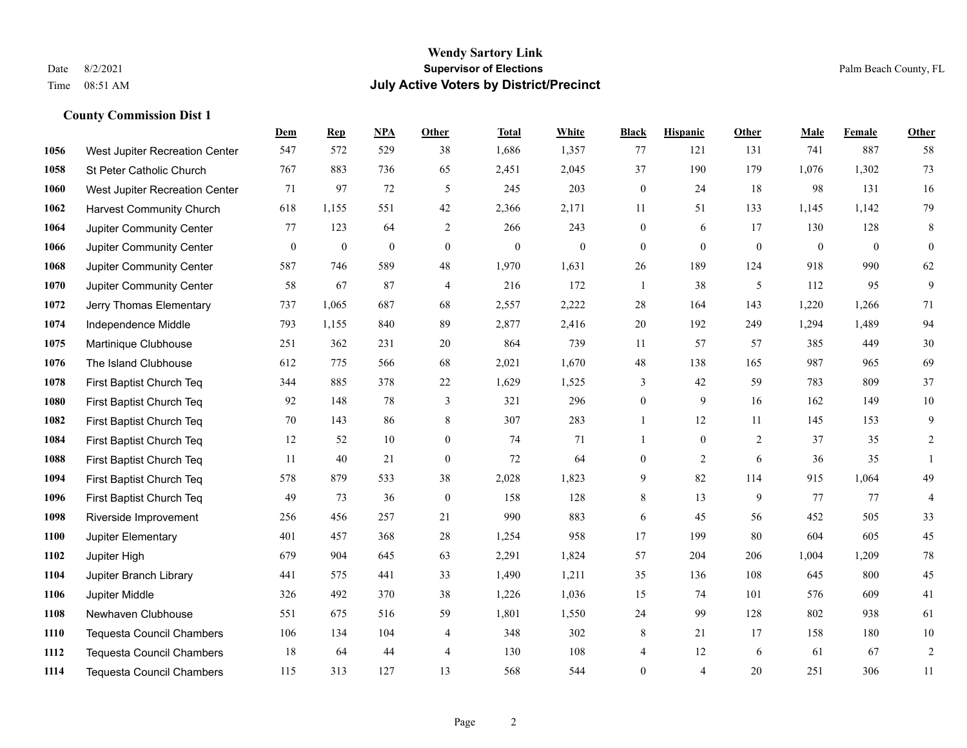#### **Wendy Sartory Link** Date 8/2/2021 **Supervisor of Elections** Palm Beach County, FL Time 08:51 AM **July Active Voters by District/Precinct**

**Dem Rep NPA Other Total White Black Hispanic Other Male Female Other**

# West Jupiter Recreation Center 547 572 529 38 1,686 1,357 77 121 131 741 887 58 St Peter Catholic Church 767 883 736 65 2,451 2,045 37 190 179 1,076 1,302 73 West Jupiter Recreation Center  $\begin{array}{cccc} 71 & 97 & 72 & 5 & 245 & 203 & 0 & 24 & 18 & 98 & 131 & 16 \end{array}$  Harvest Community Church 618 1,155 551 42 2,366 2,171 11 51 133 1,145 1,142 79 Jupiter Community Center 77 123 64 2 266 243 0 6 17 130 128 8 Jupiter Community Center 0 0 0 0 0 0 0 0 0 0 0 0 Jupiter Community Center 587 746 589 48 1,970 1,631 26 189 124 918 990 62 Jupiter Community Center 58 67 87 4 216 172 1 38 5 112 95 9 Jerry Thomas Elementary 737 1,065 687 68 2,557 2,222 28 164 143 1,220 1,266 71 Independence Middle 793 1,155 840 89 2,877 2,416 20 192 249 1,294 1,489 94 Martinique Clubhouse 251 362 231 20 864 739 11 57 57 385 449 30 The Island Clubhouse 612 775 566 68 2,021 1,670 48 138 165 987 965 69 First Baptist Church Teq 344 885 378 22 1,629 1,525 3 42 59 783 809 37 First Baptist Church Teq 92 148 78 3 321 296 0 9 16 162 149 10 First Baptist Church Teq **70** 143 86 8 307 283 1 1 12 11 145 153 9 First Baptist Church Teq 12 52 10 0 74 71 1 0 2 37 35 2 First Baptist Church Teq 11 40 21 0 72 64 0 2 6 36 35 1 First Baptist Church Teq 578 879 533 38 2,028 1,823 9 82 114 915 1,064 49 First Baptist Church Teq 49 73 36 0 158 128 8 13 9 77 77 4 Riverside Improvement 256 456 257 21 990 883 6 45 56 452 505 33 Jupiter Elementary 401 457 368 28 1,254 958 17 199 80 604 605 45 Jupiter High 679 904 645 63 2,291 1,824 57 204 206 1,004 1,209 78 Jupiter Branch Library 441 575 441 33 1,490 1,211 35 136 108 645 800 45 Jupiter Middle 326 492 370 38 1,226 1,036 15 74 101 576 609 41 Newhaven Clubhouse 551 675 516 59 1,801 1,550 24 99 128 802 938 61

 Tequesta Council Chambers 106 134 104 4 348 302 8 21 17 158 180 10 Tequesta Council Chambers 18 64 44 4 130 108 4 12 6 61 67 2 Tequesta Council Chambers 115 313 127 13 568 544 0 4 20 251 306 11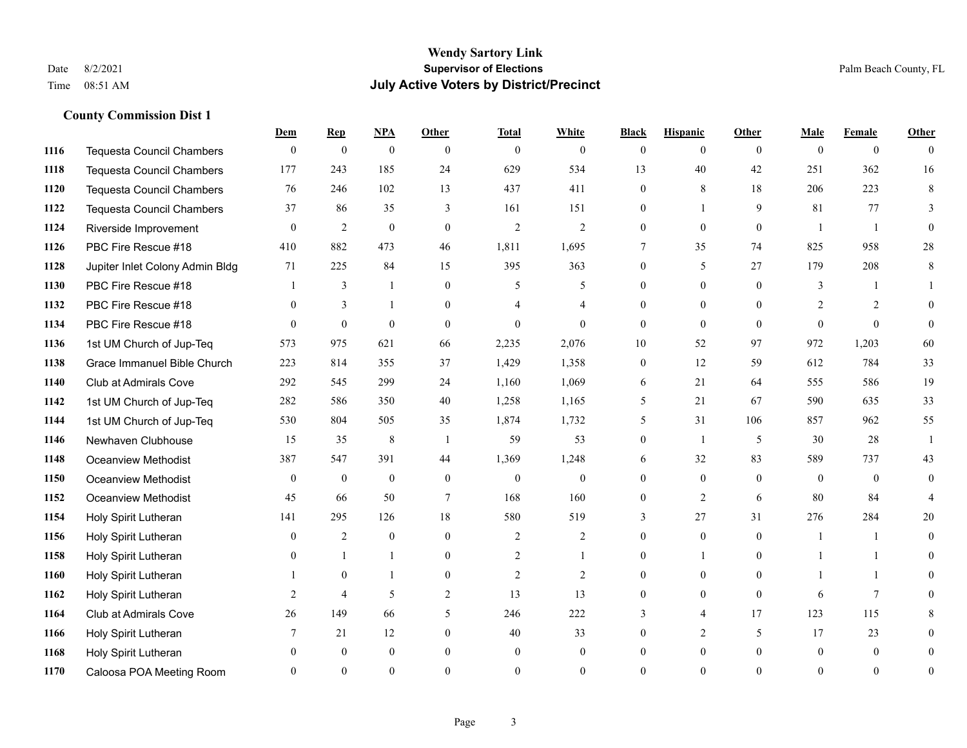#### **Wendy Sartory Link** Date 8/2/2021 **Supervisor of Elections** Palm Beach County, FL Time 08:51 AM **July Active Voters by District/Precinct**

|      |                                  | Dem          | <b>Rep</b>       | NPA              | <b>Other</b>     | <b>Total</b>   | <b>White</b>   | <b>Black</b>   | <b>Hispanic</b> | Other          | <b>Male</b>  | <b>Female</b>  | <b>Other</b>   |
|------|----------------------------------|--------------|------------------|------------------|------------------|----------------|----------------|----------------|-----------------|----------------|--------------|----------------|----------------|
| 1116 | <b>Tequesta Council Chambers</b> | $\mathbf{0}$ | $\boldsymbol{0}$ | $\boldsymbol{0}$ | $\Omega$         | $\mathbf{0}$   | $\overline{0}$ | $\mathbf{0}$   | $\theta$        | $\overline{0}$ | $\theta$     | $\overline{0}$ | $\Omega$       |
| 1118 | <b>Tequesta Council Chambers</b> | 177          | 243              | 185              | 24               | 629            | 534            | 13             | 40              | 42             | 251          | 362            | 16             |
| 1120 | Tequesta Council Chambers        | 76           | 246              | 102              | 13               | 437            | 411            | $\Omega$       | 8               | 18             | 206          | 223            | 8              |
| 1122 | <b>Tequesta Council Chambers</b> | 37           | 86               | 35               | 3                | 161            | 151            | $\overline{0}$ |                 | 9              | 81           | 77             |                |
| 1124 | Riverside Improvement            | $\Omega$     | $\overline{2}$   | $\mathbf{0}$     | $\theta$         | 2              | 2              | $\theta$       | $\Omega$        | $\Omega$       | $\mathbf{1}$ | $\overline{1}$ | $\Omega$       |
| 1126 | PBC Fire Rescue #18              | 410          | 882              | 473              | 46               | 1,811          | 1,695          | 7              | 35              | 74             | 825          | 958            | 28             |
| 1128 | Jupiter Inlet Colony Admin Bldg  | 71           | 225              | 84               | 15               | 395            | 363            | $\theta$       | 5               | 27             | 179          | 208            | 8              |
| 1130 | PBC Fire Rescue #18              |              | 3                | $\mathbf{1}$     | $\theta$         | 5              | 5              | $\theta$       | $\theta$        | $\Omega$       | 3            |                |                |
| 1132 | PBC Fire Rescue #18              | $\theta$     | 3                | 1                | $\theta$         | 4              | $\overline{4}$ | $\theta$       | $\theta$        | $\theta$       | 2            | 2              |                |
| 1134 | PBC Fire Rescue #18              | $\Omega$     | $\theta$         | $\theta$         | $\theta$         | $\Omega$       | $\theta$       | $\theta$       | $\theta$        | $\Omega$       | $\theta$     | $\theta$       | $\theta$       |
| 1136 | 1st UM Church of Jup-Teq         | 573          | 975              | 621              | 66               | 2,235          | 2,076          | 10             | 52              | 97             | 972          | 1,203          | 60             |
| 1138 | Grace Immanuel Bible Church      | 223          | 814              | 355              | 37               | 1,429          | 1,358          | $\mathbf{0}$   | 12              | 59             | 612          | 784            | 33             |
| 1140 | Club at Admirals Cove            | 292          | 545              | 299              | 24               | 1,160          | 1,069          | 6              | 21              | 64             | 555          | 586            | 19             |
| 1142 | 1st UM Church of Jup-Teq         | 282          | 586              | 350              | 40               | 1,258          | 1,165          | 5              | 21              | 67             | 590          | 635            | 33             |
| 1144 | 1st UM Church of Jup-Teq         | 530          | 804              | 505              | 35               | 1,874          | 1,732          | 5              | 31              | 106            | 857          | 962            | 55             |
| 1146 | Newhaven Clubhouse               | 15           | 35               | $\,8\,$          | $\overline{1}$   | 59             | 53             | $\overline{0}$ | $\overline{1}$  | 5              | 30           | 28             | $\overline{1}$ |
| 1148 | <b>Oceanview Methodist</b>       | 387          | 547              | 391              | 44               | 1,369          | 1,248          | 6              | 32              | 83             | 589          | 737            | 43             |
| 1150 | Oceanview Methodist              | $\theta$     | $\boldsymbol{0}$ | $\boldsymbol{0}$ | $\mathbf{0}$     | $\mathbf{0}$   | $\overline{0}$ | $\overline{0}$ | $\overline{0}$  | $\Omega$       | $\theta$     | $\overline{0}$ | $\overline{0}$ |
| 1152 | <b>Oceanview Methodist</b>       | 45           | 66               | 50               | $\tau$           | 168            | 160            | $\theta$       | 2               | 6              | 80           | 84             |                |
| 1154 | Holy Spirit Lutheran             | 141          | 295              | 126              | 18               | 580            | 519            | 3              | 27              | 31             | 276          | 284            | 20             |
| 1156 | Holy Spirit Lutheran             | $\theta$     | $\overline{c}$   | $\overline{0}$   | $\Omega$         | 2              | 2              | $\theta$       | $\theta$        | $\Omega$       | $\mathbf{1}$ | $\mathbf{1}$   | $\Omega$       |
| 1158 | Holy Spirit Lutheran             |              | $\mathbf{1}$     | $\mathbf{1}$     | $\theta$         | 2              | $\mathbf{1}$   | $\theta$       |                 | $\theta$       |              | $\mathbf{1}$   | $\theta$       |
| 1160 | Holy Spirit Lutheran             |              | $\mathbf{0}$     | $\mathbf{1}$     | $\boldsymbol{0}$ | $\mathfrak{2}$ | $\overline{2}$ | $\overline{0}$ | $\overline{0}$  | $\overline{0}$ |              | $\mathbf{1}$   | $\theta$       |
| 1162 | Holy Spirit Lutheran             | 2            | $\overline{4}$   | 5                | 2                | 13             | 13             | $\theta$       | $\theta$        | $\overline{0}$ | 6            | $\overline{7}$ |                |
| 1164 | Club at Admirals Cove            | 26           | 149              | 66               | 5                | 246            | 222            | 3              | $\overline{4}$  | 17             | 123          | 115            |                |
| 1166 | Holy Spirit Lutheran             | 7            | 21               | 12               | $\mathbf{0}$     | 40             | 33             | $\theta$       | 2               | 5              | 17           | 23             | $\Omega$       |
| 1168 | Holy Spirit Lutheran             |              | $\theta$         | $\Omega$         | $\Omega$         | $\theta$       | $\theta$       | $\Omega$       | $\Omega$        | $\theta$       | $\Omega$     | $\Omega$       | $\Omega$       |
| 1170 | Caloosa POA Meeting Room         |              | $\Omega$         | $\Omega$         | $\Omega$         | $\Omega$       | $\Omega$       | $\Omega$       | $\Omega$        | $\Omega$       | $\Omega$     | $\Omega$       | $\theta$       |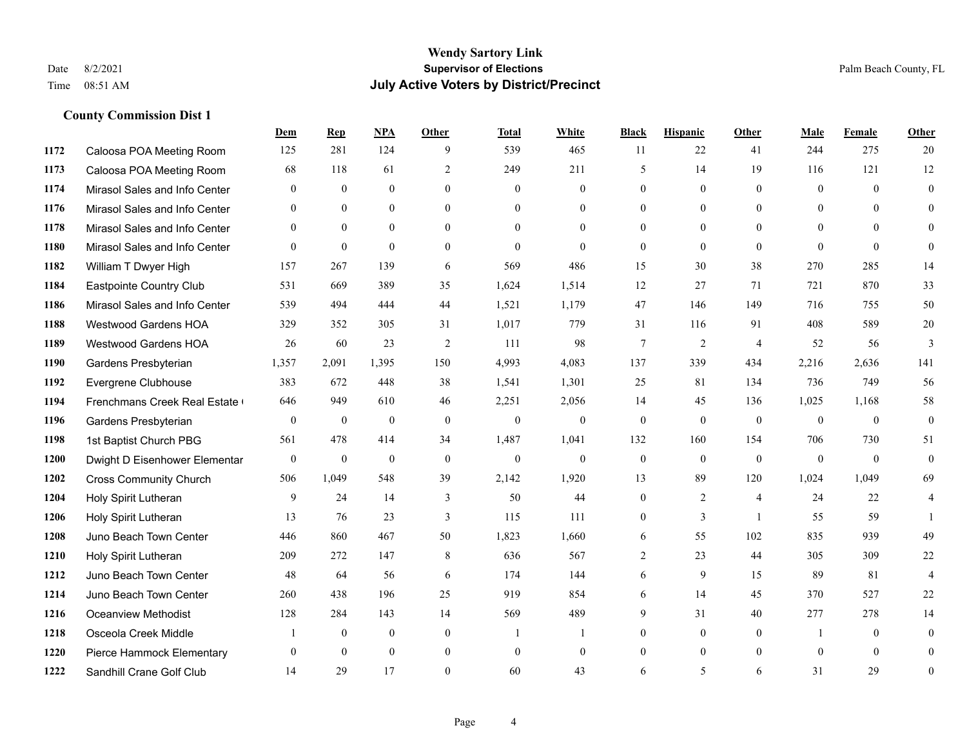#### **Wendy Sartory Link** Date 8/2/2021 **Supervisor of Elections** Palm Beach County, FL Time 08:51 AM **July Active Voters by District/Precinct**

# **Dem Rep NPA Other Total White Black Hispanic Other Male Female Other** Caloosa POA Meeting Room 125 281 124 9 539 465 11 22 41 244 275 20 Caloosa POA Meeting Room 68 118 61 2 249 211 5 14 19 116 121 12 Mirasol Sales and Info Center 0 0 0 0 0 0 0 0 0 0 0 0 Mirasol Sales and Info Center 0 0 0 0 0 0 0 0 0 0 0 0 Mirasol Sales and Info Center 0 0 0 0 0 0 0 0 0 0 0 0 Mirasol Sales and Info Center 0 0 0 0 0 0 0 0 0 0 0 0 William T Dwyer High 157 267 139 6 569 486 15 30 38 270 285 14 Eastpointe Country Club 531 669 389 35 1,624 1,514 12 27 71 721 870 33 Mirasol Sales and Info Center 539 494 444 44 1,521 1,179 47 146 149 716 755 50 Westwood Gardens HOA 329 352 305 31 1,017 779 31 116 91 408 589 20 Westwood Gardens HOA 26 60 23 2 111 98 7 2 4 52 56 3 Gardens Presbyterian 1,357 2,091 1,395 150 4,993 4,083 137 339 434 2,216 2,636 141 Evergrene Clubhouse 383 672 448 38 1,541 1,301 25 81 134 736 749 56 Frenchmans Creek Real Estate 646 949 610 46 2,251 2,056 14 45 136 1,025 1,168 58 Gardens Presbyterian 0 0 0 0 0 0 0 0 0 0 0 0 1st Baptist Church PBG 561 478 414 34 1,487 1,041 132 160 154 706 730 51 Dwight D Eisenhower Elementary 0 0 0 0 0 0 0 0 0 0 0 0 Cross Community Church 506 1,049 548 39 2,142 1,920 13 89 120 1,024 1,049 69 Holy Spirit Lutheran 9 24 14 3 50 44 0 2 4 24 22 4 Holy Spirit Lutheran **13** 76 23 3 115 111 0 3 1 55 59 1 Juno Beach Town Center 446 860 467 50 1,823 1,660 6 55 102 835 939 49 Holy Spirit Lutheran 209 272 147 8 636 567 2 23 44 305 309 22 Juno Beach Town Center 48 64 56 6 174 144 6 9 15 89 81 4 Juno Beach Town Center 260 438 196 25 919 854 6 14 45 370 527 22 Oceanview Methodist 128 284 143 14 569 489 9 31 40 277 278 14 Osceola Creek Middle  $\begin{array}{cccccccc} 1 & 0 & 0 & 0 & 1 & 1 & 0 & 0 & 0 \end{array}$ Pierce Hammock Elementary 0 0 0 0 0 0 0 0 0 0 0 0

Sandhill Crane Golf Club 14 29 17 0 60 43 6 5 6 31 29 0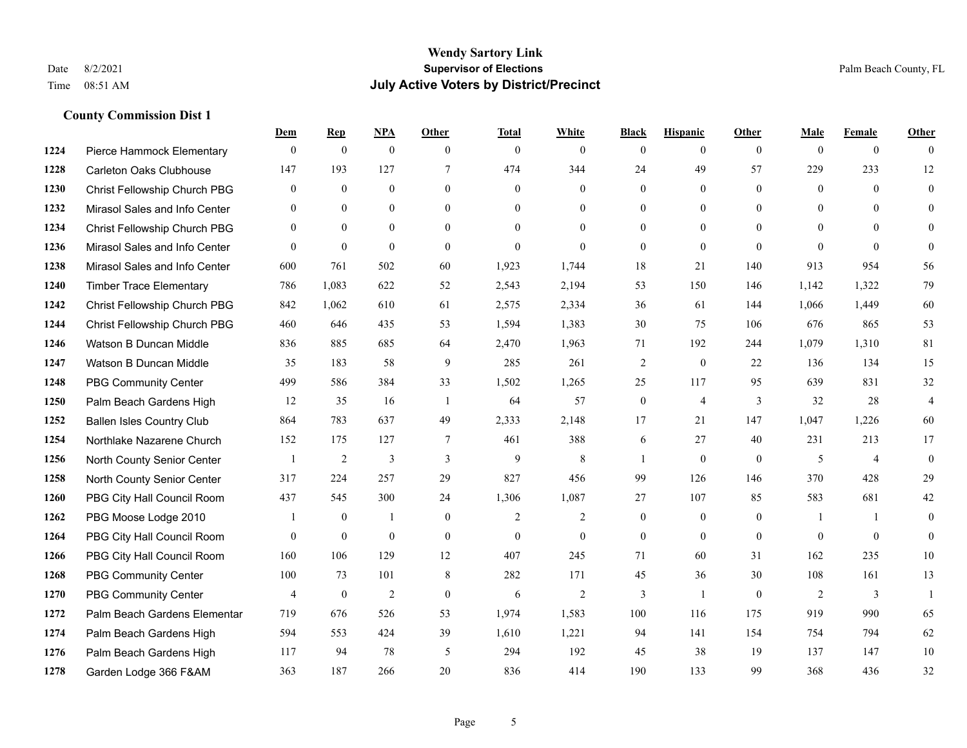|      |                                  | Dem            | <b>Rep</b>       | NPA          | <b>Other</b>   | <b>Total</b>   | <b>White</b>   | <b>Black</b>     | <b>Hispanic</b> | <b>Other</b>   | <b>Male</b>  | <b>Female</b>  | <b>Other</b>   |
|------|----------------------------------|----------------|------------------|--------------|----------------|----------------|----------------|------------------|-----------------|----------------|--------------|----------------|----------------|
| 1224 | Pierce Hammock Elementary        | $\mathbf{0}$   | $\mathbf{0}$     | $\mathbf{0}$ | $\theta$       | $\theta$       | $\overline{0}$ | $\mathbf{0}$     | $\mathbf{0}$    | $\theta$       | $\theta$     | $\overline{0}$ | $\Omega$       |
| 1228 | <b>Carleton Oaks Clubhouse</b>   | 147            | 193              | 127          | $\overline{7}$ | 474            | 344            | 24               | 49              | 57             | 229          | 233            | 12             |
| 1230 | Christ Fellowship Church PBG     | $\overline{0}$ | $\overline{0}$   | $\mathbf{0}$ | $\theta$       | $\mathbf{0}$   | $\overline{0}$ | $\Omega$         | $\mathbf{0}$    | $\theta$       | $\theta$     | $\Omega$       | $\mathbf{0}$   |
| 1232 | Mirasol Sales and Info Center    | $\overline{0}$ | $\mathbf{0}$     | $\mathbf{0}$ | $\overline{0}$ | $\theta$       | $\overline{0}$ | $\mathbf{0}$     | $\mathbf{0}$    | $\overline{0}$ | $\mathbf{0}$ | $\theta$       | $\theta$       |
| 1234 | Christ Fellowship Church PBG     | $\Omega$       | $\theta$         | $\theta$     | $\Omega$       | $\Omega$       | $\Omega$       | $\overline{0}$   | $\theta$        | $\Omega$       | $\theta$     | $\Omega$       | $\theta$       |
| 1236 | Mirasol Sales and Info Center    | $\theta$       | $\boldsymbol{0}$ | $\mathbf{0}$ | $\theta$       | $\mathbf{0}$   | $\Omega$       | $\mathbf{0}$     | $\mathbf{0}$    | $\theta$       | $\theta$     | $\theta$       | $\mathbf{0}$   |
| 1238 | Mirasol Sales and Info Center    | 600            | 761              | 502          | 60             | 1,923          | 1,744          | 18               | 21              | 140            | 913          | 954            | 56             |
| 1240 | <b>Timber Trace Elementary</b>   | 786            | 1,083            | 622          | 52             | 2,543          | 2,194          | 53               | 150             | 146            | 1,142        | 1,322          | 79             |
| 1242 | Christ Fellowship Church PBG     | 842            | 1,062            | 610          | 61             | 2,575          | 2,334          | 36               | 61              | 144            | 1,066        | 1,449          | 60             |
| 1244 | Christ Fellowship Church PBG     | 460            | 646              | 435          | 53             | 1,594          | 1,383          | 30               | 75              | 106            | 676          | 865            | 53             |
| 1246 | Watson B Duncan Middle           | 836            | 885              | 685          | 64             | 2,470          | 1,963          | 71               | 192             | 244            | 1,079        | 1.310          | 81             |
| 1247 | Watson B Duncan Middle           | 35             | 183              | 58           | 9              | 285            | 261            | $\overline{c}$   | $\theta$        | 22             | 136          | 134            | 15             |
| 1248 | <b>PBG Community Center</b>      | 499            | 586              | 384          | 33             | 1,502          | 1,265          | 25               | 117             | 95             | 639          | 831            | 32             |
| 1250 | Palm Beach Gardens High          | 12             | 35               | 16           | -1             | 64             | 57             | $\boldsymbol{0}$ | $\overline{4}$  | 3              | 32           | 28             | $\overline{4}$ |
| 1252 | <b>Ballen Isles Country Club</b> | 864            | 783              | 637          | 49             | 2,333          | 2,148          | 17               | 21              | 147            | 1,047        | 1,226          | 60             |
| 1254 | Northlake Nazarene Church        | 152            | 175              | 127          | $\tau$         | 461            | 388            | 6                | 27              | 40             | 231          | 213            | 17             |
| 1256 | North County Senior Center       |                | $\overline{2}$   | 3            | 3              | 9              | $\,$ 8 $\,$    |                  | $\mathbf{0}$    | $\mathbf{0}$   | 5            | $\overline{4}$ | $\mathbf{0}$   |
| 1258 | North County Senior Center       | 317            | 224              | 257          | 29             | 827            | 456            | 99               | 126             | 146            | 370          | 428            | 29             |
| 1260 | PBG City Hall Council Room       | 437            | 545              | 300          | 24             | 1,306          | 1,087          | 27               | 107             | 85             | 583          | 681            | 42             |
| 1262 | PBG Moose Lodge 2010             |                | $\boldsymbol{0}$ | 1            | $\mathbf{0}$   | $\overline{2}$ | $\overline{2}$ | $\boldsymbol{0}$ | $\mathbf{0}$    | $\mathbf{0}$   |              | $\mathbf{1}$   | $\mathbf{0}$   |
| 1264 | PBG City Hall Council Room       | $\theta$       | $\mathbf{0}$     | $\mathbf{0}$ | $\theta$       | $\theta$       | $\overline{0}$ | $\mathbf{0}$     | $\theta$        | $\theta$       | $\theta$     | $\theta$       | $\theta$       |
| 1266 | PBG City Hall Council Room       | 160            | 106              | 129          | 12             | 407            | 245            | 71               | 60              | 31             | 162          | 235            | $10\,$         |
| 1268 | <b>PBG Community Center</b>      | 100            | 73               | 101          | 8              | 282            | 171            | 45               | 36              | 30             | 108          | 161            | 13             |
| 1270 | <b>PBG Community Center</b>      | 4              | $\boldsymbol{0}$ | 2            | $\mathbf{0}$   | 6              | 2              | 3                | $\overline{1}$  | $\theta$       | 2            | 3              | $\mathbf{1}$   |
| 1272 | Palm Beach Gardens Elementar     | 719            | 676              | 526          | 53             | 1,974          | 1,583          | 100              | 116             | 175            | 919          | 990            | 65             |
| 1274 | Palm Beach Gardens High          | 594            | 553              | 424          | 39             | 1,610          | 1,221          | 94               | 141             | 154            | 754          | 794            | 62             |
| 1276 | Palm Beach Gardens High          | 117            | 94               | 78           | 5              | 294            | 192            | 45               | 38              | 19             | 137          | 147            | 10             |
| 1278 | Garden Lodge 366 F&AM            | 363            | 187              | 266          | 20             | 836            | 414            | 190              | 133             | 99             | 368          | 436            | 32             |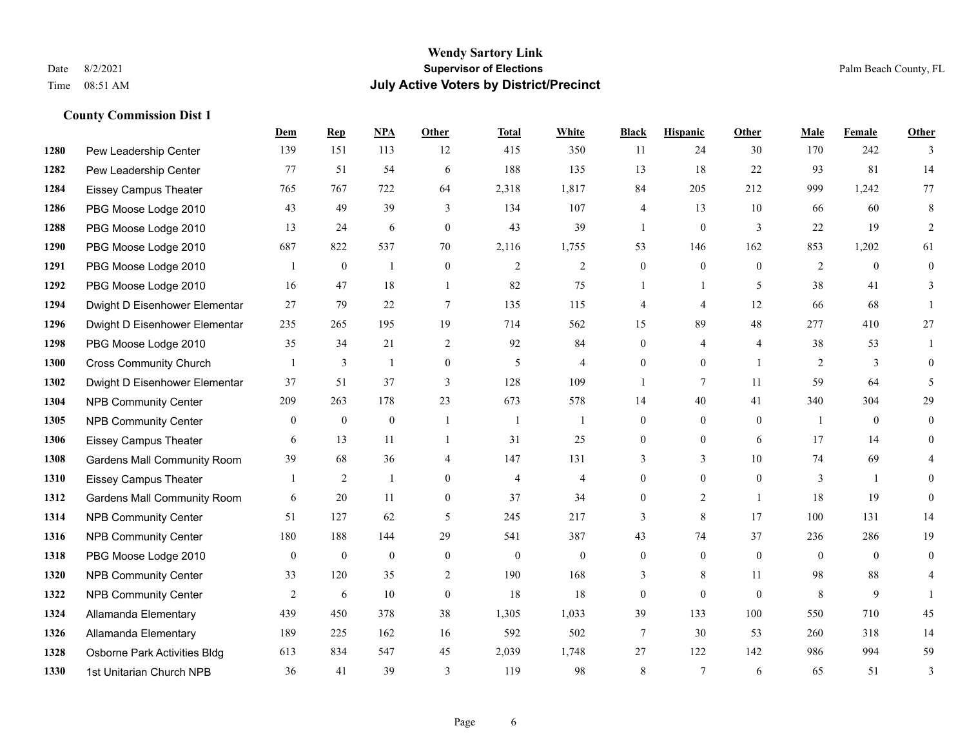#### **Wendy Sartory Link** Date 8/2/2021 **Supervisor of Elections** Palm Beach County, FL Time 08:51 AM **July Active Voters by District/Precinct**

# **Dem Rep NPA Other Total White Black Hispanic Other Male Female Other** Pew Leadership Center 139 151 113 12 415 350 11 24 30 170 242 3 Pew Leadership Center 77 51 54 6 188 135 13 18 22 93 81 14 Eissey Campus Theater 765 767 722 64 2,318 1,817 84 205 212 999 1,242 77 PBG Moose Lodge 2010 43 49 39 3 134 107 4 13 10 66 60 8 PBG Moose Lodge 2010 13 24 6 0 43 39 1 0 3 22 19 2 PBG Moose Lodge 2010 687 822 537 70 2,116 1,755 53 146 162 853 1,202 61 PBG Moose Lodge 2010 1 0 1 0 2 2 0 0 0 2 0 0 PBG Moose Lodge 2010 16 47 18 1 82 75 1 1 5 38 41 3 Dwight D Eisenhower Elementar 27 79 22 7 135 115 4 4 12 66 68 1 Dwight D Eisenhower Elementary 235 265 195 19 714 562 15 89 48 277 410 27 PBG Moose Lodge 2010 35 34 21 2 92 84 0 4 4 38 53 1 Cross Community Church 1 3 1 0 5 4 0 0 1 2 3 0 Dwight D Eisenhower Elementar 37 51 37 3 128 109 1 7 11 59 64 5 NPB Community Center 209 263 178 23 673 578 14 40 41 340 304 29 NPB Community Center 0 0 0 1 1 1 0 0 0 1 0 0 Eissey Campus Theater 6 13 11 1 31 25 0 0 6 17 14 0 Gardens Mall Community Room 39 68 36 4 147 131 3 3 3 10 74 69 4 Eissey Campus Theater 1 2 1 0 4 4 0 0 0 3 1 0 **1312 Gardens Mall Community Room** 6 20 11 0 37 34 0 2 1 18 19 0 NPB Community Center 51 127 62 5 245 217 3 8 17 100 131 14 NPB Community Center 180 188 144 29 541 387 43 74 37 236 286 19 PBG Moose Lodge 2010 0 0 0 0 0 0 0 0 0 0 0 0 **1320 NPB Community Center** 33 120 35 2 190 168 3 8 11 98 88 4 **1322 NPB Community Center** 2 6 10 0 18 18 0 0 0 8 9 1 Allamanda Elementary 439 450 378 38 1,305 1,033 39 133 100 550 710 45 Allamanda Elementary 189 225 162 16 592 502 7 30 53 260 318 14 Osborne Park Activities Bldg 613 834 547 45 2,039 1,748 27 122 142 986 994 59

1st Unitarian Church NPB 36 41 39 3 119 98 8 7 6 65 51 3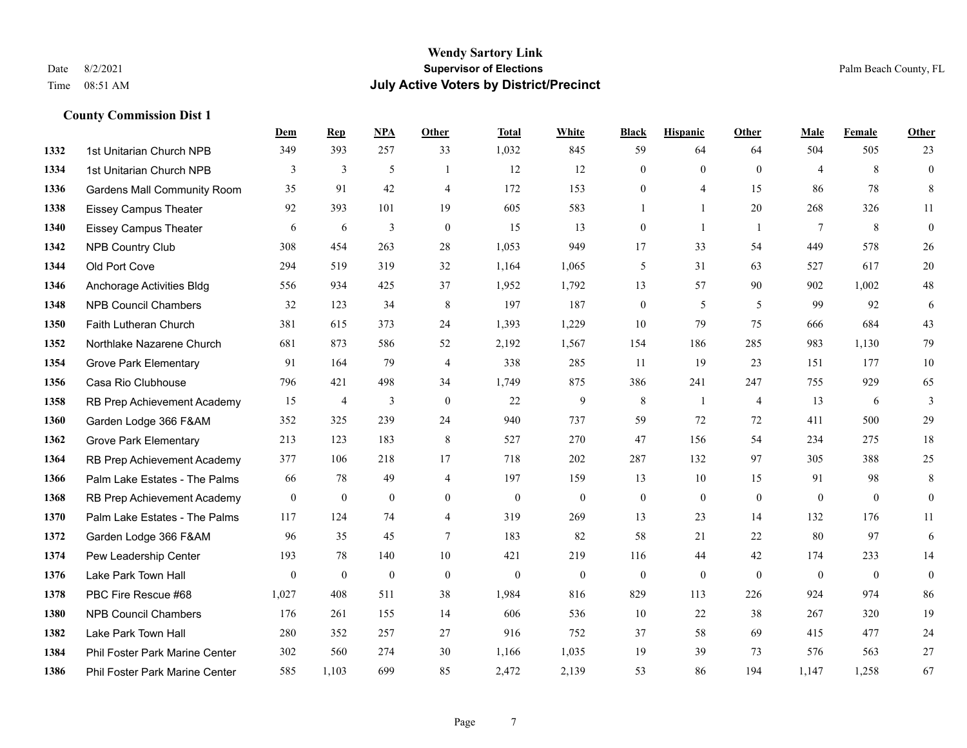|      |                                    | Dem          | <b>Rep</b>       | NPA              | <b>Other</b>   | <b>Total</b> | <b>White</b>     | <b>Black</b>     | <b>Hispanic</b>  | <b>Other</b>   | <b>Male</b>    | <b>Female</b>  | <b>Other</b>     |
|------|------------------------------------|--------------|------------------|------------------|----------------|--------------|------------------|------------------|------------------|----------------|----------------|----------------|------------------|
| 1332 | 1st Unitarian Church NPB           | 349          | 393              | 257              | 33             | 1,032        | 845              | 59               | 64               | 64             | 504            | 505            | 23               |
| 1334 | 1st Unitarian Church NPB           | 3            | 3                | 5                | $\overline{1}$ | 12           | 12               | $\mathbf{0}$     | $\mathbf{0}$     | $\theta$       | $\overline{4}$ | 8              | $\boldsymbol{0}$ |
| 1336 | <b>Gardens Mall Community Room</b> | 35           | 91               | 42               | $\overline{4}$ | 172          | 153              | $\overline{0}$   | 4                | 15             | 86             | 78             | $8\,$            |
| 1338 | <b>Eissey Campus Theater</b>       | 92           | 393              | 101              | 19             | 605          | 583              | 1                | $\mathbf{1}$     | 20             | 268            | 326            | 11               |
| 1340 | <b>Eissey Campus Theater</b>       | 6            | 6                | 3                | $\mathbf{0}$   | 15           | 13               | $\boldsymbol{0}$ | 1                | $\overline{1}$ | $\tau$         | 8              | $\boldsymbol{0}$ |
| 1342 | <b>NPB Country Club</b>            | 308          | 454              | 263              | 28             | 1,053        | 949              | 17               | 33               | 54             | 449            | 578            | 26               |
| 1344 | Old Port Cove                      | 294          | 519              | 319              | 32             | 1,164        | 1,065            | 5                | 31               | 63             | 527            | 617            | $20\,$           |
| 1346 | Anchorage Activities Bldg          | 556          | 934              | 425              | 37             | 1,952        | 1,792            | 13               | 57               | 90             | 902            | 1,002          | $48\,$           |
| 1348 | <b>NPB Council Chambers</b>        | 32           | 123              | 34               | $\,8\,$        | 197          | 187              | $\boldsymbol{0}$ | 5                | 5              | 99             | 92             | 6                |
| 1350 | Faith Lutheran Church              | 381          | 615              | 373              | 24             | 1,393        | 1,229            | 10               | 79               | 75             | 666            | 684            | 43               |
| 1352 | Northlake Nazarene Church          | 681          | 873              | 586              | 52             | 2,192        | 1,567            | 154              | 186              | 285            | 983            | 1,130          | 79               |
| 1354 | <b>Grove Park Elementary</b>       | 91           | 164              | 79               | $\overline{4}$ | 338          | 285              | 11               | 19               | 23             | 151            | 177            | $10\,$           |
| 1356 | Casa Rio Clubhouse                 | 796          | 421              | 498              | 34             | 1,749        | 875              | 386              | 241              | 247            | 755            | 929            | 65               |
| 1358 | RB Prep Achievement Academy        | 15           | $\overline{4}$   | 3                | $\mathbf{0}$   | 22           | 9                | $\,8\,$          | 1                | $\overline{4}$ | 13             | 6              | $\mathfrak{Z}$   |
| 1360 | Garden Lodge 366 F&AM              | 352          | 325              | 239              | 24             | 940          | 737              | 59               | 72               | 72             | 411            | 500            | 29               |
| 1362 | <b>Grove Park Elementary</b>       | 213          | 123              | 183              | $\,8\,$        | 527          | 270              | 47               | 156              | 54             | 234            | 275            | $18\,$           |
| 1364 | RB Prep Achievement Academy        | 377          | 106              | 218              | 17             | 718          | 202              | 287              | 132              | 97             | 305            | 388            | 25               |
| 1366 | Palm Lake Estates - The Palms      | 66           | 78               | 49               | $\overline{4}$ | 197          | 159              | 13               | 10               | 15             | 91             | 98             | $\,8\,$          |
| 1368 | RB Prep Achievement Academy        | $\mathbf{0}$ | $\boldsymbol{0}$ | $\boldsymbol{0}$ | $\overline{0}$ | $\mathbf{0}$ | $\boldsymbol{0}$ | $\boldsymbol{0}$ | $\boldsymbol{0}$ | $\mathbf{0}$   | $\mathbf{0}$   | $\overline{0}$ | $\boldsymbol{0}$ |
| 1370 | Palm Lake Estates - The Palms      | 117          | 124              | 74               | $\overline{4}$ | 319          | 269              | 13               | 23               | 14             | 132            | 176            | 11               |
| 1372 | Garden Lodge 366 F&AM              | 96           | 35               | 45               | $\tau$         | 183          | 82               | 58               | 21               | 22             | 80             | 97             | 6                |
| 1374 | Pew Leadership Center              | 193          | 78               | 140              | 10             | 421          | 219              | 116              | 44               | 42             | 174            | 233            | 14               |
| 1376 | Lake Park Town Hall                | $\mathbf{0}$ | $\bf{0}$         | $\mathbf{0}$     | $\mathbf{0}$   | $\theta$     | $\boldsymbol{0}$ | $\boldsymbol{0}$ | $\mathbf{0}$     | $\theta$       | $\mathbf{0}$   | $\mathbf{0}$   | $\boldsymbol{0}$ |
| 1378 | PBC Fire Rescue #68                | 1,027        | 408              | 511              | 38             | 1,984        | 816              | 829              | 113              | 226            | 924            | 974            | 86               |
| 1380 | <b>NPB Council Chambers</b>        | 176          | 261              | 155              | 14             | 606          | 536              | 10               | $22\,$           | 38             | 267            | 320            | 19               |
| 1382 | Lake Park Town Hall                | 280          | 352              | 257              | 27             | 916          | 752              | 37               | 58               | 69             | 415            | 477            | $24\,$           |
| 1384 | Phil Foster Park Marine Center     | 302          | 560              | 274              | 30             | 1,166        | 1,035            | 19               | 39               | 73             | 576            | 563            | 27               |
| 1386 | Phil Foster Park Marine Center     | 585          | 1,103            | 699              | 85             | 2,472        | 2,139            | 53               | 86               | 194            | 1,147          | 1,258          | 67               |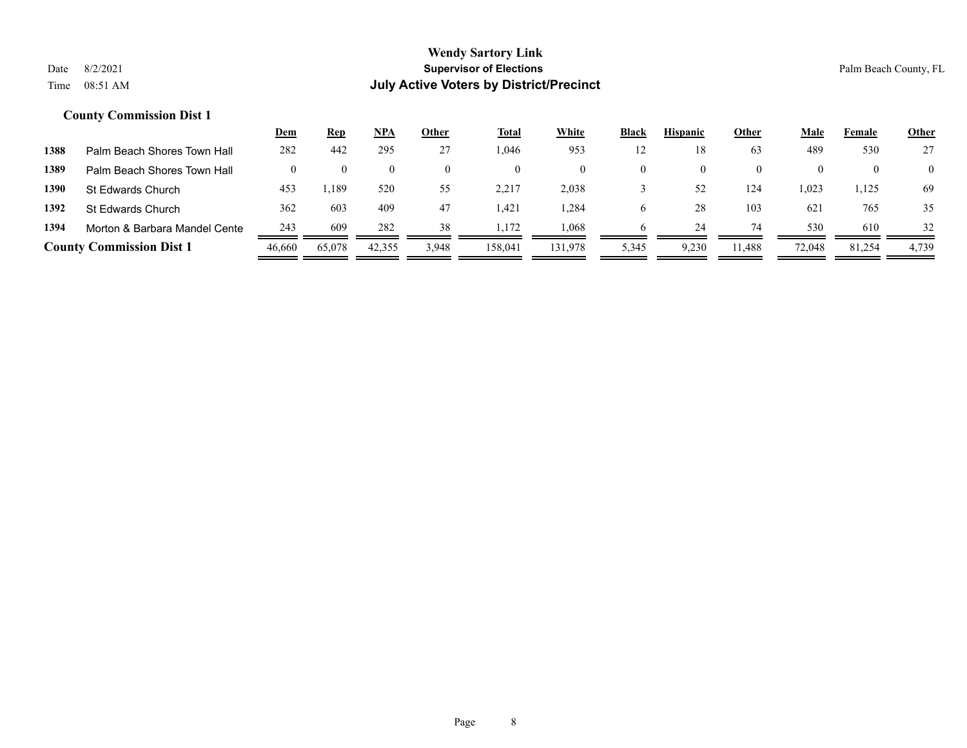|      |                                 | <u>Dem</u> | <u>Rep</u> | NPA    | Other | <b>Total</b> | <b>White</b> | Black | <b>Hispanic</b> | Other    | <b>Male</b> | Female | <b>Other</b>   |
|------|---------------------------------|------------|------------|--------|-------|--------------|--------------|-------|-----------------|----------|-------------|--------|----------------|
| 1388 | Palm Beach Shores Town Hall     | 282        | 442        | 295    | 27    | .046         | 953          | 12    | 18              | 63       | 489         | 530    | 27             |
| 1389 | Palm Beach Shores Town Hall     |            |            |        |       |              | $\theta$     |       |                 | $\theta$ |             |        | $\overline{0}$ |
| 1390 | St Edwards Church               | 453        | .189       | 520    | 55    | 2,217        | 2,038        |       | 52              | 124      | .023        | 1,125  | 69             |
| 1392 | St Edwards Church               | 362        | 603        | 409    | 47    | 421.ا        | .284         |       | 28              | 103      | 621         | 765    | 35             |
| 1394 | Morton & Barbara Mandel Cente   | 243        | 609        | 282    | 38    | 1.172        | .068         |       | 24              | 74       | 530         | 610    | 32             |
|      | <b>County Commission Dist 1</b> | 46,660     | 65,078     | 42,355 | 3,948 | 158.041      | 131.978      | 5,345 | 9,230           | 11.488   | 72,048      | 81,254 | 4,739          |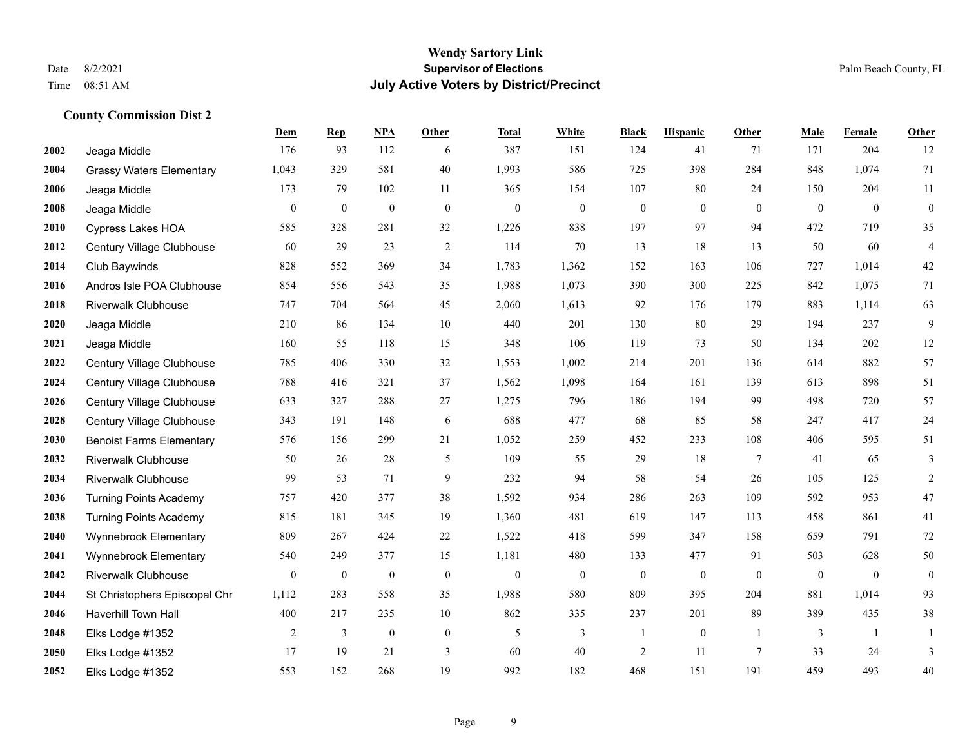|      |                                 | Dem              | <b>Rep</b>       | NPA              | <b>Other</b>     | <b>Total</b>     | <b>White</b>     | <b>Black</b>     | <b>Hispanic</b>  | <b>Other</b>    | <b>Male</b>  | <b>Female</b>  | <b>Other</b>     |
|------|---------------------------------|------------------|------------------|------------------|------------------|------------------|------------------|------------------|------------------|-----------------|--------------|----------------|------------------|
| 2002 | Jeaga Middle                    | 176              | 93               | 112              | 6                | 387              | 151              | 124              | 41               | 71              | 171          | 204            | 12               |
| 2004 | <b>Grassy Waters Elementary</b> | 1,043            | 329              | 581              | 40               | 1,993            | 586              | 725              | 398              | 284             | 848          | 1,074          | 71               |
| 2006 | Jeaga Middle                    | 173              | 79               | 102              | 11               | 365              | 154              | 107              | 80               | 24              | 150          | 204            | 11               |
| 2008 | Jeaga Middle                    | $\mathbf{0}$     | $\boldsymbol{0}$ | $\boldsymbol{0}$ | $\boldsymbol{0}$ | $\boldsymbol{0}$ | $\boldsymbol{0}$ | $\boldsymbol{0}$ | $\mathbf{0}$     | $\mathbf{0}$    | $\mathbf{0}$ | $\mathbf{0}$   | $\boldsymbol{0}$ |
| 2010 | Cypress Lakes HOA               | 585              | 328              | 281              | 32               | 1,226            | 838              | 197              | 97               | 94              | 472          | 719            | 35               |
| 2012 | Century Village Clubhouse       | 60               | 29               | 23               | $\overline{c}$   | 114              | 70               | 13               | 18               | 13              | 50           | 60             | $\overline{4}$   |
| 2014 | Club Baywinds                   | 828              | 552              | 369              | 34               | 1,783            | 1,362            | 152              | 163              | 106             | 727          | 1,014          | $42\,$           |
| 2016 | Andros Isle POA Clubhouse       | 854              | 556              | 543              | 35               | 1,988            | 1,073            | 390              | 300              | 225             | 842          | 1,075          | 71               |
| 2018 | <b>Riverwalk Clubhouse</b>      | 747              | 704              | 564              | 45               | 2,060            | 1,613            | 92               | 176              | 179             | 883          | 1,114          | 63               |
| 2020 | Jeaga Middle                    | 210              | 86               | 134              | 10               | 440              | 201              | 130              | 80               | 29              | 194          | 237            | 9                |
| 2021 | Jeaga Middle                    | 160              | 55               | 118              | 15               | 348              | 106              | 119              | 73               | 50              | 134          | 202            | $12\,$           |
| 2022 | Century Village Clubhouse       | 785              | 406              | 330              | 32               | 1,553            | 1,002            | 214              | 201              | 136             | 614          | 882            | 57               |
| 2024 | Century Village Clubhouse       | 788              | 416              | 321              | 37               | 1,562            | 1,098            | 164              | 161              | 139             | 613          | 898            | 51               |
| 2026 | Century Village Clubhouse       | 633              | 327              | 288              | $27\,$           | 1,275            | 796              | 186              | 194              | 99              | 498          | 720            | 57               |
| 2028 | Century Village Clubhouse       | 343              | 191              | 148              | 6                | 688              | 477              | 68               | 85               | 58              | 247          | 417            | $24\,$           |
| 2030 | <b>Benoist Farms Elementary</b> | 576              | 156              | 299              | 21               | 1,052            | 259              | 452              | 233              | 108             | 406          | 595            | 51               |
| 2032 | <b>Riverwalk Clubhouse</b>      | 50               | 26               | 28               | 5                | 109              | 55               | 29               | 18               | $\overline{7}$  | 41           | 65             | 3                |
| 2034 | <b>Riverwalk Clubhouse</b>      | 99               | 53               | 71               | 9                | 232              | 94               | 58               | 54               | 26              | 105          | 125            | $\overline{c}$   |
| 2036 | <b>Turning Points Academy</b>   | 757              | 420              | 377              | 38               | 1,592            | 934              | 286              | 263              | 109             | 592          | 953            | $47\,$           |
| 2038 | <b>Turning Points Academy</b>   | 815              | 181              | 345              | 19               | 1,360            | 481              | 619              | 147              | 113             | 458          | 861            | 41               |
| 2040 | Wynnebrook Elementary           | 809              | 267              | 424              | 22               | 1,522            | 418              | 599              | 347              | 158             | 659          | 791            | $72\,$           |
| 2041 | Wynnebrook Elementary           | 540              | 249              | 377              | 15               | 1,181            | 480              | 133              | 477              | 91              | 503          | 628            | 50               |
| 2042 | <b>Riverwalk Clubhouse</b>      | $\boldsymbol{0}$ | $\boldsymbol{0}$ | $\boldsymbol{0}$ | $\boldsymbol{0}$ | $\theta$         | $\boldsymbol{0}$ | $\boldsymbol{0}$ | $\boldsymbol{0}$ | $\overline{0}$  | $\mathbf{0}$ | $\overline{0}$ | $\boldsymbol{0}$ |
| 2044 | St Christophers Episcopal Chr   | 1,112            | 283              | 558              | 35               | 1,988            | 580              | 809              | 395              | 204             | 881          | 1,014          | 93               |
| 2046 | Haverhill Town Hall             | 400              | 217              | 235              | 10               | 862              | 335              | 237              | 201              | 89              | 389          | 435            | 38               |
| 2048 | Elks Lodge #1352                | 2                | 3                | $\boldsymbol{0}$ | $\boldsymbol{0}$ | 5                | 3                | $\mathbf{1}$     | $\boldsymbol{0}$ | $\overline{1}$  | 3            | -1             | 1                |
| 2050 | Elks Lodge #1352                | 17               | 19               | 21               | 3                | 60               | 40               | $\sqrt{2}$       | 11               | $7\phantom{.0}$ | 33           | 24             | 3                |
| 2052 | Elks Lodge #1352                | 553              | 152              | 268              | 19               | 992              | 182              | 468              | 151              | 191             | 459          | 493            | 40               |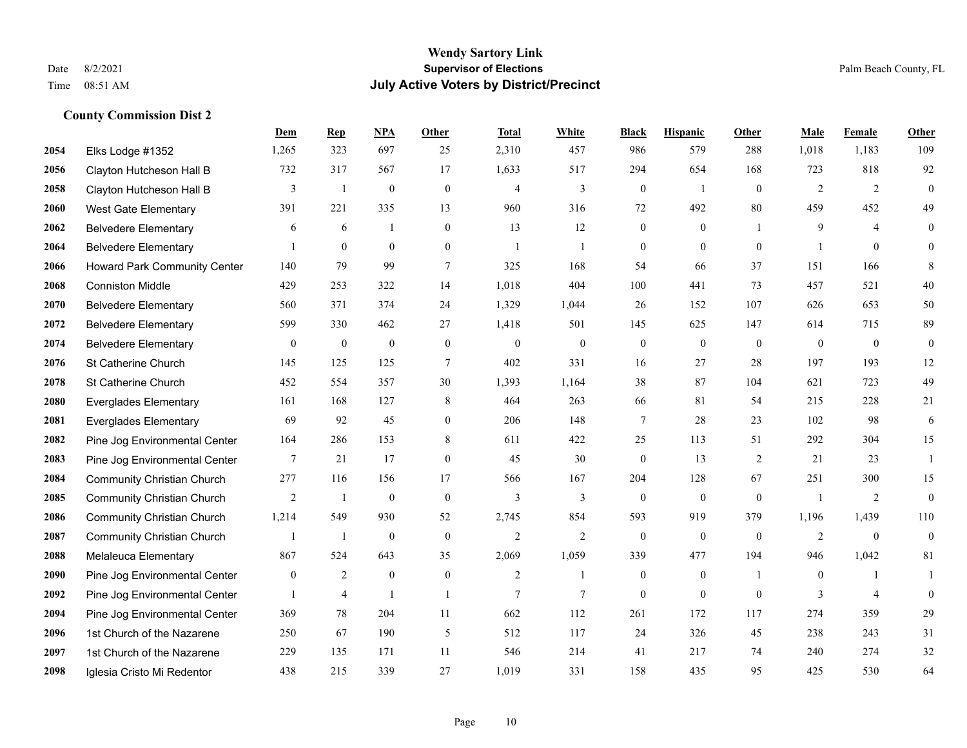|      |                                   | Dem              | <b>Rep</b>     | NPA          | <b>Other</b>   | <b>Total</b>   | <b>White</b>   | <b>Black</b>     | <b>Hispanic</b> | Other          | <b>Male</b>    | Female         | <b>Other</b>     |
|------|-----------------------------------|------------------|----------------|--------------|----------------|----------------|----------------|------------------|-----------------|----------------|----------------|----------------|------------------|
| 2054 | Elks Lodge #1352                  | 1,265            | 323            | 697          | 25             | 2,310          | 457            | 986              | 579             | 288            | 1,018          | 1,183          | 109              |
| 2056 | Clayton Hutcheson Hall B          | 732              | 317            | 567          | 17             | 1,633          | 517            | 294              | 654             | 168            | 723            | 818            | 92               |
| 2058 | Clayton Hutcheson Hall B          | 3                | -1             | $\mathbf{0}$ | $\mathbf{0}$   | $\overline{4}$ | 3              | $\boldsymbol{0}$ | -1              | $\theta$       | 2              | 2              | $\mathbf{0}$     |
| 2060 | <b>West Gate Elementary</b>       | 391              | 221            | 335          | 13             | 960            | 316            | 72               | 492             | 80             | 459            | 452            | 49               |
| 2062 | <b>Belvedere Elementary</b>       | 6                | 6              | $\mathbf{1}$ | $\overline{0}$ | 13             | 12             | $\boldsymbol{0}$ | $\mathbf{0}$    |                | 9              | $\overline{4}$ | $\boldsymbol{0}$ |
| 2064 | <b>Belvedere Elementary</b>       |                  | $\overline{0}$ | $\mathbf{0}$ | $\overline{0}$ | $\overline{1}$ | -1             | $\mathbf{0}$     | $\mathbf{0}$    | $\theta$       |                | $\mathbf{0}$   | $\theta$         |
| 2066 | Howard Park Community Center      | 140              | 79             | 99           | $\tau$         | 325            | 168            | 54               | 66              | 37             | 151            | 166            | 8                |
| 2068 | <b>Conniston Middle</b>           | 429              | 253            | 322          | 14             | 1,018          | 404            | 100              | 441             | 73             | 457            | 521            | 40               |
| 2070 | <b>Belvedere Elementary</b>       | 560              | 371            | 374          | 24             | 1,329          | 1,044          | 26               | 152             | 107            | 626            | 653            | 50               |
| 2072 | <b>Belvedere Elementary</b>       | 599              | 330            | 462          | 27             | 1,418          | 501            | 145              | 625             | 147            | 614            | 715            | 89               |
| 2074 | <b>Belvedere Elementary</b>       | $\boldsymbol{0}$ | $\mathbf{0}$   | $\mathbf{0}$ | $\mathbf{0}$   | $\mathbf{0}$   | $\theta$       | $\mathbf{0}$     | $\mathbf{0}$    | $\mathbf{0}$   | $\overline{0}$ | $\mathbf{0}$   | $\mathbf{0}$     |
| 2076 | St Catherine Church               | 145              | 125            | 125          | 7              | 402            | 331            | 16               | 27              | 28             | 197            | 193            | 12               |
| 2078 | St Catherine Church               | 452              | 554            | 357          | 30             | 1,393          | 1,164          | 38               | 87              | 104            | 621            | 723            | 49               |
| 2080 | <b>Everglades Elementary</b>      | 161              | 168            | 127          | 8              | 464            | 263            | 66               | 81              | 54             | 215            | 228            | 21               |
| 2081 | <b>Everglades Elementary</b>      | 69               | 92             | 45           | $\Omega$       | 206            | 148            | $\tau$           | 28              | 23             | 102            | 98             | 6                |
| 2082 | Pine Jog Environmental Center     | 164              | 286            | 153          | 8              | 611            | 422            | 25               | 113             | 51             | 292            | 304            | 15               |
| 2083 | Pine Jog Environmental Center     | 7                | 21             | 17           | $\overline{0}$ | 45             | 30             | $\mathbf{0}$     | 13              | 2              | 21             | 23             | $\mathbf{1}$     |
| 2084 | <b>Community Christian Church</b> | 277              | 116            | 156          | 17             | 566            | 167            | 204              | 128             | 67             | 251            | 300            | 15               |
| 2085 | <b>Community Christian Church</b> | 2                | -1             | $\mathbf{0}$ | $\mathbf{0}$   | 3              | 3              | $\boldsymbol{0}$ | $\overline{0}$  | $\mathbf{0}$   |                | 2              | $\overline{0}$   |
| 2086 | <b>Community Christian Church</b> | 1,214            | 549            | 930          | 52             | 2,745          | 854            | 593              | 919             | 379            | 1,196          | 1,439          | 110              |
| 2087 | <b>Community Christian Church</b> | 1                | -1             | $\mathbf{0}$ | $\mathbf{0}$   | 2              | $\overline{2}$ | $\boldsymbol{0}$ | $\mathbf{0}$    | $\mathbf{0}$   | 2              | $\mathbf{0}$   | $\boldsymbol{0}$ |
| 2088 | Melaleuca Elementary              | 867              | 524            | 643          | 35             | 2,069          | 1,059          | 339              | 477             | 194            | 946            | 1,042          | 81               |
| 2090 | Pine Jog Environmental Center     | $\overline{0}$   | 2              | $\mathbf{0}$ | $\mathbf{0}$   | $\overline{2}$ | $\mathbf{1}$   | $\mathbf{0}$     | $\mathbf{0}$    | $\overline{1}$ | $\theta$       | 1              | $\mathbf{1}$     |
| 2092 | Pine Jog Environmental Center     | 1                | $\overline{4}$ | $\mathbf{1}$ | $\mathbf{1}$   | 7              | 7              | $\boldsymbol{0}$ | $\mathbf{0}$    | $\theta$       | 3              | $\overline{4}$ | $\mathbf{0}$     |
| 2094 | Pine Jog Environmental Center     | 369              | 78             | 204          | 11             | 662            | 112            | 261              | 172             | 117            | 274            | 359            | 29               |
| 2096 | 1st Church of the Nazarene        | 250              | 67             | 190          | $\mathfrak{H}$ | 512            | 117            | 24               | 326             | 45             | 238            | 243            | 31               |
| 2097 | 1st Church of the Nazarene        | 229              | 135            | 171          | 11             | 546            | 214            | 41               | 217             | 74             | 240            | 274            | 32               |
| 2098 | Iglesia Cristo Mi Redentor        | 438              | 215            | 339          | 27             | 1,019          | 331            | 158              | 435             | 95             | 425            | 530            | 64               |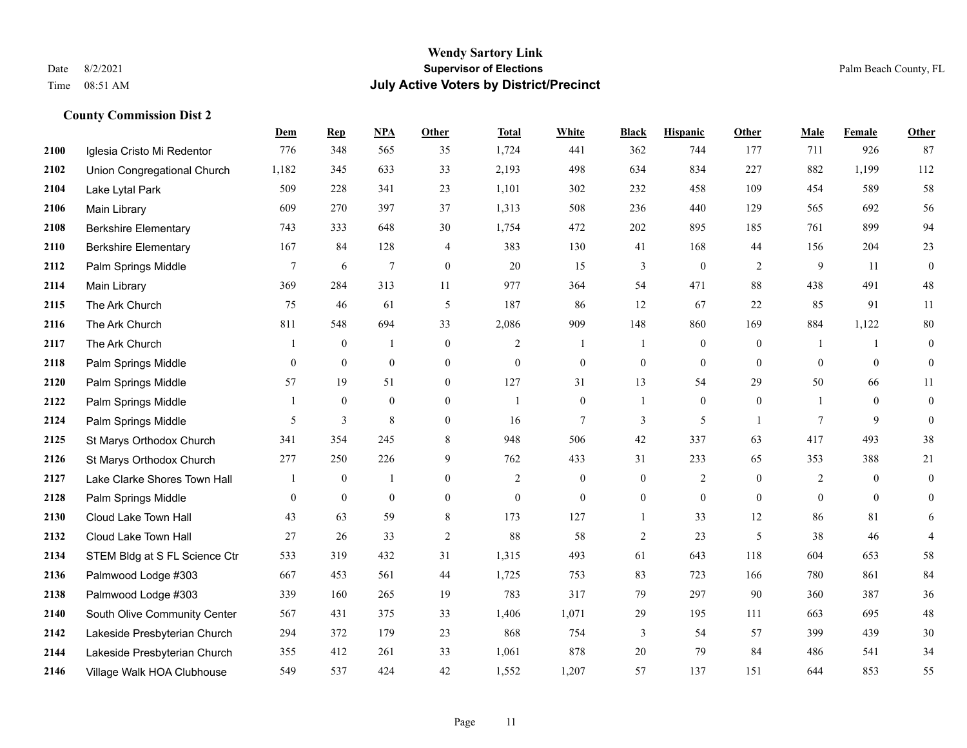#### **Wendy Sartory Link** Date 8/2/2021 **Supervisor of Elections** Palm Beach County, FL Time 08:51 AM **July Active Voters by District/Precinct**

# **Dem Rep NPA Other Total White Black Hispanic Other Male Female Other** Iglesia Cristo Mi Redentor 776 348 565 35 1,724 441 362 744 177 711 926 87 Union Congregational Church 1,182 345 633 33 2,193 498 634 834 227 882 1,199 112 Lake Lytal Park 509 228 341 23 1,101 302 232 458 109 454 589 58 Main Library 609 270 397 37 1,313 508 236 440 129 565 692 56 Berkshire Elementary 743 333 648 30 1,754 472 202 895 185 761 899 94 Berkshire Elementary 167 84 128 4 383 130 41 168 44 156 204 23 **2112** Palm Springs Middle  $\begin{array}{cccccccc} 7 & 6 & 7 & 0 & 20 & 15 & 3 & 0 & 2 & 9 & 11 & 0 \end{array}$  Main Library 369 284 313 11 977 364 54 471 88 438 491 48 The Ark Church 75 46 61 5 187 86 12 67 22 85 91 11 The Ark Church 811 548 694 33 2,086 909 148 860 169 884 1,122 80 The Ark Church 1 0 1 0 2 1 1 0 0 1 1 0 Palm Springs Middle 0 0 0 0 0 0 0 0 0 0 0 0 Palm Springs Middle 57 19 51 0 127 31 13 54 29 50 66 11 Palm Springs Middle 1 0 0 0 1 0 1 0 0 1 0 0 **2124** Palm Springs Middle  $\begin{array}{ccccccccccccc} & 5 & 3 & 8 & 0 & 16 & 7 & 3 & 5 & 1 & 7 & 9 & 0 \end{array}$  St Marys Orthodox Church 341 354 245 8 948 506 42 337 63 417 493 38 St Marys Orthodox Church 277 250 226 9 762 433 31 233 65 353 388 21 Lake Clarke Shores Town Hall  $\begin{array}{ccccccccc} 1 & 0 & 1 & 0 & 2 & 0 & 0 & 2 & 0 & 2 & 0 & 0 \end{array}$  Palm Springs Middle 0 0 0 0 0 0 0 0 0 0 0 0 Cloud Lake Town Hall 43 63 59 8 173 127 1 33 12 86 81 6 Cloud Lake Town Hall 27 26 33 2 88 58 2 23 5 38 46 4 STEM Bldg at S FL Science Ctr 533 319 432 31 1,315 493 61 643 118 604 653 58 Palmwood Lodge #303 667 453 561 44 1,725 753 83 723 166 780 861 84 Palmwood Lodge #303 339 160 265 19 783 317 79 297 90 360 387 36 South Olive Community Center 567 431 375 33 1,406 1,071 29 195 111 663 695 48 Lakeside Presbyterian Church 294 372 179 23 868 754 3 54 57 399 439 30 Lakeside Presbyterian Church 355 412 261 33 1,061 878 20 79 84 486 541 34

Village Walk HOA Clubhouse 549 537 424 42 1,552 1,207 57 137 151 644 853 55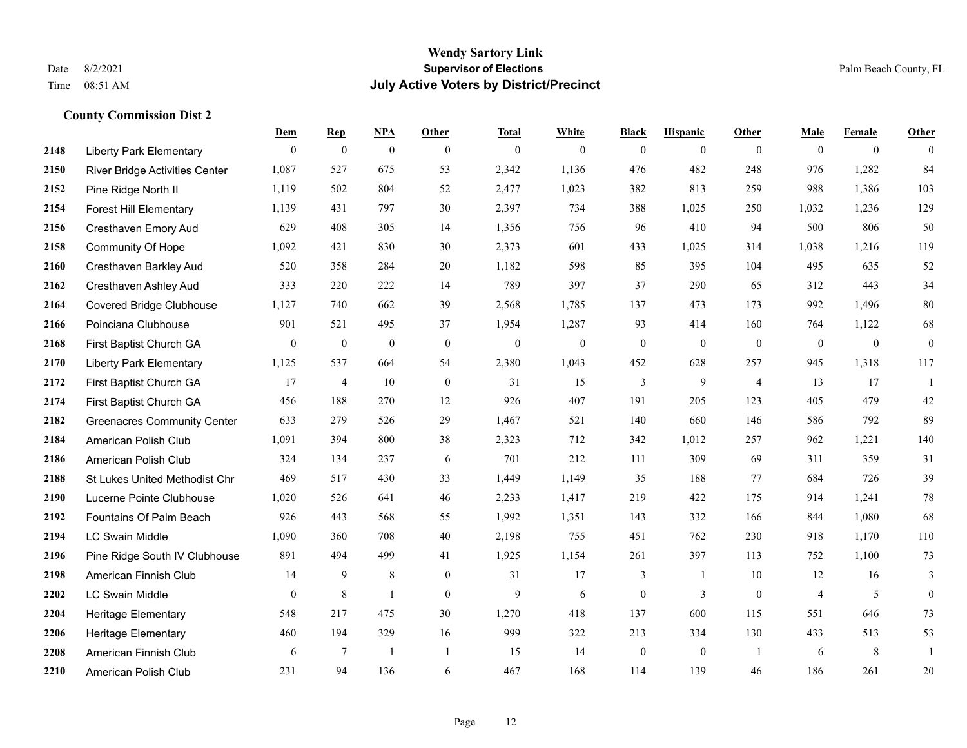#### **Wendy Sartory Link** Date 8/2/2021 **Supervisor of Elections** Palm Beach County, FL Time 08:51 AM **July Active Voters by District/Precinct**

|      |                                       | Dem            | <b>Rep</b>     | NPA            | Other            | <b>Total</b> | White          | <b>Black</b>     | <b>Hispanic</b> | <b>Other</b>   | Male         | Female       | Other            |
|------|---------------------------------------|----------------|----------------|----------------|------------------|--------------|----------------|------------------|-----------------|----------------|--------------|--------------|------------------|
| 2148 | <b>Liberty Park Elementary</b>        | $\theta$       | $\mathbf{0}$   | $\mathbf{0}$   | $\theta$         | $\mathbf{0}$ | $\overline{0}$ | $\mathbf{0}$     | $\overline{0}$  | $\theta$       | $\theta$     | $\mathbf{0}$ | $\theta$         |
| 2150 | <b>River Bridge Activities Center</b> | 1,087          | 527            | 675            | 53               | 2,342        | 1,136          | 476              | 482             | 248            | 976          | 1,282        | 84               |
| 2152 | Pine Ridge North II                   | 1,119          | 502            | 804            | 52               | 2,477        | 1,023          | 382              | 813             | 259            | 988          | 1,386        | 103              |
| 2154 | Forest Hill Elementary                | 1,139          | 431            | 797            | 30               | 2,397        | 734            | 388              | 1,025           | 250            | 1,032        | 1,236        | 129              |
| 2156 | Cresthaven Emory Aud                  | 629            | 408            | 305            | 14               | 1,356        | 756            | 96               | 410             | 94             | 500          | 806          | 50               |
| 2158 | Community Of Hope                     | 1,092          | 421            | 830            | 30               | 2,373        | 601            | 433              | 1,025           | 314            | 1,038        | 1,216        | 119              |
| 2160 | Cresthaven Barkley Aud                | 520            | 358            | 284            | 20               | 1,182        | 598            | 85               | 395             | 104            | 495          | 635          | 52               |
| 2162 | Cresthaven Ashley Aud                 | 333            | 220            | 222            | 14               | 789          | 397            | 37               | 290             | 65             | 312          | 443          | 34               |
| 2164 | <b>Covered Bridge Clubhouse</b>       | 1,127          | 740            | 662            | 39               | 2,568        | 1,785          | 137              | 473             | 173            | 992          | 1,496        | 80               |
| 2166 | Poinciana Clubhouse                   | 901            | 521            | 495            | 37               | 1,954        | 1,287          | 93               | 414             | 160            | 764          | 1,122        | 68               |
| 2168 | First Baptist Church GA               | $\overline{0}$ | $\mathbf{0}$   | $\mathbf{0}$   | $\mathbf{0}$     | $\mathbf{0}$ | $\mathbf{0}$   | $\boldsymbol{0}$ | $\overline{0}$  | $\mathbf{0}$   | $\mathbf{0}$ | $\mathbf{0}$ | $\boldsymbol{0}$ |
| 2170 | <b>Liberty Park Elementary</b>        | 1,125          | 537            | 664            | 54               | 2,380        | 1,043          | 452              | 628             | 257            | 945          | 1,318        | 117              |
| 2172 | First Baptist Church GA               | 17             | $\overline{4}$ | 10             | $\boldsymbol{0}$ | 31           | 15             | 3                | 9               | $\overline{4}$ | 13           | 17           | -1               |
| 2174 | First Baptist Church GA               | 456            | 188            | 270            | 12               | 926          | 407            | 191              | 205             | 123            | 405          | 479          | 42               |
| 2182 | <b>Greenacres Community Center</b>    | 633            | 279            | 526            | 29               | 1,467        | 521            | 140              | 660             | 146            | 586          | 792          | 89               |
| 2184 | American Polish Club                  | 1,091          | 394            | 800            | 38               | 2,323        | 712            | 342              | 1,012           | 257            | 962          | 1,221        | 140              |
| 2186 | American Polish Club                  | 324            | 134            | 237            | 6                | 701          | 212            | 111              | 309             | 69             | 311          | 359          | 31               |
| 2188 | St Lukes United Methodist Chr         | 469            | 517            | 430            | 33               | 1,449        | 1,149          | 35               | 188             | 77             | 684          | 726          | 39               |
| 2190 | Lucerne Pointe Clubhouse              | 1,020          | 526            | 641            | $46\,$           | 2,233        | 1,417          | 219              | 422             | 175            | 914          | 1,241        | 78               |
| 2192 | Fountains Of Palm Beach               | 926            | 443            | 568            | 55               | 1,992        | 1,351          | 143              | 332             | 166            | 844          | 1,080        | 68               |
| 2194 | <b>LC Swain Middle</b>                | 1,090          | 360            | 708            | 40               | 2,198        | 755            | 451              | 762             | 230            | 918          | 1,170        | 110              |
| 2196 | Pine Ridge South IV Clubhouse         | 891            | 494            | 499            | 41               | 1,925        | 1,154          | 261              | 397             | 113            | 752          | 1,100        | 73               |
| 2198 | American Finnish Club                 | 14             | 9              | 8              | $\mathbf{0}$     | 31           | 17             | 3                | -1              | 10             | 12           | 16           | 3                |
| 2202 | <b>LC Swain Middle</b>                | $\theta$       | 8              | $\mathbf{1}$   | $\mathbf{0}$     | 9            | 6              | $\mathbf{0}$     | 3               | $\theta$       | 4            | 5            | $\mathbf{0}$     |
| 2204 | Heritage Elementary                   | 548            | 217            | 475            | 30               | 1,270        | 418            | 137              | 600             | 115            | 551          | 646          | 73               |
| 2206 | <b>Heritage Elementary</b>            | 460            | 194            | 329            | 16               | 999          | 322            | 213              | 334             | 130            | 433          | 513          | 53               |
| 2208 | American Finnish Club                 | 6              | 7              | $\overline{1}$ | $\mathbf{1}$     | 15           | 14             | $\mathbf{0}$     | $\Omega$        | $\overline{1}$ | 6            | 8            |                  |
| 2210 | American Polish Club                  | 231            | 94             | 136            | 6                | 467          | 168            | 114              | 139             | 46             | 186          | 261          | 20               |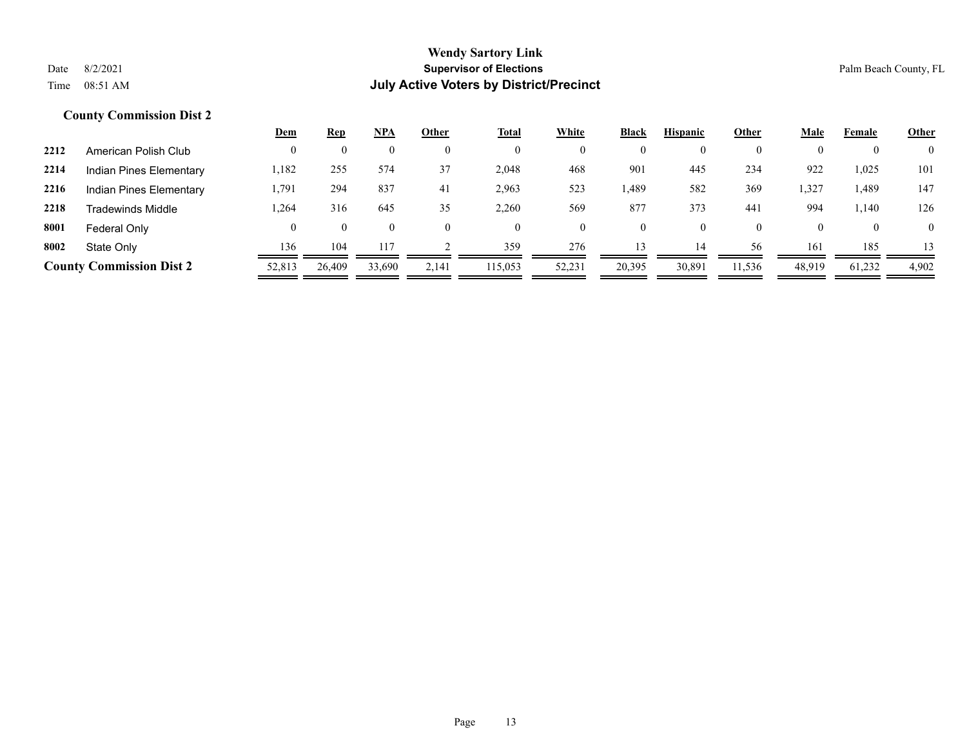|                                 |                         | <u>Dem</u> | <b>Rep</b> | NPA      | Other | <b>Total</b> | White  | Black          | <b>Hispanic</b> | Other    | Male   | Female   | Other          |
|---------------------------------|-------------------------|------------|------------|----------|-------|--------------|--------|----------------|-----------------|----------|--------|----------|----------------|
| 2212                            | American Polish Club    |            |            | 0        |       | $\mathbf{0}$ |        | $\mathbf{0}$   | $\mathbf{0}$    | $\Omega$ |        |          | $\overline{0}$ |
| 2214                            | Indian Pines Elementary | 1,182      | 255        | 574      | 37    | 2,048        | 468    | 901            | 445             | 234      | 922    | 1,025    | 101            |
| 2216                            | Indian Pines Elementary | 1,791      | 294        | 837      | -41   | 2,963        | 523    | 1,489          | 582             | 369      | 1,327  | 1,489    | 147            |
| 2218                            | Tradewinds Middle       | .264       | 316        | 645      | 35    | 2,260        | 569    | 877            | 373             | 441      | 994    | 1,140    | 126            |
| 8001<br>Federal Only            |                         |            | $\theta$   | $\bf{0}$ |       | $\theta$     |        | $\overline{0}$ | $\bf{0}$        | $\theta$ |        | $\theta$ | $\overline{0}$ |
| 8002<br>State Only              |                         | 136        | 104        | 117      |       | 359          | 276    | 13             | 14              | 56       | 161    | 185      | 13             |
| <b>County Commission Dist 2</b> |                         | 52,813     | 26,409     | 33,690   | 2,141 | 115,053      | 52,231 | 20,395         | 30,891          | 11,536   | 48,919 | 61,232   | 4,902          |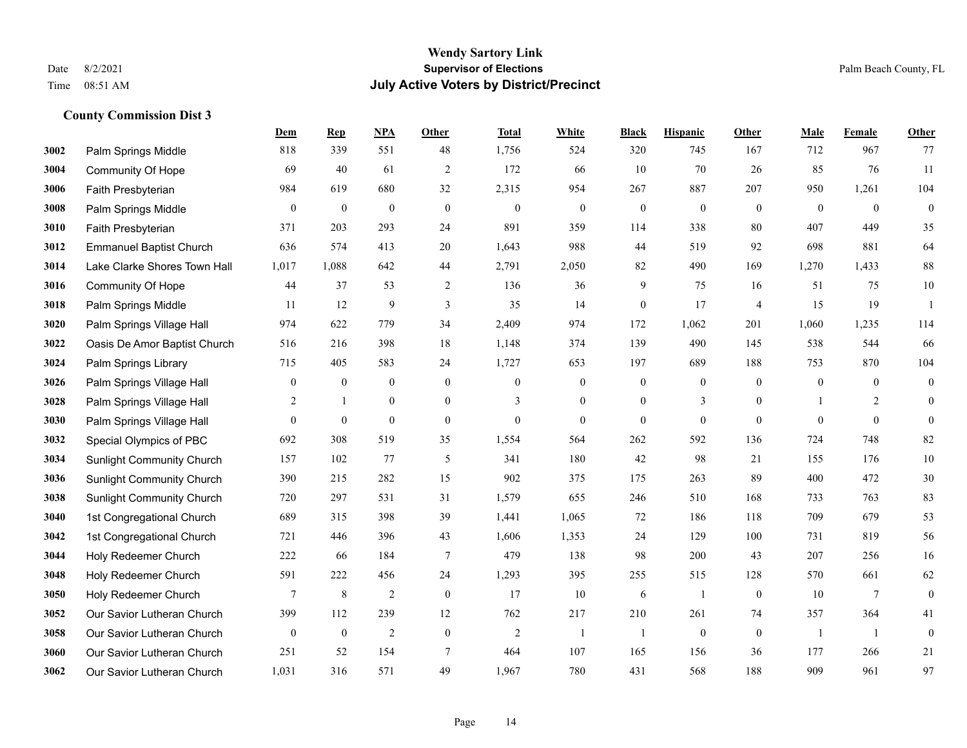|      |                                  | Dem              | <b>Rep</b>       | NPA              | <b>Other</b>     | <b>Total</b>   | <b>White</b>     | <b>Black</b>     | <b>Hispanic</b>  | <b>Other</b>   | <b>Male</b>    | Female         | <b>Other</b>     |
|------|----------------------------------|------------------|------------------|------------------|------------------|----------------|------------------|------------------|------------------|----------------|----------------|----------------|------------------|
| 3002 | Palm Springs Middle              | 818              | 339              | 551              | 48               | 1,756          | 524              | 320              | 745              | 167            | 712            | 967            | 77               |
| 3004 | <b>Community Of Hope</b>         | 69               | 40               | 61               | $\overline{2}$   | 172            | 66               | 10               | 70               | 26             | 85             | 76             | 11               |
| 3006 | Faith Presbyterian               | 984              | 619              | 680              | 32               | 2,315          | 954              | 267              | 887              | 207            | 950            | 1,261          | 104              |
| 3008 | Palm Springs Middle              | $\boldsymbol{0}$ | $\boldsymbol{0}$ | $\boldsymbol{0}$ | $\boldsymbol{0}$ | $\mathbf{0}$   | $\boldsymbol{0}$ | $\boldsymbol{0}$ | $\boldsymbol{0}$ | $\mathbf{0}$   | $\mathbf{0}$   | $\mathbf{0}$   | $\boldsymbol{0}$ |
| 3010 | Faith Presbyterian               | 371              | 203              | 293              | 24               | 891            | 359              | 114              | 338              | 80             | 407            | 449            | 35               |
| 3012 | <b>Emmanuel Baptist Church</b>   | 636              | 574              | 413              | 20               | 1,643          | 988              | 44               | 519              | 92             | 698            | 881            | 64               |
| 3014 | Lake Clarke Shores Town Hall     | 1,017            | 1,088            | 642              | 44               | 2,791          | 2,050            | 82               | 490              | 169            | 1,270          | 1,433          | 88               |
| 3016 | <b>Community Of Hope</b>         | 44               | 37               | 53               | 2                | 136            | 36               | 9                | 75               | 16             | 51             | 75             | 10               |
| 3018 | Palm Springs Middle              | 11               | 12               | 9                | 3                | 35             | 14               | $\boldsymbol{0}$ | 17               | $\overline{4}$ | 15             | 19             | -1               |
| 3020 | Palm Springs Village Hall        | 974              | 622              | 779              | 34               | 2,409          | 974              | 172              | 1,062            | 201            | 1,060          | 1,235          | 114              |
| 3022 | Oasis De Amor Baptist Church     | 516              | 216              | 398              | 18               | 1,148          | 374              | 139              | 490              | 145            | 538            | 544            | 66               |
| 3024 | Palm Springs Library             | 715              | 405              | 583              | 24               | 1,727          | 653              | 197              | 689              | 188            | 753            | 870            | 104              |
| 3026 | Palm Springs Village Hall        | $\mathbf{0}$     | $\bf{0}$         | $\boldsymbol{0}$ | $\overline{0}$   | $\theta$       | $\boldsymbol{0}$ | $\boldsymbol{0}$ | $\boldsymbol{0}$ | $\theta$       | $\mathbf{0}$   | $\theta$       | $\boldsymbol{0}$ |
| 3028 | Palm Springs Village Hall        | $\overline{2}$   | 1                | $\boldsymbol{0}$ | $\boldsymbol{0}$ | 3              | $\boldsymbol{0}$ | $\boldsymbol{0}$ | 3                | $\bf{0}$       |                | $\overline{2}$ | $\boldsymbol{0}$ |
| 3030 | Palm Springs Village Hall        | $\overline{0}$   | $\bf{0}$         | $\mathbf{0}$     | $\overline{0}$   | $\mathbf{0}$   | $\overline{0}$   | $\boldsymbol{0}$ | $\mathbf{0}$     | $\overline{0}$ | $\theta$       | $\mathbf{0}$   | $\mathbf{0}$     |
| 3032 | Special Olympics of PBC          | 692              | 308              | 519              | 35               | 1,554          | 564              | 262              | 592              | 136            | 724            | 748            | 82               |
| 3034 | <b>Sunlight Community Church</b> | 157              | 102              | 77               | 5                | 341            | 180              | 42               | 98               | 21             | 155            | 176            | $10\,$           |
| 3036 | <b>Sunlight Community Church</b> | 390              | 215              | 282              | 15               | 902            | 375              | 175              | 263              | 89             | 400            | 472            | $30\,$           |
| 3038 | <b>Sunlight Community Church</b> | 720              | 297              | 531              | 31               | 1,579          | 655              | 246              | 510              | 168            | 733            | 763            | 83               |
| 3040 | 1st Congregational Church        | 689              | 315              | 398              | 39               | 1,441          | 1,065            | 72               | 186              | 118            | 709            | 679            | 53               |
| 3042 | 1st Congregational Church        | 721              | 446              | 396              | 43               | 1,606          | 1,353            | 24               | 129              | 100            | 731            | 819            | 56               |
| 3044 | Holy Redeemer Church             | 222              | 66               | 184              | $\tau$           | 479            | 138              | 98               | 200              | 43             | 207            | 256            | 16               |
| 3048 | Holy Redeemer Church             | 591              | 222              | 456              | 24               | 1,293          | 395              | 255              | 515              | 128            | 570            | 661            | 62               |
| 3050 | Holy Redeemer Church             | $\tau$           | 8                | $\overline{2}$   | $\mathbf{0}$     | 17             | 10               | 6                | 1                | $\overline{0}$ | 10             | 7              | $\boldsymbol{0}$ |
| 3052 | Our Savior Lutheran Church       | 399              | 112              | 239              | 12               | 762            | 217              | 210              | 261              | 74             | 357            | 364            | 41               |
| 3058 | Our Savior Lutheran Church       | $\mathbf{0}$     | $\bf{0}$         | $\overline{2}$   | $\mathbf{0}$     | $\overline{2}$ | -1               | 1                | $\mathbf{0}$     | $\overline{0}$ | $\overline{1}$ | -1             | $\boldsymbol{0}$ |
| 3060 | Our Savior Lutheran Church       | 251              | 52               | 154              | $\tau$           | 464            | 107              | 165              | 156              | 36             | 177            | 266            | 21               |
| 3062 | Our Savior Lutheran Church       | 1,031            | 316              | 571              | 49               | 1,967          | 780              | 431              | 568              | 188            | 909            | 961            | 97               |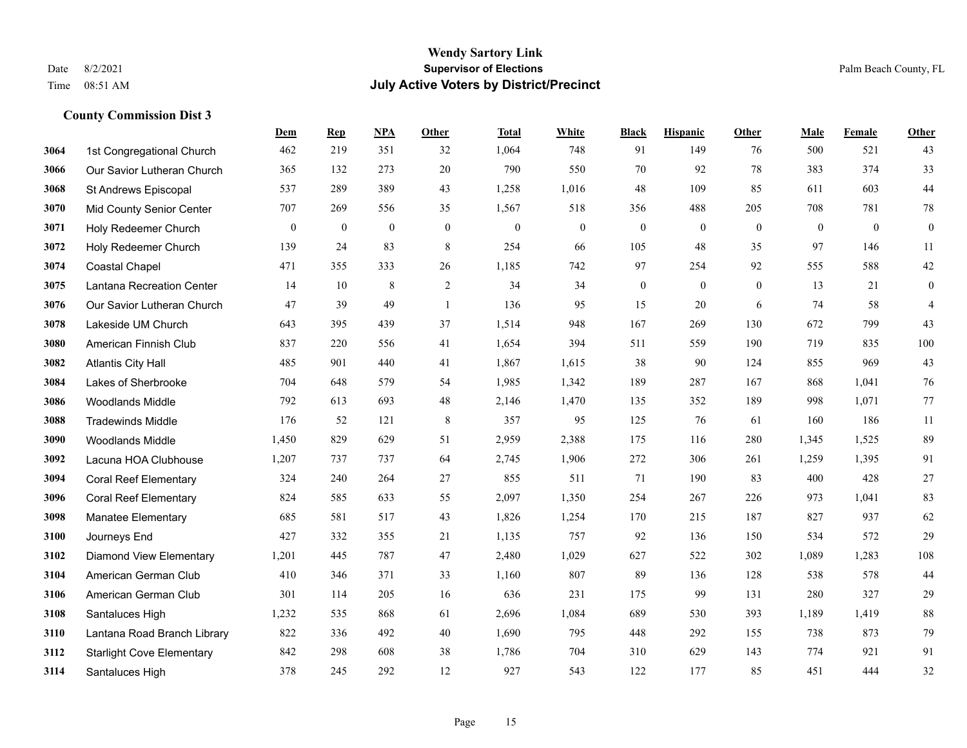#### **Wendy Sartory Link** Date 8/2/2021 **Supervisor of Elections** Palm Beach County, FL Time 08:51 AM **July Active Voters by District/Precinct**

# **Dem Rep NPA Other Total White Black Hispanic Other Male Female Other** 1st Congregational Church 462 219 351 32 1,064 748 91 149 76 500 521 43 Our Savior Lutheran Church 365 132 273 20 790 550 70 92 78 383 374 33 St Andrews Episcopal 537 289 389 43 1,258 1,016 48 109 85 611 603 44 Mid County Senior Center 707 269 556 35 1,567 518 356 488 205 708 781 78 Holy Redeemer Church 0 0 0 0 0 0 0 0 0 0 0 0 Holy Redeemer Church 139 24 83 8 254 66 105 48 35 97 146 11 Coastal Chapel 471 355 333 26 1,185 742 97 254 92 555 588 42 Lantana Recreation Center 14 10 8 2 34 34 0 0 0 13 21 0 Our Savior Lutheran Church 47 39 49 1 136 95 15 20 6 74 58 4 Lakeside UM Church 643 395 439 37 1,514 948 167 269 130 672 799 43 American Finnish Club 837 220 556 41 1,654 394 511 559 190 719 835 100 Atlantis City Hall 485 901 440 41 1,867 1,615 38 90 124 855 969 43 Lakes of Sherbrooke 704 648 579 54 1,985 1,342 189 287 167 868 1,041 76 Woodlands Middle 792 613 693 48 2,146 1,470 135 352 189 998 1,071 77 Tradewinds Middle 176 52 121 8 357 95 125 76 61 160 186 11 Woodlands Middle 1,450 829 629 51 2,959 2,388 175 116 280 1,345 1,525 89 Lacuna HOA Clubhouse 1,207 737 737 64 2,745 1,906 272 306 261 1,259 1,395 91 Coral Reef Elementary 324 240 264 27 855 511 71 190 83 400 428 27 Coral Reef Elementary 824 585 633 55 2,097 1,350 254 267 226 973 1,041 83 Manatee Elementary 685 581 517 43 1,826 1,254 170 215 187 827 937 62 Journeys End 427 332 355 21 1,135 757 92 136 150 534 572 29 Diamond View Elementary 1,201 445 787 47 2,480 1,029 627 522 302 1,089 1,283 108 American German Club 410 346 371 33 1,160 807 89 136 128 538 578 44 American German Club 301 114 205 16 636 231 175 99 131 280 327 29 Santaluces High 1,232 535 868 61 2,696 1,084 689 530 393 1,189 1,419 88 Lantana Road Branch Library 822 336 492 40 1,690 795 448 292 155 738 873 79 Starlight Cove Elementary 842 298 608 38 1,786 704 310 629 143 774 921 91 Santaluces High 378 245 292 12 927 543 122 177 85 451 444 32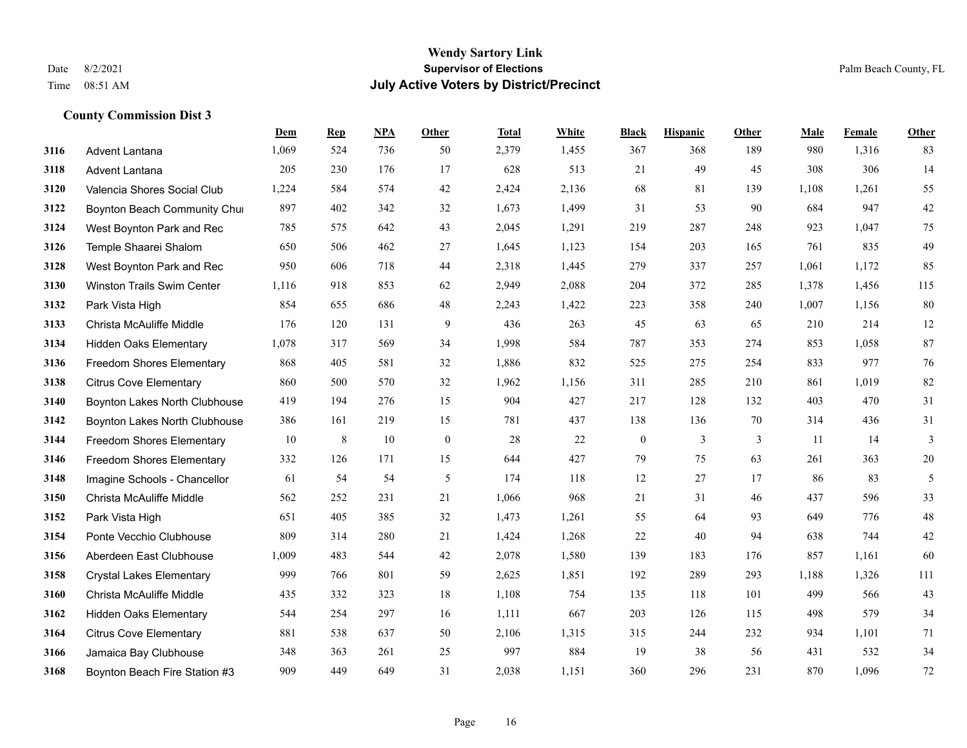|      |                                  | Dem   | <b>Rep</b> | NPA | <b>Other</b>     | <b>Total</b> | White | <b>Black</b>     | <b>Hispanic</b> | Other | <b>Male</b> | Female | <b>Other</b> |
|------|----------------------------------|-------|------------|-----|------------------|--------------|-------|------------------|-----------------|-------|-------------|--------|--------------|
| 3116 | <b>Advent Lantana</b>            | 1,069 | 524        | 736 | 50               | 2,379        | 1,455 | 367              | 368             | 189   | 980         | 1,316  | 83           |
| 3118 | Advent Lantana                   | 205   | 230        | 176 | 17               | 628          | 513   | 21               | 49              | 45    | 308         | 306    | 14           |
| 3120 | Valencia Shores Social Club      | 1,224 | 584        | 574 | 42               | 2,424        | 2,136 | 68               | 81              | 139   | 1,108       | 1,261  | 55           |
| 3122 | Boynton Beach Community Chui     | 897   | 402        | 342 | 32               | 1,673        | 1,499 | 31               | 53              | 90    | 684         | 947    | $42\,$       |
| 3124 | West Boynton Park and Rec        | 785   | 575        | 642 | 43               | 2,045        | 1,291 | 219              | 287             | 248   | 923         | 1.047  | 75           |
| 3126 | Temple Shaarei Shalom            | 650   | 506        | 462 | 27               | 1,645        | 1,123 | 154              | 203             | 165   | 761         | 835    | 49           |
| 3128 | West Boynton Park and Rec        | 950   | 606        | 718 | 44               | 2,318        | 1,445 | 279              | 337             | 257   | 1,061       | 1,172  | 85           |
| 3130 | Winston Trails Swim Center       | 1,116 | 918        | 853 | 62               | 2,949        | 2,088 | 204              | 372             | 285   | 1,378       | 1,456  | 115          |
| 3132 | Park Vista High                  | 854   | 655        | 686 | 48               | 2,243        | 1,422 | 223              | 358             | 240   | 1,007       | 1,156  | $80\,$       |
| 3133 | Christa McAuliffe Middle         | 176   | 120        | 131 | 9                | 436          | 263   | 45               | 63              | 65    | 210         | 214    | 12           |
| 3134 | <b>Hidden Oaks Elementary</b>    | 1,078 | 317        | 569 | 34               | 1,998        | 584   | 787              | 353             | 274   | 853         | 1.058  | 87           |
| 3136 | Freedom Shores Elementary        | 868   | 405        | 581 | 32               | 1,886        | 832   | 525              | 275             | 254   | 833         | 977    | 76           |
| 3138 | <b>Citrus Cove Elementary</b>    | 860   | 500        | 570 | 32               | 1,962        | 1,156 | 311              | 285             | 210   | 861         | 1,019  | 82           |
| 3140 | Boynton Lakes North Clubhouse    | 419   | 194        | 276 | 15               | 904          | 427   | 217              | 128             | 132   | 403         | 470    | 31           |
| 3142 | Boynton Lakes North Clubhouse    | 386   | 161        | 219 | 15               | 781          | 437   | 138              | 136             | 70    | 314         | 436    | 31           |
| 3144 | Freedom Shores Elementary        | 10    | 8          | 10  | $\boldsymbol{0}$ | 28           | 22    | $\boldsymbol{0}$ | $\mathfrak{Z}$  | 3     | 11          | 14     | 3            |
| 3146 | <b>Freedom Shores Elementary</b> | 332   | 126        | 171 | 15               | 644          | 427   | 79               | 75              | 63    | 261         | 363    | $20\,$       |
| 3148 | Imagine Schools - Chancellor     | 61    | 54         | 54  | 5                | 174          | 118   | 12               | 27              | 17    | 86          | 83     | 5            |
| 3150 | Christa McAuliffe Middle         | 562   | 252        | 231 | 21               | 1,066        | 968   | 21               | 31              | 46    | 437         | 596    | 33           |
| 3152 | Park Vista High                  | 651   | 405        | 385 | 32               | 1,473        | 1,261 | 55               | 64              | 93    | 649         | 776    | 48           |
| 3154 | Ponte Vecchio Clubhouse          | 809   | 314        | 280 | 21               | 1,424        | 1,268 | 22               | 40              | 94    | 638         | 744    | 42           |
| 3156 | Aberdeen East Clubhouse          | 1,009 | 483        | 544 | 42               | 2,078        | 1,580 | 139              | 183             | 176   | 857         | 1,161  | 60           |
| 3158 | <b>Crystal Lakes Elementary</b>  | 999   | 766        | 801 | 59               | 2,625        | 1,851 | 192              | 289             | 293   | 1,188       | 1,326  | 111          |
| 3160 | Christa McAuliffe Middle         | 435   | 332        | 323 | 18               | 1,108        | 754   | 135              | 118             | 101   | 499         | 566    | 43           |
| 3162 | <b>Hidden Oaks Elementary</b>    | 544   | 254        | 297 | 16               | 1,111        | 667   | 203              | 126             | 115   | 498         | 579    | 34           |
| 3164 | <b>Citrus Cove Elementary</b>    | 881   | 538        | 637 | 50               | 2,106        | 1,315 | 315              | 244             | 232   | 934         | 1,101  | 71           |
| 3166 | Jamaica Bay Clubhouse            | 348   | 363        | 261 | 25               | 997          | 884   | 19               | 38              | 56    | 431         | 532    | 34           |
| 3168 | Boynton Beach Fire Station #3    | 909   | 449        | 649 | 31               | 2,038        | 1,151 | 360              | 296             | 231   | 870         | 1,096  | 72           |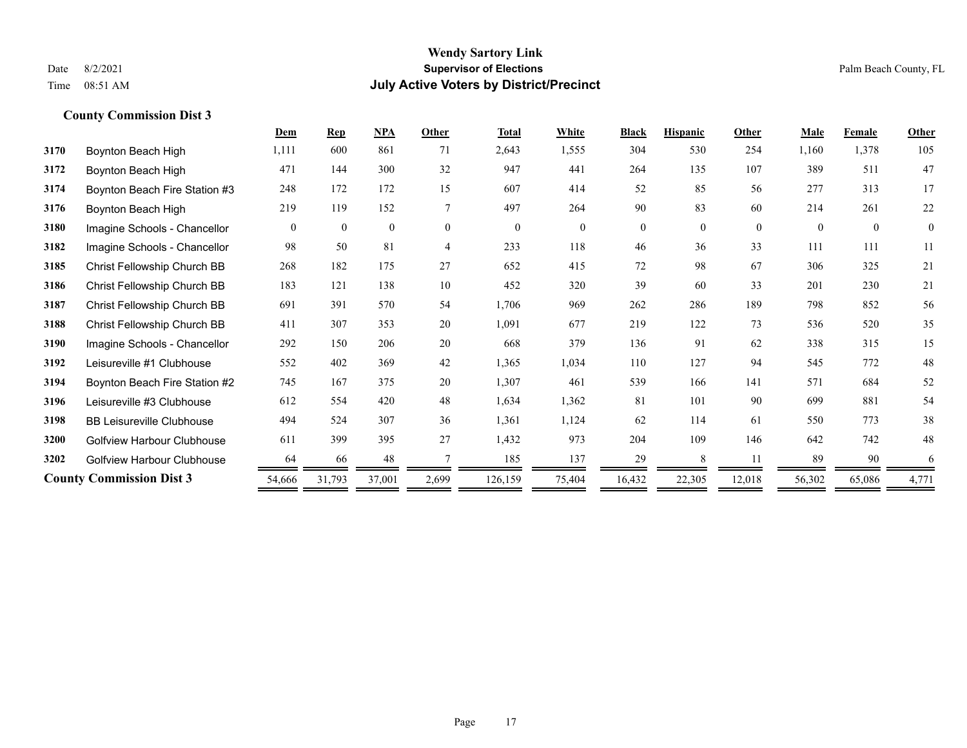|      |                                   | Dem      | <b>Rep</b>   | NPA          | <b>Other</b>   | <b>Total</b> | White        | <b>Black</b>   | <b>Hispanic</b> | Other    | Male     | <b>Female</b> | Other          |
|------|-----------------------------------|----------|--------------|--------------|----------------|--------------|--------------|----------------|-----------------|----------|----------|---------------|----------------|
| 3170 | Boynton Beach High                | 1,111    | 600          | 861          | 71             | 2,643        | 1,555        | 304            | 530             | 254      | 1,160    | 1,378         | 105            |
| 3172 | Boynton Beach High                | 471      | 144          | 300          | 32             | 947          | 441          | 264            | 135             | 107      | 389      | 511           | 47             |
| 3174 | Boynton Beach Fire Station #3     | 248      | 172          | 172          | 15             | 607          | 414          | 52             | 85              | 56       | 277      | 313           | 17             |
| 3176 | Boynton Beach High                | 219      | 119          | 152          | 7              | 497          | 264          | 90             | 83              | 60       | 214      | 261           | 22             |
| 3180 | Imagine Schools - Chancellor      | $\theta$ | $\mathbf{0}$ | $\mathbf{0}$ | $\theta$       | $\theta$     | $\mathbf{0}$ | $\overline{0}$ | $\Omega$        | $\theta$ | $\Omega$ | $\theta$      | $\overline{0}$ |
| 3182 | Imagine Schools - Chancellor      | 98       | 50           | 81           | $\overline{4}$ | 233          | 118          | 46             | 36              | 33       | 111      | 111           | 11             |
| 3185 | Christ Fellowship Church BB       | 268      | 182          | 175          | 27             | 652          | 415          | 72             | 98              | 67       | 306      | 325           | 21             |
| 3186 | Christ Fellowship Church BB       | 183      | 121          | 138          | 10             | 452          | 320          | 39             | 60              | 33       | 201      | 230           | 21             |
| 3187 | Christ Fellowship Church BB       | 691      | 391          | 570          | 54             | 1,706        | 969          | 262            | 286             | 189      | 798      | 852           | 56             |
| 3188 | Christ Fellowship Church BB       | 411      | 307          | 353          | 20             | 1,091        | 677          | 219            | 122             | 73       | 536      | 520           | 35             |
| 3190 | Imagine Schools - Chancellor      | 292      | 150          | 206          | 20             | 668          | 379          | 136            | 91              | 62       | 338      | 315           | 15             |
| 3192 | Leisureville #1 Clubhouse         | 552      | 402          | 369          | 42             | 1,365        | 1,034        | 110            | 127             | 94       | 545      | 772           | 48             |
| 3194 | Boynton Beach Fire Station #2     | 745      | 167          | 375          | 20             | 1,307        | 461          | 539            | 166             | 141      | 571      | 684           | 52             |
| 3196 | Leisureville #3 Clubhouse         | 612      | 554          | 420          | 48             | 1,634        | 1,362        | 81             | 101             | 90       | 699      | 881           | 54             |
| 3198 | <b>BB Leisureville Clubhouse</b>  | 494      | 524          | 307          | 36             | 1,361        | 1,124        | 62             | 114             | 61       | 550      | 773           | 38             |
| 3200 | <b>Golfview Harbour Clubhouse</b> | 611      | 399          | 395          | 27             | 1,432        | 973          | 204            | 109             | 146      | 642      | 742           | 48             |
| 3202 | <b>Golfview Harbour Clubhouse</b> | 64       | -66          | 48           |                | 185          | 137          | 29             | $\mathbf{8}$    | 11       | 89       | 90            | 6              |
|      | <b>County Commission Dist 3</b>   | 54,666   | 31,793       | 37,001       | 2,699          | 126,159      | 75,404       | 16,432         | 22,305          | 12,018   | 56,302   | 65,086        | 4,771          |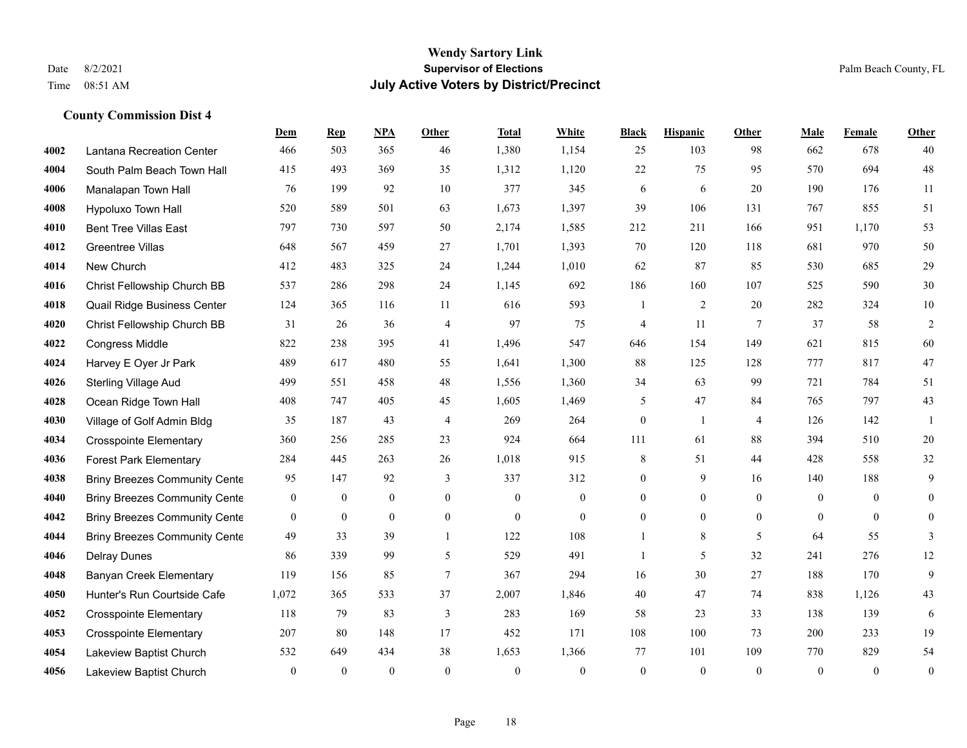|      |                                      | Dem          | <b>Rep</b>       | NPA              | <b>Other</b>   | <b>Total</b> | <b>White</b>     | <b>Black</b>     | <b>Hispanic</b>  | <b>Other</b>    | <b>Male</b>  | Female         | <b>Other</b>     |
|------|--------------------------------------|--------------|------------------|------------------|----------------|--------------|------------------|------------------|------------------|-----------------|--------------|----------------|------------------|
| 4002 | Lantana Recreation Center            | 466          | 503              | 365              | 46             | 1,380        | 1,154            | 25               | 103              | 98              | 662          | 678            | 40               |
| 4004 | South Palm Beach Town Hall           | 415          | 493              | 369              | 35             | 1,312        | 1,120            | 22               | 75               | 95              | 570          | 694            | $48\,$           |
| 4006 | Manalapan Town Hall                  | 76           | 199              | 92               | 10             | 377          | 345              | 6                | 6                | 20              | 190          | 176            | 11               |
| 4008 | Hypoluxo Town Hall                   | 520          | 589              | 501              | 63             | 1,673        | 1,397            | 39               | 106              | 131             | 767          | 855            | 51               |
| 4010 | <b>Bent Tree Villas East</b>         | 797          | 730              | 597              | 50             | 2,174        | 1,585            | 212              | 211              | 166             | 951          | 1.170          | 53               |
| 4012 | <b>Greentree Villas</b>              | 648          | 567              | 459              | 27             | 1,701        | 1,393            | 70               | 120              | 118             | 681          | 970            | $50\,$           |
| 4014 | New Church                           | 412          | 483              | 325              | 24             | 1,244        | 1,010            | 62               | 87               | 85              | 530          | 685            | 29               |
| 4016 | Christ Fellowship Church BB          | 537          | 286              | 298              | 24             | 1,145        | 692              | 186              | 160              | 107             | 525          | 590            | 30               |
| 4018 | Quail Ridge Business Center          | 124          | 365              | 116              | 11             | 616          | 593              | 1                | 2                | 20              | 282          | 324            | $10\,$           |
| 4020 | Christ Fellowship Church BB          | 31           | 26               | 36               | $\overline{4}$ | 97           | 75               | $\overline{4}$   | 11               | $7\phantom{.0}$ | 37           | 58             | $\overline{2}$   |
| 4022 | Congress Middle                      | 822          | 238              | 395              | 41             | 1,496        | 547              | 646              | 154              | 149             | 621          | 815            | 60               |
| 4024 | Harvey E Oyer Jr Park                | 489          | 617              | 480              | 55             | 1,641        | 1,300            | 88               | 125              | 128             | 777          | 817            | 47               |
| 4026 | <b>Sterling Village Aud</b>          | 499          | 551              | 458              | 48             | 1,556        | 1,360            | 34               | 63               | 99              | 721          | 784            | 51               |
| 4028 | Ocean Ridge Town Hall                | 408          | 747              | 405              | 45             | 1,605        | 1,469            | 5                | 47               | 84              | 765          | 797            | 43               |
| 4030 | Village of Golf Admin Bldg           | 35           | 187              | 43               | $\overline{4}$ | 269          | 264              | $\boldsymbol{0}$ | 1                | $\overline{4}$  | 126          | 142            | 1                |
| 4034 | <b>Crosspointe Elementary</b>        | 360          | 256              | 285              | 23             | 924          | 664              | 111              | 61               | 88              | 394          | 510            | 20               |
| 4036 | <b>Forest Park Elementary</b>        | 284          | 445              | 263              | 26             | 1,018        | 915              | 8                | 51               | 44              | 428          | 558            | 32               |
| 4038 | <b>Briny Breezes Community Cente</b> | 95           | 147              | 92               | 3              | 337          | 312              | $\boldsymbol{0}$ | 9                | 16              | 140          | 188            | 9                |
| 4040 | <b>Briny Breezes Community Cente</b> | $\mathbf{0}$ | $\bf{0}$         | $\boldsymbol{0}$ | $\overline{0}$ | $\theta$     | $\boldsymbol{0}$ | $\overline{0}$   | $\mathbf{0}$     | $\theta$        | $\mathbf{0}$ | $\overline{0}$ | $\mathbf{0}$     |
| 4042 | <b>Briny Breezes Community Cente</b> | $\bf{0}$     | $\boldsymbol{0}$ | $\boldsymbol{0}$ | $\mathbf{0}$   | $\mathbf{0}$ | $\boldsymbol{0}$ | $\boldsymbol{0}$ | $\boldsymbol{0}$ | $\mathbf{0}$    | $\mathbf{0}$ | $\mathbf{0}$   | $\boldsymbol{0}$ |
| 4044 | <b>Briny Breezes Community Cente</b> | 49           | 33               | 39               | $\mathbf{1}$   | 122          | 108              | $\mathbf{1}$     | 8                | 5               | 64           | 55             | 3                |
| 4046 | <b>Delray Dunes</b>                  | 86           | 339              | 99               | 5              | 529          | 491              | 1                | 5                | 32              | 241          | 276            | 12               |
| 4048 | <b>Banyan Creek Elementary</b>       | 119          | 156              | 85               | $\tau$         | 367          | 294              | 16               | 30               | 27              | 188          | 170            | 9                |
| 4050 | Hunter's Run Courtside Cafe          | 1,072        | 365              | 533              | 37             | 2,007        | 1,846            | 40               | 47               | 74              | 838          | 1,126          | 43               |
| 4052 | <b>Crosspointe Elementary</b>        | 118          | 79               | 83               | 3              | 283          | 169              | 58               | 23               | 33              | 138          | 139            | 6                |
| 4053 | <b>Crosspointe Elementary</b>        | 207          | 80               | 148              | 17             | 452          | 171              | 108              | 100              | 73              | 200          | 233            | 19               |
| 4054 | Lakeview Baptist Church              | 532          | 649              | 434              | 38             | 1,653        | 1,366            | 77               | 101              | 109             | 770          | 829            | 54               |
| 4056 | Lakeview Baptist Church              | $\mathbf{0}$ | $\mathbf{0}$     | $\mathbf{0}$     | $\theta$       | $\theta$     | $\mathbf{0}$     | $\mathbf{0}$     | $\theta$         | $\mathbf{0}$    | $\theta$     | $\mathbf{0}$   | $\boldsymbol{0}$ |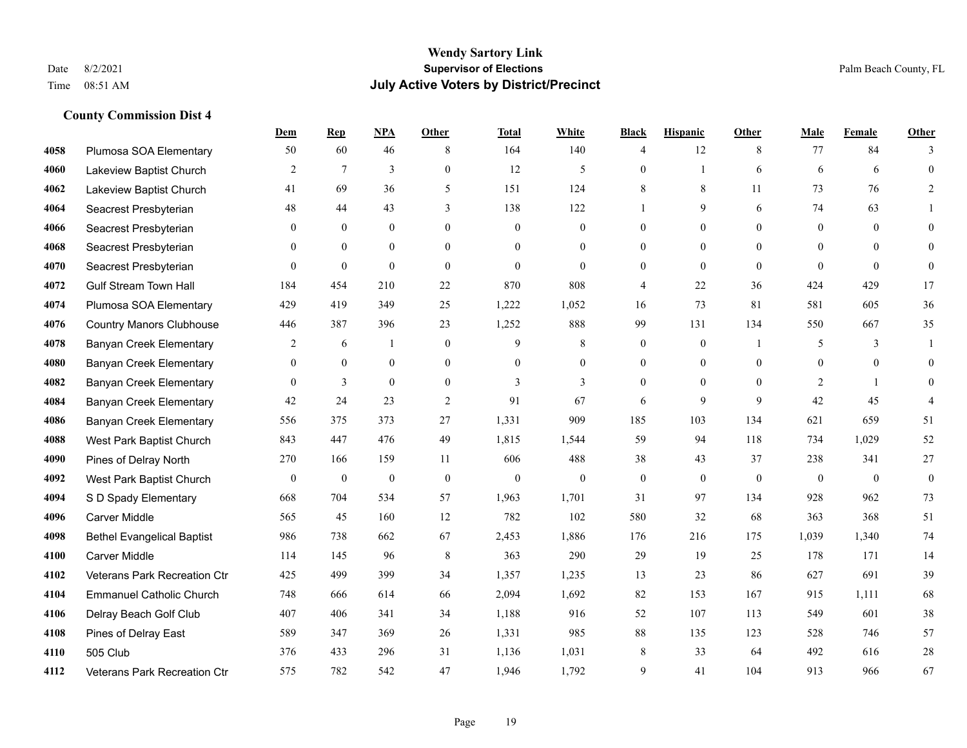#### **Wendy Sartory Link** Date 8/2/2021 **Supervisor of Elections** Palm Beach County, FL Time 08:51 AM **July Active Voters by District/Precinct**

# **Dem Rep NPA Other Total White Black Hispanic Other Male Female Other** Plumosa SOA Elementary 50 60 46 8 164 140 4 12 8 77 84 3 Lakeview Baptist Church 2 7 3 0 12 5 0 1 6 6 6 0 Lakeview Baptist Church 41 69 36 5 151 124 8 8 11 73 76 2 Seacrest Presbyterian **48** 44 43 3 138 122 1 9 6 74 63 1 Seacrest Presbyterian 0 0 0 0 0 0 0 0 0 0 0 0 Seacrest Presbyterian 0 0 0 0 0 0 0 0 0 0 0 0 Seacrest Presbyterian 0 0 0 0 0 0 0 0 0 0 0 0 Gulf Stream Town Hall 184 454 210 22 870 808 4 22 36 424 429 17 Plumosa SOA Elementary 429 419 349 25 1,222 1,052 16 73 81 581 605 36 Country Manors Clubhouse 446 387 396 23 1,252 888 99 131 134 550 667 35 Banyan Creek Elementary 2 6 1 0 9 8 0 0 1 5 3 1 Banyan Creek Elementary 0 0 0 0 0 0 0 0 0 0 0 0 **4082 Banyan Creek Elementary 0 3 0 0 3 3 3 0 0 0 2 1 0**  Banyan Creek Elementary 42 24 23 2 91 67 6 9 9 42 45 4 Banyan Creek Elementary 556 375 373 27 1,331 909 185 103 134 621 659 51 West Park Baptist Church 843 447 476 49 1,815 1,544 59 94 118 734 1,029 52 Pines of Delray North 270 166 159 11 606 488 38 43 37 238 341 27 West Park Baptist Church 0 0 0 0 0 0 0 0 0 0 0 0 S D Spady Elementary 668 704 534 57 1,963 1,701 31 97 134 928 962 73 Carver Middle 565 45 160 12 782 102 580 32 68 363 368 51 Bethel Evangelical Baptist 986 738 662 67 2,453 1,886 176 216 175 1,039 1,340 74 Carver Middle 114 145 96 8 363 290 29 19 25 178 171 14 Veterans Park Recreation Ctr 425 499 399 34 1,357 1,235 13 23 86 627 691 39 Emmanuel Catholic Church 748 666 614 66 2,094 1,692 82 153 167 915 1,111 68 Delray Beach Golf Club 407 406 341 34 1,188 916 52 107 113 549 601 38 Pines of Delray East 589 347 369 26 1,331 985 88 135 123 528 746 57 505 Club 376 433 296 31 1,136 1,031 8 33 64 492 616 28 Veterans Park Recreation Ctr 575 782 542 47 1,946 1,792 9 41 104 913 966 67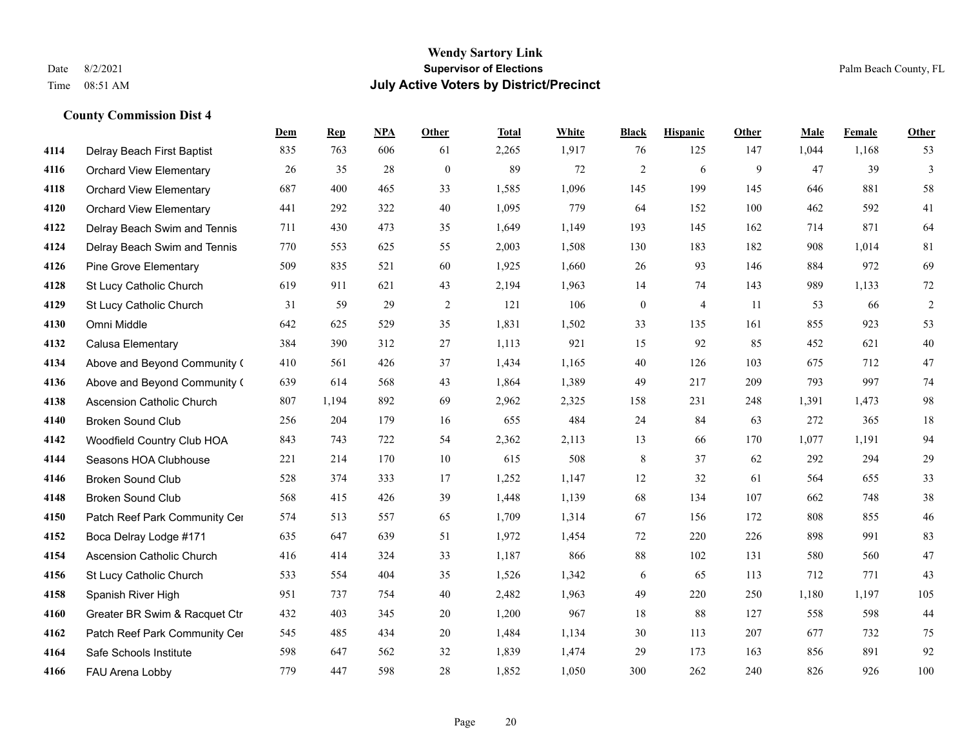|      |                                  | Dem | <b>Rep</b> | NPA | <b>Other</b>   | <b>Total</b> | White | <b>Black</b>     | <b>Hispanic</b> | <b>Other</b> | <b>Male</b> | Female | <b>Other</b>   |
|------|----------------------------------|-----|------------|-----|----------------|--------------|-------|------------------|-----------------|--------------|-------------|--------|----------------|
| 4114 | Delray Beach First Baptist       | 835 | 763        | 606 | 61             | 2,265        | 1,917 | 76               | 125             | 147          | 1,044       | 1,168  | 53             |
| 4116 | <b>Orchard View Elementary</b>   | 26  | 35         | 28  | $\mathbf{0}$   | 89           | 72    | $\overline{c}$   | 6               | 9            | 47          | 39     | 3              |
| 4118 | <b>Orchard View Elementary</b>   | 687 | 400        | 465 | 33             | 1,585        | 1,096 | 145              | 199             | 145          | 646         | 881    | 58             |
| 4120 | <b>Orchard View Elementary</b>   | 441 | 292        | 322 | 40             | 1,095        | 779   | 64               | 152             | 100          | 462         | 592    | 41             |
| 4122 | Delray Beach Swim and Tennis     | 711 | 430        | 473 | 35             | 1,649        | 1,149 | 193              | 145             | 162          | 714         | 871    | 64             |
| 4124 | Delray Beach Swim and Tennis     | 770 | 553        | 625 | 55             | 2,003        | 1,508 | 130              | 183             | 182          | 908         | 1,014  | 81             |
| 4126 | <b>Pine Grove Elementary</b>     | 509 | 835        | 521 | 60             | 1,925        | 1,660 | 26               | 93              | 146          | 884         | 972    | 69             |
| 4128 | St Lucy Catholic Church          | 619 | 911        | 621 | 43             | 2,194        | 1,963 | 14               | 74              | 143          | 989         | 1,133  | 72             |
| 4129 | St Lucy Catholic Church          | 31  | 59         | 29  | $\overline{2}$ | 121          | 106   | $\boldsymbol{0}$ | $\overline{4}$  | 11           | 53          | 66     | $\overline{2}$ |
| 4130 | Omni Middle                      | 642 | 625        | 529 | 35             | 1,831        | 1,502 | 33               | 135             | 161          | 855         | 923    | 53             |
| 4132 | Calusa Elementary                | 384 | 390        | 312 | 27             | 1,113        | 921   | 15               | 92              | 85           | 452         | 621    | 40             |
| 4134 | Above and Beyond Community (     | 410 | 561        | 426 | 37             | 1,434        | 1,165 | 40               | 126             | 103          | 675         | 712    | 47             |
| 4136 | Above and Beyond Community (     | 639 | 614        | 568 | 43             | 1,864        | 1,389 | 49               | 217             | 209          | 793         | 997    | 74             |
| 4138 | <b>Ascension Catholic Church</b> | 807 | 1,194      | 892 | 69             | 2,962        | 2,325 | 158              | 231             | 248          | 1,391       | 1,473  | 98             |
| 4140 | <b>Broken Sound Club</b>         | 256 | 204        | 179 | 16             | 655          | 484   | 24               | 84              | 63           | 272         | 365    | 18             |
| 4142 | Woodfield Country Club HOA       | 843 | 743        | 722 | 54             | 2,362        | 2,113 | 13               | 66              | 170          | 1,077       | 1,191  | 94             |
| 4144 | Seasons HOA Clubhouse            | 221 | 214        | 170 | 10             | 615          | 508   | $\,$ 8 $\,$      | 37              | 62           | 292         | 294    | 29             |
| 4146 | <b>Broken Sound Club</b>         | 528 | 374        | 333 | 17             | 1,252        | 1,147 | 12               | 32              | 61           | 564         | 655    | 33             |
| 4148 | <b>Broken Sound Club</b>         | 568 | 415        | 426 | 39             | 1,448        | 1,139 | 68               | 134             | 107          | 662         | 748    | 38             |
| 4150 | Patch Reef Park Community Cer    | 574 | 513        | 557 | 65             | 1,709        | 1,314 | 67               | 156             | 172          | 808         | 855    | 46             |
| 4152 | Boca Delray Lodge #171           | 635 | 647        | 639 | 51             | 1,972        | 1,454 | 72               | 220             | 226          | 898         | 991    | 83             |
| 4154 | <b>Ascension Catholic Church</b> | 416 | 414        | 324 | 33             | 1,187        | 866   | $88\,$           | 102             | 131          | 580         | 560    | 47             |
| 4156 | St Lucy Catholic Church          | 533 | 554        | 404 | 35             | 1,526        | 1,342 | 6                | 65              | 113          | 712         | 771    | 43             |
| 4158 | Spanish River High               | 951 | 737        | 754 | 40             | 2,482        | 1,963 | 49               | 220             | 250          | 1,180       | 1,197  | 105            |
| 4160 | Greater BR Swim & Racquet Ctr    | 432 | 403        | 345 | 20             | 1,200        | 967   | 18               | 88              | 127          | 558         | 598    | 44             |
| 4162 | Patch Reef Park Community Cer    | 545 | 485        | 434 | 20             | 1,484        | 1,134 | 30               | 113             | 207          | 677         | 732    | 75             |
| 4164 | Safe Schools Institute           | 598 | 647        | 562 | 32             | 1,839        | 1,474 | 29               | 173             | 163          | 856         | 891    | 92             |
| 4166 | FAU Arena Lobby                  | 779 | 447        | 598 | 28             | 1,852        | 1,050 | 300              | 262             | 240          | 826         | 926    | 100            |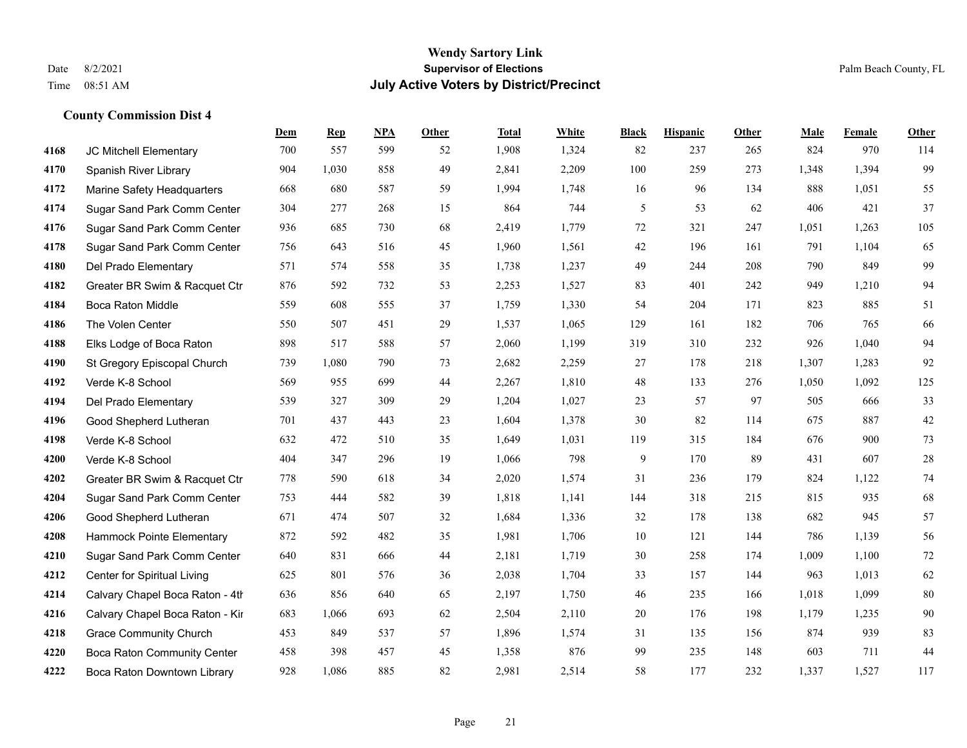#### **Wendy Sartory Link** Date 8/2/2021 **Supervisor of Elections** Palm Beach County, FL Time 08:51 AM **July Active Voters by District/Precinct**

JC Mitchell Elementary 700 557 599 52 1,908 1,324 82 237 265 824 970 114

**Dem Rep NPA Other Total White Black Hispanic Other Male Female Other**

# Spanish River Library 904 1,030 858 49 2,841 2,209 100 259 273 1,348 1,394 99 Marine Safety Headquarters 668 680 587 59 1,994 1,748 16 96 134 888 1,051 55 Sugar Sand Park Comm Center 304 277 268 15 864 744 5 53 62 406 421 37 Sugar Sand Park Comm Center 936 685 730 68 2,419 1,779 72 321 247 1,051 1,263 105 Sugar Sand Park Comm Center 756 643 516 45 1,960 1,561 42 196 161 791 1,104 65 Del Prado Elementary 571 574 558 35 1,738 1,237 49 244 208 790 849 99 Greater BR Swim & Racquet Ctr 876 592 732 53 2,253 1,527 83 401 242 949 1,210 94 Boca Raton Middle 559 608 555 37 1,759 1,330 54 204 171 823 885 51 The Volen Center 550 507 451 29 1,537 1,065 129 161 182 706 765 66 Elks Lodge of Boca Raton 898 517 588 57 2,060 1,199 319 310 232 926 1,040 94 St Gregory Episcopal Church 739 1,080 790 73 2,682 2,259 27 178 218 1,307 1,283 92 Verde K-8 School 569 955 699 44 2,267 1,810 48 133 276 1,050 1,092 125 Del Prado Elementary 539 327 309 29 1,204 1,027 23 57 97 505 666 33 Good Shepherd Lutheran 701 437 443 23 1,604 1,378 30 82 114 675 887 42 Verde K-8 School 632 472 510 35 1,649 1,031 119 315 184 676 900 73 Verde K-8 School 404 347 296 19 1,066 798 9 170 89 431 607 28 Greater BR Swim & Racquet Ctr 778 590 618 34 2,020 1,574 31 236 179 824 1,122 74 Sugar Sand Park Comm Center 753 444 582 39 1,818 1,141 144 318 215 815 935 68 Good Shepherd Lutheran 671 474 507 32 1,684 1,336 32 178 138 682 945 57 Hammock Pointe Elementary 872 592 482 35 1,981 1,706 10 121 144 786 1,139 56 Sugar Sand Park Comm Center 640 831 666 44 2,181 1,719 30 258 174 1,009 1,100 72 Center for Spiritual Living 625 801 576 36 2,038 1,704 33 157 144 963 1,013 62 4214 Calvary Chapel Boca Raton - 4th $636$   $856$   $640$   $65$   $2,197$   $1,750$   $46$   $235$   $166$   $1,018$   $1,099$   $80$

 Calvary Chapel Boca Raton - Kir 683 1,066 693 62 2,504 2,110 20 176 198 1,179 1,235 90 Grace Community Church 453 849 537 57 1,896 1,574 31 135 156 874 939 83 Boca Raton Community Center 458 398 457 45 1,358 876 99 235 148 603 711 44 Boca Raton Downtown Library 928 1,086 885 82 2,981 2,514 58 177 232 1,337 1,527 117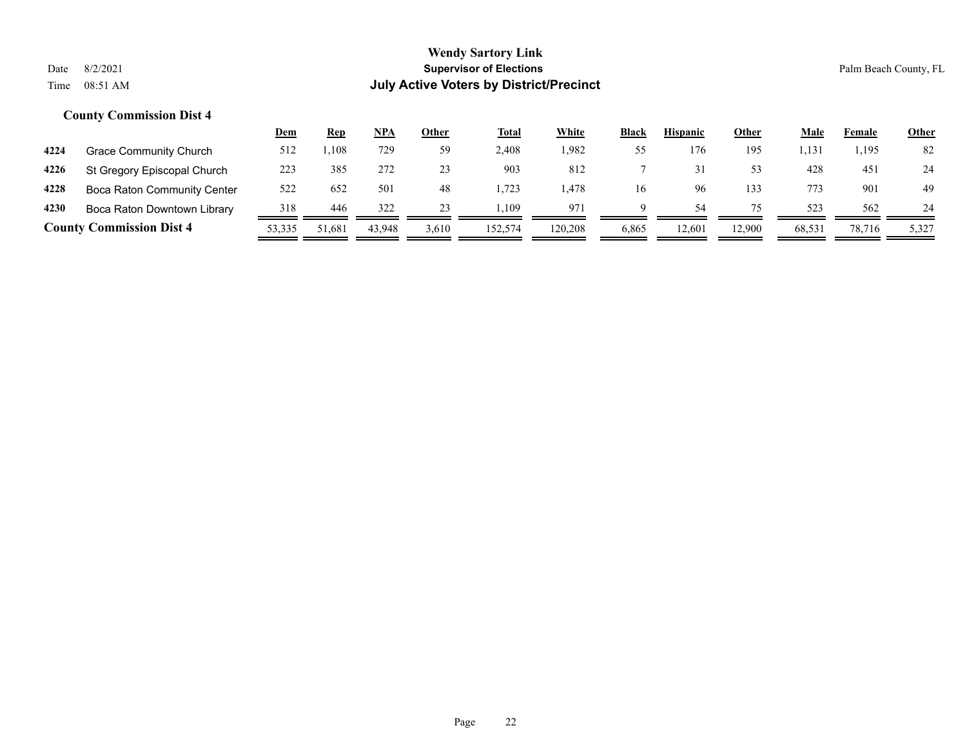|      |                                 | Dem    | <u>Rep</u> | NPA    | Other | <b>Total</b> | White   | <b>Black</b> | <b>Hispanic</b> | Other  | Male   | Female | <b>Other</b> |
|------|---------------------------------|--------|------------|--------|-------|--------------|---------|--------------|-----------------|--------|--------|--------|--------------|
| 4224 | <b>Grace Community Church</b>   | 512    | . 108      | 729    | 59    | 2,408        | 1,982   | 55           | 176             | 195    | 1,131  | 1,195  | 82           |
| 4226 | St Gregory Episcopal Church     | 223    | 385        | 272    | 23    | 903          | 812     |              |                 | 53     | 428    | 451    | 24           |
| 4228 | Boca Raton Community Center     | 522    | 652        | 501    | 48    | 1.723        | . 478   | 16           | 96              | 133    | 773    | 901    | 49           |
| 4230 | Boca Raton Downtown Library     | 318    | 446        | 322    | 23    | . 109        | 971     | a            | 54              |        | 523    | 562    | 24           |
|      | <b>County Commission Dist 4</b> | 53,335 | 51,681     | 43.948 | 3,610 | 152,574      | 120.208 | 6,865        | 12.601          | 12.900 | 68,531 | 78.716 | 5,327        |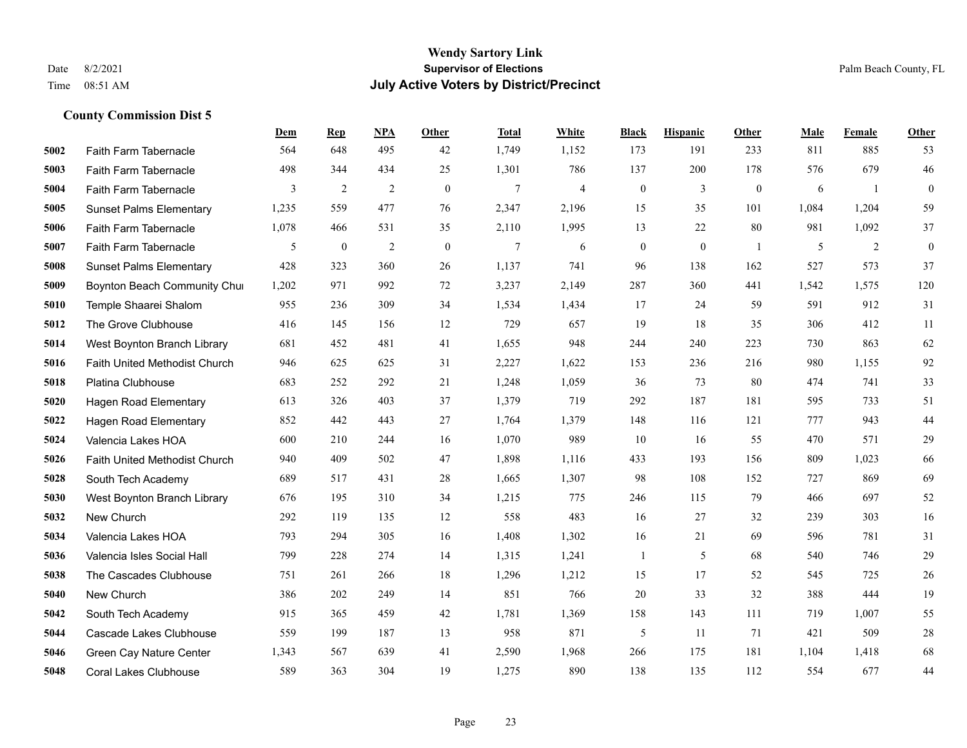|      |                                | Dem   | <b>Rep</b>   | NPA | <b>Other</b> | <b>Total</b> | <b>White</b>   | <b>Black</b>     | <b>Hispanic</b>  | <b>Other</b>   | <b>Male</b> | Female | Other            |
|------|--------------------------------|-------|--------------|-----|--------------|--------------|----------------|------------------|------------------|----------------|-------------|--------|------------------|
| 5002 | Faith Farm Tabernacle          | 564   | 648          | 495 | 42           | 1,749        | 1,152          | 173              | 191              | 233            | 811         | 885    | 53               |
| 5003 | Faith Farm Tabernacle          | 498   | 344          | 434 | 25           | 1,301        | 786            | 137              | 200              | 178            | 576         | 679    | $46\,$           |
| 5004 | Faith Farm Tabernacle          | 3     | 2            | 2   | $\mathbf{0}$ | $\tau$       | $\overline{4}$ | $\boldsymbol{0}$ | 3                | $\mathbf{0}$   | 6           | -1     | $\boldsymbol{0}$ |
| 5005 | <b>Sunset Palms Elementary</b> | 1,235 | 559          | 477 | 76           | 2,347        | 2,196          | 15               | 35               | 101            | 1,084       | 1,204  | 59               |
| 5006 | Faith Farm Tabernacle          | 1,078 | 466          | 531 | 35           | 2,110        | 1,995          | 13               | 22               | 80             | 981         | 1,092  | 37               |
| 5007 | Faith Farm Tabernacle          | 5     | $\mathbf{0}$ | 2   | $\mathbf{0}$ | 7            | 6              | $\boldsymbol{0}$ | $\boldsymbol{0}$ | $\overline{1}$ | 5           | 2      | $\mathbf{0}$     |
| 5008 | <b>Sunset Palms Elementary</b> | 428   | 323          | 360 | 26           | 1,137        | 741            | 96               | 138              | 162            | 527         | 573    | 37               |
| 5009 | Boynton Beach Community Chur   | 1,202 | 971          | 992 | 72           | 3,237        | 2,149          | 287              | 360              | 441            | 1,542       | 1.575  | 120              |
| 5010 | Temple Shaarei Shalom          | 955   | 236          | 309 | 34           | 1,534        | 1,434          | 17               | 24               | 59             | 591         | 912    | 31               |
| 5012 | The Grove Clubhouse            | 416   | 145          | 156 | 12           | 729          | 657            | 19               | 18               | 35             | 306         | 412    | 11               |
| 5014 | West Boynton Branch Library    | 681   | 452          | 481 | 41           | 1,655        | 948            | 244              | 240              | 223            | 730         | 863    | 62               |
| 5016 | Faith United Methodist Church  | 946   | 625          | 625 | 31           | 2,227        | 1,622          | 153              | 236              | 216            | 980         | 1,155  | 92               |
| 5018 | Platina Clubhouse              | 683   | 252          | 292 | 21           | 1,248        | 1,059          | 36               | 73               | 80             | 474         | 741    | 33               |
| 5020 | Hagen Road Elementary          | 613   | 326          | 403 | 37           | 1,379        | 719            | 292              | 187              | 181            | 595         | 733    | 51               |
| 5022 | <b>Hagen Road Elementary</b>   | 852   | 442          | 443 | 27           | 1,764        | 1,379          | 148              | 116              | 121            | 777         | 943    | 44               |
| 5024 | Valencia Lakes HOA             | 600   | 210          | 244 | 16           | 1,070        | 989            | 10               | 16               | 55             | 470         | 571    | 29               |
| 5026 | Faith United Methodist Church  | 940   | 409          | 502 | 47           | 1,898        | 1,116          | 433              | 193              | 156            | 809         | 1,023  | 66               |
| 5028 | South Tech Academy             | 689   | 517          | 431 | 28           | 1,665        | 1,307          | 98               | 108              | 152            | 727         | 869    | 69               |
| 5030 | West Boynton Branch Library    | 676   | 195          | 310 | 34           | 1,215        | 775            | 246              | 115              | 79             | 466         | 697    | 52               |
| 5032 | New Church                     | 292   | 119          | 135 | 12           | 558          | 483            | 16               | 27               | 32             | 239         | 303    | 16               |
| 5034 | Valencia Lakes HOA             | 793   | 294          | 305 | 16           | 1,408        | 1,302          | 16               | 21               | 69             | 596         | 781    | 31               |
| 5036 | Valencia Isles Social Hall     | 799   | 228          | 274 | 14           | 1,315        | 1,241          | $\mathbf{1}$     | 5                | 68             | 540         | 746    | 29               |
| 5038 | The Cascades Clubhouse         | 751   | 261          | 266 | 18           | 1,296        | 1,212          | 15               | 17               | 52             | 545         | 725    | $26\,$           |
| 5040 | New Church                     | 386   | 202          | 249 | 14           | 851          | 766            | $20\,$           | 33               | 32             | 388         | 444    | 19               |
| 5042 | South Tech Academy             | 915   | 365          | 459 | 42           | 1,781        | 1,369          | 158              | 143              | 111            | 719         | 1,007  | 55               |
| 5044 | Cascade Lakes Clubhouse        | 559   | 199          | 187 | 13           | 958          | 871            | 5                | 11               | 71             | 421         | 509    | 28               |
| 5046 | Green Cay Nature Center        | 1,343 | 567          | 639 | 41           | 2,590        | 1,968          | 266              | 175              | 181            | 1,104       | 1,418  | 68               |
| 5048 | <b>Coral Lakes Clubhouse</b>   | 589   | 363          | 304 | 19           | 1,275        | 890            | 138              | 135              | 112            | 554         | 677    | 44               |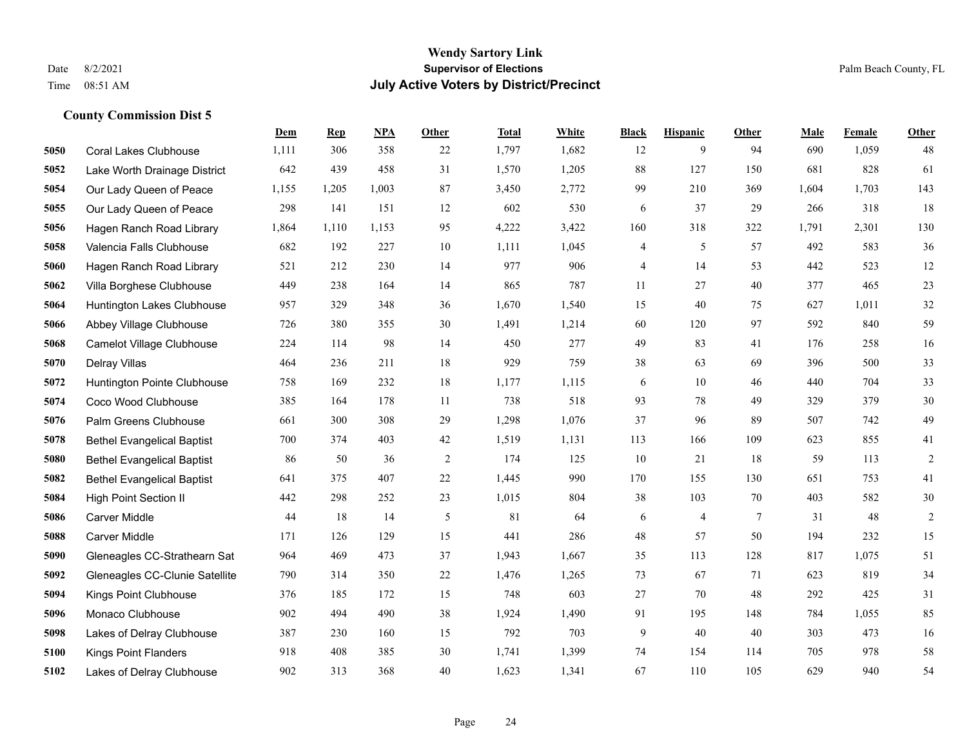|      |                                   | Dem   | <b>Rep</b> | NPA   | <b>Other</b> | <b>Total</b> | White | <b>Black</b> | <b>Hispanic</b> | <b>Other</b> | <b>Male</b> | Female | <b>Other</b>   |
|------|-----------------------------------|-------|------------|-------|--------------|--------------|-------|--------------|-----------------|--------------|-------------|--------|----------------|
| 5050 | <b>Coral Lakes Clubhouse</b>      | 1,111 | 306        | 358   | 22           | 1,797        | 1,682 | 12           | 9               | 94           | 690         | 1,059  | 48             |
| 5052 | Lake Worth Drainage District      | 642   | 439        | 458   | 31           | 1,570        | 1,205 | 88           | 127             | 150          | 681         | 828    | 61             |
| 5054 | Our Lady Queen of Peace           | 1,155 | 1,205      | 1,003 | 87           | 3,450        | 2,772 | 99           | 210             | 369          | 1,604       | 1,703  | 143            |
| 5055 | Our Lady Queen of Peace           | 298   | 141        | 151   | 12           | 602          | 530   | 6            | 37              | 29           | 266         | 318    | 18             |
| 5056 | Hagen Ranch Road Library          | 1,864 | 1,110      | 1,153 | 95           | 4,222        | 3,422 | 160          | 318             | 322          | 1,791       | 2,301  | 130            |
| 5058 | Valencia Falls Clubhouse          | 682   | 192        | 227   | 10           | 1,111        | 1,045 | 4            | 5               | 57           | 492         | 583    | 36             |
| 5060 | Hagen Ranch Road Library          | 521   | 212        | 230   | 14           | 977          | 906   | 4            | 14              | 53           | 442         | 523    | $12\,$         |
| 5062 | Villa Borghese Clubhouse          | 449   | 238        | 164   | 14           | 865          | 787   | 11           | 27              | 40           | 377         | 465    | 23             |
| 5064 | Huntington Lakes Clubhouse        | 957   | 329        | 348   | 36           | 1,670        | 1,540 | 15           | 40              | 75           | 627         | 1,011  | $32\,$         |
| 5066 | Abbey Village Clubhouse           | 726   | 380        | 355   | 30           | 1,491        | 1,214 | 60           | 120             | 97           | 592         | 840    | 59             |
| 5068 | Camelot Village Clubhouse         | 224   | 114        | 98    | 14           | 450          | 277   | 49           | 83              | 41           | 176         | 258    | 16             |
| 5070 | Delray Villas                     | 464   | 236        | 211   | 18           | 929          | 759   | 38           | 63              | 69           | 396         | 500    | 33             |
| 5072 | Huntington Pointe Clubhouse       | 758   | 169        | 232   | 18           | 1,177        | 1,115 | 6            | 10              | 46           | 440         | 704    | 33             |
| 5074 | Coco Wood Clubhouse               | 385   | 164        | 178   | 11           | 738          | 518   | 93           | 78              | 49           | 329         | 379    | $30\,$         |
| 5076 | Palm Greens Clubhouse             | 661   | 300        | 308   | 29           | 1.298        | 1,076 | 37           | 96              | 89           | 507         | 742    | 49             |
| 5078 | <b>Bethel Evangelical Baptist</b> | 700   | 374        | 403   | 42           | 1,519        | 1,131 | 113          | 166             | 109          | 623         | 855    | 41             |
| 5080 | <b>Bethel Evangelical Baptist</b> | 86    | 50         | 36    | 2            | 174          | 125   | 10           | 21              | 18           | 59          | 113    | $\overline{2}$ |
| 5082 | <b>Bethel Evangelical Baptist</b> | 641   | 375        | 407   | 22           | 1,445        | 990   | 170          | 155             | 130          | 651         | 753    | 41             |
| 5084 | <b>High Point Section II</b>      | 442   | 298        | 252   | 23           | 1,015        | 804   | 38           | 103             | 70           | 403         | 582    | $30\,$         |
| 5086 | Carver Middle                     | 44    | 18         | 14    | 5            | 81           | 64    | 6            | 4               | 7            | 31          | 48     | $\overline{c}$ |
| 5088 | <b>Carver Middle</b>              | 171   | 126        | 129   | 15           | 441          | 286   | 48           | 57              | 50           | 194         | 232    | 15             |
| 5090 | Gleneagles CC-Strathearn Sat      | 964   | 469        | 473   | 37           | 1,943        | 1,667 | 35           | 113             | 128          | 817         | 1,075  | 51             |
| 5092 | Gleneagles CC-Clunie Satellite    | 790   | 314        | 350   | $22\,$       | 1,476        | 1,265 | 73           | 67              | 71           | 623         | 819    | 34             |
| 5094 | Kings Point Clubhouse             | 376   | 185        | 172   | 15           | 748          | 603   | $27\,$       | 70              | 48           | 292         | 425    | 31             |
| 5096 | Monaco Clubhouse                  | 902   | 494        | 490   | 38           | 1,924        | 1,490 | 91           | 195             | 148          | 784         | 1,055  | 85             |
| 5098 | Lakes of Delray Clubhouse         | 387   | 230        | 160   | 15           | 792          | 703   | 9            | 40              | 40           | 303         | 473    | 16             |
| 5100 | <b>Kings Point Flanders</b>       | 918   | 408        | 385   | 30           | 1,741        | 1,399 | 74           | 154             | 114          | 705         | 978    | 58             |
| 5102 | Lakes of Delray Clubhouse         | 902   | 313        | 368   | 40           | 1,623        | 1,341 | 67           | 110             | 105          | 629         | 940    | 54             |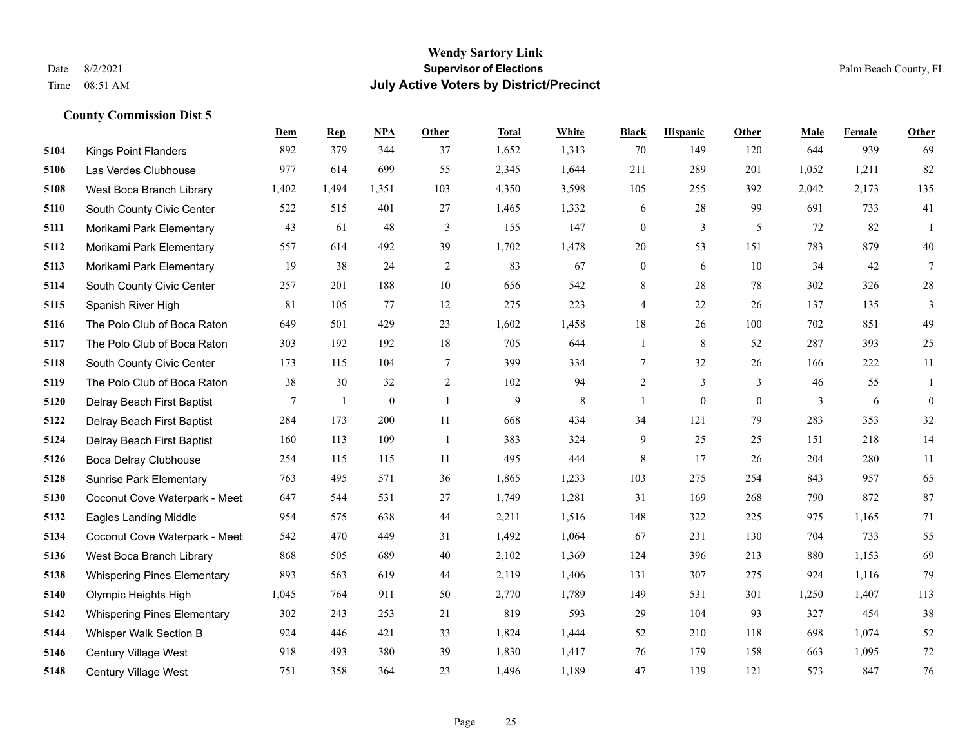#### **Wendy Sartory Link** Date 8/2/2021 **Supervisor of Elections** Palm Beach County, FL Time 08:51 AM **July Active Voters by District/Precinct**

# **Dem Rep NPA Other Total White Black Hispanic Other Male Female Other** Kings Point Flanders 892 379 344 37 1,652 1,313 70 149 120 644 939 69 Las Verdes Clubhouse 977 614 699 55 2,345 1,644 211 289 201 1,052 1,211 82 West Boca Branch Library 1,402 1,494 1,351 103 4,350 3,598 105 255 392 2,042 2,173 135 South County Civic Center 522 515 401 27 1,465 1,332 6 28 99 691 733 41 Morikami Park Elementary 43 61 48 3 155 147 0 3 5 72 82 1 Morikami Park Elementary 557 614 492 39 1,702 1,478 20 53 151 783 879 40 Morikami Park Elementary 19 38 24 2 83 67 0 6 10 34 42 7 South County Civic Center 257 201 188 10 656 542 8 28 78 302 326 28 Spanish River High 81 105 77 12 275 223 4 22 26 137 135 3 The Polo Club of Boca Raton 649 501 429 23 1,602 1,458 18 26 100 702 851 49 The Polo Club of Boca Raton 303 192 192 18 705 644 1 8 52 287 393 25 South County Civic Center 173 115 104 7 399 334 7 32 26 166 222 11 The Polo Club of Boca Raton 38 30 32 2 102 94 2 3 3 46 55 1 Delray Beach First Baptist  $\begin{array}{cccccccc} 7 & 1 & 0 & 1 & 9 & 8 & 1 & 0 & 3 & 6 & 0 \end{array}$  Delray Beach First Baptist 284 173 200 11 668 434 34 121 79 283 353 32 Delray Beach First Baptist 160 113 109 1 383 324 9 25 25 151 218 14 Boca Delray Clubhouse 254 115 115 11 495 444 8 17 26 204 280 11 Sunrise Park Elementary 763 495 571 36 1,865 1,233 103 275 254 843 957 65 Coconut Cove Waterpark - Meet 647 544 531 27 1,749 1,281 31 169 268 790 872 87 Eagles Landing Middle 954 575 638 44 2,211 1,516 148 322 225 975 1,165 71 Coconut Cove Waterpark - Meet 542 470 449 31 1,492 1,064 67 231 130 704 733 55 West Boca Branch Library 868 505 689 40 2,102 1,369 124 396 213 880 1,153 69 Whispering Pines Elementary 893 563 619 44 2,119 1,406 131 307 275 924 1,116 79 Olympic Heights High 1,045 764 911 50 2,770 1,789 149 531 301 1,250 1,407 113 Whispering Pines Elementary 302 243 253 21 819 593 29 104 93 327 454 38 Whisper Walk Section B 924 446 421 33 1,824 1,444 52 210 118 698 1,074 52 Century Village West 918 493 380 39 1,830 1,417 76 179 158 663 1,095 72 Century Village West 751 358 364 23 1,496 1,189 47 139 121 573 847 76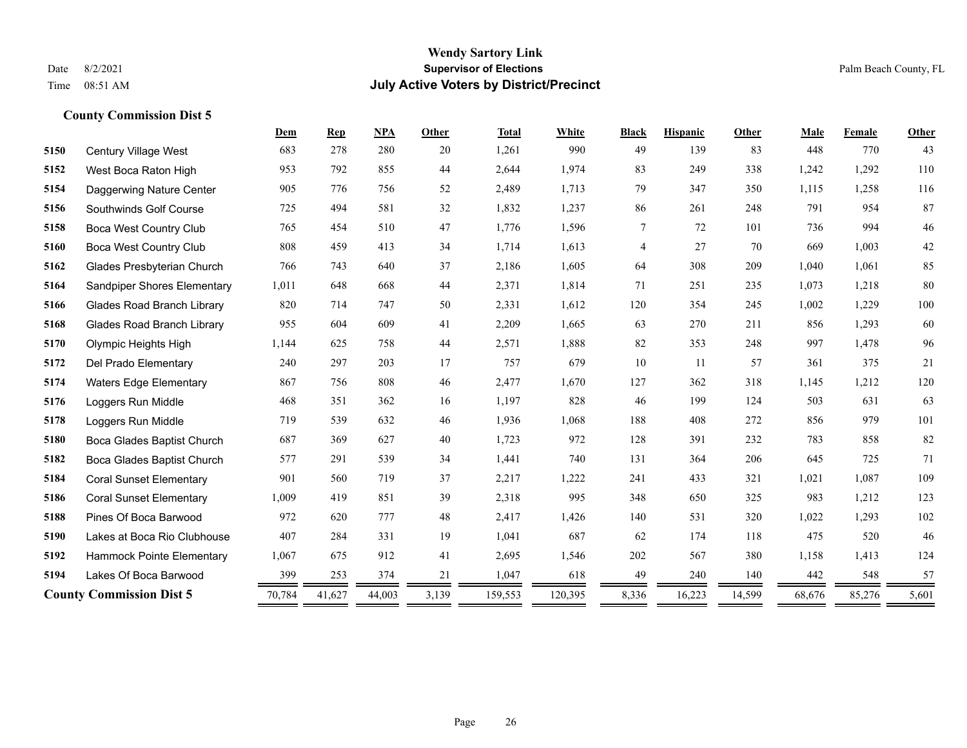#### **Wendy Sartory Link** Date 8/2/2021 **Supervisor of Elections** Palm Beach County, FL Time 08:51 AM **July Active Voters by District/Precinct**

**Dem Rep NPA Other Total White Black Hispanic Other Male Female Other**

# Century Village West 683 278 280 20 1,261 990 49 139 83 448 770 43 West Boca Raton High 953 792 855 44 2,644 1,974 83 249 338 1,242 1,292 110 Daggerwing Nature Center 905 776 756 52 2,489 1,713 79 347 350 1,115 1,258 116 Southwinds Golf Course 725 494 581 32 1,832 1,237 86 261 248 791 954 87 Boca West Country Club 765 454 510 47 1,776 1,596 7 72 101 736 994 46 Boca West Country Club 808 459 413 34 1,714 1,613 4 27 70 669 1,003 42 Glades Presbyterian Church 766 743 640 37 2,186 1,605 64 308 209 1,040 1,061 85 Sandpiper Shores Elementary 1,011 648 668 44 2,371 1,814 71 251 235 1,073 1,218 80 Glades Road Branch Library 820 714 747 50 2,331 1,612 120 354 245 1,002 1,229 100 Glades Road Branch Library 955 604 609 41 2,209 1,665 63 270 211 856 1,293 60 Olympic Heights High 1,144 625 758 44 2,571 1,888 82 353 248 997 1,478 96 Del Prado Elementary 240 297 203 17 757 679 10 11 57 361 375 21 Waters Edge Elementary 867 756 808 46 2,477 1,670 127 362 318 1,145 1,212 120 Loggers Run Middle 468 351 362 16 1,197 828 46 199 124 503 631 63 Loggers Run Middle 719 539 632 46 1,936 1,068 188 408 272 856 979 101 Boca Glades Baptist Church 687 369 627 40 1,723 972 128 391 232 783 858 82 Boca Glades Baptist Church 577 291 539 34 1,441 740 131 364 206 645 725 71 Coral Sunset Elementary 901 560 719 37 2,217 1,222 241 433 321 1,021 1,087 109

 Coral Sunset Elementary 1,009 419 851 39 2,318 995 348 650 325 983 1,212 123 Pines Of Boca Barwood 972 620 777 48 2,417 1,426 140 531 320 1,022 1,293 102 Lakes at Boca Rio Clubhouse 407 284 331 19 1,041 687 62 174 118 475 520 46 Hammock Pointe Elementary 1,067 675 912 41 2,695 1,546 202 567 380 1,158 1,413 124 Lakes Of Boca Barwood 399 253 374 21 1,047 618 49 240 140 442 548 57 **County Commission Dist 5** 70,784 41,627 44,003 3,139 159,553 120,395 8,336 16,223 14,599 68,676 85,276 5,601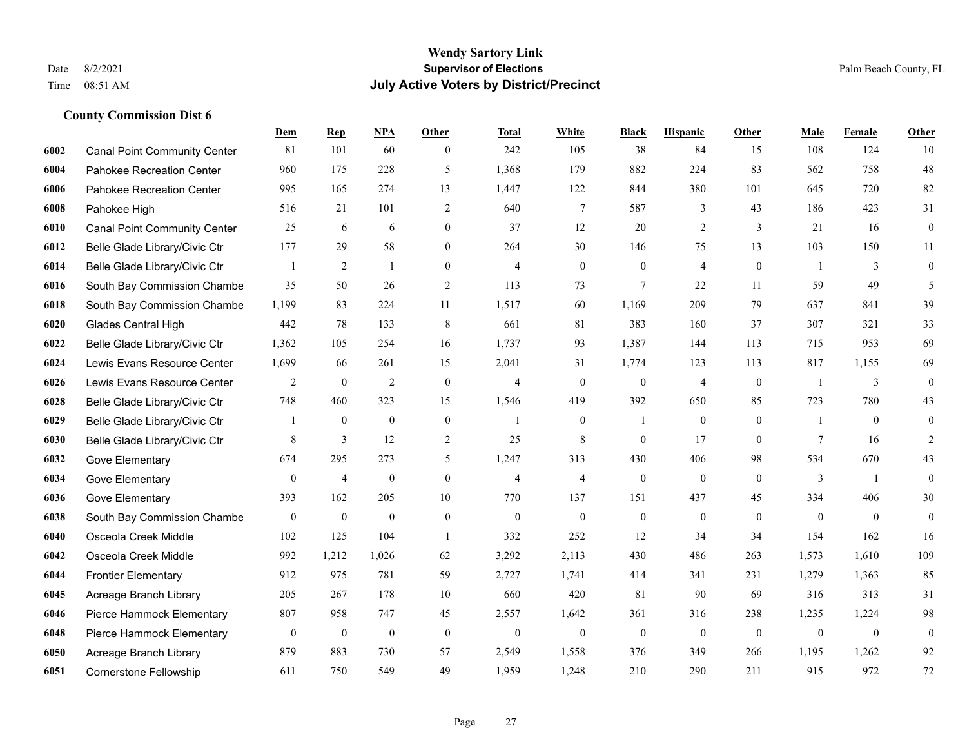|      |                                     | Dem              | <b>Rep</b>       | NPA              | Other            | Total          | White            | <b>Black</b>     | <b>Hispanic</b>  | <b>Other</b> | <b>Male</b>    | Female         | <b>Other</b>     |
|------|-------------------------------------|------------------|------------------|------------------|------------------|----------------|------------------|------------------|------------------|--------------|----------------|----------------|------------------|
| 6002 | <b>Canal Point Community Center</b> | 81               | 101              | 60               | $\overline{0}$   | 242            | 105              | 38               | 84               | 15           | 108            | 124            | 10               |
| 6004 | Pahokee Recreation Center           | 960              | 175              | 228              | 5                | 1,368          | 179              | 882              | 224              | 83           | 562            | 758            | $48\,$           |
| 6006 | Pahokee Recreation Center           | 995              | 165              | 274              | 13               | 1,447          | 122              | 844              | 380              | 101          | 645            | 720            | 82               |
| 6008 | Pahokee High                        | 516              | 21               | 101              | 2                | 640            | $\tau$           | 587              | 3                | 43           | 186            | 423            | 31               |
| 6010 | <b>Canal Point Community Center</b> | 25               | 6                | 6                | $\overline{0}$   | 37             | 12               | 20               | $\overline{2}$   | 3            | 21             | 16             | $\boldsymbol{0}$ |
| 6012 | Belle Glade Library/Civic Ctr       | 177              | 29               | 58               | $\overline{0}$   | 264            | 30               | 146              | 75               | 13           | 103            | 150            | 11               |
| 6014 | Belle Glade Library/Civic Ctr       | 1                | 2                | $\mathbf{1}$     | $\mathbf{0}$     | $\overline{4}$ | $\boldsymbol{0}$ | $\boldsymbol{0}$ | $\overline{4}$   | $\mathbf{0}$ | $\overline{1}$ | 3              | $\boldsymbol{0}$ |
| 6016 | South Bay Commission Chambe         | 35               | 50               | 26               | $\overline{2}$   | 113            | 73               | 7                | 22               | 11           | 59             | 49             | 5                |
| 6018 | South Bay Commission Chambe         | 1,199            | 83               | 224              | 11               | 1,517          | 60               | 1,169            | 209              | 79           | 637            | 841            | 39               |
| 6020 | Glades Central High                 | 442              | 78               | 133              | 8                | 661            | 81               | 383              | 160              | 37           | 307            | 321            | 33               |
| 6022 | Belle Glade Library/Civic Ctr       | 1,362            | 105              | 254              | 16               | 1,737          | 93               | 1,387            | 144              | 113          | 715            | 953            | 69               |
| 6024 | Lewis Evans Resource Center         | 1,699            | 66               | 261              | 15               | 2,041          | 31               | 1,774            | 123              | 113          | 817            | 1,155          | 69               |
| 6026 | Lewis Evans Resource Center         | 2                | $\mathbf{0}$     | $\overline{2}$   | $\mathbf{0}$     | $\overline{4}$ | $\overline{0}$   | $\mathbf{0}$     | $\overline{4}$   | $\theta$     | $\overline{1}$ | 3              | $\mathbf{0}$     |
| 6028 | Belle Glade Library/Civic Ctr       | 748              | 460              | 323              | 15               | 1,546          | 419              | 392              | 650              | 85           | 723            | 780            | 43               |
| 6029 | Belle Glade Library/Civic Ctr       |                  | $\mathbf{0}$     | $\mathbf{0}$     | $\overline{0}$   |                | $\overline{0}$   |                  | $\mathbf{0}$     | $\theta$     |                | $\theta$       | $\mathbf{0}$     |
| 6030 | Belle Glade Library/Civic Ctr       | 8                | $\overline{3}$   | 12               | $\overline{2}$   | 25             | 8                | $\mathbf{0}$     | 17               | $\theta$     | $\tau$         | 16             | 2                |
| 6032 | Gove Elementary                     | 674              | 295              | 273              | 5                | 1,247          | 313              | 430              | 406              | 98           | 534            | 670            | 43               |
| 6034 | Gove Elementary                     | $\overline{0}$   | $\overline{4}$   | $\mathbf{0}$     | $\Omega$         | $\overline{4}$ | 4                | $\mathbf{0}$     | $\mathbf{0}$     | $\theta$     | 3              | $\overline{1}$ | $\mathbf{0}$     |
| 6036 | Gove Elementary                     | 393              | 162              | 205              | $10\,$           | 770            | 137              | 151              | 437              | 45           | 334            | 406            | $30\,$           |
| 6038 | South Bay Commission Chambe         | $\boldsymbol{0}$ | $\mathbf{0}$     | $\mathbf{0}$     | $\overline{0}$   | $\theta$       | $\overline{0}$   | $\boldsymbol{0}$ | $\mathbf{0}$     | $\theta$     | $\theta$       | $\overline{0}$ | $\boldsymbol{0}$ |
| 6040 | Osceola Creek Middle                | 102              | 125              | 104              | $\mathbf{1}$     | 332            | 252              | 12               | 34               | 34           | 154            | 162            | 16               |
| 6042 | Osceola Creek Middle                | 992              | 1,212            | 1,026            | 62               | 3,292          | 2,113            | 430              | 486              | 263          | 1,573          | 1,610          | 109              |
| 6044 | <b>Frontier Elementary</b>          | 912              | 975              | 781              | 59               | 2,727          | 1,741            | 414              | 341              | 231          | 1,279          | 1,363          | 85               |
| 6045 | Acreage Branch Library              | 205              | 267              | 178              | $10\,$           | 660            | 420              | 81               | 90               | 69           | 316            | 313            | 31               |
| 6046 | Pierce Hammock Elementary           | 807              | 958              | 747              | 45               | 2,557          | 1,642            | 361              | 316              | 238          | 1,235          | 1,224          | 98               |
| 6048 | Pierce Hammock Elementary           | $\boldsymbol{0}$ | $\boldsymbol{0}$ | $\boldsymbol{0}$ | $\boldsymbol{0}$ | $\overline{0}$ | $\boldsymbol{0}$ | $\boldsymbol{0}$ | $\boldsymbol{0}$ | $\mathbf{0}$ | $\mathbf{0}$   | $\mathbf{0}$   | $\boldsymbol{0}$ |
| 6050 | Acreage Branch Library              | 879              | 883              | 730              | 57               | 2,549          | 1,558            | 376              | 349              | 266          | 1,195          | 1,262          | 92               |
| 6051 | <b>Cornerstone Fellowship</b>       | 611              | 750              | 549              | 49               | 1,959          | 1,248            | 210              | 290              | 211          | 915            | 972            | 72               |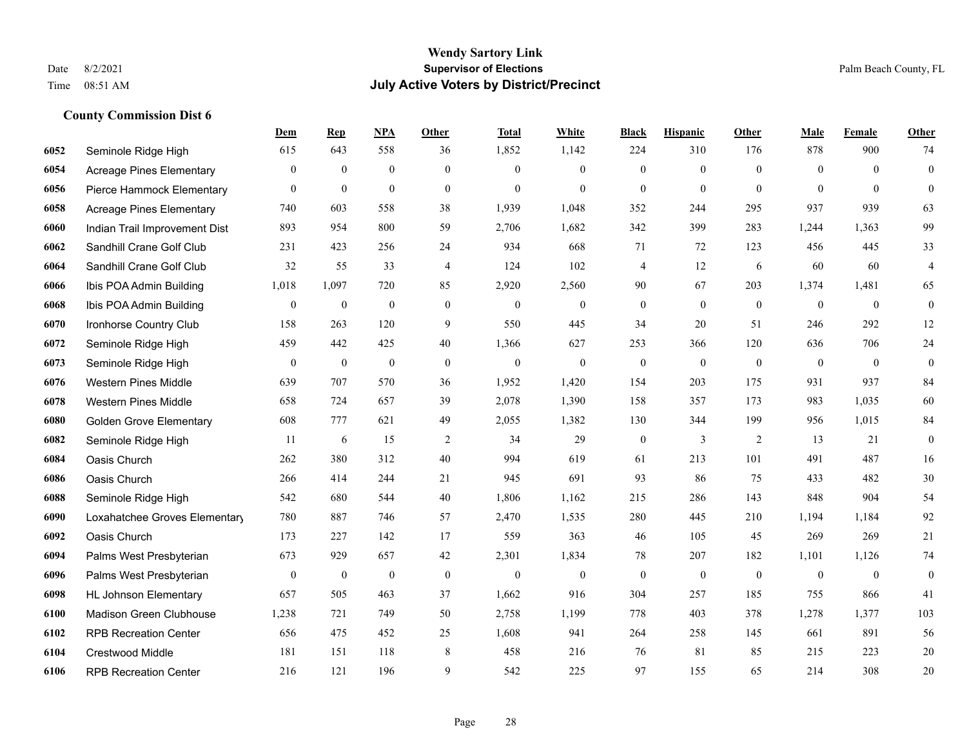|      |                                 | Dem              | <b>Rep</b>       | NPA              | <b>Other</b> | <b>Total</b> | White            | <b>Black</b>     | <b>Hispanic</b>  | <b>Other</b>   | <b>Male</b>    | Female         | <b>Other</b>     |
|------|---------------------------------|------------------|------------------|------------------|--------------|--------------|------------------|------------------|------------------|----------------|----------------|----------------|------------------|
| 6052 | Seminole Ridge High             | 615              | 643              | 558              | 36           | 1,852        | 1,142            | 224              | 310              | 176            | 878            | 900            | 74               |
| 6054 | <b>Acreage Pines Elementary</b> | $\mathbf{0}$     | $\mathbf{0}$     | $\overline{0}$   | $\Omega$     | $\theta$     | $\overline{0}$   | $\mathbf{0}$     | $\mathbf{0}$     | $\theta$       | $\theta$       | $\theta$       | $\mathbf{0}$     |
| 6056 | Pierce Hammock Elementary       | $\overline{0}$   | $\boldsymbol{0}$ | $\boldsymbol{0}$ | $\mathbf{0}$ | $\mathbf{0}$ | $\mathbf{0}$     | $\mathbf{0}$     | $\boldsymbol{0}$ | $\theta$       | $\mathbf{0}$   | $\theta$       | $\mathbf{0}$     |
| 6058 | <b>Acreage Pines Elementary</b> | 740              | 603              | 558              | 38           | 1,939        | 1,048            | 352              | 244              | 295            | 937            | 939            | 63               |
| 6060 | Indian Trail Improvement Dist   | 893              | 954              | 800              | 59           | 2,706        | 1,682            | 342              | 399              | 283            | 1,244          | 1,363          | 99               |
| 6062 | Sandhill Crane Golf Club        | 231              | 423              | 256              | 24           | 934          | 668              | 71               | 72               | 123            | 456            | 445            | 33               |
| 6064 | Sandhill Crane Golf Club        | 32               | 55               | 33               | 4            | 124          | 102              | 4                | 12               | 6              | 60             | 60             | $\overline{4}$   |
| 6066 | Ibis POA Admin Building         | 1,018            | 1,097            | 720              | 85           | 2,920        | 2,560            | 90               | 67               | 203            | 1,374          | 1,481          | 65               |
| 6068 | Ibis POA Admin Building         | $\boldsymbol{0}$ | $\boldsymbol{0}$ | $\boldsymbol{0}$ | $\mathbf{0}$ | $\mathbf{0}$ | $\boldsymbol{0}$ | $\boldsymbol{0}$ | $\mathbf{0}$     | $\mathbf{0}$   | $\mathbf{0}$   | $\mathbf{0}$   | $\mathbf{0}$     |
| 6070 | Ironhorse Country Club          | 158              | 263              | 120              | 9            | 550          | 445              | 34               | 20               | 51             | 246            | 292            | 12               |
| 6072 | Seminole Ridge High             | 459              | 442              | 425              | 40           | 1,366        | 627              | 253              | 366              | 120            | 636            | 706            | $24\,$           |
| 6073 | Seminole Ridge High             | $\overline{0}$   | $\boldsymbol{0}$ | $\boldsymbol{0}$ | $\mathbf{0}$ | $\mathbf{0}$ | $\mathbf{0}$     | $\mathbf{0}$     | $\mathbf{0}$     | $\theta$       | $\theta$       | $\theta$       | $\mathbf{0}$     |
| 6076 | <b>Western Pines Middle</b>     | 639              | 707              | 570              | 36           | 1,952        | 1,420            | 154              | 203              | 175            | 931            | 937            | 84               |
| 6078 | <b>Western Pines Middle</b>     | 658              | 724              | 657              | 39           | 2,078        | 1,390            | 158              | 357              | 173            | 983            | 1,035          | 60               |
| 6080 | <b>Golden Grove Elementary</b>  | 608              | 777              | 621              | 49           | 2,055        | 1,382            | 130              | 344              | 199            | 956            | 1,015          | 84               |
| 6082 | Seminole Ridge High             | 11               | 6                | 15               | 2            | 34           | 29               | $\boldsymbol{0}$ | 3                | 2              | 13             | 21             | $\boldsymbol{0}$ |
| 6084 | Oasis Church                    | 262              | 380              | 312              | 40           | 994          | 619              | 61               | 213              | 101            | 491            | 487            | 16               |
| 6086 | Oasis Church                    | 266              | 414              | 244              | 21           | 945          | 691              | 93               | 86               | 75             | 433            | 482            | 30               |
| 6088 | Seminole Ridge High             | 542              | 680              | 544              | 40           | 1,806        | 1,162            | 215              | 286              | 143            | 848            | 904            | 54               |
| 6090 | Loxahatchee Groves Elementary   | 780              | 887              | 746              | 57           | 2,470        | 1,535            | 280              | 445              | 210            | 1,194          | 1,184          | 92               |
| 6092 | Oasis Church                    | 173              | 227              | 142              | 17           | 559          | 363              | 46               | 105              | 45             | 269            | 269            | 21               |
| 6094 | Palms West Presbyterian         | 673              | 929              | 657              | 42           | 2,301        | 1,834            | 78               | 207              | 182            | 1,101          | 1,126          | $74\,$           |
| 6096 | Palms West Presbyterian         | $\boldsymbol{0}$ | $\boldsymbol{0}$ | $\boldsymbol{0}$ | $\mathbf{0}$ | $\mathbf{0}$ | $\boldsymbol{0}$ | $\boldsymbol{0}$ | $\boldsymbol{0}$ | $\overline{0}$ | $\overline{0}$ | $\overline{0}$ | $\boldsymbol{0}$ |
| 6098 | <b>HL Johnson Elementary</b>    | 657              | 505              | 463              | 37           | 1,662        | 916              | 304              | 257              | 185            | 755            | 866            | 41               |
| 6100 | Madison Green Clubhouse         | 1,238            | 721              | 749              | 50           | 2,758        | 1,199            | 778              | 403              | 378            | 1,278          | 1,377          | 103              |
| 6102 | <b>RPB Recreation Center</b>    | 656              | 475              | 452              | 25           | 1,608        | 941              | 264              | 258              | 145            | 661            | 891            | 56               |
| 6104 | Crestwood Middle                | 181              | 151              | 118              | 8            | 458          | 216              | 76               | 81               | 85             | 215            | 223            | $20\,$           |
| 6106 | <b>RPB Recreation Center</b>    | 216              | 121              | 196              | 9            | 542          | 225              | 97               | 155              | 65             | 214            | 308            | 20               |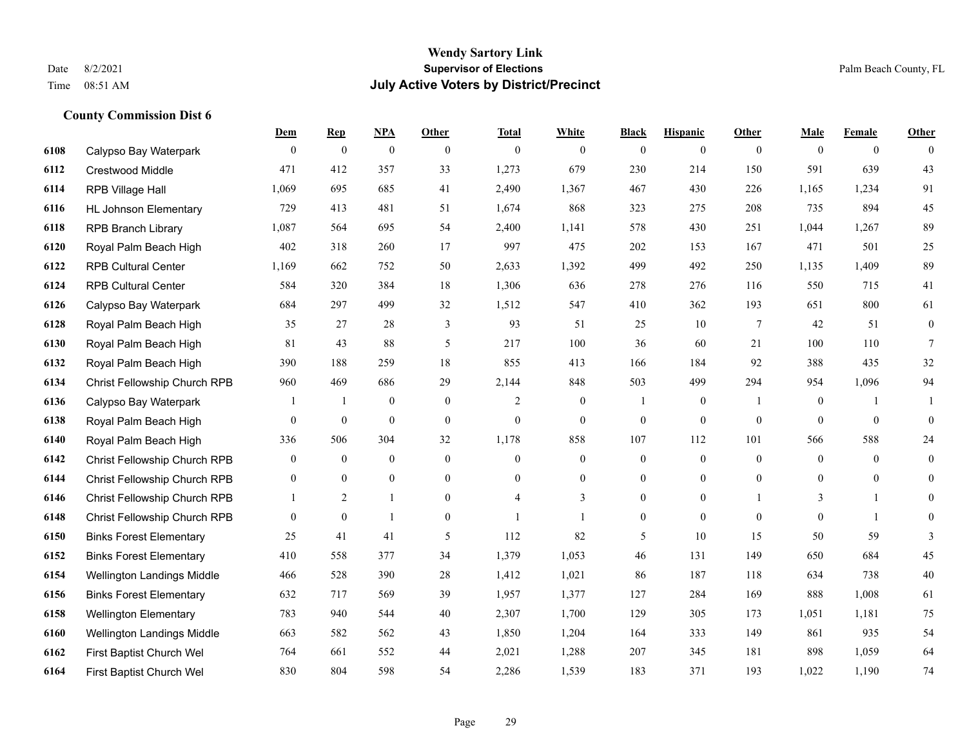|      |                                | Dem            | <b>Rep</b>       | <b>NPA</b>       | <b>Other</b>     | <b>Total</b>     | White          | <b>Black</b>     | <b>Hispanic</b> | Other        | Male           | Female         | Other          |
|------|--------------------------------|----------------|------------------|------------------|------------------|------------------|----------------|------------------|-----------------|--------------|----------------|----------------|----------------|
| 6108 | Calypso Bay Waterpark          | $\overline{0}$ | $\theta$         | $\mathbf{0}$     | $\theta$         | $\mathbf{0}$     | $\overline{0}$ | $\mathbf{0}$     | $\mathbf{0}$    | $\theta$     | $\theta$       | $\overline{0}$ | $\theta$       |
| 6112 | Crestwood Middle               | 471            | 412              | 357              | 33               | 1,273            | 679            | 230              | 214             | 150          | 591            | 639            | 43             |
| 6114 | RPB Village Hall               | 1,069          | 695              | 685              | 41               | 2,490            | 1,367          | 467              | 430             | 226          | 1,165          | 1,234          | 91             |
| 6116 | <b>HL Johnson Elementary</b>   | 729            | 413              | 481              | 51               | 1,674            | 868            | 323              | 275             | 208          | 735            | 894            | 45             |
| 6118 | <b>RPB Branch Library</b>      | 1,087          | 564              | 695              | 54               | 2,400            | 1,141          | 578              | 430             | 251          | 1,044          | 1,267          | 89             |
| 6120 | Royal Palm Beach High          | 402            | 318              | 260              | 17               | 997              | 475            | 202              | 153             | 167          | 471            | 501            | 25             |
| 6122 | <b>RPB Cultural Center</b>     | 1,169          | 662              | 752              | 50               | 2,633            | 1,392          | 499              | 492             | 250          | 1,135          | 1,409          | 89             |
| 6124 | <b>RPB Cultural Center</b>     | 584            | 320              | 384              | 18               | 1,306            | 636            | 278              | 276             | 116          | 550            | 715            | 41             |
| 6126 | Calypso Bay Waterpark          | 684            | 297              | 499              | 32               | 1,512            | 547            | 410              | 362             | 193          | 651            | 800            | 61             |
| 6128 | Royal Palm Beach High          | 35             | 27               | 28               | 3                | 93               | 51             | 25               | 10              | 7            | 42             | 51             | $\overline{0}$ |
| 6130 | Royal Palm Beach High          | 81             | 43               | 88               | 5                | 217              | 100            | 36               | 60              | 21           | 100            | 110            | 7              |
| 6132 | Royal Palm Beach High          | 390            | 188              | 259              | 18               | 855              | 413            | 166              | 184             | 92           | 388            | 435            | 32             |
| 6134 | Christ Fellowship Church RPB   | 960            | 469              | 686              | 29               | 2,144            | 848            | 503              | 499             | 294          | 954            | 1,096          | 94             |
| 6136 | Calypso Bay Waterpark          | 1              | -1               | $\mathbf{0}$     | $\mathbf{0}$     | $\overline{c}$   | $\overline{0}$ | 1                | $\overline{0}$  | -1           | $\overline{0}$ | -1             |                |
| 6138 | Royal Palm Beach High          | 0              | $\boldsymbol{0}$ | $\boldsymbol{0}$ | $\boldsymbol{0}$ | $\boldsymbol{0}$ | $\mathbf{0}$   | $\boldsymbol{0}$ | $\mathbf{0}$    | $\mathbf{0}$ | $\mathbf{0}$   | $\mathbf{0}$   | $\Omega$       |
| 6140 | Royal Palm Beach High          | 336            | 506              | 304              | 32               | 1,178            | 858            | 107              | 112             | 101          | 566            | 588            | 24             |
| 6142 | Christ Fellowship Church RPB   | 0              | $\mathbf{0}$     | $\mathbf{0}$     | $\mathbf{0}$     | $\mathbf{0}$     | $\overline{0}$ | $\overline{0}$   | $\mathbf{0}$    | $\mathbf{0}$ | $\mathbf{0}$   | $\overline{0}$ | $\theta$       |
| 6144 | Christ Fellowship Church RPB   | 0              | $\mathbf{0}$     | $\mathbf{0}$     | $\mathbf{0}$     | $\Omega$         | $\mathbf{0}$   | 0                | $\overline{0}$  | $\theta$     | $\overline{0}$ | $\overline{0}$ | $\overline{0}$ |
| 6146 | Christ Fellowship Church RPB   | $\mathbf{1}$   | 2                | $\mathbf{1}$     | $\theta$         | 4                | 3              | $\Omega$         | $\overline{0}$  |              | 3              | $\mathbf{1}$   | $\theta$       |
| 6148 | Christ Fellowship Church RPB   | 0              | $\boldsymbol{0}$ | $\mathbf{1}$     | $\overline{0}$   | $\mathbf{1}$     |                | 0                | $\overline{0}$  | $\mathbf{0}$ | $\overline{0}$ | $\mathbf{1}$   | $\overline{0}$ |
| 6150 | <b>Binks Forest Elementary</b> | 25             | 41               | 41               | 5                | 112              | 82             | 5                | 10              | 15           | 50             | 59             | 3              |
| 6152 | <b>Binks Forest Elementary</b> | 410            | 558              | 377              | 34               | 1,379            | 1,053          | 46               | 131             | 149          | 650            | 684            | 45             |
| 6154 | Wellington Landings Middle     | 466            | 528              | 390              | 28               | 1,412            | 1,021          | 86               | 187             | 118          | 634            | 738            | 40             |
| 6156 | <b>Binks Forest Elementary</b> | 632            | 717              | 569              | 39               | 1,957            | 1,377          | 127              | 284             | 169          | 888            | 1,008          | 61             |
| 6158 | <b>Wellington Elementary</b>   | 783            | 940              | 544              | 40               | 2,307            | 1,700          | 129              | 305             | 173          | 1,051          | 1,181          | 75             |
| 6160 | Wellington Landings Middle     | 663            | 582              | 562              | 43               | 1,850            | 1,204          | 164              | 333             | 149          | 861            | 935            | 54             |
| 6162 | First Baptist Church Wel       | 764            | 661              | 552              | 44               | 2,021            | 1,288          | 207              | 345             | 181          | 898            | 1,059          | 64             |
| 6164 | First Baptist Church Wel       | 830            | 804              | 598              | 54               | 2,286            | 1,539          | 183              | 371             | 193          | 1,022          | 1,190          | 74             |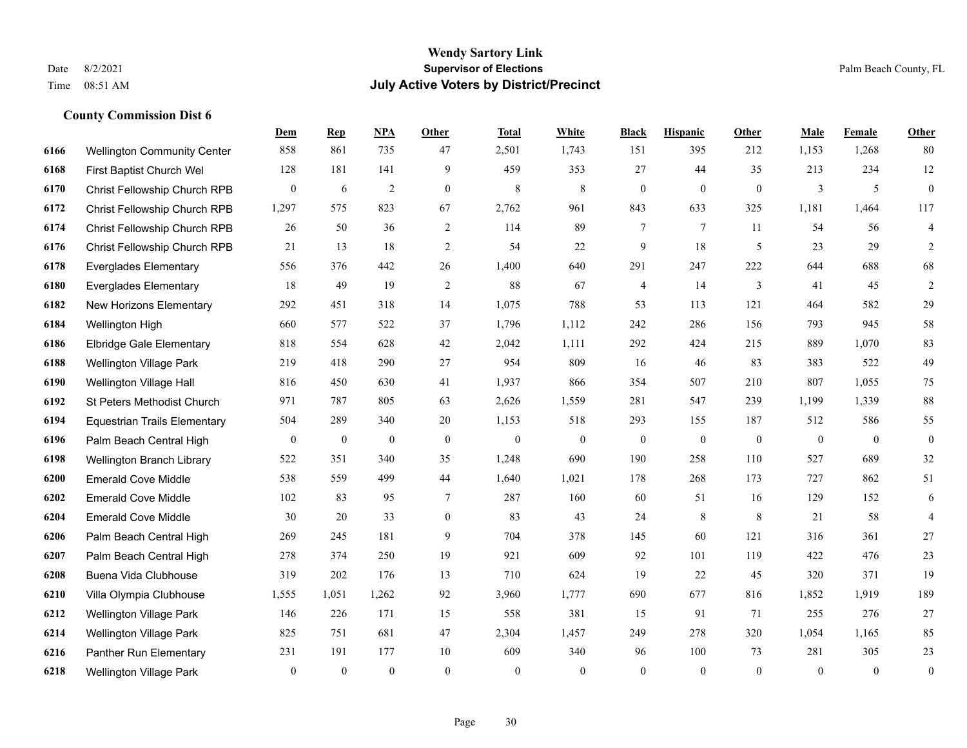|      |                                     | Dem              | <b>Rep</b>       | NPA              | <b>Other</b>     | <b>Total</b> | White          | <b>Black</b>     | <b>Hispanic</b>  | <b>Other</b>   | <b>Male</b>    | Female         | <b>Other</b>             |
|------|-------------------------------------|------------------|------------------|------------------|------------------|--------------|----------------|------------------|------------------|----------------|----------------|----------------|--------------------------|
| 6166 | <b>Wellington Community Center</b>  | 858              | 861              | 735              | 47               | 2,501        | 1,743          | 151              | 395              | 212            | 1,153          | 1,268          | 80                       |
| 6168 | First Baptist Church Wel            | 128              | 181              | 141              | 9                | 459          | 353            | 27               | 44               | 35             | 213            | 234            | 12                       |
| 6170 | Christ Fellowship Church RPB        | $\mathbf{0}$     | 6                | $\overline{2}$   | $\overline{0}$   | 8            | 8              | $\boldsymbol{0}$ | $\boldsymbol{0}$ | $\overline{0}$ | 3              | 5              | $\mathbf{0}$             |
| 6172 | Christ Fellowship Church RPB        | 1,297            | 575              | 823              | 67               | 2,762        | 961            | 843              | 633              | 325            | 1,181          | 1,464          | 117                      |
| 6174 | Christ Fellowship Church RPB        | 26               | 50               | 36               | 2                | 114          | 89             | $\overline{7}$   | $\tau$           | 11             | 54             | 56             | $\overline{\mathbf{4}}$  |
| 6176 | Christ Fellowship Church RPB        | 21               | 13               | 18               | 2                | 54           | 22             | 9                | 18               | 5              | 23             | 29             | 2                        |
| 6178 | <b>Everglades Elementary</b>        | 556              | 376              | 442              | 26               | 1,400        | 640            | 291              | 247              | 222            | 644            | 688            | 68                       |
| 6180 | <b>Everglades Elementary</b>        | 18               | 49               | 19               | $\overline{2}$   | 88           | 67             | 4                | 14               | 3              | 41             | 45             | $\overline{2}$           |
| 6182 | New Horizons Elementary             | 292              | 451              | 318              | 14               | 1,075        | 788            | 53               | 113              | 121            | 464            | 582            | 29                       |
| 6184 | Wellington High                     | 660              | 577              | 522              | 37               | 1,796        | 1,112          | 242              | 286              | 156            | 793            | 945            | 58                       |
| 6186 | <b>Elbridge Gale Elementary</b>     | 818              | 554              | 628              | 42               | 2,042        | 1,111          | 292              | 424              | 215            | 889            | 1.070          | 83                       |
| 6188 | <b>Wellington Village Park</b>      | 219              | 418              | 290              | 27               | 954          | 809            | 16               | 46               | 83             | 383            | 522            | 49                       |
| 6190 | Wellington Village Hall             | 816              | 450              | 630              | 41               | 1,937        | 866            | 354              | 507              | 210            | 807            | 1,055          | 75                       |
| 6192 | St Peters Methodist Church          | 971              | 787              | 805              | 63               | 2,626        | 1,559          | 281              | 547              | 239            | 1,199          | 1,339          | 88                       |
| 6194 | <b>Equestrian Trails Elementary</b> | 504              | 289              | 340              | 20               | 1,153        | 518            | 293              | 155              | 187            | 512            | 586            | 55                       |
| 6196 | Palm Beach Central High             | $\boldsymbol{0}$ | $\boldsymbol{0}$ | $\boldsymbol{0}$ | $\mathbf{0}$     | $\mathbf{0}$ | $\overline{0}$ | $\boldsymbol{0}$ | $\mathbf{0}$     | $\mathbf{0}$   | $\overline{0}$ | $\overline{0}$ | $\mathbf{0}$             |
| 6198 | Wellington Branch Library           | 522              | 351              | 340              | 35               | 1,248        | 690            | 190              | 258              | 110            | 527            | 689            | 32                       |
| 6200 | <b>Emerald Cove Middle</b>          | 538              | 559              | 499              | 44               | 1,640        | 1,021          | 178              | 268              | 173            | 727            | 862            | 51                       |
| 6202 | <b>Emerald Cove Middle</b>          | 102              | 83               | 95               | 7                | 287          | 160            | 60               | 51               | 16             | 129            | 152            | 6                        |
| 6204 | <b>Emerald Cove Middle</b>          | 30               | 20               | 33               | $\boldsymbol{0}$ | 83           | 43             | 24               | $\,8\,$          | 8              | 21             | 58             | $\overline{\mathcal{A}}$ |
| 6206 | Palm Beach Central High             | 269              | 245              | 181              | 9                | 704          | 378            | 145              | 60               | 121            | 316            | 361            | $27\,$                   |
| 6207 | Palm Beach Central High             | 278              | 374              | 250              | 19               | 921          | 609            | 92               | 101              | 119            | 422            | 476            | 23                       |
| 6208 | Buena Vida Clubhouse                | 319              | 202              | 176              | 13               | 710          | 624            | 19               | 22               | 45             | 320            | 371            | 19                       |
| 6210 | Villa Olympia Clubhouse             | 1,555            | 1,051            | 1,262            | 92               | 3,960        | 1,777          | 690              | 677              | 816            | 1,852          | 1,919          | 189                      |
| 6212 | <b>Wellington Village Park</b>      | 146              | 226              | 171              | 15               | 558          | 381            | 15               | 91               | 71             | 255            | 276            | $27\,$                   |
| 6214 | <b>Wellington Village Park</b>      | 825              | 751              | 681              | 47               | 2,304        | 1,457          | 249              | 278              | 320            | 1,054          | 1,165          | 85                       |
| 6216 | Panther Run Elementary              | 231              | 191              | 177              | 10               | 609          | 340            | 96               | 100              | 73             | 281            | 305            | $23\,$                   |
| 6218 | Wellington Village Park             | $\mathbf{0}$     | $\mathbf{0}$     | $\theta$         | $\Omega$         | $\theta$     | $\overline{0}$ | $\mathbf{0}$     | $\theta$         | $\theta$       | $\theta$       | $\mathbf{0}$   | $\boldsymbol{0}$         |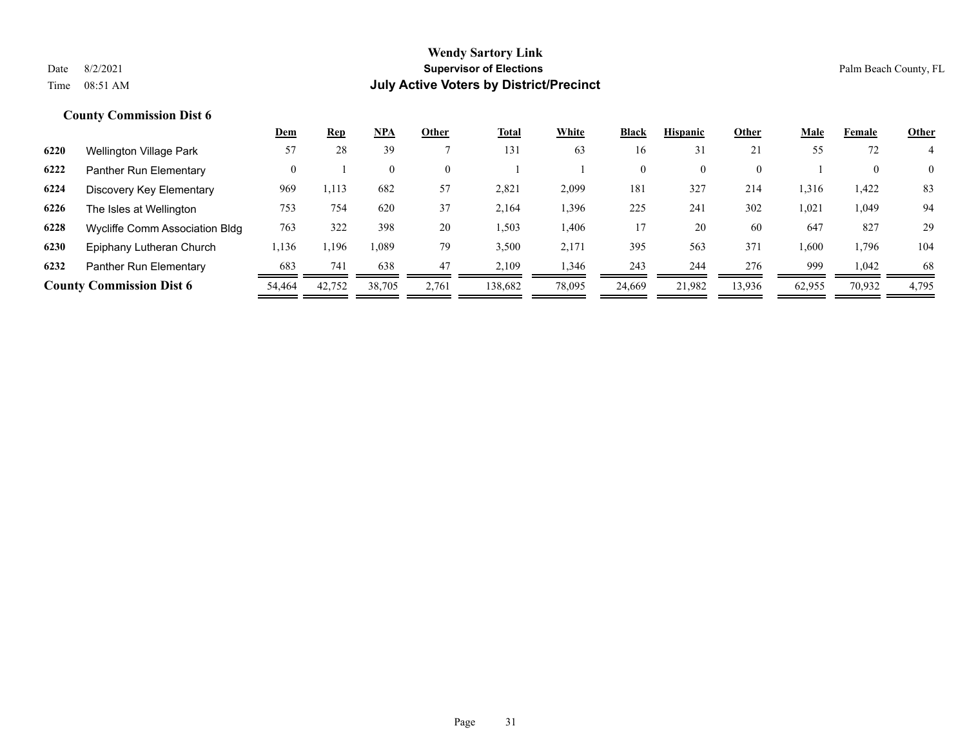|      |                                 | Dem      | <u>Rep</u> | <b>NPA</b> | Other    | <b>Total</b> | White  | Black        | <b>Hispanic</b> | Other    | Male   | Female | <b>Other</b>   |
|------|---------------------------------|----------|------------|------------|----------|--------------|--------|--------------|-----------------|----------|--------|--------|----------------|
| 6220 | Wellington Village Park         | 57       | 28         | 39         |          | 131          | 63     | 16           | 31              | 21       | 55     | 72     |                |
| 6222 | Panther Run Elementary          | $\Omega$ |            | $\theta$   | $\theta$ |              |        | $\mathbf{0}$ | $\overline{0}$  | $\Omega$ |        |        | $\overline{0}$ |
| 6224 | Discovery Key Elementary        | 969      | 1,113      | 682        | 57       | 2,821        | 2,099  | 181          | 327             | 214      | 1,316  | 1,422  | 83             |
| 6226 | The Isles at Wellington         | 753      | 754        | 620        | 37       | 2,164        | 1,396  | 225          | 241             | 302      | 1,021  | 1,049  | 94             |
| 6228 | Wycliffe Comm Association Bldg  | 763      | 322        | 398        | 20       | 1,503        | 1,406  | 17           | 20              | 60       | 647    | 827    | 29             |
| 6230 | Epiphany Lutheran Church        | 1,136    | .196       | 1,089      | 79       | 3,500        | 2,171  | 395          | 563             | 371      | 1,600  | 1,796  | 104            |
| 6232 | Panther Run Elementary          | 683      | 741        | 638        | 47       | 2.109        | 1,346  | 243          | 244             | 276      | 999    | 1,042  | 68             |
|      | <b>County Commission Dist 6</b> | 54,464   | 42,752     | 38,705     | 2,761    | 138,682      | 78,095 | 24,669       | 21.982          | 13,936   | 62,955 | 70,932 | 4,795          |
|      |                                 |          |            |            |          |              |        |              |                 |          |        |        |                |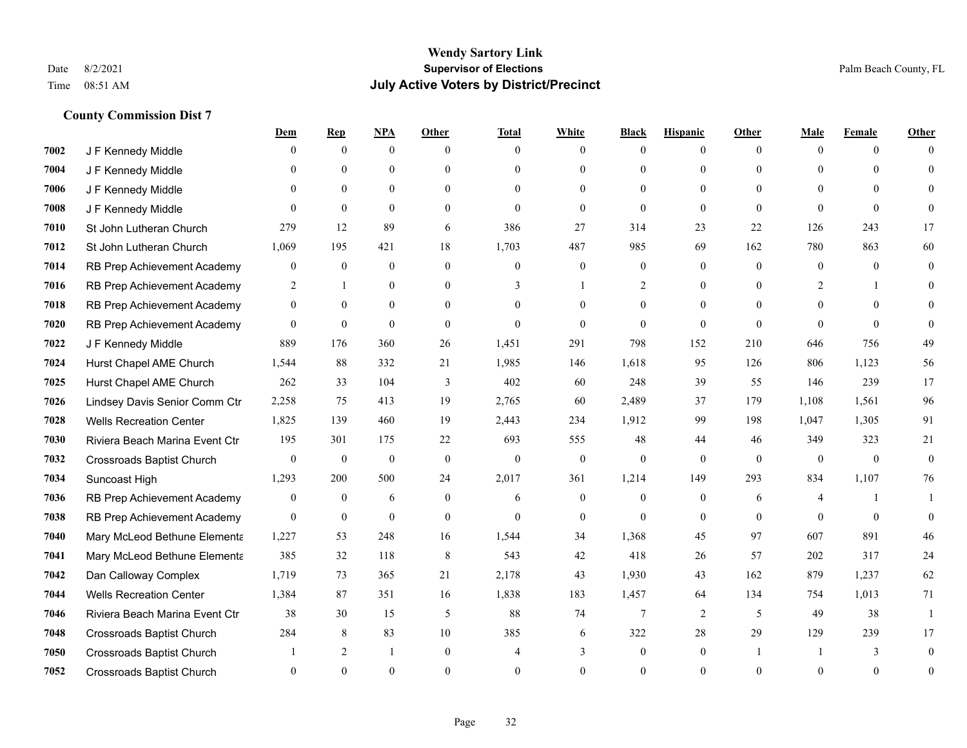|      |                                  | <u>Dem</u>       | <b>Rep</b>       | NPA            | <b>Other</b>     | <b>Total</b> | <b>White</b>     | <b>Black</b>     | <b>Hispanic</b> | <b>Other</b> | <b>Male</b>  | <b>Female</b> | <b>Other</b> |
|------|----------------------------------|------------------|------------------|----------------|------------------|--------------|------------------|------------------|-----------------|--------------|--------------|---------------|--------------|
| 7002 | J F Kennedy Middle               | 0                | $\overline{0}$   | $\overline{0}$ | $\Omega$         | $\theta$     | $\mathbf{0}$     | $\theta$         | $\overline{0}$  | $\theta$     | $\theta$     | $\theta$      | $\Omega$     |
| 7004 | J F Kennedy Middle               | 0                | $\theta$         | $\theta$       | $\theta$         | $\Omega$     | $\theta$         | $\theta$         | $\theta$        | $\Omega$     | $\theta$     | $\Omega$      | $\Omega$     |
| 7006 | J F Kennedy Middle               | $\theta$         | $\theta$         | $\overline{0}$ | $\theta$         | $\Omega$     | $\mathbf{0}$     | $\Omega$         | $\theta$        | $\theta$     | $\Omega$     | $\Omega$      | $\Omega$     |
| 7008 | J F Kennedy Middle               | $\theta$         | $\theta$         | $\mathbf{0}$   | $\overline{0}$   | $\mathbf{0}$ | $\mathbf{0}$     | $\mathbf{0}$     | $\mathbf{0}$    | $\mathbf{0}$ | $\theta$     | $\theta$      | $\Omega$     |
| 7010 | St John Lutheran Church          | 279              | 12               | 89             | 6                | 386          | 27               | 314              | 23              | 22           | 126          | 243           | 17           |
| 7012 | St John Lutheran Church          | 1,069            | 195              | 421            | 18               | 1,703        | 487              | 985              | 69              | 162          | 780          | 863           | 60           |
| 7014 | RB Prep Achievement Academy      | 0                | $\overline{0}$   | $\mathbf{0}$   | $\mathbf{0}$     | $\mathbf{0}$ | $\boldsymbol{0}$ | $\boldsymbol{0}$ | $\mathbf{0}$    | $\theta$     | $\mathbf{0}$ | $\theta$      | $\mathbf{0}$ |
| 7016 | RB Prep Achievement Academy      | 2                | $\mathbf{1}$     | $\theta$       | $\theta$         | 3            | $\mathbf{1}$     | 2                | $\theta$        | $\Omega$     | 2            | 1             | $\Omega$     |
| 7018 | RB Prep Achievement Academy      | $\overline{0}$   | $\theta$         | $\theta$       | $\theta$         | $\Omega$     | $\theta$         | $\mathbf{0}$     | $\theta$        | $\theta$     | $\Omega$     | $\Omega$      | $\Omega$     |
| 7020 | RB Prep Achievement Academy      | $\overline{0}$   | $\overline{0}$   | $\mathbf{0}$   | $\overline{0}$   | $\theta$     | $\mathbf{0}$     | $\theta$         | $\theta$        | $\Omega$     | $\theta$     | $\Omega$      | $\theta$     |
| 7022 | J F Kennedy Middle               | 889              | 176              | 360            | 26               | 1,451        | 291              | 798              | 152             | 210          | 646          | 756           | 49           |
| 7024 | Hurst Chapel AME Church          | 1,544            | 88               | 332            | 21               | 1,985        | 146              | 1,618            | 95              | 126          | 806          | 1,123         | 56           |
| 7025 | Hurst Chapel AME Church          | 262              | 33               | 104            | 3                | 402          | 60               | 248              | 39              | 55           | 146          | 239           | 17           |
| 7026 | Lindsey Davis Senior Comm Ctr    | 2,258            | 75               | 413            | 19               | 2,765        | 60               | 2,489            | 37              | 179          | 1,108        | 1,561         | 96           |
| 7028 | <b>Wells Recreation Center</b>   | 1,825            | 139              | 460            | 19               | 2,443        | 234              | 1,912            | 99              | 198          | 1,047        | 1,305         | 91           |
| 7030 | Riviera Beach Marina Event Ctr   | 195              | 301              | 175            | 22               | 693          | 555              | 48               | 44              | 46           | 349          | 323           | 21           |
| 7032 | Crossroads Baptist Church        | $\overline{0}$   | $\mathbf{0}$     | $\mathbf{0}$   | $\mathbf{0}$     | $\mathbf{0}$ | $\mathbf{0}$     | $\mathbf{0}$     | $\mathbf{0}$    | $\mathbf{0}$ | $\mathbf{0}$ | $\mathbf{0}$  | $\mathbf{0}$ |
| 7034 | Suncoast High                    | 1,293            | 200              | 500            | 24               | 2,017        | 361              | 1,214            | 149             | 293          | 834          | 1,107         | 76           |
| 7036 | RB Prep Achievement Academy      | $\boldsymbol{0}$ | $\boldsymbol{0}$ | 6              | $\boldsymbol{0}$ | 6            | $\boldsymbol{0}$ | $\boldsymbol{0}$ | $\mathbf{0}$    | 6            | 4            |               |              |
| 7038 | RB Prep Achievement Academy      | $\overline{0}$   | $\mathbf{0}$     | $\mathbf{0}$   | $\overline{0}$   | $\theta$     | $\overline{0}$   | $\theta$         | $\theta$        | $\theta$     | $\theta$     | $\theta$      | $\theta$     |
| 7040 | Mary McLeod Bethune Elementa     | 1,227            | 53               | 248            | 16               | 1,544        | 34               | 1,368            | 45              | 97           | 607          | 891           | 46           |
| 7041 | Mary McLeod Bethune Elementa     | 385              | 32               | 118            | 8                | 543          | 42               | 418              | 26              | 57           | 202          | 317           | 24           |
| 7042 | Dan Calloway Complex             | 1,719            | 73               | 365            | 21               | 2,178        | 43               | 1,930            | 43              | 162          | 879          | 1,237         | 62           |
| 7044 | <b>Wells Recreation Center</b>   | 1,384            | 87               | 351            | 16               | 1,838        | 183              | 1,457            | 64              | 134          | 754          | 1,013         | 71           |
| 7046 | Riviera Beach Marina Event Ctr   | 38               | 30               | 15             | 5                | 88           | 74               | $\tau$           | 2               | 5            | 49           | 38            | $\mathbf{1}$ |
| 7048 | Crossroads Baptist Church        | 284              | 8                | 83             | 10               | 385          | 6                | 322              | 28              | 29           | 129          | 239           | 17           |
| 7050 | Crossroads Baptist Church        |                  | 2                | -1             | $\overline{0}$   |              | 3                | $\mathbf{0}$     | $\mathbf{0}$    |              |              | 3             | $\Omega$     |
| 7052 | <b>Crossroads Baptist Church</b> | 0                | $\theta$         | $\theta$       | $\Omega$         | $\Omega$     | $\Omega$         | $\theta$         | $\Omega$        | $\Omega$     | $\Omega$     | $\theta$      | $\mathbf{0}$ |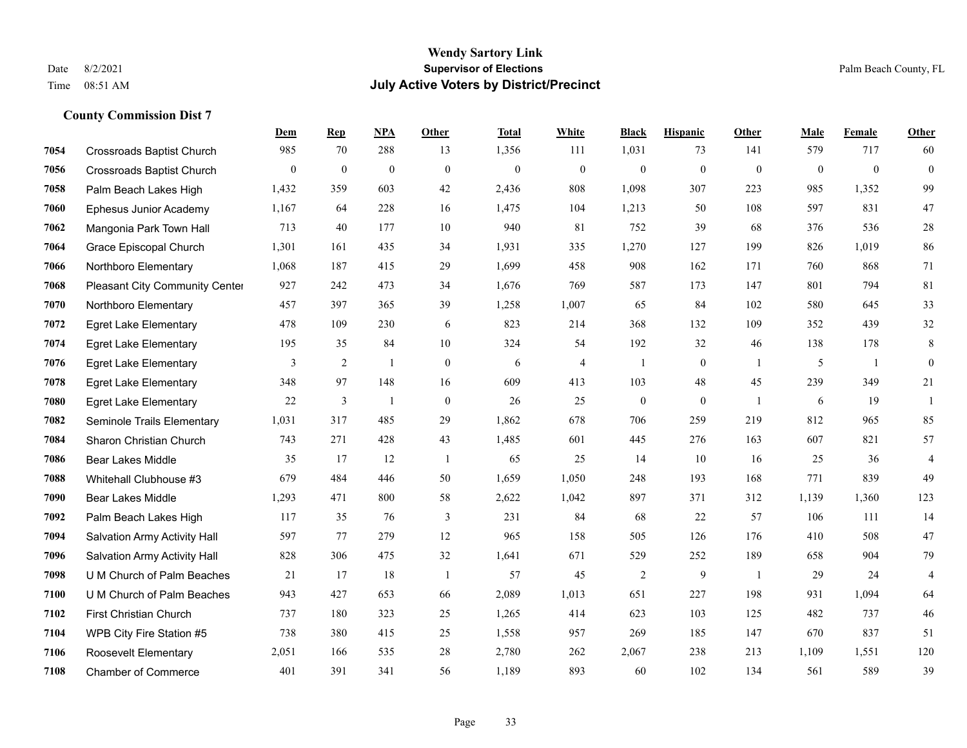|      |                                     | Dem          | <b>Rep</b>       | NPA              | <b>Other</b>     | <b>Total</b>     | White            | <b>Black</b>     | <b>Hispanic</b>  | Other          | <b>Male</b>  | Female           | <b>Other</b>     |
|------|-------------------------------------|--------------|------------------|------------------|------------------|------------------|------------------|------------------|------------------|----------------|--------------|------------------|------------------|
| 7054 | <b>Crossroads Baptist Church</b>    | 985          | 70               | 288              | 13               | 1,356            | 111              | 1,031            | 73               | 141            | 579          | 717              | 60               |
| 7056 | <b>Crossroads Baptist Church</b>    | $\mathbf{0}$ | $\boldsymbol{0}$ | $\boldsymbol{0}$ | $\mathbf{0}$     | $\boldsymbol{0}$ | $\boldsymbol{0}$ | $\boldsymbol{0}$ | $\boldsymbol{0}$ | $\mathbf{0}$   | $\mathbf{0}$ | $\boldsymbol{0}$ | $\boldsymbol{0}$ |
| 7058 | Palm Beach Lakes High               | 1,432        | 359              | 603              | 42               | 2,436            | 808              | 1,098            | 307              | 223            | 985          | 1,352            | 99               |
| 7060 | Ephesus Junior Academy              | 1,167        | 64               | 228              | 16               | 1,475            | 104              | 1,213            | 50               | 108            | 597          | 831              | 47               |
| 7062 | Mangonia Park Town Hall             | 713          | 40               | 177              | 10               | 940              | 81               | 752              | 39               | 68             | 376          | 536              | $28\,$           |
| 7064 | Grace Episcopal Church              | 1,301        | 161              | 435              | 34               | 1,931            | 335              | 1,270            | 127              | 199            | 826          | 1,019            | 86               |
| 7066 | Northboro Elementary                | 1,068        | 187              | 415              | 29               | 1,699            | 458              | 908              | 162              | 171            | 760          | 868              | 71               |
| 7068 | Pleasant City Community Center      | 927          | 242              | 473              | 34               | 1,676            | 769              | 587              | 173              | 147            | 801          | 794              | 81               |
| 7070 | Northboro Elementary                | 457          | 397              | 365              | 39               | 1,258            | 1,007            | 65               | 84               | 102            | 580          | 645              | 33               |
| 7072 | <b>Egret Lake Elementary</b>        | 478          | 109              | 230              | 6                | 823              | 214              | 368              | 132              | 109            | 352          | 439              | 32               |
| 7074 | <b>Egret Lake Elementary</b>        | 195          | 35               | 84               | 10               | 324              | 54               | 192              | 32               | 46             | 138          | 178              | $\,8\,$          |
| 7076 | <b>Egret Lake Elementary</b>        | 3            | 2                | 1                | $\mathbf{0}$     | 6                | 4                | -1               | $\boldsymbol{0}$ | -1             | 5            | $\mathbf{1}$     | $\boldsymbol{0}$ |
| 7078 | <b>Egret Lake Elementary</b>        | 348          | 97               | 148              | 16               | 609              | 413              | 103              | 48               | 45             | 239          | 349              | 21               |
| 7080 | <b>Egret Lake Elementary</b>        | $22\,$       | $\mathfrak{Z}$   | $\overline{1}$   | $\boldsymbol{0}$ | 26               | 25               | $\boldsymbol{0}$ | $\boldsymbol{0}$ | $\overline{1}$ | 6            | 19               | $\overline{1}$   |
| 7082 | Seminole Trails Elementary          | 1,031        | 317              | 485              | 29               | 1,862            | 678              | 706              | 259              | 219            | 812          | 965              | 85               |
| 7084 | Sharon Christian Church             | 743          | 271              | 428              | 43               | 1,485            | 601              | 445              | 276              | 163            | 607          | 821              | 57               |
| 7086 | <b>Bear Lakes Middle</b>            | 35           | 17               | 12               | -1               | 65               | 25               | 14               | 10               | 16             | 25           | 36               | $\overline{4}$   |
| 7088 | Whitehall Clubhouse #3              | 679          | 484              | 446              | 50               | 1,659            | 1,050            | 248              | 193              | 168            | 771          | 839              | 49               |
| 7090 | Bear Lakes Middle                   | 1,293        | 471              | 800              | 58               | 2,622            | 1,042            | 897              | 371              | 312            | 1,139        | 1,360            | 123              |
| 7092 | Palm Beach Lakes High               | 117          | 35               | 76               | 3                | 231              | 84               | 68               | 22               | 57             | 106          | 111              | 14               |
| 7094 | <b>Salvation Army Activity Hall</b> | 597          | 77               | 279              | 12               | 965              | 158              | 505              | 126              | 176            | 410          | 508              | 47               |
| 7096 | Salvation Army Activity Hall        | 828          | 306              | 475              | 32               | 1,641            | 671              | 529              | 252              | 189            | 658          | 904              | 79               |
| 7098 | U M Church of Palm Beaches          | 21           | 17               | 18               | $\overline{1}$   | 57               | 45               | $\overline{c}$   | 9                | $\overline{1}$ | 29           | 24               | $\overline{4}$   |
| 7100 | U M Church of Palm Beaches          | 943          | 427              | 653              | 66               | 2,089            | 1,013            | 651              | 227              | 198            | 931          | 1,094            | 64               |
| 7102 | First Christian Church              | 737          | 180              | 323              | 25               | 1,265            | 414              | 623              | 103              | 125            | 482          | 737              | 46               |
| 7104 | WPB City Fire Station #5            | 738          | 380              | 415              | 25               | 1,558            | 957              | 269              | 185              | 147            | 670          | 837              | 51               |
| 7106 | Roosevelt Elementary                | 2,051        | 166              | 535              | 28               | 2,780            | 262              | 2,067            | 238              | 213            | 1,109        | 1,551            | 120              |
| 7108 | <b>Chamber of Commerce</b>          | 401          | 391              | 341              | 56               | 1,189            | 893              | 60               | 102              | 134            | 561          | 589              | 39               |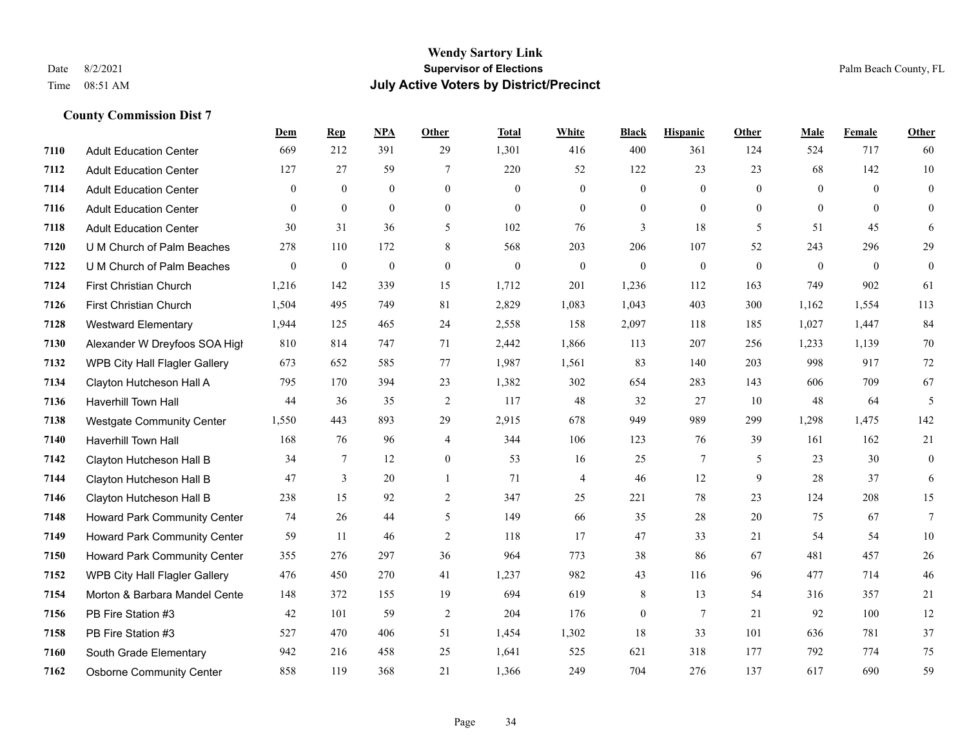#### **Wendy Sartory Link** Date 8/2/2021 **Supervisor of Elections** Palm Beach County, FL Time 08:51 AM **July Active Voters by District/Precinct**

|      |                                     | Dem            | <b>Rep</b>   | <b>NPA</b>   | Other            | <b>Total</b> | White          | <b>Black</b>     | <b>Hispanic</b> | <b>Other</b> | Male           | Female       | Other            |
|------|-------------------------------------|----------------|--------------|--------------|------------------|--------------|----------------|------------------|-----------------|--------------|----------------|--------------|------------------|
| 7110 | <b>Adult Education Center</b>       | 669            | 212          | 391          | 29               | 1,301        | 416            | 400              | 361             | 124          | 524            | 717          | 60               |
| 7112 | <b>Adult Education Center</b>       | 127            | 27           | 59           | 7                | 220          | 52             | 122              | 23              | 23           | 68             | 142          | $10\,$           |
| 7114 | <b>Adult Education Center</b>       | $\overline{0}$ | $\mathbf{0}$ | $\mathbf{0}$ | $\mathbf{0}$     | $\mathbf{0}$ | $\overline{0}$ | $\mathbf{0}$     | $\mathbf{0}$    | $\theta$     | $\mathbf{0}$   | $\theta$     | $\mathbf{0}$     |
| 7116 | <b>Adult Education Center</b>       | $\theta$       | $\mathbf{0}$ | $\mathbf{0}$ | $\mathbf{0}$     | $\mathbf{0}$ | $\mathbf{0}$   | $\overline{0}$   | $\mathbf{0}$    | $\theta$     | $\overline{0}$ | $\theta$     | $\mathbf{0}$     |
| 7118 | <b>Adult Education Center</b>       | 30             | 31           | 36           | 5                | 102          | 76             | 3                | 18              | 5            | 51             | 45           | 6                |
| 7120 | U M Church of Palm Beaches          | 278            | 110          | 172          | 8                | 568          | 203            | 206              | 107             | 52           | 243            | 296          | 29               |
| 7122 | U M Church of Palm Beaches          | $\mathbf{0}$   | $\mathbf{0}$ | $\mathbf{0}$ | $\mathbf{0}$     | $\mathbf{0}$ | $\mathbf{0}$   | $\mathbf{0}$     | $\mathbf{0}$    | $\theta$     | $\mathbf{0}$   | $\mathbf{0}$ | $\boldsymbol{0}$ |
| 7124 | First Christian Church              | 1,216          | 142          | 339          | 15               | 1,712        | 201            | 1,236            | 112             | 163          | 749            | 902          | 61               |
| 7126 | First Christian Church              | 1,504          | 495          | 749          | 81               | 2,829        | 1,083          | 1,043            | 403             | 300          | 1,162          | 1,554        | 113              |
| 7128 | <b>Westward Elementary</b>          | 1,944          | 125          | 465          | 24               | 2,558        | 158            | 2,097            | 118             | 185          | 1,027          | 1,447        | 84               |
| 7130 | Alexander W Dreyfoos SOA High       | 810            | 814          | 747          | 71               | 2,442        | 1,866          | 113              | 207             | 256          | 1,233          | 1,139        | 70               |
| 7132 | WPB City Hall Flagler Gallery       | 673            | 652          | 585          | 77               | 1,987        | 1,561          | 83               | 140             | 203          | 998            | 917          | 72               |
| 7134 | Clayton Hutcheson Hall A            | 795            | 170          | 394          | 23               | 1,382        | 302            | 654              | 283             | 143          | 606            | 709          | 67               |
| 7136 | <b>Haverhill Town Hall</b>          | 44             | 36           | 35           | 2                | 117          | 48             | 32               | 27              | 10           | 48             | 64           | 5                |
| 7138 | <b>Westgate Community Center</b>    | 1,550          | 443          | 893          | 29               | 2,915        | 678            | 949              | 989             | 299          | 1,298          | 1,475        | 142              |
| 7140 | <b>Haverhill Town Hall</b>          | 168            | 76           | 96           | $\overline{4}$   | 344          | 106            | 123              | 76              | 39           | 161            | 162          | 21               |
| 7142 | Clayton Hutcheson Hall B            | 34             | 7            | 12           | $\boldsymbol{0}$ | 53           | 16             | 25               | $\tau$          | 5            | 23             | 30           | $\boldsymbol{0}$ |
| 7144 | Clayton Hutcheson Hall B            | 47             | 3            | 20           | -1               | 71           | $\overline{4}$ | 46               | 12              | 9            | 28             | 37           | 6                |
| 7146 | Clayton Hutcheson Hall B            | 238            | 15           | 92           | 2                | 347          | 25             | 221              | 78              | 23           | 124            | 208          | 15               |
| 7148 | <b>Howard Park Community Center</b> | 74             | 26           | 44           | 5                | 149          | 66             | 35               | 28              | 20           | 75             | 67           | 7                |
| 7149 | <b>Howard Park Community Center</b> | 59             | 11           | 46           | $\overline{2}$   | 118          | 17             | 47               | 33              | 21           | 54             | 54           | 10               |
| 7150 | Howard Park Community Center        | 355            | 276          | 297          | 36               | 964          | 773            | 38               | 86              | 67           | 481            | 457          | 26               |
| 7152 | WPB City Hall Flagler Gallery       | 476            | 450          | 270          | 41               | 1,237        | 982            | 43               | 116             | 96           | 477            | 714          | 46               |
| 7154 | Morton & Barbara Mandel Cente       | 148            | 372          | 155          | 19               | 694          | 619            | 8                | 13              | 54           | 316            | 357          | 21               |
| 7156 | PB Fire Station #3                  | 42             | 101          | 59           | $\overline{2}$   | 204          | 176            | $\boldsymbol{0}$ | $\overline{7}$  | 21           | 92             | 100          | 12               |
| 7158 | PB Fire Station #3                  | 527            | 470          | 406          | 51               | 1,454        | 1,302          | 18               | 33              | 101          | 636            | 781          | 37               |
| 7160 | South Grade Elementary              | 942            | 216          | 458          | 25               | 1,641        | 525            | 621              | 318             | 177          | 792            | 774          | 75               |
| 7162 | <b>Osborne Community Center</b>     | 858            | 119          | 368          | 21               | 1,366        | 249            | 704              | 276             | 137          | 617            | 690          | 59               |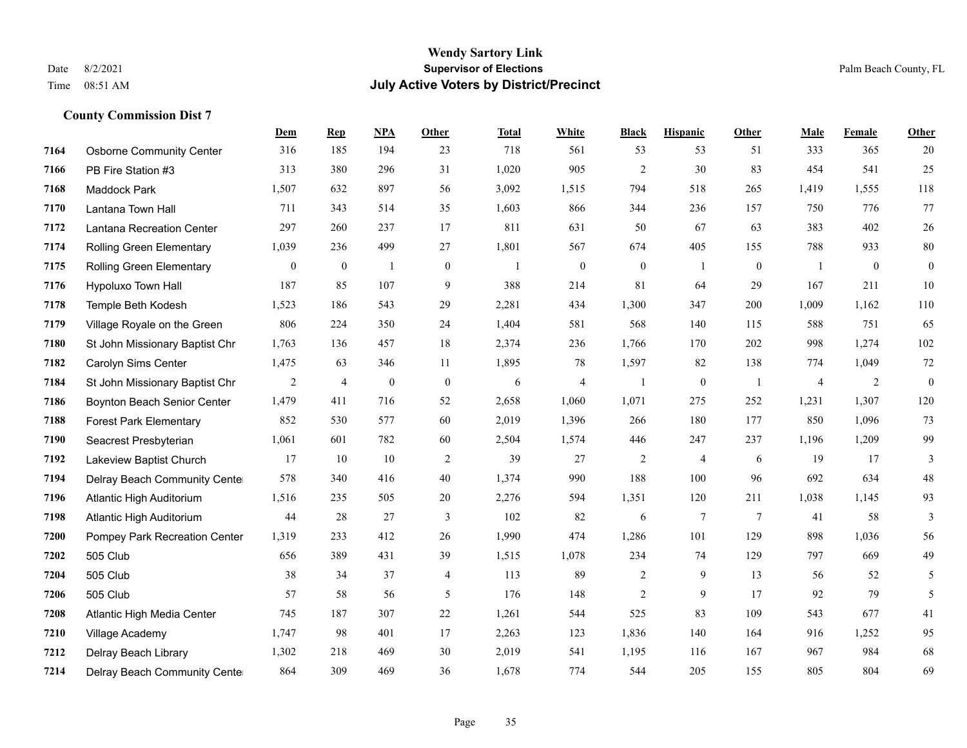|      |                                 | <b>Dem</b> | <b>Rep</b>     | NPA              | Other            | <b>Total</b>   | <b>White</b>     | <b>Black</b>     | <b>Hispanic</b> | <b>Other</b>    | <b>Male</b>    | Female       | <b>Other</b>     |
|------|---------------------------------|------------|----------------|------------------|------------------|----------------|------------------|------------------|-----------------|-----------------|----------------|--------------|------------------|
| 7164 | <b>Osborne Community Center</b> | 316        | 185            | 194              | 23               | 718            | 561              | 53               | 53              | 51              | 333            | 365          | 20               |
| 7166 | PB Fire Station #3              | 313        | 380            | 296              | 31               | 1,020          | 905              | $\overline{2}$   | 30              | 83              | 454            | 541          | 25               |
| 7168 | <b>Maddock Park</b>             | 1,507      | 632            | 897              | 56               | 3,092          | 1,515            | 794              | 518             | 265             | 1,419          | 1,555        | 118              |
| 7170 | Lantana Town Hall               | 711        | 343            | 514              | 35               | 1,603          | 866              | 344              | 236             | 157             | 750            | 776          | 77               |
| 7172 | Lantana Recreation Center       | 297        | 260            | 237              | 17               | 811            | 631              | 50               | 67              | 63              | 383            | 402          | $26\,$           |
| 7174 | Rolling Green Elementary        | 1,039      | 236            | 499              | 27               | 1,801          | 567              | 674              | 405             | 155             | 788            | 933          | $80\,$           |
| 7175 | <b>Rolling Green Elementary</b> | $\bf{0}$   | $\mathbf{0}$   | $\mathbf{1}$     | $\boldsymbol{0}$ | $\overline{1}$ | $\boldsymbol{0}$ | $\boldsymbol{0}$ | 1               | $\mathbf{0}$    | $\overline{1}$ | $\mathbf{0}$ | $\boldsymbol{0}$ |
| 7176 | Hypoluxo Town Hall              | 187        | 85             | 107              | 9                | 388            | 214              | 81               | 64              | 29              | 167            | 211          | 10               |
| 7178 | Temple Beth Kodesh              | 1,523      | 186            | 543              | 29               | 2,281          | 434              | 1,300            | 347             | 200             | 1,009          | 1,162        | 110              |
| 7179 | Village Royale on the Green     | 806        | 224            | 350              | 24               | 1,404          | 581              | 568              | 140             | 115             | 588            | 751          | 65               |
| 7180 | St John Missionary Baptist Chr  | 1,763      | 136            | 457              | 18               | 2,374          | 236              | 1,766            | 170             | 202             | 998            | 1,274        | 102              |
| 7182 | Carolyn Sims Center             | 1,475      | 63             | 346              | 11               | 1,895          | 78               | 1,597            | 82              | 138             | 774            | 1,049        | $72\,$           |
| 7184 | St John Missionary Baptist Chr  | 2          | $\overline{4}$ | $\boldsymbol{0}$ | $\mathbf{0}$     | 6              | $\overline{4}$   | $\mathbf{1}$     | $\mathbf{0}$    | -1              | 4              | 2            | $\mathbf{0}$     |
| 7186 | Boynton Beach Senior Center     | 1,479      | 411            | 716              | 52               | 2,658          | 1,060            | 1,071            | 275             | 252             | 1,231          | 1,307        | 120              |
| 7188 | <b>Forest Park Elementary</b>   | 852        | 530            | 577              | 60               | 2,019          | 1,396            | 266              | 180             | 177             | 850            | 1,096        | 73               |
| 7190 | Seacrest Presbyterian           | 1,061      | 601            | 782              | 60               | 2,504          | 1,574            | 446              | 247             | 237             | 1,196          | 1,209        | 99               |
| 7192 | Lakeview Baptist Church         | 17         | 10             | 10               | $\overline{2}$   | 39             | 27               | $\overline{c}$   | $\overline{4}$  | 6               | 19             | 17           | 3                |
| 7194 | Delray Beach Community Cente    | 578        | 340            | 416              | 40               | 1,374          | 990              | 188              | 100             | 96              | 692            | 634          | $48\,$           |
| 7196 | Atlantic High Auditorium        | 1,516      | 235            | 505              | 20               | 2,276          | 594              | 1,351            | 120             | 211             | 1,038          | 1,145        | 93               |
| 7198 | Atlantic High Auditorium        | 44         | 28             | 27               | 3                | 102            | 82               | 6                | $\tau$          | $7\phantom{.0}$ | 41             | 58           | 3                |
| 7200 | Pompey Park Recreation Center   | 1,319      | 233            | 412              | 26               | 1,990          | 474              | 1,286            | 101             | 129             | 898            | 1,036        | 56               |
| 7202 | 505 Club                        | 656        | 389            | 431              | 39               | 1,515          | 1,078            | 234              | 74              | 129             | 797            | 669          | 49               |
| 7204 | 505 Club                        | 38         | 34             | 37               | 4                | 113            | 89               | $\overline{c}$   | 9               | 13              | 56             | 52           | 5                |
| 7206 | 505 Club                        | 57         | 58             | 56               | 5                | 176            | 148              | $\overline{c}$   | 9               | 17              | 92             | 79           | 5                |
| 7208 | Atlantic High Media Center      | 745        | 187            | 307              | 22               | 1,261          | 544              | 525              | 83              | 109             | 543            | 677          | 41               |
| 7210 | Village Academy                 | 1,747      | 98             | 401              | 17               | 2,263          | 123              | 1,836            | 140             | 164             | 916            | 1,252        | 95               |
| 7212 | Delray Beach Library            | 1,302      | 218            | 469              | 30               | 2,019          | 541              | 1,195            | 116             | 167             | 967            | 984          | 68               |
| 7214 | Delray Beach Community Cente    | 864        | 309            | 469              | 36               | 1,678          | 774              | 544              | 205             | 155             | 805            | 804          | 69               |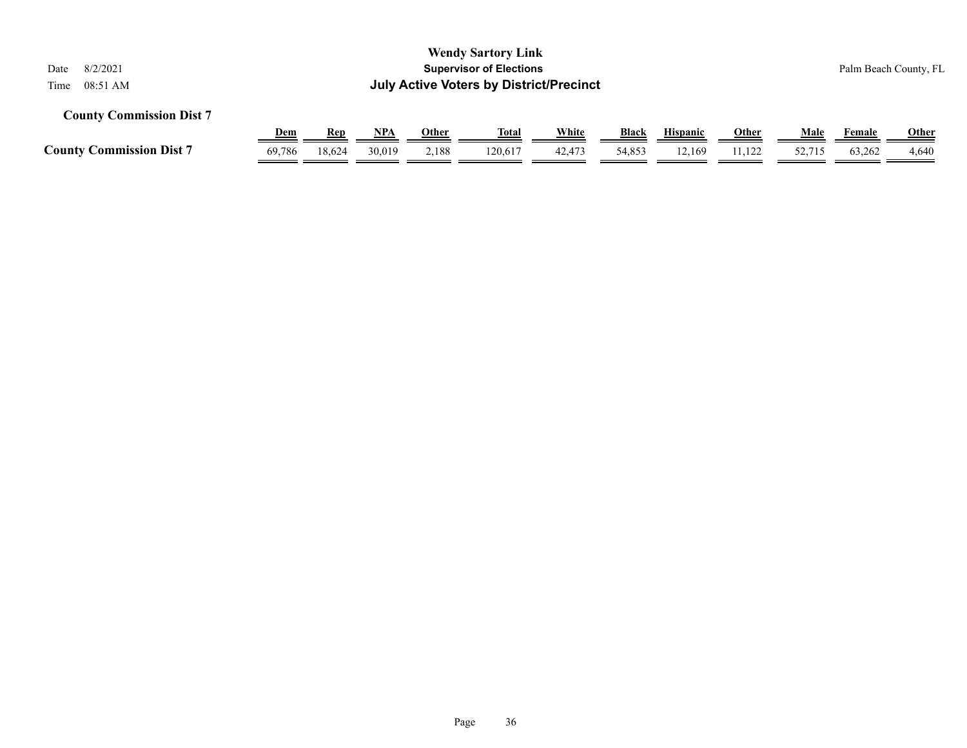| <b>Wendy Sartory Link</b><br><b>Supervisor of Elections</b><br>8/2/2021<br>Date<br><b>July Active Voters by District/Precinct</b><br>08:51 AM<br>Time |                      |                      |                      |                       |                         |                 |                 |                           |                        |                | Palm Beach County, FL |                       |  |
|-------------------------------------------------------------------------------------------------------------------------------------------------------|----------------------|----------------------|----------------------|-----------------------|-------------------------|-----------------|-----------------|---------------------------|------------------------|----------------|-----------------------|-----------------------|--|
| <b>County Commission Dist 7</b>                                                                                                                       |                      |                      |                      |                       |                         |                 |                 |                           |                        |                |                       |                       |  |
| <b>County Commission Dist 7</b>                                                                                                                       | <u>Dem</u><br>69,786 | <b>Rep</b><br>18.624 | <u>NPA</u><br>30.019 | <u>Other</u><br>2,188 | <u>Total</u><br>120.617 | White<br>42,473 | Black<br>54,853 | <b>Hispanic</b><br>12.169 | <b>Other</b><br>11,122 | Male<br>52,715 | Female<br>63.262      | <b>Other</b><br>4,640 |  |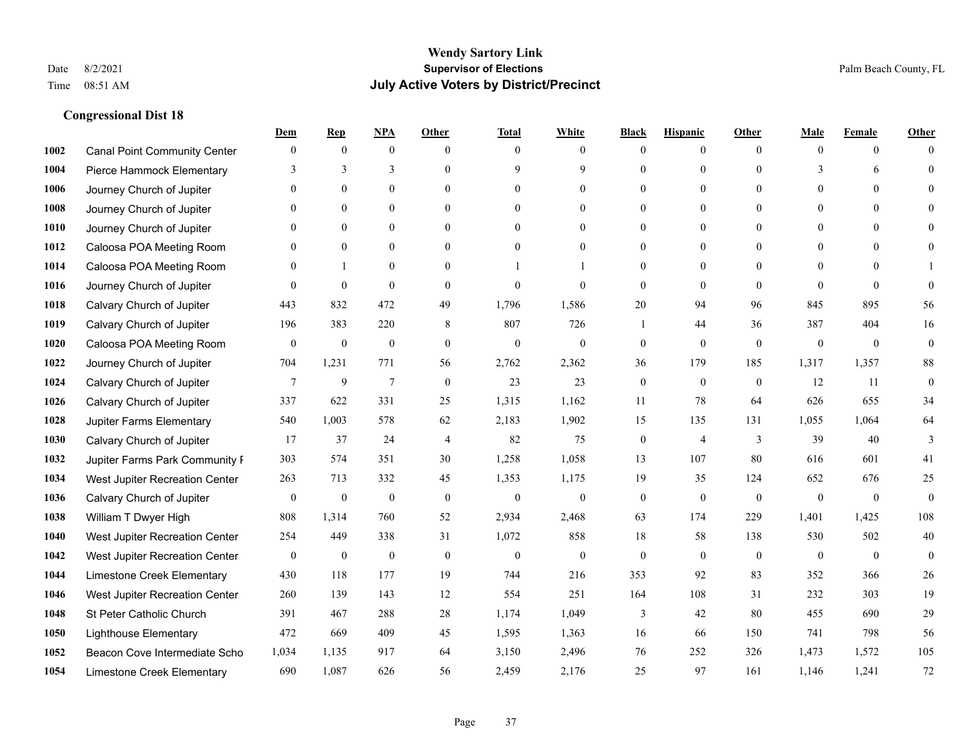|      |                                     | Dem              | <b>Rep</b>       | NPA              | <b>Other</b>   | <b>Total</b>     | <b>White</b>     | <b>Black</b>     | <b>Hispanic</b>  | <b>Other</b> | <b>Male</b>      | <b>Female</b>  | <b>Other</b>     |
|------|-------------------------------------|------------------|------------------|------------------|----------------|------------------|------------------|------------------|------------------|--------------|------------------|----------------|------------------|
| 1002 | <b>Canal Point Community Center</b> | $\mathbf{0}$     | $\mathbf{0}$     | $\mathbf{0}$     | $\theta$       | $\theta$         | $\overline{0}$   | $\Omega$         | $\overline{0}$   | $\theta$     | $\mathbf{0}$     | $\overline{0}$ | $\Omega$         |
| 1004 | Pierce Hammock Elementary           | 3                | 3                | 3                | $\theta$       | 9                | 9                | $\theta$         | $\overline{0}$   | $\Omega$     | 3                | 6              | $\theta$         |
| 1006 | Journey Church of Jupiter           | $\Omega$         | $\theta$         | $\theta$         | $\Omega$       | $\Omega$         | $\theta$         | 0                | $\Omega$         | $\Omega$     | $\Omega$         | $\Omega$       | $\Omega$         |
| 1008 | Journey Church of Jupiter           |                  | $\mathbf{0}$     | $\overline{0}$   | $\mathbf{0}$   | $\mathbf{0}$     | $\overline{0}$   | $\theta$         | $\overline{0}$   | $\theta$     | $\mathbf{0}$     | $\Omega$       |                  |
| 1010 | Journey Church of Jupiter           | $\Omega$         | $\theta$         | $\theta$         | $\theta$       | $\theta$         | $\overline{0}$   | 0                | $\overline{0}$   | $\Omega$     | $\theta$         | $\theta$       | $\Omega$         |
| 1012 | Caloosa POA Meeting Room            | $\Omega$         | $\mathbf{0}$     | $\mathbf{0}$     | $\theta$       | $\theta$         | $\overline{0}$   | $\theta$         | $\overline{0}$   | $\Omega$     | $\overline{0}$   | $\Omega$       | $\Omega$         |
| 1014 | Caloosa POA Meeting Room            | $\Omega$         | $\mathbf{1}$     | $\mathbf{0}$     | $\mathbf{0}$   |                  |                  | $\theta$         | $\mathbf{0}$     | $\theta$     | $\overline{0}$   | $\Omega$       |                  |
| 1016 | Journey Church of Jupiter           | $\Omega$         | $\mathbf{0}$     | $\theta$         | $\theta$       | $\theta$         | $\theta$         | $\mathbf{0}$     | $\overline{0}$   | $\Omega$     | $\Omega$         | $\Omega$       | $\theta$         |
| 1018 | Calvary Church of Jupiter           | 443              | 832              | 472              | 49             | 1,796            | 1,586            | 20               | 94               | 96           | 845              | 895            | 56               |
| 1019 | Calvary Church of Jupiter           | 196              | 383              | 220              | 8              | 807              | 726              | -1               | 44               | 36           | 387              | 404            | 16               |
| 1020 | Caloosa POA Meeting Room            | $\mathbf{0}$     | $\boldsymbol{0}$ | $\boldsymbol{0}$ | $\mathbf{0}$   | $\mathbf{0}$     | $\overline{0}$   | $\mathbf{0}$     | $\overline{0}$   | $\theta$     | $\mathbf{0}$     | $\overline{0}$ | $\boldsymbol{0}$ |
| 1022 | Journey Church of Jupiter           | 704              | 1,231            | 771              | 56             | 2,762            | 2,362            | 36               | 179              | 185          | 1,317            | 1,357          | $88\,$           |
| 1024 | Calvary Church of Jupiter           | 7                | 9                | $\overline{7}$   | $\mathbf{0}$   | 23               | 23               | $\mathbf{0}$     | $\mathbf{0}$     | $\theta$     | 12               | 11             | $\boldsymbol{0}$ |
| 1026 | Calvary Church of Jupiter           | 337              | 622              | 331              | 25             | 1,315            | 1,162            | 11               | 78               | 64           | 626              | 655            | 34               |
| 1028 | Jupiter Farms Elementary            | 540              | 1,003            | 578              | 62             | 2,183            | 1,902            | 15               | 135              | 131          | 1,055            | 1,064          | 64               |
| 1030 | Calvary Church of Jupiter           | 17               | 37               | 24               | $\overline{4}$ | 82               | 75               | $\overline{0}$   | 4                | 3            | 39               | 40             | 3                |
| 1032 | Jupiter Farms Park Community I      | 303              | 574              | 351              | 30             | 1,258            | 1,058            | 13               | 107              | 80           | 616              | 601            | 41               |
| 1034 | West Jupiter Recreation Center      | 263              | 713              | 332              | 45             | 1,353            | 1,175            | 19               | 35               | 124          | 652              | 676            | 25               |
| 1036 | Calvary Church of Jupiter           | $\boldsymbol{0}$ | $\boldsymbol{0}$ | $\boldsymbol{0}$ | $\mathbf{0}$   | $\boldsymbol{0}$ | $\mathbf{0}$     | $\boldsymbol{0}$ | $\overline{0}$   | $\mathbf{0}$ | $\mathbf{0}$     | $\mathbf{0}$   | $\boldsymbol{0}$ |
| 1038 | William T Dwyer High                | 808              | 1,314            | 760              | 52             | 2,934            | 2,468            | 63               | 174              | 229          | 1,401            | 1,425          | 108              |
| 1040 | West Jupiter Recreation Center      | 254              | 449              | 338              | 31             | 1,072            | 858              | 18               | 58               | 138          | 530              | 502            | 40               |
| 1042 | West Jupiter Recreation Center      | $\boldsymbol{0}$ | $\boldsymbol{0}$ | $\boldsymbol{0}$ | $\mathbf{0}$   | $\boldsymbol{0}$ | $\boldsymbol{0}$ | $\boldsymbol{0}$ | $\boldsymbol{0}$ | $\mathbf{0}$ | $\boldsymbol{0}$ | $\overline{0}$ | $\mathbf{0}$     |
| 1044 | Limestone Creek Elementary          | 430              | 118              | 177              | 19             | 744              | 216              | 353              | 92               | 83           | 352              | 366            | $26\,$           |
| 1046 | West Jupiter Recreation Center      | 260              | 139              | 143              | 12             | 554              | 251              | 164              | 108              | 31           | 232              | 303            | 19               |
| 1048 | St Peter Catholic Church            | 391              | 467              | 288              | $28\,$         | 1,174            | 1,049            | $\mathfrak{Z}$   | 42               | 80           | 455              | 690            | $29\,$           |
| 1050 | <b>Lighthouse Elementary</b>        | 472              | 669              | 409              | 45             | 1,595            | 1,363            | 16               | 66               | 150          | 741              | 798            | 56               |
| 1052 | Beacon Cove Intermediate Scho       | 1,034            | 1,135            | 917              | 64             | 3,150            | 2,496            | 76               | 252              | 326          | 1,473            | 1,572          | 105              |
| 1054 | Limestone Creek Elementary          | 690              | 1,087            | 626              | 56             | 2,459            | 2,176            | 25               | 97               | 161          | 1,146            | 1,241          | 72               |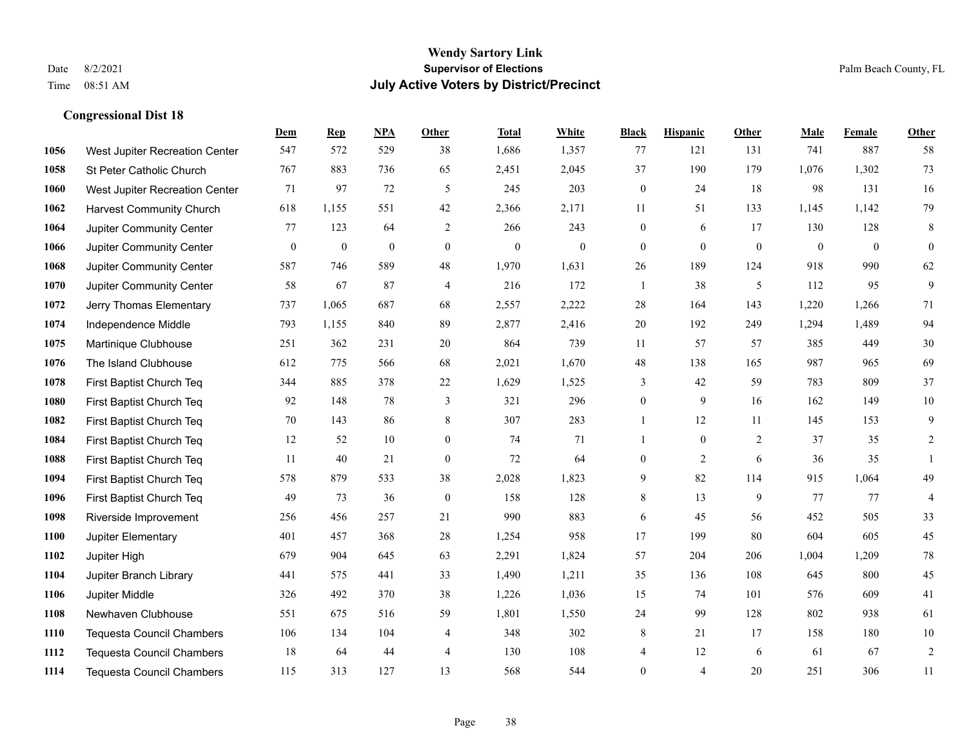|      |                                  | Dem          | <b>Rep</b>       | NPA              | <b>Other</b>     | <b>Total</b> | White            | <b>Black</b>     | <b>Hispanic</b>  | <b>Other</b>   | <b>Male</b>    | Female         | Other          |
|------|----------------------------------|--------------|------------------|------------------|------------------|--------------|------------------|------------------|------------------|----------------|----------------|----------------|----------------|
| 1056 | West Jupiter Recreation Center   | 547          | 572              | 529              | 38               | 1,686        | 1,357            | 77               | 121              | 131            | 741            | 887            | 58             |
| 1058 | St Peter Catholic Church         | 767          | 883              | 736              | 65               | 2,451        | 2,045            | 37               | 190              | 179            | 1,076          | 1,302          | 73             |
| 1060 | West Jupiter Recreation Center   | 71           | 97               | 72               | 5                | 245          | 203              | $\boldsymbol{0}$ | 24               | 18             | 98             | 131            | 16             |
| 1062 | <b>Harvest Community Church</b>  | 618          | 1,155            | 551              | 42               | 2,366        | 2,171            | 11               | 51               | 133            | 1,145          | 1,142          | 79             |
| 1064 | Jupiter Community Center         | 77           | 123              | 64               | 2                | 266          | 243              | $\boldsymbol{0}$ | 6                | 17             | 130            | 128            | $\,$ 8 $\,$    |
| 1066 | Jupiter Community Center         | $\mathbf{0}$ | $\boldsymbol{0}$ | $\boldsymbol{0}$ | $\mathbf{0}$     | $\mathbf{0}$ | $\boldsymbol{0}$ | $\boldsymbol{0}$ | $\boldsymbol{0}$ | $\overline{0}$ | $\overline{0}$ | $\overline{0}$ | $\mathbf{0}$   |
| 1068 | Jupiter Community Center         | 587          | 746              | 589              | 48               | 1,970        | 1,631            | 26               | 189              | 124            | 918            | 990            | 62             |
| 1070 | Jupiter Community Center         | 58           | 67               | 87               | $\overline{4}$   | 216          | 172              | $\mathbf{1}$     | 38               | 5              | 112            | 95             | 9              |
| 1072 | Jerry Thomas Elementary          | 737          | 1,065            | 687              | 68               | 2,557        | 2,222            | 28               | 164              | 143            | 1,220          | 1,266          | 71             |
| 1074 | Independence Middle              | 793          | 1,155            | 840              | 89               | 2,877        | 2,416            | 20               | 192              | 249            | 1,294          | 1,489          | 94             |
| 1075 | Martinique Clubhouse             | 251          | 362              | 231              | 20               | 864          | 739              | 11               | 57               | 57             | 385            | 449            | $30\,$         |
| 1076 | The Island Clubhouse             | 612          | 775              | 566              | 68               | 2,021        | 1,670            | 48               | 138              | 165            | 987            | 965            | 69             |
| 1078 | First Baptist Church Teq         | 344          | 885              | 378              | 22               | 1,629        | 1,525            | 3                | 42               | 59             | 783            | 809            | 37             |
| 1080 | First Baptist Church Teq         | 92           | 148              | 78               | 3                | 321          | 296              | $\boldsymbol{0}$ | 9                | 16             | 162            | 149            | $10\,$         |
| 1082 | First Baptist Church Teq         | 70           | 143              | 86               | 8                | 307          | 283              |                  | 12               | 11             | 145            | 153            | 9              |
| 1084 | First Baptist Church Teq         | 12           | 52               | 10               | $\overline{0}$   | 74           | 71               | -1               | $\mathbf{0}$     | 2              | 37             | 35             | 2              |
| 1088 | First Baptist Church Teq         | 11           | 40               | 21               | $\boldsymbol{0}$ | 72           | 64               | $\boldsymbol{0}$ | $\overline{2}$   | 6              | 36             | 35             | $\mathbf{1}$   |
| 1094 | First Baptist Church Teq         | 578          | 879              | 533              | 38               | 2,028        | 1,823            | 9                | 82               | 114            | 915            | 1,064          | 49             |
| 1096 | First Baptist Church Teq         | 49           | 73               | 36               | $\mathbf{0}$     | 158          | 128              | 8                | 13               | 9              | 77             | 77             | $\overline{4}$ |
| 1098 | Riverside Improvement            | 256          | 456              | 257              | 21               | 990          | 883              | $\sqrt{6}$       | 45               | 56             | 452            | 505            | 33             |
| 1100 | Jupiter Elementary               | 401          | 457              | 368              | 28               | 1,254        | 958              | 17               | 199              | 80             | 604            | 605            | 45             |
| 1102 | Jupiter High                     | 679          | 904              | 645              | 63               | 2,291        | 1,824            | 57               | 204              | 206            | 1,004          | 1,209          | $78\,$         |
| 1104 | Jupiter Branch Library           | 441          | 575              | 441              | 33               | 1,490        | 1,211            | 35               | 136              | 108            | 645            | 800            | 45             |
| 1106 | Jupiter Middle                   | 326          | 492              | 370              | 38               | 1,226        | 1,036            | 15               | 74               | 101            | 576            | 609            | 41             |
| 1108 | Newhaven Clubhouse               | 551          | 675              | 516              | 59               | 1,801        | 1,550            | 24               | 99               | 128            | 802            | 938            | 61             |
| 1110 | <b>Tequesta Council Chambers</b> | 106          | 134              | 104              | 4                | 348          | 302              | 8                | 21               | 17             | 158            | 180            | $10\,$         |
| 1112 | <b>Tequesta Council Chambers</b> | 18           | 64               | 44               | $\overline{4}$   | 130          | 108              | 4                | 12               | 6              | 61             | 67             | $\sqrt{2}$     |
| 1114 | <b>Tequesta Council Chambers</b> | 115          | 313              | 127              | 13               | 568          | 544              | $\mathbf{0}$     | $\overline{4}$   | 20             | 251            | 306            | 11             |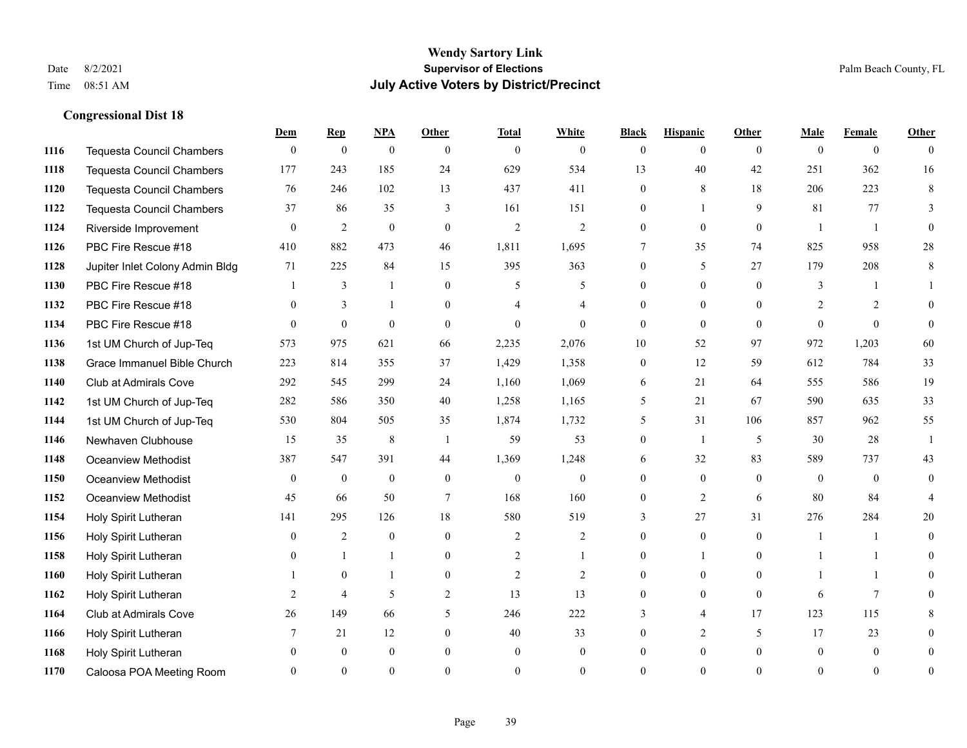#### **Wendy Sartory Link** Date 8/2/2021 **Supervisor of Elections** Palm Beach County, FL Time 08:51 AM **July Active Voters by District/Precinct**

# **Dem Rep NPA Other Total White Black Hispanic Other Male Female Other** Tequesta Council Chambers 0 0 0 0 0 0 0 0 0 0 0 0 Tequesta Council Chambers 177 243 185 24 629 534 13 40 42 251 362 16 Tequesta Council Chambers 76 246 102 13 437 411 0 8 18 206 223 8 Tequesta Council Chambers 37 86 35 3 161 151 0 1 9 81 77 3 Riverside Improvement 0 0 2 0 0 2 2 2 0 0 0 0 1 1 0 PBC Fire Rescue #18 410 882 473 46 1,811 1,695 7 35 74 825 958 28 Jupiter Inlet Colony Admin Bldg 71 225 84 15 395 363 0 5 27 179 208 8 PBC Fire Rescue #18 **1** 3 1 0 5 5 0 0 0 3 1 1 **1132 PBC Fire Rescue #18** 0 3 1 0 4 4 0 0 0 2 2 0 PBC Fire Rescue #18 0 0 0 0 0 0 0 0 0 0 0 0 1st UM Church of Jup-Teq 573 975 621 66 2,235 2,076 10 52 97 972 1,203 60 Grace Immanuel Bible Church 223 814 355 37 1,429 1,358 0 12 59 612 784 33 Club at Admirals Cove 292 545 299 24 1,160 1,069 6 21 64 555 586 19 1st UM Church of Jup-Teq 282 586 350 40 1,258 1,165 5 21 67 590 635 33 1st UM Church of Jup-Teq 530 804 505 35 1,874 1,732 5 31 106 857 962 55 Newhaven Clubhouse 15 15 35 8 1 59 53 0 1 5 30 28 1 Oceanview Methodist 387 547 391 44 1,369 1,248 6 32 83 589 737 43 Oceanview Methodist 0 0 0 0 0 0 0 0 0 0 0 0 Oceanview Methodist 45 66 50 7 168 160 0 2 6 80 84 4 Holy Spirit Lutheran 141 295 126 18 580 519 3 27 31 276 284 20 Holy Spirit Lutheran **0** 2 0 0 2 2 2 0 0 0 1 1 0 Holy Spirit Lutheran **0** 1 1 0 2 1 0 1 0 1 1 0 Holy Spirit Lutheran 1 0 1 0 2 2 0 0 0 1 1 0 Holy Spirit Lutheran **2** 4 5 2 13 13 0 0 0 6 7 0 Club at Admirals Cove 26 149 66 5 246 222 3 4 17 123 115 8 Holy Spirit Lutheran **7** 21 12 0 40 33 0 2 5 17 23 0 Holy Spirit Lutheran 0 0 0 0 0 0 0 0 0 0 0 0 Caloosa POA Meeting Room 0 0 0 0 0 0 0 0 0 0 0 0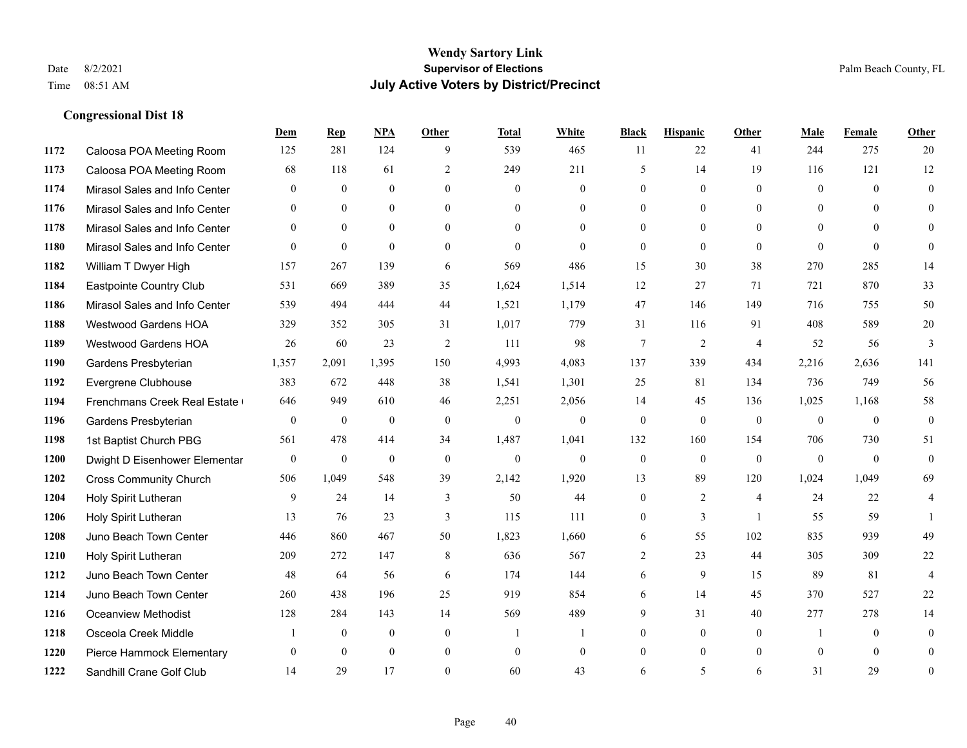#### **Wendy Sartory Link** Date 8/2/2021 **Supervisor of Elections** Palm Beach County, FL Time 08:51 AM **July Active Voters by District/Precinct**

# **Dem Rep NPA Other Total White Black Hispanic Other Male Female Other** Caloosa POA Meeting Room 125 281 124 9 539 465 11 22 41 244 275 20 Caloosa POA Meeting Room 68 118 61 2 249 211 5 14 19 116 121 12 Mirasol Sales and Info Center 0 0 0 0 0 0 0 0 0 0 0 0 Mirasol Sales and Info Center 0 0 0 0 0 0 0 0 0 0 0 0 Mirasol Sales and Info Center 0 0 0 0 0 0 0 0 0 0 0 0 Mirasol Sales and Info Center 0 0 0 0 0 0 0 0 0 0 0 0 William T Dwyer High 157 267 139 6 569 486 15 30 38 270 285 14 Eastpointe Country Club 531 669 389 35 1,624 1,514 12 27 71 721 870 33 Mirasol Sales and Info Center 539 494 444 44 1,521 1,179 47 146 149 716 755 50 Westwood Gardens HOA 329 352 305 31 1,017 779 31 116 91 408 589 20 Westwood Gardens HOA 26 60 23 2 111 98 7 2 4 52 56 3 Gardens Presbyterian 1,357 2,091 1,395 150 4,993 4,083 137 339 434 2,216 2,636 141 Evergrene Clubhouse 383 672 448 38 1,541 1,301 25 81 134 736 749 56 Frenchmans Creek Real Estate 646 949 610 46 2,251 2,056 14 45 136 1,025 1,168 58 Gardens Presbyterian 0 0 0 0 0 0 0 0 0 0 0 0 1st Baptist Church PBG 561 478 414 34 1,487 1,041 132 160 154 706 730 51 Dwight D Eisenhower Elementary 0 0 0 0 0 0 0 0 0 0 0 0 Cross Community Church 506 1,049 548 39 2,142 1,920 13 89 120 1,024 1,049 69 Holy Spirit Lutheran 9 24 14 3 50 44 0 2 4 24 22 4 Holy Spirit Lutheran **13** 76 23 3 115 111 0 3 1 55 59 1 Juno Beach Town Center 446 860 467 50 1,823 1,660 6 55 102 835 939 49 Holy Spirit Lutheran 209 272 147 8 636 567 2 23 44 305 309 22 Juno Beach Town Center 48 64 56 6 174 144 6 9 15 89 81 4 Juno Beach Town Center 260 438 196 25 919 854 6 14 45 370 527 22 Oceanview Methodist 128 284 143 14 569 489 9 31 40 277 278 14 Osceola Creek Middle  $\begin{array}{cccccccc} 1 & 0 & 0 & 0 & 1 & 1 & 0 & 0 & 0 \end{array}$  Pierce Hammock Elementary 0 0 0 0 0 0 0 0 0 0 0 0 Sandhill Crane Golf Club 14 29 17 0 60 43 6 5 6 31 29 0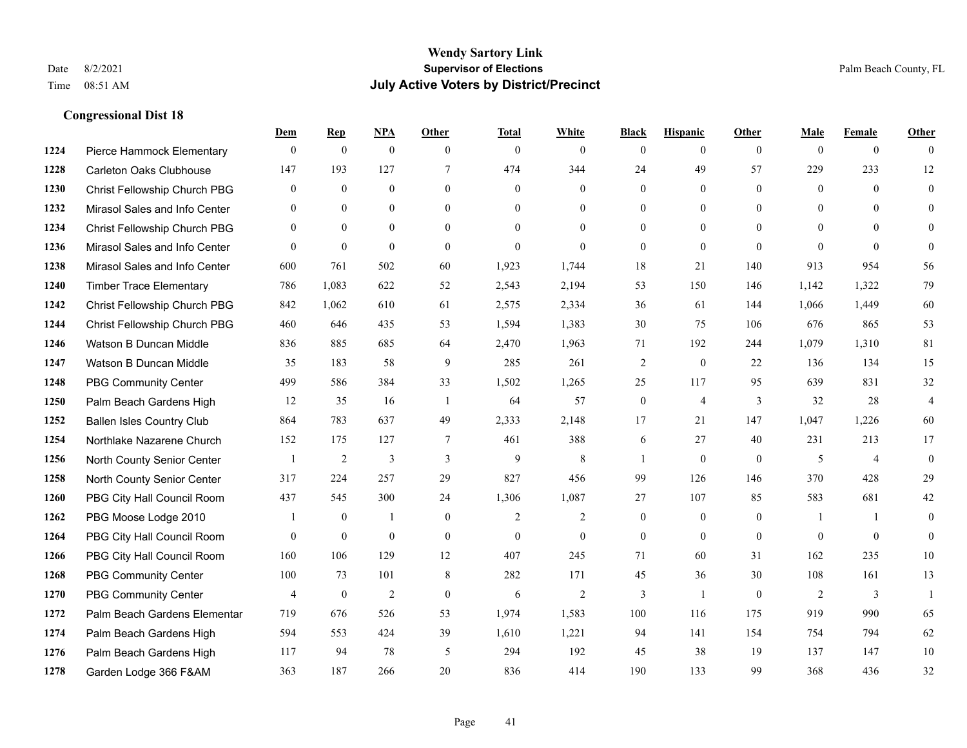|      |                                  | Dem            | <b>Rep</b>       | NPA              | <b>Other</b>   | <b>Total</b> | <b>White</b>   | <b>Black</b>     | <b>Hispanic</b>  | <b>Other</b>   | <b>Male</b>  | <b>Female</b>  | <b>Other</b>   |
|------|----------------------------------|----------------|------------------|------------------|----------------|--------------|----------------|------------------|------------------|----------------|--------------|----------------|----------------|
| 1224 | Pierce Hammock Elementary        | $\mathbf{0}$   | $\mathbf{0}$     | $\boldsymbol{0}$ | $\theta$       | $\mathbf{0}$ | $\overline{0}$ | $\mathbf{0}$     | $\overline{0}$   | $\theta$       | $\mathbf{0}$ | $\overline{0}$ | $\Omega$       |
| 1228 | <b>Carleton Oaks Clubhouse</b>   | 147            | 193              | 127              | $\tau$         | 474          | 344            | 24               | 49               | 57             | 229          | 233            | 12             |
| 1230 | Christ Fellowship Church PBG     | $\overline{0}$ | $\mathbf{0}$     | $\mathbf{0}$     | $\theta$       | $\mathbf{0}$ | $\overline{0}$ | $\mathbf{0}$     | $\mathbf{0}$     | $\theta$       | $\mathbf{0}$ | $\theta$       | $\mathbf{0}$   |
| 1232 | Mirasol Sales and Info Center    | $\mathbf{0}$   | $\mathbf{0}$     | $\mathbf{0}$     | $\overline{0}$ | $\mathbf{0}$ | $\overline{0}$ | $\boldsymbol{0}$ | $\mathbf{0}$     | $\overline{0}$ | $\mathbf{0}$ | $\theta$       | $\theta$       |
| 1234 | Christ Fellowship Church PBG     | $\theta$       | $\theta$         | $\theta$         | $\theta$       | $\Omega$     | $\Omega$       | $\mathbf{0}$     | $\theta$         | $\Omega$       | $\theta$     | $\theta$       | $\theta$       |
| 1236 | Mirasol Sales and Info Center    | $\mathbf{0}$   | $\boldsymbol{0}$ | $\boldsymbol{0}$ | $\theta$       | $\mathbf{0}$ | $\mathbf{0}$   | $\mathbf{0}$     | $\mathbf{0}$     | $\theta$       | $\theta$     | $\theta$       | $\theta$       |
| 1238 | Mirasol Sales and Info Center    | 600            | 761              | 502              | 60             | 1,923        | 1,744          | 18               | 21               | 140            | 913          | 954            | 56             |
| 1240 | <b>Timber Trace Elementary</b>   | 786            | 1,083            | 622              | 52             | 2,543        | 2,194          | 53               | 150              | 146            | 1,142        | 1,322          | 79             |
| 1242 | Christ Fellowship Church PBG     | 842            | 1,062            | 610              | 61             | 2,575        | 2,334          | 36               | 61               | 144            | 1,066        | 1,449          | 60             |
| 1244 | Christ Fellowship Church PBG     | 460            | 646              | 435              | 53             | 1,594        | 1,383          | 30               | 75               | 106            | 676          | 865            | 53             |
| 1246 | Watson B Duncan Middle           | 836            | 885              | 685              | 64             | 2,470        | 1,963          | 71               | 192              | 244            | 1,079        | 1,310          | 81             |
| 1247 | Watson B Duncan Middle           | 35             | 183              | 58               | 9              | 285          | 261            | $\overline{2}$   | $\mathbf{0}$     | 22             | 136          | 134            | 15             |
| 1248 | <b>PBG Community Center</b>      | 499            | 586              | 384              | 33             | 1,502        | 1,265          | 25               | 117              | 95             | 639          | 831            | 32             |
| 1250 | Palm Beach Gardens High          | 12             | 35               | 16               | -1             | 64           | 57             | $\boldsymbol{0}$ | $\overline{4}$   | 3              | 32           | 28             | $\overline{4}$ |
| 1252 | <b>Ballen Isles Country Club</b> | 864            | 783              | 637              | 49             | 2,333        | 2,148          | 17               | 21               | 147            | 1,047        | 1,226          | 60             |
| 1254 | Northlake Nazarene Church        | 152            | 175              | 127              | 7              | 461          | 388            | 6                | 27               | 40             | 231          | 213            | 17             |
| 1256 | North County Senior Center       | $\mathbf{1}$   | $\overline{2}$   | 3                | 3              | 9            | 8              | $\mathbf{1}$     | $\mathbf{0}$     | $\overline{0}$ | 5            | $\overline{4}$ | $\mathbf{0}$   |
| 1258 | North County Senior Center       | 317            | 224              | 257              | 29             | 827          | 456            | 99               | 126              | 146            | 370          | 428            | 29             |
| 1260 | PBG City Hall Council Room       | 437            | 545              | 300              | 24             | 1,306        | 1,087          | 27               | 107              | 85             | 583          | 681            | $42\,$         |
| 1262 | PBG Moose Lodge 2010             |                | $\mathbf{0}$     | 1                | $\mathbf{0}$   | 2            | $\overline{2}$ | $\boldsymbol{0}$ | $\boldsymbol{0}$ | $\mathbf{0}$   | 1            | $\overline{1}$ | $\mathbf{0}$   |
| 1264 | PBG City Hall Council Room       | $\theta$       | $\mathbf{0}$     | $\mathbf{0}$     | $\theta$       | $\theta$     | $\overline{0}$ | $\mathbf{0}$     | $\theta$         | $\theta$       | $\theta$     | $\theta$       | $\theta$       |
| 1266 | PBG City Hall Council Room       | 160            | 106              | 129              | 12             | 407          | 245            | 71               | 60               | 31             | 162          | 235            | $10\,$         |
| 1268 | <b>PBG Community Center</b>      | 100            | 73               | 101              | 8              | 282          | 171            | 45               | 36               | 30             | 108          | 161            | 13             |
| 1270 | <b>PBG Community Center</b>      | $\overline{4}$ | $\boldsymbol{0}$ | $\overline{2}$   | $\mathbf{0}$   | 6            | $\mathbf{2}$   | 3                | $\mathbf{1}$     | $\theta$       | 2            | 3              | $\mathbf{1}$   |
| 1272 | Palm Beach Gardens Elementar     | 719            | 676              | 526              | 53             | 1,974        | 1,583          | 100              | 116              | 175            | 919          | 990            | 65             |
| 1274 | Palm Beach Gardens High          | 594            | 553              | 424              | 39             | 1,610        | 1,221          | 94               | 141              | 154            | 754          | 794            | 62             |
| 1276 | Palm Beach Gardens High          | 117            | 94               | 78               | 5              | 294          | 192            | 45               | 38               | 19             | 137          | 147            | 10             |
| 1278 | Garden Lodge 366 F&AM            | 363            | 187              | 266              | 20             | 836          | 414            | 190              | 133              | 99             | 368          | 436            | 32             |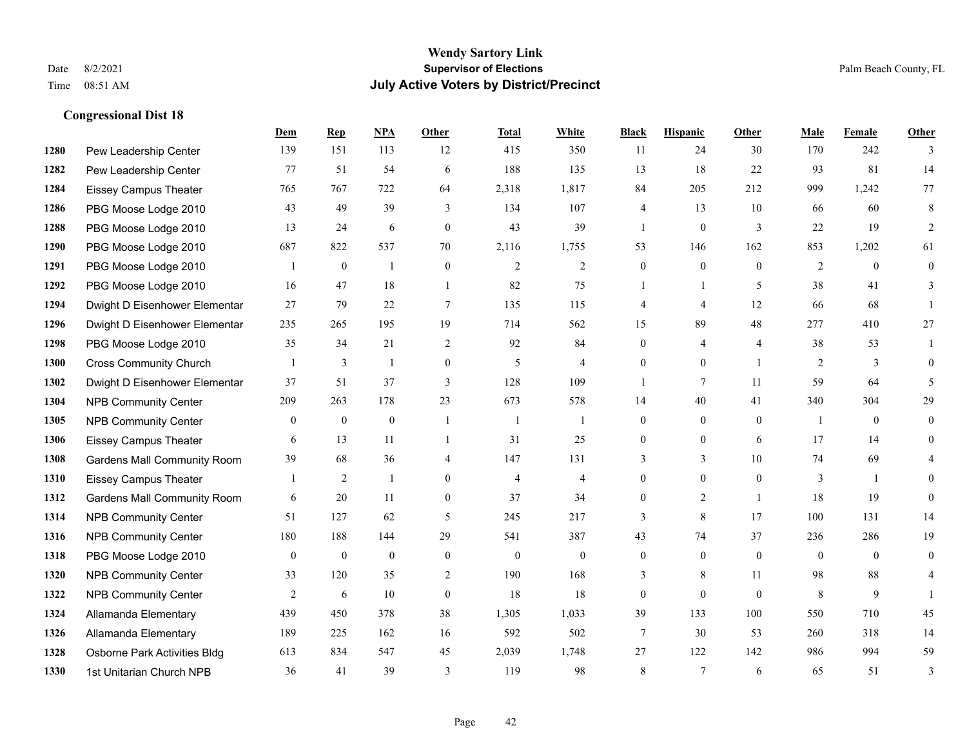#### **Wendy Sartory Link** Date 8/2/2021 **Supervisor of Elections** Palm Beach County, FL Time 08:51 AM **July Active Voters by District/Precinct**

# **Dem Rep NPA Other Total White Black Hispanic Other Male Female Other** Pew Leadership Center 139 151 113 12 415 350 11 24 30 170 242 3 Pew Leadership Center 77 51 54 6 188 135 13 18 22 93 81 14 Eissey Campus Theater 765 767 722 64 2,318 1,817 84 205 212 999 1,242 77 PBG Moose Lodge 2010 43 49 39 3 134 107 4 13 10 66 60 8 PBG Moose Lodge 2010 13 24 6 0 43 39 1 0 3 22 19 2 PBG Moose Lodge 2010 687 822 537 70 2,116 1,755 53 146 162 853 1,202 61 PBG Moose Lodge 2010 1 0 1 0 2 2 0 0 0 2 0 0 PBG Moose Lodge 2010 16 47 18 1 82 75 1 1 5 38 41 3 Dwight D Eisenhower Elementar 27 79 22 7 135 115 4 4 12 66 68 1 Dwight D Eisenhower Elementary 235 265 195 19 714 562 15 89 48 277 410 27 PBG Moose Lodge 2010 35 34 21 2 92 84 0 4 4 38 53 1 Cross Community Church 1 3 1 0 5 4 0 0 1 2 3 0 Dwight D Eisenhower Elementar 37 51 37 3 128 109 1 7 11 59 64 5 NPB Community Center 209 263 178 23 673 578 14 40 41 340 304 29 NPB Community Center 0 0 0 1 1 1 0 0 0 1 0 0 Eissey Campus Theater 6 13 11 1 31 25 0 0 6 17 14 0 Gardens Mall Community Room 39 68 36 4 147 131 3 3 3 10 74 69 4 Eissey Campus Theater 1 2 1 0 4 4 0 0 0 3 1 0 **1312 Gardens Mall Community Room** 6 20 11 0 37 34 0 2 1 18 19 0 NPB Community Center 51 127 62 5 245 217 3 8 17 100 131 14 NPB Community Center 180 188 144 29 541 387 43 74 37 236 286 19 PBG Moose Lodge 2010 0 0 0 0 0 0 0 0 0 0 0 0 **1320 NPB Community Center** 33 120 35 2 190 168 3 8 11 98 88 4 **1322 NPB Community Center**  $\begin{array}{cccccccc} 2 & 6 & 10 & 0 & 18 & 18 & 0 & 0 & 0 & 8 & 9 & 1 \end{array}$  Allamanda Elementary 439 450 378 38 1,305 1,033 39 133 100 550 710 45 Allamanda Elementary 189 225 162 16 592 502 7 30 53 260 318 14 Osborne Park Activities Bldg 613 834 547 45 2,039 1,748 27 122 142 986 994 59 1st Unitarian Church NPB 36 41 39 3 119 98 8 7 6 65 51 3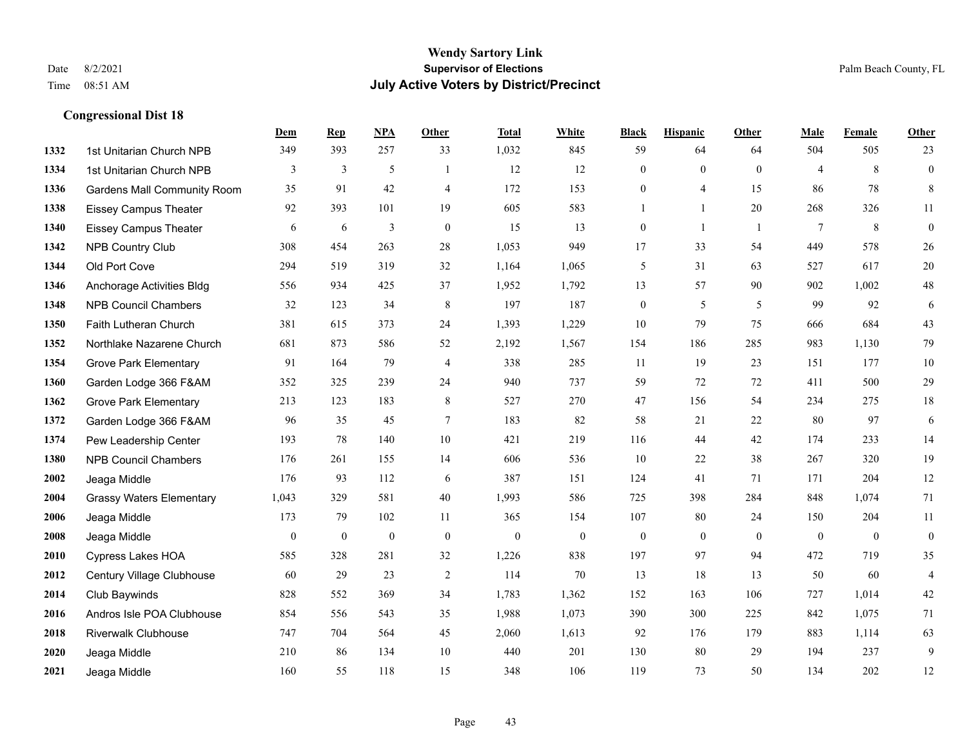#### **Wendy Sartory Link** Date 8/2/2021 **Supervisor of Elections** Palm Beach County, FL Time 08:51 AM **July Active Voters by District/Precinct**

# **Dem Rep NPA Other Total White Black Hispanic Other Male Female Other** 1st Unitarian Church NPB 349 393 257 33 1,032 845 59 64 64 504 505 23 1st Unitarian Church NPB 3 3 3 5 1 1 12 12 0 0 0 4 8 0 Gardens Mall Community Room 35 91 42 4 172 153 0 4 15 86 78 8 Eissey Campus Theater 92 393 101 19 605 583 1 1 20 268 326 11 Eissey Campus Theater 6 6 6 3 0 15 13 0 1 1 7 8 0 NPB Country Club 308 454 263 28 1,053 949 17 33 54 449 578 26 Old Port Cove 294 519 319 32 1,164 1,065 5 31 63 527 617 20 Anchorage Activities Bldg 556 934 425 37 1,952 1,792 13 57 90 902 1,002 48 NPB Council Chambers 32 123 34 8 197 187 0 5 5 99 92 6 Faith Lutheran Church 381 615 373 24 1,393 1,229 10 79 75 666 684 43 Northlake Nazarene Church 681 873 586 52 2,192 1,567 154 186 285 983 1,130 79 **1354 Grove Park Elementary 01 164 79 4 338 285 11 19 23 151 177 10**  Garden Lodge 366 F&AM 352 325 239 24 940 737 59 72 72 411 500 29 Grove Park Elementary 213 123 183 8 527 270 47 156 54 234 275 18 Garden Lodge 366 F&AM 96 35 45 7 183 82 58 21 22 80 97 6 Pew Leadership Center 193 78 140 10 421 219 116 44 42 174 233 14 NPB Council Chambers 176 261 155 14 606 536 10 22 38 267 320 19 Jeaga Middle 176 93 112 6 387 151 124 41 71 171 204 12 Grassy Waters Elementary 1,043 329 581 40 1,993 586 725 398 284 848 1,074 71 Jeaga Middle 173 79 102 11 365 154 107 80 24 150 204 11 Jeaga Middle 0 0 0 0 0 0 0 0 0 0 0 0 Cypress Lakes HOA 585 328 281 32 1,226 838 197 97 94 472 719 35 Century Village Clubhouse 60 29 23 2 114 70 13 18 13 50 60 4 Club Baywinds 828 552 369 34 1,783 1,362 152 163 106 727 1,014 42 Andros Isle POA Clubhouse 854 556 543 35 1,988 1,073 390 300 225 842 1,075 71 Riverwalk Clubhouse 747 704 564 45 2,060 1,613 92 176 179 883 1,114 63 Jeaga Middle 210 86 134 10 440 201 130 80 29 194 237 9

Jeaga Middle 160 55 118 15 348 106 119 73 50 134 202 12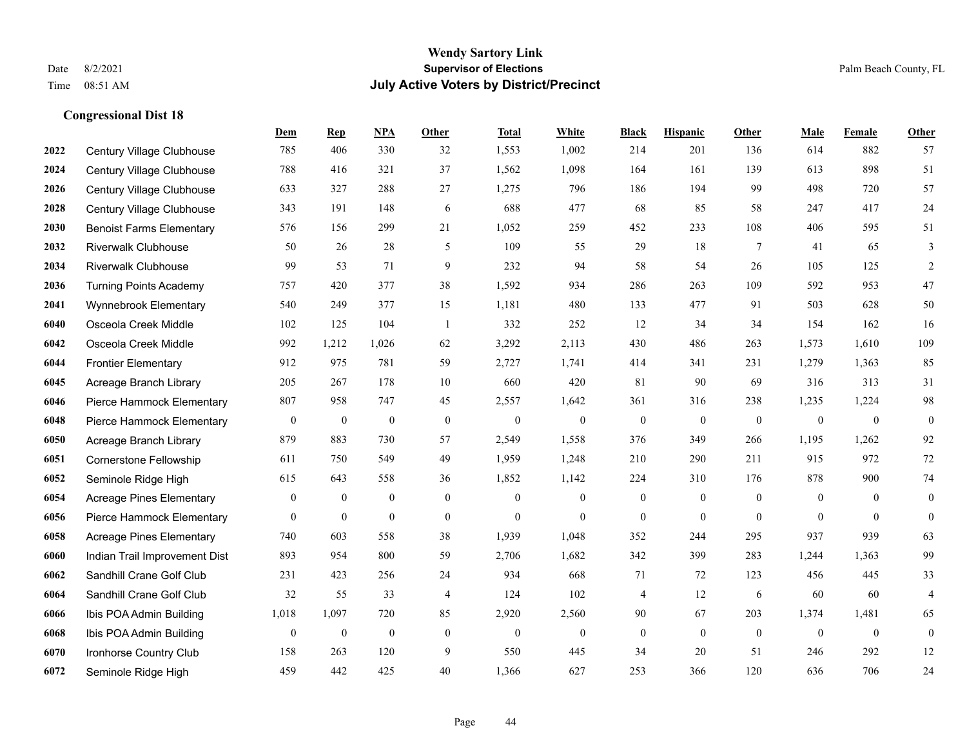|      |                                 | Dem            | <b>Rep</b>       | NPA              | <b>Other</b>   | <b>Total</b> | White            | <b>Black</b>     | <b>Hispanic</b> | Other        | <b>Male</b>    | Female         | Other            |
|------|---------------------------------|----------------|------------------|------------------|----------------|--------------|------------------|------------------|-----------------|--------------|----------------|----------------|------------------|
| 2022 | Century Village Clubhouse       | 785            | 406              | 330              | 32             | 1,553        | 1,002            | 214              | 201             | 136          | 614            | 882            | 57               |
| 2024 | Century Village Clubhouse       | 788            | 416              | 321              | 37             | 1,562        | 1,098            | 164              | 161             | 139          | 613            | 898            | 51               |
| 2026 | Century Village Clubhouse       | 633            | 327              | 288              | 27             | 1,275        | 796              | 186              | 194             | 99           | 498            | 720            | 57               |
| 2028 | Century Village Clubhouse       | 343            | 191              | 148              | 6              | 688          | 477              | 68               | 85              | 58           | 247            | 417            | 24               |
| 2030 | <b>Benoist Farms Elementary</b> | 576            | 156              | 299              | 21             | 1,052        | 259              | 452              | 233             | 108          | 406            | 595            | 51               |
| 2032 | <b>Riverwalk Clubhouse</b>      | 50             | 26               | 28               | 5              | 109          | 55               | 29               | 18              | 7            | 41             | 65             | 3                |
| 2034 | <b>Riverwalk Clubhouse</b>      | 99             | 53               | 71               | 9              | 232          | 94               | 58               | 54              | 26           | 105            | 125            | $\overline{c}$   |
| 2036 | <b>Turning Points Academy</b>   | 757            | 420              | 377              | 38             | 1,592        | 934              | 286              | 263             | 109          | 592            | 953            | 47               |
| 2041 | Wynnebrook Elementary           | 540            | 249              | 377              | 15             | 1,181        | 480              | 133              | 477             | 91           | 503            | 628            | $50\,$           |
| 6040 | Osceola Creek Middle            | 102            | 125              | 104              | -1             | 332          | 252              | 12               | 34              | 34           | 154            | 162            | 16               |
| 6042 | Osceola Creek Middle            | 992            | 1,212            | 1,026            | 62             | 3,292        | 2,113            | 430              | 486             | 263          | 1,573          | 1,610          | 109              |
| 6044 | <b>Frontier Elementary</b>      | 912            | 975              | 781              | 59             | 2,727        | 1,741            | 414              | 341             | 231          | 1,279          | 1,363          | 85               |
| 6045 | Acreage Branch Library          | 205            | 267              | 178              | 10             | 660          | 420              | 81               | 90              | 69           | 316            | 313            | 31               |
| 6046 | Pierce Hammock Elementary       | 807            | 958              | 747              | 45             | 2,557        | 1,642            | 361              | 316             | 238          | 1,235          | 1,224          | 98               |
| 6048 | Pierce Hammock Elementary       | $\mathbf{0}$   | $\boldsymbol{0}$ | $\mathbf{0}$     | $\mathbf{0}$   | $\mathbf{0}$ | $\overline{0}$   | $\mathbf{0}$     | $\mathbf{0}$    | $\mathbf{0}$ | $\mathbf{0}$   | $\mathbf{0}$   | $\mathbf{0}$     |
| 6050 | Acreage Branch Library          | 879            | 883              | 730              | 57             | 2,549        | 1,558            | 376              | 349             | 266          | 1,195          | 1,262          | 92               |
| 6051 | <b>Cornerstone Fellowship</b>   | 611            | 750              | 549              | 49             | 1,959        | 1,248            | 210              | 290             | 211          | 915            | 972            | 72               |
| 6052 | Seminole Ridge High             | 615            | 643              | 558              | 36             | 1,852        | 1,142            | 224              | 310             | 176          | 878            | 900            | $74\,$           |
| 6054 | <b>Acreage Pines Elementary</b> | $\bf{0}$       | $\boldsymbol{0}$ | $\boldsymbol{0}$ | $\overline{0}$ | $\mathbf{0}$ | $\boldsymbol{0}$ | $\boldsymbol{0}$ | $\mathbf{0}$    | $\mathbf{0}$ | $\mathbf{0}$   | $\theta$       | $\mathbf{0}$     |
| 6056 | Pierce Hammock Elementary       | $\overline{0}$ | $\boldsymbol{0}$ | $\boldsymbol{0}$ | $\overline{0}$ | $\theta$     | $\overline{0}$   | $\boldsymbol{0}$ | $\mathbf{0}$    | $\theta$     | $\overline{0}$ | $\overline{0}$ | $\boldsymbol{0}$ |
| 6058 | <b>Acreage Pines Elementary</b> | 740            | 603              | 558              | 38             | 1,939        | 1,048            | 352              | 244             | 295          | 937            | 939            | 63               |
| 6060 | Indian Trail Improvement Dist   | 893            | 954              | 800              | 59             | 2,706        | 1,682            | 342              | 399             | 283          | 1,244          | 1,363          | 99               |
| 6062 | Sandhill Crane Golf Club        | 231            | 423              | 256              | 24             | 934          | 668              | 71               | 72              | 123          | 456            | 445            | 33               |
| 6064 | Sandhill Crane Golf Club        | 32             | 55               | 33               | $\overline{4}$ | 124          | 102              | 4                | 12              | 6            | 60             | 60             | $\overline{4}$   |
| 6066 | Ibis POA Admin Building         | 1,018          | 1,097            | 720              | 85             | 2,920        | 2,560            | 90               | 67              | 203          | 1,374          | 1,481          | 65               |
| 6068 | Ibis POA Admin Building         | $\mathbf{0}$   | $\boldsymbol{0}$ | $\mathbf{0}$     | $\overline{0}$ | $\theta$     | $\overline{0}$   | $\boldsymbol{0}$ | $\mathbf{0}$    | $\mathbf{0}$ | $\mathbf{0}$   | $\mathbf{0}$   | $\boldsymbol{0}$ |
| 6070 | Ironhorse Country Club          | 158            | 263              | 120              | 9              | 550          | 445              | 34               | 20              | 51           | 246            | 292            | $12\,$           |
| 6072 | Seminole Ridge High             | 459            | 442              | 425              | 40             | 1,366        | 627              | 253              | 366             | 120          | 636            | 706            | 24               |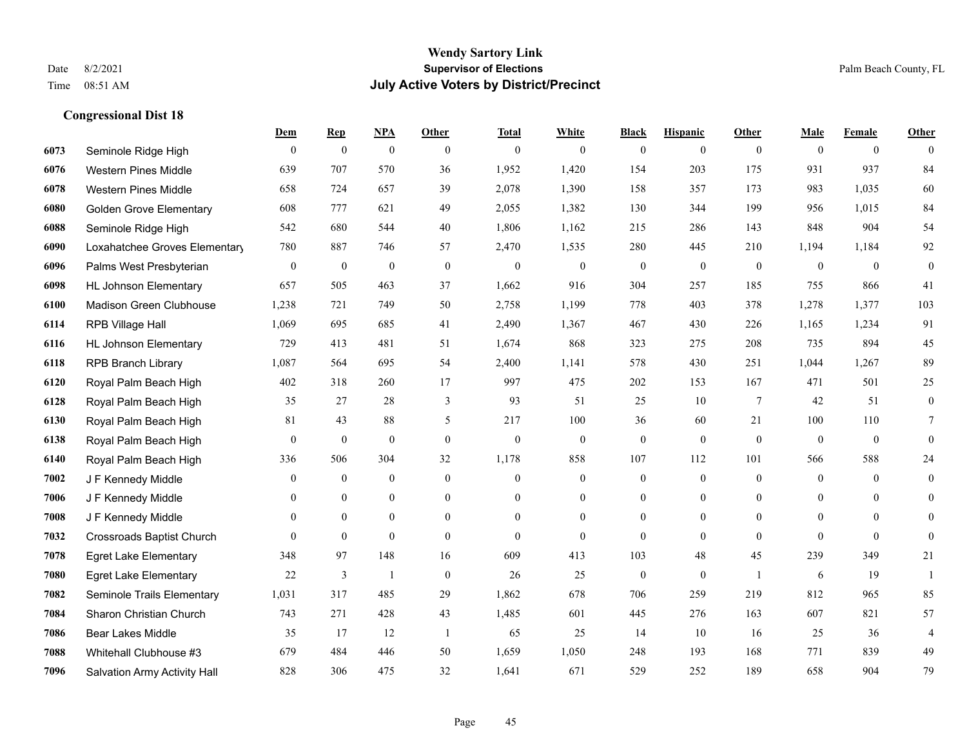|      |                                  | Dem              | <b>Rep</b>       | NPA              | <b>Other</b>     | <b>Total</b>     | <b>White</b>     | <b>Black</b>     | <b>Hispanic</b>  | <b>Other</b>     | <b>Male</b>      | <b>Female</b>  | <b>Other</b>     |
|------|----------------------------------|------------------|------------------|------------------|------------------|------------------|------------------|------------------|------------------|------------------|------------------|----------------|------------------|
| 6073 | Seminole Ridge High              | $\mathbf{0}$     | $\mathbf{0}$     | $\boldsymbol{0}$ | $\theta$         | $\mathbf{0}$     | $\overline{0}$   | $\mathbf{0}$     | $\mathbf{0}$     | $\theta$         | $\mathbf{0}$     | $\overline{0}$ | $\theta$         |
| 6076 | Western Pines Middle             | 639              | 707              | 570              | 36               | 1,952            | 1,420            | 154              | 203              | 175              | 931              | 937            | 84               |
| 6078 | <b>Western Pines Middle</b>      | 658              | 724              | 657              | 39               | 2,078            | 1,390            | 158              | 357              | 173              | 983              | 1,035          | 60               |
| 6080 | <b>Golden Grove Elementary</b>   | 608              | 777              | 621              | 49               | 2,055            | 1,382            | 130              | 344              | 199              | 956              | 1,015          | 84               |
| 6088 | Seminole Ridge High              | 542              | 680              | 544              | 40               | 1,806            | 1,162            | 215              | 286              | 143              | 848              | 904            | 54               |
| 6090 | Loxahatchee Groves Elementary    | 780              | 887              | 746              | 57               | 2,470            | 1,535            | 280              | 445              | 210              | 1,194            | 1,184          | 92               |
| 6096 | Palms West Presbyterian          | $\boldsymbol{0}$ | $\boldsymbol{0}$ | $\boldsymbol{0}$ | $\mathbf{0}$     | $\boldsymbol{0}$ | $\boldsymbol{0}$ | $\boldsymbol{0}$ | $\boldsymbol{0}$ | $\boldsymbol{0}$ | $\mathbf{0}$     | $\mathbf{0}$   | $\boldsymbol{0}$ |
| 6098 | <b>HL Johnson Elementary</b>     | 657              | 505              | 463              | 37               | 1,662            | 916              | 304              | 257              | 185              | 755              | 866            | 41               |
| 6100 | <b>Madison Green Clubhouse</b>   | 1,238            | 721              | 749              | 50               | 2,758            | 1,199            | 778              | 403              | 378              | 1,278            | 1,377          | 103              |
| 6114 | RPB Village Hall                 | 1,069            | 695              | 685              | 41               | 2,490            | 1,367            | 467              | 430              | 226              | 1,165            | 1,234          | 91               |
| 6116 | <b>HL Johnson Elementary</b>     | 729              | 413              | 481              | 51               | 1,674            | 868              | 323              | 275              | 208              | 735              | 894            | 45               |
| 6118 | <b>RPB Branch Library</b>        | 1,087            | 564              | 695              | 54               | 2,400            | 1,141            | 578              | 430              | 251              | 1,044            | 1,267          | 89               |
| 6120 | Royal Palm Beach High            | 402              | 318              | 260              | 17               | 997              | 475              | 202              | 153              | 167              | 471              | 501            | 25               |
| 6128 | Royal Palm Beach High            | 35               | 27               | 28               | $\mathfrak{Z}$   | 93               | 51               | 25               | 10               | $\overline{7}$   | 42               | 51             | $\boldsymbol{0}$ |
| 6130 | Royal Palm Beach High            | 81               | 43               | 88               | 5                | 217              | 100              | 36               | 60               | 21               | 100              | 110            | $\tau$           |
| 6138 | Royal Palm Beach High            | $\mathbf{0}$     | $\mathbf{0}$     | $\mathbf{0}$     | $\mathbf{0}$     | $\mathbf{0}$     | $\mathbf{0}$     | $\mathbf{0}$     | $\mathbf{0}$     | $\mathbf{0}$     | $\mathbf{0}$     | $\mathbf{0}$   | $\theta$         |
| 6140 | Royal Palm Beach High            | 336              | 506              | 304              | 32               | 1,178            | 858              | 107              | 112              | 101              | 566              | 588            | 24               |
| 7002 | J F Kennedy Middle               | $\theta$         | $\mathbf{0}$     | $\mathbf{0}$     | $\theta$         | $\theta$         | $\mathbf{0}$     | $\mathbf{0}$     | $\mathbf{0}$     | $\theta$         | $\theta$         | $\theta$       | $\mathbf{0}$     |
| 7006 | J F Kennedy Middle               | $\mathbf{0}$     | $\boldsymbol{0}$ | $\boldsymbol{0}$ | $\boldsymbol{0}$ | $\theta$         | $\boldsymbol{0}$ | $\boldsymbol{0}$ | $\boldsymbol{0}$ | $\mathbf{0}$     | $\boldsymbol{0}$ | $\mathbf{0}$   | $\mathbf{0}$     |
| 7008 | J F Kennedy Middle               | $\Omega$         | $\mathbf{0}$     | $\mathbf{0}$     | $\theta$         | $\Omega$         | $\overline{0}$   | $\mathbf{0}$     | $\mathbf{0}$     | $\theta$         | $\theta$         | $\theta$       | $\mathbf{0}$     |
| 7032 | <b>Crossroads Baptist Church</b> | $\Omega$         | $\mathbf{0}$     | $\theta$         | $\theta$         | $\theta$         | $\theta$         | $\theta$         | $\theta$         | $\theta$         | $\theta$         | $\theta$       | $\theta$         |
| 7078 | <b>Egret Lake Elementary</b>     | 348              | 97               | 148              | 16               | 609              | 413              | 103              | 48               | 45               | 239              | 349            | 21               |
| 7080 | <b>Egret Lake Elementary</b>     | 22               | 3                | $\mathbf{1}$     | $\theta$         | 26               | 25               | $\mathbf{0}$     | $\mathbf{0}$     | $\overline{1}$   | 6                | 19             | $\mathbf{1}$     |
| 7082 | Seminole Trails Elementary       | 1,031            | 317              | 485              | 29               | 1,862            | 678              | 706              | 259              | 219              | 812              | 965            | 85               |
| 7084 | Sharon Christian Church          | 743              | 271              | 428              | 43               | 1,485            | 601              | 445              | 276              | 163              | 607              | 821            | 57               |
| 7086 | Bear Lakes Middle                | 35               | 17               | 12               | -1               | 65               | 25               | 14               | 10               | 16               | 25               | 36             | $\overline{4}$   |
| 7088 | Whitehall Clubhouse #3           | 679              | 484              | 446              | 50               | 1,659            | 1,050            | 248              | 193              | 168              | 771              | 839            | 49               |
| 7096 | Salvation Army Activity Hall     | 828              | 306              | 475              | 32               | 1,641            | 671              | 529              | 252              | 189              | 658              | 904            | 79               |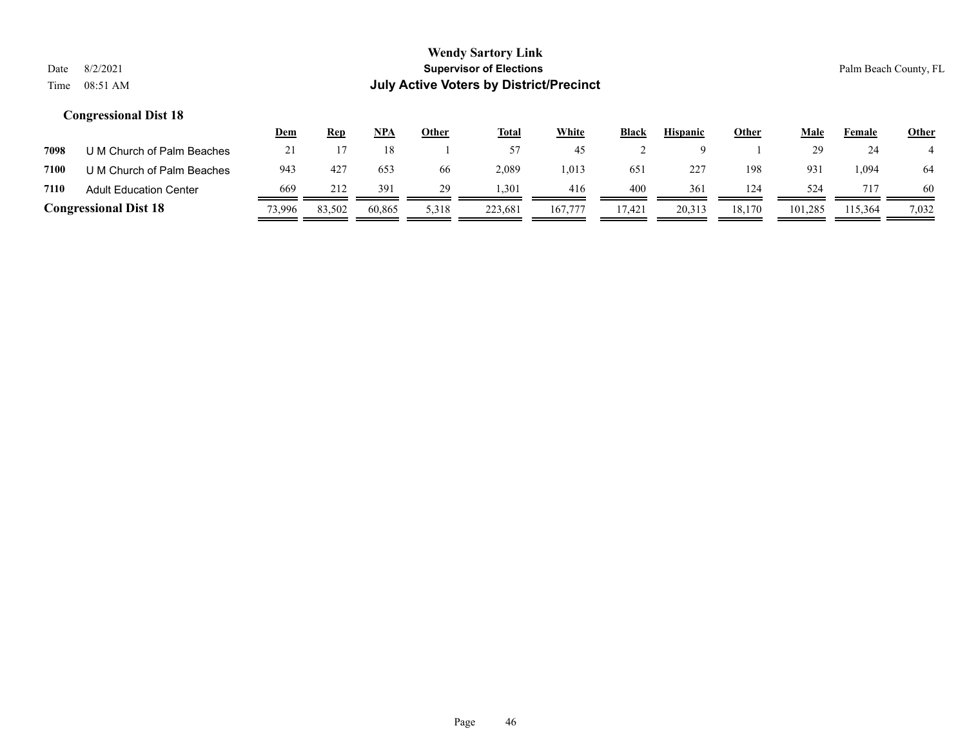|      |                               | <u>Dem</u> | <u>Rep</u> | <b>NPA</b> | Other | <b>Total</b> | White   | <b>Black</b> | <b>Hispanic</b> | Other  | Male    | Female  | <b>Other</b> |
|------|-------------------------------|------------|------------|------------|-------|--------------|---------|--------------|-----------------|--------|---------|---------|--------------|
| 7098 | U M Church of Palm Beaches    |            |            |            |       | 57           | 45      |              |                 |        |         | 24      |              |
| 7100 | U M Church of Palm Beaches    | 943        | 427        | 653        | 66    | 2,089        | 1,013   | 651          | 227             | 198    | 931     | .094    | 64           |
| 7110 | <b>Adult Education Center</b> | 669        | 212        | 391        | 29    | 1.301        | 416     | 400          | 361             | 124    | 524     |         | 60           |
|      | <b>Congressional Dist 18</b>  | 73,996     | 83,502     | 60.865     | 5,318 | 223.681      | 167,777 | 17,421       | 20.313          | 18.170 | 101,285 | 115,364 | 7,032        |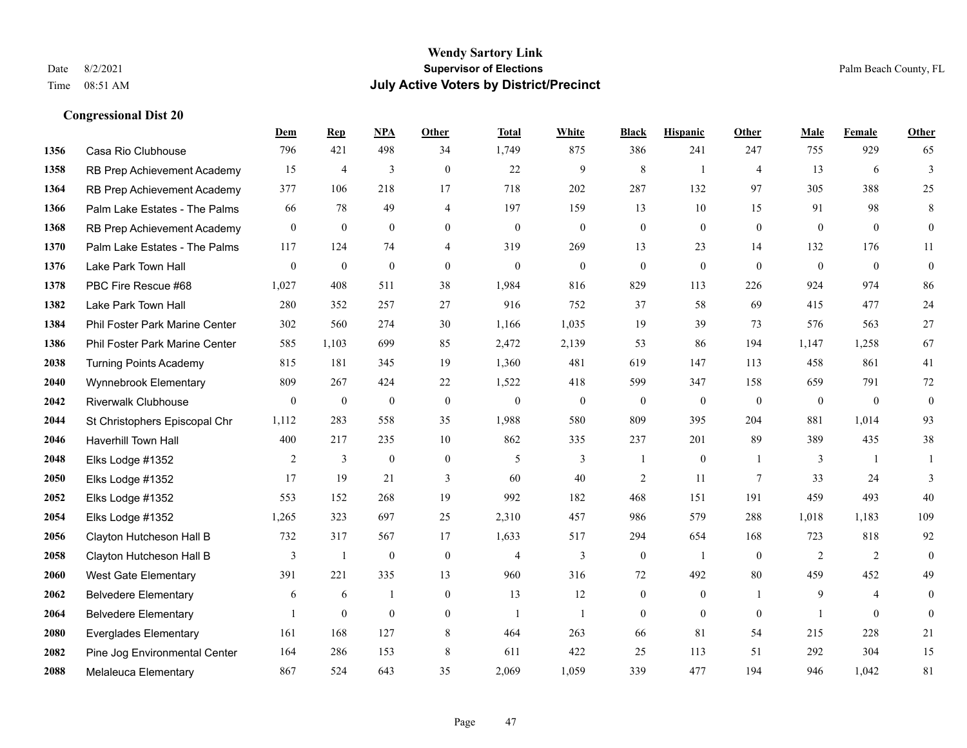|      |                                | Dem              | <b>Rep</b>       | NPA              | <b>Other</b>     | <b>Total</b>     | <b>White</b>     | <b>Black</b>     | <b>Hispanic</b>  | Other          | <b>Male</b>      | <b>Female</b>    | <b>Other</b>     |
|------|--------------------------------|------------------|------------------|------------------|------------------|------------------|------------------|------------------|------------------|----------------|------------------|------------------|------------------|
| 1356 | Casa Rio Clubhouse             | 796              | 421              | 498              | 34               | 1,749            | 875              | 386              | 241              | 247            | 755              | 929              | 65               |
| 1358 | RB Prep Achievement Academy    | 15               | 4                | 3                | $\theta$         | 22               | 9                | 8                | $\mathbf{1}$     | $\overline{4}$ | 13               | 6                | 3                |
| 1364 | RB Prep Achievement Academy    | 377              | 106              | 218              | 17               | 718              | 202              | 287              | 132              | 97             | 305              | 388              | 25               |
| 1366 | Palm Lake Estates - The Palms  | 66               | 78               | 49               | $\overline{4}$   | 197              | 159              | 13               | 10               | 15             | 91               | 98               | 8                |
| 1368 | RB Prep Achievement Academy    | $\mathbf{0}$     | $\mathbf{0}$     | $\mathbf{0}$     | $\theta$         | $\mathbf{0}$     | $\overline{0}$   | $\overline{0}$   | $\mathbf{0}$     | $\theta$       | $\theta$         | $\theta$         | $\overline{0}$   |
| 1370 | Palm Lake Estates - The Palms  | 117              | 124              | 74               | $\overline{4}$   | 319              | 269              | 13               | 23               | 14             | 132              | 176              | 11               |
| 1376 | Lake Park Town Hall            | $\boldsymbol{0}$ | $\mathbf{0}$     | $\mathbf{0}$     | $\mathbf{0}$     | $\mathbf{0}$     | $\boldsymbol{0}$ | $\boldsymbol{0}$ | $\overline{0}$   | $\mathbf{0}$   | $\mathbf{0}$     | $\mathbf{0}$     | $\boldsymbol{0}$ |
| 1378 | PBC Fire Rescue #68            | 1,027            | 408              | 511              | 38               | 1,984            | 816              | 829              | 113              | 226            | 924              | 974              | 86               |
| 1382 | Lake Park Town Hall            | 280              | 352              | 257              | 27               | 916              | 752              | 37               | 58               | 69             | 415              | 477              | 24               |
| 1384 | Phil Foster Park Marine Center | 302              | 560              | 274              | 30               | 1,166            | 1,035            | 19               | 39               | 73             | 576              | 563              | 27               |
| 1386 | Phil Foster Park Marine Center | 585              | 1,103            | 699              | 85               | 2,472            | 2,139            | 53               | 86               | 194            | 1,147            | 1,258            | 67               |
| 2038 | <b>Turning Points Academy</b>  | 815              | 181              | 345              | 19               | 1,360            | 481              | 619              | 147              | 113            | 458              | 861              | 41               |
| 2040 | Wynnebrook Elementary          | 809              | 267              | 424              | 22               | 1,522            | 418              | 599              | 347              | 158            | 659              | 791              | $72\,$           |
| 2042 | <b>Riverwalk Clubhouse</b>     | $\boldsymbol{0}$ | $\boldsymbol{0}$ | $\boldsymbol{0}$ | $\boldsymbol{0}$ | $\boldsymbol{0}$ | $\boldsymbol{0}$ | $\boldsymbol{0}$ | $\boldsymbol{0}$ | $\mathbf{0}$   | $\boldsymbol{0}$ | $\boldsymbol{0}$ | $\mathbf{0}$     |
| 2044 | St Christophers Episcopal Chr  | 1,112            | 283              | 558              | 35               | 1,988            | 580              | 809              | 395              | 204            | 881              | 1,014            | 93               |
| 2046 | Haverhill Town Hall            | 400              | 217              | 235              | 10               | 862              | 335              | 237              | 201              | 89             | 389              | 435              | 38               |
| 2048 | Elks Lodge #1352               | 2                | 3                | $\mathbf{0}$     | $\mathbf{0}$     | 5                | 3                | 1                | $\mathbf{0}$     | $\overline{1}$ | 3                | $\mathbf{1}$     |                  |
| 2050 | Elks Lodge #1352               | 17               | 19               | 21               | 3                | 60               | 40               | 2                | 11               | 7              | 33               | 24               | 3                |
| 2052 | Elks Lodge #1352               | 553              | 152              | 268              | 19               | 992              | 182              | 468              | 151              | 191            | 459              | 493              | 40               |
| 2054 | Elks Lodge #1352               | 1,265            | 323              | 697              | 25               | 2,310            | 457              | 986              | 579              | 288            | 1,018            | 1,183            | 109              |
| 2056 | Clayton Hutcheson Hall B       | 732              | 317              | 567              | 17               | 1,633            | 517              | 294              | 654              | 168            | 723              | 818              | 92               |
| 2058 | Clayton Hutcheson Hall B       | 3                | -1               | $\boldsymbol{0}$ | $\boldsymbol{0}$ | $\overline{4}$   | 3                | $\boldsymbol{0}$ | -1               | $\overline{0}$ | 2                | 2                | $\overline{0}$   |
| 2060 | <b>West Gate Elementary</b>    | 391              | 221              | 335              | 13               | 960              | 316              | 72               | 492              | 80             | 459              | 452              | 49               |
| 2062 | <b>Belvedere Elementary</b>    | 6                | 6                | $\mathbf{1}$     | $\theta$         | 13               | 12               | $\overline{0}$   | $\mathbf{0}$     | $\mathbf{1}$   | 9                | $\overline{4}$   | $\Omega$         |
| 2064 | <b>Belvedere Elementary</b>    |                  | $\boldsymbol{0}$ | $\boldsymbol{0}$ | $\mathbf{0}$     | $\mathbf{1}$     | $\overline{1}$   | $\boldsymbol{0}$ | $\mathbf{0}$     | $\mathbf{0}$   | $\overline{1}$   | $\mathbf{0}$     | $\theta$         |
| 2080 | <b>Everglades Elementary</b>   | 161              | 168              | 127              | 8                | 464              | 263              | 66               | 81               | 54             | 215              | 228              | 21               |
| 2082 | Pine Jog Environmental Center  | 164              | 286              | 153              | 8                | 611              | 422              | 25               | 113              | 51             | 292              | 304              | 15               |
| 2088 | Melaleuca Elementary           | 867              | 524              | 643              | 35               | 2,069            | 1,059            | 339              | 477              | 194            | 946              | 1,042            | 81               |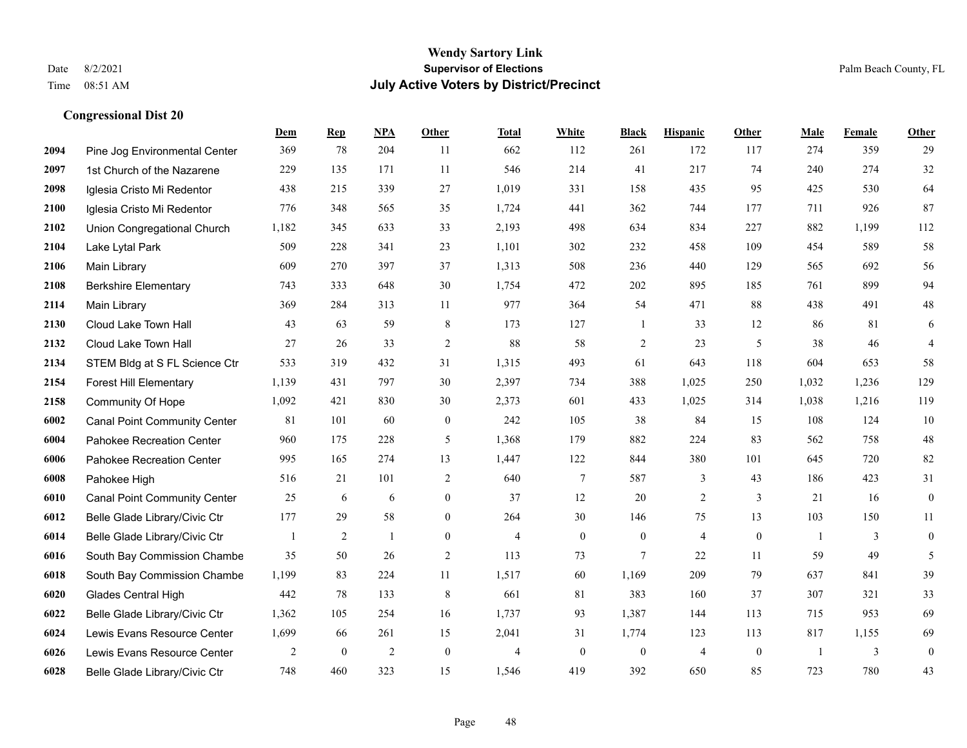#### **Wendy Sartory Link** Date 8/2/2021 **Supervisor of Elections** Palm Beach County, FL Time 08:51 AM **July Active Voters by District/Precinct**

Pine Jog Environmental Center 369 78 204 11 662 112 261 172 117 274 359 29

**Dem Rep NPA Other Total White Black Hispanic Other Male Female Other**

# 1st Church of the Nazarene 229 135 171 11 546 214 41 217 74 240 274 32 Iglesia Cristo Mi Redentor 438 215 339 27 1,019 331 158 435 95 425 530 64 Iglesia Cristo Mi Redentor 776 348 565 35 1,724 441 362 744 177 711 926 87 Union Congregational Church 1,182 345 633 33 2,193 498 634 834 227 882 1,199 112 Lake Lytal Park 509 228 341 23 1,101 302 232 458 109 454 589 58 Main Library 609 270 397 37 1,313 508 236 440 129 565 692 56 Berkshire Elementary 743 333 648 30 1,754 472 202 895 185 761 899 94 Main Library 369 284 313 11 977 364 54 471 88 438 491 48 Cloud Lake Town Hall 43 63 59 8 173 127 1 33 12 86 81 6 Cloud Lake Town Hall 27 26 33 2 88 58 2 23 5 38 46 4 STEM Bldg at S FL Science Ctr 533 319 432 31 1,315 493 61 643 118 604 653 58 Forest Hill Elementary 1,139 431 797 30 2,397 734 388 1,025 250 1,032 1,236 129 Community Of Hope 1,092 421 830 30 2,373 601 433 1,025 314 1,038 1,216 119 Canal Point Community Center 81 101 60 0 242 105 38 84 15 108 124 10 Pahokee Recreation Center 960 175 228 5 1,368 179 882 224 83 562 758 48 Pahokee Recreation Center 995 165 274 13 1,447 122 844 380 101 645 720 82 Pahokee High 516 21 101 2 640 7 587 3 43 186 423 31 Canal Point Community Center 25 6 6 0 37 12 20 2 3 21 16 0 Belle Glade Library/Civic Ctr 177 29 58 0 264 30 146 75 13 103 150 11 Belle Glade Library/Civic Ctr 1 2 1 0 4 0 0 4 0 1 3 0 South Bay Commission Chambe 35 50 26 2 113 73 7 22 11 59 49 5

| 6018 | South Bay Commission Chambe   | 1,199 | 83  | 224 |    | 1,517 | 60  | .169     | 209 | 79  | 637 | 841             | 39  |
|------|-------------------------------|-------|-----|-----|----|-------|-----|----------|-----|-----|-----|-----------------|-----|
| 6020 | Glades Central High           | 442   | 78  | 133 |    | 661   | 81  | 383      | 160 | 37  | 307 | 32 <sup>2</sup> | 33  |
| 6022 | Belle Glade Library/Civic Ctr | .362  | 105 | 254 | 16 | 1,737 | 93  | 387.ا    | 144 | 115 | 715 | 953             | -69 |
| 6024 | Lewis Evans Resource Center   | .699  | 66  | 261 | 15 | 2,041 | 31  | . .774   | 123 | 113 | 817 | 1,155           | 69  |
| 6026 | Lewis Evans Resource Center   |       |     |     |    |       |     | $\Omega$ |     |     |     |                 |     |
| 6028 | Belle Glade Library/Civic Ctr | 748   | 460 | 323 | 15 | 1,546 | 419 | 392      | 650 | 85  | 723 | 780             | 43  |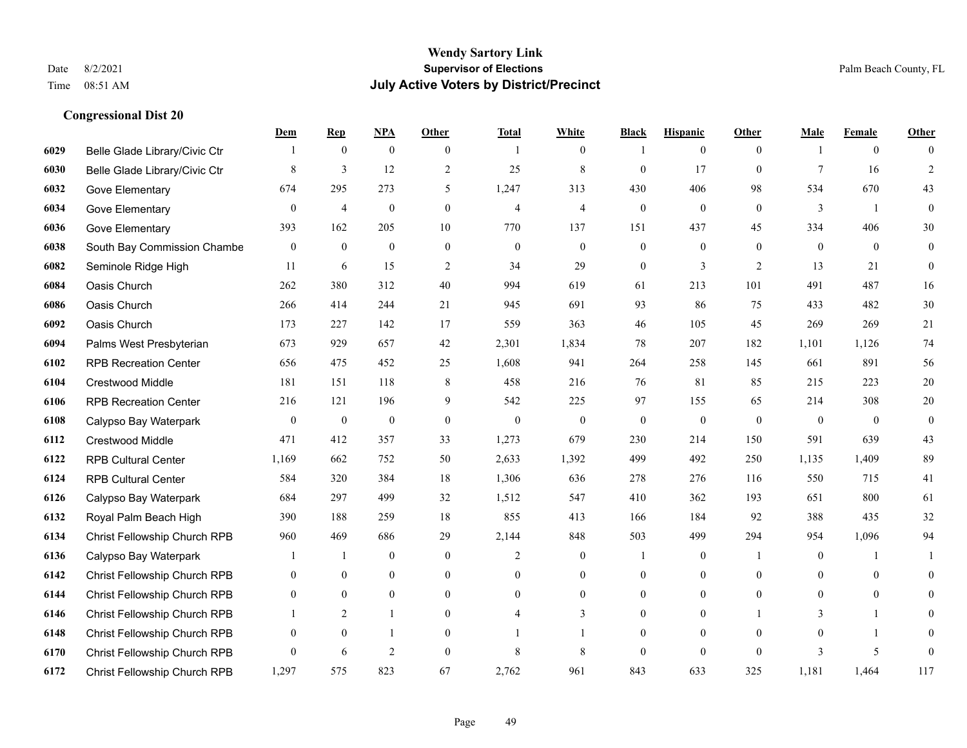|      |                               | Dem              | <b>Rep</b>       | NPA              | <b>Other</b>     | <b>Total</b>   | <b>White</b>     | <b>Black</b>     | <b>Hispanic</b>  | <b>Other</b>   | <b>Male</b>    | <b>Female</b>    | <b>Other</b>     |
|------|-------------------------------|------------------|------------------|------------------|------------------|----------------|------------------|------------------|------------------|----------------|----------------|------------------|------------------|
| 6029 | Belle Glade Library/Civic Ctr |                  | $\boldsymbol{0}$ | $\boldsymbol{0}$ | $\overline{0}$   |                | $\overline{0}$   |                  | $\mathbf{0}$     | $\overline{0}$ |                | $\boldsymbol{0}$ | $\Omega$         |
| 6030 | Belle Glade Library/Civic Ctr | 8                | $\overline{3}$   | 12               | $\overline{2}$   | 25             | $\,$ 8 $\,$      | $\mathbf{0}$     | 17               | $\theta$       | $\overline{7}$ | 16               | $\overline{2}$   |
| 6032 | Gove Elementary               | 674              | 295              | 273              | 5                | 1,247          | 313              | 430              | 406              | 98             | 534            | 670              | 43               |
| 6034 | Gove Elementary               | $\boldsymbol{0}$ | $\overline{4}$   | $\boldsymbol{0}$ | $\boldsymbol{0}$ | $\overline{4}$ | 4                | $\boldsymbol{0}$ | $\boldsymbol{0}$ | $\mathbf{0}$   | 3              | -1               | $\boldsymbol{0}$ |
| 6036 | Gove Elementary               | 393              | 162              | 205              | 10               | 770            | 137              | 151              | 437              | 45             | 334            | 406              | $30\,$           |
| 6038 | South Bay Commission Chambe   | $\mathbf{0}$     | $\boldsymbol{0}$ | $\boldsymbol{0}$ | $\mathbf{0}$     | $\mathbf{0}$   | $\overline{0}$   | $\boldsymbol{0}$ | $\mathbf{0}$     | $\theta$       | $\mathbf{0}$   | $\overline{0}$   | $\mathbf{0}$     |
| 6082 | Seminole Ridge High           | 11               | 6                | 15               | $\sqrt{2}$       | 34             | 29               | $\boldsymbol{0}$ | 3                | $\overline{2}$ | 13             | 21               | $\boldsymbol{0}$ |
| 6084 | Oasis Church                  | 262              | 380              | 312              | 40               | 994            | 619              | 61               | 213              | 101            | 491            | 487              | 16               |
| 6086 | Oasis Church                  | 266              | 414              | 244              | 21               | 945            | 691              | 93               | 86               | 75             | 433            | 482              | $30\,$           |
| 6092 | Oasis Church                  | 173              | 227              | 142              | 17               | 559            | 363              | 46               | 105              | 45             | 269            | 269              | 21               |
| 6094 | Palms West Presbyterian       | 673              | 929              | 657              | 42               | 2,301          | 1,834            | 78               | 207              | 182            | 1,101          | 1,126            | 74               |
| 6102 | <b>RPB Recreation Center</b>  | 656              | 475              | 452              | 25               | 1,608          | 941              | 264              | 258              | 145            | 661            | 891              | 56               |
| 6104 | Crestwood Middle              | 181              | 151              | 118              | 8                | 458            | 216              | 76               | 81               | 85             | 215            | 223              | $20\,$           |
| 6106 | <b>RPB Recreation Center</b>  | 216              | 121              | 196              | 9                | 542            | 225              | 97               | 155              | 65             | 214            | 308              | $20\,$           |
| 6108 | Calypso Bay Waterpark         | $\boldsymbol{0}$ | $\boldsymbol{0}$ | $\boldsymbol{0}$ | $\mathbf{0}$     | $\mathbf{0}$   | $\boldsymbol{0}$ | $\boldsymbol{0}$ | $\boldsymbol{0}$ | $\mathbf{0}$   | $\mathbf{0}$   | $\overline{0}$   | $\boldsymbol{0}$ |
| 6112 | Crestwood Middle              | 471              | 412              | 357              | 33               | 1,273          | 679              | 230              | 214              | 150            | 591            | 639              | 43               |
| 6122 | <b>RPB Cultural Center</b>    | 1,169            | 662              | 752              | 50               | 2,633          | 1,392            | 499              | 492              | 250            | 1,135          | 1,409            | 89               |
| 6124 | <b>RPB Cultural Center</b>    | 584              | 320              | 384              | 18               | 1,306          | 636              | 278              | 276              | 116            | 550            | 715              | 41               |
| 6126 | Calypso Bay Waterpark         | 684              | 297              | 499              | 32               | 1,512          | 547              | 410              | 362              | 193            | 651            | 800              | 61               |
| 6132 | Royal Palm Beach High         | 390              | 188              | 259              | 18               | 855            | 413              | 166              | 184              | 92             | 388            | 435              | 32               |
| 6134 | Christ Fellowship Church RPB  | 960              | 469              | 686              | 29               | 2,144          | 848              | 503              | 499              | 294            | 954            | 1,096            | 94               |
| 6136 | Calypso Bay Waterpark         |                  | $\mathbf{1}$     | $\boldsymbol{0}$ | $\boldsymbol{0}$ | 2              | $\boldsymbol{0}$ |                  | $\boldsymbol{0}$ | -1             | $\mathbf{0}$   | 1                |                  |
| 6142 | Christ Fellowship Church RPB  | $\overline{0}$   | $\boldsymbol{0}$ | $\boldsymbol{0}$ | $\overline{0}$   | $\theta$       | $\boldsymbol{0}$ | $\boldsymbol{0}$ | $\mathbf{0}$     | $\theta$       | $\theta$       | $\mathbf{0}$     | $\overline{0}$   |
| 6144 | Christ Fellowship Church RPB  | $\overline{0}$   | $\mathbf{0}$     | $\overline{0}$   | $\Omega$         | $\theta$       | $\overline{0}$   | $\mathbf{0}$     | $\mathbf{0}$     | $\theta$       | $\theta$       | $\mathbf{0}$     | $\theta$         |
| 6146 | Christ Fellowship Church RPB  |                  | $\overline{2}$   | $\mathbf{1}$     | $\overline{0}$   |                | 3                | $\boldsymbol{0}$ | $\boldsymbol{0}$ |                | 3              |                  | $\theta$         |
| 6148 | Christ Fellowship Church RPB  | $\mathbf{0}$     | $\mathbf{0}$     | 1                | $\theta$         |                |                  | $\mathbf{0}$     | $\mathbf{0}$     | $\theta$       | $\theta$       | -1               | $\overline{0}$   |
| 6170 | Christ Fellowship Church RPB  | $\theta$         | 6                | $\overline{2}$   | $\theta$         | 8              | 8                | $\mathbf{0}$     | $\theta$         | $\theta$       | $\mathbf{3}$   | 5                | $\mathbf{0}$     |
| 6172 | Christ Fellowship Church RPB  | 1,297            | 575              | 823              | 67               | 2,762          | 961              | 843              | 633              | 325            | 1,181          | 1,464            | 117              |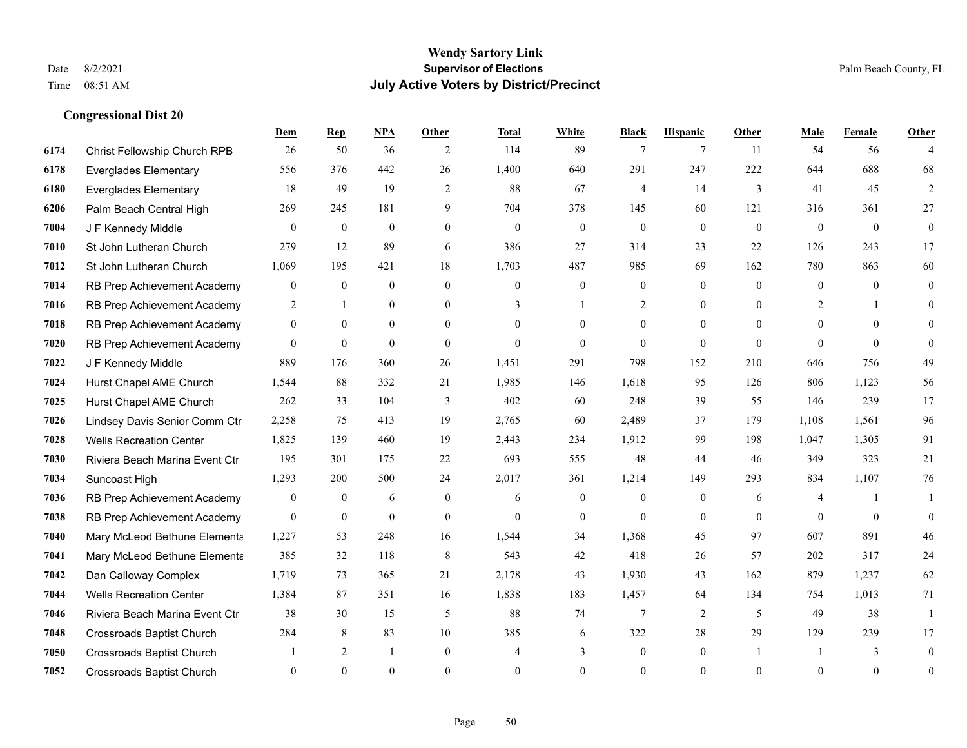|      |                                  | Dem              | <b>Rep</b>     | NPA          | <b>Other</b>   | <b>Total</b> | <b>White</b>     | <b>Black</b>     | <b>Hispanic</b>  | <b>Other</b>   | <b>Male</b> | Female   | <b>Other</b>     |
|------|----------------------------------|------------------|----------------|--------------|----------------|--------------|------------------|------------------|------------------|----------------|-------------|----------|------------------|
| 6174 | Christ Fellowship Church RPB     | 26               | 50             | 36           | 2              | 114          | 89               | 7                | $\tau$           | -11            | 54          | 56       | 4                |
| 6178 | <b>Everglades Elementary</b>     | 556              | 376            | 442          | 26             | 1,400        | 640              | 291              | 247              | 222            | 644         | 688      | 68               |
| 6180 | <b>Everglades Elementary</b>     | 18               | 49             | 19           | 2              | 88           | 67               | 4                | 14               | 3              | 41          | 45       | $\overline{2}$   |
| 6206 | Palm Beach Central High          | 269              | 245            | 181          | 9              | 704          | 378              | 145              | 60               | 121            | 316         | 361      | 27               |
| 7004 | J F Kennedy Middle               | $\theta$         | $\mathbf{0}$   | $\mathbf{0}$ | $\Omega$       | $\Omega$     | $\overline{0}$   | $\mathbf{0}$     | $\theta$         | $\Omega$       | $\theta$    | $\theta$ | $\mathbf{0}$     |
| 7010 | St John Lutheran Church          | 279              | 12             | 89           | 6              | 386          | 27               | 314              | 23               | 22             | 126         | 243      | 17               |
| 7012 | St John Lutheran Church          | 1,069            | 195            | 421          | 18             | 1,703        | 487              | 985              | 69               | 162            | 780         | 863      | 60               |
| 7014 | RB Prep Achievement Academy      | $\mathbf{0}$     | $\mathbf{0}$   | $\mathbf{0}$ | $\theta$       | $\theta$     | $\overline{0}$   | $\mathbf{0}$     | $\theta$         | $\theta$       | $\theta$    | $\theta$ | $\mathbf{0}$     |
| 7016 | RB Prep Achievement Academy      | $\overline{2}$   | $\mathbf{1}$   | $\mathbf{0}$ | $\Omega$       | 3            | $\mathbf{1}$     | $\overline{2}$   | $\mathbf{0}$     | $\Omega$       | 2           |          | $\theta$         |
| 7018 | RB Prep Achievement Academy      | $\overline{0}$   | $\overline{0}$ | $\mathbf{0}$ | $\theta$       | $\theta$     | $\overline{0}$   | $\overline{0}$   | $\overline{0}$   | $\theta$       | $\theta$    | $\theta$ | $\Omega$         |
| 7020 | RB Prep Achievement Academy      | $\theta$         | $\theta$       | $\theta$     | $\theta$       | $\theta$     | $\theta$         | $\theta$         | $\theta$         | $\Omega$       | $\theta$    | $\theta$ | $\theta$         |
| 7022 | J F Kennedy Middle               | 889              | 176            | 360          | 26             | 1,451        | 291              | 798              | 152              | 210            | 646         | 756      | 49               |
| 7024 | Hurst Chapel AME Church          | 1,544            | 88             | 332          | 21             | 1,985        | 146              | 1,618            | 95               | 126            | 806         | 1,123    | 56               |
| 7025 | Hurst Chapel AME Church          | 262              | 33             | 104          | 3              | 402          | 60               | 248              | 39               | 55             | 146         | 239      | 17               |
| 7026 | Lindsey Davis Senior Comm Ctr    | 2,258            | 75             | 413          | 19             | 2,765        | 60               | 2,489            | 37               | 179            | 1,108       | 1,561    | 96               |
| 7028 | <b>Wells Recreation Center</b>   | 1,825            | 139            | 460          | 19             | 2,443        | 234              | 1,912            | 99               | 198            | 1,047       | 1,305    | 91               |
| 7030 | Riviera Beach Marina Event Ctr   | 195              | 301            | 175          | 22             | 693          | 555              | 48               | 44               | 46             | 349         | 323      | 21               |
| 7034 | Suncoast High                    | 1,293            | 200            | 500          | 24             | 2,017        | 361              | 1,214            | 149              | 293            | 834         | 1,107    | 76               |
| 7036 | RB Prep Achievement Academy      | $\boldsymbol{0}$ | $\bf{0}$       | 6            | $\overline{0}$ | 6            | $\boldsymbol{0}$ | $\boldsymbol{0}$ | $\boldsymbol{0}$ | 6              | 4           |          | -1               |
| 7038 | RB Prep Achievement Academy      | $\overline{0}$   | $\mathbf{0}$   | $\mathbf{0}$ | $\overline{0}$ | $\mathbf{0}$ | $\mathbf{0}$     | $\mathbf{0}$     | $\mathbf{0}$     | $\theta$       | $\theta$    | $\theta$ | $\mathbf{0}$     |
| 7040 | Mary McLeod Bethune Elementa     | 1,227            | 53             | 248          | 16             | 1,544        | 34               | 1,368            | 45               | 97             | 607         | 891      | 46               |
| 7041 | Mary McLeod Bethune Elementa     | 385              | 32             | 118          | $\,8\,$        | 543          | 42               | 418              | 26               | 57             | 202         | 317      | $24\,$           |
| 7042 | Dan Calloway Complex             | 1,719            | 73             | 365          | 21             | 2,178        | 43               | 1,930            | 43               | 162            | 879         | 1,237    | 62               |
| 7044 | <b>Wells Recreation Center</b>   | 1,384            | 87             | 351          | 16             | 1,838        | 183              | 1,457            | 64               | 134            | 754         | 1,013    | 71               |
| 7046 | Riviera Beach Marina Event Ctr   | 38               | 30             | 15           | 5              | 88           | 74               | 7                | $\overline{2}$   | 5              | 49          | 38       | $\mathbf{1}$     |
| 7048 | Crossroads Baptist Church        | 284              | 8              | 83           | 10             | 385          | 6                | 322              | 28               | 29             | 129         | 239      | 17               |
| 7050 | <b>Crossroads Baptist Church</b> |                  | 2              | 1            | $\overline{0}$ | 4            | 3                | $\boldsymbol{0}$ | $\mathbf{0}$     | $\overline{1}$ |             | 3        | $\mathbf{0}$     |
| 7052 | <b>Crossroads Baptist Church</b> | $\theta$         | $\theta$       | $\theta$     | $\Omega$       | $\Omega$     | $\theta$         | $\theta$         | $\theta$         | $\theta$       | $\Omega$    | $\theta$ | $\boldsymbol{0}$ |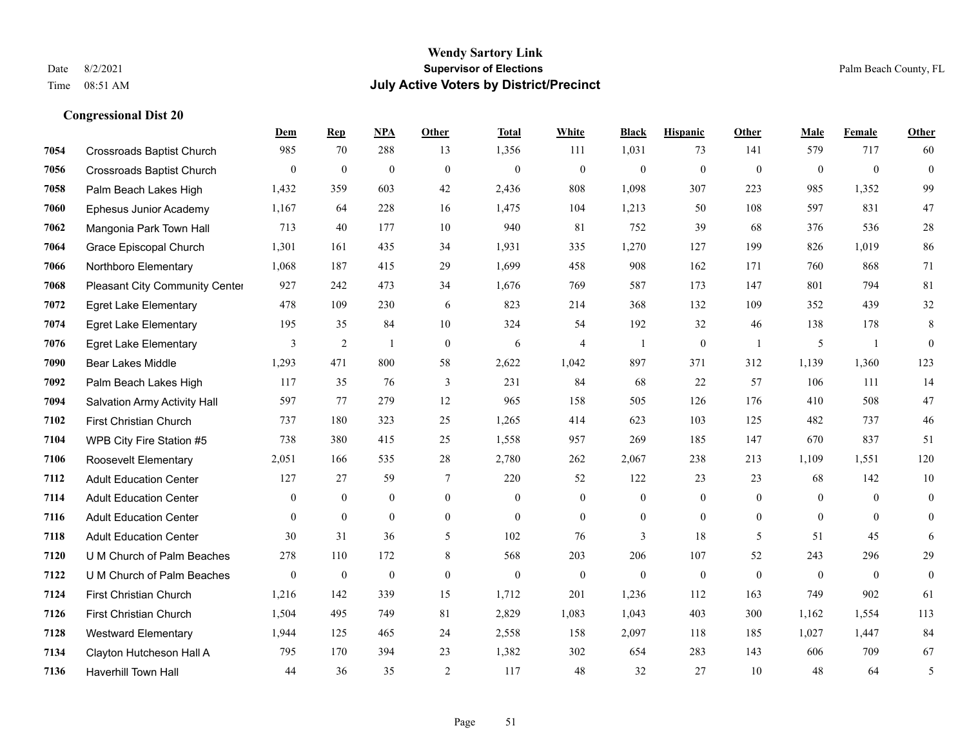#### **Wendy Sartory Link** Date 8/2/2021 **Supervisor of Elections** Palm Beach County, FL Time 08:51 AM **July Active Voters by District/Precinct**

Crossroads Baptist Church 985 70 288 13 1,356 111 1,031 73 141 579 717 60

**Dem Rep NPA Other Total White Black Hispanic Other Male Female Other**

# Crossroads Baptist Church 0 0 0 0 0 0 0 0 0 0 0 0 Palm Beach Lakes High 1,432 359 603 42 2,436 808 1,098 307 223 985 1,352 99 Ephesus Junior Academy 1,167 64 228 16 1,475 104 1,213 50 108 597 831 47 Mangonia Park Town Hall 713 40 177 10 940 81 752 39 68 376 536 28 Grace Episcopal Church 1,301 161 435 34 1,931 335 1,270 127 199 826 1,019 86 Northboro Elementary 1,068 187 415 29 1,699 458 908 162 171 760 868 71 Pleasant City Community Center 927 242 473 34 1,676 769 587 173 147 801 794 81 Egret Lake Elementary 478 109 230 6 823 214 368 132 109 352 439 32 Egret Lake Elementary 195 35 84 10 324 54 192 32 46 138 178 8 Egret Lake Elementary 3 2 1 0 6 4 1 0 1 5 1 0 Bear Lakes Middle 1,293 471 800 58 2,622 1,042 897 371 312 1,139 1,360 123 Palm Beach Lakes High 117 35 76 3 231 84 68 22 57 106 111 14 Salvation Army Activity Hall 597 77 279 12 965 158 505 126 176 410 508 47 First Christian Church 737 180 323 25 1,265 414 623 103 125 482 737 46 WPB City Fire Station #5 738 380 415 25 1,558 957 269 185 147 670 837 51 Roosevelt Elementary 2,051 166 535 28 2,780 262 2,067 238 213 1,109 1,551 120 Adult Education Center 127 27 59 7 220 52 122 23 23 68 142 10 Adult Education Center 0 0 0 0 0 0 0 0 0 0 0 0 Adult Education Center 0 0 0 0 0 0 0 0 0 0 0 0 Adult Education Center 30 31 36 5 102 76 3 18 5 51 45 6 U M Church of Palm Beaches 278 110 172 8 568 203 206 107 52 243 296 29 U M Church of Palm Beaches 0 0 0 0 0 0 0 0 0 0 0 0 First Christian Church 1,216 142 339 15 1,712 201 1,236 112 163 749 902 61

 First Christian Church 1,504 495 749 81 2,829 1,083 1,043 403 300 1,162 1,554 113 Westward Elementary 1,944 125 465 24 2,558 158 2,097 118 185 1,027 1,447 84 Clayton Hutcheson Hall A 795 170 394 23 1,382 302 654 283 143 606 709 67 Haverhill Town Hall 44 36 35 2 117 48 32 27 10 48 64 5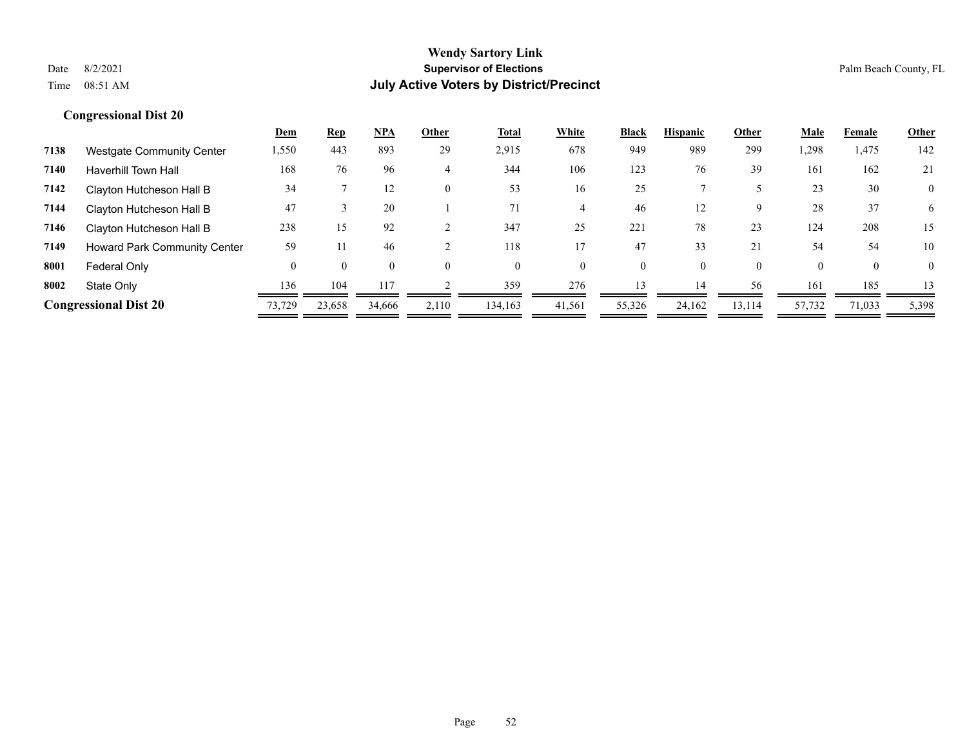|      |                                  | <b>Dem</b> | <u>Rep</u> | <b>NPA</b> | Other | <u>Total</u> | White    | <b>Black</b> | <b>Hispanic</b> | Other    | <u>Male</u> | Female   | <b>Other</b>   |
|------|----------------------------------|------------|------------|------------|-------|--------------|----------|--------------|-----------------|----------|-------------|----------|----------------|
| 7138 | <b>Westgate Community Center</b> | 1,550      | 443        | 893        | 29    | 2,915        | 678      | 949          | 989             | 299      | 1,298       | 1,475    | 142            |
| 7140 | <b>Haverhill Town Hall</b>       | 168        | 76         | 96         | 4     | 344          | 106      | 123          | 76              | 39       | 161         | 162      | 21             |
| 7142 | Clayton Hutcheson Hall B         | 34         |            | 12         |       | 53           | 16       | 25           |                 |          | 23          | 30       | $\overline{0}$ |
| 7144 | Clayton Hutcheson Hall B         | 47         |            | 20         |       | 71           | 4        | 46           | 12              | 9        | 28          | 37       | 6              |
| 7146 | Clayton Hutcheson Hall B         | 238        | 15         | 92         |       | 347          | 25       | 221          | 78              | 23       | 124         | 208      | 15             |
| 7149 | Howard Park Community Center     | 59         |            | 46         |       | 118          |          | 47           | 33              | 21       | 54          | 54       | 10             |
| 8001 | Federal Only                     | 0          |            |            |       | $\Omega$     | $\Omega$ | 0            | 0               | $\theta$ | $\Omega$    | $\Omega$ | 0              |
| 8002 | State Only                       | 136        | 104        | 117        |       | 359          | 276      | 13           | 14              | 56       | 161         | 185      | 13             |
|      | <b>Congressional Dist 20</b>     | 73,729     | 23,658     | 34,666     | 2,110 | 134,163      | 41,561   | 55,326       | 24,162          | 13,114   | 57,732      | 71,033   | 5,398          |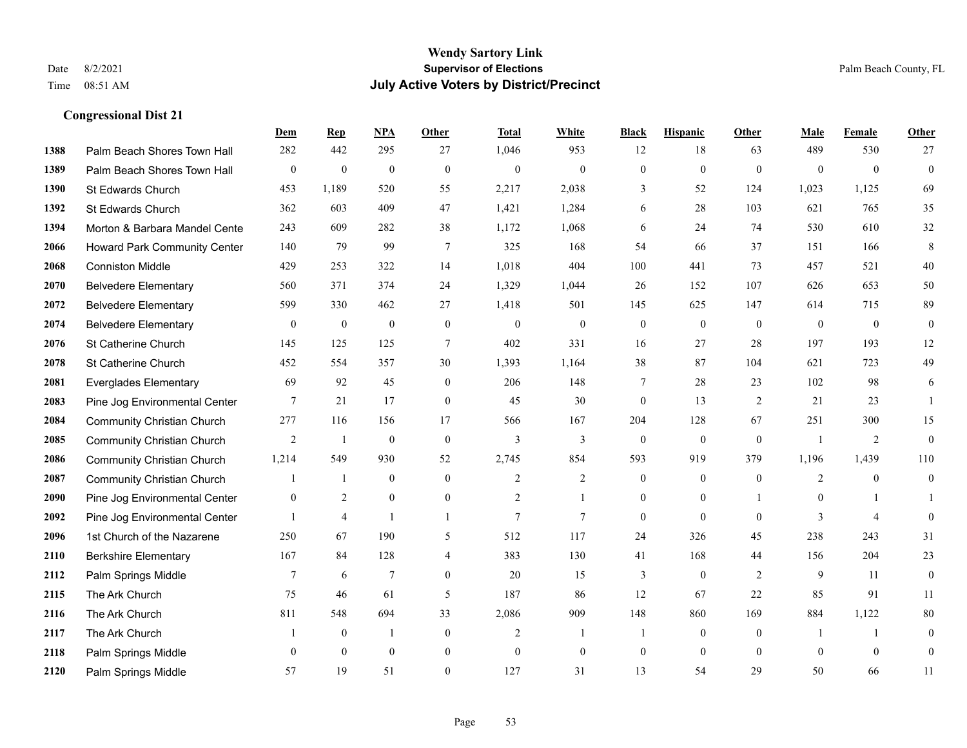|      |                                   | Dem            | <b>Rep</b>       | NPA              | <b>Other</b>   | <b>Total</b>   | <b>White</b>     | <b>Black</b>     | <b>Hispanic</b>  | <b>Other</b>   | <b>Male</b>    | Female         | <b>Other</b>     |
|------|-----------------------------------|----------------|------------------|------------------|----------------|----------------|------------------|------------------|------------------|----------------|----------------|----------------|------------------|
| 1388 | Palm Beach Shores Town Hall       | 282            | 442              | 295              | 27             | 1,046          | 953              | 12               | 18               | 63             | 489            | 530            | 27               |
| 1389 | Palm Beach Shores Town Hall       | $\mathbf{0}$   | $\mathbf{0}$     | $\overline{0}$   | $\theta$       | $\mathbf{0}$   | $\overline{0}$   | $\mathbf{0}$     | $\mathbf{0}$     | $\theta$       | $\theta$       | $\theta$       | $\mathbf{0}$     |
| 1390 | St Edwards Church                 | 453            | 1,189            | 520              | 55             | 2,217          | 2,038            | 3                | 52               | 124            | 1,023          | 1,125          | 69               |
| 1392 | St Edwards Church                 | 362            | 603              | 409              | 47             | 1,421          | 1,284            | 6                | 28               | 103            | 621            | 765            | 35               |
| 1394 | Morton & Barbara Mandel Cente     | 243            | 609              | 282              | 38             | 1,172          | 1,068            | 6                | 24               | 74             | 530            | 610            | 32               |
| 2066 | Howard Park Community Center      | 140            | 79               | 99               | 7              | 325            | 168              | 54               | 66               | 37             | 151            | 166            | 8                |
| 2068 | <b>Conniston Middle</b>           | 429            | 253              | 322              | 14             | 1,018          | 404              | 100              | 441              | 73             | 457            | 521            | 40               |
| 2070 | <b>Belvedere Elementary</b>       | 560            | 371              | 374              | 24             | 1,329          | 1,044            | 26               | 152              | 107            | 626            | 653            | 50               |
| 2072 | <b>Belvedere Elementary</b>       | 599            | 330              | 462              | 27             | 1,418          | 501              | 145              | 625              | 147            | 614            | 715            | 89               |
| 2074 | <b>Belvedere Elementary</b>       | $\mathbf{0}$   | $\boldsymbol{0}$ | $\boldsymbol{0}$ | $\mathbf{0}$   | $\theta$       | $\boldsymbol{0}$ | $\boldsymbol{0}$ | $\mathbf{0}$     | $\mathbf{0}$   | $\mathbf{0}$   | $\mathbf{0}$   | $\boldsymbol{0}$ |
| 2076 | St Catherine Church               | 145            | 125              | 125              | $\tau$         | 402            | 331              | 16               | 27               | 28             | 197            | 193            | $12\,$           |
| 2078 | St Catherine Church               | 452            | 554              | 357              | 30             | 1,393          | 1,164            | 38               | 87               | 104            | 621            | 723            | 49               |
| 2081 | <b>Everglades Elementary</b>      | 69             | 92               | 45               | $\overline{0}$ | 206            | 148              | $\tau$           | 28               | 23             | 102            | 98             | 6                |
| 2083 | Pine Jog Environmental Center     | 7              | 21               | 17               | $\mathbf{0}$   | 45             | 30               | $\boldsymbol{0}$ | 13               | $\overline{2}$ | 21             | 23             | $\mathbf{1}$     |
| 2084 | <b>Community Christian Church</b> | 277            | 116              | 156              | 17             | 566            | 167              | 204              | 128              | 67             | 251            | 300            | 15               |
| 2085 | <b>Community Christian Church</b> | 2              | 1                | $\mathbf{0}$     | $\theta$       | $\overline{3}$ | 3                | $\mathbf{0}$     | $\mathbf{0}$     | $\theta$       | $\overline{1}$ | 2              | $\mathbf{0}$     |
| 2086 | <b>Community Christian Church</b> | 1,214          | 549              | 930              | 52             | 2,745          | 854              | 593              | 919              | 379            | 1,196          | 1,439          | 110              |
| 2087 | <b>Community Christian Church</b> |                | $\mathbf{1}$     | $\mathbf{0}$     | $\theta$       | $\overline{2}$ | 2                | $\mathbf{0}$     | $\mathbf{0}$     | $\theta$       | 2              | $\theta$       | $\boldsymbol{0}$ |
| 2090 | Pine Jog Environmental Center     | $\overline{0}$ | $\overline{2}$   | $\mathbf{0}$     | $\overline{0}$ | $\overline{2}$ |                  | $\mathbf{0}$     | $\mathbf{0}$     |                | $\mathbf{0}$   |                |                  |
| 2092 | Pine Jog Environmental Center     |                | $\overline{4}$   | $\overline{1}$   | 1              | $\overline{7}$ | $\tau$           | $\boldsymbol{0}$ | $\mathbf{0}$     | $\theta$       | 3              | $\overline{4}$ | $\boldsymbol{0}$ |
| 2096 | 1st Church of the Nazarene        | 250            | 67               | 190              | 5              | 512            | 117              | 24               | 326              | 45             | 238            | 243            | 31               |
| 2110 | <b>Berkshire Elementary</b>       | 167            | 84               | 128              | $\overline{4}$ | 383            | 130              | 41               | 168              | 44             | 156            | 204            | 23               |
| 2112 | Palm Springs Middle               | 7              | 6                | 7                | $\overline{0}$ | 20             | 15               | 3                | $\boldsymbol{0}$ | 2              | 9              | 11             | $\boldsymbol{0}$ |
| 2115 | The Ark Church                    | 75             | 46               | 61               | 5              | 187            | 86               | 12               | 67               | 22             | 85             | 91             | 11               |
| 2116 | The Ark Church                    | 811            | 548              | 694              | 33             | 2,086          | 909              | 148              | 860              | 169            | 884            | 1,122          | 80               |
| 2117 | The Ark Church                    |                | $\boldsymbol{0}$ | $\mathbf{1}$     | $\mathbf{0}$   | 2              | 1                | 1                | $\mathbf{0}$     | $\theta$       | -1             | $\overline{1}$ | $\boldsymbol{0}$ |
| 2118 | Palm Springs Middle               | $\mathbf{0}$   | $\mathbf{0}$     | $\mathbf{0}$     | $\overline{0}$ | $\theta$       | $\overline{0}$   | $\boldsymbol{0}$ | $\mathbf{0}$     | $\mathbf{0}$   | $\theta$       | $\mathbf{0}$   | $\boldsymbol{0}$ |
| 2120 | Palm Springs Middle               | 57             | 19               | 51               | $\theta$       | 127            | 31               | 13               | 54               | 29             | 50             | 66             | 11               |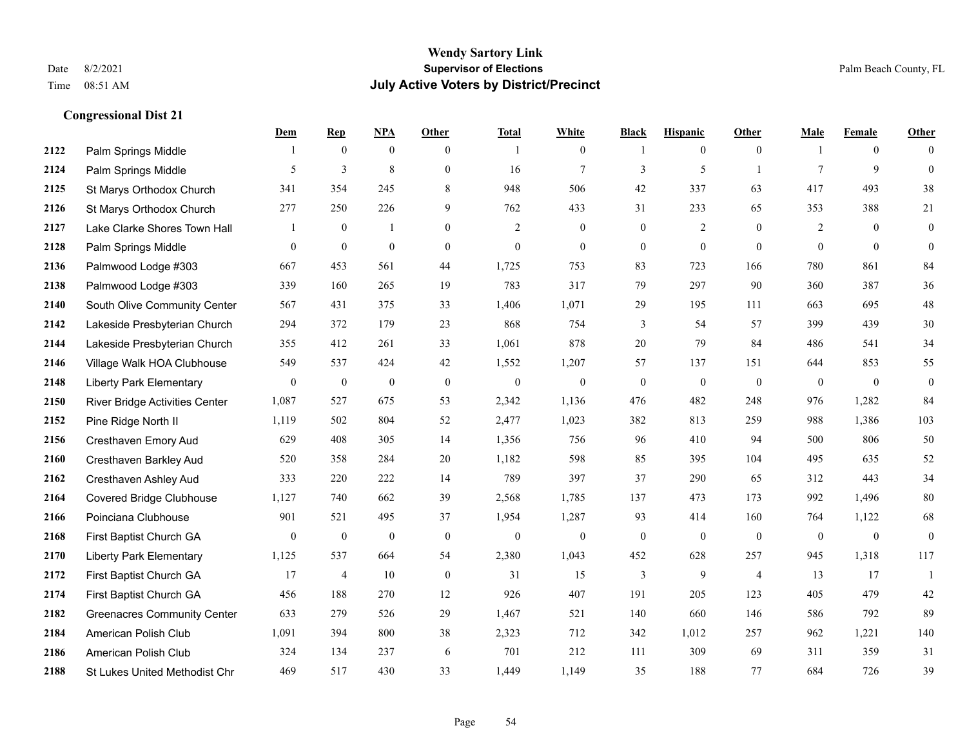|      |                                    | Dem              | <b>Rep</b>       | NPA              | <b>Other</b>   | <b>Total</b>     | <b>White</b>     | <b>Black</b>     | <b>Hispanic</b>  | Other          | <b>Male</b>    | <b>Female</b>  | <b>Other</b>     |
|------|------------------------------------|------------------|------------------|------------------|----------------|------------------|------------------|------------------|------------------|----------------|----------------|----------------|------------------|
| 2122 | Palm Springs Middle                | 1                | $\mathbf{0}$     | $\mathbf{0}$     | $\overline{0}$ |                  | $\overline{0}$   | -1               | $\overline{0}$   | $\overline{0}$ | -1             | $\overline{0}$ | $\Omega$         |
| 2124 | Palm Springs Middle                | 5                | 3                | 8                | $\overline{0}$ | 16               | $\tau$           | 3                | 5                | $\overline{1}$ | $\tau$         | 9              | $\mathbf{0}$     |
| 2125 | St Marys Orthodox Church           | 341              | 354              | 245              | 8              | 948              | 506              | 42               | 337              | 63             | 417            | 493            | 38               |
| 2126 | St Marys Orthodox Church           | 277              | 250              | 226              | 9              | 762              | 433              | 31               | 233              | 65             | 353            | 388            | 21               |
| 2127 | Lake Clarke Shores Town Hall       | 1                | $\mathbf{0}$     | $\mathbf{1}$     | $\Omega$       | 2                | $\overline{0}$   | $\mathbf{0}$     | 2                | $\theta$       | $\overline{2}$ | $\theta$       | $\boldsymbol{0}$ |
| 2128 | Palm Springs Middle                | $\boldsymbol{0}$ | $\boldsymbol{0}$ | $\boldsymbol{0}$ | $\overline{0}$ | $\boldsymbol{0}$ | $\boldsymbol{0}$ | $\boldsymbol{0}$ | $\boldsymbol{0}$ | $\mathbf{0}$   | $\overline{0}$ | $\mathbf{0}$   | $\mathbf{0}$     |
| 2136 | Palmwood Lodge #303                | 667              | 453              | 561              | 44             | 1,725            | 753              | 83               | 723              | 166            | 780            | 861            | 84               |
| 2138 | Palmwood Lodge #303                | 339              | 160              | 265              | 19             | 783              | 317              | 79               | 297              | 90             | 360            | 387            | 36               |
| 2140 | South Olive Community Center       | 567              | 431              | 375              | 33             | 1,406            | 1,071            | 29               | 195              | 111            | 663            | 695            | 48               |
| 2142 | Lakeside Presbyterian Church       | 294              | 372              | 179              | 23             | 868              | 754              | 3                | 54               | 57             | 399            | 439            | 30               |
| 2144 | Lakeside Presbyterian Church       | 355              | 412              | 261              | 33             | 1,061            | 878              | 20               | 79               | 84             | 486            | 541            | 34               |
| 2146 | Village Walk HOA Clubhouse         | 549              | 537              | 424              | 42             | 1,552            | 1,207            | 57               | 137              | 151            | 644            | 853            | 55               |
| 2148 | <b>Liberty Park Elementary</b>     | $\mathbf{0}$     | $\boldsymbol{0}$ | $\boldsymbol{0}$ | $\mathbf{0}$   | $\mathbf{0}$     | $\boldsymbol{0}$ | $\boldsymbol{0}$ | $\boldsymbol{0}$ | $\overline{0}$ | $\overline{0}$ | $\mathbf{0}$   | $\boldsymbol{0}$ |
| 2150 | River Bridge Activities Center     | 1,087            | 527              | 675              | 53             | 2,342            | 1,136            | 476              | 482              | 248            | 976            | 1,282          | 84               |
| 2152 | Pine Ridge North II                | 1,119            | 502              | 804              | 52             | 2,477            | 1,023            | 382              | 813              | 259            | 988            | 1,386          | 103              |
| 2156 | Cresthaven Emory Aud               | 629              | 408              | 305              | 14             | 1,356            | 756              | 96               | 410              | 94             | 500            | 806            | 50               |
| 2160 | Cresthaven Barkley Aud             | 520              | 358              | 284              | 20             | 1,182            | 598              | 85               | 395              | 104            | 495            | 635            | 52               |
| 2162 | Cresthaven Ashley Aud              | 333              | 220              | 222              | 14             | 789              | 397              | 37               | 290              | 65             | 312            | 443            | 34               |
| 2164 | <b>Covered Bridge Clubhouse</b>    | 1,127            | 740              | 662              | 39             | 2,568            | 1,785            | 137              | 473              | 173            | 992            | 1,496          | 80               |
| 2166 | Poinciana Clubhouse                | 901              | 521              | 495              | 37             | 1,954            | 1,287            | 93               | 414              | 160            | 764            | 1,122          | 68               |
| 2168 | First Baptist Church GA            | $\theta$         | $\boldsymbol{0}$ | $\mathbf{0}$     | $\theta$       | $\mathbf{0}$     | $\mathbf{0}$     | $\mathbf{0}$     | $\mathbf{0}$     | $\theta$       | $\overline{0}$ | $\overline{0}$ | $\boldsymbol{0}$ |
| 2170 | <b>Liberty Park Elementary</b>     | 1,125            | 537              | 664              | 54             | 2,380            | 1,043            | 452              | 628              | 257            | 945            | 1,318          | 117              |
| 2172 | First Baptist Church GA            | 17               | 4                | 10               | $\mathbf{0}$   | 31               | 15               | 3                | 9                | $\overline{4}$ | 13             | 17             | -1               |
| 2174 | First Baptist Church GA            | 456              | 188              | 270              | 12             | 926              | 407              | 191              | 205              | 123            | 405            | 479            | $42\,$           |
| 2182 | <b>Greenacres Community Center</b> | 633              | 279              | 526              | 29             | 1,467            | 521              | 140              | 660              | 146            | 586            | 792            | 89               |
| 2184 | American Polish Club               | 1,091            | 394              | 800              | 38             | 2,323            | 712              | 342              | 1,012            | 257            | 962            | 1,221          | 140              |
| 2186 | American Polish Club               | 324              | 134              | 237              | 6              | 701              | 212              | 111              | 309              | 69             | 311            | 359            | 31               |
| 2188 | St Lukes United Methodist Chr      | 469              | 517              | 430              | 33             | 1,449            | 1,149            | 35               | 188              | 77             | 684            | 726            | 39               |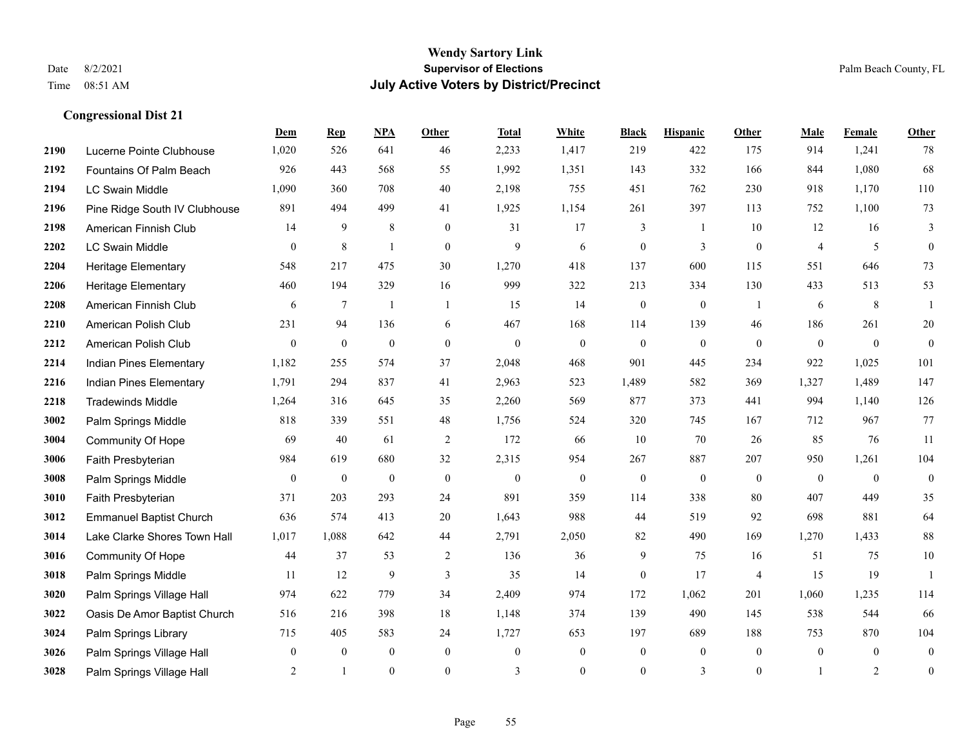|      |                                | Dem              | <b>Rep</b>       | NPA              | <b>Other</b>     | <b>Total</b>     | <b>White</b>     | <b>Black</b>     | <b>Hispanic</b>  | Other          | <b>Male</b>    | <b>Female</b>  | <b>Other</b>     |
|------|--------------------------------|------------------|------------------|------------------|------------------|------------------|------------------|------------------|------------------|----------------|----------------|----------------|------------------|
| 2190 | Lucerne Pointe Clubhouse       | 1,020            | 526              | 641              | 46               | 2,233            | 1,417            | 219              | 422              | 175            | 914            | 1,241          | 78               |
| 2192 | Fountains Of Palm Beach        | 926              | 443              | 568              | 55               | 1,992            | 1,351            | 143              | 332              | 166            | 844            | 1,080          | 68               |
| 2194 | <b>LC Swain Middle</b>         | 1,090            | 360              | 708              | 40               | 2,198            | 755              | 451              | 762              | 230            | 918            | 1,170          | 110              |
| 2196 | Pine Ridge South IV Clubhouse  | 891              | 494              | 499              | 41               | 1,925            | 1,154            | 261              | 397              | 113            | 752            | 1,100          | $73\,$           |
| 2198 | American Finnish Club          | 14               | 9                | 8                | $\mathbf{0}$     | 31               | 17               | 3                | $\mathbf{1}$     | 10             | 12             | 16             | 3                |
| 2202 | <b>LC Swain Middle</b>         | $\mathbf{0}$     | $\,8\,$          | $\mathbf{1}$     | $\mathbf{0}$     | 9                | 6                | $\boldsymbol{0}$ | 3                | $\mathbf{0}$   | $\overline{4}$ | 5              | $\mathbf{0}$     |
| 2204 | Heritage Elementary            | 548              | 217              | 475              | 30               | 1,270            | 418              | 137              | 600              | 115            | 551            | 646            | 73               |
| 2206 | Heritage Elementary            | 460              | 194              | 329              | 16               | 999              | 322              | 213              | 334              | 130            | 433            | 513            | 53               |
| 2208 | American Finnish Club          | 6                | $\tau$           | $\mathbf{1}$     | $\overline{1}$   | 15               | 14               | $\boldsymbol{0}$ | $\boldsymbol{0}$ | -1             | 6              | 8              |                  |
| 2210 | American Polish Club           | 231              | 94               | 136              | 6                | 467              | 168              | 114              | 139              | 46             | 186            | 261            | $20\,$           |
| 2212 | American Polish Club           | $\boldsymbol{0}$ | $\boldsymbol{0}$ | $\boldsymbol{0}$ | $\mathbf{0}$     | $\boldsymbol{0}$ | $\boldsymbol{0}$ | $\boldsymbol{0}$ | $\boldsymbol{0}$ | $\mathbf{0}$   | $\mathbf{0}$   | $\mathbf{0}$   | $\mathbf{0}$     |
| 2214 | Indian Pines Elementary        | 1,182            | 255              | 574              | 37               | 2,048            | 468              | 901              | 445              | 234            | 922            | 1,025          | 101              |
| 2216 | Indian Pines Elementary        | 1,791            | 294              | 837              | 41               | 2,963            | 523              | 1,489            | 582              | 369            | 1,327          | 1,489          | 147              |
| 2218 | <b>Tradewinds Middle</b>       | 1,264            | 316              | 645              | 35               | 2,260            | 569              | 877              | 373              | 441            | 994            | 1,140          | 126              |
| 3002 | Palm Springs Middle            | 818              | 339              | 551              | 48               | 1,756            | 524              | 320              | 745              | 167            | 712            | 967            | 77               |
| 3004 | Community Of Hope              | 69               | 40               | 61               | 2                | 172              | 66               | 10               | 70               | 26             | 85             | 76             | 11               |
| 3006 | Faith Presbyterian             | 984              | 619              | 680              | 32               | 2,315            | 954              | 267              | 887              | 207            | 950            | 1,261          | 104              |
| 3008 | Palm Springs Middle            | $\mathbf{0}$     | $\mathbf{0}$     | $\boldsymbol{0}$ | $\mathbf{0}$     | $\mathbf{0}$     | $\boldsymbol{0}$ | $\mathbf{0}$     | $\overline{0}$   | $\mathbf{0}$   | $\overline{0}$ | $\theta$       | $\mathbf{0}$     |
| 3010 | Faith Presbyterian             | 371              | 203              | 293              | 24               | 891              | 359              | 114              | 338              | 80             | 407            | 449            | 35               |
| 3012 | <b>Emmanuel Baptist Church</b> | 636              | 574              | 413              | 20               | 1,643            | 988              | 44               | 519              | 92             | 698            | 881            | 64               |
| 3014 | Lake Clarke Shores Town Hall   | 1,017            | 1,088            | 642              | 44               | 2,791            | 2,050            | 82               | 490              | 169            | 1,270          | 1,433          | $88\,$           |
| 3016 | Community Of Hope              | 44               | 37               | 53               | 2                | 136              | 36               | $\mathbf{9}$     | 75               | 16             | 51             | 75             | $10\,$           |
| 3018 | Palm Springs Middle            | 11               | 12               | 9                | 3                | 35               | 14               | $\mathbf{0}$     | 17               | $\overline{4}$ | 15             | 19             | $\overline{1}$   |
| 3020 | Palm Springs Village Hall      | 974              | 622              | 779              | 34               | 2,409            | 974              | 172              | 1,062            | 201            | 1,060          | 1,235          | 114              |
| 3022 | Oasis De Amor Baptist Church   | 516              | 216              | 398              | 18               | 1,148            | 374              | 139              | 490              | 145            | 538            | 544            | 66               |
| 3024 | Palm Springs Library           | 715              | 405              | 583              | 24               | 1,727            | 653              | 197              | 689              | 188            | 753            | 870            | 104              |
| 3026 | Palm Springs Village Hall      | $\mathbf{0}$     | $\mathbf{0}$     | $\boldsymbol{0}$ | $\boldsymbol{0}$ | $\mathbf{0}$     | $\boldsymbol{0}$ | $\mathbf{0}$     | $\overline{0}$   | $\mathbf{0}$   | $\overline{0}$ | $\overline{0}$ | $\mathbf{0}$     |
| 3028 | Palm Springs Village Hall      | $\overline{2}$   | $\overline{1}$   | $\mathbf{0}$     | $\Omega$         | 3                | $\overline{0}$   | $\mathbf{0}$     | $\overline{3}$   | $\mathbf{0}$   | $\mathbf{1}$   | 2              | $\boldsymbol{0}$ |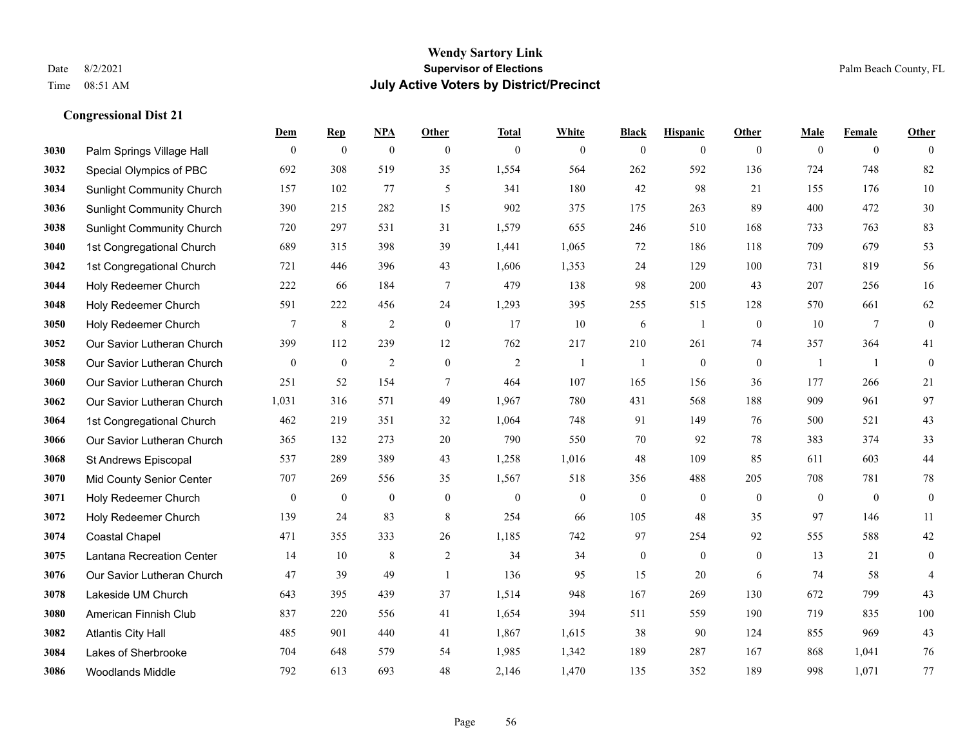|      |                                  | Dem              | <b>Rep</b>       | NPA              | <b>Other</b>     | <b>Total</b>     | <b>White</b>     | <b>Black</b>     | <b>Hispanic</b>  | <b>Other</b>     | <b>Male</b>      | <b>Female</b>  | <b>Other</b>     |
|------|----------------------------------|------------------|------------------|------------------|------------------|------------------|------------------|------------------|------------------|------------------|------------------|----------------|------------------|
| 3030 | Palm Springs Village Hall        | $\mathbf{0}$     | $\boldsymbol{0}$ | $\boldsymbol{0}$ | $\mathbf{0}$     | $\mathbf{0}$     | $\overline{0}$   | $\mathbf{0}$     | $\mathbf{0}$     | $\mathbf{0}$     | $\mathbf{0}$     | $\overline{0}$ | $\theta$         |
| 3032 | Special Olympics of PBC          | 692              | 308              | 519              | 35               | 1,554            | 564              | 262              | 592              | 136              | 724              | 748            | 82               |
| 3034 | <b>Sunlight Community Church</b> | 157              | 102              | 77               | 5                | 341              | 180              | 42               | 98               | 21               | 155              | 176            | 10               |
| 3036 | <b>Sunlight Community Church</b> | 390              | 215              | 282              | 15               | 902              | 375              | 175              | 263              | 89               | 400              | 472            | $30\,$           |
| 3038 | <b>Sunlight Community Church</b> | 720              | 297              | 531              | 31               | 1,579            | 655              | 246              | 510              | 168              | 733              | 763            | 83               |
| 3040 | 1st Congregational Church        | 689              | 315              | 398              | 39               | 1,441            | 1,065            | 72               | 186              | 118              | 709              | 679            | 53               |
| 3042 | 1st Congregational Church        | 721              | 446              | 396              | 43               | 1,606            | 1,353            | 24               | 129              | 100              | 731              | 819            | 56               |
| 3044 | Holy Redeemer Church             | 222              | 66               | 184              | $\tau$           | 479              | 138              | 98               | 200              | 43               | 207              | 256            | 16               |
| 3048 | Holy Redeemer Church             | 591              | 222              | 456              | 24               | 1,293            | 395              | 255              | 515              | 128              | 570              | 661            | 62               |
| 3050 | Holy Redeemer Church             | 7                | $\,8\,$          | $\overline{2}$   | $\boldsymbol{0}$ | 17               | 10               | 6                | 1                | $\overline{0}$   | 10               | 7              | $\boldsymbol{0}$ |
| 3052 | Our Savior Lutheran Church       | 399              | 112              | 239              | 12               | 762              | 217              | 210              | 261              | 74               | 357              | 364            | 41               |
| 3058 | Our Savior Lutheran Church       | $\mathbf{0}$     | $\bf{0}$         | $\overline{2}$   | $\boldsymbol{0}$ | $\overline{2}$   | $\mathbf{1}$     | 1                | $\boldsymbol{0}$ | $\mathbf{0}$     | -1               | -1             | $\boldsymbol{0}$ |
| 3060 | Our Savior Lutheran Church       | 251              | 52               | 154              | $\tau$           | 464              | 107              | 165              | 156              | 36               | 177              | 266            | 21               |
| 3062 | Our Savior Lutheran Church       | 1,031            | 316              | 571              | 49               | 1,967            | 780              | 431              | 568              | 188              | 909              | 961            | 97               |
| 3064 | 1st Congregational Church        | 462              | 219              | 351              | 32               | 1,064            | 748              | 91               | 149              | 76               | 500              | 521            | 43               |
| 3066 | Our Savior Lutheran Church       | 365              | 132              | 273              | 20               | 790              | 550              | 70               | 92               | 78               | 383              | 374            | 33               |
| 3068 | St Andrews Episcopal             | 537              | 289              | 389              | 43               | 1,258            | 1,016            | 48               | 109              | 85               | 611              | 603            | $44\,$           |
| 3070 | Mid County Senior Center         | 707              | 269              | 556              | 35               | 1,567            | 518              | 356              | 488              | 205              | 708              | 781            | $78\,$           |
| 3071 | Holy Redeemer Church             | $\boldsymbol{0}$ | $\boldsymbol{0}$ | $\boldsymbol{0}$ | $\boldsymbol{0}$ | $\boldsymbol{0}$ | $\boldsymbol{0}$ | $\boldsymbol{0}$ | $\boldsymbol{0}$ | $\boldsymbol{0}$ | $\boldsymbol{0}$ | $\mathbf{0}$   | $\boldsymbol{0}$ |
| 3072 | Holy Redeemer Church             | 139              | 24               | 83               | 8                | 254              | 66               | 105              | 48               | 35               | 97               | 146            | 11               |
| 3074 | <b>Coastal Chapel</b>            | 471              | 355              | 333              | 26               | 1,185            | 742              | 97               | 254              | 92               | 555              | 588            | $42\,$           |
| 3075 | Lantana Recreation Center        | 14               | 10               | 8                | $\overline{c}$   | 34               | 34               | $\boldsymbol{0}$ | $\boldsymbol{0}$ | $\overline{0}$   | 13               | 21             | $\boldsymbol{0}$ |
| 3076 | Our Savior Lutheran Church       | 47               | 39               | 49               | $\overline{1}$   | 136              | 95               | 15               | 20               | 6                | 74               | 58             | $\overline{4}$   |
| 3078 | Lakeside UM Church               | 643              | 395              | 439              | 37               | 1,514            | 948              | 167              | 269              | 130              | 672              | 799            | 43               |
| 3080 | American Finnish Club            | 837              | 220              | 556              | 41               | 1,654            | 394              | 511              | 559              | 190              | 719              | 835            | 100              |
| 3082 | <b>Atlantis City Hall</b>        | 485              | 901              | 440              | 41               | 1,867            | 1,615            | 38               | 90               | 124              | 855              | 969            | 43               |
| 3084 | Lakes of Sherbrooke              | 704              | 648              | 579              | 54               | 1,985            | 1,342            | 189              | 287              | 167              | 868              | 1,041          | 76               |
| 3086 | <b>Woodlands Middle</b>          | 792              | 613              | 693              | 48               | 2,146            | 1,470            | 135              | 352              | 189              | 998              | 1,071          | 77               |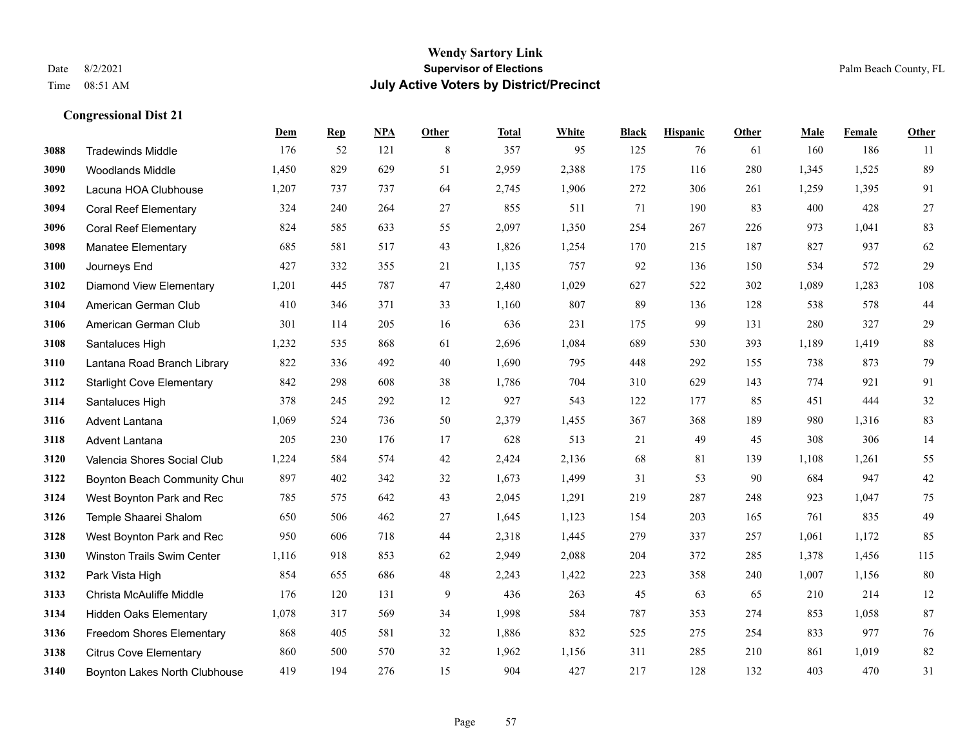#### **Wendy Sartory Link** Date 8/2/2021 **Supervisor of Elections** Palm Beach County, FL Time 08:51 AM **July Active Voters by District/Precinct**

**Dem Rep NPA Other Total White Black Hispanic Other Male Female Other**

# Tradewinds Middle 176 52 121 8 357 95 125 76 61 160 186 11 Woodlands Middle 1,450 829 629 51 2,959 2,388 175 116 280 1,345 1,525 89 Lacuna HOA Clubhouse 1,207 737 737 64 2,745 1,906 272 306 261 1,259 1,395 91 Coral Reef Elementary 324 240 264 27 855 511 71 190 83 400 428 27 Coral Reef Elementary 824 585 633 55 2,097 1,350 254 267 226 973 1,041 83 Manatee Elementary 685 581 517 43 1,826 1,254 170 215 187 827 937 62 Journeys End 427 332 355 21 1,135 757 92 136 150 534 572 29 Diamond View Elementary 1,201 445 787 47 2,480 1,029 627 522 302 1,089 1,283 108 American German Club 410 346 371 33 1,160 807 89 136 128 538 578 44 American German Club 301 114 205 16 636 231 175 99 131 280 327 29 Santaluces High 1,232 535 868 61 2,696 1,084 689 530 393 1,189 1,419 88 Lantana Road Branch Library 822 336 492 40 1,690 795 448 292 155 738 873 79 Starlight Cove Elementary 842 298 608 38 1,786 704 310 629 143 774 921 91 Santaluces High 378 245 292 12 927 543 122 177 85 451 444 32 Advent Lantana 1,069 524 736 50 2,379 1,455 367 368 189 980 1,316 83 Advent Lantana 205 230 176 17 628 513 21 49 45 308 306 14 Valencia Shores Social Club 1,224 584 574 42 2,424 2,136 68 81 139 1,108 1,261 55 **3122 Boynton Beach Community Chu**rch 897 402 342 32 1,673 1,499 31 53 90 684 947 42 West Boynton Park and Rec 785 575 642 43 2,045 1,291 219 287 248 923 1,047 75 Temple Shaarei Shalom 650 506 462 27 1,645 1,123 154 203 165 761 835 49 West Boynton Park and Rec 950 606 718 44 2,318 1,445 279 337 257 1,061 1,172 85 Winston Trails Swim Center 1,116 918 853 62 2,949 2,088 204 372 285 1,378 1,456 115 Park Vista High 854 655 686 48 2,243 1,422 223 358 240 1,007 1,156 80 Christa McAuliffe Middle 176 120 131 9 436 263 45 63 65 210 214 12

 Hidden Oaks Elementary 1,078 317 569 34 1,998 584 787 353 274 853 1,058 87 Freedom Shores Elementary 868 405 581 32 1,886 832 525 275 254 833 977 76 Citrus Cove Elementary 860 500 570 32 1,962 1,156 311 285 210 861 1,019 82 Boynton Lakes North Clubhouse 419 194 276 15 904 427 217 128 132 403 470 31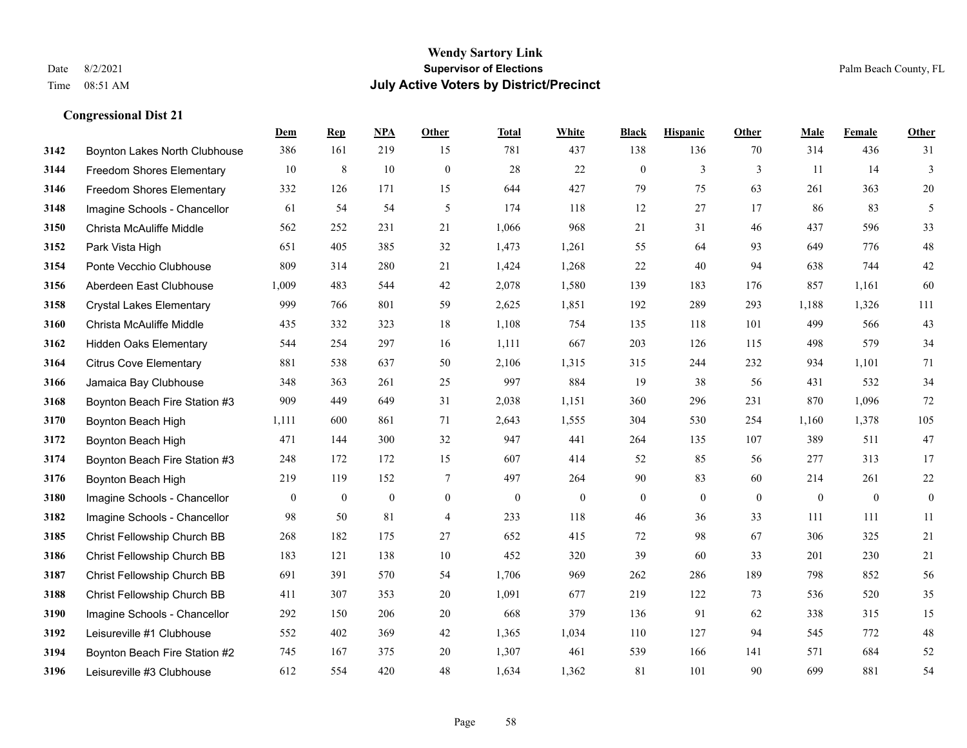|      |                                  | Dem          | <b>Rep</b>       | NPA              | <b>Other</b>     | <b>Total</b>     | <b>White</b>     | <b>Black</b>     | <b>Hispanic</b>  | <b>Other</b> | <b>Male</b>      | Female           | <b>Other</b>     |
|------|----------------------------------|--------------|------------------|------------------|------------------|------------------|------------------|------------------|------------------|--------------|------------------|------------------|------------------|
| 3142 | Boynton Lakes North Clubhouse    | 386          | 161              | 219              | 15               | 781              | 437              | 138              | 136              | 70           | 314              | 436              | 31               |
| 3144 | Freedom Shores Elementary        | 10           | $\,8\,$          | 10               | $\boldsymbol{0}$ | 28               | 22               | $\boldsymbol{0}$ | 3                | 3            | 11               | 14               | 3                |
| 3146 | <b>Freedom Shores Elementary</b> | 332          | 126              | 171              | 15               | 644              | 427              | 79               | 75               | 63           | 261              | 363              | $20\,$           |
| 3148 | Imagine Schools - Chancellor     | 61           | 54               | 54               | 5                | 174              | 118              | 12               | 27               | 17           | 86               | 83               | 5                |
| 3150 | Christa McAuliffe Middle         | 562          | 252              | 231              | 21               | 1,066            | 968              | 21               | 31               | 46           | 437              | 596              | 33               |
| 3152 | Park Vista High                  | 651          | 405              | 385              | 32               | 1,473            | 1,261            | 55               | 64               | 93           | 649              | 776              | $48\,$           |
| 3154 | Ponte Vecchio Clubhouse          | 809          | 314              | 280              | 21               | 1,424            | 1,268            | 22               | 40               | 94           | 638              | 744              | $42\,$           |
| 3156 | Aberdeen East Clubhouse          | 1,009        | 483              | 544              | 42               | 2,078            | 1,580            | 139              | 183              | 176          | 857              | 1,161            | 60               |
| 3158 | <b>Crystal Lakes Elementary</b>  | 999          | 766              | 801              | 59               | 2,625            | 1,851            | 192              | 289              | 293          | 1,188            | 1,326            | 111              |
| 3160 | Christa McAuliffe Middle         | 435          | 332              | 323              | 18               | 1,108            | 754              | 135              | 118              | 101          | 499              | 566              | 43               |
| 3162 | <b>Hidden Oaks Elementary</b>    | 544          | 254              | 297              | 16               | 1,111            | 667              | 203              | 126              | 115          | 498              | 579              | 34               |
| 3164 | <b>Citrus Cove Elementary</b>    | 881          | 538              | 637              | 50               | 2,106            | 1,315            | 315              | 244              | 232          | 934              | 1,101            | 71               |
| 3166 | Jamaica Bay Clubhouse            | 348          | 363              | 261              | 25               | 997              | 884              | 19               | 38               | 56           | 431              | 532              | 34               |
| 3168 | Boynton Beach Fire Station #3    | 909          | 449              | 649              | 31               | 2,038            | 1,151            | 360              | 296              | 231          | 870              | 1,096            | 72               |
| 3170 | Boynton Beach High               | 1,111        | 600              | 861              | 71               | 2,643            | 1,555            | 304              | 530              | 254          | 1,160            | 1,378            | 105              |
| 3172 | Boynton Beach High               | 471          | 144              | 300              | 32               | 947              | 441              | 264              | 135              | 107          | 389              | 511              | $47\,$           |
| 3174 | Boynton Beach Fire Station #3    | 248          | 172              | 172              | 15               | 607              | 414              | 52               | 85               | 56           | 277              | 313              | 17               |
| 3176 | Boynton Beach High               | 219          | 119              | 152              | $\tau$           | 497              | 264              | 90               | 83               | 60           | 214              | 261              | $22\,$           |
| 3180 | Imagine Schools - Chancellor     | $\mathbf{0}$ | $\boldsymbol{0}$ | $\boldsymbol{0}$ | $\boldsymbol{0}$ | $\boldsymbol{0}$ | $\boldsymbol{0}$ | $\boldsymbol{0}$ | $\boldsymbol{0}$ | $\mathbf{0}$ | $\boldsymbol{0}$ | $\boldsymbol{0}$ | $\boldsymbol{0}$ |
| 3182 | Imagine Schools - Chancellor     | 98           | 50               | 81               | 4                | 233              | 118              | 46               | 36               | 33           | 111              | 111              | 11               |
| 3185 | Christ Fellowship Church BB      | 268          | 182              | 175              | 27               | 652              | 415              | 72               | 98               | 67           | 306              | 325              | 21               |
| 3186 | Christ Fellowship Church BB      | 183          | 121              | 138              | 10               | 452              | 320              | 39               | 60               | 33           | 201              | 230              | 21               |
| 3187 | Christ Fellowship Church BB      | 691          | 391              | 570              | 54               | 1,706            | 969              | 262              | 286              | 189          | 798              | 852              | 56               |
| 3188 | Christ Fellowship Church BB      | 411          | 307              | 353              | 20               | 1,091            | 677              | 219              | 122              | 73           | 536              | 520              | 35               |
| 3190 | Imagine Schools - Chancellor     | 292          | 150              | 206              | 20               | 668              | 379              | 136              | 91               | 62           | 338              | 315              | 15               |
| 3192 | Leisureville #1 Clubhouse        | 552          | 402              | 369              | 42               | 1,365            | 1,034            | 110              | 127              | 94           | 545              | 772              | $48\,$           |
| 3194 | Boynton Beach Fire Station #2    | 745          | 167              | 375              | 20               | 1,307            | 461              | 539              | 166              | 141          | 571              | 684              | $52\,$           |
| 3196 | Leisureville #3 Clubhouse        | 612          | 554              | 420              | 48               | 1,634            | 1,362            | 81               | 101              | 90           | 699              | 881              | 54               |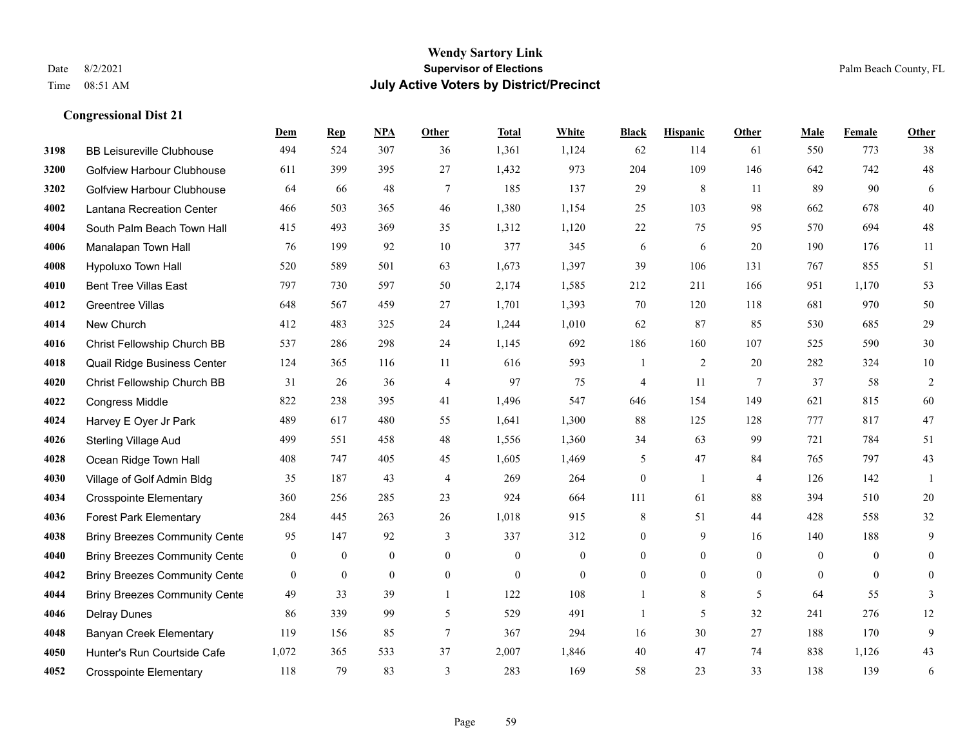#### **Wendy Sartory Link** Date 8/2/2021 **Supervisor of Elections** Palm Beach County, FL Time 08:51 AM **July Active Voters by District/Precinct**

# **Dem Rep NPA Other Total White Black Hispanic Other Male Female Other** BB Leisureville Clubhouse 494 524 307 36 1,361 1,124 62 114 61 550 773 38 Golfview Harbour Clubhouse 611 399 395 27 1,432 973 204 109 146 642 742 48 Golfview Harbour Clubhouse 64 66 48 7 185 137 29 8 11 89 90 6 Lantana Recreation Center 466 503 365 46 1,380 1,154 25 103 98 662 678 40 South Palm Beach Town Hall 415 493 369 35 1,312 1,120 22 75 95 570 694 48 Manalapan Town Hall 76 199 92 10 377 345 6 6 20 190 176 11 Hypoluxo Town Hall 520 589 501 63 1,673 1,397 39 106 131 767 855 51 Bent Tree Villas East 797 730 597 50 2,174 1,585 212 211 166 951 1,170 53 Greentree Villas 648 567 459 27 1,701 1,393 70 120 118 681 970 50 New Church 412 483 325 24 1,244 1,010 62 87 85 530 685 29 Christ Fellowship Church BB 537 286 298 24 1,145 692 186 160 107 525 590 30 Quail Ridge Business Center 124 365 116 11 616 593 1 2 20 282 324 10 Christ Fellowship Church BB 31 26 36 4 97 75 4 11 7 37 58 2 Congress Middle 822 238 395 41 1,496 547 646 154 149 621 815 60 Harvey E Oyer Jr Park 489 617 480 55 1,641 1,300 88 125 128 777 817 47 Sterling Village Aud 499 551 458 48 1,556 1,360 34 63 99 721 784 51 Ocean Ridge Town Hall 408 747 405 45 1,605 1,469 5 47 84 765 797 43 Village of Golf Admin Bldg 35 187 43 4 269 264 0 1 4 126 142 1 Crosspointe Elementary 360 256 285 23 924 664 111 61 88 394 510 20 Forest Park Elementary 284 445 263 26 1,018 915 8 51 44 428 558 32 Briny Breezes Community Cente 95 147 92 3 337 312 0 9 16 140 188 9 Briny Breezes Community Center 0 0 0 0 0 0 0 0 0 0 0 0 Briny Breezes Community Center 0 0 0 0 0 0 0 0 0 0 0 0 Briny Breezes Community Cente  $\begin{array}{ccccccccc} 49 & 33 & 39 & 1 & 122 & 108 & 1 & 8 & 5 & 64 & 55 & 3 \end{array}$  Delray Dunes 86 339 99 5 529 491 1 5 32 241 276 12 Banyan Creek Elementary 119 156 85 7 367 294 16 30 27 188 170 9 Hunter's Run Courtside Cafe 1,072 365 533 37 2,007 1,846 40 47 74 838 1,126 43

Crosspointe Elementary 118 79 83 3 283 169 58 23 33 138 139 6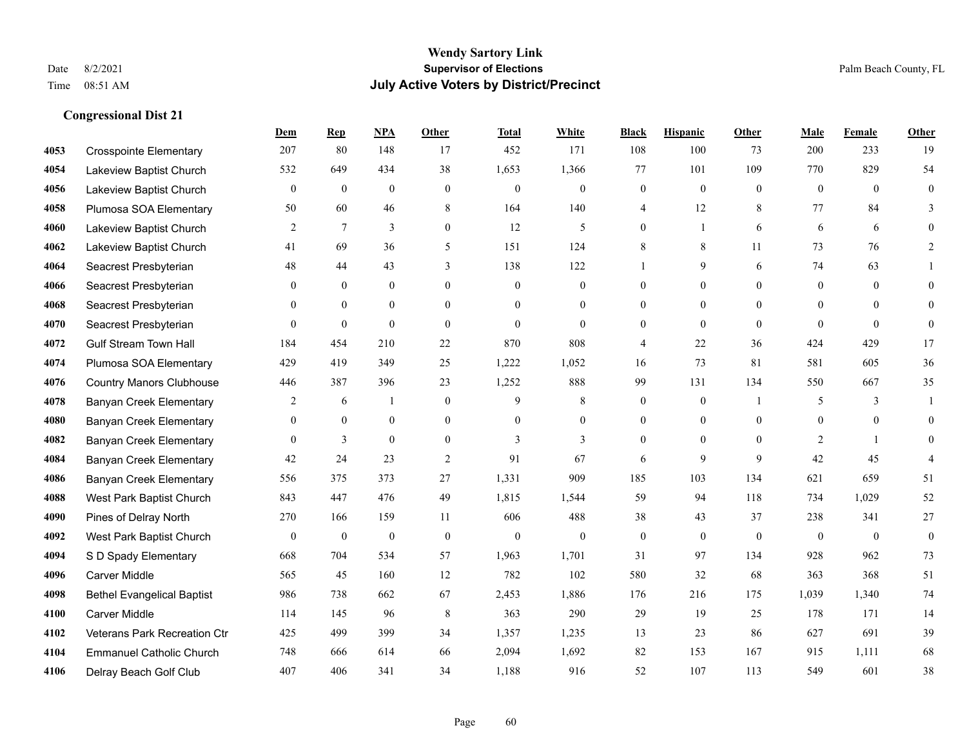|      |                                   | Dem            | <b>Rep</b>       | NPA          | <b>Other</b>     | <b>Total</b>   | <b>White</b>   | <b>Black</b>     | <b>Hispanic</b> | <b>Other</b> | <b>Male</b>  | Female       | <b>Other</b>   |
|------|-----------------------------------|----------------|------------------|--------------|------------------|----------------|----------------|------------------|-----------------|--------------|--------------|--------------|----------------|
| 4053 | <b>Crosspointe Elementary</b>     | 207            | 80               | 148          | 17               | 452            | 171            | 108              | 100             | 73           | 200          | 233          | 19             |
| 4054 | Lakeview Baptist Church           | 532            | 649              | 434          | 38               | 1,653          | 1,366          | 77               | 101             | 109          | 770          | 829          | 54             |
| 4056 | Lakeview Baptist Church           | $\mathbf{0}$   | $\boldsymbol{0}$ | $\mathbf{0}$ | $\mathbf{0}$     | $\mathbf{0}$   | $\overline{0}$ | $\boldsymbol{0}$ | $\mathbf{0}$    | $\theta$     | $\mathbf{0}$ | $\theta$     | $\overline{0}$ |
| 4058 | Plumosa SOA Elementary            | 50             | 60               | 46           | 8                | 164            | 140            | 4                | 12              | 8            | 77           | 84           | 3              |
| 4060 | Lakeview Baptist Church           | 2              | $7\phantom{.0}$  | 3            | $\mathbf{0}$     | 12             | 5              | $\overline{0}$   | 1               | 6            | 6            | 6            | $\theta$       |
| 4062 | Lakeview Baptist Church           | 41             | 69               | 36           | 5                | 151            | 124            | 8                | 8               | 11           | 73           | 76           | 2              |
| 4064 | Seacrest Presbyterian             | 48             | 44               | 43           | 3                | 138            | 122            |                  | 9               | 6            | 74           | 63           |                |
| 4066 | Seacrest Presbyterian             | $\Omega$       | $\mathbf{0}$     | $\theta$     | $\theta$         | $\theta$       | $\overline{0}$ | $\theta$         | $\overline{0}$  | $\theta$     | $\Omega$     | $\theta$     | $\Omega$       |
| 4068 | Seacrest Presbyterian             | $\Omega$       | $\theta$         | $\theta$     | $\theta$         | $\Omega$       | $\overline{0}$ | $\theta$         | $\overline{0}$  | $\Omega$     | $\Omega$     | $\Omega$     | $\theta$       |
| 4070 | Seacrest Presbyterian             | $\Omega$       | $\mathbf{0}$     | $\mathbf{0}$ | $\theta$         | $\overline{0}$ | $\overline{0}$ | $\overline{0}$   | $\overline{0}$  | $\theta$     | $\theta$     | $\theta$     | $\overline{0}$ |
| 4072 | <b>Gulf Stream Town Hall</b>      | 184            | 454              | 210          | 22               | 870            | 808            | 4                | 22              | 36           | 424          | 429          | 17             |
| 4074 | Plumosa SOA Elementary            | 429            | 419              | 349          | 25               | 1,222          | 1,052          | 16               | 73              | 81           | 581          | 605          | 36             |
| 4076 | <b>Country Manors Clubhouse</b>   | 446            | 387              | 396          | 23               | 1,252          | 888            | 99               | 131             | 134          | 550          | 667          | 35             |
| 4078 | <b>Banyan Creek Elementary</b>    | $\overline{c}$ | 6                | 1            | $\boldsymbol{0}$ | 9              | $\,8\,$        | $\boldsymbol{0}$ | $\overline{0}$  |              | 5            | 3            | 1              |
| 4080 | Banyan Creek Elementary           | $\Omega$       | $\mathbf{0}$     | $\mathbf{0}$ | $\overline{0}$   | $\theta$       | $\overline{0}$ | $\overline{0}$   | $\overline{0}$  | $\theta$     | $\Omega$     | $\theta$     | $\overline{0}$ |
| 4082 | Banyan Creek Elementary           | $\Omega$       | 3                | $\theta$     | $\theta$         | 3              | 3              | $\overline{0}$   | $\overline{0}$  | $\theta$     | 2            | $\mathbf{1}$ | $\Omega$       |
| 4084 | Banyan Creek Elementary           | 42             | 24               | 23           | 2                | 91             | 67             | 6                | 9               | 9            | 42           | 45           | 4              |
| 4086 | Banyan Creek Elementary           | 556            | 375              | 373          | 27               | 1,331          | 909            | 185              | 103             | 134          | 621          | 659          | 51             |
| 4088 | West Park Baptist Church          | 843            | 447              | 476          | 49               | 1,815          | 1,544          | 59               | 94              | 118          | 734          | 1,029        | 52             |
| 4090 | Pines of Delray North             | 270            | 166              | 159          | 11               | 606            | 488            | 38               | 43              | 37           | 238          | 341          | 27             |
| 4092 | West Park Baptist Church          | $\theta$       | $\mathbf{0}$     | $\mathbf{0}$ | $\theta$         | $\mathbf{0}$   | $\overline{0}$ | $\mathbf{0}$     | $\mathbf{0}$    | $\theta$     | $\theta$     | $\theta$     | $\mathbf{0}$   |
| 4094 | S D Spady Elementary              | 668            | 704              | 534          | 57               | 1,963          | 1,701          | 31               | 97              | 134          | 928          | 962          | 73             |
| 4096 | <b>Carver Middle</b>              | 565            | 45               | 160          | 12               | 782            | 102            | 580              | 32              | 68           | 363          | 368          | 51             |
| 4098 | <b>Bethel Evangelical Baptist</b> | 986            | 738              | 662          | 67               | 2,453          | 1,886          | 176              | 216             | 175          | 1,039        | 1,340        | 74             |
| 4100 | <b>Carver Middle</b>              | 114            | 145              | 96           | 8                | 363            | 290            | 29               | 19              | 25           | 178          | 171          | 14             |
| 4102 | Veterans Park Recreation Ctr      | 425            | 499              | 399          | 34               | 1,357          | 1,235          | 13               | 23              | 86           | 627          | 691          | 39             |
| 4104 | <b>Emmanuel Catholic Church</b>   | 748            | 666              | 614          | 66               | 2,094          | 1,692          | 82               | 153             | 167          | 915          | 1,111        | 68             |
| 4106 | Delray Beach Golf Club            | 407            | 406              | 341          | 34               | 1,188          | 916            | 52               | 107             | 113          | 549          | 601          | 38             |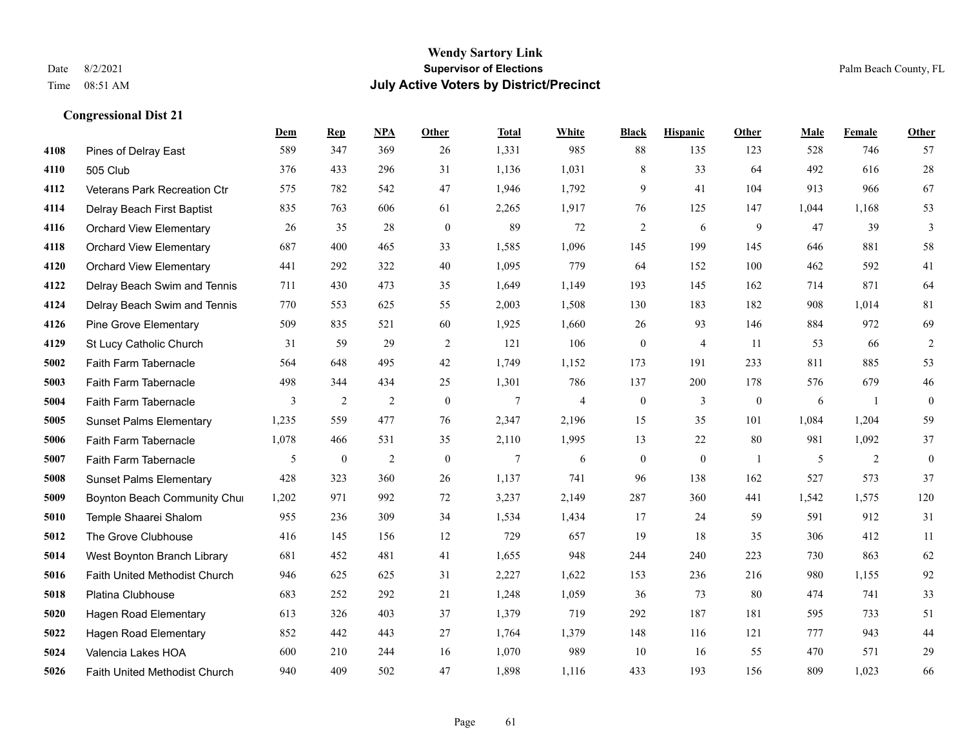|      |                                | Dem   | <b>Rep</b>       | NPA            | <b>Other</b>   | <b>Total</b>   | <b>White</b>   | <b>Black</b>     | <b>Hispanic</b> | Other        | <b>Male</b> | Female | <b>Other</b>     |
|------|--------------------------------|-------|------------------|----------------|----------------|----------------|----------------|------------------|-----------------|--------------|-------------|--------|------------------|
| 4108 | Pines of Delray East           | 589   | 347              | 369            | 26             | 1,331          | 985            | 88               | 135             | 123          | 528         | 746    | 57               |
| 4110 | 505 Club                       | 376   | 433              | 296            | 31             | 1,136          | 1,031          | $\,$ 8 $\,$      | 33              | 64           | 492         | 616    | $28\,$           |
| 4112 | Veterans Park Recreation Ctr   | 575   | 782              | 542            | 47             | 1,946          | 1,792          | 9                | 41              | 104          | 913         | 966    | 67               |
| 4114 | Delray Beach First Baptist     | 835   | 763              | 606            | 61             | 2,265          | 1,917          | 76               | 125             | 147          | 1,044       | 1,168  | 53               |
| 4116 | <b>Orchard View Elementary</b> | 26    | 35               | 28             | $\overline{0}$ | 89             | 72             | $\overline{2}$   | 6               | 9            | 47          | 39     | 3                |
| 4118 | <b>Orchard View Elementary</b> | 687   | 400              | 465            | 33             | 1,585          | 1,096          | 145              | 199             | 145          | 646         | 881    | 58               |
| 4120 | <b>Orchard View Elementary</b> | 441   | 292              | 322            | 40             | 1,095          | 779            | 64               | 152             | 100          | 462         | 592    | 41               |
| 4122 | Delray Beach Swim and Tennis   | 711   | 430              | 473            | 35             | 1,649          | 1,149          | 193              | 145             | 162          | 714         | 871    | 64               |
| 4124 | Delray Beach Swim and Tennis   | 770   | 553              | 625            | 55             | 2,003          | 1,508          | 130              | 183             | 182          | 908         | 1.014  | 81               |
| 4126 | <b>Pine Grove Elementary</b>   | 509   | 835              | 521            | 60             | 1,925          | 1,660          | 26               | 93              | 146          | 884         | 972    | 69               |
| 4129 | St Lucy Catholic Church        | 31    | 59               | 29             | 2              | 121            | 106            | $\boldsymbol{0}$ | $\overline{4}$  | -11          | 53          | 66     | $\overline{2}$   |
| 5002 | Faith Farm Tabernacle          | 564   | 648              | 495            | 42             | 1,749          | 1,152          | 173              | 191             | 233          | 811         | 885    | 53               |
| 5003 | Faith Farm Tabernacle          | 498   | 344              | 434            | 25             | 1,301          | 786            | 137              | 200             | 178          | 576         | 679    | $46\,$           |
| 5004 | Faith Farm Tabernacle          | 3     | $\overline{2}$   | $\overline{2}$ | $\mathbf{0}$   | $\overline{7}$ | $\overline{4}$ | $\boldsymbol{0}$ | 3               | $\mathbf{0}$ | 6           | -1     | $\boldsymbol{0}$ |
| 5005 | <b>Sunset Palms Elementary</b> | 1,235 | 559              | 477            | 76             | 2,347          | 2,196          | 15               | 35              | 101          | 1,084       | 1,204  | 59               |
| 5006 | Faith Farm Tabernacle          | 1,078 | 466              | 531            | 35             | 2,110          | 1,995          | 13               | 22              | 80           | 981         | 1,092  | 37               |
| 5007 | Faith Farm Tabernacle          | 5     | $\boldsymbol{0}$ | $\overline{2}$ | $\mathbf{0}$   | 7              | 6              | $\boldsymbol{0}$ | $\mathbf{0}$    | -1           | 5           | 2      | $\boldsymbol{0}$ |
| 5008 | <b>Sunset Palms Elementary</b> | 428   | 323              | 360            | 26             | 1,137          | 741            | 96               | 138             | 162          | 527         | 573    | 37               |
| 5009 | Boynton Beach Community Chur   | 1,202 | 971              | 992            | 72             | 3,237          | 2,149          | 287              | 360             | 441          | 1,542       | 1,575  | 120              |
| 5010 | Temple Shaarei Shalom          | 955   | 236              | 309            | 34             | 1,534          | 1,434          | 17               | 24              | 59           | 591         | 912    | 31               |
| 5012 | The Grove Clubhouse            | 416   | 145              | 156            | 12             | 729            | 657            | 19               | 18              | 35           | 306         | 412    | 11               |
| 5014 | West Boynton Branch Library    | 681   | 452              | 481            | 41             | 1,655          | 948            | 244              | 240             | 223          | 730         | 863    | 62               |
| 5016 | Faith United Methodist Church  | 946   | 625              | 625            | 31             | 2,227          | 1,622          | 153              | 236             | 216          | 980         | 1,155  | 92               |
| 5018 | Platina Clubhouse              | 683   | 252              | 292            | 21             | 1,248          | 1,059          | 36               | 73              | 80           | 474         | 741    | 33               |
| 5020 | <b>Hagen Road Elementary</b>   | 613   | 326              | 403            | 37             | 1,379          | 719            | 292              | 187             | 181          | 595         | 733    | 51               |
| 5022 | Hagen Road Elementary          | 852   | 442              | 443            | 27             | 1,764          | 1,379          | 148              | 116             | 121          | 777         | 943    | 44               |
| 5024 | Valencia Lakes HOA             | 600   | 210              | 244            | 16             | 1,070          | 989            | 10               | 16              | 55           | 470         | 571    | 29               |
| 5026 | Faith United Methodist Church  | 940   | 409              | 502            | 47             | 1,898          | 1,116          | 433              | 193             | 156          | 809         | 1,023  | 66               |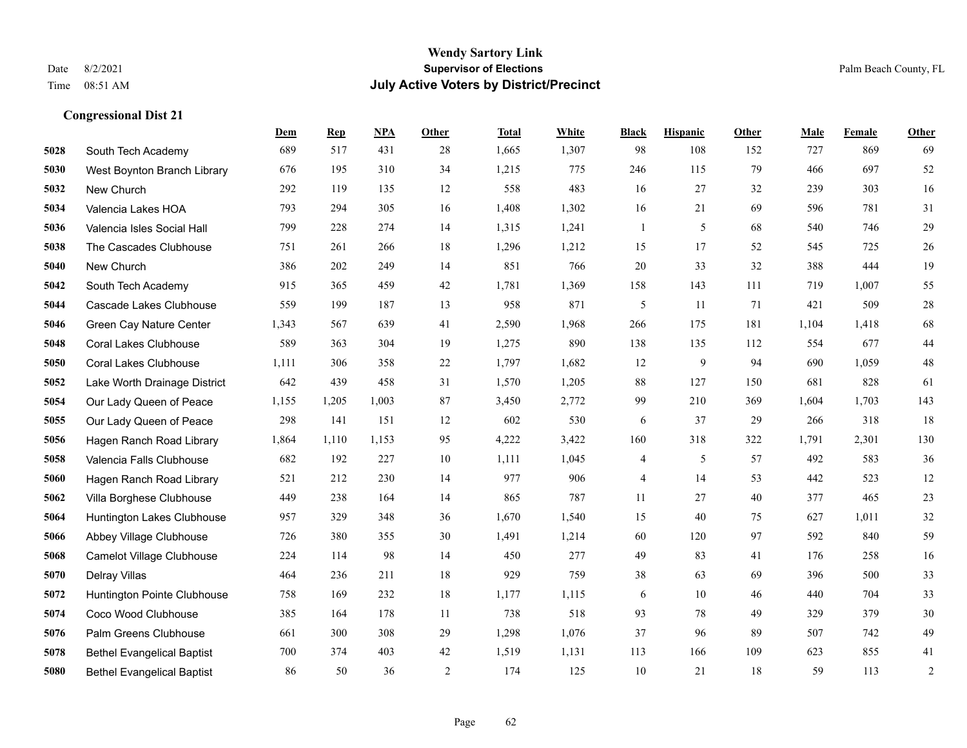#### **Wendy Sartory Link** Date 8/2/2021 **Supervisor of Elections** Palm Beach County, FL Time 08:51 AM **July Active Voters by District/Precinct**

**Dem Rep NPA Other Total White Black Hispanic Other Male Female Other**

# South Tech Academy 689 517 431 28 1,665 1,307 98 108 152 727 869 69 West Boynton Branch Library 676 195 310 34 1,215 775 246 115 79 466 697 52 New Church 292 119 135 12 558 483 16 27 32 239 303 16 Valencia Lakes HOA 793 294 305 16 1,408 1,302 16 21 69 596 781 31 Valencia Isles Social Hall 799 228 274 14 1,315 1,241 1 5 68 540 746 29 The Cascades Clubhouse 751 261 266 18 1,296 1,212 15 17 52 545 725 26 New Church 386 202 249 14 851 766 20 33 32 388 444 19 South Tech Academy 915 365 459 42 1,781 1,369 158 143 111 719 1,007 55 Cascade Lakes Clubhouse 559 199 187 13 958 871 5 11 71 421 509 28 Green Cay Nature Center 1,343 567 639 41 2,590 1,968 266 175 181 1,104 1,418 68 Coral Lakes Clubhouse 589 363 304 19 1,275 890 138 135 112 554 677 44 Coral Lakes Clubhouse 1,111 306 358 22 1,797 1,682 12 9 94 690 1,059 48 Lake Worth Drainage District 642 439 458 31 1,570 1,205 88 127 150 681 828 61 Our Lady Queen of Peace 1,155 1,205 1,003 87 3,450 2,772 99 210 369 1,604 1,703 143 Our Lady Queen of Peace 298 141 151 12 602 530 6 37 29 266 318 18 Hagen Ranch Road Library 1,864 1,110 1,153 95 4,222 3,422 160 318 322 1,791 2,301 130 Valencia Falls Clubhouse 682 192 227 10 1,111 1,045 4 5 57 492 583 36 Hagen Ranch Road Library 521 212 230 14 977 906 4 14 53 442 523 12 Villa Borghese Clubhouse 449 238 164 14 865 787 11 27 40 377 465 23 Huntington Lakes Clubhouse 957 329 348 36 1,670 1,540 15 40 75 627 1,011 32 Abbey Village Clubhouse 726 380 355 30 1,491 1,214 60 120 97 592 840 59 Camelot Village Clubhouse 224 114 98 14 450 277 49 83 41 176 258 16 Delray Villas 464 236 211 18 929 759 38 63 69 396 500 33 Huntington Pointe Clubhouse 758 169 232 18 1,177 1,115 6 10 46 440 704 33 Coco Wood Clubhouse 385 164 178 11 738 518 93 78 49 329 379 30 Palm Greens Clubhouse 661 300 308 29 1,298 1,076 37 96 89 507 742 49 Bethel Evangelical Baptist 700 374 403 42 1,519 1,131 113 166 109 623 855 41

Bethel Evangelical Baptist 86 50 36 2 174 125 10 21 18 59 113 2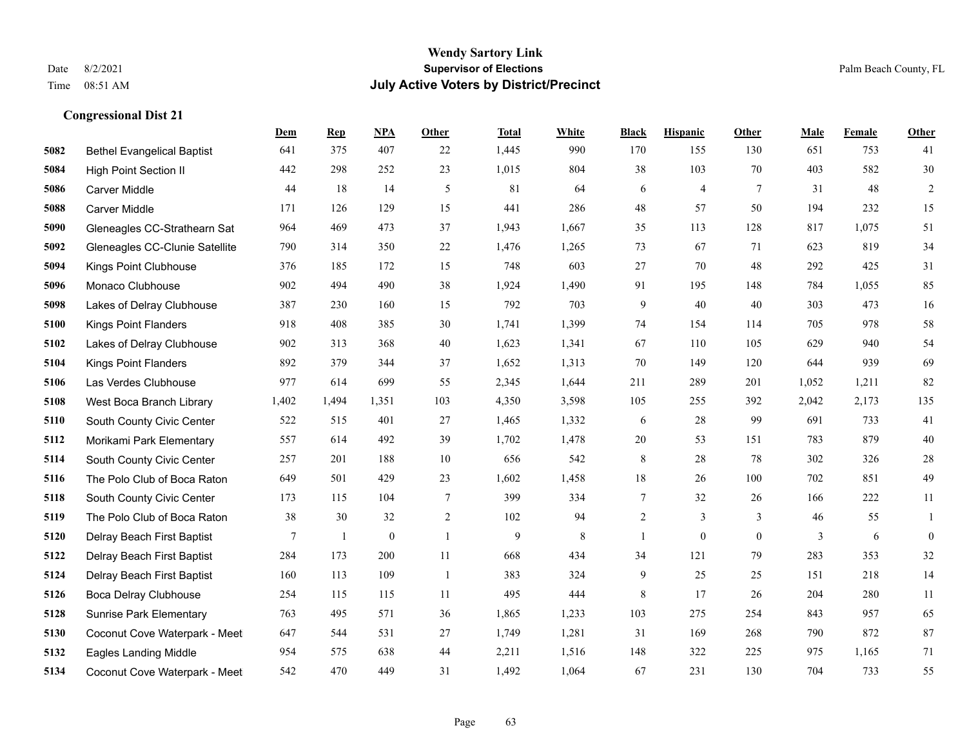|      |                                   | Dem   | <b>Rep</b> | NPA          | <b>Other</b>   | <b>Total</b> | <b>White</b> | <b>Black</b>   | <b>Hispanic</b> | <b>Other</b> | <b>Male</b> | <b>Female</b> | <b>Other</b>     |
|------|-----------------------------------|-------|------------|--------------|----------------|--------------|--------------|----------------|-----------------|--------------|-------------|---------------|------------------|
| 5082 | <b>Bethel Evangelical Baptist</b> | 641   | 375        | 407          | 22             | 1,445        | 990          | 170            | 155             | 130          | 651         | 753           | 41               |
| 5084 | <b>High Point Section II</b>      | 442   | 298        | 252          | 23             | 1,015        | 804          | 38             | 103             | 70           | 403         | 582           | 30               |
| 5086 | Carver Middle                     | 44    | 18         | 14           | 5              | 81           | 64           | 6              | $\overline{4}$  | $\tau$       | 31          | 48            | $\overline{c}$   |
| 5088 | <b>Carver Middle</b>              | 171   | 126        | 129          | 15             | 441          | 286          | 48             | 57              | 50           | 194         | 232           | 15               |
| 5090 | Gleneagles CC-Strathearn Sat      | 964   | 469        | 473          | 37             | 1,943        | 1,667        | 35             | 113             | 128          | 817         | 1.075         | 51               |
| 5092 | Gleneagles CC-Clunie Satellite    | 790   | 314        | 350          | $22\,$         | 1,476        | 1,265        | 73             | 67              | 71           | 623         | 819           | 34               |
| 5094 | Kings Point Clubhouse             | 376   | 185        | 172          | 15             | 748          | 603          | 27             | 70              | 48           | 292         | 425           | 31               |
| 5096 | Monaco Clubhouse                  | 902   | 494        | 490          | 38             | 1,924        | 1,490        | 91             | 195             | 148          | 784         | 1,055         | 85               |
| 5098 | Lakes of Delray Clubhouse         | 387   | 230        | 160          | 15             | 792          | 703          | 9              | 40              | 40           | 303         | 473           | 16               |
| 5100 | <b>Kings Point Flanders</b>       | 918   | 408        | 385          | 30             | 1,741        | 1,399        | 74             | 154             | 114          | 705         | 978           | $58\,$           |
| 5102 | Lakes of Delray Clubhouse         | 902   | 313        | 368          | 40             | 1,623        | 1,341        | 67             | 110             | 105          | 629         | 940           | 54               |
| 5104 | <b>Kings Point Flanders</b>       | 892   | 379        | 344          | 37             | 1,652        | 1,313        | 70             | 149             | 120          | 644         | 939           | 69               |
| 5106 | Las Verdes Clubhouse              | 977   | 614        | 699          | 55             | 2,345        | 1,644        | 211            | 289             | 201          | 1,052       | 1,211         | 82               |
| 5108 | West Boca Branch Library          | 1,402 | 1,494      | 1,351        | 103            | 4,350        | 3,598        | 105            | 255             | 392          | 2,042       | 2,173         | 135              |
| 5110 | South County Civic Center         | 522   | 515        | 401          | 27             | 1,465        | 1,332        | 6              | 28              | 99           | 691         | 733           | 41               |
| 5112 | Morikami Park Elementary          | 557   | 614        | 492          | 39             | 1,702        | 1,478        | $20\,$         | 53              | 151          | 783         | 879           | $40\,$           |
| 5114 | South County Civic Center         | 257   | 201        | 188          | 10             | 656          | 542          | 8              | 28              | 78           | 302         | 326           | $28\,$           |
| 5116 | The Polo Club of Boca Raton       | 649   | 501        | 429          | 23             | 1,602        | 1,458        | 18             | 26              | 100          | 702         | 851           | 49               |
| 5118 | South County Civic Center         | 173   | 115        | 104          | $\tau$         | 399          | 334          | $\overline{7}$ | 32              | 26           | 166         | 222           | $11\,$           |
| 5119 | The Polo Club of Boca Raton       | 38    | 30         | 32           | 2              | 102          | 94           | $\overline{2}$ | 3               | 3            | 46          | 55            | 1                |
| 5120 | Delray Beach First Baptist        | 7     | 1          | $\mathbf{0}$ | $\overline{1}$ | 9            | 8            | $\mathbf{1}$   | $\mathbf{0}$    | $\theta$     | 3           | 6             | $\boldsymbol{0}$ |
| 5122 | Delray Beach First Baptist        | 284   | 173        | 200          | 11             | 668          | 434          | 34             | 121             | 79           | 283         | 353           | 32               |
| 5124 | Delray Beach First Baptist        | 160   | 113        | 109          | -1             | 383          | 324          | 9              | 25              | 25           | 151         | 218           | 14               |
| 5126 | <b>Boca Delray Clubhouse</b>      | 254   | 115        | 115          | 11             | 495          | 444          | 8              | 17              | 26           | 204         | 280           | 11               |
| 5128 | <b>Sunrise Park Elementary</b>    | 763   | 495        | 571          | 36             | 1,865        | 1,233        | 103            | 275             | 254          | 843         | 957           | 65               |
| 5130 | Coconut Cove Waterpark - Meet     | 647   | 544        | 531          | 27             | 1,749        | 1,281        | 31             | 169             | 268          | 790         | 872           | 87               |
| 5132 | <b>Eagles Landing Middle</b>      | 954   | 575        | 638          | 44             | 2,211        | 1,516        | 148            | 322             | 225          | 975         | 1.165         | 71               |
| 5134 | Coconut Cove Waterpark - Meet     | 542   | 470        | 449          | 31             | 1,492        | 1,064        | 67             | 231             | 130          | 704         | 733           | 55               |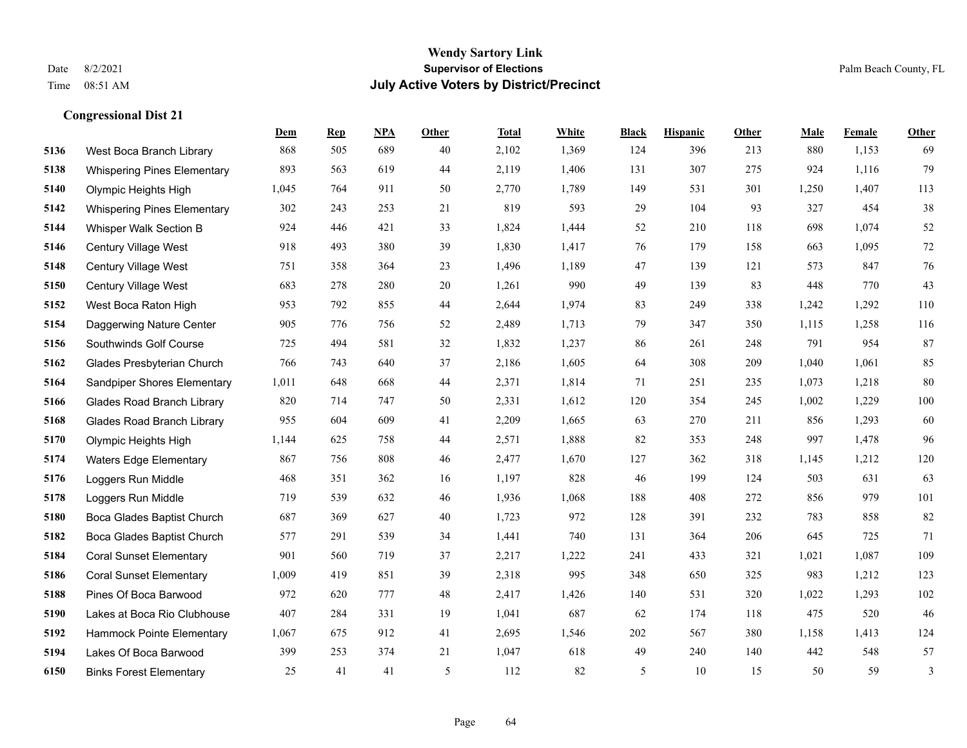|      |                                    | Dem   | <b>Rep</b> | NPA | <b>Other</b> | <b>Total</b> | <b>White</b> | <b>Black</b> | <b>Hispanic</b> | <b>Other</b> | <b>Male</b> | Female | <b>Other</b> |
|------|------------------------------------|-------|------------|-----|--------------|--------------|--------------|--------------|-----------------|--------------|-------------|--------|--------------|
| 5136 | West Boca Branch Library           | 868   | 505        | 689 | 40           | 2,102        | 1,369        | 124          | 396             | 213          | 880         | 1,153  | 69           |
| 5138 | <b>Whispering Pines Elementary</b> | 893   | 563        | 619 | 44           | 2,119        | 1,406        | 131          | 307             | 275          | 924         | 1,116  | 79           |
| 5140 | Olympic Heights High               | 1,045 | 764        | 911 | 50           | 2,770        | 1,789        | 149          | 531             | 301          | 1,250       | 1,407  | 113          |
| 5142 | <b>Whispering Pines Elementary</b> | 302   | 243        | 253 | 21           | 819          | 593          | 29           | 104             | 93           | 327         | 454    | 38           |
| 5144 | Whisper Walk Section B             | 924   | 446        | 421 | 33           | 1,824        | 1,444        | 52           | 210             | 118          | 698         | 1,074  | 52           |
| 5146 | Century Village West               | 918   | 493        | 380 | 39           | 1,830        | 1,417        | 76           | 179             | 158          | 663         | 1,095  | $72\,$       |
| 5148 | Century Village West               | 751   | 358        | 364 | 23           | 1,496        | 1,189        | $47\,$       | 139             | 121          | 573         | 847    | 76           |
| 5150 | Century Village West               | 683   | 278        | 280 | 20           | 1,261        | 990          | 49           | 139             | 83           | 448         | 770    | 43           |
| 5152 | West Boca Raton High               | 953   | 792        | 855 | 44           | 2,644        | 1,974        | 83           | 249             | 338          | 1,242       | 1,292  | 110          |
| 5154 | Daggerwing Nature Center           | 905   | 776        | 756 | 52           | 2,489        | 1,713        | 79           | 347             | 350          | 1,115       | 1,258  | 116          |
| 5156 | Southwinds Golf Course             | 725   | 494        | 581 | 32           | 1,832        | 1,237        | 86           | 261             | 248          | 791         | 954    | 87           |
| 5162 | Glades Presbyterian Church         | 766   | 743        | 640 | 37           | 2,186        | 1,605        | 64           | 308             | 209          | 1,040       | 1,061  | 85           |
| 5164 | Sandpiper Shores Elementary        | 1,011 | 648        | 668 | 44           | 2,371        | 1,814        | 71           | 251             | 235          | 1,073       | 1,218  | 80           |
| 5166 | <b>Glades Road Branch Library</b>  | 820   | 714        | 747 | 50           | 2,331        | 1,612        | 120          | 354             | 245          | 1,002       | 1,229  | 100          |
| 5168 | <b>Glades Road Branch Library</b>  | 955   | 604        | 609 | 41           | 2,209        | 1,665        | 63           | 270             | 211          | 856         | 1,293  | 60           |
| 5170 | Olympic Heights High               | 1,144 | 625        | 758 | 44           | 2,571        | 1,888        | 82           | 353             | 248          | 997         | 1,478  | 96           |
| 5174 | <b>Waters Edge Elementary</b>      | 867   | 756        | 808 | 46           | 2,477        | 1,670        | 127          | 362             | 318          | 1,145       | 1,212  | 120          |
| 5176 | Loggers Run Middle                 | 468   | 351        | 362 | 16           | 1,197        | 828          | 46           | 199             | 124          | 503         | 631    | 63           |
| 5178 | Loggers Run Middle                 | 719   | 539        | 632 | 46           | 1,936        | 1,068        | 188          | 408             | 272          | 856         | 979    | 101          |
| 5180 | Boca Glades Baptist Church         | 687   | 369        | 627 | 40           | 1,723        | 972          | 128          | 391             | 232          | 783         | 858    | 82           |
| 5182 | Boca Glades Baptist Church         | 577   | 291        | 539 | 34           | 1,441        | 740          | 131          | 364             | 206          | 645         | 725    | 71           |
| 5184 | <b>Coral Sunset Elementary</b>     | 901   | 560        | 719 | 37           | 2,217        | 1,222        | 241          | 433             | 321          | 1,021       | 1,087  | 109          |
| 5186 | <b>Coral Sunset Elementary</b>     | 1,009 | 419        | 851 | 39           | 2,318        | 995          | 348          | 650             | 325          | 983         | 1,212  | 123          |
| 5188 | Pines Of Boca Barwood              | 972   | 620        | 777 | 48           | 2,417        | 1,426        | 140          | 531             | 320          | 1,022       | 1,293  | 102          |
| 5190 | Lakes at Boca Rio Clubhouse        | 407   | 284        | 331 | 19           | 1,041        | 687          | 62           | 174             | 118          | 475         | 520    | 46           |
| 5192 | Hammock Pointe Elementary          | 1,067 | 675        | 912 | 41           | 2,695        | 1,546        | 202          | 567             | 380          | 1,158       | 1,413  | 124          |
| 5194 | Lakes Of Boca Barwood              | 399   | 253        | 374 | 21           | 1,047        | 618          | 49           | 240             | 140          | 442         | 548    | 57           |
| 6150 | <b>Binks Forest Elementary</b>     | 25    | 41         | 41  | 5            | 112          | 82           | 5            | 10              | 15           | 50          | 59     | 3            |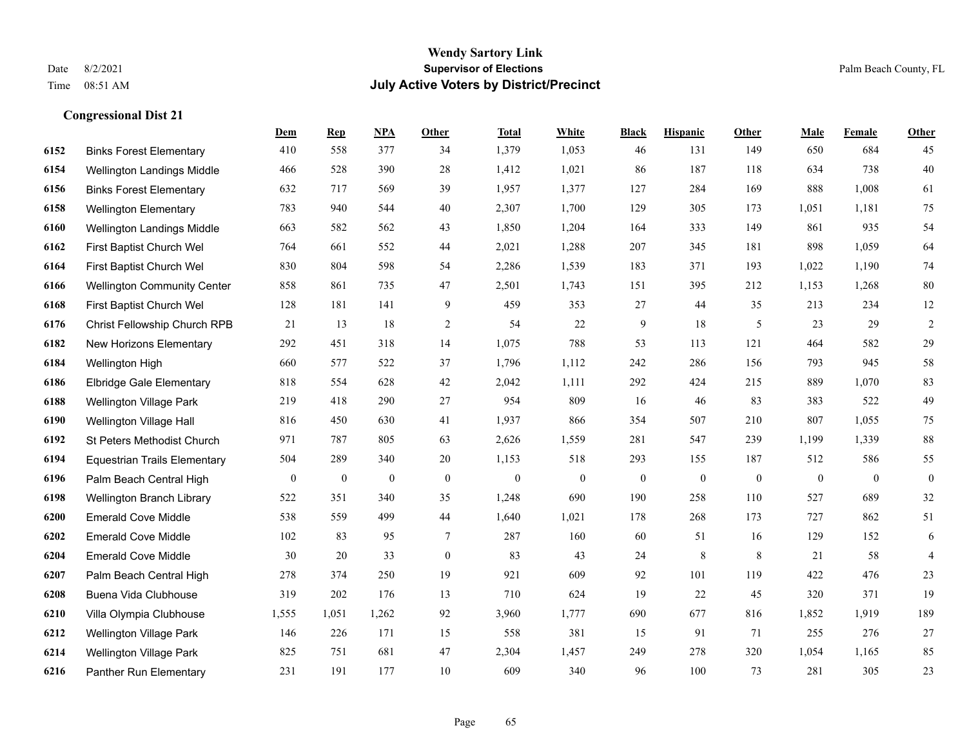#### **Wendy Sartory Link** Date 8/2/2021 **Supervisor of Elections** Palm Beach County, FL Time 08:51 AM **July Active Voters by District/Precinct**

Binks Forest Elementary 410 558 377 34 1,379 1,053 46 131 149 650 684 45

**Dem Rep NPA Other Total White Black Hispanic Other Male Female Other**

# Wellington Landings Middle 466 528 390 28 1,412 1,021 86 187 118 634 738 40 Binks Forest Elementary 632 717 569 39 1,957 1,377 127 284 169 888 1,008 61 Wellington Elementary 783 940 544 40 2,307 1,700 129 305 173 1,051 1,181 75 Wellington Landings Middle 663 582 562 43 1,850 1,204 164 333 149 861 935 54 First Baptist Church Wel 764 661 552 44 2,021 1,288 207 345 181 898 1,059 64 First Baptist Church Wel 830 804 598 54 2,286 1,539 183 371 193 1,022 1,190 74 Wellington Community Center 858 861 735 47 2,501 1,743 151 395 212 1,153 1,268 80 First Baptist Church Wel 128 181 141 9 459 353 27 44 35 213 234 12 Christ Fellowship Church RPB 21 13 18 2 54 22 9 18 5 23 29 2 New Horizons Elementary 292 451 318 14 1,075 788 53 113 121 464 582 29 Wellington High 660 577 522 37 1,796 1,112 242 286 156 793 945 58 Elbridge Gale Elementary 818 554 628 42 2,042 1,111 292 424 215 889 1,070 83 Wellington Village Park 219 418 290 27 954 809 16 46 83 383 522 49 Wellington Village Hall 816 450 630 41 1,937 866 354 507 210 807 1,055 75 St Peters Methodist Church 971 787 805 63 2,626 1,559 281 547 239 1,199 1,339 88 Equestrian Trails Elementary 504 289 340 20 1,153 518 293 155 187 512 586 55 Palm Beach Central High 0 0 0 0 0 0 0 0 0 0 0 0 Wellington Branch Library 522 351 340 35 1,248 690 190 258 110 527 689 32 Emerald Cove Middle 538 559 499 44 1,640 1,021 178 268 173 727 862 51 Emerald Cove Middle 102 83 95 7 287 160 60 51 16 129 152 6 Emerald Cove Middle 30 20 33 0 83 43 24 8 8 21 58 4 Palm Beach Central High 278 374 250 19 921 609 92 101 119 422 476 23

 Buena Vida Clubhouse 319 202 176 13 710 624 19 22 45 320 371 19 Villa Olympia Clubhouse 1,555 1,051 1,262 92 3,960 1,777 690 677 816 1,852 1,919 189 Wellington Village Park 146 226 171 15 558 381 15 91 71 255 276 27 Wellington Village Park 825 751 681 47 2,304 1,457 249 278 320 1,054 1,165 85 Panther Run Elementary 231 191 177 10 609 340 96 100 73 281 305 23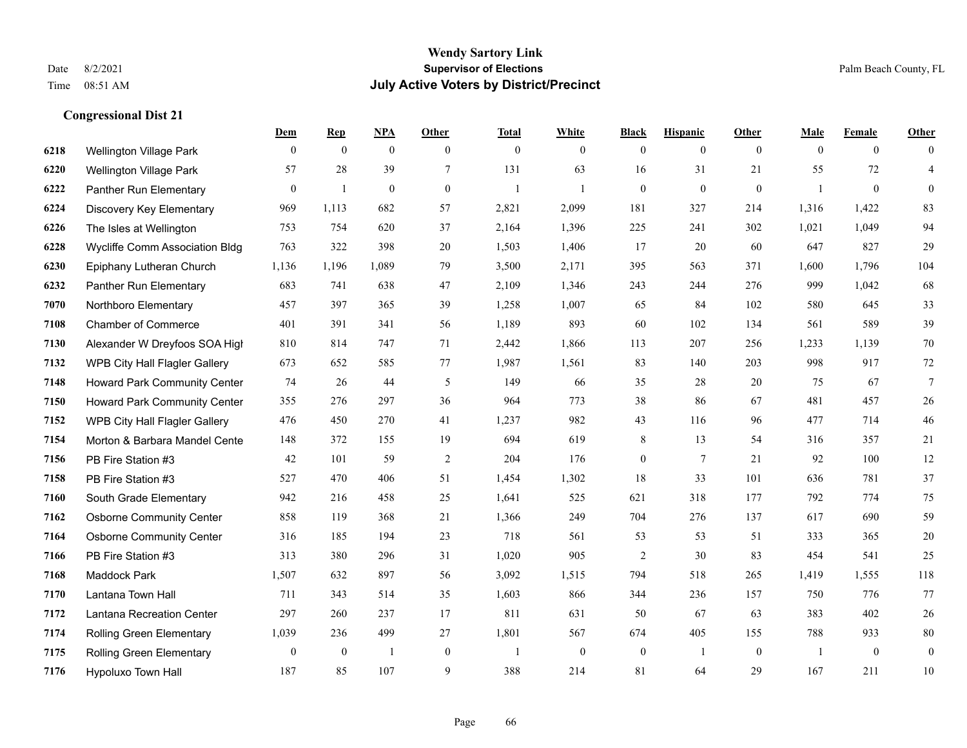|      |                                 | Dem              | <b>Rep</b>   | NPA              | <b>Other</b>   | <b>Total</b>   | <b>White</b>     | <b>Black</b>     | <b>Hispanic</b> | <b>Other</b>   | <b>Male</b>  | <b>Female</b>  | <b>Other</b>     |
|------|---------------------------------|------------------|--------------|------------------|----------------|----------------|------------------|------------------|-----------------|----------------|--------------|----------------|------------------|
| 6218 | <b>Wellington Village Park</b>  | $\mathbf{0}$     | $\mathbf{0}$ | $\boldsymbol{0}$ | $\theta$       | $\mathbf{0}$   | $\overline{0}$   | $\overline{0}$   | $\overline{0}$  | $\overline{0}$ | $\mathbf{0}$ | $\overline{0}$ | $\Omega$         |
| 6220 | Wellington Village Park         | 57               | 28           | 39               | $\tau$         | 131            | 63               | 16               | 31              | 21             | 55           | 72             | $\overline{4}$   |
| 6222 | Panther Run Elementary          | $\overline{0}$   | 1            | $\theta$         | $\mathbf{0}$   | 1              | 1                | $\overline{0}$   | $\overline{0}$  | $\mathbf{0}$   | -1           | $\overline{0}$ | $\overline{0}$   |
| 6224 | Discovery Key Elementary        | 969              | 1,113        | 682              | 57             | 2,821          | 2,099            | 181              | 327             | 214            | 1,316        | 1,422          | 83               |
| 6226 | The Isles at Wellington         | 753              | 754          | 620              | 37             | 2,164          | 1,396            | 225              | 241             | 302            | 1,021        | 1,049          | 94               |
| 6228 | Wycliffe Comm Association Bldg  | 763              | 322          | 398              | $20\,$         | 1,503          | 1,406            | 17               | 20              | 60             | 647          | 827            | 29               |
| 6230 | Epiphany Lutheran Church        | 1,136            | 1,196        | 1,089            | 79             | 3,500          | 2,171            | 395              | 563             | 371            | 1,600        | 1,796          | 104              |
| 6232 | Panther Run Elementary          | 683              | 741          | 638              | 47             | 2,109          | 1,346            | 243              | 244             | 276            | 999          | 1,042          | 68               |
| 7070 | Northboro Elementary            | 457              | 397          | 365              | 39             | 1,258          | 1,007            | 65               | 84              | 102            | 580          | 645            | 33               |
| 7108 | <b>Chamber of Commerce</b>      | 401              | 391          | 341              | 56             | 1,189          | 893              | 60               | 102             | 134            | 561          | 589            | 39               |
| 7130 | Alexander W Dreyfoos SOA High   | 810              | 814          | 747              | 71             | 2,442          | 1,866            | 113              | 207             | 256            | 1,233        | 1,139          | 70               |
| 7132 | WPB City Hall Flagler Gallery   | 673              | 652          | 585              | 77             | 1,987          | 1,561            | 83               | 140             | 203            | 998          | 917            | 72               |
| 7148 | Howard Park Community Center    | 74               | 26           | 44               | 5              | 149            | 66               | 35               | 28              | 20             | 75           | 67             | $\tau$           |
| 7150 | Howard Park Community Center    | 355              | 276          | 297              | 36             | 964            | 773              | 38               | 86              | 67             | 481          | 457            | $26\,$           |
| 7152 | WPB City Hall Flagler Gallery   | 476              | 450          | 270              | 41             | 1,237          | 982              | 43               | 116             | 96             | 477          | 714            | 46               |
| 7154 | Morton & Barbara Mandel Cente   | 148              | 372          | 155              | 19             | 694            | 619              | 8                | 13              | 54             | 316          | 357            | 21               |
| 7156 | PB Fire Station #3              | 42               | 101          | 59               | $\overline{2}$ | 204            | 176              | $\boldsymbol{0}$ | $\tau$          | 21             | 92           | 100            | 12               |
| 7158 | PB Fire Station #3              | 527              | 470          | 406              | 51             | 1,454          | 1,302            | 18               | 33              | 101            | 636          | 781            | 37               |
| 7160 | South Grade Elementary          | 942              | 216          | 458              | 25             | 1,641          | 525              | 621              | 318             | 177            | 792          | 774            | 75               |
| 7162 | <b>Osborne Community Center</b> | 858              | 119          | 368              | 21             | 1,366          | 249              | 704              | 276             | 137            | 617          | 690            | 59               |
| 7164 | <b>Osborne Community Center</b> | 316              | 185          | 194              | 23             | 718            | 561              | 53               | 53              | 51             | 333          | 365            | $20\,$           |
| 7166 | PB Fire Station #3              | 313              | 380          | 296              | 31             | 1,020          | 905              | $\overline{c}$   | 30              | 83             | 454          | 541            | 25               |
| 7168 | <b>Maddock Park</b>             | 1,507            | 632          | 897              | 56             | 3,092          | 1,515            | 794              | 518             | 265            | 1,419        | 1,555          | 118              |
| 7170 | Lantana Town Hall               | 711              | 343          | 514              | 35             | 1,603          | 866              | 344              | 236             | 157            | 750          | 776            | 77               |
| 7172 | Lantana Recreation Center       | 297              | 260          | 237              | 17             | 811            | 631              | 50               | 67              | 63             | 383          | 402            | 26               |
| 7174 | Rolling Green Elementary        | 1,039            | 236          | 499              | 27             | 1,801          | 567              | 674              | 405             | 155            | 788          | 933            | $80\,$           |
| 7175 | Rolling Green Elementary        | $\boldsymbol{0}$ | $\mathbf{0}$ |                  | $\mathbf{0}$   | $\overline{1}$ | $\boldsymbol{0}$ | $\boldsymbol{0}$ | $\overline{1}$  | $\mathbf{0}$   | -1           | $\mathbf{0}$   | $\boldsymbol{0}$ |
| 7176 | Hypoluxo Town Hall              | 187              | 85           | 107              | 9              | 388            | 214              | 81               | 64              | 29             | 167          | 211            | 10               |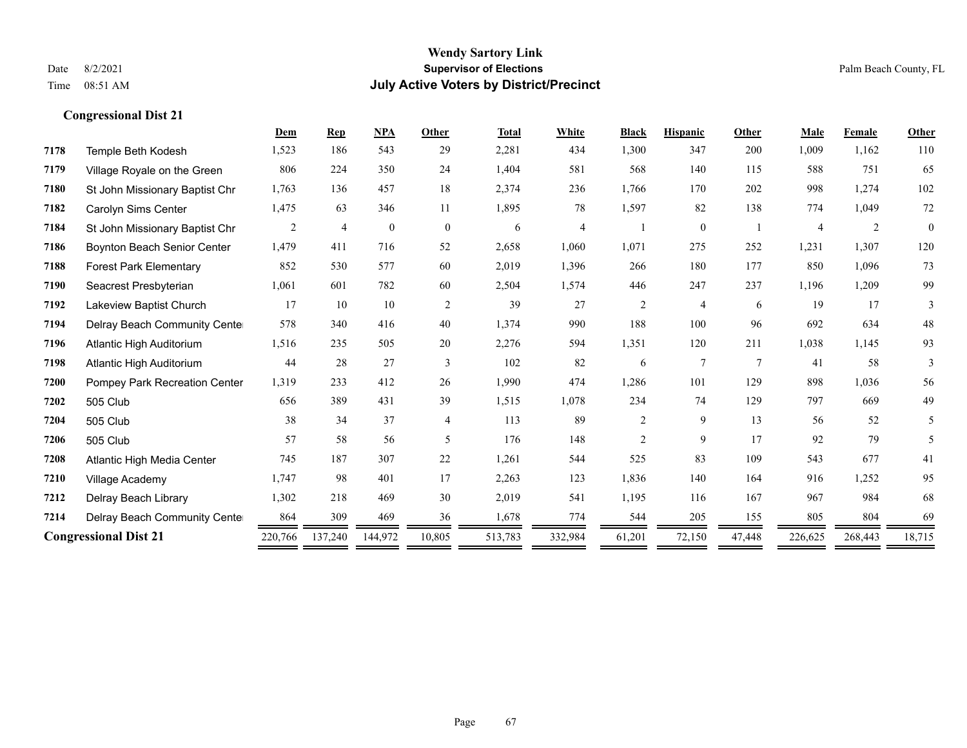|      |                                | Dem     | <b>Rep</b>     | <b>NPA</b> | Other          | <b>Total</b> | White   | <b>Black</b>   | <b>Hispanic</b> | Other           | Male           | <b>Female</b> | Other    |
|------|--------------------------------|---------|----------------|------------|----------------|--------------|---------|----------------|-----------------|-----------------|----------------|---------------|----------|
| 7178 | Temple Beth Kodesh             | 1,523   | 186            | 543        | 29             | 2,281        | 434     | 1,300          | 347             | 200             | 1,009          | 1,162         | 110      |
| 7179 | Village Royale on the Green    | 806     | 224            | 350        | 24             | 1,404        | 581     | 568            | 140             | 115             | 588            | 751           | 65       |
| 7180 | St John Missionary Baptist Chr | 1,763   | 136            | 457        | 18             | 2,374        | 236     | 1,766          | 170             | 202             | 998            | 1,274         | 102      |
| 7182 | Carolyn Sims Center            | 1,475   | 63             | 346        | 11             | 1,895        | 78      | 1,597          | 82              | 138             | 774            | 1,049         | $72\,$   |
| 7184 | St John Missionary Baptist Chr | 2       | $\overline{4}$ | $\theta$   | $\overline{0}$ | 6            | 4       |                | $\overline{0}$  |                 | $\overline{4}$ | 2             | $\theta$ |
| 7186 | Boynton Beach Senior Center    | 1,479   | 411            | 716        | 52             | 2,658        | 1,060   | 1,071          | 275             | 252             | 1,231          | 1,307         | 120      |
| 7188 | <b>Forest Park Elementary</b>  | 852     | 530            | 577        | 60             | 2,019        | 1,396   | 266            | 180             | 177             | 850            | 1,096         | 73       |
| 7190 | Seacrest Presbyterian          | 1,061   | 601            | 782        | 60             | 2,504        | 1,574   | 446            | 247             | 237             | 1,196          | 1,209         | 99       |
| 7192 | Lakeview Baptist Church        | 17      | 10             | 10         | 2              | 39           | 27      | $\overline{2}$ | 4               | 6               | 19             | 17            | 3        |
| 7194 | Delray Beach Community Cente   | 578     | 340            | 416        | 40             | 1,374        | 990     | 188            | 100             | 96              | 692            | 634           | 48       |
| 7196 | Atlantic High Auditorium       | 1,516   | 235            | 505        | 20             | 2,276        | 594     | 1,351          | 120             | 211             | 1,038          | 1,145         | 93       |
| 7198 | Atlantic High Auditorium       | 44      | 28             | 27         | 3              | 102          | 82      | 6              | 7               | $7\phantom{.0}$ | 41             | 58            | 3        |
| 7200 | Pompey Park Recreation Center  | 1,319   | 233            | 412        | 26             | 1,990        | 474     | 1,286          | 101             | 129             | 898            | 1,036         | 56       |
| 7202 | 505 Club                       | 656     | 389            | 431        | 39             | 1,515        | 1,078   | 234            | 74              | 129             | 797            | 669           | 49       |
| 7204 | 505 Club                       | 38      | 34             | 37         | 4              | 113          | 89      | $\overline{c}$ | 9               | 13              | 56             | 52            | 5        |
| 7206 | 505 Club                       | 57      | 58             | 56         | 5              | 176          | 148     | $\overline{c}$ | 9               | 17              | 92             | 79            | 5        |
| 7208 | Atlantic High Media Center     | 745     | 187            | 307        | 22             | 1,261        | 544     | 525            | 83              | 109             | 543            | 677           | 41       |
| 7210 | Village Academy                | 1,747   | 98             | 401        | 17             | 2,263        | 123     | 1,836          | 140             | 164             | 916            | 1,252         | 95       |
| 7212 | Delray Beach Library           | 1,302   | 218            | 469        | 30             | 2,019        | 541     | 1,195          | 116             | 167             | 967            | 984           | 68       |
| 7214 | Delray Beach Community Cente   | 864     | 309            | 469        | 36             | 1,678        | 774     | 544            | 205             | 155             | 805            | 804           | 69       |
|      | <b>Congressional Dist 21</b>   | 220,766 | 137,240        | 144,972    | 10,805         | 513,783      | 332,984 | 61,201         | 72,150          | 47,448          | 226,625        | 268,443       | 18,715   |
|      |                                |         |                |            |                |              |         |                |                 |                 |                |               |          |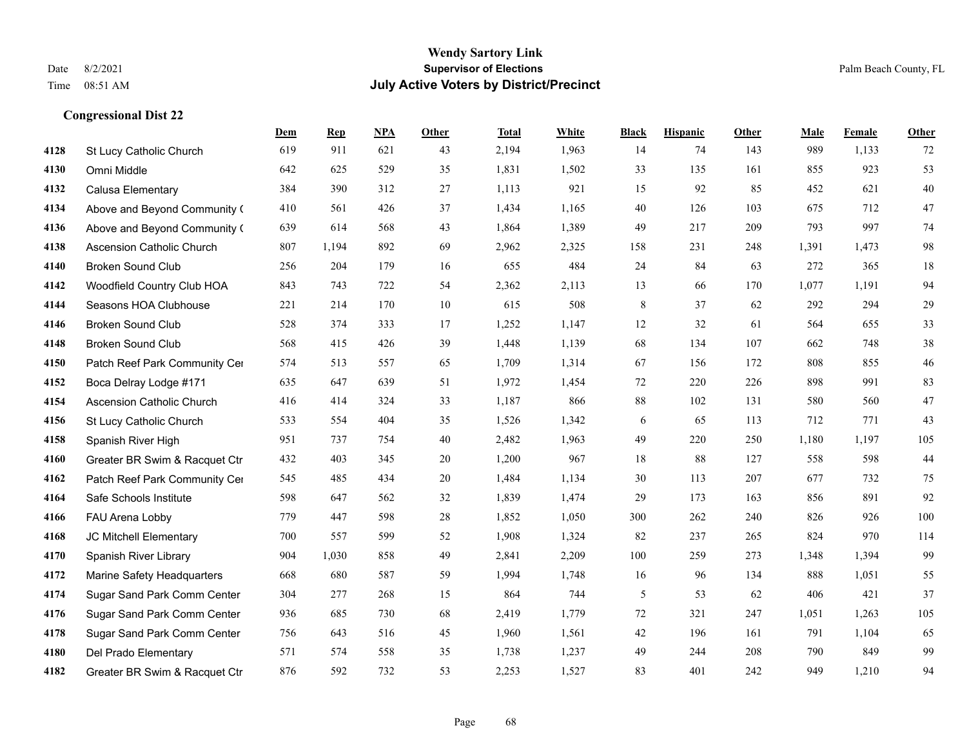|      |                                  | Dem | <b>Rep</b> | NPA | <b>Other</b> | <b>Total</b> | <b>White</b> | <b>Black</b> | <b>Hispanic</b> | <b>Other</b> | <b>Male</b> | <b>Female</b> | <b>Other</b> |
|------|----------------------------------|-----|------------|-----|--------------|--------------|--------------|--------------|-----------------|--------------|-------------|---------------|--------------|
| 4128 | St Lucy Catholic Church          | 619 | 911        | 621 | 43           | 2,194        | 1,963        | 14           | 74              | 143          | 989         | 1,133         | 72           |
| 4130 | Omni Middle                      | 642 | 625        | 529 | 35           | 1,831        | 1,502        | 33           | 135             | 161          | 855         | 923           | 53           |
| 4132 | Calusa Elementary                | 384 | 390        | 312 | 27           | 1,113        | 921          | 15           | 92              | 85           | 452         | 621           | $40\,$       |
| 4134 | Above and Beyond Community (     | 410 | 561        | 426 | 37           | 1,434        | 1,165        | 40           | 126             | 103          | 675         | 712           | 47           |
| 4136 | Above and Beyond Community (     | 639 | 614        | 568 | 43           | 1,864        | 1,389        | 49           | 217             | 209          | 793         | 997           | 74           |
| 4138 | <b>Ascension Catholic Church</b> | 807 | 1,194      | 892 | 69           | 2,962        | 2,325        | 158          | 231             | 248          | 1,391       | 1,473         | $\rm 98$     |
| 4140 | Broken Sound Club                | 256 | 204        | 179 | 16           | 655          | 484          | 24           | 84              | 63           | 272         | 365           | $18\,$       |
| 4142 | Woodfield Country Club HOA       | 843 | 743        | 722 | 54           | 2,362        | 2,113        | 13           | 66              | 170          | 1,077       | 1,191         | 94           |
| 4144 | Seasons HOA Clubhouse            | 221 | 214        | 170 | 10           | 615          | 508          | 8            | 37              | 62           | 292         | 294           | 29           |
| 4146 | <b>Broken Sound Club</b>         | 528 | 374        | 333 | 17           | 1,252        | 1,147        | 12           | 32              | 61           | 564         | 655           | 33           |
| 4148 | <b>Broken Sound Club</b>         | 568 | 415        | 426 | 39           | 1,448        | 1,139        | 68           | 134             | 107          | 662         | 748           | $38\,$       |
| 4150 | Patch Reef Park Community Cer    | 574 | 513        | 557 | 65           | 1,709        | 1,314        | 67           | 156             | 172          | 808         | 855           | 46           |
| 4152 | Boca Delray Lodge #171           | 635 | 647        | 639 | 51           | 1,972        | 1,454        | 72           | 220             | 226          | 898         | 991           | 83           |
| 4154 | <b>Ascension Catholic Church</b> | 416 | 414        | 324 | 33           | 1,187        | 866          | $88\,$       | 102             | 131          | 580         | 560           | 47           |
| 4156 | St Lucy Catholic Church          | 533 | 554        | 404 | 35           | 1,526        | 1,342        | 6            | 65              | 113          | 712         | 771           | 43           |
| 4158 | Spanish River High               | 951 | 737        | 754 | 40           | 2,482        | 1,963        | 49           | 220             | 250          | 1,180       | 1,197         | 105          |
| 4160 | Greater BR Swim & Racquet Ctr    | 432 | 403        | 345 | $20\,$       | 1,200        | 967          | 18           | 88              | 127          | 558         | 598           | 44           |
| 4162 | Patch Reef Park Community Cer    | 545 | 485        | 434 | 20           | 1,484        | 1,134        | 30           | 113             | 207          | 677         | 732           | 75           |
| 4164 | Safe Schools Institute           | 598 | 647        | 562 | 32           | 1,839        | 1,474        | 29           | 173             | 163          | 856         | 891           | 92           |
| 4166 | FAU Arena Lobby                  | 779 | 447        | 598 | 28           | 1,852        | 1,050        | 300          | 262             | 240          | 826         | 926           | 100          |
| 4168 | JC Mitchell Elementary           | 700 | 557        | 599 | 52           | 1,908        | 1,324        | 82           | 237             | 265          | 824         | 970           | 114          |
| 4170 | Spanish River Library            | 904 | 1,030      | 858 | 49           | 2,841        | 2,209        | 100          | 259             | 273          | 1,348       | 1,394         | 99           |
| 4172 | Marine Safety Headquarters       | 668 | 680        | 587 | 59           | 1,994        | 1,748        | 16           | 96              | 134          | 888         | 1,051         | 55           |
| 4174 | Sugar Sand Park Comm Center      | 304 | 277        | 268 | 15           | 864          | 744          | 5            | 53              | 62           | 406         | 421           | 37           |
| 4176 | Sugar Sand Park Comm Center      | 936 | 685        | 730 | 68           | 2,419        | 1,779        | 72           | 321             | 247          | 1,051       | 1,263         | 105          |
| 4178 | Sugar Sand Park Comm Center      | 756 | 643        | 516 | 45           | 1,960        | 1,561        | 42           | 196             | 161          | 791         | 1,104         | 65           |
| 4180 | Del Prado Elementary             | 571 | 574        | 558 | 35           | 1,738        | 1,237        | 49           | 244             | 208          | 790         | 849           | 99           |
| 4182 | Greater BR Swim & Racquet Ctr    | 876 | 592        | 732 | 53           | 2,253        | 1,527        | 83           | 401             | 242          | 949         | 1,210         | 94           |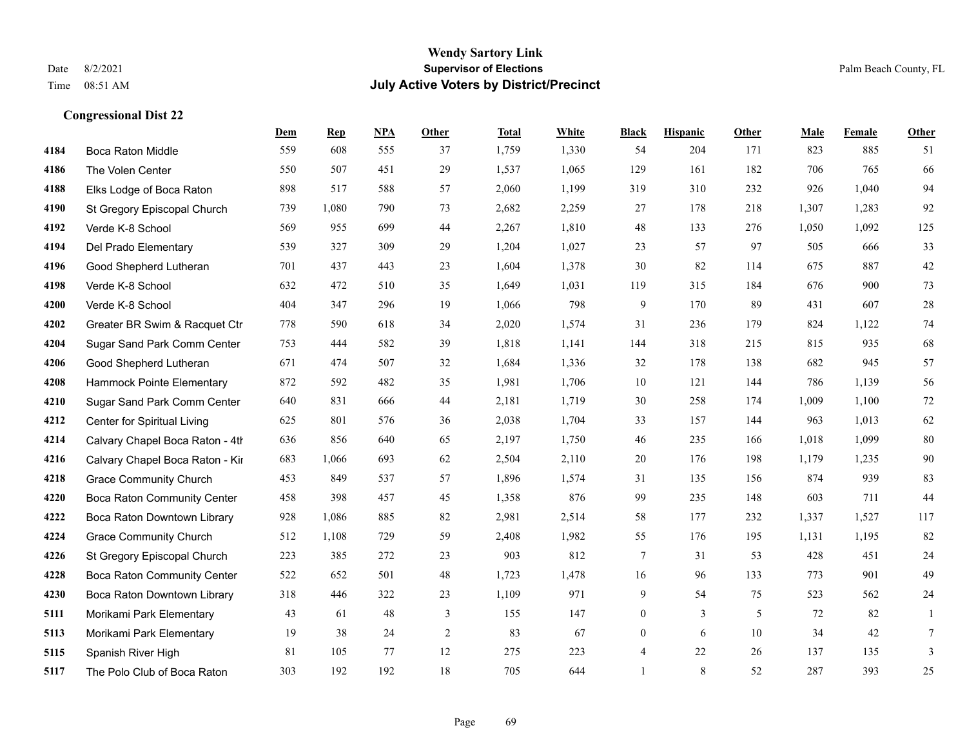|      |                                    | Dem | <b>Rep</b> | NPA | <b>Other</b>   | <b>Total</b> | <b>White</b> | <b>Black</b>   | <b>Hispanic</b> | <b>Other</b> | <b>Male</b> | <b>Female</b> | <b>Other</b> |
|------|------------------------------------|-----|------------|-----|----------------|--------------|--------------|----------------|-----------------|--------------|-------------|---------------|--------------|
| 4184 | Boca Raton Middle                  | 559 | 608        | 555 | 37             | 1,759        | 1,330        | 54             | 204             | 171          | 823         | 885           | 51           |
| 4186 | The Volen Center                   | 550 | 507        | 451 | 29             | 1,537        | 1,065        | 129            | 161             | 182          | 706         | 765           | 66           |
| 4188 | Elks Lodge of Boca Raton           | 898 | 517        | 588 | 57             | 2,060        | 1,199        | 319            | 310             | 232          | 926         | 1,040         | 94           |
| 4190 | St Gregory Episcopal Church        | 739 | 1,080      | 790 | 73             | 2,682        | 2,259        | 27             | 178             | 218          | 1,307       | 1,283         | 92           |
| 4192 | Verde K-8 School                   | 569 | 955        | 699 | 44             | 2,267        | 1,810        | 48             | 133             | 276          | 1,050       | 1,092         | 125          |
| 4194 | Del Prado Elementary               | 539 | 327        | 309 | 29             | 1,204        | 1,027        | 23             | 57              | 97           | 505         | 666           | 33           |
| 4196 | Good Shepherd Lutheran             | 701 | 437        | 443 | 23             | 1,604        | 1,378        | 30             | 82              | 114          | 675         | 887           | $42\,$       |
| 4198 | Verde K-8 School                   | 632 | 472        | 510 | 35             | 1,649        | 1,031        | 119            | 315             | 184          | 676         | 900           | 73           |
| 4200 | Verde K-8 School                   | 404 | 347        | 296 | 19             | 1,066        | 798          | 9              | 170             | 89           | 431         | 607           | 28           |
| 4202 | Greater BR Swim & Racquet Ctr      | 778 | 590        | 618 | 34             | 2,020        | 1,574        | 31             | 236             | 179          | 824         | 1,122         | 74           |
| 4204 | Sugar Sand Park Comm Center        | 753 | 444        | 582 | 39             | 1,818        | 1,141        | 144            | 318             | 215          | 815         | 935           | 68           |
| 4206 | Good Shepherd Lutheran             | 671 | 474        | 507 | 32             | 1,684        | 1,336        | 32             | 178             | 138          | 682         | 945           | 57           |
| 4208 | Hammock Pointe Elementary          | 872 | 592        | 482 | 35             | 1,981        | 1,706        | 10             | 121             | 144          | 786         | 1,139         | 56           |
| 4210 | Sugar Sand Park Comm Center        | 640 | 831        | 666 | 44             | 2,181        | 1,719        | 30             | 258             | 174          | 1,009       | 1,100         | $72\,$       |
| 4212 | Center for Spiritual Living        | 625 | 801        | 576 | 36             | 2,038        | 1,704        | 33             | 157             | 144          | 963         | 1,013         | 62           |
| 4214 | Calvary Chapel Boca Raton - 4th    | 636 | 856        | 640 | 65             | 2,197        | 1,750        | 46             | 235             | 166          | 1,018       | 1,099         | 80           |
| 4216 | Calvary Chapel Boca Raton - Kir    | 683 | 1,066      | 693 | 62             | 2,504        | 2,110        | 20             | 176             | 198          | 1,179       | 1,235         | 90           |
| 4218 | <b>Grace Community Church</b>      | 453 | 849        | 537 | 57             | 1,896        | 1,574        | 31             | 135             | 156          | 874         | 939           | 83           |
| 4220 | <b>Boca Raton Community Center</b> | 458 | 398        | 457 | 45             | 1,358        | 876          | 99             | 235             | 148          | 603         | 711           | 44           |
| 4222 | Boca Raton Downtown Library        | 928 | 1,086      | 885 | 82             | 2,981        | 2,514        | 58             | 177             | 232          | 1,337       | 1,527         | 117          |
| 4224 | <b>Grace Community Church</b>      | 512 | 1,108      | 729 | 59             | 2,408        | 1,982        | 55             | 176             | 195          | 1,131       | 1,195         | 82           |
| 4226 | St Gregory Episcopal Church        | 223 | 385        | 272 | 23             | 903          | 812          | $\tau$         | 31              | 53           | 428         | 451           | $24\,$       |
| 4228 | Boca Raton Community Center        | 522 | 652        | 501 | 48             | 1,723        | 1,478        | 16             | 96              | 133          | 773         | 901           | 49           |
| 4230 | Boca Raton Downtown Library        | 318 | 446        | 322 | 23             | 1,109        | 971          | 9              | 54              | 75           | 523         | 562           | $24\,$       |
| 5111 | Morikami Park Elementary           | 43  | 61         | 48  | 3              | 155          | 147          | $\overline{0}$ | $\overline{3}$  | 5            | 72          | 82            | 1            |
| 5113 | Morikami Park Elementary           | 19  | 38         | 24  | $\overline{c}$ | 83           | 67           | $\overline{0}$ | 6               | 10           | 34          | 42            | 7            |
| 5115 | Spanish River High                 | 81  | 105        | 77  | 12             | 275          | 223          | 4              | 22              | 26           | 137         | 135           | 3            |
| 5117 | The Polo Club of Boca Raton        | 303 | 192        | 192 | 18             | 705          | 644          | $\mathbf{1}$   | 8               | 52           | 287         | 393           | 25           |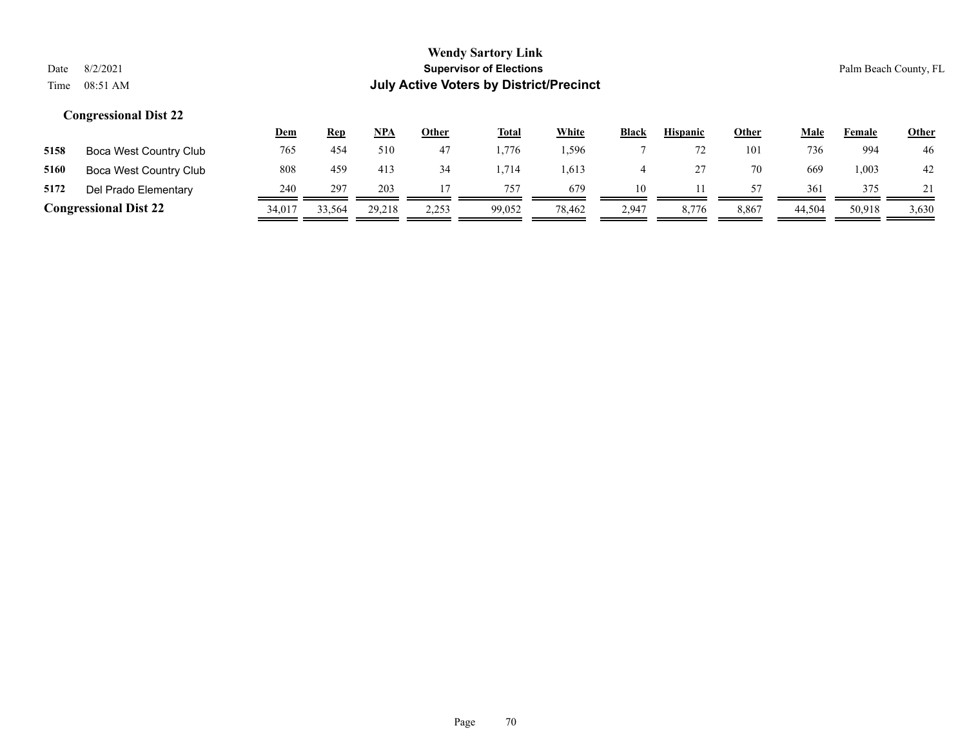|                              |                        | <u>Dem</u> | <b>Rep</b> | NPA    | Other | <b>Total</b> | White  | <b>Black</b> | <b>Hispanic</b> | Other | Male   | Female | <b>Other</b> |
|------------------------------|------------------------|------------|------------|--------|-------|--------------|--------|--------------|-----------------|-------|--------|--------|--------------|
| 5158                         | Boca West Country Club | 765        | 454        | 510    | 47    | .776         | .596   |              |                 | 101   | 736    | 994    | 46           |
| 5160                         | Boca West Country Club | 808        | 459        | 413    | 34    | .714         | .613   |              |                 | 70    | 669    | .003   | 42           |
| 5172                         | Del Prado Elementary   | 240        | 297        | 203    |       | 757          | 679    | 10           |                 | 57    | 361    | 375    |              |
| <b>Congressional Dist 22</b> |                        | 34.017     | 33,564     | 29.218 | 2,253 | 99,052       | 78.462 | 2,947        | 8,776           | 8.867 | 44,504 | 50,918 | 3,630        |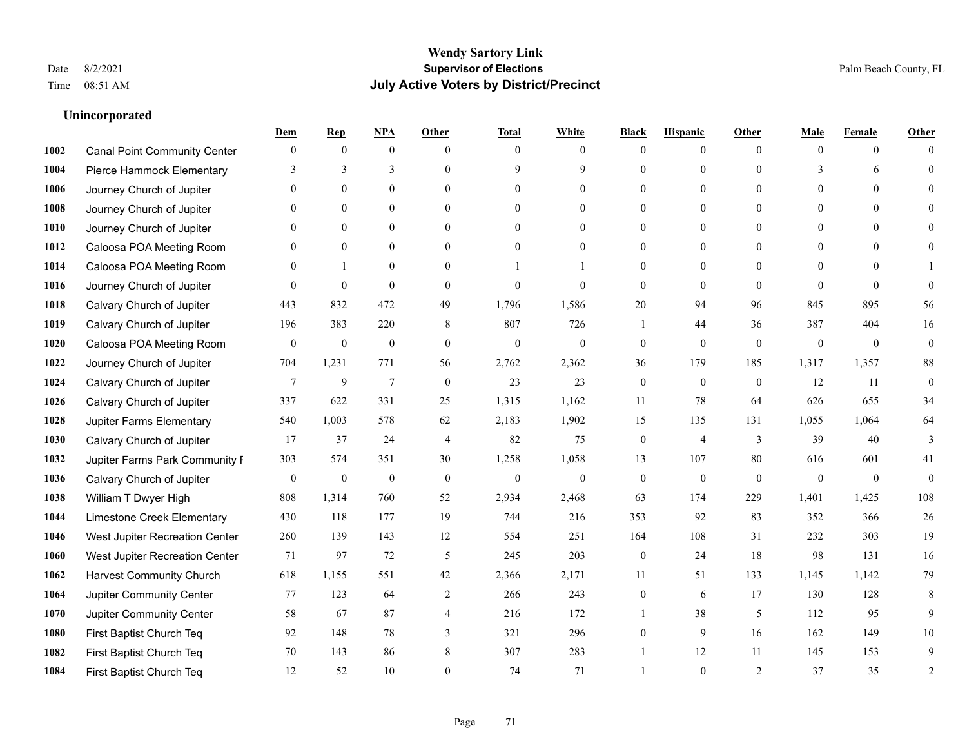### **Unincorporated**

|      |                                     | Dem          | <b>Rep</b>       | NPA              | <b>Other</b>   | <b>Total</b>     | <b>White</b>     | <b>Black</b>     | <b>Hispanic</b>  | <b>Other</b> | <b>Male</b>    | <b>Female</b>  | <b>Other</b>     |
|------|-------------------------------------|--------------|------------------|------------------|----------------|------------------|------------------|------------------|------------------|--------------|----------------|----------------|------------------|
| 1002 | <b>Canal Point Community Center</b> | $\mathbf{0}$ | $\mathbf{0}$     | $\mathbf{0}$     | $\theta$       | $\theta$         | $\overline{0}$   | $\Omega$         | $\overline{0}$   | $\theta$     | $\theta$       | $\overline{0}$ | $\Omega$         |
| 1004 | Pierce Hammock Elementary           | 3            | 3                | 3                | $\Omega$       | $\mathbf Q$      | 9                | $\theta$         | $\overline{0}$   | $\Omega$     | 3              | 6              | $\theta$         |
| 1006 | Journey Church of Jupiter           | $\Omega$     | $\theta$         | $\theta$         | $\Omega$       | $\Omega$         | $\theta$         | 0                | $\Omega$         | $\Omega$     | $\Omega$       | $\Omega$       |                  |
| 1008 | Journey Church of Jupiter           |              | $\mathbf{0}$     | $\mathbf{0}$     | $\mathbf{0}$   | $\mathbf{0}$     | $\overline{0}$   | $\theta$         | $\overline{0}$   | $\theta$     | $\overline{0}$ | $\theta$       |                  |
| 1010 | Journey Church of Jupiter           | $\Omega$     | $\theta$         | $\mathbf{0}$     | $\theta$       | $\theta$         | $\overline{0}$   | 0                | $\overline{0}$   | $\Omega$     | $\theta$       | $\theta$       | $\Omega$         |
| 1012 | Caloosa POA Meeting Room            | 0            | $\mathbf{0}$     | $\mathbf{0}$     | $\theta$       | $\theta$         | $\overline{0}$   | $\theta$         | $\overline{0}$   | $\Omega$     | $\overline{0}$ | $\Omega$       |                  |
| 1014 | Caloosa POA Meeting Room            | $\Omega$     | $\mathbf{1}$     | $\mathbf{0}$     | $\mathbf{0}$   |                  |                  | $\theta$         | $\overline{0}$   | $\theta$     | $\overline{0}$ | $\theta$       |                  |
| 1016 | Journey Church of Jupiter           | $\Omega$     | $\mathbf{0}$     | $\theta$         | $\theta$       | $\theta$         | $\theta$         | $\mathbf{0}$     | $\overline{0}$   | $\Omega$     | $\Omega$       | $\Omega$       | $\theta$         |
| 1018 | Calvary Church of Jupiter           | 443          | 832              | 472              | 49             | 1,796            | 1,586            | 20               | 94               | 96           | 845            | 895            | 56               |
| 1019 | Calvary Church of Jupiter           | 196          | 383              | 220              | 8              | 807              | 726              | 1                | 44               | 36           | 387            | 404            | 16               |
| 1020 | Caloosa POA Meeting Room            | $\mathbf{0}$ | $\boldsymbol{0}$ | $\boldsymbol{0}$ | $\mathbf{0}$   | $\mathbf{0}$     | $\overline{0}$   | $\boldsymbol{0}$ | $\overline{0}$   | $\mathbf{0}$ | $\mathbf{0}$   | $\overline{0}$ | $\boldsymbol{0}$ |
| 1022 | Journey Church of Jupiter           | 704          | 1,231            | 771              | 56             | 2,762            | 2,362            | 36               | 179              | 185          | 1,317          | 1,357          | $88\,$           |
| 1024 | Calvary Church of Jupiter           | 7            | 9                | $\tau$           | $\mathbf{0}$   | 23               | 23               | $\mathbf{0}$     | $\mathbf{0}$     | $\theta$     | 12             | 11             | $\mathbf{0}$     |
| 1026 | Calvary Church of Jupiter           | 337          | 622              | 331              | 25             | 1,315            | 1,162            | 11               | 78               | 64           | 626            | 655            | 34               |
| 1028 | Jupiter Farms Elementary            | 540          | 1,003            | 578              | 62             | 2,183            | 1,902            | 15               | 135              | 131          | 1,055          | 1,064          | 64               |
| 1030 | Calvary Church of Jupiter           | 17           | 37               | 24               | $\overline{4}$ | 82               | 75               | $\overline{0}$   | 4                | 3            | 39             | 40             | 3                |
| 1032 | Jupiter Farms Park Community I      | 303          | 574              | 351              | 30             | 1,258            | 1,058            | 13               | 107              | 80           | 616            | 601            | 41               |
| 1036 | Calvary Church of Jupiter           | $\mathbf{0}$ | $\boldsymbol{0}$ | $\boldsymbol{0}$ | $\mathbf{0}$   | $\boldsymbol{0}$ | $\boldsymbol{0}$ | $\boldsymbol{0}$ | $\boldsymbol{0}$ | $\mathbf{0}$ | $\mathbf{0}$   | $\overline{0}$ | $\mathbf{0}$     |
| 1038 | William T Dwyer High                | 808          | 1,314            | 760              | 52             | 2,934            | 2,468            | 63               | 174              | 229          | 1,401          | 1,425          | 108              |
| 1044 | Limestone Creek Elementary          | 430          | 118              | 177              | 19             | 744              | 216              | 353              | 92               | 83           | 352            | 366            | 26               |
| 1046 | West Jupiter Recreation Center      | 260          | 139              | 143              | 12             | 554              | 251              | 164              | 108              | 31           | 232            | 303            | 19               |
| 1060 | West Jupiter Recreation Center      | 71           | 97               | 72               | 5              | 245              | 203              | $\boldsymbol{0}$ | 24               | 18           | 98             | 131            | 16               |
| 1062 | <b>Harvest Community Church</b>     | 618          | 1,155            | 551              | 42             | 2,366            | 2,171            | 11               | 51               | 133          | 1,145          | 1,142          | 79               |
| 1064 | Jupiter Community Center            | 77           | 123              | 64               | 2              | 266              | 243              | $\overline{0}$   | 6                | 17           | 130            | 128            | 8                |
| 1070 | Jupiter Community Center            | 58           | 67               | 87               | $\overline{4}$ | 216              | 172              |                  | 38               | 5            | 112            | 95             | 9                |
| 1080 | First Baptist Church Teq            | 92           | 148              | 78               | 3              | 321              | 296              | $\theta$         | 9                | 16           | 162            | 149            | 10               |
| 1082 | First Baptist Church Teq            | 70           | 143              | 86               | 8              | 307              | 283              |                  | 12               | 11           | 145            | 153            | 9                |
| 1084 | First Baptist Church Teq            | 12           | 52               | 10               | $\Omega$       | 74               | 71               |                  | $\theta$         | 2            | 37             | 35             | $\overline{2}$   |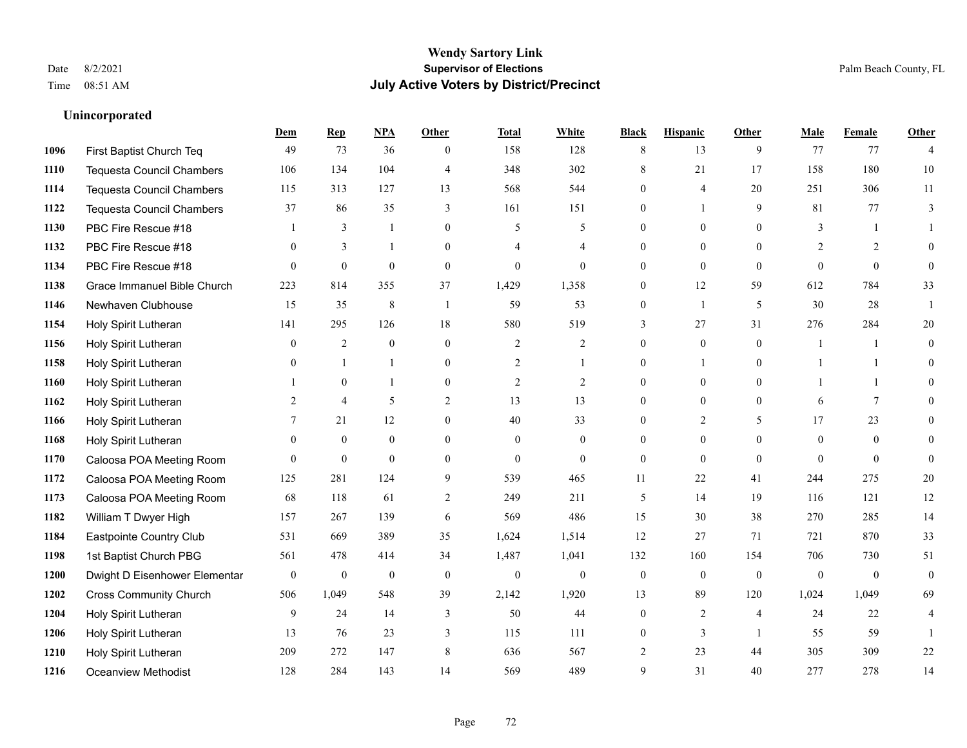**Unincorporated**

#### **Wendy Sartory Link** Date 8/2/2021 **Supervisor of Elections** Palm Beach County, FL Time 08:51 AM **July Active Voters by District/Precinct**

# **Dem Rep NPA Other Total White Black Hispanic Other Male Female Other** First Baptist Church Teq **49** 73 36 0 158 128 8 13 9 77 77 4 Tequesta Council Chambers 106 134 104 4 348 302 8 21 17 158 180 10 Tequesta Council Chambers 115 313 127 13 568 544 0 4 20 251 306 11 Tequesta Council Chambers 37 86 35 3 161 151 0 1 9 81 77 3 PBC Fire Rescue #18 **1** 3 1 0 5 5 0 0 0 3 1 1 **1132 PBC Fire Rescue #18** 0 3 1 0 4 4 0 0 0 2 2 0 PBC Fire Rescue #18 0 0 0 0 0 0 0 0 0 0 0 0 Grace Immanuel Bible Church 223 814 355 37 1,429 1,358 0 12 59 612 784 33 Newhaven Clubhouse 15 35 8 1 59 53 0 1 5 30 28 1 Holy Spirit Lutheran 141 295 126 18 580 519 3 27 31 276 284 20 Holy Spirit Lutheran **0** 2 0 0 2 2 2 0 0 0 1 1 0 Holy Spirit Lutheran **0** 1 1 0 2 1 0 1 0 1 1 0 Holy Spirit Lutheran **1** 0 1 0 2 2 0 0 0 1 1 0 Holy Spirit Lutheran 2 4 5 2 13 13 0 0 0 6 7 0 1166 Holy Spirit Lutheran **7** 21 12 0 40 33 0 2 5 17 23 0 Holy Spirit Lutheran 0 0 0 0 0 0 0 0 0 0 0 0 Caloosa POA Meeting Room 0 0 0 0 0 0 0 0 0 0 0 0 Caloosa POA Meeting Room 125 281 124 9 539 465 11 22 41 244 275 20 Caloosa POA Meeting Room 68 118 61 2 249 211 5 14 19 116 121 12 William T Dwyer High 157 267 139 6 569 486 15 30 38 270 285 14 Eastpointe Country Club 531 669 389 35 1,624 1,514 12 27 71 721 870 33 1st Baptist Church PBG 561 478 414 34 1,487 1,041 132 160 154 706 730 51 Dwight D Eisenhower Elementary 0 0 0 0 0 0 0 0 0 0 0 0 Cross Community Church 506 1,049 548 39 2,142 1,920 13 89 120 1,024 1,049 69 Holy Spirit Lutheran **9** 24 14 3 50 44 0 2 4 24 22 4 Holy Spirit Lutheran **13** 76 23 3 115 111 0 3 1 55 59 1 Holy Spirit Lutheran 209 272 147 8 636 567 2 23 44 305 309 22 Oceanview Methodist 128 284 143 14 569 489 9 31 40 277 278 14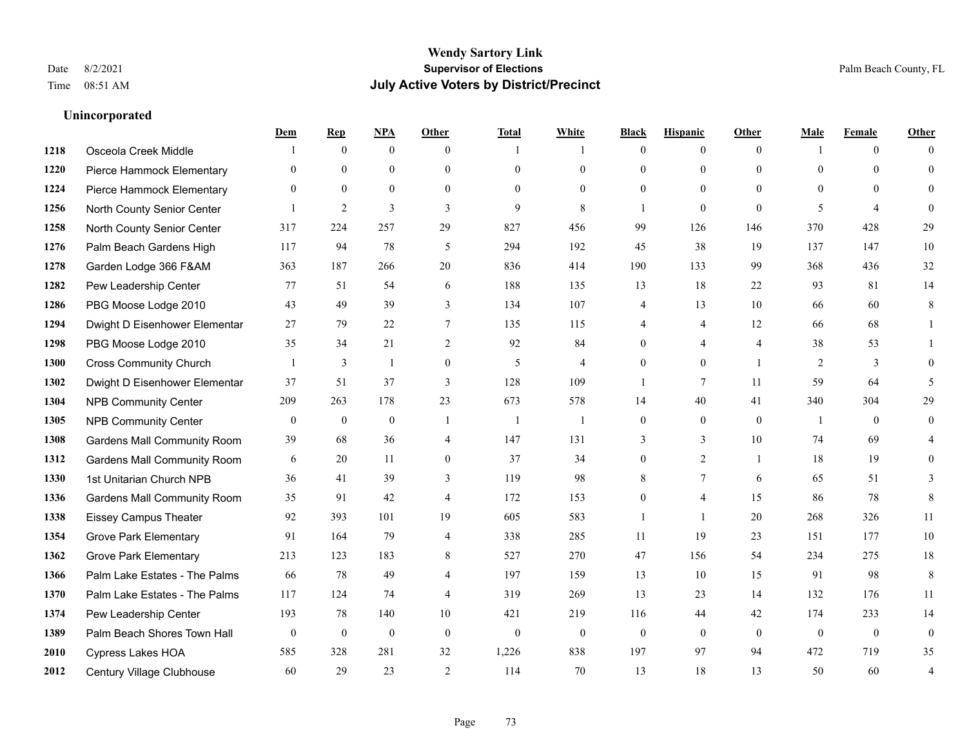# **Wendy Sartory Link** Date 8/2/2021 **Supervisor of Elections** Palm Beach County, FL Time 08:51 AM **July Active Voters by District/Precinct**

**Dem Rep NPA Other Total White Black Hispanic Other Male Female Other**

# 1218 Osceola Creek Middle 1 0 0 1 1 0 0 0 1 0 0 Pierce Hammock Elementary 0 0 0 0 0 0 0 0 0 0 0 0 Pierce Hammock Elementary 0 0 0 0 0 0 0 0 0 0 0 0 North County Senior Center 1 2 3 3 3 9 8 1 0 0 5 4 0 North County Senior Center 317 224 257 29 827 456 99 126 146 370 428 29 Palm Beach Gardens High 117 94 78 5 294 192 45 38 19 137 147 10 Garden Lodge 366 F&AM 363 187 266 20 836 414 190 133 99 368 436 32 Pew Leadership Center 77 51 54 6 188 135 13 18 22 93 81 14 PBG Moose Lodge 2010 43 49 39 3 134 107 4 13 10 66 60 8 Dwight D Eisenhower Elementar 27 79 22 7 135 115 4 4 12 66 68 1 PBG Moose Lodge 2010 35 34 21 2 92 84 0 4 4 38 53 1 Cross Community Church 1 3 1 0 5 4 0 0 1 2 3 0 Dwight D Eisenhower Elementar 37 51 37 3 128 109 1 7 11 59 64 5 NPB Community Center 209 263 178 23 673 578 14 40 41 340 304 29 NPB Community Center 0 0 0 1 1 1 0 0 0 1 0 0 Gardens Mall Community Room 39 68 36 4 147 131 3 3 10 74 69 4 **1312 Gardens Mall Community Room** 6 20 11 0 37 34 0 2 1 18 19 0 1st Unitarian Church NPB 36 41 39 3 119 98 8 7 6 65 51 3 **1336** Gardens Mall Community Room  $\begin{array}{cccc} 35 & 91 & 42 & 4 & 172 & 153 & 0 & 4 & 15 & 86 & 78 & 8 \end{array}$  Eissey Campus Theater 92 393 101 19 605 583 1 1 20 268 326 11 **1354 Grove Park Elementary 01 164 79 4 338 285 11 19 23 151 177 10**  Grove Park Elementary 213 123 183 8 527 270 47 156 54 234 275 18 Palm Lake Estates - The Palms 66 78 49 4 197 159 13 10 15 91 98 8 Palm Lake Estates - The Palms 117 124 74 4 319 269 13 23 14 132 176 11 Pew Leadership Center 193 78 140 10 421 219 116 44 42 174 233 14 Palm Beach Shores Town Hall 0 0 0 0 0 0 0 0 0 0 0 0 Cypress Lakes HOA 585 328 281 32 1,226 838 197 97 94 472 719 35

Century Village Clubhouse 60 29 23 2 114 70 13 18 13 50 60 4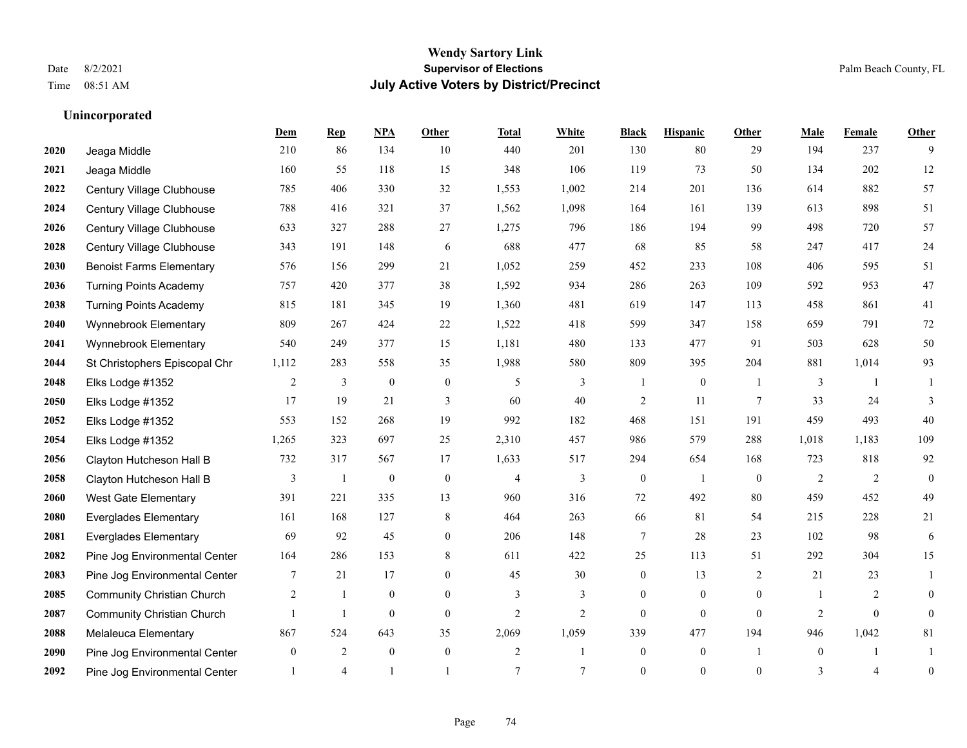|      |                                   | Dem              | <b>Rep</b>     | NPA              | <b>Other</b>   | <b>Total</b>   | <b>White</b>   | <b>Black</b>     | <b>Hispanic</b>  | <b>Other</b>   | <b>Male</b>  | <b>Female</b>  | <b>Other</b>     |
|------|-----------------------------------|------------------|----------------|------------------|----------------|----------------|----------------|------------------|------------------|----------------|--------------|----------------|------------------|
| 2020 | Jeaga Middle                      | 210              | 86             | 134              | 10             | 440            | 201            | 130              | 80               | 29             | 194          | 237            | 9                |
| 2021 | Jeaga Middle                      | 160              | 55             | 118              | 15             | 348            | 106            | 119              | 73               | 50             | 134          | 202            | $12\,$           |
| 2022 | Century Village Clubhouse         | 785              | 406            | 330              | 32             | 1,553          | 1,002          | 214              | 201              | 136            | 614          | 882            | 57               |
| 2024 | Century Village Clubhouse         | 788              | 416            | 321              | 37             | 1,562          | 1,098          | 164              | 161              | 139            | 613          | 898            | 51               |
| 2026 | Century Village Clubhouse         | 633              | 327            | 288              | 27             | 1,275          | 796            | 186              | 194              | 99             | 498          | 720            | 57               |
| 2028 | Century Village Clubhouse         | 343              | 191            | 148              | 6              | 688            | 477            | 68               | 85               | 58             | 247          | 417            | 24               |
| 2030 | <b>Benoist Farms Elementary</b>   | 576              | 156            | 299              | 21             | 1,052          | 259            | 452              | 233              | 108            | 406          | 595            | 51               |
| 2036 | <b>Turning Points Academy</b>     | 757              | 420            | 377              | 38             | 1,592          | 934            | 286              | 263              | 109            | 592          | 953            | 47               |
| 2038 | <b>Turning Points Academy</b>     | 815              | 181            | 345              | 19             | 1,360          | 481            | 619              | 147              | 113            | 458          | 861            | 41               |
| 2040 | Wynnebrook Elementary             | 809              | 267            | 424              | 22             | 1,522          | 418            | 599              | 347              | 158            | 659          | 791            | 72               |
| 2041 | Wynnebrook Elementary             | 540              | 249            | 377              | 15             | 1,181          | 480            | 133              | 477              | 91             | 503          | 628            | 50               |
| 2044 | St Christophers Episcopal Chr     | 1,112            | 283            | 558              | 35             | 1,988          | 580            | 809              | 395              | 204            | 881          | 1,014          | 93               |
| 2048 | Elks Lodge #1352                  | 2                | 3              | $\boldsymbol{0}$ | $\mathbf{0}$   | 5              | 3              | -1               | $\boldsymbol{0}$ | $\overline{1}$ | 3            | -1             |                  |
| 2050 | Elks Lodge #1352                  | 17               | 19             | 21               | 3              | 60             | 40             | $\overline{c}$   | 11               | $\overline{7}$ | 33           | 24             | 3                |
| 2052 | Elks Lodge #1352                  | 553              | 152            | 268              | 19             | 992            | 182            | 468              | 151              | 191            | 459          | 493            | 40               |
| 2054 | Elks Lodge #1352                  | 1,265            | 323            | 697              | 25             | 2,310          | 457            | 986              | 579              | 288            | 1,018        | 1,183          | 109              |
| 2056 | Clayton Hutcheson Hall B          | 732              | 317            | 567              | 17             | 1,633          | 517            | 294              | 654              | 168            | 723          | 818            | 92               |
| 2058 | Clayton Hutcheson Hall B          | 3                | 1              | $\boldsymbol{0}$ | $\mathbf{0}$   | 4              | 3              | $\overline{0}$   | $\overline{1}$   | $\theta$       | 2            | 2              | $\overline{0}$   |
| 2060 | <b>West Gate Elementary</b>       | 391              | 221            | 335              | 13             | 960            | 316            | $72\,$           | 492              | 80             | 459          | 452            | 49               |
| 2080 | <b>Everglades Elementary</b>      | 161              | 168            | 127              | 8              | 464            | 263            | 66               | 81               | 54             | 215          | 228            | 21               |
| 2081 | <b>Everglades Elementary</b>      | 69               | 92             | 45               | $\theta$       | 206            | 148            | 7                | 28               | 23             | 102          | 98             | 6                |
| 2082 | Pine Jog Environmental Center     | 164              | 286            | 153              | 8              | 611            | 422            | 25               | 113              | 51             | 292          | 304            | 15               |
| 2083 | Pine Jog Environmental Center     | 7                | 21             | 17               | $\overline{0}$ | 45             | 30             | $\boldsymbol{0}$ | 13               | 2              | 21           | 23             | 1                |
| 2085 | <b>Community Christian Church</b> | 2                | 1              | $\mathbf{0}$     | $\overline{0}$ | 3              | 3              | $\overline{0}$   | $\overline{0}$   | $\mathbf{0}$   | -1           | 2              | $\overline{0}$   |
| 2087 | <b>Community Christian Church</b> |                  | $\mathbf{1}$   | $\theta$         | $\theta$       | $\overline{c}$ | $\overline{2}$ | $\Omega$         | $\theta$         | $\theta$       | 2            | $\theta$       | $\Omega$         |
| 2088 | Melaleuca Elementary              | 867              | 524            | 643              | 35             | 2,069          | 1,059          | 339              | 477              | 194            | 946          | 1,042          | 81               |
| 2090 | Pine Jog Environmental Center     | $\boldsymbol{0}$ | $\overline{2}$ | $\mathbf{0}$     | $\mathbf{0}$   | $\overline{c}$ | 1              | $\overline{0}$   | $\overline{0}$   | $\overline{1}$ | $\mathbf{0}$ | 1              | 1                |
| 2092 | Pine Jog Environmental Center     |                  | $\overline{4}$ |                  |                | $\overline{7}$ | 7              | $\overline{0}$   | $\Omega$         | $\theta$       | 3            | $\overline{4}$ | $\boldsymbol{0}$ |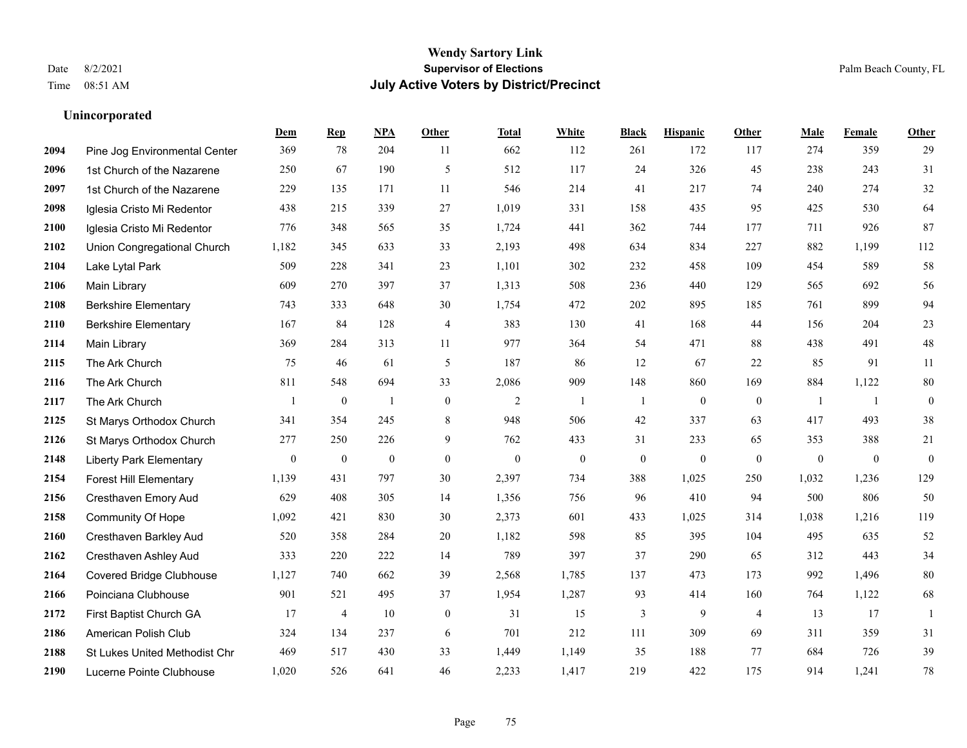|      |                                 | Dem              | <b>Rep</b>       | NPA              | <b>Other</b>     | <b>Total</b>     | <b>White</b>     | <b>Black</b>     | <b>Hispanic</b>  | <b>Other</b>     | <b>Male</b>  | <b>Female</b>    | Other            |
|------|---------------------------------|------------------|------------------|------------------|------------------|------------------|------------------|------------------|------------------|------------------|--------------|------------------|------------------|
| 2094 | Pine Jog Environmental Center   | 369              | 78               | 204              | 11               | 662              | 112              | 261              | 172              | 117              | 274          | 359              | 29               |
| 2096 | 1st Church of the Nazarene      | 250              | 67               | 190              | 5                | 512              | 117              | 24               | 326              | 45               | 238          | 243              | 31               |
| 2097 | 1st Church of the Nazarene      | 229              | 135              | 171              | 11               | 546              | 214              | 41               | 217              | 74               | 240          | 274              | $32\,$           |
| 2098 | Iglesia Cristo Mi Redentor      | 438              | 215              | 339              | 27               | 1,019            | 331              | 158              | 435              | 95               | 425          | 530              | 64               |
| 2100 | Iglesia Cristo Mi Redentor      | 776              | 348              | 565              | 35               | 1.724            | 441              | 362              | 744              | 177              | 711          | 926              | 87               |
| 2102 | Union Congregational Church     | 1,182            | 345              | 633              | 33               | 2,193            | 498              | 634              | 834              | 227              | 882          | 1,199            | 112              |
| 2104 | Lake Lytal Park                 | 509              | 228              | 341              | 23               | 1,101            | 302              | 232              | 458              | 109              | 454          | 589              | 58               |
| 2106 | Main Library                    | 609              | 270              | 397              | 37               | 1,313            | 508              | 236              | 440              | 129              | 565          | 692              | 56               |
| 2108 | <b>Berkshire Elementary</b>     | 743              | 333              | 648              | 30               | 1,754            | 472              | 202              | 895              | 185              | 761          | 899              | 94               |
| 2110 | <b>Berkshire Elementary</b>     | 167              | 84               | 128              | $\overline{4}$   | 383              | 130              | 41               | 168              | 44               | 156          | 204              | 23               |
| 2114 | Main Library                    | 369              | 284              | 313              | 11               | 977              | 364              | 54               | 471              | 88               | 438          | 491              | $48\,$           |
| 2115 | The Ark Church                  | 75               | 46               | 61               | 5                | 187              | 86               | 12               | 67               | 22               | 85           | 91               | 11               |
| 2116 | The Ark Church                  | 811              | 548              | 694              | 33               | 2,086            | 909              | 148              | 860              | 169              | 884          | 1,122            | $80\,$           |
| 2117 | The Ark Church                  |                  | $\boldsymbol{0}$ | $\overline{1}$   | $\boldsymbol{0}$ | $\sqrt{2}$       | -1               | $\mathbf{1}$     | $\boldsymbol{0}$ | $\boldsymbol{0}$ | -1           | -1               | $\boldsymbol{0}$ |
| 2125 | St Marys Orthodox Church        | 341              | 354              | 245              | 8                | 948              | 506              | 42               | 337              | 63               | 417          | 493              | 38               |
| 2126 | St Marys Orthodox Church        | 277              | 250              | 226              | 9                | 762              | 433              | 31               | 233              | 65               | 353          | 388              | 21               |
| 2148 | <b>Liberty Park Elementary</b>  | $\boldsymbol{0}$ | $\boldsymbol{0}$ | $\boldsymbol{0}$ | $\boldsymbol{0}$ | $\boldsymbol{0}$ | $\boldsymbol{0}$ | $\boldsymbol{0}$ | $\boldsymbol{0}$ | $\boldsymbol{0}$ | $\mathbf{0}$ | $\boldsymbol{0}$ | $\boldsymbol{0}$ |
| 2154 | <b>Forest Hill Elementary</b>   | 1,139            | 431              | 797              | 30               | 2,397            | 734              | 388              | 1,025            | 250              | 1,032        | 1,236            | 129              |
| 2156 | Cresthaven Emory Aud            | 629              | 408              | 305              | 14               | 1,356            | 756              | 96               | 410              | 94               | 500          | 806              | 50               |
| 2158 | <b>Community Of Hope</b>        | 1,092            | 421              | 830              | 30               | 2,373            | 601              | 433              | 1,025            | 314              | 1,038        | 1,216            | 119              |
| 2160 | Cresthaven Barkley Aud          | 520              | 358              | 284              | 20               | 1,182            | 598              | 85               | 395              | 104              | 495          | 635              | 52               |
| 2162 | Cresthaven Ashley Aud           | 333              | 220              | 222              | 14               | 789              | 397              | 37               | 290              | 65               | 312          | 443              | 34               |
| 2164 | <b>Covered Bridge Clubhouse</b> | 1,127            | 740              | 662              | 39               | 2,568            | 1,785            | 137              | 473              | 173              | 992          | 1,496            | 80               |
| 2166 | Poinciana Clubhouse             | 901              | 521              | 495              | 37               | 1,954            | 1,287            | 93               | 414              | 160              | 764          | 1,122            | 68               |
| 2172 | First Baptist Church GA         | 17               | $\overline{4}$   | 10               | $\mathbf{0}$     | 31               | 15               | 3                | 9                | $\overline{4}$   | 13           | 17               | $\overline{1}$   |
| 2186 | American Polish Club            | 324              | 134              | 237              | 6                | 701              | 212              | 111              | 309              | 69               | 311          | 359              | 31               |
| 2188 | St Lukes United Methodist Chr   | 469              | 517              | 430              | 33               | 1,449            | 1,149            | 35               | 188              | 77               | 684          | 726              | 39               |
| 2190 | Lucerne Pointe Clubhouse        | 1,020            | 526              | 641              | 46               | 2,233            | 1,417            | 219              | 422              | 175              | 914          | 1,241            | $78\,$           |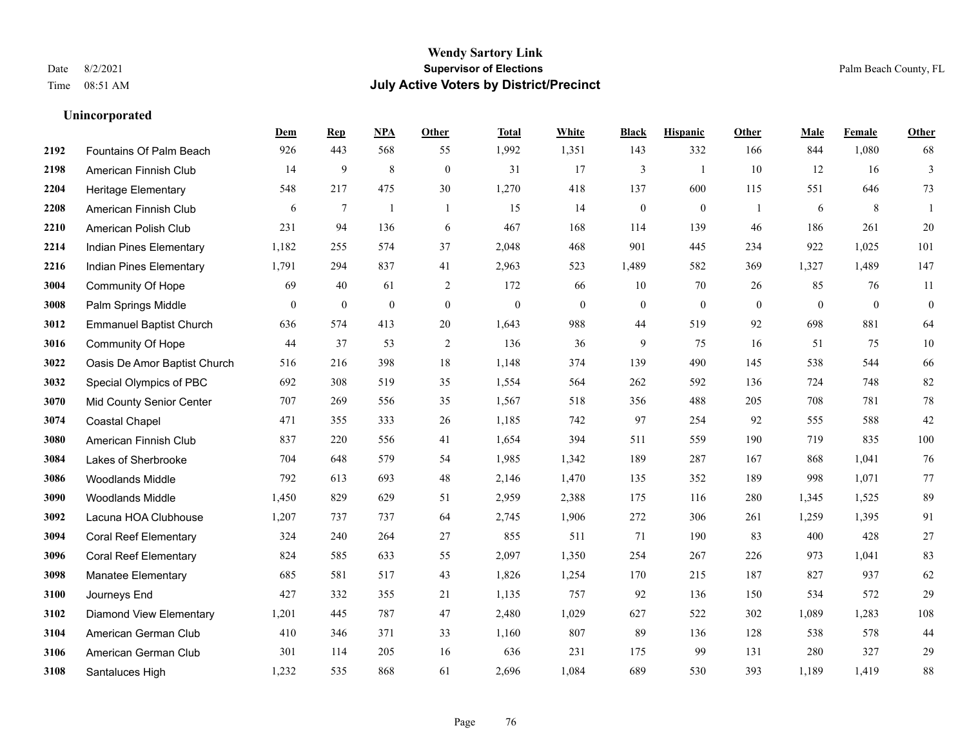|      |                                | Dem              | <b>Rep</b>       | NPA              | <b>Other</b>   | <b>Total</b>     | <b>White</b> | <b>Black</b>     | <b>Hispanic</b>  | Other        | <b>Male</b>      | Female           | Other            |
|------|--------------------------------|------------------|------------------|------------------|----------------|------------------|--------------|------------------|------------------|--------------|------------------|------------------|------------------|
| 2192 | Fountains Of Palm Beach        | 926              | 443              | 568              | 55             | 1,992            | 1,351        | 143              | 332              | 166          | 844              | 1,080            | 68               |
| 2198 | American Finnish Club          | 14               | 9                | 8                | $\mathbf{0}$   | 31               | 17           | 3                | $\overline{1}$   | 10           | 12               | 16               | $\mathfrak{Z}$   |
| 2204 | <b>Heritage Elementary</b>     | 548              | 217              | 475              | 30             | 1,270            | 418          | 137              | 600              | 115          | 551              | 646              | 73               |
| 2208 | American Finnish Club          | 6                | 7                | $\mathbf{1}$     | -1             | 15               | 14           | $\boldsymbol{0}$ | $\boldsymbol{0}$ | -1           | 6                | 8                | -1               |
| 2210 | American Polish Club           | 231              | 94               | 136              | 6              | 467              | 168          | 114              | 139              | 46           | 186              | 261              | 20               |
| 2214 | Indian Pines Elementary        | 1,182            | 255              | 574              | 37             | 2,048            | 468          | 901              | 445              | 234          | 922              | 1,025            | 101              |
| 2216 | Indian Pines Elementary        | 1,791            | 294              | 837              | 41             | 2,963            | 523          | 1,489            | 582              | 369          | 1,327            | 1,489            | 147              |
| 3004 | <b>Community Of Hope</b>       | 69               | 40               | 61               | 2              | 172              | 66           | 10               | 70               | 26           | 85               | 76               | 11               |
| 3008 | Palm Springs Middle            | $\boldsymbol{0}$ | $\boldsymbol{0}$ | $\boldsymbol{0}$ | $\mathbf{0}$   | $\boldsymbol{0}$ | $\mathbf{0}$ | $\boldsymbol{0}$ | $\boldsymbol{0}$ | $\mathbf{0}$ | $\boldsymbol{0}$ | $\boldsymbol{0}$ | $\boldsymbol{0}$ |
| 3012 | <b>Emmanuel Baptist Church</b> | 636              | 574              | 413              | 20             | 1,643            | 988          | 44               | 519              | 92           | 698              | 881              | 64               |
| 3016 | Community Of Hope              | 44               | 37               | 53               | $\overline{2}$ | 136              | 36           | 9                | 75               | 16           | 51               | 75               | $10\,$           |
| 3022 | Oasis De Amor Baptist Church   | 516              | 216              | 398              | 18             | 1,148            | 374          | 139              | 490              | 145          | 538              | 544              | 66               |
| 3032 | Special Olympics of PBC        | 692              | 308              | 519              | 35             | 1,554            | 564          | 262              | 592              | 136          | 724              | 748              | 82               |
| 3070 | Mid County Senior Center       | 707              | 269              | 556              | 35             | 1,567            | 518          | 356              | 488              | 205          | 708              | 781              | $78\,$           |
| 3074 | <b>Coastal Chapel</b>          | 471              | 355              | 333              | 26             | 1,185            | 742          | 97               | 254              | 92           | 555              | 588              | 42               |
| 3080 | American Finnish Club          | 837              | 220              | 556              | 41             | 1,654            | 394          | 511              | 559              | 190          | 719              | 835              | 100              |
| 3084 | Lakes of Sherbrooke            | 704              | 648              | 579              | 54             | 1,985            | 1,342        | 189              | 287              | 167          | 868              | 1,041            | $76\,$           |
| 3086 | <b>Woodlands Middle</b>        | 792              | 613              | 693              | 48             | 2,146            | 1,470        | 135              | 352              | 189          | 998              | 1,071            | 77               |
| 3090 | <b>Woodlands Middle</b>        | 1,450            | 829              | 629              | 51             | 2,959            | 2,388        | 175              | 116              | 280          | 1,345            | 1,525            | 89               |
| 3092 | Lacuna HOA Clubhouse           | 1,207            | 737              | 737              | 64             | 2,745            | 1,906        | 272              | 306              | 261          | 1,259            | 1,395            | 91               |
| 3094 | <b>Coral Reef Elementary</b>   | 324              | 240              | 264              | 27             | 855              | 511          | 71               | 190              | 83           | 400              | 428              | $27\,$           |
| 3096 | <b>Coral Reef Elementary</b>   | 824              | 585              | 633              | 55             | 2,097            | 1,350        | 254              | 267              | 226          | 973              | 1,041            | 83               |
| 3098 | Manatee Elementary             | 685              | 581              | 517              | 43             | 1,826            | 1,254        | 170              | 215              | 187          | 827              | 937              | 62               |
| 3100 | Journeys End                   | 427              | 332              | 355              | 21             | 1,135            | 757          | 92               | 136              | 150          | 534              | 572              | 29               |
| 3102 | <b>Diamond View Elementary</b> | 1,201            | 445              | 787              | 47             | 2,480            | 1,029        | 627              | 522              | 302          | 1,089            | 1,283            | 108              |
| 3104 | American German Club           | 410              | 346              | 371              | 33             | 1,160            | 807          | 89               | 136              | 128          | 538              | 578              | 44               |
| 3106 | American German Club           | 301              | 114              | 205              | 16             | 636              | 231          | 175              | 99               | 131          | 280              | 327              | 29               |
| 3108 | Santaluces High                | 1,232            | 535              | 868              | 61             | 2,696            | 1,084        | 689              | 530              | 393          | 1,189            | 1,419            | $88\,$           |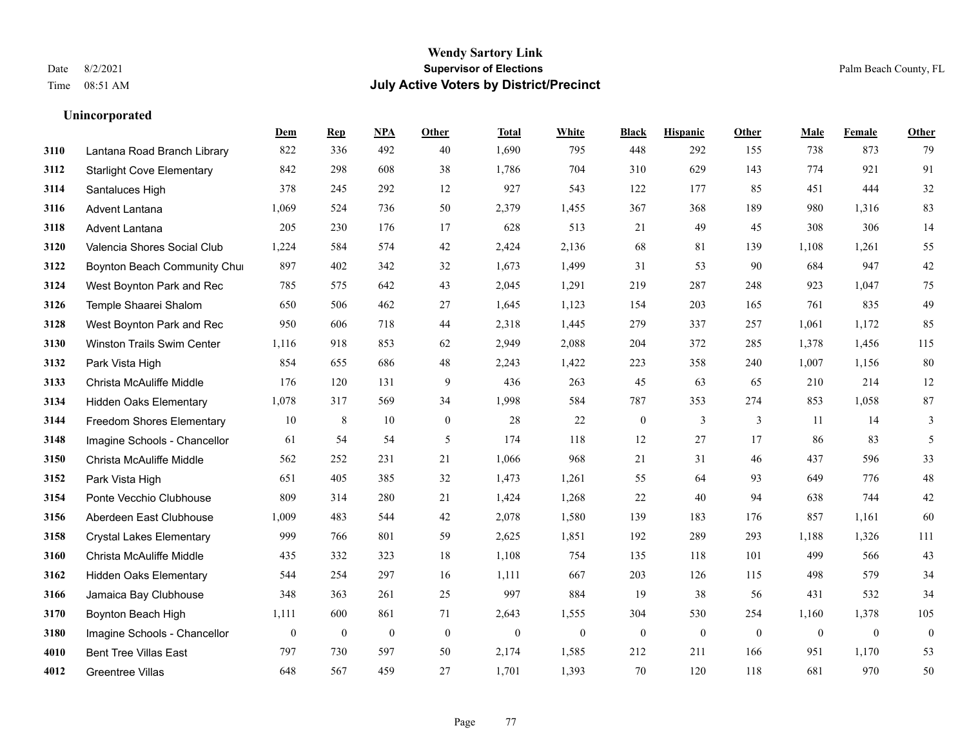|      |                                   | Dem              | <b>Rep</b>       | NPA              | <b>Other</b>   | <b>Total</b> | <b>White</b>     | <b>Black</b>     | <b>Hispanic</b>  | <b>Other</b> | <b>Male</b>  | Female       | <b>Other</b>     |
|------|-----------------------------------|------------------|------------------|------------------|----------------|--------------|------------------|------------------|------------------|--------------|--------------|--------------|------------------|
| 3110 | Lantana Road Branch Library       | 822              | 336              | 492              | 40             | 1,690        | 795              | 448              | 292              | 155          | 738          | 873          | 79               |
| 3112 | <b>Starlight Cove Elementary</b>  | 842              | 298              | 608              | 38             | 1,786        | 704              | 310              | 629              | 143          | 774          | 921          | 91               |
| 3114 | Santaluces High                   | 378              | 245              | 292              | 12             | 927          | 543              | 122              | 177              | 85           | 451          | 444          | $32\,$           |
| 3116 | <b>Advent Lantana</b>             | 1,069            | 524              | 736              | 50             | 2,379        | 1,455            | 367              | 368              | 189          | 980          | 1,316        | 83               |
| 3118 | Advent Lantana                    | 205              | 230              | 176              | 17             | 628          | 513              | 21               | 49               | 45           | 308          | 306          | 14               |
| 3120 | Valencia Shores Social Club       | 1,224            | 584              | 574              | 42             | 2,424        | 2,136            | 68               | 81               | 139          | 1,108        | 1,261        | 55               |
| 3122 | Boynton Beach Community Chu       | 897              | 402              | 342              | 32             | 1,673        | 1,499            | 31               | 53               | 90           | 684          | 947          | $42\,$           |
| 3124 | West Boynton Park and Rec         | 785              | 575              | 642              | 43             | 2,045        | 1,291            | 219              | 287              | 248          | 923          | 1,047        | 75               |
| 3126 | Temple Shaarei Shalom             | 650              | 506              | 462              | 27             | 1,645        | 1,123            | 154              | 203              | 165          | 761          | 835          | 49               |
| 3128 | West Boynton Park and Rec         | 950              | 606              | 718              | 44             | 2,318        | 1,445            | 279              | 337              | 257          | 1,061        | 1,172        | 85               |
| 3130 | <b>Winston Trails Swim Center</b> | 1,116            | 918              | 853              | 62             | 2,949        | 2,088            | 204              | 372              | 285          | 1,378        | 1,456        | 115              |
| 3132 | Park Vista High                   | 854              | 655              | 686              | 48             | 2,243        | 1,422            | 223              | 358              | 240          | 1,007        | 1,156        | 80               |
| 3133 | Christa McAuliffe Middle          | 176              | 120              | 131              | 9              | 436          | 263              | 45               | 63               | 65           | 210          | 214          | $12\,$           |
| 3134 | <b>Hidden Oaks Elementary</b>     | 1,078            | 317              | 569              | 34             | 1,998        | 584              | 787              | 353              | 274          | 853          | 1,058        | $87\,$           |
| 3144 | Freedom Shores Elementary         | 10               | 8                | 10               | $\overline{0}$ | 28           | 22               | $\boldsymbol{0}$ | 3                | 3            | 11           | 14           | 3                |
| 3148 | Imagine Schools - Chancellor      | 61               | 54               | 54               | 5              | 174          | 118              | 12               | 27               | 17           | 86           | 83           | 5                |
| 3150 | Christa McAuliffe Middle          | 562              | 252              | 231              | 21             | 1,066        | 968              | 21               | 31               | 46           | 437          | 596          | 33               |
| 3152 | Park Vista High                   | 651              | 405              | 385              | 32             | 1,473        | 1,261            | 55               | 64               | 93           | 649          | 776          | $48\,$           |
| 3154 | Ponte Vecchio Clubhouse           | 809              | 314              | 280              | 21             | 1,424        | 1,268            | 22               | 40               | 94           | 638          | 744          | $42\,$           |
| 3156 | Aberdeen East Clubhouse           | 1,009            | 483              | 544              | 42             | 2,078        | 1,580            | 139              | 183              | 176          | 857          | 1,161        | 60               |
| 3158 | <b>Crystal Lakes Elementary</b>   | 999              | 766              | 801              | 59             | 2,625        | 1,851            | 192              | 289              | 293          | 1,188        | 1,326        | 111              |
| 3160 | Christa McAuliffe Middle          | 435              | 332              | 323              | 18             | 1,108        | 754              | 135              | 118              | 101          | 499          | 566          | 43               |
| 3162 | <b>Hidden Oaks Elementary</b>     | 544              | 254              | 297              | 16             | 1,111        | 667              | 203              | 126              | 115          | 498          | 579          | 34               |
| 3166 | Jamaica Bay Clubhouse             | 348              | 363              | 261              | 25             | 997          | 884              | 19               | 38               | 56           | 431          | 532          | 34               |
| 3170 | Boynton Beach High                | 1,111            | 600              | 861              | 71             | 2,643        | 1,555            | 304              | 530              | 254          | 1,160        | 1,378        | 105              |
| 3180 | Imagine Schools - Chancellor      | $\boldsymbol{0}$ | $\boldsymbol{0}$ | $\boldsymbol{0}$ | $\mathbf{0}$   | $\mathbf{0}$ | $\boldsymbol{0}$ | $\boldsymbol{0}$ | $\boldsymbol{0}$ | $\mathbf{0}$ | $\mathbf{0}$ | $\mathbf{0}$ | $\boldsymbol{0}$ |
| 4010 | <b>Bent Tree Villas East</b>      | 797              | 730              | 597              | 50             | 2,174        | 1,585            | 212              | 211              | 166          | 951          | 1,170        | 53               |
| 4012 | <b>Greentree Villas</b>           | 648              | 567              | 459              | 27             | 1,701        | 1,393            | 70               | 120              | 118          | 681          | 970          | 50               |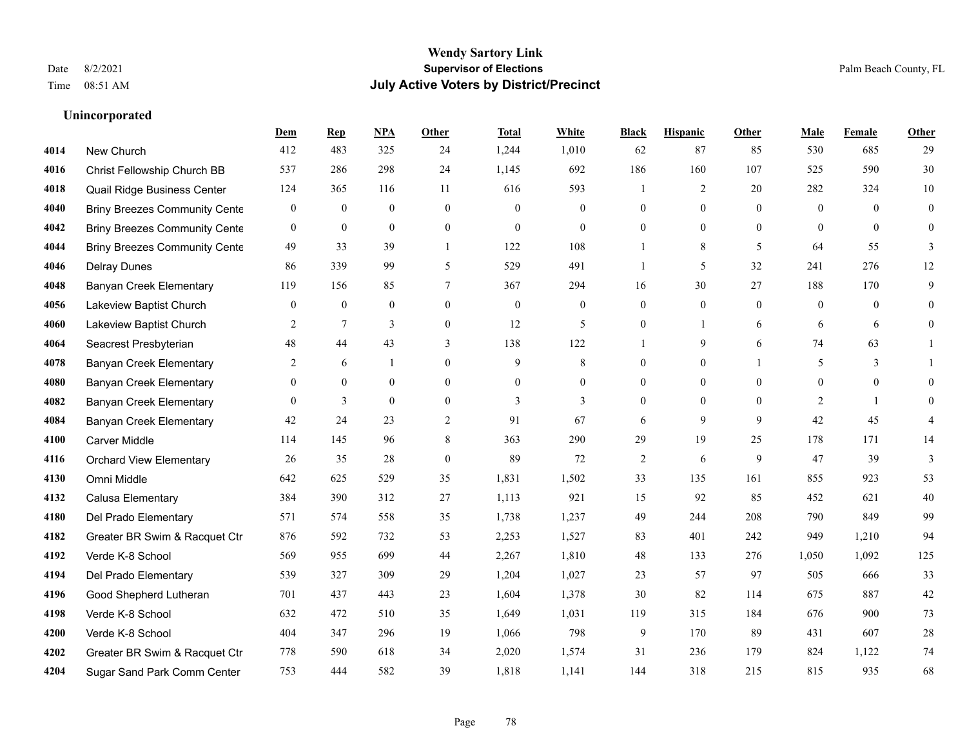# **Wendy Sartory Link** Date 8/2/2021 **Supervisor of Elections** Palm Beach County, FL Time 08:51 AM **July Active Voters by District/Precinct**

New Church 412 483 325 24 1,244 1,010 62 87 85 530 685 29

**Dem Rep NPA Other Total White Black Hispanic Other Male Female Other**

# Christ Fellowship Church BB 537 286 298 24 1,145 692 186 160 107 525 590 30 Quail Ridge Business Center 124 365 116 11 616 593 1 2 20 282 324 10 Briny Breezes Community Center 0 0 0 0 0 0 0 0 0 0 0 0 Briny Breezes Community Center 0 0 0 0 0 0 0 0 0 0 0 0 **4044 Briny Breezes Community Cente** 49 33 39 1 122 108 1 8 5 64 55 3

| 4044 | Driny Dieezes Community Center | ャッ           | JJ.            | JУ             |                  | 144          | 1 V O        |              |              |              | v+             | JJ.   |              |
|------|--------------------------------|--------------|----------------|----------------|------------------|--------------|--------------|--------------|--------------|--------------|----------------|-------|--------------|
| 4046 | <b>Delray Dunes</b>            | 86           | 339            | 99             | 5                | 529          | 491          |              | 5            | 32           | 241            | 276   | 12           |
| 4048 | Banyan Creek Elementary        | 119          | 156            | 85             |                  | 367          | 294          | 16           | 30           | 27           | 188            | 170   | 9            |
| 4056 | Lakeview Baptist Church        | $\mathbf{0}$ | $\mathbf{0}$   | $\overline{0}$ | $\overline{0}$   | $\mathbf{0}$ | $\mathbf{0}$ | $\theta$     | $\mathbf{0}$ | $\mathbf{0}$ | $\overline{0}$ | 0     | $\theta$     |
| 4060 | Lakeview Baptist Church        | 2            | $\overline{7}$ | 3              | $\boldsymbol{0}$ | 12           | 5            | $\mathbf{0}$ |              | 6            | 6              | 6     | $\mathbf{0}$ |
| 4064 | Seacrest Presbyterian          | 48           | 44             | 43             | 3                | 138          | 122          |              | 9            | 6            | 74             | 63    |              |
| 4078 | Banyan Creek Elementary        | 2            | 6              |                | $\overline{0}$   | 9            | 8            | $\theta$     | $\mathbf{0}$ |              | 5              | 3     |              |
| 4080 | Banyan Creek Elementary        | $\theta$     | $\mathbf{0}$   | $\overline{0}$ | $\boldsymbol{0}$ | $\mathbf{0}$ | $\mathbf{0}$ | $\theta$     | $\mathbf{0}$ | $\theta$     | $\mathbf{0}$   | 0     | $\theta$     |
| 4082 | Banyan Creek Elementary        | $\mathbf{0}$ | 3              | $\mathbf{0}$   | $\overline{0}$   | 3            | 3            | $\theta$     | $\mathbf{0}$ | $\mathbf{0}$ | 2              |       | $\theta$     |
| 4084 | <b>Banyan Creek Elementary</b> | 42           | 24             | 23             | $\overline{2}$   | 91           | 67           | 6            | 9            | 9            | 42             | 45    | 4            |
| 4100 | <b>Carver Middle</b>           | 114          | 145            | 96             | 8                | 363          | 290          | 29           | 19           | 25           | 178            | 171   | 14           |
| 4116 | <b>Orchard View Elementary</b> | 26           | 35             | 28             | $\mathbf{0}$     | 89           | 72           | 2            | 6            | 9            | 47             | 39    | 3            |
| 4130 | Omni Middle                    | 642          | 625            | 529            | 35               | 1,831        | 1,502        | 33           | 135          | 161          | 855            | 923   | 53           |
| 4132 | Calusa Elementary              | 384          | 390            | 312            | 27               | 1,113        | 921          | 15           | 92           | 85           | 452            | 621   | 40           |
| 4180 | Del Prado Elementary           | 571          | 574            | 558            | 35               | 1,738        | 1,237        | 49           | 244          | 208          | 790            | 849   | 99           |
| 4182 | Greater BR Swim & Racquet Ctr  | 876          | 592            | 732            | 53               | 2,253        | 1,527        | 83           | 401          | 242          | 949            | 1,210 | 94           |
| 4192 | Verde K-8 School               | 569          | 955            | 699            | 44               | 2,267        | 1,810        | 48           | 133          | 276          | 1,050          | 1,092 | 125          |
| 4194 | Del Prado Elementary           | 539          | 327            | 309            | 29               | 1,204        | 1,027        | 23           | 57           | 97           | 505            | 666   | 33           |
| 4196 | Good Shepherd Lutheran         | 701          | 437            | 443            | 23               | 1,604        | 1,378        | 30           | 82           | 114          | 675            | 887   | 42           |
| 4198 | Verde K-8 School               | 632          | 472            | 510            | 35               | 1,649        | 1,031        | 119          | 315          | 184          | 676            | 900   | 73           |
| 4200 | Verde K-8 School               | 404          | 347            | 296            | 19               | 1,066        | 798          | 9            | 170          | 89           | 431            | 607   | 28           |
| 4202 | Greater BR Swim & Racquet Ctr  | 778          | 590            | 618            | 34               | 2,020        | 1,574        | 31           | 236          | 179          | 824            | 1,122 | 74           |
| 4204 | Sugar Sand Park Comm Center    | 753          | 444            | 582            | 39               | 1,818        | 1,141        | 144          | 318          | 215          | 815            | 935   | 68           |
|      |                                |              |                |                |                  |              |              |              |              |              |                |       |              |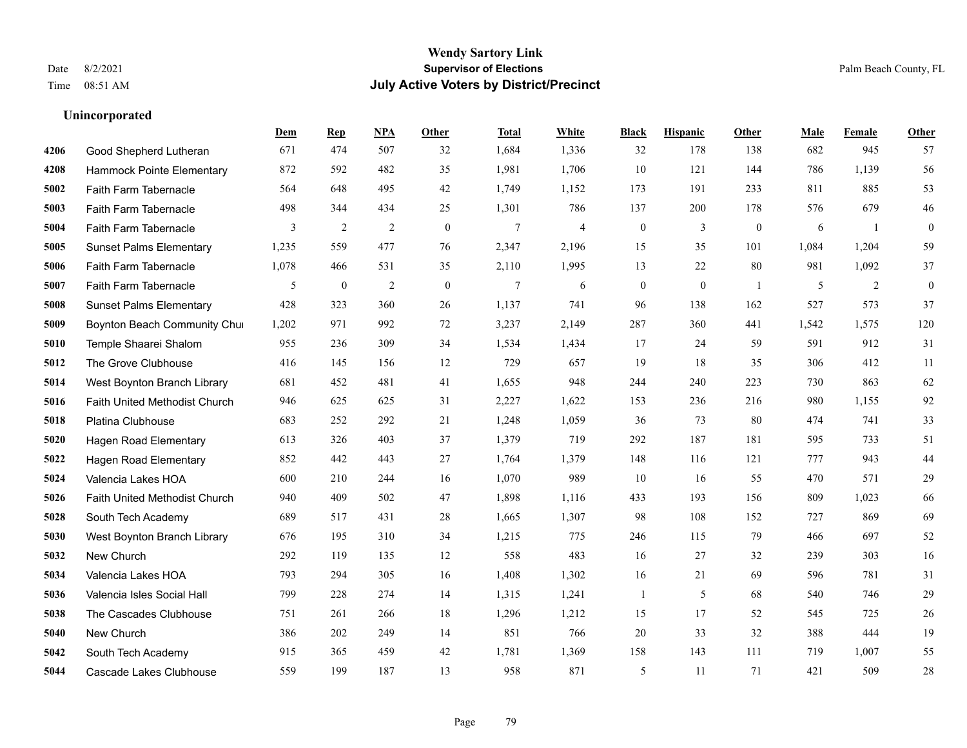|      |                                | Dem   | <b>Rep</b>       | NPA            | <b>Other</b>   | <b>Total</b>   | White          | <b>Black</b>     | <b>Hispanic</b> | Other          | <b>Male</b> | Female | <b>Other</b>     |
|------|--------------------------------|-------|------------------|----------------|----------------|----------------|----------------|------------------|-----------------|----------------|-------------|--------|------------------|
| 4206 | Good Shepherd Lutheran         | 671   | 474              | 507            | 32             | 1,684          | 1,336          | 32               | 178             | 138            | 682         | 945    | 57               |
| 4208 | Hammock Pointe Elementary      | 872   | 592              | 482            | 35             | 1,981          | 1,706          | 10               | 121             | 144            | 786         | 1,139  | 56               |
| 5002 | Faith Farm Tabernacle          | 564   | 648              | 495            | 42             | 1,749          | 1,152          | 173              | 191             | 233            | 811         | 885    | 53               |
| 5003 | Faith Farm Tabernacle          | 498   | 344              | 434            | 25             | 1,301          | 786            | 137              | 200             | 178            | 576         | 679    | 46               |
| 5004 | Faith Farm Tabernacle          | 3     | 2                | 2              | $\overline{0}$ | $\overline{7}$ | $\overline{4}$ | $\boldsymbol{0}$ | 3               | $\overline{0}$ | 6           | -1     | $\boldsymbol{0}$ |
| 5005 | <b>Sunset Palms Elementary</b> | 1,235 | 559              | 477            | 76             | 2,347          | 2,196          | 15               | 35              | 101            | 1,084       | 1,204  | 59               |
| 5006 | Faith Farm Tabernacle          | 1,078 | 466              | 531            | 35             | 2,110          | 1,995          | 13               | 22              | 80             | 981         | 1,092  | 37               |
| 5007 | Faith Farm Tabernacle          | 5     | $\boldsymbol{0}$ | $\overline{2}$ | $\theta$       | $\tau$         | 6              | $\mathbf{0}$     | $\mathbf{0}$    | $\overline{1}$ | 5           | 2      | $\mathbf{0}$     |
| 5008 | <b>Sunset Palms Elementary</b> | 428   | 323              | 360            | 26             | 1,137          | 741            | 96               | 138             | 162            | 527         | 573    | 37               |
| 5009 | Boynton Beach Community Chur   | 1,202 | 971              | 992            | 72             | 3,237          | 2,149          | 287              | 360             | 441            | 1,542       | 1,575  | 120              |
| 5010 | Temple Shaarei Shalom          | 955   | 236              | 309            | 34             | 1,534          | 1,434          | 17               | 24              | 59             | 591         | 912    | 31               |
| 5012 | The Grove Clubhouse            | 416   | 145              | 156            | 12             | 729            | 657            | 19               | 18              | 35             | 306         | 412    | 11               |
| 5014 | West Boynton Branch Library    | 681   | 452              | 481            | 41             | 1,655          | 948            | 244              | 240             | 223            | 730         | 863    | 62               |
| 5016 | Faith United Methodist Church  | 946   | 625              | 625            | 31             | 2,227          | 1,622          | 153              | 236             | 216            | 980         | 1,155  | 92               |
| 5018 | Platina Clubhouse              | 683   | 252              | 292            | 21             | 1,248          | 1,059          | 36               | 73              | 80             | 474         | 741    | 33               |
| 5020 | <b>Hagen Road Elementary</b>   | 613   | 326              | 403            | 37             | 1,379          | 719            | 292              | 187             | 181            | 595         | 733    | 51               |
| 5022 | <b>Hagen Road Elementary</b>   | 852   | 442              | 443            | 27             | 1,764          | 1,379          | 148              | 116             | 121            | 777         | 943    | 44               |
| 5024 | Valencia Lakes HOA             | 600   | 210              | 244            | 16             | 1,070          | 989            | 10               | 16              | 55             | 470         | 571    | 29               |
| 5026 | Faith United Methodist Church  | 940   | 409              | 502            | 47             | 1,898          | 1,116          | 433              | 193             | 156            | 809         | 1,023  | 66               |
| 5028 | South Tech Academy             | 689   | 517              | 431            | 28             | 1,665          | 1,307          | 98               | 108             | 152            | 727         | 869    | 69               |
| 5030 | West Boynton Branch Library    | 676   | 195              | 310            | 34             | 1,215          | 775            | 246              | 115             | 79             | 466         | 697    | 52               |
| 5032 | New Church                     | 292   | 119              | 135            | 12             | 558            | 483            | 16               | 27              | 32             | 239         | 303    | 16               |
| 5034 | Valencia Lakes HOA             | 793   | 294              | 305            | 16             | 1,408          | 1,302          | 16               | 21              | 69             | 596         | 781    | 31               |
| 5036 | Valencia Isles Social Hall     | 799   | 228              | 274            | 14             | 1,315          | 1,241          | 1                | 5               | 68             | 540         | 746    | 29               |
| 5038 | The Cascades Clubhouse         | 751   | 261              | 266            | 18             | 1,296          | 1,212          | 15               | 17              | 52             | 545         | 725    | $26\,$           |
| 5040 | New Church                     | 386   | 202              | 249            | 14             | 851            | 766            | 20               | 33              | 32             | 388         | 444    | 19               |
| 5042 | South Tech Academy             | 915   | 365              | 459            | 42             | 1,781          | 1,369          | 158              | 143             | 111            | 719         | 1,007  | 55               |
| 5044 | Cascade Lakes Clubhouse        | 559   | 199              | 187            | 13             | 958            | 871            | 5                | 11              | 71             | 421         | 509    | $28\,$           |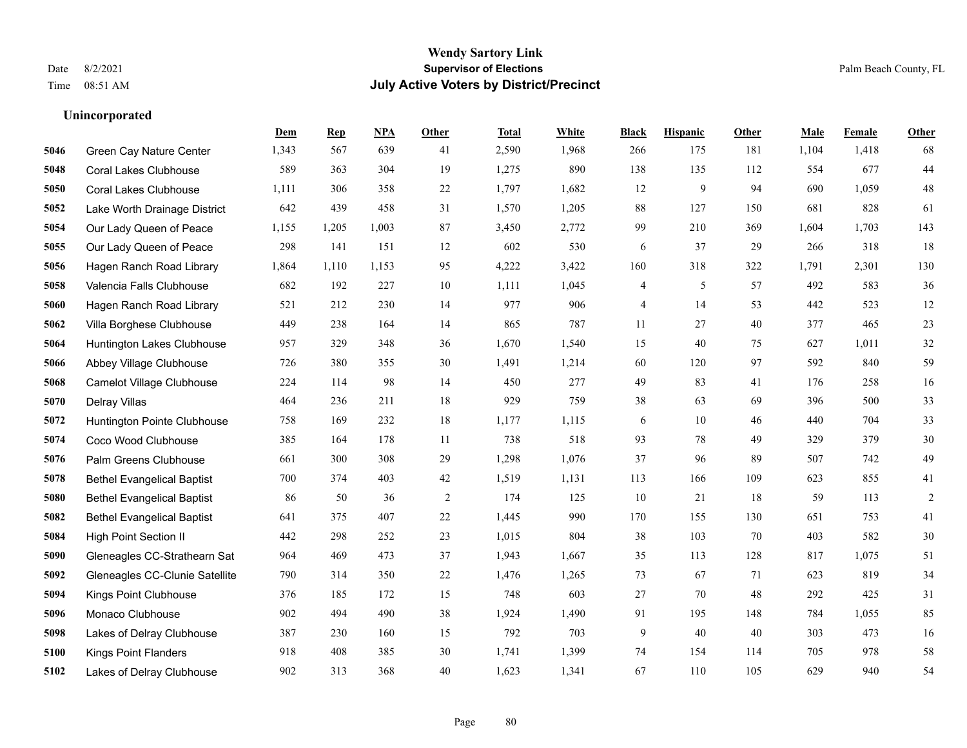# **Wendy Sartory Link** Date 8/2/2021 **Supervisor of Elections** Palm Beach County, FL Time 08:51 AM **July Active Voters by District/Precinct**

**Dem Rep NPA Other Total White Black Hispanic Other Male Female Other**

# Green Cay Nature Center 1,343 567 639 41 2,590 1,968 266 175 181 1,104 1,418 68 Coral Lakes Clubhouse 589 363 304 19 1,275 890 138 135 112 554 677 44 Coral Lakes Clubhouse 1,111 306 358 22 1,797 1,682 12 9 94 690 1,059 48 Lake Worth Drainage District 642 439 458 31 1,570 1,205 88 127 150 681 828 61 Our Lady Queen of Peace 1,155 1,205 1,003 87 3,450 2,772 99 210 369 1,604 1,703 143 Our Lady Queen of Peace 298 141 151 12 602 530 6 37 29 266 318 18 Hagen Ranch Road Library 1,864 1,110 1,153 95 4,222 3,422 160 318 322 1,791 2,301 130 Valencia Falls Clubhouse 682 192 227 10 1,111 1,045 4 5 57 492 583 36 Hagen Ranch Road Library 521 212 230 14 977 906 4 14 53 442 523 12 Villa Borghese Clubhouse 449 238 164 14 865 787 11 27 40 377 465 23 Huntington Lakes Clubhouse 957 329 348 36 1,670 1,540 15 40 75 627 1,011 32 Abbey Village Clubhouse 726 380 355 30 1,491 1,214 60 120 97 592 840 59 Camelot Village Clubhouse 224 114 98 14 450 277 49 83 41 176 258 16 Delray Villas 464 236 211 18 929 759 38 63 69 396 500 33 Huntington Pointe Clubhouse 758 169 232 18 1,177 1,115 6 10 46 440 704 33 Coco Wood Clubhouse 385 164 178 11 738 518 93 78 49 329 379 30 Palm Greens Clubhouse 661 300 308 29 1,298 1,076 37 96 89 507 742 49 Bethel Evangelical Baptist 700 374 403 42 1,519 1,131 113 166 109 623 855 41 Bethel Evangelical Baptist 86 50 36 2 174 125 10 21 18 59 113 2 Bethel Evangelical Baptist 641 375 407 22 1,445 990 170 155 130 651 753 41 High Point Section II 442 298 252 23 1,015 804 38 103 70 403 582 30 Gleneagles CC-Strathearn Sat 964 469 473 37 1,943 1,667 35 113 128 817 1,075 51 Gleneagles CC-Clunie Satellite 790 314 350 22 1,476 1,265 73 67 71 623 819 34 Kings Point Clubhouse 376 185 172 15 748 603 27 70 48 292 425 31 Monaco Clubhouse 902 494 490 38 1,924 1,490 91 195 148 784 1,055 85 Lakes of Delray Clubhouse 387 230 160 15 792 703 9 40 40 303 473 16

 Kings Point Flanders 918 408 385 30 1,741 1,399 74 154 114 705 978 58 Lakes of Delray Clubhouse 902 313 368 40 1,623 1,341 67 110 105 629 940 54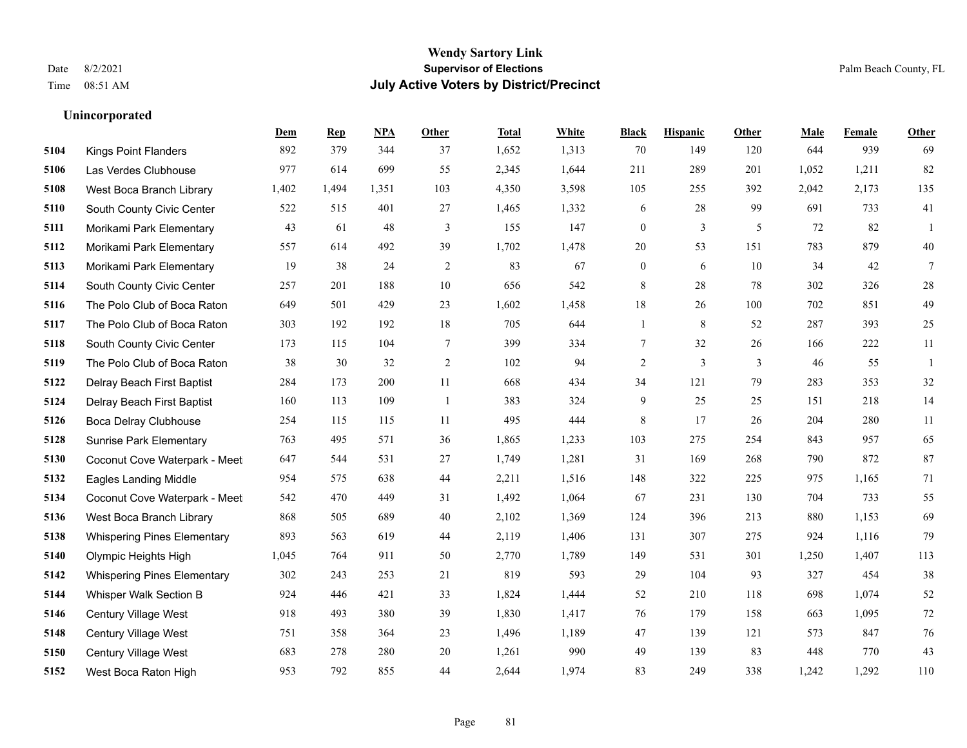# **Wendy Sartory Link** Date 8/2/2021 **Supervisor of Elections** Palm Beach County, FL Time 08:51 AM **July Active Voters by District/Precinct**

# **Dem Rep NPA Other Total White Black Hispanic Other Male Female Other** Kings Point Flanders 892 379 344 37 1,652 1,313 70 149 120 644 939 69 Las Verdes Clubhouse 977 614 699 55 2,345 1,644 211 289 201 1,052 1,211 82 West Boca Branch Library 1,402 1,494 1,351 103 4,350 3,598 105 255 392 2,042 2,173 135 South County Civic Center 522 515 401 27 1,465 1,332 6 28 99 691 733 41 Morikami Park Elementary 43 61 48 3 155 147 0 3 5 72 82 1 Morikami Park Elementary 557 614 492 39 1,702 1,478 20 53 151 783 879 40 Morikami Park Elementary 19 38 24 2 83 67 0 6 10 34 42 7 South County Civic Center 257 201 188 10 656 542 8 28 78 302 326 28 The Polo Club of Boca Raton 649 501 429 23 1,602 1,458 18 26 100 702 851 49 The Polo Club of Boca Raton 303 192 192 18 705 644 1 8 52 287 393 25 South County Civic Center 173 115 104 7 399 334 7 32 26 166 222 11 The Polo Club of Boca Raton 38 30 32 2 102 94 2 3 3 46 55 1 Delray Beach First Baptist 284 173 200 11 668 434 34 121 79 283 353 32 Delray Beach First Baptist 160 113 109 1 383 324 9 25 25 151 218 14 Boca Delray Clubhouse 254 115 115 11 495 444 8 17 26 204 280 11 Sunrise Park Elementary 763 495 571 36 1,865 1,233 103 275 254 843 957 65 Coconut Cove Waterpark - Meet 647 544 531 27 1,749 1,281 31 169 268 790 872 87 Eagles Landing Middle 954 575 638 44 2,211 1,516 148 322 225 975 1,165 71 Coconut Cove Waterpark - Meet 542 470 449 31 1,492 1,064 67 231 130 704 733 55 West Boca Branch Library 868 505 689 40 2,102 1,369 124 396 213 880 1,153 69 Whispering Pines Elementary 893 563 619 44 2,119 1,406 131 307 275 924 1,116 79 Olympic Heights High 1,045 764 911 50 2,770 1,789 149 531 301 1,250 1,407 113 Whispering Pines Elementary 302 243 253 21 819 593 29 104 93 327 454 38 Whisper Walk Section B 924 446 421 33 1,824 1,444 52 210 118 698 1,074 52 Century Village West 918 493 380 39 1,830 1,417 76 179 158 663 1,095 72 Century Village West 751 358 364 23 1,496 1,189 47 139 121 573 847 76 Century Village West 683 278 280 20 1,261 990 49 139 83 448 770 43

West Boca Raton High 953 792 855 44 2,644 1,974 83 249 338 1,242 1,292 110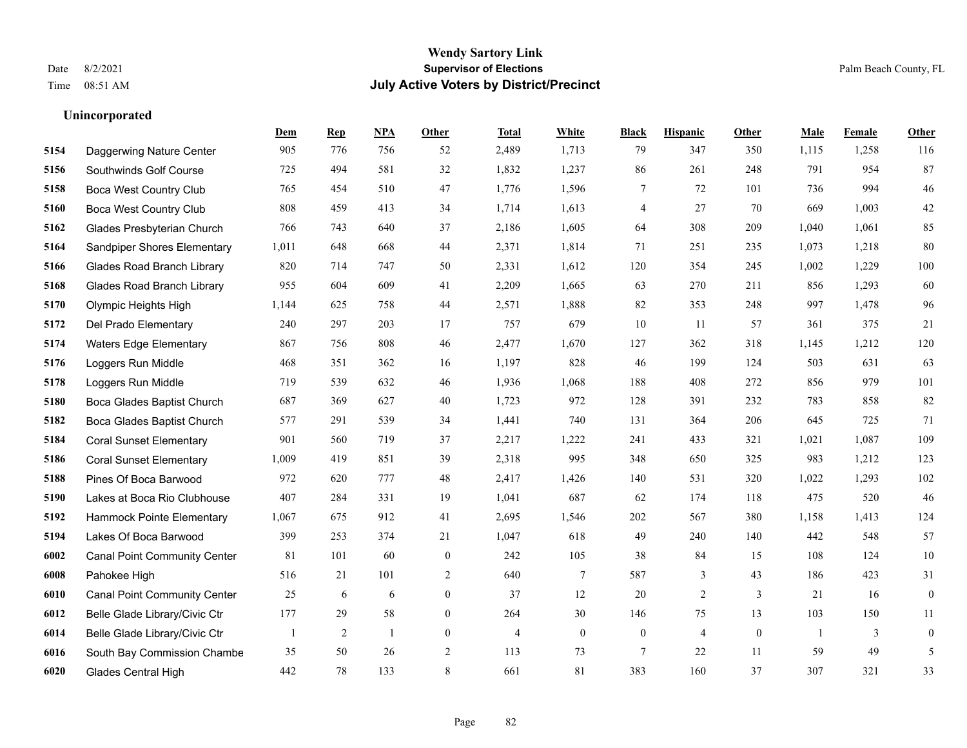## **Wendy Sartory Link** Date 8/2/2021 **Supervisor of Elections** Palm Beach County, FL Time 08:51 AM **July Active Voters by District/Precinct**

# **Dem Rep NPA Other Total White Black Hispanic Other Male Female Other** Daggerwing Nature Center 905 776 756 52 2,489 1,713 79 347 350 1,115 1,258 116 Southwinds Golf Course 725 494 581 32 1,832 1,237 86 261 248 791 954 87 Boca West Country Club 765 454 510 47 1,776 1,596 7 72 101 736 994 46 Boca West Country Club 808 459 413 34 1,714 1,613 4 27 70 669 1,003 42 Glades Presbyterian Church 766 743 640 37 2,186 1,605 64 308 209 1,040 1,061 85 Sandpiper Shores Elementary 1,011 648 668 44 2,371 1,814 71 251 235 1,073 1,218 80 Glades Road Branch Library 820 714 747 50 2,331 1,612 120 354 245 1,002 1,229 100 Glades Road Branch Library 955 604 609 41 2,209 1,665 63 270 211 856 1,293 60 Olympic Heights High 1,144 625 758 44 2,571 1,888 82 353 248 997 1,478 96 Del Prado Elementary 240 297 203 17 757 679 10 11 57 361 375 21 Waters Edge Elementary 867 756 808 46 2,477 1,670 127 362 318 1,145 1,212 120 Loggers Run Middle 468 351 362 16 1,197 828 46 199 124 503 631 63 Loggers Run Middle 719 539 632 46 1,936 1,068 188 408 272 856 979 101 Boca Glades Baptist Church 687 369 627 40 1,723 972 128 391 232 783 858 82 Boca Glades Baptist Church 577 291 539 34 1,441 740 131 364 206 645 725 71 Coral Sunset Elementary 901 560 719 37 2,217 1,222 241 433 321 1,021 1,087 109 Coral Sunset Elementary 1,009 419 851 39 2,318 995 348 650 325 983 1,212 123 Pines Of Boca Barwood 972 620 777 48 2,417 1,426 140 531 320 1,022 1,293 102 Lakes at Boca Rio Clubhouse 407 284 331 19 1,041 687 62 174 118 475 520 46 Hammock Pointe Elementary 1,067 675 912 41 2,695 1,546 202 567 380 1,158 1,413 124 Lakes Of Boca Barwood 399 253 374 21 1,047 618 49 240 140 442 548 57 Canal Point Community Center 81 101 60 0 242 105 38 84 15 108 124 10 Pahokee High 516 21 101 2 640 7 587 3 43 186 423 31 Canal Point Community Center 25 6 6 0 37 12 20 2 3 21 16 0 Belle Glade Library/Civic Ctr 177 29 58 0 264 30 146 75 13 103 150 11 Belle Glade Library/Civic Ctr 1 2 1 0 4 0 0 4 0 1 3 0 South Bay Commission Chambe 35 50 26 2 113 73 7 22 11 59 49 5 Glades Central High 442 78 133 8 661 81 383 160 37 307 321 33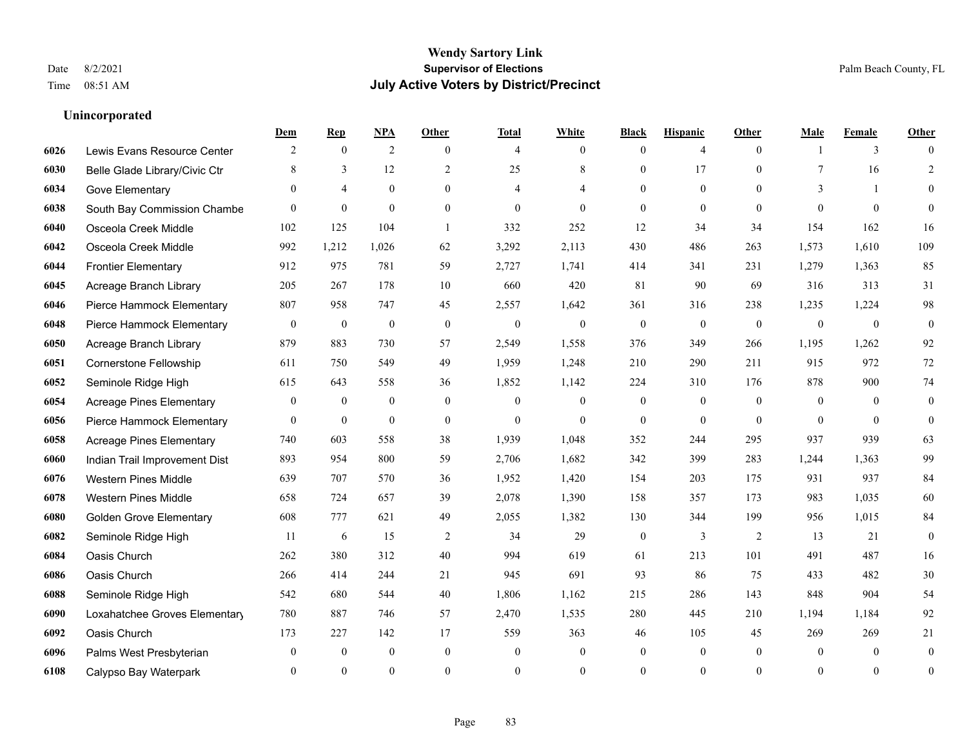|      |                                 | Dem              | <b>Rep</b>       | NPA              | <b>Other</b>   | <b>Total</b>   | <b>White</b>     | <b>Black</b>     | <b>Hispanic</b>  | <b>Other</b>   | <b>Male</b>    | <b>Female</b>  | <b>Other</b>     |
|------|---------------------------------|------------------|------------------|------------------|----------------|----------------|------------------|------------------|------------------|----------------|----------------|----------------|------------------|
| 6026 | Lewis Evans Resource Center     | 2                | $\mathbf{0}$     | $\overline{2}$   | $\theta$       | $\overline{4}$ | $\overline{0}$   | $\mathbf{0}$     | $\overline{4}$   | $\theta$       | $\overline{1}$ | 3              | $\Omega$         |
| 6030 | Belle Glade Library/Civic Ctr   | 8                | 3                | 12               | $\overline{2}$ | 25             | 8                | $\mathbf{0}$     | 17               | $\theta$       | $\tau$         | 16             | $\overline{2}$   |
| 6034 | Gove Elementary                 | $\theta$         | $\overline{4}$   | $\mathbf{0}$     | $\theta$       | 4              | 4                | $\theta$         | $\mathbf{0}$     | $\theta$       | 3              | $\mathbf{1}$   | $\overline{0}$   |
| 6038 | South Bay Commission Chambe     | $\theta$         | $\mathbf{0}$     | $\mathbf{0}$     | $\mathbf{0}$   | $\overline{0}$ | $\mathbf{0}$     | $\mathbf{0}$     | $\mathbf{0}$     | $\theta$       | $\theta$       | $\theta$       | $\theta$         |
| 6040 | Osceola Creek Middle            | 102              | 125              | 104              | $\overline{1}$ | 332            | 252              | 12               | 34               | 34             | 154            | 162            | 16               |
| 6042 | Osceola Creek Middle            | 992              | 1,212            | 1,026            | 62             | 3,292          | 2,113            | 430              | 486              | 263            | 1,573          | 1,610          | 109              |
| 6044 | <b>Frontier Elementary</b>      | 912              | 975              | 781              | 59             | 2,727          | 1,741            | 414              | 341              | 231            | 1,279          | 1,363          | 85               |
| 6045 | Acreage Branch Library          | 205              | 267              | 178              | 10             | 660            | 420              | 81               | 90               | 69             | 316            | 313            | 31               |
| 6046 | Pierce Hammock Elementary       | 807              | 958              | 747              | 45             | 2,557          | 1,642            | 361              | 316              | 238            | 1,235          | 1,224          | 98               |
| 6048 | Pierce Hammock Elementary       | $\boldsymbol{0}$ | $\boldsymbol{0}$ | $\boldsymbol{0}$ | $\mathbf{0}$   | $\mathbf{0}$   | $\overline{0}$   | $\mathbf{0}$     | $\mathbf{0}$     | $\mathbf{0}$   | $\mathbf{0}$   | $\mathbf{0}$   | $\boldsymbol{0}$ |
| 6050 | Acreage Branch Library          | 879              | 883              | 730              | 57             | 2,549          | 1,558            | 376              | 349              | 266            | 1,195          | 1,262          | 92               |
| 6051 | Cornerstone Fellowship          | 611              | 750              | 549              | 49             | 1,959          | 1,248            | 210              | 290              | 211            | 915            | 972            | $72\,$           |
| 6052 | Seminole Ridge High             | 615              | 643              | 558              | 36             | 1,852          | 1,142            | 224              | 310              | 176            | 878            | 900            | $74\,$           |
| 6054 | <b>Acreage Pines Elementary</b> | $\boldsymbol{0}$ | $\boldsymbol{0}$ | $\boldsymbol{0}$ | $\mathbf{0}$   | $\mathbf{0}$   | $\overline{0}$   | $\boldsymbol{0}$ | $\boldsymbol{0}$ | $\overline{0}$ | $\mathbf{0}$   | $\overline{0}$ | $\boldsymbol{0}$ |
| 6056 | Pierce Hammock Elementary       | $\overline{0}$   | $\mathbf{0}$     | $\mathbf{0}$     | $\mathbf{0}$   | $\mathbf{0}$   | $\overline{0}$   | $\mathbf{0}$     | $\mathbf{0}$     | $\theta$       | $\theta$       | $\theta$       | $\mathbf{0}$     |
| 6058 | <b>Acreage Pines Elementary</b> | 740              | 603              | 558              | 38             | 1,939          | 1,048            | 352              | 244              | 295            | 937            | 939            | 63               |
| 6060 | Indian Trail Improvement Dist   | 893              | 954              | 800              | 59             | 2,706          | 1,682            | 342              | 399              | 283            | 1,244          | 1,363          | 99               |
| 6076 | <b>Western Pines Middle</b>     | 639              | 707              | 570              | 36             | 1,952          | 1,420            | 154              | 203              | 175            | 931            | 937            | 84               |
| 6078 | <b>Western Pines Middle</b>     | 658              | 724              | 657              | 39             | 2,078          | 1,390            | 158              | 357              | 173            | 983            | 1,035          | 60               |
| 6080 | <b>Golden Grove Elementary</b>  | 608              | 777              | 621              | 49             | 2,055          | 1,382            | 130              | 344              | 199            | 956            | 1,015          | $\rm 84$         |
| 6082 | Seminole Ridge High             | 11               | 6                | 15               | 2              | 34             | 29               | $\boldsymbol{0}$ | 3                | 2              | 13             | 21             | $\mathbf{0}$     |
| 6084 | Oasis Church                    | 262              | 380              | 312              | 40             | 994            | 619              | 61               | 213              | 101            | 491            | 487            | 16               |
| 6086 | Oasis Church                    | 266              | 414              | 244              | 21             | 945            | 691              | 93               | 86               | 75             | 433            | 482            | $30\,$           |
| 6088 | Seminole Ridge High             | 542              | 680              | 544              | 40             | 1,806          | 1,162            | 215              | 286              | 143            | 848            | 904            | 54               |
| 6090 | Loxahatchee Groves Elementary   | 780              | 887              | 746              | 57             | 2,470          | 1,535            | 280              | 445              | 210            | 1,194          | 1.184          | 92               |
| 6092 | Oasis Church                    | 173              | 227              | 142              | 17             | 559            | 363              | 46               | 105              | 45             | 269            | 269            | 21               |
| 6096 | Palms West Presbyterian         | $\mathbf{0}$     | $\boldsymbol{0}$ | $\mathbf{0}$     | $\mathbf{0}$   | $\theta$       | $\boldsymbol{0}$ | $\boldsymbol{0}$ | $\mathbf{0}$     | $\mathbf{0}$   | $\mathbf{0}$   | $\mathbf{0}$   | $\boldsymbol{0}$ |
| 6108 | Calypso Bay Waterpark           | $\Omega$         | $\theta$         | $\theta$         | $\theta$       | $\theta$       | $\theta$         | $\theta$         | $\theta$         | $\theta$       | $\Omega$       | $\theta$       | $\boldsymbol{0}$ |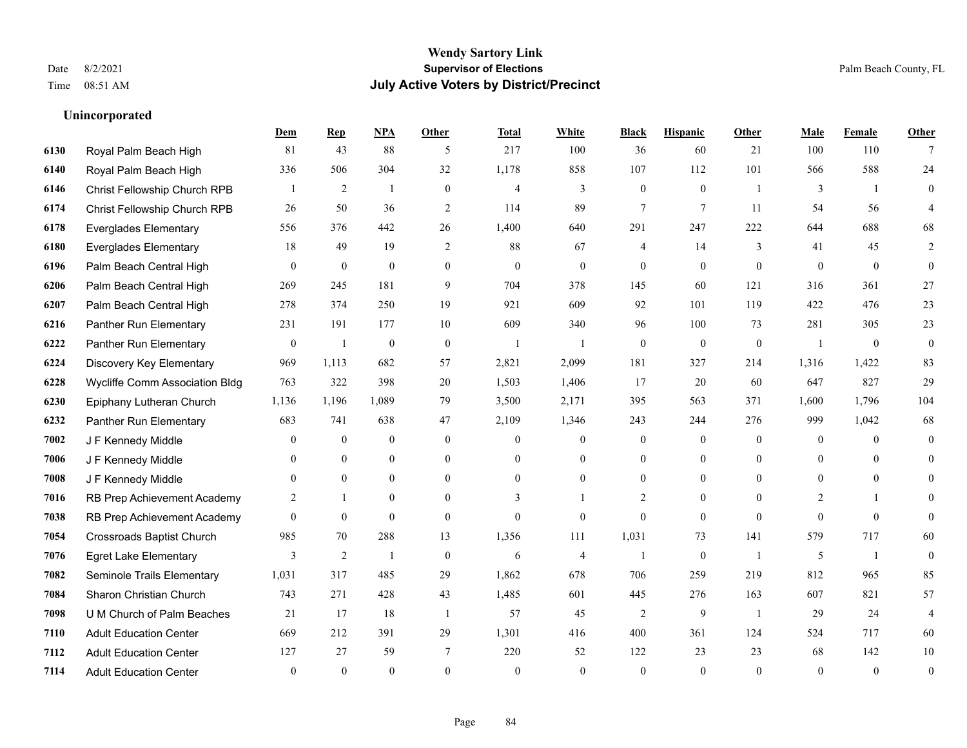|      |                                | Dem            | <b>Rep</b>       | NPA            | <b>Other</b>   | <b>Total</b>   | <b>White</b>   | <b>Black</b>             | <b>Hispanic</b> | <b>Other</b>   | <b>Male</b>    | <b>Female</b> | <b>Other</b>   |
|------|--------------------------------|----------------|------------------|----------------|----------------|----------------|----------------|--------------------------|-----------------|----------------|----------------|---------------|----------------|
| 6130 | Royal Palm Beach High          | 81             | 43               | 88             | 5              | 217            | 100            | 36                       | 60              | 21             | 100            | 110           | 7              |
| 6140 | Royal Palm Beach High          | 336            | 506              | 304            | 32             | 1,178          | 858            | 107                      | 112             | 101            | 566            | 588           | 24             |
| 6146 | Christ Fellowship Church RPB   |                | 2                | $\overline{1}$ | $\theta$       | $\overline{4}$ | 3              | $\overline{0}$           | $\overline{0}$  | $\overline{1}$ | 3              | $\mathbf{1}$  | $\theta$       |
| 6174 | Christ Fellowship Church RPB   | 26             | 50               | 36             | 2              | 114            | 89             | 7                        | $\overline{7}$  | 11             | 54             | 56            |                |
| 6178 | <b>Everglades Elementary</b>   | 556            | 376              | 442            | 26             | 1,400          | 640            | 291                      | 247             | 222            | 644            | 688           | 68             |
| 6180 | <b>Everglades Elementary</b>   | 18             | 49               | 19             | $\overline{2}$ | 88             | 67             | 4                        | 14              | 3              | 41             | 45            | 2              |
| 6196 | Palm Beach Central High        | $\mathbf{0}$   | $\boldsymbol{0}$ | $\mathbf{0}$   | $\overline{0}$ | $\overline{0}$ | $\overline{0}$ | $\overline{0}$           | $\mathbf{0}$    | $\mathbf{0}$   | $\mathbf{0}$   | $\mathbf{0}$  | $\mathbf{0}$   |
| 6206 | Palm Beach Central High        | 269            | 245              | 181            | 9              | 704            | 378            | 145                      | 60              | 121            | 316            | 361           | 27             |
| 6207 | Palm Beach Central High        | 278            | 374              | 250            | 19             | 921            | 609            | 92                       | 101             | 119            | 422            | 476           | 23             |
| 6216 | Panther Run Elementary         | 231            | 191              | 177            | 10             | 609            | 340            | 96                       | 100             | 73             | 281            | 305           | 23             |
| 6222 | Panther Run Elementary         | $\overline{0}$ | -1               | $\theta$       | $\mathbf{0}$   | $\mathbf{1}$   | 1              | $\mathbf{0}$             | $\mathbf{0}$    | $\mathbf{0}$   | $\overline{1}$ | $\mathbf{0}$  | $\overline{0}$ |
| 6224 | Discovery Key Elementary       | 969            | 1,113            | 682            | 57             | 2,821          | 2,099          | 181                      | 327             | 214            | 1,316          | 1,422         | 83             |
| 6228 | Wycliffe Comm Association Bldg | 763            | 322              | 398            | 20             | 1,503          | 1,406          | 17                       | 20              | 60             | 647            | 827           | 29             |
| 6230 | Epiphany Lutheran Church       | 1,136          | 1,196            | 1,089          | 79             | 3,500          | 2,171          | 395                      | 563             | 371            | 1,600          | 1,796         | 104            |
| 6232 | Panther Run Elementary         | 683            | 741              | 638            | 47             | 2,109          | 1,346          | 243                      | 244             | 276            | 999            | 1,042         | 68             |
| 7002 | J F Kennedy Middle             | $\theta$       | $\mathbf{0}$     | $\mathbf{0}$   | $\theta$       | $\theta$       | $\overline{0}$ | $\mathbf{0}$             | $\overline{0}$  | $\theta$       | $\theta$       | $\theta$      | $\theta$       |
| 7006 | J F Kennedy Middle             | $\theta$       | $\overline{0}$   | $\mathbf{0}$   | $\overline{0}$ | $\theta$       | $\overline{0}$ | $\mathbf{0}$             | $\overline{0}$  | $\theta$       | $\Omega$       | $\theta$      | $\Omega$       |
| 7008 | J F Kennedy Middle             | $\theta$       | $\theta$         | $\mathbf{0}$   | $\theta$       | $\Omega$       | $\overline{0}$ | 0                        | $\overline{0}$  | $\theta$       | $\theta$       | $\theta$      | 0              |
| 7016 | RB Prep Achievement Academy    | 2              | $\mathbf{1}$     | $\mathbf{0}$   | $\theta$       | 3              |                | $\overline{c}$           | $\overline{0}$  | $\theta$       | 2              |               | 0              |
| 7038 | RB Prep Achievement Academy    | $\theta$       | $\theta$         | $\theta$       | $\theta$       | $\theta$       | $\Omega$       | $\theta$                 | $\Omega$        | $\theta$       | $\Omega$       | $\Omega$      | $\theta$       |
| 7054 | Crossroads Baptist Church      | 985            | 70               | 288            | 13             | 1,356          | 111            | 1,031                    | 73              | 141            | 579            | 717           | 60             |
| 7076 | <b>Egret Lake Elementary</b>   | 3              | $\overline{2}$   | -1             | $\mathbf{0}$   | 6              | $\overline{4}$ | $\overline{\phantom{a}}$ | $\overline{0}$  | -1             | 5              | $\mathbf{1}$  | $\mathbf{0}$   |
| 7082 | Seminole Trails Elementary     | 1,031          | 317              | 485            | 29             | 1,862          | 678            | 706                      | 259             | 219            | 812            | 965           | 85             |
| 7084 | Sharon Christian Church        | 743            | 271              | 428            | 43             | 1,485          | 601            | 445                      | 276             | 163            | 607            | 821           | 57             |
| 7098 | U M Church of Palm Beaches     | 21             | 17               | 18             | -1             | 57             | 45             | $\overline{c}$           | 9               | -1             | 29             | 24            | $\overline{4}$ |
| 7110 | <b>Adult Education Center</b>  | 669            | 212              | 391            | 29             | 1,301          | 416            | 400                      | 361             | 124            | 524            | 717           | 60             |
| 7112 | <b>Adult Education Center</b>  | 127            | 27               | 59             | 7              | 220            | 52             | 122                      | 23              | 23             | 68             | 142           | 10             |
| 7114 | <b>Adult Education Center</b>  | $\theta$       | $\theta$         | $\theta$       | $\theta$       | $\theta$       | $\Omega$       | $\theta$                 | $\Omega$        | $\theta$       | $\Omega$       | $\Omega$      | $\mathbf{0}$   |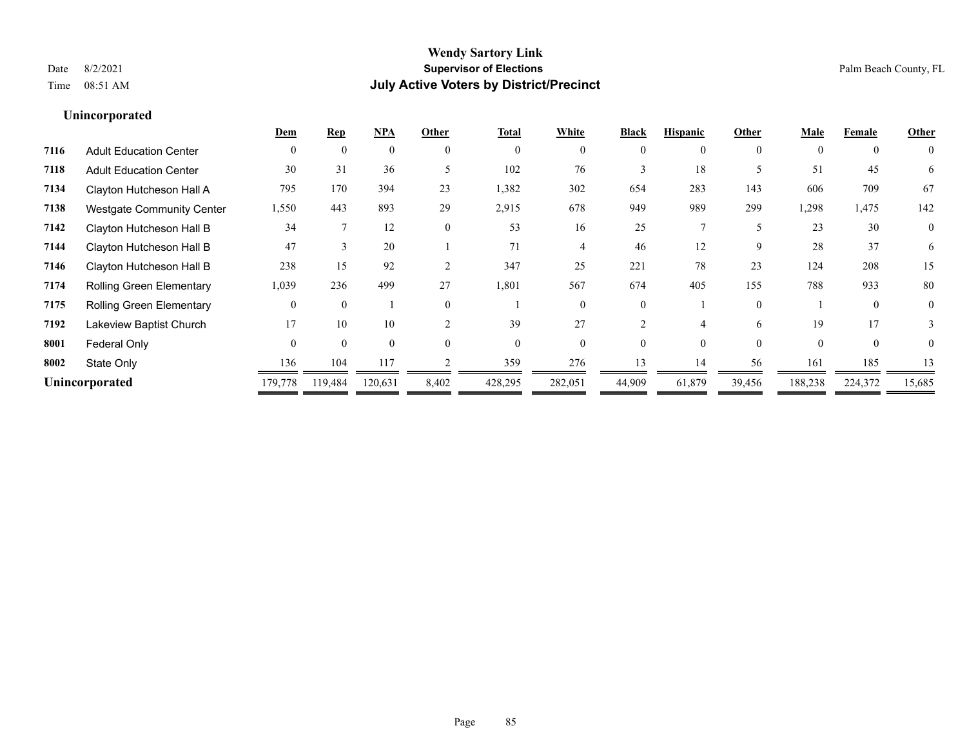|                                  | Dem      | Rep      | NPA      | Other         | <b>Total</b> | White    | <b>Black</b> | <b>Hispanic</b> | Other       | Male     | Female   | Other          |
|----------------------------------|----------|----------|----------|---------------|--------------|----------|--------------|-----------------|-------------|----------|----------|----------------|
| <b>Adult Education Center</b>    | $\Omega$ | $\Omega$ | $\theta$ | $\theta$      | $\theta$     | $\Omega$ | 0            | 0               | $\theta$    | $\Omega$ | $\theta$ | $\theta$       |
| <b>Adult Education Center</b>    | 30       | 31       | 36       |               | 102          | 76       |              | 18              |             | 51       | 45       | 6              |
| Clayton Hutcheson Hall A         | 795      | 170      | 394      | 23            | 1,382        | 302      | 654          | 283             | 143         | 606      | 709      | 67             |
| <b>Westgate Community Center</b> | 1,550    | 443      | 893      | 29            | 2,915        | 678      | 949          | 989             | 299         | 1,298    | 1,475    | 142            |
| Clayton Hutcheson Hall B         | 34       |          | 12       | $\theta$      | 53           | 16       | 25           |                 |             | 23       | 30       | $\overline{0}$ |
| Clayton Hutcheson Hall B         | 47       |          | 20       |               | 71           |          | 46           | 12              | $\mathbf Q$ | 28       | 37       | 6              |
| Clayton Hutcheson Hall B         | 238      | 15       | 92       | 2             | 347          | 25       | 221          | 78              | 23          | 124      | 208      | 15             |
| <b>Rolling Green Elementary</b>  | 1,039    | 236      | 499      | 27            | 1,801        | 567      | 674          | 405             | 155         | 788      | 933      | 80             |
| <b>Rolling Green Elementary</b>  |          | $\Omega$ |          | $\theta$      |              | 0        |              |                 | $\theta$    |          | $\Omega$ | $\theta$       |
| Lakeview Baptist Church          | 17       | 10       | 10       | $\mathcal{L}$ | 39           | 27       |              |                 | 6           | 19       | 17       |                |
| Federal Only                     | $\Omega$ | $\Omega$ | $\theta$ | $\Omega$      | $\Omega$     | $\Omega$ |              | $\Omega$        | $\Omega$    | $\Omega$ | $\theta$ | $\theta$       |
| State Only                       | 136      | 104      | 117      |               | 359          | 276      | 13           | 14              | 56          | 161      | 185      | 13             |
| Unincorporated                   | 179,778  | 119,484  | 120,631  | 8,402         | 428,295      | 282,051  | 44,909       | 61,879          | 39,456      | 188,238  | 224,372  | 15,685         |
|                                  |          |          |          |               |              |          |              |                 |             |          |          |                |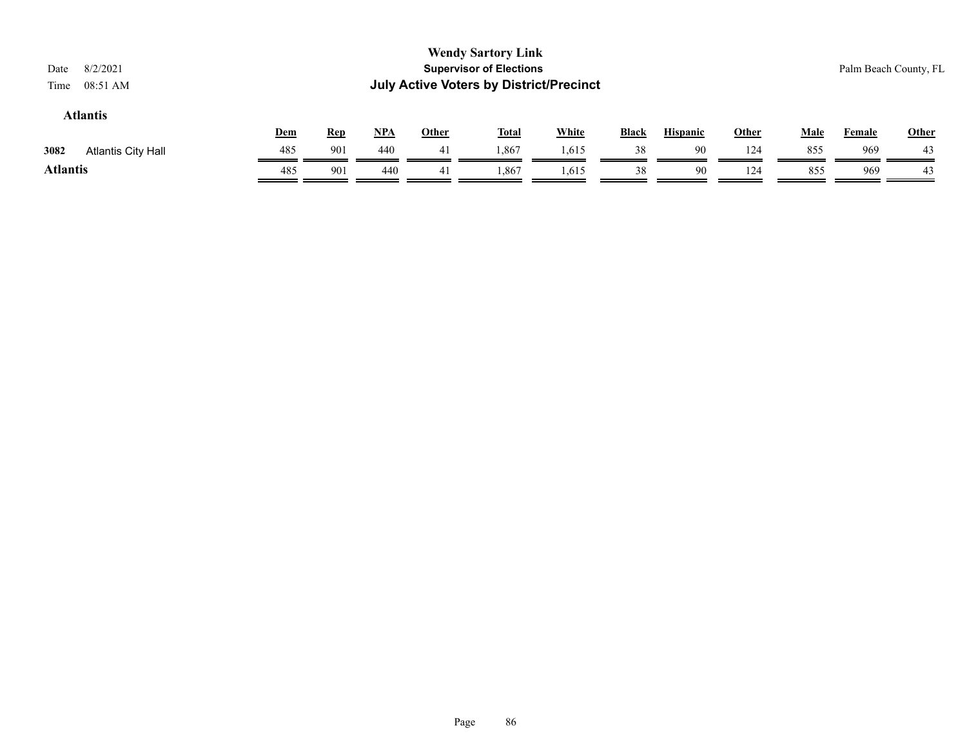| 8/2/2021<br>Date<br>08:51 AM<br>Time |     |            |       |              | <b>Wendy Sartory Link</b><br><b>Supervisor of Elections</b><br><b>July Active Voters by District/Precinct</b> |              |              |                 |              |             |               | Palm Beach County, FL |
|--------------------------------------|-----|------------|-------|--------------|---------------------------------------------------------------------------------------------------------------|--------------|--------------|-----------------|--------------|-------------|---------------|-----------------------|
| <b>Atlantis</b>                      | Dem | <b>Rep</b> | $NPA$ | <b>Other</b> | <b>Total</b>                                                                                                  | <b>White</b> | <b>Black</b> | <b>Hispanic</b> | <b>Other</b> | <b>Male</b> | <b>Female</b> | Other                 |
| 3082<br><b>Atlantis City Hall</b>    | 485 | 901        | 440   | 41           | 1,867                                                                                                         | 1,615        | 38           | 90              | 124          | 855         | 969           | 43                    |
| <b>Atlantis</b>                      | 485 | 901        | 440   | 41           | 1,867                                                                                                         | 1,615        | 38           | 90              | 124          | 855         | 969           | 43                    |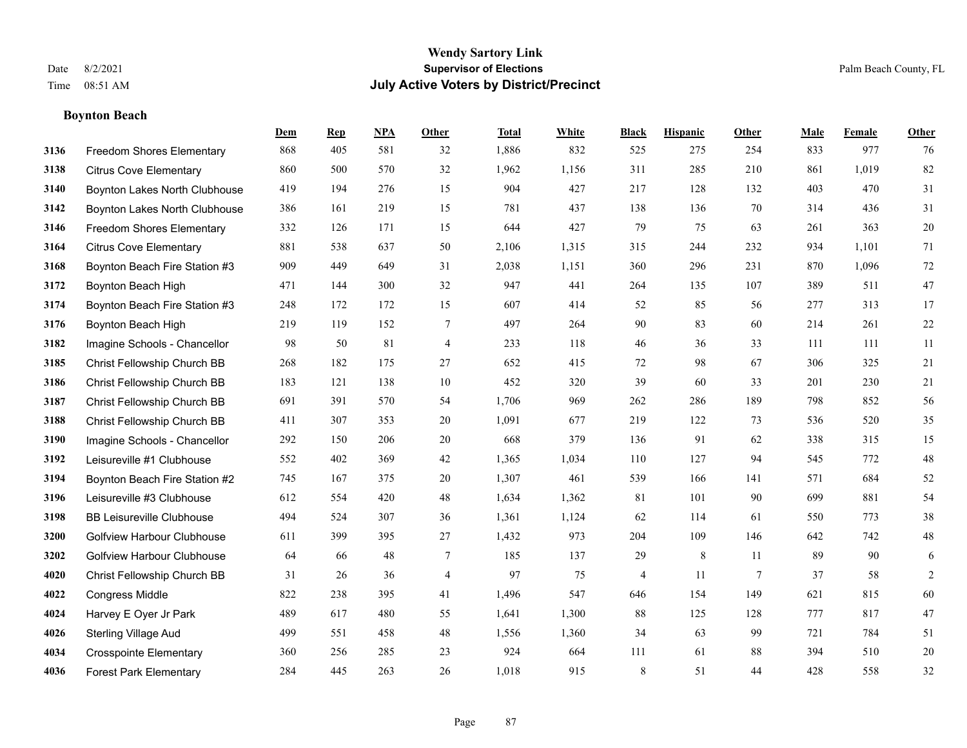# **Boynton Beach**

|      |                                   | Dem | <b>Rep</b> | NPA | <b>Other</b>   | <b>Total</b> | <b>White</b> | <b>Black</b> | <b>Hispanic</b> | <b>Other</b> | <b>Male</b> | <b>Female</b> | <b>Other</b> |
|------|-----------------------------------|-----|------------|-----|----------------|--------------|--------------|--------------|-----------------|--------------|-------------|---------------|--------------|
| 3136 | Freedom Shores Elementary         | 868 | 405        | 581 | 32             | 1,886        | 832          | 525          | 275             | 254          | 833         | 977           | 76           |
| 3138 | <b>Citrus Cove Elementary</b>     | 860 | 500        | 570 | 32             | 1,962        | 1,156        | 311          | 285             | 210          | 861         | 1,019         | 82           |
| 3140 | Boynton Lakes North Clubhouse     | 419 | 194        | 276 | 15             | 904          | 427          | 217          | 128             | 132          | 403         | 470           | 31           |
| 3142 | Boynton Lakes North Clubhouse     | 386 | 161        | 219 | 15             | 781          | 437          | 138          | 136             | 70           | 314         | 436           | 31           |
| 3146 | <b>Freedom Shores Elementary</b>  | 332 | 126        | 171 | 15             | 644          | 427          | 79           | 75              | 63           | 261         | 363           | $20\,$       |
| 3164 | <b>Citrus Cove Elementary</b>     | 881 | 538        | 637 | 50             | 2,106        | 1,315        | 315          | 244             | 232          | 934         | 1,101         | 71           |
| 3168 | Boynton Beach Fire Station #3     | 909 | 449        | 649 | 31             | 2,038        | 1,151        | 360          | 296             | 231          | 870         | 1,096         | $72\,$       |
| 3172 | Boynton Beach High                | 471 | 144        | 300 | 32             | 947          | 441          | 264          | 135             | 107          | 389         | 511           | 47           |
| 3174 | Boynton Beach Fire Station #3     | 248 | 172        | 172 | 15             | 607          | 414          | 52           | 85              | 56           | 277         | 313           | 17           |
| 3176 | Boynton Beach High                | 219 | 119        | 152 | 7              | 497          | 264          | 90           | 83              | 60           | 214         | 261           | $22\,$       |
| 3182 | Imagine Schools - Chancellor      | 98  | 50         | 81  | $\overline{4}$ | 233          | 118          | 46           | 36              | 33           | 111         | 111           | 11           |
| 3185 | Christ Fellowship Church BB       | 268 | 182        | 175 | 27             | 652          | 415          | 72           | 98              | 67           | 306         | 325           | $21\,$       |
| 3186 | Christ Fellowship Church BB       | 183 | 121        | 138 | 10             | 452          | 320          | 39           | 60              | 33           | 201         | 230           | $21\,$       |
| 3187 | Christ Fellowship Church BB       | 691 | 391        | 570 | 54             | 1,706        | 969          | 262          | 286             | 189          | 798         | 852           | 56           |
| 3188 | Christ Fellowship Church BB       | 411 | 307        | 353 | 20             | 1,091        | 677          | 219          | 122             | 73           | 536         | 520           | 35           |
| 3190 | Imagine Schools - Chancellor      | 292 | 150        | 206 | 20             | 668          | 379          | 136          | 91              | 62           | 338         | 315           | 15           |
| 3192 | Leisureville #1 Clubhouse         | 552 | 402        | 369 | 42             | 1,365        | 1,034        | 110          | 127             | 94           | 545         | 772           | $48\,$       |
| 3194 | Boynton Beach Fire Station #2     | 745 | 167        | 375 | 20             | 1,307        | 461          | 539          | 166             | 141          | 571         | 684           | 52           |
| 3196 | Leisureville #3 Clubhouse         | 612 | 554        | 420 | 48             | 1,634        | 1,362        | 81           | 101             | 90           | 699         | 881           | 54           |
| 3198 | <b>BB Leisureville Clubhouse</b>  | 494 | 524        | 307 | 36             | 1,361        | 1,124        | 62           | 114             | 61           | 550         | 773           | 38           |
| 3200 | <b>Golfview Harbour Clubhouse</b> | 611 | 399        | 395 | 27             | 1,432        | 973          | 204          | 109             | 146          | 642         | 742           | $48\,$       |
| 3202 | <b>Golfview Harbour Clubhouse</b> | 64  | 66         | 48  | $\tau$         | 185          | 137          | 29           | $\,8\,$         | 11           | 89          | 90            | $\sqrt{6}$   |
| 4020 | Christ Fellowship Church BB       | 31  | 26         | 36  | 4              | 97           | 75           | 4            | 11              | 7            | 37          | 58            | 2            |
| 4022 | <b>Congress Middle</b>            | 822 | 238        | 395 | 41             | 1,496        | 547          | 646          | 154             | 149          | 621         | 815           | 60           |
| 4024 | Harvey E Oyer Jr Park             | 489 | 617        | 480 | 55             | 1,641        | 1,300        | 88           | 125             | 128          | 777         | 817           | 47           |
| 4026 | <b>Sterling Village Aud</b>       | 499 | 551        | 458 | 48             | 1,556        | 1,360        | 34           | 63              | 99           | 721         | 784           | 51           |
| 4034 | <b>Crosspointe Elementary</b>     | 360 | 256        | 285 | 23             | 924          | 664          | 111          | 61              | 88           | 394         | 510           | 20           |
| 4036 | <b>Forest Park Elementary</b>     | 284 | 445        | 263 | 26             | 1,018        | 915          | 8            | 51              | 44           | 428         | 558           | 32           |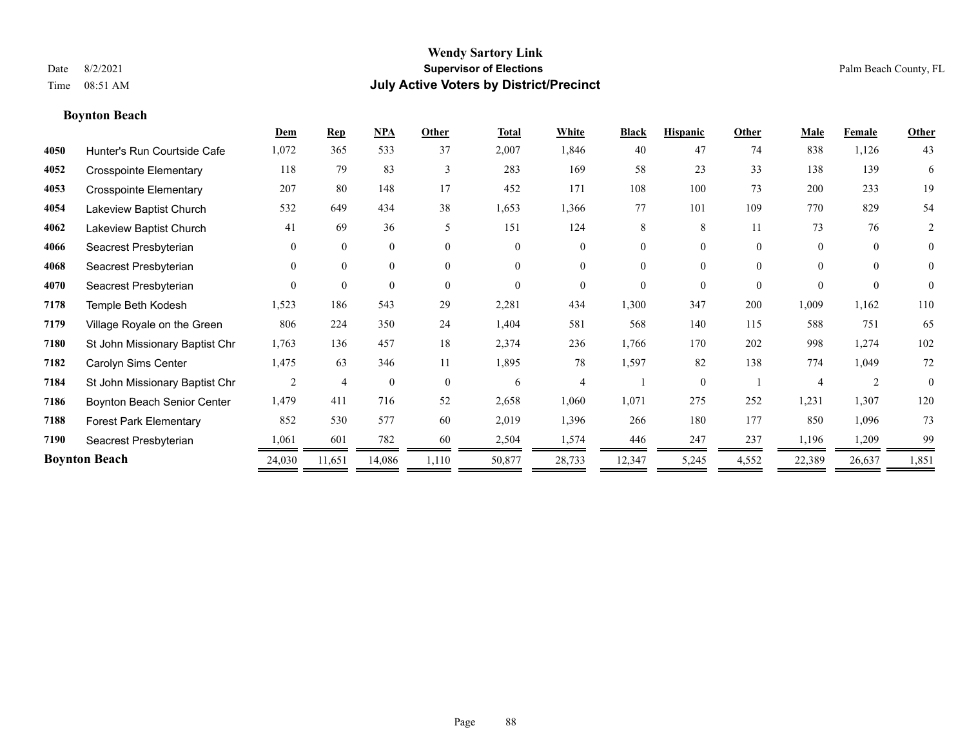# **Boynton Beach**

|      |                                | Dem      | <b>Rep</b>     | <b>NPA</b>     | Other    | <b>Total</b> | White                    | <b>Black</b> | <b>Hispanic</b> | Other    | Male                     | Female         | Other          |
|------|--------------------------------|----------|----------------|----------------|----------|--------------|--------------------------|--------------|-----------------|----------|--------------------------|----------------|----------------|
| 4050 | Hunter's Run Courtside Cafe    | 1,072    | 365            | 533            | 37       | 2,007        | 1,846                    | 40           | 47              | 74       | 838                      | 1,126          | 43             |
| 4052 | <b>Crosspointe Elementary</b>  | 118      | 79             | 83             | 3        | 283          | 169                      | 58           | 23              | 33       | 138                      | 139            | 6              |
| 4053 | <b>Crosspointe Elementary</b>  | 207      | 80             | 148            | 17       | 452          | 171                      | 108          | 100             | 73       | 200                      | 233            | 19             |
| 4054 | Lakeview Baptist Church        | 532      | 649            | 434            | 38       | 1,653        | 1,366                    | 77           | 101             | 109      | 770                      | 829            | 54             |
| 4062 | Lakeview Baptist Church        | 41       | 69             | 36             | 5        | 151          | 124                      | 8            | 8               | 11       | 73                       | 76             | $\overline{2}$ |
| 4066 | Seacrest Presbyterian          | $\Omega$ | $\mathbf{0}$   | $\overline{0}$ | $\theta$ | $\theta$     | $\overline{0}$           | $\Omega$     | $\theta$        | $\theta$ | $\theta$                 | $\overline{0}$ | $\overline{0}$ |
| 4068 | Seacrest Presbyterian          | $\Omega$ | $\mathbf{0}$   | $\overline{0}$ | $\theta$ | $\theta$     | $\Omega$                 | $\Omega$     | $\theta$        | $\theta$ | $\theta$                 | $\Omega$       | $\Omega$       |
| 4070 | Seacrest Presbyterian          | $\Omega$ | $\theta$       | $\Omega$       | $\theta$ | $\theta$     | $\Omega$                 | $\Omega$     | $\theta$        | $\theta$ | $\theta$                 | $\theta$       | $\theta$       |
| 7178 | Temple Beth Kodesh             | 1,523    | 186            | 543            | 29       | 2,281        | 434                      | 1,300        | 347             | 200      | 1,009                    | 1,162          | 110            |
| 7179 | Village Royale on the Green    | 806      | 224            | 350            | 24       | 1,404        | 581                      | 568          | 140             | 115      | 588                      | 751            | 65             |
| 7180 | St John Missionary Baptist Chr | 1,763    | 136            | 457            | 18       | 2,374        | 236                      | 1,766        | 170             | 202      | 998                      | 1,274          | 102            |
| 7182 | Carolyn Sims Center            | 1,475    | 63             | 346            | 11       | 1,895        | 78                       | 1,597        | 82              | 138      | 774                      | 1,049          | 72             |
| 7184 | St John Missionary Baptist Chr | 2        | $\overline{4}$ | $\mathbf{0}$   | $\theta$ | 6            | $\overline{\mathcal{A}}$ |              | $\theta$        |          | $\boldsymbol{\varDelta}$ | $\overline{2}$ | $\theta$       |
| 7186 | Boynton Beach Senior Center    | 1,479    | 411            | 716            | 52       | 2,658        | 1,060                    | 1,071        | 275             | 252      | 1,231                    | 1,307          | 120            |
| 7188 | <b>Forest Park Elementary</b>  | 852      | 530            | 577            | 60       | 2,019        | 1,396                    | 266          | 180             | 177      | 850                      | 1,096          | 73             |
| 7190 | Seacrest Presbyterian          | 1,061    | 601            | 782            | 60       | 2,504        | 1,574                    | 446          | 247             | 237      | 1,196                    | 1,209          | 99             |
|      | <b>Boynton Beach</b>           | 24,030   | 11,651         | 14,086         | 1,110    | 50,877       | 28,733                   | 12,347       | 5,245           | 4,552    | 22,389                   | 26,637         | 1,851          |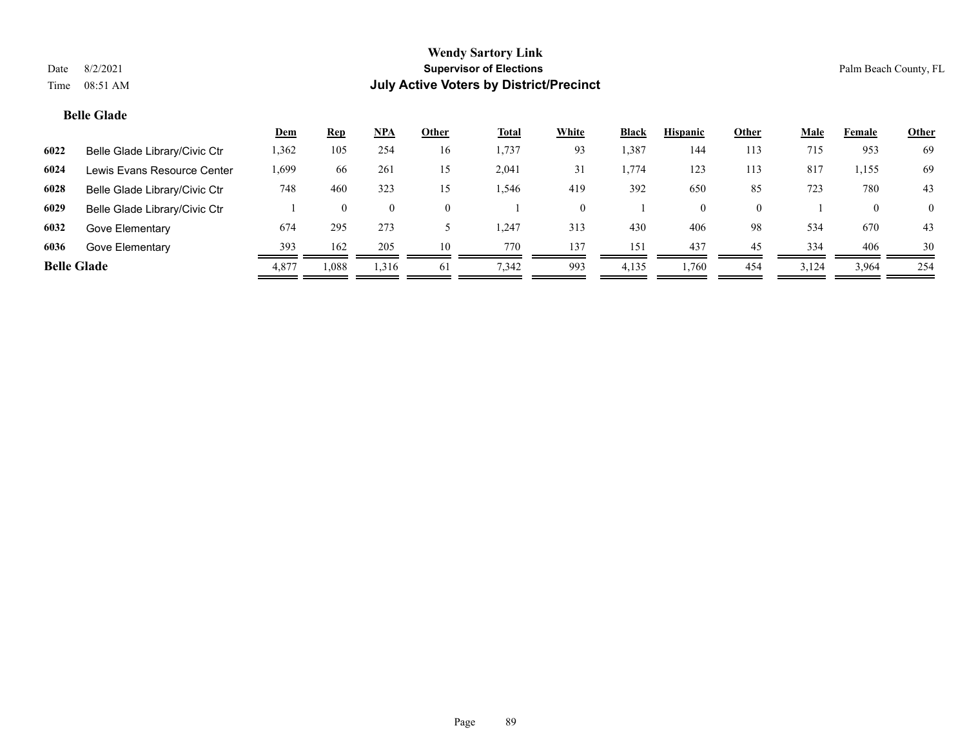# **Belle Glade**

|                    |                               | <b>Dem</b> | <b>Rep</b> | $NPA$    | Other    | <b>Total</b> | White | <b>Black</b> | <b>Hispanic</b> | Other    | Male  | Female | <b>Other</b>   |
|--------------------|-------------------------------|------------|------------|----------|----------|--------------|-------|--------------|-----------------|----------|-------|--------|----------------|
| 6022               | Belle Glade Library/Civic Ctr | 1,362      | 105        | 254      | 16       | 1,737        | 93    | ,387         | 144             | 113      | 715   | 953    | 69             |
| 6024               | Lewis Evans Resource Center   | .,699      | 66         | 261      | 15       | 2,041        | 31    | . ,774       | 123             | 113      | 817   | 1,155  | 69             |
| 6028               | Belle Glade Library/Civic Ctr | 748        | 460        | 323      | 15       | 1,546        | 419   | 392          | 650             | 85       | 723   | 780    | 43             |
| 6029               | Belle Glade Library/Civic Ctr |            | $\theta$   | $\bf{0}$ | $\theta$ |              |       |              | $\theta$        | $\Omega$ |       |        | $\overline{0}$ |
| 6032               | Gove Elementary               | 674        | 295        | 273      |          | 1,247        | 313   | 430          | 406             | 98       | 534   | 670    | 43             |
| 6036               | Gove Elementary               | 393        | 162        | 205      | 10       | 770          | 137   | 151          | 437             | 45       | 334   | 406    | 30             |
| <b>Belle Glade</b> |                               | 4,877      | 0.088      | 1,316    | 61       | 7,342        | 993   | 4,135        | 1,760           | 454      | 3,124 | 3,964  | 254            |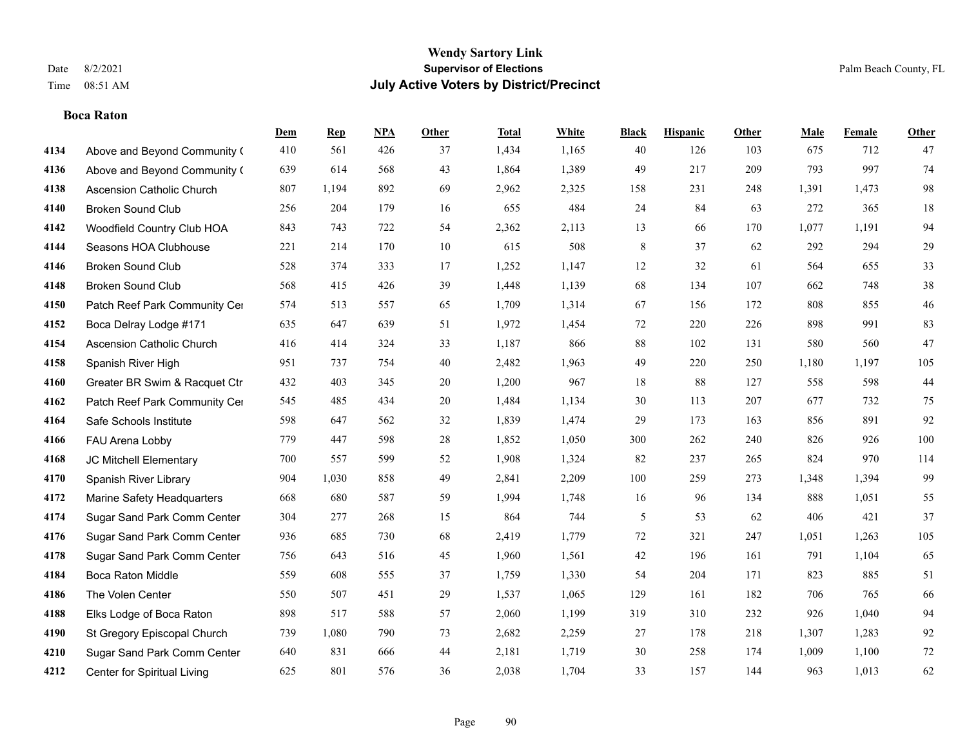# **Boca Raton**

|      |                               | Dem | <b>Rep</b> | NPA | <b>Other</b> | <b>Total</b> | <b>White</b> | <b>Black</b>   | <b>Hispanic</b> | <b>Other</b> | <b>Male</b> | <b>Female</b> | <b>Other</b> |
|------|-------------------------------|-----|------------|-----|--------------|--------------|--------------|----------------|-----------------|--------------|-------------|---------------|--------------|
| 4134 | Above and Beyond Community (  | 410 | 561        | 426 | 37           | 1,434        | 1,165        | 40             | 126             | 103          | 675         | 712           | 47           |
| 4136 | Above and Beyond Community (  | 639 | 614        | 568 | 43           | 1,864        | 1,389        | 49             | 217             | 209          | 793         | 997           | 74           |
| 4138 | Ascension Catholic Church     | 807 | 1,194      | 892 | 69           | 2,962        | 2,325        | 158            | 231             | 248          | 1,391       | 1,473         | $98\,$       |
| 4140 | <b>Broken Sound Club</b>      | 256 | 204        | 179 | 16           | 655          | 484          | 24             | 84              | 63           | 272         | 365           | 18           |
| 4142 | Woodfield Country Club HOA    | 843 | 743        | 722 | 54           | 2,362        | 2,113        | 13             | 66              | 170          | 1,077       | 1.191         | 94           |
| 4144 | Seasons HOA Clubhouse         | 221 | 214        | 170 | 10           | 615          | 508          | 8              | 37              | 62           | 292         | 294           | $29\,$       |
| 4146 | <b>Broken Sound Club</b>      | 528 | 374        | 333 | 17           | 1,252        | 1,147        | 12             | 32              | 61           | 564         | 655           | 33           |
| 4148 | <b>Broken Sound Club</b>      | 568 | 415        | 426 | 39           | 1,448        | 1,139        | 68             | 134             | 107          | 662         | 748           | 38           |
| 4150 | Patch Reef Park Community Cer | 574 | 513        | 557 | 65           | 1,709        | 1,314        | 67             | 156             | 172          | 808         | 855           | $46\,$       |
| 4152 | Boca Delray Lodge #171        | 635 | 647        | 639 | 51           | 1,972        | 1,454        | 72             | 220             | 226          | 898         | 991           | 83           |
| 4154 | Ascension Catholic Church     | 416 | 414        | 324 | 33           | 1,187        | 866          | 88             | 102             | 131          | 580         | 560           | 47           |
| 4158 | Spanish River High            | 951 | 737        | 754 | 40           | 2,482        | 1,963        | 49             | 220             | 250          | 1,180       | 1,197         | 105          |
| 4160 | Greater BR Swim & Racquet Ctr | 432 | 403        | 345 | 20           | 1,200        | 967          | 18             | 88              | 127          | 558         | 598           | $44\,$       |
| 4162 | Patch Reef Park Community Cer | 545 | 485        | 434 | $20\,$       | 1,484        | 1,134        | $30\,$         | 113             | 207          | 677         | 732           | 75           |
| 4164 | Safe Schools Institute        | 598 | 647        | 562 | 32           | 1,839        | 1,474        | 29             | 173             | 163          | 856         | 891           | 92           |
| 4166 | FAU Arena Lobby               | 779 | 447        | 598 | 28           | 1,852        | 1,050        | 300            | 262             | 240          | 826         | 926           | 100          |
| 4168 | JC Mitchell Elementary        | 700 | 557        | 599 | 52           | 1,908        | 1,324        | 82             | 237             | 265          | 824         | 970           | 114          |
| 4170 | Spanish River Library         | 904 | 1,030      | 858 | 49           | 2,841        | 2,209        | 100            | 259             | 273          | 1,348       | 1,394         | 99           |
| 4172 | Marine Safety Headquarters    | 668 | 680        | 587 | 59           | 1,994        | 1,748        | 16             | 96              | 134          | 888         | 1,051         | 55           |
| 4174 | Sugar Sand Park Comm Center   | 304 | 277        | 268 | 15           | 864          | 744          | $\mathfrak{S}$ | 53              | 62           | 406         | 421           | 37           |
| 4176 | Sugar Sand Park Comm Center   | 936 | 685        | 730 | 68           | 2,419        | 1,779        | 72             | 321             | 247          | 1,051       | 1,263         | 105          |
| 4178 | Sugar Sand Park Comm Center   | 756 | 643        | 516 | 45           | 1,960        | 1,561        | $42\,$         | 196             | 161          | 791         | 1,104         | 65           |
| 4184 | <b>Boca Raton Middle</b>      | 559 | 608        | 555 | 37           | 1,759        | 1,330        | 54             | 204             | 171          | 823         | 885           | 51           |
| 4186 | The Volen Center              | 550 | 507        | 451 | 29           | 1,537        | 1,065        | 129            | 161             | 182          | 706         | 765           | 66           |
| 4188 | Elks Lodge of Boca Raton      | 898 | 517        | 588 | 57           | 2,060        | 1,199        | 319            | 310             | 232          | 926         | 1.040         | 94           |
| 4190 | St Gregory Episcopal Church   | 739 | 1,080      | 790 | 73           | 2,682        | 2,259        | 27             | 178             | 218          | 1,307       | 1,283         | 92           |
| 4210 | Sugar Sand Park Comm Center   | 640 | 831        | 666 | 44           | 2,181        | 1,719        | 30             | 258             | 174          | 1,009       | 1,100         | $72\,$       |
| 4212 | Center for Spiritual Living   | 625 | 801        | 576 | 36           | 2,038        | 1,704        | 33             | 157             | 144          | 963         | 1,013         | 62           |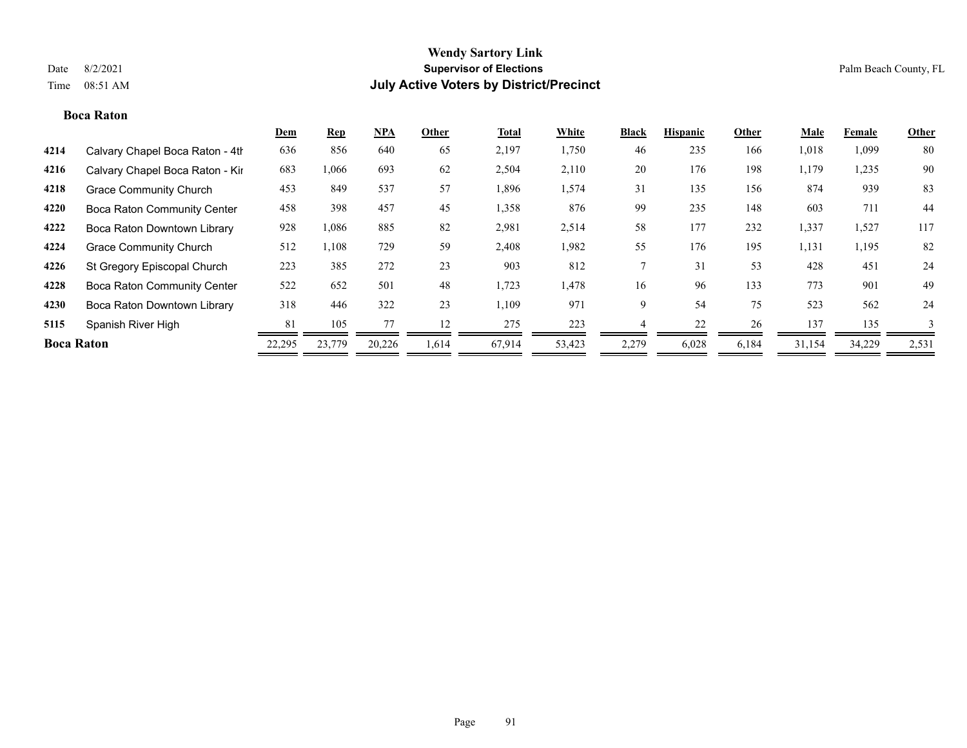# **Boca Raton**

|                   |                                    | Dem    | <b>Rep</b> | <b>NPA</b> | Other | <b>Total</b> | White  | <b>Black</b> | <b>Hispanic</b> | Other | Male   | Female | Other |
|-------------------|------------------------------------|--------|------------|------------|-------|--------------|--------|--------------|-----------------|-------|--------|--------|-------|
| 4214              | Calvary Chapel Boca Raton - 4th    | 636    | 856        | 640        | 65    | 2,197        | 1,750  | 46           | 235             | 166   | 1,018  | 1,099  | 80    |
| 4216              | Calvary Chapel Boca Raton - Kir    | 683    | 1,066      | 693        | 62    | 2,504        | 2,110  | 20           | 176             | 198   | 1,179  | 1,235  | 90    |
| 4218              | <b>Grace Community Church</b>      | 453    | 849        | 537        | 57    | 1,896        | 1,574  | 31           | 135             | 156   | 874    | 939    | 83    |
| 4220              | <b>Boca Raton Community Center</b> | 458    | 398        | 457        | 45    | 1,358        | 876    | 99           | 235             | 148   | 603    | 711    | 44    |
| 4222              | Boca Raton Downtown Library        | 928    | 1,086      | 885        | 82    | 2,981        | 2,514  | 58           | 177             | 232   | 1,337  | 1,527  | 117   |
| 4224              | <b>Grace Community Church</b>      | 512    | 1,108      | 729        | 59    | 2,408        | 1,982  | 55           | 176             | 195   | 1,131  | 1,195  | 82    |
| 4226              | St Gregory Episcopal Church        | 223    | 385        | 272        | 23    | 903          | 812    |              | 31              | 53    | 428    | 451    | 24    |
| 4228              | <b>Boca Raton Community Center</b> | 522    | 652        | 501        | 48    | 1,723        | 1,478  | 16           | 96              | 133   | 773    | 901    | 49    |
| 4230              | Boca Raton Downtown Library        | 318    | 446        | 322        | 23    | 1,109        | 971    | 9            | 54              | 75    | 523    | 562    | 24    |
| 5115              | Spanish River High                 | 81     | 105        |            | 12    | 275          | 223    |              | 22              | 26    | 137    | 135    |       |
| <b>Boca Raton</b> |                                    | 22,295 | 23,779     | 20,226     | 1,614 | 67,914       | 53,423 | 2,279        | 6,028           | 6,184 | 31,154 | 34,229 | 2,531 |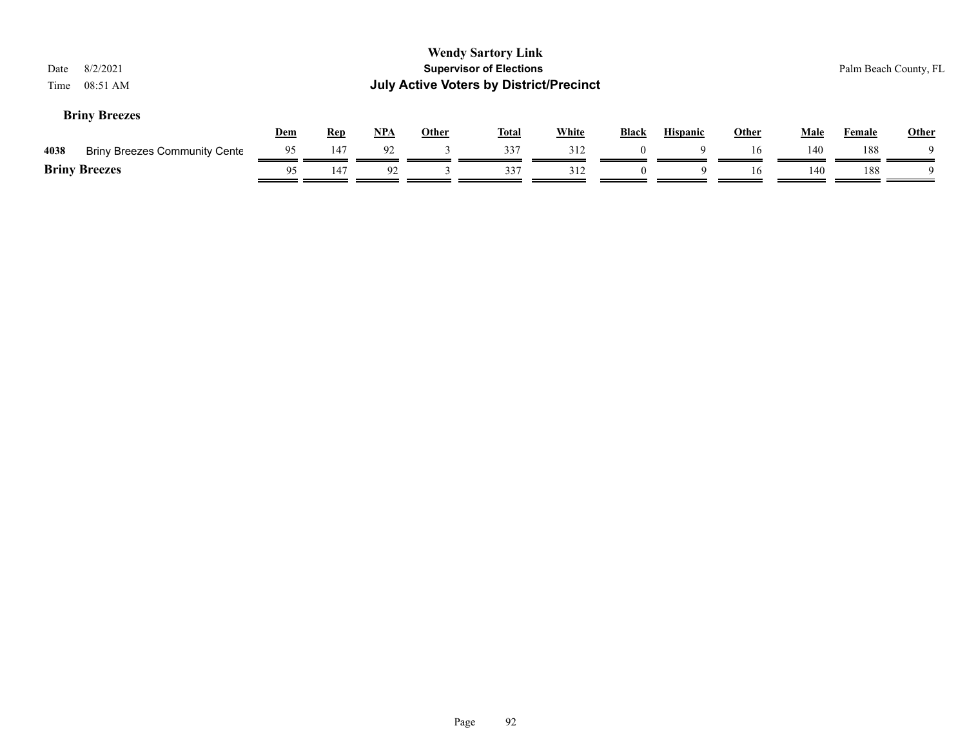| 8/2/2021<br>Date<br>08:51 AM<br>Time         |            |            |       |              | <b>Wendy Sartory Link</b><br><b>Supervisor of Elections</b><br><b>July Active Voters by District/Precinct</b> |              |          |                 |              |             |               | Palm Beach County, FL |
|----------------------------------------------|------------|------------|-------|--------------|---------------------------------------------------------------------------------------------------------------|--------------|----------|-----------------|--------------|-------------|---------------|-----------------------|
| <b>Briny Breezes</b>                         | <u>Dem</u> | <b>Rep</b> | $NPA$ | <b>Other</b> | <b>Total</b>                                                                                                  | <b>White</b> | Black    | <b>Hispanic</b> | <b>Other</b> | <b>Male</b> | <b>Female</b> | Other                 |
| <b>Briny Breezes Community Cente</b><br>4038 | 95         | 147        | 92    |              | 337                                                                                                           | 312          | $\theta$ | 9               | 16           | 140         | 188           | $\Omega$              |
| <b>Briny Breezes</b>                         | 95         | 147        | 92    |              | 337                                                                                                           | 312          |          | Q               | 16           | 140         | 188           | Q                     |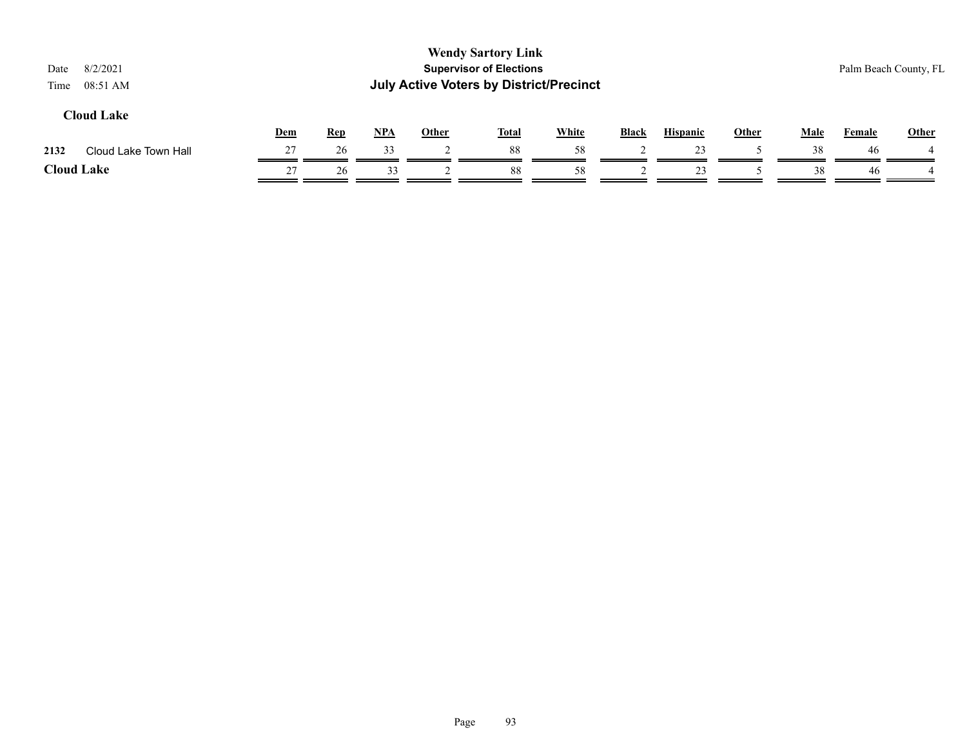| 8/2/2021<br>Date<br>08:51 AM<br>Time |            |            |       |              | <b>Wendy Sartory Link</b><br><b>Supervisor of Elections</b><br><b>July Active Voters by District/Precinct</b> |              |              |                 |       |             |        | Palm Beach County, FL |
|--------------------------------------|------------|------------|-------|--------------|---------------------------------------------------------------------------------------------------------------|--------------|--------------|-----------------|-------|-------------|--------|-----------------------|
| <b>Cloud Lake</b>                    | <b>Dem</b> | <b>Rep</b> | $NPA$ | <b>Other</b> | <b>Total</b>                                                                                                  | <b>White</b> | <b>Black</b> | <b>Hispanic</b> | Other | <b>Male</b> | Female | <b>Other</b>          |
| 2132<br>Cloud Lake Town Hall         | 27         | 26         | 33    |              | 88                                                                                                            | 58           |              | 23              |       | 38          | 46     |                       |
| <b>Cloud Lake</b>                    | 27         | 26         | 33    |              | 88                                                                                                            | 58           |              | 23              |       | 38          | 46     |                       |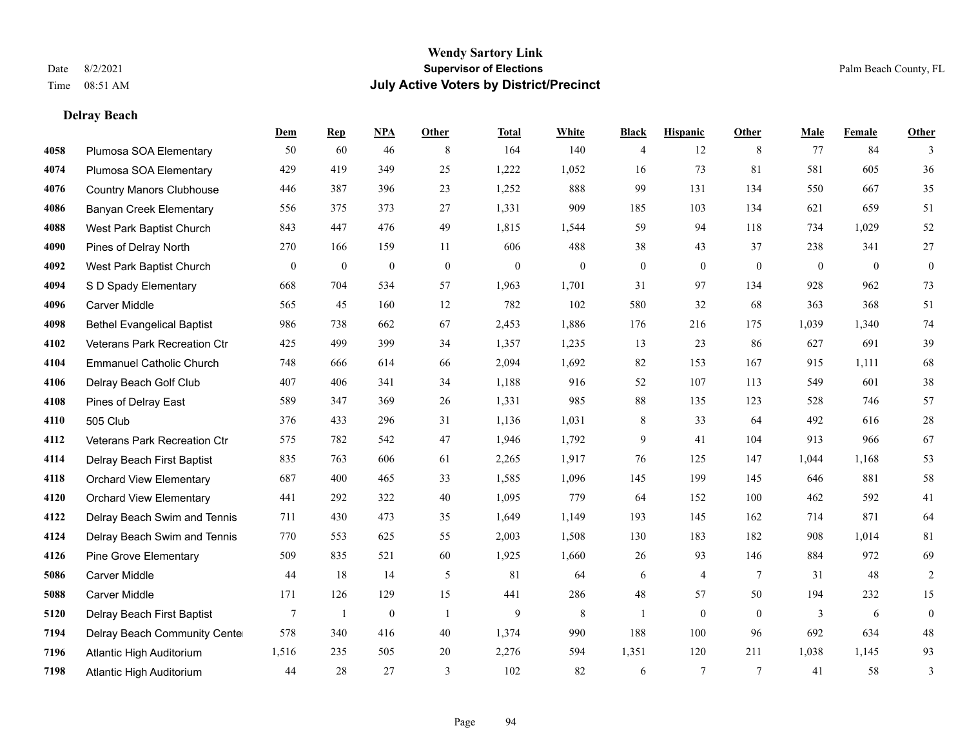# **Delray Beach**

|      |                                   | Dem              | <b>Rep</b>       | NPA              | <b>Other</b>   | <b>Total</b>     | <b>White</b>     | <b>Black</b>     | <b>Hispanic</b>  | <b>Other</b>   | <b>Male</b>  | Female         | <b>Other</b>     |
|------|-----------------------------------|------------------|------------------|------------------|----------------|------------------|------------------|------------------|------------------|----------------|--------------|----------------|------------------|
| 4058 | Plumosa SOA Elementary            | 50               | 60               | 46               | 8              | 164              | 140              | 4                | 12               | 8              | 77           | 84             | 3                |
| 4074 | Plumosa SOA Elementary            | 429              | 419              | 349              | 25             | 1,222            | 1,052            | 16               | 73               | 81             | 581          | 605            | 36               |
| 4076 | <b>Country Manors Clubhouse</b>   | 446              | 387              | 396              | 23             | 1,252            | 888              | 99               | 131              | 134            | 550          | 667            | 35               |
| 4086 | <b>Banyan Creek Elementary</b>    | 556              | 375              | 373              | 27             | 1,331            | 909              | 185              | 103              | 134            | 621          | 659            | 51               |
| 4088 | West Park Baptist Church          | 843              | 447              | 476              | 49             | 1,815            | 1,544            | 59               | 94               | 118            | 734          | 1.029          | 52               |
| 4090 | Pines of Delray North             | 270              | 166              | 159              | 11             | 606              | 488              | 38               | 43               | 37             | 238          | 341            | 27               |
| 4092 | West Park Baptist Church          | $\boldsymbol{0}$ | $\boldsymbol{0}$ | $\boldsymbol{0}$ | $\mathbf{0}$   | $\boldsymbol{0}$ | $\boldsymbol{0}$ | $\boldsymbol{0}$ | $\boldsymbol{0}$ | $\mathbf{0}$   | $\mathbf{0}$ | $\overline{0}$ | $\boldsymbol{0}$ |
| 4094 | S D Spady Elementary              | 668              | 704              | 534              | 57             | 1,963            | 1,701            | 31               | 97               | 134            | 928          | 962            | 73               |
| 4096 | <b>Carver Middle</b>              | 565              | 45               | 160              | 12             | 782              | 102              | 580              | 32               | 68             | 363          | 368            | 51               |
| 4098 | <b>Bethel Evangelical Baptist</b> | 986              | 738              | 662              | 67             | 2,453            | 1,886            | 176              | 216              | 175            | 1,039        | 1,340          | 74               |
| 4102 | Veterans Park Recreation Ctr      | 425              | 499              | 399              | 34             | 1,357            | 1,235            | 13               | 23               | 86             | 627          | 691            | 39               |
| 4104 | <b>Emmanuel Catholic Church</b>   | 748              | 666              | 614              | 66             | 2,094            | 1,692            | 82               | 153              | 167            | 915          | 1,111          | 68               |
| 4106 | Delray Beach Golf Club            | 407              | 406              | 341              | 34             | 1,188            | 916              | 52               | 107              | 113            | 549          | 601            | $38\,$           |
| 4108 | Pines of Delray East              | 589              | 347              | 369              | $26\,$         | 1,331            | 985              | $88\,$           | 135              | 123            | 528          | 746            | 57               |
| 4110 | 505 Club                          | 376              | 433              | 296              | 31             | 1,136            | 1,031            | 8                | 33               | 64             | 492          | 616            | $28\,$           |
| 4112 | Veterans Park Recreation Ctr      | 575              | 782              | 542              | 47             | 1,946            | 1,792            | 9                | 41               | 104            | 913          | 966            | 67               |
| 4114 | Delray Beach First Baptist        | 835              | 763              | 606              | 61             | 2,265            | 1,917            | 76               | 125              | 147            | 1,044        | 1,168          | 53               |
| 4118 | <b>Orchard View Elementary</b>    | 687              | 400              | 465              | 33             | 1,585            | 1,096            | 145              | 199              | 145            | 646          | 881            | 58               |
| 4120 | <b>Orchard View Elementary</b>    | 441              | 292              | 322              | 40             | 1,095            | 779              | 64               | 152              | 100            | 462          | 592            | 41               |
| 4122 | Delray Beach Swim and Tennis      | 711              | 430              | 473              | 35             | 1,649            | 1,149            | 193              | 145              | 162            | 714          | 871            | 64               |
| 4124 | Delray Beach Swim and Tennis      | 770              | 553              | 625              | 55             | 2,003            | 1,508            | 130              | 183              | 182            | 908          | 1,014          | 81               |
| 4126 | Pine Grove Elementary             | 509              | 835              | 521              | 60             | 1,925            | 1,660            | 26               | 93               | 146            | 884          | 972            | 69               |
| 5086 | <b>Carver Middle</b>              | 44               | 18               | 14               | 5              | 81               | 64               | 6                | 4                | $\overline{7}$ | 31           | 48             | $\overline{c}$   |
| 5088 | <b>Carver Middle</b>              | 171              | 126              | 129              | 15             | 441              | 286              | 48               | 57               | 50             | 194          | 232            | 15               |
| 5120 | Delray Beach First Baptist        | $\overline{7}$   | $\mathbf{1}$     | $\mathbf{0}$     | $\overline{1}$ | 9                | $\,$ 8 $\,$      | $\mathbf{1}$     | $\mathbf{0}$     | $\theta$       | 3            | 6              | $\boldsymbol{0}$ |
| 7194 | Delray Beach Community Cente      | 578              | 340              | 416              | 40             | 1,374            | 990              | 188              | 100              | 96             | 692          | 634            | $48\,$           |
| 7196 | Atlantic High Auditorium          | 1,516            | 235              | 505              | 20             | 2,276            | 594              | 1,351            | 120              | 211            | 1,038        | 1,145          | 93               |
| 7198 | Atlantic High Auditorium          | 44               | 28               | 27               | 3              | 102              | 82               | 6                | 7                | $\overline{7}$ | 41           | 58             | $\mathfrak{Z}$   |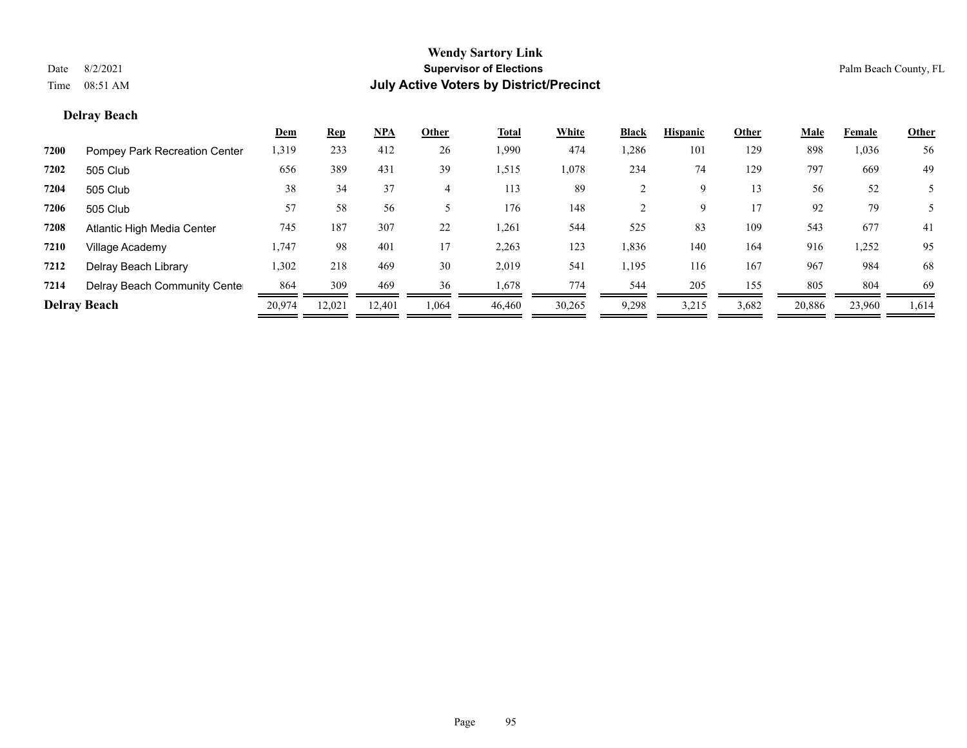# **Delray Beach**

|                     |                               | <u>Dem</u> | <b>Rep</b> | <u>NPA</u> | Other | Total  | White  | <b>Black</b> | <b>Hispanic</b> | Other | Male   | Female | <b>Other</b> |
|---------------------|-------------------------------|------------|------------|------------|-------|--------|--------|--------------|-----------------|-------|--------|--------|--------------|
| 7200                | Pompey Park Recreation Center | 1,319      | 233        | 412        | 26    | 1,990  | 474    | 1,286        | 101             | 129   | 898    | 1,036  | 56           |
| 7202                | 505 Club                      | 656        | 389        | 431        | 39    | 1,515  | 1,078  | 234          | 74              | 129   | 797    | 669    | 49           |
| 7204                | 505 Club                      | 38         | 34         | 37         | 4     | 113    | 89     |              | 9               | 13    | 56     | 52     |              |
| 7206                | 505 Club                      | 57         | 58         | 56         |       | 176    | 148    |              | 9               | 17    | 92     | 79     |              |
| 7208                | Atlantic High Media Center    | 745        | 187        | 307        | 22    | 1,261  | 544    | 525          | 83              | 109   | 543    | 677    | 41           |
| 7210                | Village Academy               | 1,747      | 98         | 401        | 17    | 2,263  | 123    | 1,836        | 140             | 164   | 916    | 1,252  | 95           |
| 7212                | Delray Beach Library          | 1,302      | 218        | 469        | 30    | 2,019  | 541    | 1,195        | 116             | 167   | 967    | 984    | 68           |
| 7214                | Delray Beach Community Cente  | 864        | 309        | 469        | 36    | 1,678  | 774    | 544          | 205             | 155   | 805    | 804    | 69           |
| <b>Delray Beach</b> |                               | 20,974     | 12,021     | 12.401     | 1,064 | 46,460 | 30,265 | 9,298        | 3,215           | 3,682 | 20,886 | 23,960 | 1,614        |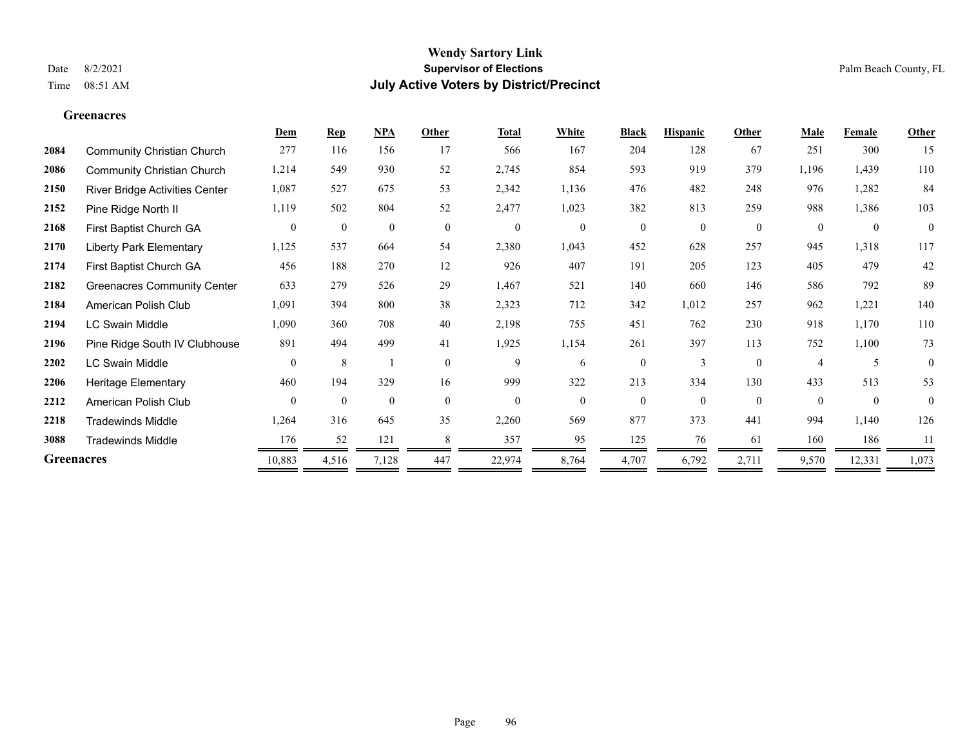**Greenacres**

# **Wendy Sartory Link** Date 8/2/2021 **Supervisor of Elections** Palm Beach County, FL Time 08:51 AM **July Active Voters by District/Precinct**

|                   |                                    | Dem            | <b>Rep</b>   | NPA          | Other    | <b>Total</b>     | White        | <b>Black</b>   | <b>Hispanic</b> | Other        | Male     | Female           | <b>Other</b> |
|-------------------|------------------------------------|----------------|--------------|--------------|----------|------------------|--------------|----------------|-----------------|--------------|----------|------------------|--------------|
| 2084              | <b>Community Christian Church</b>  | 277            | 116          | 156          | 17       | 566              | 167          | 204            | 128             | 67           | 251      | 300              | 15           |
| 2086              | <b>Community Christian Church</b>  | 1,214          | 549          | 930          | 52       | 2,745            | 854          | 593            | 919             | 379          | 1,196    | 1,439            | 110          |
| 2150              | River Bridge Activities Center     | 1,087          | 527          | 675          | 53       | 2,342            | 1,136        | 476            | 482             | 248          | 976      | 1,282            | 84           |
| 2152              | Pine Ridge North II                | 1,119          | 502          | 804          | 52       | 2,477            | 1,023        | 382            | 813             | 259          | 988      | 1,386            | 103          |
| 2168              | First Baptist Church GA            | $\overline{0}$ | $\mathbf{0}$ | $\mathbf{0}$ | $\theta$ | $\boldsymbol{0}$ | $\mathbf{0}$ | $\overline{0}$ | $\overline{0}$  | $\mathbf{0}$ | $\theta$ | $\boldsymbol{0}$ | $\mathbf{0}$ |
| 2170              | <b>Liberty Park Elementary</b>     | 1,125          | 537          | 664          | 54       | 2,380            | 1,043        | 452            | 628             | 257          | 945      | 1,318            | 117          |
| 2174              | First Baptist Church GA            | 456            | 188          | 270          | 12       | 926              | 407          | 191            | 205             | 123          | 405      | 479              | 42           |
| 2182              | <b>Greenacres Community Center</b> | 633            | 279          | 526          | 29       | 1,467            | 521          | 140            | 660             | 146          | 586      | 792              | 89           |
| 2184              | American Polish Club               | 1,091          | 394          | 800          | 38       | 2,323            | 712          | 342            | 1,012           | 257          | 962      | 1,221            | 140          |
| 2194              | LC Swain Middle                    | 1,090          | 360          | 708          | 40       | 2,198            | 755          | 451            | 762             | 230          | 918      | 1,170            | 110          |
| 2196              | Pine Ridge South IV Clubhouse      | 891            | 494          | 499          | 41       | 1,925            | 1,154        | 261            | 397             | 113          | 752      | 1,100            | 73           |
| 2202              | LC Swain Middle                    | $\theta$       | 8            |              | $\Omega$ | 9                | 6            | $\overline{0}$ | 3               | $\theta$     | 4        | 5                | $\mathbf{0}$ |
| 2206              | <b>Heritage Elementary</b>         | 460            | 194          | 329          | 16       | 999              | 322          | 213            | 334             | 130          | 433      | 513              | 53           |
| 2212              | American Polish Club               | $\mathbf{0}$   | $\mathbf{0}$ | $\mathbf{0}$ | $\Omega$ | $\mathbf{0}$     | $\Omega$     | $\overline{0}$ | $\theta$        | $\theta$     | $\Omega$ | $\theta$         | $\mathbf{0}$ |
| 2218              | <b>Tradewinds Middle</b>           | 1,264          | 316          | 645          | 35       | 2,260            | 569          | 877            | 373             | 441          | 994      | 1,140            | 126          |
| 3088              | <b>Tradewinds Middle</b>           | 176            | 52           | 121          |          | 357              | 95           | 125            | 76              | 61           | 160      | 186              | 11           |
| <b>Greenacres</b> |                                    | 10,883         | 4,516        | 7,128        | 447      | 22,974           | 8,764        | 4,707          | 6,792           | 2,711        | 9,570    | 12,331           | 1,073        |
|                   |                                    |                |              |              |          |                  |              |                |                 |              |          |                  |              |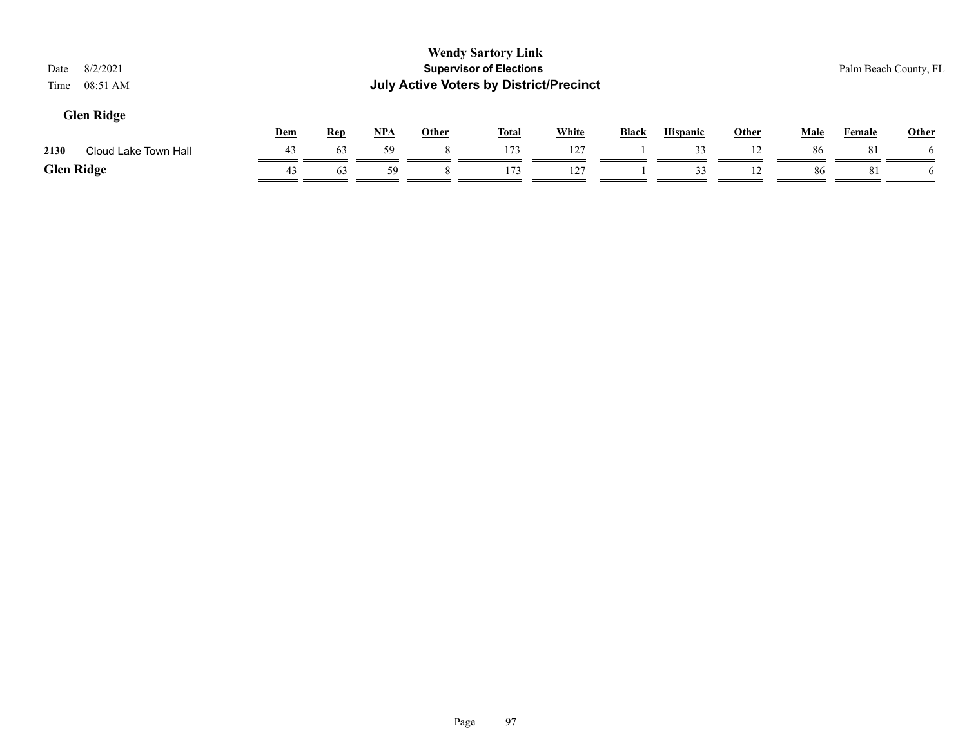| 8/2/2021<br>Date<br>08:51 AM<br>Time |     |            |     |       | <b>Wendy Sartory Link</b><br><b>Supervisor of Elections</b><br><b>July Active Voters by District/Precinct</b> |              |              |                 |       |             |               | Palm Beach County, FL |
|--------------------------------------|-----|------------|-----|-------|---------------------------------------------------------------------------------------------------------------|--------------|--------------|-----------------|-------|-------------|---------------|-----------------------|
| <b>Glen Ridge</b>                    | Dem | <b>Rep</b> | NPA | Other | <u>Total</u>                                                                                                  | <b>White</b> | <b>Black</b> | <b>Hispanic</b> | Other | <b>Male</b> | <b>Female</b> | Other                 |
| 2130<br>Cloud Lake Town Hall         | 43  | 63         | 59  | 8     | 173                                                                                                           | 127          |              | 33              |       | 86          | 81            | $\mathfrak{b}$        |
| <b>Glen Ridge</b>                    | 43  | 63         | 59  |       | 173                                                                                                           | 127          |              | 33              | 12    | 86          | 81            |                       |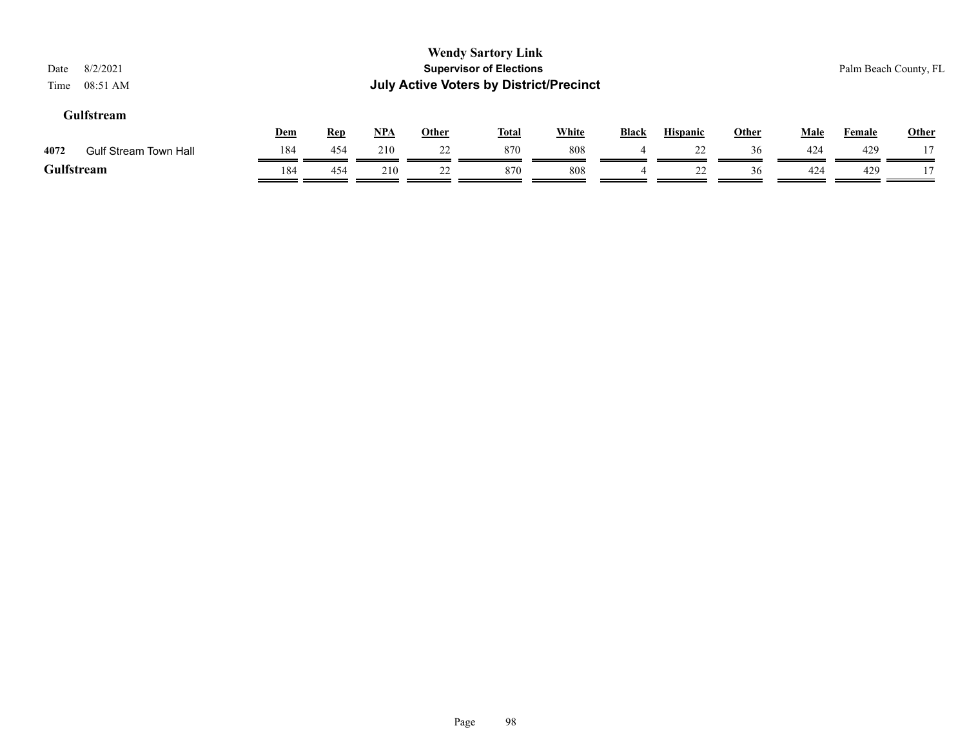| Date<br>Time | 8/2/2021<br>08:51 AM         |     |            |       |       | <b>Wendy Sartory Link</b><br><b>Supervisor of Elections</b><br><b>July Active Voters by District/Precinct</b> |              |                |                 |              |             |               | Palm Beach County, FL |
|--------------|------------------------------|-----|------------|-------|-------|---------------------------------------------------------------------------------------------------------------|--------------|----------------|-----------------|--------------|-------------|---------------|-----------------------|
|              | Gulfstream                   | Dem | <u>Rep</u> | $NPA$ | Other | <u>Total</u>                                                                                                  | <b>White</b> | <b>Black</b>   | <b>Hispanic</b> | <b>Other</b> | <b>Male</b> | <b>Female</b> | <b>Other</b>          |
| 4072         | <b>Gulf Stream Town Hall</b> | 184 | 454        | 210   | 22    | 870                                                                                                           | 808          |                | 22              | 36           | 424         | 429           |                       |
|              | Gulfstream                   | 184 | 454        | 210   | 22    | 870                                                                                                           | 808          | $\overline{4}$ | 22              | 36           | 424         | 429           |                       |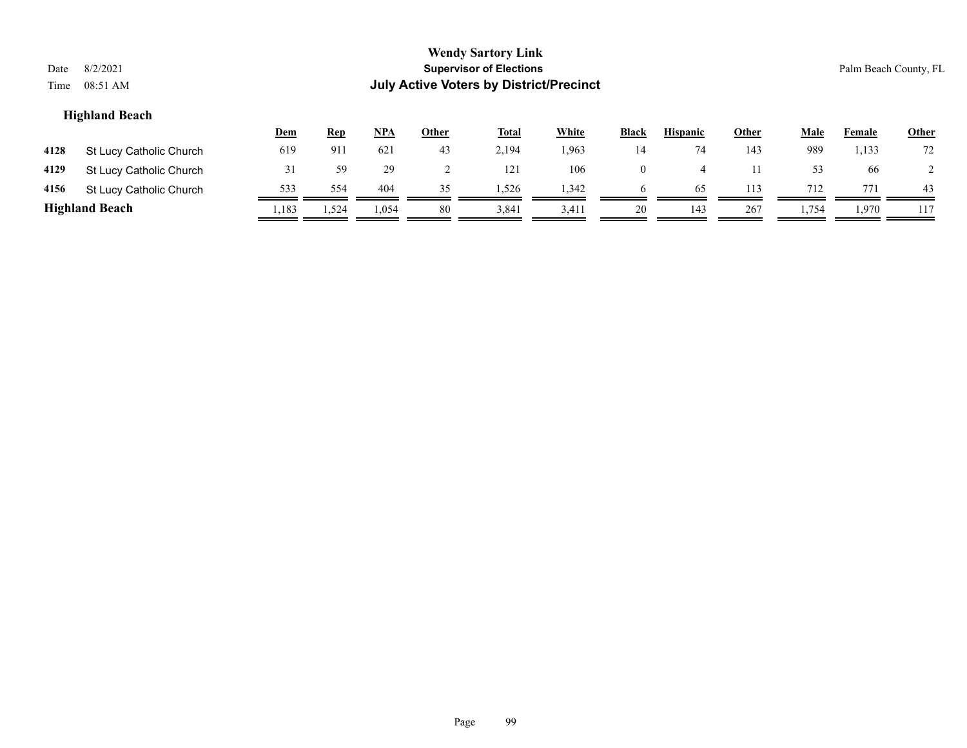| Date<br>Time                                                                                                                                                                                | 8/2/2021<br>08:51 AM    |       |       |       |    | <b>Wendy Sartory Link</b><br><b>Supervisor of Elections</b><br><b>July Active Voters by District/Precinct</b> |       |                |     |     |       |       | Palm Beach County, FL |
|---------------------------------------------------------------------------------------------------------------------------------------------------------------------------------------------|-------------------------|-------|-------|-------|----|---------------------------------------------------------------------------------------------------------------|-------|----------------|-----|-----|-------|-------|-----------------------|
| <b>Highland Beach</b><br><b>White</b><br><u>NPA</u><br><b>Hispanic</b><br>Other<br><b>Male</b><br><u>Other</u><br><b>Total</b><br><b>Black</b><br><u>Dem</u><br><u>Rep</u><br><b>Female</b> |                         |       |       |       |    |                                                                                                               |       |                |     |     |       |       |                       |
| 4128                                                                                                                                                                                        | St Lucy Catholic Church | 619   | 911   | 621   | 43 | 2,194                                                                                                         | 1,963 | 14             | 74  | 143 | 989   | 1,133 | 72                    |
| 4129                                                                                                                                                                                        | St Lucy Catholic Church | 31    | 59    | 29    | ∠  | 121                                                                                                           | 106   | $\overline{0}$ | 4   |     | 53    | 66    |                       |
| 4156                                                                                                                                                                                        | St Lucy Catholic Church | 533   | 554   | 404   | 35 | 1,526                                                                                                         | 1,342 | $\mathbf{p}$   | 65  | 113 | 712   | 771   | 43                    |
|                                                                                                                                                                                             | <b>Highland Beach</b>   | 1,183 | 1,524 | 1,054 | 80 | 3,841                                                                                                         | 3,411 | 20             | 143 | 267 | 1,754 | 1,970 | 117                   |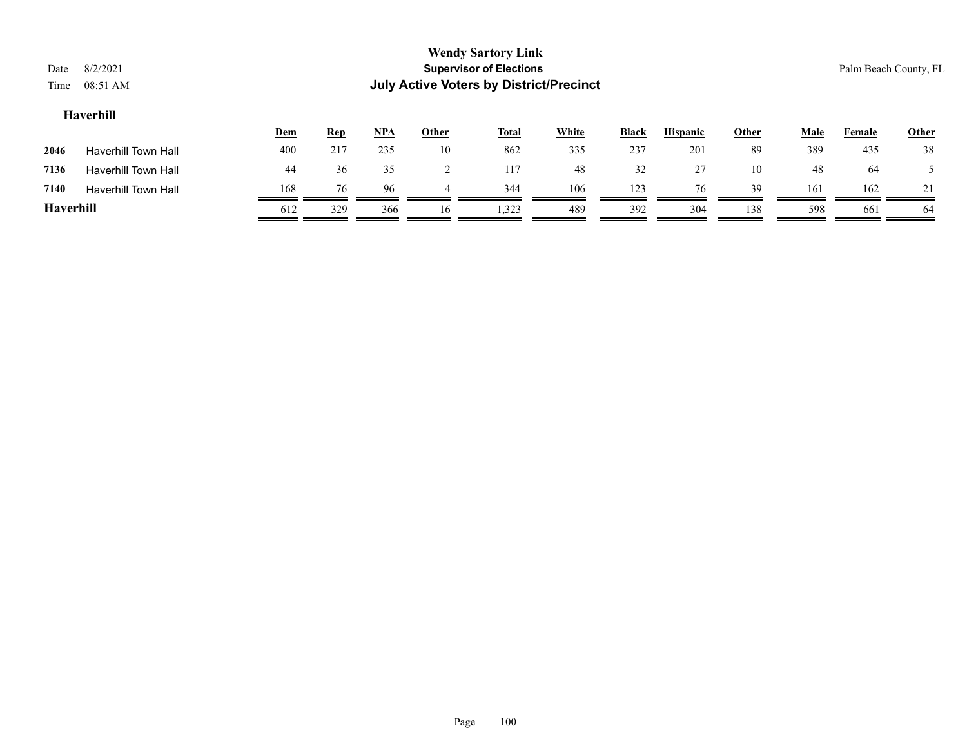| Date<br>Time     | 8/2/2021<br>08:51 AM       |            |            |            |       | <b>Wendy Sartory Link</b><br><b>Supervisor of Elections</b><br><b>July Active Voters by District/Precinct</b> |              |       |                 |              |      |        | Palm Beach County, FL |
|------------------|----------------------------|------------|------------|------------|-------|---------------------------------------------------------------------------------------------------------------|--------------|-------|-----------------|--------------|------|--------|-----------------------|
| Haverhill        |                            |            |            |            |       |                                                                                                               |              |       |                 |              |      |        |                       |
|                  |                            | <u>Dem</u> | <b>Rep</b> | <u>NPA</u> | Other | <u>Total</u>                                                                                                  | <b>White</b> | Black | <b>Hispanic</b> | <b>Other</b> | Male | Female | Other                 |
| 2046             | <b>Haverhill Town Hall</b> | 400        | 217        | 235        | 10    | 862                                                                                                           | 335          | 237   | 201             | 89           | 389  | 435    | 38                    |
| 7136             | <b>Haverhill Town Hall</b> | 44         | 36         | 35         |       | 117                                                                                                           | 48           | 32    | 27              | 10           | 48   | 64     |                       |
| 7140             | <b>Haverhill Town Hall</b> | 168        | 76         | 96         | 4     | 344                                                                                                           | 106          | 123   | 76              | 39           | 161  | 162    |                       |
| <b>Haverhill</b> |                            | 612        | 329        | 366        | 16    | 1,323                                                                                                         | 489          | 392   | 304             | 138          | 598  | 661    | 64                    |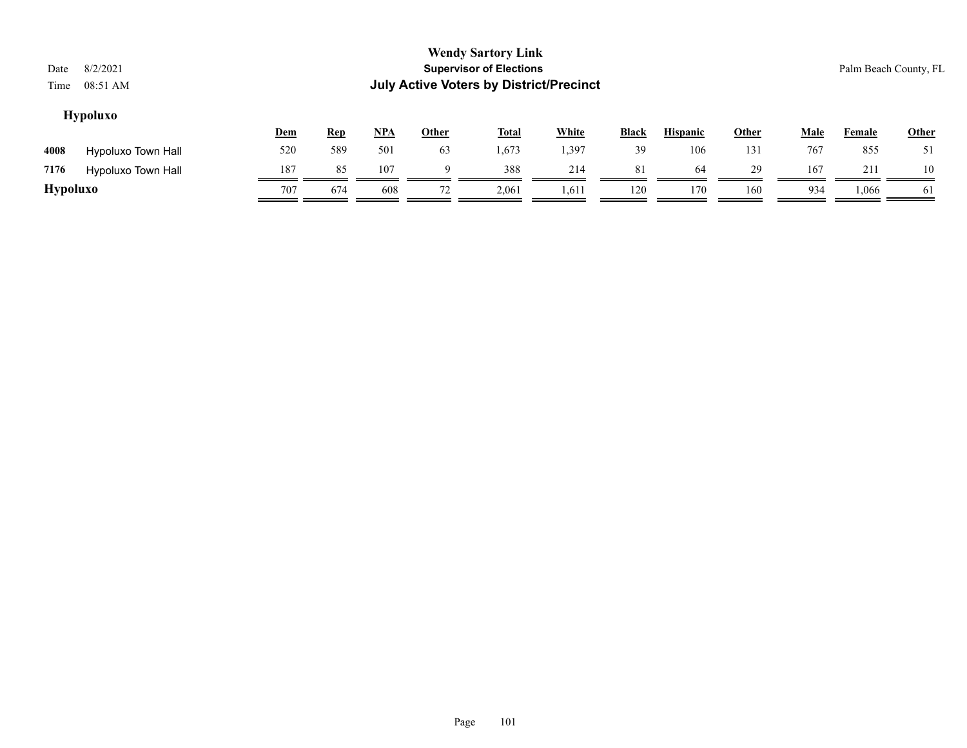| Date<br>Time    | 8/2/2021<br>08:51 AM      |            |            |            |              | <b>Wendy Sartory Link</b><br><b>Supervisor of Elections</b><br><b>July Active Voters by District/Precinct</b> |              |       |                 |       |             |        | Palm Beach County, FL |
|-----------------|---------------------------|------------|------------|------------|--------------|---------------------------------------------------------------------------------------------------------------|--------------|-------|-----------------|-------|-------------|--------|-----------------------|
|                 | <b>Hypoluxo</b>           | <b>Dem</b> | <b>Rep</b> | <u>NPA</u> | <b>Other</b> | <u>Total</u>                                                                                                  | <b>White</b> | Black | <b>Hispanic</b> | Other | <b>Male</b> | Female | Other                 |
| 4008            | Hypoluxo Town Hall        | 520        | 589        | 501        | 63           | 1,673                                                                                                         | 1,397        | 39    | 106             | 131   | 767         | 855    | 51                    |
| 7176            | <b>Hypoluxo Town Hall</b> | 187        | 85         | 107        | 9            | 388                                                                                                           | 214          | 81    | 64              | 29    | 167         | 211    | 10                    |
| <b>Hypoluxo</b> |                           | 707        | 674        | 608        | 72           | 2,061                                                                                                         | 1,611        | 120   | 170             | 160   | 934         | 1,066  | 61                    |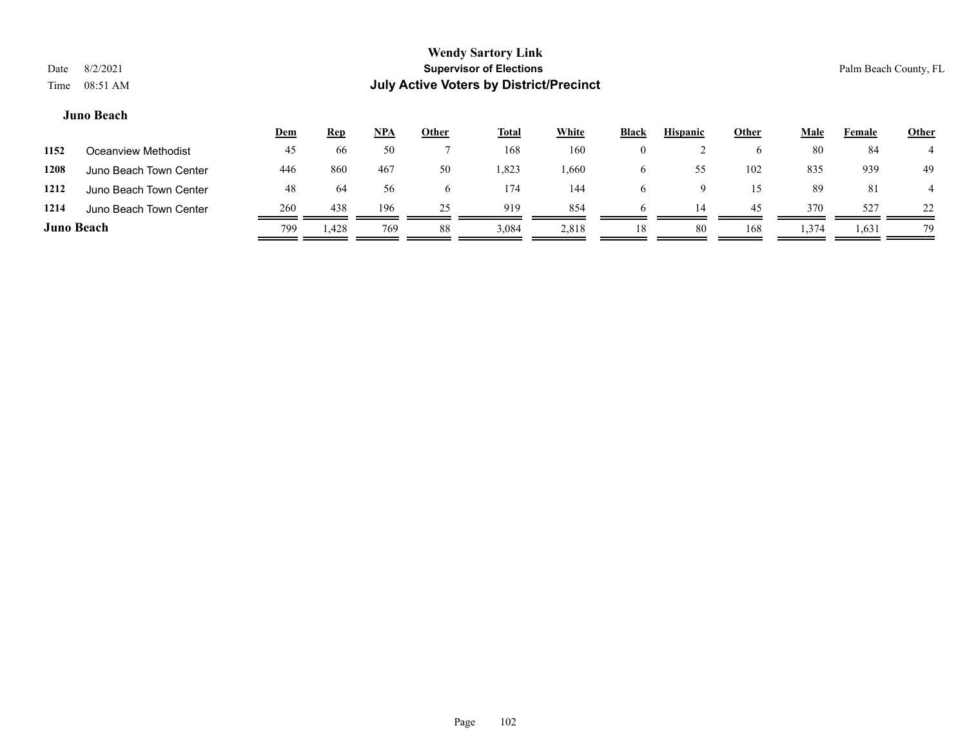# **Juno Beach**

|                   |                        | <u>Dem</u> | <u>Rep</u> | $NPA$ | <u>Other</u> | <u>Total</u> | <b>White</b> | <b>Black</b> | <b>Hispanic</b> | <b>Other</b> | Male  | Female | <b>Other</b> |
|-------------------|------------------------|------------|------------|-------|--------------|--------------|--------------|--------------|-----------------|--------------|-------|--------|--------------|
| 1152              | Oceanview Methodist    | 45         | 66         | 50    |              | 168          | 160          |              |                 | <sub>0</sub> | 80    | 84     |              |
| 1208              | Juno Beach Town Center | 446        | 860        | 467   | 50           | .823         | .660         |              | 55              | 102          | 835   | 939    | 49           |
| 1212              | Juno Beach Town Center | 48         | 64         | 56    | b.           | 174          | 144          |              |                 | 15           | 89    | 81     |              |
| 1214              | Juno Beach Town Center | 260        | 438        | 196   | 25           | 919          | 854          |              | 14              | 45           | 370   | 527    | 22           |
| <b>Juno Beach</b> |                        | 799        | . 428      | 769   | 88           | 3,084        | 2,818        | 18           | 80              | 168          | 1,374 | 1,631  | 79           |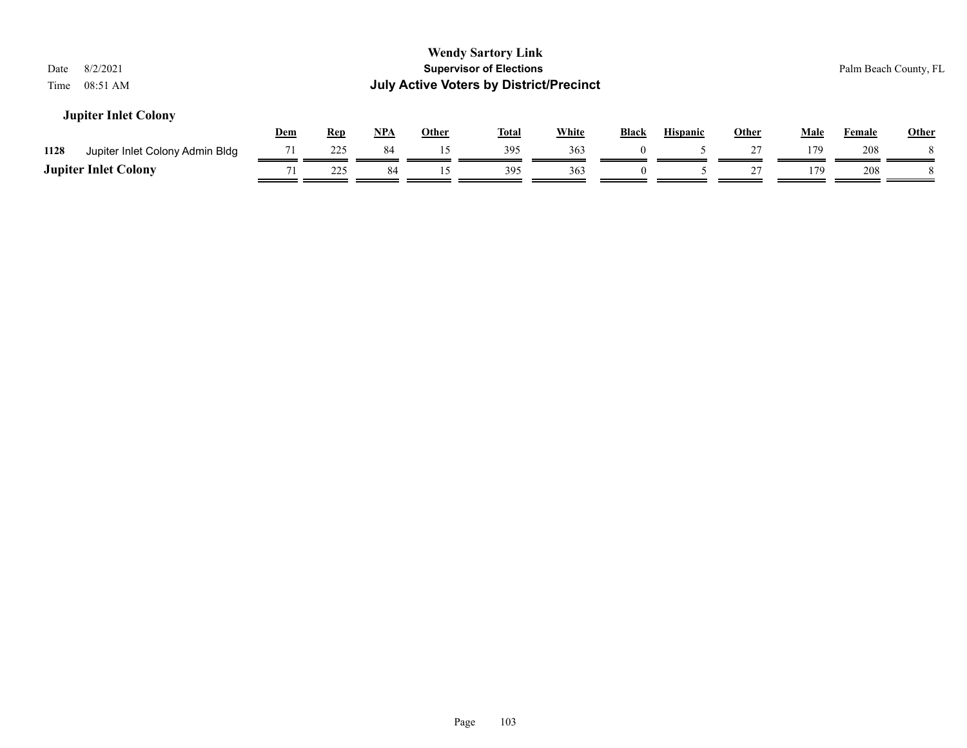| <b>Wendy Sartory Link</b><br><b>Supervisor of Elections</b><br>8/2/2021<br>Palm Beach County, FL<br>Date<br><b>July Active Voters by District/Precinct</b><br>08:51 AM<br>Time |       |              |              |              |              |                 |              |      |        |              |  |
|--------------------------------------------------------------------------------------------------------------------------------------------------------------------------------|-------|--------------|--------------|--------------|--------------|-----------------|--------------|------|--------|--------------|--|
| <b>Jupiter Inlet Colony</b><br><b>Rep</b><br><u>Dem</u>                                                                                                                        | $NPA$ | <b>Other</b> | <u>Total</u> | <b>White</b> | <b>Black</b> | <b>Hispanic</b> | <b>Other</b> | Male | Female | <b>Other</b> |  |
| 225<br>71<br>1128<br>Jupiter Inlet Colony Admin Bldg                                                                                                                           | 84    | 15           | 395          | 363          | $\theta$     |                 | 27           | 179  | 208    |              |  |
| <b>Jupiter Inlet Colony</b><br>225                                                                                                                                             | 84    | 15           | 395          | 363          | $\theta$     |                 |              | 179  | 208    |              |  |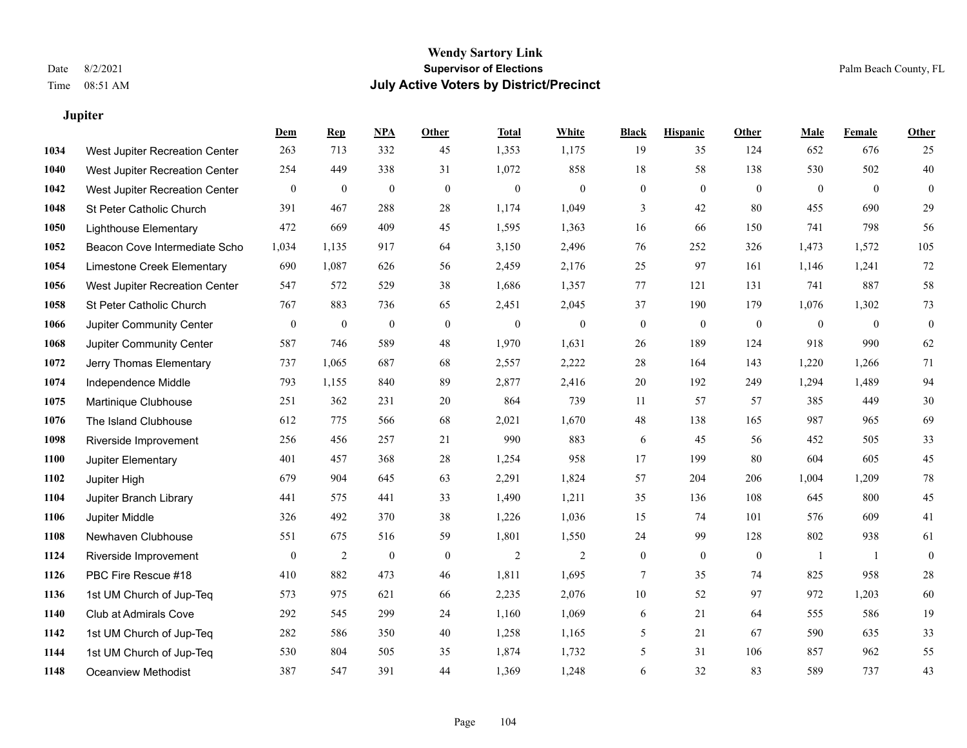# **Jupiter**

|      |                                | Dem              | <b>Rep</b>       | NPA              | <b>Other</b>     | <b>Total</b>     | <b>White</b>     | <b>Black</b> | <b>Hispanic</b>  | Other            | <b>Male</b>      | <b>Female</b>  | <b>Other</b>   |
|------|--------------------------------|------------------|------------------|------------------|------------------|------------------|------------------|--------------|------------------|------------------|------------------|----------------|----------------|
| 1034 | West Jupiter Recreation Center | 263              | 713              | 332              | 45               | 1,353            | 1,175            | 19           | 35               | 124              | 652              | 676            | 25             |
| 1040 | West Jupiter Recreation Center | 254              | 449              | 338              | 31               | 1,072            | 858              | 18           | 58               | 138              | 530              | 502            | $40\,$         |
| 1042 | West Jupiter Recreation Center | $\boldsymbol{0}$ | $\boldsymbol{0}$ | $\boldsymbol{0}$ | $\mathbf{0}$     | $\boldsymbol{0}$ | $\mathbf{0}$     | $\mathbf{0}$ | $\mathbf{0}$     | $\overline{0}$   | $\boldsymbol{0}$ | $\overline{0}$ | $\overline{0}$ |
| 1048 | St Peter Catholic Church       | 391              | 467              | 288              | 28               | 1,174            | 1,049            | 3            | 42               | 80               | 455              | 690            | 29             |
| 1050 | <b>Lighthouse Elementary</b>   | 472              | 669              | 409              | 45               | 1,595            | 1,363            | 16           | 66               | 150              | 741              | 798            | 56             |
| 1052 | Beacon Cove Intermediate Scho  | 1,034            | 1,135            | 917              | 64               | 3,150            | 2,496            | 76           | 252              | 326              | 1,473            | 1,572          | 105            |
| 1054 | Limestone Creek Elementary     | 690              | 1,087            | 626              | 56               | 2,459            | 2,176            | 25           | 97               | 161              | 1,146            | 1,241          | 72             |
| 1056 | West Jupiter Recreation Center | 547              | 572              | 529              | 38               | 1,686            | 1,357            | 77           | 121              | 131              | 741              | 887            | 58             |
| 1058 | St Peter Catholic Church       | 767              | 883              | 736              | 65               | 2,451            | 2,045            | 37           | 190              | 179              | 1,076            | 1,302          | $73\,$         |
| 1066 | Jupiter Community Center       | $\boldsymbol{0}$ | $\boldsymbol{0}$ | $\boldsymbol{0}$ | $\mathbf{0}$     | $\overline{0}$   | $\boldsymbol{0}$ | $\mathbf{0}$ | $\boldsymbol{0}$ | $\mathbf{0}$     | $\mathbf{0}$     | $\mathbf{0}$   | $\bf{0}$       |
| 1068 | Jupiter Community Center       | 587              | 746              | 589              | 48               | 1,970            | 1,631            | 26           | 189              | 124              | 918              | 990            | 62             |
| 1072 | Jerry Thomas Elementary        | 737              | 1,065            | 687              | 68               | 2,557            | 2,222            | $28\,$       | 164              | 143              | 1,220            | 1,266          | 71             |
| 1074 | Independence Middle            | 793              | 1,155            | 840              | 89               | 2,877            | 2,416            | $20\,$       | 192              | 249              | 1,294            | 1,489          | 94             |
| 1075 | Martinique Clubhouse           | 251              | 362              | 231              | 20               | 864              | 739              | 11           | 57               | 57               | 385              | 449            | $30\,$         |
| 1076 | The Island Clubhouse           | 612              | 775              | 566              | 68               | 2,021            | 1,670            | 48           | 138              | 165              | 987              | 965            | 69             |
| 1098 | Riverside Improvement          | 256              | 456              | 257              | 21               | 990              | 883              | 6            | 45               | 56               | 452              | 505            | 33             |
| 1100 | Jupiter Elementary             | 401              | 457              | 368              | $28\,$           | 1,254            | 958              | 17           | 199              | 80               | 604              | 605            | $45\,$         |
| 1102 | Jupiter High                   | 679              | 904              | 645              | 63               | 2,291            | 1,824            | 57           | 204              | 206              | 1,004            | 1,209          | $78\,$         |
| 1104 | Jupiter Branch Library         | 441              | 575              | 441              | 33               | 1,490            | 1,211            | 35           | 136              | 108              | 645              | 800            | 45             |
| 1106 | Jupiter Middle                 | 326              | 492              | 370              | 38               | 1,226            | 1,036            | 15           | 74               | 101              | 576              | 609            | 41             |
| 1108 | Newhaven Clubhouse             | 551              | 675              | 516              | 59               | 1,801            | 1,550            | 24           | 99               | 128              | 802              | 938            | 61             |
| 1124 | Riverside Improvement          | $\boldsymbol{0}$ | $\overline{c}$   | $\boldsymbol{0}$ | $\boldsymbol{0}$ | $\mathfrak{2}$   | $\mathfrak{2}$   | $\mathbf{0}$ | $\mathbf{0}$     | $\boldsymbol{0}$ | -1               | $\mathbf{1}$   | $\mathbf{0}$   |
| 1126 | PBC Fire Rescue #18            | 410              | 882              | 473              | 46               | 1,811            | 1,695            | 7            | 35               | 74               | 825              | 958            | $28\,$         |
| 1136 | 1st UM Church of Jup-Teq       | 573              | 975              | 621              | 66               | 2,235            | 2,076            | 10           | 52               | 97               | 972              | 1,203          | 60             |
| 1140 | Club at Admirals Cove          | 292              | 545              | 299              | 24               | 1,160            | 1,069            | 6            | 21               | 64               | 555              | 586            | 19             |
| 1142 | 1st UM Church of Jup-Teq       | 282              | 586              | 350              | 40               | 1,258            | 1,165            | 5            | 21               | 67               | 590              | 635            | 33             |
| 1144 | 1st UM Church of Jup-Teq       | 530              | 804              | 505              | 35               | 1,874            | 1,732            | 5            | 31               | 106              | 857              | 962            | 55             |
| 1148 | <b>Oceanview Methodist</b>     | 387              | 547              | 391              | 44               | 1,369            | 1,248            | 6            | 32               | 83               | 589              | 737            | 43             |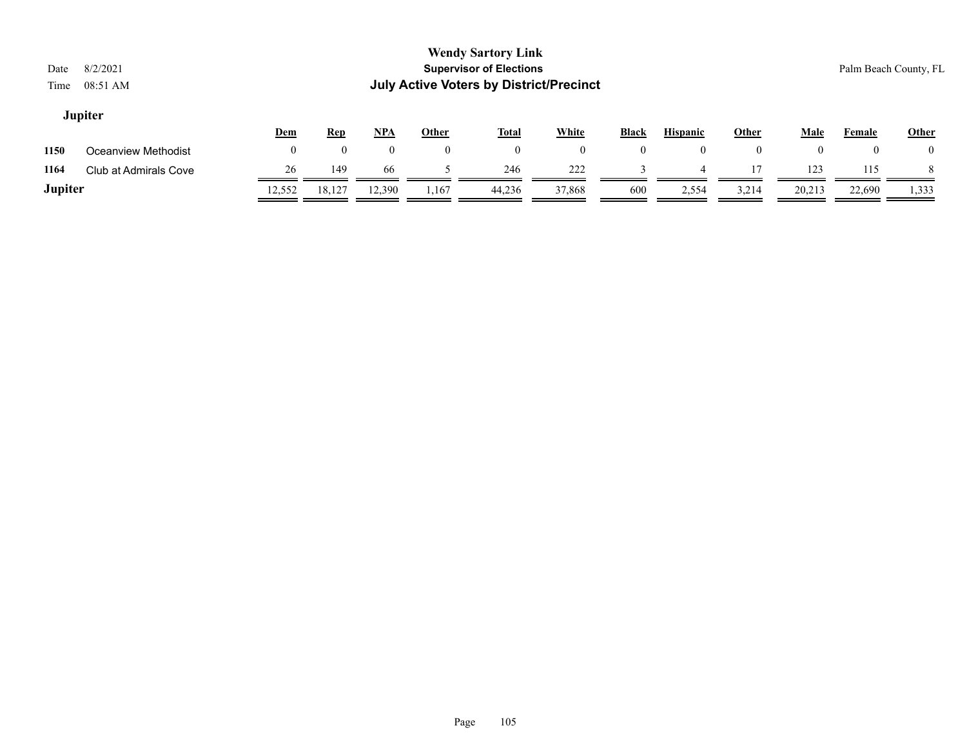# **Jupiter**

|                |                       | <u>Dem</u> | <u>Rep</u> | <u>NPA</u> | Other | <b>Total</b> | White  | <b>Black</b> | <b>Hispanic</b> | Other | Male   | Female | <b>Other</b> |
|----------------|-----------------------|------------|------------|------------|-------|--------------|--------|--------------|-----------------|-------|--------|--------|--------------|
| 1150           | Oceanview Methodist   |            |            |            |       |              |        |              |                 |       |        | 0      |              |
| 1164           | Club at Admirals Cove | 26         | 149        | 66         |       | 246          | 222    |              |                 |       | 123    | 115    |              |
| <b>Jupiter</b> |                       | 12.552     | 18.127     | 12,390     | 1,167 | 44.236       | 37,868 | 600          | 2,554           | 3,214 | 20,213 | 22,690 | 1,333        |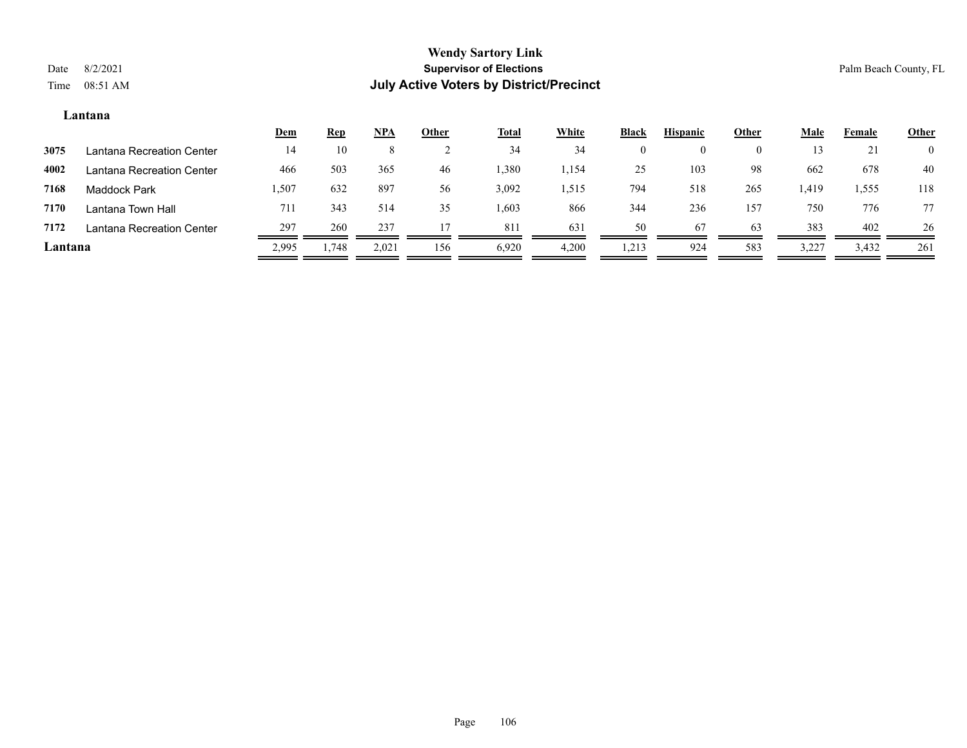# **Lantana**

|         |                           | <u>Dem</u> | <u>Rep</u> | $NPA$ | <b>Other</b> | <u>Total</u> | <b>White</b> | <b>Black</b> | <b>Hispanic</b> | Other | <b>Male</b> | Female | <b>Other</b>   |
|---------|---------------------------|------------|------------|-------|--------------|--------------|--------------|--------------|-----------------|-------|-------------|--------|----------------|
| 3075    | Lantana Recreation Center | 14         | 10         |       |              | 34           | 34           |              | $_{0}$          | 0     |             | 21     | $\overline{0}$ |
| 4002    | Lantana Recreation Center | 466        | 503        | 365   | 46           | 1,380        | 1,154        | 25           | 103             | 98    | 662         | 678    | 40             |
| 7168    | Maddock Park              | 1,507      | 632        | 897   | 56           | 3,092        | 1,515        | 794          | 518             | 265   | 1,419       | 1,555  | 118            |
| 7170    | Lantana Town Hall         | 711        | 343        | 514   | 35           | 1,603        | 866          | 344          | 236             | 157   | 750         | 776    | 77             |
| 7172    | Lantana Recreation Center | 297        | 260        | 237   |              | 811          | 631          | 50           | 67              | 63    | 383         | 402    | 26             |
| Lantana |                           | 2,995      | .748       | 2,021 | 156          | 6,920        | 4,200        | 1,213        | 924             | 583   | 3,227       | 3,432  | 261            |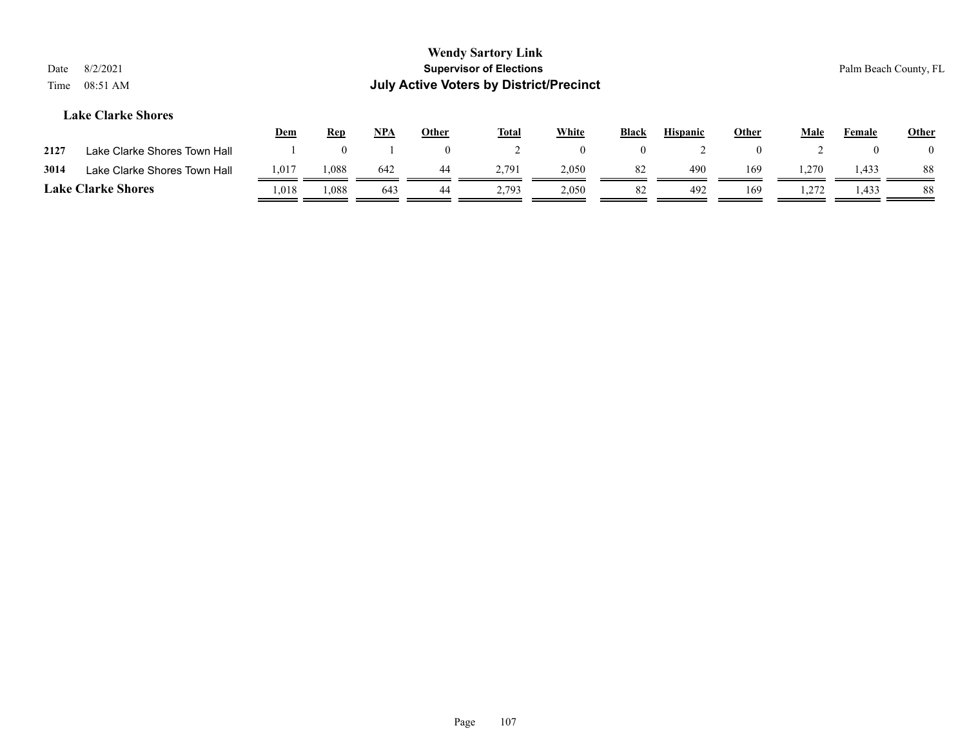| 8/2/2021<br>Date<br>08:51 AM<br>Time |            |            |     |          | <b>Wendy Sartory Link</b><br><b>Supervisor of Elections</b><br><b>July Active Voters by District/Precinct</b> |          |              |                 |              |      |        | Palm Beach County, FL |
|--------------------------------------|------------|------------|-----|----------|---------------------------------------------------------------------------------------------------------------|----------|--------------|-----------------|--------------|------|--------|-----------------------|
| <b>Lake Clarke Shores</b>            | <u>Dem</u> | <b>Rep</b> | NPA | Other    | <u>Total</u>                                                                                                  | White    | <b>Black</b> | <b>Hispanic</b> | <u>Other</u> | Male | Female | <b>Other</b>          |
| Lake Clarke Shores Town Hall<br>2127 |            |            |     | $\Omega$ |                                                                                                               | $\Omega$ | $\Omega$     |                 | $\mathbf{U}$ |      |        | $\theta$              |

| 3014          | <b>Shores</b><br>Town Hall<br>Clarke<br>аке | 1,017 | 0.088 | $\overline{a}$<br>64. | 70                        | 2,050 |           | 490 | 169 | $\sim$ $\sim$<br>د سه من | 44            | 00.<br>ōδ      |
|---------------|---------------------------------------------|-------|-------|-----------------------|---------------------------|-------|-----------|-----|-----|--------------------------|---------------|----------------|
| <b>Lake</b> C | <b>Shores</b><br>Aarke                      | .018  | .088  | -641                  | $70^{\circ}$<br>$- \cdot$ | 2,050 | $O\angle$ | 49' | 169 | $\sim$<br>۔ سمبر         | 122<br>:43. ا | $\Omega$<br>ōδ |

Page 107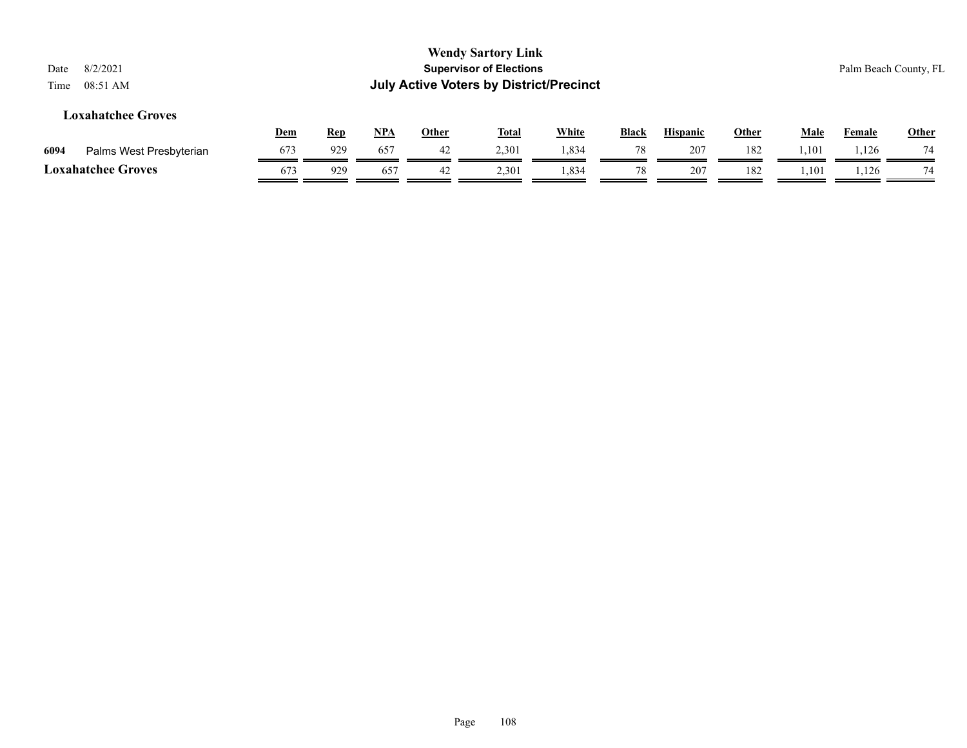| 8/2/2021<br>Date<br>08:51 AM<br>Time |            |            |            |              | <b>Wendy Sartory Link</b><br><b>Supervisor of Elections</b><br><b>July Active Voters by District/Precinct</b> |              |              |                 |              |             |               | Palm Beach County, FL |
|--------------------------------------|------------|------------|------------|--------------|---------------------------------------------------------------------------------------------------------------|--------------|--------------|-----------------|--------------|-------------|---------------|-----------------------|
| <b>Loxahatchee Groves</b>            | <u>Dem</u> | <b>Rep</b> | <u>NPA</u> | <u>Other</u> | <u>Total</u>                                                                                                  | <b>White</b> | <b>Black</b> | <b>Hispanic</b> | <u>Other</u> | <u>Male</u> | <b>Female</b> | <b>Other</b>          |
| Palms West Presbyterian<br>6094      | 673        | 929        | 657        | 42           | 2,301                                                                                                         | 1,834        | 78           | 207             | 182          | 1.101       | 1.126         | 74                    |
| <b>Loxahatchee Groves</b>            | 673        | 929        | 657        | 42           | 2,301                                                                                                         | 1,834        | 78           | 207             | 182          | 1,101       | 1,126         | 74                    |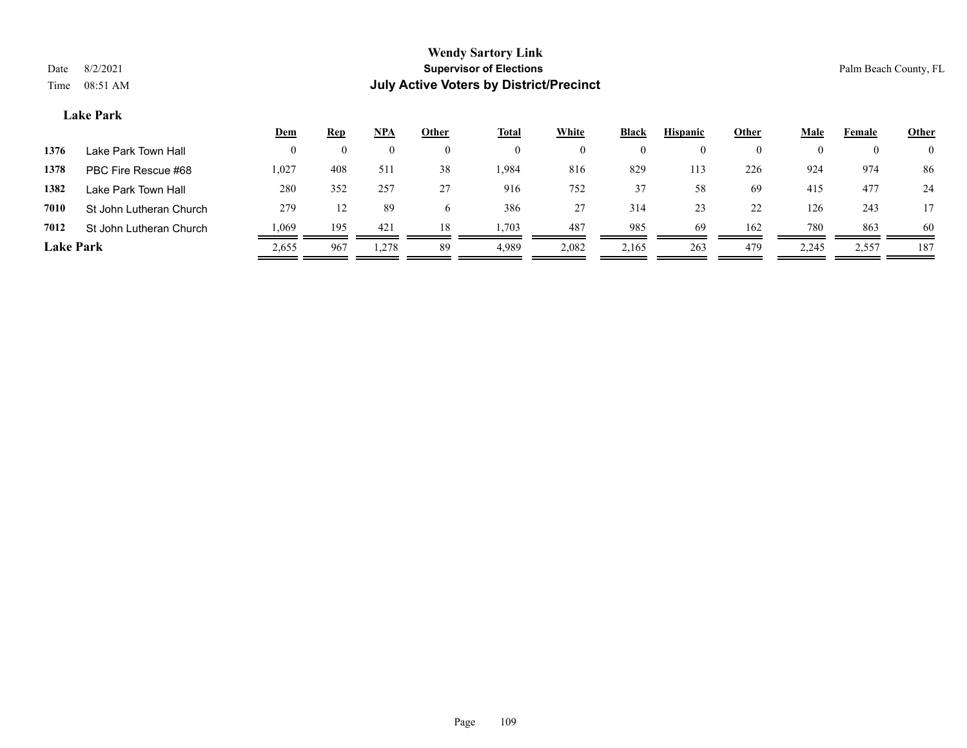## **Lake Park**

|                  |                         | <u>Dem</u> | <b>Rep</b> | <u>NPA</u> | Other        | <b>Total</b> | White    | <b>Black</b> | <b>Hispanic</b> | Other | Male  | Female   | <b>Other</b>   |
|------------------|-------------------------|------------|------------|------------|--------------|--------------|----------|--------------|-----------------|-------|-------|----------|----------------|
| 1376             | Lake Park Town Hall     | 0          | $\theta$   |            | $\theta$     |              | $\theta$ |              |                 |       |       | $\theta$ | $\overline{0}$ |
| 1378             | PBC Fire Rescue #68     | 1,027      | 408        | 511        | 38           | .984         | 816      | 829          | 113             | 226   | 924   | 974      | 86             |
| 1382             | Lake Park Town Hall     | 280        | 352        | 257        | 27           | 916          | 752      | 37           | 58              | 69    | 415   | 477      | 24             |
| 7010             | St John Lutheran Church | 279        | 12         | 89         | <sub>0</sub> | 386          | 27       | 314          | 23              | 22    | 126   | 243      |                |
| 7012             | St John Lutheran Church | 1,069      | 195        | 421        | 18           | 1,703        | 487      | 985          | 69              | 162   | 780   | 863      | -60            |
| <b>Lake Park</b> |                         | 2,655      | 967        | 1,278      | 89           | 4,989        | 2,082    | 2,165        | 263             | 479   | 2,245 | 2,557    | 187            |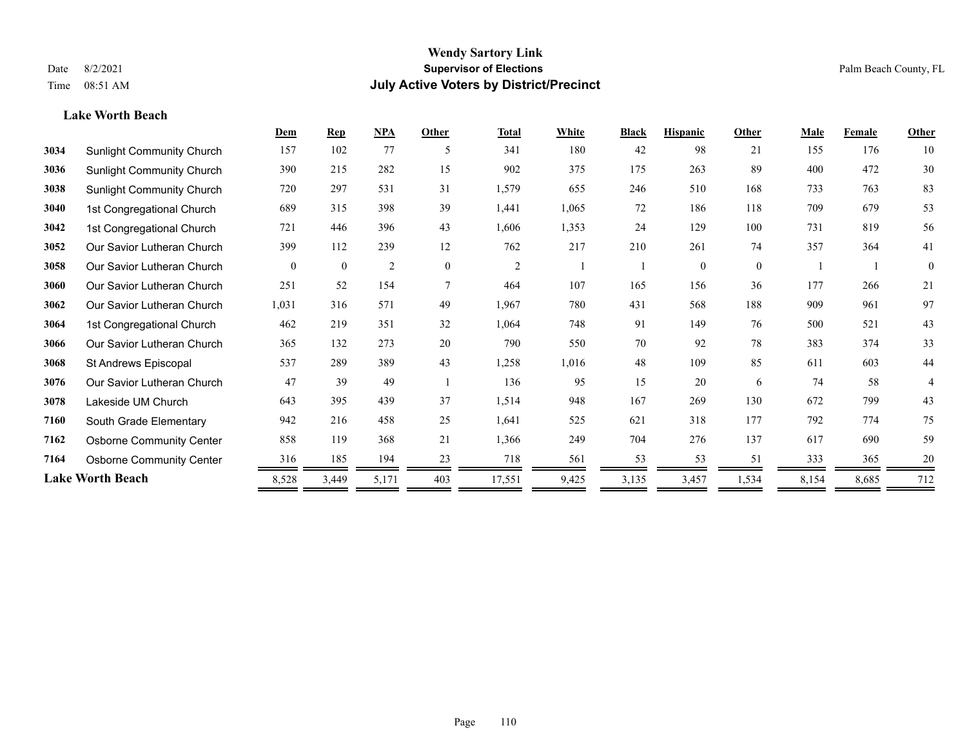#### **Lake Worth Beach**

|      |                                  | Dem      | <b>Rep</b>   | $NPA$          | Other        | <b>Total</b>   | White | <b>Black</b> | <b>Hispanic</b> | Other        | Male  | Female | <b>Other</b> |
|------|----------------------------------|----------|--------------|----------------|--------------|----------------|-------|--------------|-----------------|--------------|-------|--------|--------------|
| 3034 | <b>Sunlight Community Church</b> | 157      | 102          | 77             | -5           | 341            | 180   | 42           | 98              | 21           | 155   | 176    | 10           |
| 3036 | <b>Sunlight Community Church</b> | 390      | 215          | 282            | 15           | 902            | 375   | 175          | 263             | 89           | 400   | 472    | 30           |
| 3038 | <b>Sunlight Community Church</b> | 720      | 297          | 531            | 31           | 1,579          | 655   | 246          | 510             | 168          | 733   | 763    | 83           |
| 3040 | 1st Congregational Church        | 689      | 315          | 398            | 39           | 1,441          | 1,065 | 72           | 186             | 118          | 709   | 679    | 53           |
| 3042 | 1st Congregational Church        | 721      | 446          | 396            | 43           | 1,606          | 1,353 | 24           | 129             | 100          | 731   | 819    | 56           |
| 3052 | Our Savior Lutheran Church       | 399      | 112          | 239            | 12           | 762            | 217   | 210          | 261             | 74           | 357   | 364    | 41           |
| 3058 | Our Savior Lutheran Church       | $\theta$ | $\mathbf{0}$ | $\overline{c}$ | $\mathbf{0}$ | $\overline{2}$ |       |              | $\theta$        | $\mathbf{0}$ |       |        | $\mathbf{0}$ |
| 3060 | Our Savior Lutheran Church       | 251      | 52           | 154            | 7            | 464            | 107   | 165          | 156             | 36           | 177   | 266    | 21           |
| 3062 | Our Savior Lutheran Church       | 1,031    | 316          | 571            | 49           | 1,967          | 780   | 431          | 568             | 188          | 909   | 961    | 97           |
| 3064 | 1st Congregational Church        | 462      | 219          | 351            | 32           | 1,064          | 748   | 91           | 149             | 76           | 500   | 521    | 43           |
| 3066 | Our Savior Lutheran Church       | 365      | 132          | 273            | 20           | 790            | 550   | 70           | 92              | 78           | 383   | 374    | 33           |
| 3068 | St Andrews Episcopal             | 537      | 289          | 389            | 43           | 1,258          | 1,016 | 48           | 109             | 85           | 611   | 603    | 44           |
| 3076 | Our Savior Lutheran Church       | 47       | 39           | 49             |              | 136            | 95    | 15           | 20              | 6            | 74    | 58     | 4            |
| 3078 | Lakeside UM Church               | 643      | 395          | 439            | 37           | 1,514          | 948   | 167          | 269             | 130          | 672   | 799    | 43           |
| 7160 | South Grade Elementary           | 942      | 216          | 458            | 25           | 1,641          | 525   | 621          | 318             | 177          | 792   | 774    | 75           |
| 7162 | <b>Osborne Community Center</b>  | 858      | 119          | 368            | 21           | 1,366          | 249   | 704          | 276             | 137          | 617   | 690    | 59           |
| 7164 | <b>Osborne Community Center</b>  | 316      | 185          | 194            | 23           | 718            | 561   | 53           | 53              | 51           | 333   | 365    | 20           |
|      | <b>Lake Worth Beach</b>          | 8,528    | 3,449        | 5,171          | 403          | 17,551         | 9,425 | 3,135        | 3,457           | 1,534        | 8,154 | 8,685  | 712          |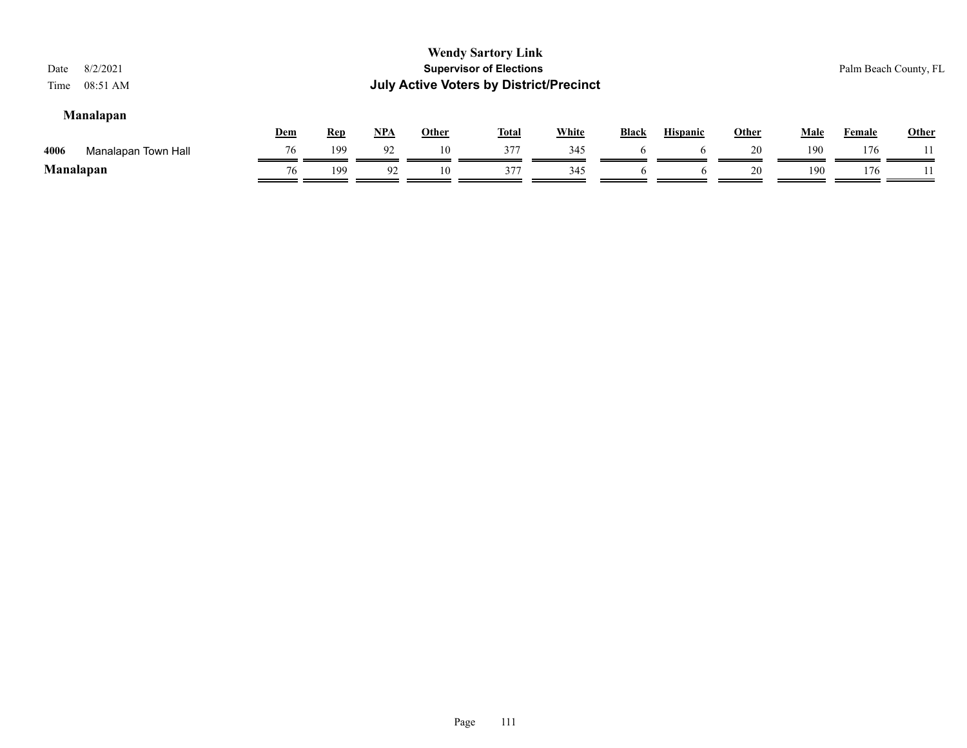| Date<br>Time | 8/2/2021<br>08:51 AM |            |            |            |              | <b>Wendy Sartory Link</b><br><b>Supervisor of Elections</b><br><b>July Active Voters by District/Precinct</b> |              |              |                 |              |             | Palm Beach County, FL |              |
|--------------|----------------------|------------|------------|------------|--------------|---------------------------------------------------------------------------------------------------------------|--------------|--------------|-----------------|--------------|-------------|-----------------------|--------------|
|              | <b>Manalapan</b>     | <u>Dem</u> | <b>Rep</b> | <u>NPA</u> | <u>Other</u> | <b>Total</b>                                                                                                  | <b>White</b> | <b>Black</b> | <b>Hispanic</b> | <u>Other</u> | <b>Male</b> | <b>Female</b>         | <b>Other</b> |
| 4006         | Manalapan Town Hall  | 76         | 199        | 92         | 10           | 377                                                                                                           | 345          |              | <sub>t</sub>    | 20           | 190         | 176                   |              |
| Manalapan    |                      | 76         | 199        | 92         | 10           | 377                                                                                                           | 345          |              |                 | 20           | 190         | 176                   |              |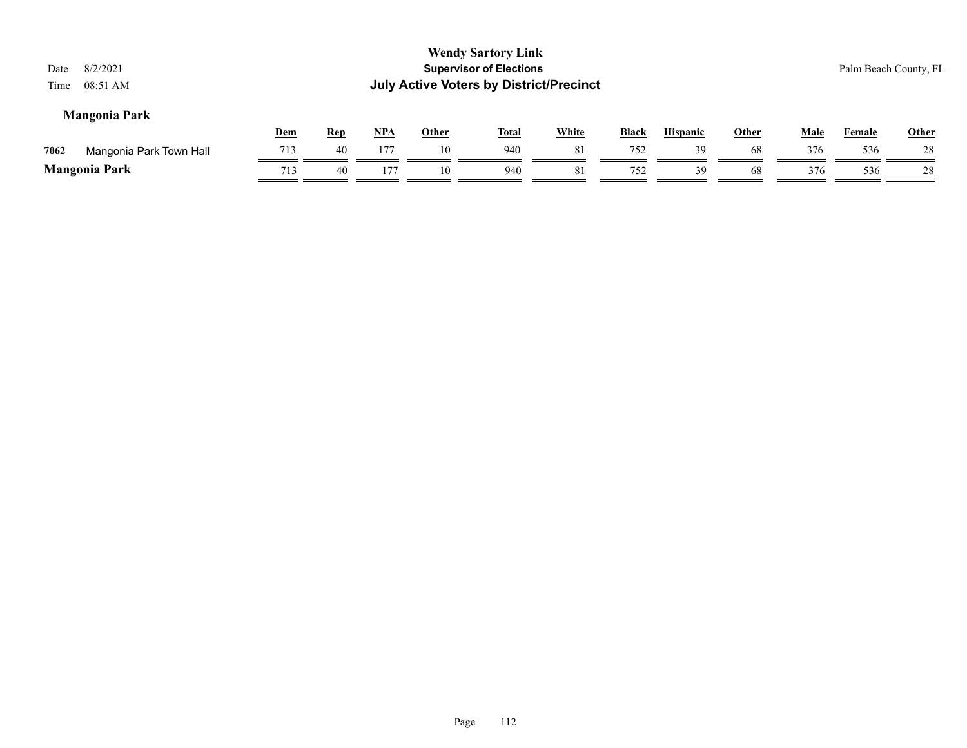| 8/2/2021<br>Date<br>08:51 AM<br>Time |            |            |       |              | <b>Wendy Sartory Link</b><br><b>Supervisor of Elections</b><br><b>July Active Voters by District/Precinct</b> |              |              |                 |              |      |               | Palm Beach County, FL |
|--------------------------------------|------------|------------|-------|--------------|---------------------------------------------------------------------------------------------------------------|--------------|--------------|-----------------|--------------|------|---------------|-----------------------|
| <b>Mangonia Park</b>                 | <b>Dem</b> | <b>Rep</b> | $NPA$ | <b>Other</b> | <u>Total</u>                                                                                                  | <b>White</b> | <b>Black</b> | <b>Hispanic</b> | <b>Other</b> | Male | <b>Female</b> | Other                 |
| 7062<br>Mangonia Park Town Hall      | 713        | 40         | 177   | 10           | 940                                                                                                           | 81           | 752          | 39              | 68           | 376  | 536           | 28                    |
| <b>Mangonia Park</b>                 | 713        | 40         | 177   | 10           | 940                                                                                                           | 81           | 752          | 39              | 68           | 376  | 536           | 28                    |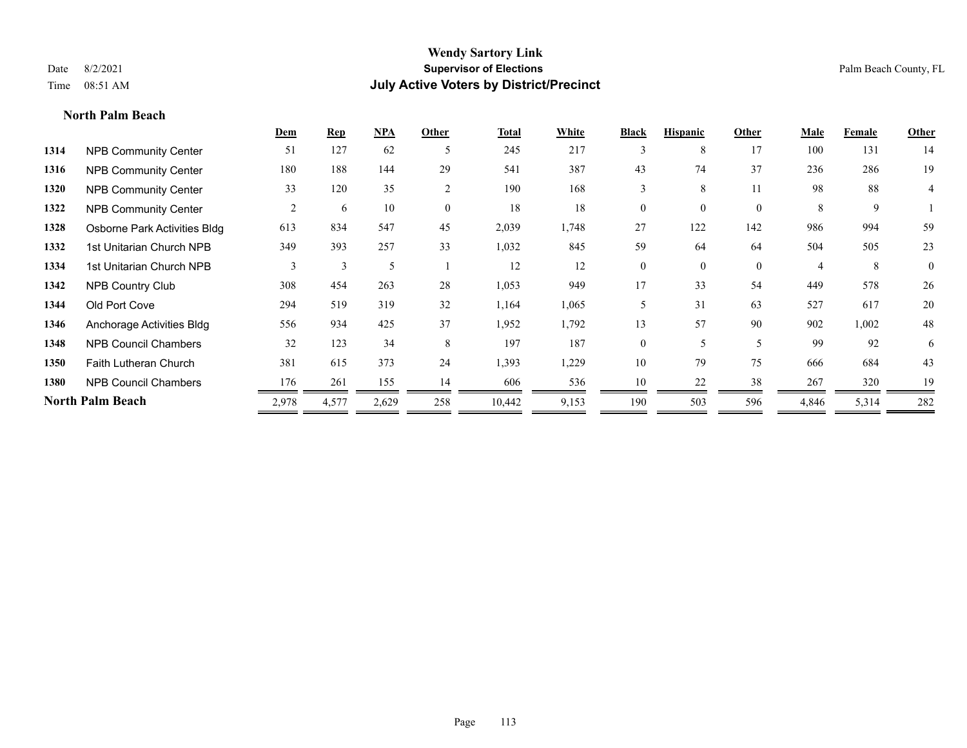#### **North Palm Beach**

|      |                              | Dem   | <b>Rep</b> | NPA   | Other    | <b>Total</b> | <b>White</b> | <b>Black</b>   | <b>Hispanic</b> | Other        | Male  | Female | Other          |
|------|------------------------------|-------|------------|-------|----------|--------------|--------------|----------------|-----------------|--------------|-------|--------|----------------|
| 1314 | <b>NPB Community Center</b>  | 51    | 127        | 62    | 5        | 245          | 217          | 3              | 8               | 17           | 100   | 131    | 14             |
| 1316 | <b>NPB Community Center</b>  | 180   | 188        | 144   | 29       | 541          | 387          | 43             | 74              | 37           | 236   | 286    | 19             |
| 1320 | <b>NPB Community Center</b>  | 33    | 120        | 35    | 2        | 190          | 168          | 3              | 8               | 11           | 98    | 88     | 4              |
| 1322 | <b>NPB Community Center</b>  | 2     | 6          | 10    | $\theta$ | 18           | 18           | $\theta$       | $\theta$        | $\theta$     | 8     | 9      |                |
| 1328 | Osborne Park Activities Bldg | 613   | 834        | 547   | 45       | 2,039        | 1,748        | 27             | 122             | 142          | 986   | 994    | 59             |
| 1332 | 1st Unitarian Church NPB     | 349   | 393        | 257   | 33       | 1,032        | 845          | 59             | 64              | 64           | 504   | 505    | 23             |
| 1334 | 1st Unitarian Church NPB     | 3     | 3          | 5     |          | 12           | 12           | $\mathbf{0}$   | $\mathbf{0}$    | $\mathbf{0}$ |       | 8      | $\overline{0}$ |
| 1342 | <b>NPB Country Club</b>      | 308   | 454        | 263   | 28       | 1,053        | 949          | 17             | 33              | 54           | 449   | 578    | 26             |
| 1344 | Old Port Cove                | 294   | 519        | 319   | 32       | 1,164        | 1,065        | 5              | 31              | 63           | 527   | 617    | 20             |
| 1346 | Anchorage Activities Bldg    | 556   | 934        | 425   | 37       | 1,952        | 1,792        | 13             | 57              | 90           | 902   | 1,002  | 48             |
| 1348 | <b>NPB Council Chambers</b>  | 32    | 123        | 34    | 8        | 197          | 187          | $\overline{0}$ | 5               | 5            | 99    | 92     | 6              |
| 1350 | <b>Faith Lutheran Church</b> | 381   | 615        | 373   | 24       | 1,393        | 1,229        | 10             | 79              | 75           | 666   | 684    | 43             |
| 1380 | <b>NPB Council Chambers</b>  | 176   | 261        | 155   | 14       | 606          | 536          | 10             | 22              | 38           | 267   | 320    | 19             |
|      | <b>North Palm Beach</b>      | 2,978 | 4,577      | 2,629 | 258      | 10,442       | 9,153        | 190            | 503             | 596          | 4,846 | 5,314  | 282            |
|      |                              |       |            |       |          |              |              |                |                 |              |       |        |                |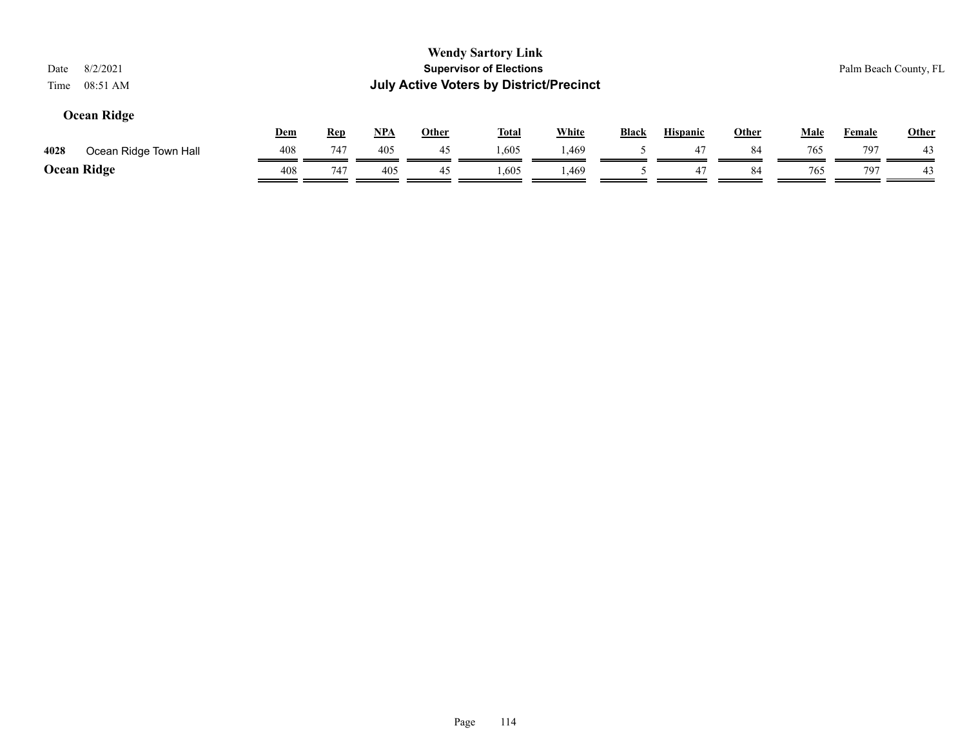| 8/2/2021<br>Date<br>08:51 AM<br>Time |            |            |            |              | <b>Wendy Sartory Link</b><br><b>Supervisor of Elections</b><br><b>July Active Voters by District/Precinct</b> |              |              |                 |              |             | Palm Beach County, FL |              |
|--------------------------------------|------------|------------|------------|--------------|---------------------------------------------------------------------------------------------------------------|--------------|--------------|-----------------|--------------|-------------|-----------------------|--------------|
| Ocean Ridge                          | <u>Dem</u> | <b>Rep</b> | <u>NPA</u> | <u>Other</u> | <b>Total</b>                                                                                                  | <b>White</b> | <b>Black</b> | <b>Hispanic</b> | <u>Other</u> | <b>Male</b> | <b>Female</b>         | <b>Other</b> |
| 4028<br>Ocean Ridge Town Hall        | 408        | 747        | 405        | 45           | 1,605                                                                                                         | . 469        |              | 47              | 84           | 765         | 797                   | 43           |
| <b>Ocean Ridge</b>                   | 408        | 747        | 405        | 45           | .,605                                                                                                         | 1,469        |              | 47              | 84           | 765         | 797                   | 43           |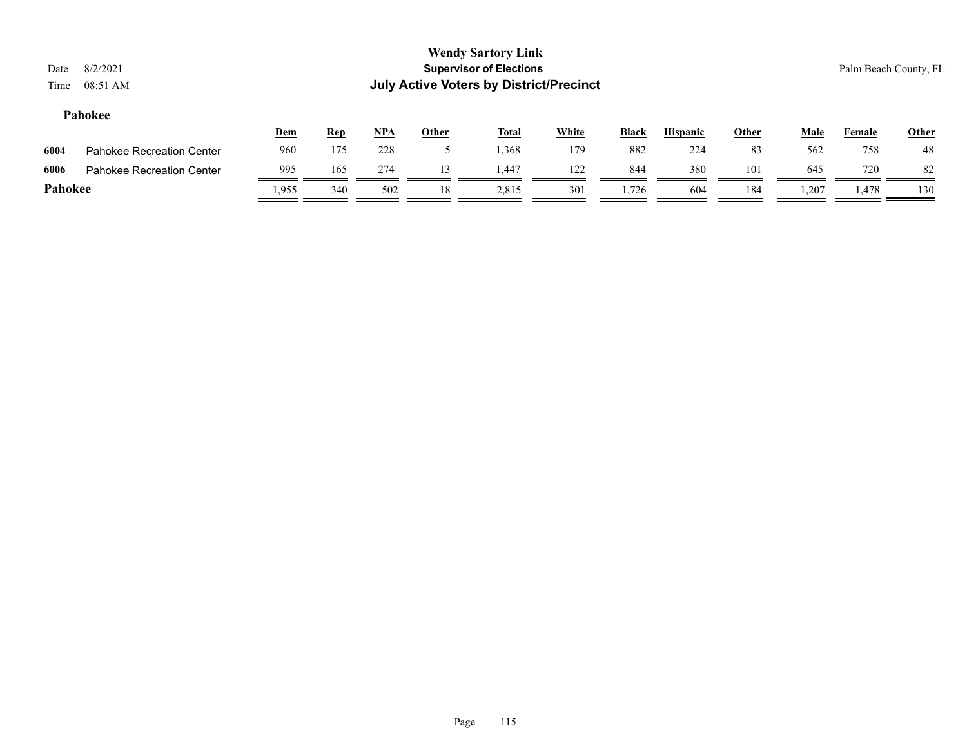#### **Pahokee**

|         |                                  | <u>Dem</u> | <u>Rep</u> | <b>NPA</b> | Other | <b>Total</b> | White | <b>Black</b> | <b>Hispanic</b> | Other | Male  | Female | <b>Other</b> |
|---------|----------------------------------|------------|------------|------------|-------|--------------|-------|--------------|-----------------|-------|-------|--------|--------------|
| 6004    | <b>Pahokee Recreation Center</b> | 960        | 175        | 228        |       | .368         | 179   | 882          | 224             | 83    | 562   | 758    | 48           |
| 6006    | <b>Pahokee Recreation Center</b> | 995        | 165        | 274        |       | 1.447        | 122   | 844          | 380             | 101   | 645   | 720    | 82           |
| Pahokee |                                  | .955       | 340        | 502        |       | 2.815        | 301   | 1.726        | 604             | 184   | 1,207 | .,478  | 130          |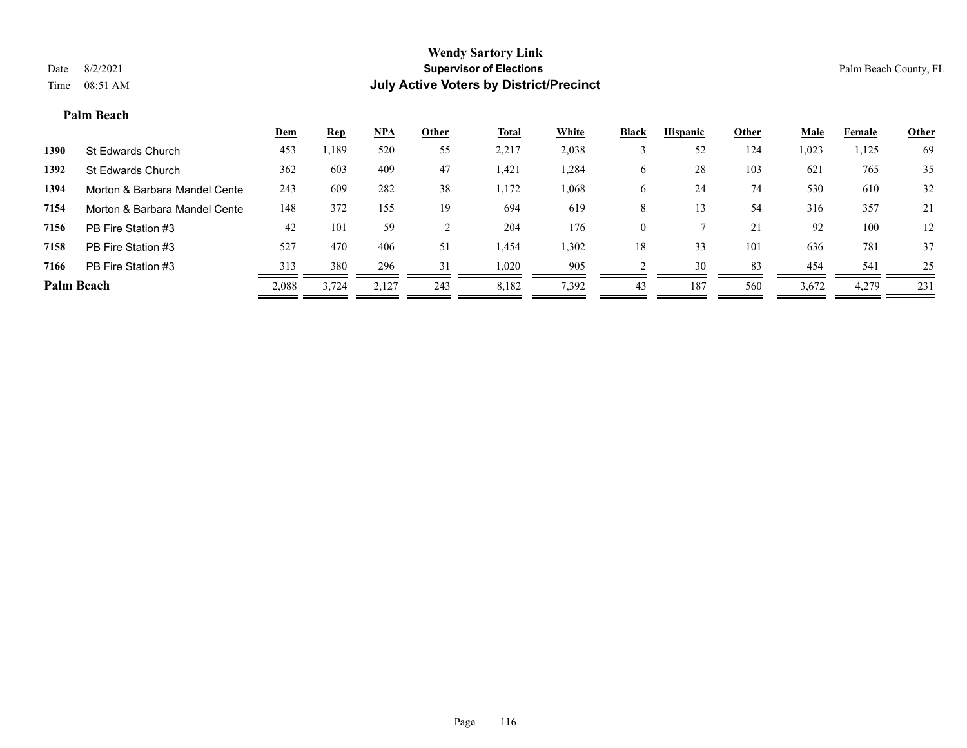#### **Palm Beach**

|            |                               | <b>Dem</b> | <b>Rep</b> | NPA   | Other | <b>Total</b> | White | <b>Black</b> | <b>Hispanic</b> | Other | <b>Male</b> | Female | <b>Other</b> |
|------------|-------------------------------|------------|------------|-------|-------|--------------|-------|--------------|-----------------|-------|-------------|--------|--------------|
| 1390       | St Edwards Church             | 453        | ,189       | 520   | 55    | 2,217        | 2,038 |              | 52              | 124   | 1,023       | 1,125  | 69           |
| 1392       | St Edwards Church             | 362        | 603        | 409   | 47    | 1,421        | ,284  | O            | 28              | 103   | 621         | 765    | 35           |
| 1394       | Morton & Barbara Mandel Cente | 243        | 609        | 282   | 38    | 1,172        | .068  | O            | 24              | 74    | 530         | 610    | 32           |
| 7154       | Morton & Barbara Mandel Cente | 148        | 372        | 155   | 19    | 694          | 619   | 8            |                 | 54    | 316         | 357    | 21           |
| 7156       | PB Fire Station #3            | 42         | 101        | 59    |       | 204          | 176   | $\theta$     |                 | 21    | 92          | 100    | 12           |
| 7158       | PB Fire Station #3            | 527        | 470        | 406   | 51    | 1,454        | 1,302 | 18           | 33              | 101   | 636         | 781    | 37           |
| 7166       | PB Fire Station #3            | 313        | 380        | 296   | 31    | 1,020        | 905   |              | 30              | 83    | 454         | 541    | 25           |
| Palm Beach |                               | 2,088      | 3,724      | 2,127 | 243   | 8,182        | 7,392 | 43           | 187             | 560   | 3,672       | 4,279  | 231          |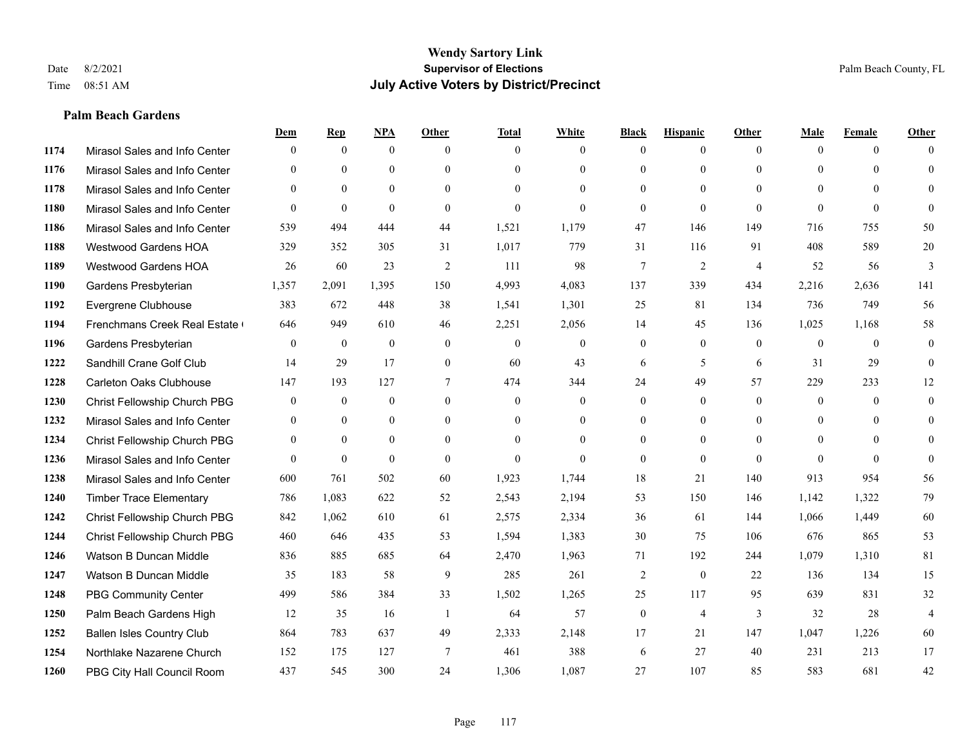#### **Palm Beach Gardens**

|      |                                  | Dem            | <b>Rep</b>   | NPA          | <b>Other</b>   | <b>Total</b> | <b>White</b>   | <b>Black</b>   | <b>Hispanic</b> | <b>Other</b>   | <b>Male</b>    | <b>Female</b> | <b>Other</b>   |
|------|----------------------------------|----------------|--------------|--------------|----------------|--------------|----------------|----------------|-----------------|----------------|----------------|---------------|----------------|
| 1174 | Mirasol Sales and Info Center    | $\theta$       | $\mathbf{0}$ | $\mathbf{0}$ | $\theta$       | $\theta$     | $\overline{0}$ | $\Omega$       | $\mathbf{0}$    | $\theta$       | $\theta$       | $\theta$      | $\Omega$       |
| 1176 | Mirasol Sales and Info Center    | $\Omega$       | $\theta$     | $\theta$     | $\Omega$       | $\Omega$     | $\overline{0}$ | $\Omega$       | $\theta$        | $\Omega$       | $\theta$       | $\Omega$      | $\theta$       |
| 1178 | Mirasol Sales and Info Center    | $\theta$       | $\mathbf{0}$ | $\mathbf{0}$ | $\theta$       | $\Omega$     | $\theta$       | $\Omega$       | $\theta$        | $\Omega$       | $\theta$       | $\Omega$      | $\Omega$       |
| 1180 | Mirasol Sales and Info Center    | $\theta$       | $\mathbf{0}$ | $\theta$     | $\theta$       | $\mathbf{0}$ | $\Omega$       | $\overline{0}$ | $\mathbf{0}$    | $\theta$       | $\theta$       | $\theta$      | $\Omega$       |
| 1186 | Mirasol Sales and Info Center    | 539            | 494          | 444          | 44             | 1,521        | 1,179          | 47             | 146             | 149            | 716            | 755           | 50             |
| 1188 | Westwood Gardens HOA             | 329            | 352          | 305          | 31             | 1,017        | 779            | 31             | 116             | 91             | 408            | 589           | $20\,$         |
| 1189 | Westwood Gardens HOA             | 26             | 60           | 23           | 2              | 111          | 98             | $\overline{7}$ | $\overline{2}$  | $\overline{4}$ | 52             | 56            | 3              |
| 1190 | Gardens Presbyterian             | 1,357          | 2,091        | 1,395        | 150            | 4,993        | 4,083          | 137            | 339             | 434            | 2,216          | 2,636         | 141            |
| 1192 | Evergrene Clubhouse              | 383            | 672          | 448          | 38             | 1,541        | 1,301          | 25             | 81              | 134            | 736            | 749           | 56             |
| 1194 | Frenchmans Creek Real Estate     | 646            | 949          | 610          | 46             | 2,251        | 2,056          | 14             | 45              | 136            | 1,025          | 1,168         | 58             |
| 1196 | Gardens Presbyterian             | $\theta$       | $\mathbf{0}$ | $\mathbf{0}$ | $\theta$       | $\Omega$     | $\overline{0}$ | $\overline{0}$ | $\mathbf{0}$    | $\theta$       | $\mathbf{0}$   | $\theta$      | $\mathbf{0}$   |
| 1222 | Sandhill Crane Golf Club         | 14             | 29           | 17           | $\theta$       | 60           | 43             | 6              | 5               | 6              | 31             | 29            | $\theta$       |
| 1228 | <b>Carleton Oaks Clubhouse</b>   | 147            | 193          | 127          | $\tau$         | 474          | 344            | 24             | 49              | 57             | 229            | 233           | 12             |
| 1230 | Christ Fellowship Church PBG     | $\mathbf{0}$   | $\mathbf{0}$ | $\mathbf{0}$ | $\overline{0}$ | $\mathbf{0}$ | $\overline{0}$ | $\overline{0}$ | $\mathbf{0}$    | $\theta$       | $\mathbf{0}$   | $\theta$      | $\theta$       |
| 1232 | Mirasol Sales and Info Center    | $\theta$       | $\theta$     | $\theta$     | $\Omega$       | $\Omega$     | $\overline{0}$ | $\overline{0}$ | $\theta$        | $\Omega$       | $\theta$       | $\Omega$      | $\theta$       |
| 1234 | Christ Fellowship Church PBG     | $\overline{0}$ | $\mathbf{0}$ | $\mathbf{0}$ | $\theta$       | $\theta$     | $\overline{0}$ | $\overline{0}$ | $\mathbf{0}$    | $\theta$       | $\overline{0}$ | $\theta$      | $\Omega$       |
| 1236 | Mirasol Sales and Info Center    | $\Omega$       | $\mathbf{0}$ | $\theta$     | $\theta$       | $\theta$     | $\theta$       | $\overline{0}$ | $\mathbf{0}$    | $\theta$       | $\Omega$       | $\theta$      | $\theta$       |
| 1238 | Mirasol Sales and Info Center    | 600            | 761          | 502          | 60             | 1,923        | 1,744          | 18             | 21              | 140            | 913            | 954           | 56             |
| 1240 | <b>Timber Trace Elementary</b>   | 786            | 1,083        | 622          | 52             | 2,543        | 2,194          | 53             | 150             | 146            | 1,142          | 1,322         | 79             |
| 1242 | Christ Fellowship Church PBG     | 842            | 1,062        | 610          | 61             | 2,575        | 2,334          | 36             | 61              | 144            | 1,066          | 1,449         | 60             |
| 1244 | Christ Fellowship Church PBG     | 460            | 646          | 435          | 53             | 1,594        | 1,383          | 30             | 75              | 106            | 676            | 865           | 53             |
| 1246 | Watson B Duncan Middle           | 836            | 885          | 685          | 64             | 2,470        | 1,963          | 71             | 192             | 244            | 1,079          | 1,310         | 81             |
| 1247 | Watson B Duncan Middle           | 35             | 183          | 58           | 9              | 285          | 261            | $\overline{2}$ | $\mathbf{0}$    | 22             | 136            | 134           | 15             |
| 1248 | <b>PBG Community Center</b>      | 499            | 586          | 384          | 33             | 1,502        | 1,265          | 25             | 117             | 95             | 639            | 831           | 32             |
| 1250 | Palm Beach Gardens High          | 12             | 35           | 16           | $\overline{1}$ | 64           | 57             | $\overline{0}$ | $\overline{4}$  | 3              | 32             | 28            | $\overline{4}$ |
| 1252 | <b>Ballen Isles Country Club</b> | 864            | 783          | 637          | 49             | 2,333        | 2,148          | 17             | 21              | 147            | 1,047          | 1,226         | 60             |
| 1254 | Northlake Nazarene Church        | 152            | 175          | 127          | 7              | 461          | 388            | 6              | 27              | 40             | 231            | 213           | 17             |
| 1260 | PBG City Hall Council Room       | 437            | 545          | 300          | 24             | 1,306        | 1,087          | 27             | 107             | 85             | 583            | 681           | 42             |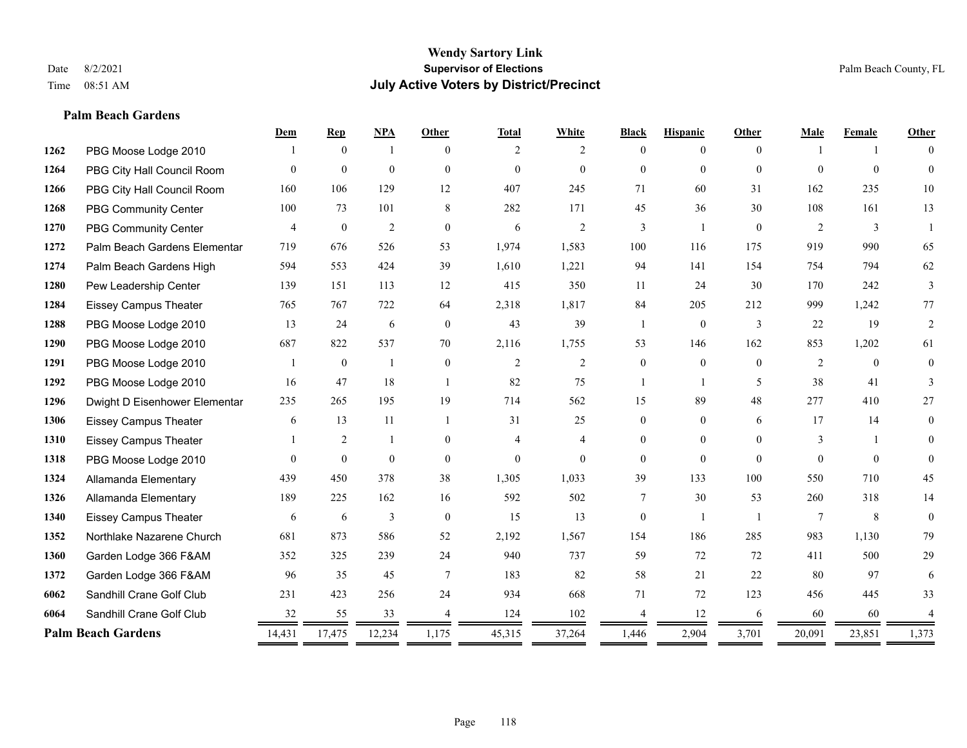**Palm Beach Gardens**

#### **Wendy Sartory Link** Date 8/2/2021 **Supervisor of Elections** Palm Beach County, FL Time 08:51 AM **July Active Voters by District/Precinct**

# **Dem Rep NPA Other Total White Black Hispanic Other Male Female Other** PBG Moose Lodge 2010 1 0 1 0 2 2 0 0 0 1 1 0 PBG City Hall Council Room 0 0 0 0 0 0 0 0 0 0 0 0 PBG City Hall Council Room 160 106 129 12 407 245 71 60 31 162 235 10 PBG Community Center 100 73 101 8 282 171 45 36 30 108 161 13 PBG Community Center  $\begin{array}{ccccccccccccc}\n4 & 0 & 2 & 0 & 6 & 2 & 3 & 1 & 0 & 2 & 3 & 1\n\end{array}$  Palm Beach Gardens Elementary 719 676 526 53 1,974 1,583 100 116 175 919 990 65 Palm Beach Gardens High 594 553 424 39 1,610 1,221 94 141 154 754 794 62 Pew Leadership Center 139 151 113 12 415 350 11 24 30 170 242 3 Eissey Campus Theater 765 767 722 64 2,318 1,817 84 205 212 999 1,242 77 PBG Moose Lodge 2010 13 24 6 0 43 39 1 0 3 22 19 2 PBG Moose Lodge 2010 687 822 537 70 2,116 1,755 53 146 162 853 1,202 61 PBG Moose Lodge 2010 1 0 1 0 2 2 0 0 0 2 0 0 PBG Moose Lodge 2010 16 47 18 1 82 75 1 1 5 38 41 3 Dwight D Eisenhower Elementary 235 265 195 19 714 562 15 89 48 277 410 27 Eissey Campus Theater 6 13 11 1 31 25 0 0 6 17 14 0 Eissey Campus Theater 1 2 1 0 4 4 0 0 0 3 1 0 PBG Moose Lodge 2010 0 0 0 0 0 0 0 0 0 0 0 0 Allamanda Elementary 439 450 378 38 1,305 1,033 39 133 100 550 710 45 Allamanda Elementary 189 225 162 16 592 502 7 30 53 260 318 14 Eissey Campus Theater 6 6 6 3 0 15 13 0 1 1 7 8 0 Northlake Nazarene Church 681 873 586 52 2,192 1,567 154 186 285 983 1,130 79 Garden Lodge 366 F&AM 352 325 239 24 940 737 59 72 72 411 500 29 Garden Lodge 366 F&AM 96 35 45 7 183 82 58 21 22 80 97 6 Sandhill Crane Golf Club 231 423 256 24 934 668 71 72 123 456 445 33 **6064** Sandhill Crane Golf Club  $\frac{32}{2} \frac{55}{2} \frac{33}{2} \frac{4}{2} \frac{124}{2} \frac{124}{2} \frac{102}{2} \frac{4}{2} \frac{1}{2} \frac{12}{2} \frac{6}{2} \frac{60}{2} \frac{60}{2} \frac{60}{2} \frac{4}{2} \frac{1}{2} \frac{1}{2} \frac{1}{2} \frac{1}{2} \frac{1}{2} \frac{1}{2} \frac{1}{2} \frac{1}{2} \frac{1}{2} \frac{1}{2}$ **Palm Beach Gardens** 14,431 17,475 12,234 1,175 45,315 37,264 1,446 2,904 3,701 20,091 23,851 1,373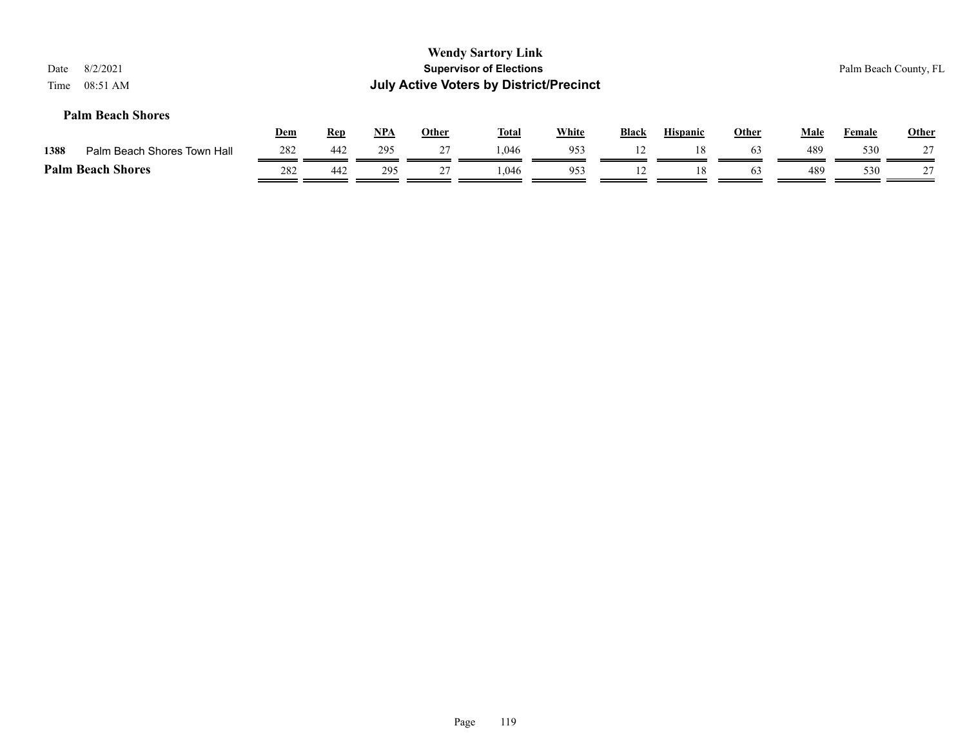| 8/2/2021<br>Date<br>08:51 AM<br>Time |            |            |            |              | <b>Wendy Sartory Link</b><br><b>Supervisor of Elections</b><br><b>July Active Voters by District/Precinct</b> |              |              |                 |              |             |               | Palm Beach County, FL |
|--------------------------------------|------------|------------|------------|--------------|---------------------------------------------------------------------------------------------------------------|--------------|--------------|-----------------|--------------|-------------|---------------|-----------------------|
| <b>Palm Beach Shores</b>             | <u>Dem</u> | <b>Rep</b> | <u>NPA</u> | <b>Other</b> | <b>Total</b>                                                                                                  | <b>White</b> | <b>Black</b> | <b>Hispanic</b> | <b>Other</b> | <b>Male</b> | <b>Female</b> | <b>Other</b>          |
| 1388<br>Palm Beach Shores Town Hall  | 282        | 442        | 295        | 27           | 1.046                                                                                                         | 953          | 12           | 18              | 63           | 489         | 530           | 27                    |
| <b>Palm Beach Shores</b>             | 282        | 442        | 295        | 27           | .046                                                                                                          | 953          | 12           | 18              | 63           | 489         | 530           | 27                    |
|                                      |            |            |            |              |                                                                                                               |              |              |                 |              |             |               |                       |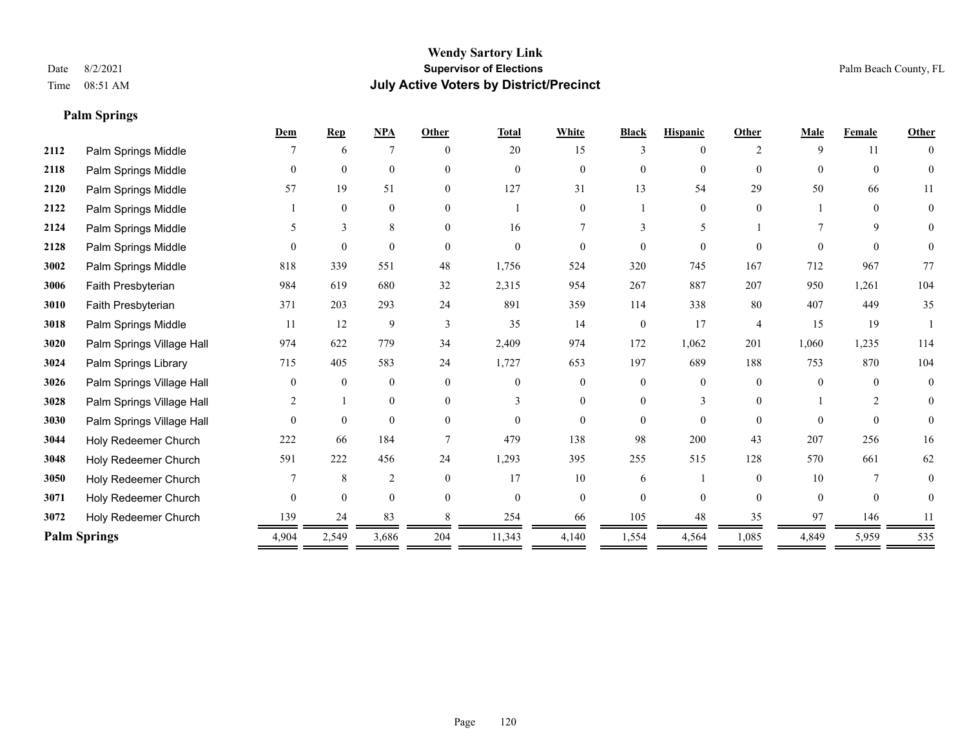**Palm Springs**

### **Wendy Sartory Link** Date 8/2/2021 **Supervisor of Elections** Palm Beach County, FL Time 08:51 AM **July Active Voters by District/Precinct**

|      |                           | Dem            | <b>Rep</b>   | <b>NPA</b>     | Other         | <b>Total</b>   | White          | <b>Black</b>   | <b>Hispanic</b> | Other          | <b>Male</b> | Female         | Other        |
|------|---------------------------|----------------|--------------|----------------|---------------|----------------|----------------|----------------|-----------------|----------------|-------------|----------------|--------------|
| 2112 | Palm Springs Middle       |                | 6            | 7              | $\theta$      | 20             | 15             | 3              | $\theta$        | 2              | 9           | 11             | $\theta$     |
| 2118 | Palm Springs Middle       | $\theta$       | $\mathbf{0}$ | $\mathbf{0}$   | $\theta$      | $\overline{0}$ | $\overline{0}$ | $\overline{0}$ | $\mathbf{0}$    | $\Omega$       | $\Omega$    | $\theta$       | $\theta$     |
| 2120 | Palm Springs Middle       | 57             | 19           | 51             | $\theta$      | 127            | 31             | 13             | 54              | 29             | 50          | 66             | 11           |
| 2122 | Palm Springs Middle       |                | $\mathbf{0}$ | $\mathbf{0}$   | $\theta$      |                | $\theta$       |                | $\theta$        | $\theta$       |             | $\theta$       | $\theta$     |
| 2124 | Palm Springs Middle       | 5              | 3            | 8              | $\theta$      | 16             |                | 3              | 5               |                |             | 9              | $\theta$     |
| 2128 | Palm Springs Middle       | $\Omega$       | $\theta$     | $\theta$       | $\Omega$      | $\Omega$       | 0              | $\Omega$       | $\Omega$        | $\Omega$       |             | $\Omega$       | $\Omega$     |
| 3002 | Palm Springs Middle       | 818            | 339          | 551            | 48            | 1,756          | 524            | 320            | 745             | 167            | 712         | 967            | 77           |
| 3006 | Faith Presbyterian        | 984            | 619          | 680            | 32            | 2,315          | 954            | 267            | 887             | 207            | 950         | 1,261          | 104          |
| 3010 | Faith Presbyterian        | 371            | 203          | 293            | 24            | 891            | 359            | 114            | 338             | 80             | 407         | 449            | 35           |
| 3018 | Palm Springs Middle       | 11             | 12           | 9              | $\mathcal{R}$ | 35             | 14             | $\overline{0}$ | 17              | $\overline{4}$ | 15          | 19             |              |
| 3020 | Palm Springs Village Hall | 974            | 622          | 779            | 34            | 2,409          | 974            | 172            | 1,062           | 201            | 1,060       | 1,235          | 114          |
| 3024 | Palm Springs Library      | 715            | 405          | 583            | 24            | 1,727          | 653            | 197            | 689             | 188            | 753         | 870            | 104          |
| 3026 | Palm Springs Village Hall | $\Omega$       | $\theta$     | $\mathbf{0}$   | $\Omega$      | $\Omega$       | $\Omega$       | $\Omega$       | $\theta$        | $\Omega$       | $\Omega$    | $\Omega$       | $\theta$     |
| 3028 | Palm Springs Village Hall | 2              |              | $\mathbf{0}$   | $\theta$      | 3              | $\Omega$       | $\Omega$       | 3               | $\Omega$       |             | $\overline{c}$ | $\theta$     |
| 3030 | Palm Springs Village Hall | $\Omega$       | $\mathbf{0}$ | $\theta$       | $\Omega$      | $\Omega$       | $\theta$       | $\Omega$       | $\theta$        | $\Omega$       | $\Omega$    | $\Omega$       | $\mathbf{0}$ |
| 3044 | Holy Redeemer Church      | 222            | 66           | 184            |               | 479            | 138            | 98             | 200             | 43             | 207         | 256            | 16           |
| 3048 | Holy Redeemer Church      | 591            | 222          | 456            | 24            | 1,293          | 395            | 255            | 515             | 128            | 570         | 661            | 62           |
| 3050 | Holy Redeemer Church      |                | 8            | $\overline{2}$ | $\theta$      | 17             | 10             | 6              |                 | $\Omega$       | 10          | 7              | $\theta$     |
| 3071 | Holy Redeemer Church      | $\overline{0}$ | $\mathbf{0}$ | $\mathbf{0}$   | $\theta$      | $\overline{0}$ | $\overline{0}$ | $\Omega$       | $\theta$        | $\Omega$       | $\theta$    | $\mathbf{0}$   | $\Omega$     |
| 3072 | Holy Redeemer Church      | 139            | 24           | 83             |               | 254            | 66             | 105            | 48              | 35             | 97          | 146            |              |
|      | <b>Palm Springs</b>       | 4,904          | 2,549        | 3,686          | 204           | 11,343         | 4,140          | 1,554          | 4,564           | 1,085          | 4,849       | 5,959          | 535          |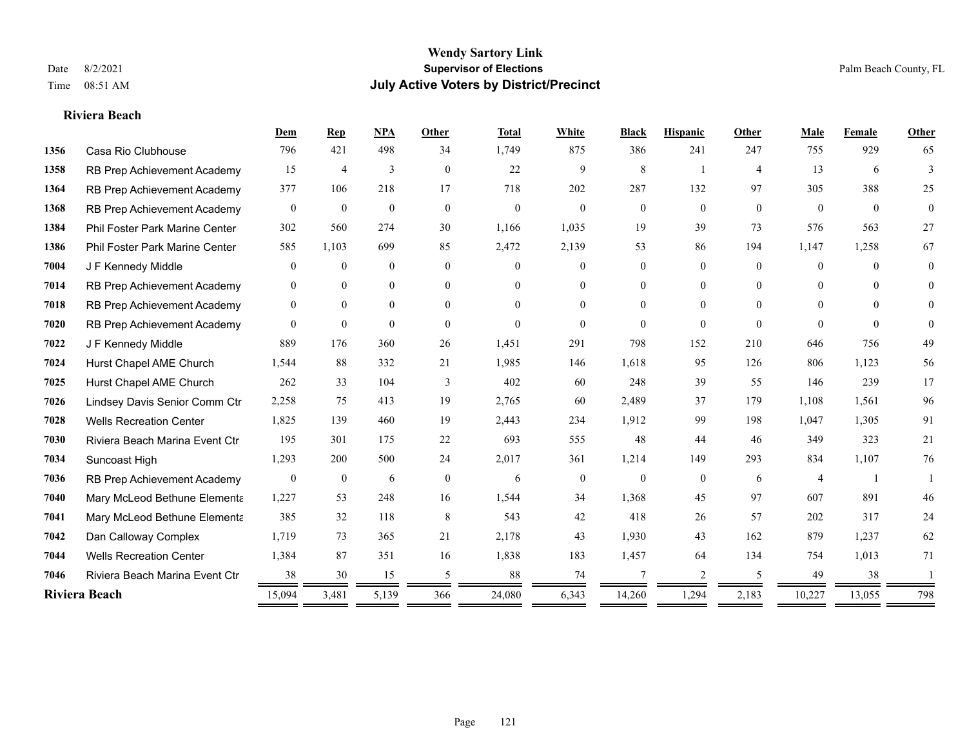#### **Riviera Beach**

|      |                                | Dem              | Rep              | <b>NPA</b>   | Other          | <b>Total</b> | White            | <b>Black</b>   | <b>Hispanic</b> | Other          | Male           | Female       | Other          |
|------|--------------------------------|------------------|------------------|--------------|----------------|--------------|------------------|----------------|-----------------|----------------|----------------|--------------|----------------|
| 1356 | Casa Rio Clubhouse             | 796              | 421              | 498          | 34             | 1,749        | 875              | 386            | 241             | 247            | 755            | 929          | 65             |
| 1358 | RB Prep Achievement Academy    | 15               | 4                | 3            | $\overline{0}$ | 22           | 9                | 8              |                 | $\overline{4}$ | 13             | 6            | 3              |
| 1364 | RB Prep Achievement Academy    | 377              | 106              | 218          | 17             | 718          | 202              | 287            | 132             | 97             | 305            | 388          | 25             |
| 1368 | RB Prep Achievement Academy    | $\mathbf{0}$     | $\mathbf{0}$     | $\mathbf{0}$ | $\mathbf{0}$   | $\theta$     | $\overline{0}$   | $\mathbf{0}$   | $\overline{0}$  | $\mathbf{0}$   | $\overline{0}$ | $\mathbf{0}$ | $\overline{0}$ |
| 1384 | Phil Foster Park Marine Center | 302              | 560              | 274          | 30             | 1,166        | 1,035            | 19             | 39              | 73             | 576            | 563          | 27             |
| 1386 | Phil Foster Park Marine Center | 585              | 1,103            | 699          | 85             | 2,472        | 2,139            | 53             | 86              | 194            | 1,147          | 1,258        | 67             |
| 7004 | J F Kennedy Middle             | $\mathbf{0}$     | $\mathbf{0}$     | $\mathbf{0}$ | $\overline{0}$ | $\Omega$     | $\overline{0}$   | $\overline{0}$ | $\overline{0}$  | $\Omega$       | $\overline{0}$ | $\theta$     | $\theta$       |
| 7014 | RB Prep Achievement Academy    | $\mathbf{0}$     | $\theta$         | $\mathbf{0}$ | $\overline{0}$ | $\Omega$     | $\overline{0}$   | 0              | $\overline{0}$  | $\Omega$       | $\theta$       | $\Omega$     | $\theta$       |
| 7018 | RB Prep Achievement Academy    | $\mathbf{0}$     | $\overline{0}$   | $\mathbf{0}$ | $\theta$       | $\Omega$     | $\overline{0}$   | $\Omega$       | $\overline{0}$  | $\Omega$       | $\Omega$       | $\Omega$     | $\Omega$       |
| 7020 | RB Prep Achievement Academy    | $\theta$         | $\theta$         | $\theta$     | $\theta$       | $\theta$     | $\theta$         | $\Omega$       | $\Omega$        | $\theta$       | $\Omega$       | $\theta$     | $\theta$       |
| 7022 | J F Kennedy Middle             | 889              | 176              | 360          | 26             | 1,451        | 291              | 798            | 152             | 210            | 646            | 756          | 49             |
| 7024 | Hurst Chapel AME Church        | 1,544            | 88               | 332          | 21             | 1,985        | 146              | 1,618          | 95              | 126            | 806            | 1,123        | 56             |
| 7025 | Hurst Chapel AME Church        | 262              | 33               | 104          | 3              | 402          | 60               | 248            | 39              | 55             | 146            | 239          | 17             |
| 7026 | Lindsey Davis Senior Comm Ctr  | 2,258            | 75               | 413          | 19             | 2,765        | 60               | 2,489          | 37              | 179            | 1,108          | 1,561        | 96             |
| 7028 | <b>Wells Recreation Center</b> | 1,825            | 139              | 460          | 19             | 2,443        | 234              | 1,912          | 99              | 198            | 1,047          | 1,305        | 91             |
| 7030 | Riviera Beach Marina Event Ctr | 195              | 301              | 175          | 22             | 693          | 555              | 48             | 44              | 46             | 349            | 323          | 21             |
| 7034 | Suncoast High                  | 1,293            | 200              | 500          | 24             | 2,017        | 361              | 1,214          | 149             | 293            | 834            | 1,107        | 76             |
| 7036 | RB Prep Achievement Academy    | $\boldsymbol{0}$ | $\boldsymbol{0}$ | 6            | $\mathbf{0}$   | 6            | $\boldsymbol{0}$ | $\mathbf{0}$   | $\overline{0}$  | 6              | $\overline{4}$ |              |                |
| 7040 | Mary McLeod Bethune Elementa   | 1,227            | 53               | 248          | 16             | 1,544        | 34               | 1,368          | 45              | 97             | 607            | 891          | 46             |
| 7041 | Mary McLeod Bethune Elementa   | 385              | 32               | 118          | 8              | 543          | 42               | 418            | 26              | 57             | 202            | 317          | 24             |
| 7042 | Dan Calloway Complex           | 1,719            | 73               | 365          | 21             | 2,178        | 43               | 1,930          | 43              | 162            | 879            | 1,237        | 62             |
| 7044 | <b>Wells Recreation Center</b> | 1,384            | 87               | 351          | 16             | 1,838        | 183              | 1,457          | 64              | 134            | 754            | 1,013        | 71             |
| 7046 | Riviera Beach Marina Event Ctr | 38               | 30               | 15           | 5              | 88           | 74               | 7              | 2               | .5             | 49             | 38           |                |
|      | Riviera Beach                  | 15,094           | 3,481            | 5,139        | 366            | 24,080       | 6,343            | 14,260         | 1,294           | 2,183          | 10,227         | 13,055       | 798            |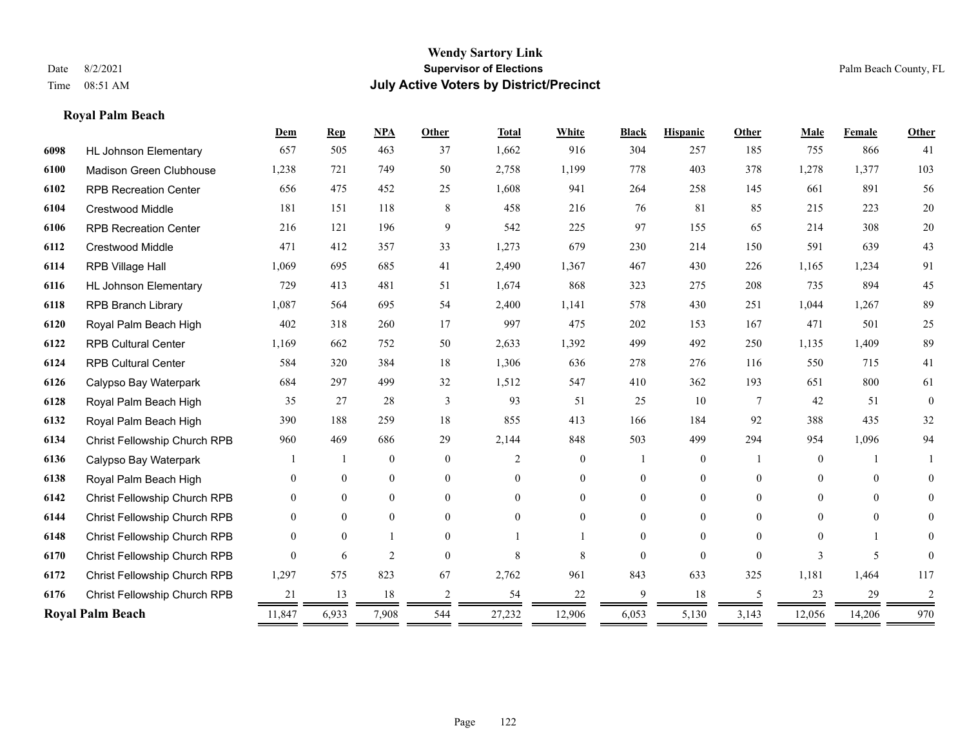**Royal Palm Beach**

#### **Wendy Sartory Link** Date 8/2/2021 **Supervisor of Elections** Palm Beach County, FL Time 08:51 AM **July Active Voters by District/Precinct**

# **Dem Rep NPA Other Total White Black Hispanic Other Male Female Other** HL Johnson Elementary 657 505 463 37 1,662 916 304 257 185 755 866 41 Madison Green Clubhouse 1,238 721 749 50 2,758 1,199 778 403 378 1,278 1,377 103 RPB Recreation Center 656 475 452 25 1,608 941 264 258 145 661 891 56 Crestwood Middle 181 151 118 8 458 216 76 81 85 215 223 20 RPB Recreation Center 216 121 196 9 542 225 97 155 65 214 308 20 Crestwood Middle 471 412 357 33 1,273 679 230 214 150 591 639 43 RPB Village Hall 1,069 695 685 41 2,490 1,367 467 430 226 1,165 1,234 91 HL Johnson Elementary 729 413 481 51 1,674 868 323 275 208 735 894 45 RPB Branch Library 1,087 564 695 54 2,400 1,141 578 430 251 1,044 1,267 89 Royal Palm Beach High 402 318 260 17 997 475 202 153 167 471 501 25 RPB Cultural Center 1,169 662 752 50 2,633 1,392 499 492 250 1,135 1,409 89 RPB Cultural Center 584 320 384 18 1,306 636 278 276 116 550 715 41 Calypso Bay Waterpark 684 297 499 32 1,512 547 410 362 193 651 800 61 Royal Palm Beach High 35 27 28 3 93 51 25 10 7 42 51 0 Royal Palm Beach High 390 188 259 18 855 413 166 184 92 388 435 32 Christ Fellowship Church RPB 960 469 686 29 2,144 848 503 499 294 954 1,096 94 Calypso Bay Waterpark 1 1 0 0 0 2 0 1 0 1 0 1 1 Royal Palm Beach High 0 0 0 0 0 0 0 0 0 0 0 0 Christ Fellowship Church RPB 0 0 0 0 0 0 0 0 0 0 0 0 Christ Fellowship Church RPB 0 0 0 0 0 0 0 0 0 0 0 0 Christ Fellowship Church RPB 0 0 1 0 1 1 0 0 0 0 1 0 Christ Fellowship Church RPB 0 6 2 0 8 8 0 0 0 3 5 0 Christ Fellowship Church RPB 1,297 575 823 67 2,762 961 843 633 325 1,181 1,464 117 Christ Fellowship Church RPB 21 13 18 2 54 22 9 18 5 23 29 2 **Royal Palm Beach** 11,847 6,933 7,908 544 27,232 12,906 6,053 5,130 3,143 12,056 14,206 970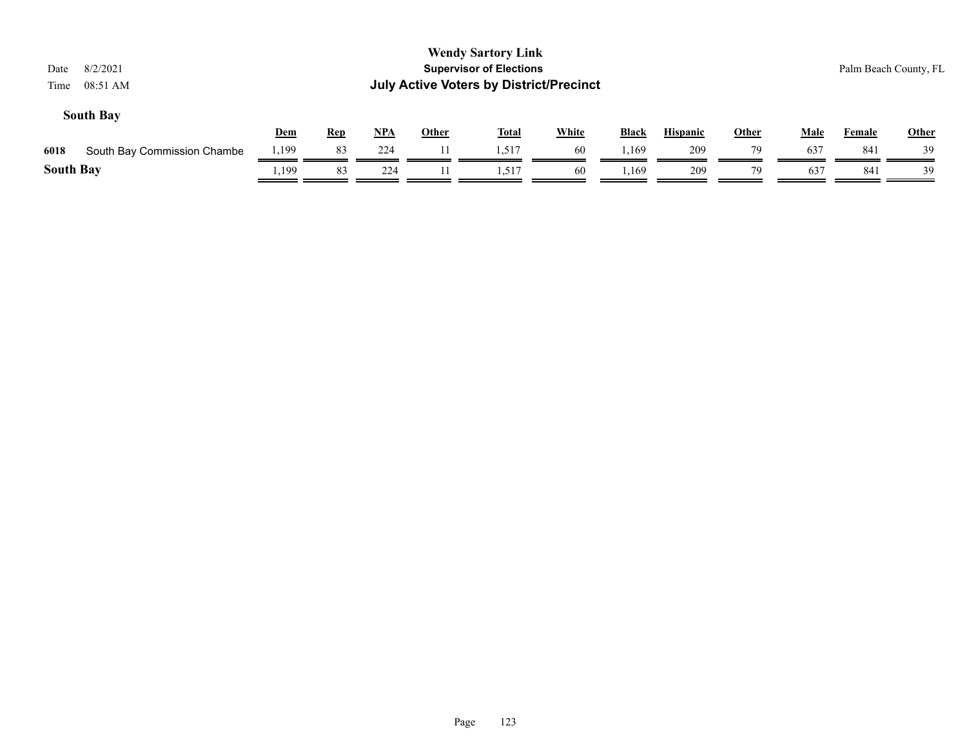| 8/2/2021<br>Date<br>08:51 AM<br>Time |       |            |       |              | <b>Wendy Sartory Link</b><br><b>Supervisor of Elections</b><br><b>July Active Voters by District/Precinct</b> |              |       |                 |              |             |        | Palm Beach County, FL |
|--------------------------------------|-------|------------|-------|--------------|---------------------------------------------------------------------------------------------------------------|--------------|-------|-----------------|--------------|-------------|--------|-----------------------|
| <b>South Bay</b>                     | Dem   | <b>Rep</b> | $NPA$ | <b>Other</b> | <b>Total</b>                                                                                                  | <b>White</b> | Black | <b>Hispanic</b> | <b>Other</b> | <b>Male</b> | Female | <b>Other</b>          |
| 6018<br>South Bay Commission Chambe  | .199  | 83         | 224   |              | 1.517                                                                                                         | 60           | l.169 | 209             | 79           | 637         | 841    | 39                    |
| <b>South Bay</b>                     | .,199 | 83         | 224   | 11           | 1,517                                                                                                         | 60           | 1,169 | 209             | 79           | 637         | 841    | 39                    |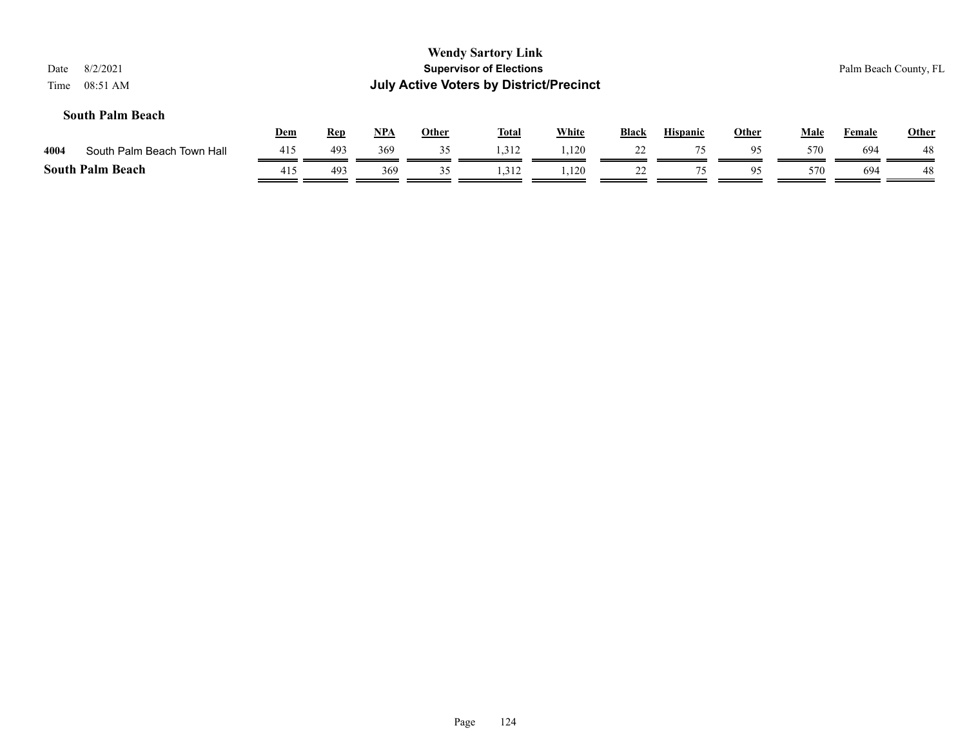| Date<br>Time | 8/2/2021<br>08:51 AM       |            |            |     |              | <b>Wendy Sartory Link</b><br><b>Supervisor of Elections</b><br><b>July Active Voters by District/Precinct</b> |       |       |                 |              |             |               | Palm Beach County, FL |
|--------------|----------------------------|------------|------------|-----|--------------|---------------------------------------------------------------------------------------------------------------|-------|-------|-----------------|--------------|-------------|---------------|-----------------------|
|              | <b>South Palm Beach</b>    | <b>Dem</b> | <b>Rep</b> | NPA | <b>Other</b> | <b>Total</b>                                                                                                  | White | Black | <b>Hispanic</b> | <b>Other</b> | <b>Male</b> | <b>Female</b> | <b>Other</b>          |
| 4004         | South Palm Beach Town Hall | 415        | 493        | 369 | 35           | 1,312                                                                                                         | 1,120 | 22    | 75              | 95           | 570         | 694           | 48                    |
|              | <b>South Palm Beach</b>    | 415        | 493        | 369 | 35           | 1,312                                                                                                         | 1,120 | 22    | 75              | 95           | 570         | 694           | 48                    |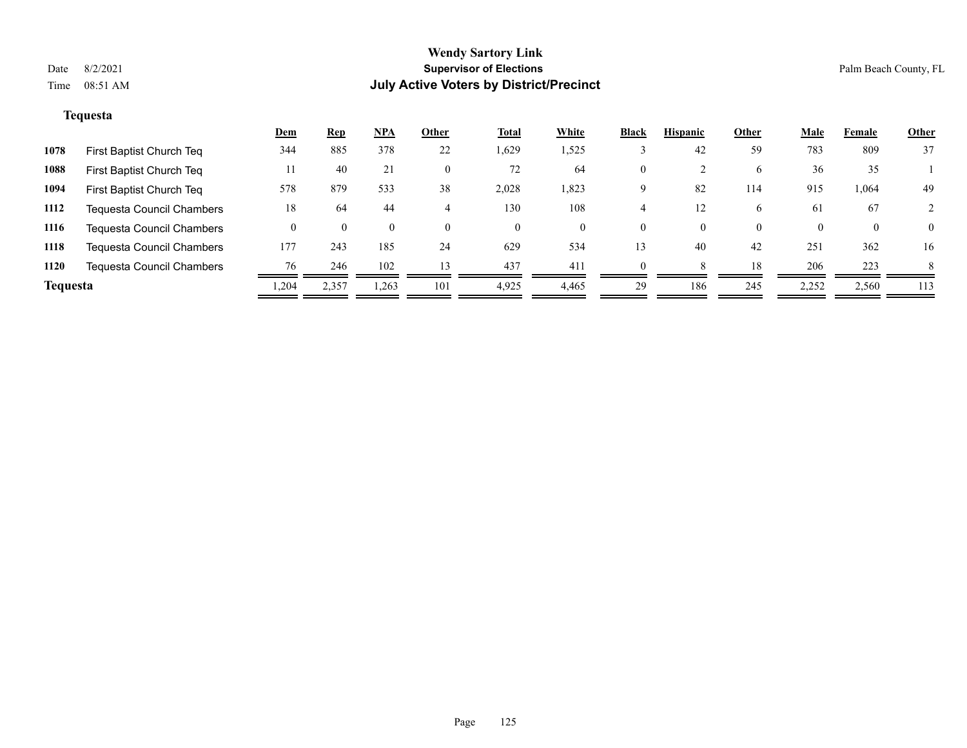### **Tequesta**

|                 |                                  | <u>Dem</u> | <b>Rep</b> | <u>NPA</u>         | Other    | <b>Total</b> | White | <b>Black</b> | <b>Hispanic</b> | Other    | <b>Male</b> | Female   | <b>Other</b>   |
|-----------------|----------------------------------|------------|------------|--------------------|----------|--------------|-------|--------------|-----------------|----------|-------------|----------|----------------|
| 1078            | First Baptist Church Teq         | 344        | 885        | 378                | 22       | 1,629        | 1,525 |              | 42              | 59       | 783         | 809      | 37             |
| 1088            | First Baptist Church Teq         | 11         | 40         | 21                 | $\theta$ | 72           | 64    | 0            |                 | 6        | 36          | 35       |                |
| 1094            | First Baptist Church Teq         | 578        | 879        | 533                | 38       | 2,028        | 1,823 | Q            | 82              | 114      | 915         | 1,064    | 49             |
| 1112            | Tequesta Council Chambers        | 18         | 64         | 44                 |          | 130          | 108   |              | 12              | 6        | 61          | 67       |                |
| 1116            | Tequesta Council Chambers        |            | $\Omega$   | $\left( 0 \right)$ | $\theta$ | $\theta$     | 0     | 0            | 0               | $\theta$ | $\Omega$    | $\theta$ | $\overline{0}$ |
| 1118            | <b>Tequesta Council Chambers</b> | 177        | 243        | 185                | 24       | 629          | 534   | 13           | 40              | 42       | 251         | 362      | 16             |
| 1120            | Tequesta Council Chambers        | 76         | 246        | 102                | 13       | 437          | 411   |              |                 | 18       | 206         | 223      | 8              |
| <b>Tequesta</b> |                                  | 1,204      | 2,357      | 1,263              | 101      | 4,925        | 4,465 | 29           | 186             | 245      | 2,252       | 2,560    | 113            |
|                 |                                  |            |            |                    |          |              |       |              |                 |          |             |          |                |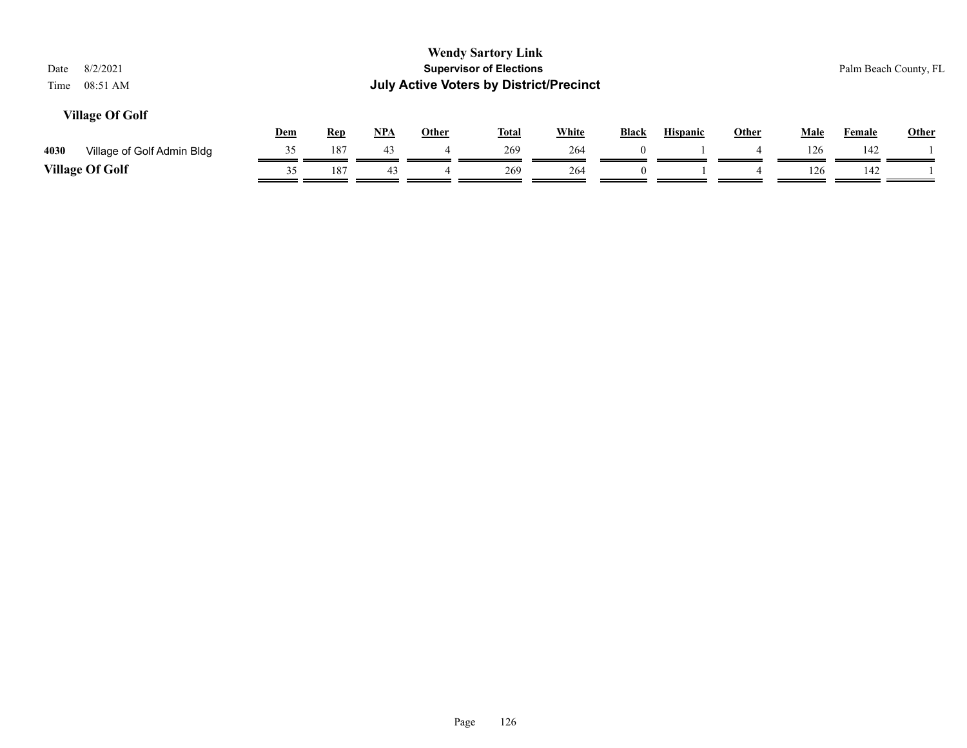| 8/2/2021<br>Date<br>08:51 AM<br>Time |            |            |     | <b>July Active Voters by District/Precinct</b> | <b>Wendy Sartory Link</b><br><b>Supervisor of Elections</b> |              |              |                 |              |             | Palm Beach County, FL |       |
|--------------------------------------|------------|------------|-----|------------------------------------------------|-------------------------------------------------------------|--------------|--------------|-----------------|--------------|-------------|-----------------------|-------|
| <b>Village Of Golf</b>               | <u>Dem</u> | <b>Rep</b> | NPA | Other                                          | <u>Total</u>                                                | <b>White</b> | <b>Black</b> | <b>Hispanic</b> | <b>Other</b> | <b>Male</b> | <b>Female</b>         | Other |
| 4030<br>Village of Golf Admin Bldg   | 35         | 187        | 43  |                                                | 269                                                         | 264          | $\Omega$     |                 | 4            | 126         | 142                   |       |
| <b>Village Of Golf</b>               | 35         | 187        | 43  |                                                | 269                                                         | 264          | $\theta$     |                 |              | 126         | 142                   |       |
|                                      |            |            |     |                                                |                                                             |              |              |                 |              |             |                       |       |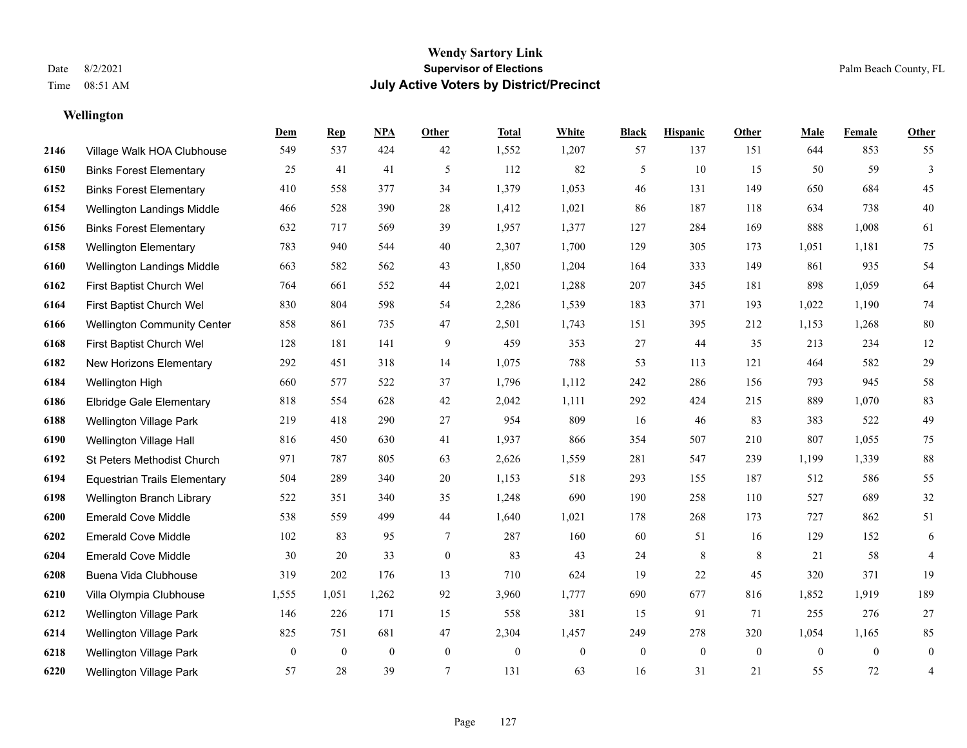## **Wellington**

|      |                                     | Dem          | <b>Rep</b>   | NPA          | <b>Other</b> | <b>Total</b>     | <b>White</b> | <b>Black</b>     | <b>Hispanic</b> | <b>Other</b>   | <b>Male</b>    | <b>Female</b>  | Other            |
|------|-------------------------------------|--------------|--------------|--------------|--------------|------------------|--------------|------------------|-----------------|----------------|----------------|----------------|------------------|
| 2146 | Village Walk HOA Clubhouse          | 549          | 537          | 424          | 42           | 1,552            | 1,207        | 57               | 137             | 151            | 644            | 853            | 55               |
| 6150 | <b>Binks Forest Elementary</b>      | 25           | 41           | 41           | 5            | 112              | 82           | 5                | 10              | 15             | 50             | 59             | $\mathfrak{Z}$   |
| 6152 | <b>Binks Forest Elementary</b>      | 410          | 558          | 377          | 34           | 1,379            | 1,053        | 46               | 131             | 149            | 650            | 684            | 45               |
| 6154 | Wellington Landings Middle          | 466          | 528          | 390          | 28           | 1,412            | 1,021        | 86               | 187             | 118            | 634            | 738            | $40\,$           |
| 6156 | <b>Binks Forest Elementary</b>      | 632          | 717          | 569          | 39           | 1,957            | 1,377        | 127              | 284             | 169            | 888            | 1,008          | 61               |
| 6158 | <b>Wellington Elementary</b>        | 783          | 940          | 544          | 40           | 2,307            | 1,700        | 129              | 305             | 173            | 1,051          | 1,181          | 75               |
| 6160 | Wellington Landings Middle          | 663          | 582          | 562          | 43           | 1,850            | 1,204        | 164              | 333             | 149            | 861            | 935            | 54               |
| 6162 | First Baptist Church Wel            | 764          | 661          | 552          | 44           | 2,021            | 1,288        | 207              | 345             | 181            | 898            | 1,059          | 64               |
| 6164 | First Baptist Church Wel            | 830          | 804          | 598          | 54           | 2,286            | 1,539        | 183              | 371             | 193            | 1,022          | 1,190          | $74\,$           |
| 6166 | <b>Wellington Community Center</b>  | 858          | 861          | 735          | 47           | 2,501            | 1,743        | 151              | 395             | 212            | 1,153          | 1,268          | $80\,$           |
| 6168 | First Baptist Church Wel            | 128          | 181          | 141          | 9            | 459              | 353          | 27               | 44              | 35             | 213            | 234            | 12               |
| 6182 | New Horizons Elementary             | 292          | 451          | 318          | 14           | 1,075            | 788          | 53               | 113             | 121            | 464            | 582            | $29\,$           |
| 6184 | Wellington High                     | 660          | 577          | 522          | 37           | 1,796            | 1,112        | 242              | 286             | 156            | 793            | 945            | 58               |
| 6186 | <b>Elbridge Gale Elementary</b>     | 818          | 554          | 628          | $42\,$       | 2,042            | 1,111        | 292              | 424             | 215            | 889            | 1,070          | 83               |
| 6188 | Wellington Village Park             | 219          | 418          | 290          | 27           | 954              | 809          | 16               | 46              | 83             | 383            | 522            | 49               |
| 6190 | Wellington Village Hall             | 816          | 450          | 630          | 41           | 1,937            | 866          | 354              | 507             | 210            | 807            | 1,055          | 75               |
| 6192 | St Peters Methodist Church          | 971          | 787          | 805          | 63           | 2,626            | 1,559        | 281              | 547             | 239            | 1,199          | 1,339          | $88\,$           |
| 6194 | <b>Equestrian Trails Elementary</b> | 504          | 289          | 340          | 20           | 1,153            | 518          | 293              | 155             | 187            | 512            | 586            | 55               |
| 6198 | Wellington Branch Library           | 522          | 351          | 340          | 35           | 1,248            | 690          | 190              | 258             | 110            | 527            | 689            | $32\,$           |
| 6200 | <b>Emerald Cove Middle</b>          | 538          | 559          | 499          | 44           | 1,640            | 1,021        | 178              | 268             | 173            | 727            | 862            | 51               |
| 6202 | <b>Emerald Cove Middle</b>          | 102          | 83           | 95           | 7            | 287              | 160          | 60               | 51              | 16             | 129            | 152            | 6                |
| 6204 | <b>Emerald Cove Middle</b>          | 30           | 20           | 33           | $\mathbf{0}$ | 83               | 43           | 24               | 8               | 8              | 21             | 58             | 4                |
| 6208 | Buena Vida Clubhouse                | 319          | 202          | 176          | 13           | 710              | 624          | 19               | 22              | 45             | 320            | 371            | 19               |
| 6210 | Villa Olympia Clubhouse             | 1,555        | 1,051        | 1,262        | 92           | 3,960            | 1,777        | 690              | 677             | 816            | 1,852          | 1,919          | 189              |
| 6212 | <b>Wellington Village Park</b>      | 146          | 226          | 171          | 15           | 558              | 381          | 15               | 91              | 71             | 255            | 276            | 27               |
| 6214 | Wellington Village Park             | 825          | 751          | 681          | $47\,$       | 2,304            | 1,457        | 249              | 278             | 320            | 1,054          | 1,165          | 85               |
| 6218 | Wellington Village Park             | $\mathbf{0}$ | $\mathbf{0}$ | $\mathbf{0}$ | $\mathbf{0}$ | $\boldsymbol{0}$ | $\mathbf{0}$ | $\boldsymbol{0}$ | $\mathbf{0}$    | $\overline{0}$ | $\overline{0}$ | $\overline{0}$ | $\boldsymbol{0}$ |
| 6220 | <b>Wellington Village Park</b>      | 57           | 28           | 39           | 7            | 131              | 63           | 16               | 31              | 21             | 55             | 72             | $\overline{4}$   |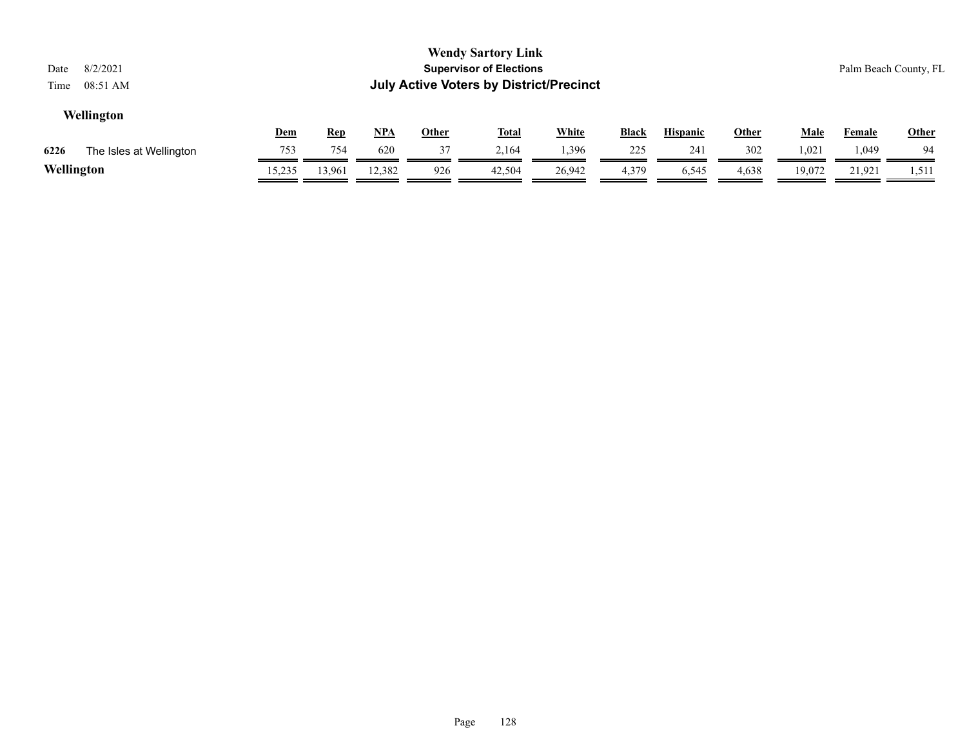| 8/2/2021<br>Date<br>08:51 AM<br>Time |            |            |        |              | <b>Wendy Sartory Link</b><br><b>Supervisor of Elections</b><br><b>July Active Voters by District/Precinct</b> |              |              |                 |              |             |               | Palm Beach County, FL |
|--------------------------------------|------------|------------|--------|--------------|---------------------------------------------------------------------------------------------------------------|--------------|--------------|-----------------|--------------|-------------|---------------|-----------------------|
| Wellington                           | <u>Dem</u> | <u>Rep</u> | $NPA$  | <u>Other</u> | <u>Total</u>                                                                                                  | <b>White</b> | <b>Black</b> | <b>Hispanic</b> | <u>Other</u> | <u>Male</u> | <b>Female</b> | Other                 |
| 6226<br>The Isles at Wellington      | 753        | 754        | 620    | 37           | 2,164                                                                                                         | 1,396        | 225          | 241             | 302          | 1,021       | 1,049         | 94                    |
| Wellington                           | 15,235     | 13,961     | 12,382 | 926          | 42,504                                                                                                        | 26,942       | 4,379        | 6,545           | 4,638        | 19,072      | 21,921        | 1,511                 |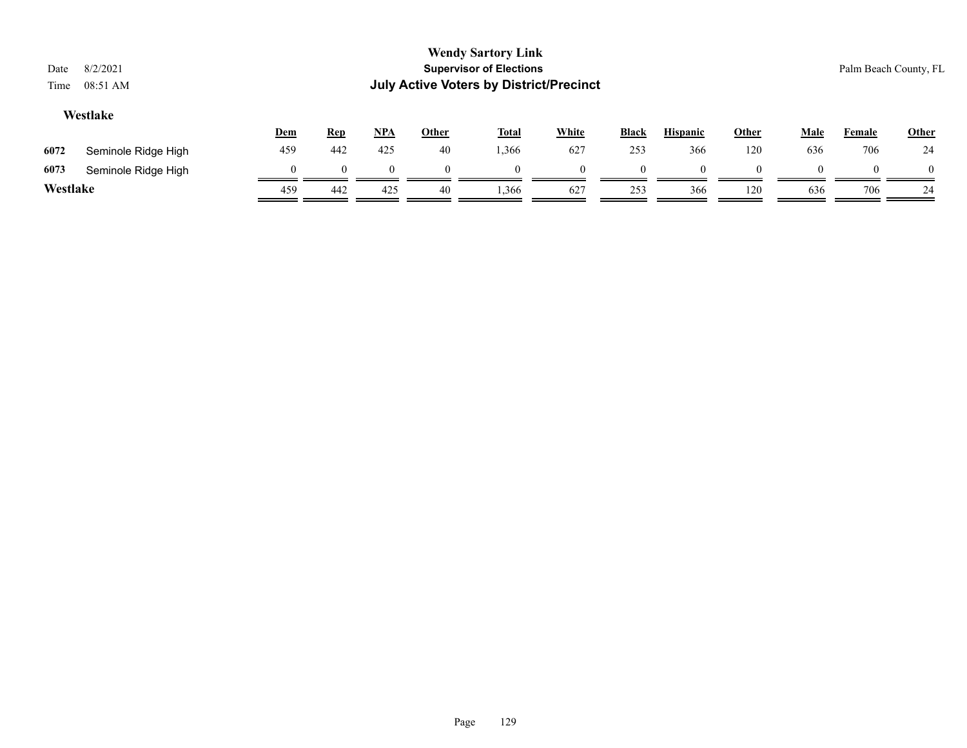| Date<br>Time                                                                                                                                                                   | 8/2/2021<br>08:51 AM |     |     |          |          | <b>Wendy Sartory Link</b><br><b>Supervisor of Elections</b><br><b>July Active Voters by District/Precinct</b> |          |          |          |     |          |     | Palm Beach County, FL |
|--------------------------------------------------------------------------------------------------------------------------------------------------------------------------------|----------------------|-----|-----|----------|----------|---------------------------------------------------------------------------------------------------------------|----------|----------|----------|-----|----------|-----|-----------------------|
| Westlake<br><b>White</b><br><b>NPA</b><br><b>Total</b><br><b>Black</b><br><b>Hispanic</b><br><b>Other</b><br><b>Male</b><br><b>Dem</b><br><b>Rep</b><br><b>Other</b><br>Female |                      |     |     |          |          |                                                                                                               |          |          |          |     |          |     |                       |
| 6072                                                                                                                                                                           | Seminole Ridge High  | 459 | 442 | 425      | 40       | 1,366                                                                                                         | 627      | 253      | 366      | 120 | 636      | 706 | 24                    |
| 6073                                                                                                                                                                           | Seminole Ridge High  |     |     | $\Omega$ | $\Omega$ | $\theta$                                                                                                      | $\theta$ | $\Omega$ | $\Omega$ |     | $\theta$ |     | $\theta$              |
| Westlake                                                                                                                                                                       |                      | 459 | 442 | 425      | 40       | 1,366                                                                                                         | 627      | 253      | 366      | 120 | 636      | 706 | 24                    |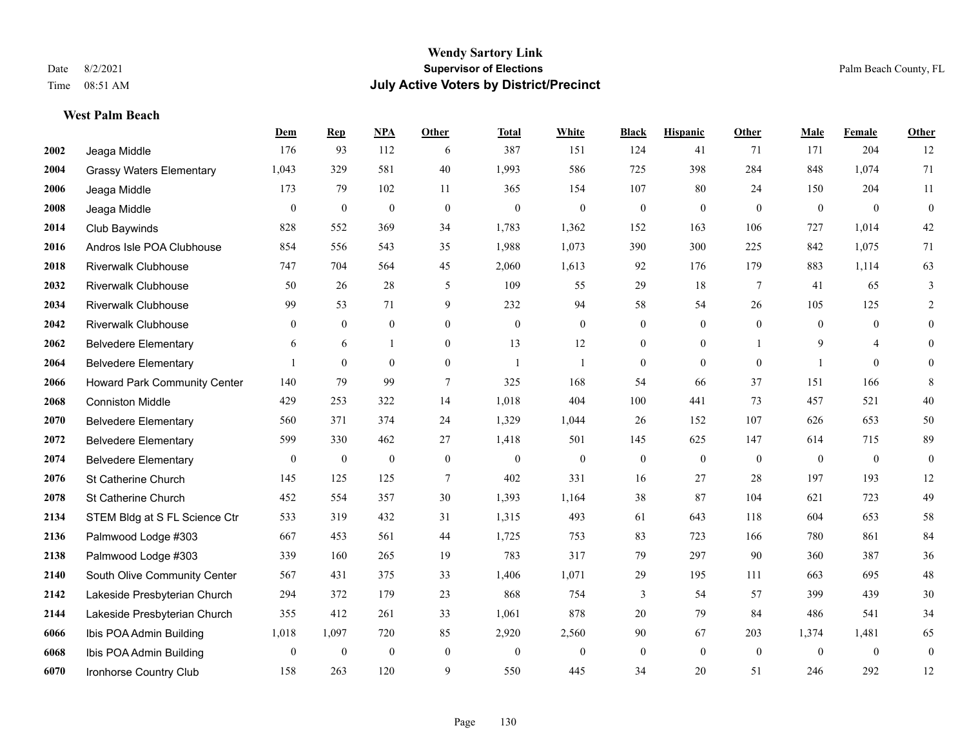## **West Palm Beach**

|      |                                 | Dem              | <b>Rep</b>       | NPA              | <b>Other</b>   | <b>Total</b>   | <b>White</b>     | <b>Black</b>     | <b>Hispanic</b>  | <b>Other</b>    | <b>Male</b>  | Female         | Other            |
|------|---------------------------------|------------------|------------------|------------------|----------------|----------------|------------------|------------------|------------------|-----------------|--------------|----------------|------------------|
| 2002 | Jeaga Middle                    | 176              | 93               | 112              | 6              | 387            | 151              | 124              | 41               | 71              | 171          | 204            | 12               |
| 2004 | <b>Grassy Waters Elementary</b> | 1,043            | 329              | 581              | 40             | 1,993          | 586              | 725              | 398              | 284             | 848          | 1,074          | 71               |
| 2006 | Jeaga Middle                    | 173              | 79               | 102              | 11             | 365            | 154              | 107              | 80               | 24              | 150          | 204            | 11               |
| 2008 | Jeaga Middle                    | $\mathbf{0}$     | $\boldsymbol{0}$ | $\mathbf{0}$     | $\mathbf{0}$   | $\theta$       | $\boldsymbol{0}$ | $\boldsymbol{0}$ | $\mathbf{0}$     | $\mathbf{0}$    | $\mathbf{0}$ | $\mathbf{0}$   | $\boldsymbol{0}$ |
| 2014 | Club Baywinds                   | 828              | 552              | 369              | 34             | 1,783          | 1,362            | 152              | 163              | 106             | 727          | 1.014          | $42\,$           |
| 2016 | Andros Isle POA Clubhouse       | 854              | 556              | 543              | 35             | 1,988          | 1,073            | 390              | 300              | 225             | 842          | 1,075          | 71               |
| 2018 | <b>Riverwalk Clubhouse</b>      | 747              | 704              | 564              | 45             | 2,060          | 1,613            | 92               | 176              | 179             | 883          | 1,114          | 63               |
| 2032 | <b>Riverwalk Clubhouse</b>      | 50               | 26               | 28               | 5              | 109            | 55               | 29               | 18               | $7\phantom{.0}$ | 41           | 65             | 3                |
| 2034 | <b>Riverwalk Clubhouse</b>      | 99               | 53               | 71               | 9              | 232            | 94               | 58               | 54               | 26              | 105          | 125            | 2                |
| 2042 | <b>Riverwalk Clubhouse</b>      | $\mathbf{0}$     | $\mathbf{0}$     | $\mathbf{0}$     | $\overline{0}$ | $\theta$       | $\boldsymbol{0}$ | $\mathbf{0}$     | $\mathbf{0}$     | $\theta$        | $\theta$     | $\theta$       | $\mathbf{0}$     |
| 2062 | <b>Belvedere Elementary</b>     | 6                | 6                | $\mathbf{1}$     | $\theta$       | 13             | 12               | $\mathbf{0}$     | $\theta$         | $\overline{1}$  | 9            | $\overline{4}$ | $\theta$         |
| 2064 | <b>Belvedere Elementary</b>     |                  | $\mathbf{0}$     | $\theta$         | $\overline{0}$ | $\overline{1}$ | 1                | $\mathbf{0}$     | $\mathbf{0}$     | $\theta$        |              | $\theta$       | $\theta$         |
| 2066 | Howard Park Community Center    | 140              | 79               | 99               | $\tau$         | 325            | 168              | 54               | 66               | 37              | 151          | 166            | 8                |
| 2068 | <b>Conniston Middle</b>         | 429              | 253              | 322              | 14             | 1,018          | 404              | 100              | 441              | 73              | 457          | 521            | $40\,$           |
| 2070 | <b>Belvedere Elementary</b>     | 560              | 371              | 374              | 24             | 1,329          | 1,044            | 26               | 152              | 107             | 626          | 653            | 50               |
| 2072 | <b>Belvedere Elementary</b>     | 599              | 330              | 462              | 27             | 1,418          | 501              | 145              | 625              | 147             | 614          | 715            | 89               |
| 2074 | <b>Belvedere Elementary</b>     | $\boldsymbol{0}$ | $\boldsymbol{0}$ | $\boldsymbol{0}$ | $\mathbf{0}$   | $\mathbf{0}$   | $\boldsymbol{0}$ | $\boldsymbol{0}$ | $\boldsymbol{0}$ | $\mathbf{0}$    | $\mathbf{0}$ | $\mathbf{0}$   | $\boldsymbol{0}$ |
| 2076 | St Catherine Church             | 145              | 125              | 125              | 7              | 402            | 331              | 16               | 27               | 28              | 197          | 193            | 12               |
| 2078 | St Catherine Church             | 452              | 554              | 357              | 30             | 1,393          | 1,164            | 38               | 87               | 104             | 621          | 723            | 49               |
| 2134 | STEM Bldg at S FL Science Ctr   | 533              | 319              | 432              | 31             | 1,315          | 493              | 61               | 643              | 118             | 604          | 653            | 58               |
| 2136 | Palmwood Lodge #303             | 667              | 453              | 561              | 44             | 1,725          | 753              | 83               | 723              | 166             | 780          | 861            | 84               |
| 2138 | Palmwood Lodge #303             | 339              | 160              | 265              | 19             | 783            | 317              | 79               | 297              | 90              | 360          | 387            | 36               |
| 2140 | South Olive Community Center    | 567              | 431              | 375              | 33             | 1,406          | 1,071            | 29               | 195              | 111             | 663          | 695            | $48\,$           |
| 2142 | Lakeside Presbyterian Church    | 294              | 372              | 179              | 23             | 868            | 754              | 3                | 54               | 57              | 399          | 439            | $30\,$           |
| 2144 | Lakeside Presbyterian Church    | 355              | 412              | 261              | 33             | 1,061          | 878              | 20               | 79               | 84              | 486          | 541            | 34               |
| 6066 | Ibis POA Admin Building         | 1,018            | 1,097            | 720              | 85             | 2,920          | 2,560            | 90               | 67               | 203             | 1,374        | 1,481          | 65               |
| 6068 | Ibis POA Admin Building         | $\mathbf{0}$     | $\boldsymbol{0}$ | $\boldsymbol{0}$ | $\mathbf{0}$   | $\theta$       | $\overline{0}$   | $\boldsymbol{0}$ | $\mathbf{0}$     | $\mathbf{0}$    | $\mathbf{0}$ | $\mathbf{0}$   | $\boldsymbol{0}$ |
| 6070 | Ironhorse Country Club          | 158              | 263              | 120              | 9              | 550            | 445              | 34               | 20               | 51              | 246          | 292            | 12               |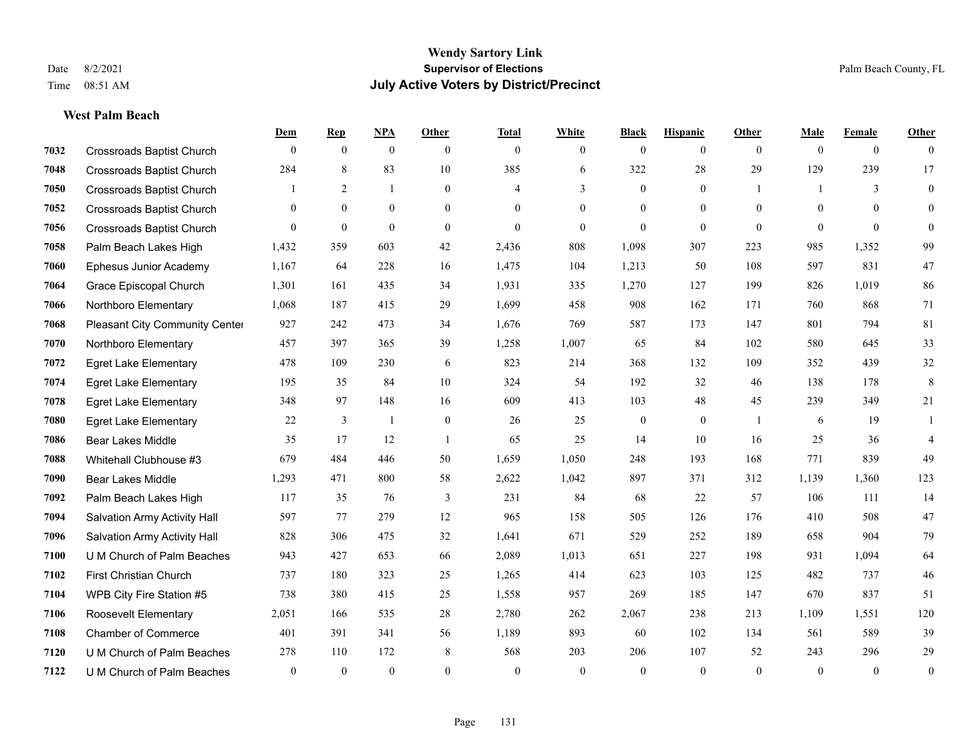**West Palm Beach**

#### **Wendy Sartory Link** Date 8/2/2021 **Supervisor of Elections** Palm Beach County, FL Time 08:51 AM **July Active Voters by District/Precinct**

# **Dem Rep NPA Other Total White Black Hispanic Other Male Female Other** Crossroads Baptist Church 0 0 0 0 0 0 0 0 0 0 0 0 Crossroads Baptist Church 284 8 83 10 385 6 322 28 29 129 239 17 Crossroads Baptist Church 1 2 1 0 4 3 0 1 1 3 0 Crossroads Baptist Church 0 0 0 0 0 0 0 0 0 0 0 0 Crossroads Baptist Church 0 0 0 0 0 0 0 0 0 0 0 0 Palm Beach Lakes High 1,432 359 603 42 2,436 808 1,098 307 223 985 1,352 99 Ephesus Junior Academy 1,167 64 228 16 1,475 104 1,213 50 108 597 831 47 Grace Episcopal Church 1,301 161 435 34 1,931 335 1,270 127 199 826 1,019 86 Northboro Elementary 1,068 187 415 29 1,699 458 908 162 171 760 868 71 Pleasant City Community Center 927 242 473 34 1,676 769 587 173 147 801 794 81 Northboro Elementary 457 397 365 39 1,258 1,007 65 84 102 580 645 33 Egret Lake Elementary 478 109 230 6 823 214 368 132 109 352 439 32 Egret Lake Elementary 195 35 84 10 324 54 192 32 46 138 178 8 Egret Lake Elementary 348 97 148 16 609 413 103 48 45 239 349 21 Egret Lake Elementary 22 3 1 0 26 25 0 0 1 6 19 1 Bear Lakes Middle 35 17 12 1 65 25 14 10 16 25 36 4 Whitehall Clubhouse #3 679 484 446 50 1,659 1,050 248 193 168 771 839 49 Bear Lakes Middle 1,293 471 800 58 2,622 1,042 897 371 312 1,139 1,360 123 Palm Beach Lakes High 117 35 76 3 231 84 68 22 57 106 111 14 Salvation Army Activity Hall 597 77 279 12 965 158 505 126 176 410 508 47 Salvation Army Activity Hall 828 306 475 32 1,641 671 529 252 189 658 904 79 U M Church of Palm Beaches 943 427 653 66 2,089 1,013 651 227 198 931 1,094 64 First Christian Church 737 180 323 25 1,265 414 623 103 125 482 737 46 WPB City Fire Station #5 738 380 415 25 1,558 957 269 185 147 670 837 51 Roosevelt Elementary 2,051 166 535 28 2,780 262 2,067 238 213 1,109 1,551 120 Chamber of Commerce 401 391 341 56 1,189 893 60 102 134 561 589 39 U M Church of Palm Beaches 278 110 172 8 568 203 206 107 52 243 296 29

U M Church of Palm Beaches 0 0 0 0 0 0 0 0 0 0 0 0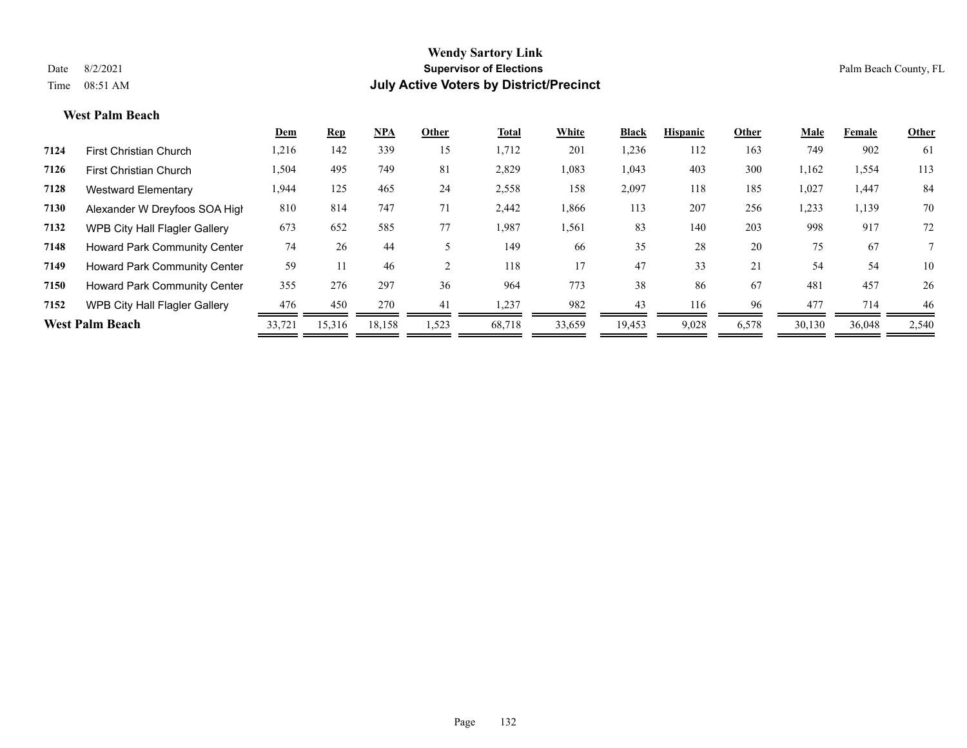#### **West Palm Beach**

|      |                                      | Dem    | Rep    | <b>NPA</b> | Other | Total  | White  | <b>Black</b> | <b>Hispanic</b> | Other | Male   | Female | Other |
|------|--------------------------------------|--------|--------|------------|-------|--------|--------|--------------|-----------------|-------|--------|--------|-------|
| 7124 | <b>First Christian Church</b>        | 1,216  | 142    | 339        | 15    | 1,712  | 201    | 1,236        | 112             | 163   | 749    | 902    | 61    |
| 7126 | <b>First Christian Church</b>        | 1,504  | 495    | 749        | 81    | 2,829  | 1,083  | 1,043        | 403             | 300   | 1,162  | 1,554  | 113   |
| 7128 | <b>Westward Elementary</b>           | 1,944  | 125    | 465        | 24    | 2,558  | 158    | 2,097        | 118             | 185   | 1,027  | 1,447  | 84    |
| 7130 | Alexander W Dreyfoos SOA High        | 810    | 814    | 747        | 71    | 2,442  | 1,866  | 113          | 207             | 256   | 1,233  | 1,139  | 70    |
| 7132 | WPB City Hall Flagler Gallery        | 673    | 652    | 585        | 77    | 1,987  | 1,561  | 83           | 140             | 203   | 998    | 917    | 72    |
| 7148 | <b>Howard Park Community Center</b>  | 74     | 26     | 44         |       | 149    | 66     | 35           | 28              | 20    | 75     | 67     |       |
| 7149 | <b>Howard Park Community Center</b>  | 59     | 11     | 46         |       | 118    | 17     | 47           | 33              | 21    | 54     | 54     | 10    |
| 7150 | <b>Howard Park Community Center</b>  | 355    | 276    | 297        | 36    | 964    | 773    | 38           | 86              | 67    | 481    | 457    | 26    |
| 7152 | <b>WPB City Hall Flagler Gallery</b> | 476    | 450    | 270        | 41    | 1,237  | 982    | 43           | 116             | 96    | 477    | 714    | 46    |
|      | <b>West Palm Beach</b>               | 33,721 | 15,316 | 18,158     | 1,523 | 68,718 | 33,659 | 19,453       | 9,028           | 6,578 | 30,130 | 36,048 | 2,540 |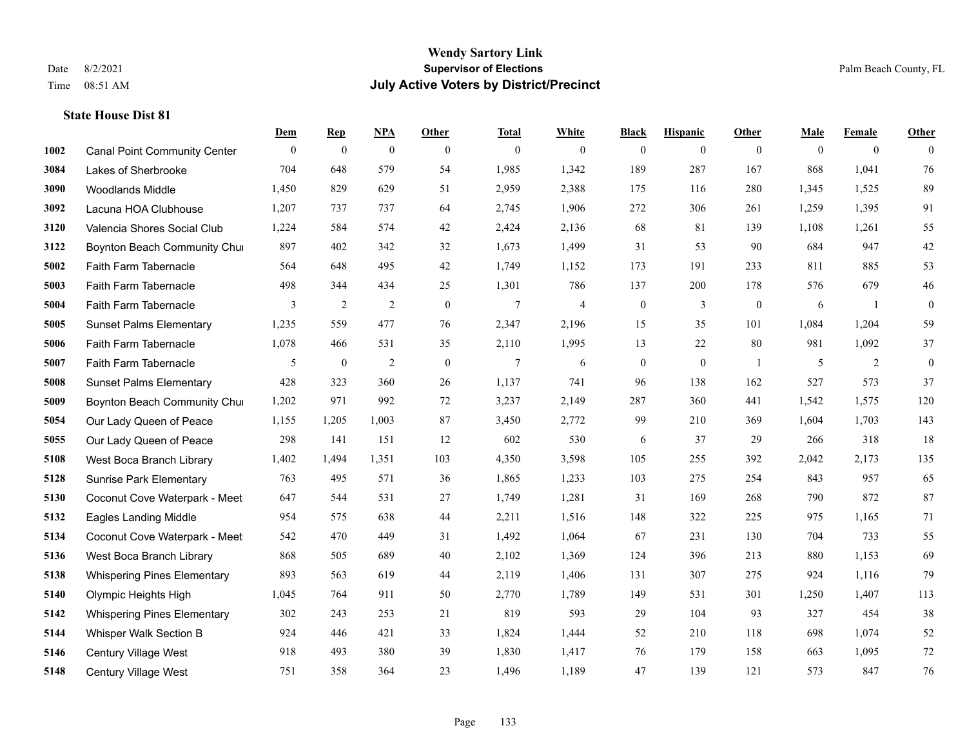|      |                                     | Dem          | <b>Rep</b>       | NPA              | <b>Other</b> | <b>Total</b> | <b>White</b>   | <b>Black</b>     | <b>Hispanic</b>  | <b>Other</b>     | <b>Male</b> | <b>Female</b>  | <b>Other</b> |
|------|-------------------------------------|--------------|------------------|------------------|--------------|--------------|----------------|------------------|------------------|------------------|-------------|----------------|--------------|
| 1002 | <b>Canal Point Community Center</b> | $\mathbf{0}$ | $\boldsymbol{0}$ | $\boldsymbol{0}$ | $\theta$     | $\mathbf{0}$ | $\overline{0}$ | $\overline{0}$   | $\overline{0}$   | $\overline{0}$   | $\theta$    | $\overline{0}$ | $\Omega$     |
| 3084 | Lakes of Sherbrooke                 | 704          | 648              | 579              | 54           | 1,985        | 1,342          | 189              | 287              | 167              | 868         | 1,041          | 76           |
| 3090 | <b>Woodlands Middle</b>             | 1,450        | 829              | 629              | 51           | 2,959        | 2,388          | 175              | 116              | 280              | 1,345       | 1,525          | 89           |
| 3092 | Lacuna HOA Clubhouse                | 1,207        | 737              | 737              | 64           | 2,745        | 1,906          | 272              | 306              | 261              | 1,259       | 1,395          | 91           |
| 3120 | Valencia Shores Social Club         | 1,224        | 584              | 574              | 42           | 2,424        | 2,136          | 68               | 81               | 139              | 1,108       | 1,261          | 55           |
| 3122 | Boynton Beach Community Chur        | 897          | 402              | 342              | 32           | 1,673        | 1,499          | 31               | 53               | 90               | 684         | 947            | $42\,$       |
| 5002 | Faith Farm Tabernacle               | 564          | 648              | 495              | 42           | 1,749        | 1,152          | 173              | 191              | 233              | 811         | 885            | 53           |
| 5003 | Faith Farm Tabernacle               | 498          | 344              | 434              | 25           | 1,301        | 786            | 137              | 200              | 178              | 576         | 679            | 46           |
| 5004 | Faith Farm Tabernacle               | 3            | $\sqrt{2}$       | $\sqrt{2}$       | $\mathbf{0}$ | $\tau$       | $\overline{4}$ | $\boldsymbol{0}$ | 3                | $\boldsymbol{0}$ | 6           | -1             | $\mathbf{0}$ |
| 5005 | <b>Sunset Palms Elementary</b>      | 1,235        | 559              | 477              | 76           | 2,347        | 2,196          | 15               | 35               | 101              | 1,084       | 1,204          | 59           |
| 5006 | Faith Farm Tabernacle               | 1,078        | 466              | 531              | 35           | 2,110        | 1,995          | 13               | 22               | 80               | 981         | 1,092          | 37           |
| 5007 | Faith Farm Tabernacle               | 5            | $\boldsymbol{0}$ | $\overline{2}$   | $\mathbf{0}$ | $\tau$       | 6              | $\boldsymbol{0}$ | $\boldsymbol{0}$ | -1               | 5           | 2              | $\mathbf{0}$ |
| 5008 | <b>Sunset Palms Elementary</b>      | 428          | 323              | 360              | 26           | 1,137        | 741            | 96               | 138              | 162              | 527         | 573            | 37           |
| 5009 | Boynton Beach Community Chur        | 1,202        | 971              | 992              | $72\,$       | 3,237        | 2,149          | 287              | 360              | 441              | 1,542       | 1,575          | 120          |
| 5054 | Our Lady Queen of Peace             | 1,155        | 1,205            | 1,003            | 87           | 3,450        | 2,772          | 99               | 210              | 369              | 1,604       | 1,703          | 143          |
| 5055 | Our Lady Queen of Peace             | 298          | 141              | 151              | 12           | 602          | 530            | 6                | 37               | 29               | 266         | 318            | 18           |
| 5108 | West Boca Branch Library            | 1,402        | 1,494            | 1,351            | 103          | 4,350        | 3,598          | 105              | 255              | 392              | 2,042       | 2,173          | 135          |
| 5128 | <b>Sunrise Park Elementary</b>      | 763          | 495              | 571              | 36           | 1,865        | 1,233          | 103              | 275              | 254              | 843         | 957            | 65           |
| 5130 | Coconut Cove Waterpark - Meet       | 647          | 544              | 531              | 27           | 1,749        | 1,281          | 31               | 169              | 268              | 790         | 872            | 87           |
| 5132 | Eagles Landing Middle               | 954          | 575              | 638              | 44           | 2,211        | 1,516          | 148              | 322              | 225              | 975         | 1,165          | $71\,$       |
| 5134 | Coconut Cove Waterpark - Meet       | 542          | 470              | 449              | 31           | 1,492        | 1,064          | 67               | 231              | 130              | 704         | 733            | 55           |
| 5136 | West Boca Branch Library            | 868          | 505              | 689              | 40           | 2,102        | 1,369          | 124              | 396              | 213              | 880         | 1,153          | 69           |
| 5138 | <b>Whispering Pines Elementary</b>  | 893          | 563              | 619              | 44           | 2,119        | 1,406          | 131              | 307              | 275              | 924         | 1,116          | 79           |
| 5140 | Olympic Heights High                | 1,045        | 764              | 911              | 50           | 2,770        | 1,789          | 149              | 531              | 301              | 1,250       | 1,407          | 113          |
| 5142 | <b>Whispering Pines Elementary</b>  | 302          | 243              | 253              | 21           | 819          | 593            | 29               | 104              | 93               | 327         | 454            | 38           |
| 5144 | Whisper Walk Section B              | 924          | 446              | 421              | 33           | 1,824        | 1,444          | 52               | 210              | 118              | 698         | 1,074          | 52           |
| 5146 | <b>Century Village West</b>         | 918          | 493              | 380              | 39           | 1,830        | 1,417          | 76               | 179              | 158              | 663         | 1,095          | $72\,$       |
| 5148 | <b>Century Village West</b>         | 751          | 358              | 364              | 23           | 1,496        | 1,189          | 47               | 139              | 121              | 573         | 847            | 76           |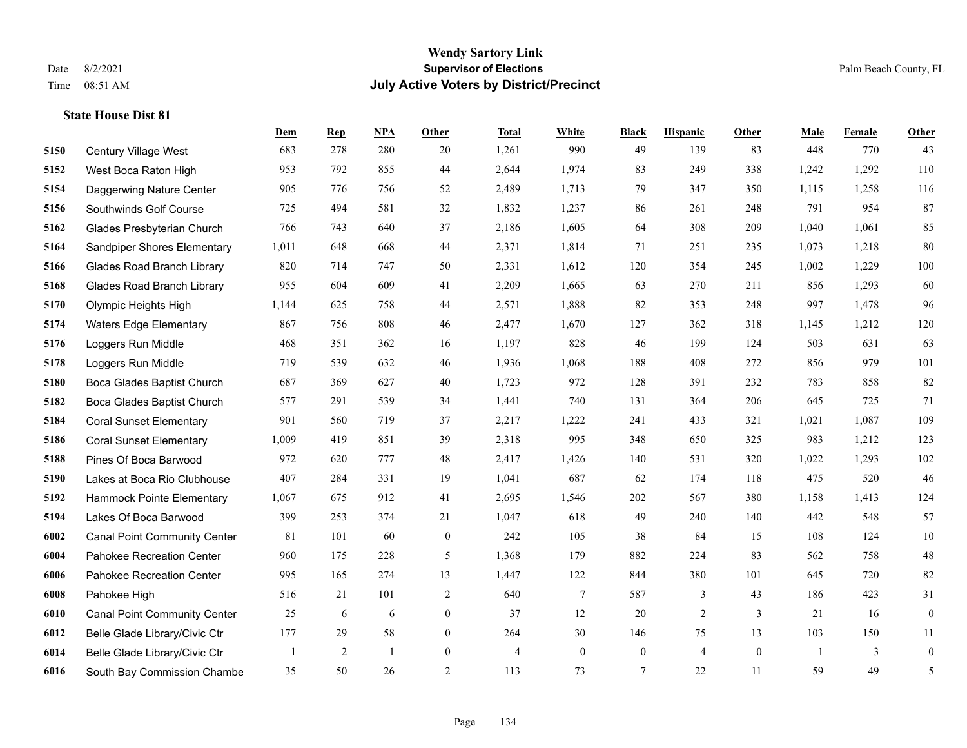**State House Dist 81**

#### **Wendy Sartory Link** Date 8/2/2021 **Supervisor of Elections** Palm Beach County, FL Time 08:51 AM **July Active Voters by District/Precinct**

# **Dem Rep NPA Other Total White Black Hispanic Other Male Female Other** Century Village West 683 278 280 20 1,261 990 49 139 83 448 770 43 West Boca Raton High 953 792 855 44 2,644 1,974 83 249 338 1,242 1,292 110 Daggerwing Nature Center 905 776 756 52 2,489 1,713 79 347 350 1,115 1,258 116 Southwinds Golf Course 725 494 581 32 1,832 1,237 86 261 248 791 954 87 Glades Presbyterian Church 766 743 640 37 2,186 1,605 64 308 209 1,040 1,061 85 Sandpiper Shores Elementary 1,011 648 668 44 2,371 1,814 71 251 235 1,073 1,218 80 Glades Road Branch Library 820 714 747 50 2,331 1,612 120 354 245 1,002 1,229 100 Glades Road Branch Library 955 604 609 41 2,209 1,665 63 270 211 856 1,293 60 Olympic Heights High 1,144 625 758 44 2,571 1,888 82 353 248 997 1,478 96 Waters Edge Elementary 867 756 808 46 2,477 1,670 127 362 318 1,145 1,212 120 Loggers Run Middle 468 351 362 16 1,197 828 46 199 124 503 631 63 Loggers Run Middle 719 539 632 46 1,936 1,068 188 408 272 856 979 101 Boca Glades Baptist Church 687 369 627 40 1,723 972 128 391 232 783 858 82 Boca Glades Baptist Church 577 291 539 34 1,441 740 131 364 206 645 725 71 Coral Sunset Elementary 901 560 719 37 2,217 1,222 241 433 321 1,021 1,087 109 Coral Sunset Elementary 1,009 419 851 39 2,318 995 348 650 325 983 1,212 123 Pines Of Boca Barwood 972 620 777 48 2,417 1,426 140 531 320 1,022 1,293 102 Lakes at Boca Rio Clubhouse 407 284 331 19 1,041 687 62 174 118 475 520 46 Hammock Pointe Elementary 1,067 675 912 41 2,695 1,546 202 567 380 1,158 1,413 124 Lakes Of Boca Barwood 399 253 374 21 1,047 618 49 240 140 442 548 57 Canal Point Community Center 81 101 60 0 242 105 38 84 15 108 124 10 Pahokee Recreation Center 960 175 228 5 1,368 179 882 224 83 562 758 48 Pahokee Recreation Center 995 165 274 13 1,447 122 844 380 101 645 720 82 Pahokee High 516 21 101 2 640 7 587 3 43 186 423 31 Canal Point Community Center 25 6 6 0 37 12 20 2 3 21 16 0 Belle Glade Library/Civic Ctr 177 29 58 0 264 30 146 75 13 103 150 11 Belle Glade Library/Civic Ctr 1 2 1 0 4 0 0 4 0 1 3 0 South Bay Commission Chambe 35 50 26 2 113 73 7 22 11 59 49 5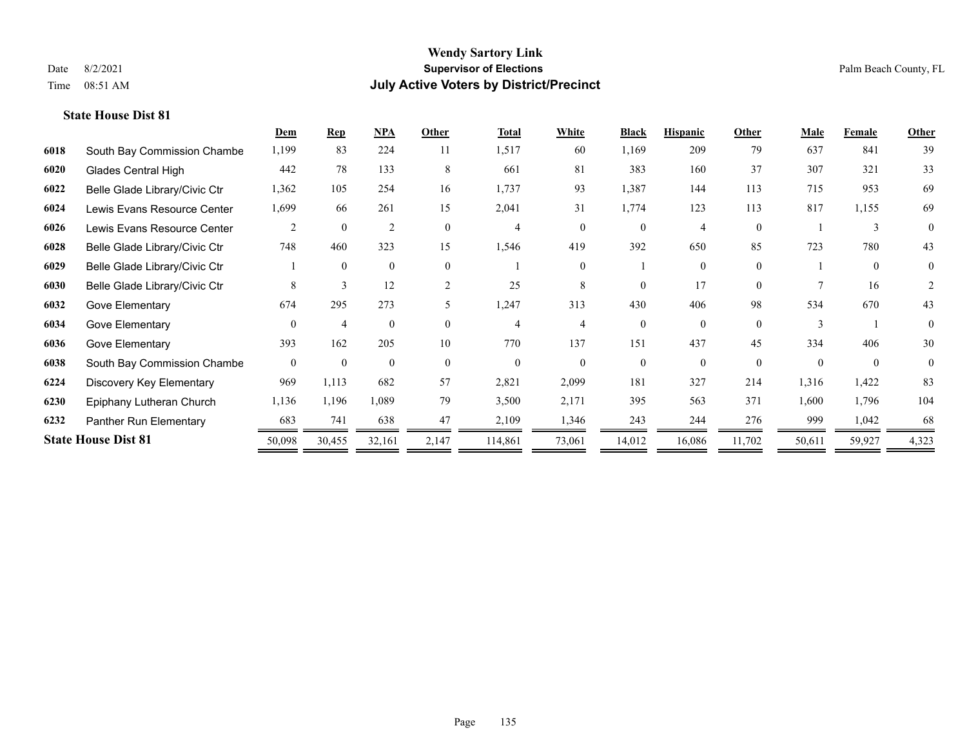|      |                               | Dem            | $\mathbf{Rep}$ | NPA            | Other        | <b>Total</b>   | <b>White</b>   | <b>Black</b> | <b>Hispanic</b> | Other    | <b>Male</b> | Female   | <b>Other</b>   |
|------|-------------------------------|----------------|----------------|----------------|--------------|----------------|----------------|--------------|-----------------|----------|-------------|----------|----------------|
| 6018 | South Bay Commission Chambe   | 1,199          | 83             | 224            | 11           | 1,517          | 60             | 1,169        | 209             | 79       | 637         | 841      | 39             |
| 6020 | Glades Central High           | 442            | 78             | 133            | 8            | 661            | 81             | 383          | 160             | 37       | 307         | 321      | 33             |
| 6022 | Belle Glade Library/Civic Ctr | 1,362          | 105            | 254            | 16           | 1,737          | 93             | 1,387        | 144             | 113      | 715         | 953      | 69             |
| 6024 | Lewis Evans Resource Center   | 1,699          | 66             | 261            | 15           | 2,041          | 31             | 1,774        | 123             | 113      | 817         | 1,155    | 69             |
| 6026 | Lewis Evans Resource Center   | 2              | $\theta$       | $\overline{2}$ | $\theta$     | 4              | $\Omega$       | $\theta$     | 4               | $\theta$ |             | 3        | $\theta$       |
| 6028 | Belle Glade Library/Civic Ctr | 748            | 460            | 323            | 15           | 1,546          | 419            | 392          | 650             | 85       | 723         | 780      | 43             |
| 6029 | Belle Glade Library/Civic Ctr |                | $\Omega$       | $\mathbf{0}$   | $\mathbf{0}$ |                | $\overline{0}$ |              | 0               | $\theta$ |             | $\theta$ | $\overline{0}$ |
| 6030 | Belle Glade Library/Civic Ctr | 8              | 3              | 12             | 2            | 25             | 8              | $\Omega$     | 17              | $\Omega$ |             | 16       | 2              |
| 6032 | Gove Elementary               | 674            | 295            | 273            | 5            | 1,247          | 313            | 430          | 406             | 98       | 534         | 670      | 43             |
| 6034 | Gove Elementary               | $\Omega$       | 4              | $\theta$       | $\Omega$     | 4              |                | 0            | $\Omega$        | $\Omega$ |             |          | $\theta$       |
| 6036 | Gove Elementary               | 393            | 162            | 205            | 10           | 770            | 137            | 151          | 437             | 45       | 334         | 406      | 30             |
| 6038 | South Bay Commission Chambe   | $\overline{0}$ | $\theta$       | $\mathbf{0}$   | $\theta$     | $\overline{0}$ | $\Omega$       | $\theta$     | $\theta$        | $\theta$ | $\Omega$    | $\theta$ | $\theta$       |
| 6224 | Discovery Key Elementary      | 969            | 1,113          | 682            | 57           | 2,821          | 2,099          | 181          | 327             | 214      | 1,316       | 1,422    | 83             |
| 6230 | Epiphany Lutheran Church      | 1,136          | 1,196          | 1,089          | 79           | 3,500          | 2,171          | 395          | 563             | 371      | 1,600       | 1,796    | 104            |
| 6232 | Panther Run Elementary        | 683            | 741            | 638            | 47           | 2,109          | 1,346          | 243          | 244             | 276      | 999         | 1,042    | 68             |
|      | <b>State House Dist 81</b>    | 50,098         | 30,455         | 32,161         | 2,147        | 114,861        | 73,061         | 14,012       | 16,086          | 11,702   | 50,611      | 59,927   | 4,323          |
|      |                               |                |                |                |              |                |                |              |                 |          |             |          |                |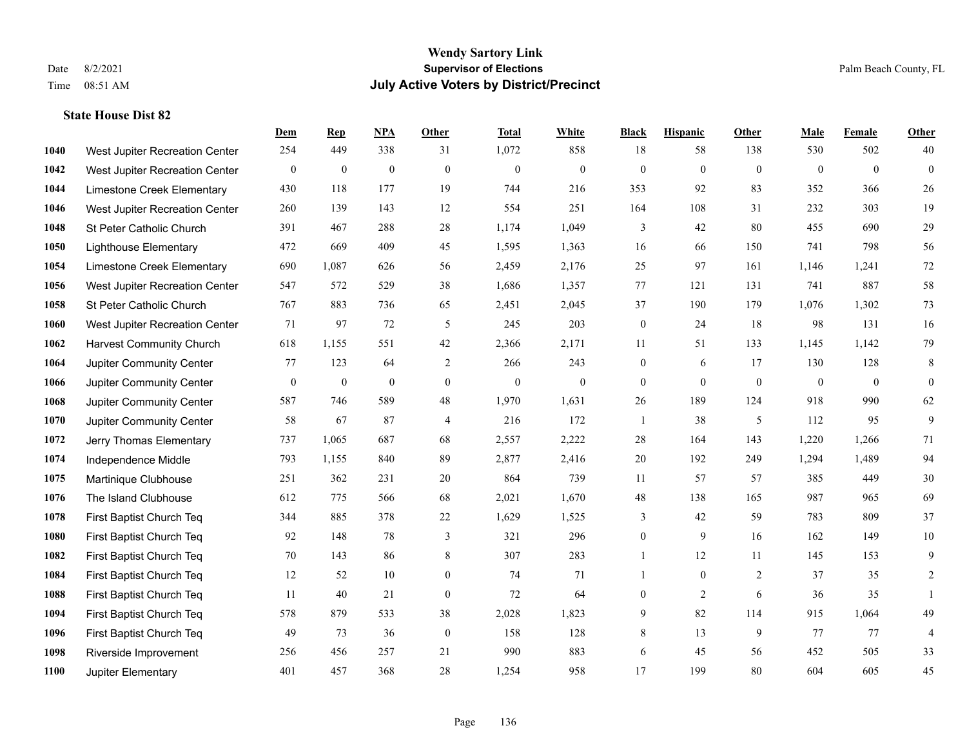|      |                                 | Dem      | <b>Rep</b>       | NPA              | <b>Other</b>     | <b>Total</b>     | <b>White</b>     | <b>Black</b>     | <b>Hispanic</b> | <b>Other</b> | <b>Male</b>  | Female       | <b>Other</b>     |
|------|---------------------------------|----------|------------------|------------------|------------------|------------------|------------------|------------------|-----------------|--------------|--------------|--------------|------------------|
| 1040 | West Jupiter Recreation Center  | 254      | 449              | 338              | 31               | 1,072            | 858              | 18               | 58              | 138          | 530          | 502          | 40               |
| 1042 | West Jupiter Recreation Center  | $\bf{0}$ | $\boldsymbol{0}$ | $\boldsymbol{0}$ | $\mathbf{0}$     | $\mathbf{0}$     | $\boldsymbol{0}$ | $\boldsymbol{0}$ | $\mathbf{0}$    | $\mathbf{0}$ | $\mathbf{0}$ | $\mathbf{0}$ | $\boldsymbol{0}$ |
| 1044 | Limestone Creek Elementary      | 430      | 118              | 177              | 19               | 744              | 216              | 353              | 92              | 83           | 352          | 366          | $26\,$           |
| 1046 | West Jupiter Recreation Center  | 260      | 139              | 143              | 12               | 554              | 251              | 164              | 108             | 31           | 232          | 303          | 19               |
| 1048 | St Peter Catholic Church        | 391      | 467              | 288              | 28               | 1,174            | 1,049            | 3                | 42              | 80           | 455          | 690          | 29               |
| 1050 | <b>Lighthouse Elementary</b>    | 472      | 669              | 409              | 45               | 1,595            | 1,363            | 16               | 66              | 150          | 741          | 798          | 56               |
| 1054 | Limestone Creek Elementary      | 690      | 1,087            | 626              | 56               | 2,459            | 2,176            | 25               | 97              | 161          | 1,146        | 1,241        | 72               |
| 1056 | West Jupiter Recreation Center  | 547      | 572              | 529              | 38               | 1,686            | 1,357            | 77               | 121             | 131          | 741          | 887          | 58               |
| 1058 | St Peter Catholic Church        | 767      | 883              | 736              | 65               | 2,451            | 2,045            | 37               | 190             | 179          | 1,076        | 1,302        | $73\,$           |
| 1060 | West Jupiter Recreation Center  | 71       | 97               | 72               | 5                | 245              | 203              | $\boldsymbol{0}$ | 24              | 18           | 98           | 131          | 16               |
| 1062 | <b>Harvest Community Church</b> | 618      | 1,155            | 551              | 42               | 2,366            | 2,171            | 11               | 51              | 133          | 1,145        | 1,142        | 79               |
| 1064 | Jupiter Community Center        | 77       | 123              | 64               | 2                | 266              | 243              | $\boldsymbol{0}$ | 6               | 17           | 130          | 128          | 8                |
| 1066 | Jupiter Community Center        | $\bf{0}$ | $\boldsymbol{0}$ | $\boldsymbol{0}$ | $\overline{0}$   | $\boldsymbol{0}$ | $\boldsymbol{0}$ | $\boldsymbol{0}$ | $\mathbf{0}$    | $\mathbf{0}$ | $\mathbf{0}$ | $\mathbf{0}$ | $\mathbf{0}$     |
| 1068 | Jupiter Community Center        | 587      | 746              | 589              | 48               | 1,970            | 1,631            | 26               | 189             | 124          | 918          | 990          | 62               |
| 1070 | Jupiter Community Center        | 58       | 67               | 87               | $\overline{4}$   | 216              | 172              | 1                | 38              | 5            | 112          | 95           | 9                |
| 1072 | Jerry Thomas Elementary         | 737      | 1,065            | 687              | 68               | 2,557            | 2,222            | 28               | 164             | 143          | 1,220        | 1,266        | 71               |
| 1074 | Independence Middle             | 793      | 1.155            | 840              | 89               | 2,877            | 2,416            | 20               | 192             | 249          | 1,294        | 1,489        | 94               |
| 1075 | Martinique Clubhouse            | 251      | 362              | 231              | 20               | 864              | 739              | 11               | 57              | 57           | 385          | 449          | $30\,$           |
| 1076 | The Island Clubhouse            | 612      | 775              | 566              | 68               | 2,021            | 1,670            | $48\,$           | 138             | 165          | 987          | 965          | 69               |
| 1078 | First Baptist Church Teq        | 344      | 885              | 378              | 22               | 1,629            | 1,525            | 3                | 42              | 59           | 783          | 809          | 37               |
| 1080 | First Baptist Church Teq        | 92       | 148              | 78               | 3                | 321              | 296              | $\boldsymbol{0}$ | 9               | 16           | 162          | 149          | $10\,$           |
| 1082 | First Baptist Church Teq        | 70       | 143              | 86               | $\,$ 8 $\,$      | 307              | 283              | $\mathbf{1}$     | 12              | 11           | 145          | 153          | $\mathbf{9}$     |
| 1084 | First Baptist Church Teq        | 12       | 52               | 10               | $\overline{0}$   | 74               | 71               | $\mathbf{1}$     | $\mathbf{0}$    | 2            | 37           | 35           | $\overline{c}$   |
| 1088 | First Baptist Church Teq        | 11       | 40               | 21               | $\boldsymbol{0}$ | 72               | 64               | $\boldsymbol{0}$ | $\overline{2}$  | 6            | 36           | 35           | $\mathbf{1}$     |
| 1094 | First Baptist Church Teq        | 578      | 879              | 533              | 38               | 2,028            | 1,823            | 9                | 82              | 114          | 915          | 1,064        | 49               |
| 1096 | First Baptist Church Teq        | 49       | 73               | 36               | $\mathbf{0}$     | 158              | 128              | 8                | 13              | 9            | 77           | 77           | $\overline{4}$   |
| 1098 | Riverside Improvement           | 256      | 456              | 257              | 21               | 990              | 883              | 6                | 45              | 56           | 452          | 505          | 33               |
| 1100 | Jupiter Elementary              | 401      | 457              | 368              | 28               | 1,254            | 958              | 17               | 199             | 80           | 604          | 605          | 45               |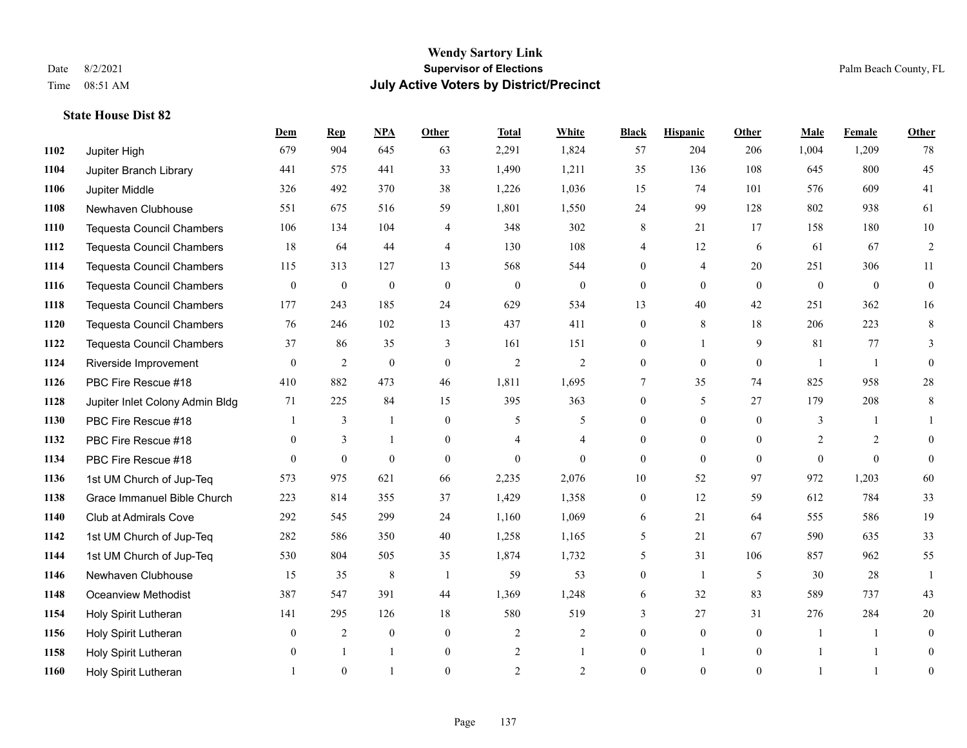**State House Dist 82**

#### **Wendy Sartory Link** Date 8/2/2021 **Supervisor of Elections** Palm Beach County, FL Time 08:51 AM **July Active Voters by District/Precinct**

# **Dem Rep NPA Other Total White Black Hispanic Other Male Female Other** Jupiter High 679 904 645 63 2,291 1,824 57 204 206 1,004 1,209 78 Jupiter Branch Library 441 575 441 33 1,490 1,211 35 136 108 645 800 45 Jupiter Middle 326 492 370 38 1,226 1,036 15 74 101 576 609 41 Newhaven Clubhouse 551 675 516 59 1,801 1,550 24 99 128 802 938 61 Tequesta Council Chambers 106 134 104 4 348 302 8 21 17 158 180 10 Tequesta Council Chambers 18 64 44 4 130 108 4 12 6 61 67 2 Tequesta Council Chambers 115 313 127 13 568 544 0 4 20 251 306 11 Tequesta Council Chambers 0 0 0 0 0 0 0 0 0 0 0 0 Tequesta Council Chambers 177 243 185 24 629 534 13 40 42 251 362 16 **1120 Tequesta Council Chambers** 76 246 102 13 437 411 0 8 18 206 223 8 Tequesta Council Chambers 37 86 35 3 161 151 0 1 9 81 77 3 Riverside Improvement 0 0 2 0 0 2 2 2 0 0 0 1 1 0 PBC Fire Rescue #18 410 882 473 46 1,811 1,695 7 35 74 825 958 28 Jupiter Inlet Colony Admin Bldg 71 225 84 15 395 363 0 5 27 179 208 8 PBC Fire Rescue #18 **1** 3 1 0 5 5 0 0 0 3 1 1 PBC Fire Rescue #18 0 3 1 0 4 4 0 0 0 2 2 0 PBC Fire Rescue #18 0 0 0 0 0 0 0 0 0 0 0 0 1st UM Church of Jup-Teq 573 975 621 66 2,235 2,076 10 52 97 972 1,203 60 Grace Immanuel Bible Church 223 814 355 37 1,429 1,358 0 12 59 612 784 33 Club at Admirals Cove 292 545 299 24 1,160 1,069 6 21 64 555 586 19 1st UM Church of Jup-Teq 282 586 350 40 1,258 1,165 5 21 67 590 635 33 1st UM Church of Jup-Teq 530 804 505 35 1,874 1,732 5 31 106 857 962 55 Newhaven Clubhouse 15 35 8 1 59 53 0 1 5 30 28 1 Oceanview Methodist 387 547 391 44 1,369 1,248 6 32 83 589 737 43 Holy Spirit Lutheran 141 295 126 18 580 519 3 27 31 276 284 20 Holy Spirit Lutheran **0** 2 0 0 2 2 2 0 0 0 1 1 0 1158 Holy Spirit Lutheran 0 1 1 0 2 1 0 1 0 1 1 0 Holy Spirit Lutheran **1** 0 1 0 2 2 0 0 0 1 1 0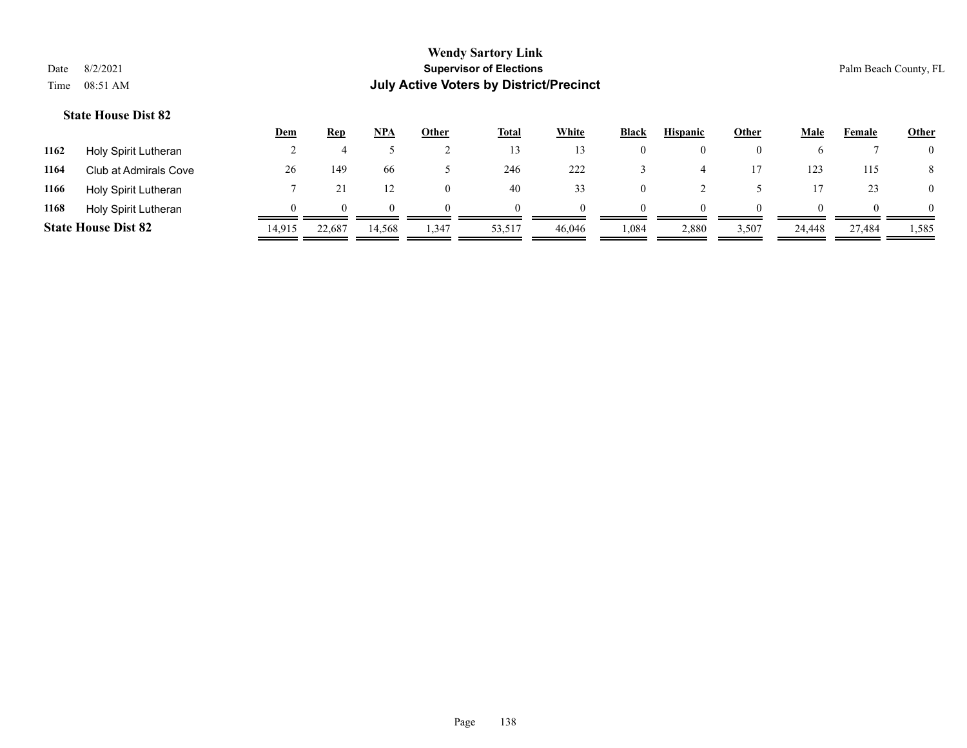|      |                            | Dem    | Rep    | <b>NPA</b> | Other    | <b>Total</b> | White    | <b>Black</b> | <b>Hispanic</b> | Other    | Male   | Female | <b>Other</b>   |
|------|----------------------------|--------|--------|------------|----------|--------------|----------|--------------|-----------------|----------|--------|--------|----------------|
| 1162 | Holy Spirit Lutheran       |        |        |            |          |              |          | U            | $_{0}$          | $\theta$ |        |        | $\overline{0}$ |
| 1164 | Club at Admirals Cove      | 26     | 149    | 66         |          | 246          | 222      |              |                 |          | 123    | 115    | 8              |
| 1166 | Holy Spirit Lutheran       |        |        |            | $\theta$ | 40           | 33       | 0            |                 |          |        | 23     | $\overline{0}$ |
| 1168 | Holy Spirit Lutheran       |        | 0      | $^{\circ}$ | $\Omega$ | $\Omega$     | $\Omega$ | $\Omega$     | $\Omega$        | $\Omega$ | 0      |        | $\Omega$       |
|      | <b>State House Dist 82</b> | 14,915 | 22,687 | 14,568     | 347،،    | 53,517       | 46.046   | 1,084        | 2,880           | 3,507    | 24,448 | 27,484 | 1,585          |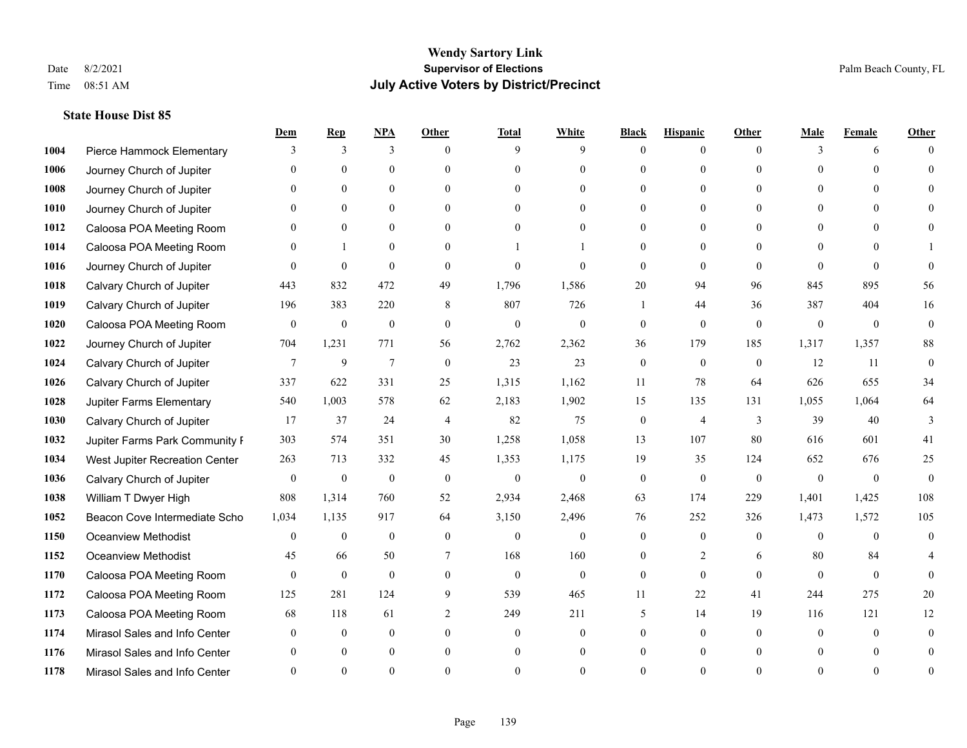|      |                                | Dem          | <b>Rep</b>       | NPA              | <b>Other</b>   | <b>Total</b>     | <b>White</b>     | <b>Black</b>     | <b>Hispanic</b> | <b>Other</b> | <b>Male</b>  | <b>Female</b>  | <b>Other</b> |
|------|--------------------------------|--------------|------------------|------------------|----------------|------------------|------------------|------------------|-----------------|--------------|--------------|----------------|--------------|
| 1004 | Pierce Hammock Elementary      | 3            | 3                | 3                | $\Omega$       | 9                | 9                | $\theta$         | $\mathbf{0}$    | $\theta$     | 3            | 6              | $\Omega$     |
| 1006 | Journey Church of Jupiter      | $\Omega$     | $\theta$         | $\theta$         | $\Omega$       | $\Omega$         | $\mathbf{0}$     | $\theta$         | $\mathbf{0}$    | $\Omega$     | $\Omega$     | $\Omega$       | $\Omega$     |
| 1008 | Journey Church of Jupiter      | $\Omega$     | $\theta$         | $\theta$         | $\Omega$       | $\Omega$         | $\Omega$         | $\Omega$         | $\theta$        | $\Omega$     | $\Omega$     | $\Omega$       |              |
| 1010 | Journey Church of Jupiter      |              | $\mathbf{0}$     | $\mathbf{0}$     | $\mathbf{0}$   | $\theta$         | $\mathbf{0}$     | $\overline{0}$   | $\mathbf{0}$    | $\Omega$     | $\mathbf{0}$ | $\theta$       |              |
| 1012 | Caloosa POA Meeting Room       | $\Omega$     | $\theta$         | $\mathbf{0}$     | $\Omega$       | $\Omega$         | $\theta$         | $\theta$         | $\theta$        | $\Omega$     | $\theta$     | $\Omega$       | $\Omega$     |
| 1014 | Caloosa POA Meeting Room       | $\Omega$     | $\mathbf{1}$     | $\mathbf{0}$     | $\Omega$       |                  |                  | $\Omega$         | $\theta$        | $\Omega$     | $\theta$     | $\Omega$       |              |
| 1016 | Journey Church of Jupiter      | $\theta$     | $\mathbf{0}$     | $\mathbf{0}$     | $\mathbf{0}$   | $\theta$         | $\mathbf{0}$     | $\mathbf{0}$     | $\mathbf{0}$    | $\theta$     | $\theta$     | $\theta$       | $\Omega$     |
| 1018 | Calvary Church of Jupiter      | 443          | 832              | 472              | 49             | 1,796            | 1,586            | 20               | 94              | 96           | 845          | 895            | 56           |
| 1019 | Calvary Church of Jupiter      | 196          | 383              | 220              | 8              | 807              | 726              |                  | 44              | 36           | 387          | 404            | 16           |
| 1020 | Caloosa POA Meeting Room       | $\mathbf{0}$ | $\mathbf{0}$     | $\mathbf{0}$     | $\theta$       | $\mathbf{0}$     | $\mathbf{0}$     | $\mathbf{0}$     | $\theta$        | $\theta$     | $\mathbf{0}$ | $\mathbf{0}$   | $\mathbf{0}$ |
| 1022 | Journey Church of Jupiter      | 704          | 1,231            | 771              | 56             | 2,762            | 2,362            | 36               | 179             | 185          | 1,317        | 1,357          | $88\,$       |
| 1024 | Calvary Church of Jupiter      | $\tau$       | 9                | $7\phantom{.0}$  | $\mathbf{0}$   | 23               | 23               | $\mathbf{0}$     | $\mathbf{0}$    | $\mathbf{0}$ | 12           | 11             | $\theta$     |
| 1026 | Calvary Church of Jupiter      | 337          | 622              | 331              | 25             | 1,315            | 1,162            | 11               | 78              | 64           | 626          | 655            | 34           |
| 1028 | Jupiter Farms Elementary       | 540          | 1,003            | 578              | 62             | 2,183            | 1,902            | 15               | 135             | 131          | 1,055        | 1,064          | 64           |
| 1030 | Calvary Church of Jupiter      | 17           | 37               | 24               | 4              | 82               | 75               | $\boldsymbol{0}$ | 4               | 3            | 39           | 40             | 3            |
| 1032 | Jupiter Farms Park Community I | 303          | 574              | 351              | 30             | 1,258            | 1,058            | 13               | 107             | 80           | 616          | 601            | 41           |
| 1034 | West Jupiter Recreation Center | 263          | 713              | 332              | 45             | 1,353            | 1,175            | 19               | 35              | 124          | 652          | 676            | 25           |
| 1036 | Calvary Church of Jupiter      | $\mathbf{0}$ | $\boldsymbol{0}$ | $\boldsymbol{0}$ | $\mathbf{0}$   | $\boldsymbol{0}$ | $\boldsymbol{0}$ | $\mathbf{0}$     | $\mathbf{0}$    | $\mathbf{0}$ | $\theta$     | $\overline{0}$ | $\mathbf{0}$ |
| 1038 | William T Dwyer High           | 808          | 1,314            | 760              | 52             | 2,934            | 2,468            | 63               | 174             | 229          | 1,401        | 1,425          | 108          |
| 1052 | Beacon Cove Intermediate Scho  | 1,034        | 1,135            | 917              | 64             | 3,150            | 2,496            | 76               | 252             | 326          | 1,473        | 1,572          | 105          |
| 1150 | <b>Oceanview Methodist</b>     | $\theta$     | $\mathbf{0}$     | $\mathbf{0}$     | $\Omega$       | $\theta$         | $\mathbf{0}$     | $\theta$         | $\theta$        | $\Omega$     | $\Omega$     | $\Omega$       | $\theta$     |
| 1152 | <b>Oceanview Methodist</b>     | 45           | 66               | 50               | 7              | 168              | 160              | $\overline{0}$   | 2               | 6            | 80           | 84             |              |
| 1170 | Caloosa POA Meeting Room       | $\mathbf{0}$ | $\mathbf{0}$     | $\mathbf{0}$     | $\mathbf{0}$   | $\mathbf{0}$     | $\mathbf{0}$     | $\mathbf{0}$     | $\theta$        | $\theta$     | $\theta$     | $\theta$       | $\Omega$     |
| 1172 | Caloosa POA Meeting Room       | 125          | 281              | 124              | 9              | 539              | 465              | 11               | 22              | 41           | 244          | 275            | 20           |
| 1173 | Caloosa POA Meeting Room       | 68           | 118              | 61               | $\mathfrak{2}$ | 249              | 211              | 5                | 14              | 19           | 116          | 121            | 12           |
| 1174 | Mirasol Sales and Info Center  | $\theta$     | $\mathbf{0}$     | $\mathbf{0}$     | $\theta$       | $\theta$         | $\overline{0}$   | $\Omega$         | $\mathbf{0}$    | $\theta$     | $\theta$     | $\theta$       | $\Omega$     |
| 1176 | Mirasol Sales and Info Center  | $\Omega$     | $\theta$         | $\Omega$         | $\theta$       | $\theta$         | $\overline{0}$   | $\Omega$         | $\theta$        | $\Omega$     |              | $\Omega$       | $\Omega$     |
| 1178 | Mirasol Sales and Info Center  |              | $\Omega$         | $\Omega$         | $\Omega$       | $\Omega$         | $\Omega$         | $\Omega$         | $\Omega$        | $\Omega$     |              | $\Omega$       | $\theta$     |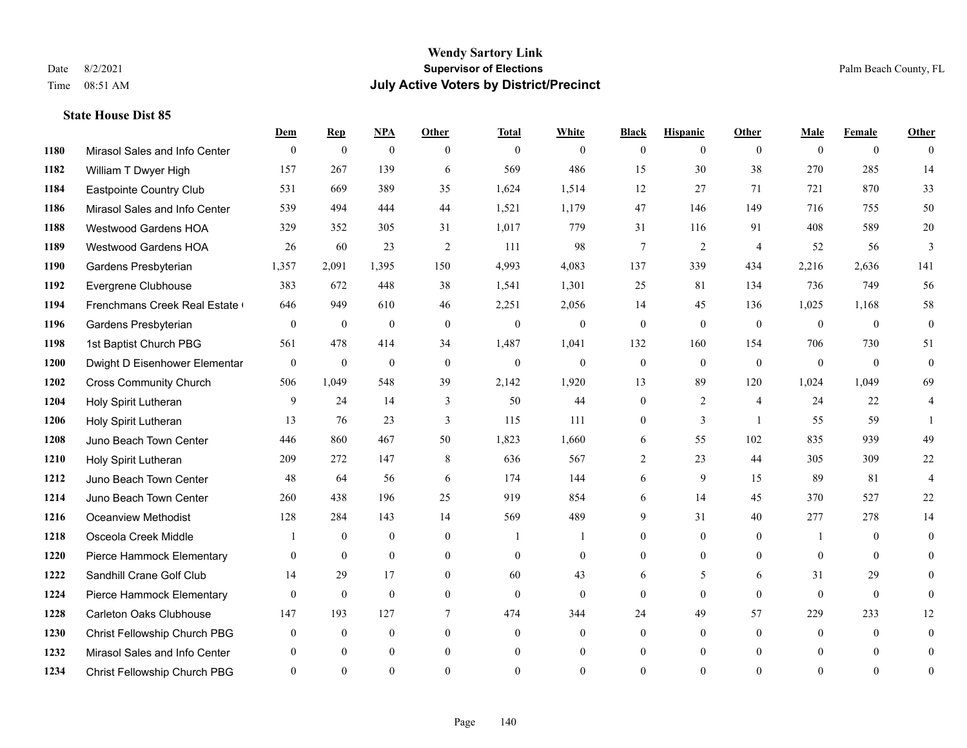**State House Dist 85**

#### **Wendy Sartory Link** Date 8/2/2021 **Supervisor of Elections** Palm Beach County, FL Time 08:51 AM **July Active Voters by District/Precinct**

# **Dem Rep NPA Other Total White Black Hispanic Other Male Female Other** Mirasol Sales and Info Center 0 0 0 0 0 0 0 0 0 0 0 0 William T Dwyer High 157 267 139 6 569 486 15 30 38 270 285 14 Eastpointe Country Club 531 669 389 35 1,624 1,514 12 27 71 721 870 33 Mirasol Sales and Info Center 539 494 444 44 1,521 1,179 47 146 149 716 755 50 Westwood Gardens HOA 329 352 305 31 1,017 779 31 116 91 408 589 20 Westwood Gardens HOA 26 60 23 2 111 98 7 2 4 52 56 3 Gardens Presbyterian 1,357 2,091 1,395 150 4,993 4,083 137 339 434 2,216 2,636 141 Evergrene Clubhouse 383 672 448 38 1,541 1,301 25 81 134 736 749 56 1194 Frenchmans Creek Real Estate 646 949 610 46 2,251 2,056 14 45 136 1,025 1,168 58 Gardens Presbyterian 0 0 0 0 0 0 0 0 0 0 0 0 1st Baptist Church PBG 561 478 414 34 1,487 1,041 132 160 154 706 730 51 Dwight D Eisenhower Elementary 0 0 0 0 0 0 0 0 0 0 0 0 Cross Community Church 506 1,049 548 39 2,142 1,920 13 89 120 1,024 1,049 69 Holy Spirit Lutheran 9 24 14 3 50 44 0 2 4 24 22 4 Holy Spirit Lutheran 13 76 23 3 115 111 0 3 1 55 59 1 Juno Beach Town Center 446 860 467 50 1,823 1,660 6 55 102 835 939 49 Holy Spirit Lutheran 209 272 147 8 636 567 2 23 44 305 309 22 Juno Beach Town Center 48 64 56 6 174 144 6 9 15 89 81 4 Juno Beach Town Center 260 438 196 25 919 854 6 14 45 370 527 22 Oceanview Methodist 128 284 143 14 569 489 9 31 40 277 278 14 Osceola Creek Middle  $\begin{array}{cccccccc} 1 & 0 & 0 & 0 & 1 & 1 & 0 & 0 & 0 \\ 0 & 0 & 0 & 1 & 0 & 0 & 0 & 0 \\ 0 & 0 & 0 & 0 & 0 & 0 & 0 & 0 \\ 0 & 0 & 0 & 0 & 0 & 0 & 0 & 0 \\ 0 & 0 & 0 & 0 & 0 & 0 & 0 & 0 \\ 0 & 0 & 0 & 0 & 0 & 0 & 0 & 0 \\ 0 & 0 & 0 & 0 & 0 & 0 & 0 & 0 \\ 0 & 0 & 0 & 0 & 0$  Pierce Hammock Elementary 0 0 0 0 0 0 0 0 0 0 0 0 Sandhill Crane Golf Club 14 29 17 0 60 43 6 5 6 31 29 0 Pierce Hammock Elementary 0 0 0 0 0 0 0 0 0 0 0 0 Carleton Oaks Clubhouse 147 193 127 7 474 344 24 49 57 229 233 12 Christ Fellowship Church PBG 0 0 0 0 0 0 0 0 0 0 0 0 Mirasol Sales and Info Center 0 0 0 0 0 0 0 0 0 0 0 0 Christ Fellowship Church PBG 0 0 0 0 0 0 0 0 0 0 0 0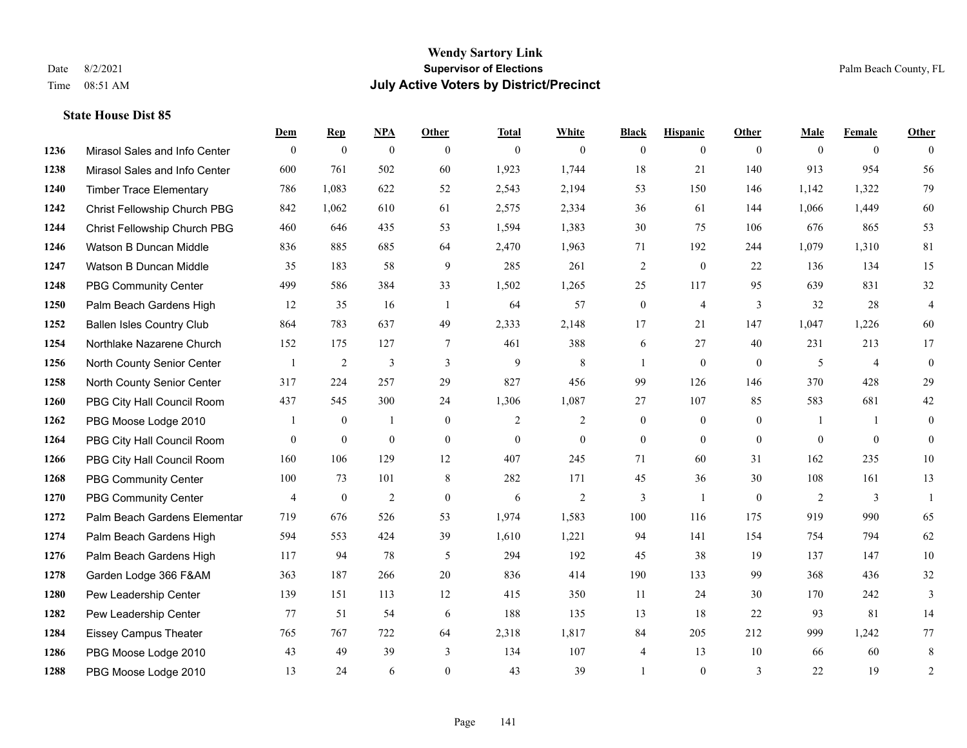|      |                                  | Dem            | <b>Rep</b>       | NPA            | <b>Other</b>   | <b>Total</b>   | <b>White</b>   | <b>Black</b>   | <b>Hispanic</b> | Other    | <b>Male</b> | <b>Female</b>  | <b>Other</b>   |
|------|----------------------------------|----------------|------------------|----------------|----------------|----------------|----------------|----------------|-----------------|----------|-------------|----------------|----------------|
| 1236 | Mirasol Sales and Info Center    | $\mathbf{0}$   | $\mathbf{0}$     | $\mathbf{0}$   | $\theta$       | $\overline{0}$ | $\theta$       | $\overline{0}$ | $\overline{0}$  | $\theta$ | $\theta$    | $\overline{0}$ | $\Omega$       |
| 1238 | Mirasol Sales and Info Center    | 600            | 761              | 502            | 60             | 1,923          | 1,744          | 18             | 21              | 140      | 913         | 954            | 56             |
| 1240 | <b>Timber Trace Elementary</b>   | 786            | 1,083            | 622            | 52             | 2,543          | 2,194          | 53             | 150             | 146      | 1,142       | 1,322          | 79             |
| 1242 | Christ Fellowship Church PBG     | 842            | 1,062            | 610            | 61             | 2,575          | 2,334          | 36             | 61              | 144      | 1,066       | 1,449          | 60             |
| 1244 | Christ Fellowship Church PBG     | 460            | 646              | 435            | 53             | 1,594          | 1,383          | 30             | 75              | 106      | 676         | 865            | 53             |
| 1246 | Watson B Duncan Middle           | 836            | 885              | 685            | 64             | 2,470          | 1,963          | 71             | 192             | 244      | 1,079       | 1,310          | 81             |
| 1247 | Watson B Duncan Middle           | 35             | 183              | 58             | 9              | 285            | 261            | $\overline{2}$ | $\overline{0}$  | 22       | 136         | 134            | 15             |
| 1248 | <b>PBG Community Center</b>      | 499            | 586              | 384            | 33             | 1,502          | 1,265          | 25             | 117             | 95       | 639         | 831            | 32             |
| 1250 | Palm Beach Gardens High          | 12             | 35               | 16             | -1             | 64             | 57             | $\overline{0}$ | $\overline{4}$  | 3        | 32          | 28             | $\overline{4}$ |
| 1252 | <b>Ballen Isles Country Club</b> | 864            | 783              | 637            | 49             | 2,333          | 2,148          | 17             | 21              | 147      | 1,047       | 1,226          | 60             |
| 1254 | Northlake Nazarene Church        | 152            | 175              | 127            | $\overline{7}$ | 461            | 388            | 6              | 27              | 40       | 231         | 213            | 17             |
| 1256 | North County Senior Center       | -1             | 2                | 3              | 3              | 9              | 8              | 1              | $\overline{0}$  | $\theta$ | 5           | $\overline{4}$ | $\overline{0}$ |
| 1258 | North County Senior Center       | 317            | 224              | 257            | 29             | 827            | 456            | 99             | 126             | 146      | 370         | 428            | 29             |
| 1260 | PBG City Hall Council Room       | 437            | 545              | 300            | 24             | 1,306          | 1,087          | 27             | 107             | 85       | 583         | 681            | 42             |
| 1262 | PBG Moose Lodge 2010             |                | $\mathbf{0}$     | $\mathbf{1}$   | $\overline{0}$ | 2              | $\overline{2}$ | 0              | $\overline{0}$  | $\theta$ | -1          | $\mathbf{1}$   | $\overline{0}$ |
| 1264 | PBG City Hall Council Room       | $\mathbf{0}$   | $\mathbf{0}$     | $\overline{0}$ | $\theta$       | $\mathbf{0}$   | $\mathbf{0}$   | $\overline{0}$ | $\overline{0}$  | $\Omega$ | $\theta$    | $\overline{0}$ | $\overline{0}$ |
| 1266 | PBG City Hall Council Room       | 160            | 106              | 129            | 12             | 407            | 245            | 71             | 60              | 31       | 162         | 235            | $10\,$         |
| 1268 | <b>PBG Community Center</b>      | 100            | 73               | 101            | 8              | 282            | 171            | 45             | 36              | 30       | 108         | 161            | 13             |
| 1270 | <b>PBG Community Center</b>      | $\overline{4}$ | $\boldsymbol{0}$ | $\overline{c}$ | $\mathbf{0}$   | 6              | 2              | 3              | $\mathbf{1}$    | $\theta$ | 2           | 3              | $\overline{1}$ |
| 1272 | Palm Beach Gardens Elementar     | 719            | 676              | 526            | 53             | 1,974          | 1,583          | 100            | 116             | 175      | 919         | 990            | 65             |
| 1274 | Palm Beach Gardens High          | 594            | 553              | 424            | 39             | 1,610          | 1,221          | 94             | 141             | 154      | 754         | 794            | 62             |
| 1276 | Palm Beach Gardens High          | 117            | 94               | 78             | 5              | 294            | 192            | 45             | 38              | 19       | 137         | 147            | $10\,$         |
| 1278 | Garden Lodge 366 F&AM            | 363            | 187              | 266            | 20             | 836            | 414            | 190            | 133             | 99       | 368         | 436            | $32\,$         |
| 1280 | Pew Leadership Center            | 139            | 151              | 113            | 12             | 415            | 350            | 11             | 24              | 30       | 170         | 242            | 3              |
| 1282 | Pew Leadership Center            | 77             | 51               | 54             | 6              | 188            | 135            | 13             | 18              | 22       | 93          | 81             | 14             |
| 1284 | <b>Eissey Campus Theater</b>     | 765            | 767              | 722            | 64             | 2,318          | 1,817          | 84             | 205             | 212      | 999         | 1,242          | 77             |
| 1286 | PBG Moose Lodge 2010             | 43             | 49               | 39             | 3              | 134            | 107            | $\overline{4}$ | 13              | 10       | 66          | 60             | 8              |
| 1288 | PBG Moose Lodge 2010             | 13             | 24               | 6              | $\theta$       | 43             | 39             |                | $\overline{0}$  | 3        | 22          | 19             | 2              |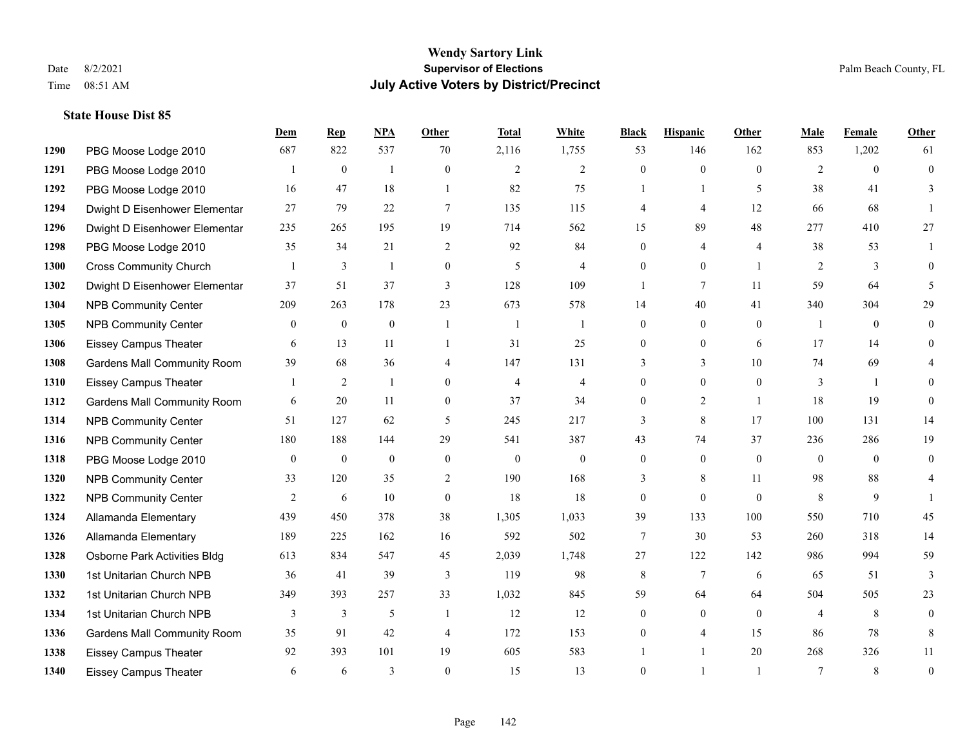|      |                                    | Dem          | <b>Rep</b>     | NPA          | <b>Other</b>     | <b>Total</b>   | <b>White</b>   | <b>Black</b>   | <b>Hispanic</b> | Other          | <b>Male</b>    | <b>Female</b>  | <b>Other</b>     |
|------|------------------------------------|--------------|----------------|--------------|------------------|----------------|----------------|----------------|-----------------|----------------|----------------|----------------|------------------|
| 1290 | PBG Moose Lodge 2010               | 687          | 822            | 537          | 70               | 2,116          | 1,755          | 53             | 146             | 162            | 853            | 1,202          | 61               |
| 1291 | PBG Moose Lodge 2010               |              | $\mathbf{0}$   | 1            | $\theta$         | $\overline{2}$ | 2              | $\overline{0}$ | $\Omega$        | $\theta$       | 2              | $\theta$       | $\theta$         |
| 1292 | PBG Moose Lodge 2010               | 16           | 47             | 18           | $\overline{1}$   | 82             | 75             | $\mathbf{1}$   | $\mathbf{1}$    | 5              | 38             | 41             | 3                |
| 1294 | Dwight D Eisenhower Elementar      | 27           | 79             | 22           | $\tau$           | 135            | 115            | 4              | 4               | 12             | 66             | 68             |                  |
| 1296 | Dwight D Eisenhower Elementar      | 235          | 265            | 195          | 19               | 714            | 562            | 15             | 89              | 48             | 277            | 410            | 27               |
| 1298 | PBG Moose Lodge 2010               | 35           | 34             | 21           | 2                | 92             | 84             | $\overline{0}$ | 4               | $\overline{4}$ | 38             | 53             |                  |
| 1300 | <b>Cross Community Church</b>      |              | 3              | 1            | $\mathbf{0}$     | 5              | $\overline{4}$ | $\overline{0}$ | $\overline{0}$  | $\overline{1}$ | 2              | 3              | $\theta$         |
| 1302 | Dwight D Eisenhower Elementar      | 37           | 51             | 37           | 3                | 128            | 109            | $\mathbf{1}$   | 7               | 11             | 59             | 64             | 5                |
| 1304 | <b>NPB Community Center</b>        | 209          | 263            | 178          | 23               | 673            | 578            | 14             | 40              | 41             | 340            | 304            | 29               |
| 1305 | <b>NPB Community Center</b>        | $\theta$     | $\mathbf{0}$   | $\mathbf{0}$ | $\mathbf{1}$     | $\overline{1}$ | $\mathbf{1}$   | $\overline{0}$ | $\overline{0}$  | $\Omega$       | $\overline{1}$ | $\theta$       | $\theta$         |
| 1306 | <b>Eissey Campus Theater</b>       | 6            | 13             | 11           | $\overline{1}$   | 31             | 25             | $\overline{0}$ | $\overline{0}$  | 6              | 17             | 14             | 0                |
| 1308 | <b>Gardens Mall Community Room</b> | 39           | 68             | 36           | $\overline{4}$   | 147            | 131            | 3              | $\overline{3}$  | 10             | 74             | 69             |                  |
| 1310 | <b>Eissey Campus Theater</b>       |              | $\overline{c}$ | $\mathbf{1}$ | $\theta$         | $\overline{4}$ | $\overline{4}$ | $\overline{0}$ | $\overline{0}$  | $\theta$       | 3              | $\overline{1}$ | $\Omega$         |
| 1312 | <b>Gardens Mall Community Room</b> | 6            | 20             | 11           | $\mathbf{0}$     | 37             | 34             | $\overline{0}$ | $\overline{c}$  | $\overline{1}$ | 18             | 19             | $\theta$         |
| 1314 | <b>NPB Community Center</b>        | 51           | 127            | 62           | 5                | 245            | 217            | 3              | 8               | 17             | 100            | 131            | 14               |
| 1316 | <b>NPB Community Center</b>        | 180          | 188            | 144          | 29               | 541            | 387            | 43             | 74              | 37             | 236            | 286            | 19               |
| 1318 | PBG Moose Lodge 2010               | $\mathbf{0}$ | $\mathbf{0}$   | $\mathbf{0}$ | $\mathbf{0}$     | $\theta$       | $\overline{0}$ | $\overline{0}$ | $\mathbf{0}$    | $\theta$       | $\theta$       | $\theta$       | $\theta$         |
| 1320 | <b>NPB Community Center</b>        | 33           | 120            | 35           | $\mathbf{2}$     | 190            | 168            | 3              | 8               | 11             | 98             | 88             | 4                |
| 1322 | <b>NPB Community Center</b>        | 2            | 6              | 10           | $\boldsymbol{0}$ | 18             | 18             | 0              | $\overline{0}$  | $\theta$       | 8              | 9              |                  |
| 1324 | Allamanda Elementary               | 439          | 450            | 378          | 38               | 1,305          | 1,033          | 39             | 133             | 100            | 550            | 710            | 45               |
| 1326 | Allamanda Elementary               | 189          | 225            | 162          | 16               | 592            | 502            | 7              | 30              | 53             | 260            | 318            | 14               |
| 1328 | Osborne Park Activities Bldg       | 613          | 834            | 547          | 45               | 2,039          | 1,748          | 27             | 122             | 142            | 986            | 994            | 59               |
| 1330 | 1st Unitarian Church NPB           | 36           | 41             | 39           | $\overline{3}$   | 119            | 98             | 8              | $\tau$          | 6              | 65             | 51             | $\overline{3}$   |
| 1332 | 1st Unitarian Church NPB           | 349          | 393            | 257          | 33               | 1,032          | 845            | 59             | 64              | 64             | 504            | 505            | 23               |
| 1334 | 1st Unitarian Church NPB           | 3            | 3              | 5            | $\overline{1}$   | 12             | 12             | $\overline{0}$ | $\mathbf{0}$    | $\Omega$       | 4              | 8              | $\mathbf{0}$     |
| 1336 | <b>Gardens Mall Community Room</b> | 35           | 91             | 42           | $\overline{4}$   | 172            | 153            | $\theta$       | 4               | 15             | 86             | 78             | 8                |
| 1338 | <b>Eissey Campus Theater</b>       | 92           | 393            | 101          | 19               | 605            | 583            |                |                 | 20             | 268            | 326            | 11               |
| 1340 | <b>Eissey Campus Theater</b>       | 6            | 6              | 3            | $\Omega$         | 15             | 13             | $\theta$       |                 |                | $\tau$         | 8              | $\boldsymbol{0}$ |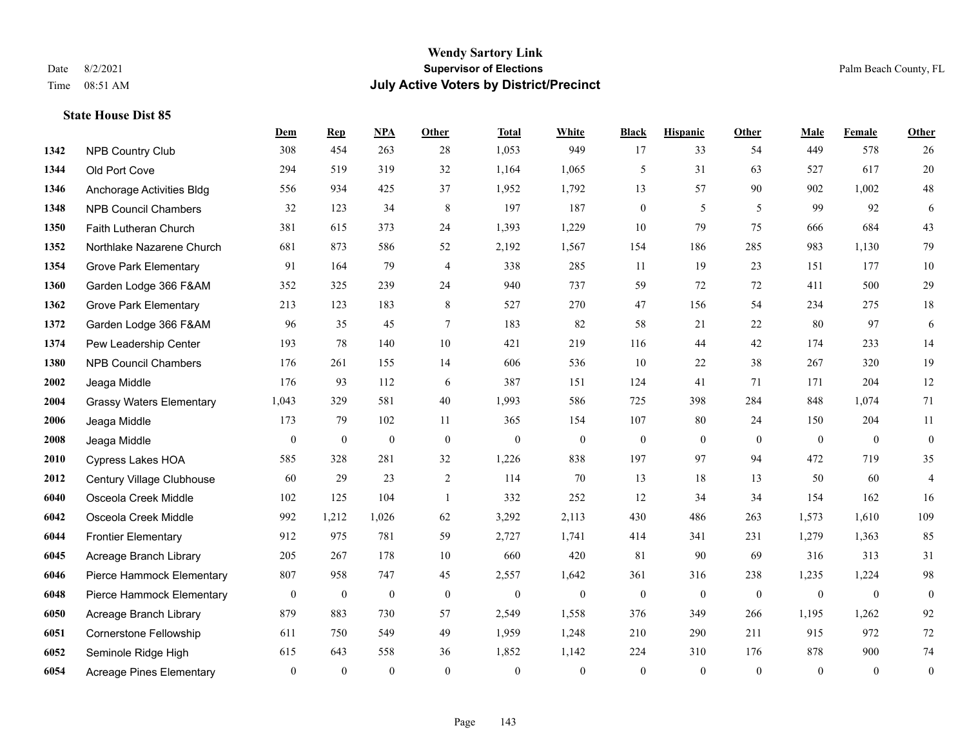|      |                                 | Dem              | <b>Rep</b>       | NPA              | Other            | <b>Total</b>     | <b>White</b>     | <b>Black</b>     | <b>Hispanic</b>  | Other            | <b>Male</b>    | Female           | <b>Other</b>     |
|------|---------------------------------|------------------|------------------|------------------|------------------|------------------|------------------|------------------|------------------|------------------|----------------|------------------|------------------|
| 1342 | <b>NPB Country Club</b>         | 308              | 454              | 263              | 28               | 1,053            | 949              | 17               | 33               | 54               | 449            | 578              | 26               |
| 1344 | Old Port Cove                   | 294              | 519              | 319              | 32               | 1,164            | 1,065            | 5                | 31               | 63               | 527            | 617              | $20\,$           |
| 1346 | Anchorage Activities Bldg       | 556              | 934              | 425              | 37               | 1,952            | 1,792            | 13               | 57               | 90               | 902            | 1,002            | $48\,$           |
| 1348 | <b>NPB Council Chambers</b>     | 32               | 123              | 34               | $\,8\,$          | 197              | 187              | $\boldsymbol{0}$ | 5                | 5                | 99             | 92               | 6                |
| 1350 | Faith Lutheran Church           | 381              | 615              | 373              | 24               | 1,393            | 1,229            | 10               | 79               | 75               | 666            | 684              | 43               |
| 1352 | Northlake Nazarene Church       | 681              | 873              | 586              | 52               | 2,192            | 1,567            | 154              | 186              | 285              | 983            | 1,130            | 79               |
| 1354 | <b>Grove Park Elementary</b>    | 91               | 164              | 79               | $\overline{4}$   | 338              | 285              | 11               | 19               | 23               | 151            | 177              | $10\,$           |
| 1360 | Garden Lodge 366 F&AM           | 352              | 325              | 239              | 24               | 940              | 737              | 59               | 72               | 72               | 411            | 500              | 29               |
| 1362 | <b>Grove Park Elementary</b>    | 213              | 123              | 183              | 8                | 527              | 270              | 47               | 156              | 54               | 234            | 275              | $18\,$           |
| 1372 | Garden Lodge 366 F&AM           | 96               | 35               | 45               | $\tau$           | 183              | 82               | 58               | 21               | 22               | 80             | 97               | 6                |
| 1374 | Pew Leadership Center           | 193              | 78               | 140              | $10\,$           | 421              | 219              | 116              | 44               | 42               | 174            | 233              | 14               |
| 1380 | <b>NPB Council Chambers</b>     | 176              | 261              | 155              | 14               | 606              | 536              | 10               | 22               | 38               | 267            | 320              | 19               |
| 2002 | Jeaga Middle                    | 176              | 93               | 112              | 6                | 387              | 151              | 124              | 41               | 71               | 171            | 204              | $12\,$           |
| 2004 | <b>Grassy Waters Elementary</b> | 1,043            | 329              | 581              | 40               | 1,993            | 586              | 725              | 398              | 284              | 848            | 1,074            | 71               |
| 2006 | Jeaga Middle                    | 173              | 79               | 102              | 11               | 365              | 154              | 107              | 80               | 24               | 150            | 204              | 11               |
| 2008 | Jeaga Middle                    | $\boldsymbol{0}$ | $\boldsymbol{0}$ | $\boldsymbol{0}$ | $\mathbf{0}$     | $\boldsymbol{0}$ | $\boldsymbol{0}$ | $\boldsymbol{0}$ | $\boldsymbol{0}$ | $\overline{0}$   | $\overline{0}$ | $\mathbf{0}$     | $\boldsymbol{0}$ |
| 2010 | Cypress Lakes HOA               | 585              | 328              | 281              | 32               | 1,226            | 838              | 197              | 97               | 94               | 472            | 719              | 35               |
| 2012 | Century Village Clubhouse       | 60               | 29               | 23               | 2                | 114              | 70               | 13               | 18               | 13               | 50             | 60               | 4                |
| 6040 | Osceola Creek Middle            | 102              | 125              | 104              | $\overline{1}$   | 332              | 252              | 12               | 34               | 34               | 154            | 162              | 16               |
| 6042 | Osceola Creek Middle            | 992              | 1,212            | 1,026            | 62               | 3,292            | 2,113            | 430              | 486              | 263              | 1,573          | 1,610            | 109              |
| 6044 | <b>Frontier Elementary</b>      | 912              | 975              | 781              | 59               | 2,727            | 1,741            | 414              | 341              | 231              | 1,279          | 1,363            | 85               |
| 6045 | Acreage Branch Library          | 205              | 267              | 178              | 10               | 660              | 420              | 81               | 90               | 69               | 316            | 313              | 31               |
| 6046 | Pierce Hammock Elementary       | 807              | 958              | 747              | 45               | 2,557            | 1,642            | 361              | 316              | 238              | 1,235          | 1,224            | 98               |
| 6048 | Pierce Hammock Elementary       | $\boldsymbol{0}$ | $\boldsymbol{0}$ | $\boldsymbol{0}$ | $\boldsymbol{0}$ | $\boldsymbol{0}$ | $\boldsymbol{0}$ | $\boldsymbol{0}$ | $\boldsymbol{0}$ | $\boldsymbol{0}$ | $\mathbf{0}$   | $\boldsymbol{0}$ | $\boldsymbol{0}$ |
| 6050 | Acreage Branch Library          | 879              | 883              | 730              | 57               | 2,549            | 1,558            | 376              | 349              | 266              | 1,195          | 1,262            | 92               |
| 6051 | <b>Cornerstone Fellowship</b>   | 611              | 750              | 549              | 49               | 1,959            | 1,248            | 210              | 290              | 211              | 915            | 972              | 72               |
| 6052 | Seminole Ridge High             | 615              | 643              | 558              | 36               | 1,852            | 1,142            | 224              | 310              | 176              | 878            | 900              | 74               |
| 6054 | <b>Acreage Pines Elementary</b> | $\mathbf{0}$     | $\mathbf{0}$     | $\mathbf{0}$     | $\theta$         | $\mathbf{0}$     | $\overline{0}$   | $\mathbf{0}$     | $\overline{0}$   | $\theta$         | $\theta$       | $\overline{0}$   | $\boldsymbol{0}$ |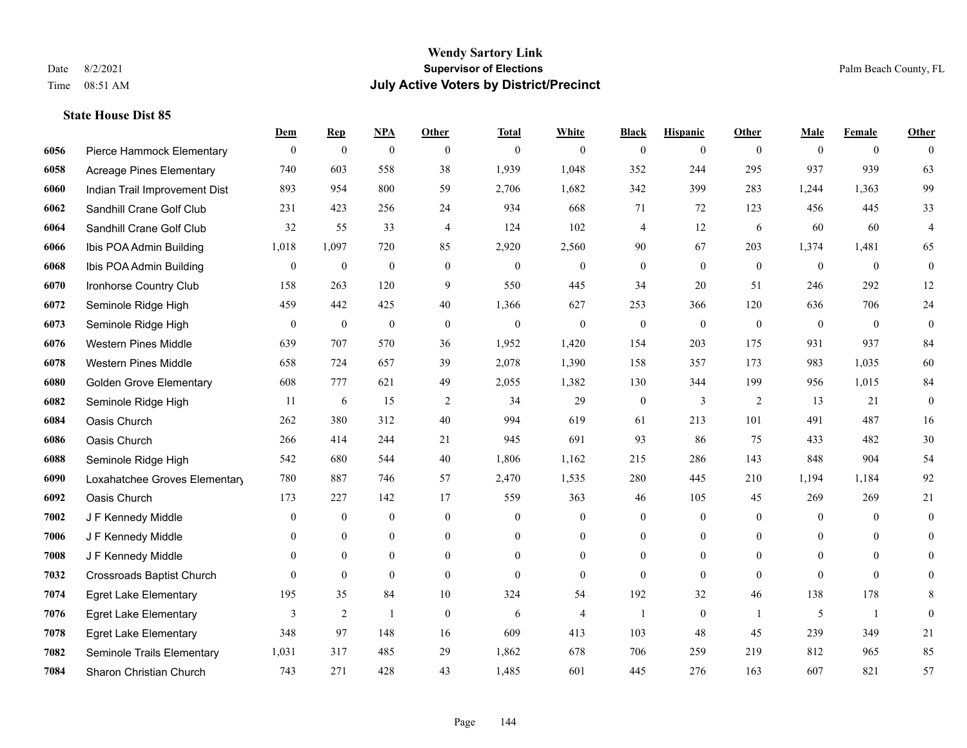|      |                                  | Dem              | <b>Rep</b>       | NPA              | <b>Other</b>     | <b>Total</b>     | <b>White</b>     | <b>Black</b>     | <b>Hispanic</b>  | <b>Other</b>   | <b>Male</b>    | <b>Female</b>    | <b>Other</b>            |
|------|----------------------------------|------------------|------------------|------------------|------------------|------------------|------------------|------------------|------------------|----------------|----------------|------------------|-------------------------|
| 6056 | Pierce Hammock Elementary        | $\bf{0}$         | $\boldsymbol{0}$ | $\boldsymbol{0}$ | $\overline{0}$   | $\mathbf{0}$     | $\overline{0}$   | $\mathbf{0}$     | $\boldsymbol{0}$ | $\theta$       | $\mathbf{0}$   | $\overline{0}$   | $\theta$                |
| 6058 | <b>Acreage Pines Elementary</b>  | 740              | 603              | 558              | 38               | 1,939            | 1,048            | 352              | 244              | 295            | 937            | 939              | 63                      |
| 6060 | Indian Trail Improvement Dist    | 893              | 954              | 800              | 59               | 2,706            | 1,682            | 342              | 399              | 283            | 1,244          | 1,363            | 99                      |
| 6062 | Sandhill Crane Golf Club         | 231              | 423              | 256              | 24               | 934              | 668              | 71               | 72               | 123            | 456            | 445              | 33                      |
| 6064 | Sandhill Crane Golf Club         | 32               | 55               | 33               | $\overline{4}$   | 124              | 102              | 4                | 12               | 6              | 60             | 60               | $\overline{\mathbf{4}}$ |
| 6066 | Ibis POA Admin Building          | 1,018            | 1,097            | 720              | 85               | 2,920            | 2,560            | 90               | 67               | 203            | 1,374          | 1,481            | 65                      |
| 6068 | Ibis POA Admin Building          | $\boldsymbol{0}$ | $\boldsymbol{0}$ | $\boldsymbol{0}$ | $\boldsymbol{0}$ | $\boldsymbol{0}$ | $\boldsymbol{0}$ | $\boldsymbol{0}$ | $\mathbf{0}$     | $\mathbf{0}$   | $\mathbf{0}$   | $\boldsymbol{0}$ | $\boldsymbol{0}$        |
| 6070 | Ironhorse Country Club           | 158              | 263              | 120              | 9                | 550              | 445              | 34               | 20               | 51             | 246            | 292              | 12                      |
| 6072 | Seminole Ridge High              | 459              | 442              | 425              | 40               | 1,366            | 627              | 253              | 366              | 120            | 636            | 706              | 24                      |
| 6073 | Seminole Ridge High              | $\mathbf{0}$     | $\boldsymbol{0}$ | $\mathbf{0}$     | $\mathbf{0}$     | $\mathbf{0}$     | $\overline{0}$   | $\boldsymbol{0}$ | $\mathbf{0}$     | $\mathbf{0}$   | $\mathbf{0}$   | $\mathbf{0}$     | $\boldsymbol{0}$        |
| 6076 | <b>Western Pines Middle</b>      | 639              | 707              | 570              | 36               | 1,952            | 1,420            | 154              | 203              | 175            | 931            | 937              | 84                      |
| 6078 | <b>Western Pines Middle</b>      | 658              | 724              | 657              | 39               | 2,078            | 1,390            | 158              | 357              | 173            | 983            | 1,035            | 60                      |
| 6080 | <b>Golden Grove Elementary</b>   | 608              | 777              | 621              | 49               | 2,055            | 1,382            | 130              | 344              | 199            | 956            | 1,015            | 84                      |
| 6082 | Seminole Ridge High              | 11               | 6                | 15               | $\overline{2}$   | 34               | 29               | $\boldsymbol{0}$ | $\mathfrak{Z}$   | 2              | 13             | 21               | $\boldsymbol{0}$        |
| 6084 | Oasis Church                     | 262              | 380              | 312              | 40               | 994              | 619              | 61               | 213              | 101            | 491            | 487              | 16                      |
| 6086 | Oasis Church                     | 266              | 414              | 244              | 21               | 945              | 691              | 93               | 86               | 75             | 433            | 482              | 30                      |
| 6088 | Seminole Ridge High              | 542              | 680              | 544              | 40               | 1,806            | 1,162            | 215              | 286              | 143            | 848            | 904              | 54                      |
| 6090 | Loxahatchee Groves Elementary    | 780              | 887              | 746              | 57               | 2,470            | 1,535            | 280              | 445              | 210            | 1,194          | 1,184            | 92                      |
| 6092 | Oasis Church                     | 173              | 227              | 142              | 17               | 559              | 363              | 46               | 105              | 45             | 269            | 269              | 21                      |
| 7002 | J F Kennedy Middle               | $\mathbf{0}$     | $\boldsymbol{0}$ | $\mathbf{0}$     | $\overline{0}$   | $\mathbf{0}$     | $\boldsymbol{0}$ | $\boldsymbol{0}$ | $\mathbf{0}$     | $\overline{0}$ | $\overline{0}$ | $\Omega$         | $\mathbf{0}$            |
| 7006 | J F Kennedy Middle               | $\theta$         | $\mathbf{0}$     | $\overline{0}$   | $\Omega$         | $\Omega$         | $\overline{0}$   | $\mathbf{0}$     | $\theta$         | $\theta$       | $\theta$       | $\theta$         | $\theta$                |
| 7008 | J F Kennedy Middle               | $\mathbf{0}$     | $\mathbf{0}$     | $\boldsymbol{0}$ | $\overline{0}$   | $\mathbf{0}$     | $\boldsymbol{0}$ | $\boldsymbol{0}$ | $\boldsymbol{0}$ | $\mathbf{0}$   | $\overline{0}$ | $\mathbf{0}$     | $\mathbf{0}$            |
| 7032 | <b>Crossroads Baptist Church</b> | $\theta$         | $\mathbf{0}$     | $\mathbf{0}$     | $\overline{0}$   | $\theta$         | $\overline{0}$   | $\mathbf{0}$     | $\overline{0}$   | $\theta$       | $\theta$       | $\theta$         | $\mathbf{0}$            |
| 7074 | <b>Egret Lake Elementary</b>     | 195              | 35               | 84               | 10               | 324              | 54               | 192              | 32               | 46             | 138            | 178              | 8                       |
| 7076 | <b>Egret Lake Elementary</b>     | 3                | $\overline{2}$   | $\mathbf{1}$     | $\overline{0}$   | 6                | $\overline{4}$   | $\mathbf{1}$     | $\boldsymbol{0}$ | $\mathbf{1}$   | 5              | $\mathbf{1}$     | $\mathbf{0}$            |
| 7078 | <b>Egret Lake Elementary</b>     | 348              | 97               | 148              | 16               | 609              | 413              | 103              | 48               | 45             | 239            | 349              | 21                      |
| 7082 | Seminole Trails Elementary       | 1,031            | 317              | 485              | 29               | 1,862            | 678              | 706              | 259              | 219            | 812            | 965              | 85                      |
| 7084 | Sharon Christian Church          | 743              | 271              | 428              | 43               | 1,485            | 601              | 445              | 276              | 163            | 607            | 821              | 57                      |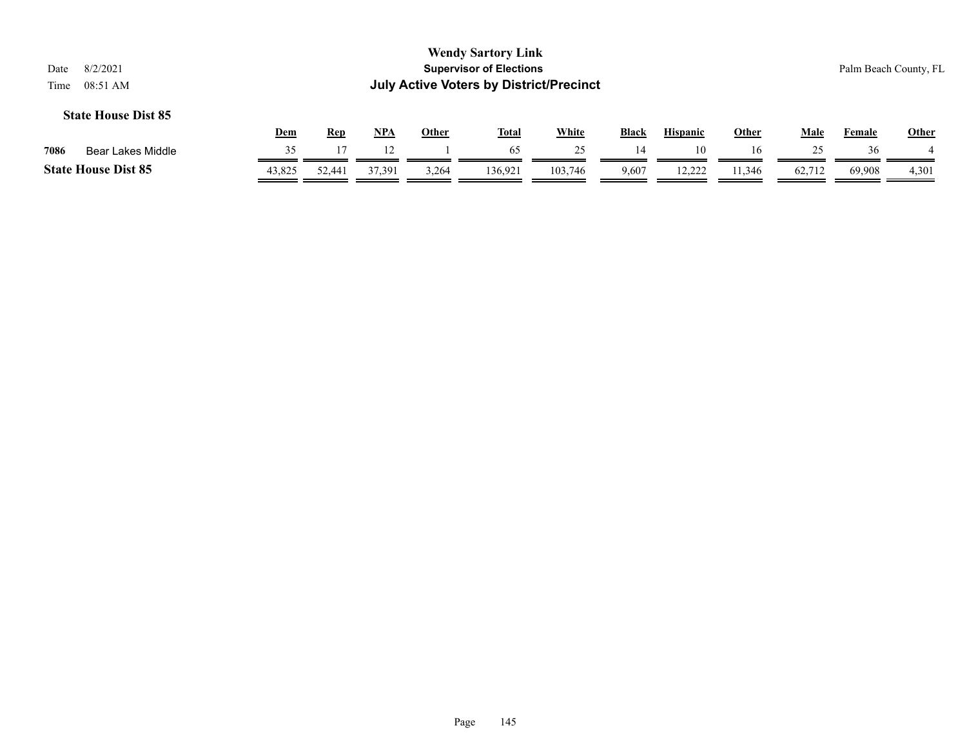|      |                            | Dem    | <b>Rep</b> | <b>NPA</b> | Other | <b>Total</b> | <u>White</u> | <b>Black</b> | <b>Hispanic</b> | Other  | Male   | Female | <b>Other</b> |
|------|----------------------------|--------|------------|------------|-------|--------------|--------------|--------------|-----------------|--------|--------|--------|--------------|
| 7086 | Bear Lakes Middle          |        |            |            |       | 65           |              | 14           |                 | 16     |        | 36     |              |
|      | <b>State House Dist 85</b> | 43,825 | 52.441     | 37.391     | 3,264 | 136.921      | 103,746      | 9,607        | 12.222          | .1,346 | 62,712 | 69,908 | 4,301        |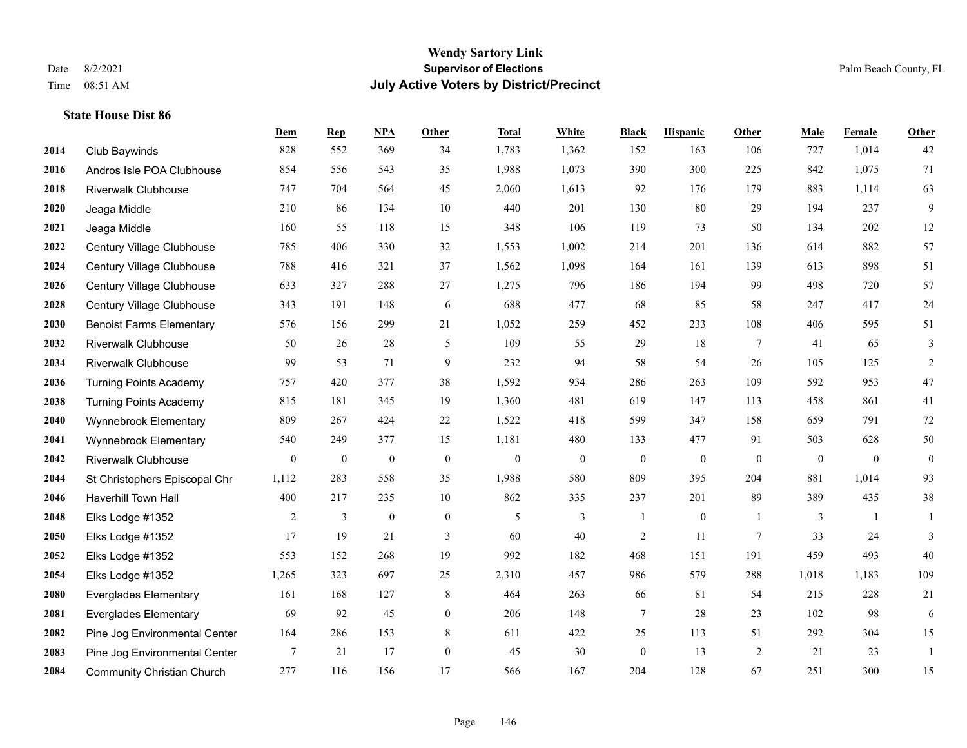#### **Wendy Sartory Link** Date 8/2/2021 **Supervisor of Elections** Palm Beach County, FL Time 08:51 AM **July Active Voters by District/Precinct**

## **Dem Rep NPA Other Total White Black Hispanic Other Male Female Other** Club Baywinds 828 552 369 34 1,783 1,362 152 163 106 727 1,014 42 Andros Isle POA Clubhouse 854 556 543 35 1,988 1,073 390 300 225 842 1,075 71 Riverwalk Clubhouse 747 704 564 45 2,060 1,613 92 176 179 883 1,114 63 Jeaga Middle 210 86 134 10 440 201 130 80 29 194 237 9 Jeaga Middle 160 55 118 15 348 106 119 73 50 134 202 12 Century Village Clubhouse 785 406 330 32 1,553 1,002 214 201 136 614 882 57 Century Village Clubhouse 788 416 321 37 1,562 1,098 164 161 139 613 898 51 Century Village Clubhouse 633 327 288 27 1,275 796 186 194 99 498 720 57 Century Village Clubhouse 343 191 148 6 688 477 68 85 58 247 417 24 Benoist Farms Elementary 576 156 299 21 1,052 259 452 233 108 406 595 51 Riverwalk Clubhouse 50 26 28 5 109 55 29 18 7 41 65 3 Riverwalk Clubhouse 99 53 71 9 232 94 58 54 26 105 125 2 Turning Points Academy 757 420 377 38 1,592 934 286 263 109 592 953 47 Turning Points Academy 815 181 345 19 1,360 481 619 147 113 458 861 41 Wynnebrook Elementary 809 267 424 22 1,522 418 599 347 158 659 791 72 Wynnebrook Elementary 540 249 377 15 1,181 480 133 477 91 503 628 50 Riverwalk Clubhouse 0 0 0 0 0 0 0 0 0 0 0 0 St Christophers Episcopal Chr 1,112 283 558 35 1,988 580 809 395 204 881 1,014 93 Haverhill Town Hall 400 217 235 10 862 335 237 201 89 389 435 38 Elks Lodge #1352 2 3 0 0 5 3 1 0 1 3 1 1 Elks Lodge #1352 17 19 21 3 60 40 2 11 7 33 24 3 Elks Lodge #1352 553 152 268 19 992 182 468 151 191 459 493 40 Elks Lodge #1352 1,265 323 697 25 2,310 457 986 579 288 1,018 1,183 109 Everglades Elementary 161 168 127 8 464 263 66 81 54 215 228 21 Everglades Elementary 69 92 45 0 206 148 7 28 23 102 98 6 Pine Jog Environmental Center 164 286 153 8 611 422 25 113 51 292 304 15 Pine Jog Environmental Center 7 21 17 0 45 30 0 13 2 21 23 1 Community Christian Church 277 116 156 17 566 167 204 128 67 251 300 15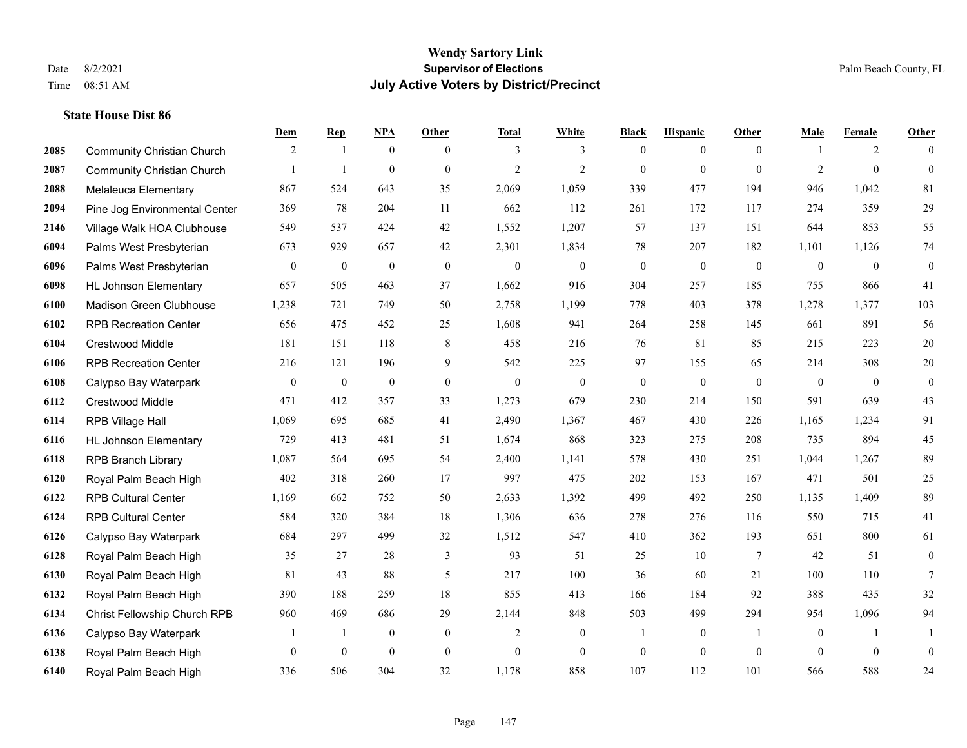#### **Wendy Sartory Link** Date 8/2/2021 **Supervisor of Elections** Palm Beach County, FL Time 08:51 AM **July Active Voters by District/Precinct**

## **Dem Rep NPA Other Total White Black Hispanic Other Male Female Other** Community Christian Church 2 1 0 0 3 3 0 0 0 1 2 0 Community Christian Church 1 1 0 0 2 2 0 0 0 2 0 0 Melaleuca Elementary 867 524 643 35 2,069 1,059 339 477 194 946 1,042 81 Pine Jog Environmental Center 369 78 204 11 662 112 261 172 117 274 359 29 Village Walk HOA Clubhouse 549 537 424 42 1,552 1,207 57 137 151 644 853 55 Palms West Presbyterian 673 929 657 42 2,301 1,834 78 207 182 1,101 1,126 74 Palms West Presbyterian 0 0 0 0 0 0 0 0 0 0 0 0 HL Johnson Elementary 657 505 463 37 1,662 916 304 257 185 755 866 41 Madison Green Clubhouse 1,238 721 749 50 2,758 1,199 778 403 378 1,278 1,377 103 RPB Recreation Center 656 475 452 25 1,608 941 264 258 145 661 891 56 Crestwood Middle 181 151 118 8 458 216 76 81 85 215 223 20 RPB Recreation Center 216 121 196 9 542 225 97 155 65 214 308 20 Calypso Bay Waterpark 0 0 0 0 0 0 0 0 0 0 0 0 Crestwood Middle 471 412 357 33 1,273 679 230 214 150 591 639 43 RPB Village Hall 1,069 695 685 41 2,490 1,367 467 430 226 1,165 1,234 91 HL Johnson Elementary 729 413 481 51 1,674 868 323 275 208 735 894 45 RPB Branch Library 1,087 564 695 54 2,400 1,141 578 430 251 1,044 1,267 89 Royal Palm Beach High 402 318 260 17 997 475 202 153 167 471 501 25 RPB Cultural Center 1,169 662 752 50 2,633 1,392 499 492 250 1,135 1,409 89 RPB Cultural Center 584 320 384 18 1,306 636 278 276 116 550 715 41 Calypso Bay Waterpark 684 297 499 32 1,512 547 410 362 193 651 800 61 Royal Palm Beach High 35 27 28 3 93 51 25 10 7 42 51 0 Royal Palm Beach High 81 43 88 5 217 100 36 60 21 100 110 7 Royal Palm Beach High 390 188 259 18 855 413 166 184 92 388 435 32 Christ Fellowship Church RPB 960 469 686 29 2,144 848 503 499 294 954 1,096 94 Calypso Bay Waterpark 1 1 0 0 2 0 1 0 1 0 1 1 Royal Palm Beach High 0 0 0 0 0 0 0 0 0 0 0 0

Royal Palm Beach High 336 506 304 32 1,178 858 107 112 101 566 588 24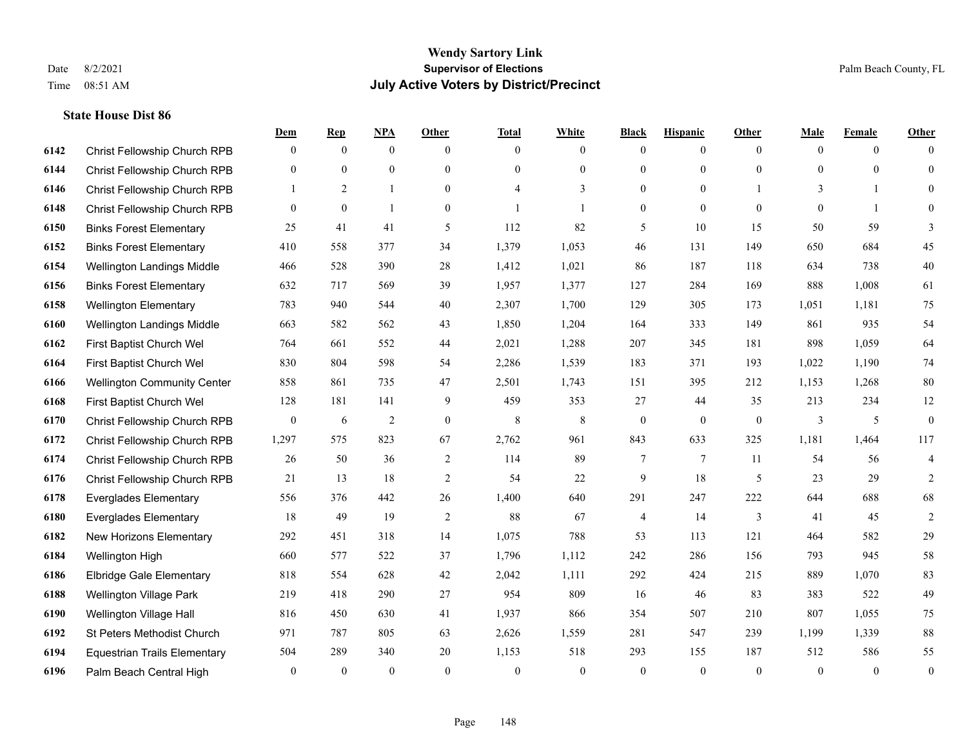|      |                                     | Dem          | <b>Rep</b>   | <u>NPA</u>     | <b>Other</b>   | <b>Total</b> | <b>White</b>   | <b>Black</b>     | <b>Hispanic</b> | <b>Other</b>   | <b>Male</b>  | <b>Female</b>  | <b>Other</b>             |
|------|-------------------------------------|--------------|--------------|----------------|----------------|--------------|----------------|------------------|-----------------|----------------|--------------|----------------|--------------------------|
| 6142 | Christ Fellowship Church RPB        | $\mathbf{0}$ | $\mathbf{0}$ | $\mathbf{0}$   | $\theta$       | $\theta$     | $\overline{0}$ | $\mathbf{0}$     | $\overline{0}$  | $\theta$       | $\theta$     | $\overline{0}$ | $\Omega$                 |
| 6144 | Christ Fellowship Church RPB        | $\mathbf{0}$ | $\mathbf{0}$ | $\mathbf{0}$   | $\Omega$       | $\Omega$     | $\overline{0}$ | $\mathbf{0}$     | $\mathbf{0}$    | $\theta$       | $\theta$     | $\theta$       | $\theta$                 |
| 6146 | Christ Fellowship Church RPB        | 1            | 2            | $\mathbf{1}$   | $\overline{0}$ | 4            | 3              | $\mathbf{0}$     | $\mathbf{0}$    |                | 3            | -1             | $\Omega$                 |
| 6148 | Christ Fellowship Church RPB        | $\mathbf{0}$ | $\mathbf{0}$ | $\mathbf{1}$   | $\overline{0}$ |              | $\mathbf{1}$   | $\boldsymbol{0}$ | $\mathbf{0}$    | $\mathbf{0}$   | $\mathbf{0}$ | $\mathbf{1}$   | $\Omega$                 |
| 6150 | <b>Binks Forest Elementary</b>      | 25           | 41           | 41             | 5              | 112          | 82             | 5                | 10              | 15             | 50           | 59             | 3                        |
| 6152 | <b>Binks Forest Elementary</b>      | 410          | 558          | 377            | 34             | 1,379        | 1,053          | 46               | 131             | 149            | 650          | 684            | 45                       |
| 6154 | Wellington Landings Middle          | 466          | 528          | 390            | 28             | 1,412        | 1,021          | 86               | 187             | 118            | 634          | 738            | 40                       |
| 6156 | <b>Binks Forest Elementary</b>      | 632          | 717          | 569            | 39             | 1,957        | 1,377          | 127              | 284             | 169            | 888          | 1,008          | 61                       |
| 6158 | <b>Wellington Elementary</b>        | 783          | 940          | 544            | 40             | 2,307        | 1,700          | 129              | 305             | 173            | 1,051        | 1,181          | 75                       |
| 6160 | Wellington Landings Middle          | 663          | 582          | 562            | 43             | 1,850        | 1,204          | 164              | 333             | 149            | 861          | 935            | 54                       |
| 6162 | First Baptist Church Wel            | 764          | 661          | 552            | 44             | 2,021        | 1,288          | 207              | 345             | 181            | 898          | 1.059          | 64                       |
| 6164 | First Baptist Church Wel            | 830          | 804          | 598            | 54             | 2,286        | 1,539          | 183              | 371             | 193            | 1,022        | 1,190          | 74                       |
| 6166 | <b>Wellington Community Center</b>  | 858          | 861          | 735            | 47             | 2,501        | 1,743          | 151              | 395             | 212            | 1,153        | 1,268          | 80                       |
| 6168 | First Baptist Church Wel            | 128          | 181          | 141            | 9              | 459          | 353            | 27               | 44              | 35             | 213          | 234            | 12                       |
| 6170 | Christ Fellowship Church RPB        | $\mathbf{0}$ | 6            | $\overline{2}$ | $\overline{0}$ | 8            | 8              | $\boldsymbol{0}$ | $\overline{0}$  | $\overline{0}$ | 3            | 5              | $\mathbf{0}$             |
| 6172 | Christ Fellowship Church RPB        | 1,297        | 575          | 823            | 67             | 2,762        | 961            | 843              | 633             | 325            | 1,181        | 1,464          | 117                      |
| 6174 | Christ Fellowship Church RPB        | 26           | 50           | 36             | $\overline{c}$ | 114          | 89             | 7                | $\overline{7}$  | 11             | 54           | 56             | $\overline{\mathcal{A}}$ |
| 6176 | Christ Fellowship Church RPB        | 21           | 13           | 18             | $\overline{2}$ | 54           | 22             | 9                | 18              | 5              | 23           | 29             | $\overline{2}$           |
| 6178 | <b>Everglades Elementary</b>        | 556          | 376          | 442            | 26             | 1,400        | 640            | 291              | 247             | 222            | 644          | 688            | 68                       |
| 6180 | <b>Everglades Elementary</b>        | 18           | 49           | 19             | $\overline{2}$ | 88           | 67             | 4                | 14              | 3              | 41           | 45             | $\sqrt{2}$               |
| 6182 | New Horizons Elementary             | 292          | 451          | 318            | 14             | 1,075        | 788            | 53               | 113             | 121            | 464          | 582            | 29                       |
| 6184 | Wellington High                     | 660          | 577          | 522            | 37             | 1,796        | 1,112          | 242              | 286             | 156            | 793          | 945            | 58                       |
| 6186 | <b>Elbridge Gale Elementary</b>     | 818          | 554          | 628            | 42             | 2,042        | 1,111          | 292              | 424             | 215            | 889          | 1,070          | 83                       |
| 6188 | <b>Wellington Village Park</b>      | 219          | 418          | 290            | 27             | 954          | 809            | 16               | 46              | 83             | 383          | 522            | 49                       |
| 6190 | Wellington Village Hall             | 816          | 450          | 630            | 41             | 1,937        | 866            | 354              | 507             | 210            | 807          | 1.055          | 75                       |
| 6192 | St Peters Methodist Church          | 971          | 787          | 805            | 63             | 2,626        | 1,559          | 281              | 547             | 239            | 1,199        | 1,339          | $88\,$                   |
| 6194 | <b>Equestrian Trails Elementary</b> | 504          | 289          | 340            | 20             | 1,153        | 518            | 293              | 155             | 187            | 512          | 586            | 55                       |
| 6196 | Palm Beach Central High             | $\mathbf{0}$ | $\mathbf{0}$ | $\theta$       | $\theta$       | $\theta$     | $\overline{0}$ | $\theta$         | $\theta$        | $\theta$       | $\theta$     | $\mathbf{0}$   | $\boldsymbol{0}$         |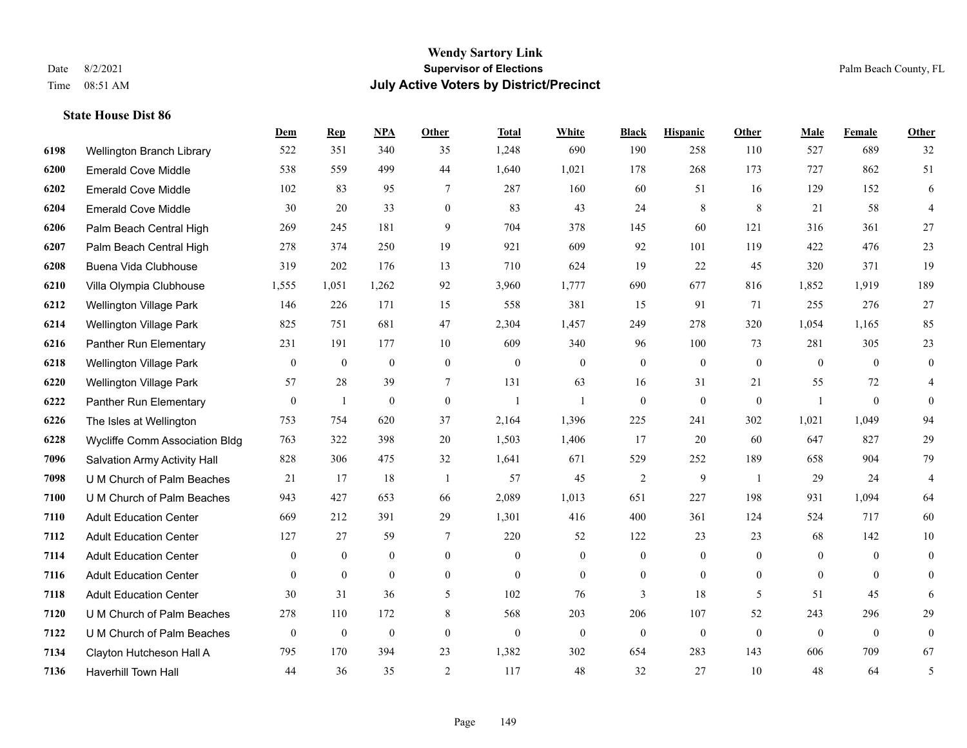#### **Wendy Sartory Link** Date 8/2/2021 **Supervisor of Elections** Palm Beach County, FL Time 08:51 AM **July Active Voters by District/Precinct**

## **Dem Rep NPA Other Total White Black Hispanic Other Male Female Other** Wellington Branch Library 522 351 340 35 1,248 690 190 258 110 527 689 32 Emerald Cove Middle 538 559 499 44 1,640 1,021 178 268 173 727 862 51 Emerald Cove Middle 102 83 95 7 287 160 60 51 16 129 152 6 Emerald Cove Middle 30 30 20 33 0 83 43 24 8 8 21 58 4 Palm Beach Central High 269 245 181 9 704 378 145 60 121 316 361 27 Palm Beach Central High 278 374 250 19 921 609 92 101 119 422 476 23 Buena Vida Clubhouse 319 202 176 13 710 624 19 22 45 320 371 19 Villa Olympia Clubhouse 1,555 1,051 1,262 92 3,960 1,777 690 677 816 1,852 1,919 189 Wellington Village Park 146 226 171 15 558 381 15 91 71 255 276 27 Wellington Village Park 825 751 681 47 2,304 1,457 249 278 320 1,054 1,165 85 Panther Run Elementary 231 191 177 10 609 340 96 100 73 281 305 23 Wellington Village Park 0 0 0 0 0 0 0 0 0 0 0 0 Wellington Village Park 57 28 39 7 131 63 16 31 21 55 72 4 Panther Run Elementary 0 1 0 0 1 1 0 0 0 1 0 0 The Isles at Wellington 753 754 620 37 2,164 1,396 225 241 302 1,021 1,049 94 Wycliffe Comm Association Bldg 763 322 398 20 1,503 1,406 17 20 60 647 827 29 Salvation Army Activity Hall 828 306 475 32 1,641 671 529 252 189 658 904 79 U M Church of Palm Beaches 21 17 18 1 57 45 2 9 1 29 24 4 U M Church of Palm Beaches 943 427 653 66 2,089 1,013 651 227 198 931 1,094 64 Adult Education Center 669 212 391 29 1,301 416 400 361 124 524 717 60 Adult Education Center 127 27 59 7 220 52 122 23 23 68 142 10 Adult Education Center 0 0 0 0 0 0 0 0 0 0 0 0 Adult Education Center 0 0 0 0 0 0 0 0 0 0 0 0 Adult Education Center 30 31 36 5 102 76 3 18 5 51 45 6 U M Church of Palm Beaches 278 110 172 8 568 203 206 107 52 243 296 29 U M Church of Palm Beaches 0 0 0 0 0 0 0 0 0 0 0 0 Clayton Hutcheson Hall A 795 170 394 23 1,382 302 654 283 143 606 709 67 Haverhill Town Hall 44 36 35 2 117 48 32 27 10 48 64 5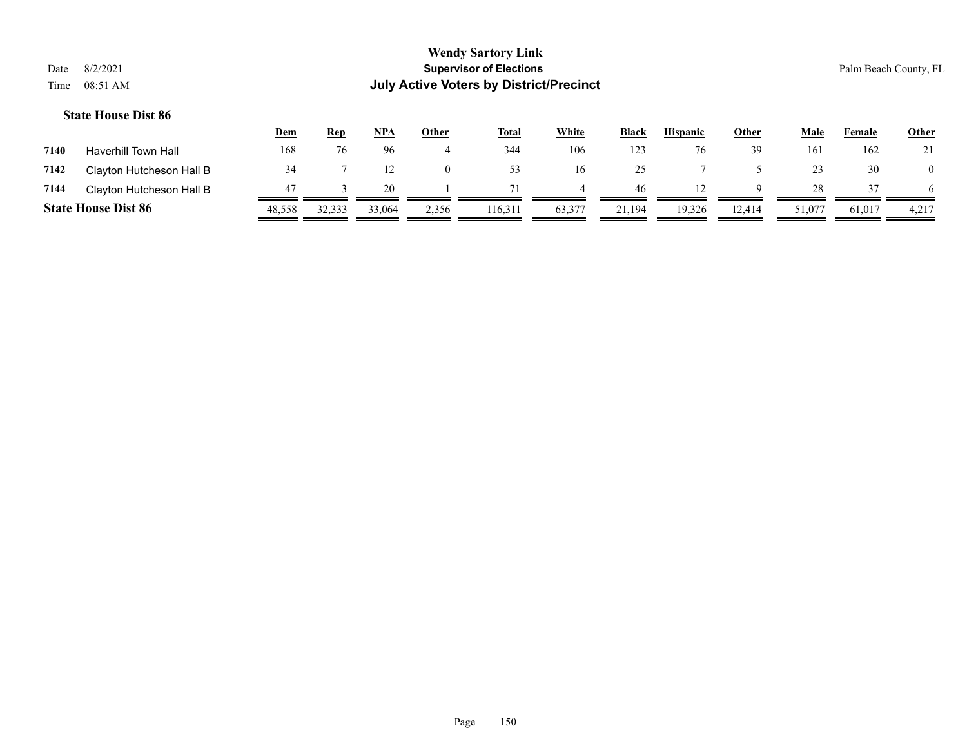|      |                            | <u>Dem</u> | Rep    | <u>NPA</u> | <u>Other</u> | <b>Total</b> | White  | <b>Black</b> | <b>Hispanic</b> | <b>Other</b> | Male   | Female | <b>Other</b> |
|------|----------------------------|------------|--------|------------|--------------|--------------|--------|--------------|-----------------|--------------|--------|--------|--------------|
| 7140 | Haverhill Town Hall        | 168        | 76     | 96         |              | 344          | 106    | 123          |                 | 39           | 161    | 162    | 21           |
| 7142 | Clayton Hutcheson Hall B   | 34         |        |            | $\Omega$     | 53           | 16     | ንና<br>رے     |                 |              | 23     | 30     |              |
| 7144 | Clayton Hutcheson Hall B   | 47         |        | 20         |              |              |        | 46           |                 |              | 28     |        |              |
|      | <b>State House Dist 86</b> | 48,558     | 32,333 | 33,064     | 2,356        | 116,311      | 63,377 | 21,194       | 19,326          | 12,414       | 51,077 | 61,017 | 4,217        |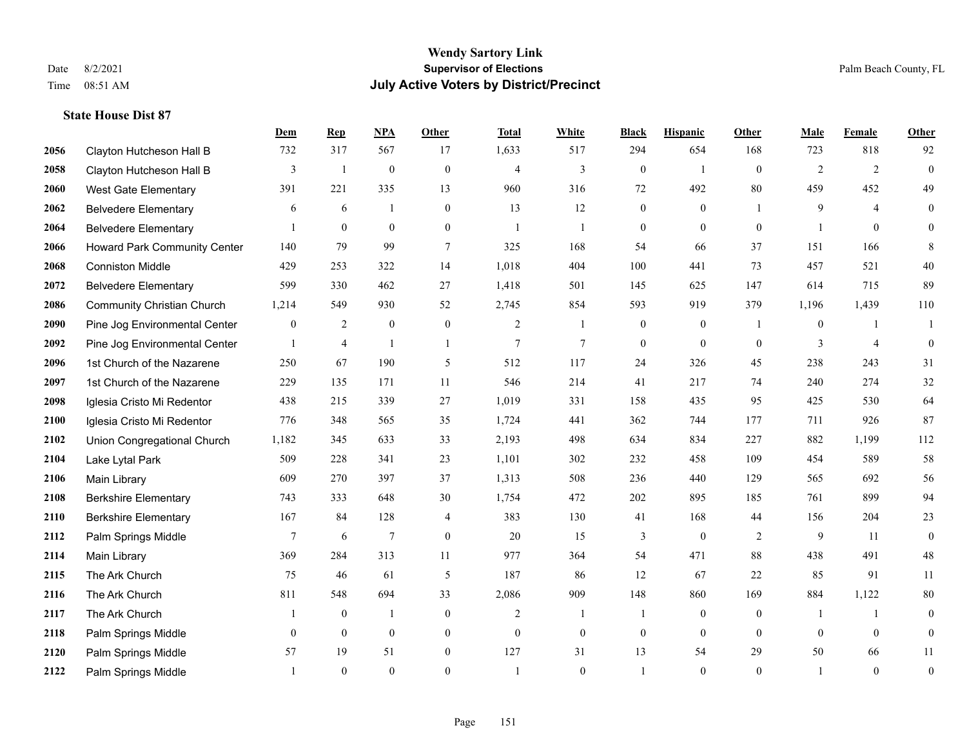|      |                                   | Dem             | <b>Rep</b>     | NPA              | <b>Other</b>     | <b>Total</b>   | <b>White</b>     | <b>Black</b>     | <b>Hispanic</b>  | Other          | <b>Male</b>    | Female         | Other            |
|------|-----------------------------------|-----------------|----------------|------------------|------------------|----------------|------------------|------------------|------------------|----------------|----------------|----------------|------------------|
| 2056 | Clayton Hutcheson Hall B          | 732             | 317            | 567              | 17               | 1,633          | 517              | 294              | 654              | 168            | 723            | 818            | 92               |
| 2058 | Clayton Hutcheson Hall B          | 3               | $\mathbf{1}$   | $\boldsymbol{0}$ | $\mathbf{0}$     | $\overline{4}$ | 3                | $\boldsymbol{0}$ | $\mathbf{1}$     | $\mathbf{0}$   | $\overline{2}$ | 2              | $\boldsymbol{0}$ |
| 2060 | West Gate Elementary              | 391             | 221            | 335              | 13               | 960            | 316              | 72               | 492              | 80             | 459            | 452            | 49               |
| 2062 | <b>Belvedere Elementary</b>       | 6               | 6              |                  | $\mathbf{0}$     | 13             | 12               | $\mathbf{0}$     | $\mathbf{0}$     | $\overline{1}$ | 9              | $\overline{4}$ | $\overline{0}$   |
| 2064 | <b>Belvedere Elementary</b>       |                 | $\mathbf{0}$   | $\mathbf{0}$     | $\overline{0}$   | $\mathbf{1}$   | 1                | $\boldsymbol{0}$ | $\overline{0}$   | $\mathbf{0}$   | 1              | $\theta$       | $\overline{0}$   |
| 2066 | Howard Park Community Center      | 140             | 79             | 99               | $\overline{7}$   | 325            | 168              | 54               | 66               | 37             | 151            | 166            | 8                |
| 2068 | <b>Conniston Middle</b>           | 429             | 253            | 322              | 14               | 1,018          | 404              | 100              | 441              | 73             | 457            | 521            | $40\,$           |
| 2072 | <b>Belvedere Elementary</b>       | 599             | 330            | 462              | 27               | 1,418          | 501              | 145              | 625              | 147            | 614            | 715            | 89               |
| 2086 | <b>Community Christian Church</b> | 1,214           | 549            | 930              | 52               | 2,745          | 854              | 593              | 919              | 379            | 1,196          | 1,439          | 110              |
| 2090 | Pine Jog Environmental Center     | $\overline{0}$  | $\overline{c}$ | $\boldsymbol{0}$ | $\boldsymbol{0}$ | $\overline{c}$ | 1                | $\boldsymbol{0}$ | $\boldsymbol{0}$ | $\overline{1}$ | $\mathbf{0}$   | -1             | -1               |
| 2092 | Pine Jog Environmental Center     |                 | $\overline{4}$ | $\mathbf{1}$     | $\mathbf{1}$     | $\overline{7}$ | $\overline{7}$   | $\overline{0}$   | $\overline{0}$   | $\mathbf{0}$   | 3              | $\overline{4}$ | $\overline{0}$   |
| 2096 | 1st Church of the Nazarene        | 250             | 67             | 190              | 5                | 512            | 117              | 24               | 326              | 45             | 238            | 243            | 31               |
| 2097 | 1st Church of the Nazarene        | 229             | 135            | 171              | 11               | 546            | 214              | 41               | 217              | 74             | 240            | 274            | $32\,$           |
| 2098 | Iglesia Cristo Mi Redentor        | 438             | 215            | 339              | 27               | 1,019          | 331              | 158              | 435              | 95             | 425            | 530            | 64               |
| 2100 | Iglesia Cristo Mi Redentor        | 776             | 348            | 565              | 35               | 1,724          | 441              | 362              | 744              | 177            | 711            | 926            | 87               |
| 2102 | Union Congregational Church       | 1,182           | 345            | 633              | 33               | 2,193          | 498              | 634              | 834              | 227            | 882            | 1,199          | 112              |
| 2104 | Lake Lytal Park                   | 509             | 228            | 341              | 23               | 1,101          | 302              | 232              | 458              | 109            | 454            | 589            | 58               |
| 2106 | Main Library                      | 609             | 270            | 397              | 37               | 1,313          | 508              | 236              | 440              | 129            | 565            | 692            | 56               |
| 2108 | <b>Berkshire Elementary</b>       | 743             | 333            | 648              | $30\,$           | 1,754          | 472              | 202              | 895              | 185            | 761            | 899            | 94               |
| 2110 | <b>Berkshire Elementary</b>       | 167             | 84             | 128              | 4                | 383            | 130              | 41               | 168              | 44             | 156            | 204            | 23               |
| 2112 | Palm Springs Middle               | $7\phantom{.0}$ | 6              | $\overline{7}$   | $\theta$         | 20             | 15               | 3                | $\mathbf{0}$     | 2              | 9              | 11             | $\overline{0}$   |
| 2114 | Main Library                      | 369             | 284            | 313              | 11               | 977            | 364              | 54               | 471              | 88             | 438            | 491            | 48               |
| 2115 | The Ark Church                    | 75              | 46             | 61               | 5                | 187            | 86               | 12               | 67               | 22             | 85             | 91             | 11               |
| 2116 | The Ark Church                    | 811             | 548            | 694              | 33               | 2,086          | 909              | 148              | 860              | 169            | 884            | 1,122          | $80\,$           |
| 2117 | The Ark Church                    |                 | $\mathbf{0}$   | $\mathbf{1}$     | $\mathbf{0}$     | $\overline{2}$ | 1                | $\mathbf{1}$     | $\overline{0}$   | $\theta$       | -1             | $\mathbf{1}$   | $\overline{0}$   |
| 2118 | Palm Springs Middle               | $\mathbf{0}$    | $\mathbf{0}$   | $\mathbf{0}$     | $\overline{0}$   | $\mathbf{0}$   | $\boldsymbol{0}$ | $\boldsymbol{0}$ | $\mathbf{0}$     | $\theta$       | $\mathbf{0}$   | $\overline{0}$ | $\boldsymbol{0}$ |
| 2120 | Palm Springs Middle               | 57              | 19             | 51               | $\mathbf{0}$     | 127            | 31               | 13               | 54               | 29             | 50             | 66             | 11               |
| 2122 | Palm Springs Middle               |                 | $\theta$       | $\theta$         | $\theta$         | $\overline{1}$ | $\theta$         | $\mathbf{1}$     | $\theta$         | $\mathbf{0}$   |                | $\theta$       | $\boldsymbol{0}$ |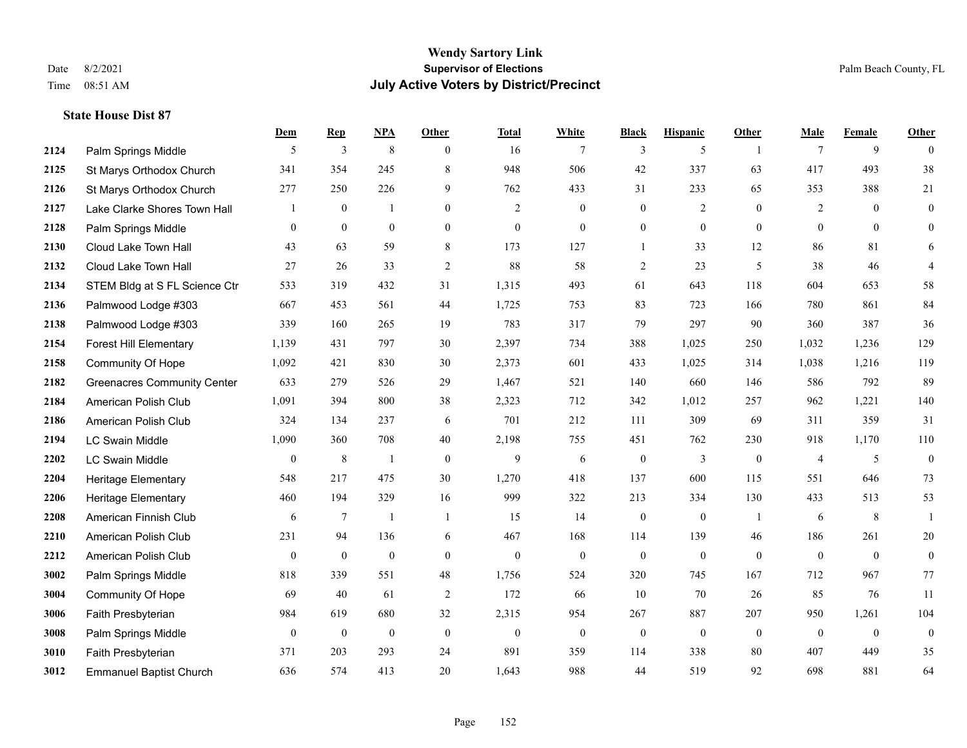#### **Wendy Sartory Link** Date 8/2/2021 **Supervisor of Elections** Palm Beach County, FL Time 08:51 AM **July Active Voters by District/Precinct**

## **Dem Rep NPA Other Total White Black Hispanic Other Male Female Other 2124** Palm Springs Middle  $\begin{array}{ccccccccccccc} & 5 & 3 & 8 & 0 & 16 & 7 & 3 & 5 & 1 & 7 & 9 & 0 \end{array}$ 2125 St Marys Orthodox Church 341 354 245 8 948 506 42 337 63 417 493 38 St Marys Orthodox Church 277 250 226 9 762 433 31 233 65 353 388 21 Lake Clarke Shores Town Hall  $\begin{array}{ccccccccc} 1 & 0 & 1 & 0 & 2 & 0 & 0 & 2 & 0 & 2 & 0 & 0 \end{array}$  Palm Springs Middle 0 0 0 0 0 0 0 0 0 0 0 0 Cloud Lake Town Hall 43 63 59 8 173 127 1 33 12 86 81 6 Cloud Lake Town Hall 27 26 33 2 88 58 2 23 5 38 46 4 STEM Bldg at S FL Science Ctr 533 319 432 31 1,315 493 61 643 118 604 653 58 Palmwood Lodge #303 667 453 561 44 1,725 753 83 723 166 780 861 84 Palmwood Lodge #303 339 160 265 19 783 317 79 297 90 360 387 36 Forest Hill Elementary 1,139 431 797 30 2,397 734 388 1,025 250 1,032 1,236 129 Community Of Hope 1,092 421 830 30 2,373 601 433 1,025 314 1,038 1,216 119 Greenacres Community Center 633 279 526 29 1,467 521 140 660 146 586 792 89 American Polish Club 1,091 394 800 38 2,323 712 342 1,012 257 962 1,221 140 American Polish Club 324 134 237 6 701 212 111 309 69 311 359 31 LC Swain Middle 1,090 360 708 40 2,198 755 451 762 230 918 1,170 110 LC Swain Middle 0 8 1 0 9 6 0 3 0 4 5 0 Heritage Elementary 548 217 475 30 1,270 418 137 600 115 551 646 73 Heritage Elementary 460 194 329 16 999 322 213 334 130 433 513 53 American Finnish Club 6 7 1 1 15 14 0 0 1 6 8 1 American Polish Club 231 94 136 6 467 168 114 139 46 186 261 20 American Polish Club 0 0 0 0 0 0 0 0 0 0 0 0 Palm Springs Middle 818 339 551 48 1,756 524 320 745 167 712 967 77 Community Of Hope 69 40 61 2 172 66 10 70 26 85 76 11 Faith Presbyterian 984 619 680 32 2,315 954 267 887 207 950 1,261 104 Palm Springs Middle  $\begin{pmatrix} 0 & 0 & 0 & 0 \\ 0 & 0 & 0 & 0 \\ 0 & 0 & 0 & 0 \end{pmatrix}$  Faith Presbyterian 371 203 293 24 891 359 114 338 80 407 449 35 Emmanuel Baptist Church 636 574 413 20 1,643 988 44 519 92 698 881 64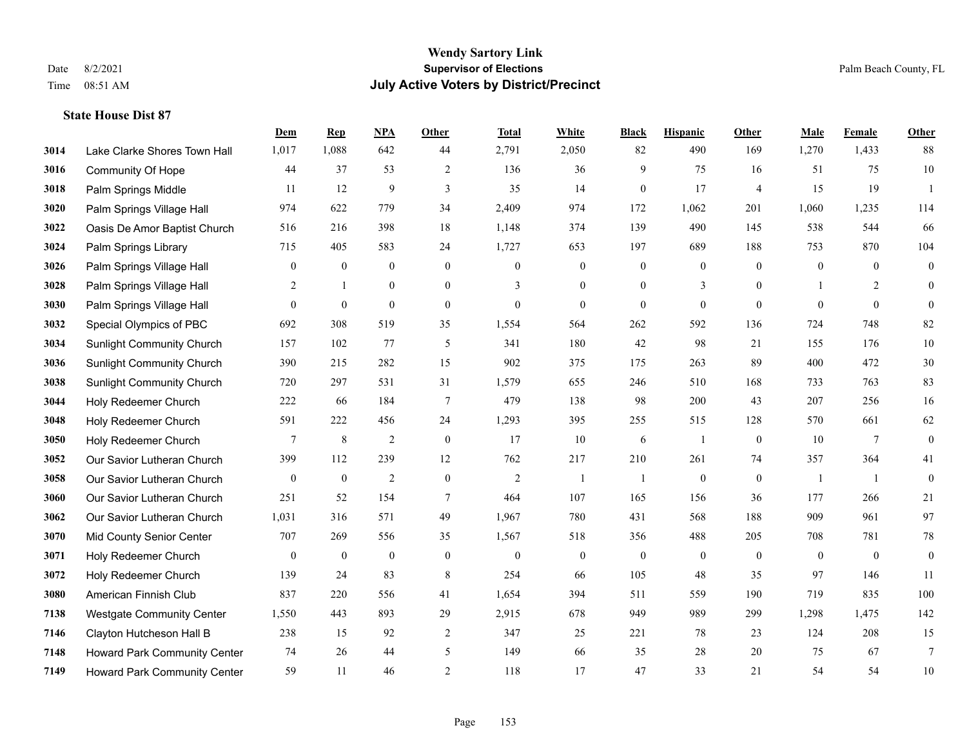|      |                                  | Dem              | <b>Rep</b>       | NPA              | <b>Other</b>     | <b>Total</b>     | <b>White</b>     | <b>Black</b>     | <b>Hispanic</b>  | <b>Other</b>   | <b>Male</b>      | <b>Female</b>  | <b>Other</b>     |
|------|----------------------------------|------------------|------------------|------------------|------------------|------------------|------------------|------------------|------------------|----------------|------------------|----------------|------------------|
| 3014 | Lake Clarke Shores Town Hall     | 1,017            | 1,088            | 642              | 44               | 2,791            | 2,050            | 82               | 490              | 169            | 1,270            | 1,433          | 88               |
| 3016 | <b>Community Of Hope</b>         | 44               | 37               | 53               | $\overline{2}$   | 136              | 36               | 9                | 75               | 16             | 51               | 75             | $10\,$           |
| 3018 | Palm Springs Middle              | 11               | 12               | 9                | 3                | 35               | 14               | $\mathbf{0}$     | 17               | $\overline{4}$ | 15               | 19             | $\overline{1}$   |
| 3020 | Palm Springs Village Hall        | 974              | 622              | 779              | 34               | 2,409            | 974              | 172              | 1,062            | 201            | 1,060            | 1,235          | 114              |
| 3022 | Oasis De Amor Baptist Church     | 516              | 216              | 398              | 18               | 1,148            | 374              | 139              | 490              | 145            | 538              | 544            | 66               |
| 3024 | Palm Springs Library             | 715              | 405              | 583              | 24               | 1,727            | 653              | 197              | 689              | 188            | 753              | 870            | 104              |
| 3026 | Palm Springs Village Hall        | $\boldsymbol{0}$ | $\boldsymbol{0}$ | $\boldsymbol{0}$ | $\boldsymbol{0}$ | $\boldsymbol{0}$ | $\boldsymbol{0}$ | $\boldsymbol{0}$ | $\boldsymbol{0}$ | $\mathbf{0}$   | $\boldsymbol{0}$ | $\mathbf{0}$   | $\boldsymbol{0}$ |
| 3028 | Palm Springs Village Hall        | 2                | $\mathbf{1}$     | $\overline{0}$   | $\overline{0}$   | 3                | $\overline{0}$   | $\mathbf{0}$     | 3                | $\theta$       |                  | $\overline{2}$ | $\mathbf{0}$     |
| 3030 | Palm Springs Village Hall        | $\overline{0}$   | $\boldsymbol{0}$ | $\mathbf{0}$     | $\overline{0}$   | $\boldsymbol{0}$ | $\overline{0}$   | $\mathbf{0}$     | $\mathbf{0}$     | $\mathbf{0}$   | $\theta$         | $\mathbf{0}$   | $\theta$         |
| 3032 | Special Olympics of PBC          | 692              | 308              | 519              | 35               | 1,554            | 564              | 262              | 592              | 136            | 724              | 748            | 82               |
| 3034 | <b>Sunlight Community Church</b> | 157              | 102              | 77               | 5                | 341              | 180              | 42               | 98               | 21             | 155              | 176            | $10\,$           |
| 3036 | <b>Sunlight Community Church</b> | 390              | 215              | 282              | 15               | 902              | 375              | 175              | 263              | 89             | 400              | 472            | $30\,$           |
| 3038 | <b>Sunlight Community Church</b> | 720              | 297              | 531              | 31               | 1,579            | 655              | 246              | 510              | 168            | 733              | 763            | 83               |
| 3044 | Holy Redeemer Church             | 222              | 66               | 184              | $\overline{7}$   | 479              | 138              | 98               | 200              | 43             | 207              | 256            | 16               |
| 3048 | Holy Redeemer Church             | 591              | 222              | 456              | 24               | 1,293            | 395              | 255              | 515              | 128            | 570              | 661            | 62               |
| 3050 | Holy Redeemer Church             | 7                | $\,8\,$          | $\overline{2}$   | $\mathbf{0}$     | 17               | 10               | 6                | 1                | $\overline{0}$ | 10               | $\overline{7}$ | $\boldsymbol{0}$ |
| 3052 | Our Savior Lutheran Church       | 399              | 112              | 239              | 12               | 762              | 217              | 210              | 261              | 74             | 357              | 364            | 41               |
| 3058 | Our Savior Lutheran Church       | $\mathbf{0}$     | $\boldsymbol{0}$ | $\overline{2}$   | $\overline{0}$   | 2                | $\mathbf{1}$     | 1                | $\boldsymbol{0}$ | $\overline{0}$ | -1               | -1             | $\boldsymbol{0}$ |
| 3060 | Our Savior Lutheran Church       | 251              | 52               | 154              | $\tau$           | 464              | 107              | 165              | 156              | 36             | 177              | 266            | 21               |
| 3062 | Our Savior Lutheran Church       | 1,031            | 316              | 571              | 49               | 1,967            | 780              | 431              | 568              | 188            | 909              | 961            | 97               |
| 3070 | Mid County Senior Center         | 707              | 269              | 556              | 35               | 1,567            | 518              | 356              | 488              | 205            | 708              | 781            | $78\,$           |
| 3071 | Holy Redeemer Church             | $\boldsymbol{0}$ | $\boldsymbol{0}$ | $\boldsymbol{0}$ | $\mathbf{0}$     | $\boldsymbol{0}$ | $\boldsymbol{0}$ | $\boldsymbol{0}$ | $\boldsymbol{0}$ | $\mathbf{0}$   | $\mathbf{0}$     | $\mathbf{0}$   | $\boldsymbol{0}$ |
| 3072 | Holy Redeemer Church             | 139              | 24               | 83               | 8                | 254              | 66               | 105              | 48               | 35             | 97               | 146            | 11               |
| 3080 | American Finnish Club            | 837              | 220              | 556              | 41               | 1,654            | 394              | 511              | 559              | 190            | 719              | 835            | 100              |
| 7138 | <b>Westgate Community Center</b> | 1,550            | 443              | 893              | 29               | 2,915            | 678              | 949              | 989              | 299            | 1,298            | 1,475          | 142              |
| 7146 | Clayton Hutcheson Hall B         | 238              | 15               | 92               | $\overline{2}$   | 347              | 25               | 221              | 78               | 23             | 124              | 208            | 15               |
| 7148 | Howard Park Community Center     | 74               | 26               | 44               | 5                | 149              | 66               | 35               | 28               | 20             | 75               | 67             | $\tau$           |
| 7149 | Howard Park Community Center     | 59               | 11               | 46               | $\overline{2}$   | 118              | 17               | 47               | 33               | 21             | 54               | 54             | $10\,$           |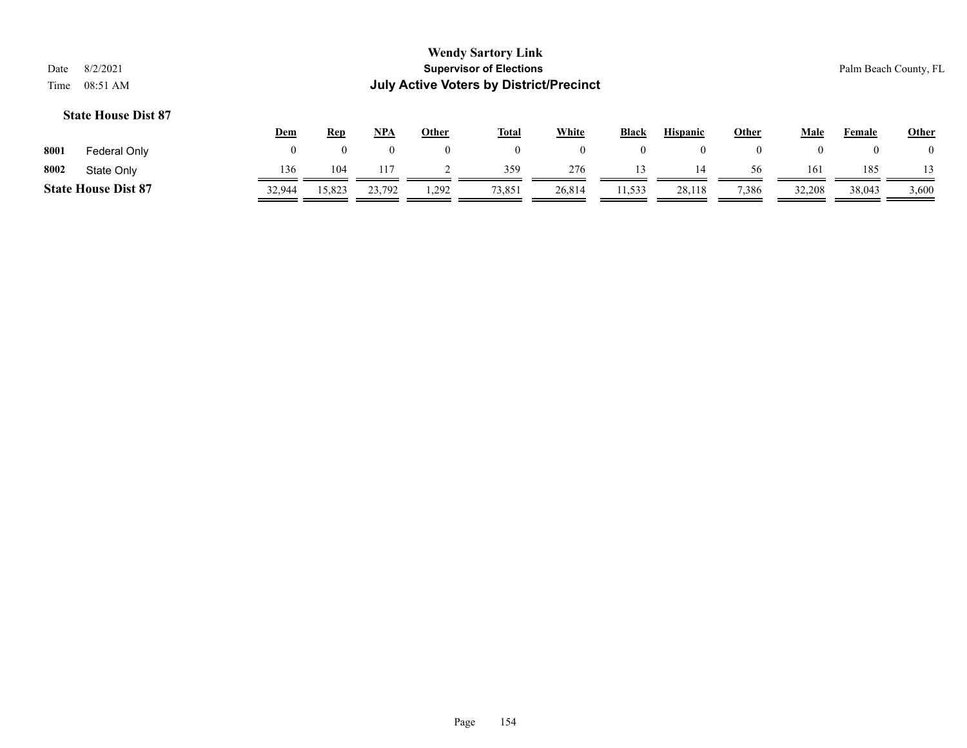|      |                            | <u>Dem</u> | Rep    | NPA    | Other | <b>Total</b> | White  | Black  | <b>Hispanic</b> | Other | Male   | Female | <b>Other</b> |
|------|----------------------------|------------|--------|--------|-------|--------------|--------|--------|-----------------|-------|--------|--------|--------------|
| 8001 | Federal Only               |            |        |        |       |              |        |        |                 |       |        |        |              |
| 8002 | State Only                 | 136        | 104    |        |       | 359          | 276    |        | 14              | 56    | 161    | 185    |              |
|      | <b>State House Dist 87</b> | 32,944     | 15,823 | 23,792 | 1,292 | 73,851       | 26,814 | 11,533 | 28,118          | 7,386 | 32,208 | 38,043 | 3,600        |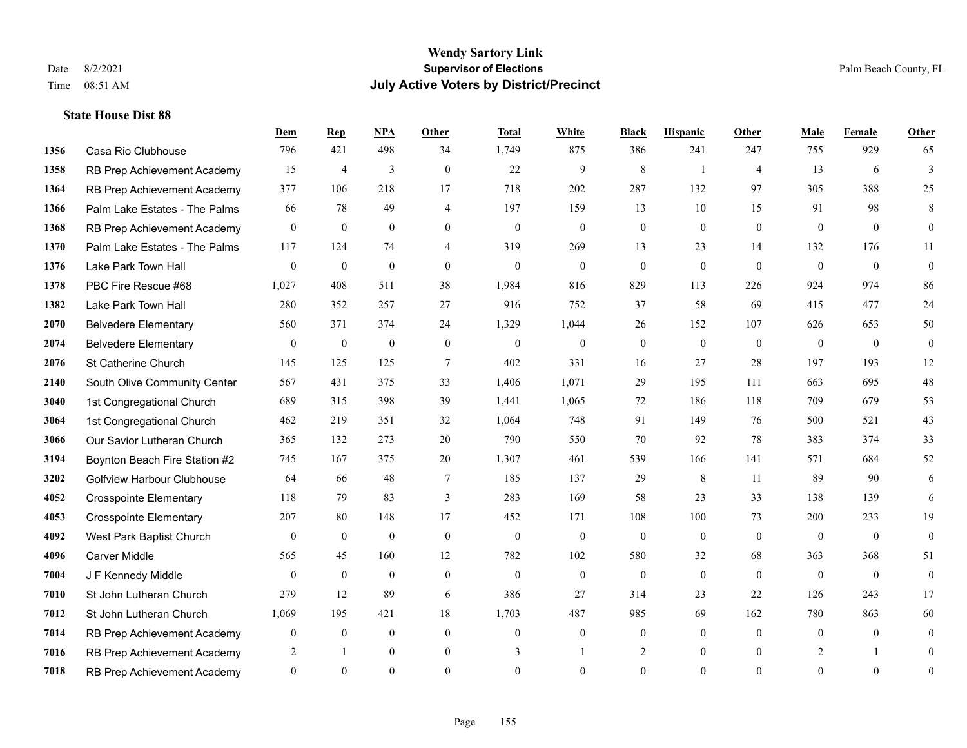|      |                                   | Dem              | <b>Rep</b>       | NPA              | <b>Other</b>   | <b>Total</b>   | <b>White</b>     | <b>Black</b>     | <b>Hispanic</b> | Other          | <b>Male</b>  | Female         | Other            |
|------|-----------------------------------|------------------|------------------|------------------|----------------|----------------|------------------|------------------|-----------------|----------------|--------------|----------------|------------------|
| 1356 | Casa Rio Clubhouse                | 796              | 421              | 498              | 34             | 1,749          | 875              | 386              | 241             | 247            | 755          | 929            | 65               |
| 1358 | RB Prep Achievement Academy       | 15               | $\overline{4}$   | 3                | $\theta$       | 22             | 9                | 8                | $\overline{1}$  | $\overline{4}$ | 13           | 6              | 3                |
| 1364 | RB Prep Achievement Academy       | 377              | 106              | 218              | 17             | 718            | 202              | 287              | 132             | 97             | 305          | 388            | 25               |
| 1366 | Palm Lake Estates - The Palms     | 66               | 78               | 49               | $\overline{4}$ | 197            | 159              | 13               | 10              | 15             | 91           | 98             | 8                |
| 1368 | RB Prep Achievement Academy       | $\mathbf{0}$     | $\theta$         | $\mathbf{0}$     | $\theta$       | $\mathbf{0}$   | $\mathbf{0}$     | $\overline{0}$   | $\Omega$        | $\theta$       | $\theta$     | $\theta$       | $\overline{0}$   |
| 1370 | Palm Lake Estates - The Palms     | 117              | 124              | 74               | $\overline{4}$ | 319            | 269              | 13               | 23              | 14             | 132          | 176            | 11               |
| 1376 | Lake Park Town Hall               | $\overline{0}$   | $\mathbf{0}$     | $\mathbf{0}$     | $\overline{0}$ | $\theta$       | $\mathbf{0}$     | $\overline{0}$   | $\overline{0}$  | $\theta$       | $\mathbf{0}$ | $\overline{0}$ | $\mathbf{0}$     |
| 1378 | PBC Fire Rescue #68               | 1,027            | 408              | 511              | 38             | 1,984          | 816              | 829              | 113             | 226            | 924          | 974            | 86               |
| 1382 | Lake Park Town Hall               | 280              | 352              | 257              | 27             | 916            | 752              | 37               | 58              | 69             | 415          | 477            | 24               |
| 2070 | <b>Belvedere Elementary</b>       | 560              | 371              | 374              | 24             | 1,329          | 1,044            | 26               | 152             | 107            | 626          | 653            | 50               |
| 2074 | <b>Belvedere Elementary</b>       | $\mathbf{0}$     | $\boldsymbol{0}$ | $\mathbf{0}$     | $\theta$       | $\theta$       | $\mathbf{0}$     | $\overline{0}$   | $\mathbf{0}$    | $\theta$       | $\theta$     | $\theta$       | $\overline{0}$   |
| 2076 | St Catherine Church               | 145              | 125              | 125              | $\tau$         | 402            | 331              | 16               | 27              | 28             | 197          | 193            | 12               |
| 2140 | South Olive Community Center      | 567              | 431              | 375              | 33             | 1,406          | 1,071            | 29               | 195             | 111            | 663          | 695            | 48               |
| 3040 | 1st Congregational Church         | 689              | 315              | 398              | 39             | 1,441          | 1,065            | 72               | 186             | 118            | 709          | 679            | 53               |
| 3064 | 1st Congregational Church         | 462              | 219              | 351              | 32             | 1,064          | 748              | 91               | 149             | 76             | 500          | 521            | 43               |
| 3066 | Our Savior Lutheran Church        | 365              | 132              | 273              | 20             | 790            | 550              | 70               | 92              | 78             | 383          | 374            | 33               |
| 3194 | Boynton Beach Fire Station #2     | 745              | 167              | 375              | $20\,$         | 1,307          | 461              | 539              | 166             | 141            | 571          | 684            | 52               |
| 3202 | <b>Golfview Harbour Clubhouse</b> | 64               | 66               | 48               | $\overline{7}$ | 185            | 137              | 29               | 8               | 11             | 89           | 90             | 6                |
| 4052 | <b>Crosspointe Elementary</b>     | 118              | 79               | 83               | 3              | 283            | 169              | 58               | 23              | 33             | 138          | 139            | 6                |
| 4053 | <b>Crosspointe Elementary</b>     | 207              | 80               | 148              | 17             | 452            | 171              | 108              | 100             | 73             | 200          | 233            | 19               |
| 4092 | West Park Baptist Church          | $\theta$         | $\mathbf{0}$     | $\theta$         | $\theta$       | $\mathbf{0}$   | $\boldsymbol{0}$ | $\overline{0}$   | $\overline{0}$  | $\theta$       | $\mathbf{0}$ | $\overline{0}$ | $\overline{0}$   |
| 4096 | <b>Carver Middle</b>              | 565              | 45               | 160              | 12             | 782            | 102              | 580              | 32              | 68             | 363          | 368            | 51               |
| 7004 | J F Kennedy Middle                | $\overline{0}$   | $\mathbf{0}$     | $\boldsymbol{0}$ | $\overline{0}$ | $\mathbf{0}$   | $\mathbf{0}$     | $\boldsymbol{0}$ | $\overline{0}$  | $\mathbf{0}$   | $\mathbf{0}$ | $\overline{0}$ | $\overline{0}$   |
| 7010 | St John Lutheran Church           | 279              | 12               | 89               | 6              | 386            | 27               | 314              | 23              | 22             | 126          | 243            | 17               |
| 7012 | St John Lutheran Church           | 1,069            | 195              | 421              | 18             | 1,703          | 487              | 985              | 69              | 162            | 780          | 863            | 60               |
| 7014 | RB Prep Achievement Academy       | $\boldsymbol{0}$ | $\boldsymbol{0}$ | $\mathbf{0}$     | $\mathbf{0}$   | $\overline{0}$ | $\boldsymbol{0}$ | $\mathbf{0}$     | $\overline{0}$  | $\theta$       | $\mathbf{0}$ | $\theta$       | $\mathbf{0}$     |
| 7016 | RB Prep Achievement Academy       | 2                | -1               | $\mathbf{0}$     | $\overline{0}$ | 3              |                  | $\overline{2}$   | $\overline{0}$  | $\mathbf{0}$   |              |                | $\overline{0}$   |
| 7018 | RB Prep Achievement Academy       | $\Omega$         | $\Omega$         | $\theta$         | $\theta$       | $\Omega$       | $\Omega$         | $\theta$         | $\theta$        | $\theta$       | $\Omega$     | $\theta$       | $\boldsymbol{0}$ |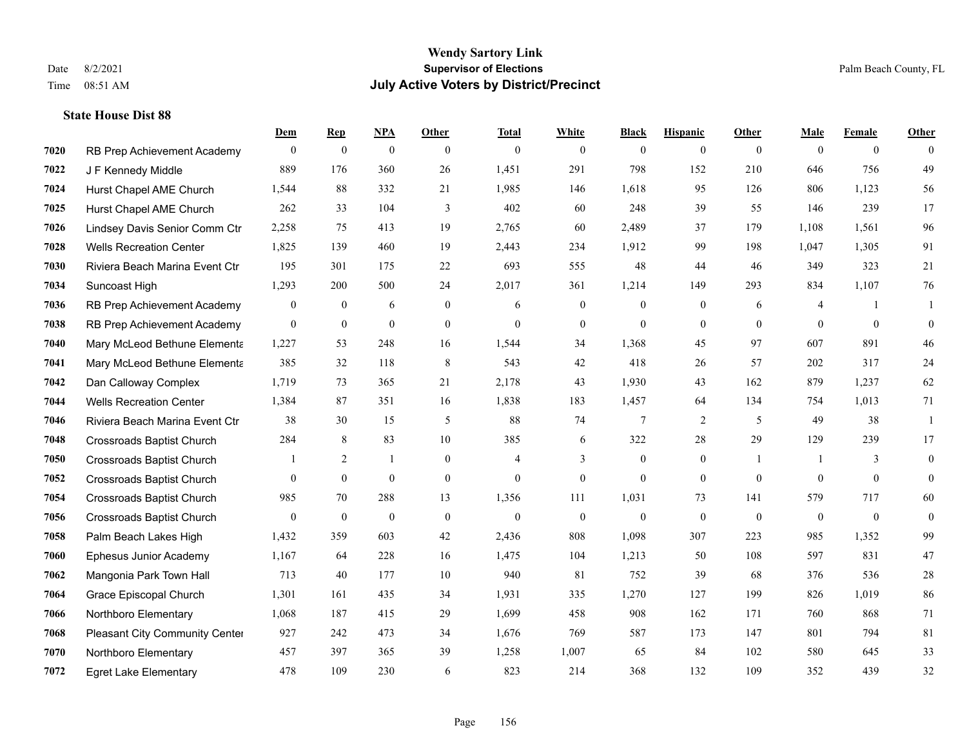|      |                                       | Dem            | <b>Rep</b>       | NPA              | <b>Other</b>   | <b>Total</b>   | <b>White</b>     | <b>Black</b>     | <b>Hispanic</b>  | <b>Other</b>   | <b>Male</b>  | <b>Female</b>  | <b>Other</b>     |
|------|---------------------------------------|----------------|------------------|------------------|----------------|----------------|------------------|------------------|------------------|----------------|--------------|----------------|------------------|
| 7020 | RB Prep Achievement Academy           | $\mathbf{0}$   | $\boldsymbol{0}$ | $\boldsymbol{0}$ | $\overline{0}$ | $\mathbf{0}$   | $\overline{0}$   | $\mathbf{0}$     | $\mathbf{0}$     | $\theta$       | $\mathbf{0}$ | $\overline{0}$ | $\theta$         |
| 7022 | J F Kennedy Middle                    | 889            | 176              | 360              | 26             | 1,451          | 291              | 798              | 152              | 210            | 646          | 756            | 49               |
| 7024 | Hurst Chapel AME Church               | 1,544          | 88               | 332              | 21             | 1,985          | 146              | 1.618            | 95               | 126            | 806          | 1.123          | 56               |
| 7025 | Hurst Chapel AME Church               | 262            | 33               | 104              | 3              | 402            | 60               | 248              | 39               | 55             | 146          | 239            | 17               |
| 7026 | Lindsey Davis Senior Comm Ctr         | 2,258          | 75               | 413              | 19             | 2,765          | 60               | 2,489            | 37               | 179            | 1,108        | 1,561          | 96               |
| 7028 | <b>Wells Recreation Center</b>        | 1,825          | 139              | 460              | 19             | 2,443          | 234              | 1,912            | 99               | 198            | 1,047        | 1,305          | 91               |
| 7030 | Riviera Beach Marina Event Ctr        | 195            | 301              | 175              | 22             | 693            | 555              | 48               | 44               | 46             | 349          | 323            | 21               |
| 7034 | Suncoast High                         | 1,293          | 200              | 500              | 24             | 2,017          | 361              | 1,214            | 149              | 293            | 834          | 1,107          | 76               |
| 7036 | RB Prep Achievement Academy           | $\mathbf{0}$   | $\mathbf{0}$     | 6                | $\overline{0}$ | 6              | $\boldsymbol{0}$ | $\boldsymbol{0}$ | $\boldsymbol{0}$ | 6              | 4            | -1             | 1                |
| 7038 | RB Prep Achievement Academy           | $\mathbf{0}$   | $\mathbf{0}$     | $\mathbf{0}$     | $\mathbf{0}$   | $\theta$       | $\overline{0}$   | $\mathbf{0}$     | $\mathbf{0}$     | $\theta$       | $\theta$     | $\mathbf{0}$   | $\mathbf{0}$     |
| 7040 | Mary McLeod Bethune Elementa          | 1,227          | 53               | 248              | 16             | 1,544          | 34               | 1,368            | 45               | 97             | 607          | 891            | 46               |
| 7041 | Mary McLeod Bethune Elementa          | 385            | 32               | 118              | 8              | 543            | 42               | 418              | 26               | 57             | 202          | 317            | 24               |
| 7042 | Dan Calloway Complex                  | 1,719          | 73               | 365              | 21             | 2,178          | 43               | 1,930            | 43               | 162            | 879          | 1,237          | 62               |
| 7044 | <b>Wells Recreation Center</b>        | 1,384          | 87               | 351              | 16             | 1,838          | 183              | 1,457            | 64               | 134            | 754          | 1,013          | 71               |
| 7046 | Riviera Beach Marina Event Ctr        | 38             | 30               | 15               | 5              | 88             | 74               | 7                | 2                | 5              | 49           | 38             | 1                |
| 7048 | <b>Crossroads Baptist Church</b>      | 284            | 8                | 83               | 10             | 385            | 6                | 322              | 28               | 29             | 129          | 239            | 17               |
| 7050 | <b>Crossroads Baptist Church</b>      |                | 2                | $\mathbf{1}$     | $\overline{0}$ | $\overline{4}$ | 3                | $\boldsymbol{0}$ | $\mathbf{0}$     | $\overline{1}$ |              | 3              | $\mathbf{0}$     |
| 7052 | <b>Crossroads Baptist Church</b>      | $\overline{0}$ | $\mathbf{0}$     | $\mathbf{0}$     | $\overline{0}$ | $\mathbf{0}$   | $\boldsymbol{0}$ | $\mathbf{0}$     | $\mathbf{0}$     | $\overline{0}$ | $\mathbf{0}$ | $\overline{0}$ | $\boldsymbol{0}$ |
| 7054 | <b>Crossroads Baptist Church</b>      | 985            | 70               | 288              | 13             | 1,356          | 111              | 1,031            | 73               | 141            | 579          | 717            | 60               |
| 7056 | <b>Crossroads Baptist Church</b>      | $\overline{0}$ | $\mathbf{0}$     | $\overline{0}$   | $\mathbf{0}$   | $\theta$       | $\overline{0}$   | $\mathbf{0}$     | $\theta$         | $\theta$       | $\mathbf{0}$ | $\theta$       | $\mathbf{0}$     |
| 7058 | Palm Beach Lakes High                 | 1,432          | 359              | 603              | 42             | 2,436          | 808              | 1,098            | 307              | 223            | 985          | 1,352          | 99               |
| 7060 | Ephesus Junior Academy                | 1,167          | 64               | 228              | 16             | 1,475          | 104              | 1,213            | 50               | 108            | 597          | 831            | 47               |
| 7062 | Mangonia Park Town Hall               | 713            | 40               | 177              | 10             | 940            | 81               | 752              | 39               | 68             | 376          | 536            | $28\,$           |
| 7064 | Grace Episcopal Church                | 1,301          | 161              | 435              | 34             | 1,931          | 335              | 1,270            | 127              | 199            | 826          | 1,019          | 86               |
| 7066 | Northboro Elementary                  | 1,068          | 187              | 415              | 29             | 1,699          | 458              | 908              | 162              | 171            | 760          | 868            | 71               |
| 7068 | <b>Pleasant City Community Center</b> | 927            | 242              | 473              | 34             | 1,676          | 769              | 587              | 173              | 147            | 801          | 794            | 81               |
| 7070 | Northboro Elementary                  | 457            | 397              | 365              | 39             | 1,258          | 1,007            | 65               | 84               | 102            | 580          | 645            | 33               |
| 7072 | <b>Egret Lake Elementary</b>          | 478            | 109              | 230              | 6              | 823            | 214              | 368              | 132              | 109            | 352          | 439            | 32               |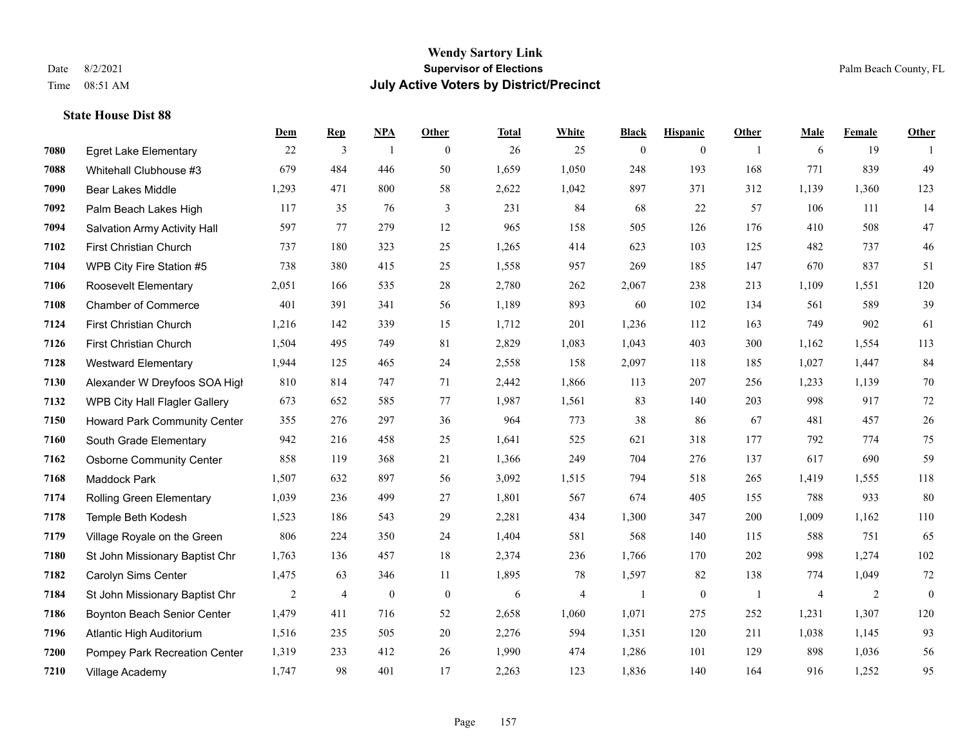#### **Wendy Sartory Link** Date 8/2/2021 **Supervisor of Elections** Palm Beach County, FL Time 08:51 AM **July Active Voters by District/Precinct**

## **Dem Rep NPA Other Total White Black Hispanic Other Male Female Other** Egret Lake Elementary 22 3 1 0 26 25 0 0 1 6 19 1 Whitehall Clubhouse #3 679 484 446 50 1,659 1,050 248 193 168 771 839 49 Bear Lakes Middle 1,293 471 800 58 2,622 1,042 897 371 312 1,139 1,360 123 Palm Beach Lakes High 117 35 76 3 231 84 68 22 57 106 111 14 Salvation Army Activity Hall 597 77 279 12 965 158 505 126 176 410 508 47 First Christian Church 737 180 323 25 1,265 414 623 103 125 482 737 46 WPB City Fire Station #5 738 380 415 25 1,558 957 269 185 147 670 837 51 Roosevelt Elementary 2,051 166 535 28 2,780 262 2,067 238 213 1,109 1,551 120 Chamber of Commerce 401 391 341 56 1,189 893 60 102 134 561 589 39 First Christian Church 1,216 142 339 15 1,712 201 1,236 112 163 749 902 61 First Christian Church 1,504 495 749 81 2,829 1,083 1,043 403 300 1,162 1,554 113 Westward Elementary 1,944 125 465 24 2,558 158 2,097 118 185 1,027 1,447 84 Alexander W Dreyfoos SOA High 810 814 747 71 2,442 1,866 113 207 256 1,233 1,139 70 WPB City Hall Flagler Gallery 673 652 585 77 1,987 1,561 83 140 203 998 917 72 Howard Park Community Center 355 276 297 36 964 773 38 86 67 481 457 26 South Grade Elementary 942 216 458 25 1,641 525 621 318 177 792 774 75 Osborne Community Center 858 119 368 21 1,366 249 704 276 137 617 690 59 Maddock Park 1,507 632 897 56 3,092 1,515 794 518 265 1,419 1,555 118 Rolling Green Elementary 1,039 236 499 27 1,801 567 674 405 155 788 933 80 Temple Beth Kodesh 1,523 186 543 29 2,281 434 1,300 347 200 1,009 1,162 110 Village Royale on the Green 806 224 350 24 1,404 581 568 140 115 588 751 65 St John Missionary Baptist Chr 1,763 136 457 18 2,374 236 1,766 170 202 998 1,274 102 Carolyn Sims Center 1,475 63 346 11 1,895 78 1,597 82 138 774 1,049 72 St John Missionary Baptist Chr 2 4 0 0 6 4 1 0 1 4 2 0 Boynton Beach Senior Center 1,479 411 716 52 2,658 1,060 1,071 275 252 1,231 1,307 120 Atlantic High Auditorium 1,516 235 505 20 2,276 594 1,351 120 211 1,038 1,145 93 Pompey Park Recreation Center 1,319 233 412 26 1,990 474 1,286 101 129 898 1,036 56 Village Academy 1,747 98 401 17 2,263 123 1,836 140 164 916 1,252 95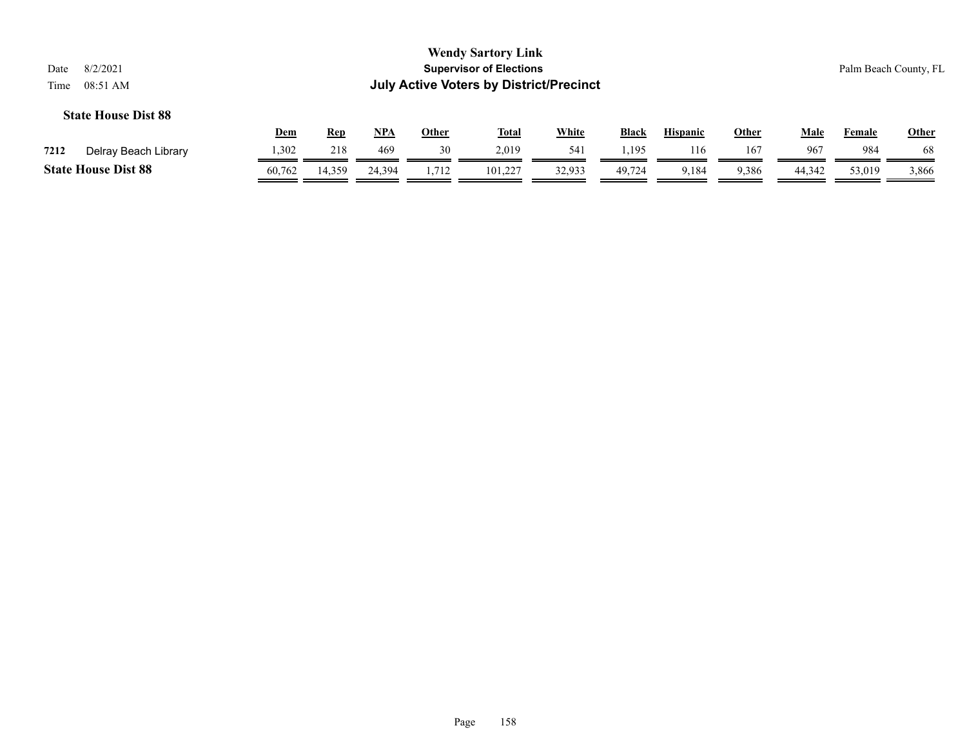| 8/2/2021<br>Date<br>08:51 AM<br>Time |            |            |            |              | <b>Wendy Sartory Link</b><br><b>Supervisor of Elections</b><br><b>July Active Voters by District/Precinct</b> |              |              |                 |              |             |        | Palm Beach County, FL |
|--------------------------------------|------------|------------|------------|--------------|---------------------------------------------------------------------------------------------------------------|--------------|--------------|-----------------|--------------|-------------|--------|-----------------------|
| <b>State House Dist 88</b>           | <u>Dem</u> | <u>Rep</u> | <u>NPA</u> | <b>Other</b> | <b>Total</b>                                                                                                  | <b>White</b> | <b>Black</b> | <b>Hispanic</b> | <b>Other</b> | <u>Male</u> | Female | <b>Other</b>          |
| Delray Beach Library<br>7212         | 1,302      | 218        | 469        | 30           | 2,019                                                                                                         | 541          | 1.195        | 116             | 167          | 967         | 984    | 68                    |
| <b>State House Dist 88</b>           | 60,762     | 14,359     | 24.394     | 1,712        | 101.227                                                                                                       | 32,933       | 49.724       | 9,184           | 9,386        | 44,342      | 53,019 | 3,866                 |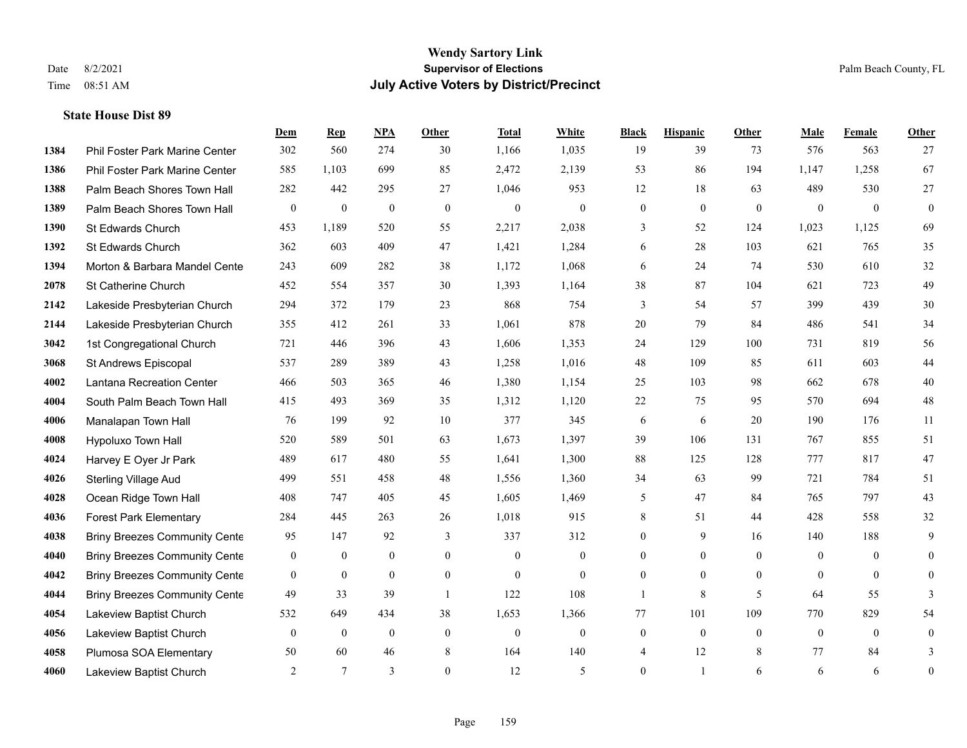|      |                                      | Dem              | <b>Rep</b>       | NPA              | Other            | <b>Total</b>     | White            | <b>Black</b>     | <b>Hispanic</b>  | Other        | <b>Male</b>      | <b>Female</b>  | <b>Other</b>     |
|------|--------------------------------------|------------------|------------------|------------------|------------------|------------------|------------------|------------------|------------------|--------------|------------------|----------------|------------------|
| 1384 | Phil Foster Park Marine Center       | 302              | 560              | 274              | 30               | 1,166            | 1,035            | 19               | 39               | 73           | 576              | 563            | 27               |
| 1386 | Phil Foster Park Marine Center       | 585              | 1,103            | 699              | 85               | 2,472            | 2,139            | 53               | 86               | 194          | 1,147            | 1,258          | 67               |
| 1388 | Palm Beach Shores Town Hall          | 282              | 442              | 295              | 27               | 1,046            | 953              | 12               | 18               | 63           | 489              | 530            | 27               |
| 1389 | Palm Beach Shores Town Hall          | $\boldsymbol{0}$ | $\boldsymbol{0}$ | $\boldsymbol{0}$ | $\boldsymbol{0}$ | $\boldsymbol{0}$ | $\boldsymbol{0}$ | $\boldsymbol{0}$ | $\boldsymbol{0}$ | $\theta$     | $\boldsymbol{0}$ | $\theta$       | $\boldsymbol{0}$ |
| 1390 | St Edwards Church                    | 453              | 1,189            | 520              | 55               | 2,217            | 2,038            | 3                | 52               | 124          | 1,023            | 1,125          | 69               |
| 1392 | St Edwards Church                    | 362              | 603              | 409              | 47               | 1,421            | 1,284            | 6                | 28               | 103          | 621              | 765            | 35               |
| 1394 | Morton & Barbara Mandel Cente        | 243              | 609              | 282              | 38               | 1,172            | 1,068            | 6                | 24               | 74           | 530              | 610            | 32               |
| 2078 | St Catherine Church                  | 452              | 554              | 357              | 30               | 1,393            | 1,164            | 38               | 87               | 104          | 621              | 723            | 49               |
| 2142 | Lakeside Presbyterian Church         | 294              | 372              | 179              | 23               | 868              | 754              | 3                | 54               | 57           | 399              | 439            | $30\,$           |
| 2144 | Lakeside Presbyterian Church         | 355              | 412              | 261              | 33               | 1,061            | 878              | 20               | 79               | 84           | 486              | 541            | 34               |
| 3042 | 1st Congregational Church            | 721              | 446              | 396              | 43               | 1,606            | 1,353            | 24               | 129              | 100          | 731              | 819            | 56               |
| 3068 | St Andrews Episcopal                 | 537              | 289              | 389              | 43               | 1,258            | 1,016            | 48               | 109              | 85           | 611              | 603            | 44               |
| 4002 | Lantana Recreation Center            | 466              | 503              | 365              | 46               | 1,380            | 1,154            | 25               | 103              | 98           | 662              | 678            | $40\,$           |
| 4004 | South Palm Beach Town Hall           | 415              | 493              | 369              | 35               | 1,312            | 1,120            | 22               | 75               | 95           | 570              | 694            | $48\,$           |
| 4006 | Manalapan Town Hall                  | 76               | 199              | 92               | 10               | 377              | 345              | 6                | 6                | 20           | 190              | 176            | 11               |
| 4008 | Hypoluxo Town Hall                   | 520              | 589              | 501              | 63               | 1,673            | 1,397            | 39               | 106              | 131          | 767              | 855            | 51               |
| 4024 | Harvey E Oyer Jr Park                | 489              | 617              | 480              | 55               | 1,641            | 1,300            | 88               | 125              | 128          | 777              | 817            | 47               |
| 4026 | <b>Sterling Village Aud</b>          | 499              | 551              | 458              | 48               | 1,556            | 1,360            | 34               | 63               | 99           | 721              | 784            | 51               |
| 4028 | Ocean Ridge Town Hall                | 408              | 747              | 405              | 45               | 1,605            | 1,469            | 5                | 47               | 84           | 765              | 797            | 43               |
| 4036 | <b>Forest Park Elementary</b>        | 284              | 445              | 263              | 26               | 1,018            | 915              | 8                | 51               | 44           | 428              | 558            | 32               |
| 4038 | <b>Briny Breezes Community Cente</b> | 95               | 147              | 92               | 3                | 337              | 312              | $\overline{0}$   | 9                | 16           | 140              | 188            | 9                |
| 4040 | <b>Briny Breezes Community Cente</b> | $\boldsymbol{0}$ | $\boldsymbol{0}$ | $\boldsymbol{0}$ | $\mathbf{0}$     | $\mathbf{0}$     | $\mathbf{0}$     | $\overline{0}$   | $\boldsymbol{0}$ | $\theta$     | $\mathbf{0}$     | $\overline{0}$ | $\overline{0}$   |
| 4042 | <b>Briny Breezes Community Cente</b> | $\overline{0}$   | $\mathbf{0}$     | $\overline{0}$   | $\theta$         | $\mathbf{0}$     | $\theta$         | $\theta$         | $\theta$         | $\Omega$     | $\theta$         | $\theta$       | $\theta$         |
| 4044 | <b>Briny Breezes Community Cente</b> | 49               | 33               | 39               | $\overline{1}$   | 122              | 108              | $\mathbf{1}$     | 8                | 5            | 64               | 55             | 3                |
| 4054 | Lakeview Baptist Church              | 532              | 649              | 434              | 38               | 1,653            | 1,366            | 77               | 101              | 109          | 770              | 829            | 54               |
| 4056 | Lakeview Baptist Church              | $\mathbf{0}$     | $\mathbf{0}$     | $\mathbf{0}$     | $\mathbf{0}$     | $\mathbf{0}$     | $\mathbf{0}$     | $\mathbf{0}$     | $\overline{0}$   | $\mathbf{0}$ | $\mathbf{0}$     | $\overline{0}$ | $\mathbf{0}$     |
| 4058 | Plumosa SOA Elementary               | 50               | 60               | 46               | 8                | 164              | 140              | 4                | 12               | 8            | 77               | 84             | 3                |
| 4060 | Lakeview Baptist Church              | 2                | 7                | 3                | $\theta$         | 12               | 5                | $\overline{0}$   | 1                | 6            | 6                | 6              | $\boldsymbol{0}$ |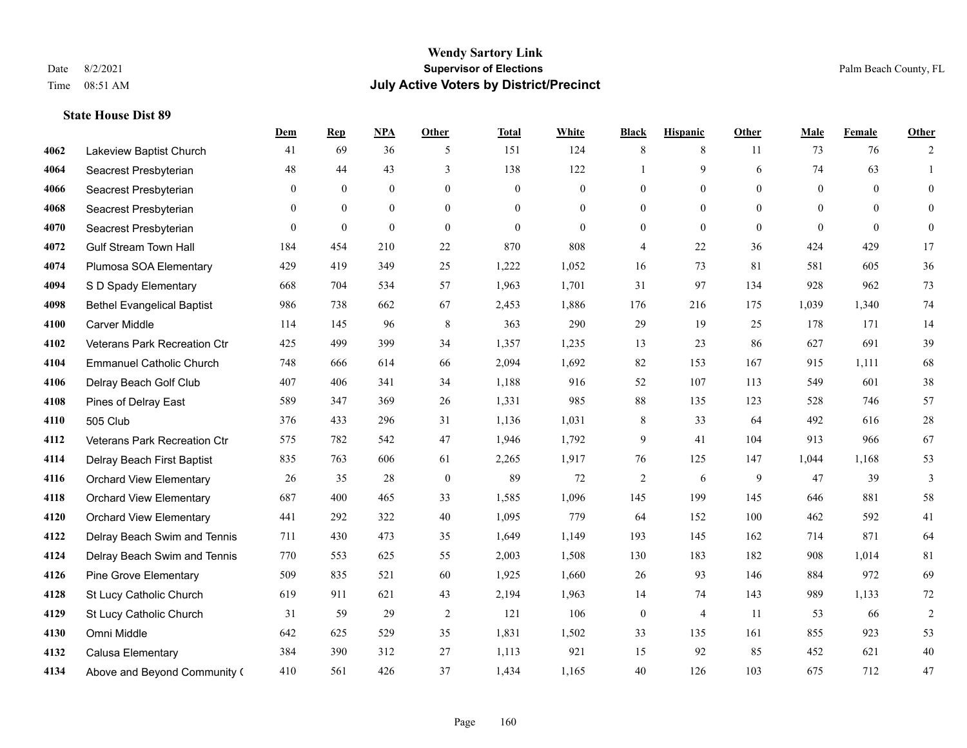#### **Wendy Sartory Link** Date 8/2/2021 **Supervisor of Elections** Palm Beach County, FL Time 08:51 AM **July Active Voters by District/Precinct**

## **Dem Rep NPA Other Total White Black Hispanic Other Male Female Other** Lakeview Baptist Church 41 69 36 5 151 124 8 8 11 73 76 2 Seacrest Presbyterian **48** 44 43 3 138 122 1 9 6 74 63 1 Seacrest Presbyterian 0 0 0 0 0 0 0 0 0 0 0 0 Seacrest Presbyterian 0 0 0 0 0 0 0 0 0 0 0 0 Seacrest Presbyterian 0 0 0 0 0 0 0 0 0 0 0 0 Gulf Stream Town Hall 184 454 210 22 870 808 4 22 36 424 429 17 Plumosa SOA Elementary 429 419 349 25 1,222 1,052 16 73 81 581 605 36 S D Spady Elementary 668 704 534 57 1,963 1,701 31 97 134 928 962 73 Bethel Evangelical Baptist 986 738 662 67 2,453 1,886 176 216 175 1,039 1,340 74 Carver Middle 114 145 96 8 363 290 29 19 25 178 171 14 Veterans Park Recreation Ctr 425 499 399 34 1,357 1,235 13 23 86 627 691 39 Emmanuel Catholic Church 748 666 614 66 2,094 1,692 82 153 167 915 1,111 68 Delray Beach Golf Club 407 406 341 34 1,188 916 52 107 113 549 601 38 Pines of Delray East 589 347 369 26 1,331 985 88 135 123 528 746 57 505 Club 376 433 296 31 1,136 1,031 8 33 64 492 616 28 Veterans Park Recreation Ctr 575 782 542 47 1,946 1,792 9 41 104 913 966 67 Delray Beach First Baptist 835 763 606 61 2,265 1,917 76 125 147 1,044 1,168 53 Orchard View Elementary 26 35 28 0 89 72 2 6 9 47 39 3 Orchard View Elementary 687 400 465 33 1,585 1,096 145 199 145 646 881 58 Orchard View Elementary 441 292 322 40 1,095 779 64 152 100 462 592 41 Delray Beach Swim and Tennis 711 430 473 35 1,649 1,149 193 145 162 714 871 64 Delray Beach Swim and Tennis 770 553 625 55 2,003 1,508 130 183 182 908 1,014 81 Pine Grove Elementary 509 835 521 60 1,925 1,660 26 93 146 884 972 69 St Lucy Catholic Church 619 911 621 43 2,194 1,963 14 74 143 989 1,133 72 St Lucy Catholic Church 31 59 29 2 121 106 0 4 11 53 66 2 Omni Middle 642 625 529 35 1,831 1,502 33 135 161 855 923 53 Calusa Elementary 384 390 312 27 1,113 921 15 92 85 452 621 40 Above and Beyond Community Church 410 561 426 37 1,434 1,165 40 126 103 675 712 47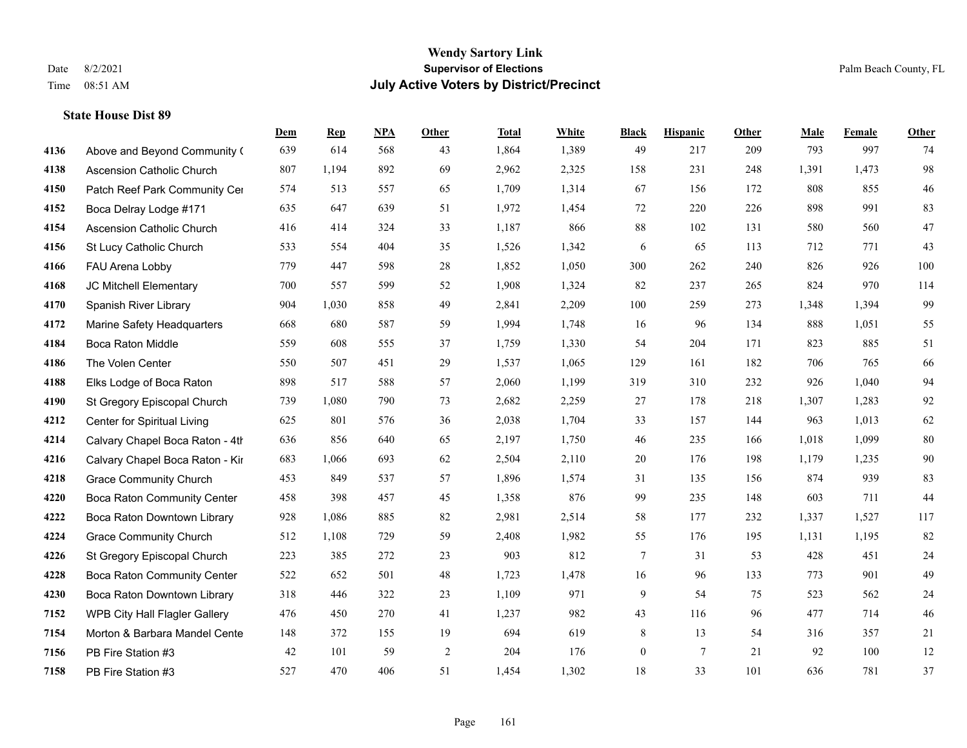|      |                                    | Dem | <b>Rep</b> | NPA | <b>Other</b> | <b>Total</b> | <b>White</b> | <b>Black</b>     | <b>Hispanic</b> | <b>Other</b> | <b>Male</b> | <b>Female</b> | Other  |
|------|------------------------------------|-----|------------|-----|--------------|--------------|--------------|------------------|-----------------|--------------|-------------|---------------|--------|
| 4136 | Above and Beyond Community (       | 639 | 614        | 568 | 43           | 1,864        | 1,389        | 49               | 217             | 209          | 793         | 997           | 74     |
| 4138 | <b>Ascension Catholic Church</b>   | 807 | 1,194      | 892 | 69           | 2,962        | 2,325        | 158              | 231             | 248          | 1,391       | 1,473         | 98     |
| 4150 | Patch Reef Park Community Cer      | 574 | 513        | 557 | 65           | 1,709        | 1,314        | 67               | 156             | 172          | 808         | 855           | $46\,$ |
| 4152 | Boca Delray Lodge #171             | 635 | 647        | 639 | 51           | 1,972        | 1,454        | 72               | 220             | 226          | 898         | 991           | 83     |
| 4154 | <b>Ascension Catholic Church</b>   | 416 | 414        | 324 | 33           | 1,187        | 866          | 88               | 102             | 131          | 580         | 560           | 47     |
| 4156 | St Lucy Catholic Church            | 533 | 554        | 404 | 35           | 1,526        | 1,342        | 6                | 65              | 113          | 712         | 771           | 43     |
| 4166 | FAU Arena Lobby                    | 779 | 447        | 598 | 28           | 1,852        | 1,050        | 300              | 262             | 240          | 826         | 926           | 100    |
| 4168 | JC Mitchell Elementary             | 700 | 557        | 599 | 52           | 1,908        | 1,324        | 82               | 237             | 265          | 824         | 970           | 114    |
| 4170 | Spanish River Library              | 904 | 1,030      | 858 | 49           | 2,841        | 2,209        | 100              | 259             | 273          | 1,348       | 1,394         | 99     |
| 4172 | Marine Safety Headquarters         | 668 | 680        | 587 | 59           | 1,994        | 1,748        | 16               | 96              | 134          | 888         | 1,051         | 55     |
| 4184 | Boca Raton Middle                  | 559 | 608        | 555 | 37           | 1,759        | 1,330        | 54               | 204             | 171          | 823         | 885           | 51     |
| 4186 | The Volen Center                   | 550 | 507        | 451 | 29           | 1,537        | 1,065        | 129              | 161             | 182          | 706         | 765           | 66     |
| 4188 | Elks Lodge of Boca Raton           | 898 | 517        | 588 | 57           | 2,060        | 1,199        | 319              | 310             | 232          | 926         | 1,040         | 94     |
| 4190 | St Gregory Episcopal Church        | 739 | 1,080      | 790 | 73           | 2,682        | 2,259        | 27               | 178             | 218          | 1,307       | 1,283         | 92     |
| 4212 | Center for Spiritual Living        | 625 | 801        | 576 | 36           | 2,038        | 1,704        | 33               | 157             | 144          | 963         | 1,013         | 62     |
| 4214 | Calvary Chapel Boca Raton - 4th    | 636 | 856        | 640 | 65           | 2,197        | 1,750        | 46               | 235             | 166          | 1,018       | 1,099         | 80     |
| 4216 | Calvary Chapel Boca Raton - Kir    | 683 | 1,066      | 693 | 62           | 2,504        | 2,110        | $20\,$           | 176             | 198          | 1,179       | 1,235         | $90\,$ |
| 4218 | <b>Grace Community Church</b>      | 453 | 849        | 537 | 57           | 1,896        | 1,574        | 31               | 135             | 156          | 874         | 939           | 83     |
| 4220 | <b>Boca Raton Community Center</b> | 458 | 398        | 457 | 45           | 1,358        | 876          | 99               | 235             | 148          | 603         | 711           | 44     |
| 4222 | Boca Raton Downtown Library        | 928 | 1,086      | 885 | 82           | 2,981        | 2,514        | 58               | 177             | 232          | 1,337       | 1,527         | 117    |
| 4224 | <b>Grace Community Church</b>      | 512 | 1,108      | 729 | 59           | 2,408        | 1,982        | 55               | 176             | 195          | 1,131       | 1,195         | 82     |
| 4226 | St Gregory Episcopal Church        | 223 | 385        | 272 | 23           | 903          | 812          | 7                | 31              | 53           | 428         | 451           | 24     |
| 4228 | Boca Raton Community Center        | 522 | 652        | 501 | 48           | 1,723        | 1,478        | 16               | 96              | 133          | 773         | 901           | 49     |
| 4230 | Boca Raton Downtown Library        | 318 | 446        | 322 | 23           | 1,109        | 971          | 9                | 54              | 75           | 523         | 562           | 24     |
| 7152 | WPB City Hall Flagler Gallery      | 476 | 450        | 270 | 41           | 1,237        | 982          | 43               | 116             | 96           | 477         | 714           | $46\,$ |
| 7154 | Morton & Barbara Mandel Cente      | 148 | 372        | 155 | 19           | 694          | 619          | 8                | 13              | 54           | 316         | 357           | 21     |
| 7156 | PB Fire Station #3                 | 42  | 101        | 59  | $\sqrt{2}$   | 204          | 176          | $\boldsymbol{0}$ | $7\phantom{.0}$ | 21           | 92          | 100           | 12     |
| 7158 | PB Fire Station #3                 | 527 | 470        | 406 | 51           | 1,454        | 1,302        | 18               | 33              | 101          | 636         | 781           | 37     |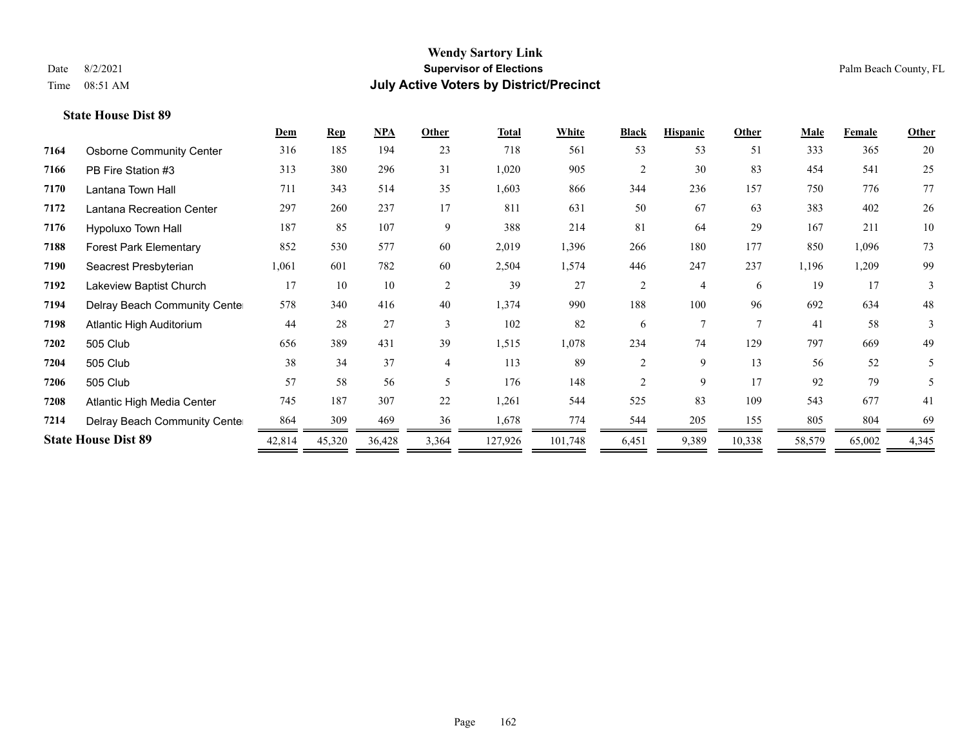|      |                                 | Dem    | <b>Rep</b> | NPA    | Other                    | <b>Total</b> | White   | <b>Black</b>                | <b>Hispanic</b> | Other  | <b>Male</b> | Female | <b>Other</b> |
|------|---------------------------------|--------|------------|--------|--------------------------|--------------|---------|-----------------------------|-----------------|--------|-------------|--------|--------------|
| 7164 | <b>Osborne Community Center</b> | 316    | 185        | 194    | 23                       | 718          | 561     | 53                          | 53              | 51     | 333         | 365    | 20           |
| 7166 | PB Fire Station #3              | 313    | 380        | 296    | 31                       | 1,020        | 905     | $\overline{2}$              | 30              | 83     | 454         | 541    | 25           |
| 7170 | Lantana Town Hall               | 711    | 343        | 514    | 35                       | 1,603        | 866     | 344                         | 236             | 157    | 750         | 776    | 77           |
| 7172 | Lantana Recreation Center       | 297    | 260        | 237    | 17                       | 811          | 631     | 50                          | 67              | 63     | 383         | 402    | 26           |
| 7176 | Hypoluxo Town Hall              | 187    | 85         | 107    | 9                        | 388          | 214     | 81                          | 64              | 29     | 167         | 211    | 10           |
| 7188 | <b>Forest Park Elementary</b>   | 852    | 530        | 577    | 60                       | 2,019        | 1,396   | 266                         | 180             | 177    | 850         | 1,096  | 73           |
| 7190 | Seacrest Presbyterian           | 1,061  | 601        | 782    | 60                       | 2,504        | 1,574   | 446                         | 247             | 237    | 1,196       | 1,209  | 99           |
| 7192 | Lakeview Baptist Church         | 17     | 10         | 10     | $\overline{2}$           | 39           | 27      | 2                           | $\overline{4}$  | 6      | 19          | 17     | 3            |
| 7194 | Delray Beach Community Cente    | 578    | 340        | 416    | 40                       | 1,374        | 990     | 188                         | 100             | 96     | 692         | 634    | 48           |
| 7198 | Atlantic High Auditorium        | 44     | 28         | 27     | $\mathcal{E}$            | 102          | 82      | 6                           | $\mathbf{r}$    | $\tau$ | 41          | 58     | 3            |
| 7202 | 505 Club                        | 656    | 389        | 431    | 39                       | 1,515        | 1,078   | 234                         | 74              | 129    | 797         | 669    | 49           |
| 7204 | 505 Club                        | 38     | 34         | 37     | $\overline{4}$           | 113          | 89      | 2                           | 9               | 13     | 56          | 52     | 5            |
| 7206 | 505 Club                        | 57     | 58         | 56     | $\overline{\phantom{1}}$ | 176          | 148     | $\mathcal{D}_{\mathcal{L}}$ | 9               | 17     | 92          | 79     | 5            |
| 7208 | Atlantic High Media Center      | 745    | 187        | 307    | 22                       | 1,261        | 544     | 525                         | 83              | 109    | 543         | 677    | 41           |
| 7214 | Delray Beach Community Cente    | 864    | 309        | 469    | 36                       | 1,678        | 774     | 544                         | 205             | 155    | 805         | 804    | 69           |
|      | <b>State House Dist 89</b>      | 42,814 | 45,320     | 36,428 | 3,364                    | 127,926      | 101,748 | 6,451                       | 9,389           | 10,338 | 58,579      | 65,002 | 4,345        |
|      |                                 |        |            |        |                          |              |         |                             |                 |        |             |        |              |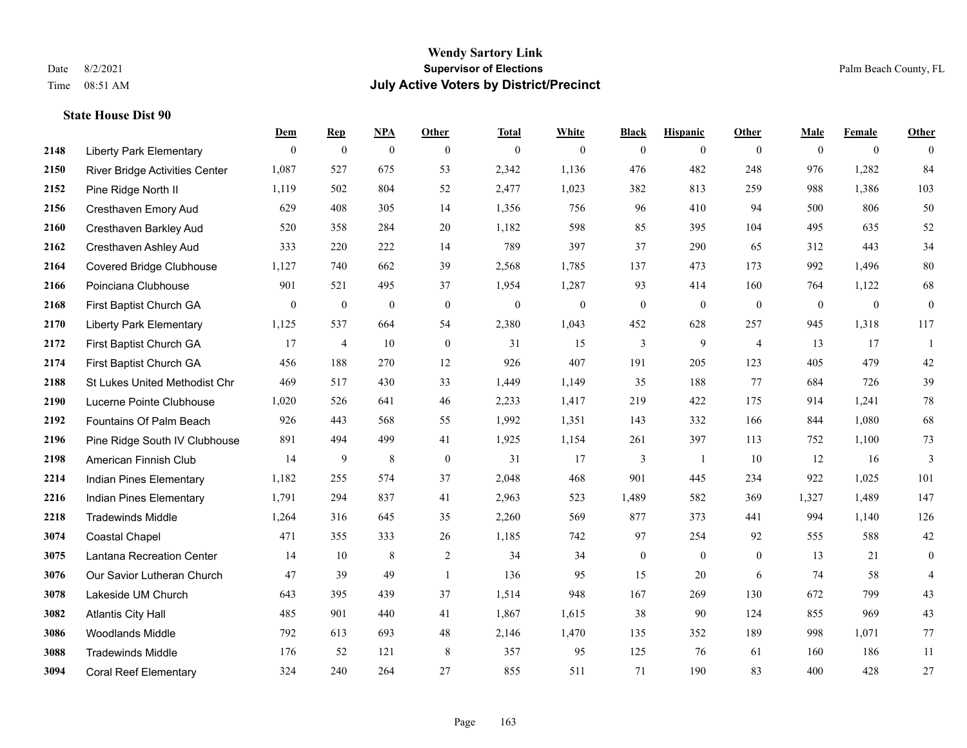|      |                                       | Dem          | <b>Rep</b>       | NPA              | <b>Other</b>   | <b>Total</b> | <b>White</b>     | <b>Black</b>     | <b>Hispanic</b> | Other          | <b>Male</b>  | <b>Female</b>  | <b>Other</b>   |
|------|---------------------------------------|--------------|------------------|------------------|----------------|--------------|------------------|------------------|-----------------|----------------|--------------|----------------|----------------|
| 2148 | <b>Liberty Park Elementary</b>        | $\mathbf{0}$ | $\boldsymbol{0}$ | $\boldsymbol{0}$ | $\theta$       | $\mathbf{0}$ | $\overline{0}$   | $\overline{0}$   | $\overline{0}$  | $\theta$       | $\theta$     | $\overline{0}$ | $\theta$       |
| 2150 | <b>River Bridge Activities Center</b> | 1,087        | 527              | 675              | 53             | 2,342        | 1,136            | 476              | 482             | 248            | 976          | 1,282          | 84             |
| 2152 | Pine Ridge North II                   | 1,119        | 502              | 804              | 52             | 2,477        | 1,023            | 382              | 813             | 259            | 988          | 1,386          | 103            |
| 2156 | Cresthaven Emory Aud                  | 629          | 408              | 305              | 14             | 1,356        | 756              | 96               | 410             | 94             | 500          | 806            | 50             |
| 2160 | Cresthaven Barkley Aud                | 520          | 358              | 284              | 20             | 1,182        | 598              | 85               | 395             | 104            | 495          | 635            | 52             |
| 2162 | Cresthaven Ashley Aud                 | 333          | 220              | 222              | 14             | 789          | 397              | 37               | 290             | 65             | 312          | 443            | 34             |
| 2164 | Covered Bridge Clubhouse              | 1,127        | 740              | 662              | 39             | 2,568        | 1,785            | 137              | 473             | 173            | 992          | 1,496          | $80\,$         |
| 2166 | Poinciana Clubhouse                   | 901          | 521              | 495              | 37             | 1,954        | 1,287            | 93               | 414             | 160            | 764          | 1,122          | 68             |
| 2168 | First Baptist Church GA               | $\mathbf{0}$ | $\boldsymbol{0}$ | $\mathbf{0}$     | $\mathbf{0}$   | $\mathbf{0}$ | $\boldsymbol{0}$ | $\boldsymbol{0}$ | $\overline{0}$  | $\mathbf{0}$   | $\mathbf{0}$ | $\mathbf{0}$   | $\mathbf{0}$   |
| 2170 | <b>Liberty Park Elementary</b>        | 1,125        | 537              | 664              | 54             | 2,380        | 1,043            | 452              | 628             | 257            | 945          | 1,318          | 117            |
| 2172 | First Baptist Church GA               | 17           | $\overline{4}$   | 10               | $\mathbf{0}$   | 31           | 15               | 3                | 9               | $\overline{4}$ | 13           | 17             | $\overline{1}$ |
| 2174 | First Baptist Church GA               | 456          | 188              | 270              | 12             | 926          | 407              | 191              | 205             | 123            | 405          | 479            | $42\,$         |
| 2188 | St Lukes United Methodist Chr         | 469          | 517              | 430              | 33             | 1,449        | 1,149            | 35               | 188             | 77             | 684          | 726            | 39             |
| 2190 | Lucerne Pointe Clubhouse              | 1,020        | 526              | 641              | 46             | 2,233        | 1,417            | 219              | 422             | 175            | 914          | 1,241          | $78\,$         |
| 2192 | Fountains Of Palm Beach               | 926          | 443              | 568              | 55             | 1,992        | 1,351            | 143              | 332             | 166            | 844          | 1,080          | 68             |
| 2196 | Pine Ridge South IV Clubhouse         | 891          | 494              | 499              | 41             | 1,925        | 1,154            | 261              | 397             | 113            | 752          | 1,100          | 73             |
| 2198 | American Finnish Club                 | 14           | 9                | $\,$ 8 $\,$      | $\mathbf{0}$   | 31           | 17               | 3                | -1              | 10             | 12           | 16             | 3              |
| 2214 | Indian Pines Elementary               | 1,182        | 255              | 574              | 37             | 2,048        | 468              | 901              | 445             | 234            | 922          | 1,025          | 101            |
| 2216 | Indian Pines Elementary               | 1,791        | 294              | 837              | 41             | 2,963        | 523              | 1,489            | 582             | 369            | 1,327        | 1,489          | 147            |
| 2218 | <b>Tradewinds Middle</b>              | 1,264        | 316              | 645              | 35             | 2,260        | 569              | 877              | 373             | 441            | 994          | 1,140          | 126            |
| 3074 | <b>Coastal Chapel</b>                 | 471          | 355              | 333              | 26             | 1,185        | 742              | 97               | 254             | 92             | 555          | 588            | $42\,$         |
| 3075 | Lantana Recreation Center             | 14           | 10               | $\,$ 8 $\,$      | $\overline{2}$ | 34           | 34               | $\boldsymbol{0}$ | $\mathbf{0}$    | $\mathbf{0}$   | 13           | 21             | $\overline{0}$ |
| 3076 | Our Savior Lutheran Church            | 47           | 39               | 49               | $\overline{1}$ | 136          | 95               | 15               | 20              | 6              | 74           | 58             | $\overline{4}$ |
| 3078 | Lakeside UM Church                    | 643          | 395              | 439              | 37             | 1,514        | 948              | 167              | 269             | 130            | 672          | 799            | 43             |
| 3082 | <b>Atlantis City Hall</b>             | 485          | 901              | 440              | 41             | 1,867        | 1,615            | 38               | 90              | 124            | 855          | 969            | 43             |
| 3086 | Woodlands Middle                      | 792          | 613              | 693              | 48             | 2,146        | 1,470            | 135              | 352             | 189            | 998          | 1,071          | $77\,$         |
| 3088 | <b>Tradewinds Middle</b>              | 176          | 52               | 121              | 8              | 357          | 95               | 125              | 76              | 61             | 160          | 186            | 11             |
| 3094 | <b>Coral Reef Elementary</b>          | 324          | 240              | 264              | 27             | 855          | 511              | 71               | 190             | 83             | 400          | 428            | 27             |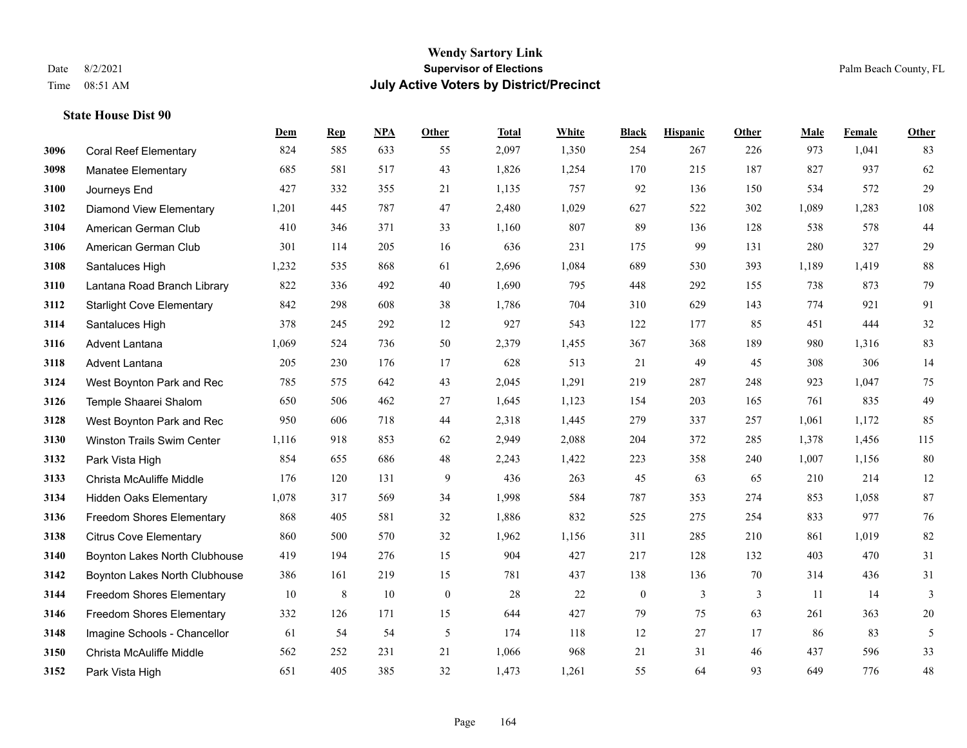#### **Wendy Sartory Link** Date 8/2/2021 **Supervisor of Elections** Palm Beach County, FL Time 08:51 AM **July Active Voters by District/Precinct**

## **Dem Rep NPA Other Total White Black Hispanic Other Male Female Other** Coral Reef Elementary 824 585 633 55 2,097 1,350 254 267 226 973 1,041 83 Manatee Elementary 685 581 517 43 1,826 1,254 170 215 187 827 937 62 Journeys End 427 332 355 21 1,135 757 92 136 150 534 572 29 Diamond View Elementary 1,201 445 787 47 2,480 1,029 627 522 302 1,089 1,283 108 American German Club 410 346 371 33 1,160 807 89 136 128 538 578 44 American German Club 301 114 205 16 636 231 175 99 131 280 327 29 Santaluces High 1,232 535 868 61 2,696 1,084 689 530 393 1,189 1,419 88 Lantana Road Branch Library 822 336 492 40 1,690 795 448 292 155 738 873 79 Starlight Cove Elementary 842 298 608 38 1,786 704 310 629 143 774 921 91 Santaluces High 378 245 292 12 927 543 122 177 85 451 444 32 Advent Lantana 1,069 524 736 50 2,379 1,455 367 368 189 980 1,316 83 Advent Lantana 205 230 176 17 628 513 21 49 45 308 306 14 West Boynton Park and Rec 785 575 642 43 2,045 1,291 219 287 248 923 1,047 75 Temple Shaarei Shalom 650 506 462 27 1,645 1,123 154 203 165 761 835 49 West Boynton Park and Rec 950 606 718 44 2,318 1,445 279 337 257 1,061 1,172 85 Winston Trails Swim Center 1,116 918 853 62 2,949 2,088 204 372 285 1,378 1,456 115 Park Vista High 854 655 686 48 2,243 1,422 223 358 240 1,007 1,156 80 Christa McAuliffe Middle 176 120 131 9 436 263 45 63 65 210 214 12 Hidden Oaks Elementary 1,078 317 569 34 1,998 584 787 353 274 853 1,058 87 Freedom Shores Elementary 868 405 581 32 1,886 832 525 275 254 833 977 76 Citrus Cove Elementary 860 500 570 32 1,962 1,156 311 285 210 861 1,019 82 Boynton Lakes North Clubhouse 419 194 276 15 904 427 217 128 132 403 470 31 Boynton Lakes North Clubhouse 386 161 219 15 781 437 138 136 70 314 436 31 Freedom Shores Elementary 10 8 10 0 28 22 0 3 3 11 14 3 Freedom Shores Elementary 332 126 171 15 644 427 79 75 63 261 363 20 Imagine Schools - Chancellor 61 54 54 5 174 118 12 27 17 86 83 5 Christa McAuliffe Middle 562 252 231 21 1,066 968 21 31 46 437 596 33 Park Vista High 651 405 385 32 1,473 1,261 55 64 93 649 776 48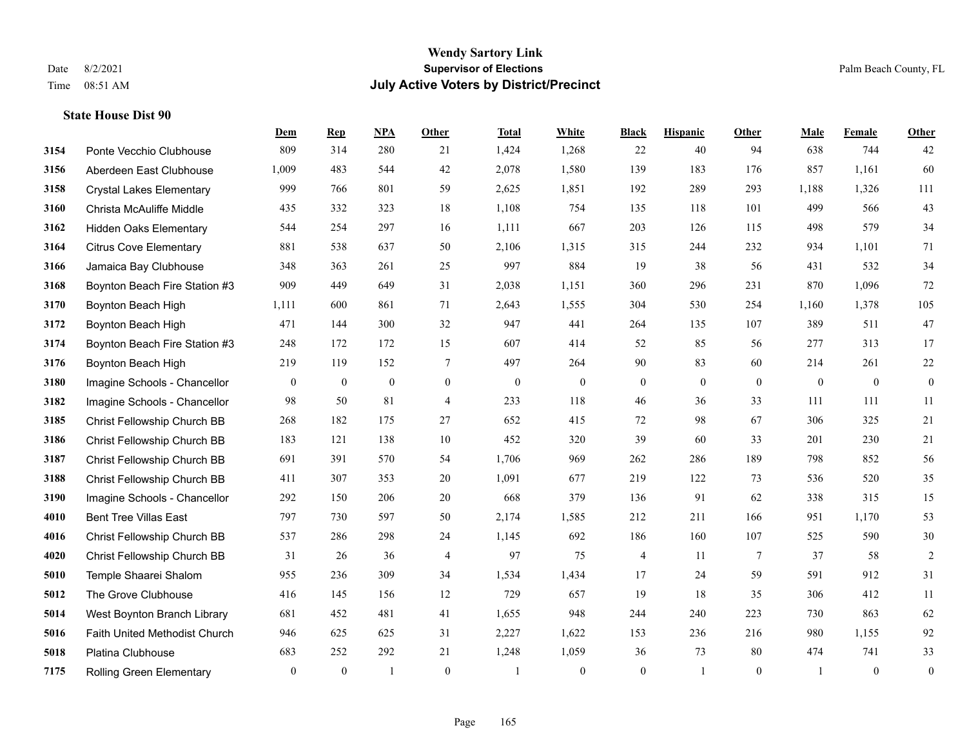#### **Wendy Sartory Link** Date 8/2/2021 **Supervisor of Elections** Palm Beach County, FL Time 08:51 AM **July Active Voters by District/Precinct**

## **Dem Rep NPA Other Total White Black Hispanic Other Male Female Other** Ponte Vecchio Clubhouse 809 314 280 21 1,424 1,268 22 40 94 638 744 42 Aberdeen East Clubhouse 1,009 483 544 42 2,078 1,580 139 183 176 857 1,161 60 Crystal Lakes Elementary 999 766 801 59 2,625 1,851 192 289 293 1,188 1,326 111 Christa McAuliffe Middle 435 332 323 18 1,108 754 135 118 101 499 566 43 Hidden Oaks Elementary 544 254 297 16 1,111 667 203 126 115 498 579 34 Citrus Cove Elementary 881 538 637 50 2,106 1,315 315 244 232 934 1,101 71 Jamaica Bay Clubhouse 348 363 261 25 997 884 19 38 56 431 532 34 Boynton Beach Fire Station #3 909 449 649 31 2,038 1,151 360 296 231 870 1,096 72 Boynton Beach High 1,111 600 861 71 2,643 1,555 304 530 254 1,160 1,378 105 Boynton Beach High 471 144 300 32 947 441 264 135 107 389 511 47 Boynton Beach Fire Station #3 248 172 172 15 607 414 52 85 56 277 313 17 Boynton Beach High 219 119 152 7 497 264 90 83 60 214 261 22 Imagine Schools - Chancellor 0 0 0 0 0 0 0 0 0 0 0 0 Imagine Schools - Chancellor 98 50 81 4 233 118 46 36 33 111 111 11 Christ Fellowship Church BB 268 182 175 27 652 415 72 98 67 306 325 21 Christ Fellowship Church BB 183 121 138 10 452 320 39 60 33 201 230 21 Christ Fellowship Church BB 691 391 570 54 1,706 969 262 286 189 798 852 56 Christ Fellowship Church BB 411 307 353 20 1,091 677 219 122 73 536 520 35 Imagine Schools - Chancellor 292 150 206 20 668 379 136 91 62 338 315 15 Bent Tree Villas East 797 730 597 50 2,174 1,585 212 211 166 951 1,170 53 Christ Fellowship Church BB 537 286 298 24 1,145 692 186 160 107 525 590 30 Christ Fellowship Church BB 31 26 36 4 97 75 4 11 7 37 58 2 Temple Shaarei Shalom 955 236 309 34 1,534 1,434 17 24 59 591 912 31 The Grove Clubhouse 416 145 156 12 729 657 19 18 35 306 412 11 West Boynton Branch Library 681 452 481 41 1,655 948 244 240 223 730 863 62 Faith United Methodist Church 946 625 625 31 2,227 1,622 153 236 216 980 1,155 92 Platina Clubhouse 683 252 292 21 1,248 1,059 36 73 80 474 741 33 Rolling Green Elementary 0 0 1 0 1 0 0 1 0 1 0 0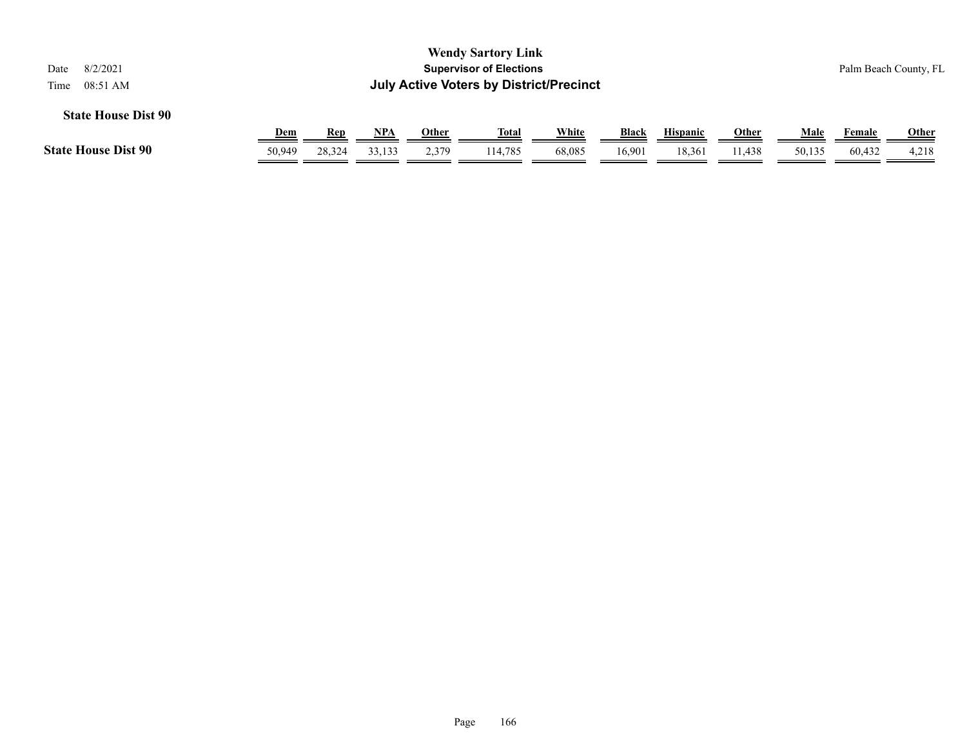|                                                                    |                                                         |        |        |              | <b>Wendy Sartory Link</b> |              |        |                 |              |        |        |              |  |  |
|--------------------------------------------------------------------|---------------------------------------------------------|--------|--------|--------------|---------------------------|--------------|--------|-----------------|--------------|--------|--------|--------------|--|--|
| 8/2/2021<br>Date                                                   | <b>Supervisor of Elections</b><br>Palm Beach County, FL |        |        |              |                           |              |        |                 |              |        |        |              |  |  |
| <b>July Active Voters by District/Precinct</b><br>08:51 AM<br>Time |                                                         |        |        |              |                           |              |        |                 |              |        |        |              |  |  |
| <b>State House Dist 90</b>                                         |                                                         |        |        |              |                           |              |        |                 |              |        |        |              |  |  |
|                                                                    | <b>Dem</b>                                              | Rep    | NPA    | <b>Other</b> | <u>Total</u>              | <u>White</u> | Black  | <b>Hispanic</b> | <b>Other</b> | Male   | Female | <u>Other</u> |  |  |
| <b>State House Dist 90</b>                                         | 50.949                                                  | 28,324 | 33,133 | 2,379        | 114.785                   | 68,085       | 16.901 | 18,361          | 11.438       | 50,135 | 60,432 | 4,218        |  |  |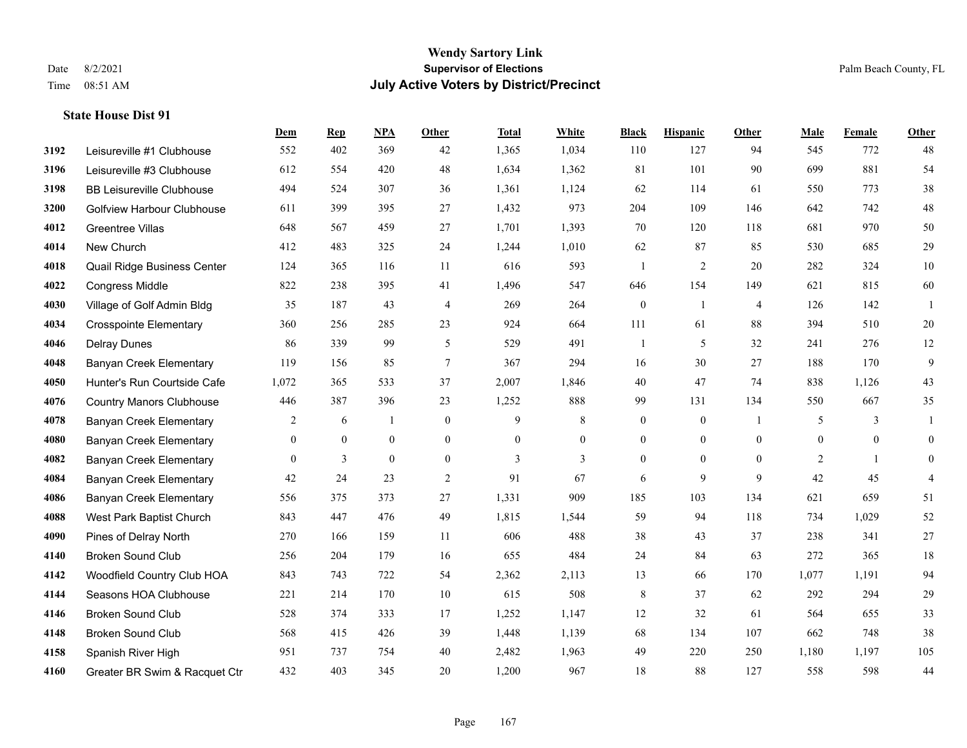#### **Wendy Sartory Link** Date 8/2/2021 **Supervisor of Elections** Palm Beach County, FL Time 08:51 AM **July Active Voters by District/Precinct**

## **Dem Rep NPA Other Total White Black Hispanic Other Male Female Other** Leisureville #1 Clubhouse 552 402 369 42 1,365 1,034 110 127 94 545 772 48 Leisureville #3 Clubhouse 612 554 420 48 1,634 1,362 81 101 90 699 881 54 BB Leisureville Clubhouse 494 524 307 36 1,361 1,124 62 114 61 550 773 38 Golfview Harbour Clubhouse 611 399 395 27 1,432 973 204 109 146 642 742 48 Greentree Villas 648 567 459 27 1,701 1,393 70 120 118 681 970 50 New Church 412 483 325 24 1,244 1,010 62 87 85 530 685 29 Quail Ridge Business Center 124 365 116 11 616 593 1 2 20 282 324 10 Congress Middle 822 238 395 41 1,496 547 646 154 149 621 815 60 Village of Golf Admin Bldg 35 187 43 4 269 264 0 1 4 126 142 1 Crosspointe Elementary 360 256 285 23 924 664 111 61 88 394 510 20 Delray Dunes 86 339 99 5 529 491 1 5 32 241 276 12 Banyan Creek Elementary 119 156 85 7 367 294 16 30 27 188 170 9 Hunter's Run Courtside Cafe 1,072 365 533 37 2,007 1,846 40 47 74 838 1,126 43 Country Manors Clubhouse 446 387 396 23 1,252 888 99 131 134 550 667 35 Banyan Creek Elementary 2 6 1 0 9 8 0 0 1 5 3 1 Banyan Creek Elementary 0 0 0 0 0 0 0 0 0 0 0 0 **4082 Banyan Creek Elementary 0 3 0 0 3 3 3 0 0 0 2 1 0**  Banyan Creek Elementary 42 24 23 2 91 67 6 9 9 42 45 4 Banyan Creek Elementary 556 375 373 27 1,331 909 185 103 134 621 659 51 West Park Baptist Church 843 447 476 49 1,815 1,544 59 94 118 734 1,029 52 Pines of Delray North 270 166 159 11 606 488 38 43 37 238 341 27 Broken Sound Club 256 204 179 16 655 484 24 84 63 272 365 18 Woodfield Country Club HOA 843 743 722 54 2,362 2,113 13 66 170 1,077 1,191 94 Seasons HOA Clubhouse 221 214 170 10 615 508 8 37 62 292 294 29 Broken Sound Club 528 374 333 17 1,252 1,147 12 32 61 564 655 33 Broken Sound Club 568 415 426 39 1,448 1,139 68 134 107 662 748 38 Spanish River High 951 737 754 40 2,482 1,963 49 220 250 1,180 1,197 105 Greater BR Swim & Racquet Ctr 432 403 345 20 1,200 967 18 88 127 558 598 44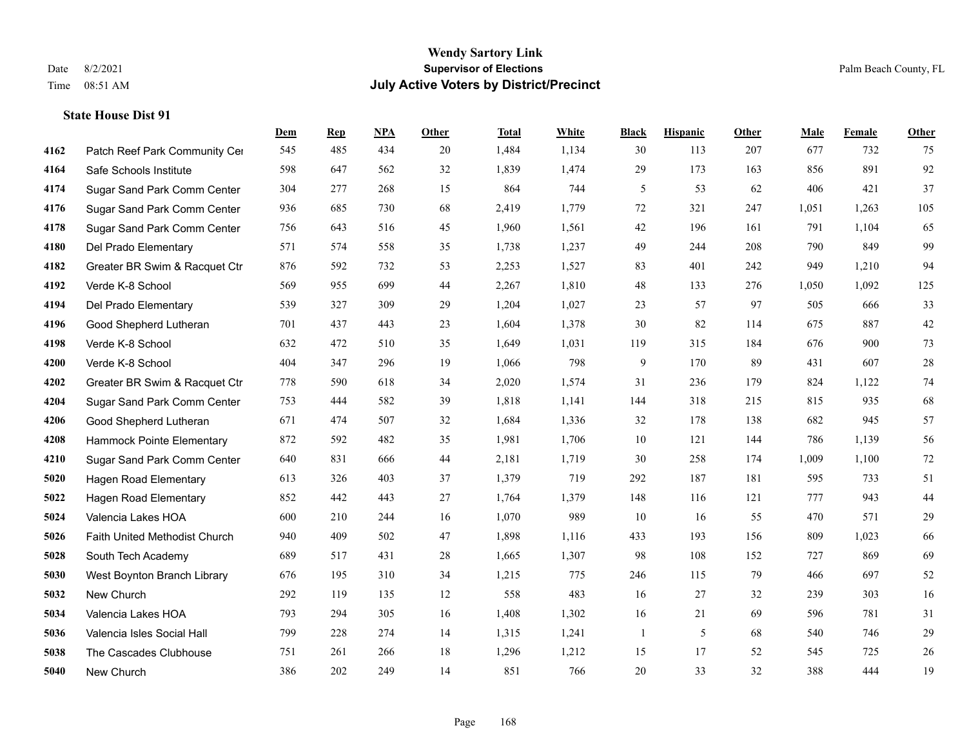|      |                               | Dem | <b>Rep</b> | NPA | <b>Other</b> | <b>Total</b> | White | <b>Black</b> | <b>Hispanic</b> | Other | <b>Male</b> | Female | <b>Other</b> |
|------|-------------------------------|-----|------------|-----|--------------|--------------|-------|--------------|-----------------|-------|-------------|--------|--------------|
| 4162 | Patch Reef Park Community Cer | 545 | 485        | 434 | 20           | 1,484        | 1,134 | 30           | 113             | 207   | 677         | 732    | 75           |
| 4164 | Safe Schools Institute        | 598 | 647        | 562 | 32           | 1,839        | 1,474 | 29           | 173             | 163   | 856         | 891    | 92           |
| 4174 | Sugar Sand Park Comm Center   | 304 | 277        | 268 | 15           | 864          | 744   | 5            | 53              | 62    | 406         | 421    | 37           |
| 4176 | Sugar Sand Park Comm Center   | 936 | 685        | 730 | 68           | 2,419        | 1,779 | 72           | 321             | 247   | 1,051       | 1,263  | 105          |
| 4178 | Sugar Sand Park Comm Center   | 756 | 643        | 516 | 45           | 1,960        | 1,561 | 42           | 196             | 161   | 791         | 1,104  | 65           |
| 4180 | Del Prado Elementary          | 571 | 574        | 558 | 35           | 1,738        | 1,237 | 49           | 244             | 208   | 790         | 849    | 99           |
| 4182 | Greater BR Swim & Racquet Ctr | 876 | 592        | 732 | 53           | 2,253        | 1,527 | 83           | 401             | 242   | 949         | 1,210  | 94           |
| 4192 | Verde K-8 School              | 569 | 955        | 699 | 44           | 2,267        | 1,810 | 48           | 133             | 276   | 1,050       | 1,092  | 125          |
| 4194 | Del Prado Elementary          | 539 | 327        | 309 | 29           | 1,204        | 1,027 | 23           | 57              | 97    | 505         | 666    | 33           |
| 4196 | Good Shepherd Lutheran        | 701 | 437        | 443 | 23           | 1,604        | 1,378 | 30           | 82              | 114   | 675         | 887    | $42\,$       |
| 4198 | Verde K-8 School              | 632 | 472        | 510 | 35           | 1,649        | 1,031 | 119          | 315             | 184   | 676         | 900    | 73           |
| 4200 | Verde K-8 School              | 404 | 347        | 296 | 19           | 1,066        | 798   | 9            | 170             | 89    | 431         | 607    | $28\,$       |
| 4202 | Greater BR Swim & Racquet Ctr | 778 | 590        | 618 | 34           | 2,020        | 1,574 | 31           | 236             | 179   | 824         | 1,122  | $74\,$       |
| 4204 | Sugar Sand Park Comm Center   | 753 | 444        | 582 | 39           | 1,818        | 1,141 | 144          | 318             | 215   | 815         | 935    | 68           |
| 4206 | Good Shepherd Lutheran        | 671 | 474        | 507 | 32           | 1,684        | 1,336 | 32           | 178             | 138   | 682         | 945    | 57           |
| 4208 | Hammock Pointe Elementary     | 872 | 592        | 482 | 35           | 1,981        | 1,706 | 10           | 121             | 144   | 786         | 1,139  | 56           |
| 4210 | Sugar Sand Park Comm Center   | 640 | 831        | 666 | 44           | 2,181        | 1,719 | 30           | 258             | 174   | 1,009       | 1,100  | $72\,$       |
| 5020 | Hagen Road Elementary         | 613 | 326        | 403 | 37           | 1,379        | 719   | 292          | 187             | 181   | 595         | 733    | 51           |
| 5022 | Hagen Road Elementary         | 852 | 442        | 443 | 27           | 1,764        | 1,379 | 148          | 116             | 121   | 777         | 943    | $44\,$       |
| 5024 | Valencia Lakes HOA            | 600 | 210        | 244 | 16           | 1,070        | 989   | 10           | 16              | 55    | 470         | 571    | 29           |
| 5026 | Faith United Methodist Church | 940 | 409        | 502 | 47           | 1,898        | 1,116 | 433          | 193             | 156   | 809         | 1.023  | 66           |
| 5028 | South Tech Academy            | 689 | 517        | 431 | 28           | 1,665        | 1,307 | 98           | 108             | 152   | 727         | 869    | 69           |
| 5030 | West Boynton Branch Library   | 676 | 195        | 310 | 34           | 1,215        | 775   | 246          | 115             | 79    | 466         | 697    | 52           |
| 5032 | New Church                    | 292 | 119        | 135 | 12           | 558          | 483   | 16           | 27              | 32    | 239         | 303    | 16           |
| 5034 | Valencia Lakes HOA            | 793 | 294        | 305 | 16           | 1,408        | 1,302 | 16           | 21              | 69    | 596         | 781    | 31           |
| 5036 | Valencia Isles Social Hall    | 799 | 228        | 274 | 14           | 1,315        | 1,241 | 1            | 5               | 68    | 540         | 746    | $29\,$       |
| 5038 | The Cascades Clubhouse        | 751 | 261        | 266 | 18           | 1,296        | 1,212 | 15           | 17              | 52    | 545         | 725    | $26\,$       |
| 5040 | New Church                    | 386 | 202        | 249 | 14           | 851          | 766   | 20           | 33              | 32    | 388         | 444    | 19           |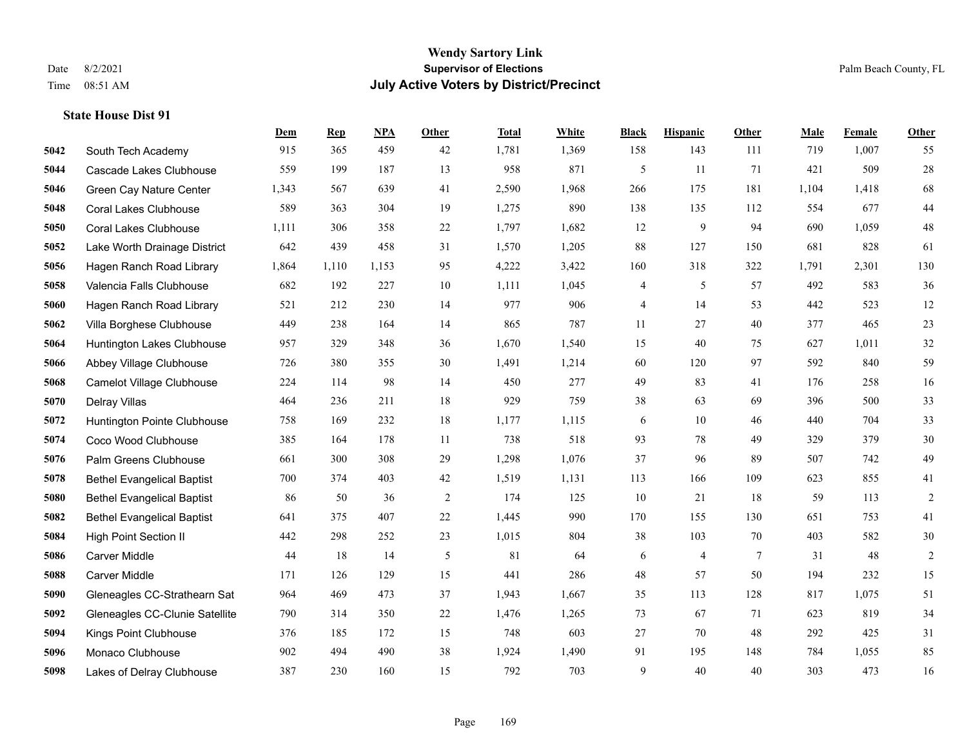#### **Wendy Sartory Link** Date 8/2/2021 **Supervisor of Elections** Palm Beach County, FL Time 08:51 AM **July Active Voters by District/Precinct**

**Dem Rep NPA Other Total White Black Hispanic Other Male Female Other**

## South Tech Academy 915 365 459 42 1,781 1,369 158 143 111 719 1,007 55 Cascade Lakes Clubhouse 559 199 187 13 958 871 5 11 71 421 509 28 Green Cay Nature Center 1,343 567 639 41 2,590 1,968 266 175 181 1,104 1,418 68 Coral Lakes Clubhouse 589 363 304 19 1,275 890 138 135 112 554 677 44 Coral Lakes Clubhouse 1,111 306 358 22 1,797 1,682 12 9 94 690 1,059 48 Lake Worth Drainage District 642 439 458 31 1,570 1,205 88 127 150 681 828 61 Hagen Ranch Road Library 1,864 1,110 1,153 95 4,222 3,422 160 318 322 1,791 2,301 130 Valencia Falls Clubhouse 682 192 227 10 1,111 1,045 4 5 57 492 583 36 Hagen Ranch Road Library 521 212 230 14 977 906 4 14 53 442 523 12 Villa Borghese Clubhouse 449 238 164 14 865 787 11 27 40 377 465 23 Huntington Lakes Clubhouse 957 329 348 36 1,670 1,540 15 40 75 627 1,011 32 Abbey Village Clubhouse 726 380 355 30 1,491 1,214 60 120 97 592 840 59 Camelot Village Clubhouse 224 114 98 14 450 277 49 83 41 176 258 16 Delray Villas 464 236 211 18 929 759 38 63 69 396 500 33 Huntington Pointe Clubhouse 758 169 232 18 1,177 1,115 6 10 46 440 704 33 Coco Wood Clubhouse 385 164 178 11 738 518 93 78 49 329 379 30 Palm Greens Clubhouse 661 300 308 29 1,298 1,076 37 96 89 507 742 49 Bethel Evangelical Baptist 700 374 403 42 1,519 1,131 113 166 109 623 855 41 Bethel Evangelical Baptist 86 50 36 2 174 125 10 21 18 59 113 2 Bethel Evangelical Baptist 641 375 407 22 1,445 990 170 155 130 651 753 41 High Point Section II 442 298 252 23 1,015 804 38 103 70 403 582 30 Carver Middle 44 18 14 5 81 64 6 4 7 31 48 2 Carver Middle 171 126 129 15 441 286 48 57 50 194 232 15 Gleneagles CC-Strathearn Sat 964 469 473 37 1,943 1,667 35 113 128 817 1,075 51 Gleneagles CC-Clunie Satellite 790 314 350 22 1,476 1,265 73 67 71 623 819 34

 Kings Point Clubhouse 376 185 172 15 748 603 27 70 48 292 425 31 Monaco Clubhouse 902 494 490 38 1,924 1,490 91 195 148 784 1,055 85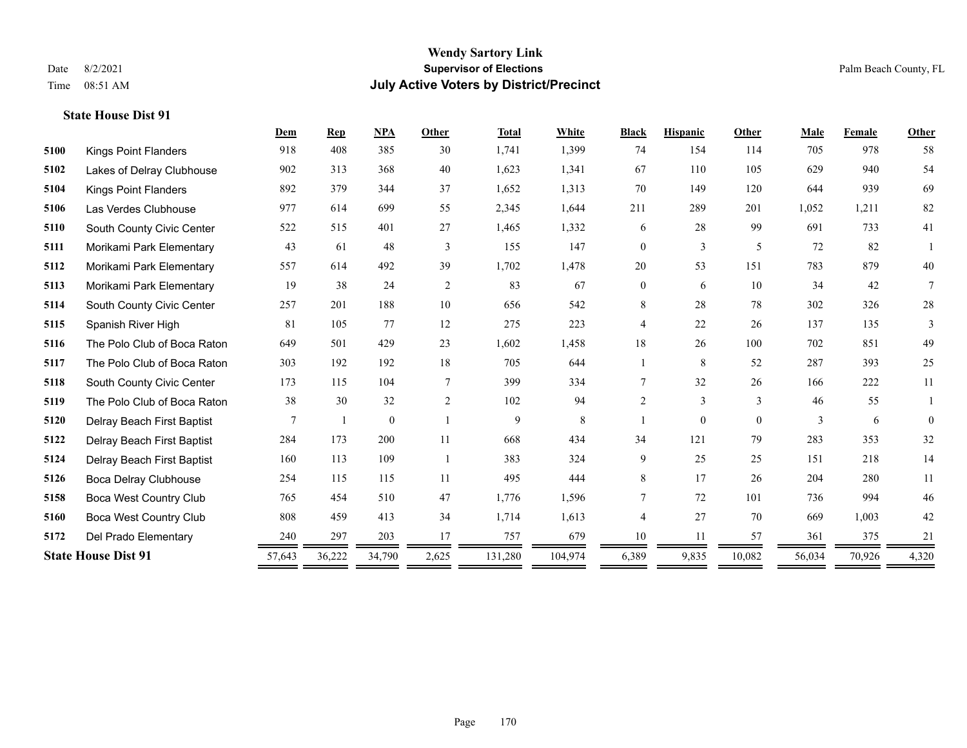|      |                               | Dem    | <b>Rep</b> | <b>NPA</b>   | Other  | <b>Total</b> | <b>White</b> | <b>Black</b>   | <b>Hispanic</b> | Other    | Male   | Female | Other    |
|------|-------------------------------|--------|------------|--------------|--------|--------------|--------------|----------------|-----------------|----------|--------|--------|----------|
| 5100 | <b>Kings Point Flanders</b>   | 918    | 408        | 385          | 30     | 1,741        | 1,399        | 74             | 154             | 114      | 705    | 978    | 58       |
| 5102 | Lakes of Delray Clubhouse     | 902    | 313        | 368          | 40     | 1,623        | 1,341        | 67             | 110             | 105      | 629    | 940    | 54       |
| 5104 | <b>Kings Point Flanders</b>   | 892    | 379        | 344          | 37     | 1,652        | 1,313        | 70             | 149             | 120      | 644    | 939    | 69       |
| 5106 | Las Verdes Clubhouse          | 977    | 614        | 699          | 55     | 2,345        | 1,644        | 211            | 289             | 201      | 1,052  | 1,211  | 82       |
| 5110 | South County Civic Center     | 522    | 515        | 401          | 27     | 1,465        | 1,332        | 6              | 28              | 99       | 691    | 733    | 41       |
| 5111 | Morikami Park Elementary      | 43     | 61         | 48           | 3      | 155          | 147          | $\overline{0}$ | $\overline{3}$  | 5        | 72     | 82     |          |
| 5112 | Morikami Park Elementary      | 557    | 614        | 492          | 39     | 1,702        | 1,478        | 20             | 53              | 151      | 783    | 879    | 40       |
| 5113 | Morikami Park Elementary      | 19     | 38         | 24           | 2      | 83           | 67           | $\overline{0}$ | 6               | 10       | 34     | 42     | 7        |
| 5114 | South County Civic Center     | 257    | 201        | 188          | 10     | 656          | 542          | 8              | 28              | 78       | 302    | 326    | $28\,$   |
| 5115 | Spanish River High            | 81     | 105        | 77           | 12     | 275          | 223          | $\overline{4}$ | 22              | 26       | 137    | 135    | 3        |
| 5116 | The Polo Club of Boca Raton   | 649    | 501        | 429          | 23     | 1,602        | 1,458        | 18             | 26              | 100      | 702    | 851    | 49       |
| 5117 | The Polo Club of Boca Raton   | 303    | 192        | 192          | 18     | 705          | 644          |                | 8               | 52       | 287    | 393    | 25       |
| 5118 | South County Civic Center     | 173    | 115        | 104          | $\tau$ | 399          | 334          | 7              | 32              | 26       | 166    | 222    | 11       |
| 5119 | The Polo Club of Boca Raton   | 38     | 30         | 32           | 2      | 102          | 94           | 2              | 3               | 3        | 46     | 55     |          |
| 5120 | Delray Beach First Baptist    | 7      |            | $\mathbf{0}$ |        | 9            | 8            |                | $\overline{0}$  | $\theta$ | 3      | 6      | $\theta$ |
| 5122 | Delray Beach First Baptist    | 284    | 173        | 200          | 11     | 668          | 434          | 34             | 121             | 79       | 283    | 353    | 32       |
| 5124 | Delray Beach First Baptist    | 160    | 113        | 109          |        | 383          | 324          | 9              | 25              | 25       | 151    | 218    | 14       |
| 5126 | Boca Delray Clubhouse         | 254    | 115        | 115          | 11     | 495          | 444          | 8              | 17              | 26       | 204    | 280    | 11       |
| 5158 | <b>Boca West Country Club</b> | 765    | 454        | 510          | 47     | 1,776        | 1,596        | 7              | 72              | 101      | 736    | 994    | 46       |
| 5160 | <b>Boca West Country Club</b> | 808    | 459        | 413          | 34     | 1,714        | 1,613        | 4              | 27              | 70       | 669    | 1,003  | 42       |
| 5172 | Del Prado Elementary          | 240    | 297        | 203          | 17     | 757          | 679          | 10             | 11              | 57       | 361    | 375    | 21       |
|      | <b>State House Dist 91</b>    | 57,643 | 36,222     | 34,790       | 2,625  | 131,280      | 104,974      | 6,389          | 9,835           | 10,082   | 56,034 | 70,926 | 4,320    |
|      |                               |        |            |              |        |              |              |                |                 |          |        |        |          |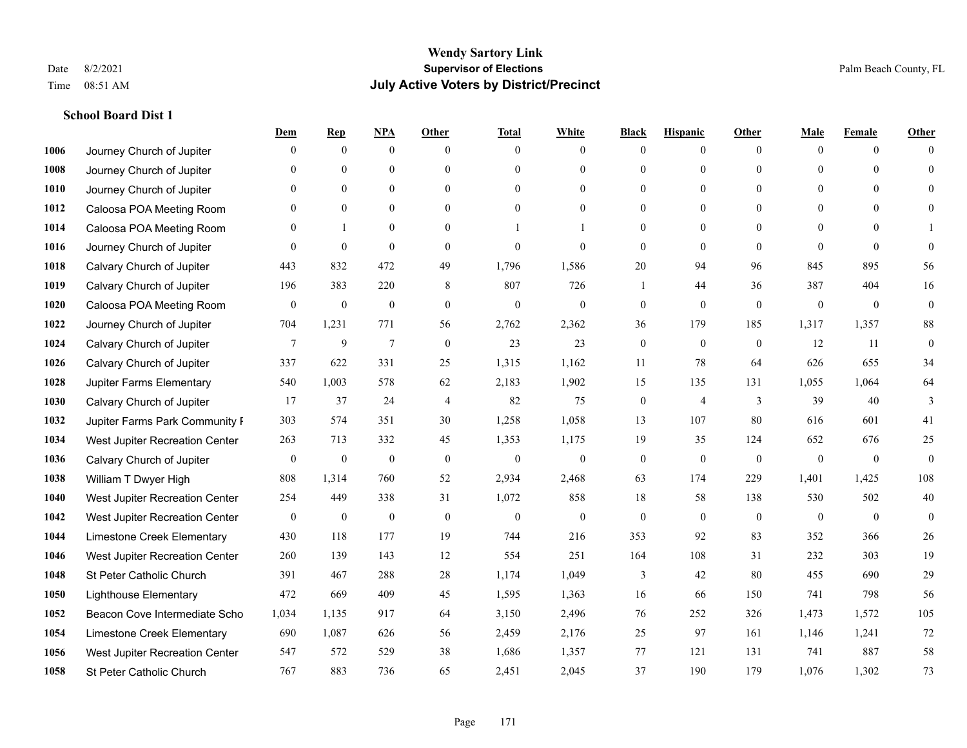## **School Board Dist 1**

|      |                                | Dem          | <b>Rep</b>       | NPA              | <b>Other</b>   | <b>Total</b>     | <b>White</b>     | <b>Black</b>     | <b>Hispanic</b> | <b>Other</b>   | <b>Male</b>  | <b>Female</b>  | <b>Other</b> |
|------|--------------------------------|--------------|------------------|------------------|----------------|------------------|------------------|------------------|-----------------|----------------|--------------|----------------|--------------|
| 1006 | Journey Church of Jupiter      | $\Omega$     | $\mathbf{0}$     | $\boldsymbol{0}$ | $\Omega$       | $\Omega$         | $\overline{0}$   | $\mathbf{0}$     | $\mathbf{0}$    | $\theta$       | $\mathbf{0}$ | $\theta$       | $\Omega$     |
| 1008 | Journey Church of Jupiter      | $\Omega$     | $\theta$         | $\mathbf{0}$     | $\Omega$       | $\Omega$         | $\overline{0}$   | $\theta$         | $\mathbf{0}$    | $\Omega$       | $\theta$     | $\Omega$       | $\theta$     |
| 1010 | Journey Church of Jupiter      | $\theta$     | $\mathbf{0}$     | $\mathbf{0}$     | $\Omega$       | $\Omega$         | $\overline{0}$   | $\theta$         | $\mathbf{0}$    | $\Omega$       | $\mathbf{0}$ | $\Omega$       | $\Omega$     |
| 1012 | Caloosa POA Meeting Room       | $\mathbf{0}$ | $\mathbf{0}$     | $\mathbf{0}$     | $\mathbf{0}$   | $\theta$         | $\overline{0}$   | $\overline{0}$   | $\mathbf{0}$    | $\theta$       | $\mathbf{0}$ | $\theta$       | $\Omega$     |
| 1014 | Caloosa POA Meeting Room       | $\theta$     | 1                | $\mathbf{0}$     | $\Omega$       |                  |                  | $\theta$         | $\theta$        | $\Omega$       | $\theta$     | $\Omega$       |              |
| 1016 | Journey Church of Jupiter      | $\mathbf{0}$ | $\boldsymbol{0}$ | $\mathbf{0}$     | $\mathbf{0}$   | $\theta$         | $\mathbf{0}$     | $\mathbf{0}$     | $\mathbf{0}$    | $\theta$       | $\mathbf{0}$ | $\mathbf{0}$   | $\mathbf{0}$ |
| 1018 | Calvary Church of Jupiter      | 443          | 832              | 472              | 49             | 1,796            | 1,586            | 20               | 94              | 96             | 845          | 895            | 56           |
| 1019 | Calvary Church of Jupiter      | 196          | 383              | 220              | 8              | 807              | 726              | $\mathbf{1}$     | 44              | 36             | 387          | 404            | 16           |
| 1020 | Caloosa POA Meeting Room       | $\mathbf{0}$ | $\boldsymbol{0}$ | $\boldsymbol{0}$ | $\mathbf{0}$   | $\mathbf{0}$     | $\mathbf{0}$     | $\boldsymbol{0}$ | $\mathbf{0}$    | $\theta$       | $\mathbf{0}$ | $\theta$       | $\mathbf{0}$ |
| 1022 | Journey Church of Jupiter      | 704          | 1,231            | 771              | 56             | 2,762            | 2,362            | 36               | 179             | 185            | 1,317        | 1,357          | 88           |
| 1024 | Calvary Church of Jupiter      | 7            | 9                | $\tau$           | $\theta$       | 23               | 23               | $\mathbf{0}$     | $\mathbf{0}$    | $\overline{0}$ | 12           | 11             | $\mathbf{0}$ |
| 1026 | Calvary Church of Jupiter      | 337          | 622              | 331              | 25             | 1,315            | 1,162            | 11               | 78              | 64             | 626          | 655            | 34           |
| 1028 | Jupiter Farms Elementary       | 540          | 1,003            | 578              | 62             | 2,183            | 1,902            | 15               | 135             | 131            | 1,055        | 1,064          | 64           |
| 1030 | Calvary Church of Jupiter      | 17           | 37               | 24               | $\overline{4}$ | 82               | 75               | $\boldsymbol{0}$ | $\overline{4}$  | 3              | 39           | 40             | 3            |
| 1032 | Jupiter Farms Park Community I | 303          | 574              | 351              | 30             | 1,258            | 1,058            | 13               | 107             | 80             | 616          | 601            | 41           |
| 1034 | West Jupiter Recreation Center | 263          | 713              | 332              | 45             | 1,353            | 1,175            | 19               | 35              | 124            | 652          | 676            | 25           |
| 1036 | Calvary Church of Jupiter      | $\mathbf{0}$ | $\boldsymbol{0}$ | $\mathbf{0}$     | $\mathbf{0}$   | $\boldsymbol{0}$ | $\boldsymbol{0}$ | $\boldsymbol{0}$ | $\mathbf{0}$    | $\mathbf{0}$   | $\mathbf{0}$ | $\mathbf{0}$   | $\mathbf{0}$ |
| 1038 | William T Dwyer High           | 808          | 1,314            | 760              | 52             | 2,934            | 2,468            | 63               | 174             | 229            | 1,401        | 1,425          | 108          |
| 1040 | West Jupiter Recreation Center | 254          | 449              | 338              | 31             | 1,072            | 858              | $18\,$           | 58              | 138            | 530          | 502            | $40\,$       |
| 1042 | West Jupiter Recreation Center | $\mathbf{0}$ | $\boldsymbol{0}$ | $\mathbf{0}$     | $\mathbf{0}$   | $\theta$         | $\mathbf{0}$     | $\mathbf{0}$     | $\mathbf{0}$    | $\mathbf{0}$   | $\mathbf{0}$ | $\overline{0}$ | $\mathbf{0}$ |
| 1044 | Limestone Creek Elementary     | 430          | 118              | 177              | 19             | 744              | 216              | 353              | 92              | 83             | 352          | 366            | 26           |
| 1046 | West Jupiter Recreation Center | 260          | 139              | 143              | 12             | 554              | 251              | 164              | 108             | 31             | 232          | 303            | 19           |
| 1048 | St Peter Catholic Church       | 391          | 467              | 288              | 28             | 1,174            | 1,049            | 3                | 42              | 80             | 455          | 690            | 29           |
| 1050 | <b>Lighthouse Elementary</b>   | 472          | 669              | 409              | 45             | 1,595            | 1,363            | 16               | 66              | 150            | 741          | 798            | 56           |
| 1052 | Beacon Cove Intermediate Scho  | 1,034        | 1,135            | 917              | 64             | 3,150            | 2,496            | 76               | 252             | 326            | 1.473        | 1,572          | 105          |
| 1054 | Limestone Creek Elementary     | 690          | 1,087            | 626              | 56             | 2,459            | 2,176            | 25               | 97              | 161            | 1,146        | 1,241          | 72           |
| 1056 | West Jupiter Recreation Center | 547          | 572              | 529              | 38             | 1,686            | 1,357            | 77               | 121             | 131            | 741          | 887            | 58           |
| 1058 | St Peter Catholic Church       | 767          | 883              | 736              | 65             | 2,451            | 2,045            | 37               | 190             | 179            | 1,076        | 1,302          | 73           |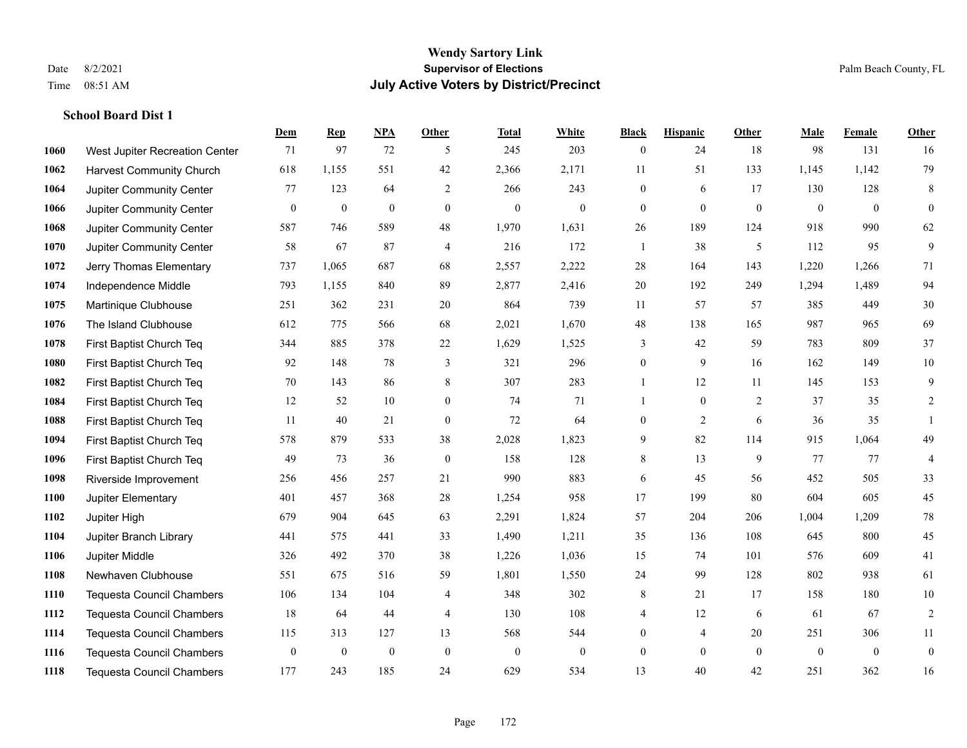## **School Board Dist 1**

|      |                                  | Dem          | <b>Rep</b>       | NPA          | <b>Other</b>     | <b>Total</b>     | <b>White</b>     | <b>Black</b>     | <b>Hispanic</b>  | <b>Other</b>   | <b>Male</b>  | <b>Female</b> | <b>Other</b>     |
|------|----------------------------------|--------------|------------------|--------------|------------------|------------------|------------------|------------------|------------------|----------------|--------------|---------------|------------------|
| 1060 | West Jupiter Recreation Center   | 71           | 97               | 72           | 5                | 245              | 203              | $\boldsymbol{0}$ | 24               | 18             | 98           | 131           | 16               |
| 1062 | <b>Harvest Community Church</b>  | 618          | 1,155            | 551          | 42               | 2,366            | 2,171            | 11               | 51               | 133            | 1,145        | 1,142         | 79               |
| 1064 | Jupiter Community Center         | 77           | 123              | 64           | 2                | 266              | 243              | $\mathbf{0}$     | 6                | 17             | 130          | 128           | 8                |
| 1066 | Jupiter Community Center         | $\mathbf{0}$ | $\boldsymbol{0}$ | $\mathbf{0}$ | $\mathbf{0}$     | $\boldsymbol{0}$ | $\boldsymbol{0}$ | $\boldsymbol{0}$ | $\mathbf{0}$     | $\overline{0}$ | $\mathbf{0}$ | $\mathbf{0}$  | $\mathbf{0}$     |
| 1068 | Jupiter Community Center         | 587          | 746              | 589          | 48               | 1,970            | 1,631            | 26               | 189              | 124            | 918          | 990           | 62               |
| 1070 | Jupiter Community Center         | 58           | 67               | 87           | $\overline{4}$   | 216              | 172              | 1                | 38               | 5              | 112          | 95            | 9                |
| 1072 | Jerry Thomas Elementary          | 737          | 1,065            | 687          | 68               | 2,557            | 2,222            | 28               | 164              | 143            | 1,220        | 1,266         | 71               |
| 1074 | Independence Middle              | 793          | 1,155            | 840          | 89               | 2,877            | 2,416            | 20               | 192              | 249            | 1,294        | 1,489         | 94               |
| 1075 | Martinique Clubhouse             | 251          | 362              | 231          | $20\,$           | 864              | 739              | 11               | 57               | 57             | 385          | 449           | $30\,$           |
| 1076 | The Island Clubhouse             | 612          | 775              | 566          | 68               | 2,021            | 1,670            | 48               | 138              | 165            | 987          | 965           | 69               |
| 1078 | First Baptist Church Teq         | 344          | 885              | 378          | 22               | 1,629            | 1,525            | 3                | 42               | 59             | 783          | 809           | 37               |
| 1080 | First Baptist Church Teq         | 92           | 148              | 78           | 3                | 321              | 296              | $\boldsymbol{0}$ | 9                | 16             | 162          | 149           | $10\,$           |
| 1082 | First Baptist Church Teq         | 70           | 143              | 86           | 8                | 307              | 283              | $\mathbf{1}$     | 12               | 11             | 145          | 153           | 9                |
| 1084 | First Baptist Church Teq         | 12           | 52               | 10           | $\mathbf{0}$     | 74               | 71               | 1                | $\boldsymbol{0}$ | 2              | 37           | 35            | $\overline{c}$   |
| 1088 | First Baptist Church Teq         | 11           | 40               | 21           | $\mathbf{0}$     | 72               | 64               | $\boldsymbol{0}$ | 2                | 6              | 36           | 35            |                  |
| 1094 | First Baptist Church Teq         | 578          | 879              | 533          | 38               | 2,028            | 1,823            | 9                | 82               | 114            | 915          | 1,064         | 49               |
| 1096 | First Baptist Church Teq         | 49           | 73               | 36           | $\boldsymbol{0}$ | 158              | 128              | 8                | 13               | 9              | 77           | 77            | $\overline{4}$   |
| 1098 | Riverside Improvement            | 256          | 456              | 257          | 21               | 990              | 883              | 6                | 45               | 56             | 452          | 505           | 33               |
| 1100 | Jupiter Elementary               | 401          | 457              | 368          | 28               | 1,254            | 958              | 17               | 199              | 80             | 604          | 605           | 45               |
| 1102 | Jupiter High                     | 679          | 904              | 645          | 63               | 2,291            | 1,824            | 57               | 204              | 206            | 1,004        | 1,209         | $78\,$           |
| 1104 | Jupiter Branch Library           | 441          | 575              | 441          | 33               | 1,490            | 1,211            | 35               | 136              | 108            | 645          | 800           | 45               |
| 1106 | Jupiter Middle                   | 326          | 492              | 370          | 38               | 1,226            | 1,036            | 15               | 74               | 101            | 576          | 609           | 41               |
| 1108 | Newhaven Clubhouse               | 551          | 675              | 516          | 59               | 1,801            | 1,550            | 24               | 99               | 128            | 802          | 938           | 61               |
| 1110 | <b>Tequesta Council Chambers</b> | 106          | 134              | 104          | 4                | 348              | 302              | 8                | 21               | 17             | 158          | 180           | $10\,$           |
| 1112 | <b>Tequesta Council Chambers</b> | 18           | 64               | 44           | $\overline{4}$   | 130              | 108              | 4                | 12               | 6              | 61           | 67            | $\overline{2}$   |
| 1114 | <b>Tequesta Council Chambers</b> | 115          | 313              | 127          | 13               | 568              | 544              | $\mathbf{0}$     | 4                | 20             | 251          | 306           | 11               |
| 1116 | <b>Tequesta Council Chambers</b> | $\mathbf{0}$ | $\boldsymbol{0}$ | $\mathbf{0}$ | $\mathbf{0}$     | $\mathbf{0}$     | $\mathbf{0}$     | $\boldsymbol{0}$ | $\mathbf{0}$     | $\overline{0}$ | $\mathbf{0}$ | $\mathbf{0}$  | $\boldsymbol{0}$ |
| 1118 | <b>Tequesta Council Chambers</b> | 177          | 243              | 185          | 24               | 629              | 534              | 13               | 40               | 42             | 251          | 362           | 16               |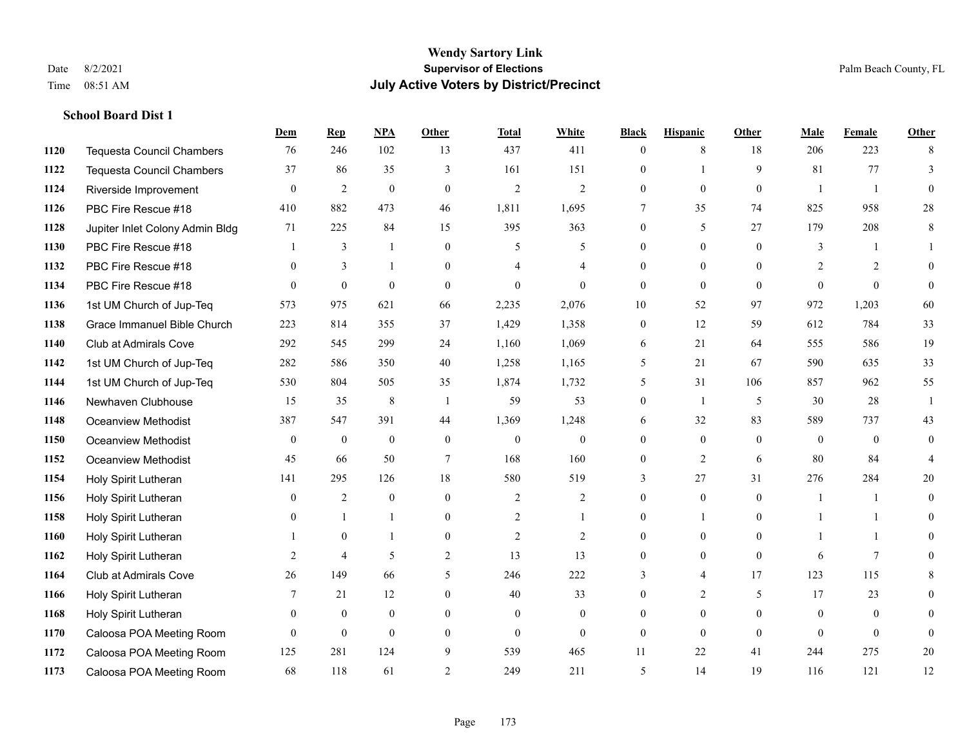**School Board Dist 1**

#### **Wendy Sartory Link** Date 8/2/2021 **Supervisor of Elections** Palm Beach County, FL Time 08:51 AM **July Active Voters by District/Precinct**

**Dem Rep NPA Other Total White Black Hispanic Other Male Female Other**

## Tequesta Council Chambers 76 246 102 13 437 411 0 8 18 206 223 8 Tequesta Council Chambers 37 86 35 3 161 151 0 1 9 81 77 3 Riverside Improvement 0 0 2 0 0 2 2 2 0 0 0 0 1 1 0 PBC Fire Rescue #18 410 882 473 46 1,811 1,695 7 35 74 825 958 28 Jupiter Inlet Colony Admin Bldg 71 225 84 15 395 363 0 5 27 179 208 8 PBC Fire Rescue #18 **1** 3 1 0 5 5 0 0 0 3 1 1 PBC Fire Rescue #18 0 3 1 0 4 4 0 0 0 2 2 0 PBC Fire Rescue #18 0 0 0 0 0 0 0 0 0 0 0 0 1st UM Church of Jup-Teq 573 975 621 66 2,235 2,076 10 52 97 972 1,203 60 Grace Immanuel Bible Church 223 814 355 37 1,429 1,358 0 12 59 612 784 33 Club at Admirals Cove 292 545 299 24 1,160 1,069 6 21 64 555 586 19 1st UM Church of Jup-Teq 282 586 350 40 1,258 1,165 5 21 67 590 635 33 1st UM Church of Jup-Teq 530 804 505 35 1,874 1,732 5 31 106 857 962 55 Newhaven Clubhouse 15 35 8 1 59 53 0 1 5 30 28 1 Oceanview Methodist 387 547 391 44 1,369 1,248 6 32 83 589 737 43 Oceanview Methodist 0 0 0 0 0 0 0 0 0 0 0 0 Oceanview Methodist 45 66 50 7 168 160 0 2 6 80 84 4 Holy Spirit Lutheran 141 295 126 18 580 519 3 27 31 276 284 20 Holy Spirit Lutheran 0 2 0 0 2 2 0 0 0 1 1 0 Holy Spirit Lutheran 0 1 1 0 2 1 0 1 0 1 1 0 Holy Spirit Lutheran 1 0 1 0 2 2 0 0 0 1 1 0 Holy Spirit Lutheran **2** 4 5 2 13 13 0 0 0 6 7 0 Club at Admirals Cove 26 149 66 5 246 222 3 4 17 123 115 8 Holy Spirit Lutheran **7** 21 12 0 40 33 0 2 5 17 23 0 Holy Spirit Lutheran 0 0 0 0 0 0 0 0 0 0 0 0 Caloosa POA Meeting Room 0 0 0 0 0 0 0 0 0 0 0 0 Caloosa POA Meeting Room 125 281 124 9 539 465 11 22 41 244 275 20

Caloosa POA Meeting Room 68 118 61 2 249 211 5 14 19 116 121 12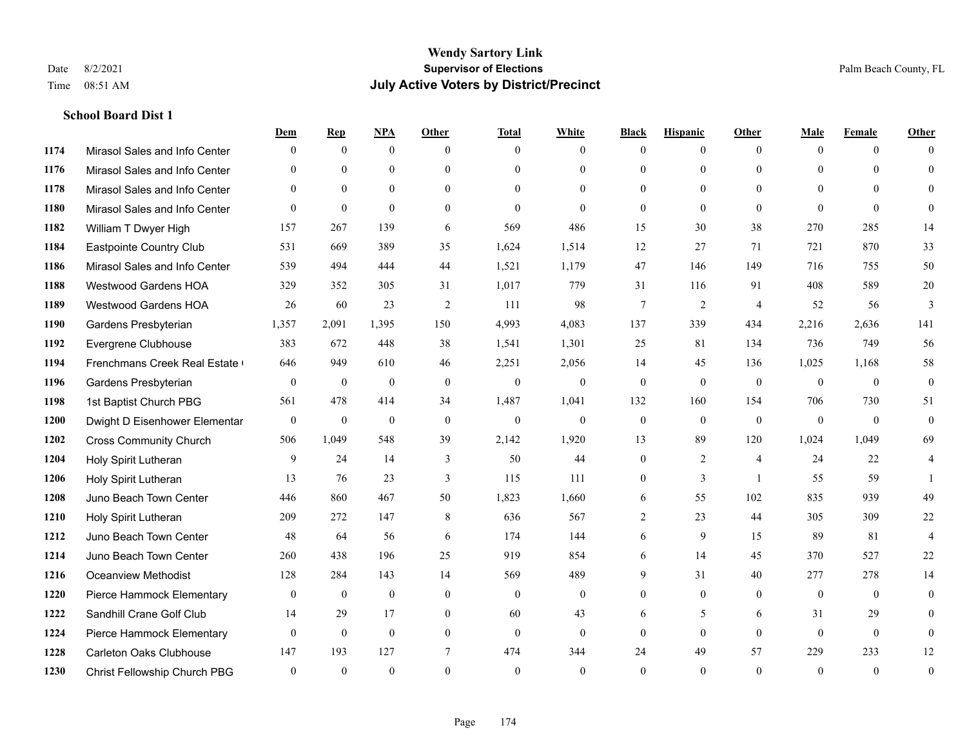## **School Board Dist 1**

|      |                                | Dem            | <b>Rep</b>       | NPA          | <b>Other</b> | <b>Total</b> | <b>White</b>   | <b>Black</b> | <b>Hispanic</b> | <b>Other</b>   | <b>Male</b>  | <b>Female</b>  | <b>Other</b>     |
|------|--------------------------------|----------------|------------------|--------------|--------------|--------------|----------------|--------------|-----------------|----------------|--------------|----------------|------------------|
| 1174 | Mirasol Sales and Info Center  | $\Omega$       | $\mathbf{0}$     | $\mathbf{0}$ | $\Omega$     | $\Omega$     | $\overline{0}$ | $\mathbf{0}$ | $\overline{0}$  | $\theta$       | $\theta$     | $\theta$       | $\Omega$         |
| 1176 | Mirasol Sales and Info Center  | $\Omega$       | $\theta$         | $\theta$     | $\Omega$     | $\Omega$     | $\overline{0}$ | $\theta$     | $\theta$        | $\Omega$       | $\Omega$     | $\Omega$       | $\theta$         |
| 1178 | Mirasol Sales and Info Center  | $\theta$       | $\mathbf{0}$     | $\mathbf{0}$ | $\Omega$     | $\theta$     | $\overline{0}$ | $\theta$     | $\theta$        | $\Omega$       | $\theta$     | $\Omega$       | $\Omega$         |
| 1180 | Mirasol Sales and Info Center  | $\theta$       | $\mathbf{0}$     | $\theta$     | $\theta$     | $\theta$     | $\mathbf{0}$   | $\mathbf{0}$ | $\theta$        | $\theta$       | $\theta$     | $\theta$       | $\Omega$         |
| 1182 | William T Dwyer High           | 157            | 267              | 139          | 6            | 569          | 486            | 15           | 30              | 38             | 270          | 285            | 14               |
| 1184 | Eastpointe Country Club        | 531            | 669              | 389          | 35           | 1,624        | 1,514          | 12           | 27              | 71             | 721          | 870            | 33               |
| 1186 | Mirasol Sales and Info Center  | 539            | 494              | 444          | 44           | 1,521        | 1,179          | 47           | 146             | 149            | 716          | 755            | 50               |
| 1188 | <b>Westwood Gardens HOA</b>    | 329            | 352              | 305          | 31           | 1,017        | 779            | 31           | 116             | 91             | 408          | 589            | $20\,$           |
| 1189 | <b>Westwood Gardens HOA</b>    | 26             | 60               | 23           | 2            | 111          | 98             | $\tau$       | $\overline{2}$  | $\overline{4}$ | 52           | 56             | 3                |
| 1190 | Gardens Presbyterian           | 1,357          | 2,091            | 1,395        | 150          | 4,993        | 4,083          | 137          | 339             | 434            | 2,216        | 2,636          | 141              |
| 1192 | Evergrene Clubhouse            | 383            | 672              | 448          | 38           | 1,541        | 1,301          | 25           | 81              | 134            | 736          | 749            | 56               |
| 1194 | Frenchmans Creek Real Estate   | 646            | 949              | 610          | 46           | 2,251        | 2,056          | 14           | 45              | 136            | 1,025        | 1,168          | 58               |
| 1196 | Gardens Presbyterian           | $\mathbf{0}$   | $\boldsymbol{0}$ | $\mathbf{0}$ | $\mathbf{0}$ | $\mathbf{0}$ | $\mathbf{0}$   | $\mathbf{0}$ | $\mathbf{0}$    | $\mathbf{0}$   | $\mathbf{0}$ | $\mathbf{0}$   | $\boldsymbol{0}$ |
| 1198 | 1st Baptist Church PBG         | 561            | 478              | 414          | 34           | 1,487        | 1,041          | 132          | 160             | 154            | 706          | 730            | 51               |
| 1200 | Dwight D Eisenhower Elementar  | $\mathbf{0}$   | $\mathbf{0}$     | $\mathbf{0}$ | $\theta$     | $\mathbf{0}$ | $\mathbf{0}$   | $\mathbf{0}$ | $\theta$        | $\theta$       | $\theta$     | $\theta$       | $\mathbf{0}$     |
| 1202 | <b>Cross Community Church</b>  | 506            | 1,049            | 548          | 39           | 2,142        | 1,920          | 13           | 89              | 120            | 1,024        | 1,049          | 69               |
| 1204 | Holy Spirit Lutheran           | 9              | 24               | 14           | 3            | 50           | 44             | $\mathbf{0}$ | 2               | $\overline{4}$ | 24           | 22             | 4                |
| 1206 | Holy Spirit Lutheran           | 13             | 76               | 23           | 3            | 115          | 111            | $\mathbf{0}$ | 3               | $\overline{1}$ | 55           | 59             |                  |
| 1208 | Juno Beach Town Center         | 446            | 860              | 467          | 50           | 1,823        | 1,660          | 6            | 55              | 102            | 835          | 939            | 49               |
| 1210 | Holy Spirit Lutheran           | 209            | 272              | 147          | 8            | 636          | 567            | 2            | 23              | 44             | 305          | 309            | 22               |
| 1212 | Juno Beach Town Center         | 48             | 64               | 56           | 6            | 174          | 144            | 6            | 9               | 15             | 89           | 81             | $\overline{4}$   |
| 1214 | Juno Beach Town Center         | 260            | 438              | 196          | 25           | 919          | 854            | 6            | 14              | 45             | 370          | 527            | $22\,$           |
| 1216 | <b>Oceanview Methodist</b>     | 128            | 284              | 143          | 14           | 569          | 489            | 9            | 31              | 40             | 277          | 278            | 14               |
| 1220 | Pierce Hammock Elementary      | $\overline{0}$ | $\mathbf{0}$     | $\mathbf{0}$ | $\mathbf{0}$ | $\mathbf{0}$ | $\mathbf{0}$   | $\mathbf{0}$ | $\overline{0}$  | $\theta$       | $\mathbf{0}$ | $\overline{0}$ | $\mathbf{0}$     |
| 1222 | Sandhill Crane Golf Club       | 14             | 29               | 17           | $\theta$     | 60           | 43             | 6            | 5               | 6              | 31           | 29             | $\Omega$         |
| 1224 | Pierce Hammock Elementary      | $\mathbf{0}$   | $\mathbf{0}$     | $\mathbf{0}$ | $\theta$     | $\theta$     | $\mathbf{0}$   | $\theta$     | $\mathbf{0}$    | $\Omega$       | $\theta$     | $\mathbf{0}$   | $\mathbf{0}$     |
| 1228 | <b>Carleton Oaks Clubhouse</b> | 147            | 193              | 127          | 7            | 474          | 344            | 24           | 49              | 57             | 229          | 233            | 12               |
| 1230 | Christ Fellowship Church PBG   | $\theta$       | $\theta$         | $\theta$     | $\Omega$     | $\theta$     | $\theta$       | $\theta$     | $\theta$        | $\Omega$       | $\Omega$     | $\theta$       | $\mathbf{0}$     |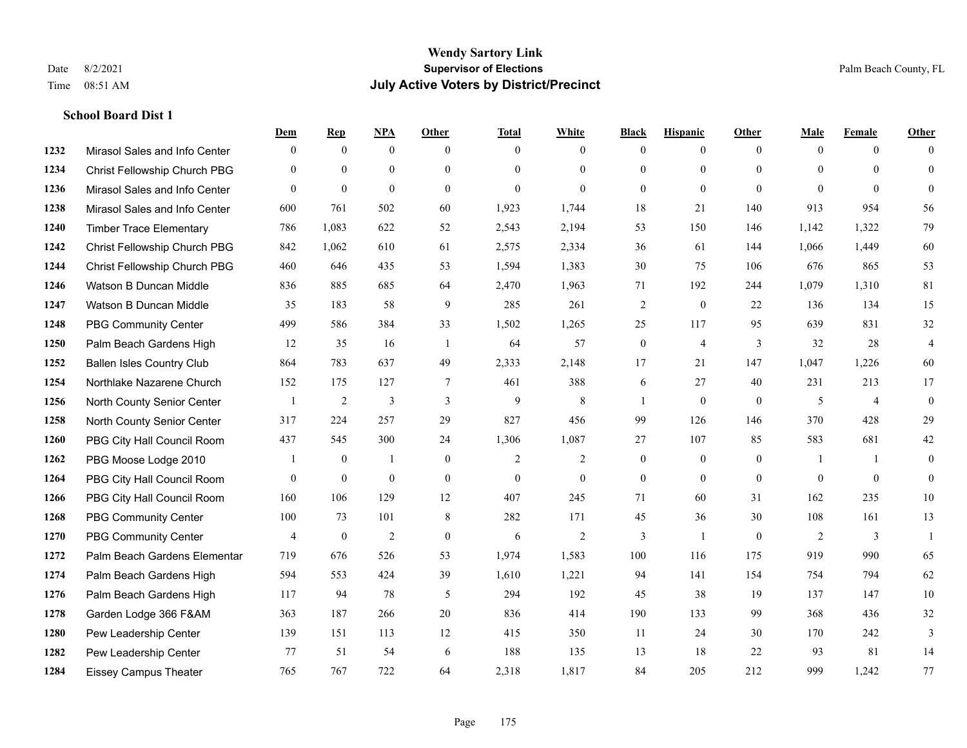## **School Board Dist 1**

|      |                                  | Dem            | <b>Rep</b>       | $NPA$          | <b>Other</b>   | <b>Total</b>   | <b>White</b>   | <b>Black</b>     | <b>Hispanic</b>  | Other        | <b>Male</b> | <b>Female</b>  | <b>Other</b>   |
|------|----------------------------------|----------------|------------------|----------------|----------------|----------------|----------------|------------------|------------------|--------------|-------------|----------------|----------------|
| 1232 | Mirasol Sales and Info Center    | $\mathbf{0}$   | $\mathbf{0}$     | $\mathbf{0}$   | $\theta$       | $\theta$       | $\overline{0}$ | $\theta$         | $\overline{0}$   | $\theta$     | $\theta$    | $\theta$       | $\theta$       |
| 1234 | Christ Fellowship Church PBG     | $\theta$       | $\mathbf{0}$     | $\mathbf{0}$   | $\theta$       | $\Omega$       | $\overline{0}$ | $\overline{0}$   | $\mathbf{0}$     | $\Omega$     | $\Omega$    | $\Omega$       | $\theta$       |
| 1236 | Mirasol Sales and Info Center    | $\Omega$       | $\mathbf{0}$     | $\theta$       | $\theta$       | $\Omega$       | $\Omega$       | $\Omega$         | $\theta$         | $\Omega$     | $\Omega$    | $\Omega$       | $\Omega$       |
| 1238 | Mirasol Sales and Info Center    | 600            | 761              | 502            | 60             | 1,923          | 1,744          | 18               | 21               | 140          | 913         | 954            | 56             |
| 1240 | <b>Timber Trace Elementary</b>   | 786            | 1,083            | 622            | 52             | 2,543          | 2,194          | 53               | 150              | 146          | 1,142       | 1,322          | 79             |
| 1242 | Christ Fellowship Church PBG     | 842            | 1,062            | 610            | 61             | 2,575          | 2,334          | 36               | 61               | 144          | 1,066       | 1,449          | 60             |
| 1244 | Christ Fellowship Church PBG     | 460            | 646              | 435            | 53             | 1,594          | 1,383          | $30\,$           | 75               | 106          | 676         | 865            | 53             |
| 1246 | Watson B Duncan Middle           | 836            | 885              | 685            | 64             | 2,470          | 1,963          | 71               | 192              | 244          | 1,079       | 1,310          | $81\,$         |
| 1247 | Watson B Duncan Middle           | 35             | 183              | 58             | 9              | 285            | 261            | 2                | $\mathbf{0}$     | 22           | 136         | 134            | 15             |
| 1248 | <b>PBG Community Center</b>      | 499            | 586              | 384            | 33             | 1,502          | 1,265          | 25               | 117              | 95           | 639         | 831            | 32             |
| 1250 | Palm Beach Gardens High          | 12             | 35               | 16             | $\overline{1}$ | 64             | 57             | $\boldsymbol{0}$ | $\overline{4}$   | 3            | 32          | 28             | $\overline{4}$ |
| 1252 | <b>Ballen Isles Country Club</b> | 864            | 783              | 637            | 49             | 2,333          | 2,148          | 17               | 21               | 147          | 1,047       | 1,226          | 60             |
| 1254 | Northlake Nazarene Church        | 152            | 175              | 127            | $\overline{7}$ | 461            | 388            | 6                | 27               | 40           | 231         | 213            | 17             |
| 1256 | North County Senior Center       |                | $\sqrt{2}$       | 3              | $\mathfrak{Z}$ | $\mathbf{9}$   | $\,8\,$        | 1                | $\boldsymbol{0}$ | $\mathbf{0}$ | 5           | $\overline{4}$ | $\bf{0}$       |
| 1258 | North County Senior Center       | 317            | 224              | 257            | 29             | 827            | 456            | 99               | 126              | 146          | 370         | 428            | 29             |
| 1260 | PBG City Hall Council Room       | 437            | 545              | 300            | 24             | 1,306          | 1,087          | 27               | 107              | 85           | 583         | 681            | $42\,$         |
| 1262 | PBG Moose Lodge 2010             |                | $\mathbf{0}$     | 1              | $\mathbf{0}$   | $\overline{2}$ | 2              | $\mathbf{0}$     | $\mathbf{0}$     | $\mathbf{0}$ | -1          | $\overline{1}$ | $\theta$       |
| 1264 | PBG City Hall Council Room       | $\overline{0}$ | $\boldsymbol{0}$ | $\mathbf{0}$   | $\overline{0}$ | $\overline{0}$ | $\overline{0}$ | $\mathbf{0}$     | $\overline{0}$   | $\mathbf{0}$ | $\theta$    | $\theta$       | $\overline{0}$ |
| 1266 | PBG City Hall Council Room       | 160            | 106              | 129            | 12             | 407            | 245            | 71               | 60               | 31           | 162         | 235            | 10             |
| 1268 | <b>PBG Community Center</b>      | 100            | 73               | 101            | 8              | 282            | 171            | 45               | 36               | 30           | 108         | 161            | 13             |
| 1270 | <b>PBG Community Center</b>      | $\overline{4}$ | $\mathbf{0}$     | $\overline{2}$ | $\theta$       | 6              | 2              | 3                | $\mathbf{1}$     | $\theta$     | 2           | 3              |                |
| 1272 | Palm Beach Gardens Elementar     | 719            | 676              | 526            | 53             | 1,974          | 1,583          | 100              | 116              | 175          | 919         | 990            | 65             |
| 1274 | Palm Beach Gardens High          | 594            | 553              | 424            | 39             | 1,610          | 1,221          | 94               | 141              | 154          | 754         | 794            | 62             |
| 1276 | Palm Beach Gardens High          | 117            | 94               | 78             | 5              | 294            | 192            | 45               | 38               | 19           | 137         | 147            | 10             |
| 1278 | Garden Lodge 366 F&AM            | 363            | 187              | 266            | 20             | 836            | 414            | 190              | 133              | 99           | 368         | 436            | 32             |
| 1280 | Pew Leadership Center            | 139            | 151              | 113            | 12             | 415            | 350            | 11               | 24               | 30           | 170         | 242            | 3              |
| 1282 | Pew Leadership Center            | 77             | 51               | 54             | 6              | 188            | 135            | 13               | 18               | 22           | 93          | 81             | 14             |
| 1284 | <b>Eissey Campus Theater</b>     | 765            | 767              | 722            | 64             | 2,318          | 1,817          | 84               | 205              | 212          | 999         | 1,242          | 77             |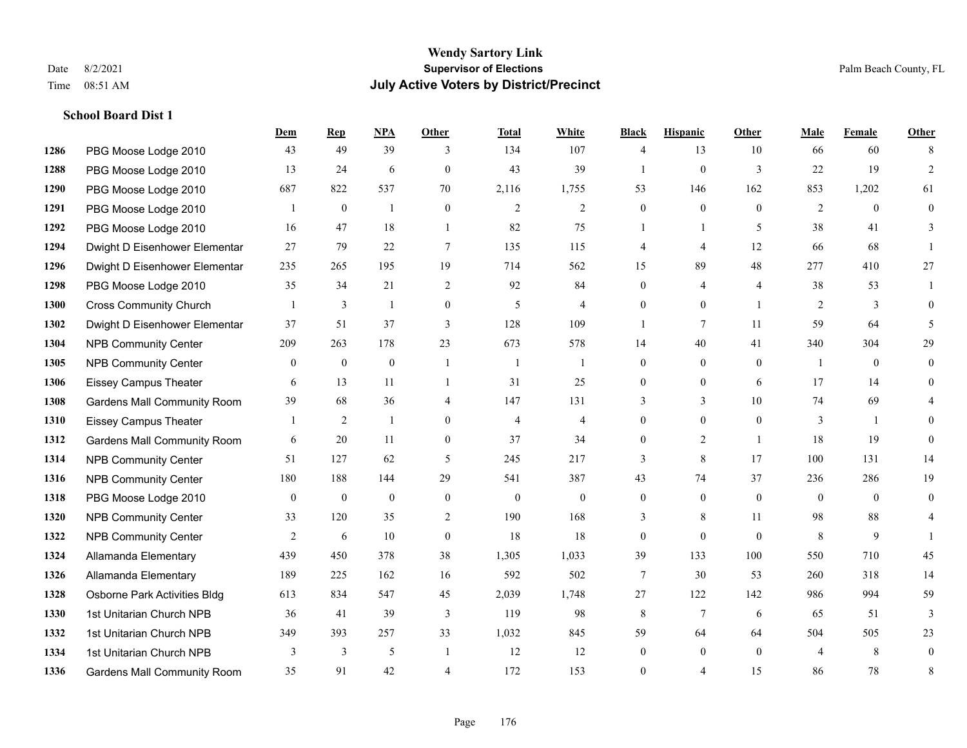**School Board Dist 1**

#### **Wendy Sartory Link** Date 8/2/2021 **Supervisor of Elections** Palm Beach County, FL Time 08:51 AM **July Active Voters by District/Precinct**

## **Dem Rep NPA Other Total White Black Hispanic Other Male Female Other** PBG Moose Lodge 2010 43 49 39 3 134 107 4 13 10 66 60 8 PBG Moose Lodge 2010 13 24 6 0 43 39 1 0 3 22 19 2 PBG Moose Lodge 2010 687 822 537 70 2,116 1,755 53 146 162 853 1,202 61 PBG Moose Lodge 2010 1 0 1 0 2 2 0 0 0 0 2 0 0 PBG Moose Lodge 2010 16 47 18 1 82 75 1 1 5 38 41 3 Dwight D Eisenhower Elementar 27 79 22 7 135 115 4 4 12 66 68 1 Dwight D Eisenhower Elementary 235 265 195 19 714 562 15 89 48 277 410 27 PBG Moose Lodge 2010 35 34 21 2 92 84 0 4 4 38 53 1 Cross Community Church 1 3 1 0 5 4 0 0 1 2 3 0 Dwight D Eisenhower Elementar 37 51 37 3 128 109 1 7 11 59 64 5 NPB Community Center 209 263 178 23 673 578 14 40 41 340 304 29 NPB Community Center 0 0 0 1 1 1 0 0 0 1 0 0 Eissey Campus Theater 6 13 11 1 31 25 0 0 6 17 14 0 Gardens Mall Community Room 39 68 36 4 147 131 3 3 3 10 74 69 4 Eissey Campus Theater 1 2 1 0 4 4 0 0 0 3 1 0 Gardens Mall Community Room 6 20 11 0 37 34 0 2 1 18 19 0 NPB Community Center 51 127 62 5 245 217 3 8 17 100 131 14 NPB Community Center 180 188 144 29 541 387 43 74 37 236 286 19 PBG Moose Lodge 2010 0 0 0 0 0 0 0 0 0 0 0 0 NPB Community Center 33 120 35 2 190 168 3 8 11 98 88 4 **1322 NPB Community Center**  $\begin{array}{cccccccc} 2 & 6 & 10 & 0 & 18 & 18 & 0 & 0 & 0 & 8 & 9 & 1 \end{array}$  Allamanda Elementary 439 450 378 38 1,305 1,033 39 133 100 550 710 45 Allamanda Elementary 189 225 162 16 592 502 7 30 53 260 318 14 Osborne Park Activities Bldg 613 834 547 45 2,039 1,748 27 122 142 986 994 59 1st Unitarian Church NPB 36 41 39 3 119 98 8 7 6 65 51 3 1st Unitarian Church NPB 349 393 257 33 1,032 845 59 64 64 504 505 23 1334 1st Unitarian Church NPB 3 3 3 5 1 1 12 12 0 0 0 4 8 0 Gardens Mall Community Room 35 91 42 4 172 153 0 4 15 86 78 8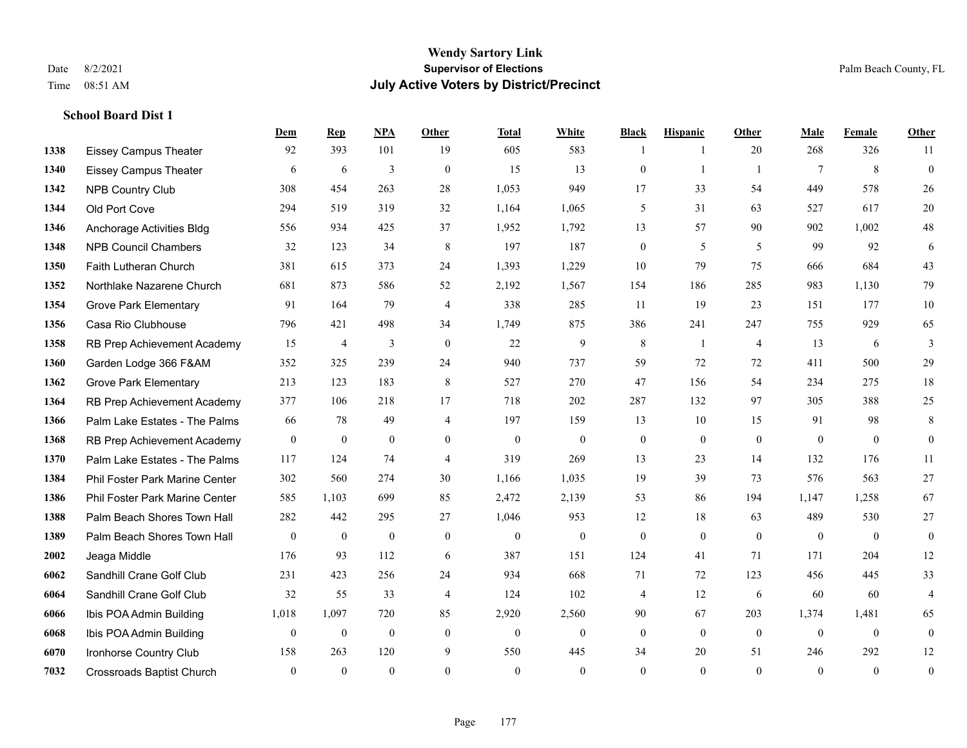**School Board Dist 1**

#### **Wendy Sartory Link** Date 8/2/2021 **Supervisor of Elections** Palm Beach County, FL Time 08:51 AM **July Active Voters by District/Precinct**

## **Dem Rep NPA Other Total White Black Hispanic Other Male Female Other** Eissey Campus Theater 92 393 101 19 605 583 1 1 20 268 326 11 Eissey Campus Theater 6 6 6 3 0 15 13 0 1 1 7 8 0 NPB Country Club 308 454 263 28 1,053 949 17 33 54 449 578 26 Old Port Cove 294 519 319 32 1,164 1,065 5 31 63 527 617 20 Anchorage Activities Bldg 556 934 425 37 1,952 1,792 13 57 90 902 1,002 48 NPB Council Chambers 32 123 34 8 197 187 0 5 5 99 92 6 Faith Lutheran Church 381 615 373 24 1,393 1,229 10 79 75 666 684 43 Northlake Nazarene Church 681 873 586 52 2,192 1,567 154 186 285 983 1,130 79 **1354 Grove Park Elementary 01 164 79 4 338 285 11 19 23 151 177 10**  Casa Rio Clubhouse 796 421 498 34 1,749 875 386 241 247 755 929 65 RB Prep Achievement Academy 15 4 3 0 22 9 8 1 4 13 6 3 Garden Lodge 366 F&AM 352 325 239 24 940 737 59 72 72 411 500 29 Grove Park Elementary 213 123 183 8 527 270 47 156 54 234 275 18 RB Prep Achievement Academy 377 106 218 17 718 202 287 132 97 305 388 25 Palm Lake Estates - The Palms 66 78 49 4 197 159 13 10 15 91 98 8 RB Prep Achievement Academy 0 0 0 0 0 0 0 0 0 0 0 0 Palm Lake Estates - The Palms 117 124 74 4 319 269 13 23 14 132 176 11 Phil Foster Park Marine Center 302 560 274 30 1,166 1,035 19 39 73 576 563 27 Phil Foster Park Marine Center 585 1,103 699 85 2,472 2,139 53 86 194 1,147 1,258 67 Palm Beach Shores Town Hall 282 442 295 27 1,046 953 12 18 63 489 530 27 Palm Beach Shores Town Hall 0 0 0 0 0 0 0 0 0 0 0 0 Jeaga Middle 176 93 112 6 387 151 124 41 71 171 204 12 Sandhill Crane Golf Club 231 423 256 24 934 668 71 72 123 456 445 33 Sandhill Crane Golf Club 32 55 33 4 124 102 4 12 6 60 60 4 Ibis POA Admin Building 1,018 1,097 720 85 2,920 2,560 90 67 203 1,374 1,481 65 Ibis POA Admin Building 0 0 0 0 0 0 0 0 0 0 0 0 Ironhorse Country Club 158 263 120 9 550 445 34 20 51 246 292 12 Crossroads Baptist Church 0 0 0 0 0 0 0 0 0 0 0 0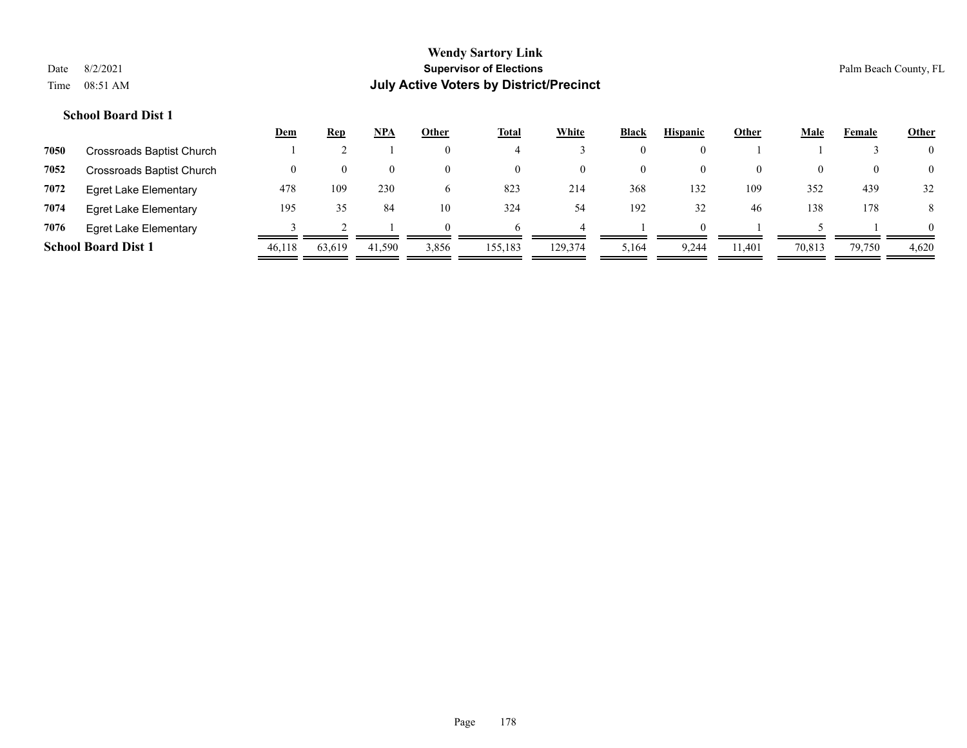## **School Board Dist 1**

|      |                              | <u>Dem</u> | <u>Rep</u> | <u>NPA</u> | Other        | <b>Total</b> | White    | <b>Black</b> | <b>Hispanic</b> | Other    | <b>Male</b> | Female | <b>Other</b>   |
|------|------------------------------|------------|------------|------------|--------------|--------------|----------|--------------|-----------------|----------|-------------|--------|----------------|
| 7050 | Crossroads Baptist Church    |            |            |            | $\theta$     |              |          | 0            |                 |          |             |        | $\overline{0}$ |
| 7052 | Crossroads Baptist Church    |            | $\theta$   | $\theta$   | $\theta$     | $\theta$     | $\theta$ | 0            | $\theta$        | $\theta$ | 0           |        | $\overline{0}$ |
| 7072 | <b>Egret Lake Elementary</b> | 478        | 109        | 230        | <sub>0</sub> | 823          | 214      | 368          | 132             | 109      | 352         | 439    | 32             |
| 7074 | <b>Egret Lake Elementary</b> | 195        | 35         | 84         | 10           | 324          | 54       | 192          | 32              | 46       | 138         | 178    | 8              |
| 7076 | <b>Egret Lake Elementary</b> |            |            |            | $\Omega$     |              |          |              | 0               |          |             |        | $\Omega$       |
|      | <b>School Board Dist 1</b>   | 46.118     | 63.619     | 41,590     | 3,856        | 155,183      | 129,374  | 5,164        | 9.244           | 11.401   | 70,813      | 79,750 | 4,620          |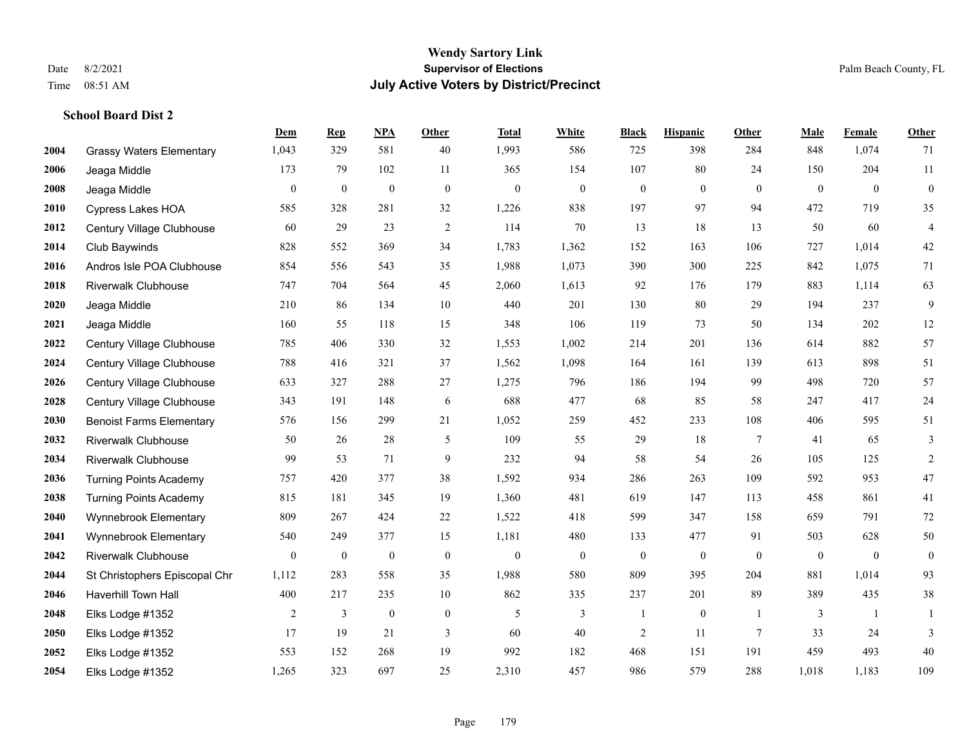## **School Board Dist 2**

|      |                                 | Dem              | <b>Rep</b>       | NPA              | <b>Other</b>     | <b>Total</b>     | <b>White</b>     | <b>Black</b>     | <b>Hispanic</b>  | <b>Other</b>    | <b>Male</b>  | Female         | Other            |
|------|---------------------------------|------------------|------------------|------------------|------------------|------------------|------------------|------------------|------------------|-----------------|--------------|----------------|------------------|
| 2004 | <b>Grassy Waters Elementary</b> | 1,043            | 329              | 581              | 40               | 1,993            | 586              | 725              | 398              | 284             | 848          | 1,074          | 71               |
| 2006 | Jeaga Middle                    | 173              | 79               | 102              | 11               | 365              | 154              | 107              | 80               | 24              | 150          | 204            | 11               |
| 2008 | Jeaga Middle                    | $\boldsymbol{0}$ | $\boldsymbol{0}$ | $\boldsymbol{0}$ | $\mathbf{0}$     | $\boldsymbol{0}$ | $\mathbf{0}$     | $\boldsymbol{0}$ | $\boldsymbol{0}$ | $\overline{0}$  | $\mathbf{0}$ | $\overline{0}$ | $\boldsymbol{0}$ |
| 2010 | <b>Cypress Lakes HOA</b>        | 585              | 328              | 281              | 32               | 1,226            | 838              | 197              | 97               | 94              | 472          | 719            | 35               |
| 2012 | Century Village Clubhouse       | 60               | 29               | 23               | $\overline{2}$   | 114              | $70\,$           | 13               | 18               | 13              | 50           | 60             | $\overline{4}$   |
| 2014 | Club Baywinds                   | 828              | 552              | 369              | 34               | 1,783            | 1,362            | 152              | 163              | 106             | 727          | 1,014          | $42\,$           |
| 2016 | Andros Isle POA Clubhouse       | 854              | 556              | 543              | 35               | 1,988            | 1,073            | 390              | 300              | 225             | 842          | 1,075          | 71               |
| 2018 | <b>Riverwalk Clubhouse</b>      | 747              | 704              | 564              | 45               | 2,060            | 1,613            | 92               | 176              | 179             | 883          | 1,114          | 63               |
| 2020 | Jeaga Middle                    | 210              | 86               | 134              | 10               | 440              | 201              | 130              | 80               | 29              | 194          | 237            | 9                |
| 2021 | Jeaga Middle                    | 160              | 55               | 118              | 15               | 348              | 106              | 119              | 73               | 50              | 134          | 202            | $12\,$           |
| 2022 | Century Village Clubhouse       | 785              | 406              | 330              | 32               | 1,553            | 1,002            | 214              | 201              | 136             | 614          | 882            | 57               |
| 2024 | Century Village Clubhouse       | 788              | 416              | 321              | 37               | 1,562            | 1,098            | 164              | 161              | 139             | 613          | 898            | 51               |
| 2026 | Century Village Clubhouse       | 633              | 327              | 288              | $27\,$           | 1,275            | 796              | 186              | 194              | 99              | 498          | 720            | 57               |
| 2028 | Century Village Clubhouse       | 343              | 191              | 148              | 6                | 688              | 477              | 68               | 85               | 58              | 247          | 417            | 24               |
| 2030 | <b>Benoist Farms Elementary</b> | 576              | 156              | 299              | 21               | 1,052            | 259              | 452              | 233              | 108             | 406          | 595            | 51               |
| 2032 | <b>Riverwalk Clubhouse</b>      | 50               | 26               | 28               | 5                | 109              | 55               | 29               | 18               | 7               | 41           | 65             | 3                |
| 2034 | <b>Riverwalk Clubhouse</b>      | 99               | 53               | 71               | 9                | 232              | 94               | 58               | 54               | 26              | 105          | 125            | $\overline{2}$   |
| 2036 | <b>Turning Points Academy</b>   | 757              | 420              | 377              | 38               | 1,592            | 934              | 286              | 263              | 109             | 592          | 953            | $47\,$           |
| 2038 | <b>Turning Points Academy</b>   | 815              | 181              | 345              | 19               | 1,360            | 481              | 619              | 147              | 113             | 458          | 861            | 41               |
| 2040 | Wynnebrook Elementary           | 809              | 267              | 424              | 22               | 1,522            | 418              | 599              | 347              | 158             | 659          | 791            | 72               |
| 2041 | Wynnebrook Elementary           | 540              | 249              | 377              | 15               | 1,181            | 480              | 133              | 477              | 91              | 503          | 628            | $50\,$           |
| 2042 | <b>Riverwalk Clubhouse</b>      | $\boldsymbol{0}$ | $\boldsymbol{0}$ | $\boldsymbol{0}$ | $\boldsymbol{0}$ | $\boldsymbol{0}$ | $\boldsymbol{0}$ | $\boldsymbol{0}$ | $\boldsymbol{0}$ | $\mathbf{0}$    | $\mathbf{0}$ | $\mathbf{0}$   | $\boldsymbol{0}$ |
| 2044 | St Christophers Episcopal Chr   | 1,112            | 283              | 558              | 35               | 1,988            | 580              | 809              | 395              | 204             | 881          | 1,014          | 93               |
| 2046 | <b>Haverhill Town Hall</b>      | 400              | 217              | 235              | $10\,$           | 862              | 335              | 237              | 201              | 89              | 389          | 435            | $38\,$           |
| 2048 | Elks Lodge #1352                | 2                | 3                | $\mathbf{0}$     | $\mathbf{0}$     | 5                | 3                |                  | $\mathbf{0}$     | -1              | 3            | -1             | 1                |
| 2050 | Elks Lodge #1352                | 17               | 19               | 21               | 3                | 60               | 40               | $\overline{c}$   | 11               | $7\phantom{.0}$ | 33           | 24             | 3                |
| 2052 | Elks Lodge #1352                | 553              | 152              | 268              | 19               | 992              | 182              | 468              | 151              | 191             | 459          | 493            | 40               |
| 2054 | Elks Lodge #1352                | 1,265            | 323              | 697              | 25               | 2,310            | 457              | 986              | 579              | 288             | 1,018        | 1,183          | 109              |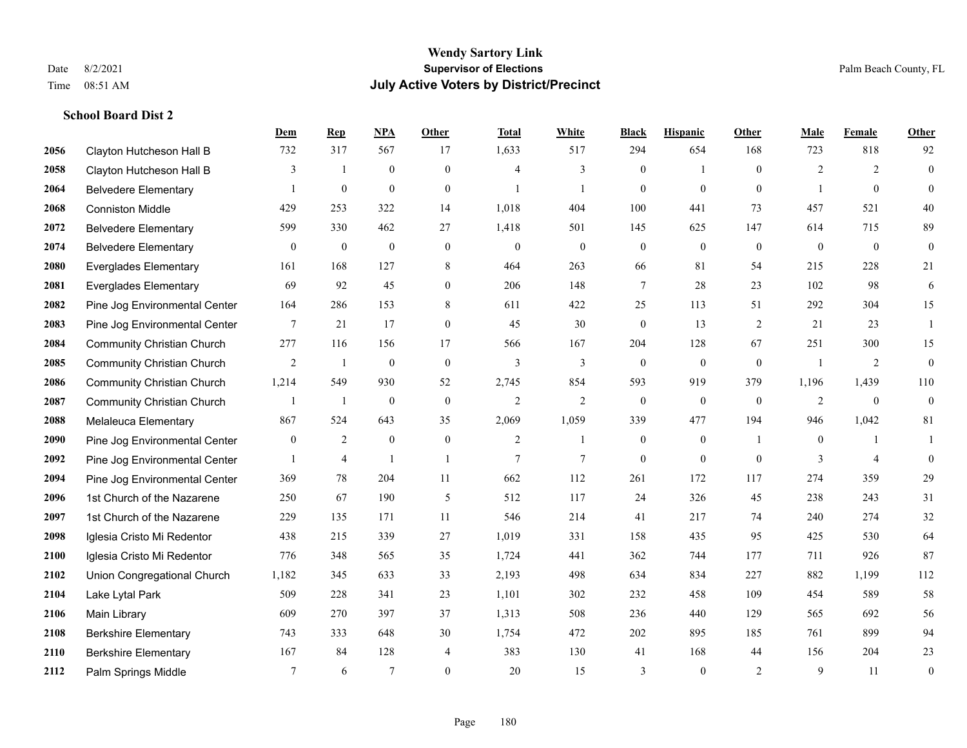**School Board Dist 2**

#### **Wendy Sartory Link** Date 8/2/2021 **Supervisor of Elections** Palm Beach County, FL Time 08:51 AM **July Active Voters by District/Precinct**

## **Dem Rep NPA Other Total White Black Hispanic Other Male Female Other** Clayton Hutcheson Hall B 732 317 567 17 1,633 517 294 654 168 723 818 92 Clayton Hutcheson Hall B 3 1 0 0 4 3 0 1 0 2 2 0 Belvedere Elementary 1 0 0 0 1 1 0 0 0 1 0 0 Conniston Middle 429 253 322 14 1,018 404 100 441 73 457 521 40 Belvedere Elementary 599 330 462 27 1,418 501 145 625 147 614 715 89 Belvedere Elementary 0 0 0 0 0 0 0 0 0 0 0 0 Everglades Elementary 161 168 127 8 464 263 66 81 54 215 228 21 Everglades Elementary 69 92 45 0 206 148 7 28 23 102 98 6 Pine Jog Environmental Center 164 286 153 8 611 422 25 113 51 292 304 15 Pine Jog Environmental Center 7 21 17 0 45 30 0 13 2 21 23 1 Community Christian Church 277 116 156 17 566 167 204 128 67 251 300 15 Community Christian Church 2 1 0 0 3 3 0 0 0 1 2 0 Community Christian Church 1,214 549 930 52 2,745 854 593 919 379 1,196 1,439 110 Community Christian Church 1 1 0 0 2 2 0 0 0 2 0 0 Melaleuca Elementary 867 524 643 35 2,069 1,059 339 477 194 946 1,042 81 Pine Jog Environmental Center  $\begin{array}{cccccccc} 0 & 2 & 0 & 0 & 2 & 1 & 0 & 1 & 0 & 1 \end{array}$ **2092** Pine Jog Environmental Center  $\begin{array}{ccccccccccccc} & 1 & 4 & 1 & 1 & 7 & 7 & 0 & 0 & 0 & 3 & 4 & 0 \end{array}$  Pine Jog Environmental Center 369 78 204 11 662 112 261 172 117 274 359 29 1st Church of the Nazarene 250 67 190 5 512 117 24 326 45 238 243 31 1st Church of the Nazarene 229 135 171 11 546 214 41 217 74 240 274 32 Iglesia Cristo Mi Redentor 438 215 339 27 1,019 331 158 435 95 425 530 64 Iglesia Cristo Mi Redentor 776 348 565 35 1,724 441 362 744 177 711 926 87 Union Congregational Church 1,182 345 633 33 2,193 498 634 834 227 882 1,199 112 Lake Lytal Park 509 228 341 23 1,101 302 232 458 109 454 589 58 Main Library 609 270 397 37 1,313 508 236 440 129 565 692 56 Berkshire Elementary 743 333 648 30 1,754 472 202 895 185 761 899 94 Berkshire Elementary 167 84 128 4 383 130 41 168 44 156 204 23 **2112** Palm Springs Middle  $\begin{array}{cccccccc} 7 & 6 & 7 & 0 & 20 & 15 & 3 & 0 & 2 & 9 & 11 & 0 \end{array}$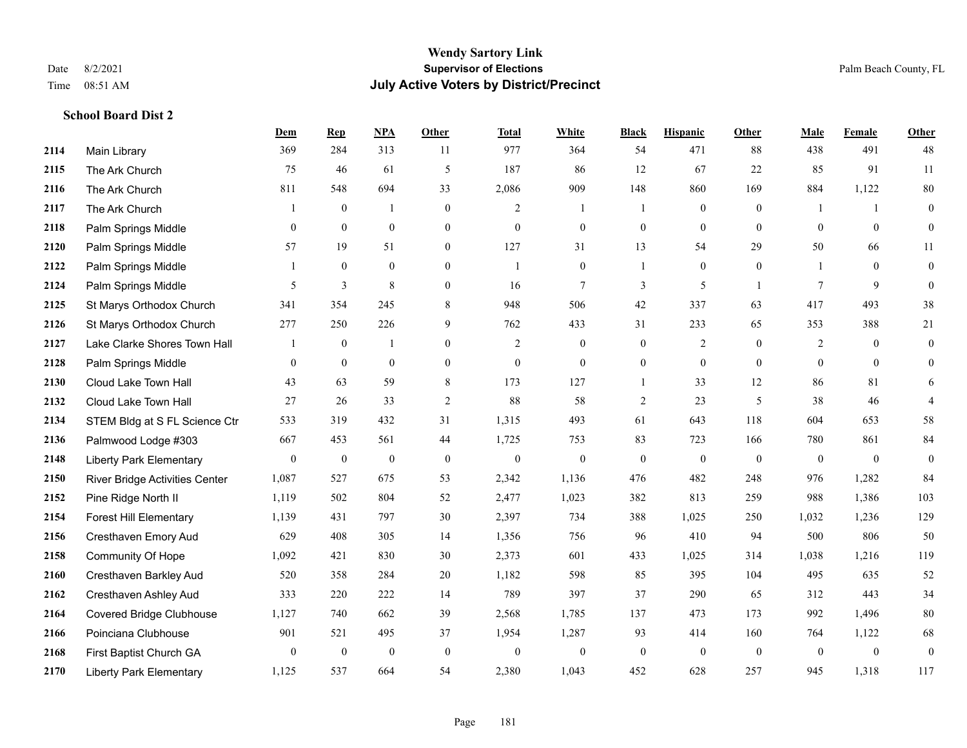|      |                                | <u>Dem</u>       | <b>Rep</b>       | NPA              | <b>Other</b>     | <b>Total</b>     | <b>White</b>     | <b>Black</b>     | <b>Hispanic</b>  | <b>Other</b>   | <b>Male</b>    | <b>Female</b> | <b>Other</b>     |
|------|--------------------------------|------------------|------------------|------------------|------------------|------------------|------------------|------------------|------------------|----------------|----------------|---------------|------------------|
| 2114 | Main Library                   | 369              | 284              | 313              | 11               | 977              | 364              | 54               | 471              | 88             | 438            | 491           | 48               |
| 2115 | The Ark Church                 | 75               | 46               | 61               | 5                | 187              | 86               | 12               | 67               | 22             | 85             | 91            | 11               |
| 2116 | The Ark Church                 | 811              | 548              | 694              | 33               | 2,086            | 909              | 148              | 860              | 169            | 884            | 1,122         | $80\,$           |
| 2117 | The Ark Church                 |                  | $\boldsymbol{0}$ | $\overline{1}$   | $\overline{0}$   | $\overline{c}$   | $\mathbf{1}$     | $\mathbf{1}$     | $\boldsymbol{0}$ | $\overline{0}$ |                | -1            | $\mathbf{0}$     |
| 2118 | Palm Springs Middle            | $\theta$         | $\overline{0}$   | $\mathbf{0}$     | $\Omega$         | $\theta$         | $\overline{0}$   | $\mathbf{0}$     | $\mathbf{0}$     | $\theta$       | $\theta$       | $\theta$      | $\overline{0}$   |
| 2120 | Palm Springs Middle            | 57               | 19               | 51               | $\overline{0}$   | 127              | 31               | 13               | 54               | 29             | 50             | 66            | 11               |
| 2122 | Palm Springs Middle            |                  | $\mathbf{0}$     | $\mathbf{0}$     | $\overline{0}$   | -1               | $\overline{0}$   | 1                | $\mathbf{0}$     | $\overline{0}$ |                | $\theta$      | $\boldsymbol{0}$ |
| 2124 | Palm Springs Middle            | 5                | 3                | 8                | $\Omega$         | 16               | $\tau$           | 3                | 5                | $\overline{1}$ | $\tau$         | 9             | $\theta$         |
| 2125 | St Marys Orthodox Church       | 341              | 354              | 245              | 8                | 948              | 506              | 42               | 337              | 63             | 417            | 493           | 38               |
| 2126 | St Marys Orthodox Church       | 277              | 250              | 226              | 9                | 762              | 433              | 31               | 233              | 65             | 353            | 388           | 21               |
| 2127 | Lake Clarke Shores Town Hall   |                  | $\mathbf{0}$     | $\mathbf{1}$     | $\Omega$         | 2                | $\overline{0}$   | $\mathbf{0}$     | $\overline{2}$   | $\theta$       | 2              | $\theta$      | $\mathbf{0}$     |
| 2128 | Palm Springs Middle            | $\mathbf{0}$     | $\theta$         | $\mathbf{0}$     | $\overline{0}$   | $\mathbf{0}$     | $\overline{0}$   | $\boldsymbol{0}$ | $\mathbf{0}$     | $\theta$       | $\overline{0}$ | $\theta$      | $\mathbf{0}$     |
| 2130 | Cloud Lake Town Hall           | 43               | 63               | 59               | 8                | 173              | 127              | $\mathbf{1}$     | 33               | 12             | 86             | 81            | 6                |
| 2132 | Cloud Lake Town Hall           | 27               | 26               | 33               | $\sqrt{2}$       | 88               | 58               | $\sqrt{2}$       | 23               | 5              | 38             | 46            | $\overline{4}$   |
| 2134 | STEM Bldg at S FL Science Ctr  | 533              | 319              | 432              | 31               | 1,315            | 493              | 61               | 643              | 118            | 604            | 653           | 58               |
| 2136 | Palmwood Lodge #303            | 667              | 453              | 561              | 44               | 1,725            | 753              | 83               | 723              | 166            | 780            | 861           | 84               |
| 2148 | <b>Liberty Park Elementary</b> | $\boldsymbol{0}$ | $\boldsymbol{0}$ | $\boldsymbol{0}$ | $\boldsymbol{0}$ | $\boldsymbol{0}$ | $\boldsymbol{0}$ | $\boldsymbol{0}$ | $\boldsymbol{0}$ | $\mathbf{0}$   | $\mathbf{0}$   | $\mathbf{0}$  | $\boldsymbol{0}$ |
| 2150 | River Bridge Activities Center | 1,087            | 527              | 675              | 53               | 2,342            | 1,136            | 476              | 482              | 248            | 976            | 1,282         | 84               |
| 2152 | Pine Ridge North II            | 1,119            | 502              | 804              | 52               | 2,477            | 1,023            | 382              | 813              | 259            | 988            | 1,386         | 103              |
| 2154 | <b>Forest Hill Elementary</b>  | 1,139            | 431              | 797              | 30               | 2,397            | 734              | 388              | 1,025            | 250            | 1,032          | 1,236         | 129              |
| 2156 | Cresthaven Emory Aud           | 629              | 408              | 305              | 14               | 1,356            | 756              | 96               | 410              | 94             | 500            | 806           | 50               |
| 2158 | <b>Community Of Hope</b>       | 1,092            | 421              | 830              | 30               | 2,373            | 601              | 433              | 1,025            | 314            | 1,038          | 1,216         | 119              |
| 2160 | Cresthaven Barkley Aud         | 520              | 358              | 284              | 20               | 1,182            | 598              | 85               | 395              | 104            | 495            | 635           | $52\,$           |
| 2162 | Cresthaven Ashley Aud          | 333              | 220              | 222              | 14               | 789              | 397              | 37               | 290              | 65             | 312            | 443           | 34               |
| 2164 | Covered Bridge Clubhouse       | 1,127            | 740              | 662              | 39               | 2,568            | 1,785            | 137              | 473              | 173            | 992            | 1,496         | $80\,$           |
| 2166 | Poinciana Clubhouse            | 901              | 521              | 495              | 37               | 1,954            | 1,287            | 93               | 414              | 160            | 764            | 1,122         | 68               |
| 2168 | First Baptist Church GA        | $\overline{0}$   | $\boldsymbol{0}$ | $\boldsymbol{0}$ | $\mathbf{0}$     | $\mathbf{0}$     | $\boldsymbol{0}$ | $\boldsymbol{0}$ | $\mathbf{0}$     | $\mathbf{0}$   | $\mathbf{0}$   | $\mathbf{0}$  | $\boldsymbol{0}$ |
| 2170 | <b>Liberty Park Elementary</b> | 1,125            | 537              | 664              | 54               | 2,380            | 1,043            | 452              | 628              | 257            | 945            | 1,318         | 117              |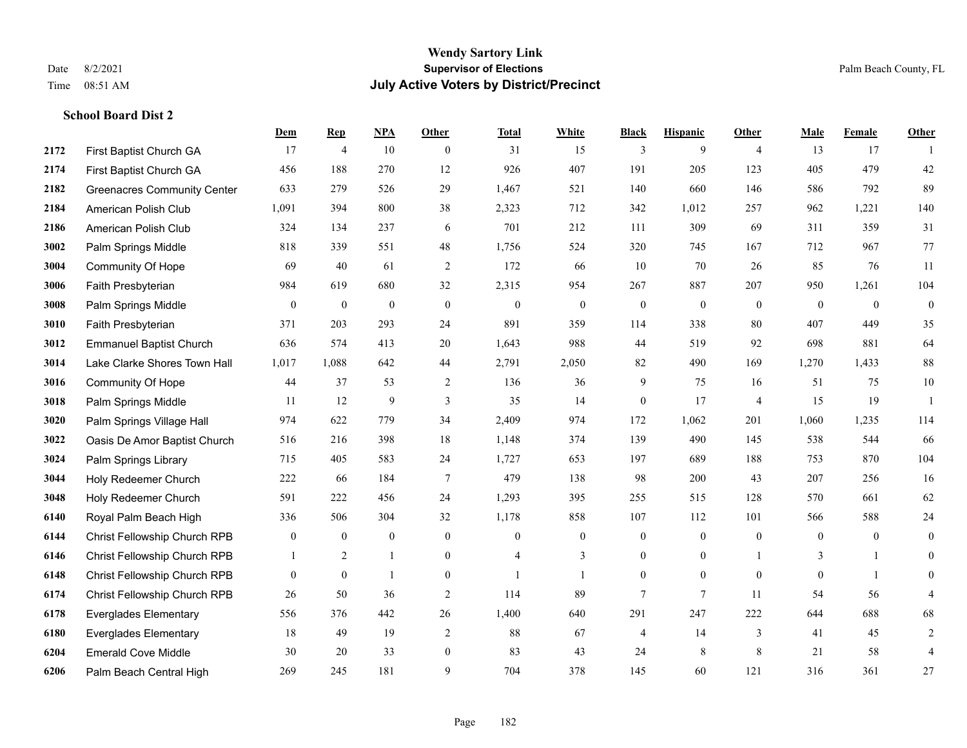|      |                                    | Dem          | <b>Rep</b>       | NPA              | <b>Other</b>   | <b>Total</b>     | <b>White</b>     | <b>Black</b>     | <b>Hispanic</b>  | <b>Other</b>   | <b>Male</b>    | <b>Female</b>  | <b>Other</b>     |
|------|------------------------------------|--------------|------------------|------------------|----------------|------------------|------------------|------------------|------------------|----------------|----------------|----------------|------------------|
| 2172 | First Baptist Church GA            | 17           | $\overline{4}$   | 10               | $\overline{0}$ | 31               | 15               | 3                | 9                | $\overline{4}$ | 13             | 17             | -1               |
| 2174 | First Baptist Church GA            | 456          | 188              | 270              | 12             | 926              | 407              | 191              | 205              | 123            | 405            | 479            | $42\,$           |
| 2182 | <b>Greenacres Community Center</b> | 633          | 279              | 526              | 29             | 1,467            | 521              | 140              | 660              | 146            | 586            | 792            | 89               |
| 2184 | American Polish Club               | 1,091        | 394              | 800              | 38             | 2,323            | 712              | 342              | 1,012            | 257            | 962            | 1,221          | 140              |
| 2186 | American Polish Club               | 324          | 134              | 237              | 6              | 701              | 212              | 111              | 309              | 69             | 311            | 359            | 31               |
| 3002 | Palm Springs Middle                | 818          | 339              | 551              | 48             | 1,756            | 524              | 320              | 745              | 167            | 712            | 967            | 77               |
| 3004 | <b>Community Of Hope</b>           | 69           | 40               | 61               | $\sqrt{2}$     | 172              | 66               | 10               | 70               | 26             | 85             | 76             | 11               |
| 3006 | Faith Presbyterian                 | 984          | 619              | 680              | 32             | 2,315            | 954              | 267              | 887              | 207            | 950            | 1,261          | 104              |
| 3008 | Palm Springs Middle                | $\mathbf{0}$ | $\boldsymbol{0}$ | $\boldsymbol{0}$ | $\mathbf{0}$   | $\boldsymbol{0}$ | $\boldsymbol{0}$ | $\boldsymbol{0}$ | $\boldsymbol{0}$ | $\mathbf{0}$   | $\mathbf{0}$   | $\mathbf{0}$   | $\boldsymbol{0}$ |
| 3010 | Faith Presbyterian                 | 371          | 203              | 293              | 24             | 891              | 359              | 114              | 338              | 80             | 407            | 449            | 35               |
| 3012 | <b>Emmanuel Baptist Church</b>     | 636          | 574              | 413              | 20             | 1,643            | 988              | 44               | 519              | 92             | 698            | 881            | 64               |
| 3014 | Lake Clarke Shores Town Hall       | 1,017        | 1,088            | 642              | 44             | 2,791            | 2,050            | 82               | 490              | 169            | 1,270          | 1.433          | $88\,$           |
| 3016 | Community Of Hope                  | 44           | 37               | 53               | 2              | 136              | 36               | 9                | 75               | 16             | 51             | 75             | $10\,$           |
| 3018 | Palm Springs Middle                | 11           | 12               | 9                | 3              | 35               | 14               | $\boldsymbol{0}$ | 17               | $\overline{4}$ | 15             | 19             | $\mathbf{1}$     |
| 3020 | Palm Springs Village Hall          | 974          | 622              | 779              | 34             | 2,409            | 974              | 172              | 1,062            | 201            | 1,060          | 1,235          | 114              |
| 3022 | Oasis De Amor Baptist Church       | 516          | 216              | 398              | 18             | 1,148            | 374              | 139              | 490              | 145            | 538            | 544            | 66               |
| 3024 | Palm Springs Library               | 715          | 405              | 583              | 24             | 1,727            | 653              | 197              | 689              | 188            | 753            | 870            | 104              |
| 3044 | Holy Redeemer Church               | 222          | 66               | 184              | $\overline{7}$ | 479              | 138              | 98               | 200              | 43             | 207            | 256            | 16               |
| 3048 | Holy Redeemer Church               | 591          | 222              | 456              | 24             | 1,293            | 395              | 255              | 515              | 128            | 570            | 661            | 62               |
| 6140 | Royal Palm Beach High              | 336          | 506              | 304              | 32             | 1,178            | 858              | 107              | 112              | 101            | 566            | 588            | 24               |
| 6144 | Christ Fellowship Church RPB       | $\mathbf{0}$ | $\mathbf{0}$     | $\mathbf{0}$     | $\overline{0}$ | $\mathbf{0}$     | $\boldsymbol{0}$ | $\boldsymbol{0}$ | $\boldsymbol{0}$ | $\overline{0}$ | $\overline{0}$ | $\overline{0}$ | $\boldsymbol{0}$ |
| 6146 | Christ Fellowship Church RPB       | 1            | 2                | $\mathbf{1}$     | $\overline{0}$ | $\overline{4}$   | 3                | $\mathbf{0}$     | $\mathbf{0}$     |                | 3              | $\mathbf{1}$   | $\mathbf{0}$     |
| 6148 | Christ Fellowship Church RPB       | $\theta$     | $\mathbf{0}$     | $\mathbf{1}$     | $\Omega$       |                  | $\mathbf{1}$     | $\overline{0}$   | $\theta$         | $\Omega$       | $\Omega$       | $\mathbf{1}$   | $\theta$         |
| 6174 | Christ Fellowship Church RPB       | 26           | 50               | 36               | $\overline{c}$ | 114              | 89               | $\overline{7}$   | $\overline{7}$   | 11             | 54             | 56             | 4                |
| 6178 | <b>Everglades Elementary</b>       | 556          | 376              | 442              | 26             | 1,400            | 640              | 291              | 247              | 222            | 644            | 688            | 68               |
| 6180 | <b>Everglades Elementary</b>       | 18           | 49               | 19               | $\mathfrak{2}$ | 88               | 67               | $\overline{4}$   | 14               | 3              | 41             | 45             | $\sqrt{2}$       |
| 6204 | <b>Emerald Cove Middle</b>         | 30           | 20               | 33               | $\overline{0}$ | 83               | 43               | 24               | 8                | 8              | 21             | 58             | $\overline{4}$   |
| 6206 | Palm Beach Central High            | 269          | 245              | 181              | 9              | 704              | 378              | 145              | 60               | 121            | 316            | 361            | 27               |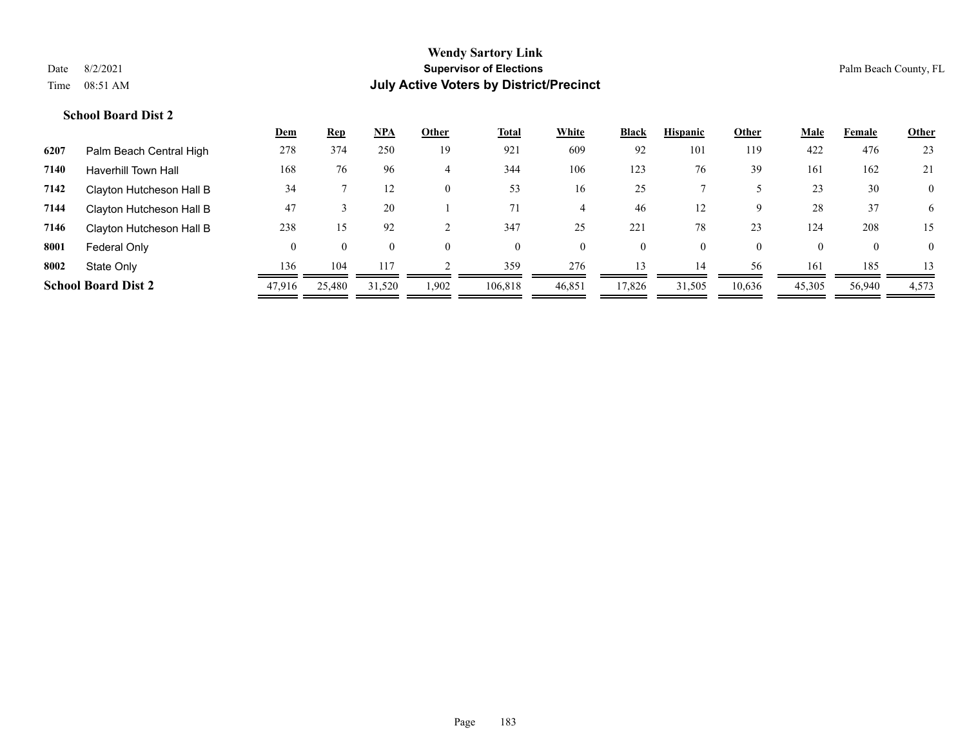|      |                            | <u>Dem</u> | <b>Rep</b> | <u>NPA</u>     | Other    | <b>Total</b> | White    | <b>Black</b> | <b>Hispanic</b> | Other    | Male     | Female       | <b>Other</b>   |
|------|----------------------------|------------|------------|----------------|----------|--------------|----------|--------------|-----------------|----------|----------|--------------|----------------|
| 6207 | Palm Beach Central High    | 278        | 374        | 250            | 19       | 921          | 609      | 92           | 101             | 119      | 422      | 476          | 23             |
| 7140 | Haverhill Town Hall        | 168        | 76         | 96             | 4        | 344          | 106      | 123          | 76              | 39       | 161      | 162          | 21             |
| 7142 | Clayton Hutcheson Hall B   | 34         |            | 12             | $\theta$ | 53           | 16       | 25           |                 |          | 23       | 30           | $\overline{0}$ |
| 7144 | Clayton Hutcheson Hall B   | 47         |            | 20             |          | 71           |          | 46           | 12              | 9        | 28       | 37           | 6              |
| 7146 | Clayton Hutcheson Hall B   | 238        | 15.        | 92             |          | 347          | 25       | 221          | 78              | 23       | 124      | 208          | 15             |
| 8001 | Federal Only               | 0          | $\Omega$   | $\overline{0}$ | $\theta$ | $\theta$     | $\Omega$ | 0            |                 | $\Omega$ | $\Omega$ | $\mathbf{0}$ | $\Omega$       |
| 8002 | State Only                 | 136        | 104        | 117            |          | 359          | 276      | 13           | 14              | 56       | 161      | 185          | 13             |
|      | <b>School Board Dist 2</b> | 47,916     | 25,480     | 31.520         | 1,902    | 106.818      | 46,851   | 17,826       | 31,505          | 10,636   | 45,305   | 56,940       | 4,573          |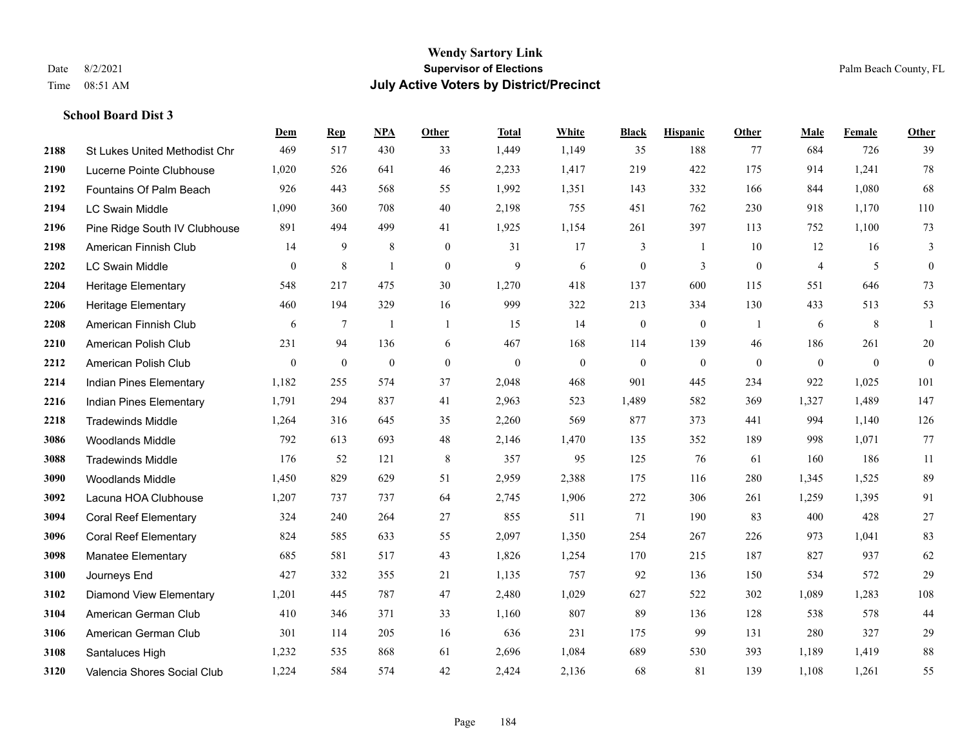|      |                                      | Dem            | <b>Rep</b> | NPA              | <b>Other</b>   | <b>Total</b> | White          | <b>Black</b>     | <b>Hispanic</b> | <b>Other</b>   | <b>Male</b>    | Female         | <b>Other</b>     |
|------|--------------------------------------|----------------|------------|------------------|----------------|--------------|----------------|------------------|-----------------|----------------|----------------|----------------|------------------|
| 2188 | <b>St Lukes United Methodist Chr</b> | 469            | 517        | 430              | 33             | 1,449        | 1,149          | 35               | 188             | 77             | 684            | 726            | 39               |
| 2190 | Lucerne Pointe Clubhouse             | 1,020          | 526        | 641              | 46             | 2,233        | 1,417          | 219              | 422             | 175            | 914            | 1,241          | 78               |
| 2192 | Fountains Of Palm Beach              | 926            | 443        | 568              | 55             | 1,992        | 1,351          | 143              | 332             | 166            | 844            | 1,080          | 68               |
| 2194 | <b>LC Swain Middle</b>               | 1,090          | 360        | 708              | 40             | 2,198        | 755            | 451              | 762             | 230            | 918            | 1,170          | 110              |
| 2196 | Pine Ridge South IV Clubhouse        | 891            | 494        | 499              | 41             | 1,925        | 1,154          | 261              | 397             | 113            | 752            | 1,100          | 73               |
| 2198 | American Finnish Club                | 14             | 9          | 8                | $\overline{0}$ | 31           | 17             | 3                | -1              | 10             | 12             | 16             | 3                |
| 2202 | LC Swain Middle                      | $\overline{0}$ | $\,8\,$    | 1                | $\mathbf{0}$   | 9            | 6              | $\boldsymbol{0}$ | 3               | $\mathbf{0}$   | $\overline{4}$ | 5              | $\boldsymbol{0}$ |
| 2204 | <b>Heritage Elementary</b>           | 548            | 217        | 475              | 30             | 1,270        | 418            | 137              | 600             | 115            | 551            | 646            | 73               |
| 2206 | <b>Heritage Elementary</b>           | 460            | 194        | 329              | 16             | 999          | 322            | 213              | 334             | 130            | 433            | 513            | 53               |
| 2208 | American Finnish Club                | 6              | $\tau$     | $\mathbf{1}$     | $\mathbf{1}$   | 15           | 14             | $\boldsymbol{0}$ | $\mathbf{0}$    | $\overline{1}$ | 6              | 8              | -1               |
| 2210 | American Polish Club                 | 231            | 94         | 136              | 6              | 467          | 168            | 114              | 139             | 46             | 186            | 261            | 20               |
| 2212 | American Polish Club                 | $\mathbf{0}$   | $\bf{0}$   | $\boldsymbol{0}$ | $\overline{0}$ | $\mathbf{0}$ | $\overline{0}$ | $\boldsymbol{0}$ | $\mathbf{0}$    | $\mathbf{0}$   | $\overline{0}$ | $\overline{0}$ | $\mathbf{0}$     |
| 2214 | Indian Pines Elementary              | 1,182          | 255        | 574              | 37             | 2,048        | 468            | 901              | 445             | 234            | 922            | 1,025          | 101              |
| 2216 | Indian Pines Elementary              | 1,791          | 294        | 837              | 41             | 2,963        | 523            | 1,489            | 582             | 369            | 1,327          | 1,489          | 147              |
| 2218 | <b>Tradewinds Middle</b>             | 1,264          | 316        | 645              | 35             | 2,260        | 569            | 877              | 373             | 441            | 994            | 1,140          | 126              |
| 3086 | <b>Woodlands Middle</b>              | 792            | 613        | 693              | 48             | 2,146        | 1,470          | 135              | 352             | 189            | 998            | 1,071          | 77               |
| 3088 | <b>Tradewinds Middle</b>             | 176            | 52         | 121              | $\,8\,$        | 357          | 95             | 125              | 76              | 61             | 160            | 186            | 11               |
| 3090 | <b>Woodlands Middle</b>              | 1,450          | 829        | 629              | 51             | 2,959        | 2,388          | 175              | 116             | 280            | 1,345          | 1,525          | 89               |
| 3092 | Lacuna HOA Clubhouse                 | 1,207          | 737        | 737              | 64             | 2,745        | 1,906          | 272              | 306             | 261            | 1,259          | 1,395          | 91               |
| 3094 | <b>Coral Reef Elementary</b>         | 324            | 240        | 264              | 27             | 855          | 511            | 71               | 190             | 83             | 400            | 428            | 27               |
| 3096 | <b>Coral Reef Elementary</b>         | 824            | 585        | 633              | 55             | 2,097        | 1,350          | 254              | 267             | 226            | 973            | 1,041          | 83               |
| 3098 | Manatee Elementary                   | 685            | 581        | 517              | 43             | 1,826        | 1,254          | 170              | 215             | 187            | 827            | 937            | 62               |
| 3100 | Journeys End                         | 427            | 332        | 355              | 21             | 1,135        | 757            | 92               | 136             | 150            | 534            | 572            | 29               |
| 3102 | <b>Diamond View Elementary</b>       | 1,201          | 445        | 787              | 47             | 2,480        | 1,029          | 627              | 522             | 302            | 1,089          | 1,283          | $108\,$          |
| 3104 | American German Club                 | 410            | 346        | 371              | 33             | 1,160        | 807            | 89               | 136             | 128            | 538            | 578            | 44               |
| 3106 | American German Club                 | 301            | 114        | 205              | 16             | 636          | 231            | 175              | 99              | 131            | 280            | 327            | 29               |
| 3108 | Santaluces High                      | 1,232          | 535        | 868              | 61             | 2,696        | 1,084          | 689              | 530             | 393            | 1,189          | 1,419          | 88               |
| 3120 | Valencia Shores Social Club          | 1,224          | 584        | 574              | 42             | 2,424        | 2,136          | 68               | 81              | 139            | 1,108          | 1,261          | 55               |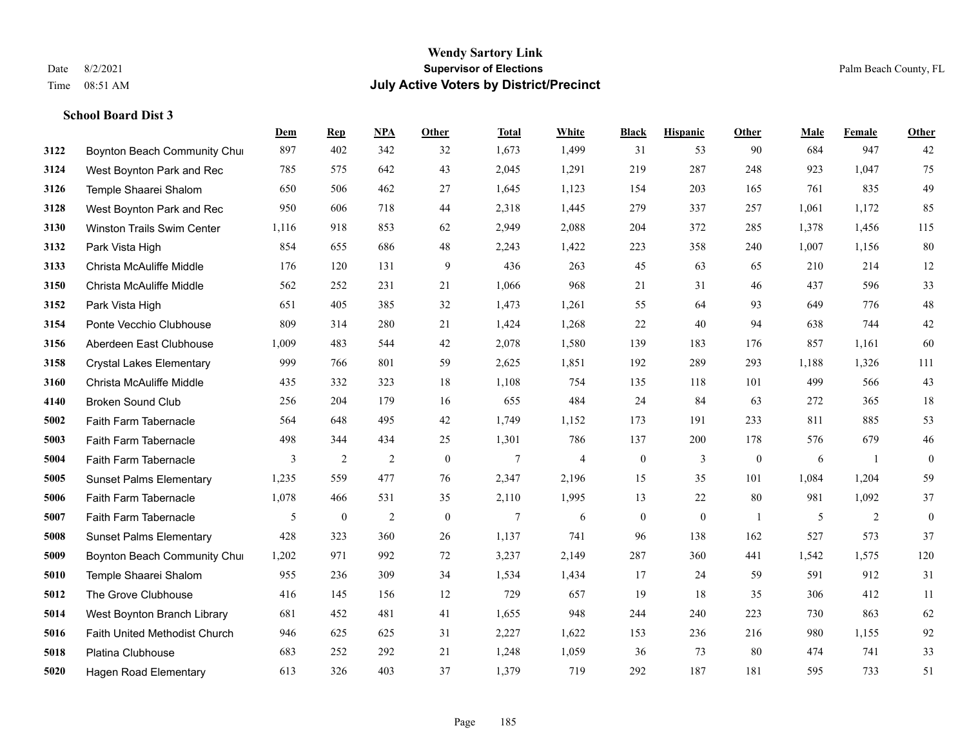|      |                                 | Dem   | <b>Rep</b>       | NPA            | <b>Other</b> | <b>Total</b> | White | <b>Black</b>     | <b>Hispanic</b> | <b>Other</b>   | <b>Male</b> | Female | <b>Other</b>     |
|------|---------------------------------|-------|------------------|----------------|--------------|--------------|-------|------------------|-----------------|----------------|-------------|--------|------------------|
| 3122 | Boynton Beach Community Chur    | 897   | 402              | 342            | 32           | 1,673        | 1,499 | 31               | 53              | 90             | 684         | 947    | 42               |
| 3124 | West Boynton Park and Rec       | 785   | 575              | 642            | 43           | 2,045        | 1,291 | 219              | 287             | 248            | 923         | 1,047  | 75               |
| 3126 | Temple Shaarei Shalom           | 650   | 506              | 462            | 27           | 1,645        | 1,123 | 154              | 203             | 165            | 761         | 835    | 49               |
| 3128 | West Boynton Park and Rec       | 950   | 606              | 718            | 44           | 2,318        | 1,445 | 279              | 337             | 257            | 1,061       | 1,172  | 85               |
| 3130 | Winston Trails Swim Center      | 1,116 | 918              | 853            | 62           | 2,949        | 2,088 | 204              | 372             | 285            | 1,378       | 1,456  | 115              |
| 3132 | Park Vista High                 | 854   | 655              | 686            | 48           | 2,243        | 1,422 | 223              | 358             | 240            | 1,007       | 1,156  | 80               |
| 3133 | Christa McAuliffe Middle        | 176   | 120              | 131            | 9            | 436          | 263   | 45               | 63              | 65             | 210         | 214    | 12               |
| 3150 | Christa McAuliffe Middle        | 562   | 252              | 231            | 21           | 1,066        | 968   | 21               | 31              | 46             | 437         | 596    | 33               |
| 3152 | Park Vista High                 | 651   | 405              | 385            | 32           | 1,473        | 1,261 | 55               | 64              | 93             | 649         | 776    | $48\,$           |
| 3154 | Ponte Vecchio Clubhouse         | 809   | 314              | 280            | 21           | 1,424        | 1,268 | 22               | 40              | 94             | 638         | 744    | $42\,$           |
| 3156 | Aberdeen East Clubhouse         | 1,009 | 483              | 544            | 42           | 2,078        | 1,580 | 139              | 183             | 176            | 857         | 1,161  | 60               |
| 3158 | <b>Crystal Lakes Elementary</b> | 999   | 766              | 801            | 59           | 2,625        | 1,851 | 192              | 289             | 293            | 1,188       | 1,326  | 111              |
| 3160 | Christa McAuliffe Middle        | 435   | 332              | 323            | 18           | 1,108        | 754   | 135              | 118             | 101            | 499         | 566    | 43               |
| 4140 | <b>Broken Sound Club</b>        | 256   | 204              | 179            | 16           | 655          | 484   | 24               | 84              | 63             | 272         | 365    | $18\,$           |
| 5002 | Faith Farm Tabernacle           | 564   | 648              | 495            | 42           | 1,749        | 1,152 | 173              | 191             | 233            | 811         | 885    | 53               |
| 5003 | Faith Farm Tabernacle           | 498   | 344              | 434            | 25           | 1,301        | 786   | 137              | 200             | 178            | 576         | 679    | $46\,$           |
| 5004 | Faith Farm Tabernacle           | 3     | $\overline{2}$   | $\overline{2}$ | $\mathbf{0}$ | 7            | 4     | $\boldsymbol{0}$ | 3               | $\overline{0}$ | 6           | -1     | $\boldsymbol{0}$ |
| 5005 | <b>Sunset Palms Elementary</b>  | 1,235 | 559              | 477            | 76           | 2,347        | 2,196 | 15               | 35              | 101            | 1,084       | 1,204  | 59               |
| 5006 | Faith Farm Tabernacle           | 1,078 | 466              | 531            | 35           | 2,110        | 1,995 | 13               | 22              | 80             | 981         | 1,092  | 37               |
| 5007 | Faith Farm Tabernacle           | 5     | $\boldsymbol{0}$ | $\overline{2}$ | $\mathbf{0}$ | 7            | 6     | $\boldsymbol{0}$ | $\mathbf{0}$    | $\overline{1}$ | 5           | 2      | $\boldsymbol{0}$ |
| 5008 | <b>Sunset Palms Elementary</b>  | 428   | 323              | 360            | 26           | 1,137        | 741   | 96               | 138             | 162            | 527         | 573    | 37               |
| 5009 | Boynton Beach Community Chur    | 1,202 | 971              | 992            | 72           | 3,237        | 2,149 | 287              | 360             | 441            | 1,542       | 1,575  | 120              |
| 5010 | Temple Shaarei Shalom           | 955   | 236              | 309            | 34           | 1,534        | 1,434 | 17               | 24              | 59             | 591         | 912    | 31               |
| 5012 | The Grove Clubhouse             | 416   | 145              | 156            | 12           | 729          | 657   | 19               | 18              | 35             | 306         | 412    | 11               |
| 5014 | West Boynton Branch Library     | 681   | 452              | 481            | 41           | 1,655        | 948   | 244              | 240             | 223            | 730         | 863    | 62               |
| 5016 | Faith United Methodist Church   | 946   | 625              | 625            | 31           | 2,227        | 1,622 | 153              | 236             | 216            | 980         | 1,155  | 92               |
| 5018 | Platina Clubhouse               | 683   | 252              | 292            | 21           | 1,248        | 1,059 | 36               | 73              | 80             | 474         | 741    | 33               |
| 5020 | <b>Hagen Road Elementary</b>    | 613   | 326              | 403            | 37           | 1,379        | 719   | 292              | 187             | 181            | 595         | 733    | 51               |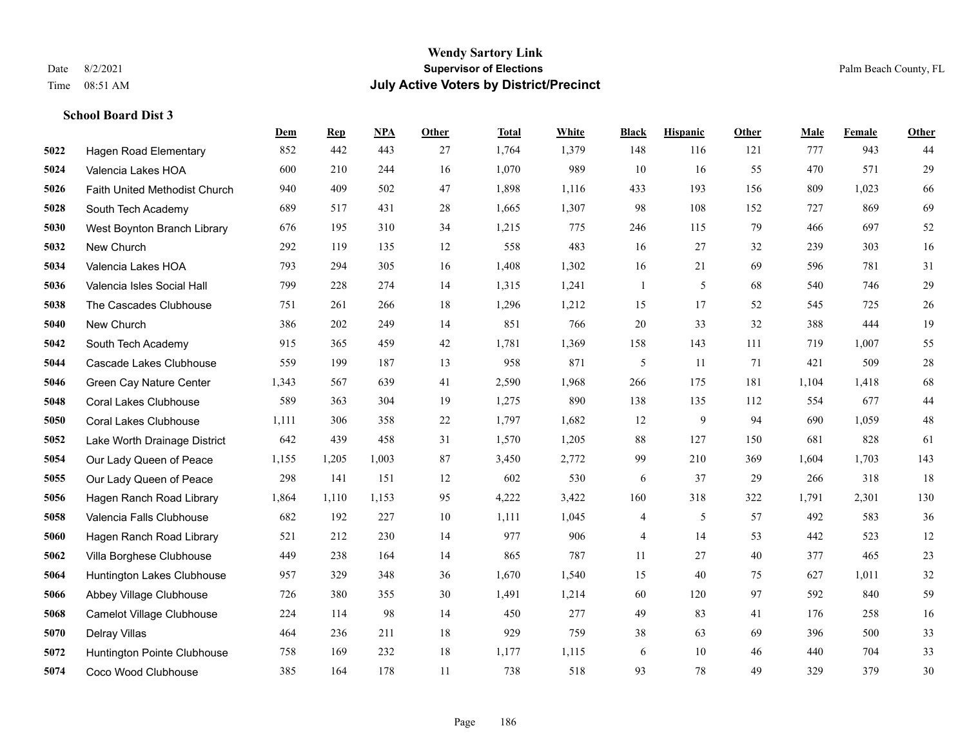**School Board Dist 3**

#### **Wendy Sartory Link** Date 8/2/2021 **Supervisor of Elections** Palm Beach County, FL Time 08:51 AM **July Active Voters by District/Precinct**

**Dem Rep NPA Other Total White Black Hispanic Other Male Female Other**

## Hagen Road Elementary 852 442 443 27 1,764 1,379 148 116 121 777 943 44 Valencia Lakes HOA 600 210 244 16 1,070 989 10 16 55 470 571 29 Faith United Methodist Church 940 409 502 47 1,898 1,116 433 193 156 809 1,023 66 South Tech Academy 689 517 431 28 1,665 1,307 98 108 152 727 869 69 West Boynton Branch Library 676 195 310 34 1,215 775 246 115 79 466 697 52 New Church 292 119 135 12 558 483 16 27 32 239 303 16 Valencia Lakes HOA 793 294 305 16 1,408 1,302 16 21 69 596 781 31 Valencia Isles Social Hall 799 228 274 14 1,315 1,241 1 5 68 540 746 29 The Cascades Clubhouse 751 261 266 18 1,296 1,212 15 17 52 545 725 26 New Church 386 202 249 14 851 766 20 33 32 388 444 19 South Tech Academy 915 365 459 42 1,781 1,369 158 143 111 719 1,007 55 Cascade Lakes Clubhouse  $559$   $199$   $187$   $13$   $958$   $871$   $5$   $11$   $71$   $421$   $509$   $28$  Green Cay Nature Center 1,343 567 639 41 2,590 1,968 266 175 181 1,104 1,418 68 Coral Lakes Clubhouse 589 363 304 19 1,275 890 138 135 112 554 677 44 Coral Lakes Clubhouse 1,111 306 358 22 1,797 1,682 12 9 94 690 1,059 48 Lake Worth Drainage District 642 439 458 31 1,570 1,205 88 127 150 681 828 61 Our Lady Queen of Peace 1,155 1,205 1,003 87 3,450 2,772 99 210 369 1,604 1,703 143 Our Lady Queen of Peace 298 141 151 12 602 530 6 37 29 266 318 18 Hagen Ranch Road Library 1,864 1,110 1,153 95 4,222 3,422 160 318 322 1,791 2,301 130 Valencia Falls Clubhouse 682 192 227 10 1,111 1,045 4 5 57 492 583 36 Hagen Ranch Road Library 521 212 230 14 977 906 4 14 53 442 523 12 Villa Borghese Clubhouse 449 238 164 14 865 787 11 27 40 377 465 23 Huntington Lakes Clubhouse 957 329 348 36 1,670 1,540 15 40 75 627 1,011 32 Abbey Village Clubhouse 726 380 355 30 1,491 1,214 60 120 97 592 840 59 Camelot Village Clubhouse 224 114 98 14 450 277 49 83 41 176 258 16 Delray Villas 464 236 211 18 929 759 38 63 69 396 500 33

 Huntington Pointe Clubhouse 758 169 232 18 1,177 1,115 6 10 46 440 704 33 Coco Wood Clubhouse 385 164 178 11 738 518 93 78 49 329 379 30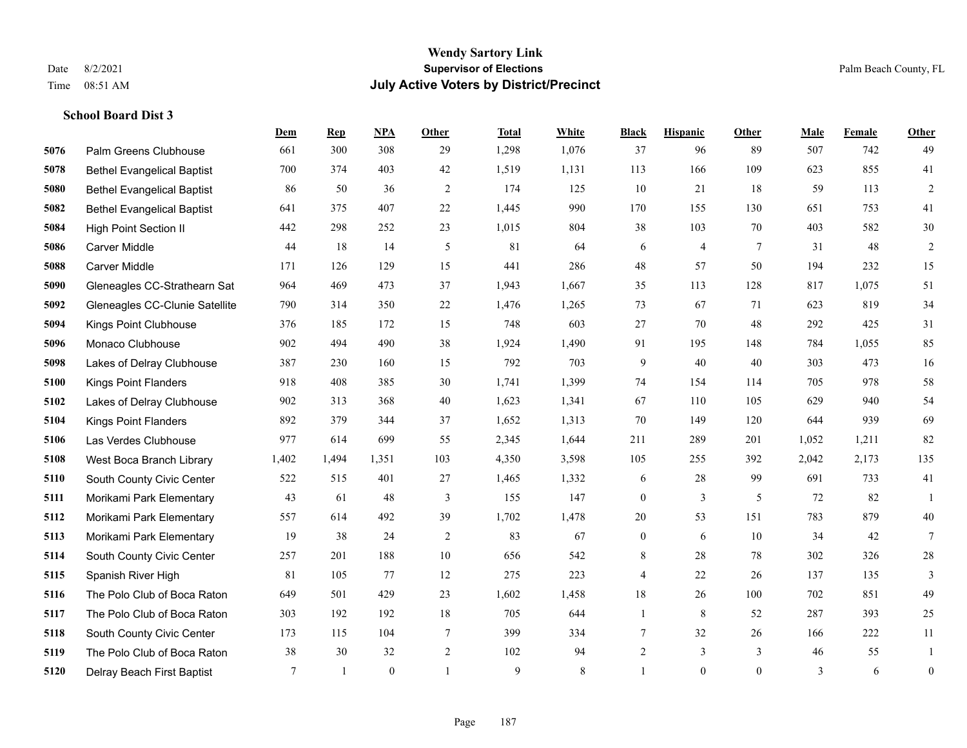**School Board Dist 3**

### **Wendy Sartory Link** Date 8/2/2021 **Supervisor of Elections** Palm Beach County, FL Time 08:51 AM **July Active Voters by District/Precinct**

## **Dem Rep NPA Other Total White Black Hispanic Other Male Female Other** Palm Greens Clubhouse 661 300 308 29 1,298 1,076 37 96 89 507 742 49 Bethel Evangelical Baptist 700 374 403 42 1,519 1,131 113 166 109 623 855 41 Bethel Evangelical Baptist 86 50 36 2 174 125 10 21 18 59 113 2 Bethel Evangelical Baptist 641 375 407 22 1,445 990 170 155 130 651 753 41 High Point Section II 442 298 252 23 1,015 804 38 103 70 403 582 30 Carver Middle 44 18 14 5 81 64 6 4 7 31 48 2 Carver Middle 171 126 129 15 441 286 48 57 50 194 232 15 Gleneagles CC-Strathearn Sat 964 469 473 37 1,943 1,667 35 113 128 817 1,075 51 Gleneagles CC-Clunie Satellite 790 314 350 22 1,476 1,265 73 67 71 623 819 34 Kings Point Clubhouse 376 185 172 15 748 603 27 70 48 292 425 31 Monaco Clubhouse 902 494 490 38 1,924 1,490 91 195 148 784 1,055 85 Lakes of Delray Clubhouse 387 230 160 15 792 703 9 40 40 303 473 16 Kings Point Flanders 918 408 385 30 1,741 1,399 74 154 114 705 978 58 Lakes of Delray Clubhouse 902 313 368 40 1,623 1,341 67 110 105 629 940 54 Kings Point Flanders 892 379 344 37 1,652 1,313 70 149 120 644 939 69 Las Verdes Clubhouse 977 614 699 55 2,345 1,644 211 289 201 1,052 1,211 82 West Boca Branch Library 1,402 1,494 1,351 103 4,350 3,598 105 255 392 2,042 2,173 135 South County Civic Center 522 515 401 27 1,465 1,332 6 28 99 691 733 41 Morikami Park Elementary 43 61 48 3 155 147 0 3 5 72 82 1 Morikami Park Elementary 557 614 492 39 1,702 1,478 20 53 151 783 879 40 Morikami Park Elementary 19 38 24 2 83 67 0 6 10 34 42 7 South County Civic Center 257 201 188 10 656 542 8 28 78 302 326 28 Spanish River High 81 105 77 12 275 223 4 22 26 137 135 3 The Polo Club of Boca Raton 649 501 429 23 1,602 1,458 18 26 100 702 851 49 The Polo Club of Boca Raton 303 192 192 18 705 644 1 8 52 287 393 25 South County Civic Center 173 115 104 7 399 334 7 32 26 166 222 11 The Polo Club of Boca Raton 38 30 32 2 102 94 2 3 3 46 55 1 Delray Beach First Baptist 7 1 0 1 9 8 1 0 0 3 6 0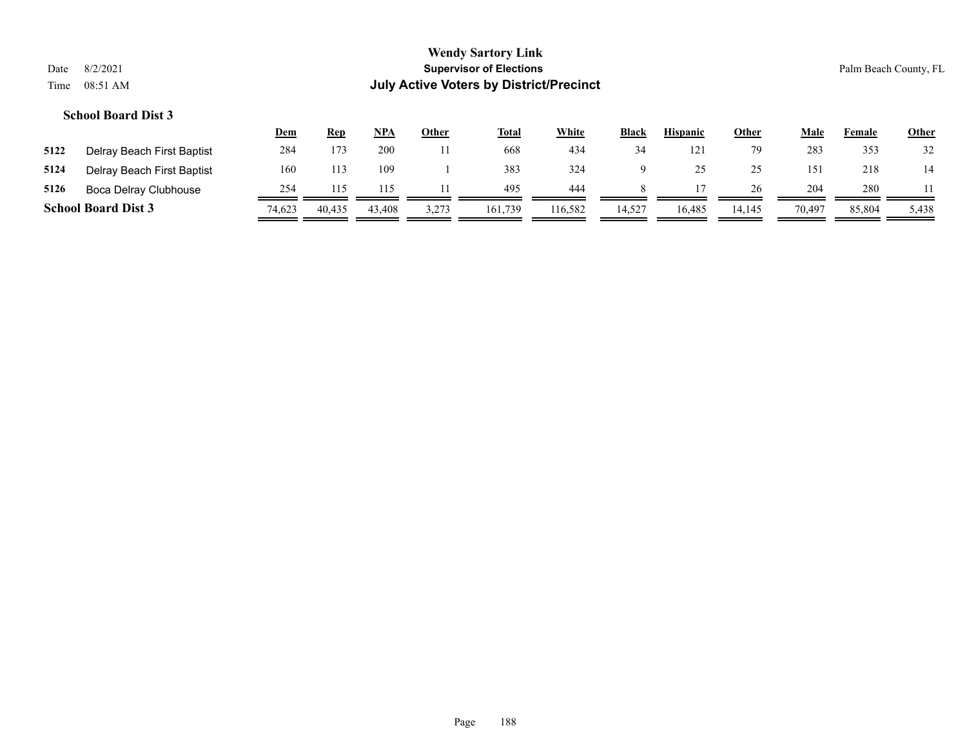|      |                            | <u>Dem</u> | <u>Rep</u> | <u>NPA</u> | Other | <u>Total</u> | <b>White</b> | <b>Black</b> | <b>Hispanic</b> | <u>Other</u> | Male   | Female | <b>Other</b> |
|------|----------------------------|------------|------------|------------|-------|--------------|--------------|--------------|-----------------|--------------|--------|--------|--------------|
| 5122 | Delray Beach First Baptist | 284        | 173        | 200        |       | 668          | 434          | 34           | 121             | 79           | 283    | 353    | 32           |
| 5124 | Delray Beach First Baptist | 160        | 113        | 109        |       | 383          | 324          |              |                 | 25           | 151    | 218    | 14           |
| 5126 | Boca Delray Clubhouse      | 254        |            |            |       | 495          | 444          |              |                 | 26           | 204    | 280    |              |
|      | <b>School Board Dist 3</b> | 74,623     | 40,435     | 43,408     | 3,273 | 161,739      | 116,582      | 14.527       | 16.485          | 14.145       | 70,497 | 85,804 | 5,438        |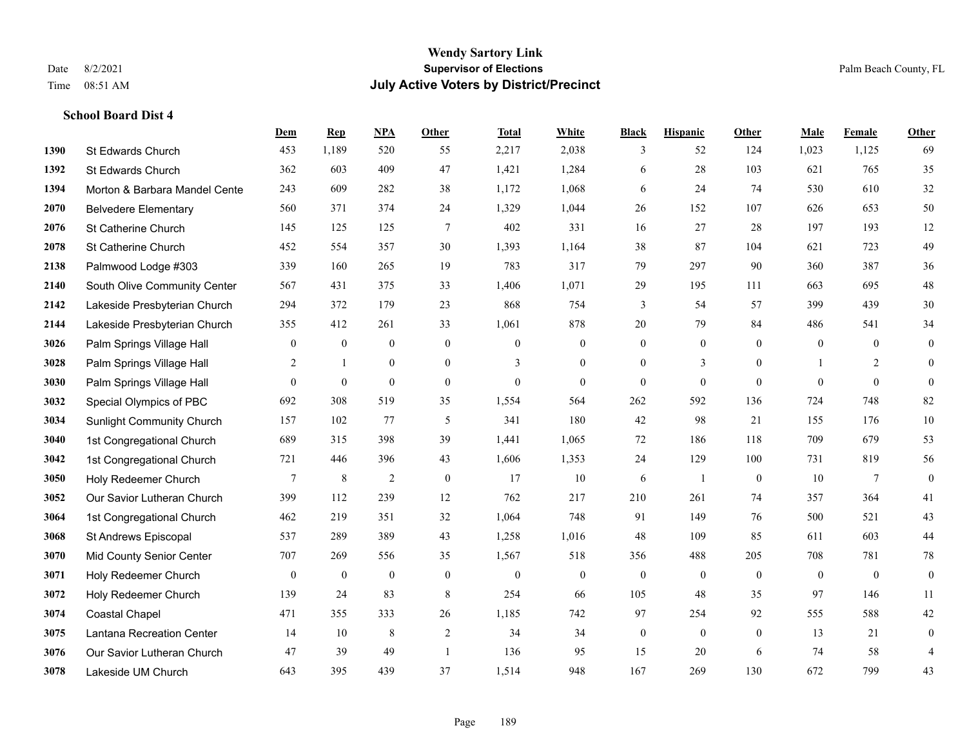|      |                                  | Dem          | <b>Rep</b>       | NPA            | <b>Other</b>   | <b>Total</b>   | <b>White</b>   | <b>Black</b>     | <b>Hispanic</b> | Other          | <b>Male</b>  | <b>Female</b>  | <b>Other</b>     |
|------|----------------------------------|--------------|------------------|----------------|----------------|----------------|----------------|------------------|-----------------|----------------|--------------|----------------|------------------|
| 1390 | St Edwards Church                | 453          | 1,189            | 520            | 55             | 2,217          | 2,038          | 3                | 52              | 124            | 1,023        | 1,125          | 69               |
| 1392 | St Edwards Church                | 362          | 603              | 409            | 47             | 1,421          | 1,284          | 6                | 28              | 103            | 621          | 765            | 35               |
| 1394 | Morton & Barbara Mandel Cente    | 243          | 609              | 282            | 38             | 1,172          | 1,068          | 6                | 24              | 74             | 530          | 610            | 32               |
| 2070 | <b>Belvedere Elementary</b>      | 560          | 371              | 374            | 24             | 1,329          | 1,044          | 26               | 152             | 107            | 626          | 653            | 50               |
| 2076 | St Catherine Church              | 145          | 125              | 125            | 7              | 402            | 331            | 16               | 27              | 28             | 197          | 193            | 12               |
| 2078 | St Catherine Church              | 452          | 554              | 357            | 30             | 1,393          | 1,164          | 38               | 87              | 104            | 621          | 723            | 49               |
| 2138 | Palmwood Lodge #303              | 339          | 160              | 265            | 19             | 783            | 317            | 79               | 297             | 90             | 360          | 387            | $36\,$           |
| 2140 | South Olive Community Center     | 567          | 431              | 375            | 33             | 1,406          | 1,071          | 29               | 195             | 111            | 663          | 695            | $48\,$           |
| 2142 | Lakeside Presbyterian Church     | 294          | 372              | 179            | 23             | 868            | 754            | 3                | 54              | 57             | 399          | 439            | $30\,$           |
| 2144 | Lakeside Presbyterian Church     | 355          | 412              | 261            | 33             | 1,061          | 878            | 20               | 79              | 84             | 486          | 541            | 34               |
| 3026 | Palm Springs Village Hall        | $\mathbf{0}$ | $\boldsymbol{0}$ | $\mathbf{0}$   | $\mathbf{0}$   | $\mathbf{0}$   | $\mathbf{0}$   | $\overline{0}$   | $\overline{0}$  | $\mathbf{0}$   | $\mathbf{0}$ | $\overline{0}$ | $\mathbf{0}$     |
| 3028 | Palm Springs Village Hall        | 2            | $\mathbf{1}$     | $\mathbf{0}$   | $\overline{0}$ | 3              | $\overline{0}$ | $\overline{0}$   | 3               | $\overline{0}$ | 1            | 2              | $\overline{0}$   |
| 3030 | Palm Springs Village Hall        | $\mathbf{0}$ | $\boldsymbol{0}$ | $\mathbf{0}$   | $\theta$       | $\mathbf{0}$   | $\overline{0}$ | $\Omega$         | $\overline{0}$  | $\theta$       | $\theta$     | $\theta$       | $\theta$         |
| 3032 | Special Olympics of PBC          | 692          | 308              | 519            | 35             | 1,554          | 564            | 262              | 592             | 136            | 724          | 748            | 82               |
| 3034 | <b>Sunlight Community Church</b> | 157          | 102              | 77             | 5              | 341            | 180            | 42               | 98              | 21             | 155          | 176            | $10\,$           |
| 3040 | 1st Congregational Church        | 689          | 315              | 398            | 39             | 1,441          | 1,065          | 72               | 186             | 118            | 709          | 679            | 53               |
| 3042 | 1st Congregational Church        | 721          | 446              | 396            | 43             | 1,606          | 1,353          | 24               | 129             | 100            | 731          | 819            | 56               |
| 3050 | Holy Redeemer Church             | $\tau$       | $\,8\,$          | $\overline{2}$ | $\theta$       | 17             | 10             | 6                | $\overline{1}$  | $\mathbf{0}$   | 10           | $\tau$         | $\mathbf{0}$     |
| 3052 | Our Savior Lutheran Church       | 399          | 112              | 239            | 12             | 762            | 217            | 210              | 261             | 74             | 357          | 364            | 41               |
| 3064 | 1st Congregational Church        | 462          | 219              | 351            | 32             | 1,064          | 748            | 91               | 149             | 76             | 500          | 521            | $43\,$           |
| 3068 | St Andrews Episcopal             | 537          | 289              | 389            | 43             | 1,258          | 1,016          | 48               | 109             | 85             | 611          | 603            | 44               |
| 3070 | Mid County Senior Center         | 707          | 269              | 556            | 35             | 1,567          | 518            | 356              | 488             | 205            | 708          | 781            | $78\,$           |
| 3071 | Holy Redeemer Church             | $\mathbf{0}$ | $\boldsymbol{0}$ | $\mathbf{0}$   | $\mathbf{0}$   | $\overline{0}$ | $\overline{0}$ | $\mathbf{0}$     | $\mathbf{0}$    | $\mathbf{0}$   | $\mathbf{0}$ | $\overline{0}$ | $\mathbf{0}$     |
| 3072 | Holy Redeemer Church             | 139          | 24               | 83             | 8              | 254            | 66             | 105              | 48              | 35             | 97           | 146            | 11               |
| 3074 | <b>Coastal Chapel</b>            | 471          | 355              | 333            | 26             | 1,185          | 742            | 97               | 254             | 92             | 555          | 588            | $42\,$           |
| 3075 | Lantana Recreation Center        | 14           | 10               | $\,$ 8 $\,$    | $\sqrt{2}$     | 34             | 34             | $\boldsymbol{0}$ | $\overline{0}$  | $\mathbf{0}$   | 13           | 21             | $\boldsymbol{0}$ |
| 3076 | Our Savior Lutheran Church       | 47           | 39               | 49             | $\overline{1}$ | 136            | 95             | 15               | 20              | 6              | 74           | 58             | 4                |
| 3078 | Lakeside UM Church               | 643          | 395              | 439            | 37             | 1,514          | 948            | 167              | 269             | 130            | 672          | 799            | 43               |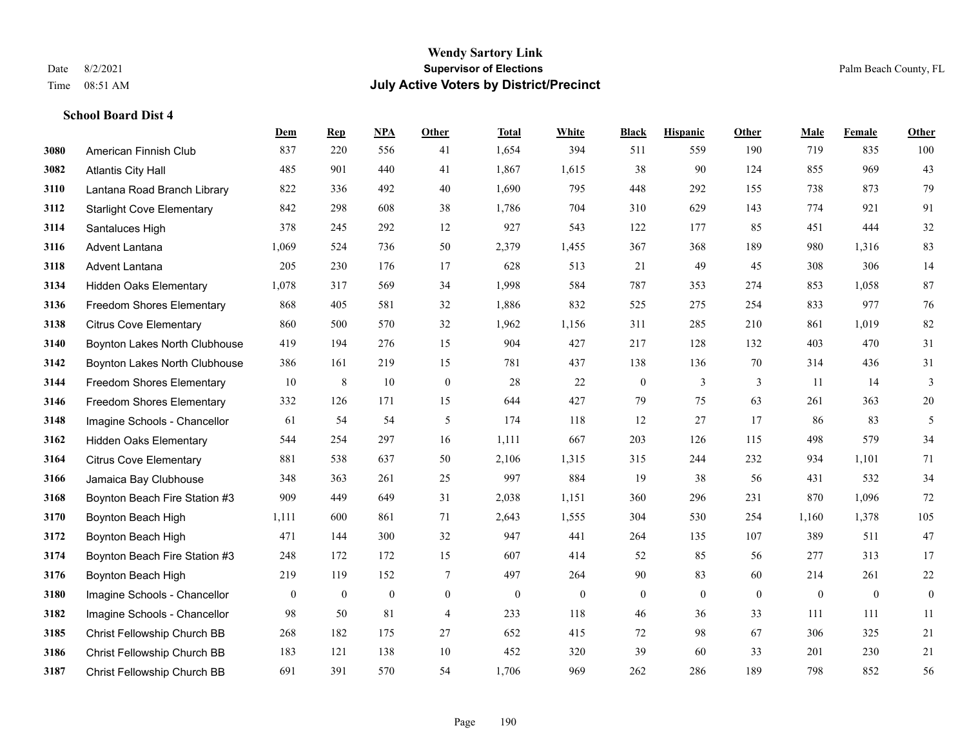|      |                                  | Dem          | <b>Rep</b>   | NPA              | <b>Other</b>   | <b>Total</b> | White            | <b>Black</b>     | <b>Hispanic</b>  | Other        | <b>Male</b>  | Female       | <b>Other</b>     |
|------|----------------------------------|--------------|--------------|------------------|----------------|--------------|------------------|------------------|------------------|--------------|--------------|--------------|------------------|
| 3080 | American Finnish Club            | 837          | 220          | 556              | 41             | 1,654        | 394              | 511              | 559              | 190          | 719          | 835          | 100              |
| 3082 | <b>Atlantis City Hall</b>        | 485          | 901          | 440              | 41             | 1,867        | 1,615            | 38               | 90               | 124          | 855          | 969          | 43               |
| 3110 | Lantana Road Branch Library      | 822          | 336          | 492              | 40             | 1,690        | 795              | 448              | 292              | 155          | 738          | 873          | 79               |
| 3112 | <b>Starlight Cove Elementary</b> | 842          | 298          | 608              | 38             | 1,786        | 704              | 310              | 629              | 143          | 774          | 921          | 91               |
| 3114 | Santaluces High                  | 378          | 245          | 292              | 12             | 927          | 543              | 122              | 177              | 85           | 451          | 444          | $32\,$           |
| 3116 | Advent Lantana                   | 1,069        | 524          | 736              | 50             | 2,379        | 1,455            | 367              | 368              | 189          | 980          | 1,316        | 83               |
| 3118 | Advent Lantana                   | 205          | 230          | 176              | 17             | 628          | 513              | 21               | 49               | 45           | 308          | 306          | 14               |
| 3134 | <b>Hidden Oaks Elementary</b>    | 1,078        | 317          | 569              | 34             | 1,998        | 584              | 787              | 353              | 274          | 853          | 1,058        | 87               |
| 3136 | <b>Freedom Shores Elementary</b> | 868          | 405          | 581              | 32             | 1,886        | 832              | 525              | 275              | 254          | 833          | 977          | 76               |
| 3138 | <b>Citrus Cove Elementary</b>    | 860          | 500          | 570              | 32             | 1,962        | 1,156            | 311              | 285              | 210          | 861          | 1,019        | 82               |
| 3140 | Boynton Lakes North Clubhouse    | 419          | 194          | 276              | 15             | 904          | 427              | 217              | 128              | 132          | 403          | 470          | 31               |
| 3142 | Boynton Lakes North Clubhouse    | 386          | 161          | 219              | 15             | 781          | 437              | 138              | 136              | 70           | 314          | 436          | 31               |
| 3144 | <b>Freedom Shores Elementary</b> | 10           | $\,8\,$      | 10               | $\mathbf{0}$   | 28           | 22               | $\boldsymbol{0}$ | 3                | 3            | 11           | 14           | 3                |
| 3146 | <b>Freedom Shores Elementary</b> | 332          | 126          | 171              | 15             | 644          | 427              | 79               | 75               | 63           | 261          | 363          | $20\,$           |
| 3148 | Imagine Schools - Chancellor     | 61           | 54           | 54               | 5              | 174          | 118              | 12               | 27               | 17           | 86           | 83           | 5                |
| 3162 | <b>Hidden Oaks Elementary</b>    | 544          | 254          | 297              | 16             | 1,111        | 667              | 203              | 126              | 115          | 498          | 579          | 34               |
| 3164 | <b>Citrus Cove Elementary</b>    | 881          | 538          | 637              | 50             | 2,106        | 1,315            | 315              | 244              | 232          | 934          | 1,101        | 71               |
| 3166 | Jamaica Bay Clubhouse            | 348          | 363          | 261              | 25             | 997          | 884              | 19               | 38               | 56           | 431          | 532          | 34               |
| 3168 | Boynton Beach Fire Station #3    | 909          | 449          | 649              | 31             | 2,038        | 1,151            | 360              | 296              | 231          | 870          | 1,096        | $72\,$           |
| 3170 | Boynton Beach High               | 1,111        | 600          | 861              | 71             | 2,643        | 1,555            | 304              | 530              | 254          | 1,160        | 1,378        | 105              |
| 3172 | Boynton Beach High               | 471          | 144          | 300              | 32             | 947          | 441              | 264              | 135              | 107          | 389          | 511          | 47               |
| 3174 | Boynton Beach Fire Station #3    | 248          | 172          | 172              | 15             | 607          | 414              | 52               | 85               | 56           | 277          | 313          | 17               |
| 3176 | Boynton Beach High               | 219          | 119          | 152              | $\tau$         | 497          | 264              | 90               | 83               | 60           | 214          | 261          | $22\,$           |
| 3180 | Imagine Schools - Chancellor     | $\mathbf{0}$ | $\mathbf{0}$ | $\boldsymbol{0}$ | $\overline{0}$ | $\mathbf{0}$ | $\boldsymbol{0}$ | $\boldsymbol{0}$ | $\boldsymbol{0}$ | $\mathbf{0}$ | $\mathbf{0}$ | $\mathbf{0}$ | $\boldsymbol{0}$ |
| 3182 | Imagine Schools - Chancellor     | 98           | 50           | 81               | $\overline{4}$ | 233          | 118              | 46               | 36               | 33           | 111          | 111          | 11               |
| 3185 | Christ Fellowship Church BB      | 268          | 182          | 175              | 27             | 652          | 415              | 72               | 98               | 67           | 306          | 325          | 21               |
| 3186 | Christ Fellowship Church BB      | 183          | 121          | 138              | 10             | 452          | 320              | 39               | 60               | 33           | 201          | 230          | 21               |
| 3187 | Christ Fellowship Church BB      | 691          | 391          | 570              | 54             | 1,706        | 969              | 262              | 286              | 189          | 798          | 852          | 56               |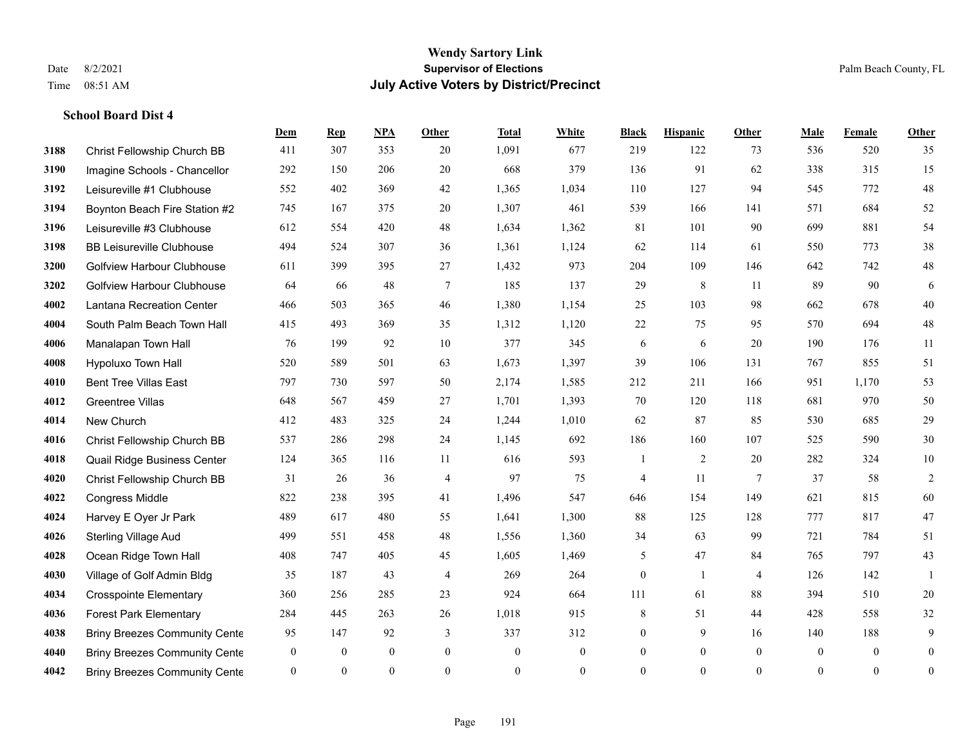**School Board Dist 4**

### **Wendy Sartory Link** Date 8/2/2021 **Supervisor of Elections** Palm Beach County, FL Time 08:51 AM **July Active Voters by District/Precinct**

**Dem Rep NPA Other Total White Black Hispanic Other Male Female Other**

## Christ Fellowship Church BB 411 307 353 20 1,091 677 219 122 73 536 520 35 Imagine Schools - Chancellor 292 150 206 20 668 379 136 91 62 338 315 15 Leisureville #1 Clubhouse 552 402 369 42 1,365 1,034 110 127 94 545 772 48 Boynton Beach Fire Station #2 745 167 375 20 1,307 461 539 166 141 571 684 52 Leisureville #3 Clubhouse 612 554 420 48 1,634 1,362 81 101 90 699 881 54 BB Leisureville Clubhouse 494 524 307 36 1,361 1,124 62 114 61 550 773 38 Golfview Harbour Clubhouse 611 399 395 27 1,432 973 204 109 146 642 742 48 Golfview Harbour Clubhouse 64 66 48 7 185 137 29 8 11 89 90 6 Lantana Recreation Center 466 503 365 46 1,380 1,154 25 103 98 662 678 40 South Palm Beach Town Hall 415 493 369 35 1,312 1,120 22 75 95 570 694 48 Manalapan Town Hall 76 199 92 10 377 345 6 6 20 190 176 11 Hypoluxo Town Hall 520 589 501 63 1,673 1,397 39 106 131 767 855 51 Bent Tree Villas East 797 730 597 50 2,174 1,585 212 211 166 951 1,170 53 Greentree Villas 648 567 459 27 1,701 1,393 70 120 118 681 970 50 New Church 412 483 325 24 1,244 1,010 62 87 85 530 685 29 Christ Fellowship Church BB 537 286 298 24 1,145 692 186 160 107 525 590 30 Quail Ridge Business Center 124 365 116 11 616 593 1 2 20 282 324 10 Christ Fellowship Church BB 31 26 36 4 97 75 4 11 7 37 58 2 Congress Middle 822 238 395 41 1,496 547 646 154 149 621 815 60 Harvey E Oyer Jr Park 489 617 480 55 1,641 1,300 88 125 128 777 817 47 Sterling Village Aud 499 551 458 48 1,556 1,360 34 63 99 721 784 51 Ocean Ridge Town Hall 408 747 405 45 1,605 1,469 5 47 84 765 797 43 Village of Golf Admin Bldg 35 187 43 4 269 264 0 1 4 126 142 1 Crosspointe Elementary 360 256 285 23 924 664 111 61 88 394 510 20 Forest Park Elementary 284 445 263 26 1,018 915 8 51 44 428 558 32 **4038 Briny Breezes Community Cente** 95 147 92 3 337 312 0 9 16 140 188 9 Briny Breezes Community Center 0 0 0 0 0 0 0 0 0 0 0 0

Briny Breezes Community Center 0 0 0 0 0 0 0 0 0 0 0 0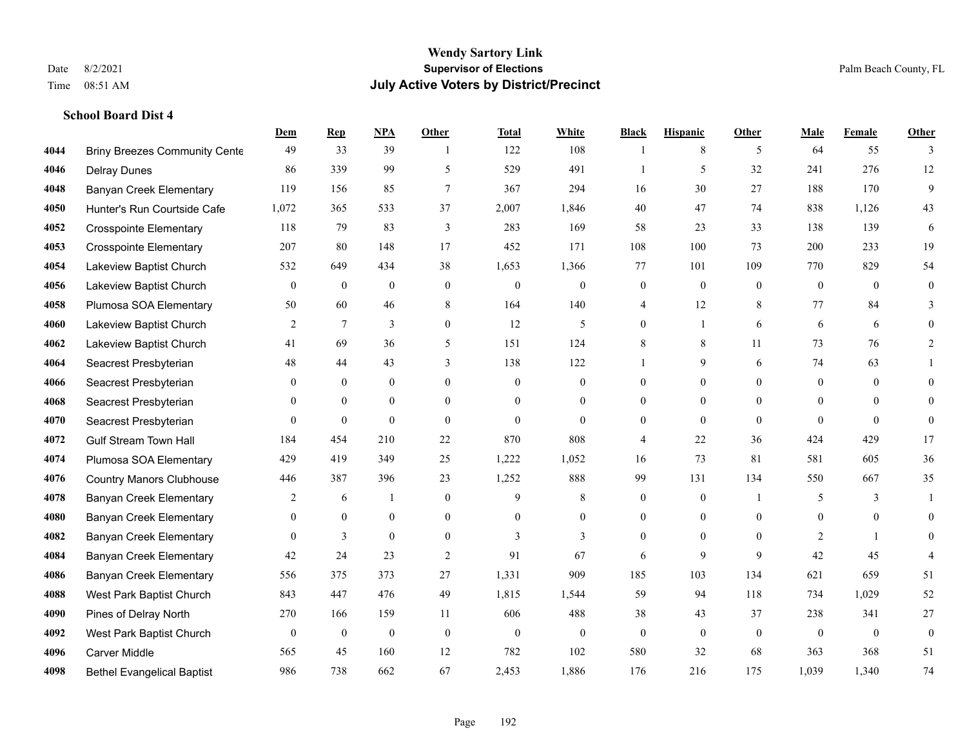|      |                                      | Dem              | <b>Rep</b>     | NPA              | <b>Other</b>     | <b>Total</b> | <b>White</b>     | <b>Black</b>     | <b>Hispanic</b>  | <b>Other</b>   | <b>Male</b>    | <b>Female</b>  | <b>Other</b>     |
|------|--------------------------------------|------------------|----------------|------------------|------------------|--------------|------------------|------------------|------------------|----------------|----------------|----------------|------------------|
| 4044 | <b>Briny Breezes Community Cente</b> | 49               | 33             | 39               | $\overline{1}$   | 122          | 108              | 1                | 8                | 5              | 64             | 55             | 3                |
| 4046 | <b>Delray Dunes</b>                  | 86               | 339            | 99               | 5                | 529          | 491              | -1               | 5                | 32             | 241            | 276            | 12               |
| 4048 | Banyan Creek Elementary              | 119              | 156            | 85               | $\tau$           | 367          | 294              | 16               | 30               | 27             | 188            | 170            | 9                |
| 4050 | Hunter's Run Courtside Cafe          | 1,072            | 365            | 533              | 37               | 2,007        | 1,846            | 40               | 47               | 74             | 838            | 1,126          | 43               |
| 4052 | <b>Crosspointe Elementary</b>        | 118              | 79             | 83               | 3                | 283          | 169              | 58               | 23               | 33             | 138            | 139            | 6                |
| 4053 | <b>Crosspointe Elementary</b>        | 207              | 80             | 148              | 17               | 452          | 171              | 108              | 100              | 73             | 200            | 233            | 19               |
| 4054 | Lakeview Baptist Church              | 532              | 649            | 434              | 38               | 1,653        | 1,366            | 77               | 101              | 109            | 770            | 829            | 54               |
| 4056 | Lakeview Baptist Church              | $\overline{0}$   | $\overline{0}$ | $\mathbf{0}$     | $\Omega$         | $\theta$     | $\overline{0}$   | $\boldsymbol{0}$ | $\mathbf{0}$     | $\theta$       | $\overline{0}$ | $\theta$       | $\mathbf{0}$     |
| 4058 | Plumosa SOA Elementary               | 50               | 60             | 46               | 8                | 164          | 140              | 4                | 12               | 8              | 77             | 84             | 3                |
| 4060 | Lakeview Baptist Church              | 2                | $\tau$         | 3                | $\overline{0}$   | 12           | 5                | $\overline{0}$   | 1                | 6              | 6              | 6              | $\Omega$         |
| 4062 | Lakeview Baptist Church              | 41               | 69             | 36               | 5                | 151          | 124              | 8                | 8                | 11             | 73             | 76             | 2                |
| 4064 | Seacrest Presbyterian                | 48               | 44             | 43               | 3                | 138          | 122              | 1                | 9                | 6              | 74             | 63             |                  |
| 4066 | Seacrest Presbyterian                | $\Omega$         | $\mathbf{0}$   | $\overline{0}$   | $\Omega$         | $\theta$     | $\mathbf{0}$     | $\Omega$         | $\theta$         | $\Omega$       | $\theta$       | $\theta$       | $\Omega$         |
| 4068 | Seacrest Presbyterian                | 0                | $\mathbf{0}$   | $\boldsymbol{0}$ | $\overline{0}$   | $\mathbf{0}$ | $\boldsymbol{0}$ | $\boldsymbol{0}$ | $\boldsymbol{0}$ | $\overline{0}$ | $\mathbf{0}$   | $\mathbf{0}$   | $\Omega$         |
| 4070 | Seacrest Presbyterian                | $\theta$         | $\mathbf{0}$   | $\mathbf{0}$     | $\theta$         | $\theta$     | $\overline{0}$   | $\mathbf{0}$     | $\mathbf{0}$     | $\theta$       | $\theta$       | $\theta$       | $\theta$         |
| 4072 | <b>Gulf Stream Town Hall</b>         | 184              | 454            | 210              | 22               | 870          | 808              | 4                | 22               | 36             | 424            | 429            | 17               |
| 4074 | Plumosa SOA Elementary               | 429              | 419            | 349              | 25               | 1,222        | 1,052            | 16               | 73               | 81             | 581            | 605            | 36               |
| 4076 | <b>Country Manors Clubhouse</b>      | 446              | 387            | 396              | 23               | 1,252        | 888              | 99               | 131              | 134            | 550            | 667            | 35               |
| 4078 | <b>Banyan Creek Elementary</b>       | 2                | 6              | 1                | $\boldsymbol{0}$ | 9            | $\,$ 8 $\,$      | $\boldsymbol{0}$ | $\boldsymbol{0}$ | -1             | 5              | 3              | 1                |
| 4080 | <b>Banyan Creek Elementary</b>       | 0                | $\mathbf{0}$   | $\mathbf{0}$     | $\overline{0}$   | $\theta$     | $\overline{0}$   | $\mathbf{0}$     | $\mathbf{0}$     | $\theta$       | $\theta$       | $\theta$       | $\overline{0}$   |
| 4082 | <b>Banyan Creek Elementary</b>       | $\Omega$         | 3              | $\theta$         | $\Omega$         | 3            | $\overline{3}$   | $\mathbf{0}$     | $\theta$         | $\Omega$       | 2              | $\overline{1}$ | $\Omega$         |
| 4084 | <b>Banyan Creek Elementary</b>       | 42               | 24             | 23               | 2                | 91           | 67               | 6                | 9                | 9              | 42             | 45             |                  |
| 4086 | <b>Banyan Creek Elementary</b>       | 556              | 375            | 373              | 27               | 1,331        | 909              | 185              | 103              | 134            | 621            | 659            | 51               |
| 4088 | West Park Baptist Church             | 843              | 447            | 476              | 49               | 1,815        | 1,544            | 59               | 94               | 118            | 734            | 1,029          | 52               |
| 4090 | Pines of Delray North                | 270              | 166            | 159              | 11               | 606          | 488              | 38               | 43               | 37             | 238            | 341            | 27               |
| 4092 | West Park Baptist Church             | $\boldsymbol{0}$ | $\bf{0}$       | $\boldsymbol{0}$ | $\overline{0}$   | $\mathbf{0}$ | $\boldsymbol{0}$ | $\boldsymbol{0}$ | $\mathbf{0}$     | $\mathbf{0}$   | $\mathbf{0}$   | $\mathbf{0}$   | $\boldsymbol{0}$ |
| 4096 | <b>Carver Middle</b>                 | 565              | 45             | 160              | 12               | 782          | 102              | 580              | 32               | 68             | 363            | 368            | 51               |
| 4098 | <b>Bethel Evangelical Baptist</b>    | 986              | 738            | 662              | 67               | 2,453        | 1,886            | 176              | 216              | 175            | 1,039          | 1,340          | $74\,$           |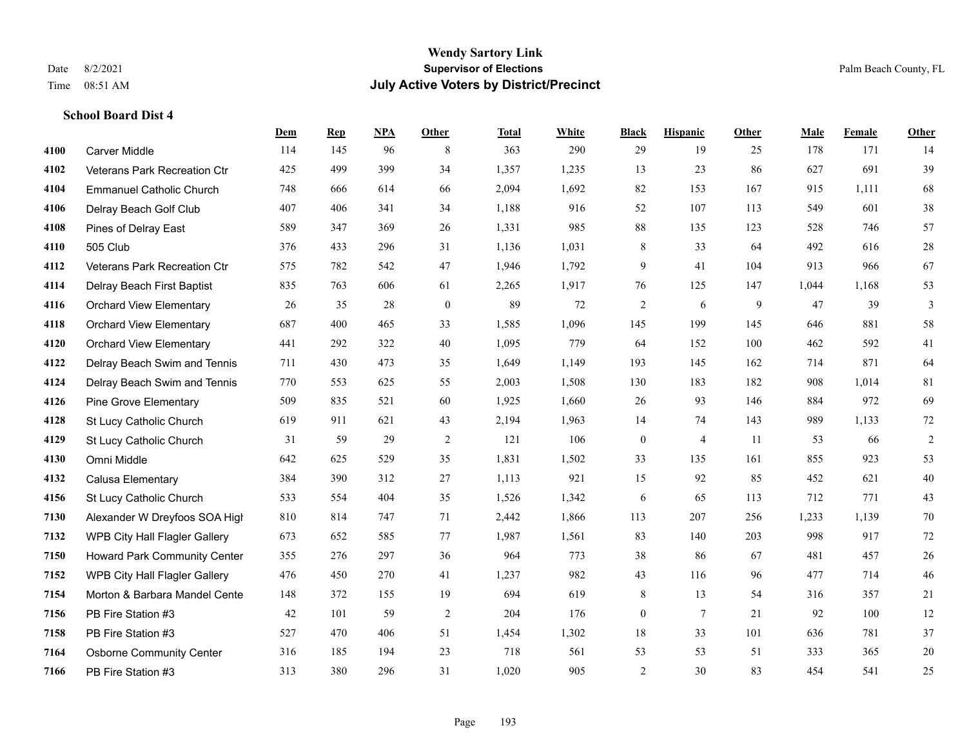|      |                                 | Dem | <b>Rep</b> | NPA | <b>Other</b> | <b>Total</b> | <b>White</b> | <b>Black</b>     | <b>Hispanic</b> | <b>Other</b> | <b>Male</b> | Female | <b>Other</b>   |
|------|---------------------------------|-----|------------|-----|--------------|--------------|--------------|------------------|-----------------|--------------|-------------|--------|----------------|
| 4100 | <b>Carver Middle</b>            | 114 | 145        | 96  | 8            | 363          | 290          | 29               | 19              | 25           | 178         | 171    | 14             |
| 4102 | Veterans Park Recreation Ctr    | 425 | 499        | 399 | 34           | 1,357        | 1,235        | 13               | 23              | 86           | 627         | 691    | 39             |
| 4104 | <b>Emmanuel Catholic Church</b> | 748 | 666        | 614 | 66           | 2,094        | 1,692        | 82               | 153             | 167          | 915         | 1,111  | 68             |
| 4106 | Delray Beach Golf Club          | 407 | 406        | 341 | 34           | 1,188        | 916          | 52               | 107             | 113          | 549         | 601    | 38             |
| 4108 | Pines of Delray East            | 589 | 347        | 369 | 26           | 1,331        | 985          | 88               | 135             | 123          | 528         | 746    | 57             |
| 4110 | 505 Club                        | 376 | 433        | 296 | 31           | 1,136        | 1,031        | 8                | 33              | 64           | 492         | 616    | $28\,$         |
| 4112 | Veterans Park Recreation Ctr    | 575 | 782        | 542 | 47           | 1,946        | 1,792        | 9                | 41              | 104          | 913         | 966    | 67             |
| 4114 | Delray Beach First Baptist      | 835 | 763        | 606 | 61           | 2,265        | 1,917        | 76               | 125             | 147          | 1,044       | 1,168  | 53             |
| 4116 | <b>Orchard View Elementary</b>  | 26  | 35         | 28  | $\mathbf{0}$ | 89           | 72           | $\overline{c}$   | 6               | 9            | 47          | 39     | $\mathfrak{Z}$ |
| 4118 | <b>Orchard View Elementary</b>  | 687 | 400        | 465 | 33           | 1,585        | 1,096        | 145              | 199             | 145          | 646         | 881    | 58             |
| 4120 | <b>Orchard View Elementary</b>  | 441 | 292        | 322 | 40           | 1,095        | 779          | 64               | 152             | 100          | 462         | 592    | 41             |
| 4122 | Delray Beach Swim and Tennis    | 711 | 430        | 473 | 35           | 1,649        | 1,149        | 193              | 145             | 162          | 714         | 871    | 64             |
| 4124 | Delray Beach Swim and Tennis    | 770 | 553        | 625 | 55           | 2,003        | 1,508        | 130              | 183             | 182          | 908         | 1,014  | 81             |
| 4126 | <b>Pine Grove Elementary</b>    | 509 | 835        | 521 | 60           | 1,925        | 1,660        | 26               | 93              | 146          | 884         | 972    | 69             |
| 4128 | St Lucy Catholic Church         | 619 | 911        | 621 | 43           | 2,194        | 1,963        | 14               | 74              | 143          | 989         | 1,133  | $72\,$         |
| 4129 | St Lucy Catholic Church         | 31  | 59         | 29  | 2            | 121          | 106          | $\boldsymbol{0}$ | 4               | 11           | 53          | 66     | $\overline{c}$ |
| 4130 | Omni Middle                     | 642 | 625        | 529 | 35           | 1,831        | 1,502        | 33               | 135             | 161          | 855         | 923    | 53             |
| 4132 | Calusa Elementary               | 384 | 390        | 312 | 27           | 1,113        | 921          | 15               | 92              | 85           | 452         | 621    | $40\,$         |
| 4156 | St Lucy Catholic Church         | 533 | 554        | 404 | 35           | 1,526        | 1,342        | 6                | 65              | 113          | 712         | 771    | 43             |
| 7130 | Alexander W Dreyfoos SOA High   | 810 | 814        | 747 | 71           | 2,442        | 1,866        | 113              | 207             | 256          | 1,233       | 1,139  | 70             |
| 7132 | WPB City Hall Flagler Gallery   | 673 | 652        | 585 | 77           | 1,987        | 1,561        | 83               | 140             | 203          | 998         | 917    | 72             |
| 7150 | Howard Park Community Center    | 355 | 276        | 297 | 36           | 964          | 773          | 38               | 86              | 67           | 481         | 457    | $26\,$         |
| 7152 | WPB City Hall Flagler Gallery   | 476 | 450        | 270 | 41           | 1,237        | 982          | 43               | 116             | 96           | 477         | 714    | 46             |
| 7154 | Morton & Barbara Mandel Cente   | 148 | 372        | 155 | 19           | 694          | 619          | 8                | 13              | 54           | 316         | 357    | 21             |
| 7156 | PB Fire Station #3              | 42  | 101        | 59  | 2            | 204          | 176          | $\boldsymbol{0}$ | $\overline{7}$  | 21           | 92          | 100    | 12             |
| 7158 | PB Fire Station #3              | 527 | 470        | 406 | 51           | 1,454        | 1,302        | 18               | 33              | 101          | 636         | 781    | 37             |
| 7164 | <b>Osborne Community Center</b> | 316 | 185        | 194 | 23           | 718          | 561          | 53               | 53              | 51           | 333         | 365    | $20\,$         |
| 7166 | PB Fire Station #3              | 313 | 380        | 296 | 31           | 1,020        | 905          | 2                | 30              | 83           | 454         | 541    | 25             |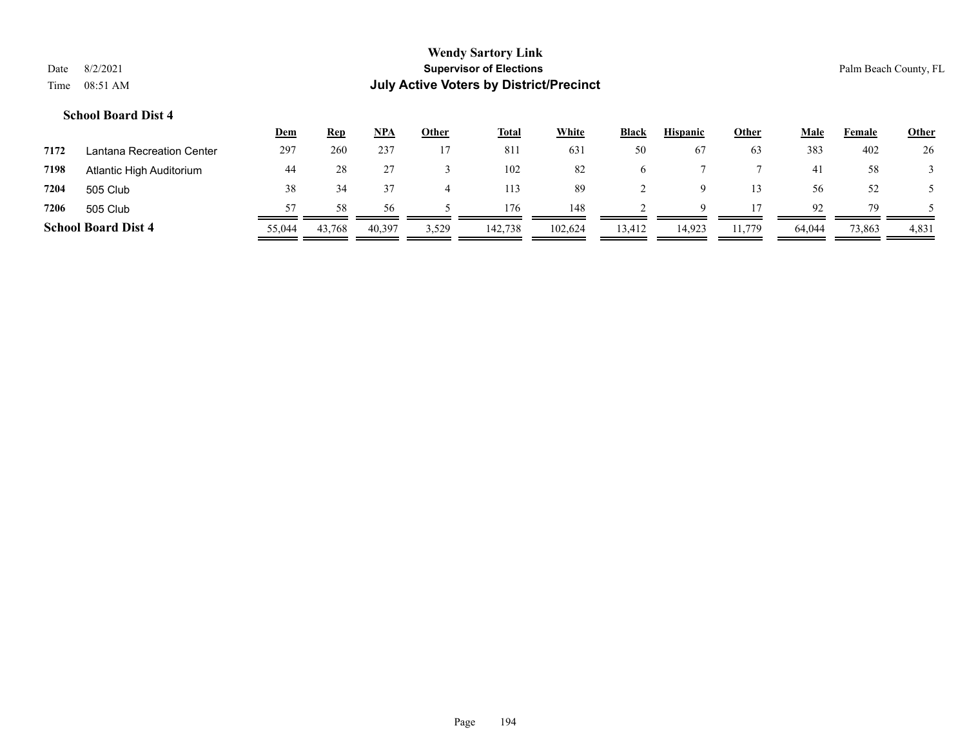|      |                            | <u>Dem</u> | <b>Rep</b> | NPA    | Other | <b>Total</b> | <b>White</b> | <b>Black</b> | <b>Hispanic</b> | <b>Other</b> | Male   | Female | <b>Other</b> |
|------|----------------------------|------------|------------|--------|-------|--------------|--------------|--------------|-----------------|--------------|--------|--------|--------------|
| 7172 | Lantana Recreation Center  | 297        | 260        | 237    |       | 811          | 631          | 50           | 67              | 63           | 383    | 402    | 26           |
| 7198 | Atlantic High Auditorium   | 44         |            |        |       | 102          | 82           | O            |                 |              | 41     | 58     |              |
| 7204 | 505 Club                   | 38         |            |        | 4     | 113          | 89           |              |                 | 13           | 56     | 52     |              |
| 7206 | 505 Club                   |            | 58         | 56.    |       | 176          | 148          |              | $\Omega$        |              | 92     | 79     |              |
|      | <b>School Board Dist 4</b> | 55,044     | 43,768     | 40,397 | 3,529 | 142,738      | 102,624      | 13,412       | 14,923          | 11,779       | 64,044 | 73,863 | 4,831        |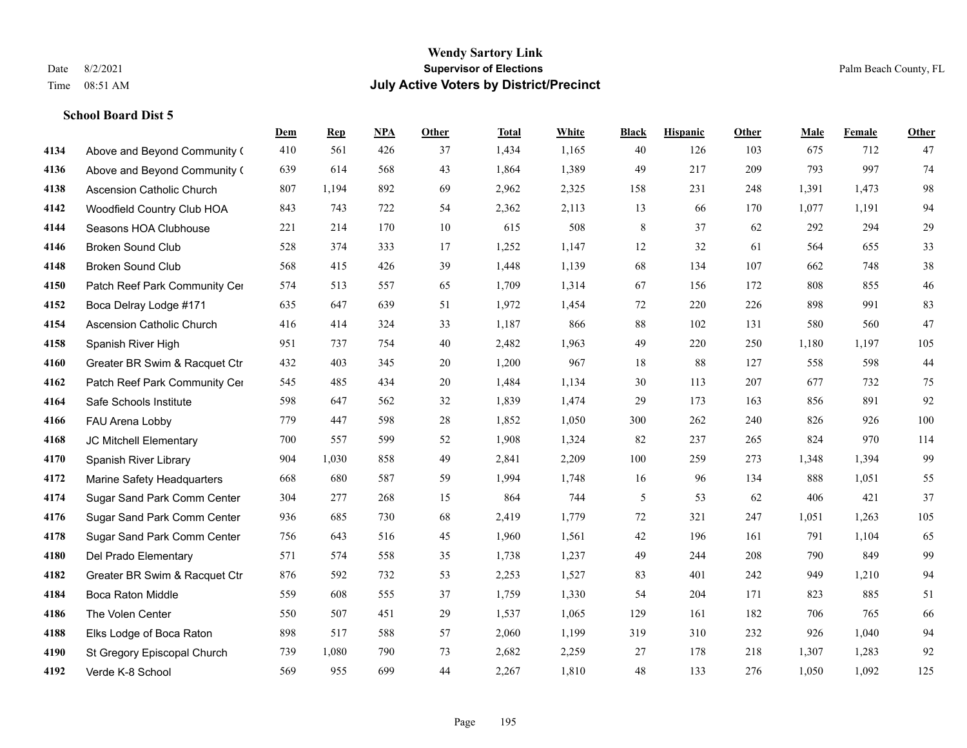|      |                                  | Dem | <b>Rep</b> | NPA | <b>Other</b> | <b>Total</b> | <b>White</b> | <b>Black</b> | <b>Hispanic</b> | <b>Other</b> | <b>Male</b> | <b>Female</b> | <b>Other</b> |
|------|----------------------------------|-----|------------|-----|--------------|--------------|--------------|--------------|-----------------|--------------|-------------|---------------|--------------|
| 4134 | Above and Beyond Community (     | 410 | 561        | 426 | 37           | 1,434        | 1,165        | 40           | 126             | 103          | 675         | 712           | 47           |
| 4136 | Above and Beyond Community (     | 639 | 614        | 568 | 43           | 1,864        | 1,389        | 49           | 217             | 209          | 793         | 997           | 74           |
| 4138 | Ascension Catholic Church        | 807 | 1,194      | 892 | 69           | 2,962        | 2,325        | 158          | 231             | 248          | 1,391       | 1,473         | $98\,$       |
| 4142 | Woodfield Country Club HOA       | 843 | 743        | 722 | 54           | 2,362        | 2,113        | 13           | 66              | 170          | 1,077       | 1,191         | 94           |
| 4144 | Seasons HOA Clubhouse            | 221 | 214        | 170 | 10           | 615          | 508          | 8            | 37              | 62           | 292         | 294           | 29           |
| 4146 | <b>Broken Sound Club</b>         | 528 | 374        | 333 | 17           | 1,252        | 1,147        | 12           | 32              | 61           | 564         | 655           | 33           |
| 4148 | <b>Broken Sound Club</b>         | 568 | 415        | 426 | 39           | 1,448        | 1,139        | 68           | 134             | 107          | 662         | 748           | $38\,$       |
| 4150 | Patch Reef Park Community Cer    | 574 | 513        | 557 | 65           | 1,709        | 1,314        | 67           | 156             | 172          | 808         | 855           | $46\,$       |
| 4152 | Boca Delray Lodge #171           | 635 | 647        | 639 | 51           | 1,972        | 1,454        | 72           | 220             | 226          | 898         | 991           | 83           |
| 4154 | <b>Ascension Catholic Church</b> | 416 | 414        | 324 | 33           | 1,187        | 866          | 88           | 102             | 131          | 580         | 560           | 47           |
| 4158 | Spanish River High               | 951 | 737        | 754 | 40           | 2,482        | 1,963        | 49           | 220             | 250          | 1,180       | 1,197         | 105          |
| 4160 | Greater BR Swim & Racquet Ctr    | 432 | 403        | 345 | 20           | 1,200        | 967          | 18           | 88              | 127          | 558         | 598           | $44$         |
| 4162 | Patch Reef Park Community Cer    | 545 | 485        | 434 | 20           | 1,484        | 1,134        | 30           | 113             | 207          | 677         | 732           | 75           |
| 4164 | Safe Schools Institute           | 598 | 647        | 562 | 32           | 1,839        | 1,474        | 29           | 173             | 163          | 856         | 891           | 92           |
| 4166 | FAU Arena Lobby                  | 779 | 447        | 598 | 28           | 1,852        | 1,050        | 300          | 262             | 240          | 826         | 926           | 100          |
| 4168 | JC Mitchell Elementary           | 700 | 557        | 599 | 52           | 1,908        | 1,324        | 82           | 237             | 265          | 824         | 970           | 114          |
| 4170 | Spanish River Library            | 904 | 1,030      | 858 | 49           | 2,841        | 2,209        | 100          | 259             | 273          | 1,348       | 1,394         | 99           |
| 4172 | Marine Safety Headquarters       | 668 | 680        | 587 | 59           | 1,994        | 1,748        | 16           | 96              | 134          | 888         | 1,051         | 55           |
| 4174 | Sugar Sand Park Comm Center      | 304 | 277        | 268 | 15           | 864          | 744          | 5            | 53              | 62           | 406         | 421           | 37           |
| 4176 | Sugar Sand Park Comm Center      | 936 | 685        | 730 | 68           | 2,419        | 1,779        | $72\,$       | 321             | 247          | 1,051       | 1,263         | 105          |
| 4178 | Sugar Sand Park Comm Center      | 756 | 643        | 516 | 45           | 1,960        | 1,561        | 42           | 196             | 161          | 791         | 1,104         | 65           |
| 4180 | Del Prado Elementary             | 571 | 574        | 558 | 35           | 1,738        | 1,237        | 49           | 244             | 208          | 790         | 849           | 99           |
| 4182 | Greater BR Swim & Racquet Ctr    | 876 | 592        | 732 | 53           | 2,253        | 1,527        | 83           | 401             | 242          | 949         | 1,210         | 94           |
| 4184 | <b>Boca Raton Middle</b>         | 559 | 608        | 555 | 37           | 1,759        | 1,330        | 54           | 204             | 171          | 823         | 885           | 51           |
| 4186 | The Volen Center                 | 550 | 507        | 451 | 29           | 1,537        | 1,065        | 129          | 161             | 182          | 706         | 765           | 66           |
| 4188 | Elks Lodge of Boca Raton         | 898 | 517        | 588 | 57           | 2,060        | 1,199        | 319          | 310             | 232          | 926         | 1,040         | 94           |
| 4190 | St Gregory Episcopal Church      | 739 | 1,080      | 790 | 73           | 2,682        | 2,259        | 27           | 178             | 218          | 1,307       | 1,283         | 92           |
| 4192 | Verde K-8 School                 | 569 | 955        | 699 | 44           | 2,267        | 1,810        | 48           | 133             | 276          | 1,050       | 1,092         | 125          |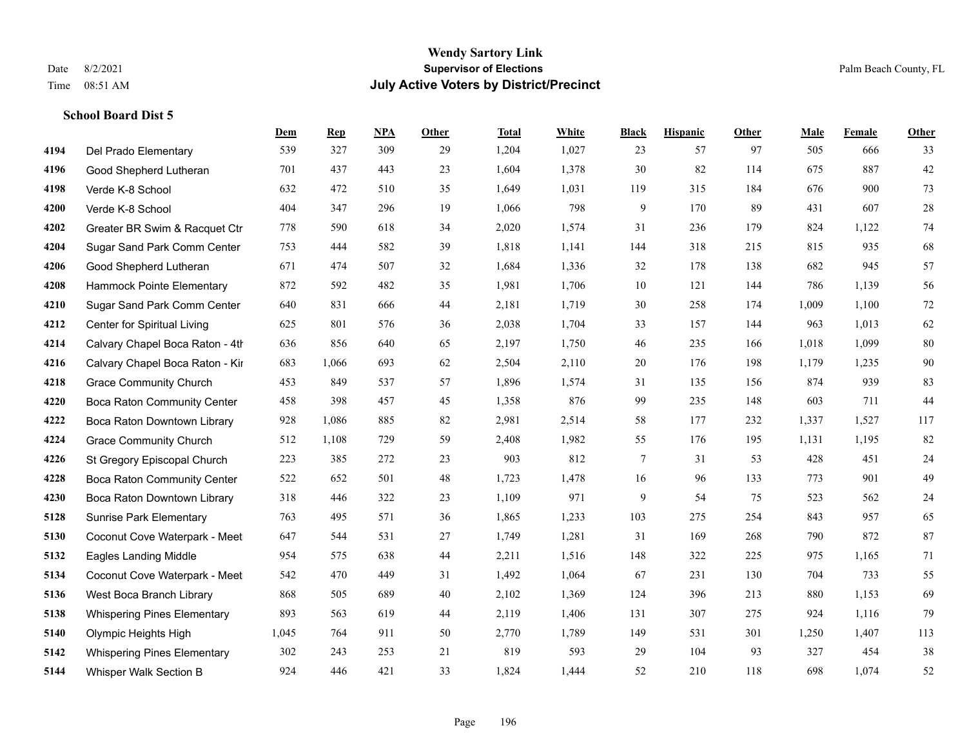**School Board Dist 5**

#### **Wendy Sartory Link** Date 8/2/2021 **Supervisor of Elections** Palm Beach County, FL Time 08:51 AM **July Active Voters by District/Precinct**

## **Dem Rep NPA Other Total White Black Hispanic Other Male Female Other** Del Prado Elementary 539 327 309 29 1,204 1,027 23 57 97 505 666 33 Good Shepherd Lutheran 701 437 443 23 1,604 1,378 30 82 114 675 887 42 Verde K-8 School 632 472 510 35 1,649 1,031 119 315 184 676 900 73 Verde K-8 School 404 347 296 19 1,066 798 9 170 89 431 607 28 Greater BR Swim & Racquet Ctr 778 590 618 34 2,020 1,574 31 236 179 824 1,122 74 Sugar Sand Park Comm Center 753 444 582 39 1,818 1,141 144 318 215 815 935 68 Good Shepherd Lutheran 671 474 507 32 1,684 1,336 32 178 138 682 945 57 Hammock Pointe Elementary 872 592 482 35 1,981 1,706 10 121 144 786 1,139 56 Sugar Sand Park Comm Center 640 831 666 44 2,181 1,719 30 258 174 1,009 1,100 72 Center for Spiritual Living 625 801 576 36 2,038 1,704 33 157 144 963 1,013 62 Calvary Chapel Boca Raton - 4th 636 856 640 65 2,197 1,750 46 235 166 1,018 1,099 80 Calvary Chapel Boca Raton - Kir 683 1,066 693 62 2,504 2,110 20 176 198 1,179 1,235 90 Grace Community Church 453 849 537 57 1,896 1,574 31 135 156 874 939 83 Boca Raton Community Center 458 398 457 45 1,358 876 99 235 148 603 711 44 Boca Raton Downtown Library 928 1,086 885 82 2,981 2,514 58 177 232 1,337 1,527 117 Grace Community Church 512 1,108 729 59 2,408 1,982 55 176 195 1,131 1,195 82 St Gregory Episcopal Church 223 385 272 23 903 812 7 31 53 428 451 24 Boca Raton Community Center 522 652 501 48 1,723 1,478 16 96 133 773 901 49 Boca Raton Downtown Library 318 446 322 23 1,109 971 9 54 75 523 562 24 Sunrise Park Elementary 763 495 571 36 1,865 1,233 103 275 254 843 957 65 Coconut Cove Waterpark - Meet 647 544 531 27 1,749 1,281 31 169 268 790 872 87 Eagles Landing Middle 954 575 638 44 2,211 1,516 148 322 225 975 1,165 71 Coconut Cove Waterpark - Meeting Room B 542 470 449 31 1,492 1,064 67 231 130 704 733 55 West Boca Branch Library 868 505 689 40 2,102 1,369 124 396 213 880 1,153 69 Whispering Pines Elementary 893 563 619 44 2,119 1,406 131 307 275 924 1,116 79 Olympic Heights High 1,045 764 911 50 2,770 1,789 149 531 301 1,250 1,407 113 Whispering Pines Elementary 302 243 253 21 819 593 29 104 93 327 454 38 Whisper Walk Section B 924 446 421 33 1,824 1,444 52 210 118 698 1,074 52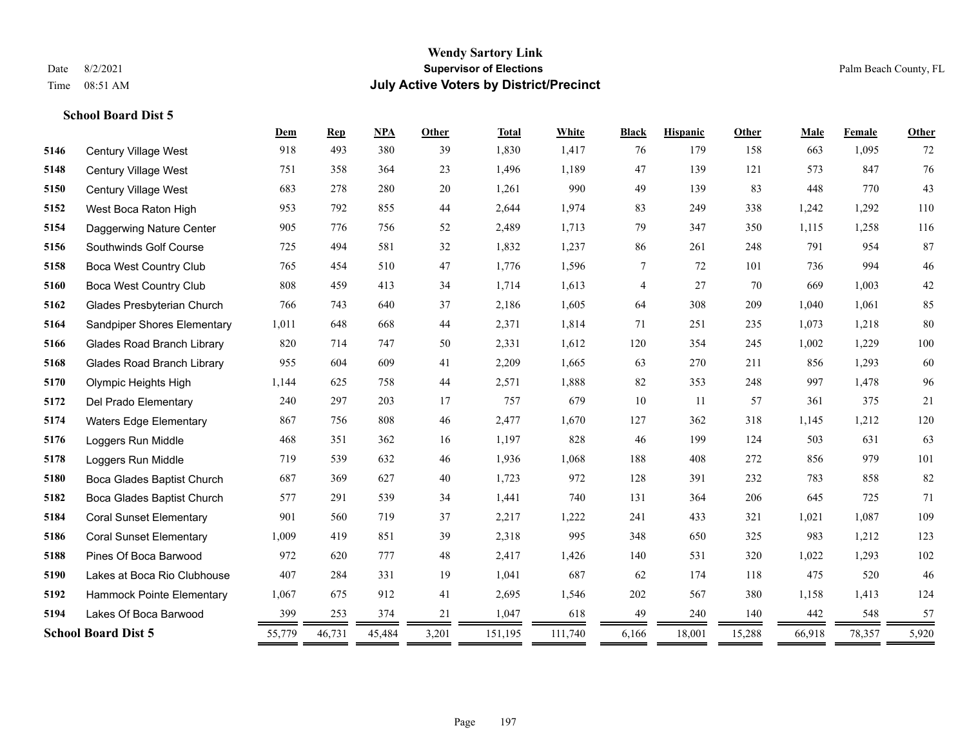| 1,417<br>918<br>493<br>380<br>1,830<br>179<br>158<br>663<br>1,095<br>72<br>Century Village West<br>39<br>76<br>5146<br>76<br>364<br>23<br>1,496<br>1,189<br>47<br>139<br>573<br>847<br>5148<br>751<br>358<br>121<br>Century Village West<br>43<br>683<br>990<br>49<br>448<br>278<br>280<br>20<br>1,261<br>139<br>83<br>770<br>5150<br>Century Village West<br>110<br>1,974<br>953<br>792<br>855<br>44<br>2,644<br>83<br>249<br>338<br>1,242<br>1,292<br>5152<br>West Boca Raton High<br>116<br>756<br>1,713<br>79<br>347<br>5154<br>905<br>776<br>52<br>2,489<br>350<br>1,115<br>1,258<br>Daggerwing Nature Center<br>87<br>581<br>32<br>261<br>5156<br>Southwinds Golf Course<br>725<br>494<br>1,832<br>1,237<br>86<br>248<br>791<br>954<br>$46\,$<br>47<br>994<br>765<br>510<br>1,776<br>1,596<br>7<br>72<br>736<br>5158<br><b>Boca West Country Club</b><br>454<br>101<br>$42\,$<br>808<br>413<br>1,714<br>1,613<br>27<br>669<br>1,003<br>5160<br><b>Boca West Country Club</b><br>459<br>34<br>4<br>70<br>85<br>1,605<br>308<br>1,040<br>766<br>743<br>640<br>37<br>2,186<br>64<br>209<br>1,061<br>5162<br>Glades Presbyterian Church<br>80<br>1,011<br>648<br>668<br>44<br>2,371<br>1,814<br>71<br>251<br>235<br>1,073<br>1,218<br>5164<br>Sandpiper Shores Elementary<br>100<br>2,331<br>1,612<br>354<br>5166<br><b>Glades Road Branch Library</b><br>820<br>714<br>747<br>50<br>120<br>245<br>1,002<br>1,229<br>60<br>955<br>604<br>609<br>41<br>2,209<br>1,665<br>63<br>270<br>211<br>856<br>1,293<br>5168<br><b>Glades Road Branch Library</b><br>96<br>1,144<br>758<br>44<br>2,571<br>1,888<br>82<br>353<br>997<br>1,478<br>5170<br>Olympic Heights High<br>625<br>248<br>21<br>297<br>203<br>757<br>679<br>10<br>361<br>5172<br>Del Prado Elementary<br>240<br>17<br>11<br>57<br>375<br>808<br>46<br>1,670<br>127<br>318<br>120<br>5174<br>867<br>756<br>2,477<br>362<br>1,145<br>1,212<br><b>Waters Edge Elementary</b><br>828<br>63<br>468<br>362<br>1,197<br>46<br>199<br>503<br>631<br>351<br>16<br>124<br>5176<br>Loggers Run Middle<br>101<br>632<br>1,936<br>1,068<br>188<br>408<br>272<br>856<br>979<br>5178<br>719<br>539<br>46<br>Loggers Run Middle<br>82<br>687<br>627<br>972<br>391<br>5180<br>369<br>40<br>1,723<br>128<br>232<br>783<br>858<br>Boca Glades Baptist Church<br>71<br>5182<br>577<br>539<br>34<br>1,441<br>740<br>131<br>364<br>206<br>645<br>725<br>Boca Glades Baptist Church<br>291<br>109<br>901<br>1,222<br>241<br>433<br>5184<br><b>Coral Sunset Elementary</b><br>560<br>719<br>37<br>2,217<br>321<br>1,021<br>1,087 |  |
|--------------------------------------------------------------------------------------------------------------------------------------------------------------------------------------------------------------------------------------------------------------------------------------------------------------------------------------------------------------------------------------------------------------------------------------------------------------------------------------------------------------------------------------------------------------------------------------------------------------------------------------------------------------------------------------------------------------------------------------------------------------------------------------------------------------------------------------------------------------------------------------------------------------------------------------------------------------------------------------------------------------------------------------------------------------------------------------------------------------------------------------------------------------------------------------------------------------------------------------------------------------------------------------------------------------------------------------------------------------------------------------------------------------------------------------------------------------------------------------------------------------------------------------------------------------------------------------------------------------------------------------------------------------------------------------------------------------------------------------------------------------------------------------------------------------------------------------------------------------------------------------------------------------------------------------------------------------------------------------------------------------------------------------------------------------------------------------------------------------------------------------------------------------------------------------------------------------------------------------------------------------------------------------------------------------------------------------------------------------------------------------------------------------------------------------------------------------------------------------------------------------------------------------------------------------------|--|
|                                                                                                                                                                                                                                                                                                                                                                                                                                                                                                                                                                                                                                                                                                                                                                                                                                                                                                                                                                                                                                                                                                                                                                                                                                                                                                                                                                                                                                                                                                                                                                                                                                                                                                                                                                                                                                                                                                                                                                                                                                                                                                                                                                                                                                                                                                                                                                                                                                                                                                                                                                    |  |
|                                                                                                                                                                                                                                                                                                                                                                                                                                                                                                                                                                                                                                                                                                                                                                                                                                                                                                                                                                                                                                                                                                                                                                                                                                                                                                                                                                                                                                                                                                                                                                                                                                                                                                                                                                                                                                                                                                                                                                                                                                                                                                                                                                                                                                                                                                                                                                                                                                                                                                                                                                    |  |
|                                                                                                                                                                                                                                                                                                                                                                                                                                                                                                                                                                                                                                                                                                                                                                                                                                                                                                                                                                                                                                                                                                                                                                                                                                                                                                                                                                                                                                                                                                                                                                                                                                                                                                                                                                                                                                                                                                                                                                                                                                                                                                                                                                                                                                                                                                                                                                                                                                                                                                                                                                    |  |
|                                                                                                                                                                                                                                                                                                                                                                                                                                                                                                                                                                                                                                                                                                                                                                                                                                                                                                                                                                                                                                                                                                                                                                                                                                                                                                                                                                                                                                                                                                                                                                                                                                                                                                                                                                                                                                                                                                                                                                                                                                                                                                                                                                                                                                                                                                                                                                                                                                                                                                                                                                    |  |
|                                                                                                                                                                                                                                                                                                                                                                                                                                                                                                                                                                                                                                                                                                                                                                                                                                                                                                                                                                                                                                                                                                                                                                                                                                                                                                                                                                                                                                                                                                                                                                                                                                                                                                                                                                                                                                                                                                                                                                                                                                                                                                                                                                                                                                                                                                                                                                                                                                                                                                                                                                    |  |
|                                                                                                                                                                                                                                                                                                                                                                                                                                                                                                                                                                                                                                                                                                                                                                                                                                                                                                                                                                                                                                                                                                                                                                                                                                                                                                                                                                                                                                                                                                                                                                                                                                                                                                                                                                                                                                                                                                                                                                                                                                                                                                                                                                                                                                                                                                                                                                                                                                                                                                                                                                    |  |
|                                                                                                                                                                                                                                                                                                                                                                                                                                                                                                                                                                                                                                                                                                                                                                                                                                                                                                                                                                                                                                                                                                                                                                                                                                                                                                                                                                                                                                                                                                                                                                                                                                                                                                                                                                                                                                                                                                                                                                                                                                                                                                                                                                                                                                                                                                                                                                                                                                                                                                                                                                    |  |
|                                                                                                                                                                                                                                                                                                                                                                                                                                                                                                                                                                                                                                                                                                                                                                                                                                                                                                                                                                                                                                                                                                                                                                                                                                                                                                                                                                                                                                                                                                                                                                                                                                                                                                                                                                                                                                                                                                                                                                                                                                                                                                                                                                                                                                                                                                                                                                                                                                                                                                                                                                    |  |
|                                                                                                                                                                                                                                                                                                                                                                                                                                                                                                                                                                                                                                                                                                                                                                                                                                                                                                                                                                                                                                                                                                                                                                                                                                                                                                                                                                                                                                                                                                                                                                                                                                                                                                                                                                                                                                                                                                                                                                                                                                                                                                                                                                                                                                                                                                                                                                                                                                                                                                                                                                    |  |
|                                                                                                                                                                                                                                                                                                                                                                                                                                                                                                                                                                                                                                                                                                                                                                                                                                                                                                                                                                                                                                                                                                                                                                                                                                                                                                                                                                                                                                                                                                                                                                                                                                                                                                                                                                                                                                                                                                                                                                                                                                                                                                                                                                                                                                                                                                                                                                                                                                                                                                                                                                    |  |
|                                                                                                                                                                                                                                                                                                                                                                                                                                                                                                                                                                                                                                                                                                                                                                                                                                                                                                                                                                                                                                                                                                                                                                                                                                                                                                                                                                                                                                                                                                                                                                                                                                                                                                                                                                                                                                                                                                                                                                                                                                                                                                                                                                                                                                                                                                                                                                                                                                                                                                                                                                    |  |
|                                                                                                                                                                                                                                                                                                                                                                                                                                                                                                                                                                                                                                                                                                                                                                                                                                                                                                                                                                                                                                                                                                                                                                                                                                                                                                                                                                                                                                                                                                                                                                                                                                                                                                                                                                                                                                                                                                                                                                                                                                                                                                                                                                                                                                                                                                                                                                                                                                                                                                                                                                    |  |
|                                                                                                                                                                                                                                                                                                                                                                                                                                                                                                                                                                                                                                                                                                                                                                                                                                                                                                                                                                                                                                                                                                                                                                                                                                                                                                                                                                                                                                                                                                                                                                                                                                                                                                                                                                                                                                                                                                                                                                                                                                                                                                                                                                                                                                                                                                                                                                                                                                                                                                                                                                    |  |
|                                                                                                                                                                                                                                                                                                                                                                                                                                                                                                                                                                                                                                                                                                                                                                                                                                                                                                                                                                                                                                                                                                                                                                                                                                                                                                                                                                                                                                                                                                                                                                                                                                                                                                                                                                                                                                                                                                                                                                                                                                                                                                                                                                                                                                                                                                                                                                                                                                                                                                                                                                    |  |
|                                                                                                                                                                                                                                                                                                                                                                                                                                                                                                                                                                                                                                                                                                                                                                                                                                                                                                                                                                                                                                                                                                                                                                                                                                                                                                                                                                                                                                                                                                                                                                                                                                                                                                                                                                                                                                                                                                                                                                                                                                                                                                                                                                                                                                                                                                                                                                                                                                                                                                                                                                    |  |
|                                                                                                                                                                                                                                                                                                                                                                                                                                                                                                                                                                                                                                                                                                                                                                                                                                                                                                                                                                                                                                                                                                                                                                                                                                                                                                                                                                                                                                                                                                                                                                                                                                                                                                                                                                                                                                                                                                                                                                                                                                                                                                                                                                                                                                                                                                                                                                                                                                                                                                                                                                    |  |
|                                                                                                                                                                                                                                                                                                                                                                                                                                                                                                                                                                                                                                                                                                                                                                                                                                                                                                                                                                                                                                                                                                                                                                                                                                                                                                                                                                                                                                                                                                                                                                                                                                                                                                                                                                                                                                                                                                                                                                                                                                                                                                                                                                                                                                                                                                                                                                                                                                                                                                                                                                    |  |
|                                                                                                                                                                                                                                                                                                                                                                                                                                                                                                                                                                                                                                                                                                                                                                                                                                                                                                                                                                                                                                                                                                                                                                                                                                                                                                                                                                                                                                                                                                                                                                                                                                                                                                                                                                                                                                                                                                                                                                                                                                                                                                                                                                                                                                                                                                                                                                                                                                                                                                                                                                    |  |
|                                                                                                                                                                                                                                                                                                                                                                                                                                                                                                                                                                                                                                                                                                                                                                                                                                                                                                                                                                                                                                                                                                                                                                                                                                                                                                                                                                                                                                                                                                                                                                                                                                                                                                                                                                                                                                                                                                                                                                                                                                                                                                                                                                                                                                                                                                                                                                                                                                                                                                                                                                    |  |
|                                                                                                                                                                                                                                                                                                                                                                                                                                                                                                                                                                                                                                                                                                                                                                                                                                                                                                                                                                                                                                                                                                                                                                                                                                                                                                                                                                                                                                                                                                                                                                                                                                                                                                                                                                                                                                                                                                                                                                                                                                                                                                                                                                                                                                                                                                                                                                                                                                                                                                                                                                    |  |
| 123<br>995<br>983<br>1,009<br>419<br>851<br>39<br>2,318<br>348<br>650<br>325<br>1,212<br>5186<br><b>Coral Sunset Elementary</b>                                                                                                                                                                                                                                                                                                                                                                                                                                                                                                                                                                                                                                                                                                                                                                                                                                                                                                                                                                                                                                                                                                                                                                                                                                                                                                                                                                                                                                                                                                                                                                                                                                                                                                                                                                                                                                                                                                                                                                                                                                                                                                                                                                                                                                                                                                                                                                                                                                    |  |
| 102<br>972<br>620<br>777<br>48<br>2,417<br>1,426<br>531<br>320<br>1,022<br>1,293<br>5188<br>Pines Of Boca Barwood<br>140                                                                                                                                                                                                                                                                                                                                                                                                                                                                                                                                                                                                                                                                                                                                                                                                                                                                                                                                                                                                                                                                                                                                                                                                                                                                                                                                                                                                                                                                                                                                                                                                                                                                                                                                                                                                                                                                                                                                                                                                                                                                                                                                                                                                                                                                                                                                                                                                                                           |  |
| 46<br>407<br>331<br>1,041<br>687<br>174<br>475<br>5190<br>Lakes at Boca Rio Clubhouse<br>284<br>19<br>62<br>118<br>520                                                                                                                                                                                                                                                                                                                                                                                                                                                                                                                                                                                                                                                                                                                                                                                                                                                                                                                                                                                                                                                                                                                                                                                                                                                                                                                                                                                                                                                                                                                                                                                                                                                                                                                                                                                                                                                                                                                                                                                                                                                                                                                                                                                                                                                                                                                                                                                                                                             |  |
| 912<br>41<br>202<br>124<br>1,067<br>675<br>2,695<br>1,546<br>567<br>380<br>1,158<br>1,413<br>5192<br>Hammock Pointe Elementary                                                                                                                                                                                                                                                                                                                                                                                                                                                                                                                                                                                                                                                                                                                                                                                                                                                                                                                                                                                                                                                                                                                                                                                                                                                                                                                                                                                                                                                                                                                                                                                                                                                                                                                                                                                                                                                                                                                                                                                                                                                                                                                                                                                                                                                                                                                                                                                                                                     |  |
| 618<br>49<br>240<br>442<br>399<br>253<br>374<br>21<br>1,047<br>140<br>548<br>57<br>5194<br>Lakes Of Boca Barwood                                                                                                                                                                                                                                                                                                                                                                                                                                                                                                                                                                                                                                                                                                                                                                                                                                                                                                                                                                                                                                                                                                                                                                                                                                                                                                                                                                                                                                                                                                                                                                                                                                                                                                                                                                                                                                                                                                                                                                                                                                                                                                                                                                                                                                                                                                                                                                                                                                                   |  |
| <b>School Board Dist 5</b><br>46,731<br>3,201<br>151,195<br>111,740<br>6,166<br>18,001<br>66,918<br>78,357<br>5,920<br>55,779<br>45,484<br>15,288                                                                                                                                                                                                                                                                                                                                                                                                                                                                                                                                                                                                                                                                                                                                                                                                                                                                                                                                                                                                                                                                                                                                                                                                                                                                                                                                                                                                                                                                                                                                                                                                                                                                                                                                                                                                                                                                                                                                                                                                                                                                                                                                                                                                                                                                                                                                                                                                                  |  |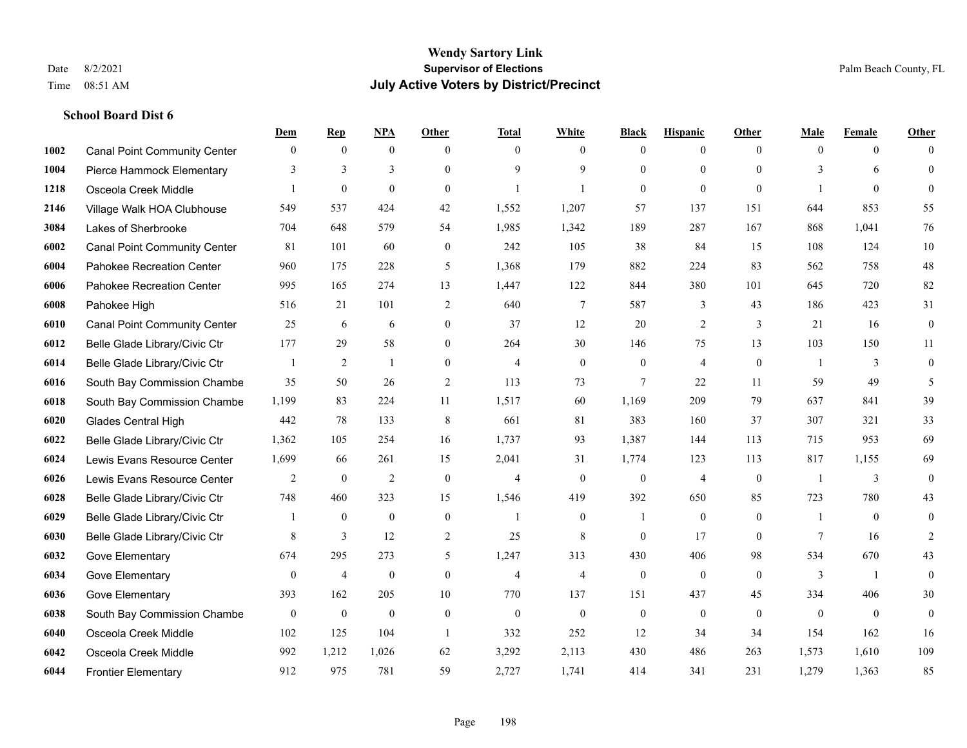|      |                                     | Dem          | <b>Rep</b>       | NPA              | <b>Other</b>     | <b>Total</b>   | <b>White</b>   | <b>Black</b>     | <b>Hispanic</b> | <b>Other</b>   | <b>Male</b>  | <b>Female</b>  | <b>Other</b>     |
|------|-------------------------------------|--------------|------------------|------------------|------------------|----------------|----------------|------------------|-----------------|----------------|--------------|----------------|------------------|
| 1002 | <b>Canal Point Community Center</b> | $\mathbf{0}$ | $\mathbf{0}$     | $\mathbf{0}$     | $\theta$         | $\theta$       | $\overline{0}$ | $\mathbf{0}$     | $\overline{0}$  | $\theta$       | $\theta$     | $\theta$       | $\Omega$         |
| 1004 | Pierce Hammock Elementary           | 3            | 3                | 3                | $\Omega$         | $\mathbf Q$    | 9              | $\theta$         | $\theta$        | $\theta$       | 3            | 6              | $\mathbf{0}$     |
| 1218 | Osceola Creek Middle                |              | $\boldsymbol{0}$ | $\mathbf{0}$     | $\Omega$         |                | $\mathbf{1}$   | $\mathbf{0}$     | $\mathbf{0}$    | $\theta$       | $\mathbf{1}$ | $\theta$       | $\theta$         |
| 2146 | Village Walk HOA Clubhouse          | 549          | 537              | 424              | 42               | 1,552          | 1,207          | 57               | 137             | 151            | 644          | 853            | 55               |
| 3084 | Lakes of Sherbrooke                 | 704          | 648              | 579              | 54               | 1,985          | 1,342          | 189              | 287             | 167            | 868          | 1.041          | 76               |
| 6002 | <b>Canal Point Community Center</b> | 81           | 101              | 60               | $\boldsymbol{0}$ | 242            | 105            | 38               | 84              | 15             | 108          | 124            | 10               |
| 6004 | Pahokee Recreation Center           | 960          | 175              | 228              | 5                | 1,368          | 179            | 882              | 224             | 83             | 562          | 758            | 48               |
| 6006 | Pahokee Recreation Center           | 995          | 165              | 274              | 13               | 1,447          | 122            | 844              | 380             | 101            | 645          | 720            | 82               |
| 6008 | Pahokee High                        | 516          | 21               | 101              | $\mathfrak{2}$   | 640            | $\tau$         | 587              | 3               | 43             | 186          | 423            | 31               |
| 6010 | <b>Canal Point Community Center</b> | 25           | 6                | 6                | $\mathbf{0}$     | 37             | 12             | 20               | 2               | 3              | 21           | 16             | $\boldsymbol{0}$ |
| 6012 | Belle Glade Library/Civic Ctr       | 177          | 29               | 58               | $\Omega$         | 264            | 30             | 146              | 75              | 13             | 103          | 150            | 11               |
| 6014 | Belle Glade Library/Civic Ctr       |              | $\overline{2}$   | $\mathbf{1}$     | $\Omega$         | $\overline{4}$ | $\mathbf{0}$   | $\mathbf{0}$     | $\overline{4}$  | $\theta$       | $\mathbf{1}$ | 3              | $\boldsymbol{0}$ |
| 6016 | South Bay Commission Chambe         | 35           | 50               | 26               | 2                | 113            | 73             | $7\phantom{.0}$  | 22              | 11             | 59           | 49             | 5                |
| 6018 | South Bay Commission Chambe         | 1,199        | 83               | 224              | 11               | 1,517          | 60             | 1,169            | 209             | 79             | 637          | 841            | 39               |
| 6020 | <b>Glades Central High</b>          | 442          | 78               | 133              | 8                | 661            | 81             | 383              | 160             | 37             | 307          | 321            | 33               |
| 6022 | Belle Glade Library/Civic Ctr       | 1,362        | 105              | 254              | 16               | 1,737          | 93             | 1,387            | 144             | 113            | 715          | 953            | 69               |
| 6024 | Lewis Evans Resource Center         | 1,699        | 66               | 261              | 15               | 2,041          | 31             | 1,774            | 123             | 113            | 817          | 1,155          | 69               |
| 6026 | Lewis Evans Resource Center         | 2            | $\mathbf{0}$     | $\overline{2}$   | $\Omega$         | $\overline{4}$ | $\overline{0}$ | $\mathbf{0}$     | $\overline{4}$  | $\theta$       |              | 3              | $\mathbf{0}$     |
| 6028 | Belle Glade Library/Civic Ctr       | 748          | 460              | 323              | 15               | 1,546          | 419            | 392              | 650             | 85             | 723          | 780            | 43               |
| 6029 | Belle Glade Library/Civic Ctr       |              | $\mathbf{0}$     | $\mathbf{0}$     | $\mathbf{0}$     | -1             | $\overline{0}$ | 1                | $\mathbf{0}$    | $\overline{0}$ | $\mathbf{1}$ | $\theta$       | $\mathbf{0}$     |
| 6030 | Belle Glade Library/Civic Ctr       | 8            | 3                | 12               | 2                | 25             | 8              | $\mathbf{0}$     | 17              | $\theta$       | 7            | 16             | $\overline{c}$   |
| 6032 | Gove Elementary                     | 674          | 295              | 273              | 5                | 1,247          | 313            | 430              | 406             | 98             | 534          | 670            | 43               |
| 6034 | Gove Elementary                     | $\mathbf{0}$ | $\overline{4}$   | $\boldsymbol{0}$ | $\overline{0}$   | $\overline{4}$ | $\overline{4}$ | $\boldsymbol{0}$ | $\mathbf{0}$    | $\theta$       | 3            | $\overline{1}$ | $\mathbf{0}$     |
| 6036 | Gove Elementary                     | 393          | 162              | 205              | 10               | 770            | 137            | 151              | 437             | 45             | 334          | 406            | 30               |
| 6038 | South Bay Commission Chambe         | $\mathbf{0}$ | $\mathbf{0}$     | $\mathbf{0}$     | $\overline{0}$   | $\theta$       | $\mathbf{0}$   | $\mathbf{0}$     | $\mathbf{0}$    | $\theta$       | $\theta$     | $\theta$       | $\theta$         |
| 6040 | Osceola Creek Middle                | 102          | 125              | 104              | $\overline{1}$   | 332            | 252            | 12               | 34              | 34             | 154          | 162            | 16               |
| 6042 | Osceola Creek Middle                | 992          | 1,212            | 1,026            | 62               | 3,292          | 2,113          | 430              | 486             | 263            | 1,573        | 1,610          | 109              |
| 6044 | <b>Frontier Elementary</b>          | 912          | 975              | 781              | 59               | 2,727          | 1,741          | 414              | 341             | 231            | 1,279        | 1,363          | 85               |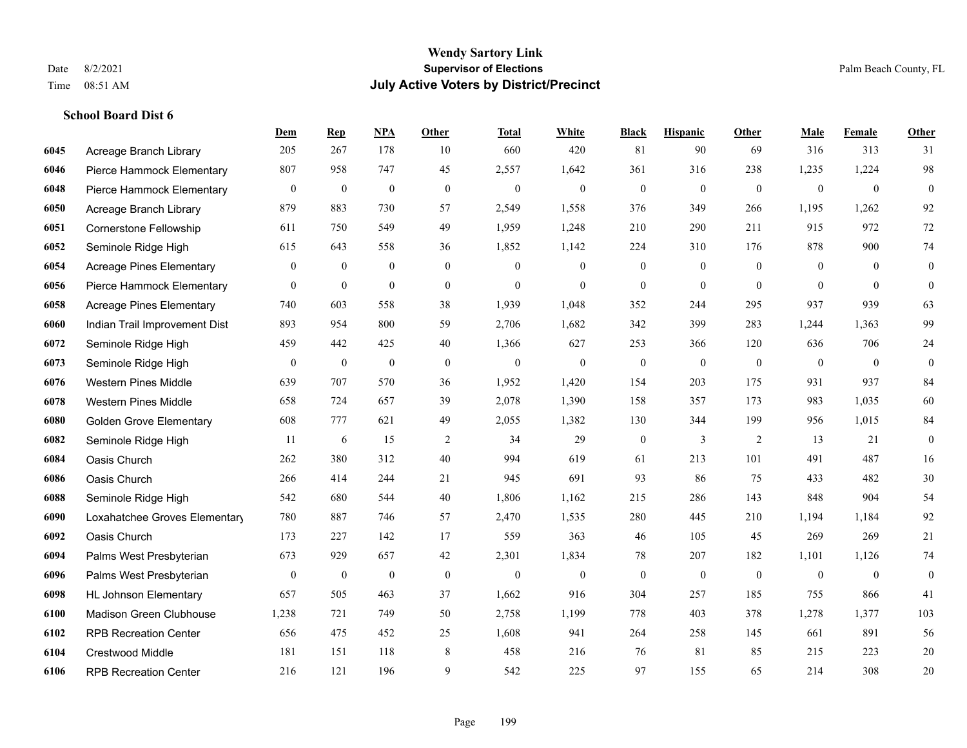|      |                                 | Dem          | <b>Rep</b>       | NPA              | <b>Other</b>     | <b>Total</b> | <b>White</b> | <b>Black</b>     | <b>Hispanic</b>  | <b>Other</b>   | <b>Male</b>    | <b>Female</b> | <b>Other</b>     |
|------|---------------------------------|--------------|------------------|------------------|------------------|--------------|--------------|------------------|------------------|----------------|----------------|---------------|------------------|
| 6045 | Acreage Branch Library          | 205          | 267              | 178              | 10               | 660          | 420          | 81               | 90               | 69             | 316            | 313           | 31               |
| 6046 | Pierce Hammock Elementary       | 807          | 958              | 747              | 45               | 2,557        | 1,642        | 361              | 316              | 238            | 1,235          | 1,224         | 98               |
| 6048 | Pierce Hammock Elementary       | $\mathbf{0}$ | $\boldsymbol{0}$ | $\boldsymbol{0}$ | $\boldsymbol{0}$ | $\mathbf{0}$ | $\mathbf{0}$ | $\boldsymbol{0}$ | $\boldsymbol{0}$ | $\mathbf{0}$   | $\mathbf{0}$   | $\mathbf{0}$  | $\mathbf{0}$     |
| 6050 | Acreage Branch Library          | 879          | 883              | 730              | 57               | 2,549        | 1,558        | 376              | 349              | 266            | 1,195          | 1,262         | 92               |
| 6051 | <b>Cornerstone Fellowship</b>   | 611          | 750              | 549              | 49               | 1,959        | 1,248        | 210              | 290              | 211            | 915            | 972           | 72               |
| 6052 | Seminole Ridge High             | 615          | 643              | 558              | 36               | 1,852        | 1,142        | 224              | 310              | 176            | 878            | 900           | 74               |
| 6054 | <b>Acreage Pines Elementary</b> | $\mathbf{0}$ | $\mathbf{0}$     | $\mathbf{0}$     | $\mathbf{0}$     | $\mathbf{0}$ | $\mathbf{0}$ | $\boldsymbol{0}$ | $\mathbf{0}$     | $\overline{0}$ | $\mathbf{0}$   | $\theta$      | $\boldsymbol{0}$ |
| 6056 | Pierce Hammock Elementary       | $\theta$     | $\mathbf{0}$     | $\mathbf{0}$     | $\Omega$         | $\theta$     | $\Omega$     | $\mathbf{0}$     | $\theta$         | $\Omega$       | $\theta$       | $\theta$      | $\theta$         |
| 6058 | <b>Acreage Pines Elementary</b> | 740          | 603              | 558              | 38               | 1,939        | 1,048        | 352              | 244              | 295            | 937            | 939           | 63               |
| 6060 | Indian Trail Improvement Dist   | 893          | 954              | 800              | 59               | 2,706        | 1,682        | 342              | 399              | 283            | 1,244          | 1,363         | 99               |
| 6072 | Seminole Ridge High             | 459          | 442              | 425              | 40               | 1,366        | 627          | 253              | 366              | 120            | 636            | 706           | 24               |
| 6073 | Seminole Ridge High             | $\mathbf{0}$ | $\bf{0}$         | $\boldsymbol{0}$ | $\overline{0}$   | $\mathbf{0}$ | $\mathbf{0}$ | $\boldsymbol{0}$ | $\mathbf{0}$     | $\mathbf{0}$   | $\overline{0}$ | $\mathbf{0}$  | $\mathbf{0}$     |
| 6076 | <b>Western Pines Middle</b>     | 639          | 707              | 570              | 36               | 1,952        | 1,420        | 154              | 203              | 175            | 931            | 937           | 84               |
| 6078 | <b>Western Pines Middle</b>     | 658          | 724              | 657              | 39               | 2,078        | 1,390        | 158              | 357              | 173            | 983            | 1,035         | 60               |
| 6080 | <b>Golden Grove Elementary</b>  | 608          | 777              | 621              | 49               | 2,055        | 1,382        | 130              | 344              | 199            | 956            | 1,015         | 84               |
| 6082 | Seminole Ridge High             | 11           | 6                | 15               | 2                | 34           | 29           | $\boldsymbol{0}$ | 3                | 2              | 13             | 21            | $\mathbf{0}$     |
| 6084 | Oasis Church                    | 262          | 380              | 312              | 40               | 994          | 619          | 61               | 213              | 101            | 491            | 487           | 16               |
| 6086 | Oasis Church                    | 266          | 414              | 244              | 21               | 945          | 691          | 93               | 86               | 75             | 433            | 482           | 30               |
| 6088 | Seminole Ridge High             | 542          | 680              | 544              | 40               | 1,806        | 1,162        | 215              | 286              | 143            | 848            | 904           | 54               |
| 6090 | Loxahatchee Groves Elementary   | 780          | 887              | 746              | 57               | 2,470        | 1,535        | 280              | 445              | 210            | 1,194          | 1,184         | 92               |
| 6092 | Oasis Church                    | 173          | 227              | 142              | 17               | 559          | 363          | 46               | 105              | 45             | 269            | 269           | 21               |
| 6094 | Palms West Presbyterian         | 673          | 929              | 657              | 42               | 2,301        | 1,834        | 78               | 207              | 182            | 1,101          | 1,126         | 74               |
| 6096 | Palms West Presbyterian         | $\mathbf{0}$ | $\boldsymbol{0}$ | $\boldsymbol{0}$ | $\boldsymbol{0}$ | $\mathbf{0}$ | $\mathbf{0}$ | $\boldsymbol{0}$ | $\boldsymbol{0}$ | $\mathbf{0}$   | $\overline{0}$ | $\mathbf{0}$  | $\boldsymbol{0}$ |
| 6098 | <b>HL Johnson Elementary</b>    | 657          | 505              | 463              | 37               | 1,662        | 916          | 304              | 257              | 185            | 755            | 866           | 41               |
| 6100 | Madison Green Clubhouse         | 1,238        | 721              | 749              | 50               | 2,758        | 1,199        | 778              | 403              | 378            | 1,278          | 1,377         | 103              |
| 6102 | <b>RPB Recreation Center</b>    | 656          | 475              | 452              | 25               | 1,608        | 941          | 264              | 258              | 145            | 661            | 891           | 56               |
| 6104 | Crestwood Middle                | 181          | 151              | 118              | 8                | 458          | 216          | 76               | 81               | 85             | 215            | 223           | 20               |
| 6106 | <b>RPB Recreation Center</b>    | 216          | 121              | 196              | 9                | 542          | 225          | 97               | 155              | 65             | 214            | 308           | 20               |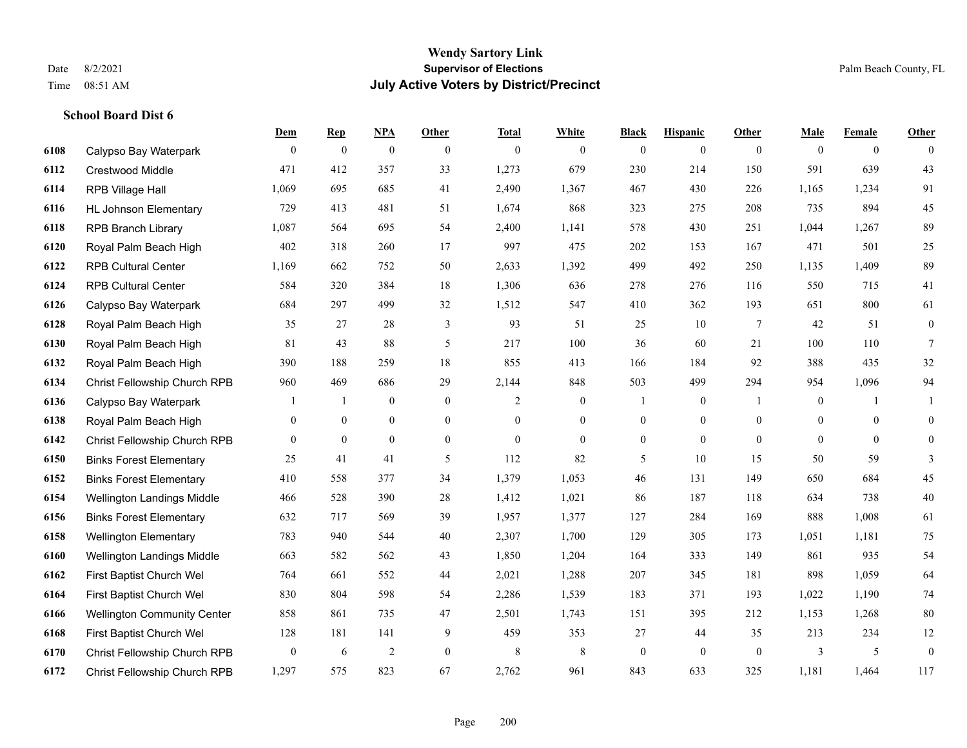**School Board Dist 6**

#### **Wendy Sartory Link** Date 8/2/2021 **Supervisor of Elections** Palm Beach County, FL Time 08:51 AM **July Active Voters by District/Precinct**

## **Dem Rep NPA Other Total White Black Hispanic Other Male Female Other** Calypso Bay Waterpark 0 0 0 0 0 0 0 0 0 0 0 0 Crestwood Middle 471 412 357 33 1,273 679 230 214 150 591 639 43 RPB Village Hall 1,069 695 685 41 2,490 1,367 467 430 226 1,165 1,234 91 HL Johnson Elementary 729 413 481 51 1,674 868 323 275 208 735 894 45 RPB Branch Library 1,087 564 695 54 2,400 1,141 578 430 251 1,044 1,267 89 Royal Palm Beach High 402 318 260 17 997 475 202 153 167 471 501 25 RPB Cultural Center 1,169 662 752 50 2,633 1,392 499 492 250 1,135 1,409 89 RPB Cultural Center 584 320 384 18 1,306 636 278 276 116 550 715 41 Calypso Bay Waterpark 684 297 499 32 1,512 547 410 362 193 651 800 61 Royal Palm Beach High 35 27 28 3 93 51 25 10 7 42 51 0 Royal Palm Beach High 81 43 88 5 217 100 36 60 21 100 110 7 Royal Palm Beach High 390 188 259 18 855 413 166 184 92 388 435 32 Christ Fellowship Church RPB 960 469 686 29 2,144 848 503 499 294 954 1,096 94 Calypso Bay Waterpark 1 1 0 0 2 0 1 0 1 0 1 1 Royal Palm Beach High 0 0 0 0 0 0 0 0 0 0 0 0 Christ Fellowship Church RPB 0 0 0 0 0 0 0 0 0 0 0 0 Binks Forest Elementary 25 41 41 5 112 82 5 10 15 50 59 3 Binks Forest Elementary 410 558 377 34 1,379 1,053 46 131 149 650 684 45 Wellington Landings Middle 466 528 390 28 1,412 1,021 86 187 118 634 738 40 Binks Forest Elementary 632 717 569 39 1,957 1,377 127 284 169 888 1,008 61 Wellington Elementary 783 940 544 40 2,307 1,700 129 305 173 1,051 1,181 75 Wellington Landings Middle 663 582 562 43 1,850 1,204 164 333 149 861 935 54 First Baptist Church Wel 764 661 552 44 2,021 1,288 207 345 181 898 1,059 64 First Baptist Church Wel 830 804 598 54 2,286 1,539 183 371 193 1,022 1,190 74 Wellington Community Center 858 861 735 47 2,501 1,743 151 395 212 1,153 1,268 80 First Baptist Church Wel 128 181 141 9 459 353 27 44 35 213 234 12 Christ Fellowship Church RPB 0 6 2 0 8 8 0 0 0 3 5 0 Christ Fellowship Church RPB 1,297 575 823 67 2,762 961 843 633 325 1,181 1,464 117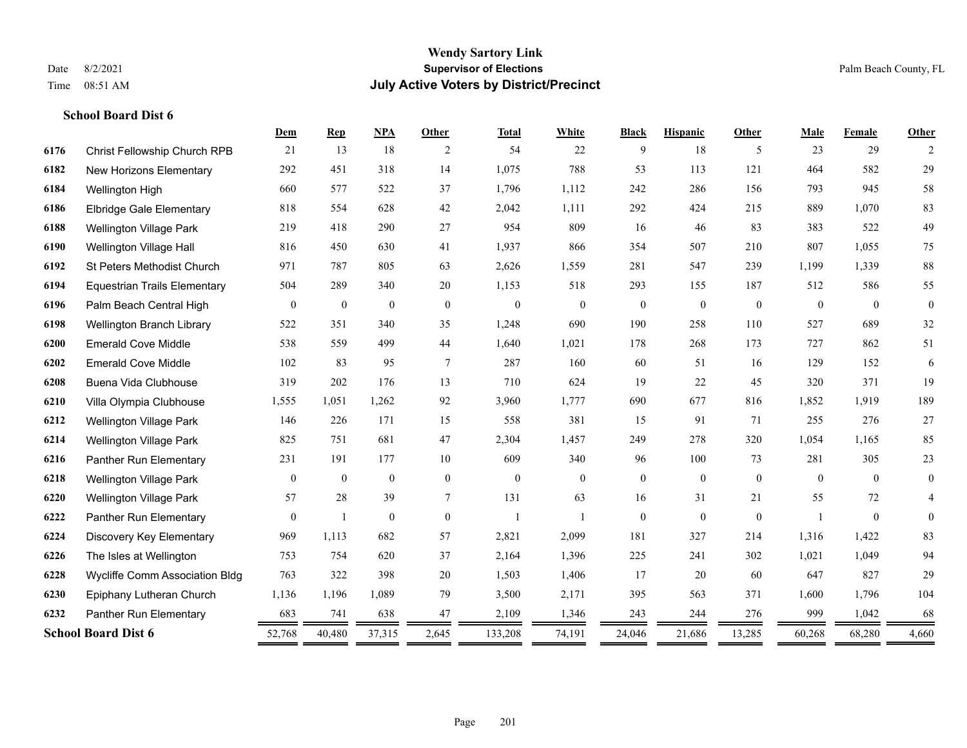|      |                                     | Dem            | <b>Rep</b>   | NPA              | Other          | <b>Total</b>         | White          | <b>Black</b>     | <b>Hispanic</b> | Other          | Male           | Female   | Other            |
|------|-------------------------------------|----------------|--------------|------------------|----------------|----------------------|----------------|------------------|-----------------|----------------|----------------|----------|------------------|
| 6176 | <b>Christ Fellowship Church RPB</b> | 21             | 13           | 18               | 2              | 54                   | 22             | 9                | 18              | 5              | 23             | 29       | 2                |
| 6182 | New Horizons Elementary             | 292            | 451          | 318              | 14             | 1,075                | 788            | 53               | 113             | 121            | 464            | 582      | 29               |
| 6184 | Wellington High                     | 660            | 577          | 522              | 37             | 1,796                | 1,112          | 242              | 286             | 156            | 793            | 945      | 58               |
| 6186 | <b>Elbridge Gale Elementary</b>     | 818            | 554          | 628              | 42             | 2,042                | 1,111          | 292              | 424             | 215            | 889            | 1,070    | 83               |
| 6188 | <b>Wellington Village Park</b>      | 219            | 418          | 290              | 27             | 954                  | 809            | 16               | 46              | 83             | 383            | 522      | 49               |
| 6190 | Wellington Village Hall             | 816            | 450          | 630              | 41             | 1,937                | 866            | 354              | 507             | 210            | 807            | 1,055    | 75               |
| 6192 | <b>St Peters Methodist Church</b>   | 971            | 787          | 805              | 63             | 2,626                | 1,559          | 281              | 547             | 239            | 1,199          | 1,339    | 88               |
| 6194 | <b>Equestrian Trails Elementary</b> | 504            | 289          | 340              | 20             | 1,153                | 518            | 293              | 155             | 187            | 512            | 586      | 55               |
| 6196 | Palm Beach Central High             | $\mathbf{0}$   | $\bf{0}$     | $\boldsymbol{0}$ | $\overline{0}$ | $\mathbf{0}$         | $\overline{0}$ | $\boldsymbol{0}$ | $\mathbf{0}$    | $\theta$       | $\overline{0}$ | $\theta$ | $\boldsymbol{0}$ |
| 6198 | Wellington Branch Library           | 522            | 351          | 340              | 35             | 1,248                | 690            | 190              | 258             | 110            | 527            | 689      | 32               |
| 6200 | <b>Emerald Cove Middle</b>          | 538            | 559          | 499              | 44             | 1,640                | 1,021          | 178              | 268             | 173            | 727            | 862      | 51               |
| 6202 | <b>Emerald Cove Middle</b>          | 102            | 83           | 95               | 7              | 287                  | 160            | 60               | 51              | 16             | 129            | 152      | 6                |
| 6208 | Buena Vida Clubhouse                | 319            | 202          | 176              | 13             | 710                  | 624            | 19               | 22              | 45             | 320            | 371      | 19               |
| 6210 | Villa Olympia Clubhouse             | 1,555          | 1,051        | 1,262            | 92             | 3,960                | 1,777          | 690              | 677             | 816            | 1,852          | 1,919    | 189              |
| 6212 | <b>Wellington Village Park</b>      | 146            | 226          | 171              | 15             | 558                  | 381            | 15               | 91              | 71             | 255            | 276      | $27\,$           |
| 6214 | Wellington Village Park             | 825            | 751          | 681              | 47             | 2,304                | 1,457          | 249              | 278             | 320            | 1,054          | 1,165    | 85               |
| 6216 | Panther Run Elementary              | 231            | 191          | 177              | 10             | 609                  | 340            | 96               | 100             | 73             | 281            | 305      | 23               |
| 6218 | <b>Wellington Village Park</b>      | $\overline{0}$ | $\mathbf{0}$ | $\mathbf{0}$     | $\overline{0}$ | $\mathbf{0}$         | $\overline{0}$ | $\boldsymbol{0}$ | $\mathbf{0}$    | $\overline{0}$ | $\theta$       | $\theta$ | $\boldsymbol{0}$ |
| 6220 | <b>Wellington Village Park</b>      | 57             | 28           | 39               | 7              | 131                  | 63             | 16               | 31              | 21             | 55             | 72       | 4                |
| 6222 | Panther Run Elementary              | $\overline{0}$ | $\mathbf{1}$ | $\mathbf{0}$     | $\theta$       | $\overline{1}$       |                | $\mathbf{0}$     | $\mathbf{0}$    | $\theta$       |                | $\theta$ | $\mathbf{0}$     |
| 6224 | Discovery Key Elementary            | 969            | 1,113        | 682              | 57             | 2,821                | 2,099          | 181              | 327             | 214            | 1,316          | 1,422    | 83               |
| 6226 | The Isles at Wellington             | 753            | 754          | 620              | 37             | 2,164                | 1,396          | 225              | 241             | 302            | 1,021          | 1,049    | 94               |
| 6228 | Wycliffe Comm Association Bldg      | 763            | 322          | 398              | 20             | 1,503                | 1,406          | 17               | 20              | 60             | 647            | 827      | 29               |
| 6230 | Epiphany Lutheran Church            | 1,136          | 1,196        | 1,089            | 79             | 3,500                | 2,171          | 395              | 563             | 371            | 1,600          | 1,796    | 104              |
| 6232 | Panther Run Elementary              | 683            | 741          | 638              | 47             | 2,109                | 1,346          | 243              | 244             | 276            | 999            | 1,042    | 68               |
|      | <b>School Board Dist 6</b>          | 52,768         | 40,480<br>=  | 37,315<br>=      | 2,645<br>=     | 133,208<br>$\, = \,$ | 74,191         | 24,046<br>=      | 21,686          | 13,285         | 60,268         | 68,280   | 4,660            |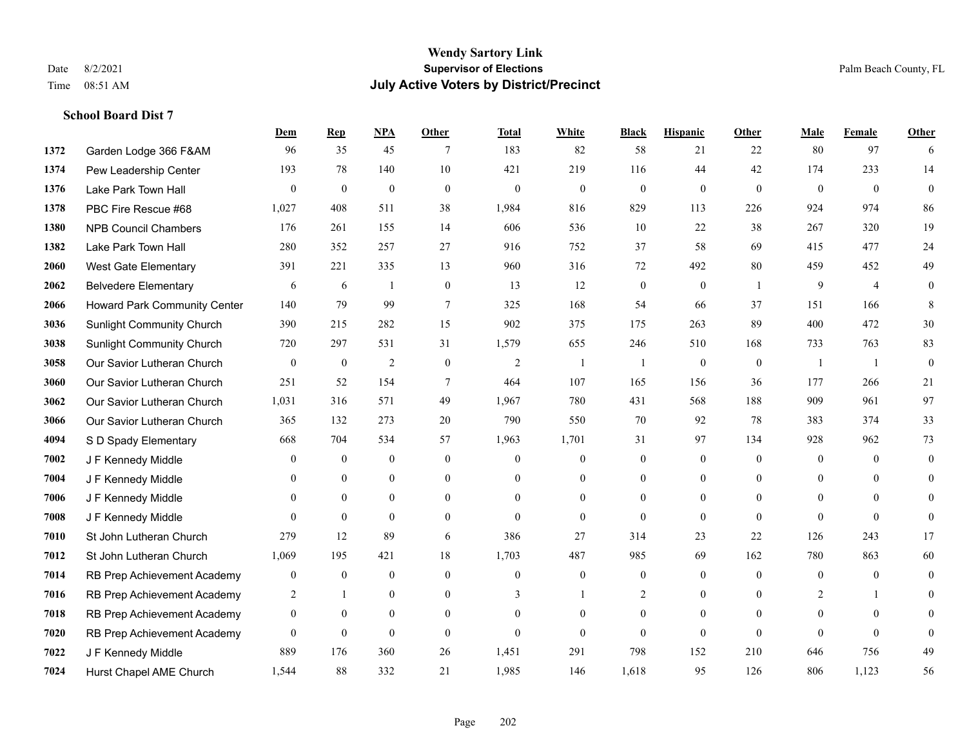**School Board Dist 7**

### **Wendy Sartory Link** Date 8/2/2021 **Supervisor of Elections** Palm Beach County, FL Time 08:51 AM **July Active Voters by District/Precinct**

## **Dem Rep NPA Other Total White Black Hispanic Other Male Female Other** Garden Lodge 366 F&AM 96 35 45 7 183 82 58 21 22 80 97 6 Pew Leadership Center 193 78 140 10 421 219 116 44 42 174 233 14 Lake Park Town Hall 0 0 0 0 0 0 0 0 0 0 0 0 PBC Fire Rescue #68 1,027 408 511 38 1,984 816 829 113 226 924 974 86 NPB Council Chambers 176 261 155 14 606 536 10 22 38 267 320 19 Lake Park Town Hall 280 352 257 27 916 752 37 58 69 415 477 24 West Gate Elementary 391 221 335 13 960 316 72 492 80 459 452 49 Belvedere Elementary 6 6 6 1 0 13 12 0 0 1 9 4 0 Howard Park Community Center 140 79 99 7 325 168 54 66 37 151 166 8 Sunlight Community Church 390 215 282 15 902 375 175 263 89 400 472 30 Sunlight Community Church 720 297 531 31 1,579 655 246 510 168 733 763 83 Our Savior Lutheran Church 0 0 0 2 0 0 2 1 1 0 0 0 1 1 0 Our Savior Lutheran Church 251 52 154 7 464 107 165 156 36 177 266 21 Our Savior Lutheran Church 1,031 316 571 49 1,967 780 431 568 188 909 961 97 Our Savior Lutheran Church 365 132 273 20 790 550 70 92 78 383 374 33 S D Spady Elementary 668 704 534 57 1,963 1,701 31 97 134 928 962 73 **7002 J F Kennedy Middle 0 0 0 0 0 0 0 0 0** 0 **7004 J F Kennedy Middle 0 0 0 0 0 0 0 0 0** 0 J F Kennedy Middle 0 0 0 0 0 0 0 0 0 0 J F Kennedy Middle 0 0 0 0 0 0 0 0 0 0 St John Lutheran Church 279 12 89 6 386 27 314 23 22 126 243 17 St John Lutheran Church 1,069 195 421 18 1,703 487 985 69 162 780 863 60 RB Prep Achievement Academy 0 0 0 0 0 0 0 0 0 0 0 0 RB Prep Achievement Academy 2 1 0 0 3 1 2 0 0 2 1 0 RB Prep Achievement Academy 0 0 0 0 0 0 0 0 0 0 0 0 RB Prep Achievement Academy 0 0 0 0 0 0 0 0 0 0 0 0 J F Kennedy Middle 889 176 360 26 1,451 291 798 152 210 646 756 49 Hurst Chapel AME Church 1,544 88 332 21 1,985 146 1,618 95 126 806 1,123 56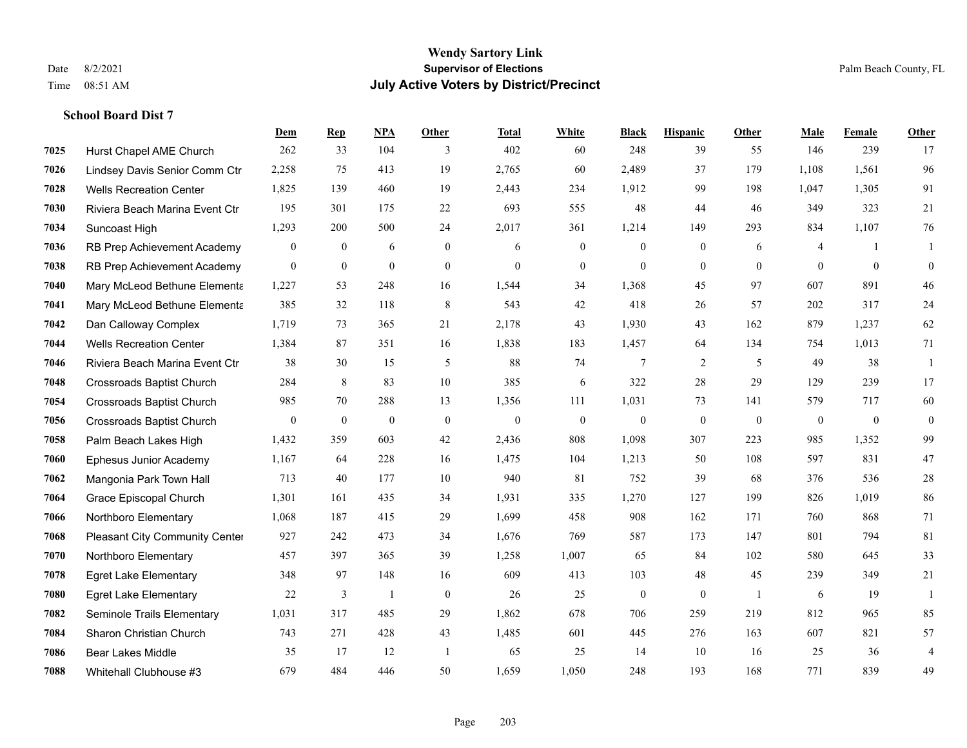|      |                                  | Dem            | <b>Rep</b>     | NPA          | <b>Other</b>   | <b>Total</b> | <b>White</b>   | <b>Black</b>     | <b>Hispanic</b> | <b>Other</b>   | <b>Male</b>  | Female       | <b>Other</b>   |
|------|----------------------------------|----------------|----------------|--------------|----------------|--------------|----------------|------------------|-----------------|----------------|--------------|--------------|----------------|
| 7025 | Hurst Chapel AME Church          | 262            | 33             | 104          | 3              | 402          | 60             | 248              | 39              | 55             | 146          | 239          | 17             |
| 7026 | Lindsey Davis Senior Comm Ctr    | 2,258          | 75             | 413          | 19             | 2,765        | 60             | 2,489            | 37              | 179            | 1,108        | 1,561        | 96             |
| 7028 | <b>Wells Recreation Center</b>   | 1,825          | 139            | 460          | 19             | 2,443        | 234            | 1,912            | 99              | 198            | 1,047        | 1,305        | 91             |
| 7030 | Riviera Beach Marina Event Ctr   | 195            | 301            | 175          | 22             | 693          | 555            | 48               | 44              | 46             | 349          | 323          | 21             |
| 7034 | Suncoast High                    | 1,293          | 200            | 500          | 24             | 2,017        | 361            | 1,214            | 149             | 293            | 834          | 1,107        | 76             |
| 7036 | RB Prep Achievement Academy      | $\mathbf{0}$   | $\mathbf{0}$   | 6            | $\mathbf{0}$   | 6            | $\mathbf{0}$   | $\mathbf{0}$     | $\mathbf{0}$    | 6              | 4            | -1           | 1              |
| 7038 | RB Prep Achievement Academy      | $\mathbf{0}$   | $\mathbf{0}$   | $\mathbf{0}$ | $\overline{0}$ | $\mathbf{0}$ | $\overline{0}$ | $\mathbf{0}$     | $\mathbf{0}$    | $\theta$       | $\theta$     | $\theta$     | $\mathbf{0}$   |
| 7040 | Mary McLeod Bethune Elementa     | 1,227          | 53             | 248          | 16             | 1,544        | 34             | 1,368            | 45              | 97             | 607          | 891          | 46             |
| 7041 | Mary McLeod Bethune Elementa     | 385            | 32             | 118          | $\,8\,$        | 543          | 42             | 418              | 26              | 57             | 202          | 317          | $24\,$         |
| 7042 | Dan Calloway Complex             | 1,719          | 73             | 365          | 21             | 2,178        | 43             | 1,930            | 43              | 162            | 879          | 1,237        | 62             |
| 7044 | <b>Wells Recreation Center</b>   | 1,384          | 87             | 351          | 16             | 1,838        | 183            | 1,457            | 64              | 134            | 754          | 1,013        | 71             |
| 7046 | Riviera Beach Marina Event Ctr   | 38             | 30             | 15           | 5              | 88           | 74             | $7\phantom{.0}$  | $\overline{2}$  | 5              | 49           | 38           | 1              |
| 7048 | <b>Crossroads Baptist Church</b> | 284            | 8              | 83           | 10             | 385          | 6              | 322              | 28              | 29             | 129          | 239          | 17             |
| 7054 | <b>Crossroads Baptist Church</b> | 985            | 70             | 288          | 13             | 1,356        | 111            | 1,031            | 73              | 141            | 579          | 717          | 60             |
| 7056 | <b>Crossroads Baptist Church</b> | $\overline{0}$ | $\overline{0}$ | $\mathbf{0}$ | $\theta$       | $\mathbf{0}$ | $\overline{0}$ | $\mathbf{0}$     | $\mathbf{0}$    | $\theta$       | $\mathbf{0}$ | $\mathbf{0}$ | $\mathbf{0}$   |
| 7058 | Palm Beach Lakes High            | 1,432          | 359            | 603          | 42             | 2,436        | 808            | 1,098            | 307             | 223            | 985          | 1,352        | 99             |
| 7060 | <b>Ephesus Junior Academy</b>    | 1,167          | 64             | 228          | 16             | 1,475        | 104            | 1,213            | 50              | 108            | 597          | 831          | 47             |
| 7062 | Mangonia Park Town Hall          | 713            | 40             | 177          | 10             | 940          | 81             | 752              | 39              | 68             | 376          | 536          | $28\,$         |
| 7064 | Grace Episcopal Church           | 1,301          | 161            | 435          | 34             | 1,931        | 335            | 1,270            | 127             | 199            | 826          | 1,019        | 86             |
| 7066 | Northboro Elementary             | 1,068          | 187            | 415          | 29             | 1,699        | 458            | 908              | 162             | 171            | 760          | 868          | 71             |
| 7068 | Pleasant City Community Center   | 927            | 242            | 473          | 34             | 1,676        | 769            | 587              | 173             | 147            | 801          | 794          | 81             |
| 7070 | Northboro Elementary             | 457            | 397            | 365          | 39             | 1,258        | 1,007          | 65               | 84              | 102            | 580          | 645          | 33             |
| 7078 | <b>Egret Lake Elementary</b>     | 348            | 97             | 148          | 16             | 609          | 413            | 103              | 48              | 45             | 239          | 349          | 21             |
| 7080 | <b>Egret Lake Elementary</b>     | 22             | 3              | -1           | $\mathbf{0}$   | 26           | 25             | $\boldsymbol{0}$ | $\mathbf{0}$    | $\overline{1}$ | 6            | 19           | -1             |
| 7082 | Seminole Trails Elementary       | 1,031          | 317            | 485          | 29             | 1,862        | 678            | 706              | 259             | 219            | 812          | 965          | 85             |
| 7084 | Sharon Christian Church          | 743            | 271            | 428          | 43             | 1,485        | 601            | 445              | 276             | 163            | 607          | 821          | 57             |
| 7086 | <b>Bear Lakes Middle</b>         | 35             | 17             | 12           | -1             | 65           | 25             | 14               | 10              | 16             | 25           | 36           | $\overline{4}$ |
| 7088 | Whitehall Clubhouse #3           | 679            | 484            | 446          | 50             | 1,659        | 1,050          | 248              | 193             | 168            | 771          | 839          | 49             |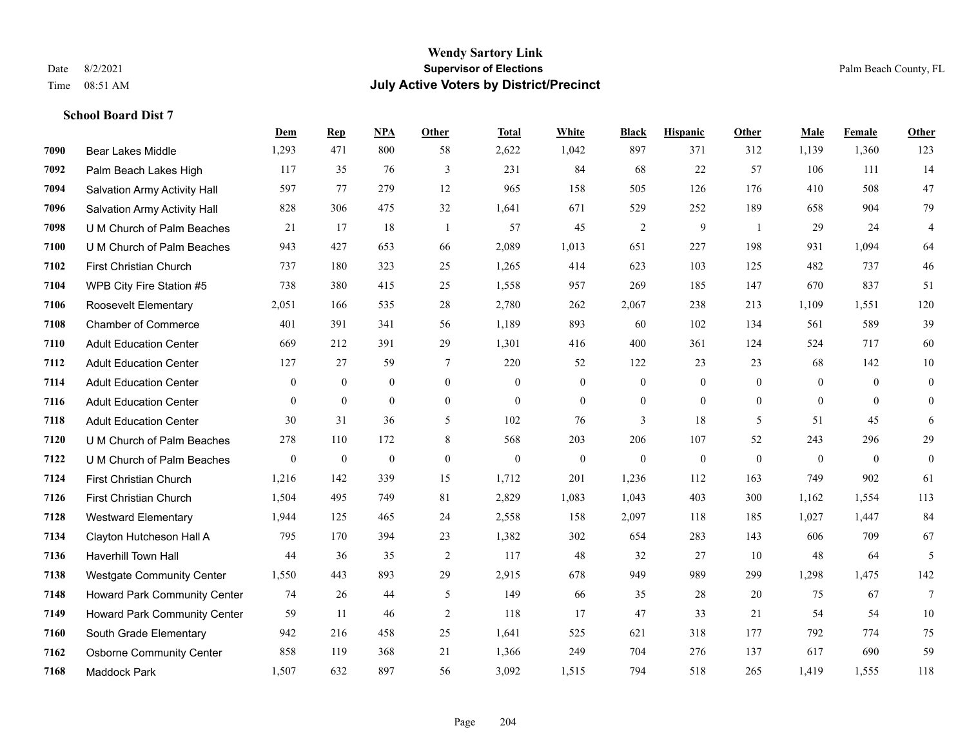|      |                                  | Dem          | <b>Rep</b>       | NPA              | <b>Other</b>   | <b>Total</b> | White            | <b>Black</b>     | <b>Hispanic</b>  | Other          | <b>Male</b>    | Female       | <b>Other</b>     |
|------|----------------------------------|--------------|------------------|------------------|----------------|--------------|------------------|------------------|------------------|----------------|----------------|--------------|------------------|
| 7090 | <b>Bear Lakes Middle</b>         | 1,293        | 471              | 800              | 58             | 2,622        | 1,042            | 897              | 371              | 312            | 1,139          | 1,360        | 123              |
| 7092 | Palm Beach Lakes High            | 117          | 35               | 76               | 3              | 231          | 84               | 68               | 22               | 57             | 106            | 111          | 14               |
| 7094 | Salvation Army Activity Hall     | 597          | 77               | 279              | 12             | 965          | 158              | 505              | 126              | 176            | 410            | 508          | 47               |
| 7096 | Salvation Army Activity Hall     | 828          | 306              | 475              | 32             | 1,641        | 671              | 529              | 252              | 189            | 658            | 904          | 79               |
| 7098 | U M Church of Palm Beaches       | 21           | 17               | 18               | $\overline{1}$ | 57           | 45               | $\overline{c}$   | 9                | $\overline{1}$ | 29             | 24           | $\overline{4}$   |
| 7100 | U M Church of Palm Beaches       | 943          | 427              | 653              | 66             | 2,089        | 1,013            | 651              | 227              | 198            | 931            | 1,094        | 64               |
| 7102 | First Christian Church           | 737          | 180              | 323              | 25             | 1,265        | 414              | 623              | 103              | 125            | 482            | 737          | 46               |
| 7104 | WPB City Fire Station #5         | 738          | 380              | 415              | 25             | 1,558        | 957              | 269              | 185              | 147            | 670            | 837          | 51               |
| 7106 | Roosevelt Elementary             | 2,051        | 166              | 535              | 28             | 2,780        | 262              | 2,067            | 238              | 213            | 1,109          | 1,551        | 120              |
| 7108 | <b>Chamber of Commerce</b>       | 401          | 391              | 341              | 56             | 1,189        | 893              | 60               | 102              | 134            | 561            | 589          | 39               |
| 7110 | <b>Adult Education Center</b>    | 669          | 212              | 391              | 29             | 1,301        | 416              | 400              | 361              | 124            | 524            | 717          | 60               |
| 7112 | <b>Adult Education Center</b>    | 127          | 27               | 59               | $\overline{7}$ | 220          | 52               | 122              | 23               | 23             | 68             | 142          | 10               |
| 7114 | <b>Adult Education Center</b>    | $\mathbf{0}$ | $\boldsymbol{0}$ | $\boldsymbol{0}$ | $\mathbf{0}$   | $\mathbf{0}$ | $\boldsymbol{0}$ | $\boldsymbol{0}$ | $\boldsymbol{0}$ | $\theta$       | $\overline{0}$ | $\theta$     | $\boldsymbol{0}$ |
| 7116 | <b>Adult Education Center</b>    | $\mathbf{0}$ | $\overline{0}$   | $\overline{0}$   | $\mathbf{0}$   | $\mathbf{0}$ | $\overline{0}$   | $\boldsymbol{0}$ | $\mathbf{0}$     | $\mathbf{0}$   | $\mathbf{0}$   | $\mathbf{0}$ | $\mathbf{0}$     |
| 7118 | <b>Adult Education Center</b>    | 30           | 31               | 36               | 5              | 102          | 76               | 3                | 18               | 5              | 51             | 45           | 6                |
| 7120 | U M Church of Palm Beaches       | 278          | 110              | 172              | 8              | 568          | 203              | 206              | 107              | 52             | 243            | 296          | 29               |
| 7122 | U M Church of Palm Beaches       | $\mathbf{0}$ | $\mathbf{0}$     | $\theta$         | $\overline{0}$ | $\mathbf{0}$ | $\overline{0}$   | $\mathbf{0}$     | $\mathbf{0}$     | $\theta$       | $\theta$       | $\theta$     | $\mathbf{0}$     |
| 7124 | First Christian Church           | 1,216        | 142              | 339              | 15             | 1,712        | 201              | 1,236            | 112              | 163            | 749            | 902          | 61               |
| 7126 | First Christian Church           | 1,504        | 495              | 749              | 81             | 2,829        | 1,083            | 1,043            | 403              | 300            | 1,162          | 1,554        | 113              |
| 7128 | <b>Westward Elementary</b>       | 1,944        | 125              | 465              | 24             | 2,558        | 158              | 2,097            | 118              | 185            | 1,027          | 1,447        | 84               |
| 7134 | Clayton Hutcheson Hall A         | 795          | 170              | 394              | 23             | 1,382        | 302              | 654              | 283              | 143            | 606            | 709          | 67               |
| 7136 | <b>Haverhill Town Hall</b>       | 44           | 36               | 35               | $\overline{2}$ | 117          | 48               | 32               | 27               | 10             | 48             | 64           | 5                |
| 7138 | <b>Westgate Community Center</b> | 1,550        | 443              | 893              | 29             | 2,915        | 678              | 949              | 989              | 299            | 1,298          | 1,475        | 142              |
| 7148 | Howard Park Community Center     | 74           | 26               | 44               | 5              | 149          | 66               | 35               | 28               | 20             | 75             | 67           | $\tau$           |
| 7149 | Howard Park Community Center     | 59           | 11               | 46               | $\overline{2}$ | 118          | 17               | 47               | 33               | 21             | 54             | 54           | 10               |
| 7160 | South Grade Elementary           | 942          | 216              | 458              | 25             | 1,641        | 525              | 621              | 318              | 177            | 792            | 774          | 75               |
| 7162 | <b>Osborne Community Center</b>  | 858          | 119              | 368              | 21             | 1,366        | 249              | 704              | 276              | 137            | 617            | 690          | 59               |
| 7168 | Maddock Park                     | 1,507        | 632              | 897              | 56             | 3,092        | 1,515            | 794              | 518              | 265            | 1,419          | 1,555        | 118              |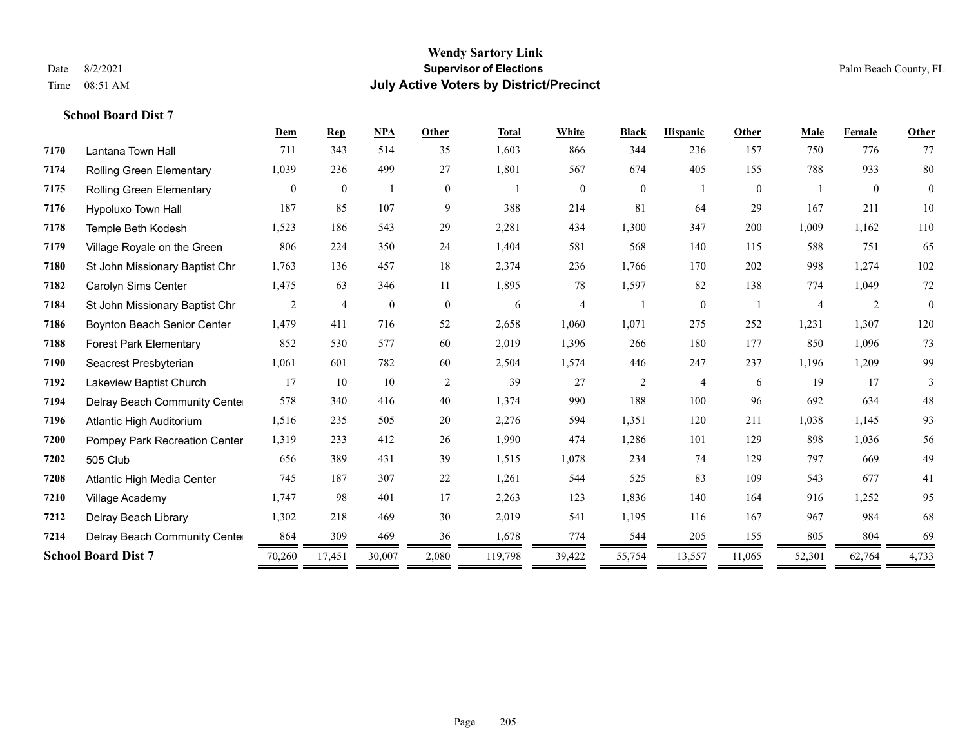|      |                                 | Dem            | Rep              | <b>NPA</b>   | Other          | <b>Total</b> | White          | <b>Black</b>   | <b>Hispanic</b> | Other          | Male           | Female         | Other          |
|------|---------------------------------|----------------|------------------|--------------|----------------|--------------|----------------|----------------|-----------------|----------------|----------------|----------------|----------------|
| 7170 | Lantana Town Hall               | 711            | 343              | 514          | 35             | 1,603        | 866            | 344            | 236             | 157            | 750            | 776            | 77             |
| 7174 | Rolling Green Elementary        | 1,039          | 236              | 499          | 27             | 1,801        | 567            | 674            | 405             | 155            | 788            | 933            | $80\,$         |
| 7175 | <b>Rolling Green Elementary</b> | $\overline{0}$ | $\boldsymbol{0}$ |              | $\overline{0}$ |              | $\mathbf{0}$   | $\overline{0}$ |                 | $\overline{0}$ |                | $\overline{0}$ | $\overline{0}$ |
| 7176 | Hypoluxo Town Hall              | 187            | 85               | 107          | 9              | 388          | 214            | 81             | 64              | 29             | 167            | 211            | $10\,$         |
| 7178 | Temple Beth Kodesh              | 1,523          | 186              | 543          | 29             | 2,281        | 434            | 1,300          | 347             | 200            | 1,009          | 1,162          | 110            |
| 7179 | Village Royale on the Green     | 806            | 224              | 350          | 24             | 1,404        | 581            | 568            | 140             | 115            | 588            | 751            | 65             |
| 7180 | St John Missionary Baptist Chr  | 1,763          | 136              | 457          | 18             | 2,374        | 236            | 1,766          | 170             | 202            | 998            | 1,274          | 102            |
| 7182 | Carolyn Sims Center             | 1,475          | 63               | 346          | 11             | 1,895        | 78             | 1,597          | 82              | 138            | 774            | 1,049          | $72\,$         |
| 7184 | St John Missionary Baptist Chr  | 2              | $\overline{4}$   | $\mathbf{0}$ | $\mathbf{0}$   | 6            | $\overline{4}$ |                | $\overline{0}$  |                | $\overline{4}$ | $\overline{c}$ | $\mathbf{0}$   |
| 7186 | Boynton Beach Senior Center     | 1,479          | 411              | 716          | 52             | 2,658        | 1,060          | 1,071          | 275             | 252            | 1,231          | 1,307          | 120            |
| 7188 | <b>Forest Park Elementary</b>   | 852            | 530              | 577          | 60             | 2,019        | 1,396          | 266            | 180             | 177            | 850            | 1,096          | 73             |
| 7190 | Seacrest Presbyterian           | 1,061          | 601              | 782          | 60             | 2,504        | 1,574          | 446            | 247             | 237            | 1,196          | 1,209          | 99             |
| 7192 | Lakeview Baptist Church         | 17             | 10               | 10           | 2              | 39           | 27             | 2              | $\overline{4}$  | 6              | 19             | 17             | 3              |
| 7194 | Delray Beach Community Cente    | 578            | 340              | 416          | 40             | 1,374        | 990            | 188            | 100             | 96             | 692            | 634            | $48\,$         |
| 7196 | Atlantic High Auditorium        | 1,516          | 235              | 505          | 20             | 2,276        | 594            | 1,351          | 120             | 211            | 1,038          | 1,145          | 93             |
| 7200 | Pompey Park Recreation Center   | 1,319          | 233              | 412          | 26             | 1,990        | 474            | 1,286          | 101             | 129            | 898            | 1,036          | 56             |
| 7202 | 505 Club                        | 656            | 389              | 431          | 39             | 1,515        | 1,078          | 234            | 74              | 129            | 797            | 669            | 49             |
| 7208 | Atlantic High Media Center      | 745            | 187              | 307          | 22             | 1,261        | 544            | 525            | 83              | 109            | 543            | 677            | 41             |
| 7210 | Village Academy                 | 1.747          | 98               | 401          | 17             | 2,263        | 123            | 1,836          | 140             | 164            | 916            | 1,252          | 95             |
| 7212 | Delray Beach Library            | 1,302          | 218              | 469          | 30             | 2,019        | 541            | 1,195          | 116             | 167            | 967            | 984            | 68             |
| 7214 | Delray Beach Community Cente    | 864            | 309              | 469          | 36             | 1,678        | 774            | 544            | 205             | 155            | 805            | 804            | 69             |
|      | <b>School Board Dist 7</b>      | 70,260         | 17,451           | 30,007       | 2,080          | 119,798      | 39,422         | 55,754         | 13,557          | 11,065         | 52,301         | 62,764         | 4,733          |
|      |                                 |                |                  |              |                |              |                |                |                 |                |                |                |                |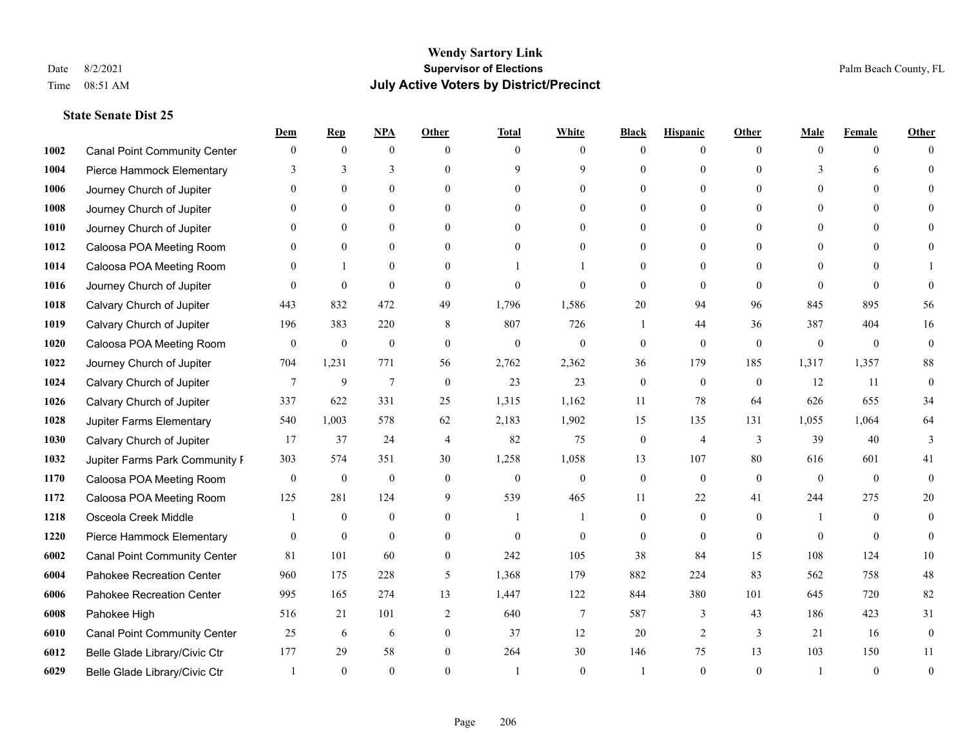|      |                                     | Dem              | <b>Rep</b>       | NPA              | <b>Other</b>   | <b>Total</b>     | <b>White</b>     | <b>Black</b>     | <b>Hispanic</b> | <b>Other</b> | <b>Male</b>  | <b>Female</b>  | <b>Other</b>     |
|------|-------------------------------------|------------------|------------------|------------------|----------------|------------------|------------------|------------------|-----------------|--------------|--------------|----------------|------------------|
| 1002 | <b>Canal Point Community Center</b> | $\mathbf{0}$     | $\mathbf{0}$     | $\boldsymbol{0}$ | $\Omega$       | $\Omega$         | $\theta$         | $\theta$         | $\mathbf{0}$    | $\Omega$     | $\theta$     | $\theta$       | $\Omega$         |
| 1004 | Pierce Hammock Elementary           | 3                | 3                | 3                | $\Omega$       | $\mathbf Q$      | 9                | $\theta$         | $\mathbf{0}$    | $\Omega$     | 3            | 6              | $\Omega$         |
| 1006 | Journey Church of Jupiter           | $\Omega$         | $\theta$         | $\theta$         | $\Omega$       | $\Omega$         | $\Omega$         | $\Omega$         | $\theta$        | $\Omega$     | $\Omega$     | $\Omega$       |                  |
| 1008 | Journey Church of Jupiter           |                  | $\mathbf{0}$     | $\mathbf{0}$     | $\mathbf{0}$   | $\theta$         | $\mathbf{0}$     | $\overline{0}$   | $\mathbf{0}$    | $\Omega$     | $\mathbf{0}$ | $\theta$       |                  |
| 1010 | Journey Church of Jupiter           | 0                | $\theta$         | $\mathbf{0}$     | $\Omega$       | $\Omega$         | $\overline{0}$   | $\theta$         | $\theta$        | $\Omega$     | $\theta$     | $\Omega$       | $\Omega$         |
| 1012 | Caloosa POA Meeting Room            |                  | $\mathbf{0}$     | $\mathbf{0}$     | $\Omega$       | $\theta$         | $\mathbf{0}$     | $\theta$         | $\mathbf{0}$    | $\Omega$     | $\theta$     | $\Omega$       |                  |
| 1014 | Caloosa POA Meeting Room            | $\Omega$         | $\mathbf{1}$     | $\mathbf{0}$     | $\theta$       |                  |                  | $\overline{0}$   | $\mathbf{0}$    | $\theta$     | $\theta$     | $\theta$       |                  |
| 1016 | Journey Church of Jupiter           | $\Omega$         | $\mathbf{0}$     | $\theta$         | $\Omega$       | $\theta$         | $\theta$         | $\theta$         | $\theta$        | $\Omega$     | $\Omega$     | $\Omega$       | $\Omega$         |
| 1018 | Calvary Church of Jupiter           | 443              | 832              | 472              | 49             | 1,796            | 1,586            | 20               | 94              | 96           | 845          | 895            | 56               |
| 1019 | Calvary Church of Jupiter           | 196              | 383              | 220              | 8              | 807              | 726              | 1                | 44              | 36           | 387          | 404            | 16               |
| 1020 | Caloosa POA Meeting Room            | $\mathbf{0}$     | $\boldsymbol{0}$ | $\boldsymbol{0}$ | $\theta$       | $\mathbf{0}$     | $\mathbf{0}$     | $\mathbf{0}$     | $\mathbf{0}$    | $\theta$     | $\mathbf{0}$ | $\overline{0}$ | $\mathbf{0}$     |
| 1022 | Journey Church of Jupiter           | 704              | 1,231            | 771              | 56             | 2,762            | 2,362            | 36               | 179             | 185          | 1,317        | 1,357          | $88\,$           |
| 1024 | Calvary Church of Jupiter           | 7                | 9                | $\overline{7}$   | $\theta$       | 23               | 23               | $\mathbf{0}$     | $\mathbf{0}$    | $\theta$     | 12           | 11             | $\mathbf{0}$     |
| 1026 | Calvary Church of Jupiter           | 337              | 622              | 331              | 25             | 1,315            | 1,162            | 11               | 78              | 64           | 626          | 655            | 34               |
| 1028 | Jupiter Farms Elementary            | 540              | 1,003            | 578              | 62             | 2,183            | 1,902            | 15               | 135             | 131          | 1,055        | 1,064          | 64               |
| 1030 | Calvary Church of Jupiter           | 17               | 37               | 24               | $\overline{4}$ | 82               | 75               | $\mathbf{0}$     | $\overline{4}$  | 3            | 39           | 40             | 3                |
| 1032 | Jupiter Farms Park Community I      | 303              | 574              | 351              | 30             | 1,258            | 1,058            | 13               | 107             | 80           | 616          | 601            | 41               |
| 1170 | Caloosa POA Meeting Room            | $\boldsymbol{0}$ | $\boldsymbol{0}$ | $\boldsymbol{0}$ | $\mathbf{0}$   | $\boldsymbol{0}$ | $\boldsymbol{0}$ | $\boldsymbol{0}$ | $\mathbf{0}$    | $\theta$     | $\theta$     | $\theta$       | $\mathbf{0}$     |
| 1172 | Caloosa POA Meeting Room            | 125              | 281              | 124              | 9              | 539              | 465              | 11               | 22              | 41           | 244          | 275            | 20               |
| 1218 | Osceola Creek Middle                |                  | $\mathbf{0}$     | $\mathbf{0}$     | $\theta$       | 1                |                  | $\mathbf{0}$     | $\mathbf{0}$    | $\theta$     | -1           | $\theta$       | $\theta$         |
| 1220 | Pierce Hammock Elementary           | $\theta$         | $\mathbf{0}$     | $\theta$         | $\Omega$       | $\theta$         | $\theta$         | $\theta$         | $\theta$        | $\Omega$     | $\Omega$     | $\Omega$       | $\theta$         |
| 6002 | <b>Canal Point Community Center</b> | 81               | 101              | 60               | $\mathbf{0}$   | 242              | 105              | 38               | 84              | 15           | 108          | 124            | 10               |
| 6004 | Pahokee Recreation Center           | 960              | 175              | 228              | 5              | 1,368            | 179              | 882              | 224             | 83           | 562          | 758            | $48\,$           |
| 6006 | Pahokee Recreation Center           | 995              | 165              | 274              | 13             | 1,447            | 122              | 844              | 380             | 101          | 645          | 720            | 82               |
| 6008 | Pahokee High                        | 516              | 21               | 101              | $\overline{2}$ | 640              | $\tau$           | 587              | 3               | 43           | 186          | 423            | 31               |
| 6010 | <b>Canal Point Community Center</b> | 25               | 6                | 6                | $\mathbf{0}$   | 37               | 12               | 20               | 2               | 3            | 21           | 16             | $\boldsymbol{0}$ |
| 6012 | Belle Glade Library/Civic Ctr       | 177              | 29               | 58               | $\theta$       | 264              | 30               | 146              | 75              | 13           | 103          | 150            | 11               |
| 6029 | Belle Glade Library/Civic Ctr       |                  | $\Omega$         | $\theta$         | $\Omega$       |                  | $\theta$         |                  | $\Omega$        | $\Omega$     |              | $\theta$       | $\theta$         |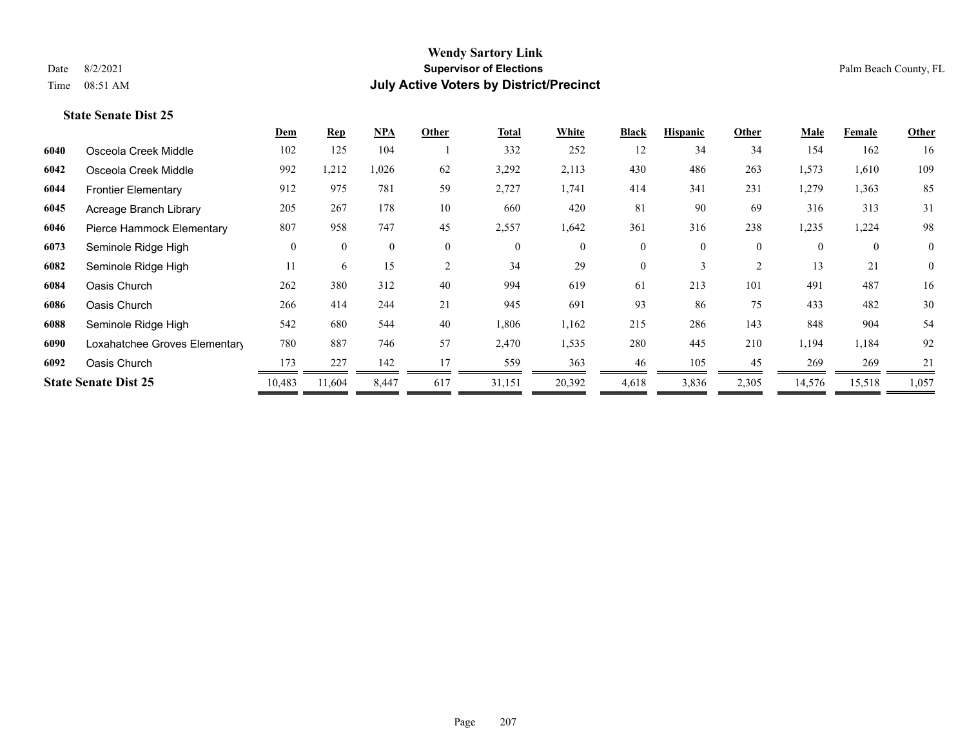|      |                               | Dem          | <b>Rep</b>   | $NPA$        | Other        | <b>Total</b> | White        | <b>Black</b>   | <b>Hispanic</b> | Other          | <b>Male</b> | Female         | Other          |
|------|-------------------------------|--------------|--------------|--------------|--------------|--------------|--------------|----------------|-----------------|----------------|-------------|----------------|----------------|
| 6040 | Osceola Creek Middle          | 102          | 125          | 104          |              | 332          | 252          | 12             | 34              | 34             | 154         | 162            | 16             |
| 6042 | Osceola Creek Middle          | 992          | 1,212        | 1,026        | 62           | 3,292        | 2,113        | 430            | 486             | 263            | 1,573       | 1,610          | 109            |
| 6044 | <b>Frontier Elementary</b>    | 912          | 975          | 781          | 59           | 2,727        | 1,741        | 414            | 341             | 231            | 1,279       | 1,363          | 85             |
| 6045 | Acreage Branch Library        | 205          | 267          | 178          | 10           | 660          | 420          | 81             | 90              | 69             | 316         | 313            | 31             |
| 6046 | Pierce Hammock Elementary     | 807          | 958          | 747          | 45           | 2,557        | 1,642        | 361            | 316             | 238            | 1,235       | 1,224          | 98             |
| 6073 | Seminole Ridge High           | $\mathbf{0}$ | $\mathbf{0}$ | $\mathbf{0}$ | $\mathbf{0}$ | $\mathbf{0}$ | $\mathbf{0}$ | $\overline{0}$ | $\overline{0}$  | $\overline{0}$ | $\theta$    | $\overline{0}$ | $\overline{0}$ |
| 6082 | Seminole Ridge High           | 11           | 6            | 15           | 2            | 34           | 29           | $\Omega$       | 3               | $\overline{2}$ | 13          | 21             | $\overline{0}$ |
| 6084 | Oasis Church                  | 262          | 380          | 312          | 40           | 994          | 619          | 61             | 213             | 101            | 491         | 487            | 16             |
| 6086 | Oasis Church                  | 266          | 414          | 244          | 21           | 945          | 691          | 93             | 86              | 75             | 433         | 482            | 30             |
| 6088 | Seminole Ridge High           | 542          | 680          | 544          | 40           | 1,806        | 1,162        | 215            | 286             | 143            | 848         | 904            | 54             |
| 6090 | Loxahatchee Groves Elementary | 780          | 887          | 746          | 57           | 2,470        | 1,535        | 280            | 445             | 210            | 1,194       | 1,184          | 92             |
| 6092 | Oasis Church                  | 173          | 227          | 142          | 17           | 559          | 363          | 46             | 105             | 45             | 269         | 269            | 21             |
|      | <b>State Senate Dist 25</b>   | 10,483       | 11,604       | 8,447        | 617          | 31,151       | 20,392       | 4,618          | 3,836           | 2,305          | 14,576      | 15,518         | 1,057          |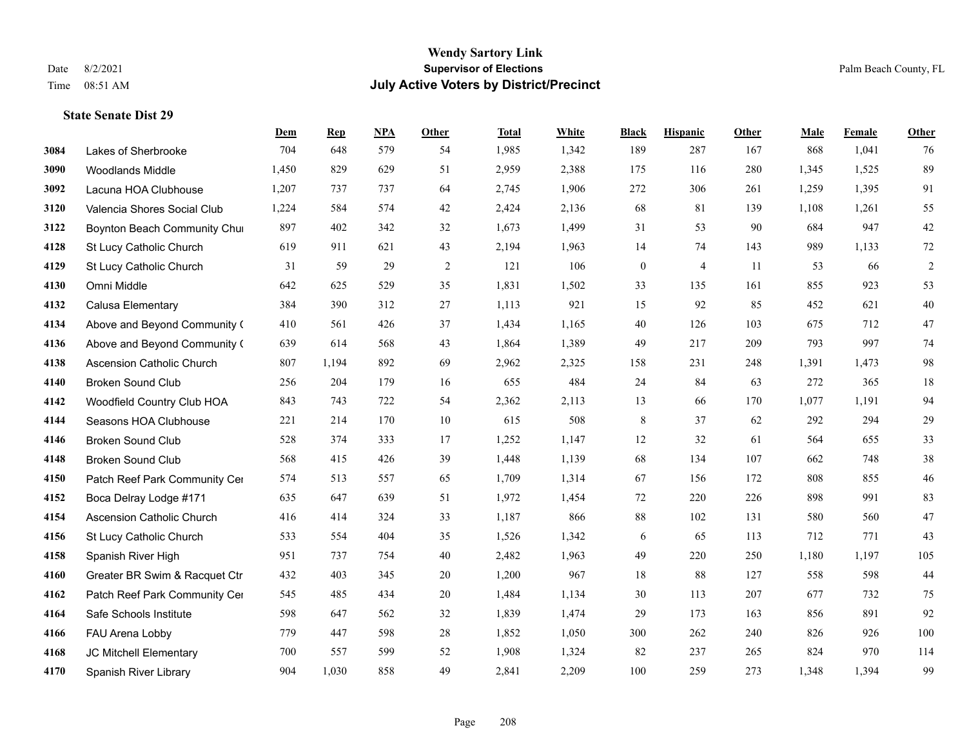|      |                                  | Dem   | <b>Rep</b> | NPA | <b>Other</b> | <b>Total</b> | <b>White</b> | <b>Black</b>     | <b>Hispanic</b> | <b>Other</b> | <b>Male</b> | Female | <b>Other</b> |
|------|----------------------------------|-------|------------|-----|--------------|--------------|--------------|------------------|-----------------|--------------|-------------|--------|--------------|
| 3084 | Lakes of Sherbrooke              | 704   | 648        | 579 | 54           | 1,985        | 1,342        | 189              | 287             | 167          | 868         | 1,041  | 76           |
| 3090 | <b>Woodlands Middle</b>          | 1,450 | 829        | 629 | 51           | 2,959        | 2,388        | 175              | 116             | 280          | 1,345       | 1,525  | 89           |
| 3092 | Lacuna HOA Clubhouse             | 1,207 | 737        | 737 | 64           | 2,745        | 1,906        | 272              | 306             | 261          | 1,259       | 1,395  | 91           |
| 3120 | Valencia Shores Social Club      | 1,224 | 584        | 574 | 42           | 2,424        | 2,136        | 68               | 81              | 139          | 1,108       | 1,261  | 55           |
| 3122 | Boynton Beach Community Chur     | 897   | 402        | 342 | 32           | 1,673        | 1,499        | 31               | 53              | 90           | 684         | 947    | 42           |
| 4128 | St Lucy Catholic Church          | 619   | 911        | 621 | 43           | 2,194        | 1,963        | 14               | 74              | 143          | 989         | 1,133  | 72           |
| 4129 | St Lucy Catholic Church          | 31    | 59         | 29  | $\sqrt{2}$   | 121          | 106          | $\boldsymbol{0}$ | $\overline{4}$  | 11           | 53          | 66     | $\sqrt{2}$   |
| 4130 | Omni Middle                      | 642   | 625        | 529 | 35           | 1,831        | 1,502        | 33               | 135             | 161          | 855         | 923    | 53           |
| 4132 | Calusa Elementary                | 384   | 390        | 312 | 27           | 1,113        | 921          | 15               | 92              | 85           | 452         | 621    | 40           |
| 4134 | Above and Beyond Community (     | 410   | 561        | 426 | 37           | 1,434        | 1,165        | 40               | 126             | 103          | 675         | 712    | 47           |
| 4136 | Above and Beyond Community (     | 639   | 614        | 568 | 43           | 1,864        | 1,389        | 49               | 217             | 209          | 793         | 997    | 74           |
| 4138 | Ascension Catholic Church        | 807   | 1,194      | 892 | 69           | 2,962        | 2,325        | 158              | 231             | 248          | 1,391       | 1,473  | 98           |
| 4140 | <b>Broken Sound Club</b>         | 256   | 204        | 179 | 16           | 655          | 484          | 24               | 84              | 63           | 272         | 365    | 18           |
| 4142 | Woodfield Country Club HOA       | 843   | 743        | 722 | 54           | 2,362        | 2,113        | 13               | 66              | 170          | 1,077       | 1,191  | 94           |
| 4144 | Seasons HOA Clubhouse            | 221   | 214        | 170 | 10           | 615          | 508          | 8                | 37              | 62           | 292         | 294    | 29           |
| 4146 | <b>Broken Sound Club</b>         | 528   | 374        | 333 | 17           | 1,252        | 1,147        | 12               | 32              | 61           | 564         | 655    | 33           |
| 4148 | <b>Broken Sound Club</b>         | 568   | 415        | 426 | 39           | 1,448        | 1,139        | 68               | 134             | 107          | 662         | 748    | 38           |
| 4150 | Patch Reef Park Community Cer    | 574   | 513        | 557 | 65           | 1,709        | 1,314        | 67               | 156             | 172          | 808         | 855    | 46           |
| 4152 | Boca Delray Lodge #171           | 635   | 647        | 639 | 51           | 1,972        | 1,454        | 72               | 220             | 226          | 898         | 991    | 83           |
| 4154 | <b>Ascension Catholic Church</b> | 416   | 414        | 324 | 33           | 1,187        | 866          | 88               | 102             | 131          | 580         | 560    | 47           |
| 4156 | St Lucy Catholic Church          | 533   | 554        | 404 | 35           | 1,526        | 1,342        | 6                | 65              | 113          | 712         | 771    | 43           |
| 4158 | Spanish River High               | 951   | 737        | 754 | 40           | 2,482        | 1,963        | 49               | 220             | 250          | 1,180       | 1,197  | 105          |
| 4160 | Greater BR Swim & Racquet Ctr    | 432   | 403        | 345 | 20           | 1,200        | 967          | 18               | 88              | 127          | 558         | 598    | 44           |
| 4162 | Patch Reef Park Community Cer    | 545   | 485        | 434 | 20           | 1,484        | 1,134        | 30               | 113             | 207          | 677         | 732    | 75           |
| 4164 | Safe Schools Institute           | 598   | 647        | 562 | 32           | 1,839        | 1,474        | 29               | 173             | 163          | 856         | 891    | 92           |
| 4166 | FAU Arena Lobby                  | 779   | 447        | 598 | $28\,$       | 1,852        | 1,050        | 300              | 262             | 240          | 826         | 926    | 100          |
| 4168 | JC Mitchell Elementary           | 700   | 557        | 599 | 52           | 1,908        | 1,324        | 82               | 237             | 265          | 824         | 970    | 114          |
| 4170 | Spanish River Library            | 904   | 1,030      | 858 | 49           | 2,841        | 2,209        | 100              | 259             | 273          | 1,348       | 1,394  | 99           |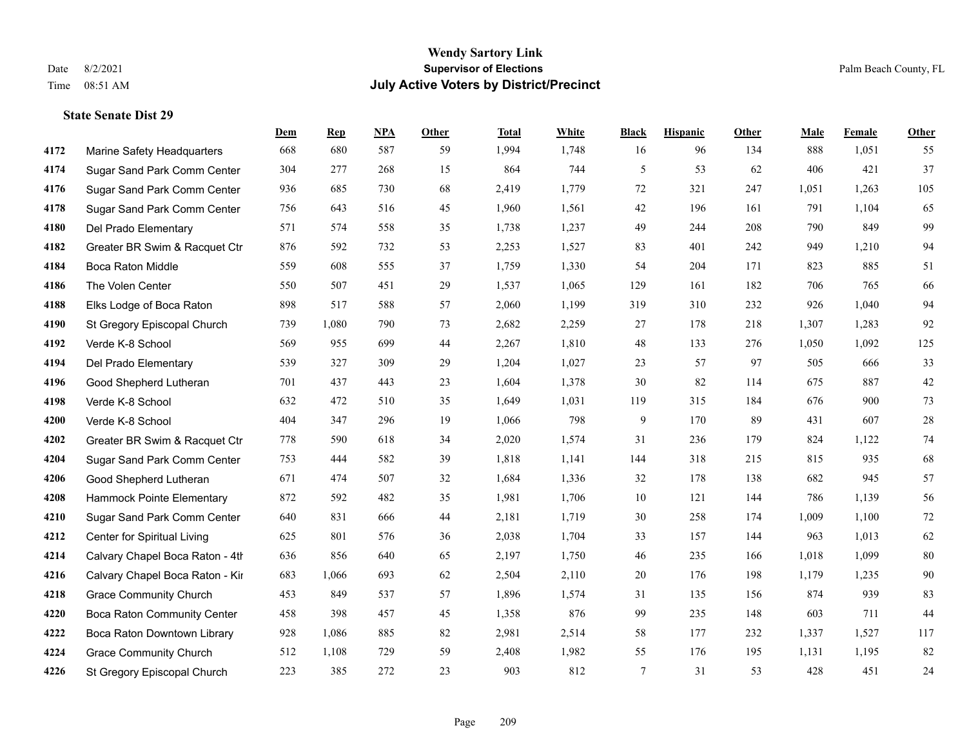|      |                                    | Dem | <b>Rep</b> | NPA | <b>Other</b> | <b>Total</b> | <b>White</b> | <b>Black</b> | <b>Hispanic</b> | <b>Other</b> | <b>Male</b> | Female | Other  |
|------|------------------------------------|-----|------------|-----|--------------|--------------|--------------|--------------|-----------------|--------------|-------------|--------|--------|
| 4172 | Marine Safety Headquarters         | 668 | 680        | 587 | 59           | 1,994        | 1,748        | 16           | 96              | 134          | 888         | 1,051  | 55     |
| 4174 | Sugar Sand Park Comm Center        | 304 | 277        | 268 | 15           | 864          | 744          | 5            | 53              | 62           | 406         | 421    | 37     |
| 4176 | Sugar Sand Park Comm Center        | 936 | 685        | 730 | 68           | 2,419        | 1,779        | 72           | 321             | 247          | 1,051       | 1,263  | 105    |
| 4178 | Sugar Sand Park Comm Center        | 756 | 643        | 516 | 45           | 1,960        | 1,561        | 42           | 196             | 161          | 791         | 1,104  | 65     |
| 4180 | Del Prado Elementary               | 571 | 574        | 558 | 35           | 1,738        | 1,237        | 49           | 244             | 208          | 790         | 849    | 99     |
| 4182 | Greater BR Swim & Racquet Ctr      | 876 | 592        | 732 | 53           | 2,253        | 1,527        | 83           | 401             | 242          | 949         | 1,210  | 94     |
| 4184 | Boca Raton Middle                  | 559 | 608        | 555 | 37           | 1,759        | 1,330        | 54           | 204             | 171          | 823         | 885    | 51     |
| 4186 | The Volen Center                   | 550 | 507        | 451 | 29           | 1,537        | 1,065        | 129          | 161             | 182          | 706         | 765    | 66     |
| 4188 | Elks Lodge of Boca Raton           | 898 | 517        | 588 | 57           | 2,060        | 1,199        | 319          | 310             | 232          | 926         | 1,040  | 94     |
| 4190 | St Gregory Episcopal Church        | 739 | 1,080      | 790 | 73           | 2,682        | 2,259        | 27           | 178             | 218          | 1,307       | 1,283  | 92     |
| 4192 | Verde K-8 School                   | 569 | 955        | 699 | 44           | 2,267        | 1,810        | 48           | 133             | 276          | 1,050       | 1,092  | 125    |
| 4194 | Del Prado Elementary               | 539 | 327        | 309 | 29           | 1,204        | 1,027        | 23           | 57              | 97           | 505         | 666    | 33     |
| 4196 | Good Shepherd Lutheran             | 701 | 437        | 443 | 23           | 1,604        | 1,378        | 30           | 82              | 114          | 675         | 887    | $42\,$ |
| 4198 | Verde K-8 School                   | 632 | 472        | 510 | 35           | 1,649        | 1,031        | 119          | 315             | 184          | 676         | 900    | 73     |
| 4200 | Verde K-8 School                   | 404 | 347        | 296 | 19           | 1,066        | 798          | 9            | 170             | 89           | 431         | 607    | $28\,$ |
| 4202 | Greater BR Swim & Racquet Ctr      | 778 | 590        | 618 | 34           | 2,020        | 1,574        | 31           | 236             | 179          | 824         | 1,122  | 74     |
| 4204 | Sugar Sand Park Comm Center        | 753 | 444        | 582 | 39           | 1,818        | 1,141        | 144          | 318             | 215          | 815         | 935    | 68     |
| 4206 | Good Shepherd Lutheran             | 671 | 474        | 507 | 32           | 1,684        | 1,336        | 32           | 178             | 138          | 682         | 945    | 57     |
| 4208 | Hammock Pointe Elementary          | 872 | 592        | 482 | 35           | 1,981        | 1,706        | $10\,$       | 121             | 144          | 786         | 1,139  | 56     |
| 4210 | Sugar Sand Park Comm Center        | 640 | 831        | 666 | 44           | 2,181        | 1,719        | 30           | 258             | 174          | 1,009       | 1,100  | $72\,$ |
| 4212 | Center for Spiritual Living        | 625 | 801        | 576 | 36           | 2,038        | 1,704        | 33           | 157             | 144          | 963         | 1,013  | 62     |
| 4214 | Calvary Chapel Boca Raton - 4th    | 636 | 856        | 640 | 65           | 2,197        | 1,750        | 46           | 235             | 166          | 1,018       | 1,099  | $80\,$ |
| 4216 | Calvary Chapel Boca Raton - Kir    | 683 | 1,066      | 693 | 62           | 2,504        | 2,110        | 20           | 176             | 198          | 1,179       | 1,235  | 90     |
| 4218 | <b>Grace Community Church</b>      | 453 | 849        | 537 | 57           | 1,896        | 1,574        | 31           | 135             | 156          | 874         | 939    | 83     |
| 4220 | <b>Boca Raton Community Center</b> | 458 | 398        | 457 | 45           | 1,358        | 876          | 99           | 235             | 148          | 603         | 711    | 44     |
| 4222 | Boca Raton Downtown Library        | 928 | 1,086      | 885 | 82           | 2,981        | 2,514        | 58           | 177             | 232          | 1,337       | 1,527  | 117    |
| 4224 | <b>Grace Community Church</b>      | 512 | 1,108      | 729 | 59           | 2,408        | 1,982        | 55           | 176             | 195          | 1,131       | 1,195  | 82     |
| 4226 | St Gregory Episcopal Church        | 223 | 385        | 272 | 23           | 903          | 812          | 7            | 31              | 53           | 428         | 451    | 24     |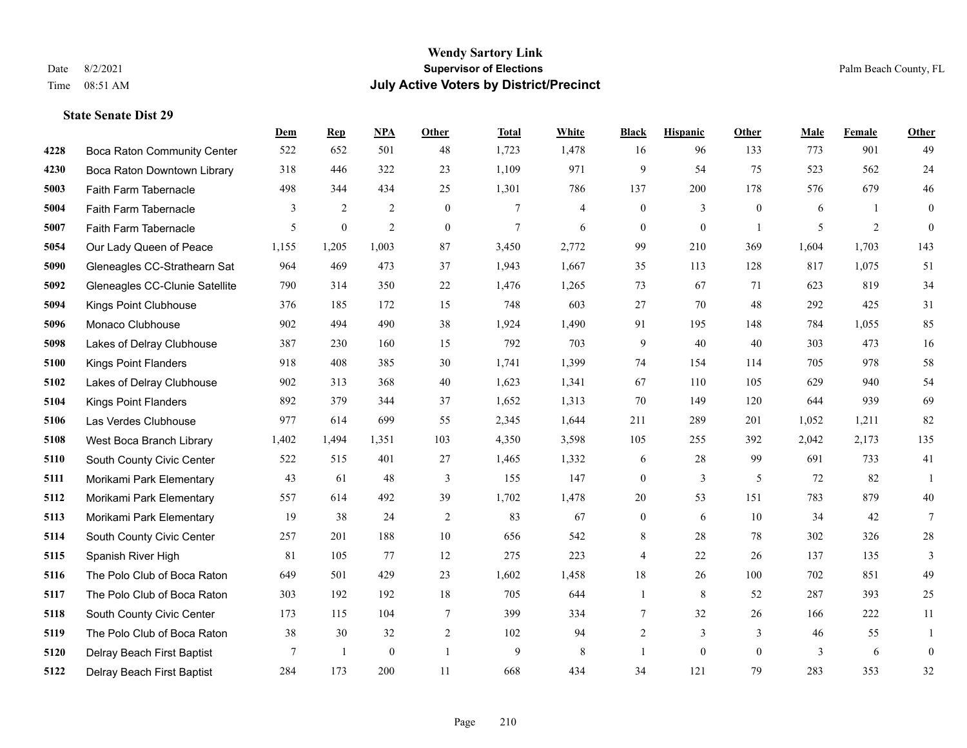|      |                                    | Dem            | <b>Rep</b>   | NPA              | <b>Other</b>   | <b>Total</b>   | White          | <b>Black</b>     | <b>Hispanic</b> | <b>Other</b>   | <b>Male</b> | Female | <b>Other</b>     |
|------|------------------------------------|----------------|--------------|------------------|----------------|----------------|----------------|------------------|-----------------|----------------|-------------|--------|------------------|
| 4228 | <b>Boca Raton Community Center</b> | 522            | 652          | 501              | 48             | 1,723          | 1,478          | 16               | 96              | 133            | 773         | 901    | 49               |
| 4230 | Boca Raton Downtown Library        | 318            | 446          | 322              | 23             | 1,109          | 971            | 9                | 54              | 75             | 523         | 562    | $24\,$           |
| 5003 | Faith Farm Tabernacle              | 498            | 344          | 434              | 25             | 1,301          | 786            | 137              | 200             | 178            | 576         | 679    | 46               |
| 5004 | Faith Farm Tabernacle              | 3              | 2            | $\overline{2}$   | $\mathbf{0}$   | 7              | $\overline{4}$ | $\boldsymbol{0}$ | 3               | $\mathbf{0}$   | 6           | -1     | $\mathbf{0}$     |
| 5007 | Faith Farm Tabernacle              | 5              | $\mathbf{0}$ | $\overline{2}$   | $\theta$       | $\overline{7}$ | 6              | $\mathbf{0}$     | $\overline{0}$  | $\overline{1}$ | 5           | 2      | $\theta$         |
| 5054 | Our Lady Queen of Peace            | 1,155          | 1,205        | 1,003            | 87             | 3,450          | 2,772          | 99               | 210             | 369            | 1,604       | 1,703  | 143              |
| 5090 | Gleneagles CC-Strathearn Sat       | 964            | 469          | 473              | 37             | 1,943          | 1,667          | 35               | 113             | 128            | 817         | 1,075  | 51               |
| 5092 | Gleneagles CC-Clunie Satellite     | 790            | 314          | 350              | 22             | 1,476          | 1,265          | 73               | 67              | 71             | 623         | 819    | 34               |
| 5094 | Kings Point Clubhouse              | 376            | 185          | 172              | 15             | 748            | 603            | 27               | 70              | 48             | 292         | 425    | 31               |
| 5096 | Monaco Clubhouse                   | 902            | 494          | 490              | 38             | 1,924          | 1,490          | 91               | 195             | 148            | 784         | 1,055  | 85               |
| 5098 | Lakes of Delray Clubhouse          | 387            | 230          | 160              | 15             | 792            | 703            | 9                | 40              | 40             | 303         | 473    | 16               |
| 5100 | <b>Kings Point Flanders</b>        | 918            | 408          | 385              | 30             | 1,741          | 1,399          | 74               | 154             | 114            | 705         | 978    | $58\,$           |
| 5102 | Lakes of Delray Clubhouse          | 902            | 313          | 368              | 40             | 1,623          | 1,341          | 67               | 110             | 105            | 629         | 940    | 54               |
| 5104 | <b>Kings Point Flanders</b>        | 892            | 379          | 344              | 37             | 1,652          | 1,313          | 70               | 149             | 120            | 644         | 939    | 69               |
| 5106 | Las Verdes Clubhouse               | 977            | 614          | 699              | 55             | 2,345          | 1,644          | 211              | 289             | 201            | 1,052       | 1,211  | 82               |
| 5108 | West Boca Branch Library           | 1,402          | 1,494        | 1,351            | 103            | 4,350          | 3,598          | 105              | 255             | 392            | 2,042       | 2,173  | 135              |
| 5110 | South County Civic Center          | 522            | 515          | 401              | 27             | 1,465          | 1,332          | 6                | $28\,$          | 99             | 691         | 733    | 41               |
| 5111 | Morikami Park Elementary           | 43             | 61           | 48               | 3              | 155            | 147            | $\boldsymbol{0}$ | 3               | 5              | 72          | 82     | -1               |
| 5112 | Morikami Park Elementary           | 557            | 614          | 492              | 39             | 1,702          | 1,478          | 20               | 53              | 151            | 783         | 879    | 40               |
| 5113 | Morikami Park Elementary           | 19             | 38           | 24               | $\sqrt{2}$     | 83             | 67             | $\boldsymbol{0}$ | 6               | 10             | 34          | 42     | $7\phantom{.0}$  |
| 5114 | South County Civic Center          | 257            | 201          | 188              | 10             | 656            | 542            | 8                | 28              | 78             | 302         | 326    | $28\,$           |
| 5115 | Spanish River High                 | 81             | 105          | 77               | 12             | 275            | 223            | 4                | 22              | 26             | 137         | 135    | 3                |
| 5116 | The Polo Club of Boca Raton        | 649            | 501          | 429              | 23             | 1,602          | 1,458          | 18               | 26              | 100            | 702         | 851    | 49               |
| 5117 | The Polo Club of Boca Raton        | 303            | 192          | 192              | 18             | 705            | 644            | 1                | 8               | 52             | 287         | 393    | 25               |
| 5118 | South County Civic Center          | 173            | 115          | 104              | $\overline{7}$ | 399            | 334            | $\tau$           | 32              | 26             | 166         | 222    | 11               |
| 5119 | The Polo Club of Boca Raton        | 38             | 30           | 32               | 2              | 102            | 94             | 2                | 3               | 3              | 46          | 55     | 1                |
| 5120 | Delray Beach First Baptist         | $\overline{7}$ | -1           | $\boldsymbol{0}$ | $\overline{1}$ | 9              | $\,$ 8 $\,$    | 1                | $\mathbf{0}$    | $\mathbf{0}$   | 3           | 6      | $\boldsymbol{0}$ |
| 5122 | Delray Beach First Baptist         | 284            | 173          | 200              | 11             | 668            | 434            | 34               | 121             | 79             | 283         | 353    | 32               |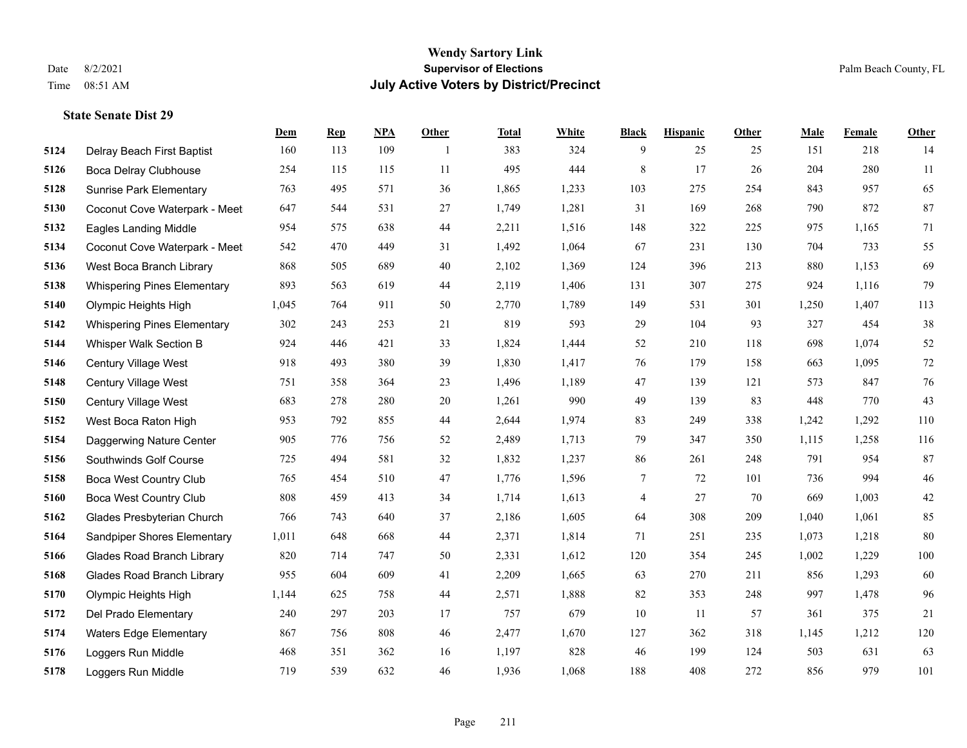|      |                                    | Dem   | <b>Rep</b> | NPA | <b>Other</b>   | <b>Total</b> | <b>White</b> | <b>Black</b> | <b>Hispanic</b> | <b>Other</b> | <b>Male</b> | Female | <b>Other</b> |
|------|------------------------------------|-------|------------|-----|----------------|--------------|--------------|--------------|-----------------|--------------|-------------|--------|--------------|
| 5124 | Delray Beach First Baptist         | 160   | 113        | 109 | $\overline{1}$ | 383          | 324          | 9            | 25              | 25           | 151         | 218    | 14           |
| 5126 | Boca Delray Clubhouse              | 254   | 115        | 115 | 11             | 495          | 444          | $\,$ 8 $\,$  | 17              | 26           | 204         | 280    | 11           |
| 5128 | <b>Sunrise Park Elementary</b>     | 763   | 495        | 571 | 36             | 1,865        | 1,233        | 103          | 275             | 254          | 843         | 957    | 65           |
| 5130 | Coconut Cove Waterpark - Meet      | 647   | 544        | 531 | 27             | 1,749        | 1,281        | 31           | 169             | 268          | 790         | 872    | 87           |
| 5132 | <b>Eagles Landing Middle</b>       | 954   | 575        | 638 | 44             | 2,211        | 1,516        | 148          | 322             | 225          | 975         | 1,165  | 71           |
| 5134 | Coconut Cove Waterpark - Meet      | 542   | 470        | 449 | 31             | 1,492        | 1,064        | 67           | 231             | 130          | 704         | 733    | 55           |
| 5136 | West Boca Branch Library           | 868   | 505        | 689 | 40             | 2,102        | 1,369        | 124          | 396             | 213          | 880         | 1,153  | 69           |
| 5138 | <b>Whispering Pines Elementary</b> | 893   | 563        | 619 | 44             | 2,119        | 1,406        | 131          | 307             | 275          | 924         | 1,116  | 79           |
| 5140 | Olympic Heights High               | 1,045 | 764        | 911 | 50             | 2,770        | 1,789        | 149          | 531             | 301          | 1,250       | 1,407  | 113          |
| 5142 | <b>Whispering Pines Elementary</b> | 302   | 243        | 253 | 21             | 819          | 593          | 29           | 104             | 93           | 327         | 454    | $38\,$       |
| 5144 | Whisper Walk Section B             | 924   | 446        | 421 | 33             | 1,824        | 1,444        | 52           | 210             | 118          | 698         | 1,074  | $52\,$       |
| 5146 | Century Village West               | 918   | 493        | 380 | 39             | 1,830        | 1,417        | 76           | 179             | 158          | 663         | 1,095  | $72\,$       |
| 5148 | Century Village West               | 751   | 358        | 364 | 23             | 1,496        | 1,189        | 47           | 139             | 121          | 573         | 847    | 76           |
| 5150 | Century Village West               | 683   | 278        | 280 | $20\,$         | 1,261        | 990          | 49           | 139             | 83           | 448         | 770    | 43           |
| 5152 | West Boca Raton High               | 953   | 792        | 855 | 44             | 2,644        | 1,974        | 83           | 249             | 338          | 1,242       | 1,292  | 110          |
| 5154 | Daggerwing Nature Center           | 905   | 776        | 756 | 52             | 2,489        | 1,713        | 79           | 347             | 350          | 1,115       | 1,258  | 116          |
| 5156 | Southwinds Golf Course             | 725   | 494        | 581 | 32             | 1,832        | 1,237        | 86           | 261             | 248          | 791         | 954    | 87           |
| 5158 | <b>Boca West Country Club</b>      | 765   | 454        | 510 | 47             | 1,776        | 1,596        | 7            | 72              | 101          | 736         | 994    | $46\,$       |
| 5160 | <b>Boca West Country Club</b>      | 808   | 459        | 413 | 34             | 1,714        | 1,613        | 4            | 27              | 70           | 669         | 1,003  | $42\,$       |
| 5162 | Glades Presbyterian Church         | 766   | 743        | 640 | 37             | 2,186        | 1,605        | 64           | 308             | 209          | 1,040       | 1,061  | 85           |
| 5164 | <b>Sandpiper Shores Elementary</b> | 1,011 | 648        | 668 | 44             | 2,371        | 1,814        | 71           | 251             | 235          | 1,073       | 1,218  | 80           |
| 5166 | <b>Glades Road Branch Library</b>  | 820   | 714        | 747 | 50             | 2,331        | 1,612        | 120          | 354             | 245          | 1,002       | 1,229  | 100          |
| 5168 | <b>Glades Road Branch Library</b>  | 955   | 604        | 609 | 41             | 2,209        | 1,665        | 63           | 270             | 211          | 856         | 1,293  | 60           |
| 5170 | Olympic Heights High               | 1,144 | 625        | 758 | 44             | 2,571        | 1,888        | 82           | 353             | 248          | 997         | 1,478  | 96           |
| 5172 | Del Prado Elementary               | 240   | 297        | 203 | 17             | 757          | 679          | 10           | 11              | 57           | 361         | 375    | 21           |
| 5174 | <b>Waters Edge Elementary</b>      | 867   | 756        | 808 | 46             | 2,477        | 1,670        | 127          | 362             | 318          | 1,145       | 1,212  | 120          |
| 5176 | Loggers Run Middle                 | 468   | 351        | 362 | 16             | 1,197        | 828          | 46           | 199             | 124          | 503         | 631    | 63           |
| 5178 | Loggers Run Middle                 | 719   | 539        | 632 | 46             | 1,936        | 1,068        | 188          | 408             | 272          | 856         | 979    | 101          |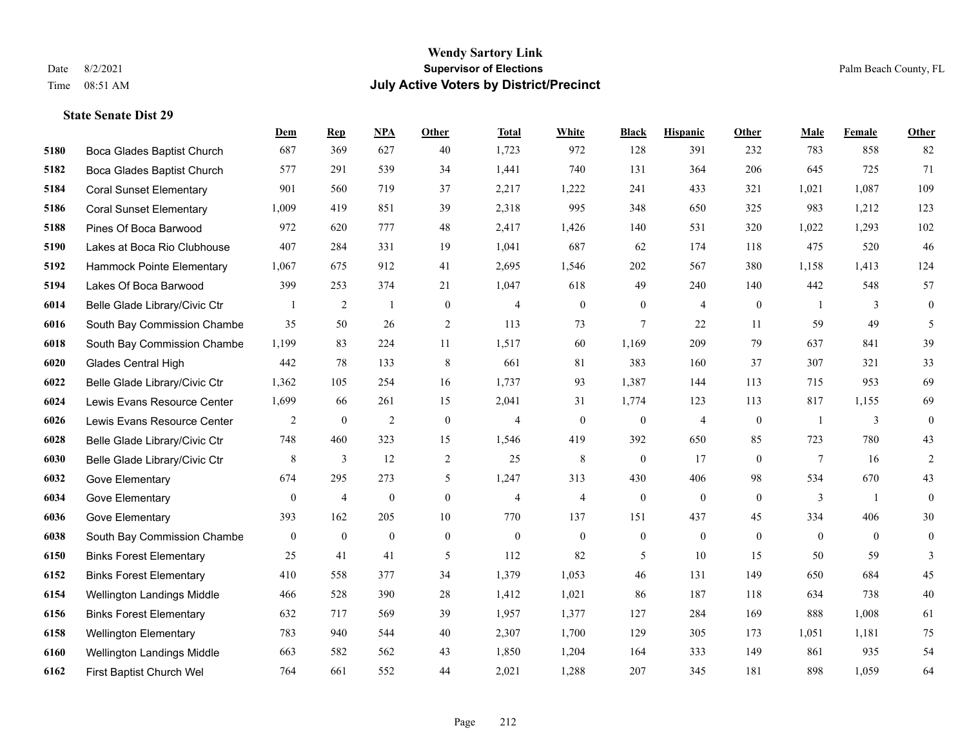|      |                                | Dem              | <b>Rep</b>     | NPA              | <b>Other</b>   | <b>Total</b>   | <b>White</b>   | <b>Black</b>     | <b>Hispanic</b> | Other            | <b>Male</b>    | Female         | Other          |
|------|--------------------------------|------------------|----------------|------------------|----------------|----------------|----------------|------------------|-----------------|------------------|----------------|----------------|----------------|
| 5180 | Boca Glades Baptist Church     | 687              | 369            | 627              | 40             | 1,723          | 972            | 128              | 391             | 232              | 783            | 858            | 82             |
| 5182 | Boca Glades Baptist Church     | 577              | 291            | 539              | 34             | 1,441          | 740            | 131              | 364             | 206              | 645            | 725            | 71             |
| 5184 | <b>Coral Sunset Elementary</b> | 901              | 560            | 719              | 37             | 2,217          | 1,222          | 241              | 433             | 321              | 1,021          | 1,087          | 109            |
| 5186 | <b>Coral Sunset Elementary</b> | 1,009            | 419            | 851              | 39             | 2,318          | 995            | 348              | 650             | 325              | 983            | 1,212          | 123            |
| 5188 | Pines Of Boca Barwood          | 972              | 620            | 777              | 48             | 2,417          | 1,426          | 140              | 531             | 320              | 1,022          | 1,293          | 102            |
| 5190 | Lakes at Boca Rio Clubhouse    | 407              | 284            | 331              | 19             | 1,041          | 687            | 62               | 174             | 118              | 475            | 520            | 46             |
| 5192 | Hammock Pointe Elementary      | 1,067            | 675            | 912              | 41             | 2,695          | 1,546          | 202              | 567             | 380              | 1,158          | 1,413          | 124            |
| 5194 | Lakes Of Boca Barwood          | 399              | 253            | 374              | 21             | 1,047          | 618            | 49               | 240             | 140              | 442            | 548            | 57             |
| 6014 | Belle Glade Library/Civic Ctr  |                  | $\overline{c}$ | $\mathbf{1}$     | $\mathbf{0}$   | $\overline{4}$ | $\mathbf{0}$   | $\boldsymbol{0}$ | 4               | $\boldsymbol{0}$ | -1             | 3              | $\overline{0}$ |
| 6016 | South Bay Commission Chambe    | 35               | 50             | 26               | 2              | 113            | 73             | $\tau$           | 22              | 11               | 59             | 49             | 5              |
| 6018 | South Bay Commission Chambe    | 1,199            | 83             | 224              | 11             | 1,517          | 60             | 1,169            | 209             | 79               | 637            | 841            | 39             |
| 6020 | <b>Glades Central High</b>     | 442              | 78             | 133              | 8              | 661            | 81             | 383              | 160             | 37               | 307            | 321            | 33             |
| 6022 | Belle Glade Library/Civic Ctr  | 1,362            | 105            | 254              | 16             | 1,737          | 93             | 1,387            | 144             | 113              | 715            | 953            | 69             |
| 6024 | Lewis Evans Resource Center    | 1,699            | 66             | 261              | 15             | 2,041          | 31             | 1,774            | 123             | 113              | 817            | 1,155          | 69             |
| 6026 | Lewis Evans Resource Center    | $\overline{2}$   | $\mathbf{0}$   | $\overline{2}$   | $\theta$       | $\overline{4}$ | $\mathbf{0}$   | $\mathbf{0}$     | 4               | $\theta$         | $\overline{1}$ | 3              | $\overline{0}$ |
| 6028 | Belle Glade Library/Civic Ctr  | 748              | 460            | 323              | 15             | 1,546          | 419            | 392              | 650             | 85               | 723            | 780            | 43             |
| 6030 | Belle Glade Library/Civic Ctr  | 8                | 3              | 12               | $\overline{2}$ | 25             | 8              | $\theta$         | 17              | $\theta$         | $\tau$         | 16             | $\overline{2}$ |
| 6032 | Gove Elementary                | 674              | 295            | 273              | 5              | 1,247          | 313            | 430              | 406             | 98               | 534            | 670            | 43             |
| 6034 | Gove Elementary                | $\mathbf{0}$     | $\overline{4}$ | $\boldsymbol{0}$ | $\mathbf{0}$   | $\overline{4}$ | $\overline{4}$ | $\boldsymbol{0}$ | $\mathbf{0}$    | $\mathbf{0}$     | 3              | $\mathbf{1}$   | $\overline{0}$ |
| 6036 | Gove Elementary                | 393              | 162            | 205              | 10             | 770            | 137            | 151              | 437             | 45               | 334            | 406            | 30             |
| 6038 | South Bay Commission Chambe    | $\boldsymbol{0}$ | $\mathbf{0}$   | $\mathbf{0}$     | $\mathbf{0}$   | $\mathbf{0}$   | $\mathbf{0}$   | $\boldsymbol{0}$ | $\overline{0}$  | $\theta$         | $\theta$       | $\overline{0}$ | $\overline{0}$ |
| 6150 | <b>Binks Forest Elementary</b> | 25               | 41             | 41               | 5              | 112            | 82             | 5                | 10              | 15               | 50             | 59             | $\overline{3}$ |
| 6152 | <b>Binks Forest Elementary</b> | 410              | 558            | 377              | 34             | 1,379          | 1,053          | 46               | 131             | 149              | 650            | 684            | 45             |
| 6154 | Wellington Landings Middle     | 466              | 528            | 390              | 28             | 1,412          | 1,021          | 86               | 187             | 118              | 634            | 738            | $40\,$         |
| 6156 | <b>Binks Forest Elementary</b> | 632              | 717            | 569              | 39             | 1,957          | 1,377          | 127              | 284             | 169              | 888            | 1,008          | 61             |
| 6158 | <b>Wellington Elementary</b>   | 783              | 940            | 544              | 40             | 2,307          | 1,700          | 129              | 305             | 173              | 1,051          | 1,181          | 75             |
| 6160 | Wellington Landings Middle     | 663              | 582            | 562              | 43             | 1,850          | 1,204          | 164              | 333             | 149              | 861            | 935            | 54             |
| 6162 | First Baptist Church Wel       | 764              | 661            | 552              | 44             | 2,021          | 1,288          | 207              | 345             | 181              | 898            | 1,059          | 64             |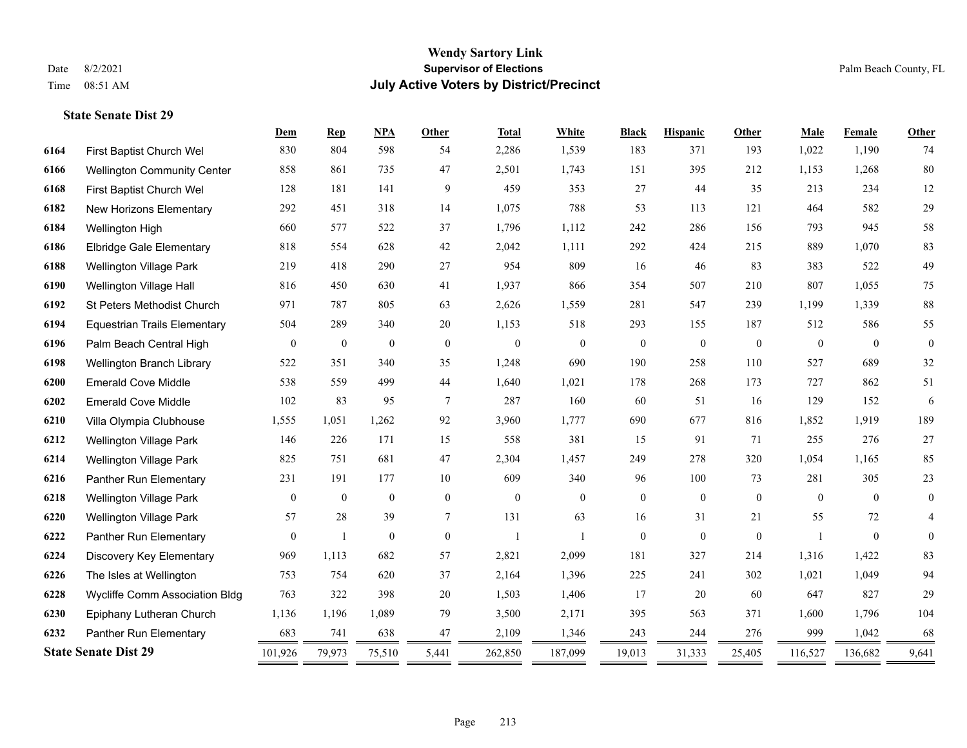**State Senate Dist 29**

### **Wendy Sartory Link** Date 8/2/2021 **Supervisor of Elections** Palm Beach County, FL Time 08:51 AM **July Active Voters by District/Precinct**

First Baptist Church Wel 830 804 598 54 2,286 1,539 183 371 193 1,022 1,190 74

**Dem Rep NPA Other Total White Black Hispanic Other Male Female Other**

## Wellington Community Center 858 861 735 47 2,501 1,743 151 395 212 1,153 1,268 80 First Baptist Church Wel 128 181 141 9 459 353 27 44 35 213 234 12 New Horizons Elementary 292 451 318 14 1,075 788 53 113 121 464 582 29 Wellington High 660 577 522 37 1,796 1,112 242 286 156 793 945 58 Elbridge Gale Elementary 818 554 628 42 2,042 1,111 292 424 215 889 1,070 83 Wellington Village Park 219 418 290 27 954 809 16 46 83 383 522 49 Wellington Village Hall 816 450 630 41 1,937 866 354 507 210 807 1,055 75 St Peters Methodist Church 971 787 805 63 2,626 1,559 281 547 239 1,199 1,339 88 Equestrian Trails Elementary 504 289 340 20 1,153 518 293 155 187 512 586 55 Palm Beach Central High 0 0 0 0 0 0 0 0 0 0 0 0 Wellington Branch Library 522 351 340 35 1,248 690 190 258 110 527 689 32 Emerald Cove Middle 538 559 499 44 1,640 1,021 178 268 173 727 862 51 Emerald Cove Middle 102 83 95 7 287 160 60 51 16 129 152 6 Villa Olympia Clubhouse 1,555 1,051 1,262 92 3,960 1,777 690 677 816 1,852 1,919 189 Wellington Village Park 146 226 171 15 558 381 15 91 71 255 276 27 Wellington Village Park 825 751 681 47 2,304 1,457 249 278 320 1,054 1,165 85 Panther Run Elementary 231 191 177 10 609 340 96 100 73 281 305 23 Wellington Village Park 0 0 0 0 0 0 0 0 0 0 0 0 Wellington Village Park 57 28 39 7 131 63 16 31 21 55 72 4

| 6226                        | The Isles at Wellington        | 753     | 754    | 620    | 37    | 2,164   | 1,396   | 225    | 241    | 302    | 1,021   | .049    | 94    |  |
|-----------------------------|--------------------------------|---------|--------|--------|-------|---------|---------|--------|--------|--------|---------|---------|-------|--|
| 6228                        | Wycliffe Comm Association Bldg | 763     | 322    | 398    | 20    | ,503    | 1,406   |        | 20     | 60     | 647     | 827     | 29    |  |
| 6230                        | Epiphany Lutheran Church       | 1,136   | .196   | 1,089  | 79    | 3,500   | 2,171   | 395    | 563    | 371    | .600    | . .796  | 104   |  |
| 6232                        | Panther Run Elementary         | 683     | 741    | 638    | 47    | 2,109   | 1.346   | 243    | 244    | 276    | 999     | .042    | 68    |  |
| <b>State Senate Dist 29</b> |                                | 101.926 | 79.973 | 75,510 | 5,441 | 262,850 | 187,099 | 19,013 | 31,333 | 25,405 | 116,527 | 136.682 | 9,641 |  |
|                             |                                |         |        |        |       |         |         |        |        |        |         |         |       |  |

 Panther Run Elementary 0 1 0 0 1 1 1 0 0 0 1 0 0 0 Discovery Key Elementary 969 1,113 682 57 2,821 2,099 181 327 214 1,316 1,422 83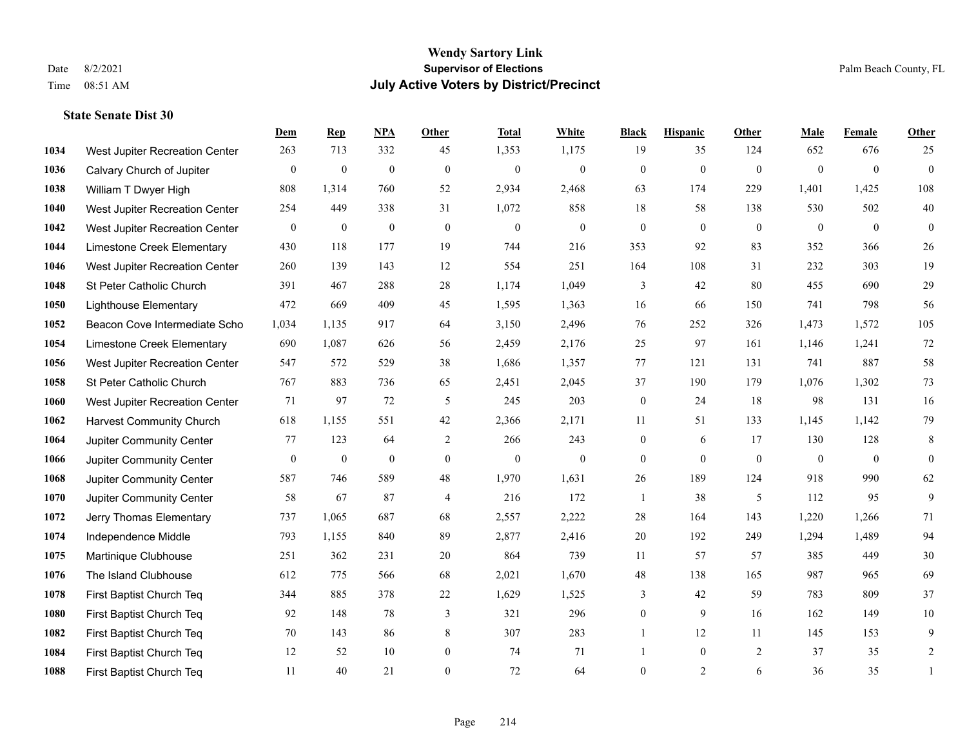|      |                                 | Dem          | <b>Rep</b>       | NPA              | <b>Other</b>     | <b>Total</b>     | <b>White</b>     | <b>Black</b>     | <b>Hispanic</b> | Other          | <b>Male</b>    | Female         | Other            |
|------|---------------------------------|--------------|------------------|------------------|------------------|------------------|------------------|------------------|-----------------|----------------|----------------|----------------|------------------|
| 1034 | West Jupiter Recreation Center  | 263          | 713              | 332              | 45               | 1,353            | 1,175            | 19               | 35              | 124            | 652            | 676            | 25               |
| 1036 | Calvary Church of Jupiter       | $\mathbf{0}$ | $\mathbf{0}$     | $\mathbf{0}$     | $\mathbf{0}$     | $\mathbf{0}$     | $\overline{0}$   | $\mathbf{0}$     | $\mathbf{0}$    | $\mathbf{0}$   | $\overline{0}$ | $\overline{0}$ | $\overline{0}$   |
| 1038 | William T Dwyer High            | 808          | 1,314            | 760              | 52               | 2,934            | 2,468            | 63               | 174             | 229            | 1,401          | 1,425          | 108              |
| 1040 | West Jupiter Recreation Center  | 254          | 449              | 338              | 31               | 1,072            | 858              | 18               | 58              | 138            | 530            | 502            | $40\,$           |
| 1042 | West Jupiter Recreation Center  | $\mathbf{0}$ | $\mathbf{0}$     | $\mathbf{0}$     | $\theta$         | $\mathbf{0}$     | $\overline{0}$   | $\overline{0}$   | $\theta$        | $\theta$       | $\theta$       | $\theta$       | $\overline{0}$   |
| 1044 | Limestone Creek Elementary      | 430          | 118              | 177              | 19               | 744              | 216              | 353              | 92              | 83             | 352            | 366            | 26               |
| 1046 | West Jupiter Recreation Center  | 260          | 139              | 143              | 12               | 554              | 251              | 164              | 108             | 31             | 232            | 303            | 19               |
| 1048 | St Peter Catholic Church        | 391          | 467              | 288              | 28               | 1,174            | 1,049            | 3                | 42              | 80             | 455            | 690            | 29               |
| 1050 | <b>Lighthouse Elementary</b>    | 472          | 669              | 409              | 45               | 1,595            | 1,363            | 16               | 66              | 150            | 741            | 798            | 56               |
| 1052 | Beacon Cove Intermediate Scho   | 1,034        | 1,135            | 917              | 64               | 3,150            | 2,496            | 76               | 252             | 326            | 1,473          | 1,572          | 105              |
| 1054 | Limestone Creek Elementary      | 690          | 1,087            | 626              | 56               | 2,459            | 2,176            | 25               | 97              | 161            | 1,146          | 1,241          | $72\,$           |
| 1056 | West Jupiter Recreation Center  | 547          | 572              | 529              | 38               | 1,686            | 1,357            | 77               | 121             | 131            | 741            | 887            | 58               |
| 1058 | St Peter Catholic Church        | 767          | 883              | 736              | 65               | 2,451            | 2,045            | 37               | 190             | 179            | 1,076          | 1,302          | 73               |
| 1060 | West Jupiter Recreation Center  | 71           | 97               | 72               | 5                | 245              | 203              | $\boldsymbol{0}$ | 24              | 18             | 98             | 131            | 16               |
| 1062 | <b>Harvest Community Church</b> | 618          | 1,155            | 551              | 42               | 2,366            | 2,171            | 11               | 51              | 133            | 1,145          | 1,142          | 79               |
| 1064 | Jupiter Community Center        | 77           | 123              | 64               | 2                | 266              | 243              | $\overline{0}$   | 6               | 17             | 130            | 128            | 8                |
| 1066 | Jupiter Community Center        | $\mathbf{0}$ | $\boldsymbol{0}$ | $\boldsymbol{0}$ | $\boldsymbol{0}$ | $\boldsymbol{0}$ | $\boldsymbol{0}$ | $\overline{0}$   | $\overline{0}$  | $\mathbf{0}$   | $\mathbf{0}$   | $\mathbf{0}$   | $\boldsymbol{0}$ |
| 1068 | Jupiter Community Center        | 587          | 746              | 589              | 48               | 1,970            | 1,631            | 26               | 189             | 124            | 918            | 990            | 62               |
| 1070 | Jupiter Community Center        | 58           | 67               | 87               | $\overline{4}$   | 216              | 172              | $\mathbf{1}$     | 38              | 5              | 112            | 95             | 9                |
| 1072 | Jerry Thomas Elementary         | 737          | 1,065            | 687              | 68               | 2,557            | 2,222            | $28\,$           | 164             | 143            | 1,220          | 1,266          | 71               |
| 1074 | Independence Middle             | 793          | 1,155            | 840              | 89               | 2,877            | 2,416            | 20               | 192             | 249            | 1,294          | 1,489          | 94               |
| 1075 | Martinique Clubhouse            | 251          | 362              | 231              | 20               | 864              | 739              | 11               | 57              | 57             | 385            | 449            | 30               |
| 1076 | The Island Clubhouse            | 612          | 775              | 566              | 68               | 2,021            | 1,670            | $48\,$           | 138             | 165            | 987            | 965            | 69               |
| 1078 | First Baptist Church Teq        | 344          | 885              | 378              | 22               | 1,629            | 1,525            | 3                | 42              | 59             | 783            | 809            | 37               |
| 1080 | First Baptist Church Teq        | 92           | 148              | 78               | 3                | 321              | 296              | $\overline{0}$   | 9               | 16             | 162            | 149            | $10\,$           |
| 1082 | First Baptist Church Teq        | 70           | 143              | 86               | 8                | 307              | 283              | 1                | 12              | 11             | 145            | 153            | 9                |
| 1084 | First Baptist Church Teq        | 12           | 52               | 10               | $\boldsymbol{0}$ | 74               | 71               |                  | $\overline{0}$  | $\overline{2}$ | 37             | 35             | $\overline{c}$   |
| 1088 | First Baptist Church Teq        | 11           | 40               | 21               | $\theta$         | 72               | 64               | $\overline{0}$   | $\overline{2}$  | 6              | 36             | 35             | 1                |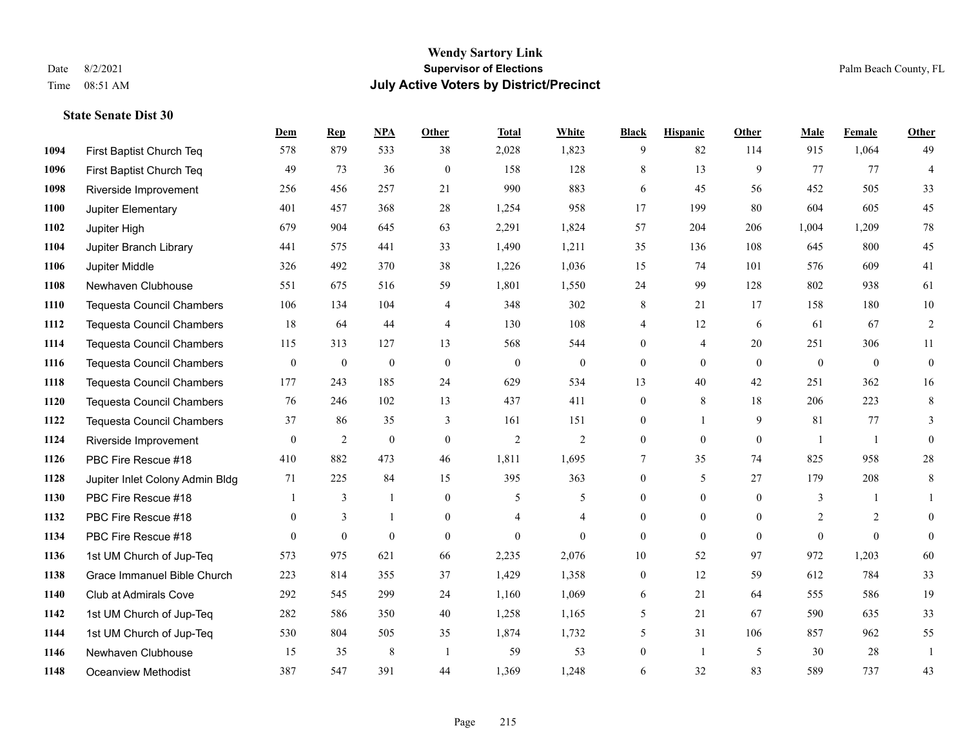**State Senate Dist 30**

### **Wendy Sartory Link** Date 8/2/2021 **Supervisor of Elections** Palm Beach County, FL Time 08:51 AM **July Active Voters by District/Precinct**

## **Dem Rep NPA Other Total White Black Hispanic Other Male Female Other** First Baptist Church Teq 578 879 533 38 2,028 1,823 9 82 114 915 1,064 49 First Baptist Church Teq 49 73 36 0 158 128 8 13 9 77 77 4 Riverside Improvement 256 456 257 21 990 883 6 45 56 452 505 33 Jupiter Elementary 401 457 368 28 1,254 958 17 199 80 604 605 45 Jupiter High 679 904 645 63 2,291 1,824 57 204 206 1,004 1,209 78 Jupiter Branch Library 441 575 441 33 1,490 1,211 35 136 108 645 800 45 Jupiter Middle 326 492 370 38 1,226 1,036 15 74 101 576 609 41 Newhaven Clubhouse 551 675 516 59 1,801 1,550 24 99 128 802 938 61 Tequesta Council Chambers 106 134 104 4 348 302 8 21 17 158 180 10 Tequesta Council Chambers 18 64 44 4 130 108 4 12 6 61 67 2 Tequesta Council Chambers 115 313 127 13 568 544 0 4 20 251 306 11 Tequesta Council Chambers 0 0 0 0 0 0 0 0 0 0 0 0 Tequesta Council Chambers 177 243 185 24 629 534 13 40 42 251 362 16 Tequesta Council Chambers 76 246 102 13 437 411 0 8 18 206 223 8 Tequesta Council Chambers 37 86 35 3 161 151 0 1 9 81 77 3 Riverside Improvement 0 0 2 0 0 2 2 2 0 0 0 0 1 1 0 PBC Fire Rescue #18 410 882 473 46 1,811 1,695 7 35 74 825 958 28 Jupiter Inlet Colony Admin Bldg 71 225 84 15 395 363 0 5 27 179 208 8 PBC Fire Rescue #18 **1** 3 1 0 5 5 0 0 0 3 1 1 **1132 PBC Fire Rescue #18** 0 3 1 0 4 4 0 0 0 2 2 0 PBC Fire Rescue #18 0 0 0 0 0 0 0 0 0 0 0 0 1st UM Church of Jup-Teq 573 975 621 66 2,235 2,076 10 52 97 972 1,203 60 Grace Immanuel Bible Church 223 814 355 37 1,429 1,358 0 12 59 612 784 33 Club at Admirals Cove 292 545 299 24 1,160 1,069 6 21 64 555 586 19 1st UM Church of Jup-Teq 282 586 350 40 1,258 1,165 5 21 67 590 635 33 1st UM Church of Jup-Teq 530 804 505 35 1,874 1,732 5 31 106 857 962 55 Newhaven Clubhouse 15 35 8 1 59 53 0 1 5 30 28 1 Oceanview Methodist 387 547 391 44 1,369 1,248 6 32 83 589 737 43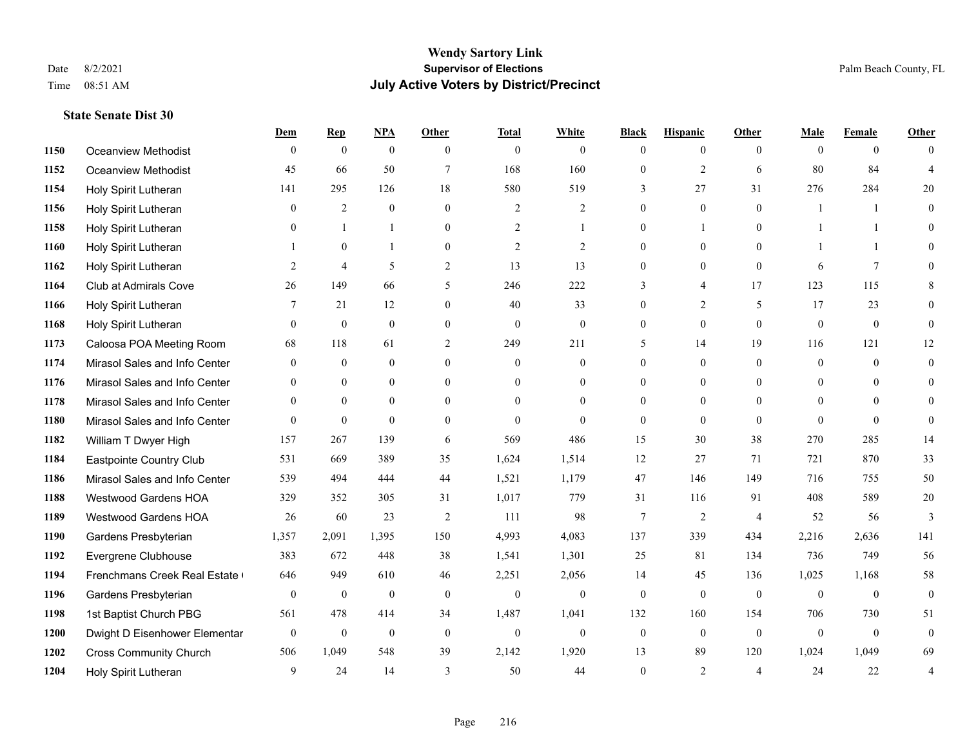**State Senate Dist 30**

### **Wendy Sartory Link** Date 8/2/2021 **Supervisor of Elections** Palm Beach County, FL Time 08:51 AM **July Active Voters by District/Precinct**

## **Dem Rep NPA Other Total White Black Hispanic Other Male Female Other** Oceanview Methodist 0 0 0 0 0 0 0 0 0 0 0 0 Oceanview Methodist 45 66 50 7 168 160 0 2 6 80 84 4 Holy Spirit Lutheran 141 295 126 18 580 519 3 27 31 276 284 20 Holy Spirit Lutheran 0 2 0 0 2 2 0 0 0 1 1 0 Holy Spirit Lutheran **0** 1 1 0 2 1 0 1 0 1 1 0 Holy Spirit Lutheran 1 0 1 0 2 2 0 0 0 1 1 0 Holy Spirit Lutheran **2** 4 5 2 13 13 0 0 0 6 7 0 Club at Admirals Cove 26 149 66 5 246 222 3 4 17 123 115 8 Holy Spirit Lutheran **7** 21 12 0 40 33 0 2 5 17 23 0 Holy Spirit Lutheran 0 0 0 0 0 0 0 0 0 0 0 0 Caloosa POA Meeting Room 68 118 61 2 249 211 5 14 19 116 121 12 Mirasol Sales and Info Center 0 0 0 0 0 0 0 0 0 0 0 0 Mirasol Sales and Info Center 0 0 0 0 0 0 0 0 0 0 0 0 Mirasol Sales and Info Center 0 0 0 0 0 0 0 0 0 0 0 0 Mirasol Sales and Info Center 0 0 0 0 0 0 0 0 0 0 0 0 William T Dwyer High 157 267 139 6 569 486 15 30 38 270 285 14 Eastpointe Country Club 531 669 389 35 1,624 1,514 12 27 71 721 870 33 Mirasol Sales and Info Center 539 494 444 44 1,521 1,179 47 146 149 716 755 50 Westwood Gardens HOA 329 352 305 31 1,017 779 31 116 91 408 589 20 Westwood Gardens HOA 26 60 23 2 111 98 7 2 4 52 56 3 Gardens Presbyterian 1,357 2,091 1,395 150 4,993 4,083 137 339 434 2,216 2,636 141 Evergrene Clubhouse 383 672 448 38 1,541 1,301 25 81 134 736 749 56 1194 Frenchmans Creek Real Estate 646 949 610 46 2,251 2,056 14 45 136 1,025 1,168 58 Gardens Presbyterian 0 0 0 0 0 0 0 0 0 0 0 0 1st Baptist Church PBG 561 478 414 34 1,487 1,041 132 160 154 706 730 51 Dwight D Eisenhower Elementary 0 0 0 0 0 0 0 0 0 0 0 0 Cross Community Church 506 1,049 548 39 2,142 1,920 13 89 120 1,024 1,049 69 Holy Spirit Lutheran 9 24 14 3 50 44 0 2 4 24 22 4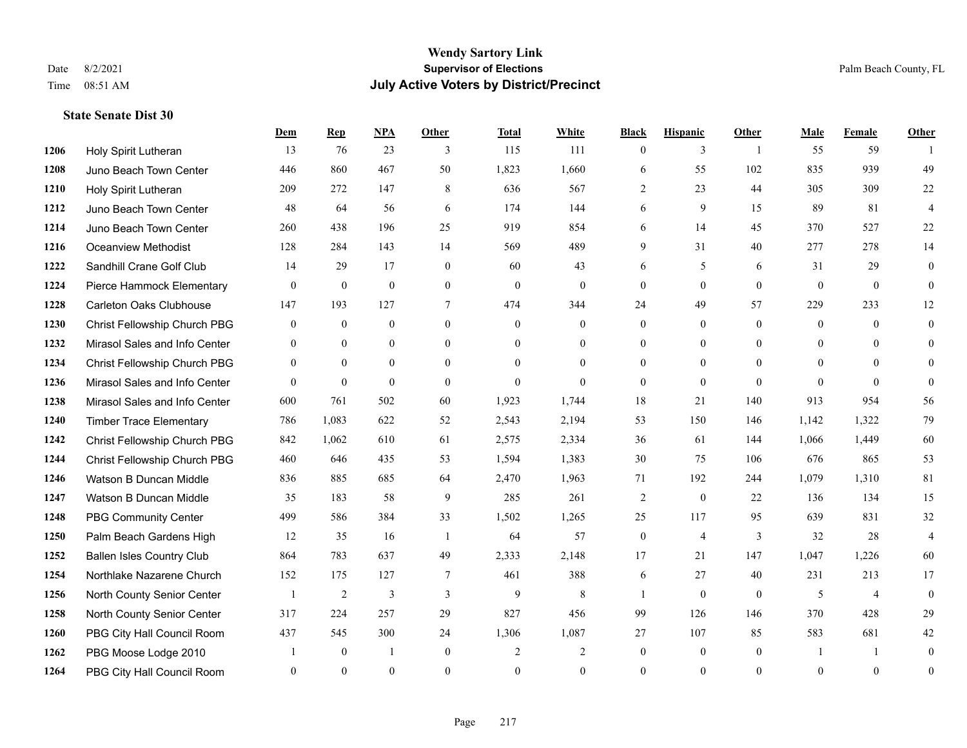#### **Wendy Sartory Link** Date 8/2/2021 **Supervisor of Elections** Palm Beach County, FL Time 08:51 AM **July Active Voters by District/Precinct**

## **Dem Rep NPA Other Total White Black Hispanic Other Male Female Other** Holy Spirit Lutheran 13 76 23 3 115 111 0 3 1 55 59 1 Juno Beach Town Center 446 860 467 50 1,823 1,660 6 55 102 835 939 49 Holy Spirit Lutheran 209 272 147 8 636 567 2 23 44 305 309 22 Juno Beach Town Center 48 64 56 6 174 144 6 9 15 89 81 4 Juno Beach Town Center 260 438 196 25 919 854 6 14 45 370 527 22 Oceanview Methodist 128 284 143 14 569 489 9 31 40 277 278 14 Sandhill Crane Golf Club 14 29 17 0 60 43 6 5 6 31 29 0 Pierce Hammock Elementary 0 0 0 0 0 0 0 0 0 0 0 0 Carleton Oaks Clubhouse 147 193 127 7 474 344 24 49 57 229 233 12 Christ Fellowship Church PBG 0 0 0 0 0 0 0 0 0 0 0 0 Mirasol Sales and Info Center 0 0 0 0 0 0 0 0 0 0 0 0 Christ Fellowship Church PBG 0 0 0 0 0 0 0 0 0 0 0 0 Mirasol Sales and Info Center 0 0 0 0 0 0 0 0 0 0 0 0 Mirasol Sales and Info Center 600 761 502 60 1,923 1,744 18 21 140 913 954 56 Timber Trace Elementary 786 1,083 622 52 2,543 2,194 53 150 146 1,142 1,322 79 Christ Fellowship Church PBG 842 1,062 610 61 2,575 2,334 36 61 144 1,066 1,449 60 Christ Fellowship Church PBG 460 646 435 53 1,594 1,383 30 75 106 676 865 53 Watson B Duncan Middle 836 885 685 64 2,470 1,963 71 192 244 1,079 1,310 81 Watson B Duncan Middle 35 183 58 9 285 261 2 0 22 136 134 15 PBG Community Center 499 586 384 33 1,502 1,265 25 117 95 639 831 32 Palm Beach Gardens High 12 35 16 1 64 57 0 4 3 32 28 4 Ballen Isles Country Club 864 783 637 49 2,333 2,148 17 21 147 1,047 1,226 60 Northlake Nazarene Church 152 175 127 7 461 388 6 27 40 231 213 17 North County Senior Center 1 2 3 3 3 9 8 1 0 0 5 4 0 North County Senior Center 317 224 257 29 827 456 99 126 146 370 428 29 PBG City Hall Council Room 437 545 300 24 1,306 1,087 27 107 85 583 681 42 PBG Moose Lodge 2010 1 0 1 0 2 2 0 0 0 1 1 0 PBG City Hall Council Room 0 0 0 0 0 0 0 0 0 0 0 0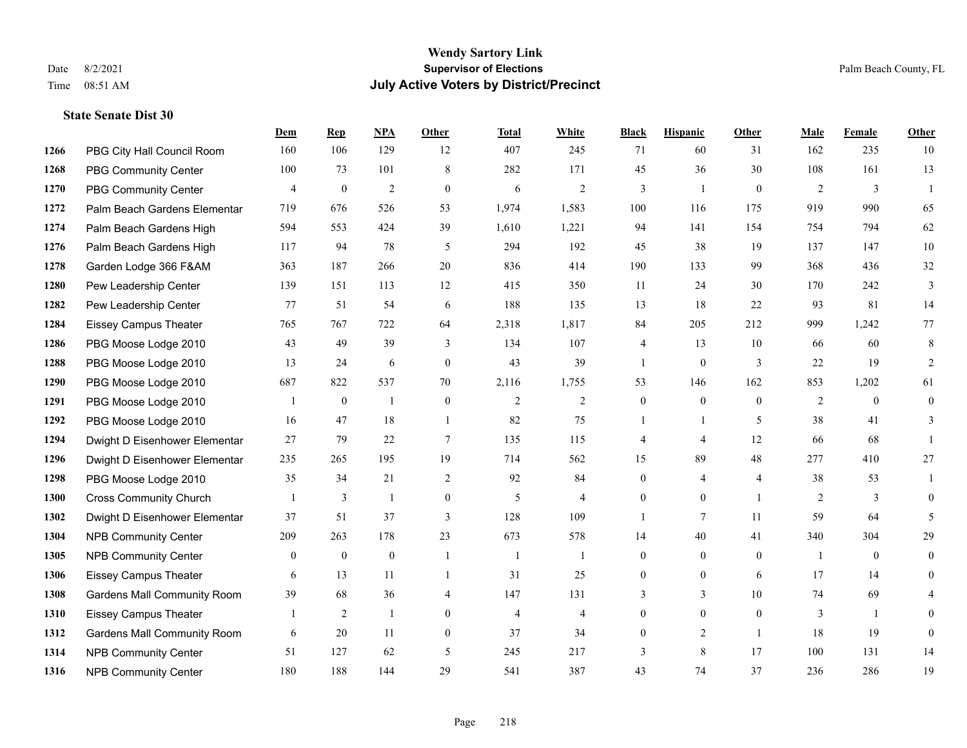|      |                                    | Dem            | <b>Rep</b>       | NPA            | <b>Other</b>   | <b>Total</b>   | <b>White</b>   | <b>Black</b>   | <b>Hispanic</b>  | <b>Other</b>   | <b>Male</b> | <b>Female</b>    | <b>Other</b>   |
|------|------------------------------------|----------------|------------------|----------------|----------------|----------------|----------------|----------------|------------------|----------------|-------------|------------------|----------------|
| 1266 | PBG City Hall Council Room         | 160            | 106              | 129            | 12             | 407            | 245            | 71             | 60               | 31             | 162         | 235              | 10             |
| 1268 | <b>PBG Community Center</b>        | 100            | 73               | 101            | 8              | 282            | 171            | 45             | 36               | 30             | 108         | 161              | 13             |
| 1270 | <b>PBG Community Center</b>        | 4              | $\boldsymbol{0}$ | $\overline{2}$ | $\mathbf{0}$   | 6              | 2              | 3              | 1                | $\overline{0}$ | 2           | 3                | $\overline{1}$ |
| 1272 | Palm Beach Gardens Elementar       | 719            | 676              | 526            | 53             | 1,974          | 1,583          | 100            | 116              | 175            | 919         | 990              | 65             |
| 1274 | Palm Beach Gardens High            | 594            | 553              | 424            | 39             | 1,610          | 1,221          | 94             | 141              | 154            | 754         | 794              | 62             |
| 1276 | Palm Beach Gardens High            | 117            | 94               | 78             | 5              | 294            | 192            | 45             | 38               | 19             | 137         | 147              | 10             |
| 1278 | Garden Lodge 366 F&AM              | 363            | 187              | 266            | 20             | 836            | 414            | 190            | 133              | 99             | 368         | 436              | $32\,$         |
| 1280 | Pew Leadership Center              | 139            | 151              | 113            | 12             | 415            | 350            | 11             | 24               | 30             | 170         | 242              | $\overline{3}$ |
| 1282 | Pew Leadership Center              | 77             | 51               | 54             | 6              | 188            | 135            | 13             | 18               | 22             | 93          | 81               | 14             |
| 1284 | <b>Eissey Campus Theater</b>       | 765            | 767              | 722            | 64             | 2,318          | 1,817          | 84             | 205              | 212            | 999         | 1,242            | 77             |
| 1286 | PBG Moose Lodge 2010               | 43             | 49               | 39             | 3              | 134            | 107            | 4              | 13               | 10             | 66          | 60               | 8              |
| 1288 | PBG Moose Lodge 2010               | 13             | 24               | 6              | $\overline{0}$ | 43             | 39             | 1              | $\mathbf{0}$     | 3              | 22          | 19               | 2              |
| 1290 | PBG Moose Lodge 2010               | 687            | 822              | 537            | 70             | 2,116          | 1,755          | 53             | 146              | 162            | 853         | 1,202            | 61             |
| 1291 | PBG Moose Lodge 2010               |                | $\boldsymbol{0}$ | $\mathbf{1}$   | $\mathbf{0}$   | $\mathbf{2}$   | $\sqrt{2}$     | $\overline{0}$ | $\mathbf{0}$     | $\mathbf{0}$   | $\sqrt{2}$  | $\boldsymbol{0}$ | $\overline{0}$ |
| 1292 | PBG Moose Lodge 2010               | 16             | 47               | 18             | $\overline{1}$ | 82             | 75             |                | 1                | 5              | 38          | 41               | 3              |
| 1294 | Dwight D Eisenhower Elementar      | 27             | 79               | 22             | $\tau$         | 135            | 115            | 4              | 4                | 12             | 66          | 68               | -1             |
| 1296 | Dwight D Eisenhower Elementar      | 235            | 265              | 195            | 19             | 714            | 562            | 15             | 89               | 48             | 277         | 410              | $27\,$         |
| 1298 | PBG Moose Lodge 2010               | 35             | 34               | 21             | 2              | 92             | 84             | $\overline{0}$ | $\overline{4}$   | $\overline{4}$ | 38          | 53               |                |
| 1300 | <b>Cross Community Church</b>      |                | 3                | $\mathbf{1}$   | $\mathbf{0}$   | 5              | $\overline{4}$ | $\mathbf{0}$   | $\overline{0}$   | $\overline{1}$ | 2           | 3                | $\theta$       |
| 1302 | Dwight D Eisenhower Elementar      | 37             | 51               | 37             | $\mathfrak{Z}$ | 128            | 109            | 1              | $7\overline{ }$  | 11             | 59          | 64               | 5              |
| 1304 | <b>NPB Community Center</b>        | 209            | 263              | 178            | 23             | 673            | 578            | 14             | 40               | 41             | 340         | 304              | 29             |
| 1305 | <b>NPB Community Center</b>        | $\overline{0}$ | $\mathbf{0}$     | $\mathbf{0}$   | $\mathbf{1}$   | $\mathbf{1}$   | $\mathbf{1}$   | $\mathbf{0}$   | $\overline{0}$   | $\mathbf{0}$   | -1          | $\mathbf{0}$     | $\theta$       |
| 1306 | <b>Eissey Campus Theater</b>       | 6              | 13               | 11             | -1             | 31             | 25             | $\mathbf{0}$   | $\boldsymbol{0}$ | 6              | 17          | 14               | $\overline{0}$ |
| 1308 | <b>Gardens Mall Community Room</b> | 39             | 68               | 36             | $\overline{4}$ | 147            | 131            | 3              | 3                | 10             | 74          | 69               | 4              |
| 1310 | <b>Eissey Campus Theater</b>       |                | 2                | $\mathbf{1}$   | $\theta$       | $\overline{4}$ | $\overline{4}$ | $\overline{0}$ | $\overline{0}$   | $\theta$       | 3           | $\mathbf{1}$     | $\Omega$       |
| 1312 | <b>Gardens Mall Community Room</b> | 6              | 20               | 11             | $\overline{0}$ | 37             | 34             | $\overline{0}$ | $\overline{2}$   | $\overline{1}$ | 18          | 19               | $\mathbf{0}$   |
| 1314 | <b>NPB Community Center</b>        | 51             | 127              | 62             | 5              | 245            | 217            | 3              | 8                | 17             | 100         | 131              | 14             |
| 1316 | <b>NPB Community Center</b>        | 180            | 188              | 144            | 29             | 541            | 387            | 43             | 74               | 37             | 236         | 286              | 19             |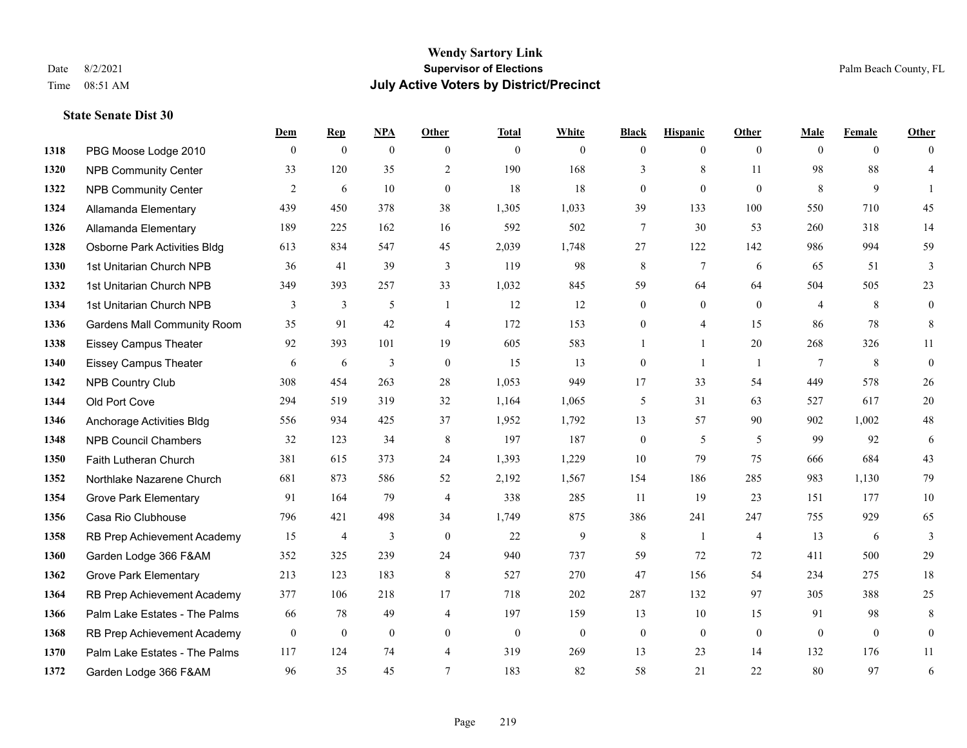#### **Wendy Sartory Link** Date 8/2/2021 **Supervisor of Elections** Palm Beach County, FL Time 08:51 AM **July Active Voters by District/Precinct**

## **Dem Rep NPA Other Total White Black Hispanic Other Male Female Other** PBG Moose Lodge 2010 0 0 0 0 0 0 0 0 0 0 0 0 **1320 NPB Community Center** 33 120 35 2 190 168 3 8 11 98 88 4 **1322 NPB Community Center**  $\begin{array}{cccccccc} 2 & 6 & 10 & 0 & 18 & 18 & 0 & 0 & 8 & 9 & 1 \end{array}$  Allamanda Elementary 439 450 378 38 1,305 1,033 39 133 100 550 710 45 Allamanda Elementary 189 225 162 16 592 502 7 30 53 260 318 14 Osborne Park Activities Bldg 613 834 547 45 2,039 1,748 27 122 142 986 994 59 1st Unitarian Church NPB 36 41 39 3 119 98 8 7 6 65 51 3 1st Unitarian Church NPB 349 393 257 33 1,032 845 59 64 64 504 505 23 1334 1st Unitarian Church NPB 3 3 3 5 1 1 12 12 0 0 0 4 8 0 Gardens Mall Community Room 35 91 42 4 172 153 0 4 15 86 78 8 Eissey Campus Theater 92 393 101 19 605 583 1 1 20 268 326 11 Eissey Campus Theater 6 6 6 3 0 15 13 0 1 1 7 8 0 NPB Country Club 308 454 263 28 1,053 949 17 33 54 449 578 26 Old Port Cove 294 519 319 32 1,164 1,065 5 31 63 527 617 20 Anchorage Activities Bldg 556 934 425 37 1,952 1,792 13 57 90 902 1,002 48 NPB Council Chambers 32 123 34 8 197 187 0 5 5 99 92 6 Faith Lutheran Church 381 615 373 24 1,393 1,229 10 79 75 666 684 43 Northlake Nazarene Church 681 873 586 52 2,192 1,567 154 186 285 983 1,130 79 **1354 Grove Park Elementary 01 164 79 4 338 285 11 19 23 151 177 10**  Casa Rio Clubhouse 796 421 498 34 1,749 875 386 241 247 755 929 65 RB Prep Achievement Academy 15 4 3 0 22 9 8 1 4 13 6 3 Garden Lodge 366 F&AM 352 325 239 24 940 737 59 72 72 411 500 29 Grove Park Elementary 213 123 183 8 527 270 47 156 54 234 275 18 RB Prep Achievement Academy 377 106 218 17 718 202 287 132 97 305 388 25 Palm Lake Estates - The Palms 66 78 49 4 197 159 13 10 15 91 98 8 RB Prep Achievement Academy 0 0 0 0 0 0 0 0 0 0 0 0 Palm Lake Estates - The Palms 117 124 74 4 319 269 13 23 14 132 176 11 Garden Lodge 366 F&AM 96 35 45 7 183 82 58 21 22 80 97 6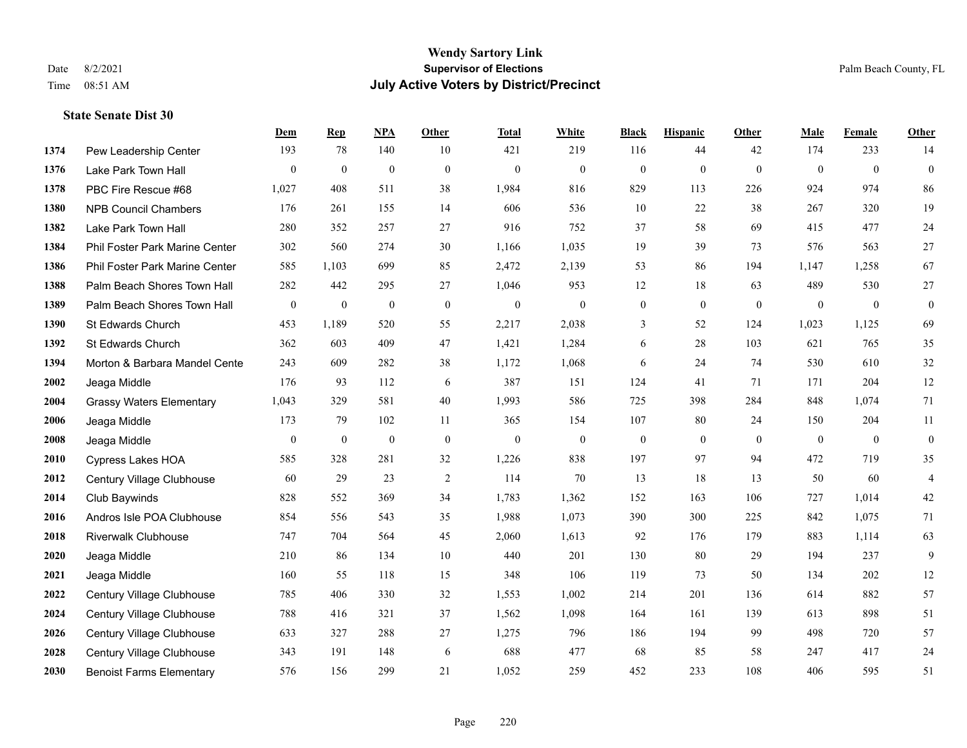#### **Wendy Sartory Link** Date 8/2/2021 **Supervisor of Elections** Palm Beach County, FL Time 08:51 AM **July Active Voters by District/Precinct**

## **Dem Rep NPA Other Total White Black Hispanic Other Male Female Other** Pew Leadership Center 193 78 140 10 421 219 116 44 42 174 233 14 Lake Park Town Hall 0 0 0 0 0 0 0 0 0 0 0 0 PBC Fire Rescue #68 1,027 408 511 38 1,984 816 829 113 226 924 974 86 NPB Council Chambers 176 261 155 14 606 536 10 22 38 267 320 19 Lake Park Town Hall 280 352 257 27 916 752 37 58 69 415 477 24 Phil Foster Park Marine Center 302 560 274 30 1,166 1,035 19 39 73 576 563 27 Phil Foster Park Marine Center 585 1,103 699 85 2,472 2,139 53 86 194 1,147 1,258 67 Palm Beach Shores Town Hall 282 442 295 27 1,046 953 12 18 63 489 530 27 Palm Beach Shores Town Hall 0 0 0 0 0 0 0 0 0 0 0 0 St Edwards Church 453 1,189 520 55 2,217 2,038 3 52 124 1,023 1,125 69 St Edwards Church 362 603 409 47 1,421 1,284 6 28 103 621 765 35 **1394 Morton & Barbara Mandel Cente** 243 609 282 38 1,172 1,068 6 24 74 530 610 32 Jeaga Middle 176 93 112 6 387 151 124 41 71 171 204 12 Grassy Waters Elementary 1,043 329 581 40 1,993 586 725 398 284 848 1,074 71 Jeaga Middle 173 79 102 11 365 154 107 80 24 150 204 11 Jeaga Middle 0 0 0 0 0 0 0 0 0 0 0 0 Cypress Lakes HOA 585 328 281 32 1,226 838 197 97 94 472 719 35 Century Village Clubhouse 60 29 23 2 114 70 13 18 13 50 60 4 Club Baywinds 828 552 369 34 1,783 1,362 152 163 106 727 1,014 42 Andros Isle POA Clubhouse 854 556 543 35 1,988 1,073 390 300 225 842 1,075 71 Riverwalk Clubhouse 747 704 564 45 2,060 1,613 92 176 179 883 1,114 63 Jeaga Middle 210 86 134 10 440 201 130 80 29 194 237 9 Jeaga Middle 160 55 118 15 348 106 119 73 50 134 202 12 Century Village Clubhouse 785 406 330 32 1,553 1,002 214 201 136 614 882 57 Century Village Clubhouse 788 416 321 37 1,562 1,098 164 161 139 613 898 51 Century Village Clubhouse 633 327 288 27 1,275 796 186 194 99 498 720 57 Century Village Clubhouse 343 191 148 6 688 477 68 85 58 247 417 24 Benoist Farms Elementary 576 156 299 21 1,052 259 452 233 108 406 595 51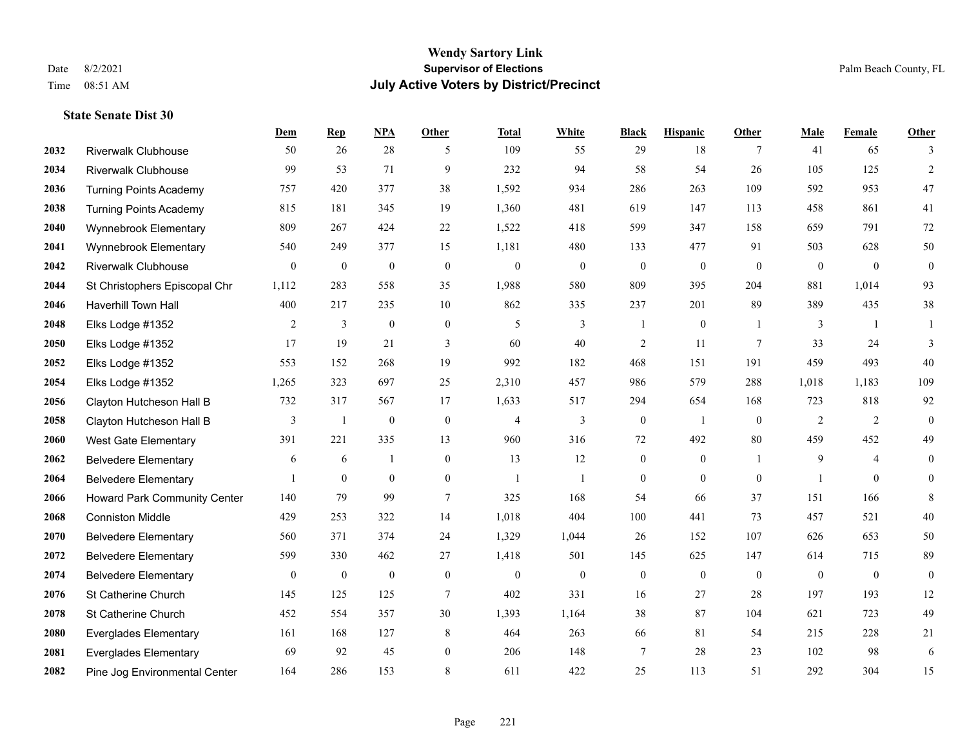#### **Wendy Sartory Link** Date 8/2/2021 **Supervisor of Elections** Palm Beach County, FL Time 08:51 AM **July Active Voters by District/Precinct**

**Dem Rep NPA Other Total White Black Hispanic Other Male Female Other**

## Riverwalk Clubhouse 50 26 28 5 109 55 29 18 7 41 65 3 Riverwalk Clubhouse 99 53 71 9 232 94 58 54 26 105 125 2 Turning Points Academy 757 420 377 38 1,592 934 286 263 109 592 953 47 Turning Points Academy 815 181 345 19 1,360 481 619 147 113 458 861 41 Wynnebrook Elementary 809 267 424 22 1,522 418 599 347 158 659 791 72 Wynnebrook Elementary 540 249 377 15 1,181 480 133 477 91 503 628 50 Riverwalk Clubhouse 0 0 0 0 0 0 0 0 0 0 0 0 St Christophers Episcopal Chr 1,112 283 558 35 1,988 580 809 395 204 881 1,014 93 Haverhill Town Hall 400 217 235 10 862 335 237 201 89 389 435 38 Elks Lodge #1352 2 3 0 0 5 3 1 0 1 3 1 1 Elks Lodge #1352 17 19 21 3 60 40 2 11 7 33 24 3 Elks Lodge #1352 553 152 268 19 992 182 468 151 191 459 493 40 Elks Lodge #1352 1,265 323 697 25 2,310 457 986 579 288 1,018 1,183 109 Clayton Hutcheson Hall B 732 317 567 17 1,633 517 294 654 168 723 818 92 Clayton Hutcheson Hall B 3 1 0 0 4 3 0 1 0 2 2 0 West Gate Elementary 391 221 335 13 960 316 72 492 80 459 452 49 Belvedere Elementary 6 6 6 1 0 13 12 0 0 1 9 4 0 Belvedere Elementary 1 0 0 0 1 1 0 0 0 1 0 0 Howard Park Community Center 140 79 99 7 325 168 54 66 37 151 166 8 Conniston Middle 429 253 322 14 1,018 404 100 441 73 457 521 40 Belvedere Elementary 560 371 374 24 1,329 1,044 26 152 107 626 653 50 Belvedere Elementary 599 330 462 27 1,418 501 145 625 147 614 715 89 Belvedere Elementary 0 0 0 0 0 0 0 0 0 0 0 0 St Catherine Church 145 125 125 7 402 331 16 27 28 197 193 12 St Catherine Church 452 554 357 30 1,393 1,164 38 87 104 621 723 49

 Everglades Elementary 161 168 127 8 464 263 66 81 54 215 228 21 Everglades Elementary 69 92 45 0 206 148 7 28 23 102 98 6 Pine Jog Environmental Center 164 286 153 8 611 422 25 113 51 292 304 15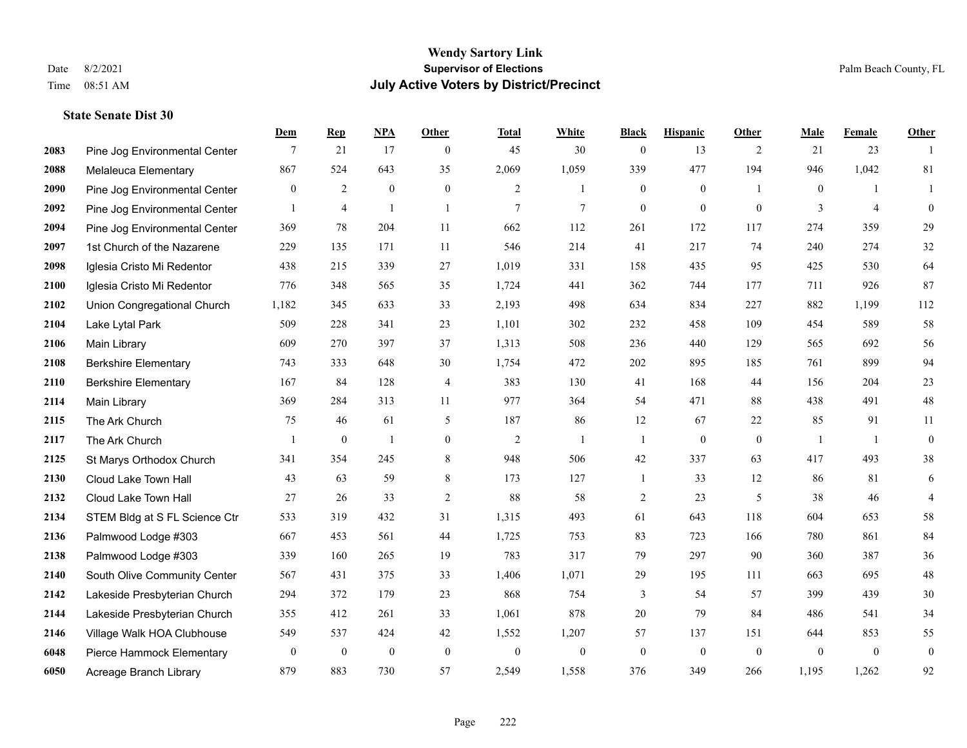|      |                               | Dem              | <b>Rep</b>       | NPA              | <b>Other</b>   | <b>Total</b>     | <b>White</b>     | <b>Black</b>     | <b>Hispanic</b> | <b>Other</b>   | <b>Male</b>    | <b>Female</b>  | <b>Other</b>     |
|------|-------------------------------|------------------|------------------|------------------|----------------|------------------|------------------|------------------|-----------------|----------------|----------------|----------------|------------------|
| 2083 | Pine Jog Environmental Center | 7                | 21               | 17               | $\overline{0}$ | 45               | 30               | $\boldsymbol{0}$ | 13              | 2              | 21             | 23             | $\overline{1}$   |
| 2088 | Melaleuca Elementary          | 867              | 524              | 643              | 35             | 2,069            | 1,059            | 339              | 477             | 194            | 946            | 1,042          | 81               |
| 2090 | Pine Jog Environmental Center | $\overline{0}$   | $\overline{2}$   | $\mathbf{0}$     | $\overline{0}$ | 2                | $\mathbf{1}$     | $\boldsymbol{0}$ | $\mathbf{0}$    | $\overline{1}$ | $\overline{0}$ | $\mathbf{1}$   | 1                |
| 2092 | Pine Jog Environmental Center | $\mathbf{1}$     | $\overline{4}$   | $\overline{1}$   | $\mathbf{1}$   | $\overline{7}$   | $\tau$           | $\mathbf{0}$     | $\mathbf{0}$    | $\theta$       | 3              | $\overline{4}$ | $\mathbf{0}$     |
| 2094 | Pine Jog Environmental Center | 369              | 78               | 204              | 11             | 662              | 112              | 261              | 172             | 117            | 274            | 359            | 29               |
| 2097 | 1st Church of the Nazarene    | 229              | 135              | 171              | 11             | 546              | 214              | 41               | 217             | 74             | 240            | 274            | 32               |
| 2098 | Iglesia Cristo Mi Redentor    | 438              | 215              | 339              | 27             | 1,019            | 331              | 158              | 435             | 95             | 425            | 530            | 64               |
| 2100 | Iglesia Cristo Mi Redentor    | 776              | 348              | 565              | 35             | 1,724            | 441              | 362              | 744             | 177            | 711            | 926            | 87               |
| 2102 | Union Congregational Church   | 1,182            | 345              | 633              | 33             | 2,193            | 498              | 634              | 834             | 227            | 882            | 1,199          | 112              |
| 2104 | Lake Lytal Park               | 509              | 228              | 341              | 23             | 1,101            | 302              | 232              | 458             | 109            | 454            | 589            | 58               |
| 2106 | Main Library                  | 609              | 270              | 397              | 37             | 1,313            | 508              | 236              | 440             | 129            | 565            | 692            | 56               |
| 2108 | <b>Berkshire Elementary</b>   | 743              | 333              | 648              | 30             | 1,754            | 472              | 202              | 895             | 185            | 761            | 899            | 94               |
| 2110 | <b>Berkshire Elementary</b>   | 167              | 84               | 128              | 4              | 383              | 130              | 41               | 168             | 44             | 156            | 204            | $23\,$           |
| 2114 | Main Library                  | 369              | 284              | 313              | 11             | 977              | 364              | 54               | 471             | 88             | 438            | 491            | $48\,$           |
| 2115 | The Ark Church                | 75               | 46               | 61               | 5              | 187              | 86               | 12               | 67              | 22             | 85             | 91             | 11               |
| 2117 | The Ark Church                | $\mathbf{1}$     | $\boldsymbol{0}$ | $\mathbf{1}$     | $\overline{0}$ | $\overline{2}$   | $\mathbf{1}$     | 1                | $\mathbf{0}$    | $\mathbf{0}$   | $\overline{1}$ | -1             | $\mathbf{0}$     |
| 2125 | St Marys Orthodox Church      | 341              | 354              | 245              | 8              | 948              | 506              | 42               | 337             | 63             | 417            | 493            | $38\,$           |
| 2130 | Cloud Lake Town Hall          | 43               | 63               | 59               | 8              | 173              | 127              | $\mathbf{1}$     | 33              | 12             | 86             | 81             | 6                |
| 2132 | Cloud Lake Town Hall          | 27               | 26               | 33               | $\sqrt{2}$     | 88               | 58               | $\overline{c}$   | 23              | 5              | 38             | 46             | $\overline{4}$   |
| 2134 | STEM Bldg at S FL Science Ctr | 533              | 319              | 432              | 31             | 1,315            | 493              | 61               | 643             | 118            | 604            | 653            | 58               |
| 2136 | Palmwood Lodge #303           | 667              | 453              | 561              | 44             | 1,725            | 753              | 83               | 723             | 166            | 780            | 861            | 84               |
| 2138 | Palmwood Lodge #303           | 339              | 160              | 265              | 19             | 783              | 317              | 79               | 297             | 90             | 360            | 387            | $36\,$           |
| 2140 | South Olive Community Center  | 567              | 431              | 375              | 33             | 1,406            | 1,071            | 29               | 195             | 111            | 663            | 695            | $48\,$           |
| 2142 | Lakeside Presbyterian Church  | 294              | 372              | 179              | 23             | 868              | 754              | 3                | 54              | 57             | 399            | 439            | $30\,$           |
| 2144 | Lakeside Presbyterian Church  | 355              | 412              | 261              | 33             | 1,061            | 878              | 20               | 79              | 84             | 486            | 541            | 34               |
| 2146 | Village Walk HOA Clubhouse    | 549              | 537              | 424              | 42             | 1,552            | 1,207            | 57               | 137             | 151            | 644            | 853            | 55               |
| 6048 | Pierce Hammock Elementary     | $\boldsymbol{0}$ | $\boldsymbol{0}$ | $\boldsymbol{0}$ | $\mathbf{0}$   | $\boldsymbol{0}$ | $\boldsymbol{0}$ | $\boldsymbol{0}$ | $\mathbf{0}$    | $\theta$       | $\mathbf{0}$   | $\mathbf{0}$   | $\boldsymbol{0}$ |
| 6050 | Acreage Branch Library        | 879              | 883              | 730              | 57             | 2,549            | 1,558            | 376              | 349             | 266            | 1,195          | 1,262          | 92               |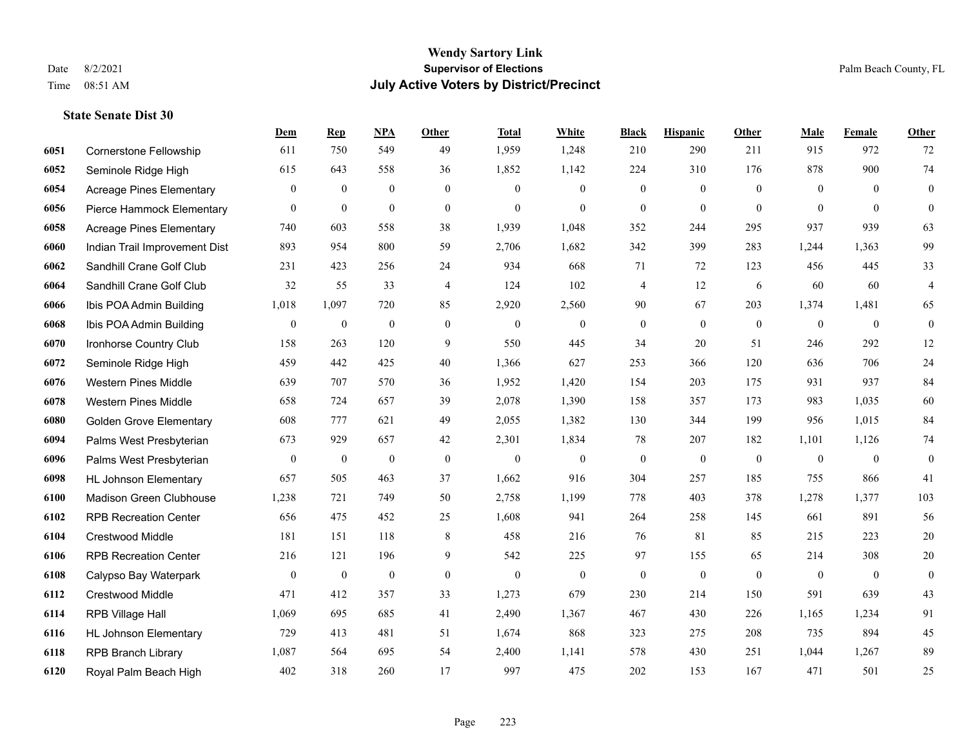|      |                                 | Dem              | <b>Rep</b>       | NPA              | <b>Other</b>   | <b>Total</b>     | White            | <b>Black</b>     | <b>Hispanic</b>  | Other          | <b>Male</b>    | Female         | <b>Other</b>     |
|------|---------------------------------|------------------|------------------|------------------|----------------|------------------|------------------|------------------|------------------|----------------|----------------|----------------|------------------|
| 6051 | Cornerstone Fellowship          | 611              | 750              | 549              | 49             | 1,959            | 1,248            | 210              | 290              | 211            | 915            | 972            | 72               |
| 6052 | Seminole Ridge High             | 615              | 643              | 558              | 36             | 1,852            | 1,142            | 224              | 310              | 176            | 878            | 900            | $74\,$           |
| 6054 | Acreage Pines Elementary        | $\overline{0}$   | $\boldsymbol{0}$ | $\mathbf{0}$     | $\overline{0}$ | $\theta$         | $\overline{0}$   | $\mathbf{0}$     | $\mathbf{0}$     | $\theta$       | $\overline{0}$ | $\theta$       | $\boldsymbol{0}$ |
| 6056 | Pierce Hammock Elementary       | $\mathbf{0}$     | $\mathbf{0}$     | $\mathbf{0}$     | $\overline{0}$ | $\mathbf{0}$     | $\overline{0}$   | $\mathbf{0}$     | $\mathbf{0}$     | $\theta$       | $\theta$       | $\theta$       | $\theta$         |
| 6058 | <b>Acreage Pines Elementary</b> | 740              | 603              | 558              | 38             | 1,939            | 1,048            | 352              | 244              | 295            | 937            | 939            | 63               |
| 6060 | Indian Trail Improvement Dist   | 893              | 954              | 800              | 59             | 2,706            | 1,682            | 342              | 399              | 283            | 1,244          | 1,363          | 99               |
| 6062 | Sandhill Crane Golf Club        | 231              | 423              | 256              | 24             | 934              | 668              | 71               | 72               | 123            | 456            | 445            | 33               |
| 6064 | Sandhill Crane Golf Club        | 32               | 55               | 33               | $\overline{4}$ | 124              | 102              | 4                | 12               | 6              | 60             | 60             | $\overline{4}$   |
| 6066 | Ibis POA Admin Building         | 1,018            | 1,097            | 720              | 85             | 2,920            | 2,560            | 90               | 67               | 203            | 1,374          | 1,481          | 65               |
| 6068 | Ibis POA Admin Building         | $\boldsymbol{0}$ | $\boldsymbol{0}$ | $\boldsymbol{0}$ | $\overline{0}$ | $\boldsymbol{0}$ | $\boldsymbol{0}$ | $\boldsymbol{0}$ | $\mathbf{0}$     | $\overline{0}$ | $\mathbf{0}$   | $\overline{0}$ | $\boldsymbol{0}$ |
| 6070 | Ironhorse Country Club          | 158              | 263              | 120              | 9              | 550              | 445              | 34               | 20               | 51             | 246            | 292            | 12               |
| 6072 | Seminole Ridge High             | 459              | 442              | 425              | 40             | 1,366            | 627              | 253              | 366              | 120            | 636            | 706            | $24\,$           |
| 6076 | <b>Western Pines Middle</b>     | 639              | 707              | 570              | 36             | 1,952            | 1,420            | 154              | 203              | 175            | 931            | 937            | 84               |
| 6078 | <b>Western Pines Middle</b>     | 658              | 724              | 657              | 39             | 2,078            | 1,390            | 158              | 357              | 173            | 983            | 1,035          | 60               |
| 6080 | <b>Golden Grove Elementary</b>  | 608              | 777              | 621              | 49             | 2,055            | 1,382            | 130              | 344              | 199            | 956            | 1,015          | 84               |
| 6094 | Palms West Presbyterian         | 673              | 929              | 657              | 42             | 2,301            | 1,834            | 78               | 207              | 182            | 1,101          | 1,126          | 74               |
| 6096 | Palms West Presbyterian         | $\mathbf{0}$     | $\boldsymbol{0}$ | $\mathbf{0}$     | $\mathbf{0}$   | $\theta$         | $\mathbf{0}$     | $\boldsymbol{0}$ | $\boldsymbol{0}$ | $\mathbf{0}$   | $\mathbf{0}$   | $\overline{0}$ | $\boldsymbol{0}$ |
| 6098 | <b>HL Johnson Elementary</b>    | 657              | 505              | 463              | 37             | 1,662            | 916              | 304              | 257              | 185            | 755            | 866            | 41               |
| 6100 | Madison Green Clubhouse         | 1,238            | 721              | 749              | 50             | 2,758            | 1,199            | 778              | 403              | 378            | 1,278          | 1,377          | 103              |
| 6102 | <b>RPB Recreation Center</b>    | 656              | 475              | 452              | 25             | 1,608            | 941              | 264              | 258              | 145            | 661            | 891            | 56               |
| 6104 | <b>Crestwood Middle</b>         | 181              | 151              | 118              | 8              | 458              | 216              | 76               | 81               | 85             | 215            | 223            | 20               |
| 6106 | <b>RPB Recreation Center</b>    | 216              | 121              | 196              | 9              | 542              | 225              | 97               | 155              | 65             | 214            | 308            | $20\,$           |
| 6108 | Calypso Bay Waterpark           | $\mathbf{0}$     | $\boldsymbol{0}$ | $\mathbf{0}$     | $\overline{0}$ | $\mathbf{0}$     | $\mathbf{0}$     | $\mathbf{0}$     | $\mathbf{0}$     | $\theta$       | $\mathbf{0}$   | $\mathbf{0}$   | $\boldsymbol{0}$ |
| 6112 | Crestwood Middle                | 471              | 412              | 357              | 33             | 1,273            | 679              | 230              | 214              | 150            | 591            | 639            | 43               |
| 6114 | RPB Village Hall                | 1,069            | 695              | 685              | 41             | 2,490            | 1,367            | 467              | 430              | 226            | 1,165          | 1,234          | 91               |
| 6116 | <b>HL Johnson Elementary</b>    | 729              | 413              | 481              | 51             | 1,674            | 868              | 323              | 275              | 208            | 735            | 894            | 45               |
| 6118 | <b>RPB Branch Library</b>       | 1,087            | 564              | 695              | 54             | 2,400            | 1,141            | 578              | 430              | 251            | 1,044          | 1,267          | 89               |
| 6120 | Royal Palm Beach High           | 402              | 318              | 260              | 17             | 997              | 475              | 202              | 153              | 167            | 471            | 501            | 25               |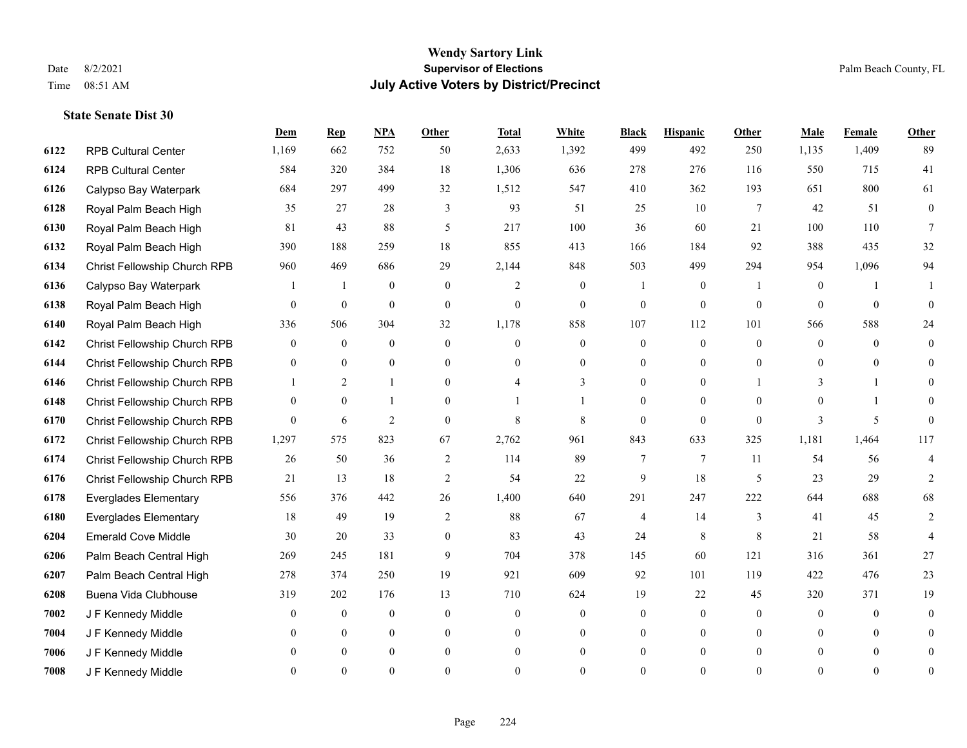#### **Wendy Sartory Link** Date 8/2/2021 **Supervisor of Elections** Palm Beach County, FL Time 08:51 AM **July Active Voters by District/Precinct**

# **Dem Rep NPA Other Total White Black Hispanic Other Male Female Other** RPB Cultural Center 1,169 662 752 50 2,633 1,392 499 492 250 1,135 1,409 89

| 6124 | <b>RPB Cultural Center</b>   | 584      | 320            | 384              | 18             | 1,306          | 636            | 278      | 276             | 116      | 550      | 715          | 41             |
|------|------------------------------|----------|----------------|------------------|----------------|----------------|----------------|----------|-----------------|----------|----------|--------------|----------------|
| 6126 | Calypso Bay Waterpark        | 684      | 297            | 499              | 32             | 1,512          | 547            | 410      | 362             | 193      | 651      | 800          | 61             |
| 6128 | Royal Palm Beach High        | 35       | 27             | 28               | 3              | 93             | 51             | 25       | 10              | 7        | 42       | 51           | $\overline{0}$ |
| 6130 | Royal Palm Beach High        | 81       | 43             | 88               | 5              | 217            | 100            | 36       | 60              | 21       | 100      | 110          | 7              |
| 6132 | Royal Palm Beach High        | 390      | 188            | 259              | 18             | 855            | 413            | 166      | 184             | 92       | 388      | 435          | 32             |
| 6134 | Christ Fellowship Church RPB | 960      | 469            | 686              | 29             | 2,144          | 848            | 503      | 499             | 294      | 954      | 1,096        | 94             |
| 6136 | Calypso Bay Waterpark        |          |                | $\boldsymbol{0}$ | $\overline{0}$ | $\overline{2}$ | $\overline{0}$ |          | $\mathbf{0}$    |          | $\theta$ |              |                |
| 6138 | Royal Palm Beach High        | $\Omega$ | $\mathbf{0}$   | $\overline{0}$   | $\mathbf{0}$   | $\overline{0}$ | $\Omega$       | $\theta$ | $\theta$        | $\theta$ | $\Omega$ | $\theta$     | $\Omega$       |
| 6140 | Royal Palm Beach High        | 336      | 506            | 304              | 32             | 1,178          | 858            | 107      | 112             | 101      | 566      | 588          | 24             |
| 6142 | Christ Fellowship Church RPB | $\Omega$ | $\mathbf{0}$   | $\overline{0}$   | $\theta$       | $\Omega$       | $\mathbf{0}$   | $\theta$ | $\mathbf{0}$    | $\Omega$ | $\theta$ | $\theta$     | $\theta$       |
| 6144 | Christ Fellowship Church RPB | 0        | $\overline{0}$ | $\overline{0}$   | $\Omega$       | $\Omega$       | $\theta$       | $\theta$ | $\overline{0}$  | $\Omega$ | $\Omega$ | $\Omega$     | $\Omega$       |
| 6146 | Christ Fellowship Church RPB |          | $\overline{2}$ |                  | $\theta$       |                | 3              | 0        | $\theta$        |          | 3        |              |                |
| 6148 | Christ Fellowship Church RPB | $\Omega$ | $\theta$       |                  | $\theta$       |                |                | 0        | $\theta$        | $\Omega$ | $\Omega$ | $\mathbf{1}$ |                |
| 6170 | Christ Fellowship Church RPB | $\theta$ | 6              | $\overline{c}$   | $\theta$       | 8              | 8              | $\Omega$ | $\theta$        | $\Omega$ | 3        | 5            | $\Omega$       |
| 6172 | Christ Fellowship Church RPB | 1,297    | 575            | 823              | 67             | 2,762          | 961            | 843      | 633             | 325      | 1,181    | 1,464        | 117            |
| 6174 | Christ Fellowship Church RPB | 26       | 50             | 36               | 2              | 114            | 89             |          | $7\phantom{.0}$ | 11       | 54       | 56           |                |
| 6176 | Christ Fellowship Church RPB | 21       | 13             | 18               | $\overline{2}$ | 54             | 22             | 9        | 18              | 5        | 23       | 29           | 2              |
| 6178 | <b>Everglades Elementary</b> | 556      | 376            | 442              | 26             | 1,400          | 640            | 291      | 247             | 222      | 644      | 688          | 68             |
| 6180 | <b>Everglades Elementary</b> | 18       | 49             | 19               | 2              | 88             | 67             | 4        | 14              | 3        | 41       | 45           | 2              |
| 6204 | <b>Emerald Cove Middle</b>   | 30       | 20             | 33               | $\theta$       | 83             | 43             | 24       | 8               | 8        | 21       | 58           |                |
| 6206 | Palm Beach Central High      | 269      | 245            | 181              | 9              | 704            | 378            | 145      | 60              | 121      | 316      | 361          | 27             |
| 6207 | Palm Beach Central High      | 278      | 374            | 250              | 19             | 921            | 609            | 92       | 101             | 119      | 422      | 476          | 23             |
| 6208 | Buena Vida Clubhouse         | 319      | 202            | 176              | 13             | 710            | 624            | 19       | 22              | 45       | 320      | 371          | 19             |
| 7002 | J F Kennedy Middle           | $\Omega$ | $\overline{0}$ | $\overline{0}$   | $\theta$       | $\theta$       | $\theta$       | $\theta$ | $\theta$        | $\theta$ | $\theta$ | $\theta$     | $\theta$       |
| 7004 | J F Kennedy Middle           | 0        | $\Omega$       | $\overline{0}$   | $\theta$       | 0              | $\theta$       | $\Omega$ | $\theta$        | $\Omega$ | $\Omega$ | $\theta$     | $\theta$       |
| 7006 | J F Kennedy Middle           |          | $\overline{0}$ | $\overline{0}$   | $\theta$       | 0              | $\Omega$       | $\Omega$ | $\theta$        | $\Omega$ | $\Omega$ | $\mathbf{0}$ |                |
| 7008 | J F Kennedy Middle           |          | $\overline{0}$ | $\theta$         | $\theta$       | $\theta$       | $\Omega$       | 0        | $\Omega$        | $\Omega$ | $\Omega$ | $\mathbf{0}$ | $\theta$       |
|      |                              |          |                |                  |                |                |                |          |                 |          |          |              |                |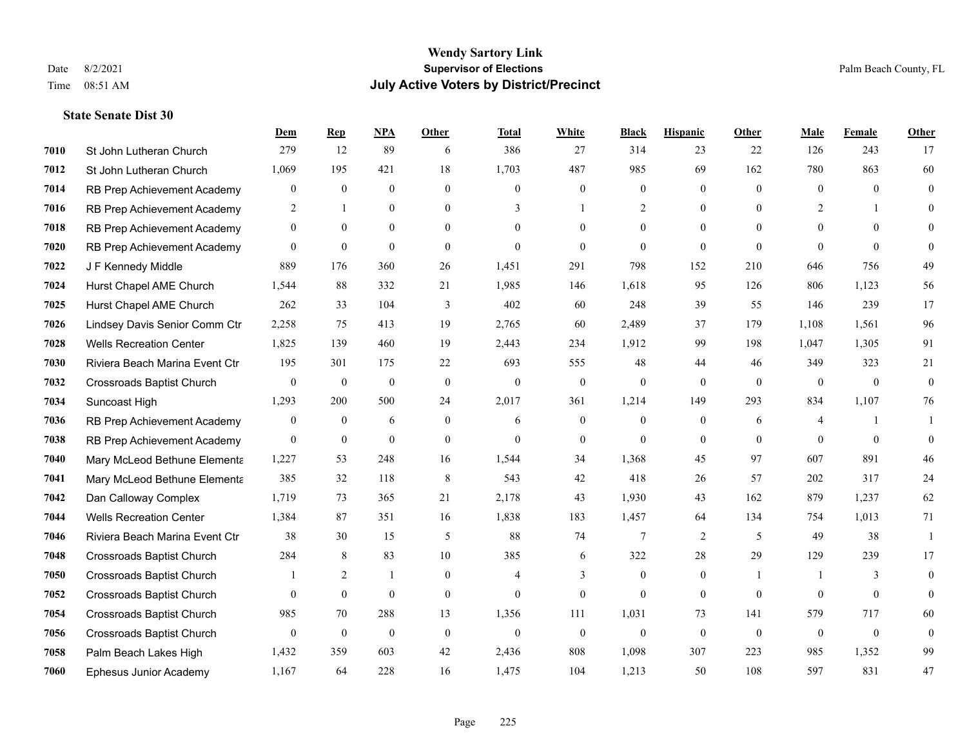|      |                                  | Dem              | <b>Rep</b>       | NPA              | <b>Other</b>   | <b>Total</b>     | <b>White</b>     | <b>Black</b>    | <b>Hispanic</b> | Other        | <b>Male</b>    | <b>Female</b> | <b>Other</b>     |
|------|----------------------------------|------------------|------------------|------------------|----------------|------------------|------------------|-----------------|-----------------|--------------|----------------|---------------|------------------|
| 7010 | St John Lutheran Church          | 279              | 12               | 89               | 6              | 386              | 27               | 314             | 23              | 22           | 126            | 243           | 17               |
| 7012 | St John Lutheran Church          | 1,069            | 195              | 421              | 18             | 1,703            | 487              | 985             | 69              | 162          | 780            | 863           | 60               |
| 7014 | RB Prep Achievement Academy      | $\mathbf{0}$     | $\boldsymbol{0}$ | $\mathbf{0}$     | $\mathbf{0}$   | $\mathbf{0}$     | $\overline{0}$   | $\mathbf{0}$    | $\overline{0}$  | $\theta$     | $\mathbf{0}$   | $\theta$      | $\mathbf{0}$     |
| 7016 | RB Prep Achievement Academy      | $\overline{c}$   | $\mathbf{1}$     | $\boldsymbol{0}$ | $\overline{0}$ | 3                |                  | $\overline{c}$  | $\overline{0}$  | $\mathbf{0}$ | $\overline{2}$ |               | $\theta$         |
| 7018 | RB Prep Achievement Academy      | $\mathbf{0}$     | $\theta$         | $\mathbf{0}$     | $\theta$       | $\Omega$         | $\Omega$         | $\overline{0}$  | $\Omega$        | $\theta$     | $\theta$       | $\theta$      | $\Omega$         |
| 7020 | RB Prep Achievement Academy      | $\boldsymbol{0}$ | $\boldsymbol{0}$ | $\boldsymbol{0}$ | $\mathbf{0}$   | $\boldsymbol{0}$ | $\overline{0}$   | $\mathbf{0}$    | $\overline{0}$  | $\theta$     | $\Omega$       | $\mathbf{0}$  | $\theta$         |
| 7022 | J F Kennedy Middle               | 889              | 176              | 360              | 26             | 1,451            | 291              | 798             | 152             | 210          | 646            | 756           | 49               |
| 7024 | Hurst Chapel AME Church          | 1,544            | 88               | 332              | 21             | 1,985            | 146              | 1,618           | 95              | 126          | 806            | 1,123         | 56               |
| 7025 | Hurst Chapel AME Church          | 262              | 33               | 104              | 3              | 402              | 60               | 248             | 39              | 55           | 146            | 239           | 17               |
| 7026 | Lindsey Davis Senior Comm Ctr    | 2,258            | 75               | 413              | 19             | 2,765            | 60               | 2,489           | 37              | 179          | 1,108          | 1,561         | 96               |
| 7028 | <b>Wells Recreation Center</b>   | 1,825            | 139              | 460              | 19             | 2,443            | 234              | 1,912           | 99              | 198          | 1,047          | 1,305         | 91               |
| 7030 | Riviera Beach Marina Event Ctr   | 195              | 301              | 175              | 22             | 693              | 555              | 48              | 44              | 46           | 349            | 323           | 21               |
| 7032 | <b>Crossroads Baptist Church</b> | $\boldsymbol{0}$ | $\boldsymbol{0}$ | $\boldsymbol{0}$ | $\mathbf{0}$   | $\boldsymbol{0}$ | $\boldsymbol{0}$ | $\mathbf{0}$    | $\overline{0}$  | $\mathbf{0}$ | $\overline{0}$ | $\mathbf{0}$  | $\boldsymbol{0}$ |
| 7034 | Suncoast High                    | 1,293            | 200              | 500              | 24             | 2,017            | 361              | 1,214           | 149             | 293          | 834            | 1,107         | 76               |
| 7036 | RB Prep Achievement Academy      | $\mathbf{0}$     | $\overline{0}$   | 6                | $\theta$       | 6                | $\overline{0}$   | $\mathbf{0}$    | $\overline{0}$  | 6            | 4              |               |                  |
| 7038 | RB Prep Achievement Academy      | $\mathbf{0}$     | $\mathbf{0}$     | $\mathbf{0}$     | $\theta$       | $\mathbf{0}$     | $\overline{0}$   | $\overline{0}$  | $\overline{0}$  | $\theta$     | $\theta$       | $\theta$      | $\theta$         |
| 7040 | Mary McLeod Bethune Elementa     | 1,227            | 53               | 248              | 16             | 1,544            | 34               | 1,368           | 45              | 97           | 607            | 891           | $46\,$           |
| 7041 | Mary McLeod Bethune Elementa     | 385              | 32               | 118              | 8              | 543              | 42               | 418             | 26              | 57           | 202            | 317           | 24               |
| 7042 | Dan Calloway Complex             | 1,719            | 73               | 365              | 21             | 2,178            | 43               | 1,930           | 43              | 162          | 879            | 1,237         | 62               |
| 7044 | <b>Wells Recreation Center</b>   | 1,384            | 87               | 351              | 16             | 1,838            | 183              | 1,457           | 64              | 134          | 754            | 1,013         | 71               |
| 7046 | Riviera Beach Marina Event Ctr   | 38               | 30               | 15               | 5              | 88               | 74               | $7\phantom{.0}$ | 2               | 5            | 49             | 38            | $\mathbf{1}$     |
| 7048 | Crossroads Baptist Church        | 284              | 8                | 83               | $10\,$         | 385              | 6                | 322             | $28\,$          | 29           | 129            | 239           | 17               |
| 7050 | <b>Crossroads Baptist Church</b> |                  | 2                | -1               | $\mathbf{0}$   | 4                | 3                | $\mathbf{0}$    | $\overline{0}$  |              | $\overline{1}$ | 3             | $\mathbf{0}$     |
| 7052 | <b>Crossroads Baptist Church</b> | $\mathbf{0}$     | $\overline{0}$   | $\mathbf{0}$     | $\mathbf{0}$   | $\theta$         | $\overline{0}$   | $\mathbf{0}$    | $\overline{0}$  | $\mathbf{0}$ | $\theta$       | $\mathbf{0}$  | $\theta$         |
| 7054 | <b>Crossroads Baptist Church</b> | 985              | 70               | 288              | 13             | 1,356            | 111              | 1,031           | 73              | 141          | 579            | 717           | 60               |
| 7056 | <b>Crossroads Baptist Church</b> | $\mathbf{0}$     | $\boldsymbol{0}$ | $\mathbf{0}$     | $\mathbf{0}$   | $\theta$         | $\overline{0}$   | $\mathbf{0}$    | $\mathbf{0}$    | $\mathbf{0}$ | $\mathbf{0}$   | $\mathbf{0}$  | $\mathbf{0}$     |
| 7058 | Palm Beach Lakes High            | 1,432            | 359              | 603              | 42             | 2,436            | 808              | 1,098           | 307             | 223          | 985            | 1,352         | 99               |
| 7060 | Ephesus Junior Academy           | 1,167            | 64               | 228              | 16             | 1,475            | 104              | 1,213           | 50              | 108          | 597            | 831           | 47               |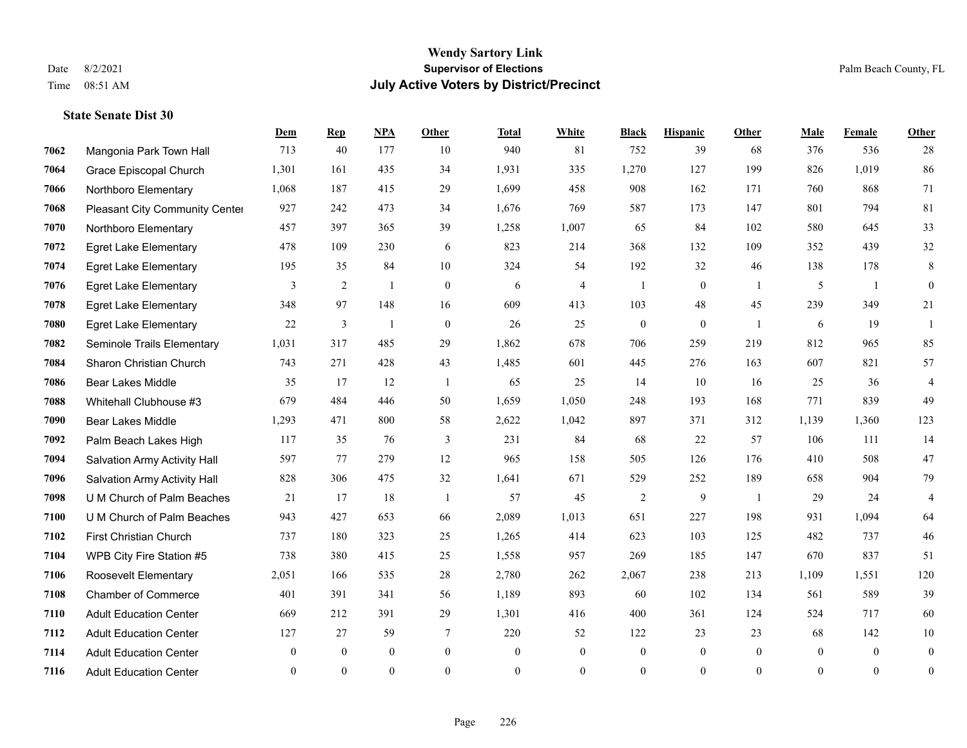#### **Wendy Sartory Link** Date 8/2/2021 **Supervisor of Elections** Palm Beach County, FL Time 08:51 AM **July Active Voters by District/Precinct**

## **Dem Rep NPA Other Total White Black Hispanic Other Male Female Other** Mangonia Park Town Hall 713 40 177 10 940 81 752 39 68 376 536 28 Grace Episcopal Church 1,301 161 435 34 1,931 335 1,270 127 199 826 1,019 86 Northboro Elementary 1,068 187 415 29 1,699 458 908 162 171 760 868 71 Pleasant City Community Center 927 242 473 34 1,676 769 587 173 147 801 794 81 Northboro Elementary 457 397 365 39 1,258 1,007 65 84 102 580 645 33 Egret Lake Elementary 478 109 230 6 823 214 368 132 109 352 439 32 Egret Lake Elementary 195 35 84 10 324 54 192 32 46 138 178 8 Egret Lake Elementary 3 2 1 0 6 4 1 0 1 5 1 0 Egret Lake Elementary 348 97 148 16 609 413 103 48 45 239 349 21 Egret Lake Elementary 22 3 1 0 26 25 0 0 1 6 19 1 Seminole Trails Elementary 1,031 317 485 29 1,862 678 706 259 219 812 965 85 Sharon Christian Church 743 271 428 43 1,485 601 445 276 163 607 821 57 Bear Lakes Middle 35 17 12 1 65 25 14 10 16 25 36 4 Whitehall Clubhouse #3 679 484 446 50 1,659 1,050 248 193 168 771 839 49 Bear Lakes Middle 1,293 471 800 58 2,622 1,042 897 371 312 1,139 1,360 123 Palm Beach Lakes High 117 35 76 3 231 84 68 22 57 106 111 14 Salvation Army Activity Hall 597 77 279 12 965 158 505 126 176 410 508 47 Salvation Army Activity Hall 828 306 475 32 1,641 671 529 252 189 658 904 79 U M Church of Palm Beaches 21 17 18 1 57 45 2 9 1 29 24 4 U M Church of Palm Beaches 943 427 653 66 2,089 1,013 651 227 198 931 1,094 64 First Christian Church 737 180 323 25 1,265 414 623 103 125 482 737 46 WPB City Fire Station #5 738 380 415 25 1,558 957 269 185 147 670 837 51 Roosevelt Elementary 2,051 166 535 28 2,780 262 2,067 238 213 1,109 1,551 120 Chamber of Commerce 401 391 341 56 1,189 893 60 102 134 561 589 39 Adult Education Center 669 212 391 29 1,301 416 400 361 124 524 717 60 Adult Education Center 127 27 59 7 220 52 122 23 23 68 142 10 Adult Education Center 0 0 0 0 0 0 0 0 0 0 0 0 Adult Education Center 0 0 0 0 0 0 0 0 0 0 0 0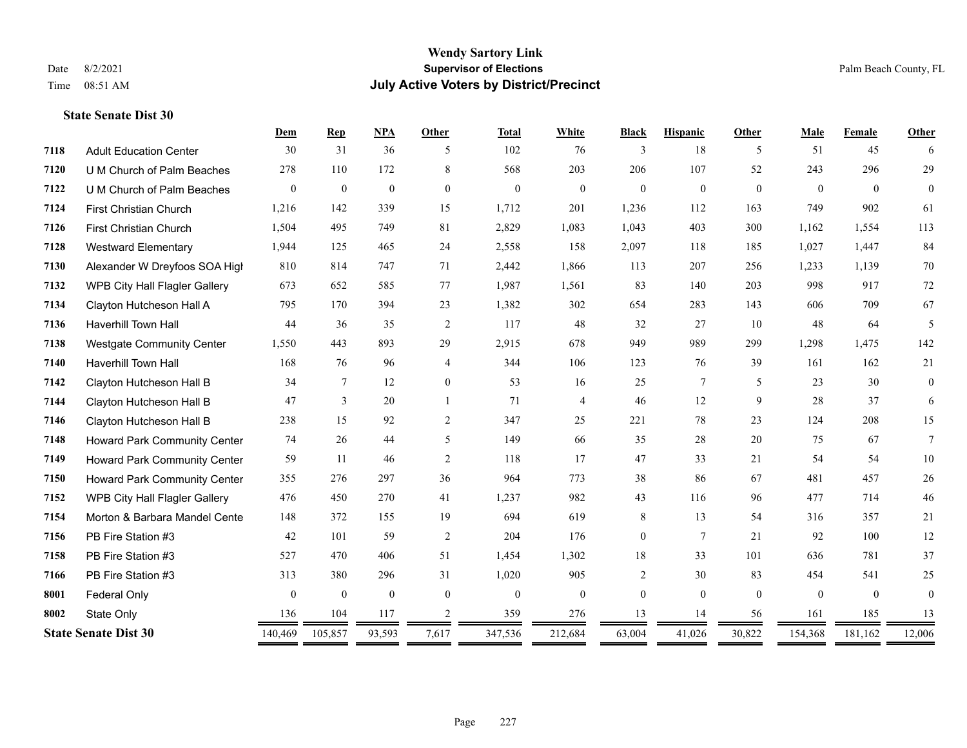#### **Wendy Sartory Link** Date 8/2/2021 **Supervisor of Elections** Palm Beach County, FL Time 08:51 AM **July Active Voters by District/Precinct**

## **Dem Rep NPA Other Total White Black Hispanic Other Male Female Other** Adult Education Center 30 31 36 5 102 76 3 18 5 51 45 6 U M Church of Palm Beaches 278 110 172 8 568 203 206 107 52 243 296 29 U M Church of Palm Beaches 0 0 0 0 0 0 0 0 0 0 0 0 First Christian Church 1,216 142 339 15 1,712 201 1,236 112 163 749 902 61 First Christian Church 1,504 495 749 81 2,829 1,083 1,043 403 300 1,162 1,554 113 Westward Elementary 1,944 125 465 24 2,558 158 2,097 118 185 1,027 1,447 84 Alexander W Dreyfoos SOA High 810 814 747 71 2,442 1,866 113 207 256 1,233 1,139 70 WPB City Hall Flagler Gallery 673 652 585 77 1,987 1,561 83 140 203 998 917 72 Clayton Hutcheson Hall A 795 170 394 23 1,382 302 654 283 143 606 709 67 Haverhill Town Hall 44 36 35 2 117 48 32 27 10 48 64 5 Westgate Community Center 1,550 443 893 29 2,915 678 949 989 299 1,298 1,475 142 Haverhill Town Hall 168 76 96 4 344 106 123 76 39 161 162 21 Clayton Hutcheson Hall B 34 7 12 0 53 16 25 7 5 23 30 0 Clayton Hutcheson Hall B 47 3 20 1 71 4 46 12 9 28 37 6 Clayton Hutcheson Hall B 238 15 92 2 347 25 221 78 23 124 208 15 Howard Park Community Center 74 26 44 5 149 66 35 28 20 75 67 7 Howard Park Community Center 59 11 46 2 118 17 47 33 21 54 54 10 Howard Park Community Center 355 276 297 36 964 773 38 86 67 481 457 26 WPB City Hall Flagler Gallery 476 450 270 41 1,237 982 43 116 96 477 714 46 Morton & Barbara Mandel Center 148 372 155 19 694 619 8 13 54 316 357 21 PB Fire Station #3 42 101 59 2 204 176 0 7 21 92 100 12 PB Fire Station #3 527 470 406 51 1,454 1,302 18 33 101 636 781 37 PB Fire Station #3 313 380 296 31 1,020 905 2 30 83 454 541 25 **8001 Federal Only 0 0 0 0 0 0 0 0 0** 0 State Only 136 104 117 2 359 276 13 14 56 161 185 13 **State Senate Dist 30** 140,469 105,857 93,593 7,617 347,536 212,684 63,004 41,026 30,822 154,368 181,162 12,006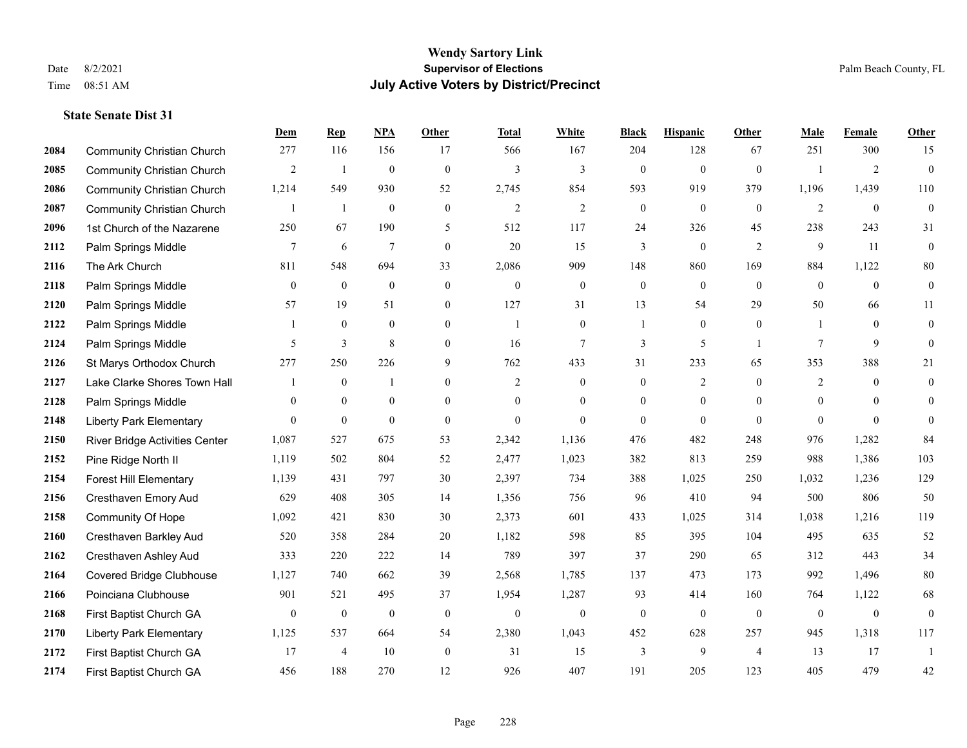|      |                                       | Dem            | <b>Rep</b>       | NPA              | <b>Other</b>   | <b>Total</b>   | <b>White</b>     | <b>Black</b>     | <b>Hispanic</b>  | <b>Other</b>   | <b>Male</b>    | Female         | <b>Other</b>     |
|------|---------------------------------------|----------------|------------------|------------------|----------------|----------------|------------------|------------------|------------------|----------------|----------------|----------------|------------------|
| 2084 | <b>Community Christian Church</b>     | 277            | 116              | 156              | 17             | 566            | 167              | 204              | 128              | 67             | 251            | 300            | 15               |
| 2085 | <b>Community Christian Church</b>     | $\overline{2}$ | 1                | $\boldsymbol{0}$ | $\mathbf{0}$   | 3              | 3                | $\boldsymbol{0}$ | $\boldsymbol{0}$ | $\mathbf{0}$   |                | $\overline{2}$ | $\boldsymbol{0}$ |
| 2086 | <b>Community Christian Church</b>     | 1,214          | 549              | 930              | 52             | 2,745          | 854              | 593              | 919              | 379            | 1,196          | 1,439          | 110              |
| 2087 | <b>Community Christian Church</b>     | $\mathbf{1}$   | $\mathbf{1}$     | $\overline{0}$   | $\overline{0}$ | $\mathfrak{2}$ | $\mathfrak{2}$   | $\boldsymbol{0}$ | $\mathbf{0}$     | $\mathbf{0}$   | $\overline{2}$ | $\theta$       | $\mathbf{0}$     |
| 2096 | 1st Church of the Nazarene            | 250            | 67               | 190              | 5              | 512            | 117              | 24               | 326              | 45             | 238            | 243            | 31               |
| 2112 | Palm Springs Middle                   | 7              | 6                | $\overline{7}$   | $\overline{0}$ | 20             | 15               | 3                | $\mathbf{0}$     | 2              | 9              | 11             | $\mathbf{0}$     |
| 2116 | The Ark Church                        | 811            | 548              | 694              | 33             | 2,086          | 909              | 148              | 860              | 169            | 884            | 1,122          | $80\,$           |
| 2118 | Palm Springs Middle                   | $\overline{0}$ | $\mathbf{0}$     | $\mathbf{0}$     | $\Omega$       | $\theta$       | $\mathbf{0}$     | $\boldsymbol{0}$ | $\mathbf{0}$     | $\theta$       | $\theta$       | $\theta$       | $\mathbf{0}$     |
| 2120 | Palm Springs Middle                   | 57             | 19               | 51               | $\overline{0}$ | 127            | 31               | 13               | 54               | 29             | 50             | 66             | 11               |
| 2122 | Palm Springs Middle                   | 1              | $\mathbf{0}$     | $\mathbf{0}$     | $\overline{0}$ | -1             | $\overline{0}$   | 1                | $\mathbf{0}$     | $\overline{0}$ |                | $\theta$       | $\boldsymbol{0}$ |
| 2124 | Palm Springs Middle                   | 5              | $\overline{3}$   | 8                | $\overline{0}$ | 16             | $\overline{7}$   | 3                | 5                | $\overline{1}$ | $\tau$         | 9              | $\theta$         |
| 2126 | St Marys Orthodox Church              | 277            | 250              | 226              | 9              | 762            | 433              | 31               | 233              | 65             | 353            | 388            | 21               |
| 2127 | Lake Clarke Shores Town Hall          |                | $\mathbf{0}$     | $\mathbf{1}$     | $\theta$       | $\overline{2}$ | $\mathbf{0}$     | $\mathbf{0}$     | $\overline{c}$   | $\theta$       | $\overline{2}$ | $\theta$       | $\mathbf{0}$     |
| 2128 | Palm Springs Middle                   | $\mathbf{0}$   | $\mathbf{0}$     | $\boldsymbol{0}$ | $\overline{0}$ | $\theta$       | $\mathbf{0}$     | $\boldsymbol{0}$ | $\boldsymbol{0}$ | $\overline{0}$ | $\mathbf{0}$   | $\mathbf{0}$   | $\overline{0}$   |
| 2148 | <b>Liberty Park Elementary</b>        | $\theta$       | $\boldsymbol{0}$ | $\mathbf{0}$     | $\theta$       | $\theta$       | $\overline{0}$   | $\mathbf{0}$     | $\mathbf{0}$     | $\theta$       | $\theta$       | $\theta$       | $\theta$         |
| 2150 | <b>River Bridge Activities Center</b> | 1,087          | 527              | 675              | 53             | 2,342          | 1,136            | 476              | 482              | 248            | 976            | 1,282          | 84               |
| 2152 | Pine Ridge North II                   | 1,119          | 502              | 804              | 52             | 2,477          | 1,023            | 382              | 813              | 259            | 988            | 1,386          | 103              |
| 2154 | <b>Forest Hill Elementary</b>         | 1,139          | 431              | 797              | 30             | 2,397          | 734              | 388              | 1,025            | 250            | 1,032          | 1,236          | 129              |
| 2156 | Cresthaven Emory Aud                  | 629            | 408              | 305              | 14             | 1,356          | 756              | 96               | 410              | 94             | 500            | 806            | 50               |
| 2158 | <b>Community Of Hope</b>              | 1,092          | 421              | 830              | 30             | 2,373          | 601              | 433              | 1,025            | 314            | 1,038          | 1,216          | 119              |
| 2160 | Cresthaven Barkley Aud                | 520            | 358              | 284              | 20             | 1,182          | 598              | 85               | 395              | 104            | 495            | 635            | 52               |
| 2162 | Cresthaven Ashley Aud                 | 333            | 220              | 222              | 14             | 789            | 397              | 37               | 290              | 65             | 312            | 443            | 34               |
| 2164 | <b>Covered Bridge Clubhouse</b>       | 1,127          | 740              | 662              | 39             | 2,568          | 1,785            | 137              | 473              | 173            | 992            | 1,496          | $80\,$           |
| 2166 | Poinciana Clubhouse                   | 901            | 521              | 495              | 37             | 1,954          | 1,287            | 93               | 414              | 160            | 764            | 1,122          | 68               |
| 2168 | First Baptist Church GA               | $\overline{0}$ | $\bf{0}$         | $\boldsymbol{0}$ | $\mathbf{0}$   | $\mathbf{0}$   | $\boldsymbol{0}$ | $\boldsymbol{0}$ | $\mathbf{0}$     | $\overline{0}$ | $\mathbf{0}$   | $\mathbf{0}$   | $\mathbf{0}$     |
| 2170 | <b>Liberty Park Elementary</b>        | 1,125          | 537              | 664              | 54             | 2,380          | 1,043            | 452              | 628              | 257            | 945            | 1,318          | 117              |
| 2172 | First Baptist Church GA               | 17             | $\overline{4}$   | 10               | $\overline{0}$ | 31             | 15               | 3                | 9                | $\overline{4}$ | 13             | 17             | 1                |
| 2174 | First Baptist Church GA               | 456            | 188              | 270              | 12             | 926            | 407              | 191              | 205              | 123            | 405            | 479            | 42               |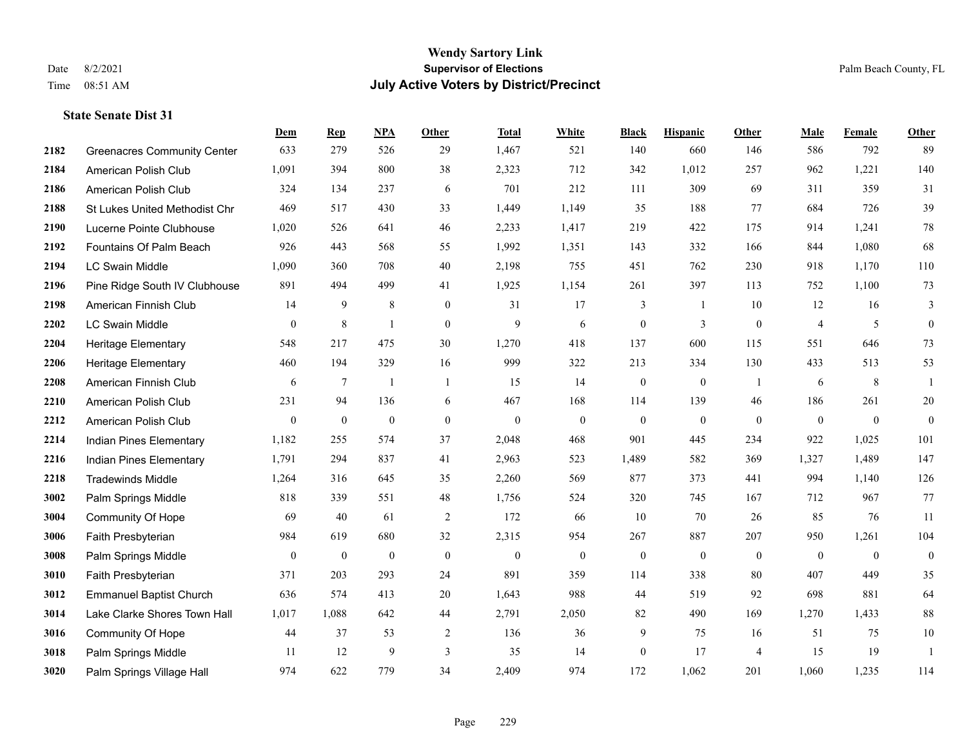|      |                                    | Dem            | <b>Rep</b>       | NPA              | <b>Other</b>   | <b>Total</b>     | <b>White</b>     | <b>Black</b>     | <b>Hispanic</b>  | Other          | <b>Male</b>    | Female         | Other          |
|------|------------------------------------|----------------|------------------|------------------|----------------|------------------|------------------|------------------|------------------|----------------|----------------|----------------|----------------|
| 2182 | <b>Greenacres Community Center</b> | 633            | 279              | 526              | 29             | 1,467            | 521              | 140              | 660              | 146            | 586            | 792            | 89             |
| 2184 | American Polish Club               | 1,091          | 394              | 800              | 38             | 2,323            | 712              | 342              | 1,012            | 257            | 962            | 1,221          | 140            |
| 2186 | American Polish Club               | 324            | 134              | 237              | 6              | 701              | 212              | 111              | 309              | 69             | 311            | 359            | 31             |
| 2188 | St Lukes United Methodist Chr      | 469            | 517              | 430              | 33             | 1,449            | 1,149            | 35               | 188              | 77             | 684            | 726            | 39             |
| 2190 | Lucerne Pointe Clubhouse           | 1,020          | 526              | 641              | 46             | 2,233            | 1,417            | 219              | 422              | 175            | 914            | 1,241          | $78\,$         |
| 2192 | Fountains Of Palm Beach            | 926            | 443              | 568              | 55             | 1,992            | 1,351            | 143              | 332              | 166            | 844            | 1,080          | 68             |
| 2194 | LC Swain Middle                    | 1,090          | 360              | 708              | 40             | 2,198            | 755              | 451              | 762              | 230            | 918            | 1,170          | 110            |
| 2196 | Pine Ridge South IV Clubhouse      | 891            | 494              | 499              | 41             | 1,925            | 1,154            | 261              | 397              | 113            | 752            | 1,100          | 73             |
| 2198 | American Finnish Club              | 14             | 9                | $\,$ 8 $\,$      | $\mathbf{0}$   | 31               | 17               | 3                | $\overline{1}$   | 10             | 12             | 16             | 3              |
| 2202 | LC Swain Middle                    | $\overline{0}$ | $\,$ 8 $\,$      | -1               | $\mathbf{0}$   | 9                | 6                | $\boldsymbol{0}$ | 3                | $\mathbf{0}$   | $\overline{4}$ | 5              | $\overline{0}$ |
| 2204 | Heritage Elementary                | 548            | 217              | 475              | 30             | 1,270            | 418              | 137              | 600              | 115            | 551            | 646            | 73             |
| 2206 | <b>Heritage Elementary</b>         | 460            | 194              | 329              | 16             | 999              | 322              | 213              | 334              | 130            | 433            | 513            | 53             |
| 2208 | American Finnish Club              | 6              | $\tau$           | $\mathbf{1}$     | $\overline{1}$ | 15               | 14               | $\boldsymbol{0}$ | $\boldsymbol{0}$ | $\overline{1}$ | 6              | 8              | $\mathbf{1}$   |
| 2210 | American Polish Club               | 231            | 94               | 136              | 6              | 467              | 168              | 114              | 139              | 46             | 186            | 261            | $20\,$         |
| 2212 | American Polish Club               | $\mathbf{0}$   | $\boldsymbol{0}$ | $\boldsymbol{0}$ | $\mathbf{0}$   | $\mathbf{0}$     | $\mathbf{0}$     | $\overline{0}$   | $\overline{0}$   | $\theta$       | $\mathbf{0}$   | $\overline{0}$ | $\overline{0}$ |
| 2214 | Indian Pines Elementary            | 1,182          | 255              | 574              | 37             | 2,048            | 468              | 901              | 445              | 234            | 922            | 1,025          | 101            |
| 2216 | Indian Pines Elementary            | 1,791          | 294              | 837              | 41             | 2,963            | 523              | 1,489            | 582              | 369            | 1,327          | 1,489          | 147            |
| 2218 | <b>Tradewinds Middle</b>           | 1,264          | 316              | 645              | 35             | 2,260            | 569              | 877              | 373              | 441            | 994            | 1,140          | 126            |
| 3002 | Palm Springs Middle                | 818            | 339              | 551              | $48\,$         | 1,756            | 524              | 320              | 745              | 167            | 712            | 967            | 77             |
| 3004 | Community Of Hope                  | 69             | 40               | 61               | 2              | 172              | 66               | 10               | 70               | 26             | 85             | 76             | 11             |
| 3006 | Faith Presbyterian                 | 984            | 619              | 680              | 32             | 2,315            | 954              | 267              | 887              | 207            | 950            | 1,261          | 104            |
| 3008 | Palm Springs Middle                | $\bf{0}$       | $\boldsymbol{0}$ | $\boldsymbol{0}$ | $\mathbf{0}$   | $\boldsymbol{0}$ | $\boldsymbol{0}$ | $\boldsymbol{0}$ | $\overline{0}$   | $\mathbf{0}$   | $\mathbf{0}$   | $\overline{0}$ | $\mathbf{0}$   |
| 3010 | Faith Presbyterian                 | 371            | 203              | 293              | 24             | 891              | 359              | 114              | 338              | 80             | 407            | 449            | 35             |
| 3012 | <b>Emmanuel Baptist Church</b>     | 636            | 574              | 413              | 20             | 1,643            | 988              | 44               | 519              | 92             | 698            | 881            | 64             |
| 3014 | Lake Clarke Shores Town Hall       | 1,017          | 1,088            | 642              | 44             | 2,791            | 2,050            | 82               | 490              | 169            | 1,270          | 1,433          | 88             |
| 3016 | Community Of Hope                  | 44             | 37               | 53               | $\overline{2}$ | 136              | 36               | 9                | 75               | 16             | 51             | 75             | $10\,$         |
| 3018 | Palm Springs Middle                | 11             | 12               | 9                | 3              | 35               | 14               | $\boldsymbol{0}$ | 17               | $\overline{4}$ | 15             | 19             | $\mathbf{1}$   |
| 3020 | Palm Springs Village Hall          | 974            | 622              | 779              | 34             | 2,409            | 974              | 172              | 1,062            | 201            | 1,060          | 1,235          | 114            |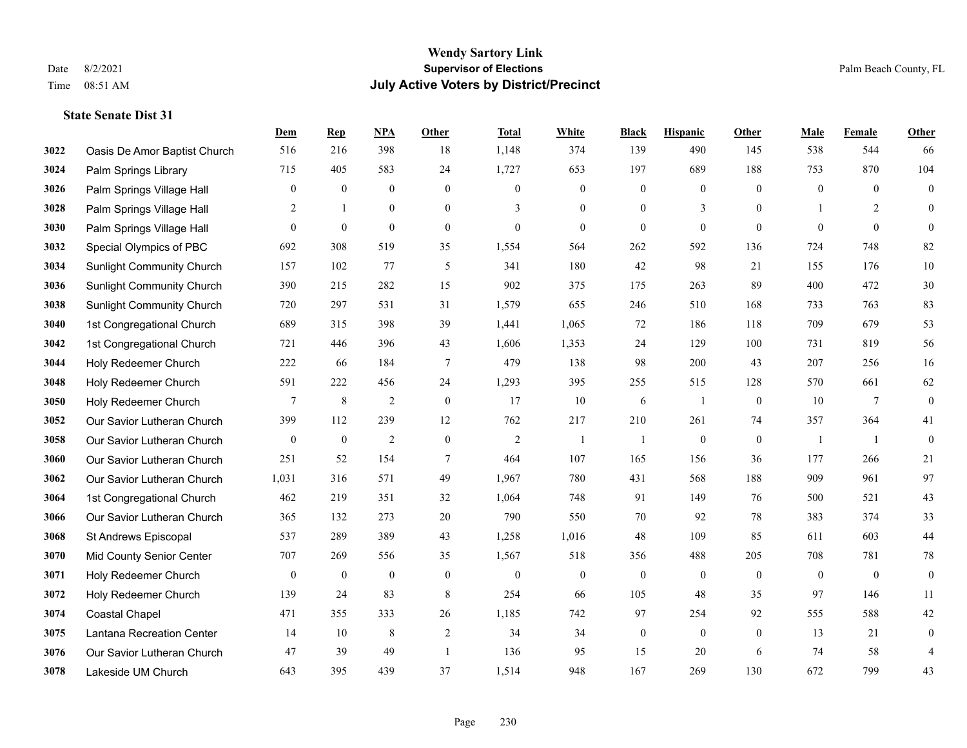|      |                                  | Dem              | <b>Rep</b>       | NPA              | <b>Other</b>     | <b>Total</b>     | <b>White</b>     | <b>Black</b>     | <b>Hispanic</b>  | <b>Other</b>     | <b>Male</b>    | Female          | <b>Other</b>     |
|------|----------------------------------|------------------|------------------|------------------|------------------|------------------|------------------|------------------|------------------|------------------|----------------|-----------------|------------------|
| 3022 | Oasis De Amor Baptist Church     | 516              | 216              | 398              | 18               | 1,148            | 374              | 139              | 490              | 145              | 538            | 544             | 66               |
| 3024 | Palm Springs Library             | 715              | 405              | 583              | 24               | 1,727            | 653              | 197              | 689              | 188              | 753            | 870             | 104              |
| 3026 | Palm Springs Village Hall        | $\mathbf{0}$     | $\boldsymbol{0}$ | $\boldsymbol{0}$ | $\overline{0}$   | $\mathbf{0}$     | $\boldsymbol{0}$ | $\mathbf{0}$     | $\boldsymbol{0}$ | $\theta$         | $\mathbf{0}$   | $\theta$        | $\boldsymbol{0}$ |
| 3028 | Palm Springs Village Hall        | 2                | 1                | $\boldsymbol{0}$ | $\overline{0}$   | 3                | $\boldsymbol{0}$ | $\boldsymbol{0}$ | 3                | $\overline{0}$   |                | 2               | $\mathbf{0}$     |
| 3030 | Palm Springs Village Hall        | $\theta$         | $\mathbf{0}$     | $\boldsymbol{0}$ | $\overline{0}$   | $\theta$         | $\overline{0}$   | $\mathbf{0}$     | $\mathbf{0}$     | $\theta$         | $\theta$       | $\theta$        | $\mathbf{0}$     |
| 3032 | Special Olympics of PBC          | 692              | 308              | 519              | 35               | 1,554            | 564              | 262              | 592              | 136              | 724            | 748             | 82               |
| 3034 | <b>Sunlight Community Church</b> | 157              | 102              | 77               | 5                | 341              | 180              | 42               | 98               | 21               | 155            | 176             | $10\,$           |
| 3036 | <b>Sunlight Community Church</b> | 390              | 215              | 282              | 15               | 902              | 375              | 175              | 263              | 89               | 400            | 472             | $30\,$           |
| 3038 | <b>Sunlight Community Church</b> | 720              | 297              | 531              | 31               | 1,579            | 655              | 246              | 510              | 168              | 733            | 763             | 83               |
| 3040 | 1st Congregational Church        | 689              | 315              | 398              | 39               | 1,441            | 1,065            | 72               | 186              | 118              | 709            | 679             | 53               |
| 3042 | 1st Congregational Church        | 721              | 446              | 396              | 43               | 1,606            | 1,353            | 24               | 129              | 100              | 731            | 819             | 56               |
| 3044 | Holy Redeemer Church             | 222              | 66               | 184              | $\tau$           | 479              | 138              | 98               | 200              | 43               | 207            | 256             | 16               |
| 3048 | Holy Redeemer Church             | 591              | 222              | 456              | 24               | 1,293            | 395              | 255              | 515              | 128              | 570            | 661             | 62               |
| 3050 | Holy Redeemer Church             | $7\phantom{.0}$  | $\,8\,$          | $\sqrt{2}$       | $\boldsymbol{0}$ | 17               | $10\,$           | 6                | 1                | $\boldsymbol{0}$ | 10             | $7\phantom{.0}$ | $\boldsymbol{0}$ |
| 3052 | Our Savior Lutheran Church       | 399              | 112              | 239              | 12               | 762              | 217              | 210              | 261              | 74               | 357            | 364             | 41               |
| 3058 | Our Savior Lutheran Church       | $\mathbf{0}$     | $\boldsymbol{0}$ | $\overline{2}$   | $\overline{0}$   | $\overline{2}$   | -1               | $\mathbf{1}$     | $\mathbf{0}$     | $\mathbf{0}$     | -1             | -1              | $\boldsymbol{0}$ |
| 3060 | Our Savior Lutheran Church       | 251              | 52               | 154              | $\tau$           | 464              | 107              | 165              | 156              | 36               | 177            | 266             | 21               |
| 3062 | Our Savior Lutheran Church       | 1,031            | 316              | 571              | 49               | 1,967            | 780              | 431              | 568              | 188              | 909            | 961             | 97               |
| 3064 | 1st Congregational Church        | 462              | 219              | 351              | 32               | 1,064            | 748              | 91               | 149              | 76               | 500            | 521             | 43               |
| 3066 | Our Savior Lutheran Church       | 365              | 132              | 273              | 20               | 790              | 550              | 70               | 92               | 78               | 383            | 374             | 33               |
| 3068 | St Andrews Episcopal             | 537              | 289              | 389              | 43               | 1,258            | 1,016            | 48               | 109              | 85               | 611            | 603             | $44\,$           |
| 3070 | Mid County Senior Center         | 707              | 269              | 556              | 35               | 1,567            | 518              | 356              | 488              | 205              | 708            | 781             | $78\,$           |
| 3071 | Holy Redeemer Church             | $\boldsymbol{0}$ | $\boldsymbol{0}$ | $\boldsymbol{0}$ | $\mathbf{0}$     | $\boldsymbol{0}$ | $\boldsymbol{0}$ | $\boldsymbol{0}$ | $\boldsymbol{0}$ | $\overline{0}$   | $\overline{0}$ | $\overline{0}$  | $\boldsymbol{0}$ |
| 3072 | Holy Redeemer Church             | 139              | 24               | 83               | 8                | 254              | 66               | 105              | 48               | 35               | 97             | 146             | 11               |
| 3074 | <b>Coastal Chapel</b>            | 471              | 355              | 333              | 26               | 1,185            | 742              | 97               | 254              | 92               | 555            | 588             | 42               |
| 3075 | Lantana Recreation Center        | 14               | 10               | 8                | 2                | 34               | 34               | $\boldsymbol{0}$ | $\mathbf{0}$     | $\overline{0}$   | 13             | 21              | $\boldsymbol{0}$ |
| 3076 | Our Savior Lutheran Church       | 47               | 39               | 49               | $\overline{1}$   | 136              | 95               | 15               | 20               | 6                | 74             | 58              | $\overline{4}$   |
| 3078 | Lakeside UM Church               | 643              | 395              | 439              | 37               | 1,514            | 948              | 167              | 269              | 130              | 672            | 799             | 43               |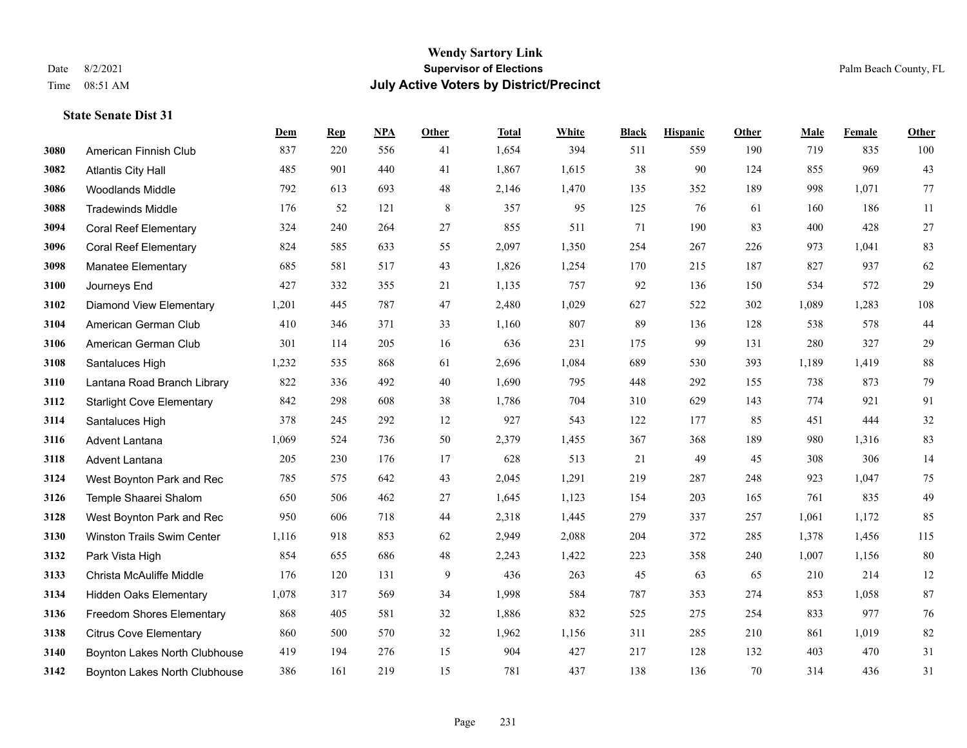#### **Wendy Sartory Link** Date 8/2/2021 **Supervisor of Elections** Palm Beach County, FL Time 08:51 AM **July Active Voters by District/Precinct**

## **Dem Rep NPA Other Total White Black Hispanic Other Male Female Other** American Finnish Club 837 220 556 41 1,654 394 511 559 190 719 835 100 Atlantis City Hall 485 901 440 41 1,867 1,615 38 90 124 855 969 43 Woodlands Middle 792 613 693 48 2,146 1,470 135 352 189 998 1,071 77 Tradewinds Middle 176 52 121 8 357 95 125 76 61 160 186 11 Coral Reef Elementary 324 240 264 27 855 511 71 190 83 400 428 27 Coral Reef Elementary 824 585 633 55 2,097 1,350 254 267 226 973 1,041 83 Manatee Elementary 685 581 517 43 1,826 1,254 170 215 187 827 937 62 Journeys End 427 332 355 21 1,135 757 92 136 150 534 572 29 Diamond View Elementary 1,201 445 787 47 2,480 1,029 627 522 302 1,089 1,283 108 American German Club 410 346 371 33 1,160 807 89 136 128 538 578 44 American German Club 301 114 205 16 636 231 175 99 131 280 327 29 Santaluces High 1,232 535 868 61 2,696 1,084 689 530 393 1,189 1,419 88 Lantana Road Branch Library 822 336 492 40 1,690 795 448 292 155 738 873 79 Starlight Cove Elementary 842 298 608 38 1,786 704 310 629 143 774 921 91 Santaluces High 378 245 292 12 927 543 122 177 85 451 444 32 Advent Lantana 1,069 524 736 50 2,379 1,455 367 368 189 980 1,316 83 Advent Lantana 205 230 176 17 628 513 21 49 45 308 306 14 West Boynton Park and Rec 785 575 642 43 2,045 1,291 219 287 248 923 1,047 75 Temple Shaarei Shalom 650 506 462 27 1,645 1,123 154 203 165 761 835 49 West Boynton Park and Rec 950 606 718 44 2,318 1,445 279 337 257 1,061 1,172 85 Winston Trails Swim Center 1,116 918 853 62 2,949 2,088 204 372 285 1,378 1,456 115 Park Vista High 854 655 686 48 2,243 1,422 223 358 240 1,007 1,156 80 Christa McAuliffe Middle 176 120 131 9 436 263 45 63 65 210 214 12 Hidden Oaks Elementary 1,078 317 569 34 1,998 584 787 353 274 853 1,058 87 Freedom Shores Elementary 868 405 581 32 1,886 832 525 275 254 833 977 76 Citrus Cove Elementary 860 500 570 32 1,962 1,156 311 285 210 861 1,019 82 Boynton Lakes North Clubhouse 419 194 276 15 904 427 217 128 132 403 470 31

Boynton Lakes North Clubhouse 386 161 219 15 781 437 138 136 70 314 436 31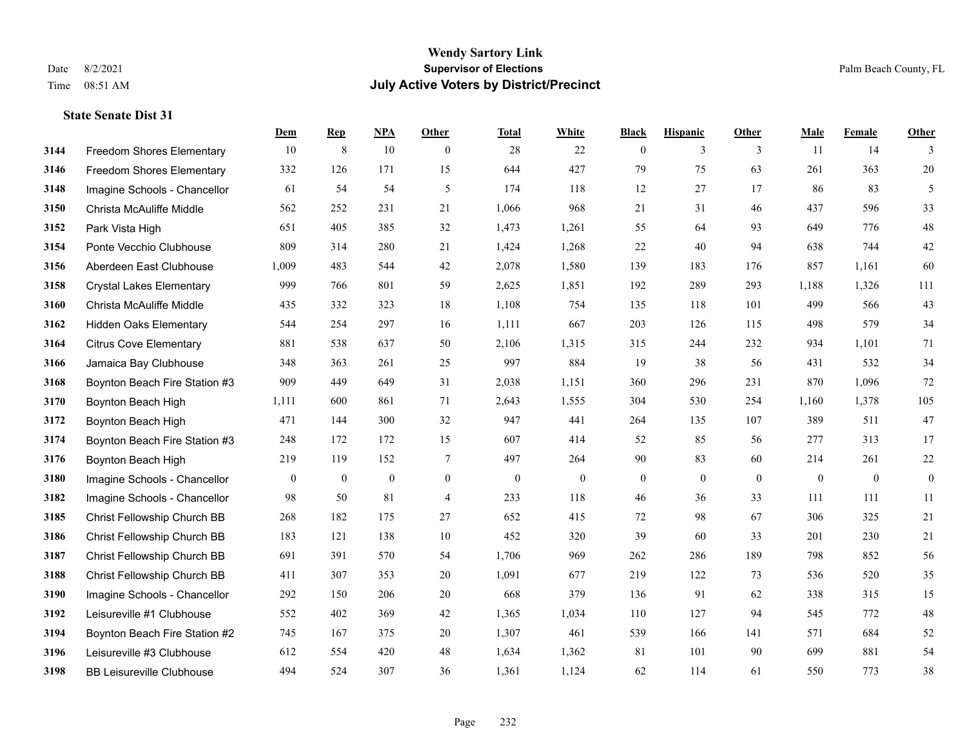#### **Wendy Sartory Link** Date 8/2/2021 **Supervisor of Elections** Palm Beach County, FL Time 08:51 AM **July Active Voters by District/Precinct**

**Dem Rep NPA Other Total White Black Hispanic Other Male Female Other**

## Freedom Shores Elementary 10 8 10 0 28 22 0 3 3 11 14 3 Freedom Shores Elementary 332 126 171 15 644 427 79 75 63 261 363 20 Imagine Schools - Chancellor 61 54 54 5 61 54 5 174 118 12 27 17 86 83 5 Christa McAuliffe Middle 562 252 231 21 1,066 968 21 31 46 437 596 33 Park Vista High 651 405 385 32 1,473 1,261 55 64 93 649 776 48 Ponte Vecchio Clubhouse 809 314 280 21 1,424 1,268 22 40 94 638 744 42 Aberdeen East Clubhouse 1,009 483 544 42 2,078 1,580 139 183 176 857 1,161 60 Crystal Lakes Elementary 999 766 801 59 2,625 1,851 192 289 293 1,188 1,326 111 Christa McAuliffe Middle 435 332 323 18 1,108 754 135 118 101 499 566 43 Hidden Oaks Elementary 544 254 297 16 1,111 667 203 126 115 498 579 34 Citrus Cove Elementary 881 538 637 50 2,106 1,315 315 244 232 934 1,101 71 Jamaica Bay Clubhouse 348 363 261 25 997 884 19 38 56 431 532 34 Boynton Beach Fire Station #3 909 449 649 31 2,038 1,151 360 296 231 870 1,096 72 Boynton Beach High 1,111 600 861 71 2,643 1,555 304 530 254 1,160 1,378 105 Boynton Beach High 471 144 300 32 947 441 264 135 107 389 511 47 Boynton Beach Fire Station #3 248 172 172 15 607 414 52 85 56 277 313 17 Boynton Beach High 219 119 152 7 497 264 90 83 60 214 261 22 Imagine Schools - Chancellor 0 0 0 0 0 0 0 0 0 0 0 0 Imagine Schools - Chancellor 98 50 81 4 233 118 46 36 33 111 111 11 Christ Fellowship Church BB 268 182 175 27 652 415 72 98 67 306 325 21 Christ Fellowship Church BB 183 121 138 10 452 320 39 60 33 201 230 21 Christ Fellowship Church BB 691 391 570 54 1,706 969 262 286 189 798 852 56 Christ Fellowship Church BB 411 307 353 20 1,091 677 219 122 73 536 520 35 Imagine Schools - Chancellor 292 150 206 20 668 379 136 91 62 338 315 15 Leisureville #1 Clubhouse 552 402 369 42 1,365 1,034 110 127 94 545 772 48 Boynton Beach Fire Station #2 745 167 375 20 1,307 461 539 166 141 571 684 52

 Leisureville #3 Clubhouse 612 554 420 48 1,634 1,362 81 101 90 699 881 54 BB Leisureville Clubhouse 494 524 307 36 1,361 1,124 62 114 61 550 773 38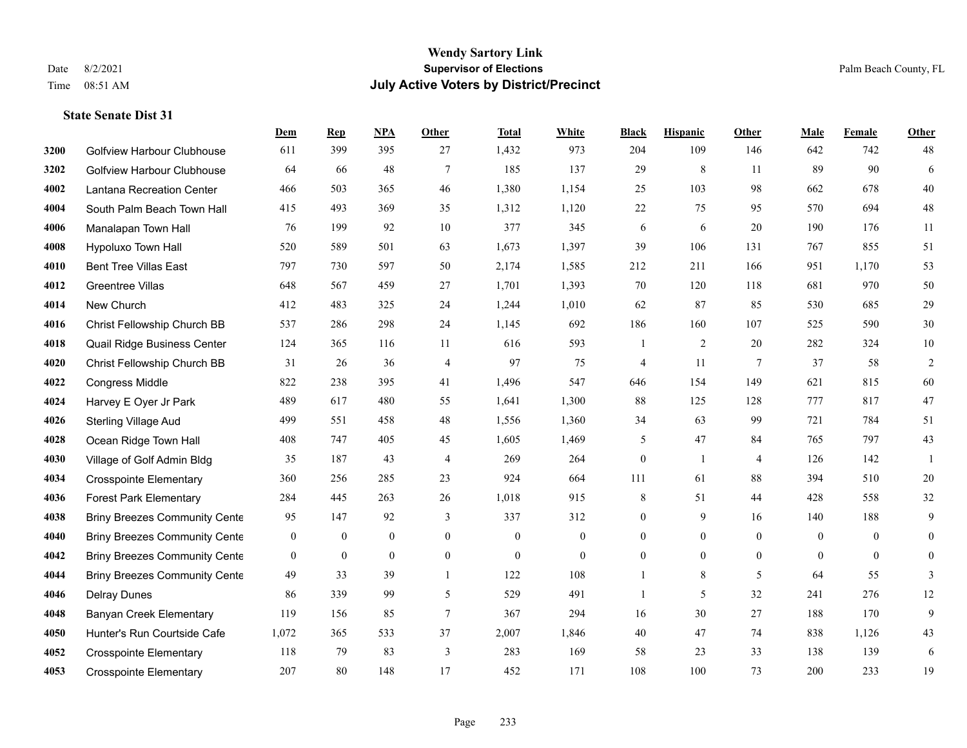|      |                                      | Dem          | <b>Rep</b>   | NPA          | <b>Other</b>    | <b>Total</b> | <b>White</b>   | <b>Black</b>     | <b>Hispanic</b> | Other           | <b>Male</b> | <b>Female</b>  | <b>Other</b>   |
|------|--------------------------------------|--------------|--------------|--------------|-----------------|--------------|----------------|------------------|-----------------|-----------------|-------------|----------------|----------------|
| 3200 | Golfview Harbour Clubhouse           | 611          | 399          | 395          | 27              | 1,432        | 973            | 204              | 109             | 146             | 642         | 742            | 48             |
| 3202 | <b>Golfview Harbour Clubhouse</b>    | 64           | 66           | 48           | $7\phantom{.0}$ | 185          | 137            | 29               | 8               | 11              | 89          | 90             | 6              |
| 4002 | Lantana Recreation Center            | 466          | 503          | 365          | 46              | 1,380        | 1,154          | 25               | 103             | 98              | 662         | 678            | 40             |
| 4004 | South Palm Beach Town Hall           | 415          | 493          | 369          | 35              | 1,312        | 1,120          | $22\,$           | 75              | 95              | 570         | 694            | $48\,$         |
| 4006 | Manalapan Town Hall                  | 76           | 199          | 92           | 10              | 377          | 345            | 6                | 6               | 20              | 190         | 176            | 11             |
| 4008 | Hypoluxo Town Hall                   | 520          | 589          | 501          | 63              | 1,673        | 1,397          | 39               | 106             | 131             | 767         | 855            | 51             |
| 4010 | <b>Bent Tree Villas East</b>         | 797          | 730          | 597          | 50              | 2,174        | 1,585          | 212              | 211             | 166             | 951         | 1,170          | 53             |
| 4012 | <b>Greentree Villas</b>              | 648          | 567          | 459          | 27              | 1,701        | 1,393          | 70               | 120             | 118             | 681         | 970            | 50             |
| 4014 | New Church                           | 412          | 483          | 325          | 24              | 1,244        | 1,010          | 62               | 87              | 85              | 530         | 685            | $29\,$         |
| 4016 | Christ Fellowship Church BB          | 537          | 286          | 298          | 24              | 1,145        | 692            | 186              | 160             | 107             | 525         | 590            | $30\,$         |
| 4018 | Quail Ridge Business Center          | 124          | 365          | 116          | 11              | 616          | 593            | 1                | $\overline{2}$  | 20              | 282         | 324            | $10\,$         |
| 4020 | Christ Fellowship Church BB          | 31           | 26           | 36           | $\overline{4}$  | 97           | 75             | 4                | 11              | $7\phantom{.0}$ | 37          | 58             | $\overline{2}$ |
| 4022 | Congress Middle                      | 822          | 238          | 395          | 41              | 1,496        | 547            | 646              | 154             | 149             | 621         | 815            | 60             |
| 4024 | Harvey E Oyer Jr Park                | 489          | 617          | 480          | 55              | 1,641        | 1,300          | 88               | 125             | 128             | 777         | 817            | $47\,$         |
| 4026 | Sterling Village Aud                 | 499          | 551          | 458          | 48              | 1,556        | 1,360          | 34               | 63              | 99              | 721         | 784            | 51             |
| 4028 | Ocean Ridge Town Hall                | 408          | 747          | 405          | 45              | 1,605        | 1,469          | 5                | 47              | 84              | 765         | 797            | 43             |
| 4030 | Village of Golf Admin Bldg           | 35           | 187          | 43           | $\overline{4}$  | 269          | 264            | $\boldsymbol{0}$ | 1               | $\overline{4}$  | 126         | 142            | 1              |
| 4034 | <b>Crosspointe Elementary</b>        | 360          | 256          | 285          | 23              | 924          | 664            | 111              | 61              | 88              | 394         | 510            | $20\,$         |
| 4036 | <b>Forest Park Elementary</b>        | 284          | 445          | 263          | 26              | 1,018        | 915            | 8                | 51              | 44              | 428         | 558            | 32             |
| 4038 | <b>Briny Breezes Community Cente</b> | 95           | 147          | 92           | 3               | 337          | 312            | $\boldsymbol{0}$ | 9               | 16              | 140         | 188            | 9              |
| 4040 | <b>Briny Breezes Community Cente</b> | $\mathbf{0}$ | $\mathbf{0}$ | $\mathbf{0}$ | $\mathbf{0}$    | $\mathbf{0}$ | $\overline{0}$ | $\overline{0}$   | $\overline{0}$  | $\theta$        | $\theta$    | $\theta$       | $\mathbf{0}$   |
| 4042 | <b>Briny Breezes Community Cente</b> | $\mathbf{0}$ | $\mathbf{0}$ | $\mathbf{0}$ | $\mathbf{0}$    | $\mathbf{0}$ | $\overline{0}$ | $\overline{0}$   | $\overline{0}$  | $\mathbf{0}$    | $\theta$    | $\overline{0}$ | $\overline{0}$ |
| 4044 | <b>Briny Breezes Community Cente</b> | 49           | 33           | 39           | $\overline{1}$  | 122          | 108            |                  | 8               | 5               | 64          | 55             | 3              |
| 4046 | <b>Delray Dunes</b>                  | 86           | 339          | 99           | 5               | 529          | 491            | 1                | 5               | 32              | 241         | 276            | 12             |
| 4048 | <b>Banyan Creek Elementary</b>       | 119          | 156          | 85           | $7\phantom{.0}$ | 367          | 294            | 16               | 30              | 27              | 188         | 170            | 9              |
| 4050 | Hunter's Run Courtside Cafe          | 1,072        | 365          | 533          | 37              | 2,007        | 1,846          | $40\,$           | 47              | 74              | 838         | 1,126          | 43             |
| 4052 | <b>Crosspointe Elementary</b>        | 118          | 79           | 83           | $\overline{3}$  | 283          | 169            | 58               | 23              | 33              | 138         | 139            | 6              |
| 4053 | <b>Crosspointe Elementary</b>        | 207          | 80           | 148          | 17              | 452          | 171            | 108              | 100             | 73              | 200         | 233            | 19             |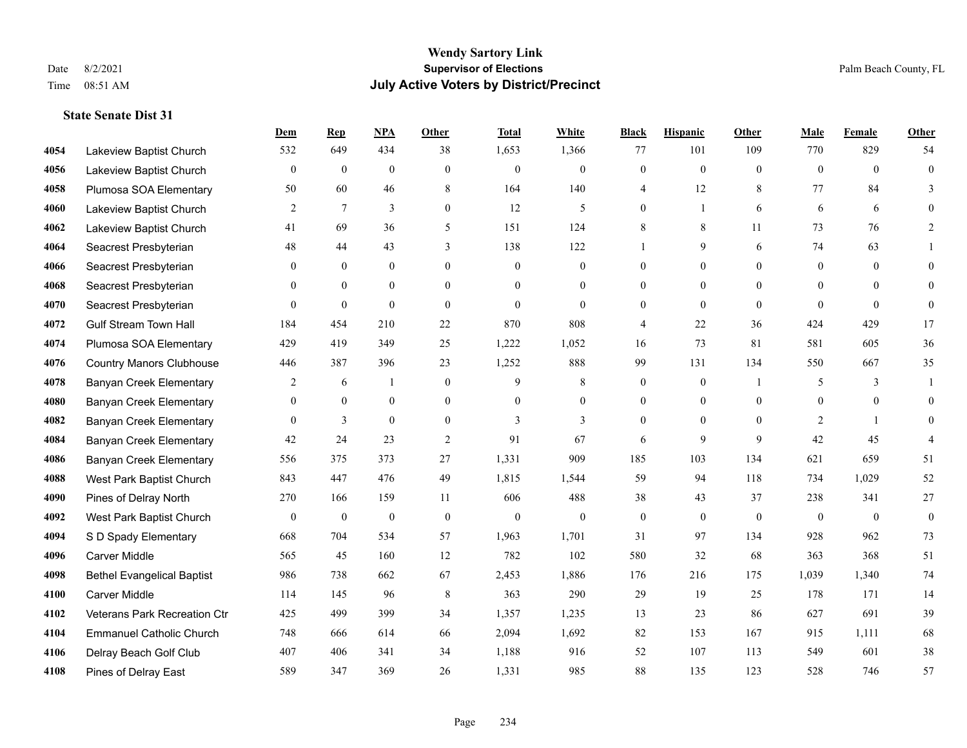#### **Wendy Sartory Link** Date 8/2/2021 **Supervisor of Elections** Palm Beach County, FL Time 08:51 AM **July Active Voters by District/Precinct**

## **Dem Rep NPA Other Total White Black Hispanic Other Male Female Other** Lakeview Baptist Church 532 649 434 38 1,653 1,366 77 101 109 770 829 54 Lakeview Baptist Church 0 0 0 0 0 0 0 0 0 0 0 0 Plumosa SOA Elementary 50 60 46 8 164 140 4 12 8 77 84 3 Lakeview Baptist Church 2 7 3 0 12 5 0 1 6 6 6 0 Lakeview Baptist Church 41 69 36 5 151 124 8 8 11 73 76 2 Seacrest Presbyterian **48** 44 43 3 138 122 1 9 6 74 63 1 Seacrest Presbyterian 0 0 0 0 0 0 0 0 0 0 0 0 Seacrest Presbyterian 0 0 0 0 0 0 0 0 0 0 0 0 Seacrest Presbyterian 0 0 0 0 0 0 0 0 0 0 0 0 Gulf Stream Town Hall 184 454 210 22 870 808 4 22 36 424 429 17 Plumosa SOA Elementary 429 419 349 25 1,222 1,052 16 73 81 581 605 36 Country Manors Clubhouse 446 387 396 23 1,252 888 99 131 134 550 667 35 **4078 Banyan Creek Elementary 2 6 1 0 9 8 0 0 1 5 3 1**  Banyan Creek Elementary 0 0 0 0 0 0 0 0 0 0 0 0 **4082 Banyan Creek Elementary 0 3 0 0 3 3 3 0 0 0 2 1 0**  Banyan Creek Elementary 42 24 23 2 91 67 6 9 9 42 45 4 Banyan Creek Elementary 556 375 373 27 1,331 909 185 103 134 621 659 51 West Park Baptist Church 843 447 476 49 1,815 1,544 59 94 118 734 1,029 52 Pines of Delray North 270 166 159 11 606 488 38 43 37 238 341 27 West Park Baptist Church 0 0 0 0 0 0 0 0 0 0 0 0 S D Spady Elementary 668 704 534 57 1,963 1,701 31 97 134 928 962 73 Carver Middle 565 45 160 12 782 102 580 32 68 363 368 51 Bethel Evangelical Baptist 986 738 662 67 2,453 1,886 176 216 175 1,039 1,340 74 Carver Middle 114 145 96 8 363 290 29 19 25 178 171 14 Veterans Park Recreation Ctr 425 499 399 34 1,357 1,235 13 23 86 627 691 39 Emmanuel Catholic Church 748 666 614 66 2,094 1,692 82 153 167 915 1,111 68 Delray Beach Golf Club 407 406 341 34 1,188 916 52 107 113 549 601 38 Pines of Delray East 589 347 369 26 1,331 985 88 135 123 528 746 57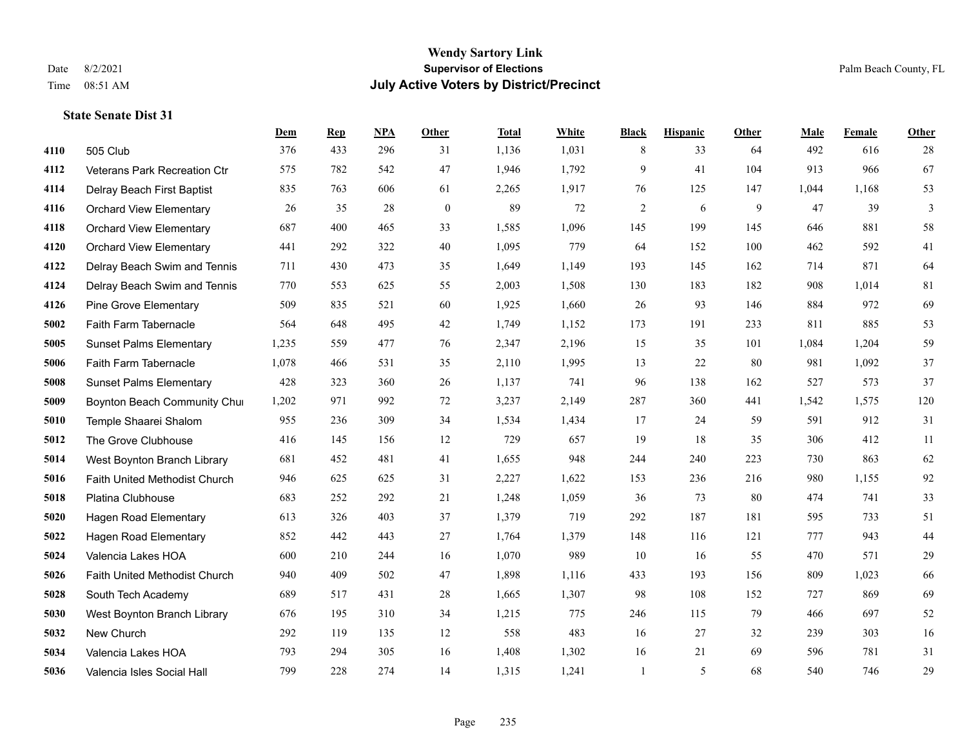|      |                                | Dem   | <b>Rep</b> | NPA | <b>Other</b> | <b>Total</b> | White | <b>Black</b>   | <b>Hispanic</b> | Other | <b>Male</b> | Female | <b>Other</b>   |
|------|--------------------------------|-------|------------|-----|--------------|--------------|-------|----------------|-----------------|-------|-------------|--------|----------------|
| 4110 | 505 Club                       | 376   | 433        | 296 | 31           | 1,136        | 1,031 | 8              | 33              | 64    | 492         | 616    | 28             |
| 4112 | Veterans Park Recreation Ctr   | 575   | 782        | 542 | 47           | 1,946        | 1,792 | 9              | 41              | 104   | 913         | 966    | 67             |
| 4114 | Delray Beach First Baptist     | 835   | 763        | 606 | 61           | 2,265        | 1,917 | 76             | 125             | 147   | 1,044       | 1.168  | 53             |
| 4116 | <b>Orchard View Elementary</b> | 26    | 35         | 28  | $\mathbf{0}$ | 89           | 72    | $\overline{2}$ | 6               | 9     | 47          | 39     | $\mathfrak{Z}$ |
| 4118 | <b>Orchard View Elementary</b> | 687   | 400        | 465 | 33           | 1,585        | 1,096 | 145            | 199             | 145   | 646         | 881    | 58             |
| 4120 | <b>Orchard View Elementary</b> | 441   | 292        | 322 | 40           | 1,095        | 779   | 64             | 152             | 100   | 462         | 592    | 41             |
| 4122 | Delray Beach Swim and Tennis   | 711   | 430        | 473 | 35           | 1,649        | 1,149 | 193            | 145             | 162   | 714         | 871    | 64             |
| 4124 | Delray Beach Swim and Tennis   | 770   | 553        | 625 | 55           | 2,003        | 1,508 | 130            | 183             | 182   | 908         | 1,014  | 81             |
| 4126 | Pine Grove Elementary          | 509   | 835        | 521 | 60           | 1,925        | 1,660 | 26             | 93              | 146   | 884         | 972    | 69             |
| 5002 | Faith Farm Tabernacle          | 564   | 648        | 495 | 42           | 1,749        | 1,152 | 173            | 191             | 233   | 811         | 885    | 53             |
| 5005 | <b>Sunset Palms Elementary</b> | 1,235 | 559        | 477 | 76           | 2,347        | 2,196 | 15             | 35              | 101   | 1,084       | 1,204  | 59             |
| 5006 | Faith Farm Tabernacle          | 1,078 | 466        | 531 | 35           | 2,110        | 1,995 | 13             | 22              | 80    | 981         | 1,092  | 37             |
| 5008 | <b>Sunset Palms Elementary</b> | 428   | 323        | 360 | 26           | 1,137        | 741   | 96             | 138             | 162   | 527         | 573    | 37             |
| 5009 | Boynton Beach Community Chur   | 1,202 | 971        | 992 | 72           | 3,237        | 2,149 | 287            | 360             | 441   | 1,542       | 1,575  | 120            |
| 5010 | Temple Shaarei Shalom          | 955   | 236        | 309 | 34           | 1,534        | 1,434 | 17             | 24              | 59    | 591         | 912    | 31             |
| 5012 | The Grove Clubhouse            | 416   | 145        | 156 | 12           | 729          | 657   | 19             | 18              | 35    | 306         | 412    | 11             |
| 5014 | West Boynton Branch Library    | 681   | 452        | 481 | 41           | 1,655        | 948   | 244            | 240             | 223   | 730         | 863    | 62             |
| 5016 | Faith United Methodist Church  | 946   | 625        | 625 | 31           | 2,227        | 1,622 | 153            | 236             | 216   | 980         | 1,155  | 92             |
| 5018 | Platina Clubhouse              | 683   | 252        | 292 | 21           | 1,248        | 1,059 | 36             | 73              | 80    | 474         | 741    | 33             |
| 5020 | Hagen Road Elementary          | 613   | 326        | 403 | 37           | 1,379        | 719   | 292            | 187             | 181   | 595         | 733    | 51             |
| 5022 | <b>Hagen Road Elementary</b>   | 852   | 442        | 443 | 27           | 1,764        | 1,379 | 148            | 116             | 121   | 777         | 943    | 44             |
| 5024 | Valencia Lakes HOA             | 600   | 210        | 244 | 16           | 1,070        | 989   | 10             | 16              | 55    | 470         | 571    | 29             |
| 5026 | Faith United Methodist Church  | 940   | 409        | 502 | 47           | 1,898        | 1,116 | 433            | 193             | 156   | 809         | 1,023  | 66             |
| 5028 | South Tech Academy             | 689   | 517        | 431 | 28           | 1,665        | 1,307 | 98             | 108             | 152   | 727         | 869    | 69             |
| 5030 | West Boynton Branch Library    | 676   | 195        | 310 | 34           | 1,215        | 775   | 246            | 115             | 79    | 466         | 697    | 52             |
| 5032 | New Church                     | 292   | 119        | 135 | 12           | 558          | 483   | 16             | 27              | 32    | 239         | 303    | 16             |
| 5034 | Valencia Lakes HOA             | 793   | 294        | 305 | 16           | 1,408        | 1,302 | 16             | 21              | 69    | 596         | 781    | 31             |
| 5036 | Valencia Isles Social Hall     | 799   | 228        | 274 | 14           | 1,315        | 1,241 |                | 5               | 68    | 540         | 746    | 29             |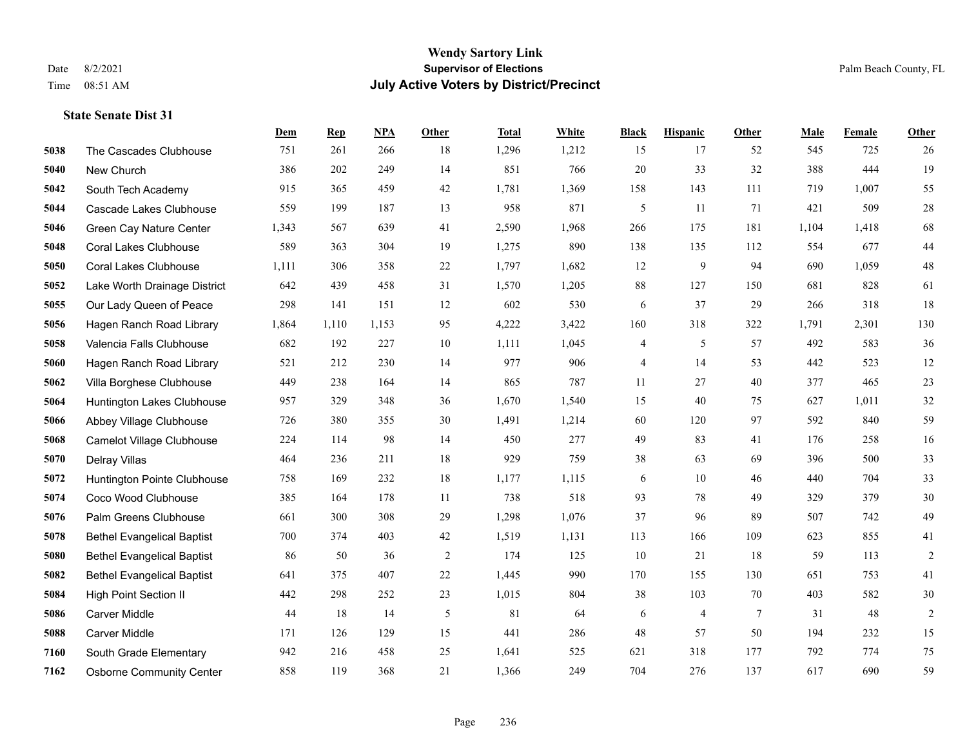|      |                                   | Dem   | <b>Rep</b> | NPA   | <b>Other</b> | <b>Total</b> | White | <b>Black</b> | <b>Hispanic</b> | <b>Other</b>    | <b>Male</b> | Female | <b>Other</b>   |
|------|-----------------------------------|-------|------------|-------|--------------|--------------|-------|--------------|-----------------|-----------------|-------------|--------|----------------|
| 5038 | The Cascades Clubhouse            | 751   | 261        | 266   | 18           | 1,296        | 1,212 | 15           | 17              | 52              | 545         | 725    | 26             |
| 5040 | New Church                        | 386   | 202        | 249   | 14           | 851          | 766   | 20           | 33              | 32              | 388         | 444    | 19             |
| 5042 | South Tech Academy                | 915   | 365        | 459   | 42           | 1,781        | 1,369 | 158          | 143             | 111             | 719         | 1,007  | 55             |
| 5044 | Cascade Lakes Clubhouse           | 559   | 199        | 187   | 13           | 958          | 871   | 5            | 11              | 71              | 421         | 509    | $28\,$         |
| 5046 | Green Cay Nature Center           | 1,343 | 567        | 639   | 41           | 2,590        | 1,968 | 266          | 175             | 181             | 1,104       | 1,418  | 68             |
| 5048 | <b>Coral Lakes Clubhouse</b>      | 589   | 363        | 304   | 19           | 1,275        | 890   | 138          | 135             | 112             | 554         | 677    | $44\,$         |
| 5050 | <b>Coral Lakes Clubhouse</b>      | 1,111 | 306        | 358   | 22           | 1,797        | 1,682 | 12           | 9               | 94              | 690         | 1.059  | $48\,$         |
| 5052 | Lake Worth Drainage District      | 642   | 439        | 458   | 31           | 1,570        | 1,205 | 88           | 127             | 150             | 681         | 828    | 61             |
| 5055 | Our Lady Queen of Peace           | 298   | 141        | 151   | 12           | 602          | 530   | 6            | 37              | 29              | 266         | 318    | 18             |
| 5056 | Hagen Ranch Road Library          | 1,864 | 1.110      | 1.153 | 95           | 4,222        | 3,422 | 160          | 318             | 322             | 1,791       | 2,301  | 130            |
| 5058 | Valencia Falls Clubhouse          | 682   | 192        | 227   | 10           | 1,111        | 1,045 | 4            | 5               | 57              | 492         | 583    | 36             |
| 5060 | Hagen Ranch Road Library          | 521   | 212        | 230   | 14           | 977          | 906   | 4            | 14              | 53              | 442         | 523    | 12             |
| 5062 | Villa Borghese Clubhouse          | 449   | 238        | 164   | 14           | 865          | 787   | 11           | 27              | 40              | 377         | 465    | $23\,$         |
| 5064 | Huntington Lakes Clubhouse        | 957   | 329        | 348   | 36           | 1,670        | 1,540 | 15           | 40              | 75              | 627         | 1,011  | $32\,$         |
| 5066 | Abbey Village Clubhouse           | 726   | 380        | 355   | 30           | 1,491        | 1,214 | 60           | 120             | 97              | 592         | 840    | 59             |
| 5068 | Camelot Village Clubhouse         | 224   | 114        | 98    | 14           | 450          | 277   | 49           | 83              | 41              | 176         | 258    | 16             |
| 5070 | Delray Villas                     | 464   | 236        | 211   | 18           | 929          | 759   | 38           | 63              | 69              | 396         | 500    | 33             |
| 5072 | Huntington Pointe Clubhouse       | 758   | 169        | 232   | 18           | 1,177        | 1,115 | 6            | 10              | 46              | 440         | 704    | 33             |
| 5074 | Coco Wood Clubhouse               | 385   | 164        | 178   | 11           | 738          | 518   | 93           | 78              | 49              | 329         | 379    | $30\,$         |
| 5076 | Palm Greens Clubhouse             | 661   | 300        | 308   | 29           | 1,298        | 1,076 | 37           | 96              | 89              | 507         | 742    | 49             |
| 5078 | <b>Bethel Evangelical Baptist</b> | 700   | 374        | 403   | 42           | 1,519        | 1,131 | 113          | 166             | 109             | 623         | 855    | 41             |
| 5080 | <b>Bethel Evangelical Baptist</b> | 86    | 50         | 36    | 2            | 174          | 125   | 10           | 21              | 18              | 59          | 113    | $\overline{2}$ |
| 5082 | <b>Bethel Evangelical Baptist</b> | 641   | 375        | 407   | 22           | 1,445        | 990   | 170          | 155             | 130             | 651         | 753    | 41             |
| 5084 | <b>High Point Section II</b>      | 442   | 298        | 252   | 23           | 1,015        | 804   | 38           | 103             | 70              | 403         | 582    | $30\,$         |
| 5086 | <b>Carver Middle</b>              | 44    | 18         | 14    | 5            | 81           | 64    | 6            | 4               | $7\phantom{.0}$ | 31          | 48     | $\sqrt{2}$     |
| 5088 | Carver Middle                     | 171   | 126        | 129   | 15           | 441          | 286   | 48           | 57              | 50              | 194         | 232    | 15             |
| 7160 | South Grade Elementary            | 942   | 216        | 458   | 25           | 1,641        | 525   | 621          | 318             | 177             | 792         | 774    | 75             |
| 7162 | <b>Osborne Community Center</b>   | 858   | 119        | 368   | 21           | 1,366        | 249   | 704          | 276             | 137             | 617         | 690    | 59             |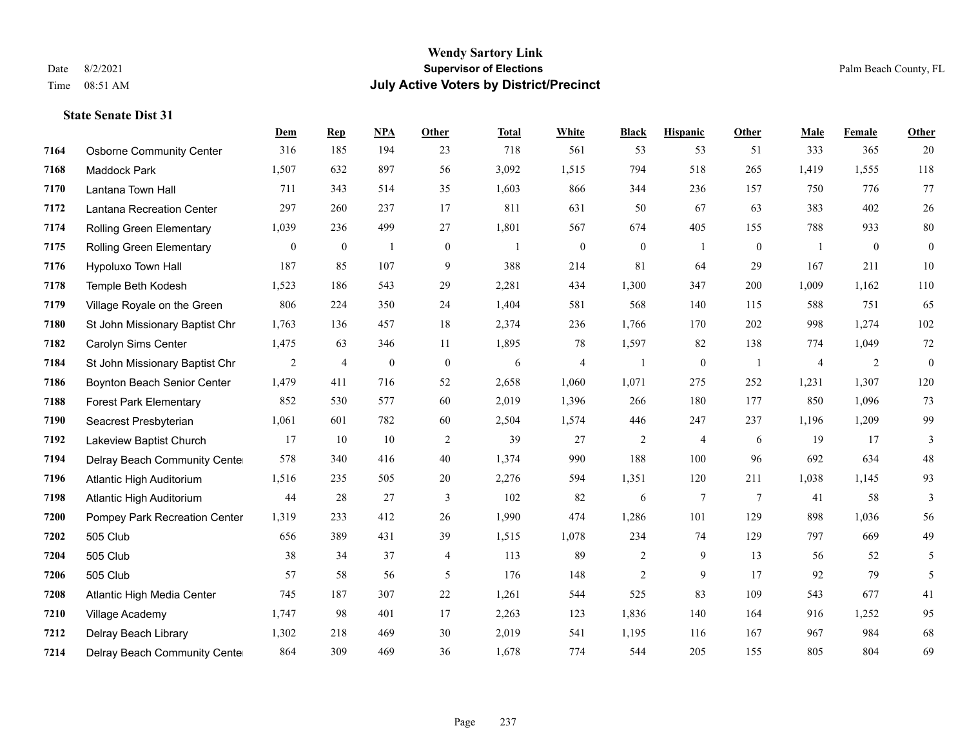#### **Wendy Sartory Link** Date 8/2/2021 **Supervisor of Elections** Palm Beach County, FL Time 08:51 AM **July Active Voters by District/Precinct**

## **Dem Rep NPA Other Total White Black Hispanic Other Male Female Other** Osborne Community Center 316 185 194 23 718 561 53 53 51 333 365 20 Maddock Park 1,507 632 897 56 3,092 1,515 794 518 265 1,419 1,555 118 Lantana Town Hall 711 343 514 35 1,603 866 344 236 157 750 776 77 Lantana Recreation Center 297 260 237 17 811 631 50 67 63 383 402 26 Rolling Green Elementary 1,039 236 499 27 1,801 567 674 405 155 788 933 80 Rolling Green Elementary 0 0 1 0 1 0 0 1 0 1 0 0 Hypoluxo Town Hall 187 85 107 9 388 214 81 64 29 167 211 10 Temple Beth Kodesh 1,523 186 543 29 2,281 434 1,300 347 200 1,009 1,162 110 Village Royale on the Green 806 224 350 24 1,404 581 568 140 115 588 751 65 St John Missionary Baptist Chr 1,763 136 457 18 2,374 236 1,766 170 202 998 1,274 102 Carolyn Sims Center 1,475 63 346 11 1,895 78 1,597 82 138 774 1,049 72 St John Missionary Baptist Chr 2 4 0 0 6 4 1 0 1 4 2 0 Boynton Beach Senior Center 1,479 411 716 52 2,658 1,060 1,071 275 252 1,231 1,307 120 Forest Park Elementary 852 530 577 60 2,019 1,396 266 180 177 850 1,096 73 Seacrest Presbyterian 1,061 601 782 60 2,504 1,574 446 247 237 1,196 1,209 99 Lakeview Baptist Church 17 10 10 2 39 27 2 4 6 19 17 3 Delray Beach Community Center 578 340 416 40 1,374 990 188 100 96 692 634 48 Atlantic High Auditorium 1,516 235 505 20 2,276 594 1,351 120 211 1,038 1,145 93 Atlantic High Auditorium 44 28 27 3 102 82 6 7 7 41 58 3 Pompey Park Recreation Center 1,319 233 412 26 1,990 474 1,286 101 129 898 1,036 56 505 Club 656 389 431 39 1,515 1,078 234 74 129 797 669 49 505 Club 38 34 37 4 113 89 2 9 13 56 52 5 505 Club 57 58 56 5 176 148 2 9 17 92 79 5 Atlantic High Media Center 745 187 307 22 1,261 544 525 83 109 543 677 41 Village Academy 1,747 98 401 17 2,263 123 1,836 140 164 916 1,252 95 Delray Beach Library 1,302 218 469 30 2,019 541 1,195 116 167 967 984 68

Delray Beach Community Center 864 309 469 36 1,678 774 544 205 155 805 804 69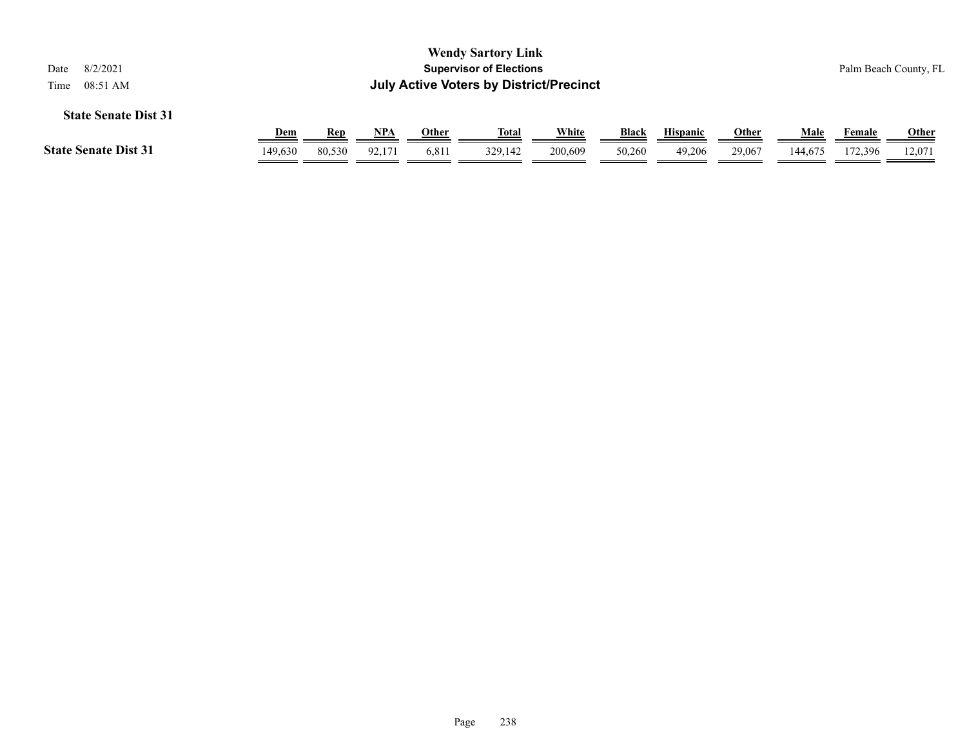|                                                                    |            |        |            |              | <b>Wendy Sartory Link</b>      |         |        |                 |              |         |               |                       |  |
|--------------------------------------------------------------------|------------|--------|------------|--------------|--------------------------------|---------|--------|-----------------|--------------|---------|---------------|-----------------------|--|
| 8/2/2021<br>Date                                                   |            |        |            |              | <b>Supervisor of Elections</b> |         |        |                 |              |         |               | Palm Beach County, FL |  |
| <b>July Active Voters by District/Precinct</b><br>08:51 AM<br>Time |            |        |            |              |                                |         |        |                 |              |         |               |                       |  |
| <b>State Senate Dist 31</b>                                        |            |        |            |              |                                |         |        |                 |              |         |               |                       |  |
|                                                                    | <b>Dem</b> | Rep    | <u>NPA</u> | <b>Other</b> | <u>Total</u>                   | White   | Black  | <b>Hispanic</b> | <b>Other</b> | Male    | <b>Female</b> | <u>Other</u>          |  |
| <b>State Senate Dist 31</b>                                        | 149,630    | 80,530 | 92.171     | 6,811        | 329,142                        | 200,609 | 50,260 | 49,206          | 29,067       | 144,675 | 172.396       | 12.071                |  |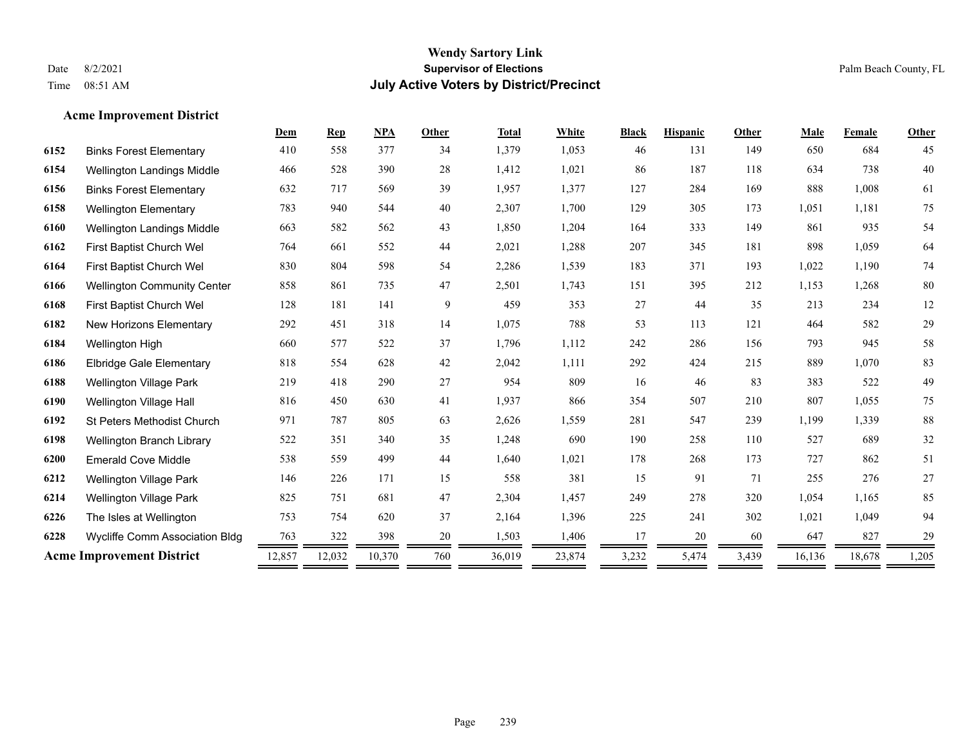#### **Acme Improvement District**

|      |                                    | Dem    | <b>Rep</b> | <b>NPA</b> | Other  | <b>Total</b> | White  | <b>Black</b> | <b>Hispanic</b> | Other | Male   | Female | Other  |
|------|------------------------------------|--------|------------|------------|--------|--------------|--------|--------------|-----------------|-------|--------|--------|--------|
| 6152 | <b>Binks Forest Elementary</b>     | 410    | 558        | 377        | 34     | 1,379        | 1,053  | 46           | 131             | 149   | 650    | 684    | 45     |
| 6154 | <b>Wellington Landings Middle</b>  | 466    | 528        | 390        | 28     | 1,412        | 1,021  | 86           | 187             | 118   | 634    | 738    | 40     |
| 6156 | <b>Binks Forest Elementary</b>     | 632    | 717        | 569        | 39     | 1,957        | 1,377  | 127          | 284             | 169   | 888    | 1,008  | 61     |
| 6158 | <b>Wellington Elementary</b>       | 783    | 940        | 544        | $40\,$ | 2,307        | 1,700  | 129          | 305             | 173   | 1,051  | 1,181  | 75     |
| 6160 | Wellington Landings Middle         | 663    | 582        | 562        | 43     | 1,850        | 1,204  | 164          | 333             | 149   | 861    | 935    | 54     |
| 6162 | First Baptist Church Wel           | 764    | 661        | 552        | 44     | 2,021        | 1,288  | 207          | 345             | 181   | 898    | 1,059  | 64     |
| 6164 | First Baptist Church Wel           | 830    | 804        | 598        | 54     | 2,286        | 1,539  | 183          | 371             | 193   | 1,022  | 1,190  | 74     |
| 6166 | <b>Wellington Community Center</b> | 858    | 861        | 735        | 47     | 2,501        | 1,743  | 151          | 395             | 212   | 1,153  | 1,268  | 80     |
| 6168 | First Baptist Church Wel           | 128    | 181        | 141        | 9      | 459          | 353    | $27\,$       | 44              | 35    | 213    | 234    | 12     |
| 6182 | New Horizons Elementary            | 292    | 451        | 318        | 14     | 1,075        | 788    | 53           | 113             | 121   | 464    | 582    | 29     |
| 6184 | Wellington High                    | 660    | 577        | 522        | 37     | 1,796        | 1,112  | 242          | 286             | 156   | 793    | 945    | 58     |
| 6186 | <b>Elbridge Gale Elementary</b>    | 818    | 554        | 628        | 42     | 2,042        | 1,111  | 292          | 424             | 215   | 889    | 1,070  | 83     |
| 6188 | <b>Wellington Village Park</b>     | 219    | 418        | 290        | 27     | 954          | 809    | 16           | 46              | 83    | 383    | 522    | 49     |
| 6190 | Wellington Village Hall            | 816    | 450        | 630        | 41     | 1,937        | 866    | 354          | 507             | 210   | 807    | 1,055  | 75     |
| 6192 | <b>St Peters Methodist Church</b>  | 971    | 787        | 805        | 63     | 2,626        | 1,559  | 281          | 547             | 239   | 1,199  | 1,339  | $88\,$ |
| 6198 | Wellington Branch Library          | 522    | 351        | 340        | 35     | 1,248        | 690    | 190          | 258             | 110   | 527    | 689    | 32     |
| 6200 | <b>Emerald Cove Middle</b>         | 538    | 559        | 499        | 44     | 1,640        | 1,021  | 178          | 268             | 173   | 727    | 862    | 51     |
| 6212 | <b>Wellington Village Park</b>     | 146    | 226        | 171        | 15     | 558          | 381    | 15           | 91              | 71    | 255    | 276    | $27\,$ |
| 6214 | <b>Wellington Village Park</b>     | 825    | 751        | 681        | 47     | 2,304        | 1,457  | 249          | 278             | 320   | 1,054  | 1,165  | 85     |
| 6226 | The Isles at Wellington            | 753    | 754        | 620        | 37     | 2,164        | 1,396  | 225          | 241             | 302   | 1,021  | 1,049  | 94     |
| 6228 | Wycliffe Comm Association Bldg     | 763    | 322        | 398        | 20     | 1,503        | 1,406  | 17           | 20              | 60    | 647    | 827    | 29     |
|      | <b>Acme Improvement District</b>   | 12,857 | 12,032     | 10,370     | 760    | 36,019       | 23,874 | 3,232        | 5,474           | 3,439 | 16,136 | 18,678 | 1,205  |
|      |                                    |        |            |            |        |              |        |              |                 |       |        |        |        |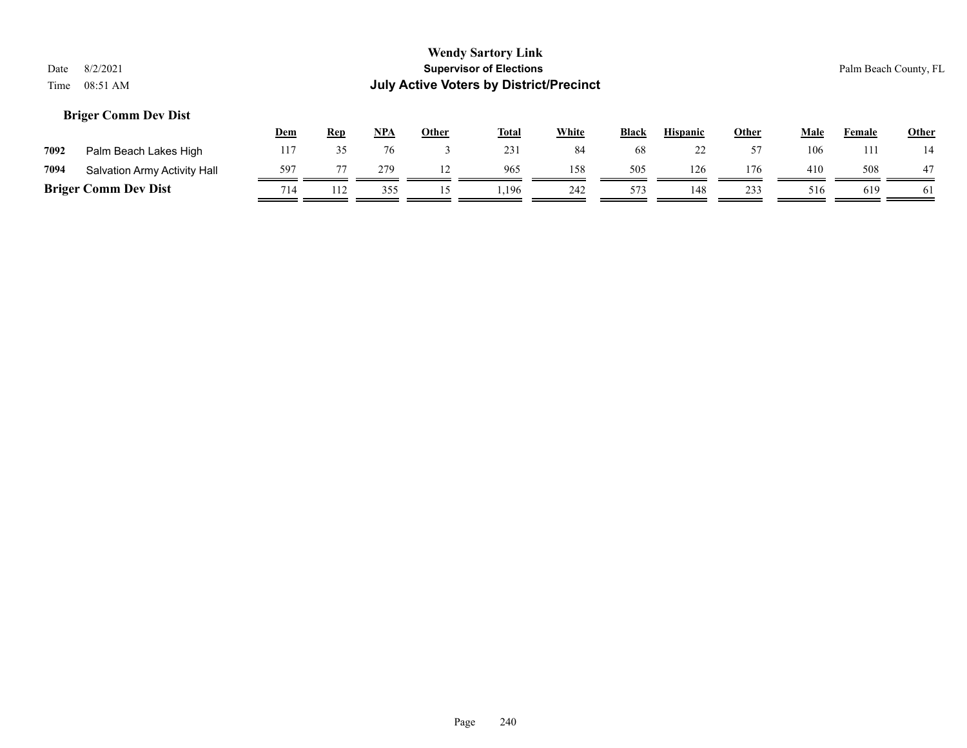#### **Briger Comm Dev Dist**

|      |                              | <b>Dem</b> | <b>Rep</b> | NPA | Other | <b>Total</b> | White | <b>Black</b> | <b>Hispanic</b> | Other | Male | Female | <b>Other</b> |
|------|------------------------------|------------|------------|-----|-------|--------------|-------|--------------|-----------------|-------|------|--------|--------------|
| 7092 | Palm Beach Lakes High        | 117        |            |     |       | 231          | 84    | 68           |                 |       | 106  | l 11   |              |
| 7094 | Salvation Army Activity Hall | 597        |            | 279 |       | 965          | 158   | 505          | 126             | 176   | 410  | 508    | 47           |
|      | <b>Briger Comm Dev Dist</b>  | 714        |            | 355 |       | .196         | 242   | 573          | 148             | 233   | 516  | 619    | 61           |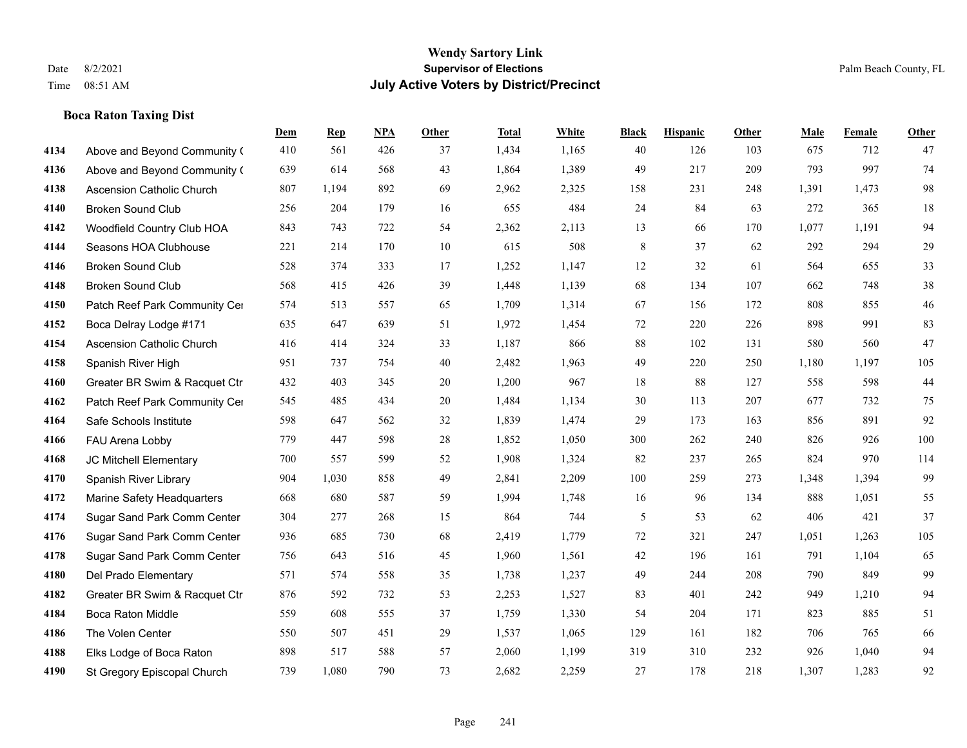#### **Boca Raton Taxing Dist**

|      |                                  | Dem | <b>Rep</b> | NPA | <b>Other</b> | <b>Total</b> | <b>White</b> | <b>Black</b> | <b>Hispanic</b> | <b>Other</b> | <b>Male</b> | Female | Other  |
|------|----------------------------------|-----|------------|-----|--------------|--------------|--------------|--------------|-----------------|--------------|-------------|--------|--------|
| 4134 | Above and Beyond Community (     | 410 | 561        | 426 | 37           | 1,434        | 1,165        | 40           | 126             | 103          | 675         | 712    | 47     |
| 4136 | Above and Beyond Community (     | 639 | 614        | 568 | 43           | 1,864        | 1,389        | 49           | 217             | 209          | 793         | 997    | 74     |
| 4138 | <b>Ascension Catholic Church</b> | 807 | 1,194      | 892 | 69           | 2,962        | 2,325        | 158          | 231             | 248          | 1,391       | 1,473  | 98     |
| 4140 | <b>Broken Sound Club</b>         | 256 | 204        | 179 | 16           | 655          | 484          | 24           | 84              | 63           | 272         | 365    | 18     |
| 4142 | Woodfield Country Club HOA       | 843 | 743        | 722 | 54           | 2,362        | 2,113        | 13           | 66              | 170          | 1,077       | 1,191  | 94     |
| 4144 | Seasons HOA Clubhouse            | 221 | 214        | 170 | 10           | 615          | 508          | 8            | 37              | 62           | 292         | 294    | 29     |
| 4146 | Broken Sound Club                | 528 | 374        | 333 | 17           | 1,252        | 1,147        | 12           | 32              | 61           | 564         | 655    | 33     |
| 4148 | <b>Broken Sound Club</b>         | 568 | 415        | 426 | 39           | 1,448        | 1,139        | 68           | 134             | 107          | 662         | 748    | 38     |
| 4150 | Patch Reef Park Community Cer    | 574 | 513        | 557 | 65           | 1,709        | 1,314        | 67           | 156             | 172          | 808         | 855    | $46\,$ |
| 4152 | Boca Delray Lodge #171           | 635 | 647        | 639 | 51           | 1,972        | 1,454        | 72           | 220             | 226          | 898         | 991    | 83     |
| 4154 | Ascension Catholic Church        | 416 | 414        | 324 | 33           | 1,187        | 866          | 88           | 102             | 131          | 580         | 560    | 47     |
| 4158 | Spanish River High               | 951 | 737        | 754 | 40           | 2,482        | 1,963        | 49           | 220             | 250          | 1,180       | 1,197  | 105    |
| 4160 | Greater BR Swim & Racquet Ctr    | 432 | 403        | 345 | 20           | 1,200        | 967          | 18           | 88              | 127          | 558         | 598    | 44     |
| 4162 | Patch Reef Park Community Cer    | 545 | 485        | 434 | $20\,$       | 1,484        | 1,134        | $30\,$       | 113             | 207          | 677         | 732    | $75\,$ |
| 4164 | Safe Schools Institute           | 598 | 647        | 562 | 32           | 1,839        | 1,474        | 29           | 173             | 163          | 856         | 891    | 92     |
| 4166 | FAU Arena Lobby                  | 779 | 447        | 598 | 28           | 1,852        | 1,050        | 300          | 262             | 240          | 826         | 926    | 100    |
| 4168 | JC Mitchell Elementary           | 700 | 557        | 599 | 52           | 1,908        | 1,324        | 82           | 237             | 265          | 824         | 970    | 114    |
| 4170 | Spanish River Library            | 904 | 1,030      | 858 | 49           | 2,841        | 2,209        | 100          | 259             | 273          | 1,348       | 1,394  | 99     |
| 4172 | Marine Safety Headquarters       | 668 | 680        | 587 | 59           | 1,994        | 1,748        | 16           | 96              | 134          | 888         | 1,051  | 55     |
| 4174 | Sugar Sand Park Comm Center      | 304 | 277        | 268 | 15           | 864          | 744          | 5            | 53              | 62           | 406         | 421    | 37     |
| 4176 | Sugar Sand Park Comm Center      | 936 | 685        | 730 | 68           | 2,419        | 1,779        | 72           | 321             | 247          | 1,051       | 1,263  | 105    |
| 4178 | Sugar Sand Park Comm Center      | 756 | 643        | 516 | 45           | 1,960        | 1,561        | 42           | 196             | 161          | 791         | 1,104  | 65     |
| 4180 | Del Prado Elementary             | 571 | 574        | 558 | 35           | 1,738        | 1,237        | 49           | 244             | 208          | 790         | 849    | 99     |
| 4182 | Greater BR Swim & Racquet Ctr    | 876 | 592        | 732 | 53           | 2,253        | 1,527        | 83           | 401             | 242          | 949         | 1,210  | 94     |
| 4184 | <b>Boca Raton Middle</b>         | 559 | 608        | 555 | 37           | 1,759        | 1,330        | 54           | 204             | 171          | 823         | 885    | 51     |
| 4186 | The Volen Center                 | 550 | 507        | 451 | 29           | 1,537        | 1,065        | 129          | 161             | 182          | 706         | 765    | 66     |
| 4188 | Elks Lodge of Boca Raton         | 898 | 517        | 588 | 57           | 2,060        | 1,199        | 319          | 310             | 232          | 926         | 1,040  | 94     |
| 4190 | St Gregory Episcopal Church      | 739 | 1,080      | 790 | 73           | 2,682        | 2,259        | 27           | 178             | 218          | 1,307       | 1,283  | 92     |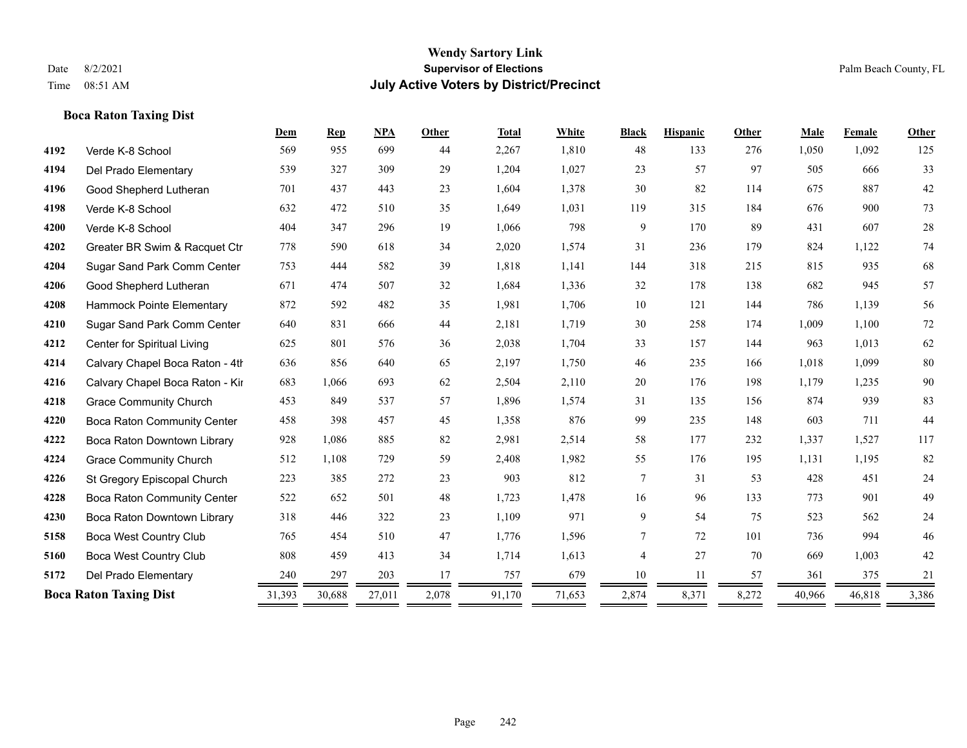**Boca Raton Taxing Dist**

#### **Wendy Sartory Link** Date 8/2/2021 **Supervisor of Elections** Palm Beach County, FL Time 08:51 AM **July Active Voters by District/Precinct**

## **Dem Rep NPA Other Total White Black Hispanic Other Male Female Other** Verde K-8 School 569 955 699 44 2,267 1,810 48 133 276 1,050 1,092 125 Del Prado Elementary 539 327 309 29 1,204 1,027 23 57 97 505 666 33 Good Shepherd Lutheran 701 437 443 23 1,604 1,378 30 82 114 675 887 42 Verde K-8 School 632 472 510 35 1,649 1,031 119 315 184 676 900 73 Verde K-8 School 404 347 296 19 1,066 798 9 170 89 431 607 28 Greater BR Swim & Racquet Ctr 778 590 618 34 2,020 1,574 31 236 179 824 1,122 74 Sugar Sand Park Comm Center 753 444 582 39 1,818 1,141 144 318 215 815 935 68 Good Shepherd Lutheran 671 474 507 32 1,684 1,336 32 178 138 682 945 57 Hammock Pointe Elementary 872 592 482 35 1,981 1,706 10 121 144 786 1,139 56 Sugar Sand Park Comm Center 640 831 666 44 2,181 1,719 30 258 174 1,009 1,100 72 Center for Spiritual Living 625 801 576 36 2,038 1,704 33 157 144 963 1,013 62 Calvary Chapel Boca Raton - 4th 636 856 640 65 2,197 1,750 46 235 166 1,018 1,099 80 Calvary Chapel Boca Raton - Kir 683 1,066 693 62 2,504 2,110 20 176 198 1,179 1,235 90 Grace Community Church 453 849 537 57 1,896 1,574 31 135 156 874 939 83 Boca Raton Community Center 458 398 457 45 1,358 876 99 235 148 603 711 44 Boca Raton Downtown Library 928 1,086 885 82 2,981 2,514 58 177 232 1,337 1,527 117 Grace Community Church 512 1,108 729 59 2,408 1,982 55 176 195 1,131 1,195 82 St Gregory Episcopal Church 223 385 272 23 903 812 7 31 53 428 451 24 Boca Raton Community Center 522 652 501 48 1,723 1,478 16 96 133 773 901 49 Boca Raton Downtown Library 318 446 322 23 1,109 971 9 54 75 523 562 24 Boca West Country Club 765 454 510 47 1,776 1,596 7 72 101 736 994 46 Boca West Country Club 808 459 413 34 1,714 1,613 4 27 70 669 1,003 42 Del Prado Elementary 240 297 203 17 757 679 10 11 57 361 375 21 **Boca Raton Taxing Dist** 31,393 30,688 27,011 2,078 91,170 71,653 2,874 8,371 8,272 40,966 46,818 3,386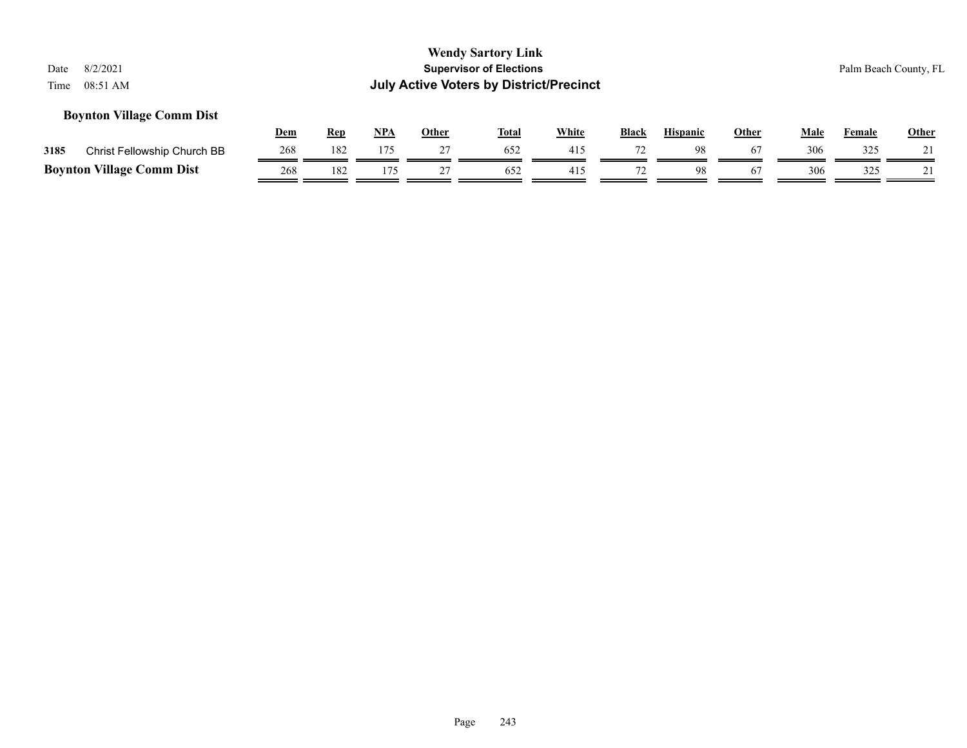#### **Boynton Village Comm Dist**

|      |                                  | <u>Dem</u> | Ren | NPA | Other | <b>Total</b> | White | <b>Black</b> | <b>Hispanic</b> | Other | Male | Female | <b>Other</b>       |
|------|----------------------------------|------------|-----|-----|-------|--------------|-------|--------------|-----------------|-------|------|--------|--------------------|
| 3185 | Christ Fellowship Church BB      | 268        | 182 |     |       | 652          | 41:   |              | 98              |       | 306  | 325    | $\mathbf{\hat{1}}$ |
|      | <b>Boynton Village Comm Dist</b> | 268        | 182 |     |       | 652          | 41.   |              |                 |       | 306  | 325    | $^{\sim}$ 1        |

Page 243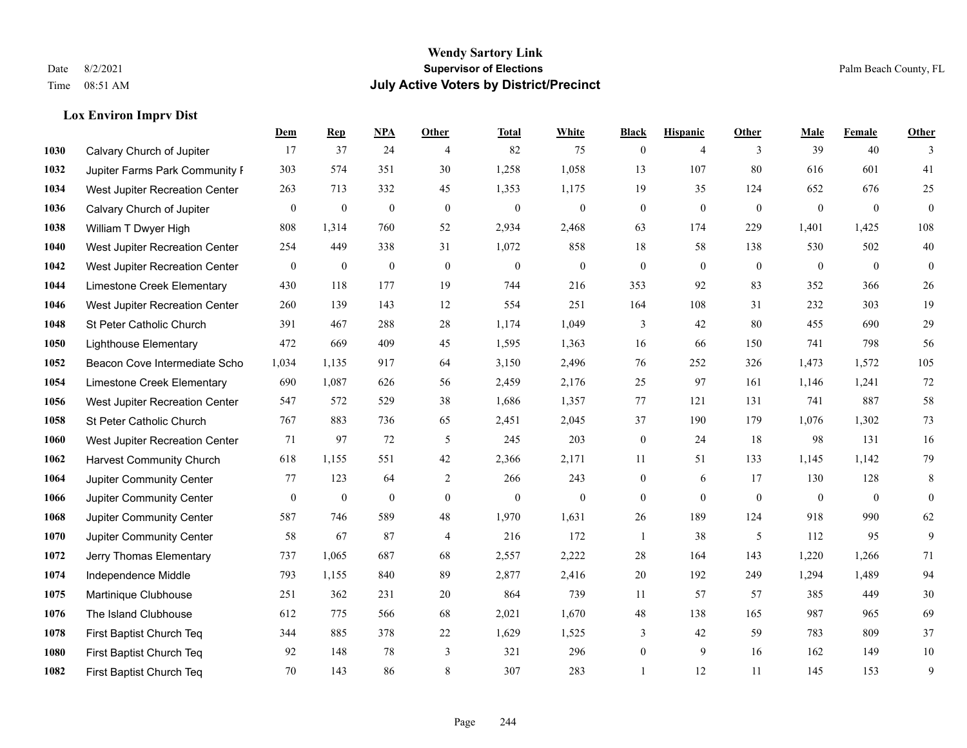#### **Lox Environ Imprv Dist**

|      |                                 | Dem          | <b>Rep</b>       | NPA          | <b>Other</b>   | <b>Total</b>     | <b>White</b>     | <b>Black</b>     | <b>Hispanic</b> | <b>Other</b>   | <b>Male</b>      | Female       | <b>Other</b>     |
|------|---------------------------------|--------------|------------------|--------------|----------------|------------------|------------------|------------------|-----------------|----------------|------------------|--------------|------------------|
| 1030 | Calvary Church of Jupiter       | 17           | 37               | 24           | $\overline{4}$ | 82               | 75               | $\boldsymbol{0}$ | $\overline{4}$  | 3              | 39               | 40           | 3                |
| 1032 | Jupiter Farms Park Community I  | 303          | 574              | 351          | 30             | 1,258            | 1,058            | 13               | 107             | 80             | 616              | 601          | 41               |
| 1034 | West Jupiter Recreation Center  | 263          | 713              | 332          | 45             | 1,353            | 1,175            | 19               | 35              | 124            | 652              | 676          | 25               |
| 1036 | Calvary Church of Jupiter       | $\mathbf{0}$ | $\boldsymbol{0}$ | $\mathbf{0}$ | $\mathbf{0}$   | $\boldsymbol{0}$ | $\boldsymbol{0}$ | $\boldsymbol{0}$ | $\mathbf{0}$    | $\overline{0}$ | $\boldsymbol{0}$ | $\mathbf{0}$ | $\boldsymbol{0}$ |
| 1038 | William T Dwyer High            | 808          | 1,314            | 760          | 52             | 2,934            | 2,468            | 63               | 174             | 229            | 1,401            | 1,425        | 108              |
| 1040 | West Jupiter Recreation Center  | 254          | 449              | 338          | 31             | 1,072            | 858              | 18               | 58              | 138            | 530              | 502          | $40\,$           |
| 1042 | West Jupiter Recreation Center  | $\mathbf{0}$ | $\boldsymbol{0}$ | $\theta$     | $\mathbf{0}$   | $\theta$         | $\overline{0}$   | $\boldsymbol{0}$ | $\mathbf{0}$    | $\overline{0}$ | $\mathbf{0}$     | $\mathbf{0}$ | $\mathbf{0}$     |
| 1044 | Limestone Creek Elementary      | 430          | 118              | 177          | 19             | 744              | 216              | 353              | 92              | 83             | 352              | 366          | 26               |
| 1046 | West Jupiter Recreation Center  | 260          | 139              | 143          | 12             | 554              | 251              | 164              | 108             | 31             | 232              | 303          | 19               |
| 1048 | St Peter Catholic Church        | 391          | 467              | 288          | 28             | 1,174            | 1,049            | 3                | 42              | 80             | 455              | 690          | 29               |
| 1050 | <b>Lighthouse Elementary</b>    | 472          | 669              | 409          | 45             | 1,595            | 1,363            | 16               | 66              | 150            | 741              | 798          | 56               |
| 1052 | Beacon Cove Intermediate Scho   | 1,034        | 1,135            | 917          | 64             | 3,150            | 2,496            | 76               | 252             | 326            | 1,473            | 1,572        | 105              |
| 1054 | Limestone Creek Elementary      | 690          | 1,087            | 626          | 56             | 2,459            | 2,176            | 25               | 97              | 161            | 1,146            | 1,241        | 72               |
| 1056 | West Jupiter Recreation Center  | 547          | 572              | 529          | 38             | 1,686            | 1,357            | 77               | 121             | 131            | 741              | 887          | 58               |
| 1058 | St Peter Catholic Church        | 767          | 883              | 736          | 65             | 2,451            | 2,045            | 37               | 190             | 179            | 1,076            | 1,302        | 73               |
| 1060 | West Jupiter Recreation Center  | 71           | 97               | 72           | 5              | 245              | 203              | $\boldsymbol{0}$ | 24              | 18             | 98               | 131          | 16               |
| 1062 | <b>Harvest Community Church</b> | 618          | 1,155            | 551          | 42             | 2,366            | 2,171            | 11               | 51              | 133            | 1,145            | 1,142        | 79               |
| 1064 | Jupiter Community Center        | 77           | 123              | 64           | $\overline{2}$ | 266              | 243              | $\boldsymbol{0}$ | 6               | 17             | 130              | 128          | 8                |
| 1066 | Jupiter Community Center        | $\mathbf{0}$ | $\boldsymbol{0}$ | $\mathbf{0}$ | $\overline{0}$ | $\boldsymbol{0}$ | $\boldsymbol{0}$ | $\boldsymbol{0}$ | $\mathbf{0}$    | $\overline{0}$ | $\mathbf{0}$     | $\mathbf{0}$ | $\overline{0}$   |
| 1068 | Jupiter Community Center        | 587          | 746              | 589          | 48             | 1,970            | 1,631            | 26               | 189             | 124            | 918              | 990          | 62               |
| 1070 | Jupiter Community Center        | 58           | 67               | 87           | $\overline{4}$ | 216              | 172              | 1                | 38              | 5              | 112              | 95           | 9                |
| 1072 | Jerry Thomas Elementary         | 737          | 1,065            | 687          | 68             | 2,557            | 2,222            | 28               | 164             | 143            | 1,220            | 1,266        | 71               |
| 1074 | Independence Middle             | 793          | 1,155            | 840          | 89             | 2,877            | 2,416            | 20               | 192             | 249            | 1,294            | 1,489        | 94               |
| 1075 | Martinique Clubhouse            | 251          | 362              | 231          | 20             | 864              | 739              | 11               | 57              | 57             | 385              | 449          | 30               |
| 1076 | The Island Clubhouse            | 612          | 775              | 566          | 68             | 2,021            | 1,670            | 48               | 138             | 165            | 987              | 965          | 69               |
| 1078 | First Baptist Church Teq        | 344          | 885              | 378          | 22             | 1,629            | 1,525            | 3                | 42              | 59             | 783              | 809          | 37               |
| 1080 | First Baptist Church Teq        | 92           | 148              | 78           | 3              | 321              | 296              | $\boldsymbol{0}$ | 9               | 16             | 162              | 149          | $10\,$           |
| 1082 | First Baptist Church Teq        | 70           | 143              | 86           | 8              | 307              | 283              | $\mathbf{1}$     | 12              | 11             | 145              | 153          | 9                |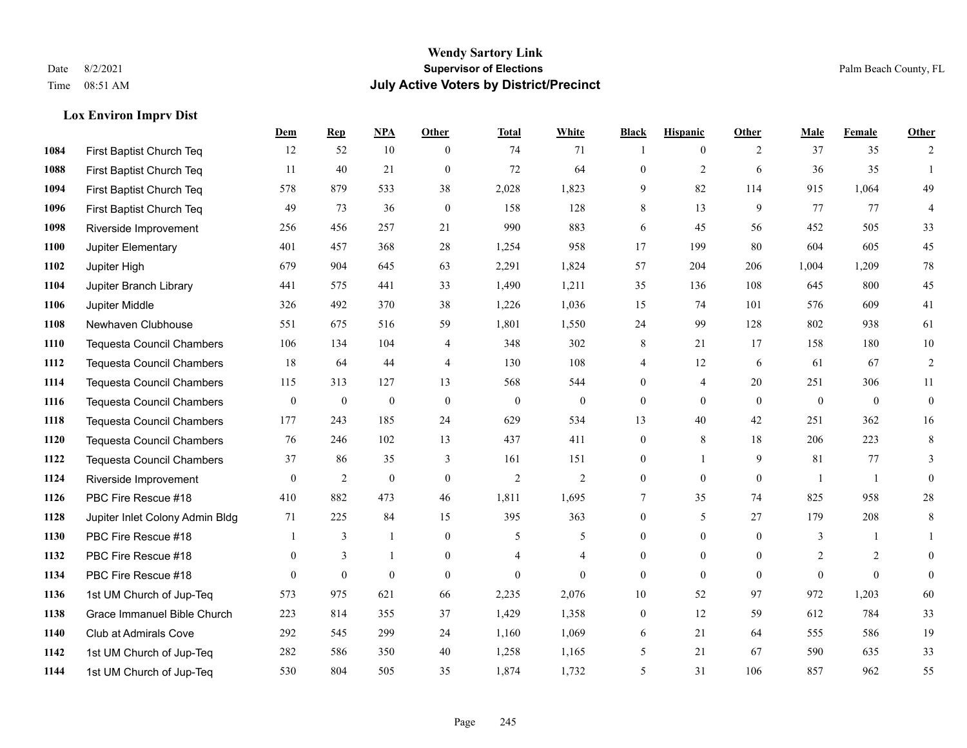## **Lox Environ Imprv Dist**

|             |                                  | Dem              | <b>Rep</b>       | NPA              | <b>Other</b>   | <b>Total</b>     | <b>White</b>     | <b>Black</b>     | <b>Hispanic</b> | <b>Other</b>   | <b>Male</b>      | <b>Female</b>  | Other            |
|-------------|----------------------------------|------------------|------------------|------------------|----------------|------------------|------------------|------------------|-----------------|----------------|------------------|----------------|------------------|
| 1084        | First Baptist Church Teq         | 12               | 52               | 10               | $\theta$       | 74               | 71               |                  | $\overline{0}$  | 2              | 37               | 35             | 2                |
| 1088        | First Baptist Church Teq         | 11               | 40               | 21               | $\overline{0}$ | 72               | 64               | $\mathbf{0}$     | $\overline{c}$  | 6              | 36               | 35             | $\mathbf{1}$     |
| 1094        | First Baptist Church Teq         | 578              | 879              | 533              | 38             | 2,028            | 1,823            | 9                | 82              | 114            | 915              | 1,064          | 49               |
| 1096        | First Baptist Church Teq         | 49               | 73               | 36               | $\mathbf{0}$   | 158              | 128              | 8                | 13              | 9              | 77               | 77             | 4                |
| 1098        | Riverside Improvement            | 256              | 456              | 257              | 21             | 990              | 883              | 6                | 45              | 56             | 452              | 505            | 33               |
| 1100        | Jupiter Elementary               | 401              | 457              | 368              | 28             | 1,254            | 958              | 17               | 199             | 80             | 604              | 605            | 45               |
| 1102        | Jupiter High                     | 679              | 904              | 645              | 63             | 2,291            | 1,824            | 57               | 204             | 206            | 1,004            | 1,209          | 78               |
| 1104        | Jupiter Branch Library           | 441              | 575              | 441              | 33             | 1,490            | 1,211            | 35               | 136             | 108            | 645              | 800            | 45               |
| 1106        | Jupiter Middle                   | 326              | 492              | 370              | 38             | 1,226            | 1,036            | 15               | 74              | 101            | 576              | 609            | 41               |
| 1108        | Newhaven Clubhouse               | 551              | 675              | 516              | 59             | 1,801            | 1,550            | 24               | 99              | 128            | 802              | 938            | 61               |
| <b>1110</b> | <b>Tequesta Council Chambers</b> | 106              | 134              | 104              | 4              | 348              | 302              | 8                | 21              | 17             | 158              | 180            | 10               |
| 1112        | <b>Tequesta Council Chambers</b> | 18               | 64               | 44               | $\overline{4}$ | 130              | 108              | 4                | 12              | 6              | 61               | 67             | $\sqrt{2}$       |
| 1114        | <b>Tequesta Council Chambers</b> | 115              | 313              | 127              | 13             | 568              | 544              | $\overline{0}$   | $\overline{4}$  | 20             | 251              | 306            | 11               |
| 1116        | <b>Tequesta Council Chambers</b> | $\boldsymbol{0}$ | $\boldsymbol{0}$ | $\boldsymbol{0}$ | $\mathbf{0}$   | $\boldsymbol{0}$ | $\boldsymbol{0}$ | $\boldsymbol{0}$ | $\overline{0}$  | $\mathbf{0}$   | $\boldsymbol{0}$ | $\mathbf{0}$   | $\boldsymbol{0}$ |
| 1118        | <b>Tequesta Council Chambers</b> | 177              | 243              | 185              | 24             | 629              | 534              | 13               | 40              | 42             | 251              | 362            | 16               |
| 1120        | <b>Tequesta Council Chambers</b> | 76               | 246              | 102              | 13             | 437              | 411              | $\boldsymbol{0}$ | 8               | 18             | 206              | 223            | $\,8\,$          |
| 1122        | Tequesta Council Chambers        | 37               | 86               | 35               | 3              | 161              | 151              | $\boldsymbol{0}$ | $\mathbf{1}$    | 9              | 81               | 77             | 3                |
| 1124        | Riverside Improvement            | $\overline{0}$   | 2                | $\mathbf{0}$     | $\overline{0}$ | $\overline{2}$   | $\overline{2}$   | $\boldsymbol{0}$ | $\overline{0}$  | $\overline{0}$ |                  | $\overline{1}$ | $\mathbf{0}$     |
| 1126        | PBC Fire Rescue #18              | 410              | 882              | 473              | 46             | 1,811            | 1,695            | 7                | 35              | 74             | 825              | 958            | $28\,$           |
| 1128        | Jupiter Inlet Colony Admin Bldg  | 71               | 225              | 84               | 15             | 395              | 363              | $\overline{0}$   | 5               | 27             | 179              | 208            | $\,8\,$          |
| 1130        | PBC Fire Rescue #18              |                  | 3                | $\mathbf{1}$     | $\Omega$       | 5                | 5                | $\mathbf{0}$     | $\Omega$        | $\Omega$       | 3                | $\mathbf{1}$   |                  |
| 1132        | PBC Fire Rescue #18              | $\overline{0}$   | 3                | 1                | $\overline{0}$ |                  | 4                | $\boldsymbol{0}$ | $\mathbf{0}$    | $\overline{0}$ | 2                | $\overline{c}$ | $\overline{0}$   |
| 1134        | PBC Fire Rescue #18              | $\mathbf{0}$     | $\mathbf{0}$     | $\mathbf{0}$     | $\Omega$       | $\theta$         | $\Omega$         | $\overline{0}$   | $\overline{0}$  | $\theta$       | $\theta$         | $\theta$       | $\boldsymbol{0}$ |
| 1136        | 1st UM Church of Jup-Teq         | 573              | 975              | 621              | 66             | 2,235            | 2,076            | 10               | 52              | 97             | 972              | 1,203          | 60               |
| 1138        | Grace Immanuel Bible Church      | 223              | 814              | 355              | 37             | 1,429            | 1,358            | $\boldsymbol{0}$ | 12              | 59             | 612              | 784            | 33               |
| 1140        | Club at Admirals Cove            | 292              | 545              | 299              | 24             | 1,160            | 1,069            | 6                | 21              | 64             | 555              | 586            | 19               |
| 1142        | 1st UM Church of Jup-Teq         | 282              | 586              | 350              | 40             | 1,258            | 1,165            | 5                | 21              | 67             | 590              | 635            | 33               |
| 1144        | 1st UM Church of Jup-Teq         | 530              | 804              | 505              | 35             | 1,874            | 1,732            | 5                | 31              | 106            | 857              | 962            | 55               |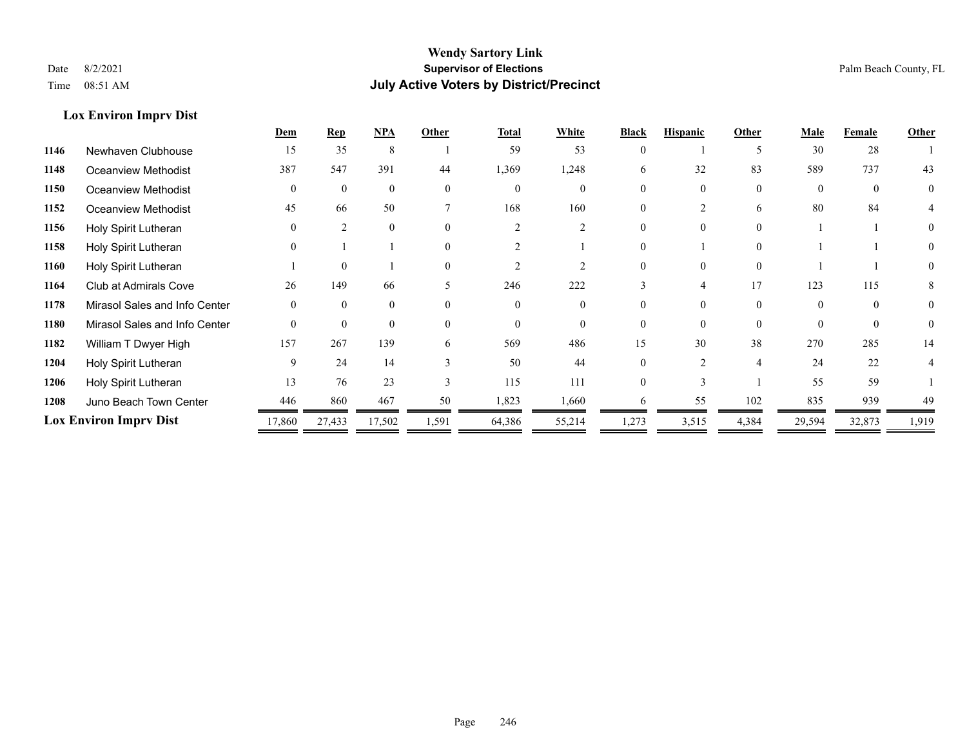**Lox Environ Imprv Dist**

#### **Wendy Sartory Link** Date 8/2/2021 **Supervisor of Elections** Palm Beach County, FL Time 08:51 AM **July Active Voters by District/Precinct**

|      |                               | Dem          | <u>Rep</u>   | <b>NPA</b> | Other    | Total    | White          | <b>Black</b> | <b>Hispanic</b> | Other    | <b>Male</b> | Female | Other          |
|------|-------------------------------|--------------|--------------|------------|----------|----------|----------------|--------------|-----------------|----------|-------------|--------|----------------|
| 1146 | Newhaven Clubhouse            | 15           | 35           | 8          |          | 59       | 53             | $\theta$     |                 | 5        | 30          | 28     |                |
| 1148 | <b>Oceanview Methodist</b>    | 387          | 547          | 391        | 44       | 1,369    | 1,248          | 6            | 32              | 83       | 589         | 737    | 43             |
| 1150 | Oceanview Methodist           | $\mathbf{0}$ | $\mathbf{0}$ | $\Omega$   | $\Omega$ | $\theta$ | $\theta$       |              | $\theta$        | $\Omega$ | $\Omega$    |        | $\overline{0}$ |
| 1152 | Oceanview Methodist           | 45           | 66           | 50         |          | 168      | 160            | $\Omega$     |                 | 6        | 80          | 84     |                |
| 1156 | Holy Spirit Lutheran          | $\Omega$     | 2            | $\Omega$   | $\Omega$ | ↑        | $\mathfrak{D}$ | 0            | $\Omega$        | $\Omega$ |             |        |                |
| 1158 | Holy Spirit Lutheran          | $\theta$     |              |            | $\Omega$ |          |                |              |                 | $\Omega$ |             |        |                |
| 1160 | Holy Spirit Lutheran          |              | $\Omega$     |            | $\Omega$ |          |                | $\Omega$     | $\Omega$        | $\Omega$ |             |        | $\Omega$       |
| 1164 | Club at Admirals Cove         | 26           | 149          | 66         |          | 246      | 222            |              |                 | 17       | 123         | 115    |                |
| 1178 | Mirasol Sales and Info Center | $\theta$     | $\theta$     | $\Omega$   | $\Omega$ | $\Omega$ | $\theta$       |              | $\Omega$        | $\theta$ | $\Omega$    | 0      | $\theta$       |
| 1180 | Mirasol Sales and Info Center | $\Omega$     | $\Omega$     | $\Omega$   | $\Omega$ | $\Omega$ | $\Omega$       | $\Omega$     | $\Omega$        | $\Omega$ |             |        | $\Omega$       |
| 1182 | William T Dwyer High          | 157          | 267          | 139        | 6        | 569      | 486            | 15           | 30              | 38       | 270         | 285    | 14             |
| 1204 | Holy Spirit Lutheran          | 9            | 24           | 14         | 3        | 50       | 44             | $\Omega$     | ↑               | 4        | 24          | 22     |                |
| 1206 | Holy Spirit Lutheran          | 13           | 76           | 23         | 3        | 115      | 111            | $\Omega$     |                 |          | 55          | 59     |                |
| 1208 | Juno Beach Town Center        | 446          | 860          | 467        | 50       | 1,823    | 1,660          |              | 55              | 102      | 835         | 939    | 49             |
|      | <b>Lox Environ Imprv Dist</b> | 17,860       | 27,433       | 17,502     | 1,591    | 64,386   | 55,214         | 1,273        | 3,515           | 4,384    | 29,594      | 32,873 | 1,919          |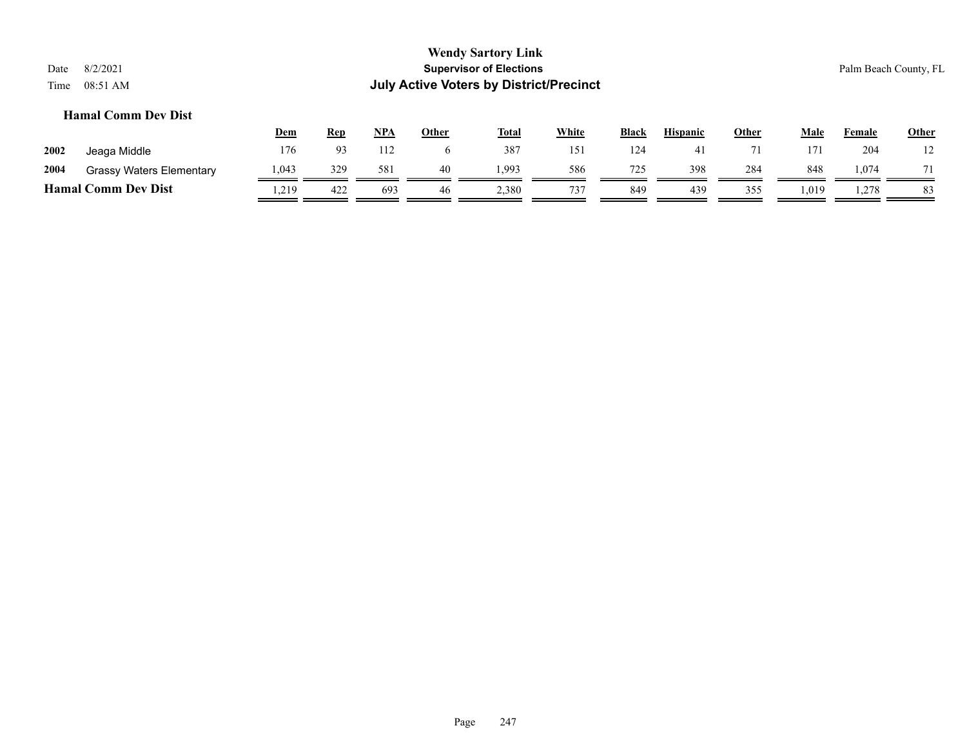#### **Hamal Comm Dev Dist**

|      |                                 | <b>Dem</b> | Rep            | NPA | Other | <b>Total</b> | <u>White</u> | <b>Black</b> | <b>Hispanic</b> | <u>Other</u> | Male | Female | <b>Other</b> |
|------|---------------------------------|------------|----------------|-----|-------|--------------|--------------|--------------|-----------------|--------------|------|--------|--------------|
| 2002 | Jeaga Middle                    | 176        | 0 <sup>2</sup> | 112 |       | 387          | 151          | 124          |                 |              | 171  | 204    | 12           |
| 2004 | <b>Grassy Waters Elementary</b> | 1,043      | 329            | 581 | 40    | .993         | 586          | 725          | 398             | 284          | 848  | 1,074  |              |
|      | <b>Hamal Comm Dev Dist</b>      | .219       | 422            | 693 | 46    | 2,380        | 737          | 849          | 439             | 355          | .019 | 1,278  | 83           |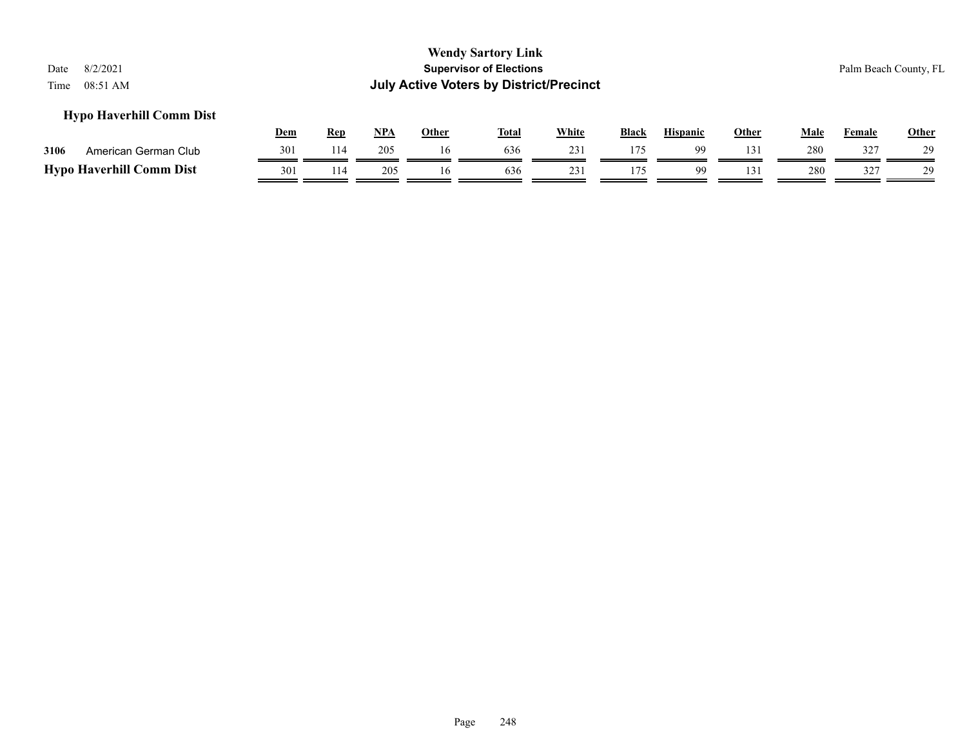#### **Hypo Haverhill Comm Dist**

|                                 | Dem | Rep | NPA | Other | <b>Total</b> | White | <b>Black</b> | <b>Hispanic</b> | Other | Male | Female | <b>Other</b> |
|---------------------------------|-----|-----|-----|-------|--------------|-------|--------------|-----------------|-------|------|--------|--------------|
| 3106<br>American German Club    | 301 | 114 | 205 |       | 636          |       | 175          | Q۵              |       | 280  | 327    | 29           |
| <b>Hypo Haverhill Comm Dist</b> | 301 | 114 | 205 |       | 636          |       |              | QQ              |       | 280  | 377    | 29           |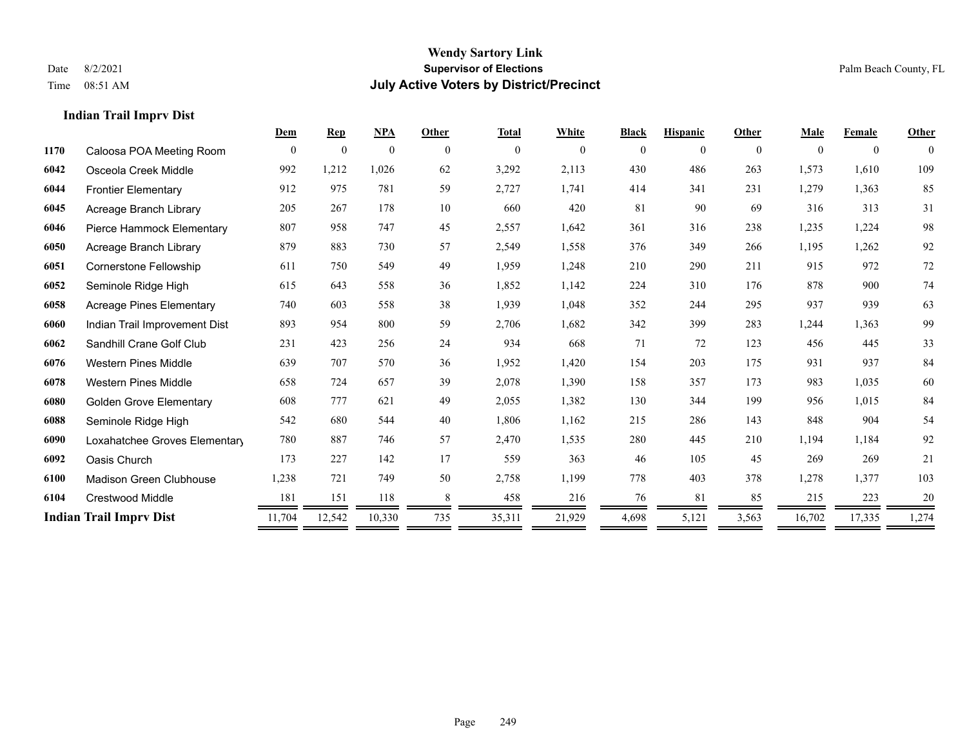#### **Indian Trail Imprv Dist**

|      |                                 | Dem            | <b>Rep</b>       | <b>NPA</b>   | Other    | <b>Total</b> | White    | <b>Black</b> | <b>Hispanic</b> | Other    | Male     | Female       | Other    |
|------|---------------------------------|----------------|------------------|--------------|----------|--------------|----------|--------------|-----------------|----------|----------|--------------|----------|
| 1170 | Caloosa POA Meeting Room        | $\overline{0}$ | $\boldsymbol{0}$ | $\mathbf{0}$ | $\theta$ | $\mathbf{0}$ | $\theta$ | $\mathbf{0}$ | $\theta$        | $\theta$ | $\theta$ | $\mathbf{0}$ | $\theta$ |
| 6042 | Osceola Creek Middle            | 992            | 1,212            | 1,026        | 62       | 3,292        | 2,113    | 430          | 486             | 263      | 1,573    | 1,610        | 109      |
| 6044 | <b>Frontier Elementary</b>      | 912            | 975              | 781          | 59       | 2,727        | 1,741    | 414          | 341             | 231      | 1,279    | 1,363        | 85       |
| 6045 | Acreage Branch Library          | 205            | 267              | 178          | 10       | 660          | 420      | 81           | 90              | 69       | 316      | 313          | 31       |
| 6046 | Pierce Hammock Elementary       | 807            | 958              | 747          | 45       | 2,557        | 1,642    | 361          | 316             | 238      | 1,235    | 1,224        | 98       |
| 6050 | Acreage Branch Library          | 879            | 883              | 730          | 57       | 2,549        | 1,558    | 376          | 349             | 266      | 1,195    | 1,262        | 92       |
| 6051 | Cornerstone Fellowship          | 611            | 750              | 549          | 49       | 1,959        | 1,248    | 210          | 290             | 211      | 915      | 972          | 72       |
| 6052 | Seminole Ridge High             | 615            | 643              | 558          | 36       | 1,852        | 1,142    | 224          | 310             | 176      | 878      | 900          | 74       |
| 6058 | <b>Acreage Pines Elementary</b> | 740            | 603              | 558          | 38       | 1,939        | 1,048    | 352          | 244             | 295      | 937      | 939          | 63       |
| 6060 | Indian Trail Improvement Dist   | 893            | 954              | 800          | 59       | 2,706        | 1,682    | 342          | 399             | 283      | 1,244    | 1,363        | 99       |
| 6062 | Sandhill Crane Golf Club        | 231            | 423              | 256          | 24       | 934          | 668      | 71           | 72              | 123      | 456      | 445          | 33       |
| 6076 | <b>Western Pines Middle</b>     | 639            | 707              | 570          | 36       | 1,952        | 1,420    | 154          | 203             | 175      | 931      | 937          | 84       |
| 6078 | <b>Western Pines Middle</b>     | 658            | 724              | 657          | 39       | 2,078        | 1,390    | 158          | 357             | 173      | 983      | 1,035        | 60       |
| 6080 | <b>Golden Grove Elementary</b>  | 608            | 777              | 621          | 49       | 2,055        | 1,382    | 130          | 344             | 199      | 956      | 1.015        | 84       |
| 6088 | Seminole Ridge High             | 542            | 680              | 544          | 40       | 1,806        | 1,162    | 215          | 286             | 143      | 848      | 904          | 54       |
| 6090 | Loxahatchee Groves Elementary   | 780            | 887              | 746          | 57       | 2,470        | 1,535    | 280          | 445             | 210      | 1,194    | 1,184        | 92       |
| 6092 | Oasis Church                    | 173            | 227              | 142          | 17       | 559          | 363      | 46           | 105             | 45       | 269      | 269          | 21       |
| 6100 | Madison Green Clubhouse         | 1,238          | 721              | 749          | 50       | 2,758        | 1,199    | 778          | 403             | 378      | 1,278    | 1,377        | 103      |
| 6104 | <b>Crestwood Middle</b>         | 181            | 151              | 118          |          | 458          | 216      | 76           | 81              | 85       | 215      | 223          | 20       |
|      | <b>Indian Trail Imprv Dist</b>  | 11,704         | 12,542           | 10,330       | 735      | 35,311       | 21,929   | 4,698        | 5,121           | 3,563    | 16,702   | 17,335       | 1,274    |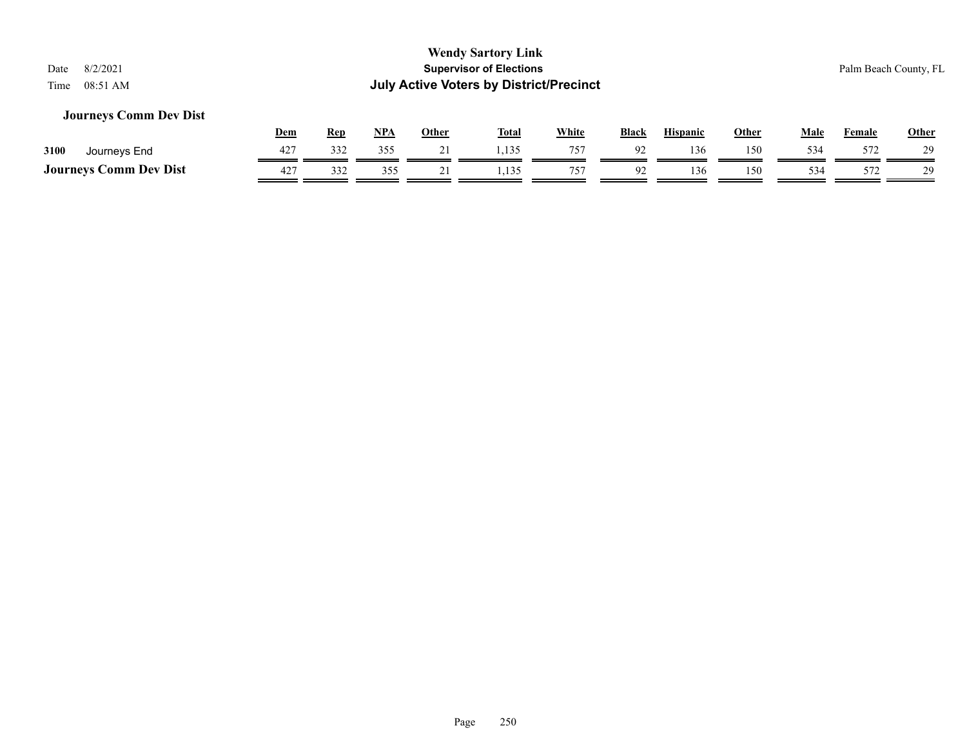#### **Journeys Comm Dev Dist**

|                               | <u>Dem</u> | Rep | NPA | Other | <b>Total</b>    | <b>White</b> | <b>Black</b>   | <b>Hispanic</b> | Other | Male | Female | <b>Other</b> |
|-------------------------------|------------|-----|-----|-------|-----------------|--------------|----------------|-----------------|-------|------|--------|--------------|
| 3100<br>Journeys End          | 427        | 332 | 355 |       |                 | 757          |                | 136             | 150   | 534  | 572    | 29           |
| <b>Journeys Comm Dev Dist</b> | 427        | 332 |     |       | 135<br>ن ريد و. | 75'          | Q <sub>2</sub> | 136             | 150   | 534  | 572    | 29           |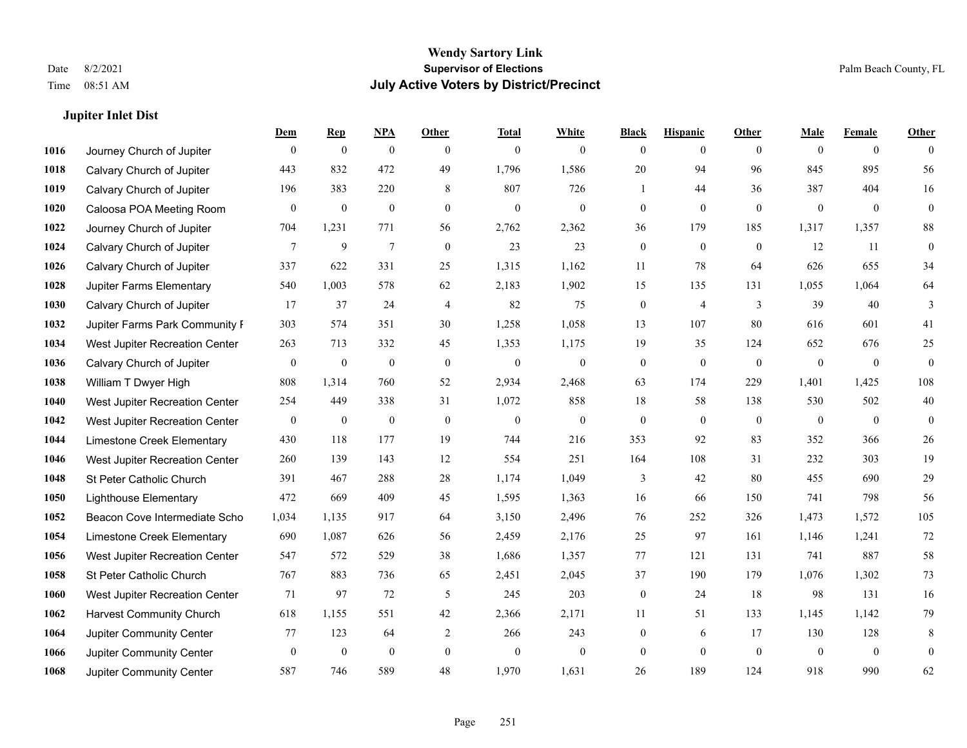#### **Jupiter Inlet Dist**

|      |                                 | <b>Dem</b>       | <b>Rep</b>       | NPA              | <b>Other</b>   | <b>Total</b>     | <b>White</b>   | <b>Black</b>     | <b>Hispanic</b> | Other          | <b>Male</b>    | <b>Female</b>  | <b>Other</b>   |
|------|---------------------------------|------------------|------------------|------------------|----------------|------------------|----------------|------------------|-----------------|----------------|----------------|----------------|----------------|
| 1016 | Journey Church of Jupiter       | $\mathbf{0}$     | $\mathbf{0}$     | $\mathbf{0}$     | $\theta$       | $\overline{0}$   | $\overline{0}$ | $\theta$         | $\overline{0}$  | $\theta$       | $\theta$       | $\overline{0}$ | $\theta$       |
| 1018 | Calvary Church of Jupiter       | 443              | 832              | 472              | 49             | 1,796            | 1,586          | 20               | 94              | 96             | 845            | 895            | 56             |
| 1019 | Calvary Church of Jupiter       | 196              | 383              | 220              | 8              | 807              | 726            | $\mathbf{1}$     | 44              | 36             | 387            | 404            | 16             |
| 1020 | Caloosa POA Meeting Room        | $\mathbf{0}$     | $\boldsymbol{0}$ | $\mathbf{0}$     | $\mathbf{0}$   | $\boldsymbol{0}$ | $\mathbf{0}$   | $\mathbf{0}$     | $\overline{0}$  | $\mathbf{0}$   | $\overline{0}$ | $\mathbf{0}$   | $\mathbf{0}$   |
| 1022 | Journey Church of Jupiter       | 704              | 1,231            | 771              | 56             | 2,762            | 2,362          | 36               | 179             | 185            | 1,317          | 1,357          | $\bf 88$       |
| 1024 | Calvary Church of Jupiter       | 7                | 9                | $\tau$           | $\overline{0}$ | 23               | 23             | $\mathbf{0}$     | $\mathbf{0}$    | $\overline{0}$ | 12             | 11             | $\overline{0}$ |
| 1026 | Calvary Church of Jupiter       | 337              | 622              | 331              | 25             | 1,315            | 1,162          | 11               | 78              | 64             | 626            | 655            | 34             |
| 1028 | <b>Jupiter Farms Elementary</b> | 540              | 1,003            | 578              | 62             | 2,183            | 1,902          | 15               | 135             | 131            | 1,055          | 1,064          | 64             |
| 1030 | Calvary Church of Jupiter       | 17               | 37               | 24               | $\overline{4}$ | 82               | 75             | $\boldsymbol{0}$ | $\overline{4}$  | 3              | 39             | 40             | 3              |
| 1032 | Jupiter Farms Park Community I  | 303              | 574              | 351              | 30             | 1,258            | 1,058          | 13               | 107             | 80             | 616            | 601            | 41             |
| 1034 | West Jupiter Recreation Center  | 263              | 713              | 332              | 45             | 1,353            | 1,175          | 19               | 35              | 124            | 652            | 676            | 25             |
| 1036 | Calvary Church of Jupiter       | $\boldsymbol{0}$ | $\boldsymbol{0}$ | $\boldsymbol{0}$ | $\mathbf{0}$   | $\boldsymbol{0}$ | $\mathbf{0}$   | $\mathbf{0}$     | $\mathbf{0}$    | $\mathbf{0}$   | $\overline{0}$ | $\overline{0}$ | $\mathbf{0}$   |
| 1038 | William T Dwyer High            | 808              | 1,314            | 760              | 52             | 2,934            | 2,468          | 63               | 174             | 229            | 1,401          | 1,425          | 108            |
| 1040 | West Jupiter Recreation Center  | 254              | 449              | 338              | 31             | 1,072            | 858            | 18               | 58              | 138            | 530            | 502            | 40             |
| 1042 | West Jupiter Recreation Center  | $\bf{0}$         | $\boldsymbol{0}$ | $\boldsymbol{0}$ | $\mathbf{0}$   | $\mathbf{0}$     | $\mathbf{0}$   | $\mathbf{0}$     | $\mathbf{0}$    | $\theta$       | $\overline{0}$ | $\theta$       | $\overline{0}$ |
| 1044 | Limestone Creek Elementary      | 430              | 118              | 177              | 19             | 744              | 216            | 353              | 92              | 83             | 352            | 366            | $26\,$         |
| 1046 | West Jupiter Recreation Center  | 260              | 139              | 143              | 12             | 554              | 251            | 164              | 108             | 31             | 232            | 303            | 19             |
| 1048 | St Peter Catholic Church        | 391              | 467              | 288              | 28             | 1,174            | 1,049          | 3                | 42              | 80             | 455            | 690            | 29             |
| 1050 | <b>Lighthouse Elementary</b>    | 472              | 669              | 409              | 45             | 1,595            | 1,363          | 16               | 66              | 150            | 741            | 798            | 56             |
| 1052 | Beacon Cove Intermediate Scho   | 1,034            | 1,135            | 917              | 64             | 3,150            | 2,496          | 76               | 252             | 326            | 1,473          | 1,572          | 105            |
| 1054 | Limestone Creek Elementary      | 690              | 1,087            | 626              | 56             | 2,459            | 2,176          | 25               | 97              | 161            | 1,146          | 1,241          | $72\,$         |
| 1056 | West Jupiter Recreation Center  | 547              | 572              | 529              | 38             | 1,686            | 1,357          | 77               | 121             | 131            | 741            | 887            | 58             |
| 1058 | St Peter Catholic Church        | 767              | 883              | 736              | 65             | 2,451            | 2,045          | 37               | 190             | 179            | 1,076          | 1,302          | 73             |
| 1060 | West Jupiter Recreation Center  | 71               | 97               | 72               | 5              | 245              | 203            | $\mathbf{0}$     | 24              | 18             | 98             | 131            | 16             |
| 1062 | <b>Harvest Community Church</b> | 618              | 1.155            | 551              | 42             | 2,366            | 2,171          | 11               | 51              | 133            | 1.145          | 1.142          | 79             |
| 1064 | Jupiter Community Center        | 77               | 123              | 64               | 2              | 266              | 243            | $\mathbf{0}$     | 6               | 17             | 130            | 128            | 8              |
| 1066 | Jupiter Community Center        | $\overline{0}$   | $\boldsymbol{0}$ | $\mathbf{0}$     | $\mathbf{0}$   | $\overline{0}$   | $\mathbf{0}$   | $\mathbf{0}$     | $\theta$        | $\mathbf{0}$   | $\mathbf{0}$   | $\mathbf{0}$   | $\mathbf{0}$   |
| 1068 | Jupiter Community Center        | 587              | 746              | 589              | 48             | 1,970            | 1,631          | 26               | 189             | 124            | 918            | 990            | 62             |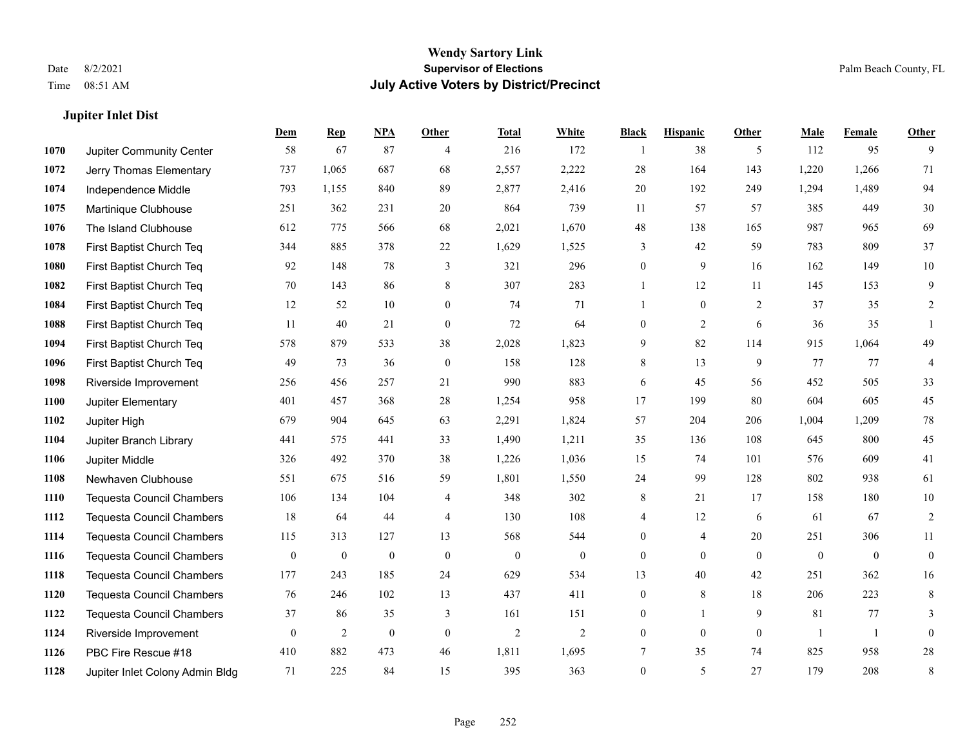**Jupiter Inlet Dist**

#### **Wendy Sartory Link** Date 8/2/2021 **Supervisor of Elections** Palm Beach County, FL Time 08:51 AM **July Active Voters by District/Precinct**

## **Dem Rep NPA Other Total White Black Hispanic Other Male Female Other** Jupiter Community Center 58 67 87 4 216 172 1 38 5 112 95 9 Jerry Thomas Elementary 737 1,065 687 68 2,557 2,222 28 164 143 1,220 1,266 71 Independence Middle 793 1,155 840 89 2,877 2,416 20 192 249 1,294 1,489 94 Martinique Clubhouse 251 362 231 20 864 739 11 57 57 385 449 30 The Island Clubhouse 612 775 566 68 2,021 1,670 48 138 165 987 965 69 First Baptist Church Teq 344 885 378 22 1,629 1,525 3 42 59 783 809 37 First Baptist Church Teq 92 148 78 3 321 296 0 9 16 162 149 10 First Baptist Church Teq **70** 143 86 8 307 283 1 1 12 11 145 153 9 First Baptist Church Teq 12 52 10 0 74 71 1 0 2 37 35 2 First Baptist Church Teq 11 40 21 0 72 64 0 2 6 36 35 1 First Baptist Church Teq 578 879 533 38 2,028 1,823 9 82 114 915 1,064 49 First Baptist Church Teq **49** 73 36 0 158 128 8 13 9 77 77 4 Riverside Improvement 256 456 257 21 990 883 6 45 56 452 505 33 Jupiter Elementary 401 457 368 28 1,254 958 17 199 80 604 605 45 Jupiter High 679 904 645 63 2,291 1,824 57 204 206 1,004 1,209 78 Jupiter Branch Library 441 575 441 33 1,490 1,211 35 136 108 645 800 45 Jupiter Middle 326 492 370 38 1,226 1,036 15 74 101 576 609 41 Newhaven Clubhouse 551 675 516 59 1,801 1,550 24 99 128 802 938 61 Tequesta Council Chambers 106 134 104 4 348 302 8 21 17 158 180 10 Tequesta Council Chambers 18 64 44 4 130 108 4 12 6 61 67 2 Tequesta Council Chambers 115 313 127 13 568 544 0 4 20 251 306 11 Tequesta Council Chambers 0 0 0 0 0 0 0 0 0 0 0 0 Tequesta Council Chambers 177 243 185 24 629 534 13 40 42 251 362 16 Tequesta Council Chambers 76 246 102 13 437 411 0 8 18 206 223 8 Tequesta Council Chambers 37 86 35 3 161 151 0 1 9 81 77 3 Riverside Improvement 0 0 2 0 0 2 2 2 0 0 0 0 1 1 0 PBC Fire Rescue #18 410 882 473 46 1,811 1,695 7 35 74 825 958 28 Jupiter Inlet Colony Admin Bldg 71 225 84 15 395 363 0 5 27 179 208 8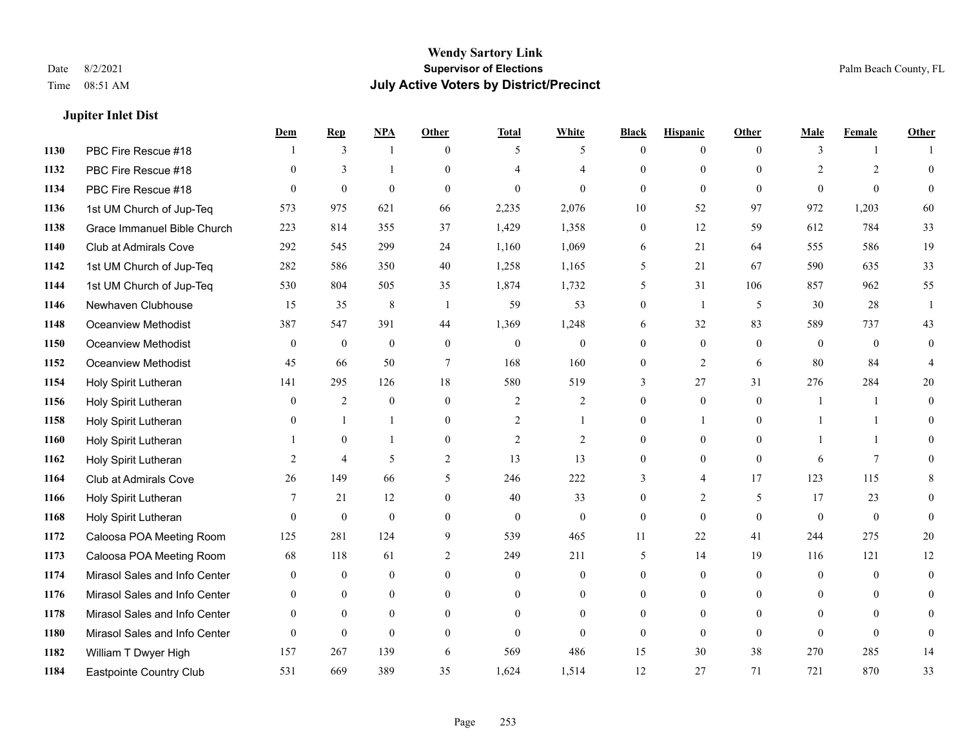**Jupiter Inlet Dist**

#### **Wendy Sartory Link** Date 8/2/2021 **Supervisor of Elections** Palm Beach County, FL Time 08:51 AM **July Active Voters by District/Precinct**

#### **Dem Rep NPA Other Total White Black Hispanic Other Male Female Other** PBC Fire Rescue #18 **1** 3 1 0 5 5 0 0 0 3 1 1 PBC Fire Rescue #18 0 3 1 0 4 4 0 0 0 2 2 0 PBC Fire Rescue #18 0 0 0 0 0 0 0 0 0 0 0 0 1st UM Church of Jup-Teq 573 975 621 66 2,235 2,076 10 52 97 972 1,203 60 Grace Immanuel Bible Church 223 814 355 37 1,429 1,358 0 12 59 612 784 33 Club at Admirals Cove 292 545 299 24 1,160 1,069 6 21 64 555 586 19 1st UM Church of Jup-Teq 282 586 350 40 1,258 1,165 5 21 67 590 635 33 1st UM Church of Jup-Teq 530 804 505 35 1,874 1,732 5 31 106 857 962 55 Newhaven Clubhouse 15 35 8 1 59 53 0 1 5 30 28 1 Oceanview Methodist 387 547 391 44 1,369 1,248 6 32 83 589 737 43 Oceanview Methodist 0 0 0 0 0 0 0 0 0 0 0 0 Oceanview Methodist 45 66 50 7 168 160 0 2 6 80 84 4 Holy Spirit Lutheran 141 295 126 18 580 519 3 27 31 276 284 20 Holy Spirit Lutheran 0 2 0 0 2 2 0 0 0 1 1 0 Holy Spirit Lutheran **0** 1 1 0 2 1 0 1 0 1 1 0 Holy Spirit Lutheran 1 0 1 0 2 2 0 0 0 1 1 0 Holy Spirit Lutheran 2 4 5 2 13 13 0 0 0 6 7 0 Club at Admirals Cove 26 149 66 5 246 222 3 4 17 123 115 8 Holy Spirit Lutheran 7 21 12 0 40 33 0 2 5 17 23 0 Holy Spirit Lutheran 0 0 0 0 0 0 0 0 0 0 0 0 Caloosa POA Meeting Room 125 281 124 9 539 465 11 22 41 244 275 20 Caloosa POA Meeting Room 68 118 61 2 249 211 5 14 19 116 121 12 Mirasol Sales and Info Center 0 0 0 0 0 0 0 0 0 0 0 0 Mirasol Sales and Info Center 0 0 0 0 0 0 0 0 0 0 0 0 Mirasol Sales and Info Center 0 0 0 0 0 0 0 0 0 0 0 0 Mirasol Sales and Info Center 0 0 0 0 0 0 0 0 0 0 0 0 William T Dwyer High 157 267 139 6 569 486 15 30 38 270 285 14 Eastpointe Country Club 531 669 389 35 1,624 1,514 12 27 71 721 870 33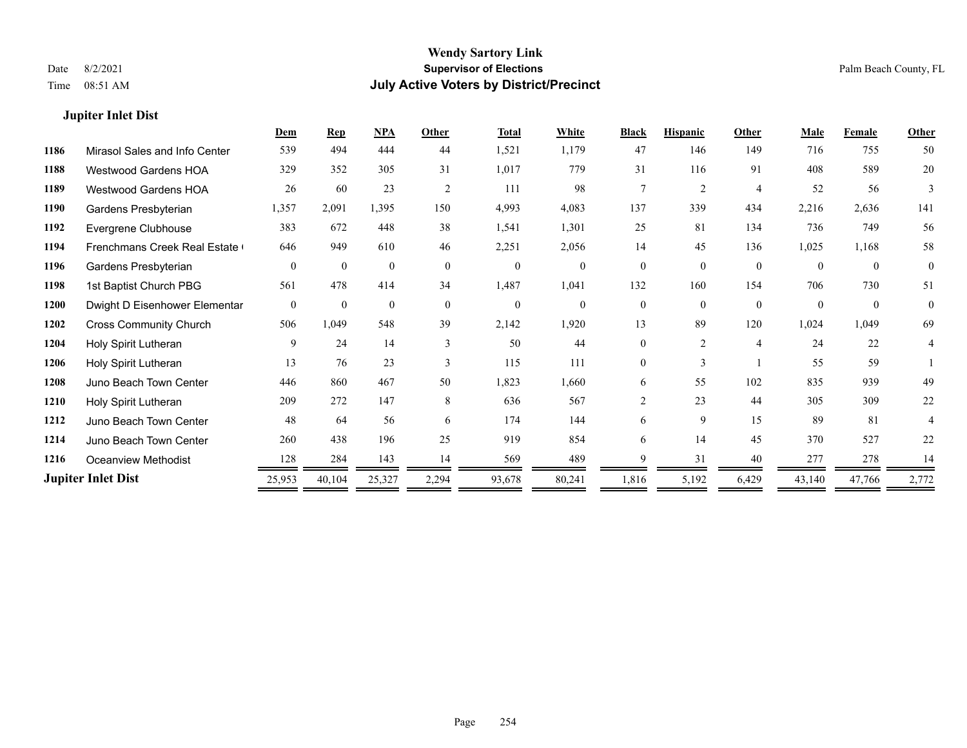#### **Jupiter Inlet Dist**

|      |                               | Dem            | <b>Rep</b>   | NPA          | Other          | <b>Total</b> | White          | <b>Black</b>   | <b>Hispanic</b> | Other          | Male     | <b>Female</b> | <b>Other</b>   |
|------|-------------------------------|----------------|--------------|--------------|----------------|--------------|----------------|----------------|-----------------|----------------|----------|---------------|----------------|
| 1186 | Mirasol Sales and Info Center | 539            | 494          | 444          | 44             | 1,521        | 1,179          | 47             | 146             | 149            | 716      | 755           | 50             |
| 1188 | <b>Westwood Gardens HOA</b>   | 329            | 352          | 305          | 31             | 1,017        | 779            | 31             | 116             | 91             | 408      | 589           | 20             |
| 1189 | <b>Westwood Gardens HOA</b>   | 26             | 60           | 23           | $\overline{2}$ | 111          | 98             | $\tau$         | 2               | $\overline{4}$ | 52       | 56            | 3              |
| 1190 | Gardens Presbyterian          | 1,357          | 2,091        | 1,395        | 150            | 4,993        | 4,083          | 137            | 339             | 434            | 2,216    | 2,636         | 141            |
| 1192 | Evergrene Clubhouse           | 383            | 672          | 448          | 38             | 1,541        | 1,301          | 25             | 81              | 134            | 736      | 749           | 56             |
| 1194 | Frenchmans Creek Real Estate  | 646            | 949          | 610          | 46             | 2,251        | 2,056          | 14             | 45              | 136            | 1,025    | 1,168         | 58             |
| 1196 | Gardens Presbyterian          | $\theta$       | $\theta$     | $\Omega$     | $\theta$       | $\mathbf{0}$ | $\theta$       | $\theta$       | $\theta$        | $\theta$       | $\theta$ | $\theta$      | $\theta$       |
| 1198 | 1st Baptist Church PBG        | 561            | 478          | 414          | 34             | 1,487        | 1,041          | 132            | 160             | 154            | 706      | 730           | 51             |
| 1200 | Dwight D Eisenhower Elementar | $\overline{0}$ | $\mathbf{0}$ | $\mathbf{0}$ | $\overline{0}$ | $\mathbf{0}$ | $\overline{0}$ | $\theta$       | $\theta$        | $\theta$       | $\Omega$ | $\theta$      | $\overline{0}$ |
| 1202 | <b>Cross Community Church</b> | 506            | 1,049        | 548          | 39             | 2,142        | 1,920          | 13             | 89              | 120            | 1,024    | 1,049         | 69             |
| 1204 | Holy Spirit Lutheran          | 9              | 24           | 14           | $\mathbf{3}$   | 50           | 44             | 0              | $\overline{2}$  | $\overline{4}$ | 24       | 22            | 4              |
| 1206 | Holy Spirit Lutheran          | 13             | 76           | 23           | $\mathbf{3}$   | 115          | 111            | 0              | 3               |                | 55       | 59            |                |
| 1208 | Juno Beach Town Center        | 446            | 860          | 467          | 50             | 1,823        | 1,660          | 6              | 55              | 102            | 835      | 939           | 49             |
| 1210 | Holy Spirit Lutheran          | 209            | 272          | 147          | 8              | 636          | 567            | $\overline{c}$ | 23              | 44             | 305      | 309           | 22             |
| 1212 | Juno Beach Town Center        | 48             | 64           | 56           | 6              | 174          | 144            | 6              | 9               | 15             | 89       | 81            |                |
| 1214 | Juno Beach Town Center        | 260            | 438          | 196          | 25             | 919          | 854            | 6              | 14              | 45             | 370      | 527           | 22             |
| 1216 | Oceanview Methodist           | 128            | 284          | 143          | 14             | 569          | 489            | Q              | 31              | 40             | 277      | 278           | 14             |
|      | <b>Jupiter Inlet Dist</b>     | 25,953         | 40,104       | 25,327       | 2,294          | 93,678       | 80,241         | 1,816          | 5,192           | 6,429          | 43,140   | 47,766        | 2,772          |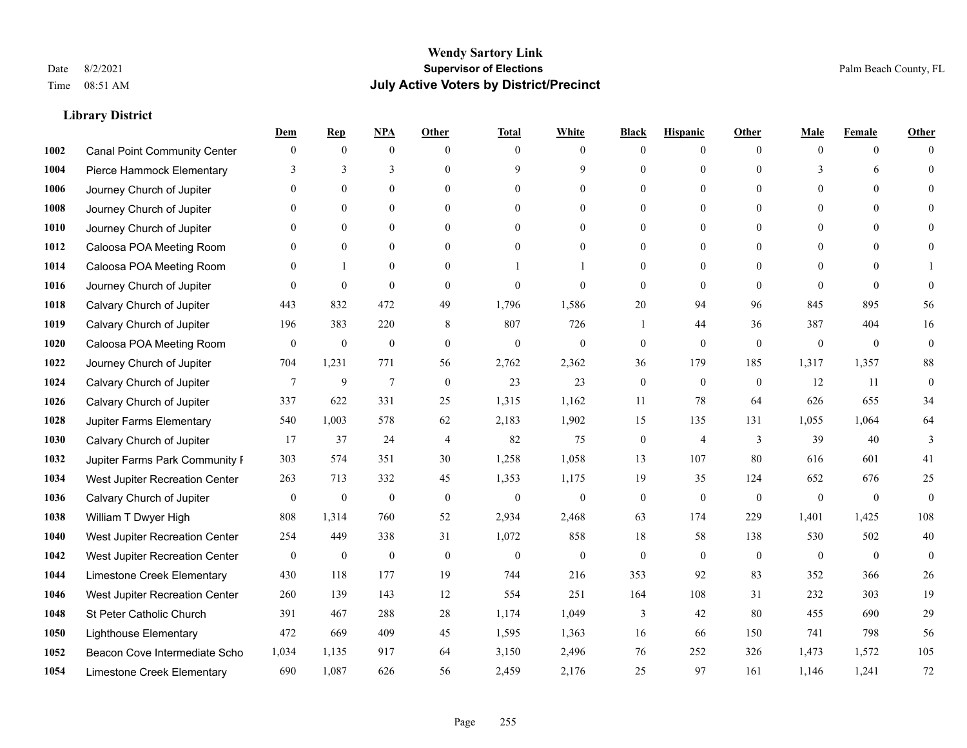|      |                                     | Dem              | <b>Rep</b>       | NPA              | <b>Other</b>   | <b>Total</b>     | <b>White</b>     | <b>Black</b>     | <b>Hispanic</b>  | <b>Other</b>   | <b>Male</b>  | <b>Female</b> | <b>Other</b>     |
|------|-------------------------------------|------------------|------------------|------------------|----------------|------------------|------------------|------------------|------------------|----------------|--------------|---------------|------------------|
| 1002 | <b>Canal Point Community Center</b> | $\mathbf{0}$     | $\mathbf{0}$     | $\boldsymbol{0}$ | $\Omega$       | $\Omega$         | $\overline{0}$   | $\mathbf{0}$     | $\boldsymbol{0}$ | $\theta$       | $\theta$     | $\theta$      | $\Omega$         |
| 1004 | Pierce Hammock Elementary           | 3                | 3                | 3                | $\theta$       | 9                | 9                | $\theta$         | $\mathbf{0}$     | $\theta$       | 3            | 6             | $\theta$         |
| 1006 | Journey Church of Jupiter           | $\theta$         | $\theta$         | $\theta$         | $\Omega$       | $\Omega$         | $\Omega$         | $\Omega$         | $\theta$         | $\Omega$       | $\Omega$     | $\Omega$      | $\Omega$         |
| 1008 | Journey Church of Jupiter           | $\theta$         | $\mathbf{0}$     | $\mathbf{0}$     | $\overline{0}$ | $\theta$         | $\boldsymbol{0}$ | $\overline{0}$   | $\boldsymbol{0}$ | $\theta$       | $\mathbf{0}$ | $\mathbf{0}$  |                  |
| 1010 | Journey Church of Jupiter           | 0                | $\mathbf{0}$     | $\mathbf{0}$     | $\theta$       | $\Omega$         | $\overline{0}$   | $\overline{0}$   | $\mathbf{0}$     | $\theta$       | $\theta$     | $\theta$      | $\Omega$         |
| 1012 | Caloosa POA Meeting Room            | 0                | $\mathbf{0}$     | $\mathbf{0}$     | $\theta$       | $\Omega$         | $\mathbf{0}$     | $\overline{0}$   | $\mathbf{0}$     | $\Omega$       | $\theta$     | $\Omega$      | $\mathbf{0}$     |
| 1014 | Caloosa POA Meeting Room            | $\theta$         | $\mathbf{1}$     | $\theta$         | $\theta$       |                  | 1                | $\overline{0}$   | $\mathbf{0}$     | $\theta$       | $\theta$     | $\Omega$      |                  |
| 1016 | Journey Church of Jupiter           | $\theta$         | $\mathbf{0}$     | $\mathbf{0}$     | $\theta$       | $\theta$         | $\overline{0}$   | $\mathbf{0}$     | $\mathbf{0}$     | $\theta$       | $\Omega$     | $\theta$      | $\theta$         |
| 1018 | Calvary Church of Jupiter           | 443              | 832              | 472              | 49             | 1,796            | 1,586            | 20               | 94               | 96             | 845          | 895           | 56               |
| 1019 | Calvary Church of Jupiter           | 196              | 383              | 220              | 8              | 807              | 726              | 1                | 44               | 36             | 387          | 404           | 16               |
| 1020 | Caloosa POA Meeting Room            | $\overline{0}$   | $\mathbf{0}$     | $\mathbf{0}$     | $\theta$       | $\mathbf{0}$     | $\mathbf{0}$     | $\mathbf{0}$     | $\mathbf{0}$     | $\theta$       | $\theta$     | $\theta$      | $\mathbf{0}$     |
| 1022 | Journey Church of Jupiter           | 704              | 1,231            | 771              | 56             | 2,762            | 2,362            | 36               | 179              | 185            | 1,317        | 1,357         | 88               |
| 1024 | Calvary Church of Jupiter           | 7                | 9                | $\overline{7}$   | $\mathbf{0}$   | 23               | 23               | $\boldsymbol{0}$ | $\mathbf{0}$     | $\overline{0}$ | 12           | 11            | $\boldsymbol{0}$ |
| 1026 | Calvary Church of Jupiter           | 337              | 622              | 331              | 25             | 1,315            | 1,162            | 11               | 78               | 64             | 626          | 655           | 34               |
| 1028 | Jupiter Farms Elementary            | 540              | 1,003            | 578              | 62             | 2,183            | 1,902            | 15               | 135              | 131            | 1,055        | 1,064         | 64               |
| 1030 | Calvary Church of Jupiter           | 17               | 37               | 24               | $\overline{4}$ | 82               | 75               | $\boldsymbol{0}$ | 4                | 3              | 39           | 40            | 3                |
| 1032 | Jupiter Farms Park Community I      | 303              | 574              | 351              | 30             | 1,258            | 1,058            | 13               | 107              | 80             | 616          | 601           | 41               |
| 1034 | West Jupiter Recreation Center      | 263              | 713              | 332              | 45             | 1,353            | 1,175            | 19               | 35               | 124            | 652          | 676           | 25               |
| 1036 | Calvary Church of Jupiter           | $\boldsymbol{0}$ | $\boldsymbol{0}$ | $\mathbf{0}$     | $\theta$       | $\mathbf{0}$     | $\mathbf{0}$     | $\mathbf{0}$     | $\mathbf{0}$     | $\theta$       | $\mathbf{0}$ | $\mathbf{0}$  | $\mathbf{0}$     |
| 1038 | William T Dwyer High                | 808              | 1,314            | 760              | 52             | 2,934            | 2,468            | 63               | 174              | 229            | 1,401        | 1,425         | 108              |
| 1040 | West Jupiter Recreation Center      | 254              | 449              | 338              | 31             | 1,072            | 858              | 18               | 58               | 138            | 530          | 502           | 40               |
| 1042 | West Jupiter Recreation Center      | $\boldsymbol{0}$ | $\boldsymbol{0}$ | $\boldsymbol{0}$ | $\mathbf{0}$   | $\boldsymbol{0}$ | $\mathbf{0}$     | $\boldsymbol{0}$ | $\mathbf{0}$     | $\overline{0}$ | $\mathbf{0}$ | $\mathbf{0}$  | $\mathbf{0}$     |
| 1044 | Limestone Creek Elementary          | 430              | 118              | 177              | 19             | 744              | 216              | 353              | 92               | 83             | 352          | 366           | $26\,$           |
| 1046 | West Jupiter Recreation Center      | 260              | 139              | 143              | 12             | 554              | 251              | 164              | 108              | 31             | 232          | 303           | 19               |
| 1048 | St Peter Catholic Church            | 391              | 467              | 288              | 28             | 1,174            | 1,049            | 3                | 42               | 80             | 455          | 690           | 29               |
| 1050 | <b>Lighthouse Elementary</b>        | 472              | 669              | 409              | 45             | 1,595            | 1,363            | 16               | 66               | 150            | 741          | 798           | 56               |
| 1052 | Beacon Cove Intermediate Scho       | 1,034            | 1,135            | 917              | 64             | 3,150            | 2,496            | 76               | 252              | 326            | 1,473        | 1,572         | 105              |
| 1054 | Limestone Creek Elementary          | 690              | 1,087            | 626              | 56             | 2,459            | 2,176            | 25               | 97               | 161            | 1.146        | 1,241         | 72               |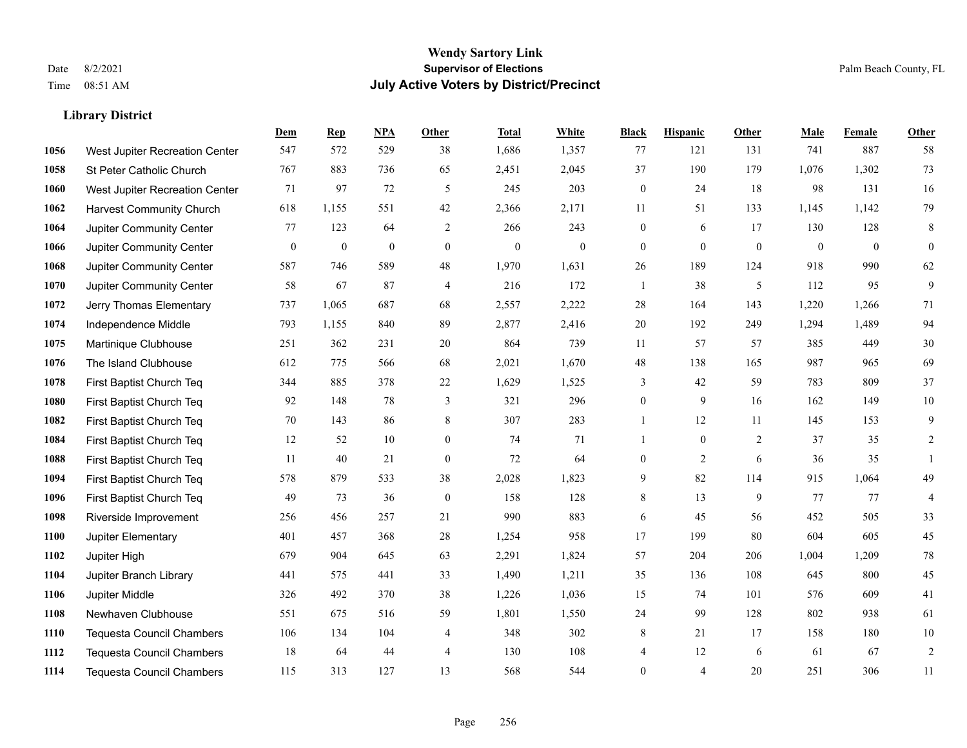|      |                                  | Dem          | <b>Rep</b>       | NPA              | <b>Other</b>     | <b>Total</b>     | <b>White</b>     | <b>Black</b>     | <b>Hispanic</b>  | <b>Other</b>     | <b>Male</b>  | <b>Female</b> | <b>Other</b>     |
|------|----------------------------------|--------------|------------------|------------------|------------------|------------------|------------------|------------------|------------------|------------------|--------------|---------------|------------------|
| 1056 | West Jupiter Recreation Center   | 547          | 572              | 529              | 38               | 1,686            | 1,357            | 77               | 121              | 131              | 741          | 887           | 58               |
| 1058 | St Peter Catholic Church         | 767          | 883              | 736              | 65               | 2,451            | 2,045            | 37               | 190              | 179              | 1,076        | 1,302         | 73               |
| 1060 | West Jupiter Recreation Center   | 71           | 97               | 72               | 5                | 245              | 203              | $\boldsymbol{0}$ | 24               | 18               | 98           | 131           | 16               |
| 1062 | <b>Harvest Community Church</b>  | 618          | 1,155            | 551              | 42               | 2,366            | 2,171            | 11               | 51               | 133              | 1,145        | 1,142         | 79               |
| 1064 | <b>Jupiter Community Center</b>  | 77           | 123              | 64               | 2                | 266              | 243              | $\boldsymbol{0}$ | 6                | 17               | 130          | 128           | $\,8\,$          |
| 1066 | Jupiter Community Center         | $\mathbf{0}$ | $\boldsymbol{0}$ | $\boldsymbol{0}$ | $\mathbf{0}$     | $\boldsymbol{0}$ | $\boldsymbol{0}$ | $\boldsymbol{0}$ | $\boldsymbol{0}$ | $\boldsymbol{0}$ | $\mathbf{0}$ | $\mathbf{0}$  | $\boldsymbol{0}$ |
| 1068 | Jupiter Community Center         | 587          | 746              | 589              | 48               | 1,970            | 1,631            | 26               | 189              | 124              | 918          | 990           | 62               |
| 1070 | Jupiter Community Center         | 58           | 67               | 87               | $\overline{4}$   | 216              | 172              | $\mathbf{1}$     | 38               | 5                | 112          | 95            | 9                |
| 1072 | Jerry Thomas Elementary          | 737          | 1,065            | 687              | 68               | 2,557            | 2,222            | 28               | 164              | 143              | 1,220        | 1,266         | 71               |
| 1074 | Independence Middle              | 793          | 1,155            | 840              | 89               | 2,877            | 2,416            | $20\,$           | 192              | 249              | 1,294        | 1,489         | 94               |
| 1075 | Martinique Clubhouse             | 251          | 362              | 231              | 20               | 864              | 739              | 11               | 57               | 57               | 385          | 449           | $30\,$           |
| 1076 | The Island Clubhouse             | 612          | 775              | 566              | 68               | 2,021            | 1,670            | 48               | 138              | 165              | 987          | 965           | 69               |
| 1078 | First Baptist Church Teq         | 344          | 885              | 378              | 22               | 1,629            | 1,525            | 3                | 42               | 59               | 783          | 809           | 37               |
| 1080 | First Baptist Church Teq         | 92           | 148              | 78               | 3                | 321              | 296              | $\boldsymbol{0}$ | 9                | 16               | 162          | 149           | $10\,$           |
| 1082 | First Baptist Church Teq         | 70           | 143              | 86               | 8                | 307              | 283              | $\mathbf{1}$     | 12               | 11               | 145          | 153           | 9                |
| 1084 | First Baptist Church Teq         | 12           | 52               | 10               | $\overline{0}$   | 74               | 71               | 1                | $\boldsymbol{0}$ | 2                | 37           | 35            | $\overline{c}$   |
| 1088 | First Baptist Church Teq         | 11           | 40               | 21               | $\mathbf{0}$     | 72               | 64               | $\boldsymbol{0}$ | 2                | 6                | 36           | 35            | $\mathbf{1}$     |
| 1094 | First Baptist Church Teq         | 578          | 879              | 533              | 38               | 2,028            | 1,823            | 9                | 82               | 114              | 915          | 1.064         | 49               |
| 1096 | First Baptist Church Teq         | 49           | 73               | 36               | $\boldsymbol{0}$ | 158              | 128              | $\,8\,$          | 13               | 9                | 77           | 77            | $\overline{4}$   |
| 1098 | Riverside Improvement            | 256          | 456              | 257              | 21               | 990              | 883              | 6                | 45               | 56               | 452          | 505           | 33               |
| 1100 | Jupiter Elementary               | 401          | 457              | 368              | 28               | 1,254            | 958              | 17               | 199              | 80               | 604          | 605           | 45               |
| 1102 | Jupiter High                     | 679          | 904              | 645              | 63               | 2,291            | 1,824            | 57               | 204              | 206              | 1,004        | 1,209         | $78\,$           |
| 1104 | Jupiter Branch Library           | 441          | 575              | 441              | 33               | 1,490            | 1,211            | 35               | 136              | 108              | 645          | 800           | 45               |
| 1106 | Jupiter Middle                   | 326          | 492              | 370              | 38               | 1,226            | 1,036            | 15               | 74               | 101              | 576          | 609           | 41               |
| 1108 | Newhaven Clubhouse               | 551          | 675              | 516              | 59               | 1,801            | 1,550            | 24               | 99               | 128              | 802          | 938           | 61               |
| 1110 | <b>Tequesta Council Chambers</b> | 106          | 134              | 104              | 4                | 348              | 302              | 8                | 21               | 17               | 158          | 180           | $10\,$           |
| 1112 | <b>Tequesta Council Chambers</b> | 18           | 64               | 44               | $\overline{4}$   | 130              | 108              | 4                | 12               | 6                | 61           | 67            | $\sqrt{2}$       |
| 1114 | Tequesta Council Chambers        | 115          | 313              | 127              | 13               | 568              | 544              | $\mathbf{0}$     | 4                | 20               | 251          | 306           | 11               |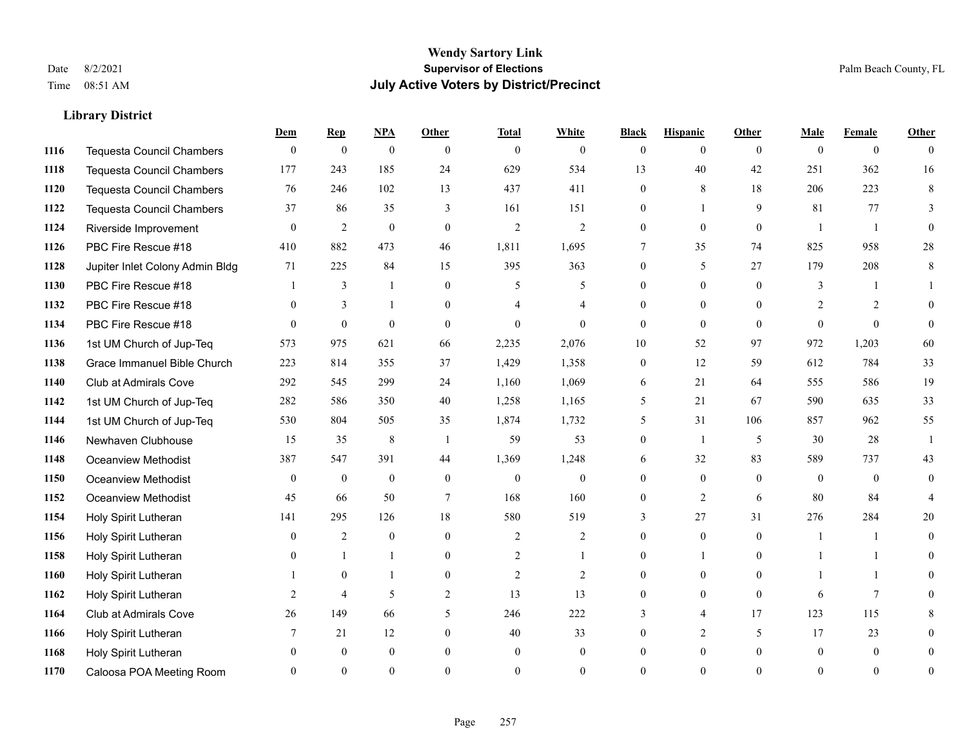|      |                                  | Dem          | <b>Rep</b>       | NPA              | <b>Other</b>   | <b>Total</b>   | <b>White</b>   | <b>Black</b>   | <b>Hispanic</b> | <b>Other</b>   | <b>Male</b>    | <b>Female</b>  | <b>Other</b>   |
|------|----------------------------------|--------------|------------------|------------------|----------------|----------------|----------------|----------------|-----------------|----------------|----------------|----------------|----------------|
| 1116 | <b>Tequesta Council Chambers</b> | $\mathbf{0}$ | $\boldsymbol{0}$ | $\boldsymbol{0}$ | $\theta$       | $\overline{0}$ | $\overline{0}$ | $\mathbf{0}$   | $\overline{0}$  | $\theta$       | $\theta$       | $\overline{0}$ | $\Omega$       |
| 1118 | <b>Tequesta Council Chambers</b> | 177          | 243              | 185              | 24             | 629            | 534            | 13             | 40              | 42             | 251            | 362            | 16             |
| 1120 | <b>Tequesta Council Chambers</b> | 76           | 246              | 102              | 13             | 437            | 411            | $\theta$       | 8               | 18             | 206            | 223            | 8              |
| 1122 | Tequesta Council Chambers        | 37           | 86               | 35               | 3              | 161            | 151            | $\overline{0}$ |                 | 9              | 81             | 77             | 3              |
| 1124 | Riverside Improvement            | $\theta$     | 2                | $\mathbf{0}$     | $\theta$       | $\overline{2}$ | 2              | $\theta$       | $\overline{0}$  | $\theta$       | $\overline{1}$ | $\mathbf{1}$   | $\theta$       |
| 1126 | PBC Fire Rescue #18              | 410          | 882              | 473              | 46             | 1,811          | 1,695          | 7              | 35              | 74             | 825            | 958            | $28\,$         |
| 1128 | Jupiter Inlet Colony Admin Bldg  | 71           | 225              | 84               | 15             | 395            | 363            | $\overline{0}$ | 5               | 27             | 179            | 208            | 8              |
| 1130 | PBC Fire Rescue #18              |              | 3                | $\mathbf{1}$     | $\theta$       | 5              | 5              | $\Omega$       | $\Omega$        | $\Omega$       | 3              | -1             |                |
| 1132 | PBC Fire Rescue #18              | $\theta$     | 3                | 1                | $\Omega$       |                | $\overline{4}$ | $\Omega$       | $\overline{0}$  | $\theta$       | 2              | 2              | $\Omega$       |
| 1134 | PBC Fire Rescue #18              | $\Omega$     | $\theta$         | $\mathbf{0}$     | $\theta$       | $\mathbf{0}$   | $\Omega$       | $\theta$       | $\overline{0}$  | $\theta$       | $\theta$       | $\theta$       | $\theta$       |
| 1136 | 1st UM Church of Jup-Teq         | 573          | 975              | 621              | 66             | 2,235          | 2,076          | 10             | 52              | 97             | 972            | 1,203          | 60             |
| 1138 | Grace Immanuel Bible Church      | 223          | 814              | 355              | 37             | 1,429          | 1,358          | $\overline{0}$ | 12              | 59             | 612            | 784            | 33             |
| 1140 | Club at Admirals Cove            | 292          | 545              | 299              | 24             | 1,160          | 1,069          | 6              | 21              | 64             | 555            | 586            | 19             |
| 1142 | 1st UM Church of Jup-Teq         | 282          | 586              | 350              | 40             | 1,258          | 1,165          | 5              | 21              | 67             | 590            | 635            | 33             |
| 1144 | 1st UM Church of Jup-Teq         | 530          | 804              | 505              | 35             | 1,874          | 1,732          | 5              | 31              | 106            | 857            | 962            | 55             |
| 1146 | Newhaven Clubhouse               | 15           | 35               | $\,$ 8 $\,$      | $\overline{1}$ | 59             | 53             | $\theta$       | 1               | 5              | 30             | 28             | $\mathbf{1}$   |
| 1148 | Oceanview Methodist              | 387          | 547              | 391              | 44             | 1,369          | 1,248          | 6              | 32              | 83             | 589            | 737            | 43             |
| 1150 | Oceanview Methodist              | $\mathbf{0}$ | $\mathbf{0}$     | $\boldsymbol{0}$ | $\overline{0}$ | $\overline{0}$ | $\overline{0}$ | 0              | $\overline{0}$  | $\theta$       | $\theta$       | $\overline{0}$ | $\theta$       |
| 1152 | Oceanview Methodist              | 45           | 66               | 50               | $\overline{7}$ | 168            | 160            | 0              | $\overline{c}$  | 6              | 80             | 84             |                |
| 1154 | Holy Spirit Lutheran             | 141          | 295              | 126              | 18             | 580            | 519            | 3              | 27              | 31             | 276            | 284            | 20             |
| 1156 | Holy Spirit Lutheran             | $\theta$     | $\overline{2}$   | $\mathbf{0}$     | $\Omega$       | $\overline{2}$ | $\overline{2}$ | $\theta$       | $\Omega$        | $\Omega$       | $\overline{1}$ | $\mathbf{1}$   | $\Omega$       |
| 1158 | Holy Spirit Lutheran             | $\mathbf{0}$ |                  | 1                | $\mathbf{0}$   | $\overline{2}$ | 1              | 0              | 1               | $\overline{0}$ |                | 1              | $\Omega$       |
| 1160 | Holy Spirit Lutheran             |              | $\mathbf{0}$     | 1                | $\overline{0}$ | $\overline{2}$ | $\overline{2}$ | 0              | $\overline{0}$  | $\theta$       |                | 1              | 0              |
| 1162 | Holy Spirit Lutheran             | 2            | $\overline{4}$   | 5                | 2              | 13             | 13             | $\theta$       | $\overline{0}$  | $\theta$       | 6              | $\tau$         | 0              |
| 1164 | Club at Admirals Cove            | 26           | 149              | 66               | 5              | 246            | 222            | 3              | $\overline{4}$  | 17             | 123            | 115            | 8              |
| 1166 | Holy Spirit Lutheran             |              | 21               | 12               | $\overline{0}$ | 40             | 33             | 0              | 2               | 5              | 17             | 23             | $\theta$       |
| 1168 | Holy Spirit Lutheran             |              | $\mathbf{0}$     | $\mathbf{0}$     | $\Omega$       | $\mathbf{0}$   | $\overline{0}$ | 0              | $\overline{0}$  | $\theta$       | $\theta$       | $\mathbf{0}$   | $\theta$       |
| 1170 | Caloosa POA Meeting Room         |              | $\Omega$         | $\theta$         | $\Omega$       | $\Omega$       | $\theta$       | $\Omega$       | $\Omega$        | $\Omega$       | $\Omega$       | $\Omega$       | $\overline{0}$ |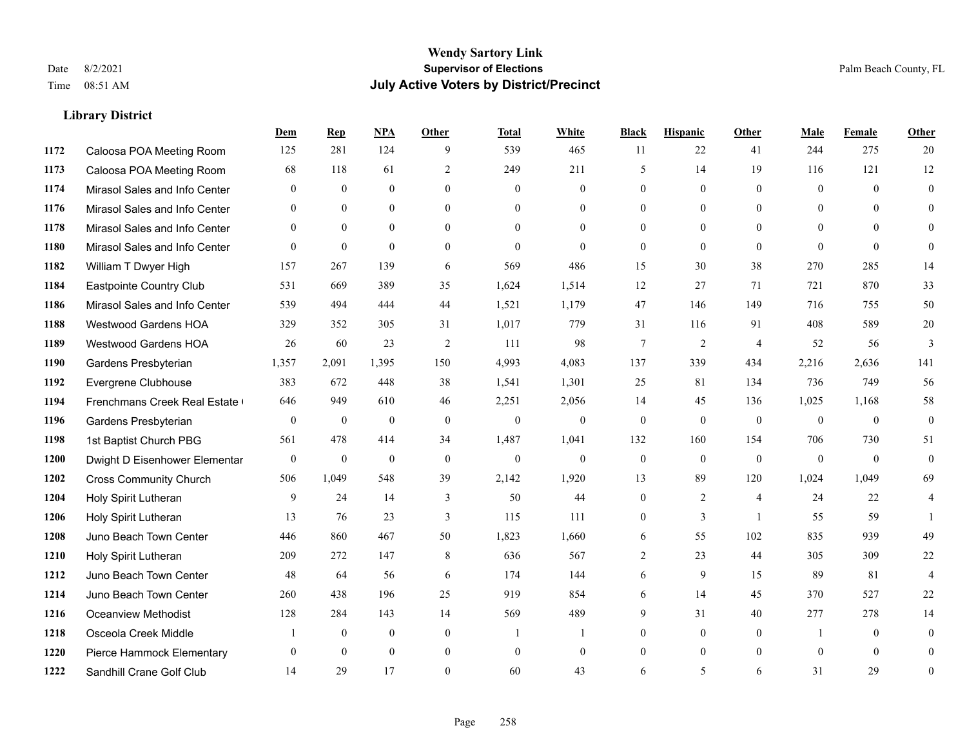#### **Wendy Sartory Link** Date 8/2/2021 **Supervisor of Elections** Palm Beach County, FL Time 08:51 AM **July Active Voters by District/Precinct**

#### **Dem Rep NPA Other Total White Black Hispanic Other Male Female Other** Caloosa POA Meeting Room 125 281 124 9 539 465 11 22 41 244 275 20 Caloosa POA Meeting Room 68 118 61 2 249 211 5 14 19 116 121 12 Mirasol Sales and Info Center 0 0 0 0 0 0 0 0 0 0 0 0 Mirasol Sales and Info Center 0 0 0 0 0 0 0 0 0 0 0 0 Mirasol Sales and Info Center 0 0 0 0 0 0 0 0 0 0 0 0 Mirasol Sales and Info Center 0 0 0 0 0 0 0 0 0 0 0 0 William T Dwyer High 157 267 139 6 569 486 15 30 38 270 285 14 Eastpointe Country Club 531 669 389 35 1,624 1,514 12 27 71 721 870 33 Mirasol Sales and Info Center 539 494 444 44 1,521 1,179 47 146 149 716 755 50 Westwood Gardens HOA 329 352 305 31 1,017 779 31 116 91 408 589 20 Westwood Gardens HOA 26 60 23 2 111 98 7 2 4 52 56 3 Gardens Presbyterian 1,357 2,091 1,395 150 4,993 4,083 137 339 434 2,216 2,636 141 Evergrene Clubhouse 383 672 448 38 1,541 1,301 25 81 134 736 749 56 Frenchmans Creek Real Estate 646 949 610 46 2,251 2,056 14 45 136 1,025 1,168 58 Gardens Presbyterian 0 0 0 0 0 0 0 0 0 0 0 0 1st Baptist Church PBG 561 478 414 34 1,487 1,041 132 160 154 706 730 51 Dwight D Eisenhower Elementary 0 0 0 0 0 0 0 0 0 0 0 0 Cross Community Church 506 1,049 548 39 2,142 1,920 13 89 120 1,024 1,049 69 Holy Spirit Lutheran 9 24 14 3 50 44 0 2 4 24 22 4 Holy Spirit Lutheran **13** 76 23 3 115 111 0 3 1 55 59 1 Juno Beach Town Center 446 860 467 50 1,823 1,660 6 55 102 835 939 49 Holy Spirit Lutheran 209 272 147 8 636 567 2 23 44 305 309 22 Juno Beach Town Center 48 64 56 6 174 144 6 9 15 89 81 4 Juno Beach Town Center 260 438 196 25 919 854 6 14 45 370 527 22 Oceanview Methodist 128 284 143 14 569 489 9 31 40 277 278 14 Osceola Creek Middle  $\begin{array}{cccccccc} 1 & 0 & 0 & 0 & 1 & 1 & 0 & 0 & 0 \end{array}$  Pierce Hammock Elementary 0 0 0 0 0 0 0 0 0 0 0 0 Sandhill Crane Golf Club 14 29 17 0 60 43 6 5 6 31 29 0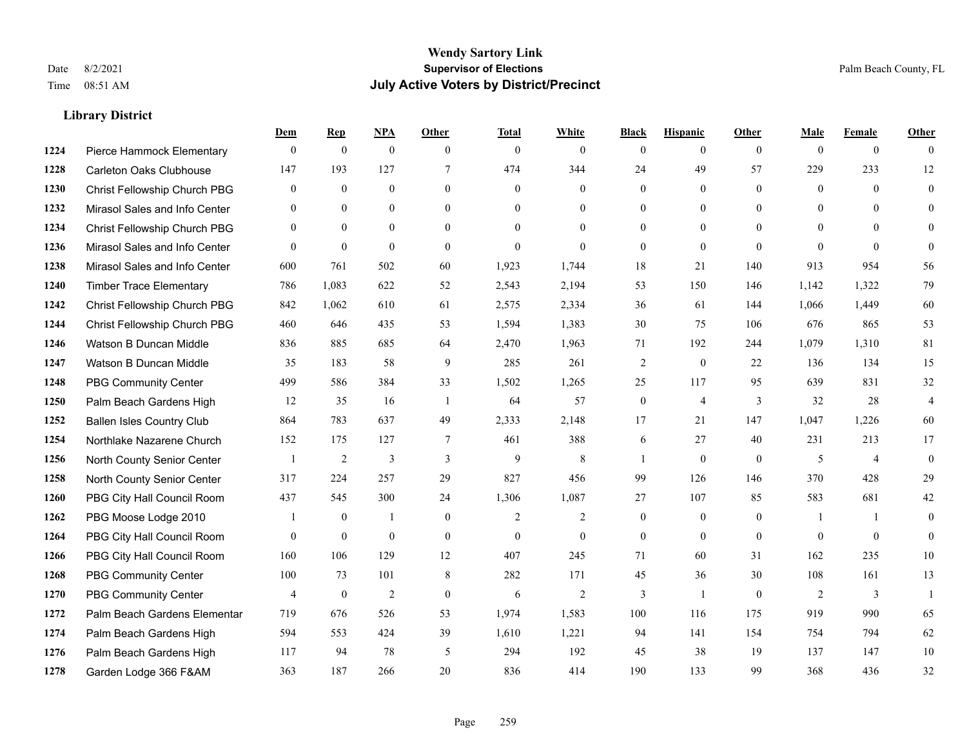|      |                                  | Dem            | <b>Rep</b>       | NPA          | <b>Other</b>   | <b>Total</b>   | <b>White</b>   | <b>Black</b>     | <b>Hispanic</b>  | <b>Other</b>   | <b>Male</b>    | <b>Female</b>  | <b>Other</b>     |
|------|----------------------------------|----------------|------------------|--------------|----------------|----------------|----------------|------------------|------------------|----------------|----------------|----------------|------------------|
| 1224 | Pierce Hammock Elementary        | $\theta$       | $\mathbf{0}$     | $\mathbf{0}$ | $\theta$       | $\mathbf{0}$   | $\overline{0}$ | $\overline{0}$   | $\overline{0}$   | $\theta$       | $\mathbf{0}$   | $\overline{0}$ | $\Omega$         |
| 1228 | Carleton Oaks Clubhouse          | 147            | 193              | 127          | $\tau$         | 474            | 344            | 24               | 49               | 57             | 229            | 233            | 12               |
| 1230 | Christ Fellowship Church PBG     | $\overline{0}$ | $\mathbf{0}$     | $\mathbf{0}$ | $\theta$       | $\mathbf{0}$   | $\overline{0}$ | $\overline{0}$   | $\mathbf{0}$     | $\theta$       | $\overline{0}$ | $\theta$       | $\mathbf{0}$     |
| 1232 | Mirasol Sales and Info Center    | $\theta$       | $\mathbf{0}$     | $\mathbf{0}$ | $\mathbf{0}$   | $\mathbf{0}$   | $\overline{0}$ | $\overline{0}$   | $\mathbf{0}$     | $\theta$       | $\mathbf{0}$   | $\Omega$       | $\theta$         |
| 1234 | Christ Fellowship Church PBG     | $\theta$       | $\theta$         | $\theta$     | $\Omega$       | $\Omega$       | $\Omega$       | $\Omega$         | $\theta$         | $\Omega$       | $\theta$       | $\Omega$       | $\theta$         |
| 1236 | Mirasol Sales and Info Center    | $\theta$       | $\mathbf{0}$     | $\mathbf{0}$ | $\theta$       | $\mathbf{0}$   | $\overline{0}$ | $\overline{0}$   | $\mathbf{0}$     | $\theta$       | $\theta$       | $\theta$       | $\theta$         |
| 1238 | Mirasol Sales and Info Center    | 600            | 761              | 502          | 60             | 1,923          | 1,744          | 18               | 21               | 140            | 913            | 954            | 56               |
| 1240 | <b>Timber Trace Elementary</b>   | 786            | 1,083            | 622          | 52             | 2,543          | 2,194          | 53               | 150              | 146            | 1,142          | 1,322          | 79               |
| 1242 | Christ Fellowship Church PBG     | 842            | 1,062            | 610          | 61             | 2,575          | 2,334          | 36               | 61               | 144            | 1,066          | 1,449          | 60               |
| 1244 | Christ Fellowship Church PBG     | 460            | 646              | 435          | 53             | 1,594          | 1,383          | 30               | 75               | 106            | 676            | 865            | 53               |
| 1246 | Watson B Duncan Middle           | 836            | 885              | 685          | 64             | 2,470          | 1,963          | 71               | 192              | 244            | 1,079          | 1,310          | 81               |
| 1247 | Watson B Duncan Middle           | 35             | 183              | 58           | 9              | 285            | 261            | $\overline{c}$   | $\mathbf{0}$     | 22             | 136            | 134            | 15               |
| 1248 | <b>PBG Community Center</b>      | 499            | 586              | 384          | 33             | 1,502          | 1,265          | 25               | 117              | 95             | 639            | 831            | 32               |
| 1250 | Palm Beach Gardens High          | 12             | 35               | 16           | -1             | 64             | 57             | $\boldsymbol{0}$ | $\overline{4}$   | $\overline{3}$ | 32             | 28             | $\overline{4}$   |
| 1252 | <b>Ballen Isles Country Club</b> | 864            | 783              | 637          | 49             | 2,333          | 2,148          | 17               | 21               | 147            | 1,047          | 1,226          | 60               |
| 1254 | Northlake Nazarene Church        | 152            | 175              | 127          | $\tau$         | 461            | 388            | 6                | 27               | 40             | 231            | 213            | 17               |
| 1256 | North County Senior Center       |                | $\overline{2}$   | 3            | $\mathfrak{Z}$ | 9              | 8              | $\mathbf{1}$     | $\mathbf{0}$     | $\mathbf{0}$   | 5              | $\overline{4}$ | $\boldsymbol{0}$ |
| 1258 | North County Senior Center       | 317            | 224              | 257          | 29             | 827            | 456            | 99               | 126              | 146            | 370            | 428            | 29               |
| 1260 | PBG City Hall Council Room       | 437            | 545              | 300          | 24             | 1,306          | 1,087          | 27               | 107              | 85             | 583            | 681            | $42\,$           |
| 1262 | PBG Moose Lodge 2010             |                | $\boldsymbol{0}$ | $\mathbf{1}$ | $\mathbf{0}$   | $\mathfrak{2}$ | $\overline{2}$ | $\boldsymbol{0}$ | $\boldsymbol{0}$ | $\mathbf{0}$   | -1             | -1             | $\boldsymbol{0}$ |
| 1264 | PBG City Hall Council Room       | $\theta$       | $\mathbf{0}$     | $\mathbf{0}$ | $\theta$       | $\mathbf{0}$   | $\overline{0}$ | $\overline{0}$   | $\theta$         | $\theta$       | $\theta$       | $\theta$       | $\mathbf{0}$     |
| 1266 | PBG City Hall Council Room       | 160            | 106              | 129          | 12             | 407            | 245            | 71               | 60               | 31             | 162            | 235            | 10               |
| 1268 | PBG Community Center             | 100            | 73               | 101          | 8              | 282            | 171            | 45               | 36               | 30             | 108            | 161            | 13               |
| 1270 | <b>PBG Community Center</b>      | $\overline{4}$ | $\mathbf{0}$     | 2            | $\mathbf{0}$   | 6              | 2              | 3                | $\overline{1}$   | $\theta$       | 2              | 3              | $\mathbf{1}$     |
| 1272 | Palm Beach Gardens Elementar     | 719            | 676              | 526          | 53             | 1,974          | 1,583          | 100              | 116              | 175            | 919            | 990            | 65               |
| 1274 | Palm Beach Gardens High          | 594            | 553              | 424          | 39             | 1,610          | 1,221          | 94               | 141              | 154            | 754            | 794            | 62               |
| 1276 | Palm Beach Gardens High          | 117            | 94               | 78           | 5              | 294            | 192            | 45               | 38               | 19             | 137            | 147            | $10\,$           |
| 1278 | Garden Lodge 366 F&AM            | 363            | 187              | 266          | 20             | 836            | 414            | 190              | 133              | 99             | 368            | 436            | 32               |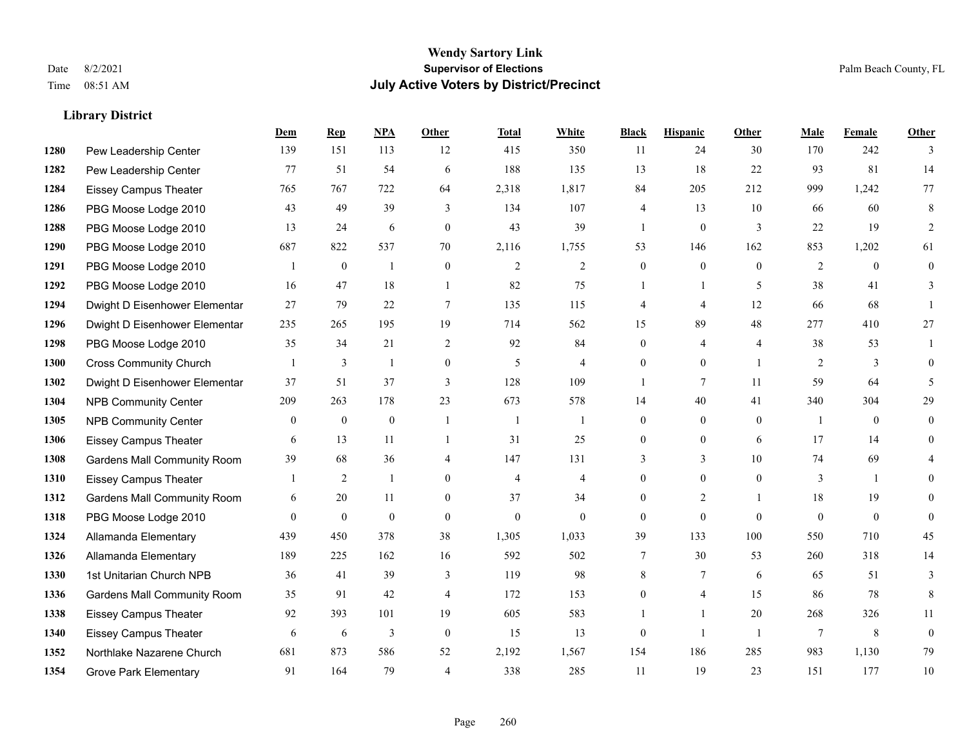#### **Wendy Sartory Link** Date 8/2/2021 **Supervisor of Elections** Palm Beach County, FL Time 08:51 AM **July Active Voters by District/Precinct**

#### **Dem Rep NPA Other Total White Black Hispanic Other Male Female Other** Pew Leadership Center 139 151 113 12 415 350 11 24 30 170 242 3 Pew Leadership Center 77 51 54 6 188 135 13 18 22 93 81 14 Eissey Campus Theater 765 767 722 64 2,318 1,817 84 205 212 999 1,242 77 PBG Moose Lodge 2010 43 49 39 3 134 107 4 13 10 66 60 8 PBG Moose Lodge 2010 13 24 6 0 43 39 1 0 3 22 19 2 PBG Moose Lodge 2010 687 822 537 70 2,116 1,755 53 146 162 853 1,202 61 PBG Moose Lodge 2010 1 0 1 0 2 2 0 0 0 2 0 0 PBG Moose Lodge 2010 16 47 18 1 82 75 1 1 5 38 41 3 Dwight D Eisenhower Elementar 27 79 22 7 135 115 4 4 12 66 68 1 Dwight D Eisenhower Elementary 235 265 195 19 714 562 15 89 48 277 410 27 PBG Moose Lodge 2010 35 34 21 2 92 84 0 4 4 38 53 1 Cross Community Church 1 3 1 0 5 4 0 0 1 2 3 0 Dwight D Eisenhower Elementar 37 51 37 3 128 109 1 7 11 59 64 5 NPB Community Center 209 263 178 23 673 578 14 40 41 340 304 29 NPB Community Center 0 0 0 1 1 1 0 0 0 1 0 0 Eissey Campus Theater 6 13 11 1 31 25 0 0 6 17 14 0 Gardens Mall Community Room 39 68 36 4 147 131 3 3 3 10 74 69 4 Eissey Campus Theater 1 2 1 0 4 4 0 0 0 3 1 0 **1312 Gardens Mall Community Room** 6 20 11 0 37 34 0 2 1 18 19 0 PBG Moose Lodge 2010 0 0 0 0 0 0 0 0 0 0 0 0 Allamanda Elementary 439 450 378 38 1,305 1,033 39 133 100 550 710 45 Allamanda Elementary 189 225 162 16 592 502 7 30 53 260 318 14 1st Unitarian Church NPB 36 41 39 3 119 98 8 7 6 65 51 3 Gardens Mall Community Room 35 91 42 4 172 153 0 4 15 86 78 8 Eissey Campus Theater 92 393 101 19 605 583 1 1 20 268 326 11 Eissey Campus Theater 6 6 6 3 0 15 13 0 1 1 7 8 0 Northlake Nazarene Church 681 873 586 52 2,192 1,567 154 186 285 983 1,130 79 **1354 Grove Park Elementary 01 164 79 4 338 285 11 19 23 151 177 10**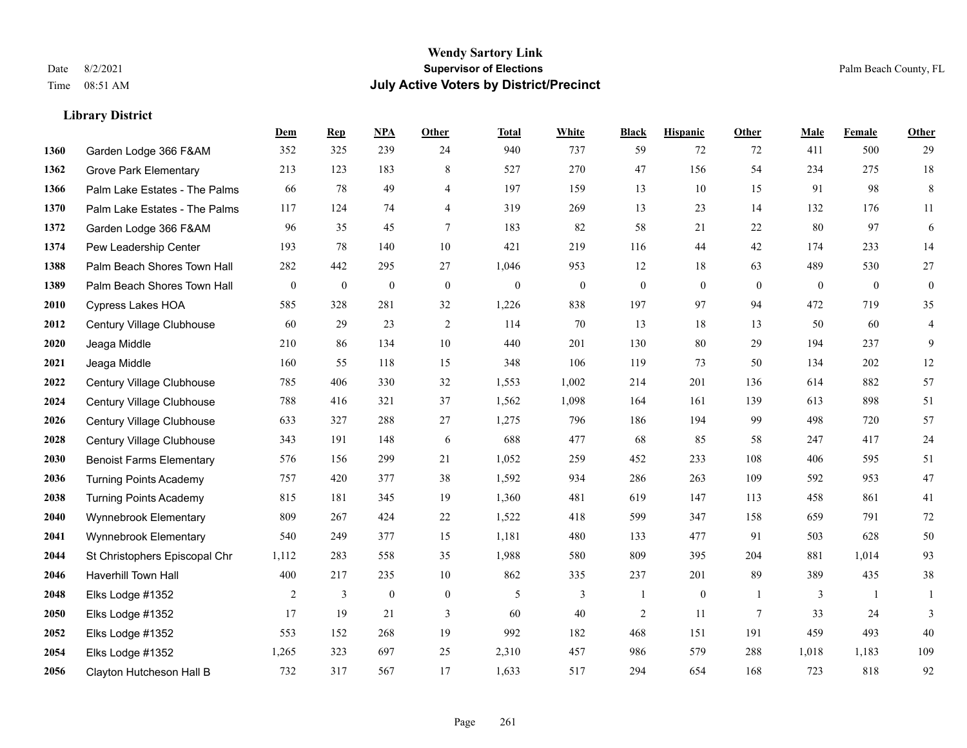|      |                                 | Dem          | <b>Rep</b>       | NPA              | <b>Other</b>     | <b>Total</b> | <b>White</b>   | <b>Black</b>   | <b>Hispanic</b>  | <b>Other</b>    | <b>Male</b> | Female   | <b>Other</b>     |
|------|---------------------------------|--------------|------------------|------------------|------------------|--------------|----------------|----------------|------------------|-----------------|-------------|----------|------------------|
| 1360 | Garden Lodge 366 F&AM           | 352          | 325              | 239              | 24               | 940          | 737            | 59             | 72               | 72              | 411         | 500      | 29               |
| 1362 | <b>Grove Park Elementary</b>    | 213          | 123              | 183              | 8                | 527          | 270            | 47             | 156              | 54              | 234         | 275      | $18\,$           |
| 1366 | Palm Lake Estates - The Palms   | 66           | 78               | 49               | 4                | 197          | 159            | 13             | 10               | 15              | 91          | 98       | $\,8\,$          |
| 1370 | Palm Lake Estates - The Palms   | 117          | 124              | 74               | $\overline{4}$   | 319          | 269            | 13             | 23               | 14              | 132         | 176      | 11               |
| 1372 | Garden Lodge 366 F&AM           | 96           | 35               | 45               | $\tau$           | 183          | 82             | 58             | 21               | 22              | 80          | 97       | 6                |
| 1374 | Pew Leadership Center           | 193          | 78               | 140              | 10               | 421          | 219            | 116            | 44               | 42              | 174         | 233      | 14               |
| 1388 | Palm Beach Shores Town Hall     | 282          | 442              | 295              | 27               | 1,046        | 953            | 12             | 18               | 63              | 489         | 530      | 27               |
| 1389 | Palm Beach Shores Town Hall     | $\mathbf{0}$ | $\boldsymbol{0}$ | $\mathbf{0}$     | $\theta$         | $\mathbf{0}$ | $\overline{0}$ | $\mathbf{0}$   | $\theta$         | $\theta$        | $\theta$    | $\theta$ | $\boldsymbol{0}$ |
| 2010 | <b>Cypress Lakes HOA</b>        | 585          | 328              | 281              | 32               | 1,226        | 838            | 197            | 97               | 94              | 472         | 719      | 35               |
| 2012 | Century Village Clubhouse       | 60           | 29               | 23               | 2                | 114          | 70             | 13             | 18               | 13              | 50          | 60       | $\overline{4}$   |
| 2020 | Jeaga Middle                    | 210          | 86               | 134              | 10               | 440          | 201            | 130            | 80               | 29              | 194         | 237      | 9                |
| 2021 | Jeaga Middle                    | 160          | 55               | 118              | 15               | 348          | 106            | 119            | 73               | 50              | 134         | 202      | $12\,$           |
| 2022 | Century Village Clubhouse       | 785          | 406              | 330              | 32               | 1,553        | 1,002          | 214            | 201              | 136             | 614         | 882      | 57               |
| 2024 | Century Village Clubhouse       | 788          | 416              | 321              | 37               | 1,562        | 1,098          | 164            | 161              | 139             | 613         | 898      | 51               |
| 2026 | Century Village Clubhouse       | 633          | 327              | 288              | 27               | 1,275        | 796            | 186            | 194              | 99              | 498         | 720      | 57               |
| 2028 | Century Village Clubhouse       | 343          | 191              | 148              | 6                | 688          | 477            | 68             | 85               | 58              | 247         | 417      | 24               |
| 2030 | <b>Benoist Farms Elementary</b> | 576          | 156              | 299              | 21               | 1,052        | 259            | 452            | 233              | 108             | 406         | 595      | 51               |
| 2036 | <b>Turning Points Academy</b>   | 757          | 420              | 377              | 38               | 1,592        | 934            | 286            | 263              | 109             | 592         | 953      | $47\,$           |
| 2038 | <b>Turning Points Academy</b>   | 815          | 181              | 345              | 19               | 1,360        | 481            | 619            | 147              | 113             | 458         | 861      | 41               |
| 2040 | Wynnebrook Elementary           | 809          | 267              | 424              | $22\,$           | 1,522        | 418            | 599            | 347              | 158             | 659         | 791      | $72\,$           |
| 2041 | Wynnebrook Elementary           | 540          | 249              | 377              | 15               | 1,181        | 480            | 133            | 477              | 91              | 503         | 628      | 50               |
| 2044 | St Christophers Episcopal Chr   | 1,112        | 283              | 558              | 35               | 1,988        | 580            | 809            | 395              | 204             | 881         | 1,014    | 93               |
| 2046 | Haverhill Town Hall             | 400          | 217              | 235              | 10               | 862          | 335            | 237            | 201              | 89              | 389         | 435      | $38\,$           |
| 2048 | Elks Lodge #1352                | 2            | 3                | $\boldsymbol{0}$ | $\boldsymbol{0}$ | 5            | 3              | 1              | $\boldsymbol{0}$ | $\overline{1}$  | 3           | -1       | 1                |
| 2050 | Elks Lodge #1352                | 17           | 19               | 21               | 3                | 60           | 40             | $\overline{2}$ | 11               | $7\phantom{.0}$ | 33          | 24       | 3                |
| 2052 | Elks Lodge #1352                | 553          | 152              | 268              | 19               | 992          | 182            | 468            | 151              | 191             | 459         | 493      | 40               |
| 2054 | Elks Lodge #1352                | 1,265        | 323              | 697              | 25               | 2,310        | 457            | 986            | 579              | 288             | 1,018       | 1,183    | 109              |
| 2056 | Clayton Hutcheson Hall B        | 732          | 317              | 567              | 17               | 1,633        | 517            | 294            | 654              | 168             | 723         | 818      | 92               |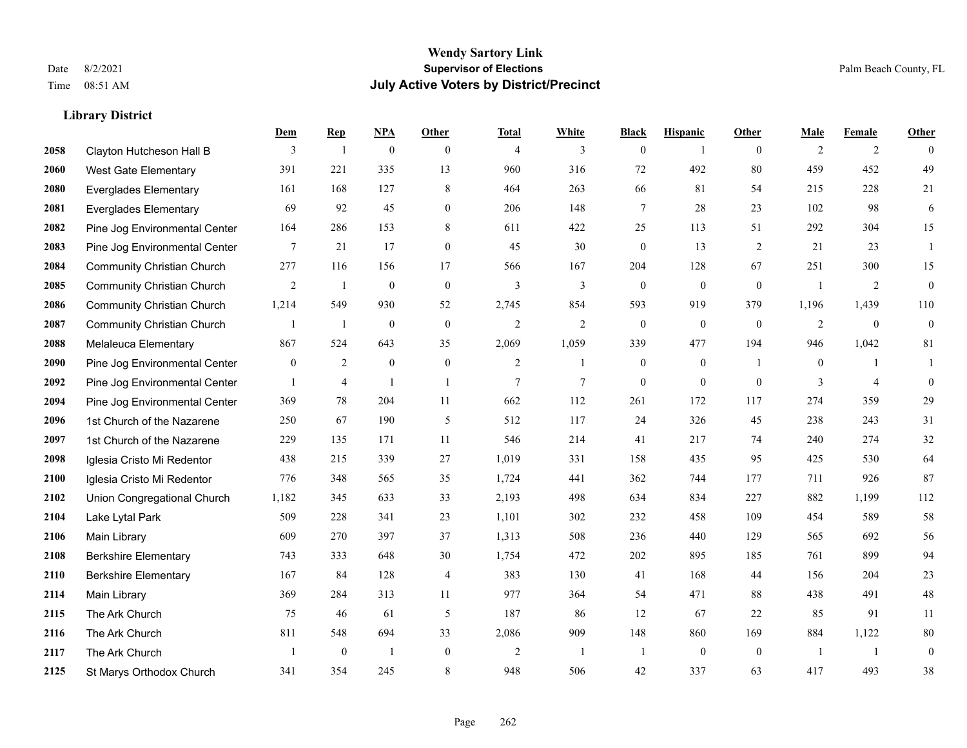#### **Wendy Sartory Link** Date 8/2/2021 **Supervisor of Elections** Palm Beach County, FL Time 08:51 AM **July Active Voters by District/Precinct**

**Dem Rep NPA Other Total White Black Hispanic Other Male Female Other**

### Clayton Hutcheson Hall B 3 1 0 0 4 3 0 1 0 2 2 0 West Gate Elementary 391 221 335 13 960 316 72 492 80 459 452 49 Everglades Elementary 161 168 127 8 464 263 66 81 54 215 228 21 Everglades Elementary 69 92 45 0 206 148 7 28 23 102 98 6 Pine Jog Environmental Center 164 286 153 8 611 422 25 113 51 292 304 15 Pine Jog Environmental Center 7 21 17 0 45 30 0 13 2 21 23 1 Community Christian Church 277 116 156 17 566 167 204 128 67 251 300 15 Community Christian Church 2 1 0 0 3 3 0 0 0 1 2 0 Community Christian Church 1,214 549 930 52 2,745 854 593 919 379 1,196 1,439 110 Community Christian Church 1 1 0 0 2 2 0 0 0 2 0 0 Melaleuca Elementary 867 524 643 35 2,069 1,059 339 477 194 946 1,042 81 Pine Jog Environmental Center  $\begin{array}{cccccccc} 0 & 2 & 0 & 0 & 2 & 1 & 0 & 1 & 0 & 1 \end{array}$  Pine Jog Environmental Center 1 4 1 1 1 7 7 0 0 0 3 4 0 Pine Jog Environmental Center 369 78 204 11 662 112 261 172 117 274 359 29 1st Church of the Nazarene 250 67 190 5 512 117 24 326 45 238 243 31 1st Church of the Nazarene 229 135 171 11 546 214 41 217 74 240 274 32 Iglesia Cristo Mi Redentor 438 215 339 27 1,019 331 158 435 95 425 530 64 Iglesia Cristo Mi Redentor 776 348 565 35 1,724 441 362 744 177 711 926 87 Union Congregational Church 1,182 345 633 33 2,193 498 634 834 227 882 1,199 112 Lake Lytal Park 509 228 341 23 1,101 302 232 458 109 454 589 58 Main Library 609 270 397 37 1,313 508 236 440 129 565 692 56 Berkshire Elementary 743 333 648 30 1,754 472 202 895 185 761 899 94 Berkshire Elementary 167 84 128 4 383 130 41 168 44 156 204 23 Main Library 369 284 313 11 977 364 54 471 88 438 491 48 The Ark Church 75 46 61 5 187 86 12 67 22 85 91 11 The Ark Church 811 548 694 33 2,086 909 148 860 169 884 1,122 80 The Ark Church 1 0 1 0 2 1 1 0 0 1 1 0

St Marys Orthodox Church 341 354 245 8 948 506 42 337 63 417 493 38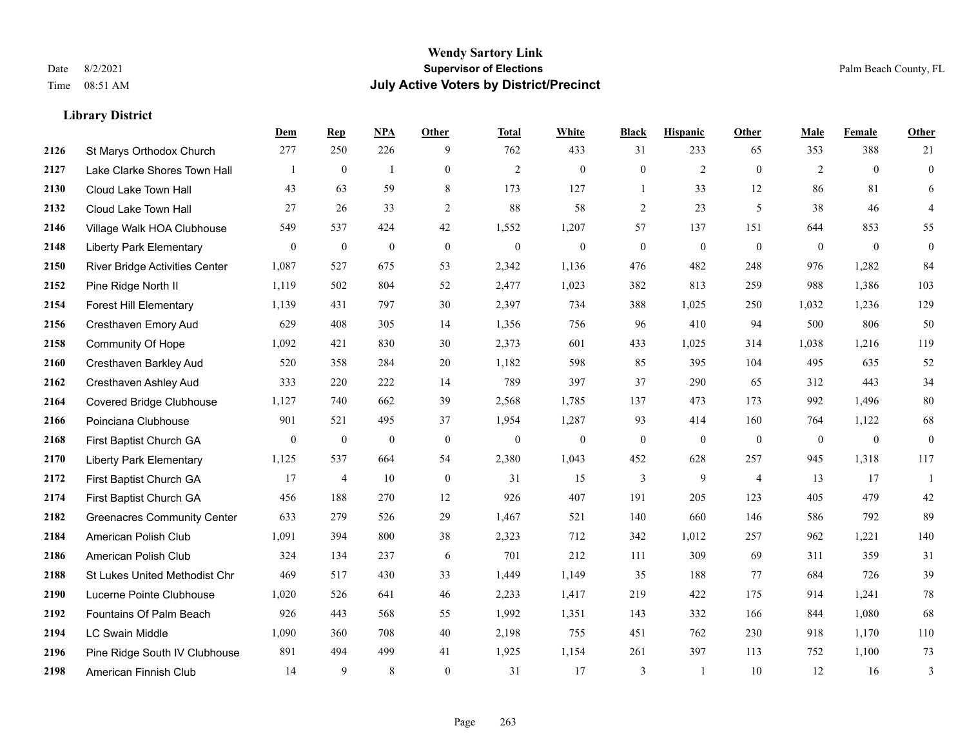|      |                                    | Dem          | <b>Rep</b>       | NPA              | <b>Other</b> | <b>Total</b>     | <b>White</b>     | <b>Black</b>     | <b>Hispanic</b> | <b>Other</b>   | <b>Male</b>    | Female         | <b>Other</b>     |
|------|------------------------------------|--------------|------------------|------------------|--------------|------------------|------------------|------------------|-----------------|----------------|----------------|----------------|------------------|
| 2126 | St Marys Orthodox Church           | 277          | 250              | 226              | 9            | 762              | 433              | 31               | 233             | 65             | 353            | 388            | 21               |
| 2127 | Lake Clarke Shores Town Hall       |              | $\boldsymbol{0}$ | $\mathbf{1}$     | $\mathbf{0}$ | $\overline{2}$   | $\boldsymbol{0}$ | $\boldsymbol{0}$ | $\overline{c}$  | $\mathbf{0}$   | $\overline{2}$ | $\overline{0}$ | $\boldsymbol{0}$ |
| 2130 | Cloud Lake Town Hall               | 43           | 63               | 59               | 8            | 173              | 127              | $\mathbf{1}$     | 33              | 12             | 86             | 81             | 6                |
| 2132 | Cloud Lake Town Hall               | 27           | 26               | 33               | 2            | 88               | 58               | $\overline{2}$   | 23              | 5              | 38             | 46             | $\overline{4}$   |
| 2146 | Village Walk HOA Clubhouse         | 549          | 537              | 424              | 42           | 1,552            | 1,207            | 57               | 137             | 151            | 644            | 853            | 55               |
| 2148 | <b>Liberty Park Elementary</b>     | $\mathbf{0}$ | $\mathbf{0}$     | $\boldsymbol{0}$ | $\mathbf{0}$ | $\boldsymbol{0}$ | $\mathbf{0}$     | $\overline{0}$   | $\overline{0}$  | $\mathbf{0}$   | $\overline{0}$ | $\overline{0}$ | $\overline{0}$   |
| 2150 | River Bridge Activities Center     | 1,087        | 527              | 675              | 53           | 2,342            | 1,136            | 476              | 482             | 248            | 976            | 1,282          | 84               |
| 2152 | Pine Ridge North II                | 1,119        | 502              | 804              | 52           | 2,477            | 1,023            | 382              | 813             | 259            | 988            | 1,386          | 103              |
| 2154 | <b>Forest Hill Elementary</b>      | 1,139        | 431              | 797              | 30           | 2,397            | 734              | 388              | 1,025           | 250            | 1,032          | 1,236          | 129              |
| 2156 | Cresthaven Emory Aud               | 629          | 408              | 305              | 14           | 1,356            | 756              | 96               | 410             | 94             | 500            | 806            | 50               |
| 2158 | Community Of Hope                  | 1,092        | 421              | 830              | 30           | 2,373            | 601              | 433              | 1,025           | 314            | 1,038          | 1,216          | 119              |
| 2160 | Cresthaven Barkley Aud             | 520          | 358              | 284              | 20           | 1,182            | 598              | 85               | 395             | 104            | 495            | 635            | 52               |
| 2162 | Cresthaven Ashley Aud              | 333          | 220              | 222              | 14           | 789              | 397              | 37               | 290             | 65             | 312            | 443            | 34               |
| 2164 | <b>Covered Bridge Clubhouse</b>    | 1,127        | 740              | 662              | 39           | 2,568            | 1,785            | 137              | 473             | 173            | 992            | 1,496          | $80\,$           |
| 2166 | Poinciana Clubhouse                | 901          | 521              | 495              | 37           | 1,954            | 1,287            | 93               | 414             | 160            | 764            | 1,122          | 68               |
| 2168 | First Baptist Church GA            | $\mathbf{0}$ | $\boldsymbol{0}$ | $\theta$         | $\mathbf{0}$ | $\mathbf{0}$     | $\boldsymbol{0}$ | $\boldsymbol{0}$ | $\overline{0}$  | $\mathbf{0}$   | $\overline{0}$ | $\mathbf{0}$   | $\overline{0}$   |
| 2170 | <b>Liberty Park Elementary</b>     | 1,125        | 537              | 664              | 54           | 2,380            | 1,043            | 452              | 628             | 257            | 945            | 1,318          | 117              |
| 2172 | First Baptist Church GA            | 17           | $\overline{4}$   | 10               | $\theta$     | 31               | 15               | 3                | 9               | $\overline{4}$ | 13             | 17             | $\overline{1}$   |
| 2174 | First Baptist Church GA            | 456          | 188              | 270              | 12           | 926              | 407              | 191              | 205             | 123            | 405            | 479            | 42               |
| 2182 | <b>Greenacres Community Center</b> | 633          | 279              | 526              | 29           | 1,467            | 521              | 140              | 660             | 146            | 586            | 792            | 89               |
| 2184 | American Polish Club               | 1,091        | 394              | 800              | 38           | 2,323            | 712              | 342              | 1,012           | 257            | 962            | 1,221          | 140              |
| 2186 | American Polish Club               | 324          | 134              | 237              | 6            | 701              | 212              | 111              | 309             | 69             | 311            | 359            | 31               |
| 2188 | St Lukes United Methodist Chr      | 469          | 517              | 430              | 33           | 1,449            | 1,149            | 35               | 188             | 77             | 684            | 726            | 39               |
| 2190 | Lucerne Pointe Clubhouse           | 1,020        | 526              | 641              | 46           | 2,233            | 1,417            | 219              | 422             | 175            | 914            | 1,241          | 78               |
| 2192 | Fountains Of Palm Beach            | 926          | 443              | 568              | 55           | 1,992            | 1,351            | 143              | 332             | 166            | 844            | 1,080          | 68               |
| 2194 | LC Swain Middle                    | 1,090        | 360              | 708              | 40           | 2,198            | 755              | 451              | 762             | 230            | 918            | 1,170          | 110              |
| 2196 | Pine Ridge South IV Clubhouse      | 891          | 494              | 499              | 41           | 1,925            | 1,154            | 261              | 397             | 113            | 752            | 1,100          | 73               |
| 2198 | American Finnish Club              | 14           | 9                | 8                | $\theta$     | 31               | 17               | 3                |                 | 10             | 12             | 16             | 3                |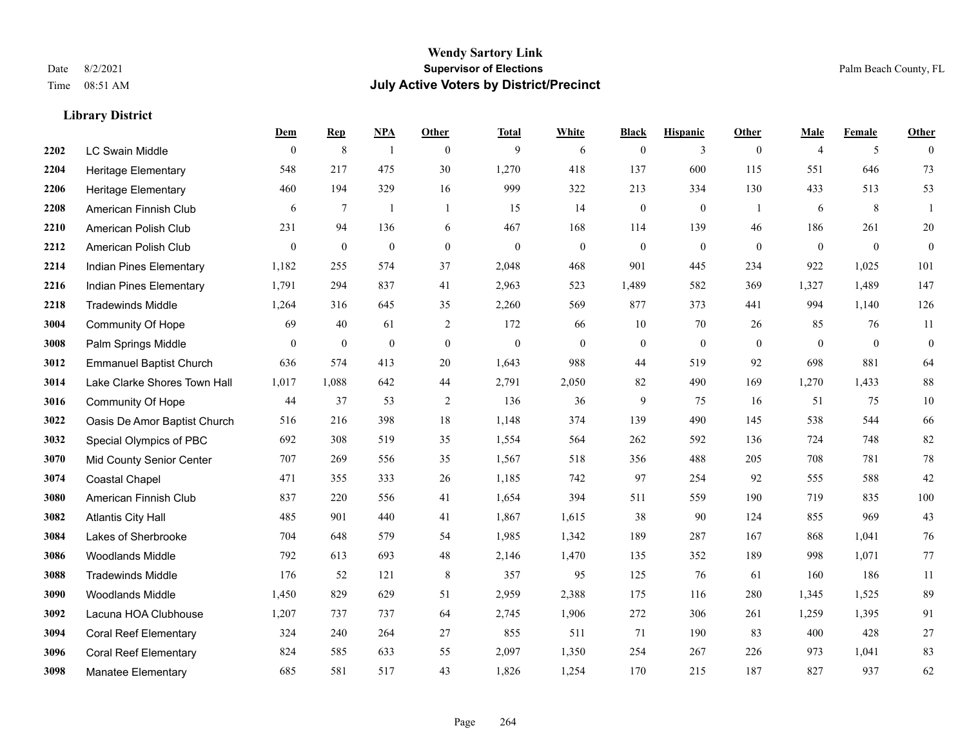|      |                                | Dem          | <b>Rep</b>       | NPA              | <b>Other</b>   | <b>Total</b>     | <b>White</b>     | <b>Black</b>     | <b>Hispanic</b>  | <b>Other</b>   | <b>Male</b>    | <b>Female</b>  | <b>Other</b>     |
|------|--------------------------------|--------------|------------------|------------------|----------------|------------------|------------------|------------------|------------------|----------------|----------------|----------------|------------------|
| 2202 | LC Swain Middle                | $\mathbf{0}$ | $\,$ 8 $\,$      | $\overline{1}$   | $\theta$       | 9                | 6                | $\mathbf{0}$     | 3                | $\mathbf{0}$   | $\overline{4}$ | 5              | $\theta$         |
| 2204 | <b>Heritage Elementary</b>     | 548          | 217              | 475              | 30             | 1,270            | 418              | 137              | 600              | 115            | 551            | 646            | 73               |
| 2206 | <b>Heritage Elementary</b>     | 460          | 194              | 329              | 16             | 999              | 322              | 213              | 334              | 130            | 433            | 513            | 53               |
| 2208 | American Finnish Club          | 6            | $\tau$           |                  | $\overline{1}$ | 15               | 14               | $\boldsymbol{0}$ | $\mathbf{0}$     | $\mathbf{1}$   | 6              | 8              | -1               |
| 2210 | American Polish Club           | 231          | 94               | 136              | 6              | 467              | 168              | 114              | 139              | 46             | 186            | 261            | 20               |
| 2212 | American Polish Club           | $\mathbf{0}$ | $\boldsymbol{0}$ | $\boldsymbol{0}$ | $\mathbf{0}$   | $\boldsymbol{0}$ | $\boldsymbol{0}$ | $\boldsymbol{0}$ | $\boldsymbol{0}$ | $\overline{0}$ | $\overline{0}$ | $\mathbf{0}$   | $\overline{0}$   |
| 2214 | Indian Pines Elementary        | 1,182        | 255              | 574              | 37             | 2,048            | 468              | 901              | 445              | 234            | 922            | 1,025          | 101              |
| 2216 | Indian Pines Elementary        | 1,791        | 294              | 837              | 41             | 2,963            | 523              | 1,489            | 582              | 369            | 1,327          | 1,489          | 147              |
| 2218 | <b>Tradewinds Middle</b>       | 1,264        | 316              | 645              | 35             | 2,260            | 569              | 877              | 373              | 441            | 994            | 1,140          | 126              |
| 3004 | Community Of Hope              | 69           | 40               | 61               | 2              | 172              | 66               | 10               | 70               | 26             | 85             | 76             | 11               |
| 3008 | Palm Springs Middle            | $\mathbf{0}$ | $\mathbf{0}$     | $\mathbf{0}$     | $\mathbf{0}$   | $\mathbf{0}$     | $\mathbf{0}$     | $\boldsymbol{0}$ | $\overline{0}$   | $\theta$       | $\theta$       | $\overline{0}$ | $\boldsymbol{0}$ |
| 3012 | <b>Emmanuel Baptist Church</b> | 636          | 574              | 413              | 20             | 1,643            | 988              | 44               | 519              | 92             | 698            | 881            | 64               |
| 3014 | Lake Clarke Shores Town Hall   | 1,017        | 1,088            | 642              | 44             | 2,791            | 2,050            | 82               | 490              | 169            | 1,270          | 1,433          | $88\,$           |
| 3016 | Community Of Hope              | 44           | 37               | 53               | $\sqrt{2}$     | 136              | 36               | 9                | 75               | 16             | 51             | 75             | $10\,$           |
| 3022 | Oasis De Amor Baptist Church   | 516          | 216              | 398              | 18             | 1,148            | 374              | 139              | 490              | 145            | 538            | 544            | 66               |
| 3032 | Special Olympics of PBC        | 692          | 308              | 519              | 35             | 1,554            | 564              | 262              | 592              | 136            | 724            | 748            | 82               |
| 3070 | Mid County Senior Center       | 707          | 269              | 556              | 35             | 1,567            | 518              | 356              | 488              | 205            | 708            | 781            | 78               |
| 3074 | <b>Coastal Chapel</b>          | 471          | 355              | 333              | 26             | 1,185            | 742              | 97               | 254              | 92             | 555            | 588            | 42               |
| 3080 | American Finnish Club          | 837          | 220              | 556              | 41             | 1,654            | 394              | 511              | 559              | 190            | 719            | 835            | 100              |
| 3082 | <b>Atlantis City Hall</b>      | 485          | 901              | 440              | 41             | 1,867            | 1,615            | 38               | 90               | 124            | 855            | 969            | 43               |
| 3084 | Lakes of Sherbrooke            | 704          | 648              | 579              | 54             | 1,985            | 1,342            | 189              | 287              | 167            | 868            | 1,041          | 76               |
| 3086 | <b>Woodlands Middle</b>        | 792          | 613              | 693              | 48             | 2,146            | 1,470            | 135              | 352              | 189            | 998            | 1,071          | 77               |
| 3088 | <b>Tradewinds Middle</b>       | 176          | 52               | 121              | $\,8\,$        | 357              | 95               | 125              | 76               | 61             | 160            | 186            | $11\,$           |
| 3090 | <b>Woodlands Middle</b>        | 1,450        | 829              | 629              | 51             | 2,959            | 2,388            | 175              | 116              | 280            | 1,345          | 1,525          | 89               |
| 3092 | Lacuna HOA Clubhouse           | 1,207        | 737              | 737              | 64             | 2,745            | 1,906            | 272              | 306              | 261            | 1,259          | 1,395          | 91               |
| 3094 | <b>Coral Reef Elementary</b>   | 324          | 240              | 264              | 27             | 855              | 511              | 71               | 190              | 83             | 400            | 428            | $27\,$           |
| 3096 | <b>Coral Reef Elementary</b>   | 824          | 585              | 633              | 55             | 2,097            | 1,350            | 254              | 267              | 226            | 973            | 1,041          | 83               |
| 3098 | <b>Manatee Elementary</b>      | 685          | 581              | 517              | 43             | 1,826            | 1,254            | 170              | 215              | 187            | 827            | 937            | 62               |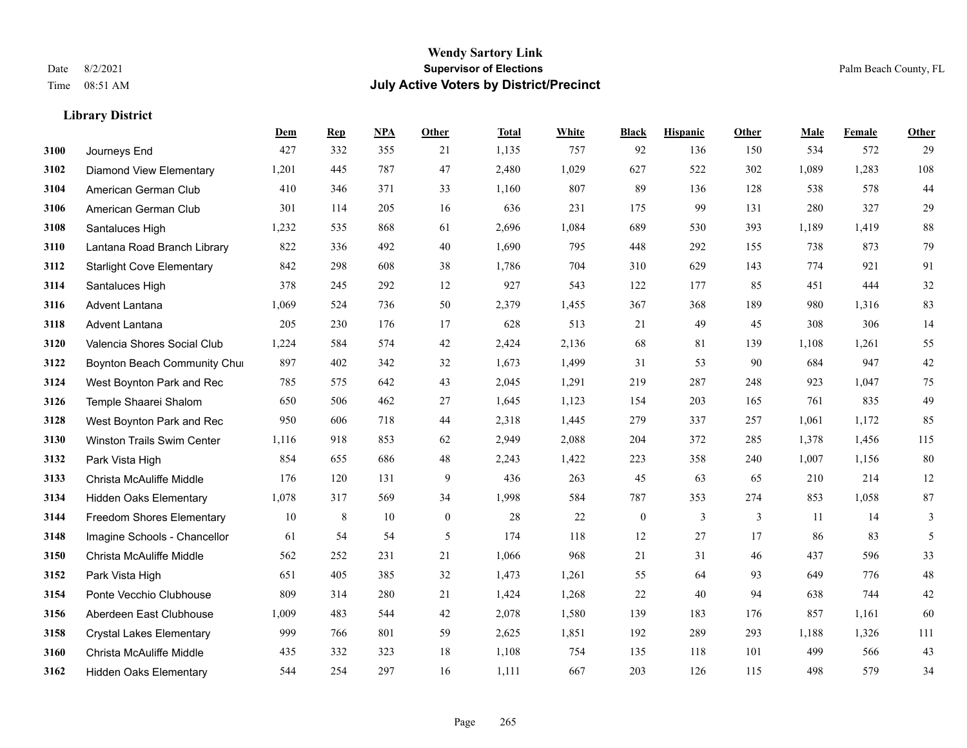#### **Wendy Sartory Link** Date 8/2/2021 **Supervisor of Elections** Palm Beach County, FL Time 08:51 AM **July Active Voters by District/Precinct**

**Dem Rep NPA Other Total White Black Hispanic Other Male Female Other**

## Journeys End 427 332 355 21 1,135 757 92 136 150 534 572 29 Diamond View Elementary 1,201 445 787 47 2,480 1,029 627 522 302 1,089 1,283 108 **3104 American German Club** 410 346 371 33 1,160 807 89 136 128 538 578 44 American German Club 301 114 205 16 636 231 175 99 131 280 327 29 Santaluces High 1,232 535 868 61 2,696 1,084 689 530 393 1,189 1,419 88 Lantana Road Branch Library 822 336 492 40 1,690 795 448 292 155 738 873 79

| 3112 | <b>Starlight Cove Elementary</b> | 842   | 298 | 608 | 38           | 1,786 | 704   | 310          | 629 | 143 | 774   | 921   | 91  |
|------|----------------------------------|-------|-----|-----|--------------|-------|-------|--------------|-----|-----|-------|-------|-----|
| 3114 | Santaluces High                  | 378   | 245 | 292 | 12           | 927   | 543   | 122          | 177 | 85  | 451   | 444   | 32  |
| 3116 | Advent Lantana                   | 1,069 | 524 | 736 | 50           | 2,379 | 1,455 | 367          | 368 | 189 | 980   | 1,316 | 83  |
| 3118 | Advent Lantana                   | 205   | 230 | 176 | 17           | 628   | 513   | 21           | 49  | 45  | 308   | 306   | 14  |
| 3120 | Valencia Shores Social Club      | 1,224 | 584 | 574 | 42           | 2,424 | 2,136 | 68           | 81  | 139 | 1,108 | 1,261 | 55  |
| 3122 | Boynton Beach Community Chur     | 897   | 402 | 342 | 32           | 1,673 | 1,499 | 31           | 53  | 90  | 684   | 947   | 42  |
| 3124 | West Boynton Park and Rec        | 785   | 575 | 642 | 43           | 2,045 | 1,291 | 219          | 287 | 248 | 923   | 1,047 | 75  |
| 3126 | Temple Shaarei Shalom            | 650   | 506 | 462 | 27           | 1,645 | 1,123 | 154          | 203 | 165 | 761   | 835   | 49  |
| 3128 | West Boynton Park and Rec        | 950   | 606 | 718 | 44           | 2,318 | 1,445 | 279          | 337 | 257 | 1,061 | 1,172 | 85  |
| 3130 | Winston Trails Swim Center       | 1,116 | 918 | 853 | 62           | 2,949 | 2,088 | 204          | 372 | 285 | 1,378 | 1,456 | 115 |
| 3132 | Park Vista High                  | 854   | 655 | 686 | 48           | 2,243 | 1,422 | 223          | 358 | 240 | 1,007 | 1,156 | 80  |
| 3133 | Christa McAuliffe Middle         | 176   | 120 | 131 | 9            | 436   | 263   | 45           | 63  | 65  | 210   | 214   | 12  |
| 3134 | Hidden Oaks Elementary           | 1,078 | 317 | 569 | 34           | 1,998 | 584   | 787          | 353 | 274 | 853   | 1,058 | 87  |
| 3144 | <b>Freedom Shores Elementary</b> | 10    | 8   | 10  | $\mathbf{0}$ | 28    | 22    | $\mathbf{0}$ | 3   | 3   | 11    | 14    | 3   |
| 3148 | Imagine Schools - Chancellor     | 61    | 54  | 54  | 5            | 174   | 118   | 12           | 27  | 17  | 86    | 83    | 5   |
| 3150 | Christa McAuliffe Middle         | 562   | 252 | 231 | 21           | 1,066 | 968   | 21           | 31  | 46  | 437   | 596   | 33  |
| 3152 | Park Vista High                  | 651   | 405 | 385 | 32           | 1,473 | 1,261 | 55           | 64  | 93  | 649   | 776   | 48  |
| 3154 | Ponte Vecchio Clubhouse          | 809   | 314 | 280 | 21           | 1,424 | 1,268 | 22           | 40  | 94  | 638   | 744   | 42  |
| 3156 | Aberdeen East Clubhouse          | 1,009 | 483 | 544 | 42           | 2,078 | 1,580 | 139          | 183 | 176 | 857   | 1,161 | 60  |
| 3158 | <b>Crystal Lakes Elementary</b>  | 999   | 766 | 801 | 59           | 2,625 | 1,851 | 192          | 289 | 293 | 1,188 | 1,326 | 111 |
| 3160 | Christa McAuliffe Middle         | 435   | 332 | 323 | 18           | 1,108 | 754   | 135          | 118 | 101 | 499   | 566   | 43  |
| 3162 | <b>Hidden Oaks Elementary</b>    | 544   | 254 | 297 | 16           | 1,111 | 667   | 203          | 126 | 115 | 498   | 579   | 34  |
|      |                                  |       |     |     |              |       |       |              |     |     |       |       |     |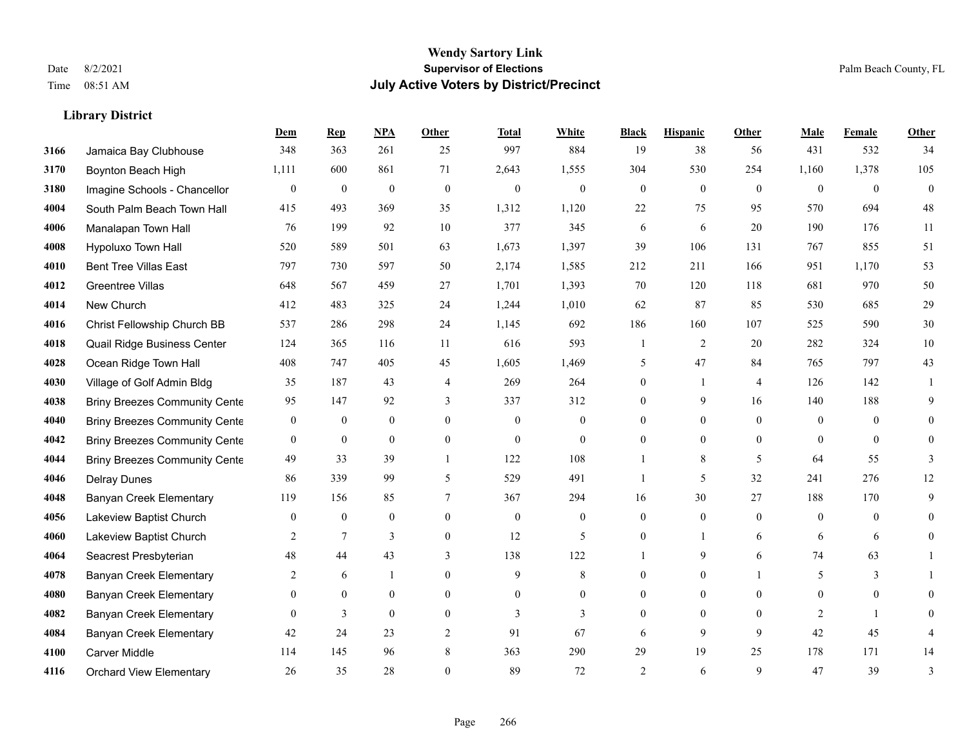#### **Wendy Sartory Link** Date 8/2/2021 **Supervisor of Elections** Palm Beach County, FL Time 08:51 AM **July Active Voters by District/Precinct**

# **Dem Rep NPA Other Total White Black Hispanic Other Male Female Other**

| 3166 | Jamaica Bay Clubhouse                | 348            | 363              | 261              | 25             | 997          | 884            | 19             | 38             | 56                       | 431      | 532          | 34       |
|------|--------------------------------------|----------------|------------------|------------------|----------------|--------------|----------------|----------------|----------------|--------------------------|----------|--------------|----------|
| 3170 | Boynton Beach High                   | 1,111          | 600              | 861              | 71             | 2,643        | 1,555          | 304            | 530            | 254                      | 1,160    | 1,378        | 105      |
| 3180 | Imagine Schools - Chancellor         | $\mathbf{0}$   | $\boldsymbol{0}$ | $\boldsymbol{0}$ | $\mathbf{0}$   | $\mathbf{0}$ | $\overline{0}$ | $\overline{0}$ | $\overline{0}$ | $\Omega$                 | $\theta$ | $\theta$     | $\theta$ |
| 4004 | South Palm Beach Town Hall           | 415            | 493              | 369              | 35             | 1,312        | 1,120          | 22             | 75             | 95                       | 570      | 694          | 48       |
| 4006 | Manalapan Town Hall                  | 76             | 199              | 92               | 10             | 377          | 345            | 6              | 6              | 20                       | 190      | 176          | 11       |
| 4008 | Hypoluxo Town Hall                   | 520            | 589              | 501              | 63             | 1,673        | 1,397          | 39             | 106            | 131                      | 767      | 855          | 51       |
| 4010 | <b>Bent Tree Villas East</b>         | 797            | 730              | 597              | 50             | 2,174        | 1,585          | 212            | 211            | 166                      | 951      | 1,170        | 53       |
| 4012 | <b>Greentree Villas</b>              | 648            | 567              | 459              | 27             | 1,701        | 1,393          | 70             | 120            | 118                      | 681      | 970          | 50       |
| 4014 | New Church                           | 412            | 483              | 325              | 24             | 1,244        | 1,010          | 62             | 87             | 85                       | 530      | 685          | 29       |
| 4016 | Christ Fellowship Church BB          | 537            | 286              | 298              | 24             | 1,145        | 692            | 186            | 160            | 107                      | 525      | 590          | $30\,$   |
| 4018 | Quail Ridge Business Center          | 124            | 365              | 116              | 11             | 616          | 593            |                | 2              | 20                       | 282      | 324          | $10\,$   |
| 4028 | Ocean Ridge Town Hall                | 408            | 747              | 405              | 45             | 1,605        | 1,469          | 5              | 47             | 84                       | 765      | 797          | 43       |
| 4030 | Village of Golf Admin Bldg           | 35             | 187              | 43               | $\overline{4}$ | 269          | 264            | 0              | $\mathbf{1}$   | $\overline{4}$           | 126      | 142          |          |
| 4038 | <b>Briny Breezes Community Cente</b> | 95             | 147              | 92               | 3              | 337          | 312            | 0              | 9              | 16                       | 140      | 188          | 9        |
| 4040 | <b>Briny Breezes Community Cente</b> | $\overline{0}$ | $\boldsymbol{0}$ | $\mathbf{0}$     | $\theta$       | $\mathbf{0}$ | $\mathbf{0}$   | 0              | $\overline{0}$ | $\Omega$                 | $\theta$ | $\theta$     |          |
| 4042 | <b>Briny Breezes Community Cente</b> | $\mathbf{0}$   | $\mathbf{0}$     | $\overline{0}$   | $\mathbf{0}$   | $\mathbf{0}$ | $\overline{0}$ | 0              | 0              | $\theta$                 | $\theta$ | $\theta$     | $\Omega$ |
| 4044 | <b>Briny Breezes Community Cente</b> | 49             | 33               | 39               |                | 122          | 108            |                | 8              | $\overline{\phantom{0}}$ | 64       | 55           | 3        |
| 4046 | <b>Delray Dunes</b>                  | 86             | 339              | 99               | 5              | 529          | 491            |                | 5              | 32                       | 241      | 276          | 12       |
| 4048 | <b>Banyan Creek Elementary</b>       | 119            | 156              | 85               | $\overline{7}$ | 367          | 294            | 16             | 30             | 27                       | 188      | 170          | 9        |
| 4056 | Lakeview Baptist Church              | $\mathbf{0}$   | $\mathbf{0}$     | $\overline{0}$   | $\mathbf{0}$   | $\mathbf{0}$ | $\overline{0}$ | $\overline{0}$ | $\overline{0}$ | $\Omega$                 | $\theta$ | $\theta$     | 0        |
| 4060 | Lakeview Baptist Church              | 2              | $\tau$           | 3                | $\theta$       | 12           | 5              | 0              |                | 6                        | 6        | 6            | 0        |
| 4064 | Seacrest Presbyterian                | 48             | 44               | 43               | 3              | 138          | 122            |                | 9              | 6                        | 74       | 63           |          |
| 4078 | <b>Banyan Creek Elementary</b>       | 2              | 6                | 1                | $\theta$       | 9            | 8              | 0              | $\overline{0}$ |                          | 5        | 3            |          |
| 4080 | <b>Banyan Creek Elementary</b>       | $\Omega$       | $\theta$         | $\overline{0}$   | $\theta$       | $\Omega$     | $\Omega$       | 0              | $\overline{0}$ | $\Omega$                 | $\Omega$ | $\theta$     |          |
| 4082 | Banyan Creek Elementary              | $\Omega$       | 3                | $\Omega$         | $\mathbf{0}$   | 3            | 3              | 0              | $\overline{0}$ | $\theta$                 | 2        | $\mathbf{1}$ | $\Omega$ |
| 4084 | <b>Banyan Creek Elementary</b>       | 42             | 24               | 23               | $\overline{2}$ | 91           | 67             | 6              | 9              | 9                        | 42       | 45           |          |
| 4100 | Carver Middle                        | 114            | 145              | 96               | 8              | 363          | 290            | 29             | 19             | 25                       | 178      | 171          | 14       |
| 4116 | <b>Orchard View Elementary</b>       | 26             | 35               | 28               | $\mathbf{0}$   | 89           | 72             | $\overline{2}$ | 6              | 9                        | 47       | 39           | 3        |
|      |                                      |                |                  |                  |                |              |                |                |                |                          |          |              |          |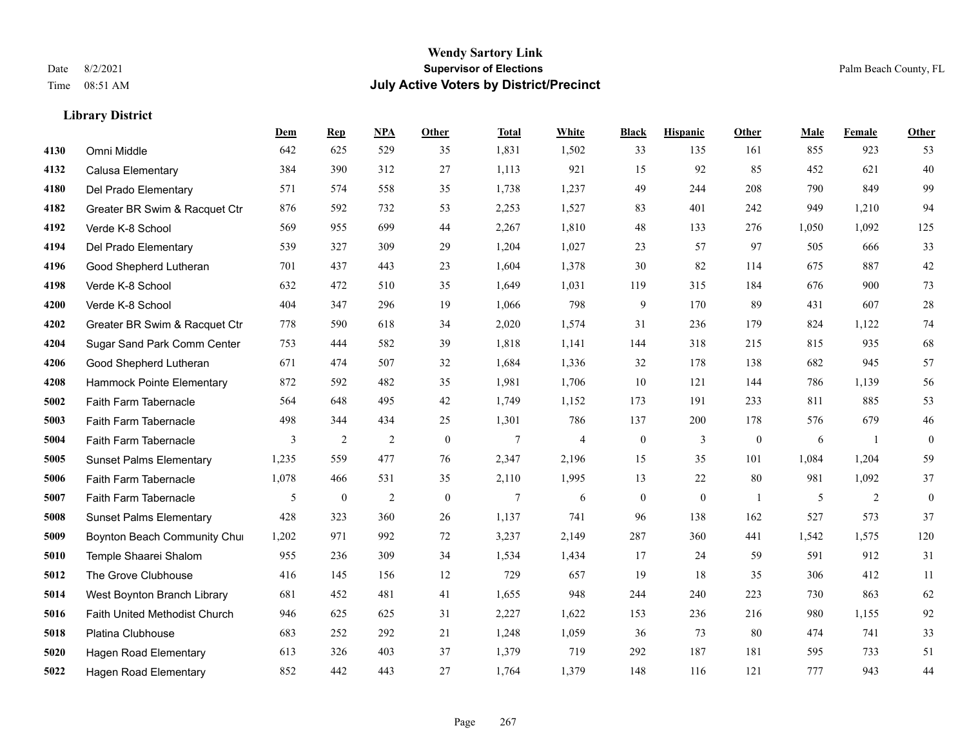#### **Wendy Sartory Link** Date 8/2/2021 **Supervisor of Elections** Palm Beach County, FL Time 08:51 AM **July Active Voters by District/Precinct**

**Dem Rep NPA Other Total White Black Hispanic Other Male Female Other**

### Omni Middle 642 625 529 35 1,831 1,502 33 135 161 855 923 53 Calusa Elementary 384 390 312 27 1,113 921 15 92 85 452 621 40 Del Prado Elementary 571 574 558 35 1,738 1,237 49 244 208 790 849 99 Greater BR Swim & Racquet Ctr 876 592 732 53 2,253 1,527 83 401 242 949 1,210 94 Verde K-8 School 569 955 699 44 2,267 1,810 48 133 276 1,050 1,092 125 Del Prado Elementary 539 327 309 29 1,204 1,027 23 57 97 505 666 33 Good Shepherd Lutheran 701 437 443 23 1,604 1,378 30 82 114 675 887 42 Verde K-8 School 632 472 510 35 1,649 1,031 119 315 184 676 900 73 Verde K-8 School 404 347 296 19 1,066 798 9 170 89 431 607 28 Greater BR Swim & Racquet Ctr 778 590 618 34 2,020 1,574 31 236 179 824 1,122 74 Sugar Sand Park Comm Center 753 444 582 39 1,818 1,141 144 318 215 815 935 68 Good Shepherd Lutheran 671 474 507 32 1,684 1,336 32 178 138 682 945 57 Hammock Pointe Elementary 872 592 482 35 1,981 1,706 10 121 144 786 1,139 56 Faith Farm Tabernacle 564 648 495 42 1,749 1,152 173 191 233 811 885 53 Faith Farm Tabernacle 498 344 434 25 1,301 786 137 200 178 576 679 46 Faith Farm Tabernacle 3 2 2 0 7 4 0 3 0 6 1 0 Sunset Palms Elementary 1,235 559 477 76 2,347 2,196 15 35 101 1,084 1,204 59 Faith Farm Tabernacle 1,078 466 531 35 2,110 1,995 13 22 80 981 1,092 37 Faith Farm Tabernacle 5 0 2 0 7 6 0 0 1 5 2 0 Sunset Palms Elementary 428 323 360 26 1,137 741 96 138 162 527 573 37 Boynton Beach Community Church 1,202 971 992 72 3,237 2,149 287 360 441 1,542 1,575 120 Temple Shaarei Shalom 955 236 309 34 1,534 1,434 17 24 59 591 912 31 The Grove Clubhouse 416 145 156 12 729 657 19 18 35 306 412 11 West Boynton Branch Library 681 452 481 41 1,655 948 244 240 223 730 863 62 Faith United Methodist Church 946 625 625 31 2,227 1,622 153 236 216 980 1,155 92 Platina Clubhouse 683 252 292 21 1,248 1,059 36 73 80 474 741 33

 Hagen Road Elementary 613 326 403 37 1,379 719 292 187 181 595 733 51 Hagen Road Elementary 852 442 443 27 1,764 1,379 148 116 121 777 943 44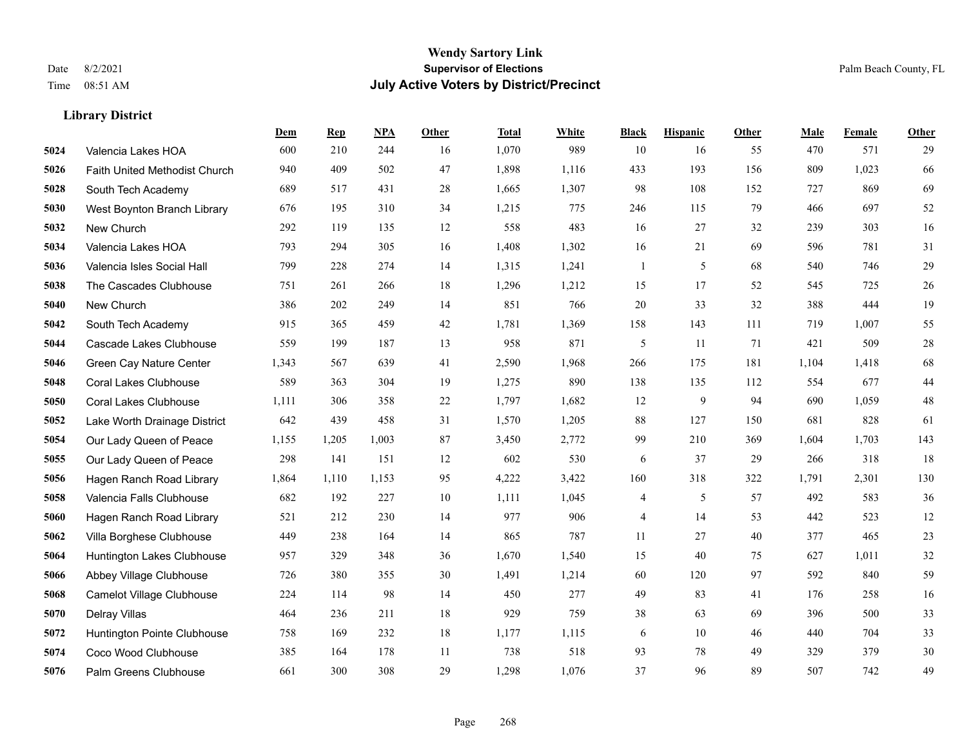|      |                               | Dem   | <b>Rep</b> | NPA   | <b>Other</b> | <b>Total</b> | <b>White</b> | <b>Black</b>             | <b>Hispanic</b> | <b>Other</b> | <b>Male</b> | Female | <b>Other</b> |
|------|-------------------------------|-------|------------|-------|--------------|--------------|--------------|--------------------------|-----------------|--------------|-------------|--------|--------------|
| 5024 | Valencia Lakes HOA            | 600   | 210        | 244   | 16           | 1,070        | 989          | 10                       | 16              | 55           | 470         | 571    | 29           |
| 5026 | Faith United Methodist Church | 940   | 409        | 502   | 47           | 1,898        | 1,116        | 433                      | 193             | 156          | 809         | 1,023  | 66           |
| 5028 | South Tech Academy            | 689   | 517        | 431   | 28           | 1,665        | 1,307        | 98                       | 108             | 152          | 727         | 869    | 69           |
| 5030 | West Boynton Branch Library   | 676   | 195        | 310   | 34           | 1,215        | 775          | 246                      | 115             | 79           | 466         | 697    | 52           |
| 5032 | New Church                    | 292   | 119        | 135   | 12           | 558          | 483          | 16                       | 27              | 32           | 239         | 303    | 16           |
| 5034 | Valencia Lakes HOA            | 793   | 294        | 305   | 16           | 1,408        | 1,302        | 16                       | 21              | 69           | 596         | 781    | 31           |
| 5036 | Valencia Isles Social Hall    | 799   | 228        | 274   | 14           | 1,315        | 1,241        | $\mathbf{1}$             | 5               | 68           | 540         | 746    | 29           |
| 5038 | The Cascades Clubhouse        | 751   | 261        | 266   | 18           | 1,296        | 1,212        | 15                       | 17              | 52           | 545         | 725    | 26           |
| 5040 | New Church                    | 386   | 202        | 249   | 14           | 851          | 766          | 20                       | 33              | 32           | 388         | 444    | 19           |
| 5042 | South Tech Academy            | 915   | 365        | 459   | $42\,$       | 1,781        | 1,369        | 158                      | 143             | 111          | 719         | 1,007  | 55           |
| 5044 | Cascade Lakes Clubhouse       | 559   | 199        | 187   | 13           | 958          | 871          | 5                        | 11              | 71           | 421         | 509    | $28\,$       |
| 5046 | Green Cay Nature Center       | 1,343 | 567        | 639   | 41           | 2,590        | 1,968        | 266                      | 175             | 181          | 1,104       | 1,418  | 68           |
| 5048 | <b>Coral Lakes Clubhouse</b>  | 589   | 363        | 304   | 19           | 1,275        | 890          | 138                      | 135             | 112          | 554         | 677    | 44           |
| 5050 | <b>Coral Lakes Clubhouse</b>  | 1,111 | 306        | 358   | $22\,$       | 1,797        | 1,682        | 12                       | 9               | 94           | 690         | 1,059  | 48           |
| 5052 | Lake Worth Drainage District  | 642   | 439        | 458   | 31           | 1,570        | 1,205        | 88                       | 127             | 150          | 681         | 828    | 61           |
| 5054 | Our Lady Queen of Peace       | 1,155 | 1,205      | 1,003 | 87           | 3,450        | 2,772        | 99                       | 210             | 369          | 1,604       | 1,703  | 143          |
| 5055 | Our Lady Queen of Peace       | 298   | 141        | 151   | 12           | 602          | 530          | 6                        | 37              | 29           | 266         | 318    | 18           |
| 5056 | Hagen Ranch Road Library      | 1,864 | 1,110      | 1,153 | 95           | 4,222        | 3,422        | 160                      | 318             | 322          | 1,791       | 2,301  | 130          |
| 5058 | Valencia Falls Clubhouse      | 682   | 192        | 227   | 10           | 1,111        | 1,045        | $\overline{\mathcal{A}}$ | 5               | 57           | 492         | 583    | $36\,$       |
| 5060 | Hagen Ranch Road Library      | 521   | 212        | 230   | 14           | 977          | 906          | 4                        | 14              | 53           | 442         | 523    | 12           |
| 5062 | Villa Borghese Clubhouse      | 449   | 238        | 164   | 14           | 865          | 787          | 11                       | 27              | 40           | 377         | 465    | 23           |
| 5064 | Huntington Lakes Clubhouse    | 957   | 329        | 348   | 36           | 1,670        | 1,540        | 15                       | 40              | 75           | 627         | 1,011  | 32           |
| 5066 | Abbey Village Clubhouse       | 726   | 380        | 355   | 30           | 1,491        | 1,214        | 60                       | 120             | 97           | 592         | 840    | 59           |
| 5068 | Camelot Village Clubhouse     | 224   | 114        | 98    | 14           | 450          | 277          | 49                       | 83              | 41           | 176         | 258    | 16           |
| 5070 | Delray Villas                 | 464   | 236        | 211   | 18           | 929          | 759          | 38                       | 63              | 69           | 396         | 500    | 33           |
| 5072 | Huntington Pointe Clubhouse   | 758   | 169        | 232   | 18           | 1,177        | 1,115        | 6                        | 10              | 46           | 440         | 704    | 33           |
| 5074 | Coco Wood Clubhouse           | 385   | 164        | 178   | 11           | 738          | 518          | 93                       | 78              | 49           | 329         | 379    | 30           |
| 5076 | Palm Greens Clubhouse         | 661   | 300        | 308   | 29           | 1,298        | 1,076        | 37                       | 96              | 89           | 507         | 742    | 49           |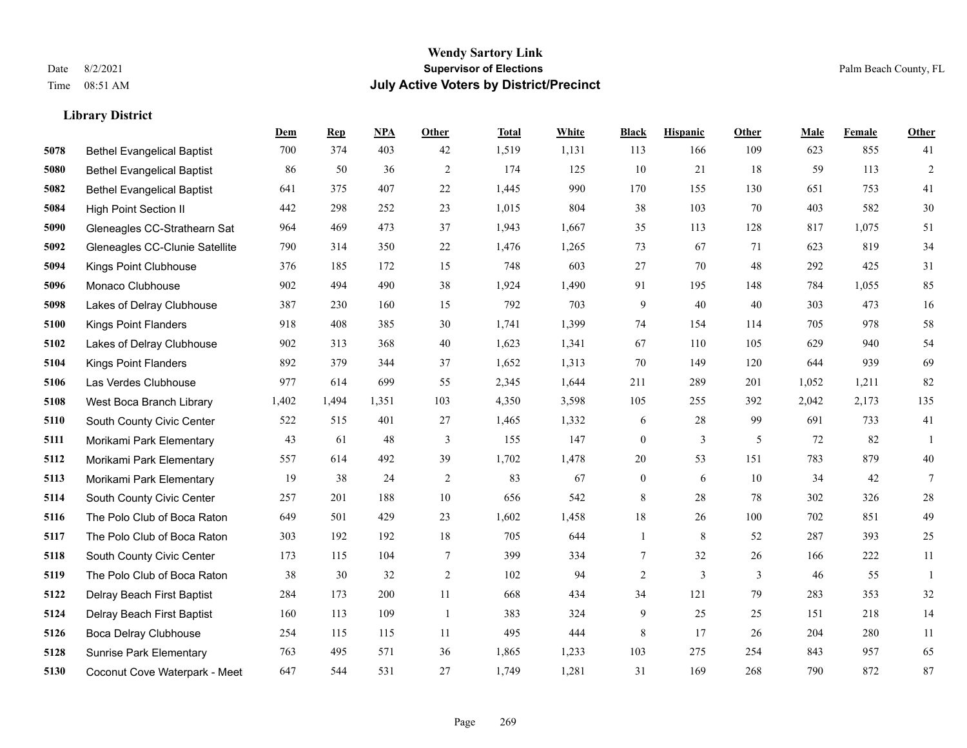|      |                                   | Dem   | <b>Rep</b> | NPA   | <b>Other</b>   | <b>Total</b> | <b>White</b> | <b>Black</b>     | <b>Hispanic</b> | <b>Other</b> | <b>Male</b> | <b>Female</b> | Other           |
|------|-----------------------------------|-------|------------|-------|----------------|--------------|--------------|------------------|-----------------|--------------|-------------|---------------|-----------------|
| 5078 | <b>Bethel Evangelical Baptist</b> | 700   | 374        | 403   | 42             | 1,519        | 1,131        | 113              | 166             | 109          | 623         | 855           | 41              |
| 5080 | <b>Bethel Evangelical Baptist</b> | 86    | 50         | 36    | 2              | 174          | 125          | 10               | 21              | 18           | 59          | 113           | $\overline{2}$  |
| 5082 | <b>Bethel Evangelical Baptist</b> | 641   | 375        | 407   | $22\,$         | 1,445        | 990          | 170              | 155             | 130          | 651         | 753           | 41              |
| 5084 | <b>High Point Section II</b>      | 442   | 298        | 252   | 23             | 1,015        | 804          | 38               | 103             | 70           | 403         | 582           | 30              |
| 5090 | Gleneagles CC-Strathearn Sat      | 964   | 469        | 473   | 37             | 1,943        | 1,667        | 35               | 113             | 128          | 817         | 1.075         | 51              |
| 5092 | Gleneagles CC-Clunie Satellite    | 790   | 314        | 350   | $22\,$         | 1,476        | 1,265        | 73               | 67              | 71           | 623         | 819           | 34              |
| 5094 | Kings Point Clubhouse             | 376   | 185        | 172   | 15             | 748          | 603          | 27               | 70              | 48           | 292         | 425           | 31              |
| 5096 | Monaco Clubhouse                  | 902   | 494        | 490   | 38             | 1,924        | 1,490        | 91               | 195             | 148          | 784         | 1,055         | 85              |
| 5098 | Lakes of Delray Clubhouse         | 387   | 230        | 160   | 15             | 792          | 703          | 9                | 40              | 40           | 303         | 473           | 16              |
| 5100 | <b>Kings Point Flanders</b>       | 918   | 408        | 385   | 30             | 1,741        | 1,399        | 74               | 154             | 114          | 705         | 978           | 58              |
| 5102 | Lakes of Delray Clubhouse         | 902   | 313        | 368   | 40             | 1,623        | 1,341        | 67               | 110             | 105          | 629         | 940           | 54              |
| 5104 | Kings Point Flanders              | 892   | 379        | 344   | 37             | 1,652        | 1,313        | 70               | 149             | 120          | 644         | 939           | 69              |
| 5106 | Las Verdes Clubhouse              | 977   | 614        | 699   | 55             | 2,345        | 1,644        | 211              | 289             | 201          | 1,052       | 1,211         | 82              |
| 5108 | West Boca Branch Library          | 1,402 | 1,494      | 1,351 | 103            | 4,350        | 3,598        | 105              | 255             | 392          | 2,042       | 2,173         | 135             |
| 5110 | South County Civic Center         | 522   | 515        | 401   | 27             | 1,465        | 1,332        | 6                | 28              | 99           | 691         | 733           | 41              |
| 5111 | Morikami Park Elementary          | 43    | 61         | 48    | $\mathfrak{Z}$ | 155          | 147          | $\boldsymbol{0}$ | 3               | 5            | 72          | 82            | $\overline{1}$  |
| 5112 | Morikami Park Elementary          | 557   | 614        | 492   | 39             | 1,702        | 1,478        | $20\,$           | 53              | 151          | 783         | 879           | $40\,$          |
| 5113 | Morikami Park Elementary          | 19    | 38         | 24    | 2              | 83           | 67           | $\boldsymbol{0}$ | 6               | 10           | 34          | 42            | $7\overline{ }$ |
| 5114 | South County Civic Center         | 257   | 201        | 188   | 10             | 656          | 542          | 8                | 28              | 78           | 302         | 326           | $28\,$          |
| 5116 | The Polo Club of Boca Raton       | 649   | 501        | 429   | 23             | 1,602        | 1,458        | 18               | 26              | 100          | 702         | 851           | 49              |
| 5117 | The Polo Club of Boca Raton       | 303   | 192        | 192   | 18             | 705          | 644          | $\mathbf{1}$     | 8               | 52           | 287         | 393           | 25              |
| 5118 | South County Civic Center         | 173   | 115        | 104   | $\tau$         | 399          | 334          | $\tau$           | 32              | 26           | 166         | 222           | 11              |
| 5119 | The Polo Club of Boca Raton       | 38    | 30         | 32    | $\overline{2}$ | 102          | 94           | $\overline{c}$   | 3               | 3            | 46          | 55            | -1              |
| 5122 | Delray Beach First Baptist        | 284   | 173        | 200   | 11             | 668          | 434          | 34               | 121             | 79           | 283         | 353           | $32\,$          |
| 5124 | Delray Beach First Baptist        | 160   | 113        | 109   | $\overline{1}$ | 383          | 324          | 9                | 25              | 25           | 151         | 218           | 14              |
| 5126 | Boca Delray Clubhouse             | 254   | 115        | 115   | 11             | 495          | 444          | 8                | 17              | 26           | 204         | 280           | 11              |
| 5128 | <b>Sunrise Park Elementary</b>    | 763   | 495        | 571   | 36             | 1,865        | 1,233        | 103              | 275             | 254          | 843         | 957           | 65              |
| 5130 | Coconut Cove Waterpark - Meet     | 647   | 544        | 531   | 27             | 1,749        | 1,281        | 31               | 169             | 268          | 790         | 872           | 87              |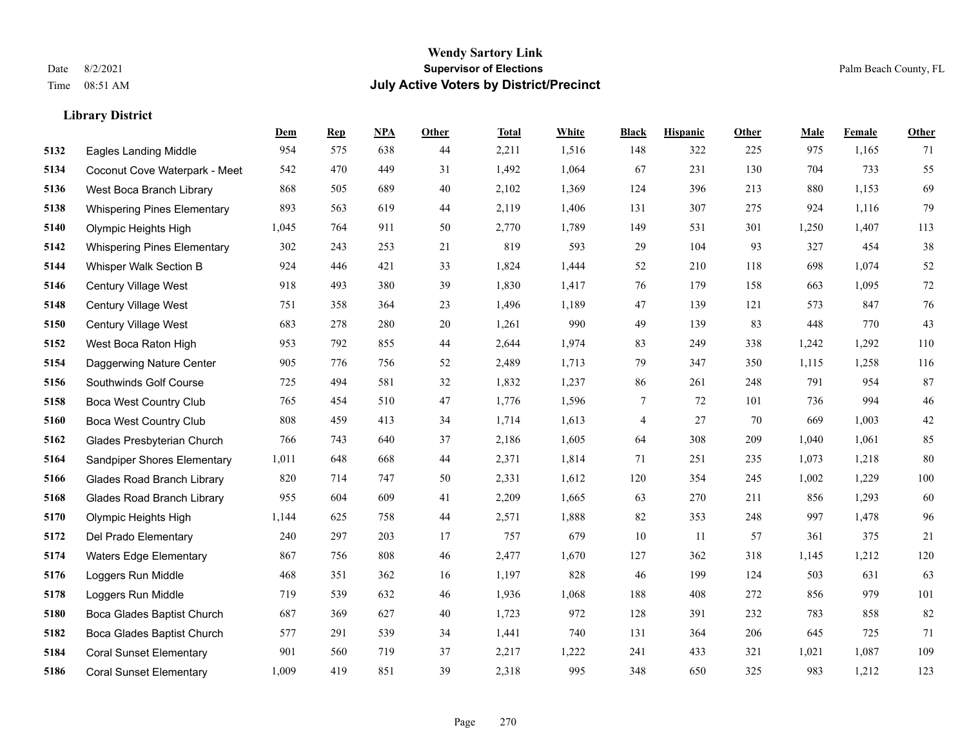|      |                                    | Dem   | <b>Rep</b> | NPA | <b>Other</b> | <b>Total</b> | <b>White</b> | <b>Black</b> | <b>Hispanic</b> | <b>Other</b> | <b>Male</b> | Female | <b>Other</b> |
|------|------------------------------------|-------|------------|-----|--------------|--------------|--------------|--------------|-----------------|--------------|-------------|--------|--------------|
| 5132 | <b>Eagles Landing Middle</b>       | 954   | 575        | 638 | 44           | 2,211        | 1,516        | 148          | 322             | 225          | 975         | 1,165  | 71           |
| 5134 | Coconut Cove Waterpark - Meet      | 542   | 470        | 449 | 31           | 1,492        | 1,064        | 67           | 231             | 130          | 704         | 733    | 55           |
| 5136 | West Boca Branch Library           | 868   | 505        | 689 | 40           | 2,102        | 1,369        | 124          | 396             | 213          | 880         | 1,153  | 69           |
| 5138 | <b>Whispering Pines Elementary</b> | 893   | 563        | 619 | 44           | 2,119        | 1,406        | 131          | 307             | 275          | 924         | 1,116  | 79           |
| 5140 | Olympic Heights High               | 1,045 | 764        | 911 | 50           | 2,770        | 1,789        | 149          | 531             | 301          | 1,250       | 1,407  | 113          |
| 5142 | <b>Whispering Pines Elementary</b> | 302   | 243        | 253 | 21           | 819          | 593          | 29           | 104             | 93           | 327         | 454    | $38\,$       |
| 5144 | Whisper Walk Section B             | 924   | 446        | 421 | 33           | 1,824        | 1,444        | 52           | 210             | 118          | 698         | 1,074  | 52           |
| 5146 | Century Village West               | 918   | 493        | 380 | 39           | 1,830        | 1,417        | 76           | 179             | 158          | 663         | 1,095  | $72\,$       |
| 5148 | Century Village West               | 751   | 358        | 364 | 23           | 1,496        | 1,189        | 47           | 139             | 121          | 573         | 847    | 76           |
| 5150 | Century Village West               | 683   | 278        | 280 | 20           | 1,261        | 990          | 49           | 139             | 83           | 448         | 770    | 43           |
| 5152 | West Boca Raton High               | 953   | 792        | 855 | 44           | 2,644        | 1,974        | 83           | 249             | 338          | 1,242       | 1,292  | 110          |
| 5154 | Daggerwing Nature Center           | 905   | 776        | 756 | 52           | 2,489        | 1,713        | 79           | 347             | 350          | 1,115       | 1,258  | 116          |
| 5156 | Southwinds Golf Course             | 725   | 494        | 581 | 32           | 1,832        | 1,237        | 86           | 261             | 248          | 791         | 954    | 87           |
| 5158 | <b>Boca West Country Club</b>      | 765   | 454        | 510 | 47           | 1,776        | 1,596        | $\tau$       | 72              | 101          | 736         | 994    | $46\,$       |
| 5160 | <b>Boca West Country Club</b>      | 808   | 459        | 413 | 34           | 1,714        | 1,613        | 4            | 27              | 70           | 669         | 1,003  | $42\,$       |
| 5162 | Glades Presbyterian Church         | 766   | 743        | 640 | 37           | 2,186        | 1,605        | 64           | 308             | 209          | 1,040       | 1,061  | 85           |
| 5164 | Sandpiper Shores Elementary        | 1,011 | 648        | 668 | 44           | 2,371        | 1,814        | 71           | 251             | 235          | 1,073       | 1,218  | 80           |
| 5166 | <b>Glades Road Branch Library</b>  | 820   | 714        | 747 | 50           | 2,331        | 1,612        | 120          | 354             | 245          | 1,002       | 1,229  | 100          |
| 5168 | <b>Glades Road Branch Library</b>  | 955   | 604        | 609 | 41           | 2,209        | 1,665        | 63           | 270             | 211          | 856         | 1,293  | 60           |
| 5170 | Olympic Heights High               | 1,144 | 625        | 758 | 44           | 2,571        | 1,888        | 82           | 353             | 248          | 997         | 1,478  | 96           |
| 5172 | Del Prado Elementary               | 240   | 297        | 203 | 17           | 757          | 679          | 10           | 11              | 57           | 361         | 375    | 21           |
| 5174 | <b>Waters Edge Elementary</b>      | 867   | 756        | 808 | 46           | 2,477        | 1,670        | 127          | 362             | 318          | 1,145       | 1,212  | 120          |
| 5176 | Loggers Run Middle                 | 468   | 351        | 362 | 16           | 1,197        | 828          | 46           | 199             | 124          | 503         | 631    | 63           |
| 5178 | Loggers Run Middle                 | 719   | 539        | 632 | 46           | 1,936        | 1,068        | 188          | 408             | 272          | 856         | 979    | 101          |
| 5180 | Boca Glades Baptist Church         | 687   | 369        | 627 | 40           | 1,723        | 972          | 128          | 391             | 232          | 783         | 858    | 82           |
| 5182 | Boca Glades Baptist Church         | 577   | 291        | 539 | 34           | 1,441        | 740          | 131          | 364             | 206          | 645         | 725    | 71           |
| 5184 | <b>Coral Sunset Elementary</b>     | 901   | 560        | 719 | 37           | 2,217        | 1,222        | 241          | 433             | 321          | 1,021       | 1,087  | 109          |
| 5186 | <b>Coral Sunset Elementary</b>     | 1,009 | 419        | 851 | 39           | 2,318        | 995          | 348          | 650             | 325          | 983         | 1,212  | 123          |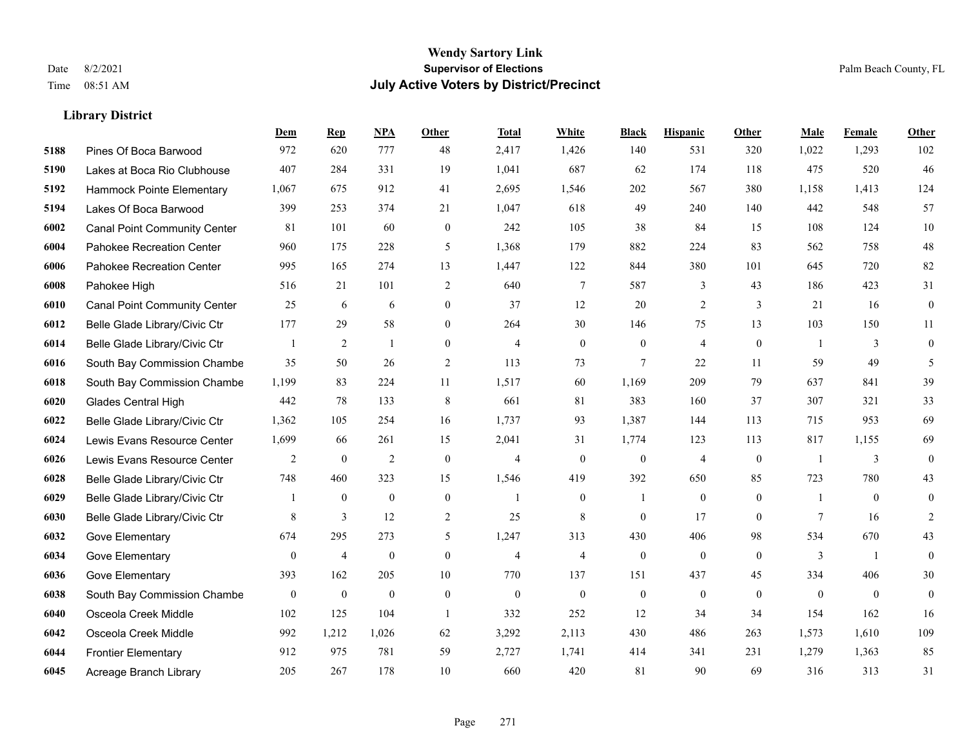|      |                                     | Dem              | <b>Rep</b>       | NPA              | <b>Other</b>     | <b>Total</b>   | <b>White</b>   | <b>Black</b>     | <b>Hispanic</b>  | Other          | <b>Male</b>    | <b>Female</b>  | <b>Other</b> |
|------|-------------------------------------|------------------|------------------|------------------|------------------|----------------|----------------|------------------|------------------|----------------|----------------|----------------|--------------|
| 5188 | Pines Of Boca Barwood               | 972              | 620              | 777              | 48               | 2,417          | 1,426          | 140              | 531              | 320            | 1,022          | 1,293          | 102          |
| 5190 | Lakes at Boca Rio Clubhouse         | 407              | 284              | 331              | 19               | 1,041          | 687            | 62               | 174              | 118            | 475            | 520            | 46           |
| 5192 | Hammock Pointe Elementary           | 1,067            | 675              | 912              | 41               | 2,695          | 1,546          | 202              | 567              | 380            | 1,158          | 1,413          | 124          |
| 5194 | Lakes Of Boca Barwood               | 399              | 253              | 374              | 21               | 1,047          | 618            | 49               | 240              | 140            | 442            | 548            | 57           |
| 6002 | <b>Canal Point Community Center</b> | 81               | 101              | 60               | $\theta$         | 242            | 105            | 38               | 84               | 15             | 108            | 124            | $10\,$       |
| 6004 | Pahokee Recreation Center           | 960              | 175              | 228              | 5                | 1,368          | 179            | 882              | 224              | 83             | 562            | 758            | $48\,$       |
| 6006 | Pahokee Recreation Center           | 995              | 165              | 274              | 13               | 1,447          | 122            | 844              | 380              | 101            | 645            | 720            | 82           |
| 6008 | Pahokee High                        | 516              | 21               | 101              | 2                | 640            | 7              | 587              | 3                | 43             | 186            | 423            | 31           |
| 6010 | <b>Canal Point Community Center</b> | 25               | 6                | 6                | $\overline{0}$   | 37             | 12             | 20               | $\overline{2}$   | $\overline{3}$ | 21             | 16             | $\mathbf{0}$ |
| 6012 | Belle Glade Library/Civic Ctr       | 177              | 29               | 58               | $\overline{0}$   | 264            | 30             | 146              | 75               | 13             | 103            | 150            | 11           |
| 6014 | Belle Glade Library/Civic Ctr       |                  | 2                | $\mathbf{1}$     | $\theta$         | $\overline{4}$ | $\overline{0}$ | $\overline{0}$   | 4                | $\theta$       | $\overline{1}$ | 3              | $\mathbf{0}$ |
| 6016 | South Bay Commission Chambe         | 35               | 50               | 26               | 2                | 113            | 73             | $\tau$           | 22               | 11             | 59             | 49             | 5            |
| 6018 | South Bay Commission Chambe         | 1,199            | 83               | 224              | 11               | 1,517          | 60             | 1,169            | 209              | 79             | 637            | 841            | 39           |
| 6020 | <b>Glades Central High</b>          | 442              | 78               | 133              | 8                | 661            | 81             | 383              | 160              | 37             | 307            | 321            | 33           |
| 6022 | Belle Glade Library/Civic Ctr       | 1,362            | 105              | 254              | 16               | 1,737          | 93             | 1,387            | 144              | 113            | 715            | 953            | 69           |
| 6024 | Lewis Evans Resource Center         | 1,699            | 66               | 261              | 15               | 2,041          | 31             | 1,774            | 123              | 113            | 817            | 1,155          | 69           |
| 6026 | Lewis Evans Resource Center         | $\overline{2}$   | $\boldsymbol{0}$ | $\overline{2}$   | $\mathbf{0}$     | $\overline{4}$ | $\overline{0}$ | $\boldsymbol{0}$ | 4                | $\mathbf{0}$   | -1             | 3              | $\mathbf{0}$ |
| 6028 | Belle Glade Library/Civic Ctr       | 748              | 460              | 323              | 15               | 1,546          | 419            | 392              | 650              | 85             | 723            | 780            | 43           |
| 6029 | Belle Glade Library/Civic Ctr       |                  | $\boldsymbol{0}$ | $\boldsymbol{0}$ | $\mathbf{0}$     | 1              | $\mathbf{0}$   | $\overline{1}$   | $\mathbf{0}$     | $\mathbf{0}$   | -1             | $\mathbf{0}$   | $\mathbf{0}$ |
| 6030 | Belle Glade Library/Civic Ctr       | 8                | 3                | 12               | $\overline{2}$   | 25             | 8              | $\mathbf{0}$     | 17               | $\theta$       | $\tau$         | 16             | 2            |
| 6032 | Gove Elementary                     | 674              | 295              | 273              | 5                | 1,247          | 313            | 430              | 406              | 98             | 534            | 670            | 43           |
| 6034 | Gove Elementary                     | $\boldsymbol{0}$ | $\overline{4}$   | $\boldsymbol{0}$ | $\boldsymbol{0}$ | $\overline{4}$ | $\overline{4}$ | $\boldsymbol{0}$ | $\boldsymbol{0}$ | $\mathbf{0}$   | $\mathfrak{Z}$ | $\overline{1}$ | $\mathbf{0}$ |
| 6036 | Gove Elementary                     | 393              | 162              | 205              | 10               | 770            | 137            | 151              | 437              | 45             | 334            | 406            | 30           |
| 6038 | South Bay Commission Chambe         | $\mathbf{0}$     | $\boldsymbol{0}$ | $\mathbf{0}$     | $\mathbf{0}$     | $\mathbf{0}$   | $\overline{0}$ | $\boldsymbol{0}$ | $\mathbf{0}$     | $\theta$       | $\theta$       | $\overline{0}$ | $\mathbf{0}$ |
| 6040 | Osceola Creek Middle                | 102              | 125              | 104              | $\overline{1}$   | 332            | 252            | 12               | 34               | 34             | 154            | 162            | 16           |
| 6042 | Osceola Creek Middle                | 992              | 1,212            | 1,026            | 62               | 3,292          | 2,113          | 430              | 486              | 263            | 1,573          | 1,610          | 109          |
| 6044 | <b>Frontier Elementary</b>          | 912              | 975              | 781              | 59               | 2,727          | 1,741          | 414              | 341              | 231            | 1,279          | 1,363          | 85           |
| 6045 | Acreage Branch Library              | 205              | 267              | 178              | 10               | 660            | 420            | 81               | 90               | 69             | 316            | 313            | 31           |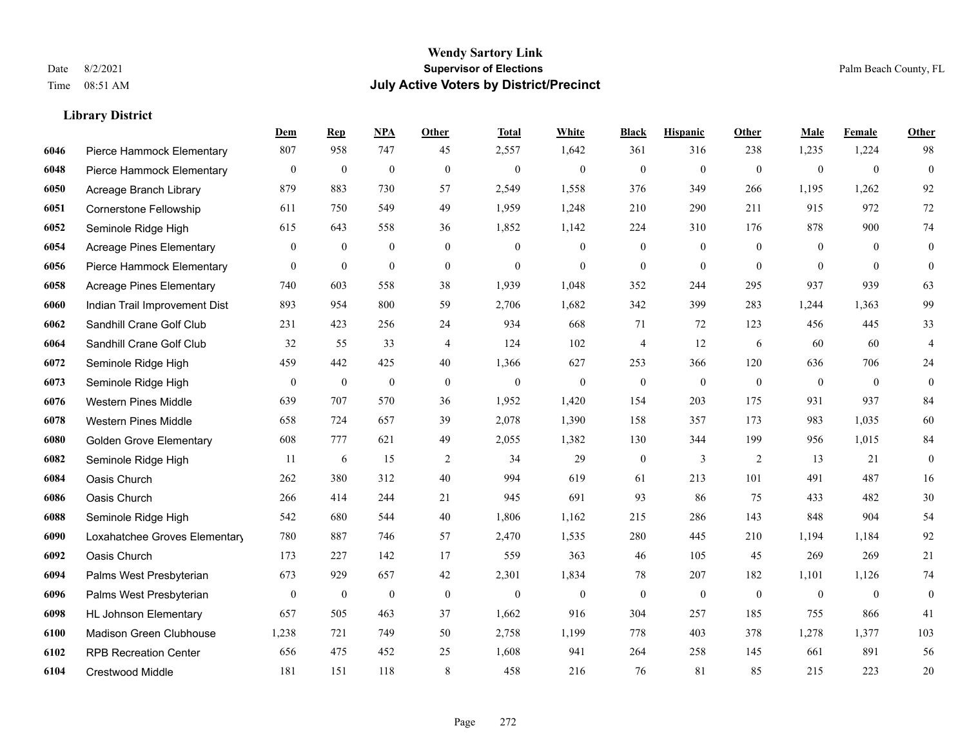|      |                                 | Dem              | <b>Rep</b>       | NPA              | <b>Other</b>   | <b>Total</b> | White          | <b>Black</b>     | <b>Hispanic</b>  | Other          | <b>Male</b>    | Female         | <b>Other</b>            |
|------|---------------------------------|------------------|------------------|------------------|----------------|--------------|----------------|------------------|------------------|----------------|----------------|----------------|-------------------------|
| 6046 | Pierce Hammock Elementary       | 807              | 958              | 747              | 45             | 2,557        | 1,642          | 361              | 316              | 238            | 1,235          | 1,224          | 98                      |
| 6048 | Pierce Hammock Elementary       | $\boldsymbol{0}$ | $\mathbf{0}$     | $\mathbf{0}$     | $\mathbf{0}$   | $\mathbf{0}$ | $\mathbf{0}$   | $\mathbf{0}$     | $\mathbf{0}$     | $\theta$       | $\overline{0}$ | $\mathbf{0}$   | $\mathbf{0}$            |
| 6050 | Acreage Branch Library          | 879              | 883              | 730              | 57             | 2,549        | 1,558          | 376              | 349              | 266            | 1,195          | 1,262          | 92                      |
| 6051 | Cornerstone Fellowship          | 611              | 750              | 549              | 49             | 1,959        | 1,248          | 210              | 290              | 211            | 915            | 972            | 72                      |
| 6052 | Seminole Ridge High             | 615              | 643              | 558              | 36             | 1,852        | 1,142          | 224              | 310              | 176            | 878            | 900            | 74                      |
| 6054 | <b>Acreage Pines Elementary</b> | $\mathbf{0}$     | $\bf{0}$         | $\mathbf{0}$     | $\overline{0}$ | $\mathbf{0}$ | $\mathbf{0}$   | $\boldsymbol{0}$ | $\boldsymbol{0}$ | $\overline{0}$ | $\overline{0}$ | $\overline{0}$ | $\boldsymbol{0}$        |
| 6056 | Pierce Hammock Elementary       | $\mathbf{0}$     | $\mathbf{0}$     | $\mathbf{0}$     | $\mathbf{0}$   | $\mathbf{0}$ | $\overline{0}$ | $\boldsymbol{0}$ | $\mathbf{0}$     | $\theta$       | $\overline{0}$ | $\theta$       | $\boldsymbol{0}$        |
| 6058 | <b>Acreage Pines Elementary</b> | 740              | 603              | 558              | 38             | 1,939        | 1,048          | 352              | 244              | 295            | 937            | 939            | 63                      |
| 6060 | Indian Trail Improvement Dist   | 893              | 954              | 800              | 59             | 2,706        | 1,682          | 342              | 399              | 283            | 1,244          | 1,363          | 99                      |
| 6062 | Sandhill Crane Golf Club        | 231              | 423              | 256              | 24             | 934          | 668            | 71               | 72               | 123            | 456            | 445            | 33                      |
| 6064 | Sandhill Crane Golf Club        | 32               | 55               | 33               | $\overline{4}$ | 124          | 102            | $\overline{4}$   | 12               | 6              | 60             | 60             | $\overline{\mathbf{4}}$ |
| 6072 | Seminole Ridge High             | 459              | 442              | 425              | 40             | 1,366        | 627            | 253              | 366              | 120            | 636            | 706            | 24                      |
| 6073 | Seminole Ridge High             | $\mathbf{0}$     | $\boldsymbol{0}$ | $\boldsymbol{0}$ | $\mathbf{0}$   | $\mathbf{0}$ | $\mathbf{0}$   | $\mathbf{0}$     | $\mathbf{0}$     | $\theta$       | $\overline{0}$ | $\mathbf{0}$   | $\mathbf{0}$            |
| 6076 | <b>Western Pines Middle</b>     | 639              | 707              | 570              | 36             | 1,952        | 1,420          | 154              | 203              | 175            | 931            | 937            | 84                      |
| 6078 | <b>Western Pines Middle</b>     | 658              | 724              | 657              | 39             | 2,078        | 1,390          | 158              | 357              | 173            | 983            | 1,035          | 60                      |
| 6080 | <b>Golden Grove Elementary</b>  | 608              | 777              | 621              | 49             | 2,055        | 1,382          | 130              | 344              | 199            | 956            | 1,015          | 84                      |
| 6082 | Seminole Ridge High             | 11               | 6                | 15               | $\overline{2}$ | 34           | 29             | $\boldsymbol{0}$ | $\mathfrak{Z}$   | 2              | 13             | 21             | $\boldsymbol{0}$        |
| 6084 | Oasis Church                    | 262              | 380              | 312              | 40             | 994          | 619            | 61               | 213              | 101            | 491            | 487            | 16                      |
| 6086 | Oasis Church                    | 266              | 414              | 244              | 21             | 945          | 691            | 93               | 86               | 75             | 433            | 482            | 30                      |
| 6088 | Seminole Ridge High             | 542              | 680              | 544              | 40             | 1,806        | 1,162          | 215              | 286              | 143            | 848            | 904            | 54                      |
| 6090 | Loxahatchee Groves Elementary   | 780              | 887              | 746              | 57             | 2,470        | 1,535          | 280              | 445              | 210            | 1,194          | 1,184          | 92                      |
| 6092 | Oasis Church                    | 173              | 227              | 142              | 17             | 559          | 363            | 46               | 105              | 45             | 269            | 269            | 21                      |
| 6094 | Palms West Presbyterian         | 673              | 929              | 657              | 42             | 2,301        | 1,834          | 78               | 207              | 182            | 1,101          | 1,126          | 74                      |
| 6096 | Palms West Presbyterian         | $\boldsymbol{0}$ | $\bf{0}$         | $\boldsymbol{0}$ | $\mathbf{0}$   | $\mathbf{0}$ | $\mathbf{0}$   | $\boldsymbol{0}$ | $\boldsymbol{0}$ | $\mathbf{0}$   | $\overline{0}$ | $\mathbf{0}$   | $\boldsymbol{0}$        |
| 6098 | <b>HL Johnson Elementary</b>    | 657              | 505              | 463              | 37             | 1,662        | 916            | 304              | 257              | 185            | 755            | 866            | 41                      |
| 6100 | Madison Green Clubhouse         | 1,238            | 721              | 749              | 50             | 2,758        | 1,199          | 778              | 403              | 378            | 1,278          | 1,377          | 103                     |
| 6102 | <b>RPB Recreation Center</b>    | 656              | 475              | 452              | 25             | 1,608        | 941            | 264              | 258              | 145            | 661            | 891            | 56                      |
| 6104 | Crestwood Middle                | 181              | 151              | 118              | 8              | 458          | 216            | 76               | 81               | 85             | 215            | 223            | 20                      |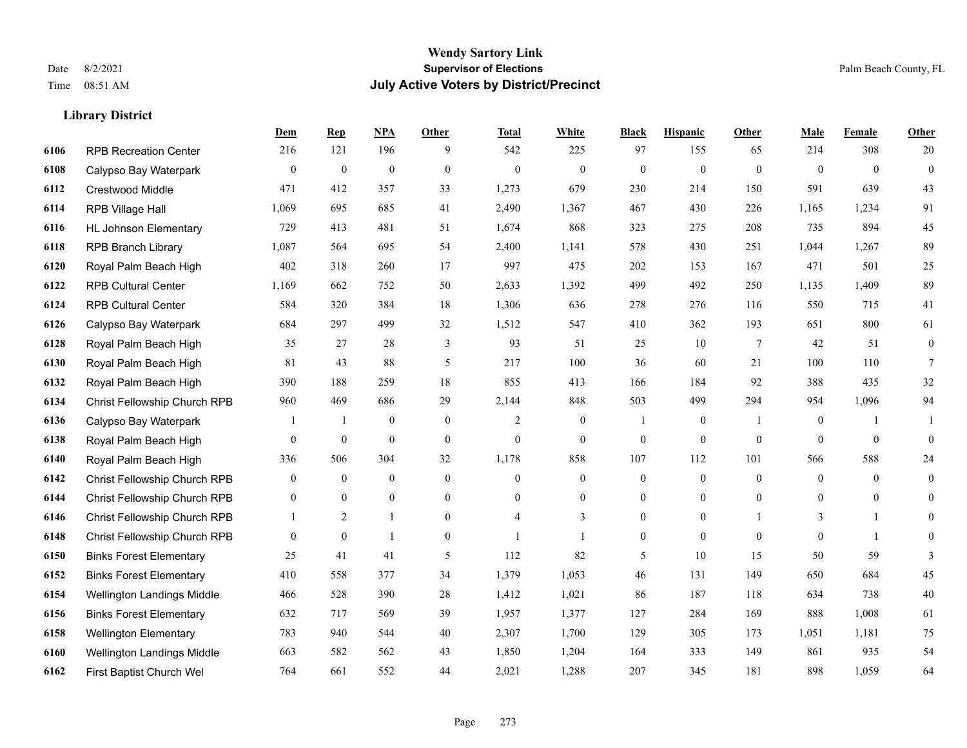|      |                                | Dem          | <b>Rep</b>       | NPA              | <b>Other</b>   | <b>Total</b>   | <b>White</b>     | <b>Black</b>     | <b>Hispanic</b>  | <b>Other</b>   | <b>Male</b>      | Female         | <b>Other</b>     |
|------|--------------------------------|--------------|------------------|------------------|----------------|----------------|------------------|------------------|------------------|----------------|------------------|----------------|------------------|
| 6106 | <b>RPB Recreation Center</b>   | 216          | 121              | 196              | 9              | 542            | 225              | 97               | 155              | 65             | 214              | 308            | 20               |
| 6108 | Calypso Bay Waterpark          | $\mathbf{0}$ | $\mathbf{0}$     | $\mathbf{0}$     | $\theta$       | $\mathbf{0}$   | $\mathbf{0}$     | $\mathbf{0}$     | $\mathbf{0}$     | $\theta$       | $\theta$         | $\theta$       | $\mathbf{0}$     |
| 6112 | <b>Crestwood Middle</b>        | 471          | 412              | 357              | 33             | 1,273          | 679              | 230              | 214              | 150            | 591              | 639            | 43               |
| 6114 | RPB Village Hall               | 1,069        | 695              | 685              | 41             | 2,490          | 1,367            | 467              | 430              | 226            | 1,165            | 1,234          | 91               |
| 6116 | <b>HL Johnson Elementary</b>   | 729          | 413              | 481              | 51             | 1,674          | 868              | 323              | 275              | 208            | 735              | 894            | 45               |
| 6118 | <b>RPB Branch Library</b>      | 1,087        | 564              | 695              | 54             | 2,400          | 1,141            | 578              | 430              | 251            | 1,044            | 1,267          | 89               |
| 6120 | Royal Palm Beach High          | 402          | 318              | 260              | 17             | 997            | 475              | 202              | 153              | 167            | 471              | 501            | 25               |
| 6122 | <b>RPB Cultural Center</b>     | 1,169        | 662              | 752              | 50             | 2,633          | 1,392            | 499              | 492              | 250            | 1,135            | 1,409          | 89               |
| 6124 | <b>RPB Cultural Center</b>     | 584          | 320              | 384              | 18             | 1,306          | 636              | 278              | 276              | 116            | 550              | 715            | 41               |
| 6126 | Calypso Bay Waterpark          | 684          | 297              | 499              | 32             | 1,512          | 547              | 410              | 362              | 193            | 651              | 800            | 61               |
| 6128 | Royal Palm Beach High          | 35           | 27               | 28               | 3              | 93             | 51               | 25               | 10               | 7              | 42               | 51             | $\boldsymbol{0}$ |
| 6130 | Royal Palm Beach High          | 81           | 43               | 88               | 5              | 217            | 100              | 36               | 60               | 21             | 100              | 110            | $\tau$           |
| 6132 | Royal Palm Beach High          | 390          | 188              | 259              | 18             | 855            | 413              | 166              | 184              | 92             | 388              | 435            | $32\,$           |
| 6134 | Christ Fellowship Church RPB   | 960          | 469              | 686              | 29             | 2,144          | 848              | 503              | 499              | 294            | 954              | 1,096          | 94               |
| 6136 | Calypso Bay Waterpark          |              | $\mathbf{1}$     | $\mathbf{0}$     | $\theta$       | $\overline{2}$ | $\overline{0}$   |                  | $\mathbf{0}$     |                | $\theta$         |                |                  |
| 6138 | Royal Palm Beach High          | $\mathbf{0}$ | $\boldsymbol{0}$ | $\mathbf{0}$     | $\overline{0}$ | $\theta$       | $\boldsymbol{0}$ | $\boldsymbol{0}$ | $\mathbf{0}$     | $\overline{0}$ | $\mathbf{0}$     | $\overline{0}$ | $\mathbf{0}$     |
| 6140 | Royal Palm Beach High          | 336          | 506              | 304              | 32             | 1,178          | 858              | 107              | 112              | 101            | 566              | 588            | 24               |
| 6142 | Christ Fellowship Church RPB   | $\mathbf{0}$ | $\bf{0}$         | $\boldsymbol{0}$ | $\mathbf{0}$   | $\theta$       | $\boldsymbol{0}$ | $\boldsymbol{0}$ | $\mathbf{0}$     | $\theta$       | $\mathbf{0}$     | $\theta$       | $\boldsymbol{0}$ |
| 6144 | Christ Fellowship Church RPB   | $\mathbf{0}$ | $\boldsymbol{0}$ | $\boldsymbol{0}$ | $\overline{0}$ | $\mathbf{0}$   | $\boldsymbol{0}$ | 0                | $\boldsymbol{0}$ | $\overline{0}$ | $\boldsymbol{0}$ | $\mathbf{0}$   | $\mathbf{0}$     |
| 6146 | Christ Fellowship Church RPB   |              | 2                | $\overline{1}$   | $\overline{0}$ | $\overline{4}$ | 3                | $\mathbf{0}$     | $\mathbf{0}$     |                | 3                | $\mathbf{1}$   | $\overline{0}$   |
| 6148 | Christ Fellowship Church RPB   | $\mathbf{0}$ | $\mathbf{0}$     | $\mathbf{1}$     | $\overline{0}$ |                | 1                | $\boldsymbol{0}$ | $\mathbf{0}$     | $\theta$       | $\overline{0}$   | $\mathbf{1}$   | $\overline{0}$   |
| 6150 | <b>Binks Forest Elementary</b> | 25           | 41               | 41               | 5              | 112            | 82               | 5                | 10               | 15             | 50               | 59             | 3                |
| 6152 | <b>Binks Forest Elementary</b> | 410          | 558              | 377              | 34             | 1,379          | 1,053            | 46               | 131              | 149            | 650              | 684            | 45               |
| 6154 | Wellington Landings Middle     | 466          | 528              | 390              | 28             | 1,412          | 1,021            | 86               | 187              | 118            | 634              | 738            | $40\,$           |
| 6156 | <b>Binks Forest Elementary</b> | 632          | 717              | 569              | 39             | 1,957          | 1,377            | 127              | 284              | 169            | 888              | 1,008          | 61               |
| 6158 | <b>Wellington Elementary</b>   | 783          | 940              | 544              | 40             | 2,307          | 1,700            | 129              | 305              | 173            | 1,051            | 1,181          | 75               |
| 6160 | Wellington Landings Middle     | 663          | 582              | 562              | 43             | 1,850          | 1,204            | 164              | 333              | 149            | 861              | 935            | 54               |
| 6162 | First Baptist Church Wel       | 764          | 661              | 552              | 44             | 2,021          | 1,288            | 207              | 345              | 181            | 898              | 1,059          | 64               |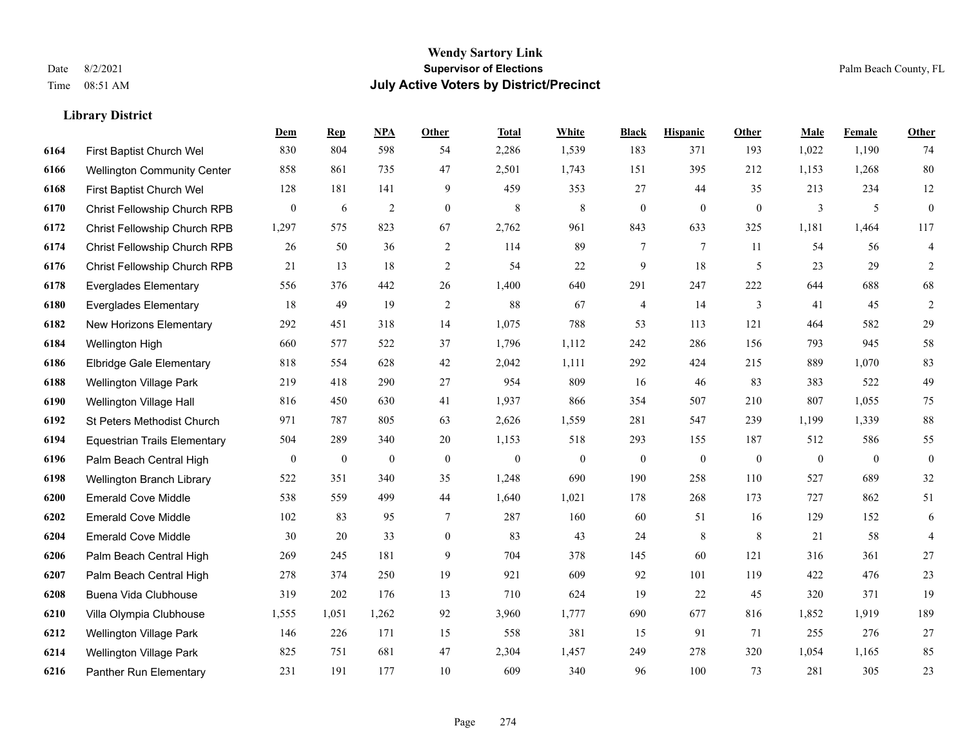|      |                                     | Dem              | <b>Rep</b>       | NPA              | <b>Other</b>   | <b>Total</b>     | White            | <b>Black</b>     | <b>Hispanic</b>  | <b>Other</b> | <b>Male</b>      | <b>Female</b>  | Other            |
|------|-------------------------------------|------------------|------------------|------------------|----------------|------------------|------------------|------------------|------------------|--------------|------------------|----------------|------------------|
| 6164 | First Baptist Church Wel            | 830              | 804              | 598              | 54             | 2,286            | 1,539            | 183              | 371              | 193          | 1,022            | 1,190          | 74               |
| 6166 | <b>Wellington Community Center</b>  | 858              | 861              | 735              | 47             | 2,501            | 1,743            | 151              | 395              | 212          | 1,153            | 1,268          | $80\,$           |
| 6168 | First Baptist Church Wel            | 128              | 181              | 141              | 9              | 459              | 353              | 27               | 44               | 35           | 213              | 234            | 12               |
| 6170 | Christ Fellowship Church RPB        | $\boldsymbol{0}$ | 6                | $\overline{2}$   | $\mathbf{0}$   | 8                | $\,8\,$          | $\boldsymbol{0}$ | $\overline{0}$   | $\mathbf{0}$ | 3                | 5              | $\boldsymbol{0}$ |
| 6172 | <b>Christ Fellowship Church RPB</b> | 1,297            | 575              | 823              | 67             | 2,762            | 961              | 843              | 633              | 325          | 1,181            | 1,464          | 117              |
| 6174 | Christ Fellowship Church RPB        | 26               | 50               | 36               | 2              | 114              | 89               | 7                | 7                | 11           | 54               | 56             | 4                |
| 6176 | Christ Fellowship Church RPB        | 21               | 13               | 18               | 2              | 54               | 22               | 9                | 18               | 5            | 23               | 29             | $\overline{2}$   |
| 6178 | <b>Everglades Elementary</b>        | 556              | 376              | 442              | 26             | 1,400            | 640              | 291              | 247              | 222          | 644              | 688            | 68               |
| 6180 | <b>Everglades Elementary</b>        | 18               | 49               | 19               | $\overline{2}$ | 88               | 67               | 4                | 14               | 3            | 41               | 45             | $\overline{c}$   |
| 6182 | New Horizons Elementary             | 292              | 451              | 318              | 14             | 1,075            | 788              | 53               | 113              | 121          | 464              | 582            | 29               |
| 6184 | Wellington High                     | 660              | 577              | 522              | 37             | 1,796            | 1,112            | 242              | 286              | 156          | 793              | 945            | 58               |
| 6186 | <b>Elbridge Gale Elementary</b>     | 818              | 554              | 628              | 42             | 2,042            | 1,111            | 292              | 424              | 215          | 889              | 1,070          | 83               |
| 6188 | <b>Wellington Village Park</b>      | 219              | 418              | 290              | 27             | 954              | 809              | 16               | 46               | 83           | 383              | 522            | 49               |
| 6190 | Wellington Village Hall             | 816              | 450              | 630              | 41             | 1,937            | 866              | 354              | 507              | 210          | 807              | 1,055          | $75\,$           |
| 6192 | <b>St Peters Methodist Church</b>   | 971              | 787              | 805              | 63             | 2,626            | 1,559            | 281              | 547              | 239          | 1,199            | 1,339          | 88               |
| 6194 | <b>Equestrian Trails Elementary</b> | 504              | 289              | 340              | 20             | 1,153            | 518              | 293              | 155              | 187          | 512              | 586            | 55               |
| 6196 | Palm Beach Central High             | $\boldsymbol{0}$ | $\boldsymbol{0}$ | $\boldsymbol{0}$ | $\mathbf{0}$   | $\boldsymbol{0}$ | $\boldsymbol{0}$ | $\boldsymbol{0}$ | $\boldsymbol{0}$ | $\mathbf{0}$ | $\boldsymbol{0}$ | $\overline{0}$ | $\boldsymbol{0}$ |
| 6198 | Wellington Branch Library           | 522              | 351              | 340              | 35             | 1,248            | 690              | 190              | 258              | 110          | 527              | 689            | $32\,$           |
| 6200 | <b>Emerald Cove Middle</b>          | 538              | 559              | 499              | 44             | 1,640            | 1,021            | 178              | 268              | 173          | 727              | 862            | 51               |
| 6202 | <b>Emerald Cove Middle</b>          | 102              | 83               | 95               | $\tau$         | 287              | 160              | 60               | 51               | 16           | 129              | 152            | 6                |
| 6204 | <b>Emerald Cove Middle</b>          | 30               | 20               | 33               | $\overline{0}$ | 83               | 43               | 24               | 8                | 8            | 21               | 58             | 4                |
| 6206 | Palm Beach Central High             | 269              | 245              | 181              | 9              | 704              | 378              | 145              | 60               | 121          | 316              | 361            | $27\,$           |
| 6207 | Palm Beach Central High             | 278              | 374              | 250              | 19             | 921              | 609              | 92               | 101              | 119          | 422              | 476            | $23\,$           |
| 6208 | Buena Vida Clubhouse                | 319              | 202              | 176              | 13             | 710              | 624              | 19               | 22               | 45           | 320              | 371            | 19               |
| 6210 | Villa Olympia Clubhouse             | 1,555            | 1.051            | 1,262            | 92             | 3,960            | 1,777            | 690              | 677              | 816          | 1,852            | 1,919          | 189              |
| 6212 | Wellington Village Park             | 146              | 226              | 171              | 15             | 558              | 381              | 15               | 91               | 71           | 255              | 276            | 27               |
| 6214 | <b>Wellington Village Park</b>      | 825              | 751              | 681              | 47             | 2,304            | 1,457            | 249              | 278              | 320          | 1,054            | 1,165          | 85               |
| 6216 | Panther Run Elementary              | 231              | 191              | 177              | 10             | 609              | 340              | 96               | 100              | 73           | 281              | 305            | 23               |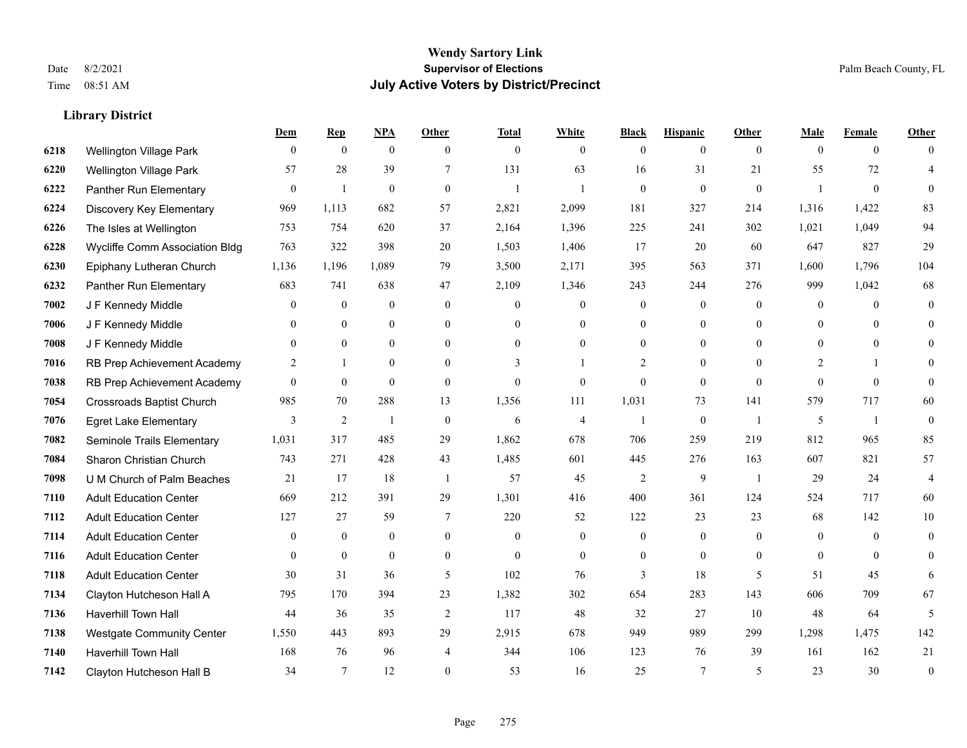|      |                                  | Dem            | <b>Rep</b>       | NPA              | <b>Other</b>   | <b>Total</b>   | <b>White</b>   | <b>Black</b>     | <b>Hispanic</b> | <b>Other</b>   | <b>Male</b>    | <b>Female</b>  | <b>Other</b> |
|------|----------------------------------|----------------|------------------|------------------|----------------|----------------|----------------|------------------|-----------------|----------------|----------------|----------------|--------------|
| 6218 | Wellington Village Park          | $\mathbf{0}$   | $\mathbf{0}$     | $\boldsymbol{0}$ | $\theta$       | $\mathbf{0}$   | $\overline{0}$ | $\overline{0}$   | $\overline{0}$  | $\overline{0}$ | $\theta$       | $\overline{0}$ | $\Omega$     |
| 6220 | <b>Wellington Village Park</b>   | 57             | 28               | 39               | 7              | 131            | 63             | 16               | 31              | 21             | 55             | 72             | 4            |
| 6222 | Panther Run Elementary           | $\theta$       | $\mathbf{1}$     | $\theta$         | $\theta$       | $\mathbf{1}$   |                | $\theta$         | $\overline{0}$  | $\theta$       | $\overline{1}$ | $\theta$       | $\Omega$     |
| 6224 | Discovery Key Elementary         | 969            | 1,113            | 682              | 57             | 2,821          | 2,099          | 181              | 327             | 214            | 1,316          | 1,422          | 83           |
| 6226 | The Isles at Wellington          | 753            | 754              | 620              | 37             | 2,164          | 1,396          | 225              | 241             | 302            | 1,021          | 1,049          | 94           |
| 6228 | Wycliffe Comm Association Bldg   | 763            | 322              | 398              | 20             | 1,503          | 1,406          | 17               | 20              | 60             | 647            | 827            | 29           |
| 6230 | Epiphany Lutheran Church         | 1,136          | 1,196            | 1,089            | 79             | 3,500          | 2,171          | 395              | 563             | 371            | 1,600          | 1,796          | 104          |
| 6232 | Panther Run Elementary           | 683            | 741              | 638              | 47             | 2,109          | 1,346          | 243              | 244             | 276            | 999            | 1,042          | 68           |
| 7002 | J F Kennedy Middle               | $\mathbf{0}$   | $\boldsymbol{0}$ | $\boldsymbol{0}$ | $\mathbf{0}$   | $\overline{0}$ | $\overline{0}$ | $\mathbf{0}$     | $\overline{0}$  | $\theta$       | $\overline{0}$ | $\theta$       | $\mathbf{0}$ |
| 7006 | J F Kennedy Middle               | $\theta$       | $\overline{0}$   | $\mathbf{0}$     | $\mathbf{0}$   | $\theta$       | $\overline{0}$ | $\mathbf{0}$     | $\overline{0}$  | $\theta$       | $\Omega$       | $\theta$       | $\mathbf{0}$ |
| 7008 | J F Kennedy Middle               | $\mathbf{0}$   | $\overline{0}$   | $\mathbf{0}$     | $\theta$       | $\overline{0}$ | $\overline{0}$ | $\overline{0}$   | $\overline{0}$  | $\theta$       | $\theta$       | $\theta$       | $\theta$     |
| 7016 | RB Prep Achievement Academy      | $\overline{2}$ | $\mathbf{1}$     | $\mathbf{0}$     | $\Omega$       | 3              |                | $\overline{2}$   | $\overline{0}$  | $\Omega$       | 2              |                | $\Omega$     |
| 7038 | RB Prep Achievement Academy      | $\theta$       | $\overline{0}$   | $\mathbf{0}$     | $\theta$       | $\Omega$       | $\theta$       | $\theta$         | $\Omega$        | $\theta$       | $\Omega$       | $\theta$       | $\theta$     |
| 7054 | Crossroads Baptist Church        | 985            | 70               | 288              | 13             | 1,356          | 111            | 1,031            | 73              | 141            | 579            | 717            | 60           |
| 7076 | <b>Egret Lake Elementary</b>     | 3              | $\overline{2}$   | -1               | $\mathbf{0}$   | 6              | 4              |                  | $\mathbf{0}$    | $\overline{1}$ | 5              | $\overline{1}$ | $\mathbf{0}$ |
| 7082 | Seminole Trails Elementary       | 1,031          | 317              | 485              | 29             | 1,862          | 678            | 706              | 259             | 219            | 812            | 965            | 85           |
| 7084 | Sharon Christian Church          | 743            | 271              | 428              | 43             | 1,485          | 601            | 445              | 276             | 163            | 607            | 821            | 57           |
| 7098 | U M Church of Palm Beaches       | 21             | 17               | 18               | -1             | 57             | 45             | 2                | 9               | $\overline{1}$ | 29             | 24             | 4            |
| 7110 | <b>Adult Education Center</b>    | 669            | 212              | 391              | 29             | 1,301          | 416            | 400              | 361             | 124            | 524            | 717            | 60           |
| 7112 | <b>Adult Education Center</b>    | 127            | 27               | 59               | 7              | 220            | 52             | 122              | 23              | 23             | 68             | 142            | 10           |
| 7114 | <b>Adult Education Center</b>    | $\theta$       | $\mathbf{0}$     | $\theta$         | $\theta$       | $\theta$       | $\Omega$       | $\mathbf{0}$     | $\overline{0}$  | $\Omega$       | $\Omega$       | $\Omega$       | $\theta$     |
| 7116 | <b>Adult Education Center</b>    | $\mathbf{0}$   | $\mathbf{0}$     | $\mathbf{0}$     | $\overline{0}$ | $\theta$       | $\overline{0}$ | $\boldsymbol{0}$ | $\overline{0}$  | $\mathbf{0}$   | $\mathbf{0}$   | $\mathbf{0}$   | $\theta$     |
| 7118 | <b>Adult Education Center</b>    | 30             | 31               | 36               | 5              | 102            | 76             | 3                | 18              | 5              | 51             | 45             | 6            |
| 7134 | Clayton Hutcheson Hall A         | 795            | 170              | 394              | 23             | 1,382          | 302            | 654              | 283             | 143            | 606            | 709            | 67           |
| 7136 | <b>Haverhill Town Hall</b>       | 44             | 36               | 35               | $\overline{2}$ | 117            | 48             | 32               | 27              | 10             | 48             | 64             | 5            |
| 7138 | <b>Westgate Community Center</b> | 1,550          | 443              | 893              | 29             | 2,915          | 678            | 949              | 989             | 299            | 1,298          | 1,475          | 142          |
| 7140 | <b>Haverhill Town Hall</b>       | 168            | 76               | 96               | 4              | 344            | 106            | 123              | 76              | 39             | 161            | 162            | 21           |
| 7142 | Clayton Hutcheson Hall B         | 34             | $\overline{7}$   | 12               | $\theta$       | 53             | 16             | 25               | $\overline{7}$  | 5              | 23             | 30             | $\mathbf{0}$ |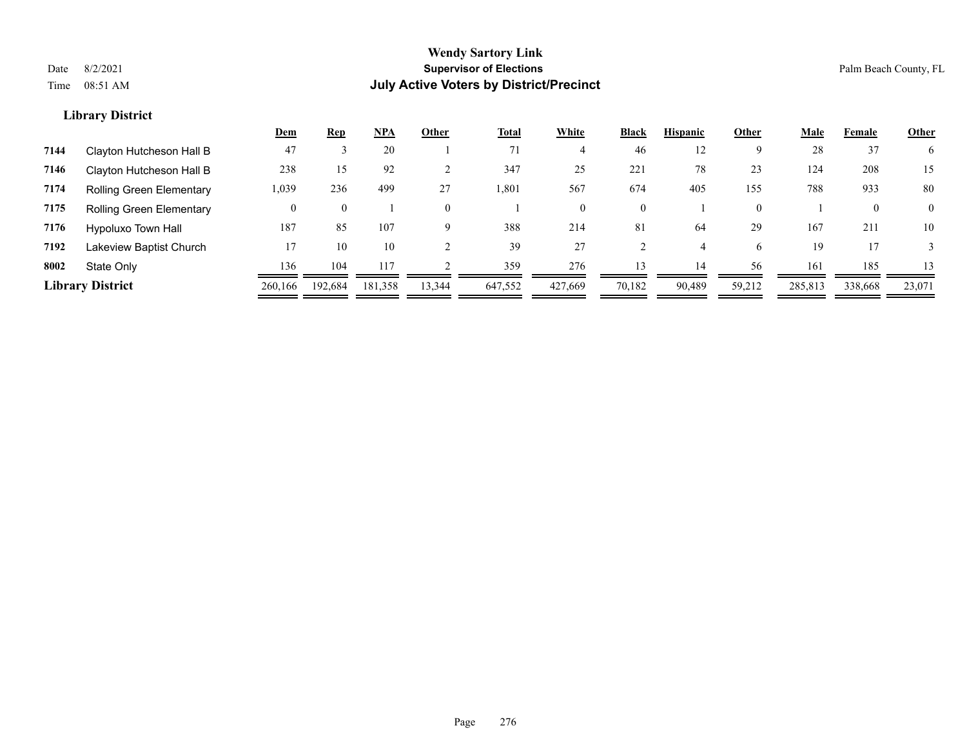|      |                                 | <u>Dem</u> | <b>Rep</b> | <b>NPA</b> | Other  | <b>Total</b> | White   | <b>Black</b>   | <b>Hispanic</b> | Other    | <b>Male</b> | Female  | <b>Other</b>   |
|------|---------------------------------|------------|------------|------------|--------|--------------|---------|----------------|-----------------|----------|-------------|---------|----------------|
| 7144 | Clayton Hutcheson Hall B        | 47         |            | 20         |        | 71           |         | 46             | 12              | Q        | 28          | 37      | 6.             |
| 7146 | Clayton Hutcheson Hall B        | 238        | 15         | 92         |        | 347          | 25      | 221            | 78              | 23       | 124         | 208     | 15             |
| 7174 | Rolling Green Elementary        | 1,039      | 236        | 499        | 27     | 801. ا       | 567     | 674            | 405             | 155      | 788         | 933     | 80             |
| 7175 | <b>Rolling Green Elementary</b> |            |            |            |        |              |         | $\overline{0}$ |                 | $\theta$ |             |         | $\overline{0}$ |
| 7176 | Hypoluxo Town Hall              | 187        | 85         | 107        |        | 388          | 214     | 81             | 64              | 29       | 167         | 211     | 10             |
| 7192 | Lakeview Baptist Church         | 17         | 10         | 10         |        | 39           | 27      |                |                 | 6.       | 19          |         |                |
| 8002 | State Only                      | 136        | 104        | 117        |        | 359          | 276     | 13             | 14              | 56       | 161         | 185     | 13             |
|      | <b>Library District</b>         | 260,166    | 192.684    | 181,358    | 13,344 | 647,552      | 427,669 | 70,182         | 90,489          | 59,212   | 285,813     | 338,668 | 23,071         |
|      |                                 |            |            |            |        |              |         |                |                 |          |             |         |                |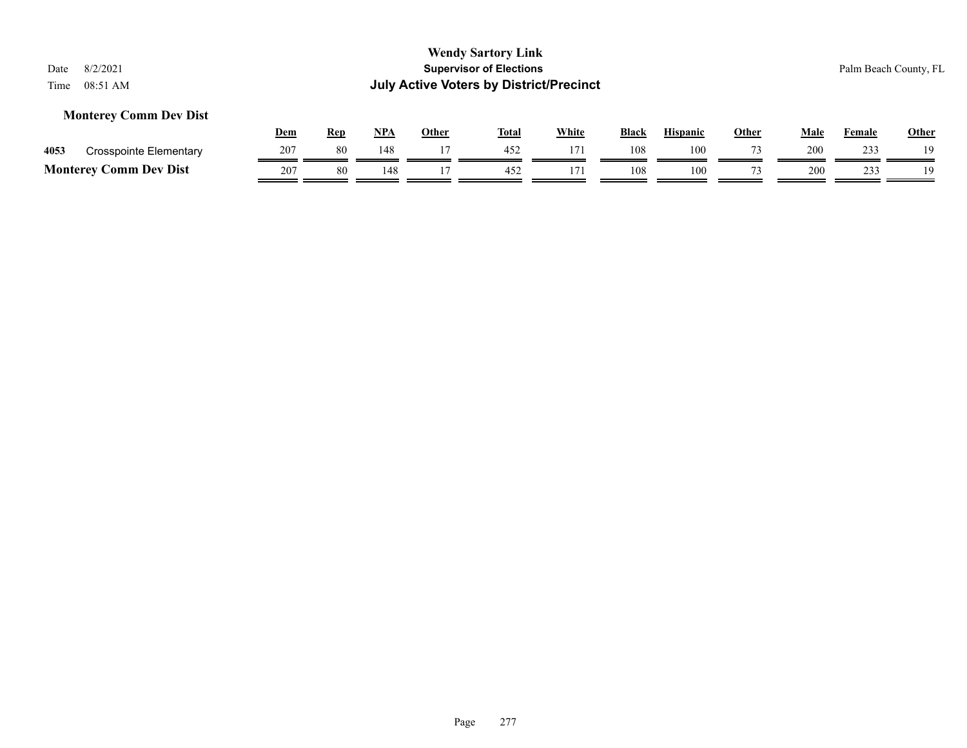#### **Monterey Comm Dev Dist**

|      |                               | Dem | Rep | <b>NPA</b> | Other | <b>Total</b> | <b>White</b> | <b>Black</b> | <b>Hispanic</b> | Other | Male | Female | <u>Other</u> |
|------|-------------------------------|-----|-----|------------|-------|--------------|--------------|--------------|-----------------|-------|------|--------|--------------|
| 4053 | Crosspointe Elementary        | 207 | 80  | 148        |       | 452          |              | 108          | 100             |       | 200  | 233    | 10           |
|      | <b>Monterey Comm Dev Dist</b> | 207 | 80  |            |       | $45^\circ$   |              | 108          | 100             |       | 200  | າາາ    | 1 Q          |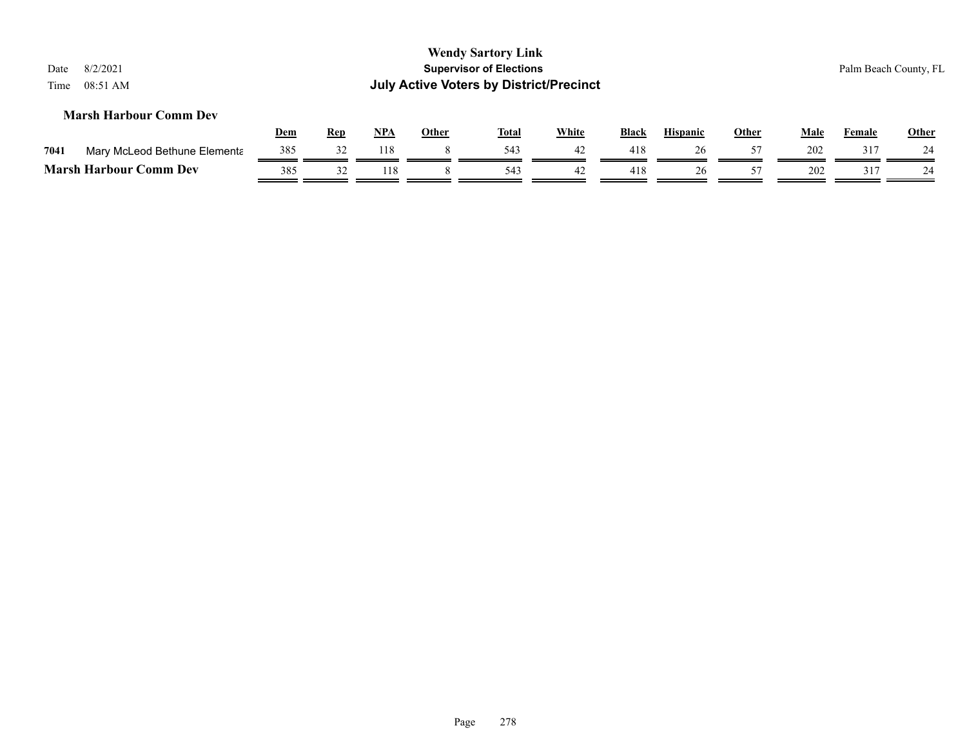| Date<br>Time | 8/2/2021<br>08:51 AM          |            |            |            |              | <b>Wendy Sartory Link</b><br><b>Supervisor of Elections</b><br><b>July Active Voters by District/Precinct</b> |              |              |                 |              |      |               | Palm Beach County, FL |
|--------------|-------------------------------|------------|------------|------------|--------------|---------------------------------------------------------------------------------------------------------------|--------------|--------------|-----------------|--------------|------|---------------|-----------------------|
|              | <b>Marsh Harbour Comm Dev</b> | <u>Dem</u> | <b>Rep</b> | <u>NPA</u> | <b>Other</b> | <u>Total</u>                                                                                                  | <b>White</b> | <b>Black</b> | <b>Hispanic</b> | <u>Other</u> | Male | <b>Female</b> | <b>Other</b>          |
| 7041         | Mary McLeod Bethune Elementa  | 385        | 32         | 118        | 8            | 543                                                                                                           | 42           | 418          | 26              | 57           | 202  | 317           | 24                    |
|              | <b>Marsh Harbour Comm Dev</b> | 385        | 32         | 118        |              | 543                                                                                                           | 42           | 418          | 26              | 57           | 202  | 317           | 24                    |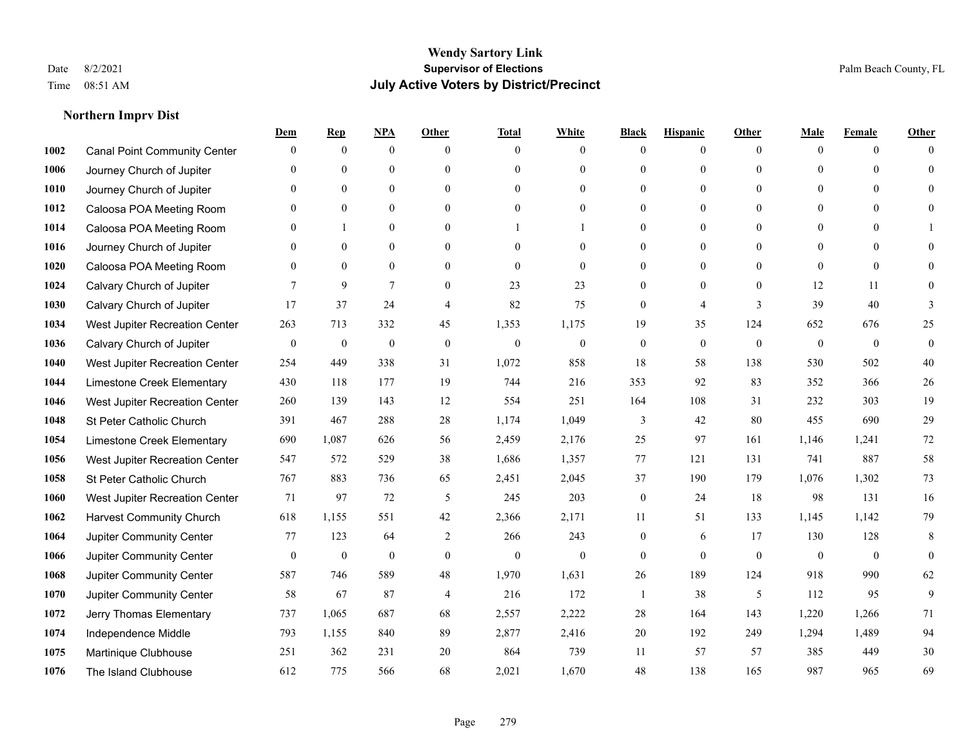#### **Northern Imprv Dist**

|      |                                     | Dem              | <b>Rep</b>       | NPA              | <b>Other</b>     | <b>Total</b>     | <b>White</b>     | <b>Black</b>     | <b>Hispanic</b>  | <b>Other</b>     | <b>Male</b>      | <b>Female</b>  | <b>Other</b> |
|------|-------------------------------------|------------------|------------------|------------------|------------------|------------------|------------------|------------------|------------------|------------------|------------------|----------------|--------------|
| 1002 | <b>Canal Point Community Center</b> | $\mathbf{0}$     | $\mathbf{0}$     | $\mathbf{0}$     | $\theta$         | $\theta$         | $\overline{0}$   | $\Omega$         | $\overline{0}$   | $\theta$         | $\mathbf{0}$     | $\overline{0}$ | $\Omega$     |
| 1006 | Journey Church of Jupiter           | $\Omega$         | $\mathbf{0}$     | $\mathbf{0}$     | $\theta$         | $\theta$         | $\overline{0}$   | $\theta$         | $\overline{0}$   | $\Omega$         | $\Omega$         | $\Omega$       | $\theta$     |
| 1010 | Journey Church of Jupiter           | $\Omega$         | $\mathbf{0}$     | $\mathbf{0}$     | $\theta$         | $\theta$         | $\overline{0}$   | $\Omega$         | $\overline{0}$   | $\Omega$         | $\overline{0}$   | $\Omega$       | $\Omega$     |
| 1012 | Caloosa POA Meeting Room            | $\mathbf{0}$     | $\mathbf{0}$     | $\mathbf{0}$     | $\mathbf{0}$     | $\mathbf{0}$     | $\overline{0}$   | $\theta$         | $\overline{0}$   | $\theta$         | $\overline{0}$   | $\Omega$       | $\Omega$     |
| 1014 | Caloosa POA Meeting Room            | $\theta$         | 1                | $\mathbf{0}$     | $\theta$         |                  |                  | 0                | $\overline{0}$   | $\Omega$         | $\Omega$         | $\theta$       |              |
| 1016 | Journey Church of Jupiter           | $\mathbf{0}$     | $\boldsymbol{0}$ | $\boldsymbol{0}$ | $\mathbf{0}$     | $\mathbf{0}$     | $\boldsymbol{0}$ | $\theta$         | $\boldsymbol{0}$ | $\theta$         | $\boldsymbol{0}$ | $\overline{0}$ | $\Omega$     |
| 1020 | Caloosa POA Meeting Room            | $\mathbf{0}$     | $\mathbf{0}$     | $\mathbf{0}$     | $\mathbf{0}$     | $\mathbf{0}$     | $\overline{0}$   | $\mathbf{0}$     | $\overline{0}$   | $\theta$         | $\mathbf{0}$     | $\overline{0}$ | $\Omega$     |
| 1024 | Calvary Church of Jupiter           | 7                | 9                | $\overline{7}$   | $\theta$         | 23               | 23               | $\Omega$         | $\Omega$         | $\Omega$         | 12               | 11             | $\Omega$     |
| 1030 | Calvary Church of Jupiter           | 17               | 37               | 24               | $\overline{4}$   | 82               | 75               | $\mathbf{0}$     | 4                | 3                | 39               | 40             | 3            |
| 1034 | West Jupiter Recreation Center      | 263              | 713              | 332              | 45               | 1,353            | 1,175            | 19               | 35               | 124              | 652              | 676            | 25           |
| 1036 | Calvary Church of Jupiter           | $\mathbf{0}$     | $\boldsymbol{0}$ | $\mathbf{0}$     | $\mathbf{0}$     | $\mathbf{0}$     | $\overline{0}$   | $\mathbf{0}$     | $\overline{0}$   | $\theta$         | $\mathbf{0}$     | $\mathbf{0}$   | $\mathbf{0}$ |
| 1040 | West Jupiter Recreation Center      | 254              | 449              | 338              | 31               | 1,072            | 858              | 18               | 58               | 138              | 530              | 502            | 40           |
| 1044 | Limestone Creek Elementary          | 430              | 118              | 177              | 19               | 744              | 216              | 353              | 92               | 83               | 352              | 366            | $26\,$       |
| 1046 | West Jupiter Recreation Center      | 260              | 139              | 143              | 12               | 554              | 251              | 164              | 108              | 31               | 232              | 303            | 19           |
| 1048 | St Peter Catholic Church            | 391              | 467              | 288              | 28               | 1,174            | 1,049            | 3                | 42               | 80               | 455              | 690            | 29           |
| 1054 | Limestone Creek Elementary          | 690              | 1,087            | 626              | 56               | 2,459            | 2,176            | 25               | 97               | 161              | 1,146            | 1,241          | 72           |
| 1056 | West Jupiter Recreation Center      | 547              | 572              | 529              | 38               | 1,686            | 1,357            | 77               | 121              | 131              | 741              | 887            | 58           |
| 1058 | St Peter Catholic Church            | 767              | 883              | 736              | 65               | 2,451            | 2,045            | 37               | 190              | 179              | 1,076            | 1,302          | 73           |
| 1060 | West Jupiter Recreation Center      | 71               | 97               | 72               | 5                | 245              | 203              | $\boldsymbol{0}$ | 24               | 18               | 98               | 131            | 16           |
| 1062 | <b>Harvest Community Church</b>     | 618              | 1,155            | 551              | 42               | 2,366            | 2,171            | 11               | 51               | 133              | 1,145            | 1,142          | 79           |
| 1064 | <b>Jupiter Community Center</b>     | 77               | 123              | 64               | 2                | 266              | 243              | $\overline{0}$   | 6                | 17               | 130              | 128            | 8            |
| 1066 | Jupiter Community Center            | $\boldsymbol{0}$ | $\boldsymbol{0}$ | $\boldsymbol{0}$ | $\boldsymbol{0}$ | $\boldsymbol{0}$ | $\boldsymbol{0}$ | $\overline{0}$   | $\boldsymbol{0}$ | $\boldsymbol{0}$ | $\boldsymbol{0}$ | $\mathbf{0}$   | $\mathbf{0}$ |
| 1068 | Jupiter Community Center            | 587              | 746              | 589              | 48               | 1,970            | 1,631            | 26               | 189              | 124              | 918              | 990            | 62           |
| 1070 | Jupiter Community Center            | 58               | 67               | 87               | $\overline{4}$   | 216              | 172              | $\overline{1}$   | 38               | 5                | 112              | 95             | 9            |
| 1072 | Jerry Thomas Elementary             | 737              | 1,065            | 687              | 68               | 2,557            | 2,222            | 28               | 164              | 143              | 1,220            | 1,266          | 71           |
| 1074 | Independence Middle                 | 793              | 1,155            | 840              | 89               | 2,877            | 2,416            | $20\,$           | 192              | 249              | 1,294            | 1,489          | 94           |
| 1075 | Martinique Clubhouse                | 251              | 362              | 231              | 20               | 864              | 739              | 11               | 57               | 57               | 385              | 449            | $30\,$       |
| 1076 | The Island Clubhouse                | 612              | 775              | 566              | 68               | 2,021            | 1,670            | 48               | 138              | 165              | 987              | 965            | 69           |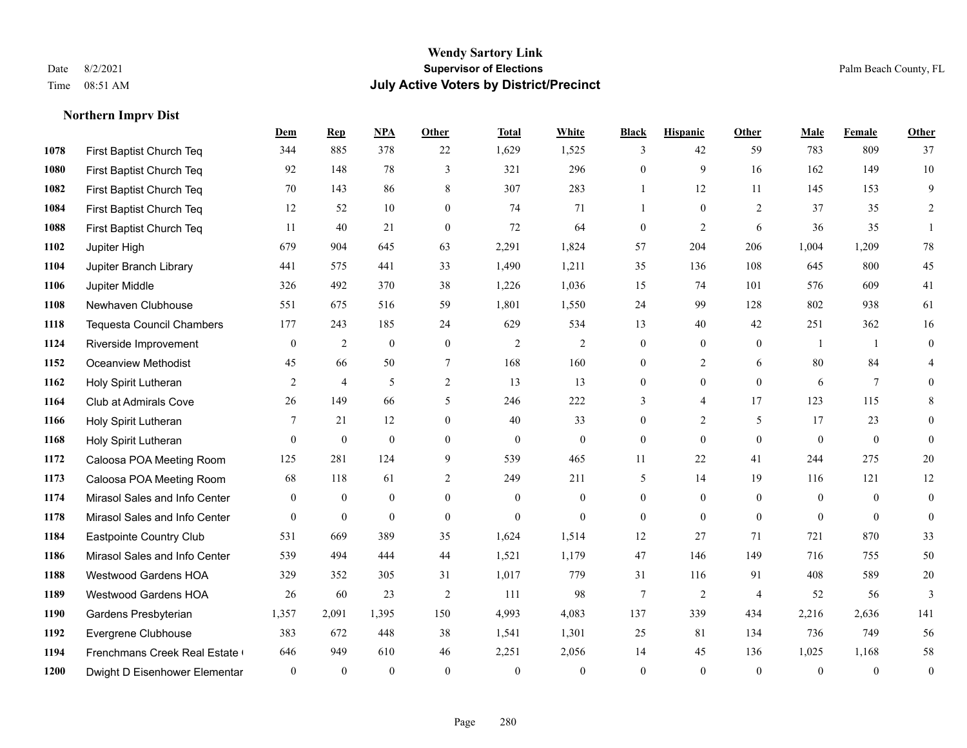**Northern Imprv Dist**

#### **Wendy Sartory Link** Date 8/2/2021 **Supervisor of Elections** Palm Beach County, FL Time 08:51 AM **July Active Voters by District/Precinct**

#### **Dem Rep NPA Other Total White Black Hispanic Other Male Female Other** First Baptist Church Teq 344 885 378 22 1,629 1,525 3 42 59 783 809 37 First Baptist Church Teq 92 148 78 3 321 296 0 9 16 162 149 10 First Baptist Church Teq **70** 143 86 8 307 283 1 1 12 11 145 153 9 First Baptist Church Teq **12** 52 10 0 74 71 1 0 2 37 35 2 First Baptist Church Teq 11 40 21 0 72 64 0 2 6 36 35 1 Jupiter High 679 904 645 63 2,291 1,824 57 204 206 1,004 1,209 78 Jupiter Branch Library 441 575 441 33 1,490 1,211 35 136 108 645 800 45 Jupiter Middle 326 492 370 38 1,226 1,036 15 74 101 576 609 41 Newhaven Clubhouse 551 675 516 59 1,801 1,550 24 99 128 802 938 61 Tequesta Council Chambers 177 243 185 24 629 534 13 40 42 251 362 16 Riverside Improvement 0 0 2 0 0 2 2 2 0 0 0 1 1 0 Oceanview Methodist 45 66 50 7 168 160 0 2 6 80 84 4 Holy Spirit Lutheran **2** 4 5 2 13 13 0 0 0 6 7 0 Club at Admirals Cove 26 149 66 5 246 222 3 4 17 123 115 8 Holy Spirit Lutheran **7** 21 12 0 40 33 0 2 5 17 23 0 Holy Spirit Lutheran 0 0 0 0 0 0 0 0 0 0 0 0 Caloosa POA Meeting Room 125 281 124 9 539 465 11 22 41 244 275 20 Caloosa POA Meeting Room 68 118 61 2 249 211 5 14 19 116 121 12 Mirasol Sales and Info Center 0 0 0 0 0 0 0 0 0 0 0 0 Mirasol Sales and Info Center 0 0 0 0 0 0 0 0 0 0 0 0 Eastpointe Country Club 531 669 389 35 1,624 1,514 12 27 71 721 870 33 Mirasol Sales and Info Center 539 494 444 44 1,521 1,179 47 146 149 716 755 50 Westwood Gardens HOA 329 352 305 31 1,017 779 31 116 91 408 589 20 Westwood Gardens HOA 26 60 23 2 111 98 7 2 4 52 56 3 Gardens Presbyterian 1,357 2,091 1,395 150 4,993 4,083 137 339 434 2,216 2,636 141 Evergrene Clubhouse 383 672 448 38 1,541 1,301 25 81 134 736 749 56 Frenchmans Creek Real Estate 646 949 610 46 2,251 2,056 14 45 136 1,025 1,168 58 Dwight D Eisenhower Elementary 0 0 0 0 0 0 0 0 0 0 0 0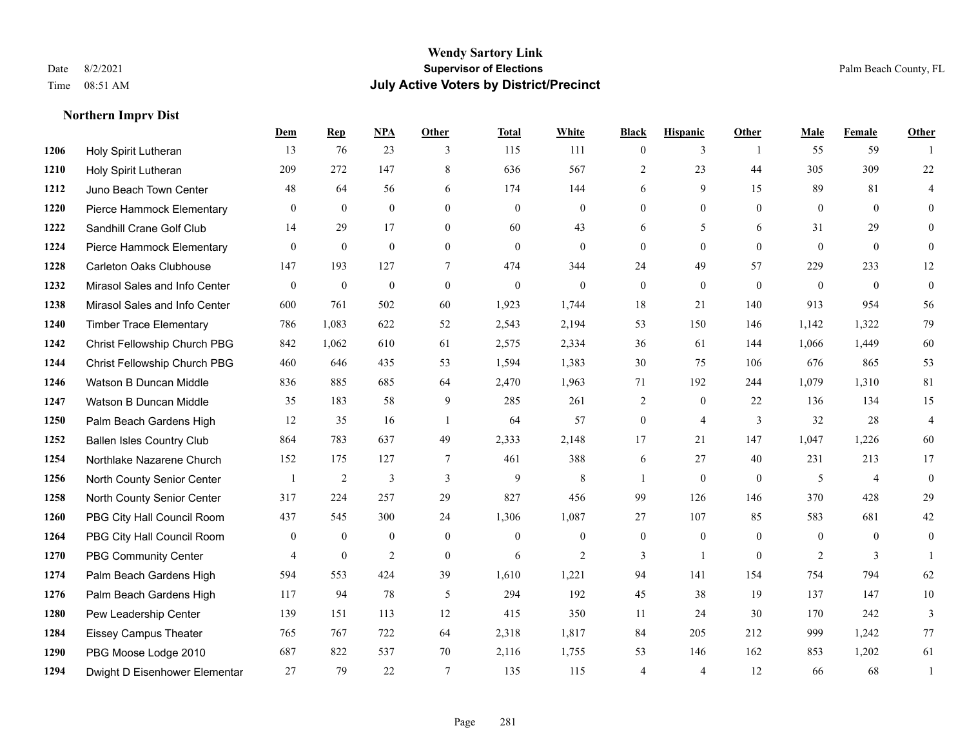#### **Northern Imprv Dist**

|      |                                  | Dem            | <b>Rep</b>     | NPA            | <b>Other</b>   | <b>Total</b> | <b>White</b>     | <b>Black</b>     | <b>Hispanic</b>  | <b>Other</b>   | <b>Male</b>    | Female         | <b>Other</b>   |
|------|----------------------------------|----------------|----------------|----------------|----------------|--------------|------------------|------------------|------------------|----------------|----------------|----------------|----------------|
| 1206 | Holy Spirit Lutheran             | 13             | 76             | 23             | 3              | 115          | 111              | $\overline{0}$   | 3                | $\overline{1}$ | 55             | 59             | $\mathbf{1}$   |
| 1210 | Holy Spirit Lutheran             | 209            | 272            | 147            | 8              | 636          | 567              | $\overline{2}$   | 23               | 44             | 305            | 309            | $22\,$         |
| 1212 | Juno Beach Town Center           | 48             | 64             | 56             | 6              | 174          | 144              | 6                | 9                | 15             | 89             | 81             | 4              |
| 1220 | Pierce Hammock Elementary        | $\theta$       | $\mathbf{0}$   | $\mathbf{0}$   | $\mathbf{0}$   | $\mathbf{0}$ | $\overline{0}$   | $\overline{0}$   | $\mathbf{0}$     | $\mathbf{0}$   | $\mathbf{0}$   | $\theta$       | $\theta$       |
| 1222 | Sandhill Crane Golf Club         | 14             | 29             | 17             | $\theta$       | 60           | 43               | 6                | 5                | 6              | 31             | 29             | $\theta$       |
| 1224 | Pierce Hammock Elementary        | $\overline{0}$ | $\mathbf{0}$   | $\mathbf{0}$   | $\overline{0}$ | $\mathbf{0}$ | $\boldsymbol{0}$ | $\overline{0}$   | $\mathbf{0}$     | $\mathbf{0}$   | $\mathbf{0}$   | $\overline{0}$ | $\overline{0}$ |
| 1228 | Carleton Oaks Clubhouse          | 147            | 193            | 127            | $\tau$         | 474          | 344              | 24               | 49               | 57             | 229            | 233            | 12             |
| 1232 | Mirasol Sales and Info Center    | $\theta$       | $\mathbf{0}$   | $\mathbf{0}$   | $\Omega$       | $\theta$     | $\Omega$         | $\theta$         | $\theta$         | $\Omega$       | $\Omega$       | $\theta$       | $\theta$       |
| 1238 | Mirasol Sales and Info Center    | 600            | 761            | 502            | 60             | 1,923        | 1,744            | 18               | 21               | 140            | 913            | 954            | 56             |
| 1240 | <b>Timber Trace Elementary</b>   | 786            | 1,083          | 622            | 52             | 2,543        | 2,194            | 53               | 150              | 146            | 1,142          | 1,322          | 79             |
| 1242 | Christ Fellowship Church PBG     | 842            | 1,062          | 610            | 61             | 2,575        | 2,334            | 36               | 61               | 144            | 1,066          | 1,449          | 60             |
| 1244 | Christ Fellowship Church PBG     | 460            | 646            | 435            | 53             | 1,594        | 1,383            | 30               | 75               | 106            | 676            | 865            | 53             |
| 1246 | Watson B Duncan Middle           | 836            | 885            | 685            | 64             | 2,470        | 1,963            | 71               | 192              | 244            | 1,079          | 1,310          | 81             |
| 1247 | Watson B Duncan Middle           | 35             | 183            | 58             | 9              | 285          | 261              | $\overline{c}$   | $\boldsymbol{0}$ | 22             | 136            | 134            | 15             |
| 1250 | Palm Beach Gardens High          | 12             | 35             | 16             | $\overline{1}$ | 64           | 57               | $\boldsymbol{0}$ | $\overline{4}$   | 3              | 32             | 28             | $\overline{4}$ |
| 1252 | <b>Ballen Isles Country Club</b> | 864            | 783            | 637            | 49             | 2,333        | 2,148            | 17               | 21               | 147            | 1,047          | 1,226          | 60             |
| 1254 | Northlake Nazarene Church        | 152            | 175            | 127            | $\overline{7}$ | 461          | 388              | 6                | 27               | 40             | 231            | 213            | 17             |
| 1256 | North County Senior Center       |                | $\overline{2}$ | 3              | 3              | 9            | 8                | 1                | $\mathbf{0}$     | $\theta$       | 5              | $\overline{4}$ | $\mathbf{0}$   |
| 1258 | North County Senior Center       | 317            | 224            | 257            | 29             | 827          | 456              | 99               | 126              | 146            | 370            | 428            | 29             |
| 1260 | PBG City Hall Council Room       | 437            | 545            | 300            | 24             | 1,306        | 1,087            | 27               | 107              | 85             | 583            | 681            | 42             |
| 1264 | PBG City Hall Council Room       | $\mathbf{0}$   | $\mathbf{0}$   | $\mathbf{0}$   | $\theta$       | $\theta$     | $\overline{0}$   | $\overline{0}$   | $\mathbf{0}$     | $\theta$       | $\theta$       | $\theta$       | $\mathbf{0}$   |
| 1270 | <b>PBG Community Center</b>      | $\overline{4}$ | $\mathbf{0}$   | $\overline{2}$ | $\mathbf{0}$   | 6            | $\overline{2}$   | 3                | $\mathbf{1}$     | $\theta$       | $\overline{2}$ | 3              | $\mathbf{1}$   |
| 1274 | Palm Beach Gardens High          | 594            | 553            | 424            | 39             | 1,610        | 1,221            | 94               | 141              | 154            | 754            | 794            | 62             |
| 1276 | Palm Beach Gardens High          | 117            | 94             | 78             | 5              | 294          | 192              | 45               | 38               | 19             | 137            | 147            | 10             |
| 1280 | Pew Leadership Center            | 139            | 151            | 113            | 12             | 415          | 350              | 11               | 24               | 30             | 170            | 242            | $\overline{3}$ |
| 1284 | <b>Eissey Campus Theater</b>     | 765            | 767            | 722            | 64             | 2,318        | 1,817            | 84               | 205              | 212            | 999            | 1,242          | 77             |
| 1290 | PBG Moose Lodge 2010             | 687            | 822            | 537            | 70             | 2,116        | 1,755            | 53               | 146              | 162            | 853            | 1,202          | 61             |
| 1294 | Dwight D Eisenhower Elementar    | 27             | 79             | 22             | $\tau$         | 135          | 115              | 4                | 4                | 12             | 66             | 68             | 1              |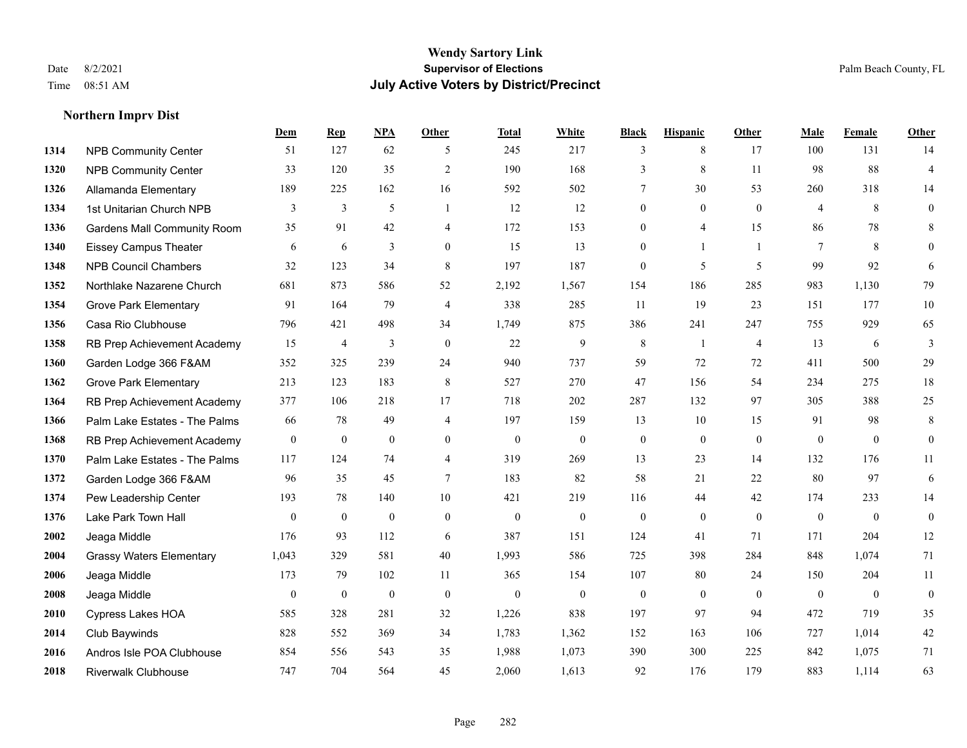#### **Northern Imprv Dist**

|      |                                    | Dem          | <b>Rep</b>       | NPA              | <b>Other</b>   | <b>Total</b> | <b>White</b>     | <b>Black</b>     | <b>Hispanic</b>  | <b>Other</b>   | <b>Male</b>    | Female       | <b>Other</b>     |
|------|------------------------------------|--------------|------------------|------------------|----------------|--------------|------------------|------------------|------------------|----------------|----------------|--------------|------------------|
| 1314 | <b>NPB Community Center</b>        | 51           | 127              | 62               | 5              | 245          | 217              | 3                | 8                | 17             | 100            | 131          | 14               |
| 1320 | <b>NPB Community Center</b>        | 33           | 120              | 35               | $\overline{2}$ | 190          | 168              | 3                | 8                | 11             | 98             | 88           | $\overline{4}$   |
| 1326 | Allamanda Elementary               | 189          | 225              | 162              | 16             | 592          | 502              | 7                | 30               | 53             | 260            | 318          | 14               |
| 1334 | 1st Unitarian Church NPB           | 3            | $\mathfrak{Z}$   | 5                | $\overline{1}$ | 12           | 12               | $\boldsymbol{0}$ | $\mathbf{0}$     | $\mathbf{0}$   | $\overline{4}$ | 8            | $\boldsymbol{0}$ |
| 1336 | <b>Gardens Mall Community Room</b> | 35           | 91               | 42               | 4              | 172          | 153              | $\mathbf{0}$     | 4                | 15             | 86             | 78           | 8                |
| 1340 | <b>Eissey Campus Theater</b>       | 6            | 6                | 3                | $\overline{0}$ | 15           | 13               | $\mathbf{0}$     | $\mathbf{1}$     | -1             | 7              | 8            | $\mathbf{0}$     |
| 1348 | <b>NPB Council Chambers</b>        | 32           | 123              | 34               | 8              | 197          | 187              | $\mathbf{0}$     | 5                | 5              | 99             | 92           | 6                |
| 1352 | Northlake Nazarene Church          | 681          | 873              | 586              | 52             | 2,192        | 1,567            | 154              | 186              | 285            | 983            | 1,130        | 79               |
| 1354 | <b>Grove Park Elementary</b>       | 91           | 164              | 79               | $\overline{4}$ | 338          | 285              | 11               | 19               | 23             | 151            | 177          | $10\,$           |
| 1356 | Casa Rio Clubhouse                 | 796          | 421              | 498              | 34             | 1,749        | 875              | 386              | 241              | 247            | 755            | 929          | 65               |
| 1358 | RB Prep Achievement Academy        | 15           | $\overline{4}$   | 3                | $\theta$       | 22           | 9                | 8                | $\mathbf{1}$     | $\overline{4}$ | 13             | 6            | 3                |
| 1360 | Garden Lodge 366 F&AM              | 352          | 325              | 239              | 24             | 940          | 737              | 59               | 72               | 72             | 411            | 500          | 29               |
| 1362 | <b>Grove Park Elementary</b>       | 213          | 123              | 183              | 8              | 527          | 270              | 47               | 156              | 54             | 234            | 275          | 18               |
| 1364 | RB Prep Achievement Academy        | 377          | 106              | 218              | 17             | 718          | 202              | 287              | 132              | 97             | 305            | 388          | 25               |
| 1366 | Palm Lake Estates - The Palms      | 66           | 78               | 49               | $\overline{4}$ | 197          | 159              | 13               | 10               | 15             | 91             | 98           | $\,8\,$          |
| 1368 | RB Prep Achievement Academy        | $\mathbf{0}$ | $\mathbf{0}$     | $\mathbf{0}$     | $\overline{0}$ | $\theta$     | $\mathbf{0}$     | $\boldsymbol{0}$ | $\mathbf{0}$     | $\theta$       | $\mathbf{0}$   | $\mathbf{0}$ | $\boldsymbol{0}$ |
| 1370 | Palm Lake Estates - The Palms      | 117          | 124              | 74               | 4              | 319          | 269              | 13               | 23               | 14             | 132            | 176          | 11               |
| 1372 | Garden Lodge 366 F&AM              | 96           | 35               | 45               | 7              | 183          | 82               | 58               | 21               | 22             | 80             | 97           | 6                |
| 1374 | Pew Leadership Center              | 193          | 78               | 140              | 10             | 421          | 219              | 116              | 44               | 42             | 174            | 233          | 14               |
| 1376 | Lake Park Town Hall                | $\mathbf{0}$ | $\boldsymbol{0}$ | $\boldsymbol{0}$ | $\overline{0}$ | $\mathbf{0}$ | $\boldsymbol{0}$ | $\boldsymbol{0}$ | $\boldsymbol{0}$ | $\mathbf{0}$   | $\mathbf{0}$   | $\mathbf{0}$ | $\boldsymbol{0}$ |
| 2002 | Jeaga Middle                       | 176          | 93               | 112              | 6              | 387          | 151              | 124              | 41               | 71             | 171            | 204          | 12               |
| 2004 | <b>Grassy Waters Elementary</b>    | 1,043        | 329              | 581              | 40             | 1,993        | 586              | 725              | 398              | 284            | 848            | 1,074        | 71               |
| 2006 | Jeaga Middle                       | 173          | 79               | 102              | 11             | 365          | 154              | 107              | 80               | 24             | 150            | 204          | 11               |
| 2008 | Jeaga Middle                       | $\mathbf{0}$ | $\boldsymbol{0}$ | $\boldsymbol{0}$ | $\mathbf{0}$   | $\theta$     | $\boldsymbol{0}$ | $\boldsymbol{0}$ | $\mathbf{0}$     | $\theta$       | $\mathbf{0}$   | $\mathbf{0}$ | $\boldsymbol{0}$ |
| 2010 | Cypress Lakes HOA                  | 585          | 328              | 281              | 32             | 1,226        | 838              | 197              | 97               | 94             | 472            | 719          | 35               |
| 2014 | Club Baywinds                      | 828          | 552              | 369              | 34             | 1,783        | 1,362            | 152              | 163              | 106            | 727            | 1,014        | 42               |
| 2016 | Andros Isle POA Clubhouse          | 854          | 556              | 543              | 35             | 1,988        | 1,073            | 390              | 300              | 225            | 842            | 1,075        | 71               |
| 2018 | <b>Riverwalk Clubhouse</b>         | 747          | 704              | 564              | 45             | 2,060        | 1,613            | 92               | 176              | 179            | 883            | 1,114        | 63               |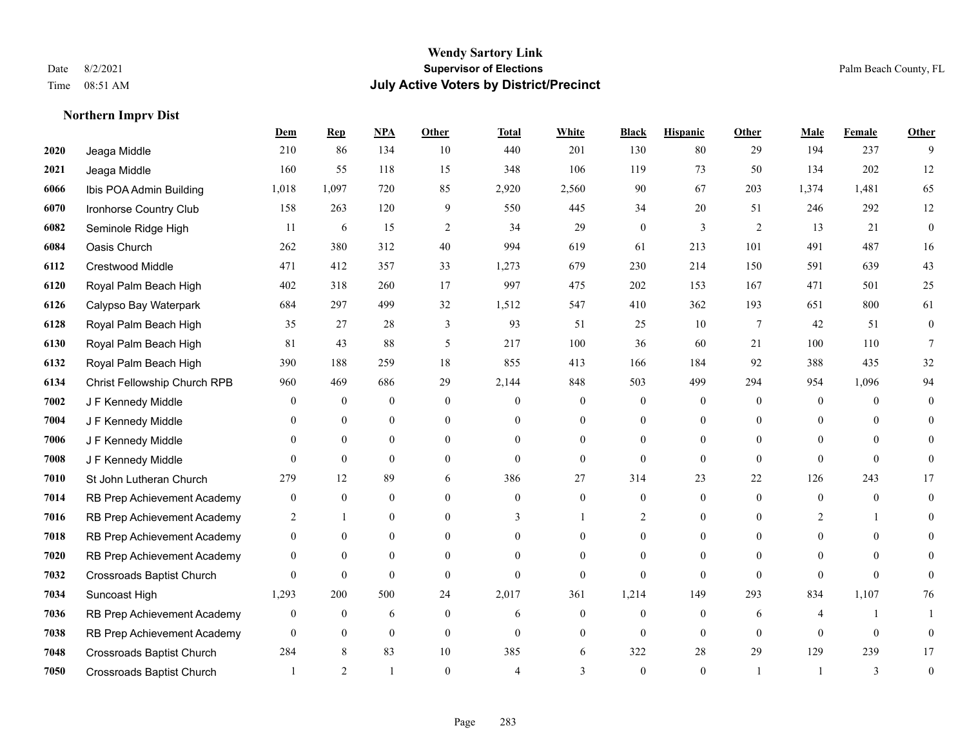**Northern Imprv Dist**

#### **Wendy Sartory Link** Date 8/2/2021 **Supervisor of Elections** Palm Beach County, FL Time 08:51 AM **July Active Voters by District/Precinct**

**Dem Rep NPA Other Total White Black Hispanic Other Male Female Other**

#### Jeaga Middle 210 86 134 10 440 201 130 80 29 194 237 9 Jeaga Middle 160 55 118 15 348 106 119 73 50 134 202 12 Ibis POA Admin Building 1,018 1,097 720 85 2,920 2,560 90 67 203 1,374 1,481 65 Ironhorse Country Club 158 263 120 9 550 445 34 20 51 246 292 12 Seminole Ridge High 11 6 15 2 34 29 0 3 2 13 21 0 Oasis Church 262 380 312 40 994 619 61 213 101 491 487 16 Crestwood Middle 471 412 357 33 1,273 679 230 214 150 591 639 43 Royal Palm Beach High 402 318 260 17 997 475 202 153 167 471 501 25 Calypso Bay Waterpark 684 297 499 32 1,512 547 410 362 193 651 800 61 Royal Palm Beach High 35 27 28 3 93 51 25 10 7 42 51 0 Royal Palm Beach High 81 43 88 5 217 100 36 60 21 100 110 7 Royal Palm Beach High 390 188 259 18 855 413 166 184 92 388 435 32 Christ Fellowship Church RPB 960 469 686 29 2,144 848 503 499 294 954 1,096 94 J F Kennedy Middle 0 0 0 0 0 0 0 0 0 0 0 0 J F Kennedy Middle 0 0 0 0 0 0 0 0 0 0 0 0 J F Kennedy Middle 0 0 0 0 0 0 0 0 0 0 0 0 J F Kennedy Middle 0 0 0 0 0 0 0 0 0 0 St John Lutheran Church 279 12 89 6 386 27 314 23 22 126 243 17 RB Prep Achievement Academy 0 0 0 0 0 0 0 0 0 0 0 0 RB Prep Achievement Academy 2 1 0 0 3 1 2 0 0 2 1 0 RB Prep Achievement Academy 0 0 0 0 0 0 0 0 0 0 0 0 RB Prep Achievement Academy 0 0 0 0 0 0 0 0 0 0 0 0 Crossroads Baptist Church 0 0 0 0 0 0 0 0 0 0 0 0 Suncoast High 1,293 200 500 24 2,017 361 1,214 149 293 834 1,107 76 RB Prep Achievement Academy 0 0 0 6 0 0 6 0 0 0 0 6 4 1 1 RB Prep Achievement Academy 0 0 0 0 0 0 0 0 0 0 0 0

 Crossroads Baptist Church 284 8 83 10 385 6 322 28 29 129 239 17 Crossroads Baptist Church 1 2 1 0 4 3 0 1 1 3 0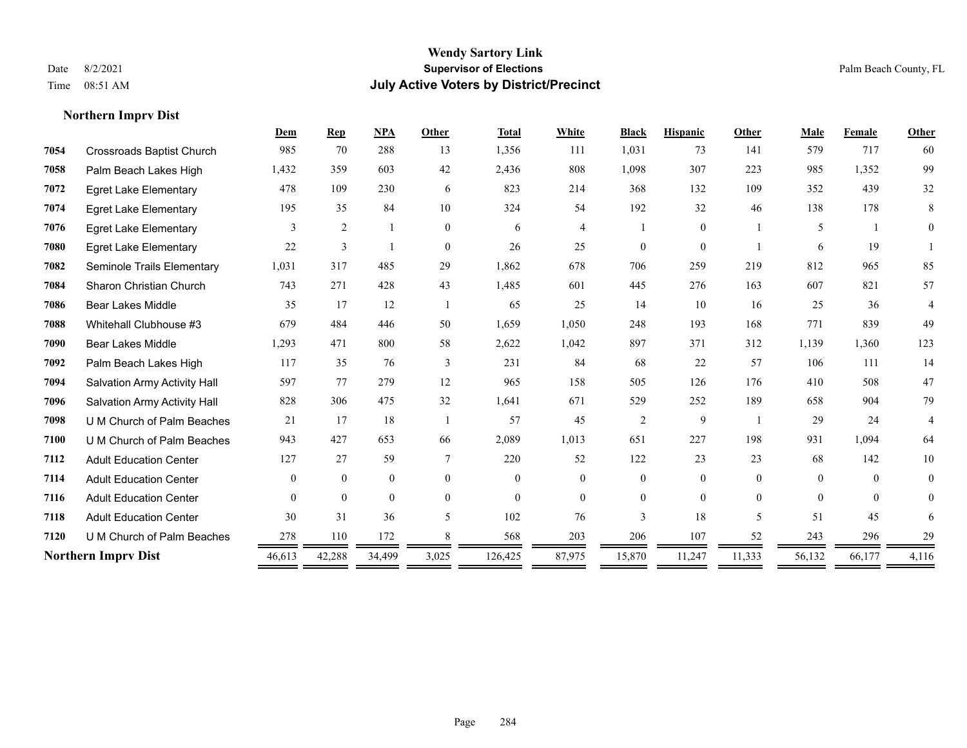**Northern Imprv Dist**

#### **Wendy Sartory Link** Date 8/2/2021 **Supervisor of Elections** Palm Beach County, FL Time 08:51 AM **July Active Voters by District/Precinct**

#### **Dem Rep NPA Other Total White Black Hispanic Other Male Female Other** Crossroads Baptist Church 985 70 288 13 1,356 111 1,031 73 141 579 717 60 Palm Beach Lakes High 1,432 359 603 42 2,436 808 1,098 307 223 985 1,352 99 Egret Lake Elementary 478 109 230 6 823 214 368 132 109 352 439 32 Egret Lake Elementary 195 35 84 10 324 54 192 32 46 138 178 8 Egret Lake Elementary 3 2 1 0 6 4 1 0 1 5 1 0 Egret Lake Elementary 22 3 1 0 26 25 0 0 1 6 19 1 Seminole Trails Elementary 1,031 317 485 29 1,862 678 706 259 219 812 965 85 Sharon Christian Church 743 271 428 43 1,485 601 445 276 163 607 821 57 Bear Lakes Middle 35 17 12 1 65 25 14 10 16 25 36 4 Whitehall Clubhouse #3 679 484 446 50 1,659 1,050 248 193 168 771 839 49 Bear Lakes Middle 1,293 471 800 58 2,622 1,042 897 371 312 1,139 1,360 123 Palm Beach Lakes High 117 35 76 3 231 84 68 22 57 106 111 14 Salvation Army Activity Hall 597 77 279 12 965 158 505 126 176 410 508 47 Salvation Army Activity Hall 828 306 475 32 1,641 671 529 252 189 658 904 79 U M Church of Palm Beaches 21 17 18 1 57 45 2 9 1 29 24 4 U M Church of Palm Beaches 943 427 653 66 2,089 1,013 651 227 198 931 1,094 64 Adult Education Center 127 27 59 7 220 52 122 23 23 68 142 10 Adult Education Center 0 0 0 0 0 0 0 0 0 0 0 0 Adult Education Center 0 0 0 0 0 0 0 0 0 0 0 0 Adult Education Center 30 31 36 5 102 76 3 18 5 51 45 6 **7120** U M Church of Palm Beaches  $\frac{278}{2} \frac{110}{2} \frac{172}{2} \frac{8}{2} \frac{8}{2} \frac{568}{2} \frac{203}{2} \frac{206}{2} \frac{107}{2} \frac{52}{2} \frac{243}{2} \frac{296}{2} \frac{296}{2} \frac{296}{2} \frac{296}{2} \frac{213}{2} \frac{213}{2} \frac{213}{2} \frac{213}{2} \frac{213}{2} \frac{213}{2} \frac$ **Northern Imprv Dist** 46,613 42,288 34,499 3,025 126,425 87,975 15,870 11,247 11,333 56,132 66,177 4,116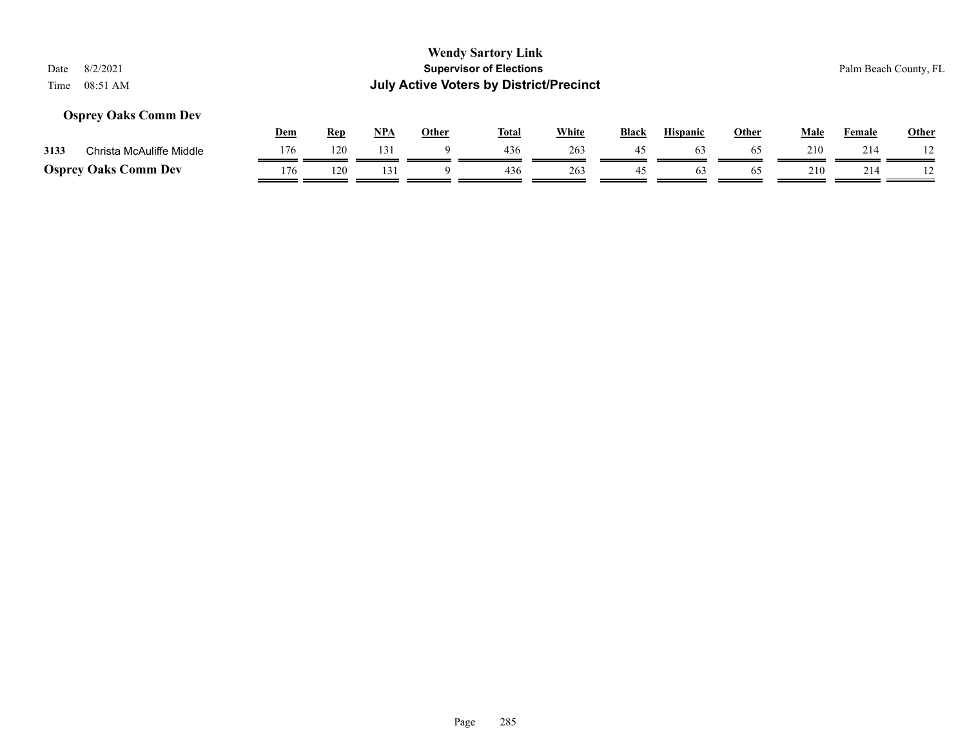#### **Osprey Oaks Comm Dev**

|      |                             | Dem | <b>Rep</b> | <b>NPA</b> | Other | Tota. | White | <b>Black</b> | <b>Hispanic</b> | Other | Male | Female | <b>Other</b> |
|------|-----------------------------|-----|------------|------------|-------|-------|-------|--------------|-----------------|-------|------|--------|--------------|
| 3133 | Christa McAuliffe Middle    | 176 | 120        | 131        |       | 436   | 263   | 45           |                 | 65    | 210  | 214    |              |
|      | <b>Osprey Oaks Comm Dev</b> | 176 | 120        |            |       | 436   | 263   |              | 03              | 65    | 210  | 214    |              |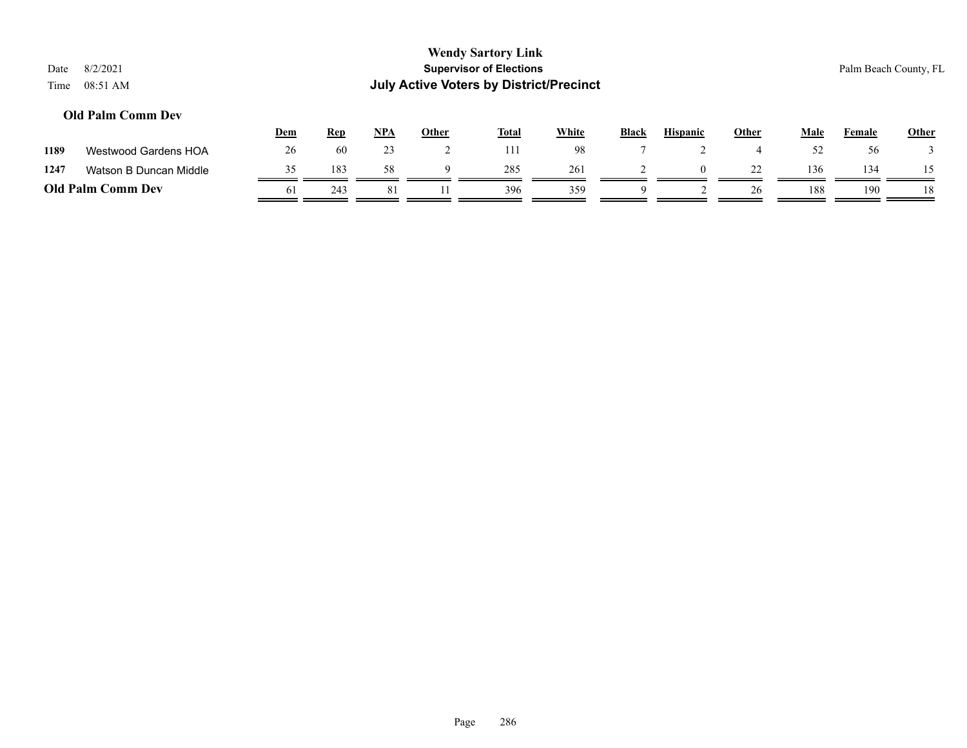|      |                          |                                |            |            |              | <b>Wendy Sartory Link</b>                      |              |              |                 |              |             |                       |              |  |
|------|--------------------------|--------------------------------|------------|------------|--------------|------------------------------------------------|--------------|--------------|-----------------|--------------|-------------|-----------------------|--------------|--|
| Date | 8/2/2021                 | <b>Supervisor of Elections</b> |            |            |              |                                                |              |              |                 |              |             | Palm Beach County, FL |              |  |
| Time | 08:51 AM                 |                                |            |            |              | <b>July Active Voters by District/Precinct</b> |              |              |                 |              |             |                       |              |  |
|      | <b>Old Palm Comm Dev</b> |                                |            |            |              |                                                |              |              |                 |              |             |                       |              |  |
|      |                          | <u>Dem</u>                     | <u>Rep</u> | <u>NPA</u> | <b>Other</b> | <u>Total</u>                                   | <b>White</b> | <b>Black</b> | <b>Hispanic</b> | <u>Other</u> | <b>Male</b> | Female                | <b>Other</b> |  |
| 1189 | Westwood Gardens HOA     | 26                             | 60         | 23         |              |                                                | 98           |              |                 |              | 52          | 56                    |              |  |

**1247** Watson B Duncan Middle  $\frac{35}{2} = \frac{183}{2} = \frac{58}{2} = \frac{9}{2} = \frac{285}{2} = \frac{261}{2} = \frac{2}{2} = \frac{0}{2} = \frac{22}{2} = \frac{136}{2} = \frac{134}{2} = \frac{15}{2} = \frac{134}{2} = \frac{15}{2} = \frac{134}{2} = \frac{15}{2} = \frac{15}{2} = \frac{15}{2} = \frac{15}{2} = \frac{15}{2} = \frac{15}{$ **Old Palm Comm Dev**  $\frac{61}{243}$   $\frac{243}{243}$   $\frac{81}{243}$   $\frac{11}{243}$   $\frac{396}{233}$   $\frac{359}{233}$   $\frac{9}{243}$   $\frac{2}{243}$   $\frac{26}{243}$   $\frac{188}{243}$   $\frac{190}{243}$   $\frac{18}{243}$ 

 $\mathbf{r}$ 

 $\equiv$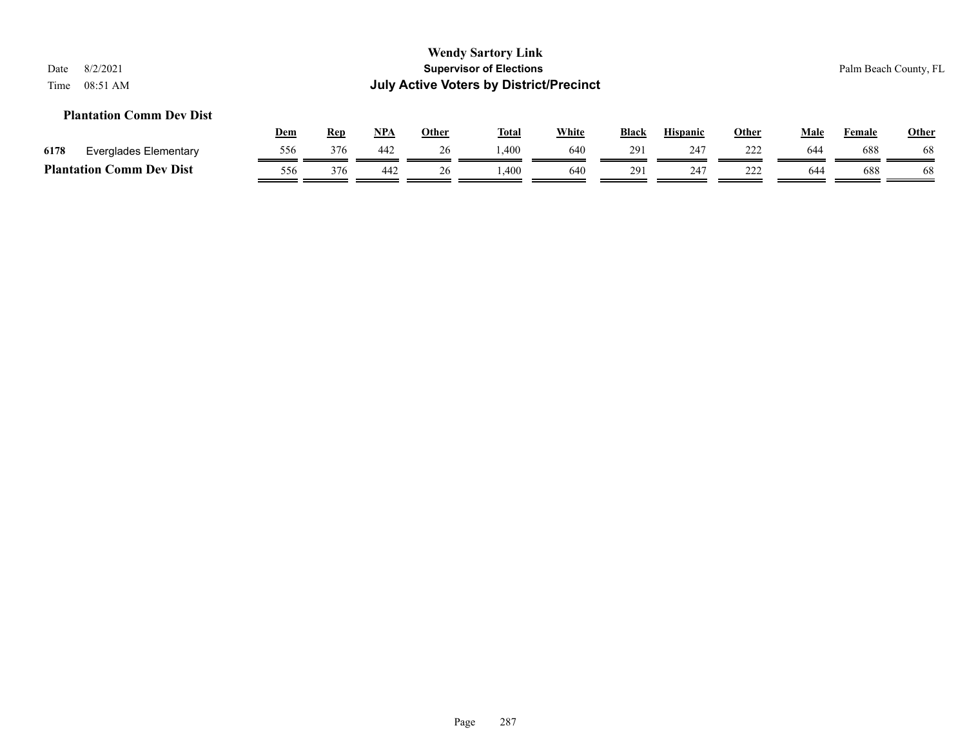#### **Plantation Comm Dev Dist**

|      |                                             | <u>Dem</u> | Rep | <b>NPA</b> | Other | <b>Total</b> | <u>White</u> | <b>Black</b> | <b>Hispanic</b> | Other             | Male | Female | <b>Other</b> |
|------|---------------------------------------------|------------|-----|------------|-------|--------------|--------------|--------------|-----------------|-------------------|------|--------|--------------|
| 6178 | Everglades Elementary                       | 556        | 376 | 442        |       | .400         | 640          | 291          | $24^{\circ}$    | つつつ<br><u>___</u> | 644  | 688    | 68           |
|      | <b>Comm Dev Dist</b><br><b>Plantation (</b> | 556        | 376 | 442        |       | .400         | 640          | 291          | 247             | ∸∸∸               | 644  | 688    | 68           |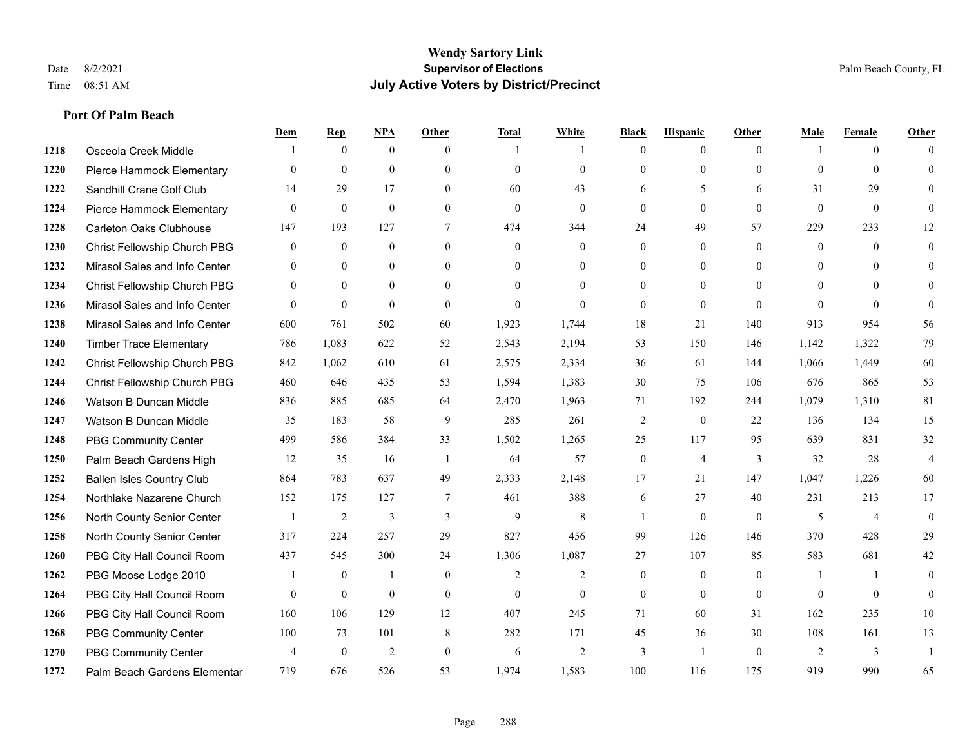**Port Of Palm Beach**

#### **Wendy Sartory Link** Date 8/2/2021 **Supervisor of Elections** Palm Beach County, FL Time 08:51 AM **July Active Voters by District/Precinct**

#### **Dem Rep NPA Other Total White Black Hispanic Other Male Female Other** Osceola Creek Middle  $\begin{array}{cccccccc} 1 & 0 & 0 & 0 & 1 & 1 & 0 & 0 & 0 \end{array}$  Pierce Hammock Elementary 0 0 0 0 0 0 0 0 0 0 0 0 Sandhill Crane Golf Club 14 29 17 0 60 43 6 5 6 31 29 0 Pierce Hammock Elementary 0 0 0 0 0 0 0 0 0 0 0 0 Carleton Oaks Clubhouse 147 193 127 7 474 344 24 49 57 229 233 12 Christ Fellowship Church PBG 0 0 0 0 0 0 0 0 0 0 0 0 Mirasol Sales and Info Center 0 0 0 0 0 0 0 0 0 0 0 0 Christ Fellowship Church PBG 0 0 0 0 0 0 0 0 0 0 0 0 Mirasol Sales and Info Center 0 0 0 0 0 0 0 0 0 0 0 0 Mirasol Sales and Info Center 600 761 502 60 1,923 1,744 18 21 140 913 954 56 Timber Trace Elementary 786 1,083 622 52 2,543 2,194 53 150 146 1,142 1,322 79 Christ Fellowship Church PBG 842 1,062 610 61 2,575 2,334 36 61 144 1,066 1,449 60 Christ Fellowship Church PBG 460 646 435 53 1,594 1,383 30 75 106 676 865 53 Watson B Duncan Middle 836 885 685 64 2,470 1,963 71 192 244 1,079 1,310 81 Watson B Duncan Middle 35 183 58 9 285 261 2 0 22 136 134 15 PBG Community Center 499 586 384 33 1,502 1,265 25 117 95 639 831 32 Palm Beach Gardens High 12 35 16 1 64 57 0 4 3 32 28 4 Ballen Isles Country Club 864 783 637 49 2,333 2,148 17 21 147 1,047 1,226 60 Northlake Nazarene Church 152 175 127 7 461 388 6 27 40 231 213 17 North County Senior Center 1 2 3 3 3 9 8 1 0 0 5 4 0 North County Senior Center 317 224 257 29 827 456 99 126 146 370 428 29 PBG City Hall Council Room 437 545 300 24 1,306 1,087 27 107 85 583 681 42 PBG Moose Lodge 2010 1 0 1 0 1 0 2 2 0 0 0 1 1 0 PBG City Hall Council Room 0 0 0 0 0 0 0 0 0 0 0 0 PBG City Hall Council Room 160 106 129 12 407 245 71 60 31 162 235 10 PBG Community Center 100 73 101 8 282 171 45 36 30 108 161 13 PBG Community Center  $\begin{array}{ccccccccccccc}\n4 & 0 & 2 & 0 & 6 & 2 & 3 & 1 & 0 & 2 & 3 & 1\n\end{array}$ Palm Beach Gardens Elementary 719 676 526 53 1,974 1,583 100 116 175 919 990 65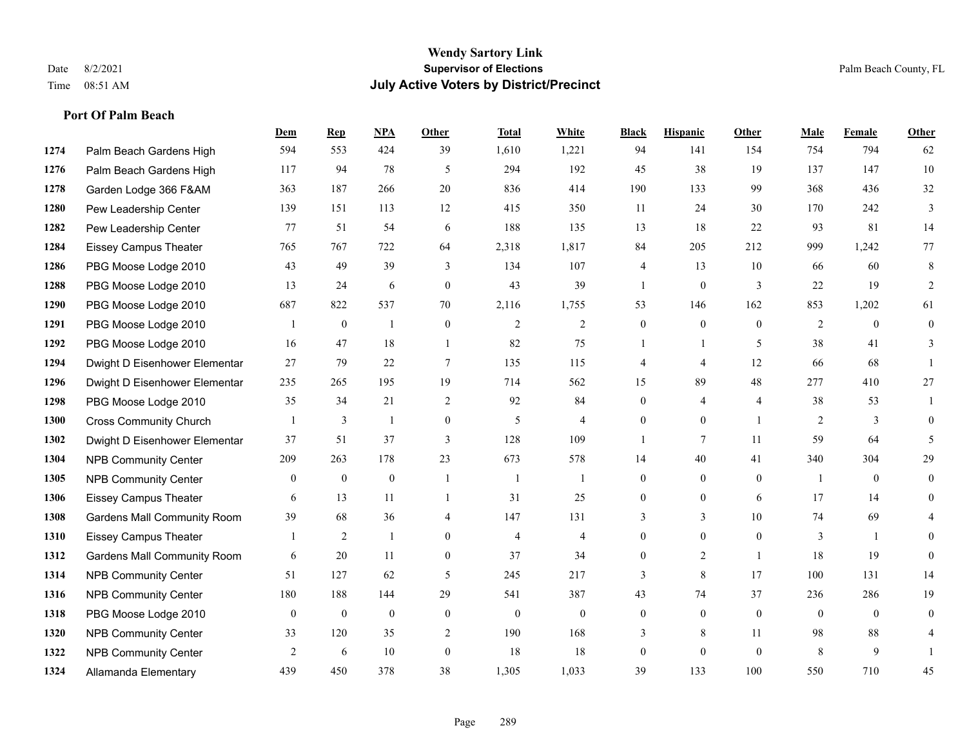|      |                                    | Dem          | <b>Rep</b>       | NPA              | <b>Other</b>   | <b>Total</b>   | <b>White</b>   | <b>Black</b>     | <b>Hispanic</b> | Other          | <b>Male</b>    | <b>Female</b>  | <b>Other</b>   |
|------|------------------------------------|--------------|------------------|------------------|----------------|----------------|----------------|------------------|-----------------|----------------|----------------|----------------|----------------|
| 1274 | Palm Beach Gardens High            | 594          | 553              | 424              | 39             | 1,610          | 1,221          | 94               | 141             | 154            | 754            | 794            | 62             |
| 1276 | Palm Beach Gardens High            | 117          | 94               | 78               | 5              | 294            | 192            | 45               | 38              | 19             | 137            | 147            | 10             |
| 1278 | Garden Lodge 366 F&AM              | 363          | 187              | 266              | 20             | 836            | 414            | 190              | 133             | 99             | 368            | 436            | 32             |
| 1280 | Pew Leadership Center              | 139          | 151              | 113              | 12             | 415            | 350            | 11               | 24              | 30             | 170            | 242            | 3              |
| 1282 | Pew Leadership Center              | 77           | 51               | 54               | 6              | 188            | 135            | 13               | 18              | 22             | 93             | 81             | 14             |
| 1284 | <b>Eissey Campus Theater</b>       | 765          | 767              | 722              | 64             | 2,318          | 1,817          | 84               | 205             | 212            | 999            | 1,242          | 77             |
| 1286 | PBG Moose Lodge 2010               | 43           | 49               | 39               | 3              | 134            | 107            | 4                | 13              | 10             | 66             | 60             | 8              |
| 1288 | PBG Moose Lodge 2010               | 13           | 24               | 6                | $\theta$       | 43             | 39             | $\mathbf{1}$     | $\overline{0}$  | 3              | 22             | 19             | 2              |
| 1290 | PBG Moose Lodge 2010               | 687          | 822              | 537              | 70             | 2,116          | 1,755          | 53               | 146             | 162            | 853            | 1,202          | 61             |
| 1291 | PBG Moose Lodge 2010               |              | $\mathbf{0}$     | 1                | $\mathbf{0}$   | $\overline{2}$ | 2              | $\overline{0}$   | $\overline{0}$  | $\Omega$       | 2              | $\theta$       | $\mathbf{0}$   |
| 1292 | PBG Moose Lodge 2010               | 16           | 47               | 18               | $\overline{1}$ | 82             | 75             | 1                | 1               | 5              | 38             | 41             | 3              |
| 1294 | Dwight D Eisenhower Elementar      | 27           | 79               | 22               | $\tau$         | 135            | 115            | 4                | 4               | 12             | 66             | 68             |                |
| 1296 | Dwight D Eisenhower Elementar      | 235          | 265              | 195              | 19             | 714            | 562            | 15               | 89              | 48             | 277            | 410            | $27\,$         |
| 1298 | PBG Moose Lodge 2010               | 35           | 34               | 21               | $\overline{2}$ | 92             | 84             | $\overline{0}$   | 4               | $\overline{4}$ | 38             | 53             |                |
| 1300 | <b>Cross Community Church</b>      |              | 3                | 1                | $\mathbf{0}$   | 5              | $\overline{4}$ | $\theta$         | $\Omega$        | $\overline{1}$ | 2              | 3              | $\theta$       |
| 1302 | Dwight D Eisenhower Elementar      | 37           | 51               | 37               | 3              | 128            | 109            | 1                | 7               | 11             | 59             | 64             | 5              |
| 1304 | <b>NPB Community Center</b>        | 209          | 263              | 178              | 23             | 673            | 578            | 14               | 40              | 41             | 340            | 304            | 29             |
| 1305 | <b>NPB Community Center</b>        | $\mathbf{0}$ | $\boldsymbol{0}$ | $\boldsymbol{0}$ | $\overline{1}$ | $\overline{1}$ | $\mathbf{1}$   | $\boldsymbol{0}$ | $\mathbf{0}$    | $\mathbf{0}$   | $\overline{1}$ | $\overline{0}$ | $\overline{0}$ |
| 1306 | <b>Eissey Campus Theater</b>       | 6            | 13               | 11               |                | 31             | 25             | 0                | 0               | 6              | 17             | 14             | $\theta$       |
| 1308 | <b>Gardens Mall Community Room</b> | 39           | 68               | 36               | $\overline{4}$ | 147            | 131            | 3                | 3               | 10             | 74             | 69             | 4              |
| 1310 | <b>Eissey Campus Theater</b>       | 1            | $\overline{c}$   | 1                | $\overline{0}$ | 4              | $\overline{4}$ | $\overline{0}$   | $\overline{0}$  | $\theta$       | 3              | $\mathbf{1}$   | $\theta$       |
| 1312 | <b>Gardens Mall Community Room</b> | 6            | 20               | 11               | $\mathbf{0}$   | 37             | 34             | $\overline{0}$   | $\overline{2}$  | $\overline{1}$ | 18             | 19             | $\Omega$       |
| 1314 | <b>NPB Community Center</b>        | 51           | 127              | 62               | 5              | 245            | 217            | 3                | 8               | 17             | 100            | 131            | 14             |
| 1316 | <b>NPB Community Center</b>        | 180          | 188              | 144              | 29             | 541            | 387            | 43               | 74              | 37             | 236            | 286            | 19             |
| 1318 | PBG Moose Lodge 2010               | $\mathbf{0}$ | $\mathbf{0}$     | $\mathbf{0}$     | $\mathbf{0}$   | $\theta$       | $\overline{0}$ | $\overline{0}$   | $\mathbf{0}$    | $\theta$       | $\theta$       | $\theta$       | $\theta$       |
| 1320 | <b>NPB Community Center</b>        | 33           | 120              | 35               | 2              | 190            | 168            | 3                | 8               | 11             | 98             | 88             |                |
| 1322 | <b>NPB Community Center</b>        | 2            | 6                | 10               | $\mathbf{0}$   | 18             | 18             | $\overline{0}$   | $\overline{0}$  | $\theta$       | 8              | 9              |                |
| 1324 | Allamanda Elementary               | 439          | 450              | 378              | 38             | 1,305          | 1,033          | 39               | 133             | 100            | 550            | 710            | 45             |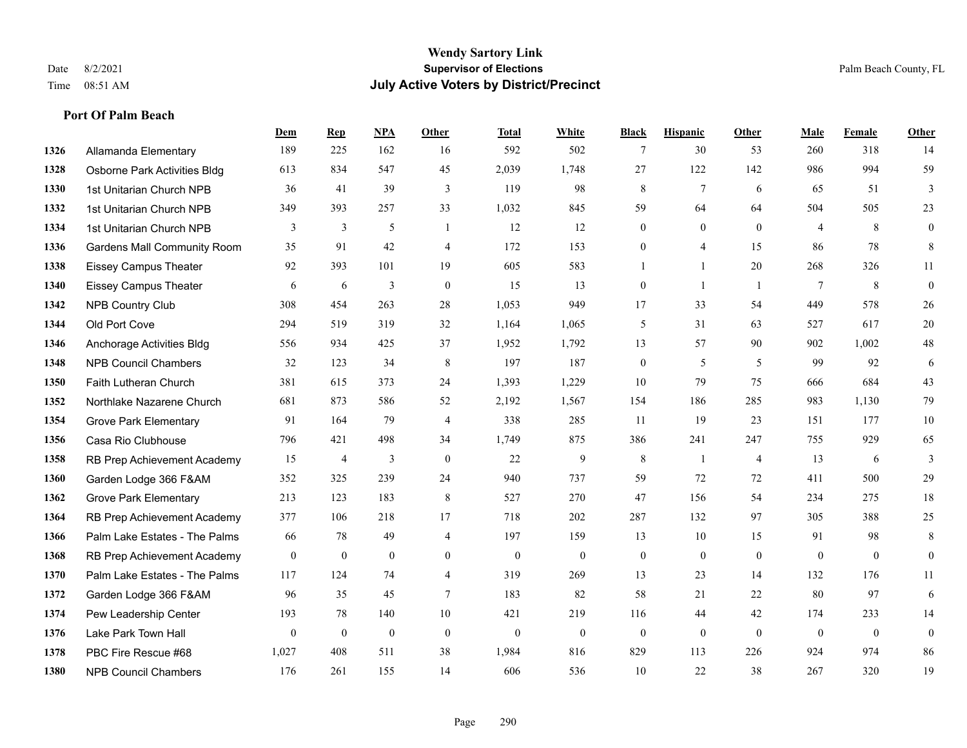|      |                                     | Dem            | <b>Rep</b>     | NPA          | Other            | <b>Total</b>     | <b>White</b> | <b>Black</b>     | <b>Hispanic</b>  | Other          | <b>Male</b>     | <b>Female</b> | <b>Other</b>   |
|------|-------------------------------------|----------------|----------------|--------------|------------------|------------------|--------------|------------------|------------------|----------------|-----------------|---------------|----------------|
| 1326 | Allamanda Elementary                | 189            | 225            | 162          | 16               | 592              | 502          | 7                | 30               | 53             | 260             | 318           | 14             |
| 1328 | <b>Osborne Park Activities Bldg</b> | 613            | 834            | 547          | 45               | 2,039            | 1,748        | 27               | 122              | 142            | 986             | 994           | 59             |
| 1330 | 1st Unitarian Church NPB            | 36             | 41             | 39           | 3                | 119              | 98           | 8                | 7                | 6              | 65              | 51            | 3              |
| 1332 | 1st Unitarian Church NPB            | 349            | 393            | 257          | 33               | 1,032            | 845          | 59               | 64               | 64             | 504             | 505           | 23             |
| 1334 | 1st Unitarian Church NPB            | 3              | 3              | 5            | $\mathbf{1}$     | 12               | 12           | $\overline{0}$   | $\theta$         | $\Omega$       | $\overline{4}$  | 8             | $\mathbf{0}$   |
| 1336 | <b>Gardens Mall Community Room</b>  | 35             | 91             | 42           | $\overline{4}$   | 172              | 153          | 0                | 4                | 15             | 86              | 78            | 8              |
| 1338 | <b>Eissey Campus Theater</b>        | 92             | 393            | 101          | 19               | 605              | 583          | 1                | $\mathbf{1}$     | 20             | 268             | 326           | 11             |
| 1340 | <b>Eissey Campus Theater</b>        | 6              | 6              | 3            | $\theta$         | 15               | 13           | $\mathbf{0}$     | $\mathbf{1}$     | $\overline{1}$ | $7\phantom{.0}$ | 8             | $\theta$       |
| 1342 | <b>NPB Country Club</b>             | 308            | 454            | 263          | $28\,$           | 1,053            | 949          | 17               | 33               | 54             | 449             | 578           | 26             |
| 1344 | Old Port Cove                       | 294            | 519            | 319          | 32               | 1,164            | 1,065        | 5                | 31               | 63             | 527             | 617           | $20\,$         |
| 1346 | Anchorage Activities Bldg           | 556            | 934            | 425          | 37               | 1,952            | 1,792        | 13               | 57               | 90             | 902             | 1,002         | $48\,$         |
| 1348 | <b>NPB Council Chambers</b>         | 32             | 123            | 34           | 8                | 197              | 187          | $\mathbf{0}$     | 5                | 5              | 99              | 92            | 6              |
| 1350 | Faith Lutheran Church               | 381            | 615            | 373          | 24               | 1,393            | 1,229        | 10               | 79               | 75             | 666             | 684           | 43             |
| 1352 | Northlake Nazarene Church           | 681            | 873            | 586          | 52               | 2,192            | 1,567        | 154              | 186              | 285            | 983             | 1,130         | 79             |
| 1354 | <b>Grove Park Elementary</b>        | 91             | 164            | 79           | $\overline{4}$   | 338              | 285          | 11               | 19               | 23             | 151             | 177           | $10\,$         |
| 1356 | Casa Rio Clubhouse                  | 796            | 421            | 498          | 34               | 1,749            | 875          | 386              | 241              | 247            | 755             | 929           | 65             |
| 1358 | RB Prep Achievement Academy         | 15             | $\overline{4}$ | 3            | $\boldsymbol{0}$ | 22               | 9            | $\,8\,$          | -1               | $\overline{4}$ | 13              | 6             | $\mathfrak{Z}$ |
| 1360 | Garden Lodge 366 F&AM               | 352            | 325            | 239          | 24               | 940              | 737          | 59               | 72               | 72             | 411             | 500           | 29             |
| 1362 | <b>Grove Park Elementary</b>        | 213            | 123            | 183          | 8                | 527              | 270          | 47               | 156              | 54             | 234             | 275           | 18             |
| 1364 | RB Prep Achievement Academy         | 377            | 106            | 218          | 17               | 718              | 202          | 287              | 132              | 97             | 305             | 388           | 25             |
| 1366 | Palm Lake Estates - The Palms       | 66             | 78             | 49           | $\overline{4}$   | 197              | 159          | 13               | 10               | 15             | 91              | 98            | 8              |
| 1368 | RB Prep Achievement Academy         | $\overline{0}$ | $\mathbf{0}$   | $\mathbf{0}$ | $\mathbf{0}$     | $\boldsymbol{0}$ | $\mathbf{0}$ | $\boldsymbol{0}$ | $\mathbf{0}$     | $\mathbf{0}$   | $\mathbf{0}$    | $\mathbf{0}$  | $\overline{0}$ |
| 1370 | Palm Lake Estates - The Palms       | 117            | 124            | 74           | $\overline{4}$   | 319              | 269          | 13               | 23               | 14             | 132             | 176           | 11             |
| 1372 | Garden Lodge 366 F&AM               | 96             | 35             | 45           | $\tau$           | 183              | 82           | 58               | 21               | 22             | 80              | 97            | 6              |
| 1374 | Pew Leadership Center               | 193            | 78             | 140          | 10               | 421              | 219          | 116              | 44               | 42             | 174             | 233           | 14             |
| 1376 | Lake Park Town Hall                 | $\theta$       | $\mathbf{0}$   | $\mathbf{0}$ | $\mathbf{0}$     | $\boldsymbol{0}$ | $\mathbf{0}$ | $\mathbf{0}$     | $\boldsymbol{0}$ | $\theta$       | $\overline{0}$  | $\mathbf{0}$  | $\mathbf{0}$   |
| 1378 | PBC Fire Rescue #68                 | 1,027          | 408            | 511          | 38               | 1,984            | 816          | 829              | 113              | 226            | 924             | 974           | 86             |
| 1380 | <b>NPB Council Chambers</b>         | 176            | 261            | 155          | 14               | 606              | 536          | 10               | 22               | 38             | 267             | 320           | 19             |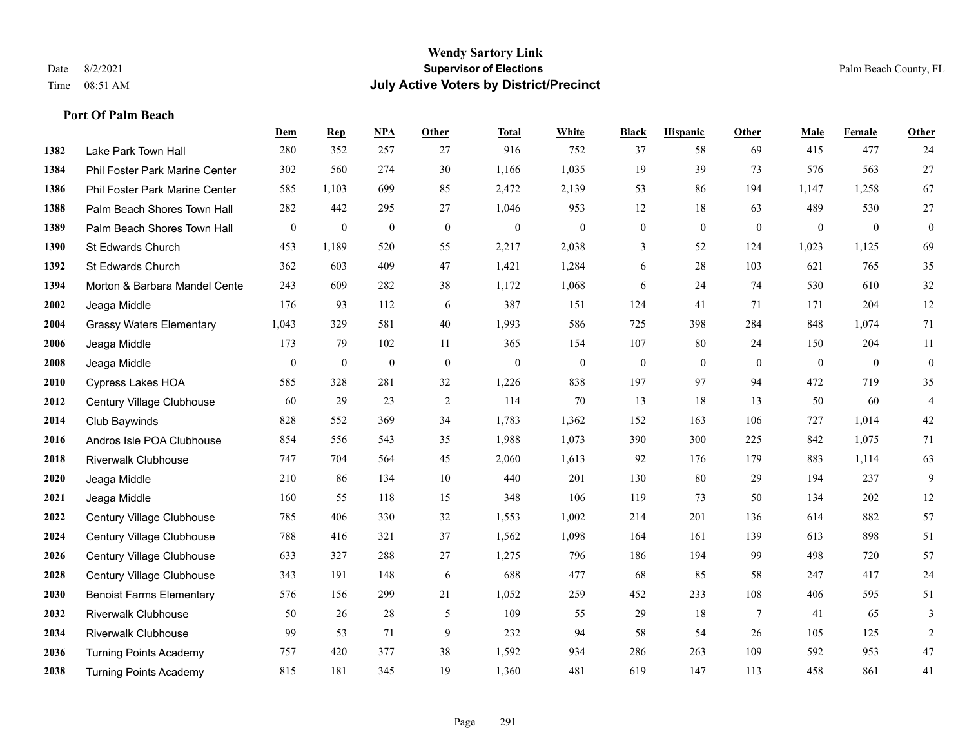|      |                                 | Dem              | <b>Rep</b>       | NPA              | <b>Other</b> | <b>Total</b>     | <b>White</b>     | <b>Black</b>     | <b>Hispanic</b>  | <b>Other</b>   | <b>Male</b>  | Female           | Other            |
|------|---------------------------------|------------------|------------------|------------------|--------------|------------------|------------------|------------------|------------------|----------------|--------------|------------------|------------------|
| 1382 | Lake Park Town Hall             | 280              | 352              | 257              | 27           | 916              | 752              | 37               | 58               | 69             | 415          | 477              | 24               |
| 1384 | Phil Foster Park Marine Center  | 302              | 560              | 274              | 30           | 1,166            | 1,035            | 19               | 39               | 73             | 576          | 563              | 27               |
| 1386 | Phil Foster Park Marine Center  | 585              | 1,103            | 699              | 85           | 2,472            | 2,139            | 53               | 86               | 194            | 1,147        | 1,258            | 67               |
| 1388 | Palm Beach Shores Town Hall     | 282              | 442              | 295              | 27           | 1,046            | 953              | 12               | 18               | 63             | 489          | 530              | $27\,$           |
| 1389 | Palm Beach Shores Town Hall     | $\boldsymbol{0}$ | $\boldsymbol{0}$ | $\boldsymbol{0}$ | $\mathbf{0}$ | $\boldsymbol{0}$ | $\boldsymbol{0}$ | $\boldsymbol{0}$ | $\boldsymbol{0}$ | $\mathbf{0}$   | $\mathbf{0}$ | $\boldsymbol{0}$ | $\boldsymbol{0}$ |
| 1390 | St Edwards Church               | 453              | 1,189            | 520              | 55           | 2,217            | 2,038            | 3                | 52               | 124            | 1,023        | 1,125            | 69               |
| 1392 | St Edwards Church               | 362              | 603              | 409              | 47           | 1,421            | 1,284            | 6                | 28               | 103            | 621          | 765              | 35               |
| 1394 | Morton & Barbara Mandel Cente   | 243              | 609              | 282              | 38           | 1,172            | 1,068            | 6                | 24               | 74             | 530          | 610              | 32               |
| 2002 | Jeaga Middle                    | 176              | 93               | 112              | 6            | 387              | 151              | 124              | 41               | 71             | 171          | 204              | 12               |
| 2004 | <b>Grassy Waters Elementary</b> | 1,043            | 329              | 581              | $40\,$       | 1,993            | 586              | 725              | 398              | 284            | 848          | 1,074            | 71               |
| 2006 | Jeaga Middle                    | 173              | 79               | 102              | 11           | 365              | 154              | 107              | 80               | 24             | 150          | 204              | 11               |
| 2008 | Jeaga Middle                    | $\mathbf{0}$     | $\boldsymbol{0}$ | $\theta$         | $\mathbf{0}$ | $\mathbf{0}$     | $\boldsymbol{0}$ | $\mathbf{0}$     | $\overline{0}$   | $\theta$       | $\mathbf{0}$ | $\overline{0}$   | $\boldsymbol{0}$ |
| 2010 | <b>Cypress Lakes HOA</b>        | 585              | 328              | 281              | 32           | 1,226            | 838              | 197              | 97               | 94             | 472          | 719              | 35               |
| 2012 | Century Village Clubhouse       | 60               | 29               | 23               | $\sqrt{2}$   | 114              | 70               | 13               | 18               | 13             | 50           | 60               | 4                |
| 2014 | Club Baywinds                   | 828              | 552              | 369              | 34           | 1,783            | 1,362            | 152              | 163              | 106            | 727          | 1,014            | 42               |
| 2016 | Andros Isle POA Clubhouse       | 854              | 556              | 543              | 35           | 1,988            | 1,073            | 390              | 300              | 225            | 842          | 1,075            | 71               |
| 2018 | <b>Riverwalk Clubhouse</b>      | 747              | 704              | 564              | 45           | 2,060            | 1,613            | 92               | 176              | 179            | 883          | 1,114            | 63               |
| 2020 | Jeaga Middle                    | 210              | 86               | 134              | 10           | 440              | 201              | 130              | 80               | 29             | 194          | 237              | 9                |
| 2021 | Jeaga Middle                    | 160              | 55               | 118              | 15           | 348              | 106              | 119              | 73               | 50             | 134          | 202              | $12\,$           |
| 2022 | Century Village Clubhouse       | 785              | 406              | 330              | 32           | 1,553            | 1,002            | 214              | 201              | 136            | 614          | 882              | 57               |
| 2024 | Century Village Clubhouse       | 788              | 416              | 321              | 37           | 1,562            | 1,098            | 164              | 161              | 139            | 613          | 898              | 51               |
| 2026 | Century Village Clubhouse       | 633              | 327              | 288              | 27           | 1,275            | 796              | 186              | 194              | 99             | 498          | 720              | 57               |
| 2028 | Century Village Clubhouse       | 343              | 191              | 148              | 6            | 688              | 477              | 68               | 85               | 58             | 247          | 417              | 24               |
| 2030 | <b>Benoist Farms Elementary</b> | 576              | 156              | 299              | 21           | 1,052            | 259              | 452              | 233              | 108            | 406          | 595              | 51               |
| 2032 | <b>Riverwalk Clubhouse</b>      | 50               | 26               | 28               | 5            | 109              | 55               | 29               | 18               | $\overline{7}$ | 41           | 65               | 3                |
| 2034 | <b>Riverwalk Clubhouse</b>      | 99               | 53               | 71               | 9            | 232              | 94               | 58               | 54               | 26             | 105          | 125              | $\sqrt{2}$       |
| 2036 | <b>Turning Points Academy</b>   | 757              | 420              | 377              | 38           | 1,592            | 934              | 286              | 263              | 109            | 592          | 953              | 47               |
| 2038 | <b>Turning Points Academy</b>   | 815              | 181              | 345              | 19           | 1,360            | 481              | 619              | 147              | 113            | 458          | 861              | 41               |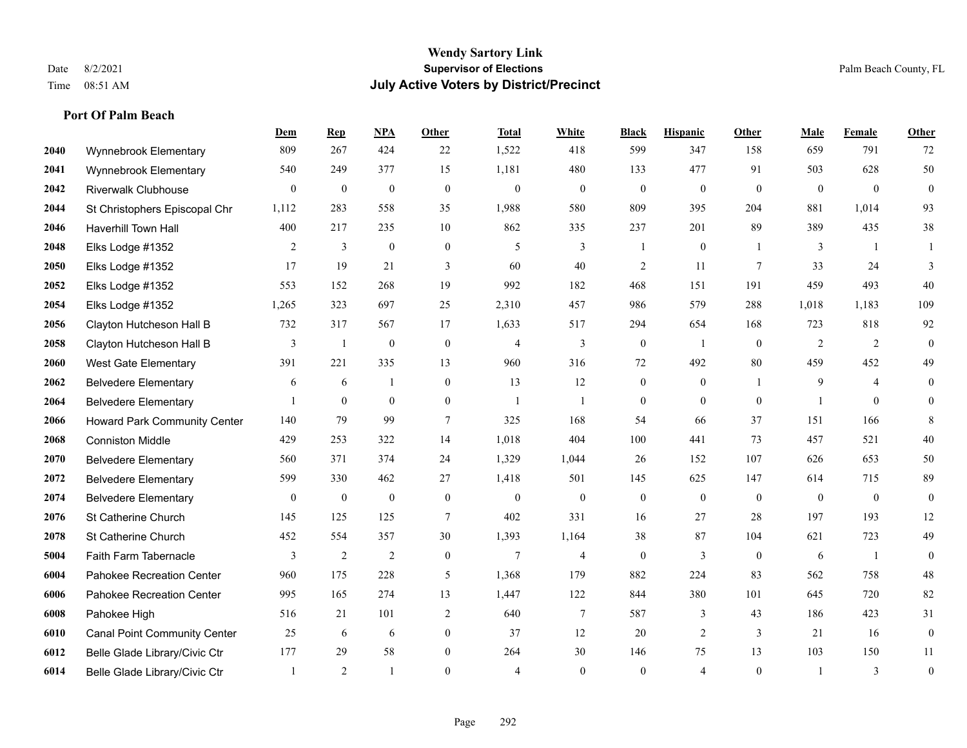|      |                                     | <b>Dem</b>       | <b>Rep</b>       | NPA              | <b>Other</b>     | <b>Total</b>     | <b>White</b>     | <b>Black</b>     | <b>Hispanic</b>  | <b>Other</b>   | <b>Male</b>      | <b>Female</b>  | <b>Other</b>     |
|------|-------------------------------------|------------------|------------------|------------------|------------------|------------------|------------------|------------------|------------------|----------------|------------------|----------------|------------------|
| 2040 | Wynnebrook Elementary               | 809              | 267              | 424              | 22               | 1,522            | 418              | 599              | 347              | 158            | 659              | 791            | 72               |
| 2041 | Wynnebrook Elementary               | 540              | 249              | 377              | 15               | 1,181            | 480              | 133              | 477              | 91             | 503              | 628            | 50               |
| 2042 | <b>Riverwalk Clubhouse</b>          | $\overline{0}$   | $\boldsymbol{0}$ | $\boldsymbol{0}$ | $\mathbf{0}$     | $\boldsymbol{0}$ | $\boldsymbol{0}$ | $\boldsymbol{0}$ | $\boldsymbol{0}$ | $\mathbf{0}$   | $\mathbf{0}$     | $\mathbf{0}$   | $\boldsymbol{0}$ |
| 2044 | St Christophers Episcopal Chr       | 1,112            | 283              | 558              | 35               | 1,988            | 580              | 809              | 395              | 204            | 881              | 1,014          | 93               |
| 2046 | <b>Haverhill Town Hall</b>          | 400              | 217              | 235              | 10               | 862              | 335              | 237              | 201              | 89             | 389              | 435            | 38               |
| 2048 | Elks Lodge #1352                    | $\overline{2}$   | $\mathfrak{Z}$   | $\boldsymbol{0}$ | $\boldsymbol{0}$ | 5                | 3                | 1                | $\boldsymbol{0}$ |                | 3                | -1             |                  |
| 2050 | Elks Lodge #1352                    | 17               | 19               | 21               | 3                | 60               | 40               | $\overline{c}$   | 11               | $\overline{7}$ | 33               | 24             | 3                |
| 2052 | Elks Lodge #1352                    | 553              | 152              | 268              | 19               | 992              | 182              | 468              | 151              | 191            | 459              | 493            | 40               |
| 2054 | Elks Lodge #1352                    | 1,265            | 323              | 697              | 25               | 2,310            | 457              | 986              | 579              | 288            | 1,018            | 1,183          | 109              |
| 2056 | Clayton Hutcheson Hall B            | 732              | 317              | 567              | 17               | 1,633            | 517              | 294              | 654              | 168            | 723              | 818            | 92               |
| 2058 | Clayton Hutcheson Hall B            | 3                | $\mathbf{1}$     | $\boldsymbol{0}$ | $\mathbf{0}$     | $\overline{4}$   | 3                | $\boldsymbol{0}$ | $\overline{1}$   | $\theta$       | 2                | 2              | $\mathbf{0}$     |
| 2060 | West Gate Elementary                | 391              | 221              | 335              | 13               | 960              | 316              | 72               | 492              | 80             | 459              | 452            | 49               |
| 2062 | <b>Belvedere Elementary</b>         | 6                | 6                | $\overline{1}$   | $\boldsymbol{0}$ | 13               | 12               | $\boldsymbol{0}$ | $\boldsymbol{0}$ |                | 9                | $\overline{4}$ | $\boldsymbol{0}$ |
| 2064 | <b>Belvedere Elementary</b>         |                  | $\mathbf{0}$     | $\mathbf{0}$     | $\boldsymbol{0}$ | $\mathbf{1}$     | $\mathbf{1}$     | $\boldsymbol{0}$ | $\mathbf{0}$     | $\mathbf{0}$   |                  | $\mathbf{0}$   | $\mathbf{0}$     |
| 2066 | <b>Howard Park Community Center</b> | 140              | 79               | 99               | $\tau$           | 325              | 168              | 54               | 66               | 37             | 151              | 166            | 8                |
| 2068 | <b>Conniston Middle</b>             | 429              | 253              | 322              | 14               | 1,018            | 404              | 100              | 441              | 73             | 457              | 521            | 40               |
| 2070 | <b>Belvedere Elementary</b>         | 560              | 371              | 374              | 24               | 1,329            | 1,044            | 26               | 152              | 107            | 626              | 653            | 50               |
| 2072 | <b>Belvedere Elementary</b>         | 599              | 330              | 462              | 27               | 1,418            | 501              | 145              | 625              | 147            | 614              | 715            | 89               |
| 2074 | <b>Belvedere Elementary</b>         | $\boldsymbol{0}$ | $\boldsymbol{0}$ | $\boldsymbol{0}$ | $\boldsymbol{0}$ | $\boldsymbol{0}$ | $\boldsymbol{0}$ | $\boldsymbol{0}$ | $\boldsymbol{0}$ | $\mathbf{0}$   | $\boldsymbol{0}$ | $\mathbf{0}$   | $\boldsymbol{0}$ |
| 2076 | St Catherine Church                 | 145              | 125              | 125              | $\tau$           | 402              | 331              | 16               | 27               | 28             | 197              | 193            | 12               |
| 2078 | St Catherine Church                 | 452              | 554              | 357              | 30               | 1,393            | 1,164            | 38               | 87               | 104            | 621              | 723            | 49               |
| 5004 | Faith Farm Tabernacle               | 3                | $\sqrt{2}$       | $\sqrt{2}$       | $\boldsymbol{0}$ | $\overline{7}$   | $\overline{4}$   | $\boldsymbol{0}$ | $\mathfrak{Z}$   | $\mathbf{0}$   | 6                | -1             | $\boldsymbol{0}$ |
| 6004 | Pahokee Recreation Center           | 960              | 175              | 228              | 5                | 1,368            | 179              | 882              | 224              | 83             | 562              | 758            | $48\,$           |
| 6006 | Pahokee Recreation Center           | 995              | 165              | 274              | 13               | 1,447            | 122              | 844              | 380              | 101            | 645              | 720            | 82               |
| 6008 | Pahokee High                        | 516              | 21               | 101              | 2                | 640              | $\tau$           | 587              | 3                | 43             | 186              | 423            | 31               |
| 6010 | <b>Canal Point Community Center</b> | 25               | 6                | 6                | $\overline{0}$   | 37               | 12               | 20               | $\overline{c}$   | 3              | 21               | 16             | $\boldsymbol{0}$ |
| 6012 | Belle Glade Library/Civic Ctr       | 177              | 29               | 58               | $\overline{0}$   | 264              | 30               | 146              | 75               | 13             | 103              | 150            | 11               |
| 6014 | Belle Glade Library/Civic Ctr       | $\mathbf{1}$     | 2                | $\overline{1}$   | $\Omega$         | $\overline{4}$   | $\Omega$         | $\theta$         | $\overline{4}$   | $\theta$       |                  | 3              | $\boldsymbol{0}$ |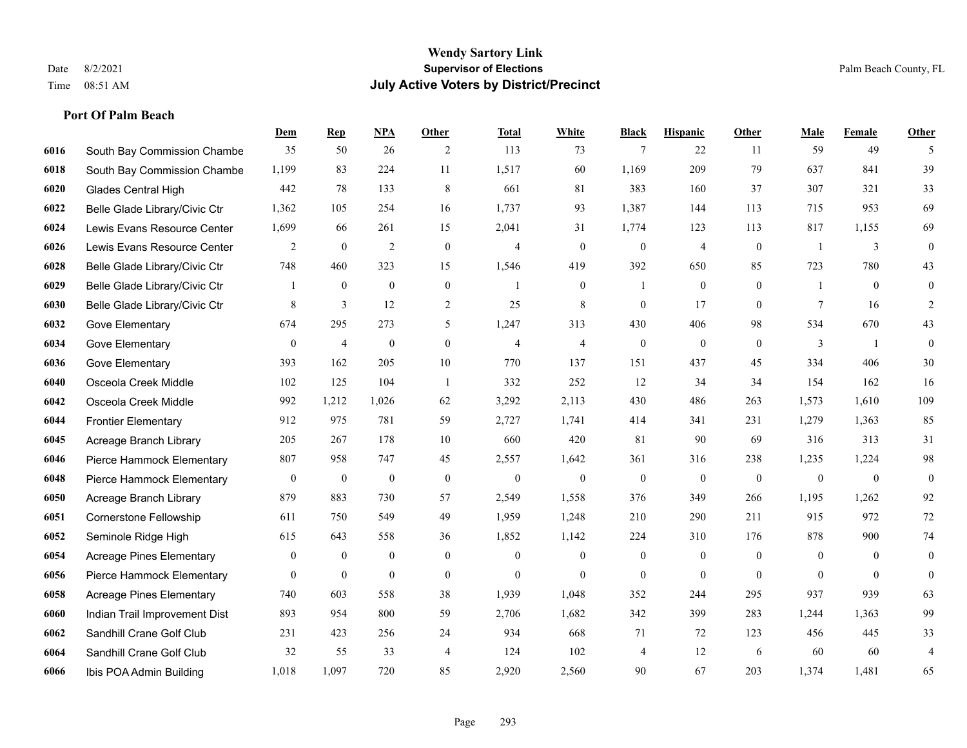|      |                                 | Dem              | <b>Rep</b>     | NPA              | <b>Other</b>   | <b>Total</b>   | <b>White</b>   | <b>Black</b>     | <b>Hispanic</b>  | <b>Other</b>   | <b>Male</b>    | Female         | <b>Other</b>     |
|------|---------------------------------|------------------|----------------|------------------|----------------|----------------|----------------|------------------|------------------|----------------|----------------|----------------|------------------|
| 6016 | South Bay Commission Chambe     | 35               | 50             | 26               | 2              | 113            | 73             | $\overline{7}$   | 22               | 11             | 59             | 49             | 5                |
| 6018 | South Bay Commission Chambe     | 1,199            | 83             | 224              | 11             | 1,517          | 60             | 1,169            | 209              | 79             | 637            | 841            | 39               |
| 6020 | <b>Glades Central High</b>      | 442              | 78             | 133              | 8              | 661            | 81             | 383              | 160              | 37             | 307            | 321            | 33               |
| 6022 | Belle Glade Library/Civic Ctr   | 1,362            | 105            | 254              | 16             | 1,737          | 93             | 1,387            | 144              | 113            | 715            | 953            | 69               |
| 6024 | Lewis Evans Resource Center     | 1,699            | 66             | 261              | 15             | 2,041          | 31             | 1,774            | 123              | 113            | 817            | 1,155          | 69               |
| 6026 | Lewis Evans Resource Center     | 2                | $\bf{0}$       | 2                | $\mathbf{0}$   | $\overline{4}$ | $\overline{0}$ | $\boldsymbol{0}$ | 4                | $\mathbf{0}$   | $\overline{1}$ | 3              | $\mathbf{0}$     |
| 6028 | Belle Glade Library/Civic Ctr   | 748              | 460            | 323              | 15             | 1,546          | 419            | 392              | 650              | 85             | 723            | 780            | 43               |
| 6029 | Belle Glade Library/Civic Ctr   | 1                | $\mathbf{0}$   | $\overline{0}$   | $\overline{0}$ | $\overline{1}$ | $\overline{0}$ | $\mathbf{1}$     | $\mathbf{0}$     | $\theta$       | $\overline{1}$ | $\theta$       | $\mathbf{0}$     |
| 6030 | Belle Glade Library/Civic Ctr   | 8                | $\mathfrak{Z}$ | 12               | $\sqrt{2}$     | 25             | $\,$ 8 $\,$    | $\boldsymbol{0}$ | 17               | $\mathbf{0}$   | 7              | 16             | 2                |
| 6032 | Gove Elementary                 | 674              | 295            | 273              | 5              | 1,247          | 313            | 430              | 406              | 98             | 534            | 670            | 43               |
| 6034 | Gove Elementary                 | $\mathbf{0}$     | $\overline{4}$ | $\boldsymbol{0}$ | $\overline{0}$ | 4              | $\overline{4}$ | $\boldsymbol{0}$ | $\mathbf{0}$     | $\theta$       | 3              | -1             | $\mathbf{0}$     |
| 6036 | Gove Elementary                 | 393              | 162            | 205              | 10             | 770            | 137            | 151              | 437              | 45             | 334            | 406            | $30\,$           |
| 6040 | Osceola Creek Middle            | 102              | 125            | 104              | $\overline{1}$ | 332            | 252            | 12               | 34               | 34             | 154            | 162            | 16               |
| 6042 | Osceola Creek Middle            | 992              | 1,212          | 1,026            | 62             | 3,292          | 2,113          | 430              | 486              | 263            | 1,573          | 1,610          | 109              |
| 6044 | <b>Frontier Elementary</b>      | 912              | 975            | 781              | 59             | 2,727          | 1,741          | 414              | 341              | 231            | 1,279          | 1,363          | 85               |
| 6045 | Acreage Branch Library          | 205              | 267            | 178              | 10             | 660            | 420            | 81               | 90               | 69             | 316            | 313            | 31               |
| 6046 | Pierce Hammock Elementary       | 807              | 958            | 747              | 45             | 2,557          | 1,642          | 361              | 316              | 238            | 1,235          | 1,224          | 98               |
| 6048 | Pierce Hammock Elementary       | $\boldsymbol{0}$ | $\bf{0}$       | $\boldsymbol{0}$ | $\overline{0}$ | $\mathbf{0}$   | $\mathbf{0}$   | $\mathbf{0}$     | $\boldsymbol{0}$ | $\overline{0}$ | $\overline{0}$ | $\mathbf{0}$   | $\boldsymbol{0}$ |
| 6050 | Acreage Branch Library          | 879              | 883            | 730              | 57             | 2,549          | 1,558          | 376              | 349              | 266            | 1,195          | 1,262          | 92               |
| 6051 | <b>Cornerstone Fellowship</b>   | 611              | 750            | 549              | 49             | 1,959          | 1,248          | 210              | 290              | 211            | 915            | 972            | $72\,$           |
| 6052 | Seminole Ridge High             | 615              | 643            | 558              | 36             | 1,852          | 1,142          | 224              | 310              | 176            | 878            | 900            | $74\,$           |
| 6054 | <b>Acreage Pines Elementary</b> | $\boldsymbol{0}$ | $\bf{0}$       | $\boldsymbol{0}$ | $\mathbf{0}$   | $\mathbf{0}$   | $\mathbf{0}$   | $\boldsymbol{0}$ | $\boldsymbol{0}$ | $\overline{0}$ | $\overline{0}$ | $\overline{0}$ | $\boldsymbol{0}$ |
| 6056 | Pierce Hammock Elementary       | $\overline{0}$   | $\mathbf{0}$   | $\mathbf{0}$     | $\mathbf{0}$   | $\mathbf{0}$   | $\overline{0}$ | $\mathbf{0}$     | $\mathbf{0}$     | $\theta$       | $\theta$       | $\theta$       | $\mathbf{0}$     |
| 6058 | <b>Acreage Pines Elementary</b> | 740              | 603            | 558              | 38             | 1,939          | 1,048          | 352              | 244              | 295            | 937            | 939            | 63               |
| 6060 | Indian Trail Improvement Dist   | 893              | 954            | 800              | 59             | 2,706          | 1,682          | 342              | 399              | 283            | 1,244          | 1,363          | 99               |
| 6062 | Sandhill Crane Golf Club        | 231              | 423            | 256              | 24             | 934            | 668            | 71               | 72               | 123            | 456            | 445            | 33               |
| 6064 | Sandhill Crane Golf Club        | 32               | 55             | 33               | $\overline{4}$ | 124            | 102            | 4                | 12               | 6              | 60             | 60             | $\overline{4}$   |
| 6066 | Ibis POA Admin Building         | 1,018            | 1,097          | 720              | 85             | 2,920          | 2,560          | 90               | 67               | 203            | 1,374          | 1,481          | 65               |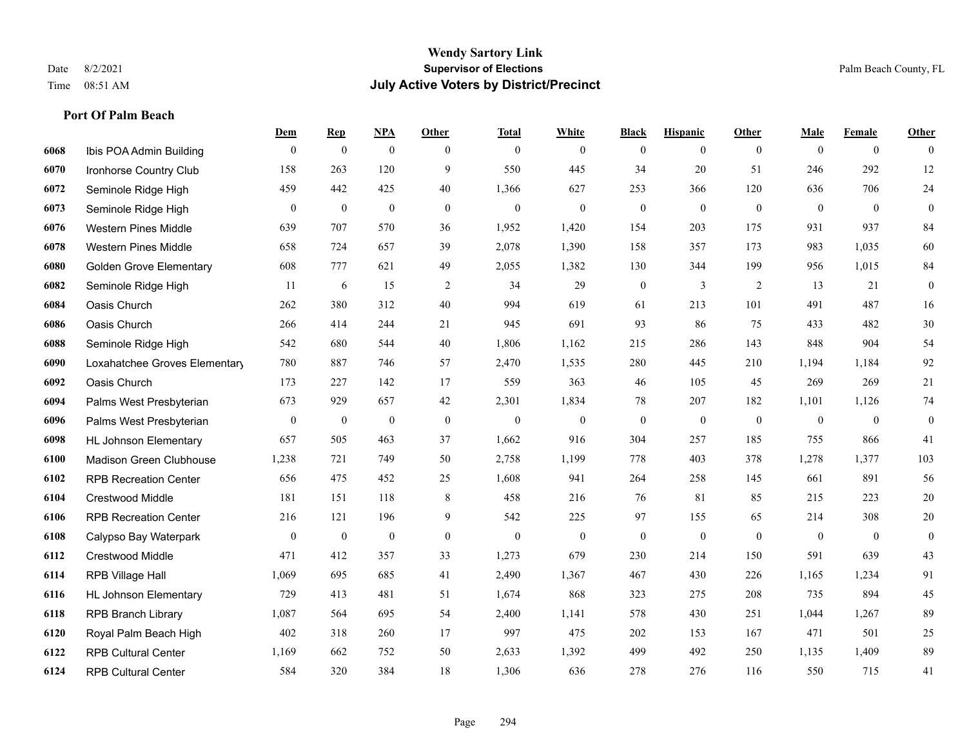**Port Of Palm Beach**

#### **Wendy Sartory Link** Date 8/2/2021 **Supervisor of Elections** Palm Beach County, FL Time 08:51 AM **July Active Voters by District/Precinct**

|      |                                | Dem              | <b>Rep</b>       | <b>NPA</b>       | Other            | <b>Total</b>     | White            | <b>Black</b>     | <b>Hispanic</b> | Other        | <b>Male</b>    | Female           | Other            |
|------|--------------------------------|------------------|------------------|------------------|------------------|------------------|------------------|------------------|-----------------|--------------|----------------|------------------|------------------|
| 6068 | Ibis POA Admin Building        | $\overline{0}$   | $\mathbf{0}$     | $\mathbf{0}$     | $\theta$         | $\mathbf{0}$     | $\overline{0}$   | $\mathbf{0}$     | $\mathbf{0}$    | $\theta$     | $\theta$       | $\mathbf{0}$     | $\mathbf{0}$     |
| 6070 | Ironhorse Country Club         | 158              | 263              | 120              | 9                | 550              | 445              | 34               | 20              | 51           | 246            | 292              | 12               |
| 6072 | Seminole Ridge High            | 459              | 442              | 425              | 40               | 1,366            | 627              | 253              | 366             | 120          | 636            | 706              | 24               |
| 6073 | Seminole Ridge High            | $\overline{0}$   | $\boldsymbol{0}$ | $\mathbf{0}$     | $\theta$         | $\mathbf{0}$     | $\mathbf{0}$     | $\mathbf{0}$     | $\mathbf{0}$    | $\theta$     | $\overline{0}$ | $\theta$         | $\overline{0}$   |
| 6076 | <b>Western Pines Middle</b>    | 639              | 707              | 570              | 36               | 1,952            | 1,420            | 154              | 203             | 175          | 931            | 937              | 84               |
| 6078 | <b>Western Pines Middle</b>    | 658              | 724              | 657              | 39               | 2,078            | 1,390            | 158              | 357             | 173          | 983            | 1,035            | 60               |
| 6080 | <b>Golden Grove Elementary</b> | 608              | 777              | 621              | 49               | 2,055            | 1,382            | 130              | 344             | 199          | 956            | 1,015            | 84               |
| 6082 | Seminole Ridge High            | 11               | 6                | 15               | 2                | 34               | 29               | $\boldsymbol{0}$ | $\overline{3}$  | 2            | 13             | 21               | $\boldsymbol{0}$ |
| 6084 | Oasis Church                   | 262              | 380              | 312              | 40               | 994              | 619              | 61               | 213             | 101          | 491            | 487              | 16               |
| 6086 | Oasis Church                   | 266              | 414              | 244              | 21               | 945              | 691              | 93               | 86              | 75           | 433            | 482              | $30\,$           |
| 6088 | Seminole Ridge High            | 542              | 680              | 544              | 40               | 1,806            | 1,162            | 215              | 286             | 143          | 848            | 904              | 54               |
| 6090 | Loxahatchee Groves Elementary  | 780              | 887              | 746              | 57               | 2,470            | 1,535            | 280              | 445             | 210          | 1,194          | 1,184            | 92               |
| 6092 | Oasis Church                   | 173              | 227              | 142              | 17               | 559              | 363              | 46               | 105             | 45           | 269            | 269              | 21               |
| 6094 | Palms West Presbyterian        | 673              | 929              | 657              | 42               | 2,301            | 1,834            | $78\,$           | 207             | 182          | 1,101          | 1,126            | 74               |
| 6096 | Palms West Presbyterian        | $\boldsymbol{0}$ | $\boldsymbol{0}$ | $\bf{0}$         | $\boldsymbol{0}$ | $\boldsymbol{0}$ | $\boldsymbol{0}$ | $\boldsymbol{0}$ | $\bf{0}$        | $\mathbf{0}$ | $\mathbf{0}$   | $\boldsymbol{0}$ | $\boldsymbol{0}$ |
| 6098 | <b>HL Johnson Elementary</b>   | 657              | 505              | 463              | 37               | 1,662            | 916              | 304              | 257             | 185          | 755            | 866              | 41               |
| 6100 | Madison Green Clubhouse        | 1,238            | 721              | 749              | 50               | 2,758            | 1,199            | 778              | 403             | 378          | 1,278          | 1,377            | 103              |
| 6102 | <b>RPB Recreation Center</b>   | 656              | 475              | 452              | 25               | 1,608            | 941              | 264              | 258             | 145          | 661            | 891              | 56               |
| 6104 | <b>Crestwood Middle</b>        | 181              | 151              | 118              | 8                | 458              | 216              | 76               | 81              | 85           | 215            | 223              | 20               |
| 6106 | <b>RPB Recreation Center</b>   | 216              | 121              | 196              | 9                | 542              | 225              | 97               | 155             | 65           | 214            | 308              | $20\,$           |
| 6108 | Calypso Bay Waterpark          | $\boldsymbol{0}$ | $\boldsymbol{0}$ | $\boldsymbol{0}$ | $\boldsymbol{0}$ | $\mathbf{0}$     | $\boldsymbol{0}$ | $\mathbf{0}$     | $\mathbf{0}$    | $\mathbf{0}$ | $\mathbf{0}$   | $\mathbf{0}$     | $\boldsymbol{0}$ |
| 6112 | Crestwood Middle               | 471              | 412              | 357              | 33               | 1,273            | 679              | 230              | 214             | 150          | 591            | 639              | 43               |
| 6114 | RPB Village Hall               | 1,069            | 695              | 685              | 41               | 2,490            | 1,367            | 467              | 430             | 226          | 1,165          | 1,234            | 91               |
| 6116 | <b>HL Johnson Elementary</b>   | 729              | 413              | 481              | 51               | 1,674            | 868              | 323              | 275             | 208          | 735            | 894              | 45               |
| 6118 | <b>RPB Branch Library</b>      | 1,087            | 564              | 695              | 54               | 2,400            | 1,141            | 578              | 430             | 251          | 1,044          | 1,267            | 89               |
| 6120 | Royal Palm Beach High          | 402              | 318              | 260              | 17               | 997              | 475              | 202              | 153             | 167          | 471            | 501              | 25               |
| 6122 | <b>RPB Cultural Center</b>     | 1,169            | 662              | 752              | 50               | 2,633            | 1,392            | 499              | 492             | 250          | 1,135          | 1,409            | 89               |
| 6124 | <b>RPB Cultural Center</b>     | 584              | 320              | 384              | 18               | 1,306            | 636              | 278              | 276             | 116          | 550            | 715              | 41               |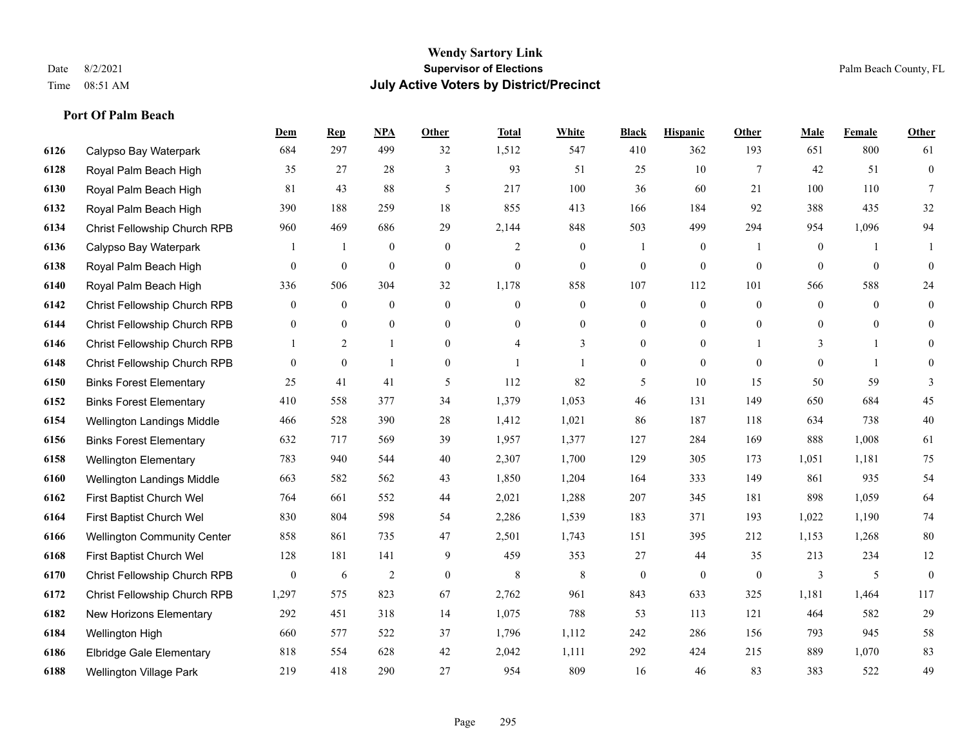|      |                                    | Dem              | <b>Rep</b>     | NPA              | <b>Other</b>     | <b>Total</b>   | <b>White</b> | <b>Black</b>     | <b>Hispanic</b>  | <b>Other</b>    | <b>Male</b>      | <b>Female</b>  | <b>Other</b>     |
|------|------------------------------------|------------------|----------------|------------------|------------------|----------------|--------------|------------------|------------------|-----------------|------------------|----------------|------------------|
| 6126 | Calypso Bay Waterpark              | 684              | 297            | 499              | 32               | 1,512          | 547          | 410              | 362              | 193             | 651              | 800            | 61               |
| 6128 | Royal Palm Beach High              | 35               | 27             | 28               | 3                | 93             | 51           | 25               | 10               | $7\phantom{.0}$ | 42               | 51             | $\mathbf{0}$     |
| 6130 | Royal Palm Beach High              | 81               | 43             | 88               | 5                | 217            | 100          | 36               | 60               | 21              | 100              | 110            | $\tau$           |
| 6132 | Royal Palm Beach High              | 390              | 188            | 259              | 18               | 855            | 413          | 166              | 184              | 92              | 388              | 435            | 32               |
| 6134 | Christ Fellowship Church RPB       | 960              | 469            | 686              | 29               | 2,144          | 848          | 503              | 499              | 294             | 954              | 1,096          | 94               |
| 6136 | Calypso Bay Waterpark              |                  | 1              | $\boldsymbol{0}$ | $\mathbf{0}$     | 2              | $\mathbf{0}$ | 1                | $\boldsymbol{0}$ | -1              | $\boldsymbol{0}$ |                |                  |
| 6138 | Royal Palm Beach High              | $\overline{0}$   | $\bf{0}$       | $\mathbf{0}$     | $\boldsymbol{0}$ | $\mathbf{0}$   | $\mathbf{0}$ | $\boldsymbol{0}$ | $\mathbf{0}$     | $\overline{0}$  | $\mathbf{0}$     | $\mathbf{0}$   | $\boldsymbol{0}$ |
| 6140 | Royal Palm Beach High              | 336              | 506            | 304              | 32               | 1,178          | 858          | 107              | 112              | 101             | 566              | 588            | 24               |
| 6142 | Christ Fellowship Church RPB       | $\overline{0}$   | $\overline{0}$ | $\mathbf{0}$     | $\mathbf{0}$     | $\mathbf{0}$   | $\mathbf{0}$ | $\boldsymbol{0}$ | $\mathbf{0}$     | $\theta$        | $\mathbf{0}$     | $\theta$       | $\mathbf{0}$     |
| 6144 | Christ Fellowship Church RPB       | $\mathbf{0}$     | $\mathbf{0}$   | $\boldsymbol{0}$ | $\overline{0}$   | $\theta$       | $\mathbf{0}$ | $\boldsymbol{0}$ | $\mathbf{0}$     | $\overline{0}$  | $\overline{0}$   | $\mathbf{0}$   | $\mathbf{0}$     |
| 6146 | Christ Fellowship Church RPB       | 1                | 2              | $\mathbf{1}$     | $\overline{0}$   | $\overline{4}$ | 3            | $\boldsymbol{0}$ | $\mathbf{0}$     | $\mathbf{1}$    | 3                | -1             | $\mathbf{0}$     |
| 6148 | Christ Fellowship Church RPB       | $\Omega$         | $\mathbf{0}$   | $\mathbf{1}$     | $\overline{0}$   |                |              | $\overline{0}$   | $\theta$         | $\theta$        | $\Omega$         | $\overline{1}$ | $\theta$         |
| 6150 | <b>Binks Forest Elementary</b>     | 25               | 41             | 41               | 5                | 112            | 82           | 5                | 10               | 15              | 50               | 59             | 3                |
| 6152 | <b>Binks Forest Elementary</b>     | 410              | 558            | 377              | 34               | 1,379          | 1,053        | 46               | 131              | 149             | 650              | 684            | 45               |
| 6154 | <b>Wellington Landings Middle</b>  | 466              | 528            | 390              | 28               | 1,412          | 1,021        | 86               | 187              | 118             | 634              | 738            | $40\,$           |
| 6156 | <b>Binks Forest Elementary</b>     | 632              | 717            | 569              | 39               | 1,957          | 1,377        | 127              | 284              | 169             | 888              | 1,008          | 61               |
| 6158 | <b>Wellington Elementary</b>       | 783              | 940            | 544              | 40               | 2,307          | 1,700        | 129              | 305              | 173             | 1,051            | 1,181          | 75               |
| 6160 | <b>Wellington Landings Middle</b>  | 663              | 582            | 562              | 43               | 1,850          | 1,204        | 164              | 333              | 149             | 861              | 935            | 54               |
| 6162 | First Baptist Church Wel           | 764              | 661            | 552              | 44               | 2,021          | 1,288        | 207              | 345              | 181             | 898              | 1,059          | 64               |
| 6164 | First Baptist Church Wel           | 830              | 804            | 598              | 54               | 2,286          | 1,539        | 183              | 371              | 193             | 1,022            | 1,190          | 74               |
| 6166 | <b>Wellington Community Center</b> | 858              | 861            | 735              | 47               | 2,501          | 1,743        | 151              | 395              | 212             | 1,153            | 1,268          | $80\,$           |
| 6168 | First Baptist Church Wel           | 128              | 181            | 141              | 9                | 459            | 353          | $27\,$           | 44               | 35              | 213              | 234            | $12\,$           |
| 6170 | Christ Fellowship Church RPB       | $\boldsymbol{0}$ | 6              | $\overline{2}$   | $\overline{0}$   | 8              | 8            | $\boldsymbol{0}$ | $\boldsymbol{0}$ | $\overline{0}$  | 3                | 5              | $\boldsymbol{0}$ |
| 6172 | Christ Fellowship Church RPB       | 1,297            | 575            | 823              | 67               | 2,762          | 961          | 843              | 633              | 325             | 1,181            | 1,464          | 117              |
| 6182 | New Horizons Elementary            | 292              | 451            | 318              | 14               | 1,075          | 788          | 53               | 113              | 121             | 464              | 582            | 29               |
| 6184 | Wellington High                    | 660              | 577            | 522              | 37               | 1,796          | 1,112        | 242              | 286              | 156             | 793              | 945            | 58               |
| 6186 | <b>Elbridge Gale Elementary</b>    | 818              | 554            | 628              | 42               | 2,042          | 1,111        | 292              | 424              | 215             | 889              | 1,070          | 83               |
| 6188 | <b>Wellington Village Park</b>     | 219              | 418            | 290              | 27               | 954            | 809          | 16               | 46               | 83              | 383              | 522            | 49               |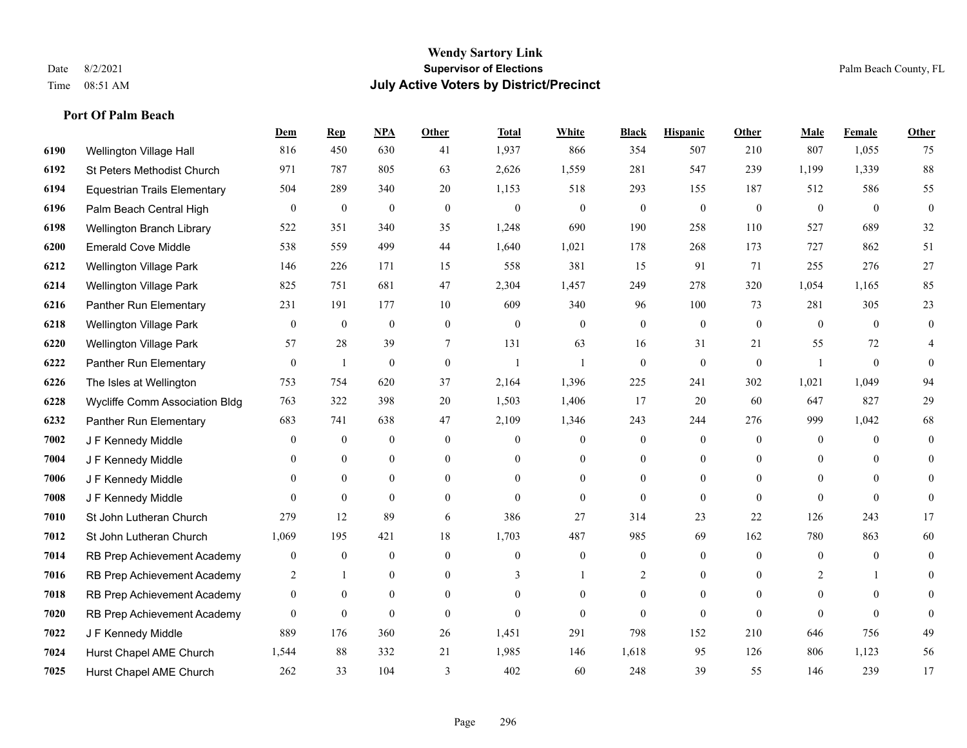|      |                                     | Dem              | <b>Rep</b>       | NPA              | <b>Other</b> | <b>Total</b>     | <b>White</b>     | <b>Black</b>     | <b>Hispanic</b>  | <b>Other</b>   | <b>Male</b>      | <b>Female</b>  | <b>Other</b>     |
|------|-------------------------------------|------------------|------------------|------------------|--------------|------------------|------------------|------------------|------------------|----------------|------------------|----------------|------------------|
| 6190 | Wellington Village Hall             | 816              | 450              | 630              | 41           | 1,937            | 866              | 354              | 507              | 210            | 807              | 1,055          | 75               |
| 6192 | St Peters Methodist Church          | 971              | 787              | 805              | 63           | 2,626            | 1,559            | 281              | 547              | 239            | 1,199            | 1,339          | 88               |
| 6194 | <b>Equestrian Trails Elementary</b> | 504              | 289              | 340              | 20           | 1,153            | 518              | 293              | 155              | 187            | 512              | 586            | 55               |
| 6196 | Palm Beach Central High             | $\bf{0}$         | $\boldsymbol{0}$ | $\overline{0}$   | $\mathbf{0}$ | $\boldsymbol{0}$ | $\boldsymbol{0}$ | $\boldsymbol{0}$ | $\boldsymbol{0}$ | $\mathbf{0}$   | $\boldsymbol{0}$ | $\mathbf{0}$   | $\boldsymbol{0}$ |
| 6198 | Wellington Branch Library           | 522              | 351              | 340              | 35           | 1,248            | 690              | 190              | 258              | 110            | 527              | 689            | 32               |
| 6200 | <b>Emerald Cove Middle</b>          | 538              | 559              | 499              | 44           | 1,640            | 1,021            | 178              | 268              | 173            | 727              | 862            | 51               |
| 6212 | Wellington Village Park             | 146              | 226              | 171              | 15           | 558              | 381              | 15               | 91               | 71             | 255              | 276            | 27               |
| 6214 | Wellington Village Park             | 825              | 751              | 681              | 47           | 2,304            | 1,457            | 249              | 278              | 320            | 1,054            | 1,165          | 85               |
| 6216 | Panther Run Elementary              | 231              | 191              | 177              | 10           | 609              | 340              | 96               | 100              | 73             | 281              | 305            | 23               |
| 6218 | <b>Wellington Village Park</b>      | $\mathbf{0}$     | $\mathbf{0}$     | $\mathbf{0}$     | $\mathbf{0}$ | $\theta$         | $\mathbf{0}$     | $\overline{0}$   | $\mathbf{0}$     | $\mathbf{0}$   | $\theta$         | $\overline{0}$ | $\overline{0}$   |
| 6220 | Wellington Village Park             | 57               | 28               | 39               | $\tau$       | 131              | 63               | 16               | 31               | 21             | 55               | 72             | 4                |
| 6222 | Panther Run Elementary              | $\overline{0}$   | 1                | $\mathbf{0}$     | $\mathbf{0}$ | $\mathbf{1}$     | 1                | $\overline{0}$   | $\overline{0}$   | $\mathbf{0}$   | $\mathbf{1}$     | $\theta$       | $\Omega$         |
| 6226 | The Isles at Wellington             | 753              | 754              | 620              | 37           | 2,164            | 1,396            | 225              | 241              | 302            | 1,021            | 1,049          | 94               |
| 6228 | Wycliffe Comm Association Bldg      | 763              | 322              | 398              | $20\,$       | 1,503            | 1,406            | 17               | 20               | 60             | 647              | 827            | $29\,$           |
| 6232 | Panther Run Elementary              | 683              | 741              | 638              | 47           | 2,109            | 1,346            | 243              | 244              | 276            | 999              | 1,042          | 68               |
| 7002 | J F Kennedy Middle                  | $\theta$         | $\boldsymbol{0}$ | $\mathbf{0}$     | $\theta$     | $\overline{0}$   | $\overline{0}$   | $\overline{0}$   | $\overline{0}$   | $\theta$       | $\mathbf{0}$     | $\theta$       | $\overline{0}$   |
| 7004 | J F Kennedy Middle                  | $\theta$         | $\mathbf{0}$     | $\mathbf{0}$     | $\mathbf{0}$ | $\theta$         | $\mathbf{0}$     | $\overline{0}$   | $\overline{0}$   | $\mathbf{0}$   | $\mathbf{0}$     | $\theta$       | $\theta$         |
| 7006 | J F Kennedy Middle                  | $\theta$         | $\mathbf{0}$     | $\mathbf{0}$     | $\theta$     | $\Omega$         | $\overline{0}$   | $\overline{0}$   | $\overline{0}$   | $\theta$       | $\theta$         | $\theta$       | 0                |
| 7008 | J F Kennedy Middle                  | $\Omega$         | $\mathbf{0}$     | $\mathbf{0}$     | $\theta$     | $\theta$         | $\mathbf{0}$     | $\overline{0}$   | $\overline{0}$   | $\theta$       | $\theta$         | $\mathbf{0}$   | $\mathbf{0}$     |
| 7010 | St John Lutheran Church             | 279              | 12               | 89               | 6            | 386              | 27               | 314              | 23               | 22             | 126              | 243            | 17               |
| 7012 | St John Lutheran Church             | 1,069            | 195              | 421              | 18           | 1,703            | 487              | 985              | 69               | 162            | 780              | 863            | 60               |
| 7014 | RB Prep Achievement Academy         | $\boldsymbol{0}$ | $\boldsymbol{0}$ | $\boldsymbol{0}$ | $\mathbf{0}$ | $\overline{0}$   | $\boldsymbol{0}$ | $\boldsymbol{0}$ | $\boldsymbol{0}$ | $\overline{0}$ | $\boldsymbol{0}$ | $\mathbf{0}$   | $\overline{0}$   |
| 7016 | RB Prep Achievement Academy         | 2                | -1               | $\mathbf{0}$     | $\mathbf{0}$ | 3                | 1                | 2                | $\overline{0}$   | $\theta$       | 2                |                | $\overline{0}$   |
| 7018 | RB Prep Achievement Academy         | $\mathbf{0}$     | $\mathbf{0}$     | $\theta$         | $\theta$     | $\mathbf{0}$     | $\mathbf{0}$     | $\overline{0}$   | $\overline{0}$   | $\theta$       | $\theta$         | $\theta$       | $\theta$         |
| 7020 | RB Prep Achievement Academy         | $\mathbf{0}$     | $\boldsymbol{0}$ | $\mathbf{0}$     | $\mathbf{0}$ | $\theta$         | $\mathbf{0}$     | $\mathbf{0}$     | $\mathbf{0}$     | $\overline{0}$ | $\theta$         | $\theta$       | $\Omega$         |
| 7022 | J F Kennedy Middle                  | 889              | 176              | 360              | 26           | 1,451            | 291              | 798              | 152              | 210            | 646              | 756            | 49               |
| 7024 | Hurst Chapel AME Church             | 1,544            | 88               | 332              | 21           | 1,985            | 146              | 1,618            | 95               | 126            | 806              | 1,123          | 56               |
| 7025 | Hurst Chapel AME Church             | 262              | 33               | 104              | 3            | 402              | 60               | 248              | 39               | 55             | 146              | 239            | 17               |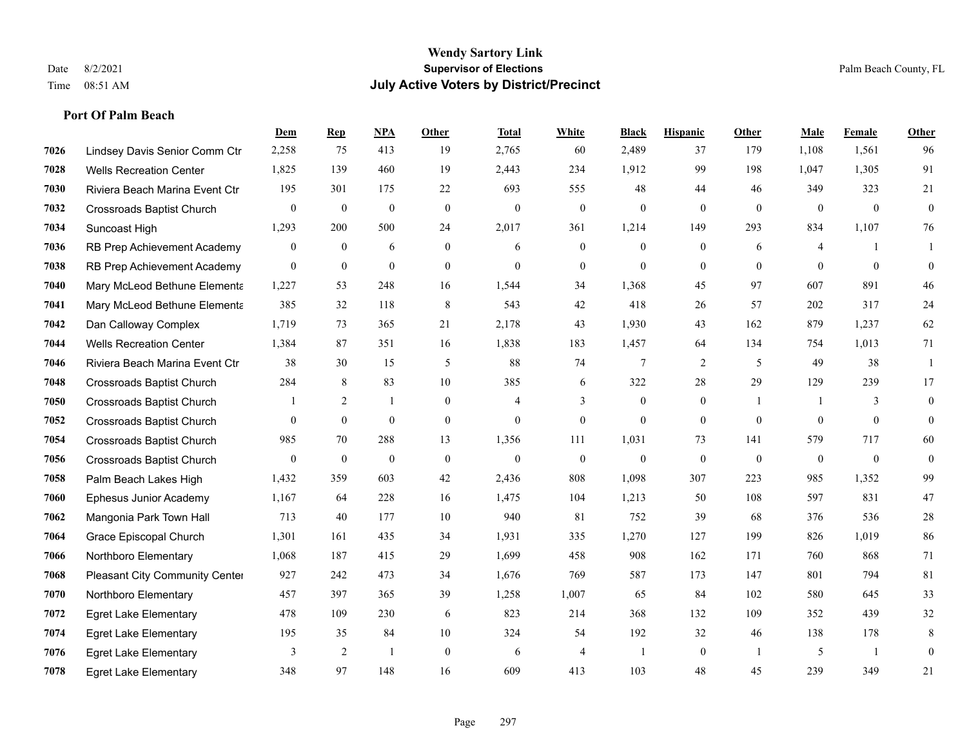|      |                                  | Dem              | <b>Rep</b>       | NPA          | <b>Other</b>   | <b>Total</b>     | <b>White</b>     | <b>Black</b>     | <b>Hispanic</b>  | Other          | <b>Male</b>  | Female         | <b>Other</b>     |
|------|----------------------------------|------------------|------------------|--------------|----------------|------------------|------------------|------------------|------------------|----------------|--------------|----------------|------------------|
| 7026 | Lindsey Davis Senior Comm Ctr    | 2,258            | 75               | 413          | 19             | 2,765            | 60               | 2,489            | 37               | 179            | 1,108        | 1,561          | 96               |
| 7028 | <b>Wells Recreation Center</b>   | 1,825            | 139              | 460          | 19             | 2,443            | 234              | 1,912            | 99               | 198            | 1.047        | 1,305          | 91               |
| 7030 | Riviera Beach Marina Event Ctr   | 195              | 301              | 175          | 22             | 693              | 555              | 48               | 44               | 46             | 349          | 323            | 21               |
| 7032 | <b>Crossroads Baptist Church</b> | $\boldsymbol{0}$ | $\boldsymbol{0}$ | $\mathbf{0}$ | $\mathbf{0}$   | $\boldsymbol{0}$ | $\mathbf{0}$     | $\overline{0}$   | $\overline{0}$   | $\mathbf{0}$   | $\mathbf{0}$ | $\mathbf{0}$   | $\boldsymbol{0}$ |
| 7034 | Suncoast High                    | 1,293            | 200              | 500          | 24             | 2,017            | 361              | 1.214            | 149              | 293            | 834          | 1,107          | 76               |
| 7036 | RB Prep Achievement Academy      | $\boldsymbol{0}$ | $\mathbf{0}$     | 6            | $\mathbf{0}$   | 6                | $\boldsymbol{0}$ | $\boldsymbol{0}$ | $\boldsymbol{0}$ | 6              | 4            |                |                  |
| 7038 | RB Prep Achievement Academy      | $\mathbf{0}$     | $\mathbf{0}$     | $\mathbf{0}$ | $\overline{0}$ | $\mathbf{0}$     | $\overline{0}$   | $\overline{0}$   | $\overline{0}$   | $\theta$       | $\theta$     | $\theta$       | $\mathbf{0}$     |
| 7040 | Mary McLeod Bethune Elementa     | 1,227            | 53               | 248          | 16             | 1,544            | 34               | 1,368            | 45               | 97             | 607          | 891            | 46               |
| 7041 | Mary McLeod Bethune Elementa     | 385              | 32               | 118          | 8              | 543              | 42               | 418              | 26               | 57             | 202          | 317            | 24               |
| 7042 | Dan Calloway Complex             | 1,719            | 73               | 365          | 21             | 2,178            | 43               | 1,930            | 43               | 162            | 879          | 1,237          | 62               |
| 7044 | <b>Wells Recreation Center</b>   | 1,384            | 87               | 351          | 16             | 1,838            | 183              | 1,457            | 64               | 134            | 754          | 1,013          | 71               |
| 7046 | Riviera Beach Marina Event Ctr   | 38               | 30               | 15           | 5              | 88               | 74               | 7                | $\overline{2}$   | 5              | 49           | 38             | -1               |
| 7048 | <b>Crossroads Baptist Church</b> | 284              | 8                | 83           | 10             | 385              | 6                | 322              | 28               | 29             | 129          | 239            | 17               |
| 7050 | <b>Crossroads Baptist Church</b> |                  | 2                |              | $\mathbf{0}$   | $\overline{4}$   | 3                | $\boldsymbol{0}$ | $\boldsymbol{0}$ | $\overline{1}$ | -1           | 3              | $\overline{0}$   |
| 7052 | <b>Crossroads Baptist Church</b> | $\theta$         | $\mathbf{0}$     | $\mathbf{0}$ | $\mathbf{0}$   | $\mathbf{0}$     | $\overline{0}$   | $\overline{0}$   | $\overline{0}$   | $\theta$       | $\theta$     | $\theta$       | $\overline{0}$   |
| 7054 | <b>Crossroads Baptist Church</b> | 985              | 70               | 288          | 13             | 1,356            | 111              | 1,031            | 73               | 141            | 579          | 717            | 60               |
| 7056 | <b>Crossroads Baptist Church</b> | $\bf{0}$         | $\boldsymbol{0}$ | $\mathbf{0}$ | $\mathbf{0}$   | $\boldsymbol{0}$ | $\boldsymbol{0}$ | $\mathbf{0}$     | $\mathbf{0}$     | $\mathbf{0}$   | $\mathbf{0}$ | $\mathbf{0}$   | $\boldsymbol{0}$ |
| 7058 | Palm Beach Lakes High            | 1,432            | 359              | 603          | 42             | 2,436            | 808              | 1,098            | 307              | 223            | 985          | 1,352          | 99               |
| 7060 | Ephesus Junior Academy           | 1,167            | 64               | 228          | 16             | 1,475            | 104              | 1,213            | 50               | 108            | 597          | 831            | 47               |
| 7062 | Mangonia Park Town Hall          | 713              | 40               | 177          | 10             | 940              | 81               | 752              | 39               | 68             | 376          | 536            | 28               |
| 7064 | Grace Episcopal Church           | 1,301            | 161              | 435          | 34             | 1,931            | 335              | 1,270            | 127              | 199            | 826          | 1,019          | 86               |
| 7066 | Northboro Elementary             | 1,068            | 187              | 415          | 29             | 1,699            | 458              | 908              | 162              | 171            | 760          | 868            | 71               |
| 7068 | Pleasant City Community Center   | 927              | 242              | 473          | 34             | 1,676            | 769              | 587              | 173              | 147            | 801          | 794            | 81               |
| 7070 | Northboro Elementary             | 457              | 397              | 365          | 39             | 1,258            | 1,007            | 65               | 84               | 102            | 580          | 645            | 33               |
| 7072 | <b>Egret Lake Elementary</b>     | 478              | 109              | 230          | 6              | 823              | 214              | 368              | 132              | 109            | 352          | 439            | 32               |
| 7074 | <b>Egret Lake Elementary</b>     | 195              | 35               | 84           | 10             | 324              | 54               | 192              | 32               | 46             | 138          | 178            | 8                |
| 7076 | <b>Egret Lake Elementary</b>     | 3                | $\overline{2}$   |              | $\mathbf{0}$   | 6                | $\overline{4}$   | -1               | $\overline{0}$   | $\overline{1}$ | 5            | $\overline{1}$ | $\overline{0}$   |
| 7078 | <b>Egret Lake Elementary</b>     | 348              | 97               | 148          | 16             | 609              | 413              | 103              | 48               | 45             | 239          | 349            | 21               |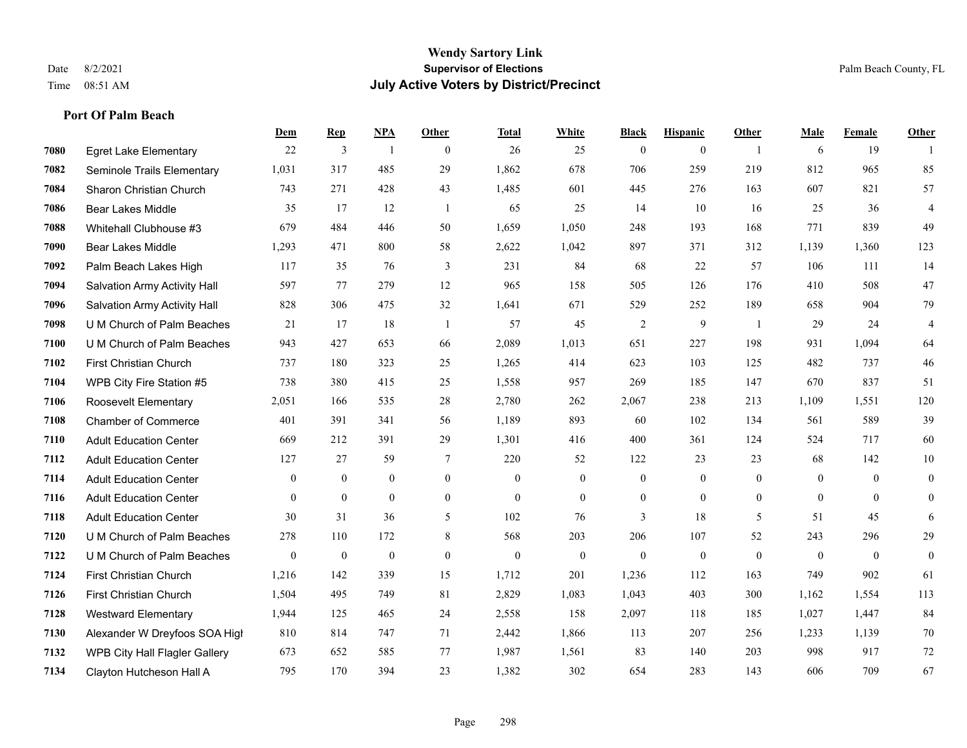**Port Of Palm Beach**

#### **Wendy Sartory Link** Date 8/2/2021 **Supervisor of Elections** Palm Beach County, FL Time 08:51 AM **July Active Voters by District/Precinct**

# **Dem Rep NPA Other Total White Black Hispanic Other Male Female Other** Egret Lake Elementary 22 3 1 0 26 25 0 0 1 6 19 1 Seminole Trails Elementary 1,031 317 485 29 1,862 678 706 259 219 812 965 85 Sharon Christian Church 743 271 428 43 1,485 601 445 276 163 607 821 57 Bear Lakes Middle 35 17 12 1 65 25 14 10 16 25 36 4 Whitehall Clubhouse #3 679 484 446 50 1,659 1,050 248 193 168 771 839 49 Bear Lakes Middle 1,293 471 800 58 2,622 1,042 897 371 312 1,139 1,360 123 Palm Beach Lakes High 117 35 76 3 231 84 68 22 57 106 111 14 Salvation Army Activity Hall 597 77 279 12 965 158 505 126 176 410 508 47 Salvation Army Activity Hall 828 306 475 32 1,641 671 529 252 189 658 904 79 U M Church of Palm Beaches 21 17 18 1 57 45 2 9 1 29 24 4 U M Church of Palm Beaches 943 427 653 66 2,089 1,013 651 227 198 931 1,094 64 First Christian Church 737 180 323 25 1,265 414 623 103 125 482 737 46 WPB City Fire Station #5 738 380 415 25 1,558 957 269 185 147 670 837 51 Roosevelt Elementary 2,051 166 535 28 2,780 262 2,067 238 213 1,109 1,551 120 Chamber of Commerce 401 391 341 56 1,189 893 60 102 134 561 589 39 Adult Education Center 669 212 391 29 1,301 416 400 361 124 524 717 60 Adult Education Center 127 27 59 7 220 52 122 23 23 68 142 10 Adult Education Center 0 0 0 0 0 0 0 0 0 0 0 0 Adult Education Center 0 0 0 0 0 0 0 0 0 0 0 0 Adult Education Center 30 31 36 5 102 76 3 18 5 51 45 6 U M Church of Palm Beaches 278 110 172 8 568 203 206 107 52 243 296 29 U M Church of Palm Beaches 0 0 0 0 0 0 0 0 0 0 0 0 First Christian Church 1,216 142 339 15 1,712 201 1,236 112 163 749 902 61 First Christian Church 1,504 495 749 81 2,829 1,083 1,043 403 300 1,162 1,554 113 Westward Elementary 1,944 125 465 24 2,558 158 2,097 118 185 1,027 1,447 84 Alexander W Dreyfoos SOA High 810 814 747 71 2,442 1,866 113 207 256 1,233 1,139 70 WPB City Hall Flagler Gallery 673 652 585 77 1,987 1,561 83 140 203 998 917 72 Clayton Hutcheson Hall A 795 170 394 23 1,382 302 654 283 143 606 709 67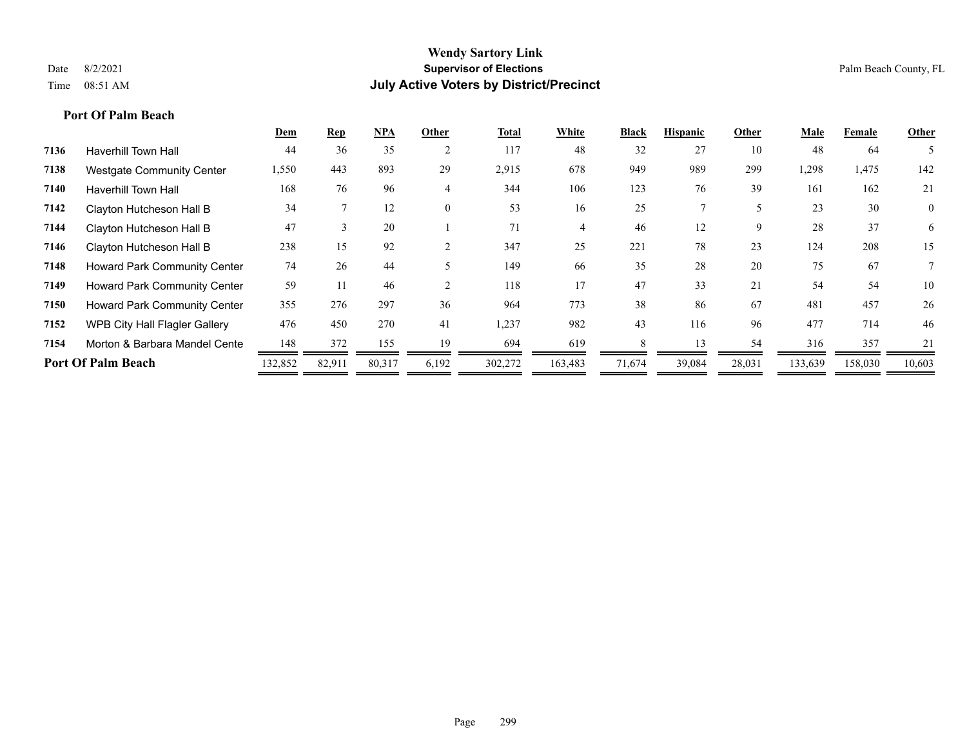|                                      | Dem     | <b>Rep</b>    | <b>NPA</b> | Other    | <b>Total</b> | White   | <b>Black</b> | <b>Hispanic</b> | Other  | Male    | Female  | Other          |
|--------------------------------------|---------|---------------|------------|----------|--------------|---------|--------------|-----------------|--------|---------|---------|----------------|
| <b>Haverhill Town Hall</b>           | 44      | 36            | 35         | 2        | 117          | 48      | 32           | 27              | 10     | 48      | -64     |                |
| <b>Westgate Community Center</b>     | 1,550   | 443           | 893        | 29       | 2,915        | 678     | 949          | 989             | 299    | 1,298   | 1,475   | 142            |
| <b>Haverhill Town Hall</b>           | 168     | 76            | 96         | 4        | 344          | 106     | 123          | 76              | 39     | 161     | 162     | 21             |
| Clayton Hutcheson Hall B             | 34      |               | 12         | $\theta$ | 53           | 16      | 25           |                 |        | 23      | 30      | $\overline{0}$ |
| Clayton Hutcheson Hall B             | 47      | $\rightarrow$ | 20         |          | 71           | 4       | 46           | 12              | 9      | 28      | 37      | 6              |
| Clayton Hutcheson Hall B             | 238     | 15            | 92         |          | 347          | 25      | 221          | 78              | 23     | 124     | 208     | 15             |
| Howard Park Community Center         | 74      | 26            | 44         |          | 149          | 66      | 35           | 28              | 20     | 75      | 67      |                |
| <b>Howard Park Community Center</b>  | 59      |               | 46         |          | 118          | 17      | 47           | 33              | 21     | 54      | 54      | 10             |
| Howard Park Community Center         | 355     | 276           | 297        | 36       | 964          | 773     | 38           | 86              | 67     | 481     | 457     | 26             |
| <b>WPB City Hall Flagler Gallery</b> | 476     | 450           | 270        | 41       | 1,237        | 982     | 43           | 116             | 96     | 477     | 714     | 46             |
| Morton & Barbara Mandel Cente        | 148     | 372           | 155        | 19       | 694          | 619     |              | 13              | 54     | 316     | 357     | 21             |
| <b>Port Of Palm Beach</b>            | 132,852 | 82,911        | 80,317     | 6,192    | 302,272      | 163,483 | 71,674       | 39,084          | 28,031 | 133,639 | 158,030 | 10,603         |
|                                      |         |               |            |          |              |         |              |                 |        |         |         |                |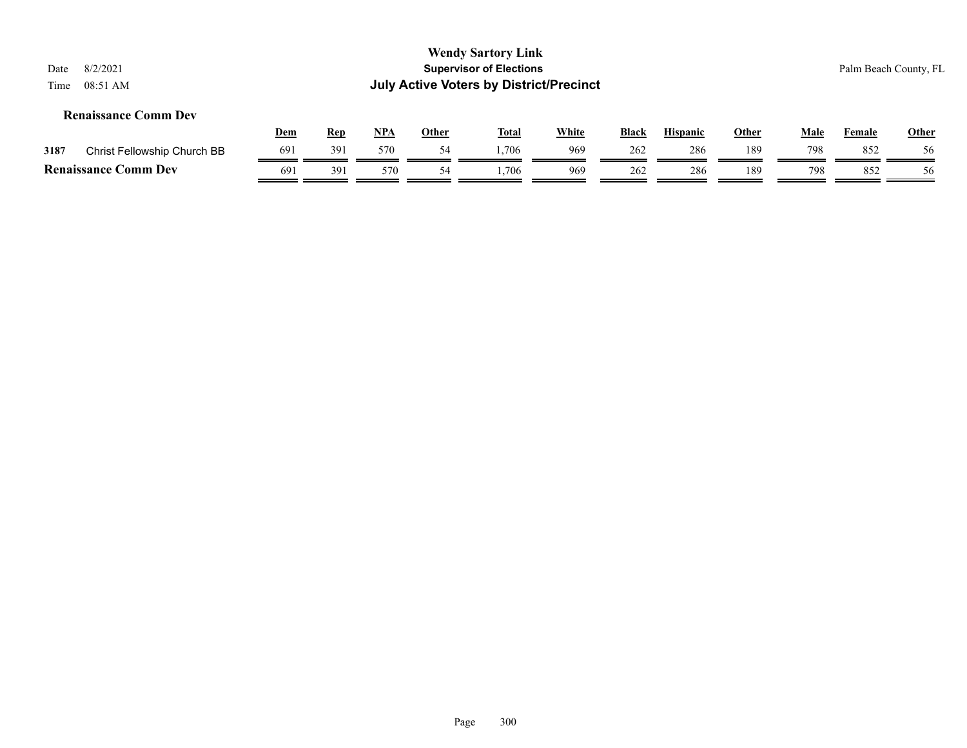| 8/2/2021<br>Date<br>08:51 AM<br>Time                                                                                                                                                       |     |     |     |    | <b>Wendy Sartory Link</b><br><b>Supervisor of Elections</b><br><b>July Active Voters by District/Precinct</b> |     |     |     |     |     |     | Palm Beach County, FL |  |
|--------------------------------------------------------------------------------------------------------------------------------------------------------------------------------------------|-----|-----|-----|----|---------------------------------------------------------------------------------------------------------------|-----|-----|-----|-----|-----|-----|-----------------------|--|
| <b>Renaissance Comm Dev</b><br><u>NPA</u><br><b>White</b><br><b>Hispanic</b><br><b>Other</b><br><b>Other</b><br><b>Rep</b><br><b>Total</b><br><b>Black</b><br>Male<br><u>Dem</u><br>Female |     |     |     |    |                                                                                                               |     |     |     |     |     |     |                       |  |
| Christ Fellowship Church BB<br>3187                                                                                                                                                        | 691 | 391 | 570 | 54 | 1.706                                                                                                         | 969 | 262 | 286 | 189 | 798 | 852 | 56                    |  |
| <b>Renaissance Comm Dev</b>                                                                                                                                                                | 691 | 391 | 570 | 54 | .706                                                                                                          | 969 | 262 | 286 | 189 | 798 | 852 | 56                    |  |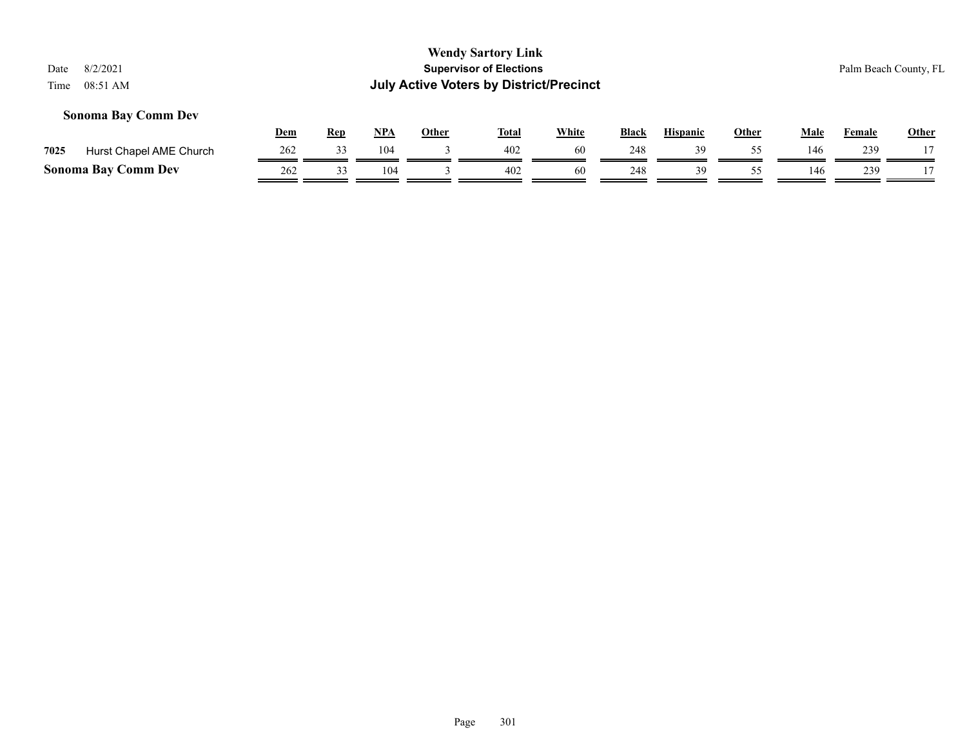#### **Sonoma Bay Comm Dev**

|      |                            | Dem | Rep | NPA | Other | Tota. | White | <b>Black</b> | <b>Hispanic</b> | Other | Male | Female | <u>Other</u> |
|------|----------------------------|-----|-----|-----|-------|-------|-------|--------------|-----------------|-------|------|--------|--------------|
| 7025 | Hurst Chapel AME Church    | 262 |     | 104 |       | 402   | 60    | 248          |                 |       | 146  | 239    |              |
|      | <b>Sonoma Bay Comm Dev</b> | 262 |     | 104 |       | 402   | 60    | 248          | 30              |       | 146  | 239    |              |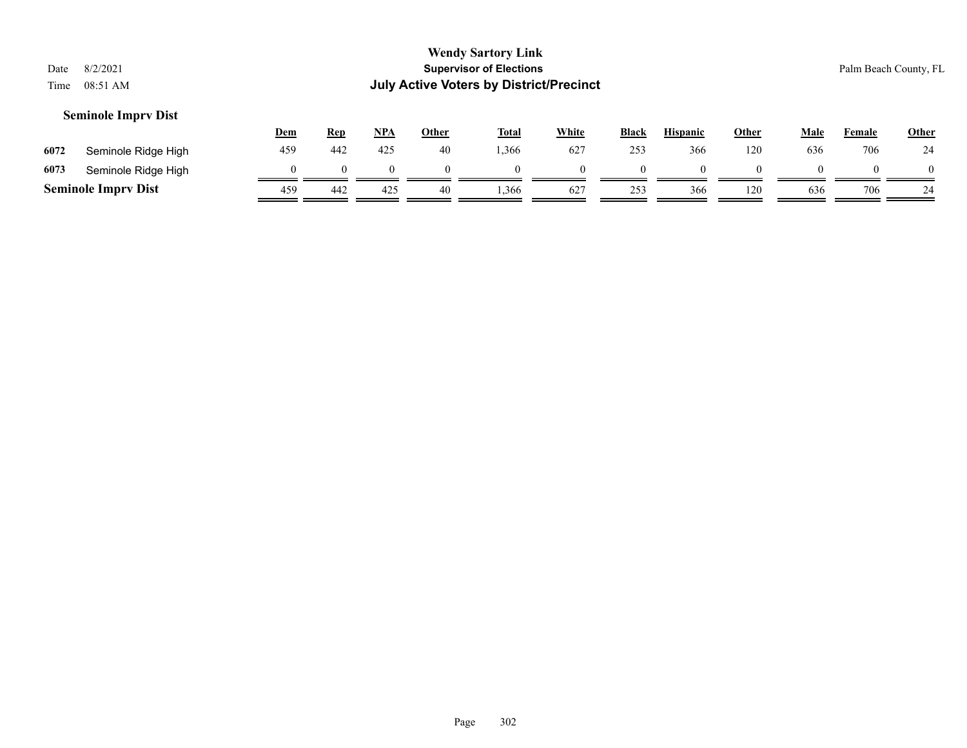| Date<br>Time                                                                                                                                                                                     | 8/2/2021<br>08:51 AM       |          |     |          |          | <b>Wendy Sartory Link</b><br><b>Supervisor of Elections</b><br><b>July Active Voters by District/Precinct</b> |          |          |          |          |          |          | Palm Beach County, FL |
|--------------------------------------------------------------------------------------------------------------------------------------------------------------------------------------------------|----------------------------|----------|-----|----------|----------|---------------------------------------------------------------------------------------------------------------|----------|----------|----------|----------|----------|----------|-----------------------|
| <b>Seminole Impry Dist</b><br><b>White</b><br><u>NPA</u><br>Other<br><b>Hispanic</b><br><b>Other</b><br><u>Female</u><br><b>Total</b><br><b>Black</b><br><b>Male</b><br><b>Rep</b><br><u>Dem</u> |                            |          |     |          |          |                                                                                                               |          |          |          |          |          |          |                       |
| 6072                                                                                                                                                                                             | Seminole Ridge High        | 459      | 442 | 425      | 40       | 1,366                                                                                                         | 627      | 253      | 366      | 120      | 636      | 706      | 24                    |
| 6073                                                                                                                                                                                             | Seminole Ridge High        | $\theta$ |     | $\left($ | $\Omega$ | $\Omega$                                                                                                      | $\theta$ | $\Omega$ | $\theta$ | $\Omega$ | $^{(1)}$ | $\left($ | $\theta$              |
|                                                                                                                                                                                                  | <b>Seminole Impry Dist</b> | 459      | 442 | 425      | 40       | .366                                                                                                          | 627      | 253      | 366      | 120      | 636      | 706      | 24                    |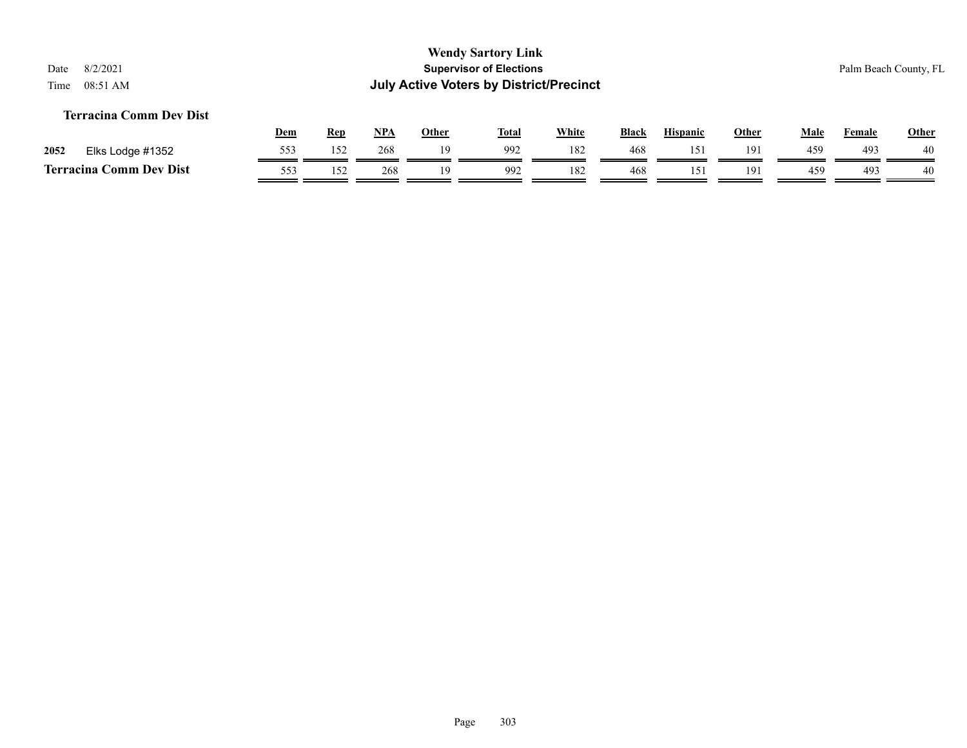#### **Terracina Comm Dev Dist**

|      |                                | Dem | Rep | <b>NPA</b> | Other | <b>Total</b> | White | <b>Black</b> | <b>Hispanic</b> | Other | Male | Female | <b>Other</b> |
|------|--------------------------------|-----|-----|------------|-------|--------------|-------|--------------|-----------------|-------|------|--------|--------------|
| 2052 | Elks Lodge #1352               | 553 | 152 | 268        | 1 Q   | 992          | 182   | 468          |                 | 191   | 459  | 493    | 40           |
|      | <b>Terracina Comm Dev Dist</b> | 553 | 152 | 268        |       | 992          | 182   | 468          |                 | 191   | 45%  | 49?    | 40           |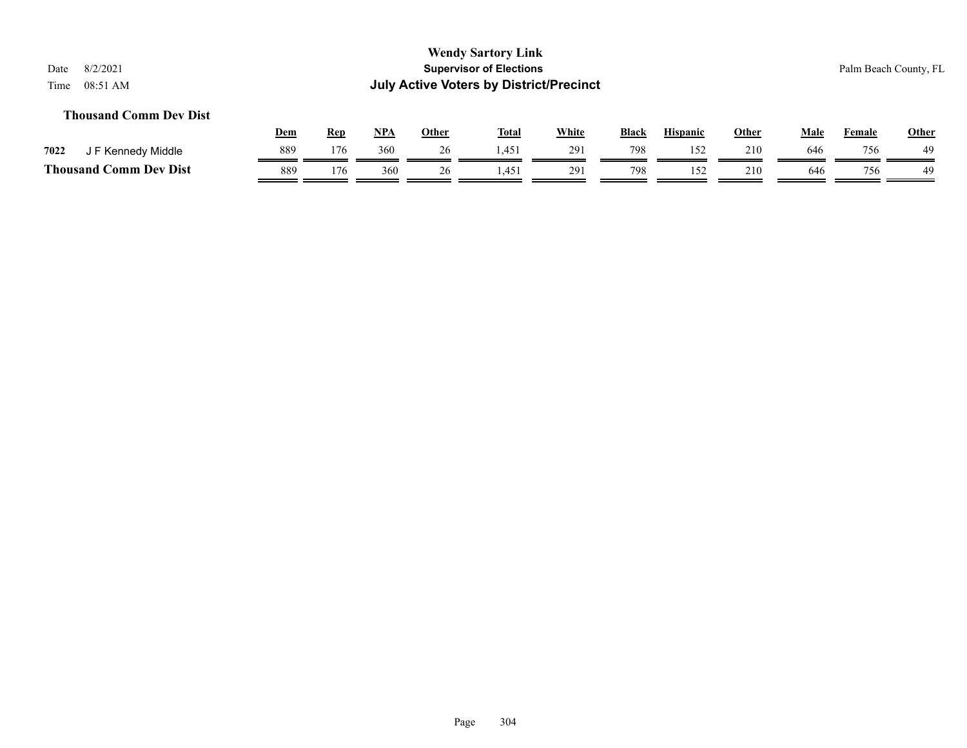#### **Thousand Comm Dev Dist**

|                               | Dem | Rep | <b>NPA</b> | Other | <b>Total</b> | <b>White</b> | <b>Black</b> | <b>Hispanic</b> | Other | Male | Female | <b>Other</b> |
|-------------------------------|-----|-----|------------|-------|--------------|--------------|--------------|-----------------|-------|------|--------|--------------|
| 7022<br>F Kennedy Middle      | 889 | 176 | 360        | ⊷     | 1.451        | 291          | 798          |                 | 210   | 646  | 756    | 49           |
| <b>Thousand Comm Dev Dist</b> | 889 | 176 | 360        |       | $\Lambda$    | 291          | 798          |                 | 210   | 646  | 756    | 49           |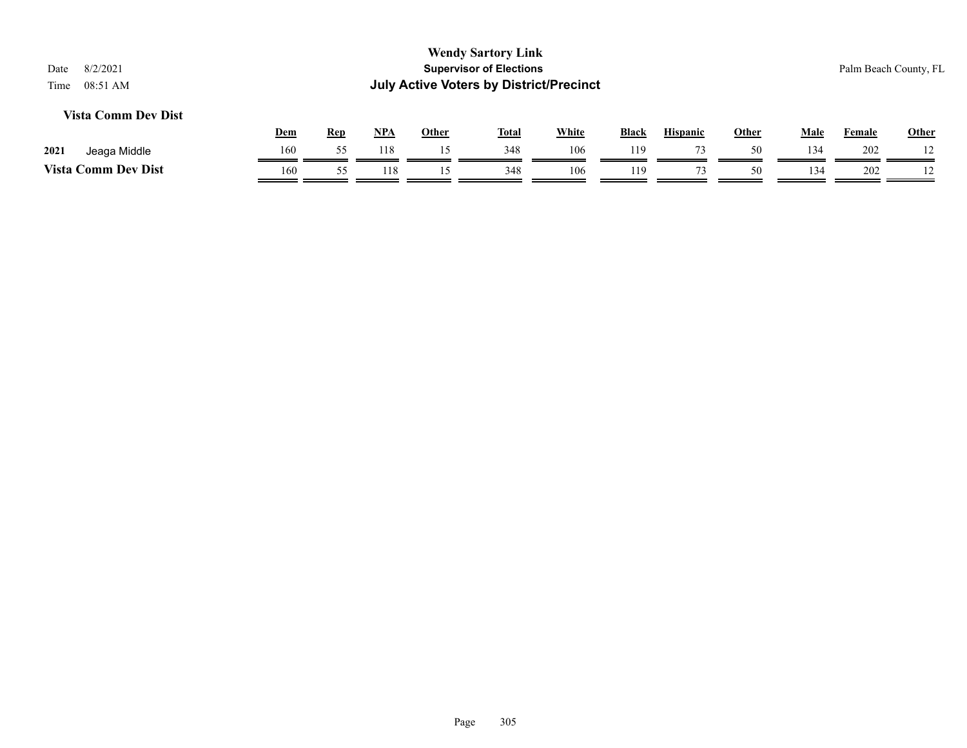#### **Vista Comm Dev Dist**

|                            | <u>Dem</u> | Rep | <b>NPA</b> | Other | <b>Total</b> | White | <b>Black</b> | Hispanic | Other | Male | Female | <b>Other</b>   |
|----------------------------|------------|-----|------------|-------|--------------|-------|--------------|----------|-------|------|--------|----------------|
| 2021<br>Jeaga Middle       | 160        |     |            |       | 348          | 106   | 119          |          |       | 134  | 202    | $1^{\wedge}$   |
| <b>Vista Comm Dev Dist</b> | 160        |     | 118        |       | 348          | 106   | 119          |          | 50    | 134  | 202    | $\overline{1}$ |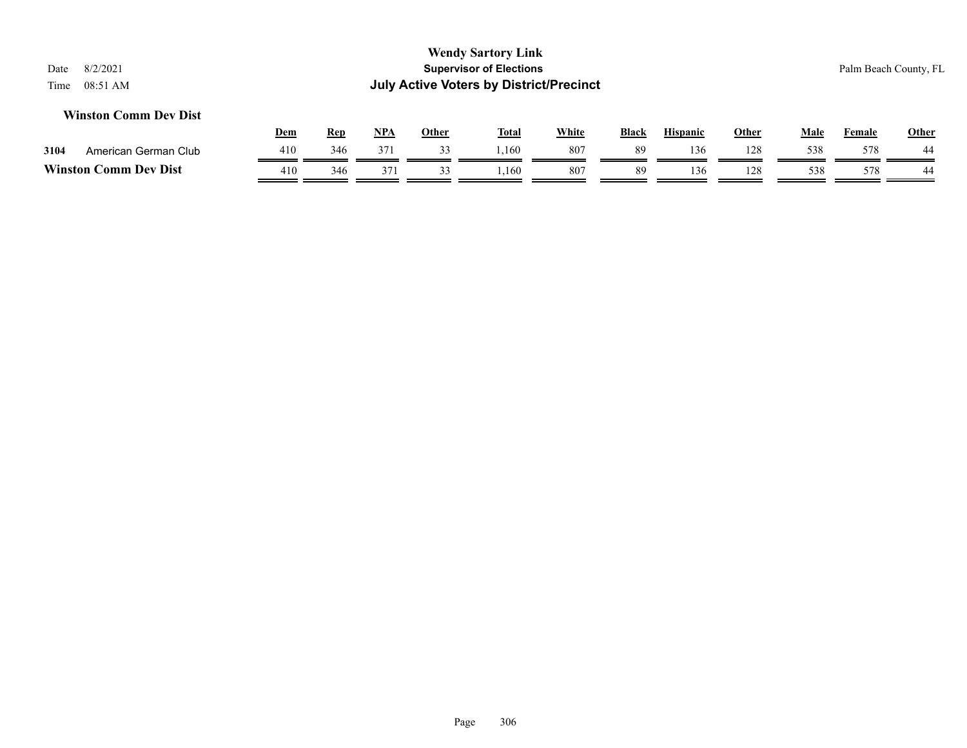#### **Winston Comm Dev Dist**

|                  |                      | Dem | Rep | <b>NPA</b> | Other | <b>Total</b> | White | <b>Black</b> | Hispanic | Other | Male | Female | <b>Other</b> |
|------------------|----------------------|-----|-----|------------|-------|--------------|-------|--------------|----------|-------|------|--------|--------------|
| 3104             | American German Club | 410 | 346 | 371        |       | .160         | 807   | 89           | 136      | 128   | 538  | 578    | 44           |
| <b>Winston C</b> | <b>Comm Dev Dist</b> | 410 | 346 | 37         |       | ,160         | 807   | 89           | 136      | 128   | 538  | 578    | 44           |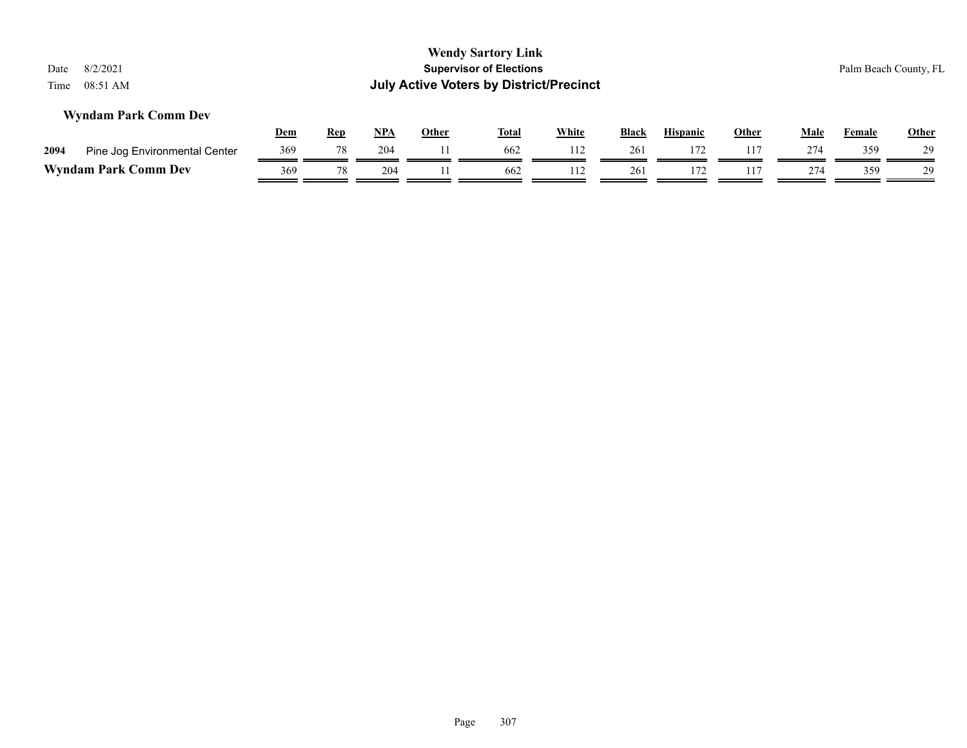| 8/2/2021<br>Date<br>08:51 AM<br>Time                                                                                                                               |     |    |     |  | <b>Wendy Sartory Link</b><br><b>Supervisor of Elections</b><br><b>July Active Voters by District/Precinct</b> |     |     |     |     |     | Palm Beach County, FL |    |  |
|--------------------------------------------------------------------------------------------------------------------------------------------------------------------|-----|----|-----|--|---------------------------------------------------------------------------------------------------------------|-----|-----|-----|-----|-----|-----------------------|----|--|
| <b>Wyndam Park Comm Dev</b><br><u>NPA</u><br><b>White</b><br>Dem<br><b>Hispanic</b><br><b>Rep</b><br><b>Other</b><br>Other<br><u>Total</u><br><b>Black</b><br>Male |     |    |     |  |                                                                                                               |     |     |     |     |     |                       |    |  |
| Pine Jog Environmental Center<br>2094                                                                                                                              | 369 | 78 | 204 |  | 662                                                                                                           | 112 | 261 | 172 | 117 | 274 | 359                   | 29 |  |
| <b>Wyndam Park Comm Dev</b>                                                                                                                                        | 369 | 78 | 204 |  | 662                                                                                                           | 112 | 261 | 172 | 117 | 274 | 359                   | 29 |  |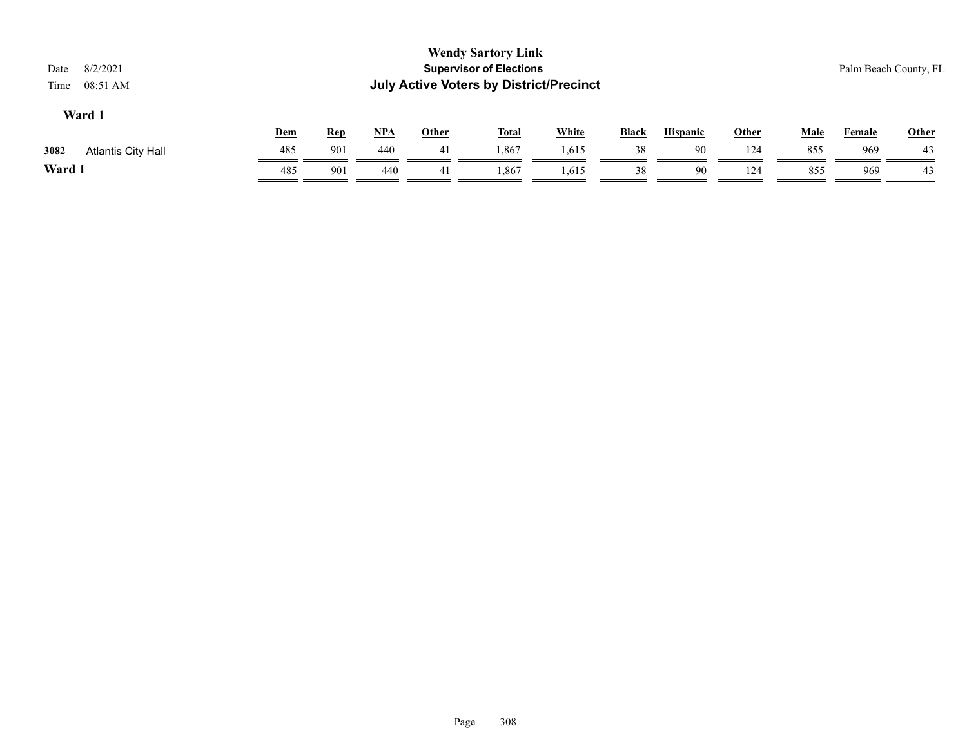| 8/2/2021<br>Date<br>08:51 AM<br>Time |            |            |            |              | <b>Wendy Sartory Link</b><br><b>Supervisor of Elections</b><br><b>July Active Voters by District/Precinct</b> |              |              |                 |       |             |               | Palm Beach County, FL |  |
|--------------------------------------|------------|------------|------------|--------------|---------------------------------------------------------------------------------------------------------------|--------------|--------------|-----------------|-------|-------------|---------------|-----------------------|--|
| Ward 1                               |            |            |            |              |                                                                                                               |              |              |                 |       |             |               |                       |  |
|                                      | <u>Dem</u> | <u>Rep</u> | <u>NPA</u> | <u>Other</u> | <u>Total</u>                                                                                                  | <b>White</b> | <b>Black</b> | <b>Hispanic</b> | Other | <u>Male</u> | <b>Female</b> | <b>Other</b>          |  |
| 3082<br>Atlantis City Hall           | 485        | 901        | 440        | 41           | .867                                                                                                          | 1,615        | 38           | 90              | 124   | 855         | 969           | 43                    |  |
| Ward 1                               | 485        | 901        | 440        | 41           | 1,867                                                                                                         | 1,615        | 38           | 90              | 124   | 855         | 969           | 43                    |  |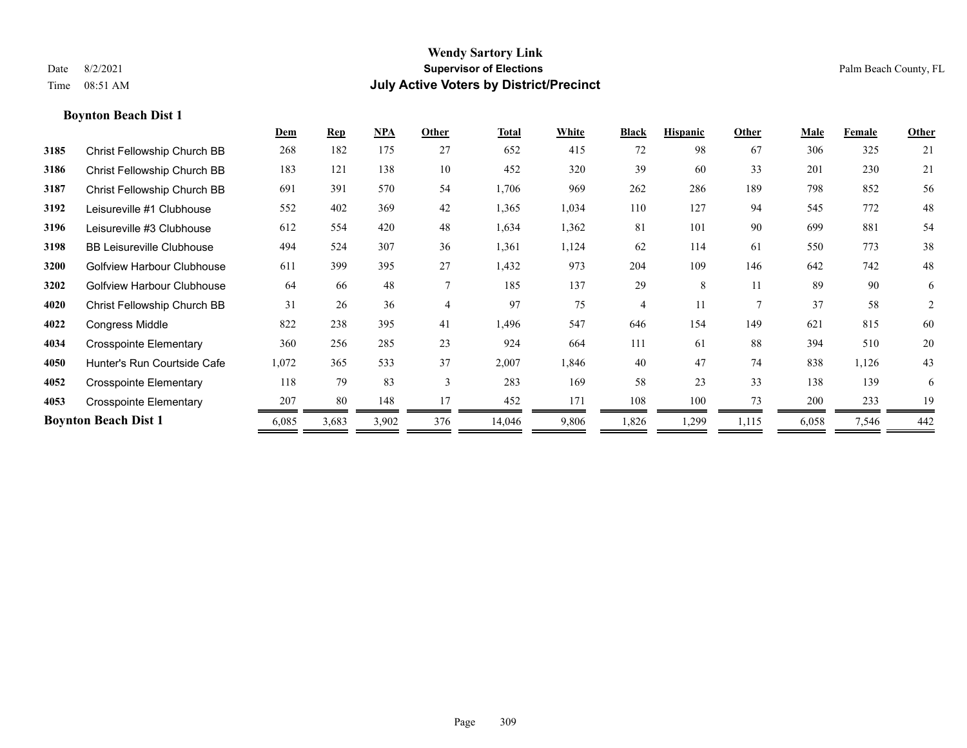|      |                                   | Dem   | <b>Rep</b> | NPA   | Other          | <b>Total</b> | White | <b>Black</b>   | <b>Hispanic</b> | Other          | Male  | Female | Other |
|------|-----------------------------------|-------|------------|-------|----------------|--------------|-------|----------------|-----------------|----------------|-------|--------|-------|
| 3185 | Christ Fellowship Church BB       | 268   | 182        | 175   | 27             | 652          | 415   | 72             | 98              | 67             | 306   | 325    | 21    |
| 3186 | Christ Fellowship Church BB       | 183   | 121        | 138   | 10             | 452          | 320   | 39             | 60              | 33             | 201   | 230    | 21    |
| 3187 | Christ Fellowship Church BB       | 691   | 391        | 570   | 54             | 1,706        | 969   | 262            | 286             | 189            | 798   | 852    | 56    |
| 3192 | Leisureville #1 Clubhouse         | 552   | 402        | 369   | 42             | 1,365        | 1,034 | 110            | 127             | 94             | 545   | 772    | 48    |
| 3196 | Leisureville #3 Clubhouse         | 612   | 554        | 420   | 48             | 1,634        | 1,362 | 81             | 101             | 90             | 699   | 881    | 54    |
| 3198 | <b>BB Leisureville Clubhouse</b>  | 494   | 524        | 307   | 36             | 1,361        | 1,124 | 62             | 114             | 61             | 550   | 773    | 38    |
| 3200 | <b>Golfview Harbour Clubhouse</b> | 611   | 399        | 395   | 27             | 1,432        | 973   | 204            | 109             | 146            | 642   | 742    | 48    |
| 3202 | <b>Golfview Harbour Clubhouse</b> | 64    | 66         | 48    |                | 185          | 137   | 29             | 8               | 11             | 89    | 90     | 6     |
| 4020 | Christ Fellowship Church BB       | 31    | 26         | 36    | $\overline{4}$ | 97           | 75    | $\overline{4}$ | 11              | $\overline{7}$ | 37    | 58     | 2     |
| 4022 | Congress Middle                   | 822   | 238        | 395   | 41             | 1,496        | 547   | 646            | 154             | 149            | 621   | 815    | 60    |
| 4034 | <b>Crosspointe Elementary</b>     | 360   | 256        | 285   | 23             | 924          | 664   | 111            | 61              | 88             | 394   | 510    | 20    |
| 4050 | Hunter's Run Courtside Cafe       | 1,072 | 365        | 533   | 37             | 2,007        | 1,846 | 40             | 47              | 74             | 838   | 1,126  | 43    |
| 4052 | <b>Crosspointe Elementary</b>     | 118   | 79         | 83    | 3              | 283          | 169   | 58             | 23              | 33             | 138   | 139    | 6     |
| 4053 | <b>Crosspointe Elementary</b>     | 207   | 80         | 148   | 17             | 452          | 171   | 108            | 100             | 73             | 200   | 233    | 19    |
|      | <b>Boynton Beach Dist 1</b>       | 6,085 | 3,683      | 3,902 | 376            | 14,046       | 9,806 | 1,826          | 1,299           | 1,115          | 6,058 | 7,546  | 442   |
|      |                                   |       |            |       |                |              |       |                |                 |                |       |        |       |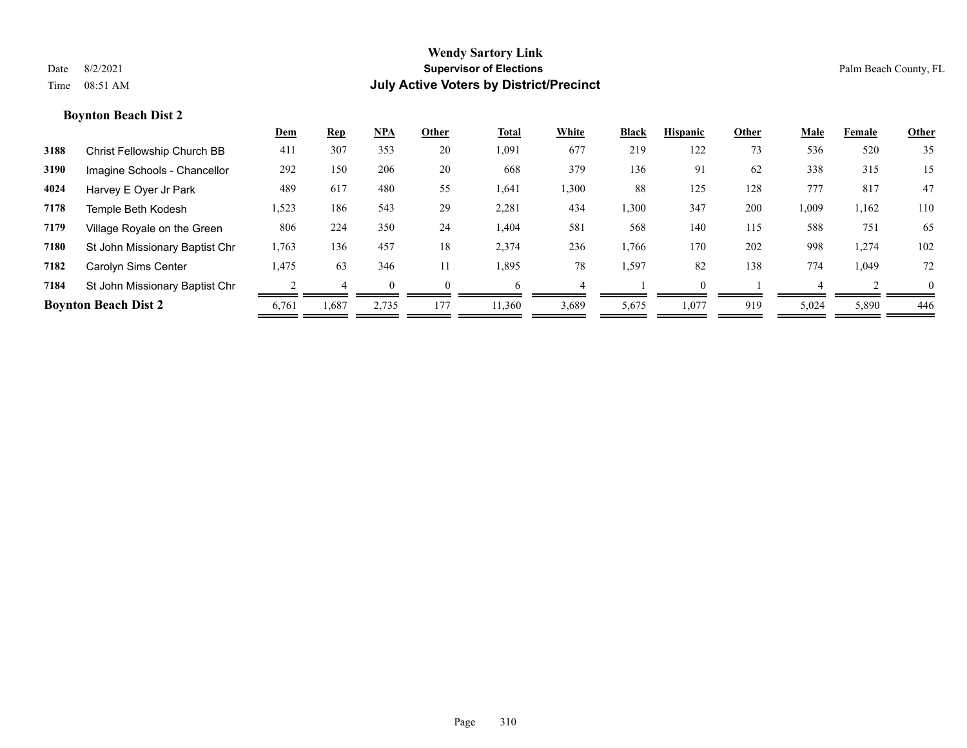|      |                                | Dem   | Rep   | <b>NPA</b> | Other | Total | White | <b>Black</b> | <b>Hispanic</b> | Other | Male  | Female | <b>Other</b> |
|------|--------------------------------|-------|-------|------------|-------|-------|-------|--------------|-----------------|-------|-------|--------|--------------|
| 3188 | Christ Fellowship Church BB    | 411   | 307   | 353        | 20    | 1,091 | 677   | 219          | 122             | 73    | 536   | 520    | 35           |
| 3190 | Imagine Schools - Chancellor   | 292   | 150   | 206        | 20    | 668   | 379   | 136          | 91              | 62    | 338   | 315    | 15           |
| 4024 | Harvey E Oyer Jr Park          | 489   | 617   | 480        | 55    | 1,641 | 1,300 | 88           | 125             | 128   | 777   | 817    | 47           |
| 7178 | Temple Beth Kodesh             | 1,523 | 186   | 543        | 29    | 2,281 | 434   | 1,300        | 347             | 200   | 1,009 | 1,162  | 110          |
| 7179 | Village Royale on the Green    | 806   | 224   | 350        | 24    | 1,404 | 581   | 568          | 140             | 115   | 588   | 751    | 65           |
| 7180 | St John Missionary Baptist Chr | 1,763 | 136   | 457        | 18    | 2,374 | 236   | 1,766        | 170             | 202   | 998   | 1,274  | 102          |
| 7182 | Carolyn Sims Center            | 1,475 | 63    | 346        |       | 1,895 | 78    | 1,597        | 82              | 138   | 774   | 1,049  | 72           |
| 7184 | St John Missionary Baptist Chr |       |       |            |       | h     |       |              |                 |       |       |        | $\Omega$     |
|      | <b>Boynton Beach Dist 2</b>    | 6,761 | 1,687 | 2,735      | 177   | 1,360 | 3,689 | 5,675        | 1,077           | 919   | 5,024 | 5,890  | 446          |
|      |                                |       |       |            |       |       |       |              |                 |       |       |        |              |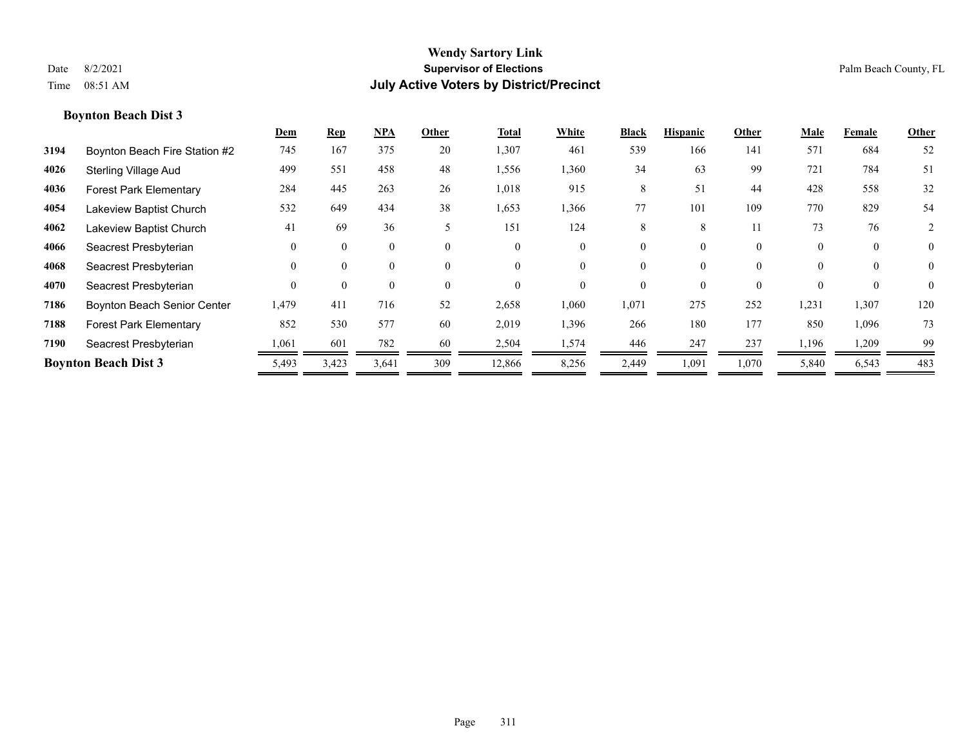|      |                               | Dem      | <b>Rep</b> | <u>NPA</u> | Other    | <b>Total</b> | White    | <b>Black</b> | <b>Hispanic</b> | Other    | Male     | Female   | Other          |
|------|-------------------------------|----------|------------|------------|----------|--------------|----------|--------------|-----------------|----------|----------|----------|----------------|
| 3194 | Boynton Beach Fire Station #2 | 745      | 167        | 375        | 20       | 1,307        | 461      | 539          | 166             | 141      | 571      | 684      | 52             |
| 4026 | <b>Sterling Village Aud</b>   | 499      | 551        | 458        | 48       | 1,556        | 1,360    | 34           | 63              | 99       | 721      | 784      | 51             |
| 4036 | <b>Forest Park Elementary</b> | 284      | 445        | 263        | 26       | 1,018        | 915      | 8            | 51              | 44       | 428      | 558      | 32             |
| 4054 | Lakeview Baptist Church       | 532      | 649        | 434        | 38       | 1,653        | 1,366    | 77           | 101             | 109      | 770      | 829      | 54             |
| 4062 | Lakeview Baptist Church       | 41       | 69         | 36         | 5        | 151          | 124      | 8            | 8               | 11       | 73       | 76       | 2              |
| 4066 | Seacrest Presbyterian         | $\Omega$ | $\Omega$   | $\theta$   | $\theta$ | $\Omega$     | $\theta$ | 0            | 0               | $\theta$ | $\theta$ | $\theta$ | $\overline{0}$ |
| 4068 | Seacrest Presbyterian         | $\theta$ | $\Omega$   | $\theta$   | $\theta$ | $\Omega$     | $\theta$ | 0            | $\theta$        | $\theta$ |          | $\theta$ | $\theta$       |
| 4070 | Seacrest Presbyterian         | $\Omega$ | $\Omega$   | $\theta$   | $\theta$ | $\Omega$     | $\theta$ | 0            | 0               | $\theta$ |          | $\theta$ | $\theta$       |
| 7186 | Boynton Beach Senior Center   | 1,479    | 411        | 716        | 52       | 2,658        | 1,060    | 1,071        | 275             | 252      | 1,231    | 1,307    | 120            |
| 7188 | <b>Forest Park Elementary</b> | 852      | 530        | 577        | 60       | 2,019        | 1,396    | 266          | 180             | 177      | 850      | 1,096    | 73             |
| 7190 | Seacrest Presbyterian         | 1,061    | 601        | 782        | 60       | 2,504        | 1,574    | 446          | 247             | 237      | 1,196    | 1,209    | 99             |
|      | <b>Boynton Beach Dist 3</b>   | 5,493    | 3,423      | 3,641      | 309      | 12,866       | 8,256    | 2,449        | 1,091           | 1,070    | 5,840    | 6,543    | 483            |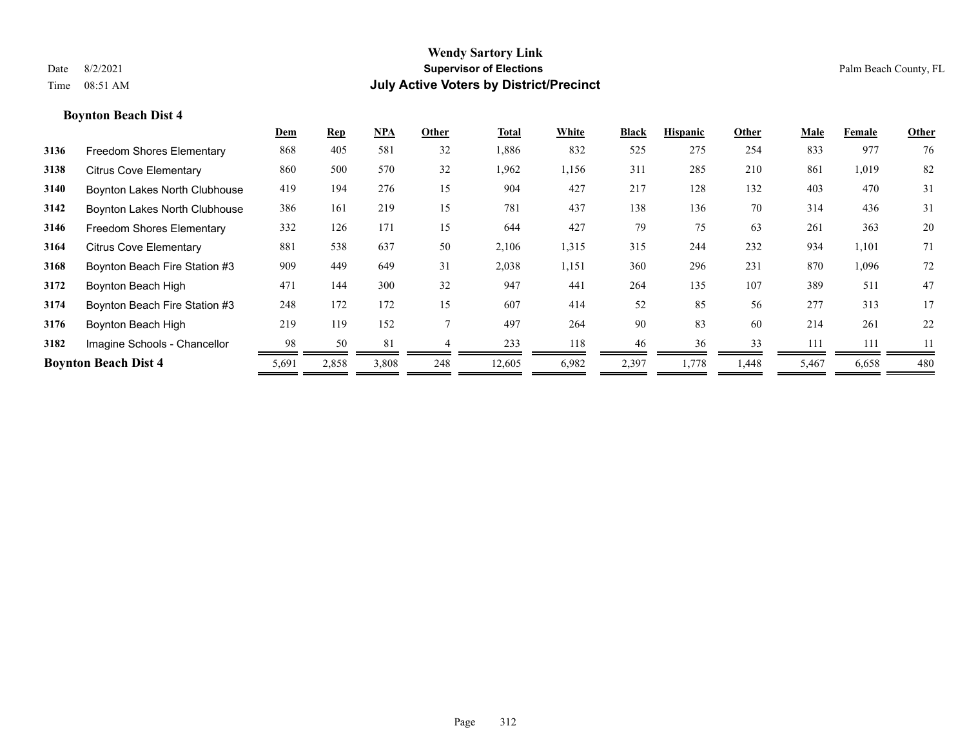|      |                                  | Dem   | <b>Rep</b> | <b>NPA</b> | Other | Total  | White | <b>Black</b> | <b>Hispanic</b> | Other | Male  | Female | Other |
|------|----------------------------------|-------|------------|------------|-------|--------|-------|--------------|-----------------|-------|-------|--------|-------|
| 3136 | <b>Freedom Shores Elementary</b> | 868   | 405        | 581        | 32    | 1,886  | 832   | 525          | 275             | 254   | 833   | 977    | 76    |
| 3138 | <b>Citrus Cove Elementary</b>    | 860   | 500        | 570        | 32    | 1,962  | 1,156 | 311          | 285             | 210   | 861   | 1,019  | 82    |
| 3140 | Boynton Lakes North Clubhouse    | 419   | 194        | 276        | 15    | 904    | 427   | 217          | 128             | 132   | 403   | 470    | 31    |
| 3142 | Boynton Lakes North Clubhouse    | 386   | 161        | 219        | 15    | 781    | 437   | 138          | 136             | 70    | 314   | 436    | 31    |
| 3146 | <b>Freedom Shores Elementary</b> | 332   | 126        | 171        | 15    | 644    | 427   | 79           | 75              | 63    | 261   | 363    | 20    |
| 3164 | <b>Citrus Cove Elementary</b>    | 881   | 538        | 637        | 50    | 2,106  | 1,315 | 315          | 244             | 232   | 934   | 1,101  | 71    |
| 3168 | Boynton Beach Fire Station #3    | 909   | 449        | 649        | 31    | 2,038  | 1,151 | 360          | 296             | 231   | 870   | 1,096  | 72    |
| 3172 | Boynton Beach High               | 471   | 144        | 300        | 32    | 947    | 441   | 264          | 135             | 107   | 389   | 511    | 47    |
| 3174 | Boynton Beach Fire Station #3    | 248   | 172        | 172        | 15    | 607    | 414   | 52           | 85              | 56    | 277   | 313    | 17    |
| 3176 | Boynton Beach High               | 219   | 119        | 152        |       | 497    | 264   | 90           | 83              | 60    | 214   | 261    | 22    |
| 3182 | Imagine Schools - Chancellor     | 98    | 50         | 81         |       | 233    | 118   | 46           | 36              | 33    | 111   | 111    | 11    |
|      | <b>Boynton Beach Dist 4</b>      | 5,691 | 2,858      | 3,808      | 248   | 12,605 | 6,982 | 2,397        | 1,778           | 1,448 | 5,467 | 6,658  | 480   |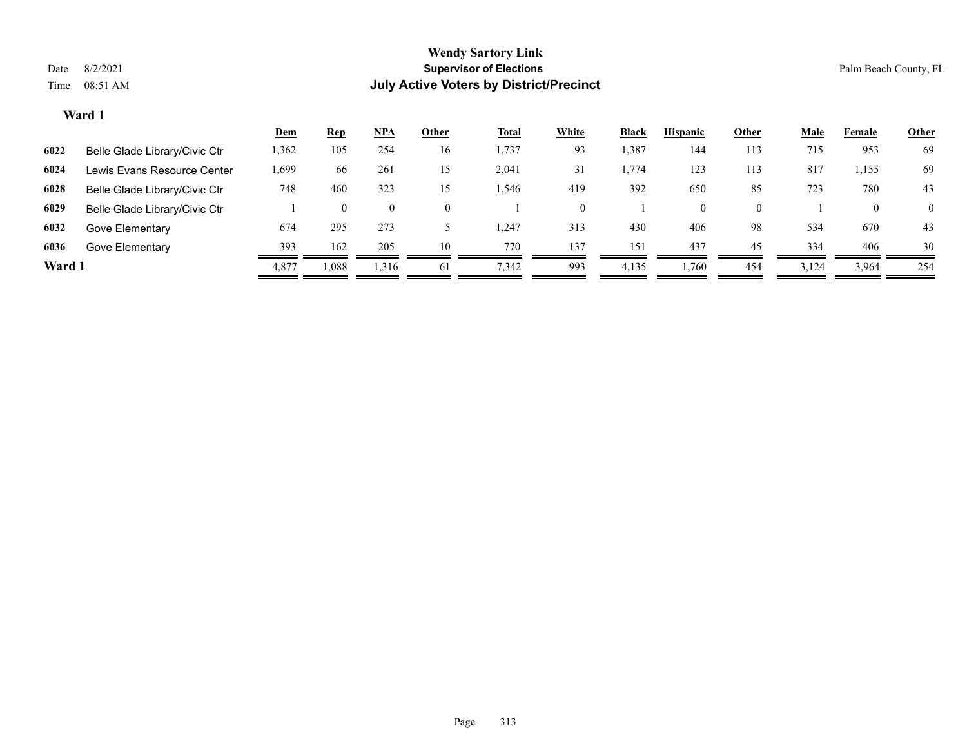#### **Ward 1**

|        |                               | <u>Dem</u> | <u>Rep</u> | <u>NPA</u>     | Other    | <b>Total</b> | White | <b>Black</b> | <b>Hispanic</b> | Other    | <b>Male</b> | Female | <b>Other</b>   |
|--------|-------------------------------|------------|------------|----------------|----------|--------------|-------|--------------|-----------------|----------|-------------|--------|----------------|
| 6022   | Belle Glade Library/Civic Ctr | 1,362      | 105        | 254            | 16       | 1,737        | 93    | 1,387        | 144             | 113      | 715         | 953    | 69             |
| 6024   | Lewis Evans Resource Center   | 1,699      | 66         | 261            | 15       | 2,041        | 31    | 1,774        | 123             | 113      | 817         | 1,155  | 69             |
| 6028   | Belle Glade Library/Civic Ctr | 748        | 460        | 323            | 15       | 1,546        | 419   | 392          | 650             | 85       | 723         | 780    | 43             |
| 6029   | Belle Glade Library/Civic Ctr |            | $\theta$   | $\overline{0}$ | $\Omega$ |              |       |              | $\overline{0}$  | $\Omega$ |             |        | $\overline{0}$ |
| 6032   | Gove Elementary               | 674        | 295        | 273            |          | .247         | 313   | 430          | 406             | 98       | 534         | 670    | 43             |
| 6036   | Gove Elementary               | 393        | 162        | 205            | 10       | 770          | 137   | 151          | 437             | 45       | 334         | 406    | 30             |
| Ward 1 |                               | 4,877      | 1,088      | 1,316          | 61       | 7,342        | 993   | 4,135        | 1,760           | 454      | 3,124       | 3,964  | 254            |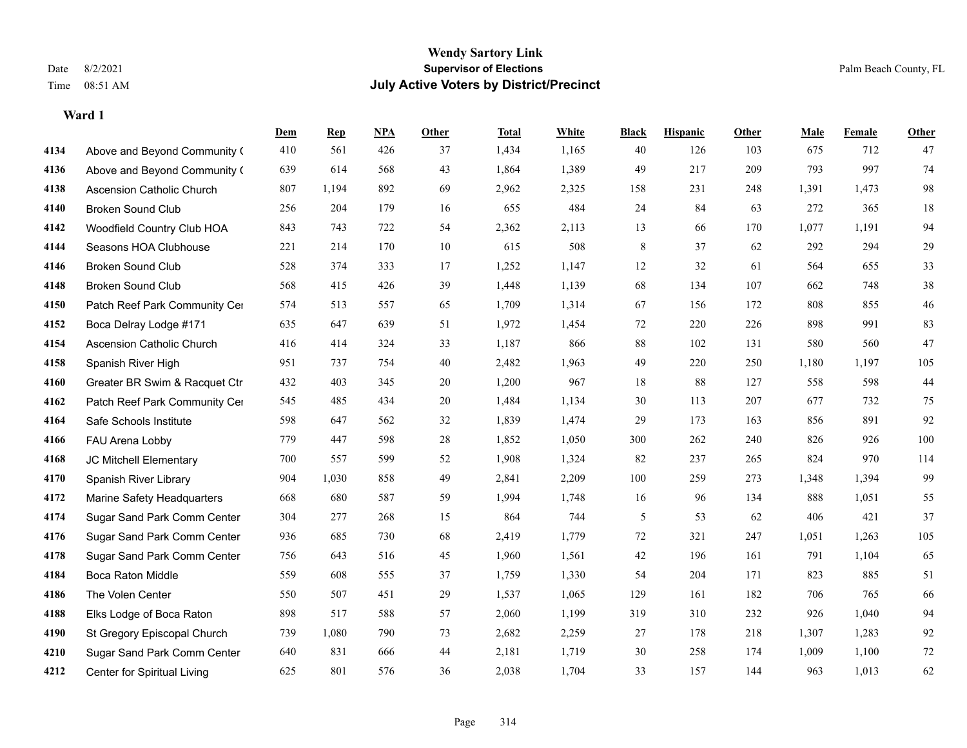#### **Ward 1**

|      |                                  | Dem | <b>Rep</b> | NPA | <b>Other</b> | <b>Total</b> | <b>White</b> | <b>Black</b> | <b>Hispanic</b> | Other | <b>Male</b> | <b>Female</b> | <b>Other</b> |
|------|----------------------------------|-----|------------|-----|--------------|--------------|--------------|--------------|-----------------|-------|-------------|---------------|--------------|
| 4134 | Above and Beyond Community (     | 410 | 561        | 426 | 37           | 1,434        | 1,165        | 40           | 126             | 103   | 675         | 712           | 47           |
| 4136 | Above and Beyond Community (     | 639 | 614        | 568 | 43           | 1,864        | 1,389        | 49           | 217             | 209   | 793         | 997           | 74           |
| 4138 | <b>Ascension Catholic Church</b> | 807 | 1,194      | 892 | 69           | 2,962        | 2,325        | 158          | 231             | 248   | 1,391       | 1,473         | $\bf{98}$    |
| 4140 | <b>Broken Sound Club</b>         | 256 | 204        | 179 | 16           | 655          | 484          | 24           | 84              | 63    | 272         | 365           | 18           |
| 4142 | Woodfield Country Club HOA       | 843 | 743        | 722 | 54           | 2,362        | 2,113        | 13           | 66              | 170   | 1,077       | 1,191         | 94           |
| 4144 | Seasons HOA Clubhouse            | 221 | 214        | 170 | 10           | 615          | 508          | $\,8\,$      | 37              | 62    | 292         | 294           | 29           |
| 4146 | <b>Broken Sound Club</b>         | 528 | 374        | 333 | 17           | 1,252        | 1,147        | 12           | 32              | 61    | 564         | 655           | 33           |
| 4148 | <b>Broken Sound Club</b>         | 568 | 415        | 426 | 39           | 1,448        | 1,139        | 68           | 134             | 107   | 662         | 748           | $38\,$       |
| 4150 | Patch Reef Park Community Cer    | 574 | 513        | 557 | 65           | 1,709        | 1,314        | 67           | 156             | 172   | 808         | 855           | $46\,$       |
| 4152 | Boca Delray Lodge #171           | 635 | 647        | 639 | 51           | 1,972        | 1,454        | $72\,$       | 220             | 226   | 898         | 991           | 83           |
| 4154 | Ascension Catholic Church        | 416 | 414        | 324 | 33           | 1,187        | 866          | 88           | 102             | 131   | 580         | 560           | 47           |
| 4158 | Spanish River High               | 951 | 737        | 754 | 40           | 2,482        | 1,963        | 49           | 220             | 250   | 1,180       | 1,197         | 105          |
| 4160 | Greater BR Swim & Racquet Ctr    | 432 | 403        | 345 | $20\,$       | 1,200        | 967          | 18           | $88\,$          | 127   | 558         | 598           | $44\,$       |
| 4162 | Patch Reef Park Community Cer    | 545 | 485        | 434 | 20           | 1,484        | 1,134        | 30           | 113             | 207   | 677         | 732           | 75           |
| 4164 | Safe Schools Institute           | 598 | 647        | 562 | 32           | 1,839        | 1,474        | 29           | 173             | 163   | 856         | 891           | 92           |
| 4166 | FAU Arena Lobby                  | 779 | 447        | 598 | $28\,$       | 1,852        | 1,050        | 300          | 262             | 240   | 826         | 926           | $100\,$      |
| 4168 | JC Mitchell Elementary           | 700 | 557        | 599 | 52           | 1,908        | 1,324        | 82           | 237             | 265   | 824         | 970           | 114          |
| 4170 | Spanish River Library            | 904 | 1,030      | 858 | 49           | 2,841        | 2,209        | 100          | 259             | 273   | 1,348       | 1,394         | 99           |
| 4172 | Marine Safety Headquarters       | 668 | 680        | 587 | 59           | 1,994        | 1,748        | 16           | 96              | 134   | 888         | 1,051         | 55           |
| 4174 | Sugar Sand Park Comm Center      | 304 | 277        | 268 | 15           | 864          | 744          | 5            | 53              | 62    | 406         | 421           | 37           |
| 4176 | Sugar Sand Park Comm Center      | 936 | 685        | 730 | 68           | 2,419        | 1,779        | 72           | 321             | 247   | 1,051       | 1,263         | 105          |
| 4178 | Sugar Sand Park Comm Center      | 756 | 643        | 516 | 45           | 1,960        | 1,561        | $42\,$       | 196             | 161   | 791         | 1,104         | 65           |
| 4184 | Boca Raton Middle                | 559 | 608        | 555 | 37           | 1,759        | 1,330        | 54           | 204             | 171   | 823         | 885           | 51           |
| 4186 | The Volen Center                 | 550 | 507        | 451 | 29           | 1,537        | 1,065        | 129          | 161             | 182   | 706         | 765           | 66           |
| 4188 | Elks Lodge of Boca Raton         | 898 | 517        | 588 | 57           | 2,060        | 1,199        | 319          | 310             | 232   | 926         | 1,040         | 94           |
| 4190 | St Gregory Episcopal Church      | 739 | 1,080      | 790 | 73           | 2,682        | 2,259        | 27           | 178             | 218   | 1,307       | 1,283         | 92           |
| 4210 | Sugar Sand Park Comm Center      | 640 | 831        | 666 | 44           | 2,181        | 1,719        | 30           | 258             | 174   | 1,009       | 1,100         | $72\,$       |
| 4212 | Center for Spiritual Living      | 625 | 801        | 576 | 36           | 2,038        | 1,704        | 33           | 157             | 144   | 963         | 1,013         | 62           |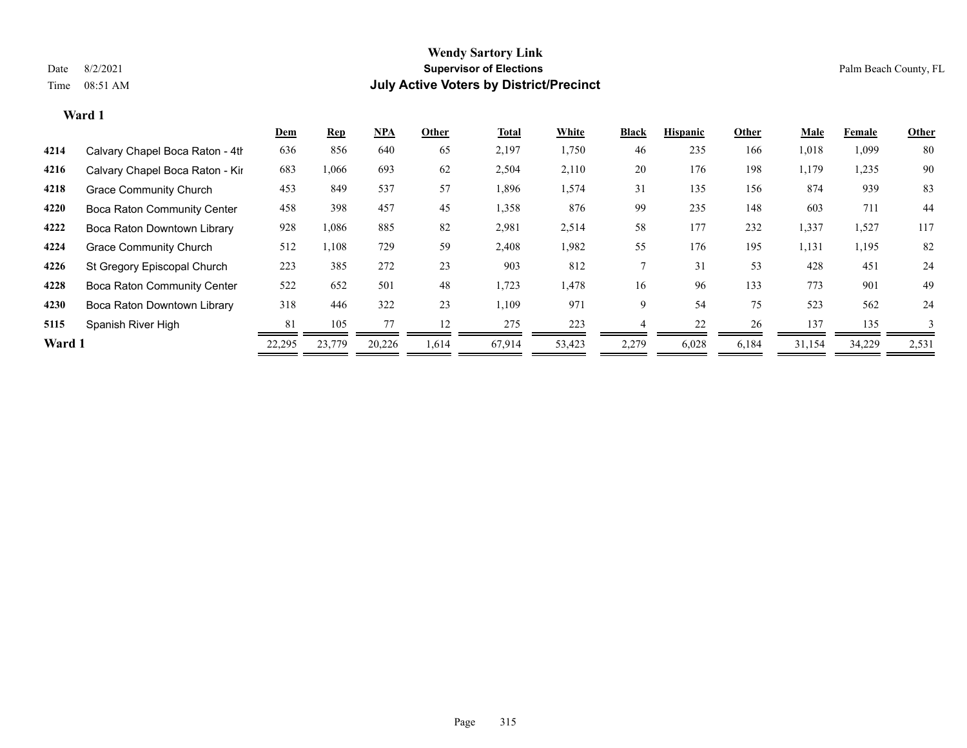#### **Ward 1**

|        |                                    | <u>Dem</u> | <b>Rep</b> | $NPA$  | Other | Total  | White  | <b>Black</b> | <b>Hispanic</b> | Other | <u>Male</u> | Female | Other        |
|--------|------------------------------------|------------|------------|--------|-------|--------|--------|--------------|-----------------|-------|-------------|--------|--------------|
| 4214   | Calvary Chapel Boca Raton - 4th    | 636        | 856        | 640    | 65    | 2,197  | 1,750  | 46           | 235             | 166   | 1,018       | 1,099  | 80           |
| 4216   | Calvary Chapel Boca Raton - Kir    | 683        | 1,066      | 693    | 62    | 2,504  | 2,110  | 20           | 176             | 198   | 1,179       | 1,235  | 90           |
| 4218   | <b>Grace Community Church</b>      | 453        | 849        | 537    | 57    | 1,896  | 1,574  | 31           | 135             | 156   | 874         | 939    | 83           |
| 4220   | <b>Boca Raton Community Center</b> | 458        | 398        | 457    | 45    | 1,358  | 876    | 99           | 235             | 148   | 603         | 711    | 44           |
| 4222   | Boca Raton Downtown Library        | 928        | 1,086      | 885    | 82    | 2,981  | 2,514  | 58           | 177             | 232   | 1,337       | 1,527  | 117          |
| 4224   | <b>Grace Community Church</b>      | 512        | 1,108      | 729    | 59    | 2,408  | 1,982  | 55           | 176             | 195   | 1,131       | 1,195  | 82           |
| 4226   | St Gregory Episcopal Church        | 223        | 385        | 272    | 23    | 903    | 812    |              | 31              | 53    | 428         | 451    | 24           |
| 4228   | <b>Boca Raton Community Center</b> | 522        | 652        | 501    | 48    | 1,723  | 1,478  | 16           | 96              | 133   | 773         | 901    | 49           |
| 4230   | Boca Raton Downtown Library        | 318        | 446        | 322    | 23    | 1,109  | 971    | 9            | 54              | 75    | 523         | 562    | 24           |
| 5115   | Spanish River High                 | 81         | 105        |        | 12    | 275    | 223    |              | 22              | 26    | 137         | 135    | $\mathbf{3}$ |
| Ward 1 |                                    | 22,295     | 23,779     | 20,226 | 1.614 | 67,914 | 53,423 | 2,279        | 6,028           | 6,184 | 31,154      | 34,229 | 2,531        |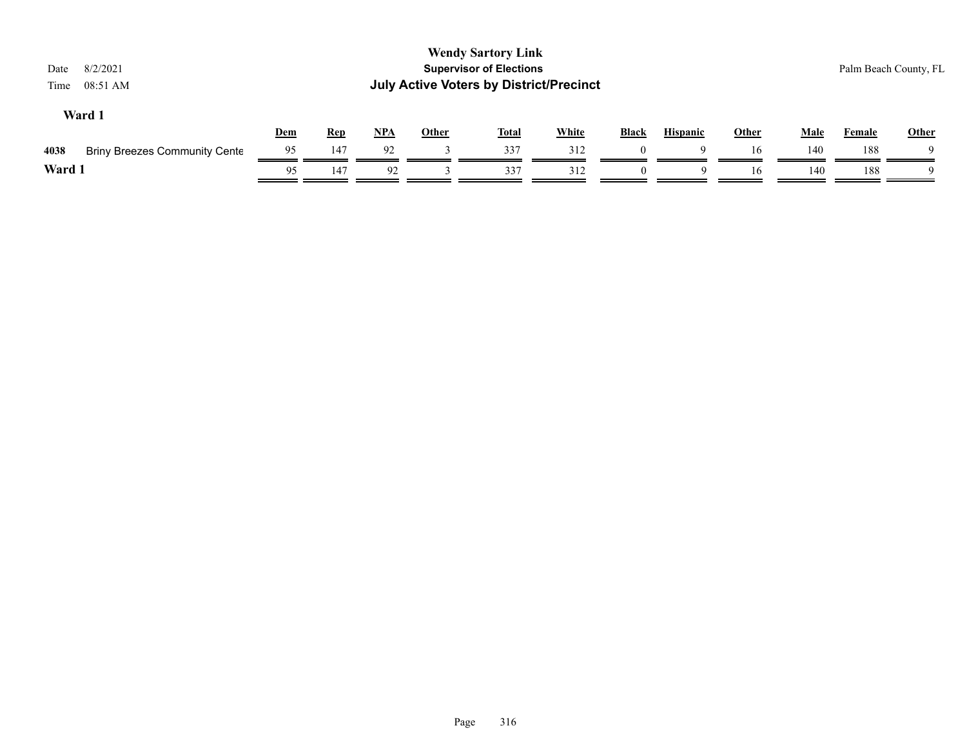| 8/2/2021<br>Date<br>08:51 AM<br>Time         |     |            |       |              | <b>Wendy Sartory Link</b><br><b>Supervisor of Elections</b><br><b>July Active Voters by District/Precinct</b> |              |              |                 |              |             |               | Palm Beach County, FL |
|----------------------------------------------|-----|------------|-------|--------------|---------------------------------------------------------------------------------------------------------------|--------------|--------------|-----------------|--------------|-------------|---------------|-----------------------|
| Ward 1                                       | Dem | <u>Rep</u> | $NPA$ | <b>Other</b> | <b>Total</b>                                                                                                  | <b>White</b> | <b>Black</b> | <b>Hispanic</b> | <b>Other</b> | <b>Male</b> | <b>Female</b> | <b>Other</b>          |
| <b>Briny Breezes Community Cente</b><br>4038 | 95  | 147        | 92    |              | 337                                                                                                           | 312          |              |                 | 16           | 140         | 188           |                       |
| Ward 1                                       | 95  | 147        | 92    |              | 337                                                                                                           | 312          | $\Omega$     | 9               | 16           | 140         | 188           | - Q                   |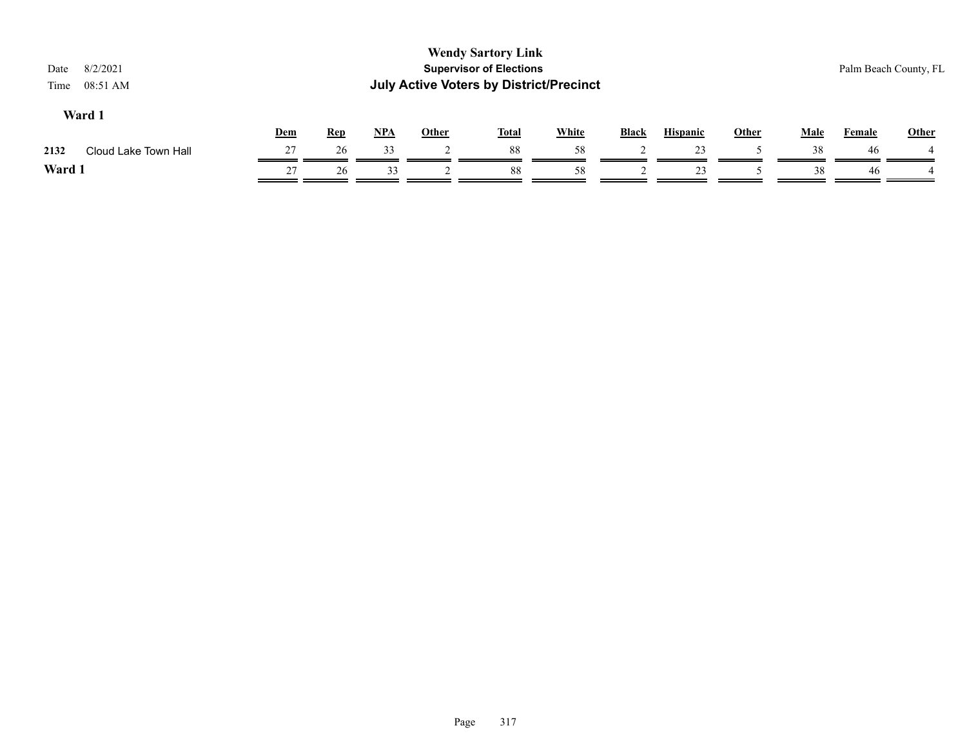| <b>Wendy Sartory Link</b><br><b>Supervisor of Elections</b><br>8/2/2021<br>Date<br><b>July Active Voters by District/Precinct</b><br>08:51 AM<br>Time |     |            |     |              |              |              |                 |  |              |             |                                        |
|-------------------------------------------------------------------------------------------------------------------------------------------------------|-----|------------|-----|--------------|--------------|--------------|-----------------|--|--------------|-------------|----------------------------------------|
|                                                                                                                                                       |     |            |     |              |              | <b>Black</b> | <b>Hispanic</b> |  |              |             | <b>Other</b>                           |
| 27                                                                                                                                                    | 26  | 33         |     | 88           | 58           |              | 23              |  | 38           | 46          |                                        |
| 27                                                                                                                                                    | 26  | 33         |     | 88           | 58           |              | 23              |  | 38           | 46          |                                        |
|                                                                                                                                                       | Dem | <b>Rep</b> | NPA | <b>Other</b> | <b>Total</b> | <b>White</b> |                 |  | <b>Other</b> | <b>Male</b> | Palm Beach County, FL<br><b>Female</b> |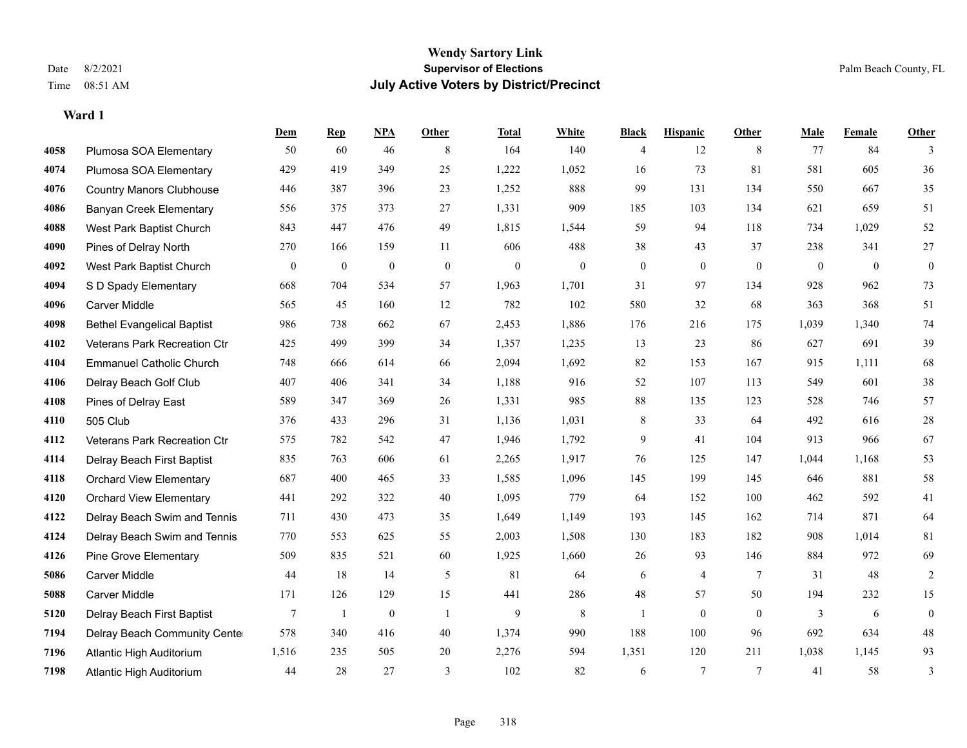**Ward 1**

#### **Wendy Sartory Link** Date 8/2/2021 **Supervisor of Elections** Palm Beach County, FL Time 08:51 AM **July Active Voters by District/Precinct**

**Dem Rep NPA Other Total White Black Hispanic Other Male Female Other**

# Plumosa SOA Elementary 50 60 46 8 164 140 4 12 8 77 84 3 Plumosa SOA Elementary 429 419 349 25 1,222 1,052 16 73 81 581 605 36 Country Manors Clubhouse 446 387 396 23 1,252 888 99 131 134 550 667 35 Banyan Creek Elementary 556 375 373 27 1,331 909 185 103 134 621 659 51 West Park Baptist Church 843 447 476 49 1,815 1,544 59 94 118 734 1,029 52 Pines of Delray North 270 166 159 11 606 488 38 43 37 238 341 27 West Park Baptist Church 0 0 0 0 0 0 0 0 0 0 0 0 S D Spady Elementary 668 704 534 57 1,963 1,701 31 97 134 928 962 73 Carver Middle 565 45 160 12 782 102 580 32 68 363 368 51 Bethel Evangelical Baptist 986 738 662 67 2,453 1,886 176 216 175 1,039 1,340 74 Veterans Park Recreation Ctr 425 499 399 34 1,357 1,235 13 23 86 627 691 39 Emmanuel Catholic Church 748 666 614 66 2,094 1,692 82 153 167 915 1,111 68 Delray Beach Golf Club 407 406 341 34 1,188 916 52 107 113 549 601 38 Pines of Delray East 589 347 369 26 1,331 985 88 135 123 528 746 57 505 Club 376 433 296 31 1,136 1,031 8 33 64 492 616 28 Veterans Park Recreation Ctr 575 782 542 47 1,946 1,792 9 41 104 913 966 67 Delray Beach First Baptist 835 763 606 61 2,265 1,917 76 125 147 1,044 1,168 53 Orchard View Elementary 687 400 465 33 1,585 1,096 145 199 145 646 881 58 Orchard View Elementary 441 292 322 40 1,095 779 64 152 100 462 592 41 Delray Beach Swim and Tennis 711 430 473 35 1,649 1,149 193 145 162 714 871 64 Delray Beach Swim and Tennis 770 553 625 55 2,003 1,508 130 183 182 908 1,014 81 Pine Grove Elementary 509 835 521 60 1,925 1,660 26 93 146 884 972 69 Carver Middle 44 18 14 5 81 64 6 4 7 31 48 2 Carver Middle 171 126 129 15 441 286 48 57 50 194 232 15

 Delray Beach First Baptist 7 1 0 1 9 8 1 0 0 3 6 0 Delray Beach Community Center 578 340 416 40 1,374 990 188 100 96 692 634 48 Atlantic High Auditorium 1,516 235 505 20 2,276 594 1,351 120 211 1,038 1,145 93 Atlantic High Auditorium 44 28 27 3 102 82 6 7 7 41 58 3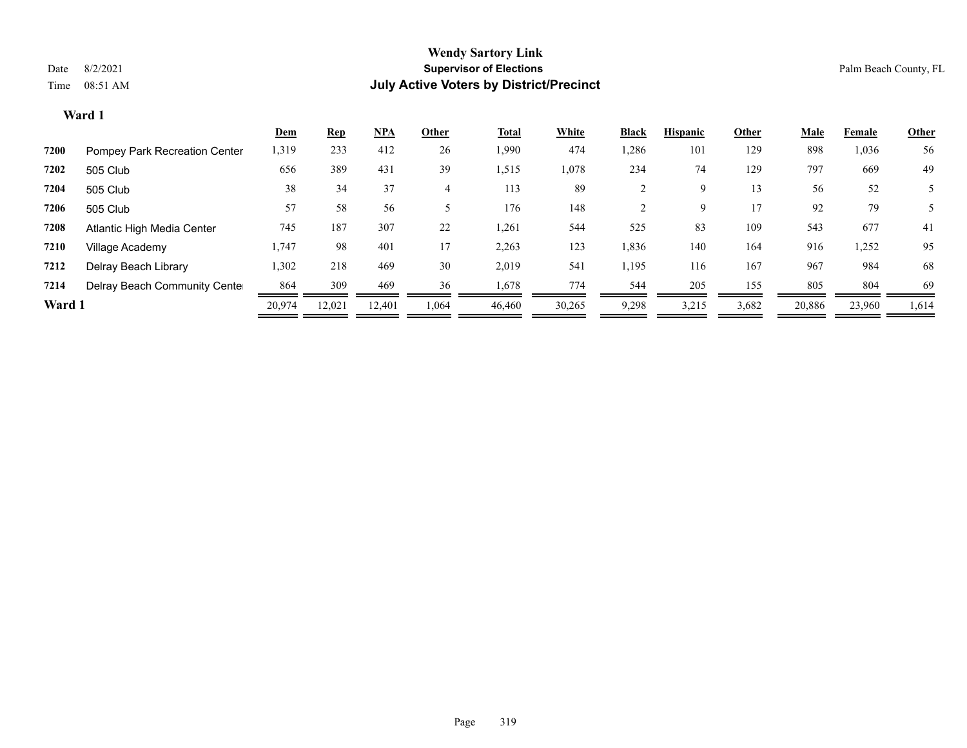**Ward 1**

#### **Wendy Sartory Link** Date 8/2/2021 **Supervisor of Elections** Palm Beach County, FL Time 08:51 AM **July Active Voters by District/Precinct**

|                               | <b>Dem</b> | <b>Rep</b> | $NPA$  | Other | Total  | White  | <b>Black</b> | <b>Hispanic</b> | Other | Male   | Female | Other |
|-------------------------------|------------|------------|--------|-------|--------|--------|--------------|-----------------|-------|--------|--------|-------|
| Pompey Park Recreation Center | 1,319      | 233        | 412    | 26    | 1,990  | 474    | 1,286        | 101             | 129   | 898    | 1,036  | 56    |
| 505 Club                      | 656        | 389        | 431    | 39    | 1,515  | 1,078  | 234          | 74              | 129   | 797    | 669    | 49    |
| 505 Club                      | 38         | 34         | 37     | 4     | 113    | 89     |              | Q               | 13    | 56     | 52     |       |
| 505 Club                      | 57         | 58         | 56     |       | 176    | 148    |              | Q               |       | 92     | 79     |       |
| Atlantic High Media Center    | 745        | 187        | 307    | 22    | 1,261  | 544    | 525          | 83              | 109   | 543    | 677    | 41    |
| Village Academy               | 1,747      | 98         | 401    | 17    | 2,263  | 123    | 1,836        | 140             | 164   | 916    | 1,252  | 95    |
| Delray Beach Library          | 1,302      | 218        | 469    | 30    | 2,019  | 541    | 1,195        | 116             | 167   | 967    | 984    | 68    |
| Delray Beach Community Cente  | 864        | 309        | 469    | 36    | 1,678  | 774    | 544          | 205             | 155   | 805    | 804    | 69    |
| Ward 1                        | 20.974     | 12,021     | 12.401 | 1,064 | 46,460 | 30,265 | 9,298        | 3,215           | 3,682 | 20,886 | 23,960 | 1,614 |
|                               |            |            |        |       |        |        |              |                 |       |        |        |       |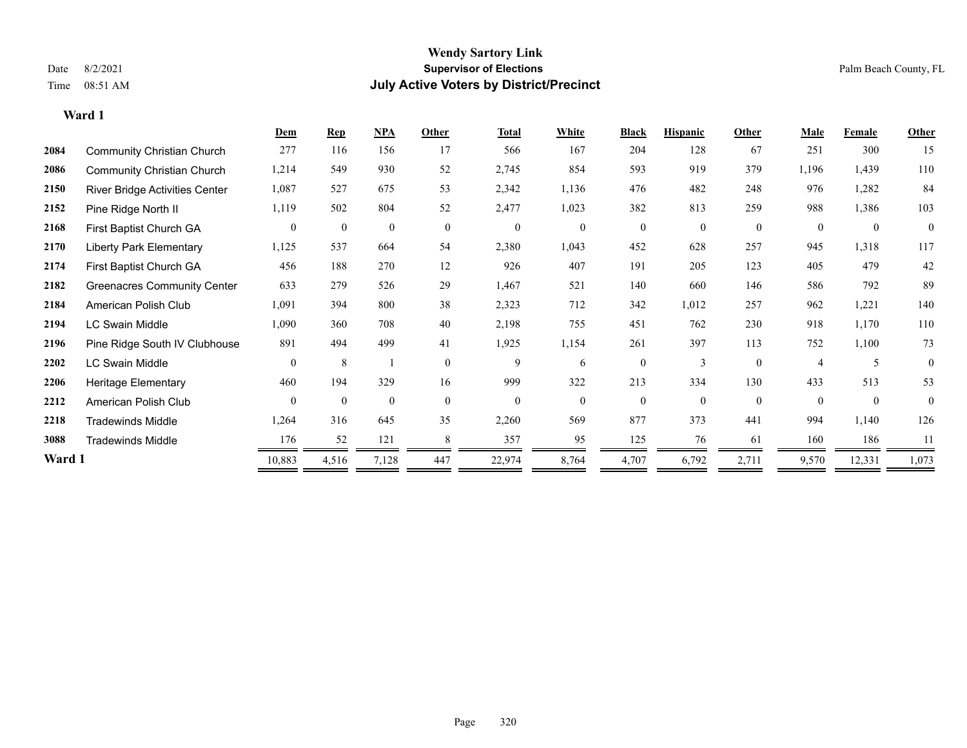**Ward 1**

#### **Wendy Sartory Link** Date 8/2/2021 **Supervisor of Elections** Palm Beach County, FL Time 08:51 AM **July Active Voters by District/Precinct**

|        |                                    | Dem            | <b>Rep</b>     | <b>NPA</b>     | Other        | <b>Total</b>     | White          | <b>Black</b>   | <b>Hispanic</b> | Other          | <b>Male</b> | Female       | <b>Other</b>     |
|--------|------------------------------------|----------------|----------------|----------------|--------------|------------------|----------------|----------------|-----------------|----------------|-------------|--------------|------------------|
| 2084   | <b>Community Christian Church</b>  | 277            | 116            | 156            | 17           | 566              | 167            | 204            | 128             | 67             | 251         | 300          | 15               |
| 2086   | <b>Community Christian Church</b>  | 1,214          | 549            | 930            | 52           | 2,745            | 854            | 593            | 919             | 379            | 1,196       | 1,439        | 110              |
| 2150   | River Bridge Activities Center     | 1,087          | 527            | 675            | 53           | 2,342            | 1,136          | 476            | 482             | 248            | 976         | 1,282        | 84               |
| 2152   | Pine Ridge North II                | 1,119          | 502            | 804            | 52           | 2,477            | 1,023          | 382            | 813             | 259            | 988         | 1,386        | 103              |
| 2168   | First Baptist Church GA            | $\overline{0}$ | $\overline{0}$ | $\overline{0}$ | $\mathbf{0}$ | $\boldsymbol{0}$ | $\overline{0}$ | $\overline{0}$ | $\theta$        | $\overline{0}$ | $\theta$    | $\mathbf{0}$ | $\boldsymbol{0}$ |
| 2170   | <b>Liberty Park Elementary</b>     | 1,125          | 537            | 664            | 54           | 2,380            | 1,043          | 452            | 628             | 257            | 945         | 1,318        | 117              |
| 2174   | First Baptist Church GA            | 456            | 188            | 270            | 12           | 926              | 407            | 191            | 205             | 123            | 405         | 479          | 42               |
| 2182   | <b>Greenacres Community Center</b> | 633            | 279            | 526            | 29           | 1,467            | 521            | 140            | 660             | 146            | 586         | 792          | 89               |
| 2184   | American Polish Club               | 1,091          | 394            | 800            | 38           | 2,323            | 712            | 342            | 1,012           | 257            | 962         | 1,221        | 140              |
| 2194   | <b>LC Swain Middle</b>             | 1,090          | 360            | 708            | 40           | 2,198            | 755            | 451            | 762             | 230            | 918         | 1,170        | 110              |
| 2196   | Pine Ridge South IV Clubhouse      | 891            | 494            | 499            | 41           | 1,925            | 1,154          | 261            | 397             | 113            | 752         | 1,100        | 73               |
| 2202   | <b>LC Swain Middle</b>             | $\theta$       | 8              |                | $\theta$     | 9                | 6              | $\overline{0}$ | 3               | $\theta$       |             | 5            | $\mathbf{0}$     |
| 2206   | <b>Heritage Elementary</b>         | 460            | 194            | 329            | 16           | 999              | 322            | 213            | 334             | 130            | 433         | 513          | 53               |
| 2212   | American Polish Club               | $\overline{0}$ | $\mathbf{0}$   | $\mathbf{0}$   | $\mathbf{0}$ | $\mathbf{0}$     | $\overline{0}$ | $\overline{0}$ | $\theta$        | $\theta$       | $\theta$    | $\mathbf{0}$ | $\mathbf{0}$     |
| 2218   | <b>Tradewinds Middle</b>           | 1,264          | 316            | 645            | 35           | 2,260            | 569            | 877            | 373             | 441            | 994         | 1,140        | 126              |
| 3088   | <b>Tradewinds Middle</b>           | 176            | 52             | 121            |              | 357              | 95             | 125            | 76              | 61             | 160         | 186          | 11               |
| Ward 1 |                                    | 10,883         | 4,516          | 7,128          | 447          | 22,974           | 8,764          | 4,707          | 6,792           | 2,711          | 9,570       | 12,331       | 1,073            |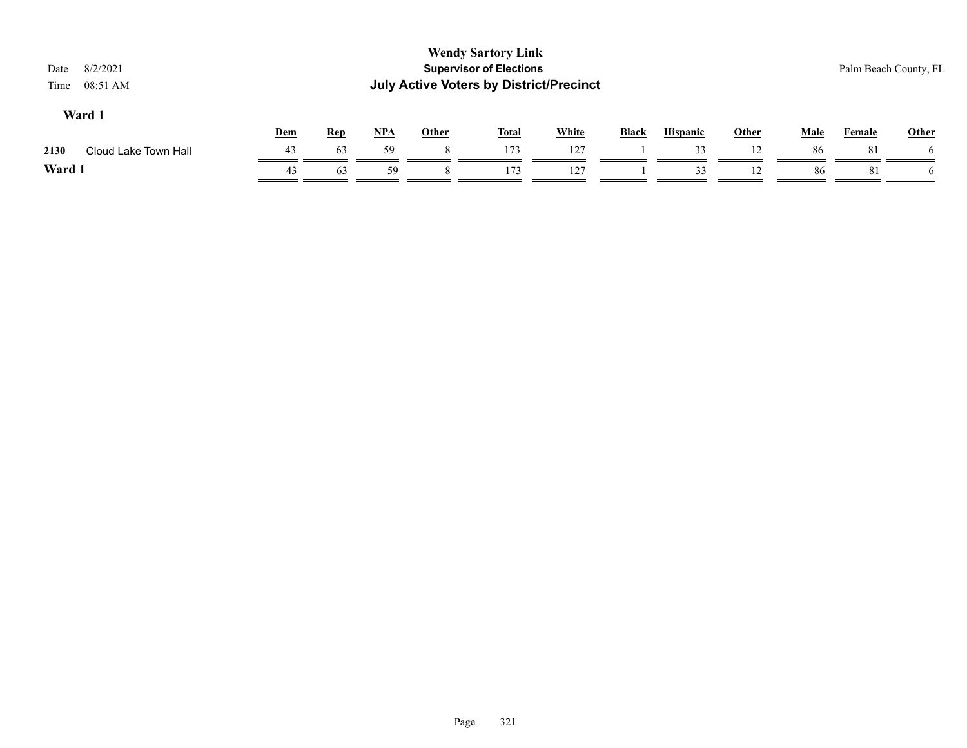| 8/2/2021<br>Date<br>08:51 AM<br>Time |     |            |            |              | <b>Wendy Sartory Link</b><br><b>Supervisor of Elections</b><br><b>July Active Voters by District/Precinct</b> |              |              |                 |              |             |               | Palm Beach County, FL |
|--------------------------------------|-----|------------|------------|--------------|---------------------------------------------------------------------------------------------------------------|--------------|--------------|-----------------|--------------|-------------|---------------|-----------------------|
| Ward 1                               | Dem | <b>Rep</b> | <u>NPA</u> | <b>Other</b> | <b>Total</b>                                                                                                  | <b>White</b> | <b>Black</b> | <b>Hispanic</b> | <b>Other</b> | <b>Male</b> | <b>Female</b> | <b>Other</b>          |
| 2130<br>Cloud Lake Town Hall         | 43  | 63         | 59         |              | 173                                                                                                           | 127          |              | 33              | 12           | 86          | 81            |                       |
| Ward 1                               | 43  | 63         | 59         |              | 173                                                                                                           | 127          |              | 33              | 12           | 86          | 81            |                       |
|                                      |     |            |            |              |                                                                                                               |              |              |                 |              |             |               |                       |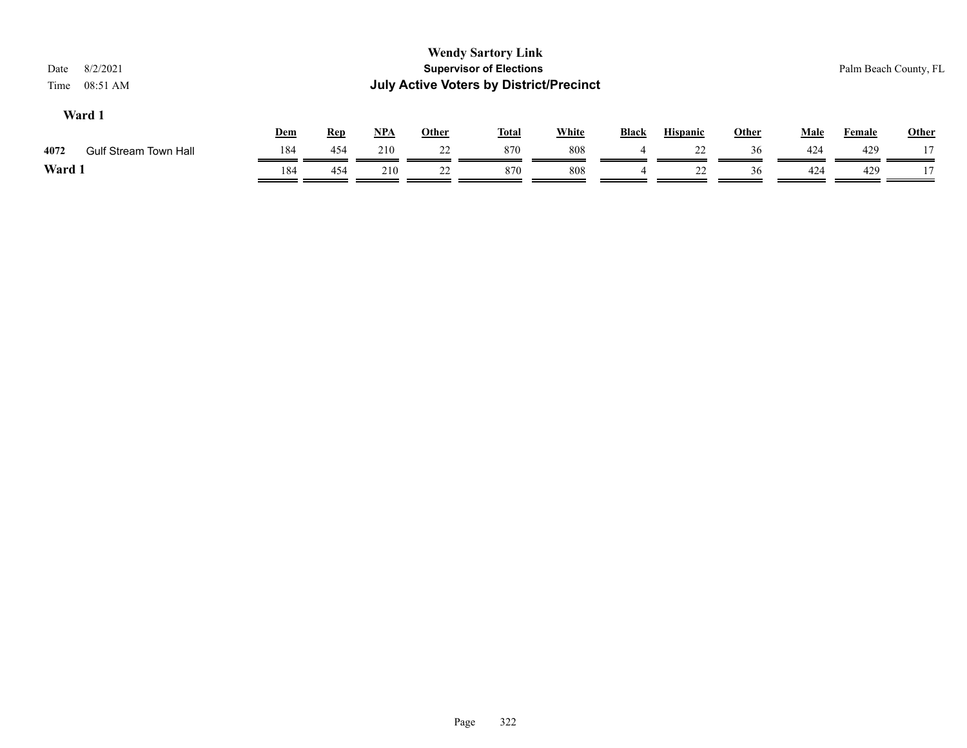| 8/2/2021<br>Date<br>Time<br>08:51 AM |     |            |       |              | <b>Wendy Sartory Link</b><br><b>Supervisor of Elections</b><br><b>July Active Voters by District/Precinct</b> |              |              |                 |       |             | Palm Beach County, FL |              |
|--------------------------------------|-----|------------|-------|--------------|---------------------------------------------------------------------------------------------------------------|--------------|--------------|-----------------|-------|-------------|-----------------------|--------------|
| Ward 1                               | Dem | <b>Rep</b> | $NPA$ | <b>Other</b> | <b>Total</b>                                                                                                  | <b>White</b> | <b>Black</b> | <b>Hispanic</b> | Other | <b>Male</b> | <b>Female</b>         | <b>Other</b> |
| 4072<br><b>Gulf Stream Town Hall</b> | 184 | 454        | 210   | 22           | 870                                                                                                           | 808          |              | 22              | 36    | 424         | 429                   |              |
| Ward 1                               | 184 | 454        | 210   | 22           | 870                                                                                                           | 808          |              | 22              | 36    | 424         | 429                   |              |
|                                      |     |            |       |              |                                                                                                               |              |              |                 |       |             |                       |              |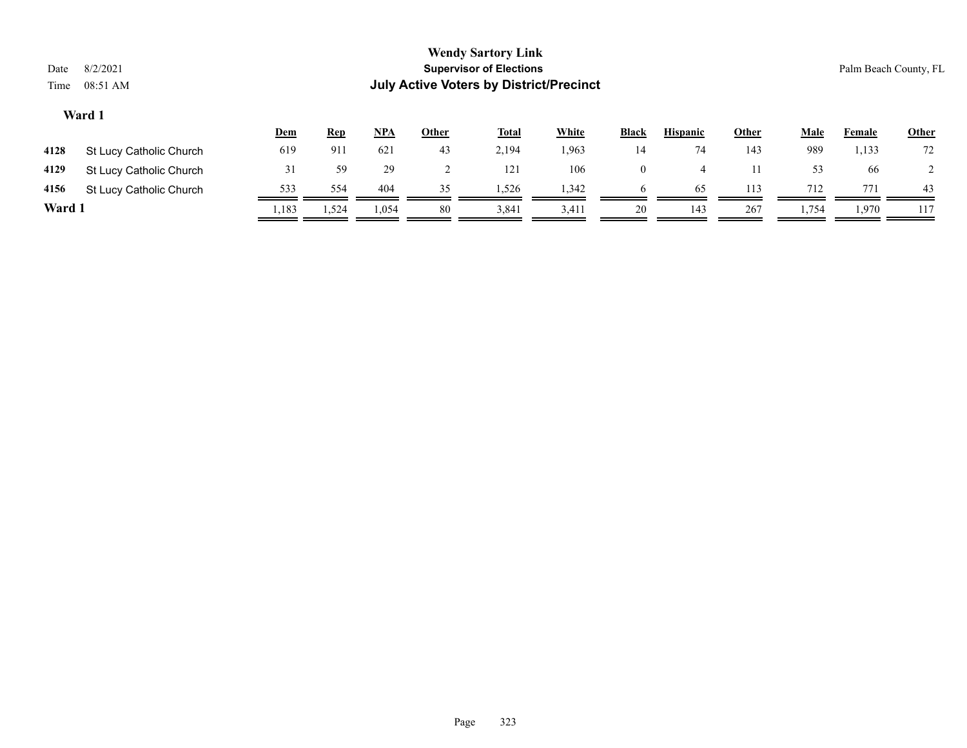| <b>Wendy Sartory Link</b><br><b>Supervisor of Elections</b><br>8/2/2021<br>Date<br><b>July Active Voters by District/Precinct</b><br>08:51 AM<br>Time |                         |            |            |            |              |              |              |              |                 |              |             |               | Palm Beach County, FL |
|-------------------------------------------------------------------------------------------------------------------------------------------------------|-------------------------|------------|------------|------------|--------------|--------------|--------------|--------------|-----------------|--------------|-------------|---------------|-----------------------|
|                                                                                                                                                       | Ward 1                  | <u>Dem</u> | <u>Rep</u> | <u>NPA</u> | <b>Other</b> | <b>Total</b> | <b>White</b> | <b>Black</b> | <b>Hispanic</b> | <b>Other</b> | <b>Male</b> | <b>Female</b> | <b>Other</b>          |
| 4128                                                                                                                                                  | St Lucy Catholic Church | 619        | 911        | 621        | 43           | 2,194        | 1,963        | 14           | 74              | 143          | 989         | 1,133         | 72                    |
| 4129                                                                                                                                                  | St Lucy Catholic Church | 31         | 59         | 29         | ∠            | 121          | 106          | $\mathbf{0}$ | $\overline{4}$  | 11           | 53          | 66            |                       |
| 4156                                                                                                                                                  | St Lucy Catholic Church | 533        | 554        | 404        | 35           | 1,526        | 1,342        | 6            | 65              | 113          | 712         | 771           | 43                    |
| Ward 1                                                                                                                                                |                         | 1,183      | 1,524      | 1,054      | 80           | 3,841        | 3,411        | 20           | 143             | 267          | 1,754       | 1,970         | 117                   |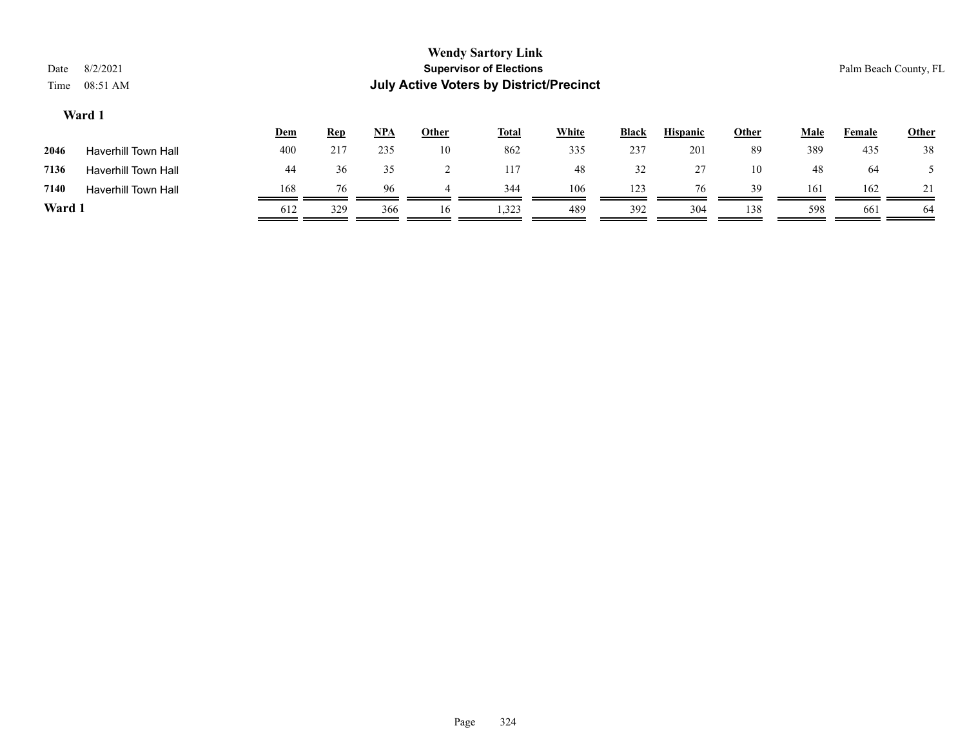| Date<br>Time | <b>Wendy Sartory Link</b><br><b>Supervisor of Elections</b><br>8/2/2021<br>Palm Beach County, FL<br><b>July Active Voters by District/Precinct</b><br>08:51 AM |     |            |            |       |              |              |              |                 |              |             |               |       |
|--------------|----------------------------------------------------------------------------------------------------------------------------------------------------------------|-----|------------|------------|-------|--------------|--------------|--------------|-----------------|--------------|-------------|---------------|-------|
|              | Ward 1                                                                                                                                                         | Dem | <b>Rep</b> | <u>NPA</u> | Other | <b>Total</b> | <b>White</b> | <b>Black</b> | <b>Hispanic</b> | <b>Other</b> | <b>Male</b> | <b>Female</b> | Other |
| 2046         | <b>Haverhill Town Hall</b>                                                                                                                                     | 400 | 217        | 235        | 10    | 862          | 335          | 237          | 201             | 89           | 389         | 435           | 38    |
| 7136         | <b>Haverhill Town Hall</b>                                                                                                                                     | 44  | 36         | 35         |       | 117          | 48           | 32           | 27              | 10           | 48          | 64            |       |
| 7140         | <b>Haverhill Town Hall</b>                                                                                                                                     | 168 | 76         | 96         | 4     | 344          | 106          | 123          | 76              | 39           | 161         | 162           | 21    |
| Ward 1       |                                                                                                                                                                | 612 | 329        | 366        | 16    | 1,323        | 489          | 392          | 304             | 138          | 598         | 661           | 64    |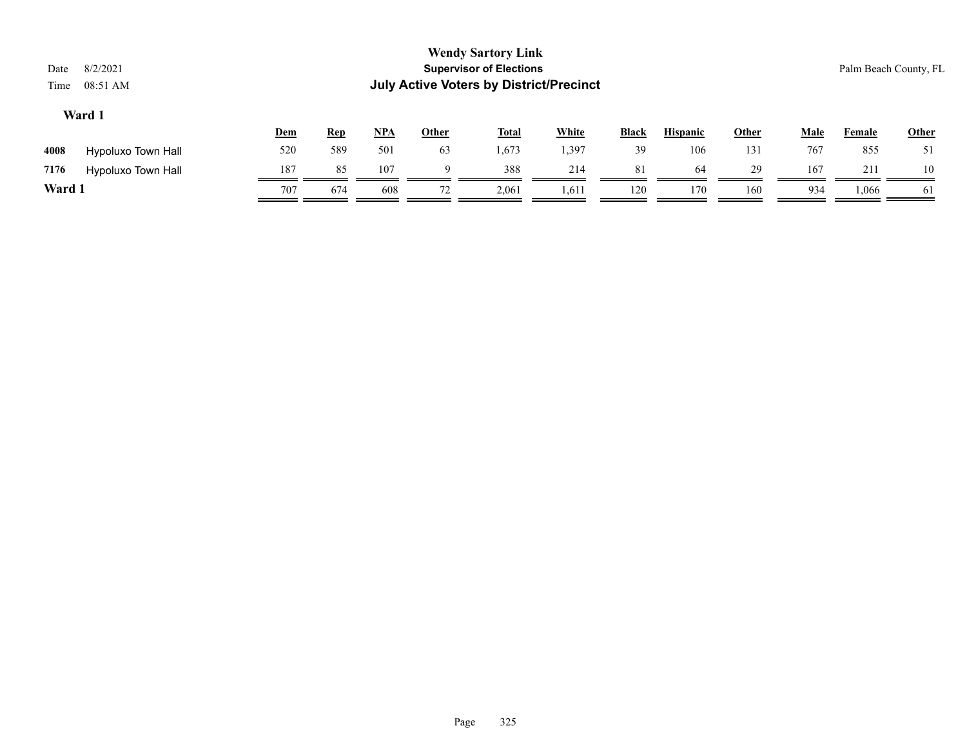|        |                    | <u>Dem</u> | <u>Rep</u> | <u>NPA</u> | <u>Other</u> | <b>Total</b> | White | <b>Black</b> | <b>Hispanic</b> | <u>Other</u> | Male | Female | <b>Other</b> |
|--------|--------------------|------------|------------|------------|--------------|--------------|-------|--------------|-----------------|--------------|------|--------|--------------|
| 4008   | Hypoluxo Town Hall | 520        | 589        | 501        | 63           | 1,673        | .397  | 39           | 106             | 131          | 767  | 855    | 51           |
| 7176   | Hypoluxo Town Hall | 187        | 85         | 107        |              | 388          | 214   | 81           | 64              | 29           | 167  | 211    | 10           |
| Ward 1 |                    | 707        | 674        | 608        | 72           | 2,061        | 1,611 | 120          | 170             | 160          | 934  | 1,066  | 61           |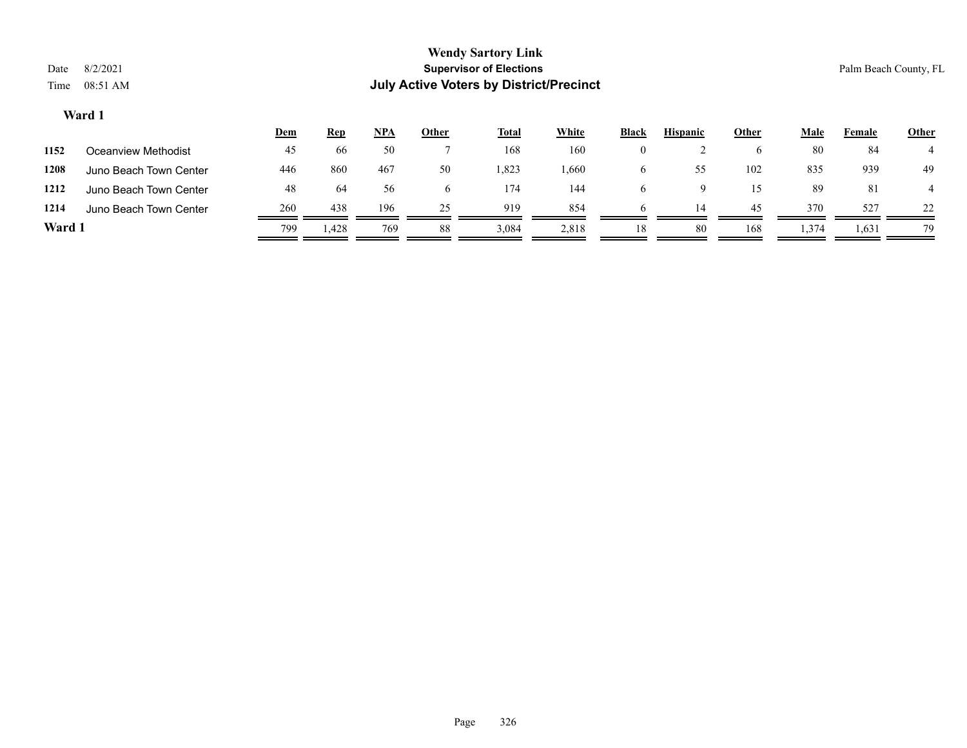|        |                        | <u>Dem</u> | <b>Rep</b> | <u>NPA</u> | <b>Other</b> | <b>Total</b> | <b>White</b> | <b>Black</b> | <b>Hispanic</b> | <u>Other</u> | Male  | Female | <b>Other</b> |
|--------|------------------------|------------|------------|------------|--------------|--------------|--------------|--------------|-----------------|--------------|-------|--------|--------------|
| 1152   | Oceanview Methodist    | 45         | 66         | 50         |              | 168          | 160          | $\theta$     |                 | <sub>0</sub> | 80    | -84    |              |
| 1208   | Juno Beach Town Center | 446        | 860        | 467        | 50           | .823         | .660         | <sub>0</sub> | 55              | 102          | 835   | 939    | 49           |
| 1212   | Juno Beach Town Center | 48         | 64         | 56         |              | 174          | 144          | h            |                 | 15           | 89    | 81     |              |
| 1214   | Juno Beach Town Center | 260        | 438        | 196        | 25           | 919          | 854          | h            | 14              | 45           | 370   | 527    | 22           |
| Ward 1 |                        | 799        | 1,428      | 769        | 88           | 3,084        | 2,818        | 18           | 80              | 168          | 1,374 | 1,631  | 79           |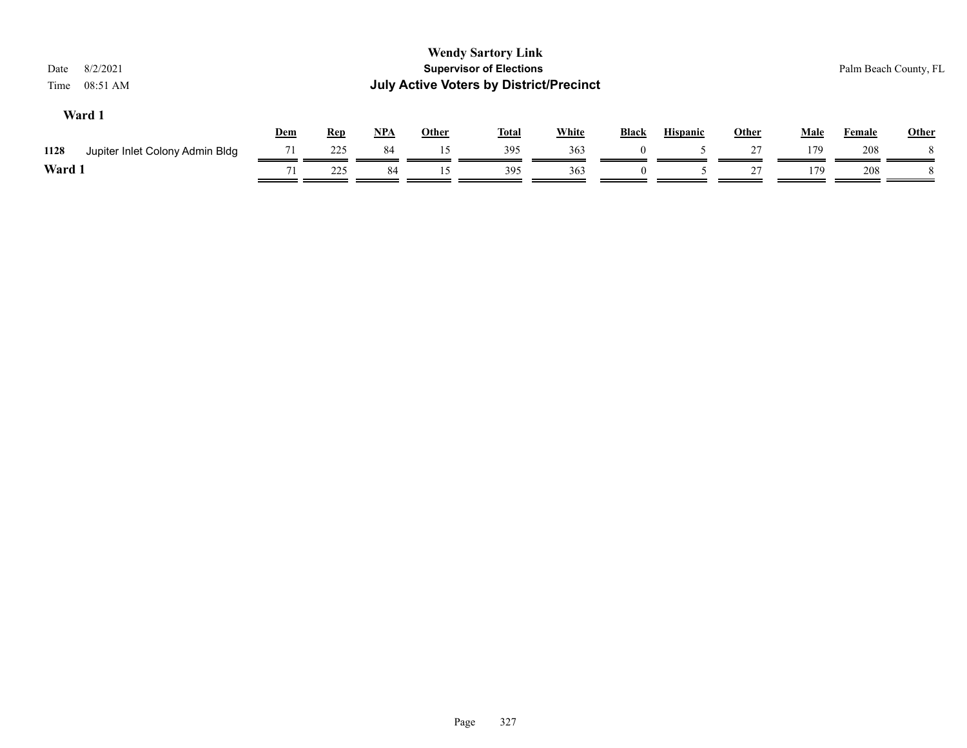| 8/2/2021<br>Date<br>08:51 AM<br>Time    |     |            |       |              | <b>Wendy Sartory Link</b><br><b>Supervisor of Elections</b><br><b>July Active Voters by District/Precinct</b> |              |          |                 |       |             | Palm Beach County, FL |              |
|-----------------------------------------|-----|------------|-------|--------------|---------------------------------------------------------------------------------------------------------------|--------------|----------|-----------------|-------|-------------|-----------------------|--------------|
| Ward 1                                  | Dem | <b>Rep</b> | $NPA$ | <b>Other</b> | <b>Total</b>                                                                                                  | <b>White</b> | Black    | <b>Hispanic</b> | Other | <b>Male</b> | Female                | <b>Other</b> |
| Jupiter Inlet Colony Admin Bldg<br>1128 | 71  | 225        | 84    | 15           | 395                                                                                                           | 363          |          |                 | 27    | 179         | 208                   |              |
| Ward 1                                  |     | 225        | 84    | 15           | 395                                                                                                           | 363          | $\Omega$ |                 | 27    | 179         | 208                   |              |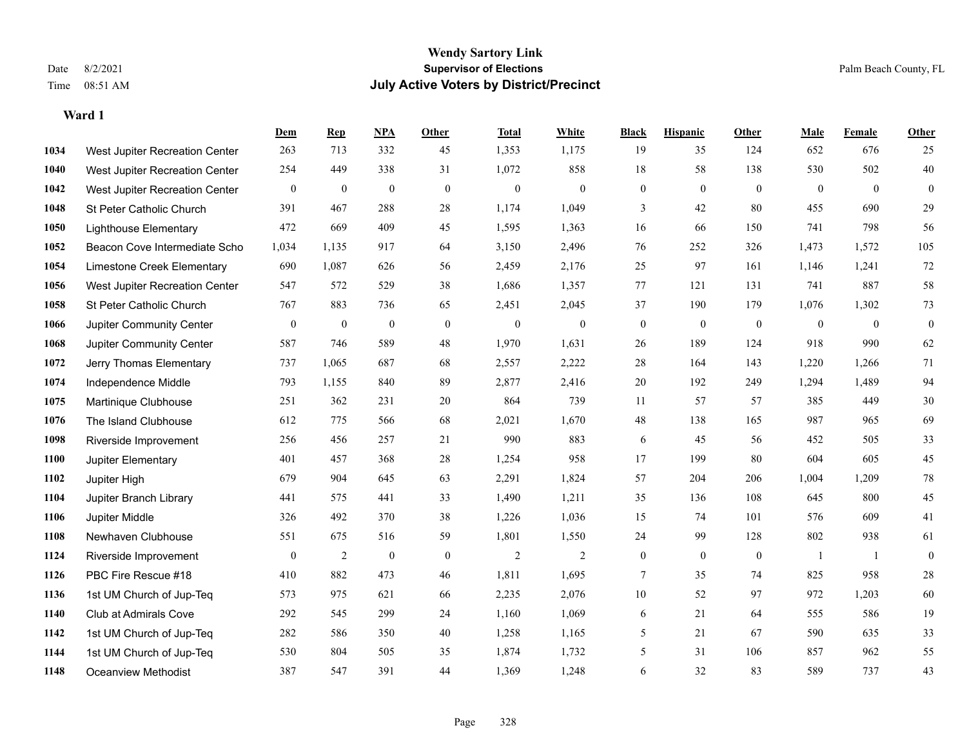|      |                                | Dem              | <b>Rep</b>       | NPA              | <b>Other</b>   | <b>Total</b>     | White            | <b>Black</b>     | <b>Hispanic</b> | <b>Other</b>   | <b>Male</b>  | Female         | <b>Other</b>     |
|------|--------------------------------|------------------|------------------|------------------|----------------|------------------|------------------|------------------|-----------------|----------------|--------------|----------------|------------------|
| 1034 | West Jupiter Recreation Center | 263              | 713              | 332              | 45             | 1,353            | 1,175            | 19               | 35              | 124            | 652          | 676            | 25               |
| 1040 | West Jupiter Recreation Center | 254              | 449              | 338              | 31             | 1,072            | 858              | 18               | 58              | 138            | 530          | 502            | 40               |
| 1042 | West Jupiter Recreation Center | $\boldsymbol{0}$ | $\boldsymbol{0}$ | $\boldsymbol{0}$ | $\overline{0}$ | $\boldsymbol{0}$ | $\boldsymbol{0}$ | $\boldsymbol{0}$ | $\mathbf{0}$    | $\overline{0}$ | $\mathbf{0}$ | $\overline{0}$ | $\boldsymbol{0}$ |
| 1048 | St Peter Catholic Church       | 391              | 467              | 288              | 28             | 1,174            | 1,049            | 3                | 42              | 80             | 455          | 690            | 29               |
| 1050 | <b>Lighthouse Elementary</b>   | 472              | 669              | 409              | 45             | 1,595            | 1,363            | 16               | 66              | 150            | 741          | 798            | 56               |
| 1052 | Beacon Cove Intermediate Scho  | 1,034            | 1,135            | 917              | 64             | 3,150            | 2,496            | 76               | 252             | 326            | 1,473        | 1,572          | 105              |
| 1054 | Limestone Creek Elementary     | 690              | 1,087            | 626              | 56             | 2,459            | 2,176            | 25               | 97              | 161            | 1,146        | 1,241          | 72               |
| 1056 | West Jupiter Recreation Center | 547              | 572              | 529              | 38             | 1,686            | 1,357            | 77               | 121             | 131            | 741          | 887            | 58               |
| 1058 | St Peter Catholic Church       | 767              | 883              | 736              | 65             | 2,451            | 2,045            | 37               | 190             | 179            | 1,076        | 1,302          | 73               |
| 1066 | Jupiter Community Center       | $\bf{0}$         | $\boldsymbol{0}$ | $\boldsymbol{0}$ | $\mathbf{0}$   | $\theta$         | $\boldsymbol{0}$ | $\boldsymbol{0}$ | $\mathbf{0}$    | $\mathbf{0}$   | $\mathbf{0}$ | $\mathbf{0}$   | $\boldsymbol{0}$ |
| 1068 | Jupiter Community Center       | 587              | 746              | 589              | 48             | 1,970            | 1,631            | 26               | 189             | 124            | 918          | 990            | 62               |
| 1072 | Jerry Thomas Elementary        | 737              | 1,065            | 687              | 68             | 2,557            | 2,222            | 28               | 164             | 143            | 1,220        | 1,266          | 71               |
| 1074 | Independence Middle            | 793              | 1,155            | 840              | 89             | 2,877            | 2,416            | 20               | 192             | 249            | 1,294        | 1,489          | 94               |
| 1075 | Martinique Clubhouse           | 251              | 362              | 231              | $20\,$         | 864              | 739              | 11               | 57              | 57             | 385          | 449            | $30\,$           |
| 1076 | The Island Clubhouse           | 612              | 775              | 566              | 68             | 2,021            | 1,670            | 48               | 138             | 165            | 987          | 965            | 69               |
| 1098 | Riverside Improvement          | 256              | 456              | 257              | 21             | 990              | 883              | 6                | 45              | 56             | 452          | 505            | 33               |
| 1100 | Jupiter Elementary             | 401              | 457              | 368              | $28\,$         | 1,254            | 958              | 17               | 199             | 80             | 604          | 605            | 45               |
| 1102 | Jupiter High                   | 679              | 904              | 645              | 63             | 2,291            | 1,824            | 57               | 204             | 206            | 1,004        | 1,209          | $78\,$           |
| 1104 | Jupiter Branch Library         | 441              | 575              | 441              | 33             | 1,490            | 1,211            | 35               | 136             | 108            | 645          | 800            | 45               |
| 1106 | Jupiter Middle                 | 326              | 492              | 370              | 38             | 1,226            | 1,036            | 15               | 74              | 101            | 576          | 609            | 41               |
| 1108 | Newhaven Clubhouse             | 551              | 675              | 516              | 59             | 1,801            | 1,550            | 24               | 99              | 128            | 802          | 938            | 61               |
| 1124 | Riverside Improvement          | $\boldsymbol{0}$ | $\overline{2}$   | $\boldsymbol{0}$ | $\mathbf{0}$   | $\sqrt{2}$       | $\overline{c}$   | $\boldsymbol{0}$ | $\mathbf{0}$    | $\mathbf{0}$   | -1           | -1             | $\boldsymbol{0}$ |
| 1126 | PBC Fire Rescue #18            | 410              | 882              | 473              | 46             | 1,811            | 1,695            | 7                | 35              | 74             | 825          | 958            | $28\,$           |
| 1136 | 1st UM Church of Jup-Teq       | 573              | 975              | 621              | 66             | 2,235            | 2,076            | $10\,$           | 52              | 97             | 972          | 1,203          | 60               |
| 1140 | Club at Admirals Cove          | 292              | 545              | 299              | 24             | 1,160            | 1,069            | 6                | 21              | 64             | 555          | 586            | 19               |
| 1142 | 1st UM Church of Jup-Teq       | 282              | 586              | 350              | 40             | 1,258            | 1,165            | 5                | 21              | 67             | 590          | 635            | 33               |
| 1144 | 1st UM Church of Jup-Teq       | 530              | 804              | 505              | 35             | 1,874            | 1,732            | 5                | 31              | 106            | 857          | 962            | 55               |
| 1148 | Oceanview Methodist            | 387              | 547              | 391              | 44             | 1,369            | 1,248            | 6                | 32              | 83             | 589          | 737            | 43               |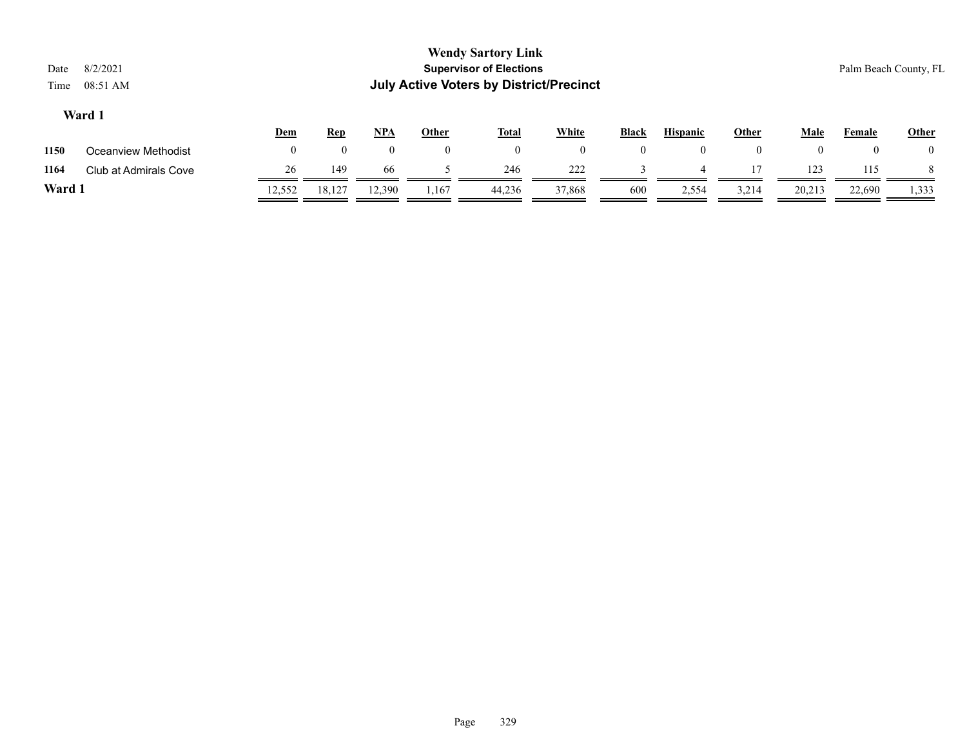|                         | <b>Wendy Sartory Link</b>                      |                       |
|-------------------------|------------------------------------------------|-----------------------|
| Date 8/2/2021           | <b>Supervisor of Elections</b>                 | Palm Beach County, FL |
| Time $08:51 \text{ AM}$ | <b>July Active Voters by District/Precinct</b> |                       |
| Ward 1                  |                                                |                       |

|        |                       | <u>Dem</u> | <b>Rep</b> | $NPA$ | Other | <b>Total</b> | White  | <b>Black</b> | <b>Hispanic</b> | Other | Male   | Female   | <b>Other</b>   |
|--------|-----------------------|------------|------------|-------|-------|--------------|--------|--------------|-----------------|-------|--------|----------|----------------|
| 1150   | Oceanview Methodist   |            |            |       |       |              |        |              | $\Omega$        |       |        | $\theta$ | $\overline{0}$ |
| 1164   | Club at Admirals Cove | 26         | 149        | 66    |       | 246          | 222    |              |                 |       | 123    | 115      |                |
| Ward : |                       | 12,552     | 18,127     | 2,390 | 167ء  | 44,236       | 37,868 | 600          | 2,554           | 3,214 | 20,213 | 22,690   | 1,333          |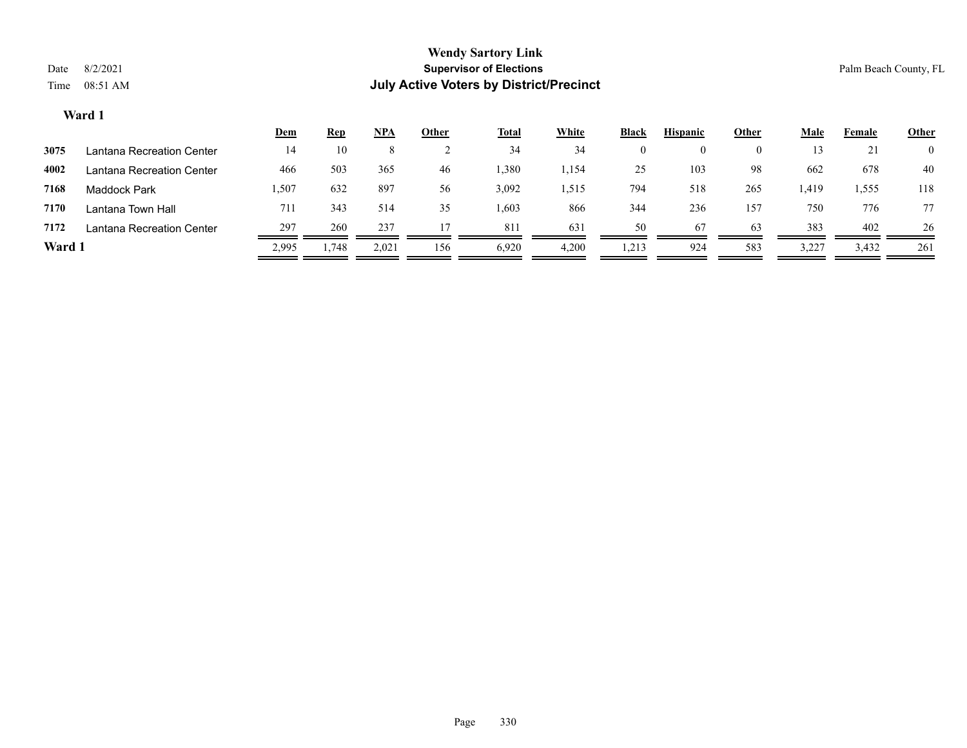|        |                           | <u>Dem</u> | <b>Rep</b> | $NPA$ | <u>Other</u> | <b>Total</b> | White           | <b>Black</b> | <b>Hispanic</b> | <u>Other</u> | <u>Male</u> | Female | <b>Other</b>   |
|--------|---------------------------|------------|------------|-------|--------------|--------------|-----------------|--------------|-----------------|--------------|-------------|--------|----------------|
| 3075   | Lantana Recreation Center | 14         | 10         |       |              | 34           | 34              | $\theta$     |                 |              | 13          | 21     | $\overline{0}$ |
| 4002   | Lantana Recreation Center | 466        | 503        | 365   | 46           | 1,380        | 1,154           | 25           | 103             | 98           | 662         | 678    | 40             |
| 7168   | Maddock Park              | .507       | 632        | 897   | 56           | 3,092        | 1,515           | 794          | 518             | 265          | 419ء        | 1,555  | 118            |
| 7170   | Lantana Town Hall         | 711        | 343        | 514   | 35           | 1,603        | 866             | 344          | 236             | 157          | 750         | 776    | 77             |
| 7172   | Lantana Recreation Center | 297        | 260        | 237   |              | 811          | 63 <sup>2</sup> | 50           | 67              | 63           | 383         | 402    | 26             |
| Ward 1 |                           | 2,995      | 1,748      | 2,021 | 156          | 6,920        | 4,200           | 1,213        | 924             | 583          | 3,227       | 3,432  | 261            |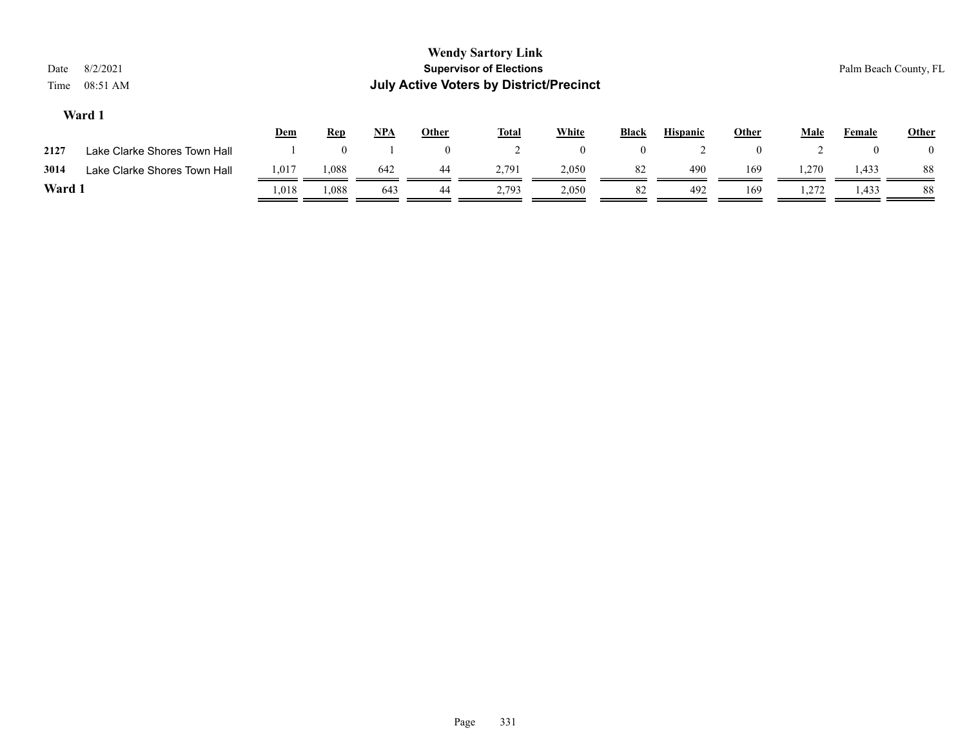| Date<br>Time | 8/2/2021<br>08:51 AM         |            |            |            |              | <b>Wendy Sartory Link</b><br><b>Supervisor of Elections</b><br><b>July Active Voters by District/Precinct</b> |                |                |                 |       |             |        | Palm Beach County, FL |
|--------------|------------------------------|------------|------------|------------|--------------|---------------------------------------------------------------------------------------------------------------|----------------|----------------|-----------------|-------|-------------|--------|-----------------------|
|              | Ward 1                       | <u>Dem</u> | <b>Rep</b> | <u>NPA</u> | <b>Other</b> | <b>Total</b>                                                                                                  | <b>White</b>   | <b>Black</b>   | <b>Hispanic</b> | Other | <u>Male</u> | Female | <b>Other</b>          |
| 2127         | Lake Clarke Shores Town Hall |            |            |            | $\theta$     |                                                                                                               | $\overline{0}$ | $\overline{0}$ |                 |       |             |        | $\left($              |
| 3014         | Lake Clarke Shores Town Hall | 1,017      | 1,088      | 642        | -44          | 2,791                                                                                                         | 2,050          | 82             | 490             | 169   | 1,270       | 1,433  | 88                    |

**Ward 1** 1,018 1,088 643 44 2,793 2,050 82 492 169 1,272 1,433 88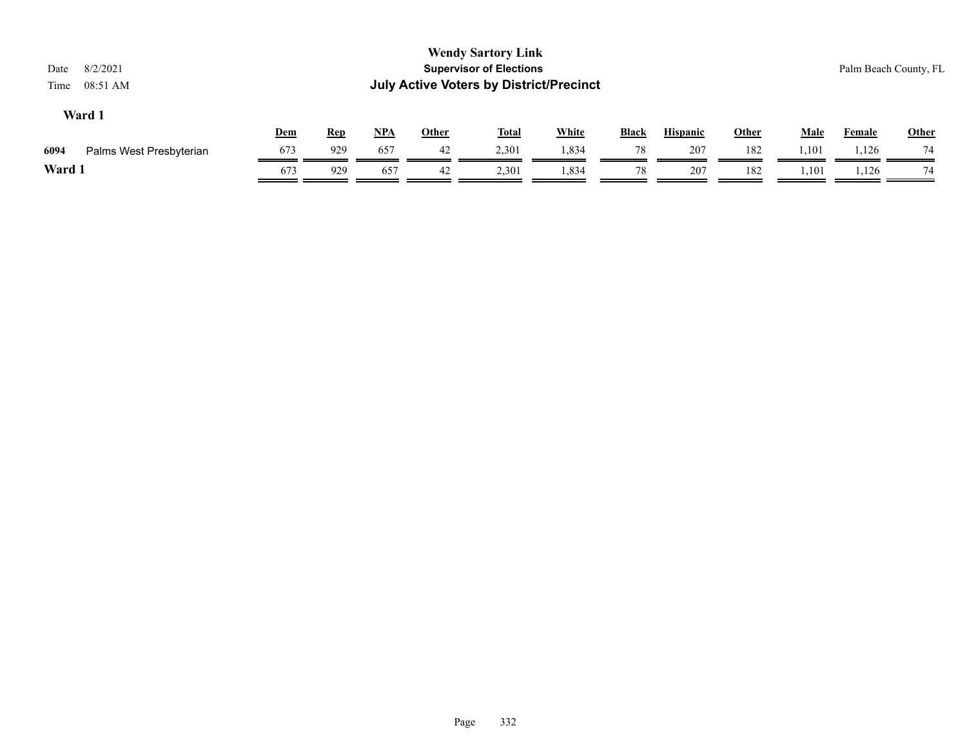| 8/2/2021<br>Date<br>08:51 AM<br>Time |     |            |            |              | <b>Wendy Sartory Link</b><br><b>Supervisor of Elections</b><br><b>July Active Voters by District/Precinct</b> |              |              |                 |              |             |               | Palm Beach County, FL |
|--------------------------------------|-----|------------|------------|--------------|---------------------------------------------------------------------------------------------------------------|--------------|--------------|-----------------|--------------|-------------|---------------|-----------------------|
| Ward 1                               | Dem | <u>Rep</u> | <u>NPA</u> | <b>Other</b> | <u>Total</u>                                                                                                  | <b>White</b> | <b>Black</b> | <b>Hispanic</b> | <b>Other</b> | <b>Male</b> | <b>Female</b> | Other                 |
| 6094<br>Palms West Presbyterian      | 673 | 929        | 657        | 42           | 2,301                                                                                                         | 1,834        | 78           | 207             | 182          | 1,101       | 1,126         | 74                    |
| Ward 1                               | 673 | 929        | 657        | 42           | 2,301                                                                                                         | 1,834        | 78           | 207             | 182          | 1,101       | 1,126         | 74                    |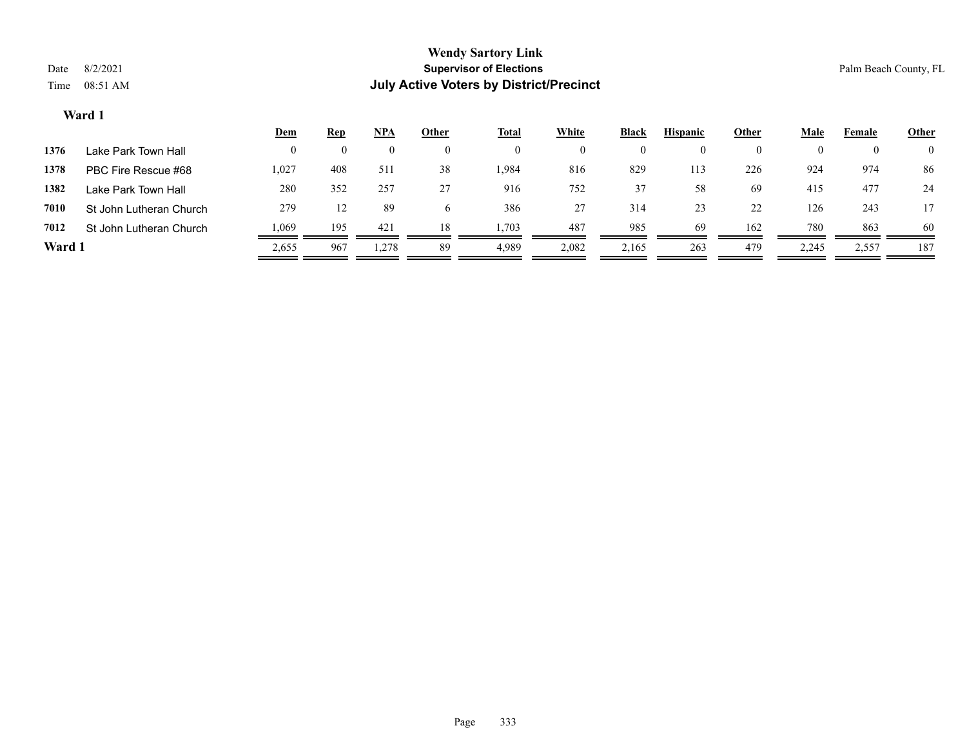|        |                         | <u>Dem</u> | <b>Rep</b> | <u>NPA</u> | <b>Other</b> | <u>Total</u> | White | <b>Black</b> | <b>Hispanic</b> | Other    | Male  | Female   | <b>Other</b>   |
|--------|-------------------------|------------|------------|------------|--------------|--------------|-------|--------------|-----------------|----------|-------|----------|----------------|
| 1376   | Lake Park Town Hall     |            |            | $\left($   |              | $\theta$     |       | $\bf{0}$     |                 | $\bf{0}$ | 0     | $\theta$ | $\overline{0}$ |
| 1378   | PBC Fire Rescue #68     | 1,027      | 408        | 511        | 38           | 1,984        | 816   | 829          | 113             | 226      | 924   | 974      | 86             |
| 1382   | Lake Park Town Hall     | 280        | 352        | 257        | 27           | 916          | 752   | 37           | 58              | 69       | 415   | 477      | 24             |
| 7010   | St John Lutheran Church | 279        | 12         | 89         |              | 386          | 27    | 314          | 23              | 22       | 126   | 243      | 17             |
| 7012   | St John Lutheran Church | 1,069      | 195        | 421        | 18           | .,703        | 487   | 985          | 69              | 162      | 780   | 863      | 60             |
| Ward 1 |                         | 2,655      | 967        | 1,278      | 89           | 4,989        | 2,082 | 2,165        | 263             | 479      | 2,245 | 2,557    | 187            |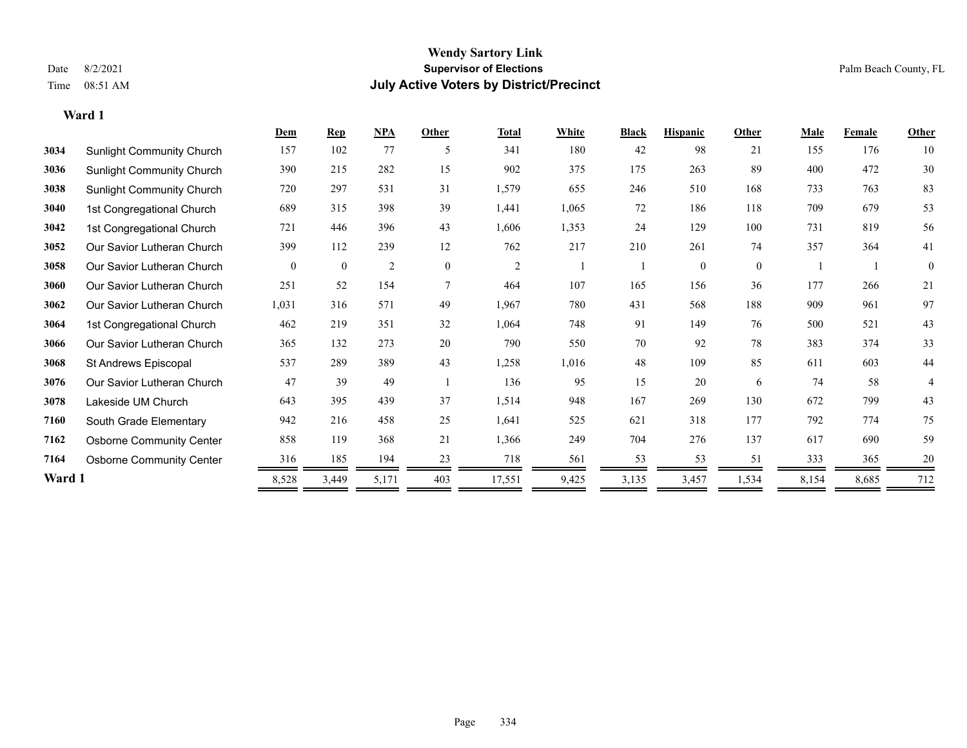**Ward 1**

#### **Wendy Sartory Link** Date 8/2/2021 **Supervisor of Elections** Palm Beach County, FL Time 08:51 AM **July Active Voters by District/Precinct**

# **Dem Rep NPA Other Total White Black Hispanic Other Male Female Other** Sunlight Community Church 157 102 77 5 341 180 42 98 21 155 176 10 Sunlight Community Church 390 215 282 15 902 375 175 263 89 400 472 30 Sunlight Community Church 720 297 531 31 1,579 655 246 510 168 733 763 83 1st Congregational Church 689 315 398 39 1,441 1,065 72 186 118 709 679 53 1st Congregational Church 721 446 396 43 1,606 1,353 24 129 100 731 819 56 Our Savior Lutheran Church 399 112 239 12 762 217 210 261 74 357 364 41 Our Savior Lutheran Church 0 0 0 2 0 0 2 1 1 0 0 0 1 1 0 Our Savior Lutheran Church 251 52 154 7 464 107 165 156 36 177 266 21 Our Savior Lutheran Church 1,031 316 571 49 1,967 780 431 568 188 909 961 97 1st Congregational Church 462 219 351 32 1,064 748 91 149 76 500 521 43 Our Savior Lutheran Church 365 132 273 20 790 550 70 92 78 383 374 33 St Andrews Episcopal 537 289 389 43 1,258 1,016 48 109 85 611 603 44 Our Savior Lutheran Church 47 39 49 1 136 95 15 20 6 74 58 4 Lakeside UM Church 643 395 439 37 1,514 948 167 269 130 672 799 43 South Grade Elementary 942 216 458 25 1,641 525 621 318 177 792 774 75 Osborne Community Center 858 119 368 21 1,366 249 704 276 137 617 690 59 **7164** Osborne Community Center  $\frac{316}{2} \frac{185}{2} \frac{194}{2} \frac{23}{2} \frac{718}{2} \frac{718}{2} \frac{561}{2} \frac{53}{2} \frac{53}{2} \frac{53}{2} \frac{51}{2} \frac{333}{2} \frac{365}{2} \frac{20}{2} \frac{20}{2} \frac{53}{2} \frac{53}{2} \frac{53}{2} \frac{53}{2} \frac{53}{2} \frac{53}{2} \frac{53}{2} \frac{5$ **Ward 1** 8,528 3,449 5,171 403 17,551 9,425 3,135 3,457 1,534 8,154 8,685 712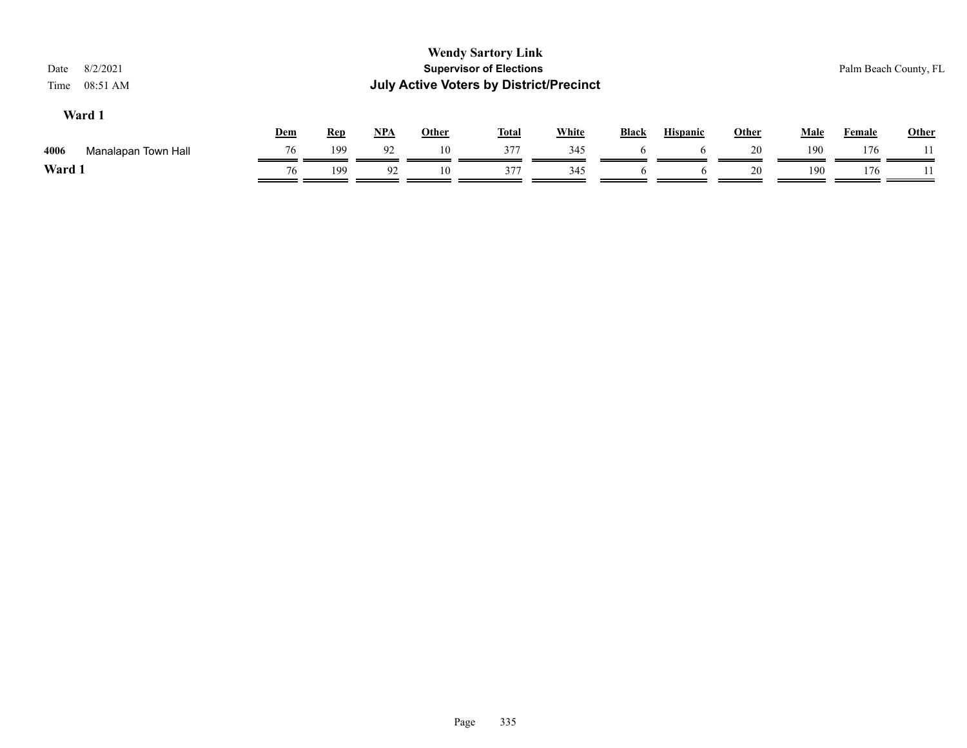| 8/2/2021<br>Date<br>08:51 AM<br>Time |     |            |       |              | <b>Wendy Sartory Link</b><br><b>Supervisor of Elections</b><br><b>July Active Voters by District/Precinct</b> |              |              |                 |              |      |        | Palm Beach County, FL |
|--------------------------------------|-----|------------|-------|--------------|---------------------------------------------------------------------------------------------------------------|--------------|--------------|-----------------|--------------|------|--------|-----------------------|
| Ward 1                               | Dem | <b>Rep</b> | $NPA$ | <b>Other</b> | <b>Total</b>                                                                                                  | <b>White</b> | <b>Black</b> | <b>Hispanic</b> | <b>Other</b> | Male | Female | <b>Other</b>          |
| 4006<br>Manalapan Town Hall          | 76  | 199        | 92    | 10           | 377                                                                                                           | 345          |              |                 | 20           | 190  | 176    |                       |
| Ward 1                               | 76  | 199        | 92    | 10           | 377                                                                                                           | 345          | <sub>0</sub> | <sub>0</sub>    | 20           | 190  | 176    |                       |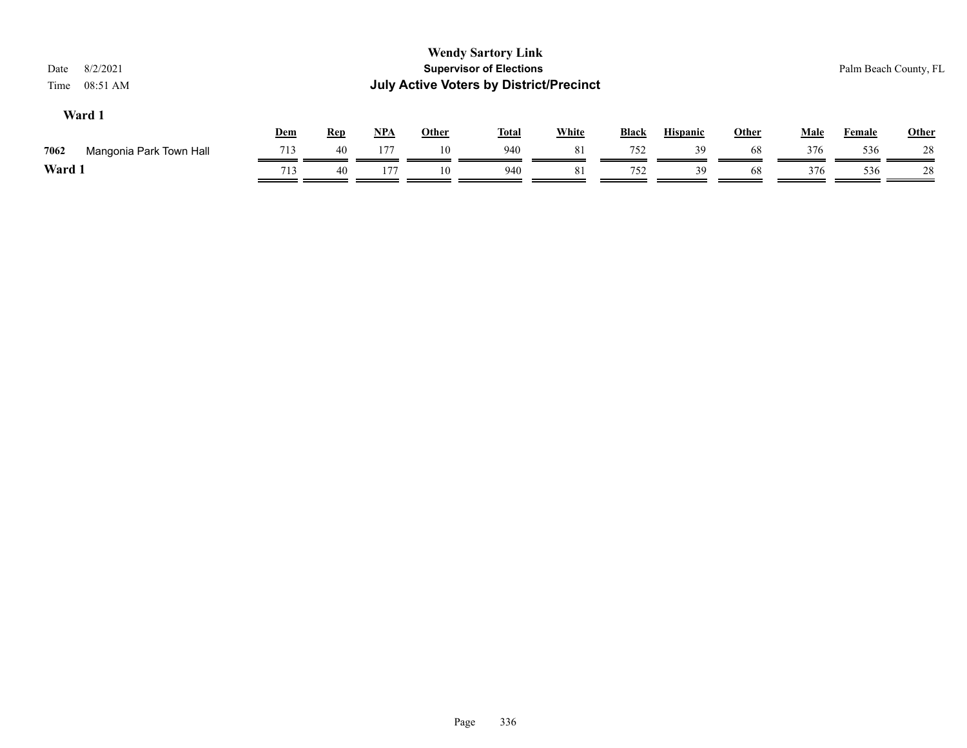| 8/2/2021<br>Date<br>08:51 AM<br>Time |     |            |       |              | <b>Wendy Sartory Link</b><br><b>Supervisor of Elections</b><br><b>July Active Voters by District/Precinct</b> |              |              |                 |              |             |        | Palm Beach County, FL |
|--------------------------------------|-----|------------|-------|--------------|---------------------------------------------------------------------------------------------------------------|--------------|--------------|-----------------|--------------|-------------|--------|-----------------------|
| Ward 1                               | Dem | <b>Rep</b> | $NPA$ | <b>Other</b> | <b>Total</b>                                                                                                  | <b>White</b> | <b>Black</b> | <b>Hispanic</b> | <b>Other</b> | <u>Male</u> | Female | Other                 |
| 7062<br>Mangonia Park Town Hall      | 713 | 40         | 177   | 10           | 940                                                                                                           | 81           | 752          | 39              | 68           | 376         | 536    | 28                    |
| Ward 1                               | 713 | 40         | 177   | 10           | 940                                                                                                           | 81           | 752          | 39              | 68           | 376         | 536    | 28                    |
|                                      |     |            |       |              |                                                                                                               |              |              |                 |              |             |        |                       |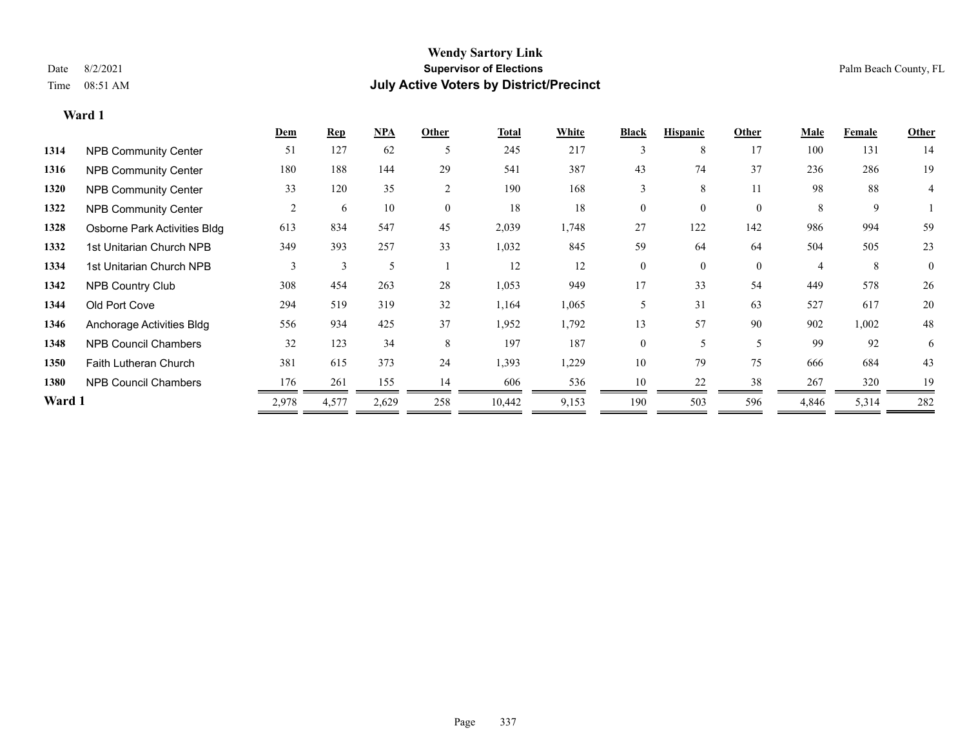|        |                              | <b>Dem</b> | <b>Rep</b> | NPA   | Other    | <b>Total</b> | White | <b>Black</b>   | <b>Hispanic</b> | Other    | <b>Male</b> | Female | <b>Other</b>   |
|--------|------------------------------|------------|------------|-------|----------|--------------|-------|----------------|-----------------|----------|-------------|--------|----------------|
| 1314   | <b>NPB Community Center</b>  | 51         | 127        | 62    | 5        | 245          | 217   | 3              | 8               | 17       | 100         | 131    | 14             |
| 1316   | <b>NPB Community Center</b>  | 180        | 188        | 144   | 29       | 541          | 387   | 43             | 74              | 37       | 236         | 286    | 19             |
| 1320   | <b>NPB Community Center</b>  | 33         | 120        | 35    | 2        | 190          | 168   | 3              | 8               | 11       | 98          | 88     | 4              |
| 1322   | <b>NPB Community Center</b>  | 2          | 6          | 10    | $\theta$ | 18           | 18    | 0              | $\Omega$        | $\Omega$ | 8           | 9      |                |
| 1328   | Osborne Park Activities Bldg | 613        | 834        | 547   | 45       | 2,039        | 1,748 | 27             | 122             | 142      | 986         | 994    | 59             |
| 1332   | 1st Unitarian Church NPB     | 349        | 393        | 257   | 33       | 1,032        | 845   | 59             | 64              | 64       | 504         | 505    | 23             |
| 1334   | 1st Unitarian Church NPB     | 3          | 3          | 5     |          | 12           | 12    | $\overline{0}$ | $\Omega$        | $\Omega$ |             | 8      | $\overline{0}$ |
| 1342   | <b>NPB Country Club</b>      | 308        | 454        | 263   | 28       | 1,053        | 949   | 17             | 33              | 54       | 449         | 578    | 26             |
| 1344   | Old Port Cove                | 294        | 519        | 319   | 32       | 1,164        | 1,065 | 5              | 31              | 63       | 527         | 617    | 20             |
| 1346   | Anchorage Activities Bldg    | 556        | 934        | 425   | 37       | 1,952        | 1,792 | 13             | 57              | 90       | 902         | 1,002  | 48             |
| 1348   | <b>NPB Council Chambers</b>  | 32         | 123        | 34    | 8        | 197          | 187   | $\overline{0}$ | 5               | 5        | 99          | 92     | 6              |
| 1350   | <b>Faith Lutheran Church</b> | 381        | 615        | 373   | 24       | 1,393        | 1,229 | 10             | 79              | 75       | 666         | 684    | 43             |
| 1380   | <b>NPB Council Chambers</b>  | 176        | 261        | 155   | 14       | 606          | 536   | 10             | 22              | 38       | 267         | 320    | 19             |
| Ward 1 |                              | 2,978      | 4,577      | 2,629 | 258      | 10,442       | 9,153 | 190            | 503             | 596      | 4,846       | 5,314  | 282            |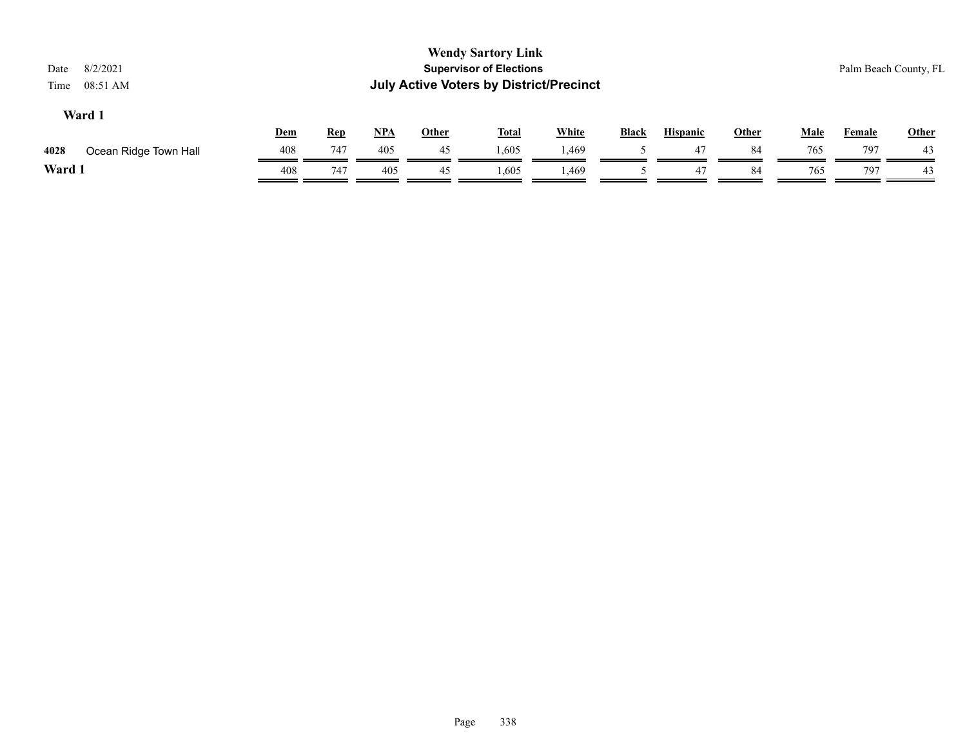| Date<br>Time | 8/2/2021<br>08:51 AM  |     |            |     |              | <b>Wendy Sartory Link</b><br><b>Supervisor of Elections</b><br><b>July Active Voters by District/Precinct</b> |              |              |                 |       |             |               | Palm Beach County, FL |
|--------------|-----------------------|-----|------------|-----|--------------|---------------------------------------------------------------------------------------------------------------|--------------|--------------|-----------------|-------|-------------|---------------|-----------------------|
|              | Ward 1                | Dem | <u>Rep</u> | NPA | <b>Other</b> | <u>Total</u>                                                                                                  | <b>White</b> | <b>Black</b> | <b>Hispanic</b> | Other | <b>Male</b> | <b>Female</b> | Other                 |
| 4028         | Ocean Ridge Town Hall | 408 | 747        | 405 | 45           | 1,605                                                                                                         | 1,469        |              | 47              | 84    | 765         | 797           | 43                    |
| Ward 1       |                       | 408 | 747        | 405 | 45           | 1,605                                                                                                         | 1,469        |              | 47              | 84    | 765         | 797           | 43                    |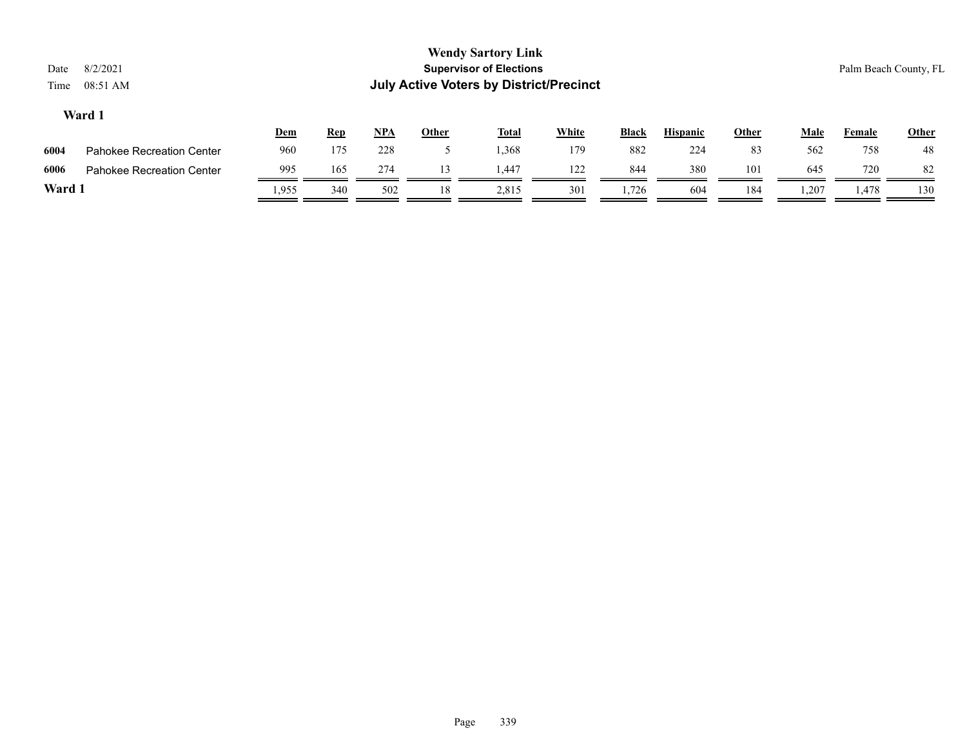|      |                                  | <u>Dem</u> | <u>Rep</u> | NPA | Other | <b>Total</b> | White | <b>Black</b> | <b>Hispanic</b> | Other | Male  | Female | <b>Other</b> |
|------|----------------------------------|------------|------------|-----|-------|--------------|-------|--------------|-----------------|-------|-------|--------|--------------|
| 6004 | <b>Pahokee Recreation Center</b> | 960        | 175        | 228 |       | 1.368        | 179   | 882          | 224             | 83    | 562   | 758    | 48           |
| 6006 | Pahokee Recreation Center        | 995        | 165        | 274 |       | 1.447        | 122   | 844          | 380             | 101   | 645   | 720    | 82           |
| Ward |                                  | 955.،      | 340        | 502 |       | 2,815        | 301   | 1,726        | 604             | 184   | 1,207 | . 478  | 130          |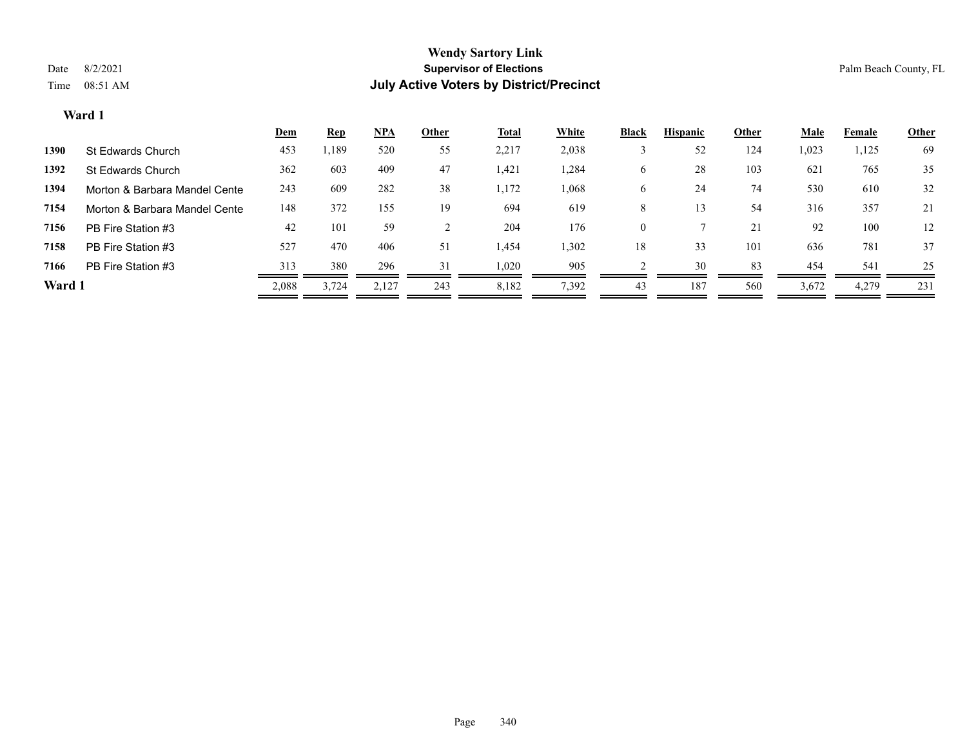|        |                               | <u>Dem</u> | <b>Rep</b> | <u>NPA</u> | <b>Other</b> | <b>Total</b> | <b>White</b> | <b>Black</b> | <b>Hispanic</b> | <b>Other</b> | <b>Male</b> | Female | <b>Other</b> |
|--------|-------------------------------|------------|------------|------------|--------------|--------------|--------------|--------------|-----------------|--------------|-------------|--------|--------------|
| 1390   | St Edwards Church             | 453        | ,189       | 520        | 55           | 2,217        | 2,038        |              | 52              | 124          | 1,023       | 1,125  | 69           |
| 1392   | St Edwards Church             | 362        | 603        | 409        | 47           | 1,421        | 1,284        | O            | 28              | 103          | 621         | 765    | 35           |
| 1394   | Morton & Barbara Mandel Cente | 243        | 609        | 282        | 38           | 1,172        | 1,068        | <sub>0</sub> | 24              | 74           | 530         | 610    | 32           |
| 7154   | Morton & Barbara Mandel Cente | 148        | 372        | 155        | 19           | 694          | 619          | 8            | 13              | 54           | 316         | 357    | 21           |
| 7156   | PB Fire Station #3            | 42         | 101        | 59         |              | 204          | 176          | $\theta$     |                 | 21           | 92          | 100    | 12           |
| 7158   | PB Fire Station #3            | 527        | 470        | 406        | 51           | 1,454        | 1,302        | 18           | 33              | 101          | 636         | 781    | 37           |
| 7166   | PB Fire Station #3            | 313        | 380        | 296        | 31           | 1,020        | 905          |              | 30              | 83           | 454         | 541    | 25           |
| Ward 1 |                               | 2,088      | 3,724      | 2,127      | 243          | 8,182        | 7,392        | 43           | 187             | 560          | 3,672       | 4,279  | 231          |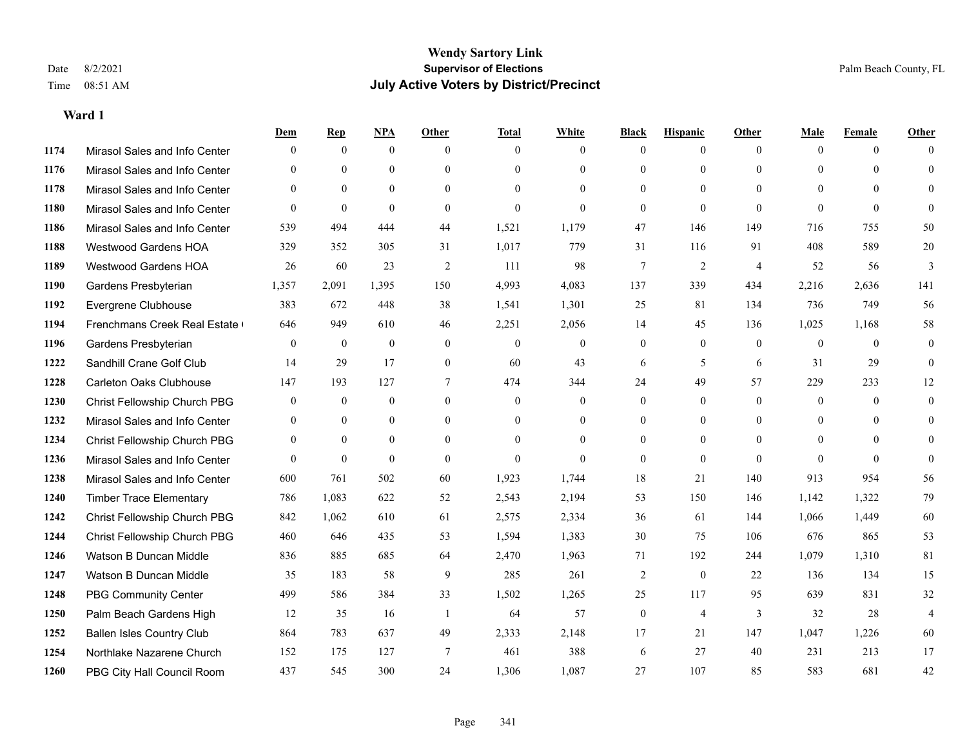|      |                                  | Dem              | <b>Rep</b>   | NPA              | <b>Other</b>   | <b>Total</b>     | <b>White</b>     | <b>Black</b>     | <b>Hispanic</b> | <b>Other</b>   | <b>Male</b>    | <b>Female</b> | <b>Other</b>   |
|------|----------------------------------|------------------|--------------|------------------|----------------|------------------|------------------|------------------|-----------------|----------------|----------------|---------------|----------------|
| 1174 | Mirasol Sales and Info Center    | $\mathbf{0}$     | $\mathbf{0}$ | $\mathbf{0}$     | $\Omega$       | $\Omega$         | $\overline{0}$   | $\Omega$         | $\overline{0}$  | $\theta$       | $\theta$       | $\theta$      | $\Omega$       |
| 1176 | Mirasol Sales and Info Center    | $\theta$         | $\theta$     | $\theta$         | $\theta$       | $\Omega$         | $\mathbf{0}$     | $\Omega$         | $\overline{0}$  | $\Omega$       | $\theta$       | $\Omega$      | $\Omega$       |
| 1178 | Mirasol Sales and Info Center    | $\Omega$         | $\theta$     | $\theta$         | $\Omega$       | $\Omega$         | $\Omega$         | $\Omega$         | $\Omega$        | $\Omega$       | $\Omega$       | $\Omega$      | $\Omega$       |
| 1180 | Mirasol Sales and Info Center    | $\overline{0}$   | $\mathbf{0}$ | $\mathbf{0}$     | $\mathbf{0}$   | $\theta$         | $\mathbf{0}$     | $\overline{0}$   | $\overline{0}$  | $\theta$       | $\theta$       | $\theta$      | $\Omega$       |
| 1186 | Mirasol Sales and Info Center    | 539              | 494          | 444              | 44             | 1,521            | 1,179            | 47               | 146             | 149            | 716            | 755           | 50             |
| 1188 | <b>Westwood Gardens HOA</b>      | 329              | 352          | 305              | 31             | 1,017            | 779              | 31               | 116             | 91             | 408            | 589           | 20             |
| 1189 | Westwood Gardens HOA             | 26               | 60           | 23               | $\overline{2}$ | 111              | 98               | $\boldsymbol{7}$ | $\overline{c}$  | $\overline{4}$ | 52             | 56            | 3              |
| 1190 | Gardens Presbyterian             | 1,357            | 2,091        | 1,395            | 150            | 4,993            | 4,083            | 137              | 339             | 434            | 2,216          | 2,636         | 141            |
| 1192 | Evergrene Clubhouse              | 383              | 672          | 448              | 38             | 1,541            | 1,301            | 25               | 81              | 134            | 736            | 749           | 56             |
| 1194 | Frenchmans Creek Real Estate     | 646              | 949          | 610              | 46             | 2,251            | 2,056            | 14               | 45              | 136            | 1,025          | 1,168         | 58             |
| 1196 | Gardens Presbyterian             | $\overline{0}$   | $\mathbf{0}$ | $\theta$         | $\theta$       | $\mathbf{0}$     | $\overline{0}$   | $\overline{0}$   | $\overline{0}$  | $\theta$       | $\overline{0}$ | $\theta$      | $\overline{0}$ |
| 1222 | Sandhill Crane Golf Club         | 14               | 29           | 17               | $\overline{0}$ | 60               | 43               | 6                | 5               | 6              | 31             | 29            | $\Omega$       |
| 1228 | <b>Carleton Oaks Clubhouse</b>   | 147              | 193          | 127              | 7              | 474              | 344              | 24               | 49              | 57             | 229            | 233           | 12             |
| 1230 | Christ Fellowship Church PBG     | $\boldsymbol{0}$ | $\mathbf{0}$ | $\boldsymbol{0}$ | $\mathbf{0}$   | $\boldsymbol{0}$ | $\boldsymbol{0}$ | $\boldsymbol{0}$ | $\overline{0}$  | $\mathbf{0}$   | $\overline{0}$ | $\mathbf{0}$  | $\overline{0}$ |
| 1232 | Mirasol Sales and Info Center    | $\overline{0}$   | $\mathbf{0}$ | $\mathbf{0}$     | $\theta$       | $\Omega$         | $\overline{0}$   | $\overline{0}$   | $\overline{0}$  | $\theta$       | $\theta$       | $\theta$      | $\overline{0}$ |
| 1234 | Christ Fellowship Church PBG     | $\overline{0}$   | $\mathbf{0}$ | $\theta$         | $\theta$       | $\Omega$         | $\Omega$         | $\theta$         | $\Omega$        | $\Omega$       | $\theta$       | $\Omega$      | $\Omega$       |
| 1236 | Mirasol Sales and Info Center    | $\Omega$         | $\theta$     | $\theta$         | $\theta$       | $\theta$         | $\theta$         | $\overline{0}$   | $\theta$        | $\Omega$       | $\Omega$       | $\Omega$      | $\theta$       |
| 1238 | Mirasol Sales and Info Center    | 600              | 761          | 502              | 60             | 1,923            | 1,744            | 18               | 21              | 140            | 913            | 954           | 56             |
| 1240 | <b>Timber Trace Elementary</b>   | 786              | 1,083        | 622              | 52             | 2,543            | 2,194            | 53               | 150             | 146            | 1,142          | 1,322         | 79             |
| 1242 | Christ Fellowship Church PBG     | 842              | 1.062        | 610              | 61             | 2,575            | 2,334            | 36               | 61              | 144            | 1,066          | 1,449         | 60             |
| 1244 | Christ Fellowship Church PBG     | 460              | 646          | 435              | 53             | 1,594            | 1,383            | 30               | 75              | 106            | 676            | 865           | 53             |
| 1246 | Watson B Duncan Middle           | 836              | 885          | 685              | 64             | 2,470            | 1,963            | 71               | 192             | 244            | 1,079          | 1,310         | 81             |
| 1247 | Watson B Duncan Middle           | 35               | 183          | 58               | 9              | 285              | 261              | $\overline{c}$   | $\overline{0}$  | 22             | 136            | 134           | 15             |
| 1248 | <b>PBG Community Center</b>      | 499              | 586          | 384              | 33             | 1,502            | 1,265            | 25               | 117             | 95             | 639            | 831           | 32             |
| 1250 | Palm Beach Gardens High          | 12               | 35           | 16               | -1             | 64               | 57               | $\boldsymbol{0}$ | 4               | $\overline{3}$ | 32             | 28            | $\overline{4}$ |
| 1252 | <b>Ballen Isles Country Club</b> | 864              | 783          | 637              | 49             | 2,333            | 2,148            | 17               | 21              | 147            | 1,047          | 1,226         | 60             |
| 1254 | Northlake Nazarene Church        | 152              | 175          | 127              | 7              | 461              | 388              | 6                | 27              | 40             | 231            | 213           | 17             |
| 1260 | PBG City Hall Council Room       | 437              | 545          | 300              | 24             | 1,306            | 1,087            | 27               | 107             | 85             | 583            | 681           | 42             |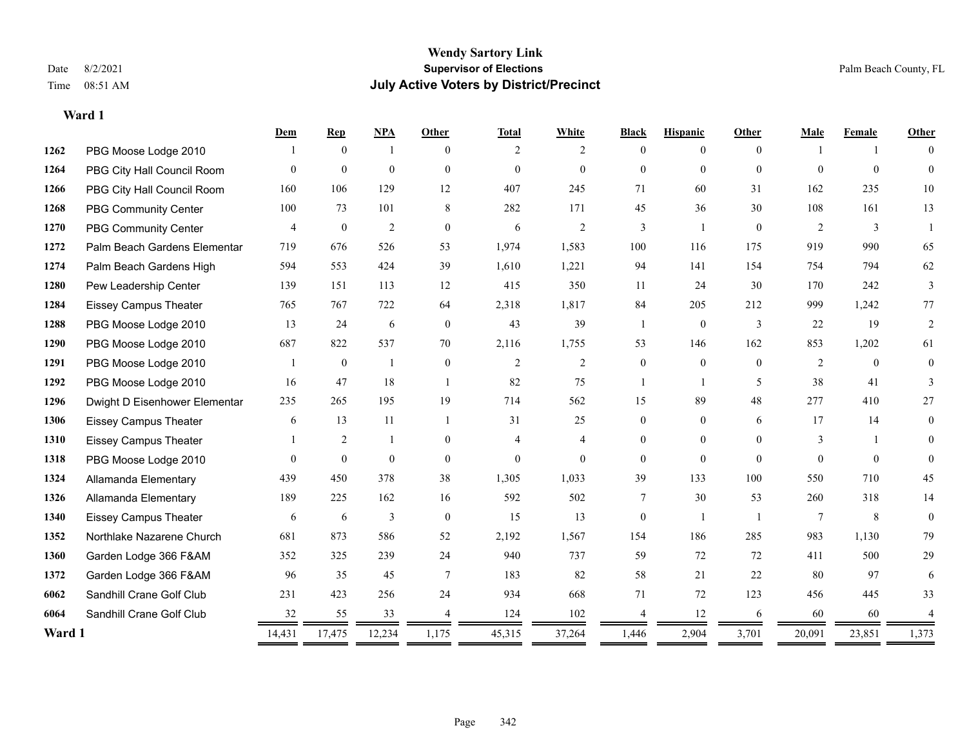|        |                               | Dem          | <b>Rep</b>     | NPA            | <b>Other</b>   | <b>Total</b> | White          | <b>Black</b>   | <b>Hispanic</b> | <b>Other</b>   | Male           | Female       | Other    |
|--------|-------------------------------|--------------|----------------|----------------|----------------|--------------|----------------|----------------|-----------------|----------------|----------------|--------------|----------|
| 1262   | PBG Moose Lodge 2010          |              | $\theta$       | $\mathbf{1}$   | $\Omega$       | 2            | 2              | $\Omega$       | $\theta$        | $\Omega$       |                |              | $\Omega$ |
| 1264   | PBG City Hall Council Room    | $\Omega$     | $\mathbf{0}$   | $\mathbf{0}$   | $\Omega$       | $\mathbf{0}$ | $\overline{0}$ | $\overline{0}$ | $\overline{0}$  | $\theta$       | $\Omega$       | $\theta$     | $\Omega$ |
| 1266   | PBG City Hall Council Room    | 160          | 106            | 129            | 12             | 407          | 245            | 71             | 60              | 31             | 162            | 235          | 10       |
| 1268   | PBG Community Center          | 100          | 73             | 101            | 8              | 282          | 171            | 45             | 36              | 30             | 108            | 161          | 13       |
| 1270   | PBG Community Center          | 4            | $\overline{0}$ | 2              | $\theta$       | 6            | 2              | 3              | $\mathbf{1}$    | $\theta$       | 2              | 3            |          |
| 1272   | Palm Beach Gardens Elementar  | 719          | 676            | 526            | 53             | 1,974        | 1,583          | 100            | 116             | 175            | 919            | 990          | 65       |
| 1274   | Palm Beach Gardens High       | 594          | 553            | 424            | 39             | 1,610        | 1,221          | 94             | 141             | 154            | 754            | 794          | 62       |
| 1280   | Pew Leadership Center         | 139          | 151            | 113            | 12             | 415          | 350            | 11             | 24              | 30             | 170            | 242          | 3        |
| 1284   | <b>Eissey Campus Theater</b>  | 765          | 767            | 722            | 64             | 2,318        | 1,817          | 84             | 205             | 212            | 999            | 1,242        | 77       |
| 1288   | PBG Moose Lodge 2010          | 13           | 24             | 6              | $\theta$       | 43           | 39             | -1             | $\mathbf{0}$    | 3              | 22             | 19           | 2        |
| 1290   | PBG Moose Lodge 2010          | 687          | 822            | 537            | 70             | 2,116        | 1,755          | 53             | 146             | 162            | 853            | 1,202        | 61       |
| 1291   | PBG Moose Lodge 2010          |              | $\mathbf{0}$   | $\mathbf{1}$   | $\overline{0}$ | 2            | 2              | $\overline{0}$ | $\mathbf{0}$    | $\theta$       | 2              | $\mathbf{0}$ | $\theta$ |
| 1292   | PBG Moose Lodge 2010          | 16           | 47             | 18             | $\overline{1}$ | 82           | 75             |                | $\mathbf{1}$    | 5              | 38             | 41           | 3        |
| 1296   | Dwight D Eisenhower Elementar | 235          | 265            | 195            | 19             | 714          | 562            | 15             | 89              | 48             | 277            | 410          | 27       |
| 1306   | <b>Eissey Campus Theater</b>  | 6            | 13             | 11             | $\overline{1}$ | 31           | 25             | $\theta$       | $\Omega$        | 6              | 17             | 14           | 0        |
| 1310   | <b>Eissey Campus Theater</b>  |              | 2              |                | $\theta$       | 4            | $\overline{4}$ | $\overline{0}$ | $\overline{0}$  | $\theta$       | 3              |              | $\Omega$ |
| 1318   | PBG Moose Lodge 2010          | $\Omega$     | $\theta$       | $\theta$       | $\theta$       | $\theta$     | $\theta$       | $\Omega$       | $\Omega$        | $\Omega$       | $\Omega$       | $\Omega$     | $\Omega$ |
| 1324   | Allamanda Elementary          | 439          | 450            | 378            | 38             | 1,305        | 1,033          | 39             | 133             | 100            | 550            | 710          | 45       |
| 1326   | Allamanda Elementary          | 189          | 225            | 162            | 16             | 592          | 502            | 7              | 30              | 53             | 260            | 318          | 14       |
| 1340   | <b>Eissey Campus Theater</b>  | 6            | 6              | $\mathfrak{Z}$ | $\theta$       | 15           | 13             | $\theta$       | $\mathbf{1}$    | $\overline{1}$ | $\overline{7}$ | 8            | $\theta$ |
| 1352   | Northlake Nazarene Church     | 681          | 873            | 586            | 52             | 2,192        | 1,567          | 154            | 186             | 285            | 983            | 1,130        | 79       |
| 1360   | Garden Lodge 366 F&AM         | 352          | 325            | 239            | 24             | 940          | 737            | 59             | 72              | 72             | 411            | 500          | 29       |
| 1372   | Garden Lodge 366 F&AM         | 96           | 35             | 45             | $\tau$         | 183          | 82             | 58             | 21              | 22             | 80             | 97           | 6        |
| 6062   | Sandhill Crane Golf Club      | 231          | 423            | 256            | 24             | 934          | 668            | 71             | 72              | 123            | 456            | 445          | 33       |
| 6064   | Sandhill Crane Golf Club      | 32           | 55             | 33             |                | 124          | 102            |                | 12              | 6              | 60             | 60           |          |
| Ward 1 |                               | 14,431<br>== | 17,475         | 12,234         | 1,175<br>=     | 45,315<br>=  | 37,264         | 1,446<br>$=$   | 2,904           | 3,701          | 20,091         | 23,851       | 1,373    |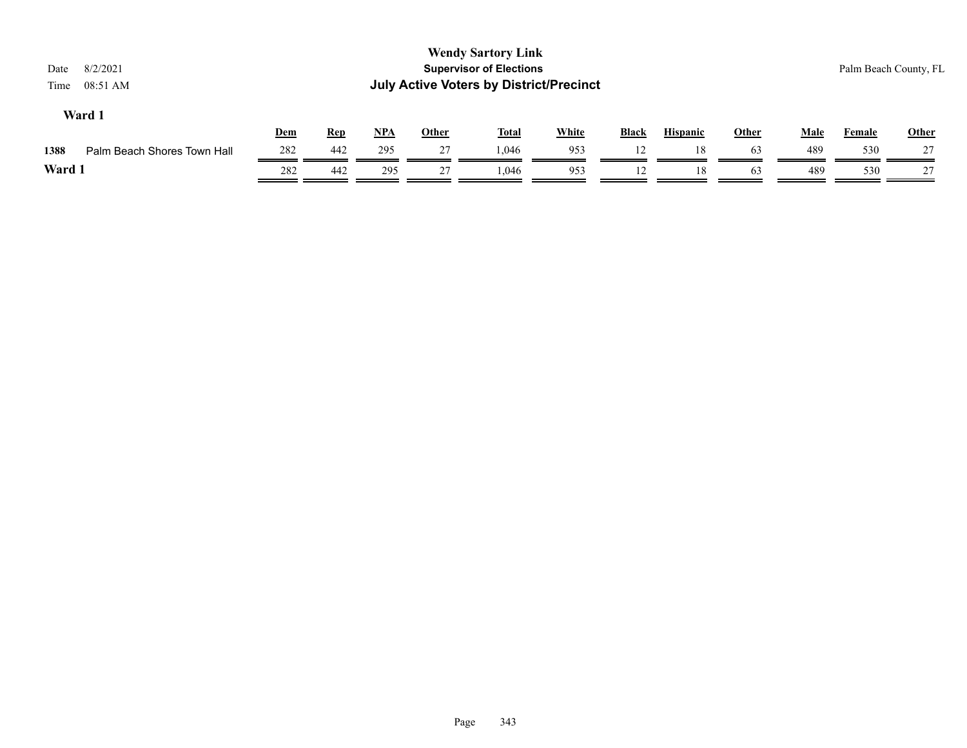| 8/2/2021<br>Date<br>08:51 AM<br>Time |     |            |       |              | <b>Wendy Sartory Link</b><br><b>Supervisor of Elections</b><br><b>July Active Voters by District/Precinct</b> |              |              |                 |       |             | Palm Beach County, FL |       |
|--------------------------------------|-----|------------|-------|--------------|---------------------------------------------------------------------------------------------------------------|--------------|--------------|-----------------|-------|-------------|-----------------------|-------|
| Ward 1                               | Dem | <b>Rep</b> | $NPA$ | <b>Other</b> | <b>Total</b>                                                                                                  | <b>White</b> | <b>Black</b> | <b>Hispanic</b> | Other | <b>Male</b> | <b>Female</b>         | Other |
| 1388<br>Palm Beach Shores Town Hall  | 282 | 442        | 295   | 27           | 1.046                                                                                                         | 953          | 12           | 18              | 63    | 489         | 530                   | 27    |
| Ward 1                               | 282 | 442        | 295   | 27           | 1.046                                                                                                         | 953          |              | 18              | 63    | 489         | 530                   | 27    |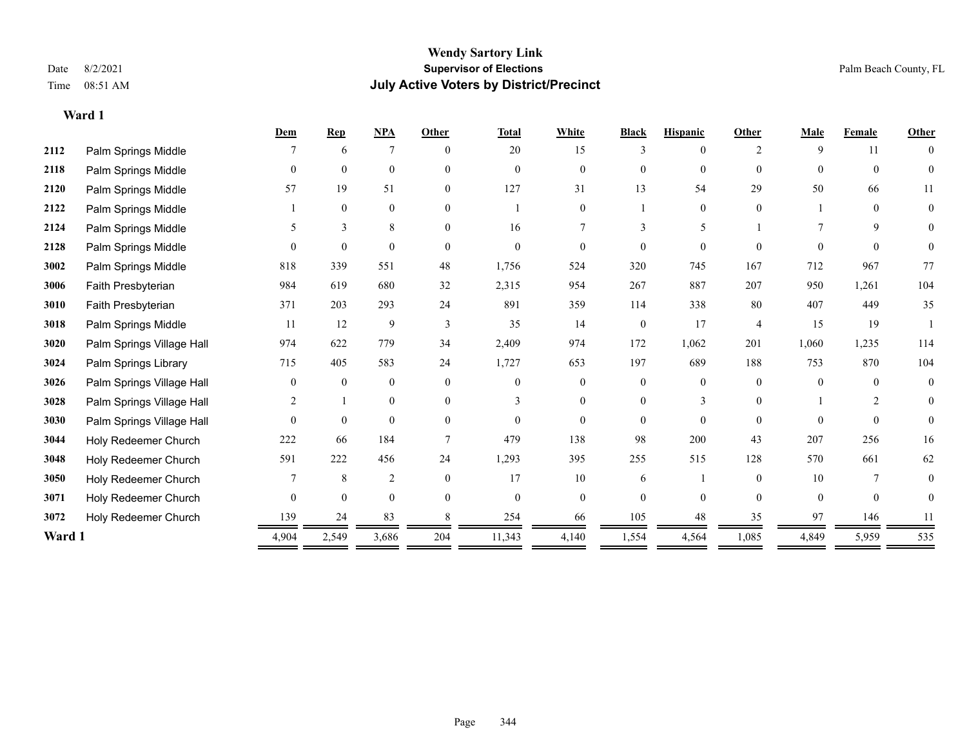**Ward 1**

#### **Wendy Sartory Link** Date 8/2/2021 **Supervisor of Elections** Palm Beach County, FL Time 08:51 AM **July Active Voters by District/Precinct**

|        |                           | Dem            | <b>Rep</b>     | <b>NPA</b>     | Other    | <b>Total</b>   | White          | <b>Black</b>   | <b>Hispanic</b> | Other              | Male           | Female   | <b>Other</b>   |
|--------|---------------------------|----------------|----------------|----------------|----------|----------------|----------------|----------------|-----------------|--------------------|----------------|----------|----------------|
| 2112   | Palm Springs Middle       |                | 6              | 7              | $\theta$ | 20             | 15             | 3              | 0               | $\mathfrak{D}_{1}$ | 9              | 11       | $\theta$       |
| 2118   | Palm Springs Middle       | $\theta$       | $\mathbf{0}$   | $\mathbf{0}$   | $\theta$ | $\Omega$       | $\Omega$       | $\overline{0}$ | $\overline{0}$  | $\theta$           | $\theta$       | $\theta$ | $\Omega$       |
| 2120   | Palm Springs Middle       | 57             | 19             | 51             | $\theta$ | 127            | 31             | 13             | 54              | 29                 | 50             | 66       | 11             |
| 2122   | Palm Springs Middle       |                | $\mathbf{0}$   | $\mathbf{0}$   | $\Omega$ |                | $\overline{0}$ |                | $\overline{0}$  | $\theta$           |                | $\theta$ | $\mathbf{0}$   |
| 2124   | Palm Springs Middle       | 5              | 3              | 8              | $\theta$ | 16             | 7              | 3              | 5               |                    |                | 9        | 0              |
| 2128   | Palm Springs Middle       | $\Omega$       | $\theta$       | $\theta$       | $\Omega$ | $\Omega$       | 0              | 0              | $\Omega$        | $\Omega$           | $\Omega$       | $\Omega$ | $\overline{0}$ |
| 3002   | Palm Springs Middle       | 818            | 339            | 551            | 48       | 1,756          | 524            | 320            | 745             | 167                | 712            | 967      | 77             |
| 3006   | Faith Presbyterian        | 984            | 619            | 680            | 32       | 2,315          | 954            | 267            | 887             | 207                | 950            | 1,261    | 104            |
| 3010   | Faith Presbyterian        | 371            | 203            | 293            | 24       | 891            | 359            | 114            | 338             | 80                 | 407            | 449      | 35             |
| 3018   | Palm Springs Middle       | 11             | 12             | 9              | 3        | 35             | 14             | $\overline{0}$ | 17              | $\overline{4}$     | 15             | 19       |                |
| 3020   | Palm Springs Village Hall | 974            | 622            | 779            | 34       | 2,409          | 974            | 172            | 1,062           | 201                | 1,060          | 1,235    | 114            |
| 3024   | Palm Springs Library      | 715            | 405            | 583            | 24       | 1,727          | 653            | 197            | 689             | 188                | 753            | 870      | 104            |
| 3026   | Palm Springs Village Hall | $\Omega$       | $\mathbf{0}$   | $\mathbf{0}$   | $\Omega$ | $\Omega$       | $\theta$       | 0              | $\theta$        | $\Omega$           | $\Omega$       | $\Omega$ | $\mathbf{0}$   |
| 3028   | Palm Springs Village Hall |                |                | $\mathbf{0}$   | $\theta$ | 3              | $\overline{0}$ | 0              | 3               | $\Omega$           |                | 2        | $\overline{0}$ |
| 3030   | Palm Springs Village Hall | $\theta$       | $\overline{0}$ | $\mathbf{0}$   | $\theta$ | $\theta$       | $\overline{0}$ | 0              | $\overline{0}$  | $\Omega$           | $\theta$       | $\theta$ | $\overline{0}$ |
| 3044   | Holy Redeemer Church      | 222            | 66             | 184            |          | 479            | 138            | 98             | 200             | 43                 | 207            | 256      | 16             |
| 3048   | Holy Redeemer Church      | 591            | 222            | 456            | 24       | 1,293          | 395            | 255            | 515             | 128                | 570            | 661      | 62             |
| 3050   | Holy Redeemer Church      |                | 8              | $\overline{2}$ | $\theta$ | 17             | 10             | 6              |                 | $\Omega$           | 10             | 7        | $\Omega$       |
| 3071   | Holy Redeemer Church      | $\overline{0}$ | $\mathbf{0}$   | $\mathbf{0}$   | $\Omega$ | $\overline{0}$ | $\overline{0}$ | 0              | $\overline{0}$  | $\theta$           | $\overline{0}$ | $\theta$ | $\overline{0}$ |
| 3072   | Holy Redeemer Church      | 139            | 24             | 83             |          | 254            | 66             | 105            | 48              | 35                 | 97             | 146      | 11             |
| Ward 1 |                           | 4,904          | 2,549          | 3,686          | 204      | 11,343         | 4,140          | 1,554          | 4,564           | 1,085              | 4,849          | 5,959    | 535            |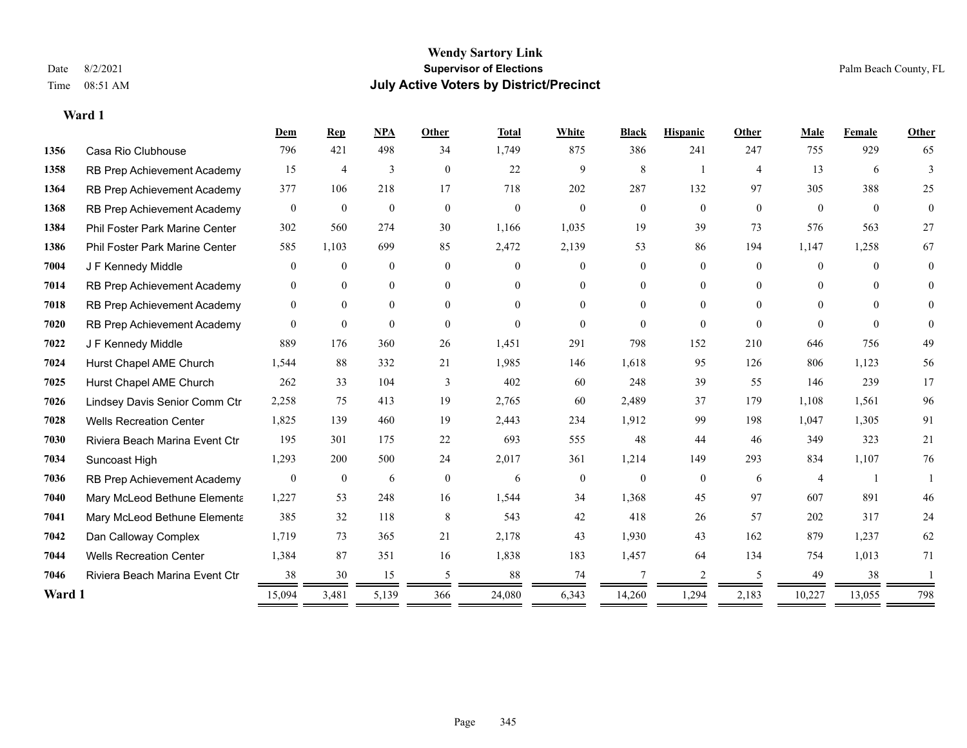|        |                                       | Dem            | $\mathbf{Rep}$   | <b>NPA</b>     | Other          | <b>Total</b> | <b>White</b> | <b>Black</b>   | <b>Hispanic</b> | Other          | Male           | Female         | Other    |
|--------|---------------------------------------|----------------|------------------|----------------|----------------|--------------|--------------|----------------|-----------------|----------------|----------------|----------------|----------|
| 1356   | Casa Rio Clubhouse                    | 796            | 421              | 498            | 34             | 1,749        | 875          | 386            | 241             | 247            | 755            | 929            | 65       |
| 1358   | RB Prep Achievement Academy           | 15             | 4                | 3              | $\overline{0}$ | 22           | 9            | 8              |                 | $\overline{4}$ | 13             | 6              | 3        |
| 1364   | RB Prep Achievement Academy           | 377            | 106              | 218            | 17             | 718          | 202          | 287            | 132             | 97             | 305            | 388            | 25       |
| 1368   | RB Prep Achievement Academy           | $\mathbf{0}$   | $\mathbf{0}$     | $\mathbf{0}$   | $\mathbf{0}$   | $\mathbf{0}$ | $\theta$     | $\overline{0}$ | $\overline{0}$  | $\mathbf{0}$   | $\theta$       | $\theta$       | $\theta$ |
| 1384   | <b>Phil Foster Park Marine Center</b> | 302            | 560              | 274            | 30             | 1,166        | 1,035        | 19             | 39              | 73             | 576            | 563            | 27       |
| 1386   | Phil Foster Park Marine Center        | 585            | 1.103            | 699            | 85             | 2,472        | 2,139        | 53             | 86              | 194            | 1,147          | 1,258          | 67       |
| 7004   | J F Kennedy Middle                    | $\overline{0}$ | $\mathbf{0}$     | $\overline{0}$ | $\theta$       | $\Omega$     | $\theta$     | 0              | $\theta$        | $\Omega$       | $\theta$       | $\Omega$       | $\Omega$ |
| 7014   | RB Prep Achievement Academy           | $\overline{0}$ | $\mathbf{0}$     | $\overline{0}$ | $\mathbf{0}$   | $\theta$     | $\mathbf{0}$ | $\theta$       | $\mathbf{0}$    | $\Omega$       | $\theta$       | $\Omega$       | $\theta$ |
| 7018   | RB Prep Achievement Academy           | $\overline{0}$ | $\mathbf{0}$     | $\overline{0}$ | $\theta$       | $\Omega$     | $\Omega$     | 0              | $\theta$        | $\Omega$       | $\theta$       | $\Omega$       | $\Omega$ |
| 7020   | RB Prep Achievement Academy           | $\overline{0}$ | $\mathbf{0}$     | $\overline{0}$ | $\theta$       | $\mathbf{0}$ | $\theta$     | $\Omega$       | $\theta$        | $\theta$       | $\Omega$       | $\theta$       | $\theta$ |
| 7022   | J F Kennedy Middle                    | 889            | 176              | 360            | 26             | 1,451        | 291          | 798            | 152             | 210            | 646            | 756            | 49       |
| 7024   | Hurst Chapel AME Church               | 1,544          | 88               | 332            | 21             | 1,985        | 146          | 1,618          | 95              | 126            | 806            | 1,123          | 56       |
| 7025   | Hurst Chapel AME Church               | 262            | 33               | 104            | $\overline{3}$ | 402          | 60           | 248            | 39              | 55             | 146            | 239            | 17       |
| 7026   | Lindsey Davis Senior Comm Ctr         | 2,258          | 75               | 413            | 19             | 2,765        | 60           | 2,489          | 37              | 179            | 1.108          | 1,561          | 96       |
| 7028   | <b>Wells Recreation Center</b>        | 1,825          | 139              | 460            | 19             | 2,443        | 234          | 1,912          | 99              | 198            | 1,047          | 1,305          | 91       |
| 7030   | Riviera Beach Marina Event Ctr        | 195            | 301              | 175            | 22             | 693          | 555          | 48             | 44              | 46             | 349            | 323            | 21       |
| 7034   | Suncoast High                         | 1,293          | 200              | 500            | 24             | 2,017        | 361          | 1,214          | 149             | 293            | 834            | 1,107          | 76       |
| 7036   | RB Prep Achievement Academy           | $\mathbf{0}$   | $\boldsymbol{0}$ | 6              | $\mathbf{0}$   | 6            | $\mathbf{0}$ | $\theta$       | $\mathbf{0}$    | 6              | $\overline{4}$ | $\overline{1}$ |          |
| 7040   | Mary McLeod Bethune Elementa          | 1,227          | 53               | 248            | 16             | 1,544        | 34           | 1,368          | 45              | 97             | 607            | 891            | 46       |
| 7041   | Mary McLeod Bethune Elementa          | 385            | 32               | 118            | 8              | 543          | 42           | 418            | 26              | 57             | 202            | 317            | 24       |
| 7042   | Dan Calloway Complex                  | 1,719          | 73               | 365            | 21             | 2,178        | 43           | 1,930          | 43              | 162            | 879            | 1,237          | 62       |
| 7044   | <b>Wells Recreation Center</b>        | 1,384          | 87               | 351            | 16             | 1,838        | 183          | 1,457          | 64              | 134            | 754            | 1,013          | 71       |
| 7046   | Riviera Beach Marina Event Ctr        | 38             | 30               | 15             | -5             | 88           | 74           |                | 2               | .5             | 49             | 38             |          |
| Ward 1 |                                       | 15,094         | 3,481            | 5,139          | 366            | 24,080       | 6,343        | 14,260         | 1,294           | 2,183          | 10,227         | 13,055         | 798      |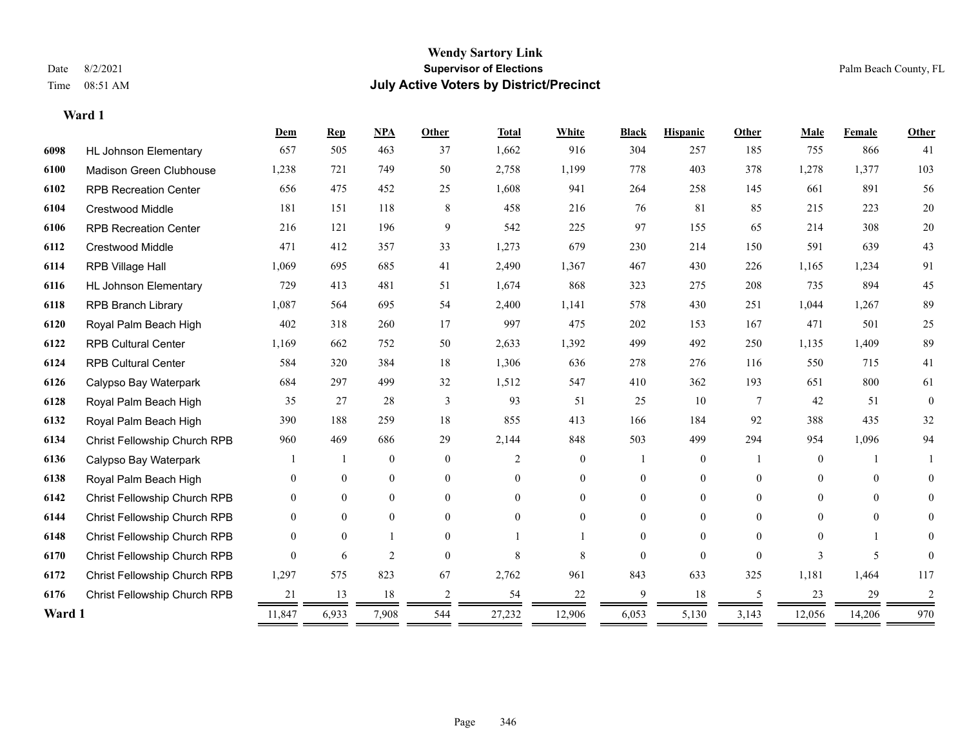**Ward 1**

#### **Wendy Sartory Link** Date 8/2/2021 **Supervisor of Elections** Palm Beach County, FL Time 08:51 AM **July Active Voters by District/Precinct**

# **Dem Rep NPA Other Total White Black Hispanic Other Male Female Other** HL Johnson Elementary 657 505 463 37 1,662 916 304 257 185 755 866 41 Madison Green Clubhouse 1,238 721 749 50 2,758 1,199 778 403 378 1,278 1,377 103 RPB Recreation Center 656 475 452 25 1,608 941 264 258 145 661 891 56 Crestwood Middle 181 151 118 8 458 216 76 81 85 215 223 20 RPB Recreation Center 216 121 196 9 542 225 97 155 65 214 308 20 Crestwood Middle 471 412 357 33 1,273 679 230 214 150 591 639 43 RPB Village Hall 1,069 695 685 41 2,490 1,367 467 430 226 1,165 1,234 91 HL Johnson Elementary 729 413 481 51 1,674 868 323 275 208 735 894 45 RPB Branch Library 1,087 564 695 54 2,400 1,141 578 430 251 1,044 1,267 89 Royal Palm Beach High 402 318 260 17 997 475 202 153 167 471 501 25 RPB Cultural Center 1,169 662 752 50 2,633 1,392 499 492 250 1,135 1,409 89 RPB Cultural Center 584 320 384 18 1,306 636 278 276 116 550 715 41 Calypso Bay Waterpark 684 297 499 32 1,512 547 410 362 193 651 800 61 Royal Palm Beach High 35 27 28 3 93 51 25 10 7 42 51 0 Royal Palm Beach High 390 188 259 18 855 413 166 184 92 388 435 32 Christ Fellowship Church RPB 960 469 686 29 2,144 848 503 499 294 954 1,096 94 Calypso Bay Waterpark 1 1 0 0 2 0 1 0 1 0 1 1 Royal Palm Beach High 0 0 0 0 0 0 0 0 0 0 0 0 Christ Fellowship Church RPB 0 0 0 0 0 0 0 0 0 0 0 0 Christ Fellowship Church RPB 0 0 0 0 0 0 0 0 0 0 0 0 Christ Fellowship Church RPB 0 0 1 0 1 1 0 0 0 0 1 0 Christ Fellowship Church RPB 0 6 2 0 8 8 0 0 0 3 5 0 Christ Fellowship Church RPB 1,297 575 823 67 2,762 961 843 633 325 1,181 1,464 117 Christ Fellowship Church RPB 21 13 18 2 54 22 9 18 5 23 29 2 **Ward 1** 11,847 6,933 7,908 544 27,232 12,906 6,053 5,130 3,143 12,056 14,206 970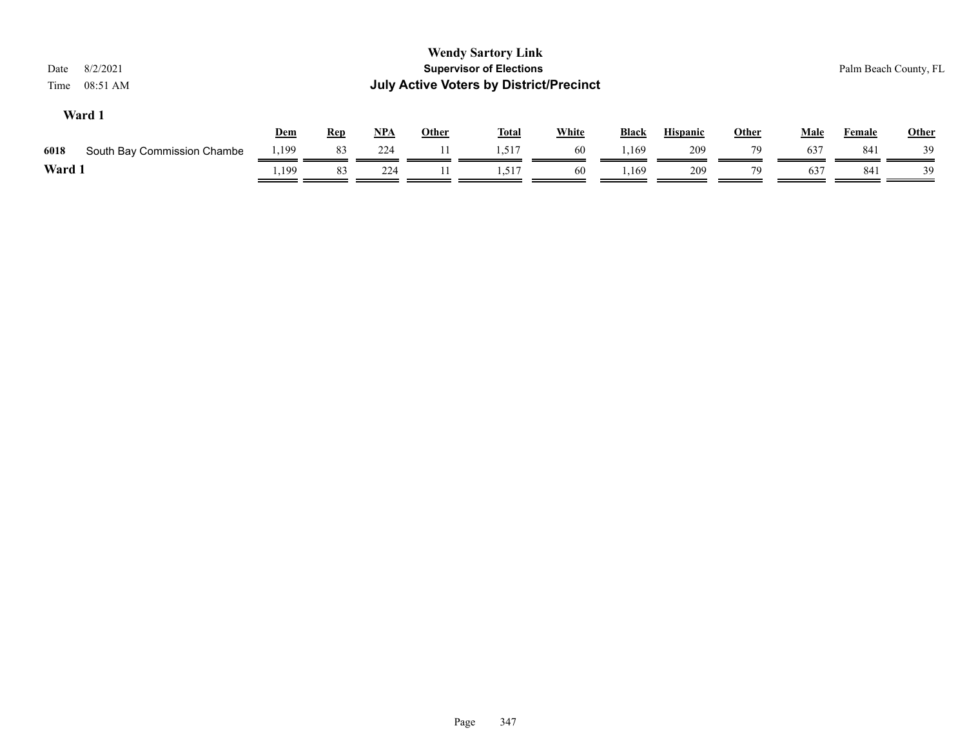| 8/2/2021<br>Date<br>08:51 AM<br>Time |       |            |       |              | <b>Wendy Sartory Link</b><br><b>Supervisor of Elections</b><br><b>July Active Voters by District/Precinct</b> |              |              |                 |              |             |        | Palm Beach County, FL |
|--------------------------------------|-------|------------|-------|--------------|---------------------------------------------------------------------------------------------------------------|--------------|--------------|-----------------|--------------|-------------|--------|-----------------------|
| Ward 1                               | Dem   | <b>Rep</b> | $NPA$ | <b>Other</b> | <b>Total</b>                                                                                                  | <b>White</b> | <b>Black</b> | <b>Hispanic</b> | <b>Other</b> | <b>Male</b> | Female | <b>Other</b>          |
| 6018<br>South Bay Commission Chambe  | 1,199 | 83         | 224   | 11           | 1.517                                                                                                         | -60          | 1,169        | 209             | 79           | 637         | 841    | 39                    |
| Ward 1                               | .,199 | 83         | 224   | 11           | 1,517                                                                                                         | 60           | . 169.،      | 209             | 79           | 637         | 841    | 39                    |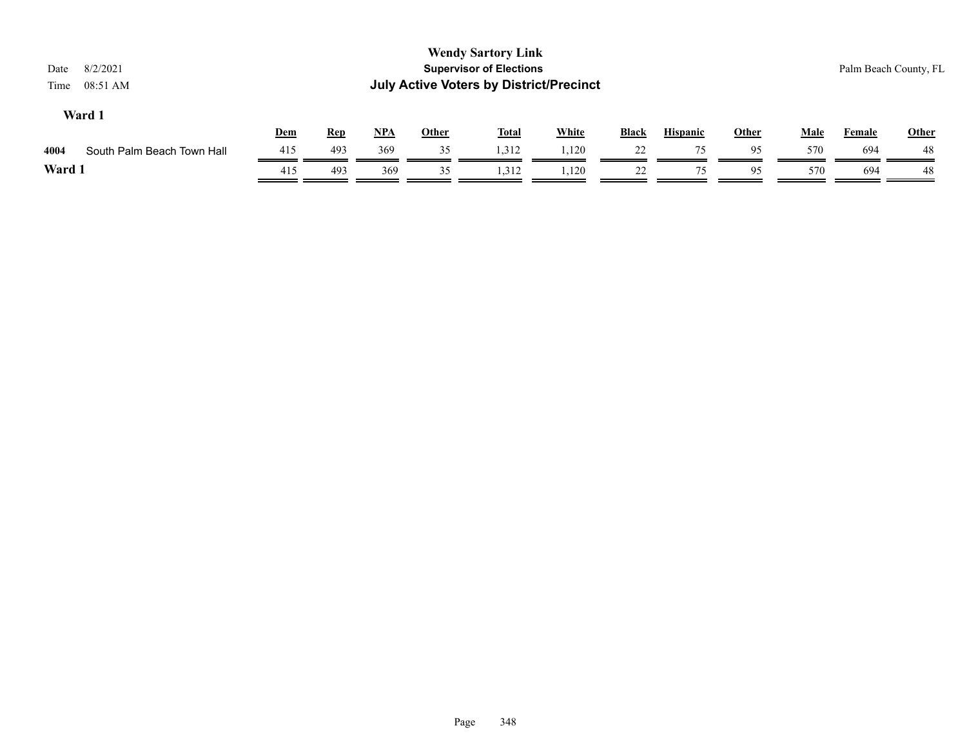| 8/2/2021<br>Date<br>Time<br>08:51 AM |     |            |            |              | <b>Wendy Sartory Link</b><br><b>Supervisor of Elections</b><br><b>July Active Voters by District/Precinct</b> |              |              |                 |              |             |               | Palm Beach County, FL |
|--------------------------------------|-----|------------|------------|--------------|---------------------------------------------------------------------------------------------------------------|--------------|--------------|-----------------|--------------|-------------|---------------|-----------------------|
| Ward 1                               | Dem | <u>Rep</u> | <u>NPA</u> | <b>Other</b> | <b>Total</b>                                                                                                  | <b>White</b> | <b>Black</b> | <b>Hispanic</b> | <b>Other</b> | <b>Male</b> | <b>Female</b> | <b>Other</b>          |
| 4004<br>South Palm Beach Town Hall   | 415 | 493        | 369        | 35           | 1,312                                                                                                         | 1,120        | 22           | 75              | 95           | 570         | 694           | 48                    |
| Ward 1                               | 415 | 493        | 369        | 35           | 1.312                                                                                                         | 1,120        | 22           | 75              | 95           | 570         | 694           | 48                    |
|                                      |     |            |            |              |                                                                                                               |              |              |                 |              |             |               |                       |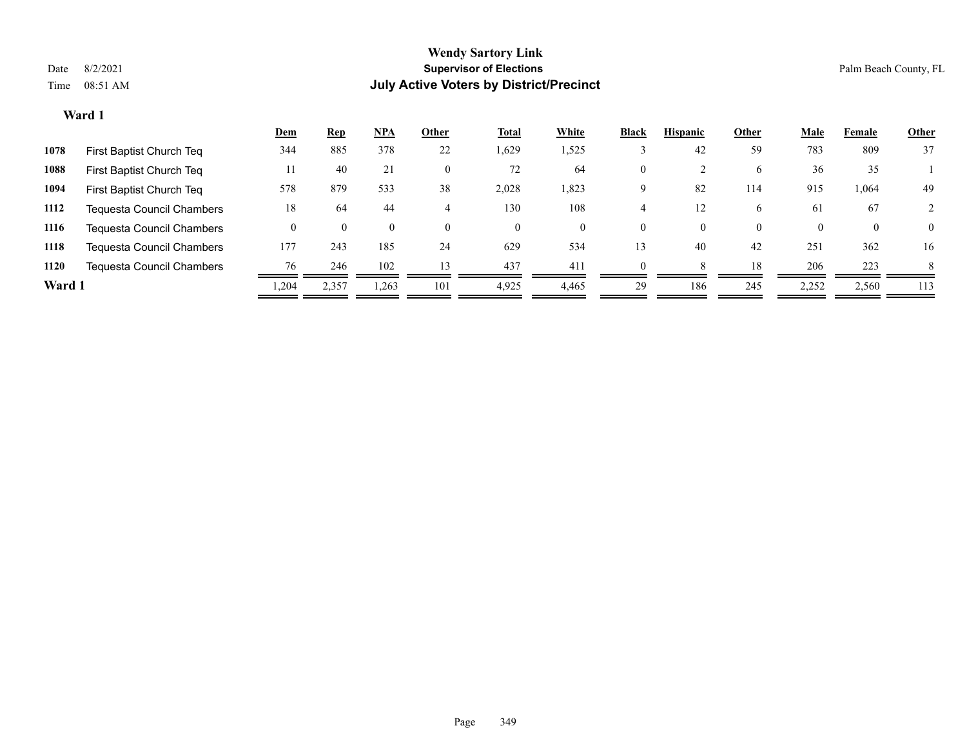| <b>Other</b> | Female       | <b>Male</b> | Other    | <b>Hispanic</b> | <b>Black</b> | White | <b>Total</b> | Other    | <u>NPA</u> | <b>Rep</b> | <u>Dem</u> |                                          |
|--------------|--------------|-------------|----------|-----------------|--------------|-------|--------------|----------|------------|------------|------------|------------------------------------------|
| 37           | 809          | 783         | 59       | 42              |              | 1,525 | 1,629        | 22       | 378        | 885        | 344        | 1078<br>First Baptist Church Teq         |
|              | 35           | 36          | 6        |                 | $\mathbf{0}$ | 64    | 72           | 0        | 21         | 40         | 11         | 1088<br>First Baptist Church Teq         |
| 49           | 1,064        | 915         | 114      | 82              | 9            | 1,823 | 2,028        | 38       | 533        | 879        | 578        | 1094<br>First Baptist Church Teq         |
|              | 67           | 61          | 6.       | 12              |              | 108   | 130          | 4        | 44         | 64         | 18         | 1112<br><b>Tequesta Council Chambers</b> |
| $\theta$     | $\mathbf{0}$ |             | $\Omega$ | $\theta$        | $\theta$     | 0     | $\theta$     | $\Omega$ | $\theta$   |            |            | 1116<br><b>Tequesta Council Chambers</b> |
| 16           | 362          | 251         | 42       | 40              | 13           | 534   | 629          | 24       | 185        | 243        | 177        | 1118<br><b>Tequesta Council Chambers</b> |
| 8            | 223          | 206         | 18       |                 | $\Omega$     | 411   | 437          | 13       | 102        | 246        | 76         | 1120<br><b>Tequesta Council Chambers</b> |
| 113          | 2,560        | 2,252       | 245      | 186             | 29           | 4,465 | 4,925        | 101      | 1,263      | 2,357      | ,204       | Ward 1                                   |
|              |              |             |          |                 |              |       |              |          |            |            |            |                                          |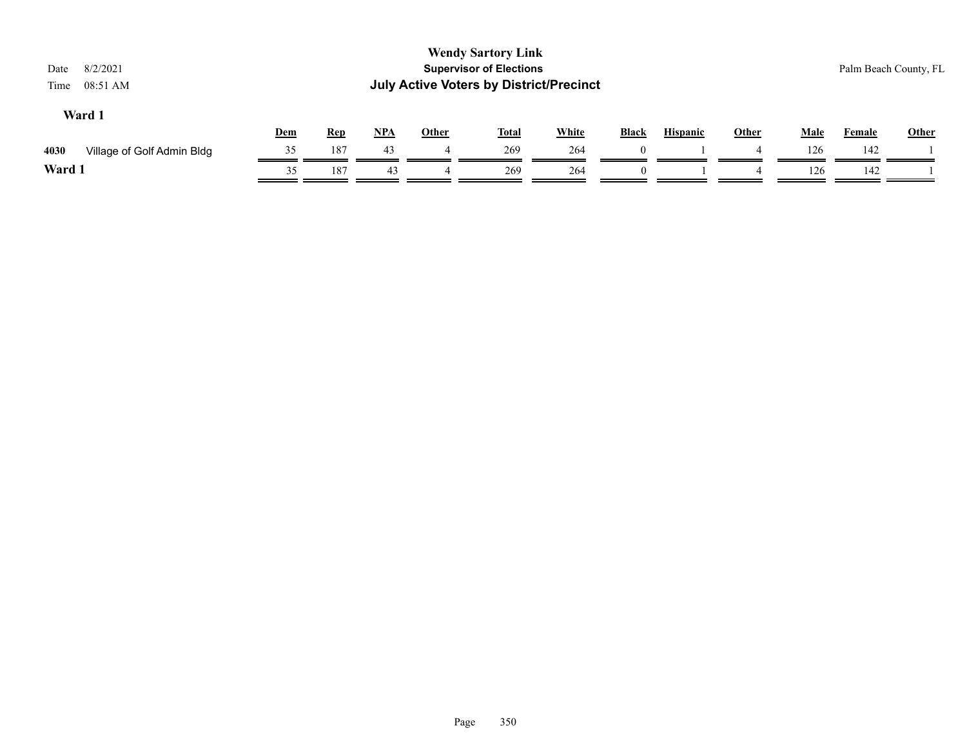|    |     |            |            |              |              |                                                                             |                                                |   |              |             | Palm Beach County, FL |
|----|-----|------------|------------|--------------|--------------|-----------------------------------------------------------------------------|------------------------------------------------|---|--------------|-------------|-----------------------|
|    |     |            |            |              |              | <b>Black</b>                                                                | <b>Hispanic</b>                                |   |              |             | <b>Other</b>          |
| 35 | 187 | 43         |            | 269          | 264          | $\theta$                                                                    |                                                | 4 | 126          | 142         |                       |
| 35 | 187 | 43         |            | 269          | 264          | $\Omega$                                                                    |                                                |   | 126          | 142         |                       |
|    | Dem | <u>Rep</u> | <u>NPA</u> | <b>Other</b> | <u>Total</u> | <b>Wendy Sartory Link</b><br><b>Supervisor of Elections</b><br><b>White</b> | <b>July Active Voters by District/Precinct</b> |   | <b>Other</b> | <b>Male</b> | <b>Female</b>         |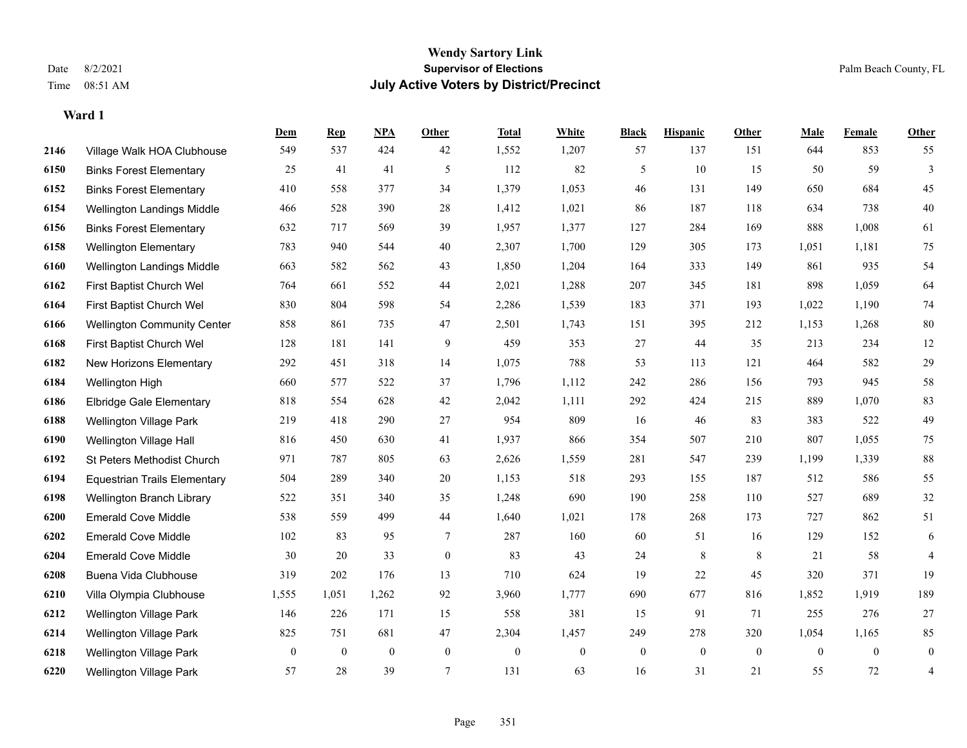|      |                                     | Dem          | <b>Rep</b>       | NPA              | <b>Other</b>   | <b>Total</b> | <b>White</b> | <b>Black</b> | <b>Hispanic</b> | Other           | <b>Male</b>    | <b>Female</b>  | <b>Other</b>   |
|------|-------------------------------------|--------------|------------------|------------------|----------------|--------------|--------------|--------------|-----------------|-----------------|----------------|----------------|----------------|
| 2146 | Village Walk HOA Clubhouse          | 549          | 537              | 424              | 42             | 1,552        | 1,207        | 57           | 137             | 151             | 644            | 853            | 55             |
| 6150 | <b>Binks Forest Elementary</b>      | 25           | 41               | 41               | 5              | 112          | 82           | 5            | 10              | 15              | 50             | 59             | $\mathbf{3}$   |
| 6152 | <b>Binks Forest Elementary</b>      | 410          | 558              | 377              | 34             | 1,379        | 1,053        | 46           | 131             | 149             | 650            | 684            | 45             |
| 6154 | Wellington Landings Middle          | 466          | 528              | 390              | 28             | 1,412        | 1,021        | 86           | 187             | 118             | 634            | 738            | $40\,$         |
| 6156 | <b>Binks Forest Elementary</b>      | 632          | 717              | 569              | 39             | 1,957        | 1,377        | 127          | 284             | 169             | 888            | 1.008          | 61             |
| 6158 | <b>Wellington Elementary</b>        | 783          | 940              | 544              | 40             | 2,307        | 1,700        | 129          | 305             | 173             | 1,051          | 1,181          | 75             |
| 6160 | Wellington Landings Middle          | 663          | 582              | 562              | 43             | 1,850        | 1,204        | 164          | 333             | 149             | 861            | 935            | 54             |
| 6162 | First Baptist Church Wel            | 764          | 661              | 552              | 44             | 2,021        | 1,288        | 207          | 345             | 181             | 898            | 1,059          | 64             |
| 6164 | First Baptist Church Wel            | 830          | 804              | 598              | 54             | 2,286        | 1,539        | 183          | 371             | 193             | 1,022          | 1,190          | $74\,$         |
| 6166 | <b>Wellington Community Center</b>  | 858          | 861              | 735              | 47             | 2,501        | 1,743        | 151          | 395             | 212             | 1,153          | 1,268          | $80\,$         |
| 6168 | First Baptist Church Wel            | 128          | 181              | 141              | 9              | 459          | 353          | 27           | 44              | 35              | 213            | 234            | 12             |
| 6182 | New Horizons Elementary             | 292          | 451              | 318              | 14             | 1,075        | 788          | 53           | 113             | 121             | 464            | 582            | 29             |
| 6184 | Wellington High                     | 660          | 577              | 522              | 37             | 1,796        | 1,112        | 242          | 286             | 156             | 793            | 945            | $58\,$         |
| 6186 | Elbridge Gale Elementary            | 818          | 554              | 628              | 42             | 2,042        | 1,111        | 292          | 424             | 215             | 889            | 1,070          | 83             |
| 6188 | Wellington Village Park             | 219          | 418              | 290              | 27             | 954          | 809          | 16           | 46              | 83              | 383            | 522            | 49             |
| 6190 | Wellington Village Hall             | 816          | 450              | 630              | 41             | 1,937        | 866          | 354          | 507             | 210             | 807            | 1,055          | 75             |
| 6192 | St Peters Methodist Church          | 971          | 787              | 805              | 63             | 2,626        | 1,559        | 281          | 547             | 239             | 1,199          | 1,339          | $88\,$         |
| 6194 | <b>Equestrian Trails Elementary</b> | 504          | 289              | 340              | 20             | 1,153        | 518          | 293          | 155             | 187             | 512            | 586            | 55             |
| 6198 | Wellington Branch Library           | 522          | 351              | 340              | 35             | 1,248        | 690          | 190          | 258             | 110             | 527            | 689            | $32\,$         |
| 6200 | <b>Emerald Cove Middle</b>          | 538          | 559              | 499              | 44             | 1,640        | 1,021        | 178          | 268             | 173             | 727            | 862            | 51             |
| 6202 | <b>Emerald Cove Middle</b>          | 102          | 83               | 95               | 7              | 287          | 160          | 60           | 51              | 16              | 129            | 152            | 6              |
| 6204 | <b>Emerald Cove Middle</b>          | 30           | 20               | 33               | $\mathbf{0}$   | 83           | 43           | 24           | 8               | $8\phantom{.0}$ | 21             | 58             | $\overline{4}$ |
| 6208 | Buena Vida Clubhouse                | 319          | 202              | 176              | 13             | 710          | 624          | 19           | 22              | 45              | 320            | 371            | 19             |
| 6210 | Villa Olympia Clubhouse             | 1,555        | 1,051            | 1,262            | 92             | 3,960        | 1,777        | 690          | 677             | 816             | 1,852          | 1,919          | 189            |
| 6212 | <b>Wellington Village Park</b>      | 146          | 226              | 171              | 15             | 558          | 381          | 15           | 91              | 71              | 255            | 276            | 27             |
| 6214 | Wellington Village Park             | 825          | 751              | 681              | 47             | 2,304        | 1,457        | 249          | 278             | 320             | 1,054          | 1,165          | 85             |
| 6218 | <b>Wellington Village Park</b>      | $\mathbf{0}$ | $\boldsymbol{0}$ | $\boldsymbol{0}$ | $\mathbf{0}$   | $\mathbf{0}$ | $\mathbf{0}$ | $\mathbf{0}$ | $\mathbf{0}$    | $\mathbf{0}$    | $\overline{0}$ | $\overline{0}$ | $\mathbf{0}$   |
| 6220 | <b>Wellington Village Park</b>      | 57           | 28               | 39               | $\overline{7}$ | 131          | 63           | 16           | 31              | 21              | 55             | 72             | 4              |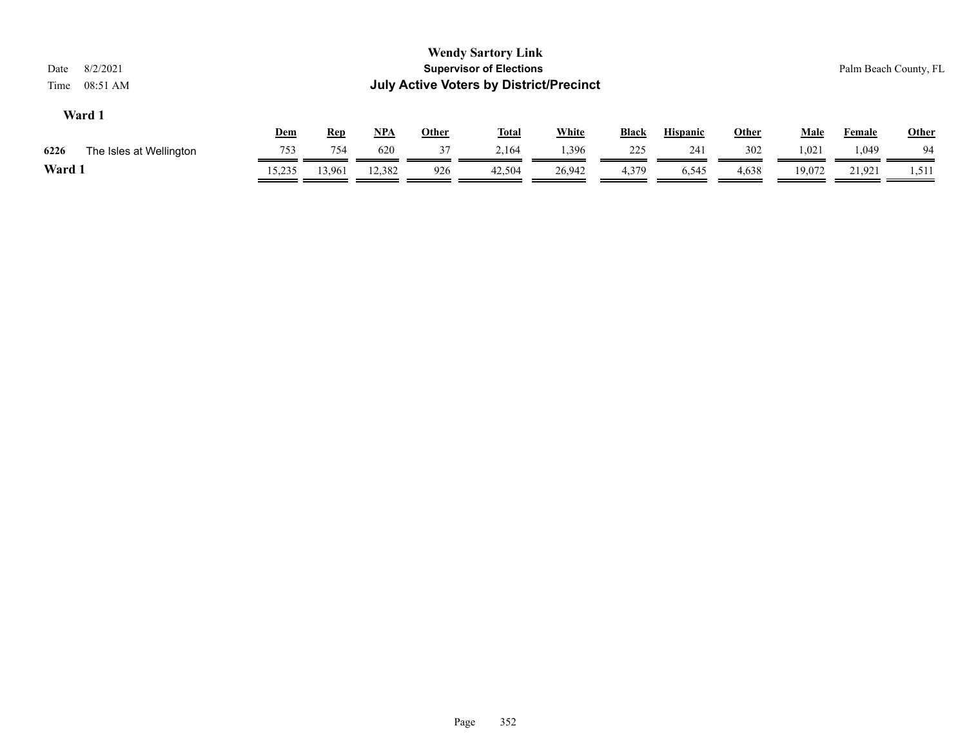| 8/2/2021<br>Date<br>08:51 AM<br>Time |            |            |            |              | <b>Wendy Sartory Link</b><br><b>Supervisor of Elections</b><br><b>July Active Voters by District/Precinct</b> |        |              |                 |              |             |               | Palm Beach County, FL |
|--------------------------------------|------------|------------|------------|--------------|---------------------------------------------------------------------------------------------------------------|--------|--------------|-----------------|--------------|-------------|---------------|-----------------------|
| Ward 1                               |            |            |            |              |                                                                                                               |        |              |                 |              |             |               |                       |
|                                      | <u>Dem</u> | <u>Rep</u> | <u>NPA</u> | <b>Other</b> | <u>Total</u>                                                                                                  | White  | <b>Black</b> | <b>Hispanic</b> | <u>Other</u> | <u>Male</u> | <u>Female</u> | <b>Other</b>          |
| 6226<br>The Isles at Wellington      | 753        | 754        | 620        | 37           | 2.164                                                                                                         | 1,396  | 225          | 241             | 302          | 1,021       | 1,049         | 94                    |
| Ward 1                               | 15,235     | 13,961     | 12.382     | 926          | 42,504                                                                                                        | 26,942 | 4,379        | 6,545           | 4,638        | 19.072      | 21,921        | 1,511                 |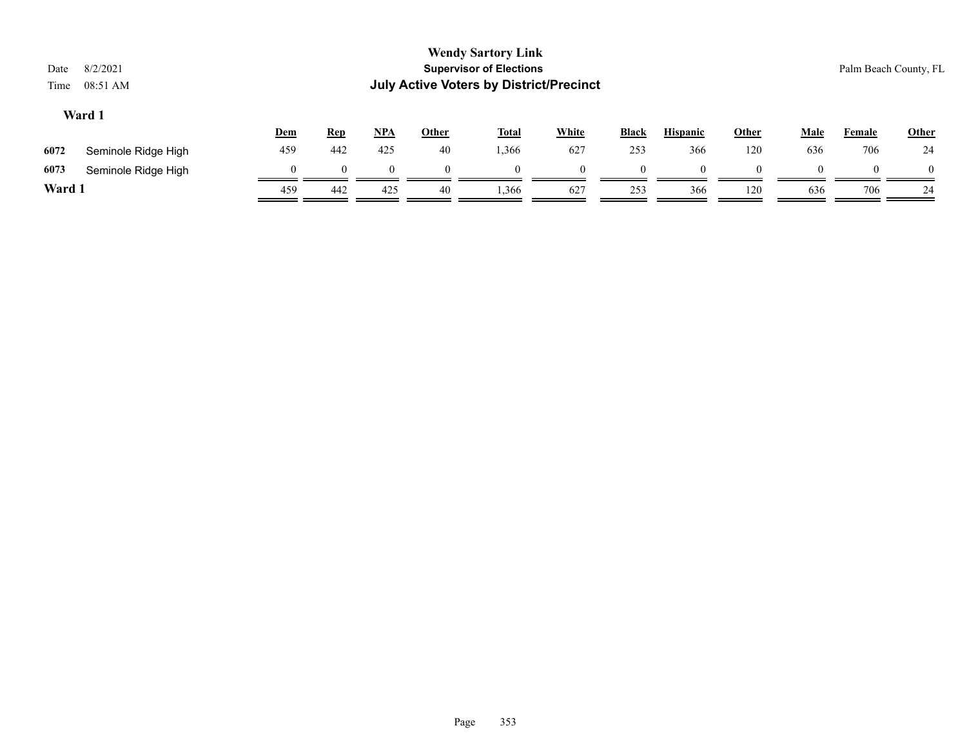| Date<br>Time | 8/2/2021<br>08:51 AM |          |            |            |          | <b>Wendy Sartory Link</b><br><b>Supervisor of Elections</b><br><b>July Active Voters by District/Precinct</b> |              |              |                 |              |             | Palm Beach County, FL |              |
|--------------|----------------------|----------|------------|------------|----------|---------------------------------------------------------------------------------------------------------------|--------------|--------------|-----------------|--------------|-------------|-----------------------|--------------|
|              | Ward 1               | Dem      | <b>Rep</b> | <u>NPA</u> | Other    | <u>Total</u>                                                                                                  | <b>White</b> | <b>Black</b> | <b>Hispanic</b> | <b>Other</b> | <b>Male</b> | Female                | <b>Other</b> |
| 6072         | Seminole Ridge High  | 459      | 442        | 425        | 40       | 1,366                                                                                                         | 627          | 253          | 366             | 120          | 636         | 706                   | 24           |
| 6073         | Seminole Ridge High  | $\theta$ | $\Omega$   | $\Omega$   | $\Omega$ | $\Omega$                                                                                                      | $\theta$     | $\Omega$     | $\theta$        |              | $\Omega$    |                       | $\Omega$     |
| Ward 1       |                      | 459      | 442        | 425        | 40       | 1,366                                                                                                         | 627          | 253          | 366             | 120          | 636         | 706                   | 24           |
|              |                      |          |            |            |          |                                                                                                               |              |              |                 |              |             |                       |              |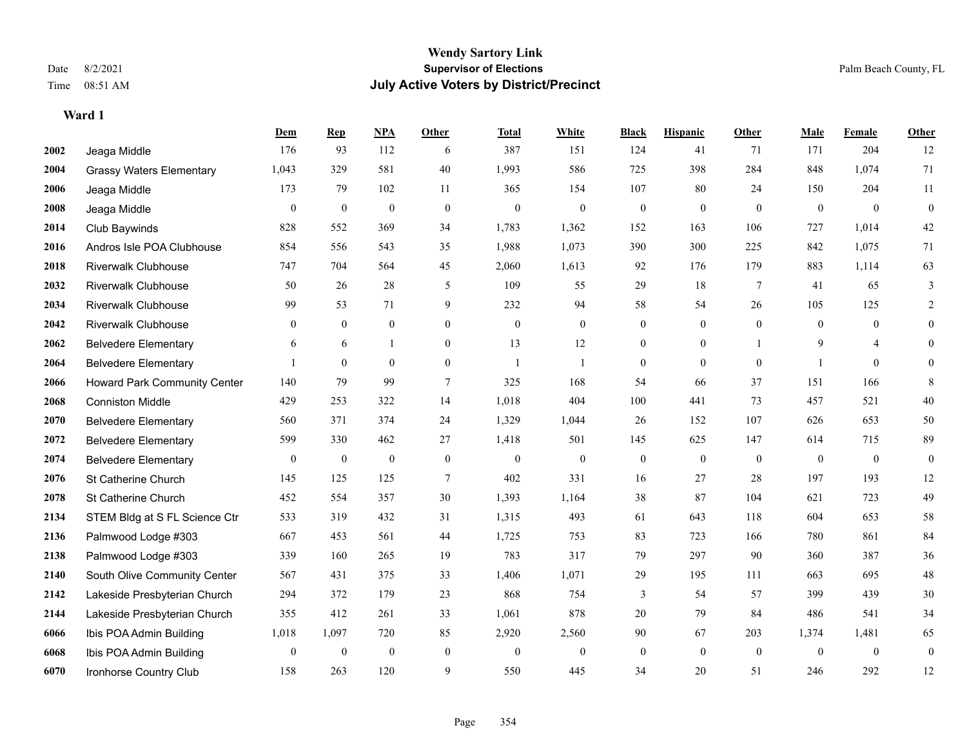|      |                                     | Dem              | <b>Rep</b>   | NPA              | <b>Other</b>   | <b>Total</b>     | <b>White</b>   | <b>Black</b>     | <b>Hispanic</b> | Other        | <b>Male</b>    | <b>Female</b>  | <b>Other</b>     |
|------|-------------------------------------|------------------|--------------|------------------|----------------|------------------|----------------|------------------|-----------------|--------------|----------------|----------------|------------------|
| 2002 | Jeaga Middle                        | 176              | 93           | 112              | 6              | 387              | 151            | 124              | 41              | 71           | 171            | 204            | 12               |
| 2004 | <b>Grassy Waters Elementary</b>     | 1,043            | 329          | 581              | 40             | 1,993            | 586            | 725              | 398             | 284          | 848            | 1,074          | 71               |
| 2006 | Jeaga Middle                        | 173              | 79           | 102              | 11             | 365              | 154            | 107              | 80              | 24           | 150            | 204            | 11               |
| 2008 | Jeaga Middle                        | $\boldsymbol{0}$ | $\bf{0}$     | $\boldsymbol{0}$ | $\mathbf{0}$   | $\boldsymbol{0}$ | $\mathbf{0}$   | $\boldsymbol{0}$ | $\mathbf{0}$    | $\mathbf{0}$ | $\overline{0}$ | $\mathbf{0}$   | $\overline{0}$   |
| 2014 | Club Baywinds                       | 828              | 552          | 369              | 34             | 1,783            | 1,362          | 152              | 163             | 106          | 727            | 1,014          | 42               |
| 2016 | Andros Isle POA Clubhouse           | 854              | 556          | 543              | 35             | 1,988            | 1,073          | 390              | 300             | 225          | 842            | 1,075          | 71               |
| 2018 | <b>Riverwalk Clubhouse</b>          | 747              | 704          | 564              | 45             | 2,060            | 1,613          | 92               | 176             | 179          | 883            | 1,114          | 63               |
| 2032 | <b>Riverwalk Clubhouse</b>          | 50               | 26           | 28               | 5              | 109              | 55             | 29               | 18              | 7            | 41             | 65             | 3                |
| 2034 | <b>Riverwalk Clubhouse</b>          | 99               | 53           | 71               | 9              | 232              | 94             | 58               | 54              | 26           | 105            | 125            | 2                |
| 2042 | <b>Riverwalk Clubhouse</b>          | $\mathbf{0}$     | $\mathbf{0}$ | $\mathbf{0}$     | $\overline{0}$ | $\mathbf{0}$     | $\overline{0}$ | $\mathbf{0}$     | $\overline{0}$  | $\theta$     | $\overline{0}$ | $\mathbf{0}$   | $\overline{0}$   |
| 2062 | <b>Belvedere Elementary</b>         | 6                | 6            | -1               | $\overline{0}$ | 13               | 12             | $\mathbf{0}$     | $\overline{0}$  | -1           | 9              | $\overline{4}$ | $\overline{0}$   |
| 2064 | <b>Belvedere Elementary</b>         |                  | $\mathbf{0}$ | $\theta$         | $\overline{0}$ | $\mathbf{1}$     | $\mathbf{1}$   | $\overline{0}$   | $\mathbf{0}$    | $\theta$     | $\overline{1}$ | $\theta$       | $\Omega$         |
| 2066 | <b>Howard Park Community Center</b> | 140              | 79           | 99               | $\tau$         | 325              | 168            | 54               | 66              | 37           | 151            | 166            | 8                |
| 2068 | <b>Conniston Middle</b>             | 429              | 253          | 322              | 14             | 1,018            | 404            | 100              | 441             | 73           | 457            | 521            | $40\,$           |
| 2070 | <b>Belvedere Elementary</b>         | 560              | 371          | 374              | 24             | 1,329            | 1,044          | 26               | 152             | 107          | 626            | 653            | 50               |
| 2072 | <b>Belvedere Elementary</b>         | 599              | 330          | 462              | 27             | 1,418            | 501            | 145              | 625             | 147          | 614            | 715            | 89               |
| 2074 | <b>Belvedere Elementary</b>         | $\overline{0}$   | $\mathbf{0}$ | $\mathbf{0}$     | $\mathbf{0}$   | $\theta$         | $\mathbf{0}$   | $\mathbf{0}$     | $\mathbf{0}$    | $\mathbf{0}$ | $\mathbf{0}$   | $\overline{0}$ | $\overline{0}$   |
| 2076 | St Catherine Church                 | 145              | 125          | 125              | 7              | 402              | 331            | 16               | 27              | 28           | 197            | 193            | 12               |
| 2078 | St Catherine Church                 | 452              | 554          | 357              | 30             | 1,393            | 1,164          | 38               | 87              | 104          | 621            | 723            | 49               |
| 2134 | STEM Bldg at S FL Science Ctr       | 533              | 319          | 432              | 31             | 1,315            | 493            | 61               | 643             | 118          | 604            | 653            | 58               |
| 2136 | Palmwood Lodge #303                 | 667              | 453          | 561              | 44             | 1,725            | 753            | 83               | 723             | 166          | 780            | 861            | 84               |
| 2138 | Palmwood Lodge #303                 | 339              | 160          | 265              | 19             | 783              | 317            | 79               | 297             | 90           | 360            | 387            | 36               |
| 2140 | South Olive Community Center        | 567              | 431          | 375              | 33             | 1,406            | 1,071          | 29               | 195             | 111          | 663            | 695            | $48\,$           |
| 2142 | Lakeside Presbyterian Church        | 294              | 372          | 179              | 23             | 868              | 754            | 3                | 54              | 57           | 399            | 439            | 30               |
| 2144 | Lakeside Presbyterian Church        | 355              | 412          | 261              | 33             | 1,061            | 878            | $20\,$           | 79              | 84           | 486            | 541            | 34               |
| 6066 | Ibis POA Admin Building             | 1,018            | 1,097        | 720              | 85             | 2,920            | 2,560          | 90               | 67              | 203          | 1,374          | 1,481          | 65               |
| 6068 | Ibis POA Admin Building             | $\mathbf{0}$     | $\bf{0}$     | $\mathbf{0}$     | $\mathbf{0}$   | $\mathbf{0}$     | $\overline{0}$ | $\boldsymbol{0}$ | $\mathbf{0}$    | $\mathbf{0}$ | $\theta$       | $\overline{0}$ | $\boldsymbol{0}$ |
| 6070 | Ironhorse Country Club              | 158              | 263          | 120              | 9              | 550              | 445            | 34               | 20              | 51           | 246            | 292            | $12\,$           |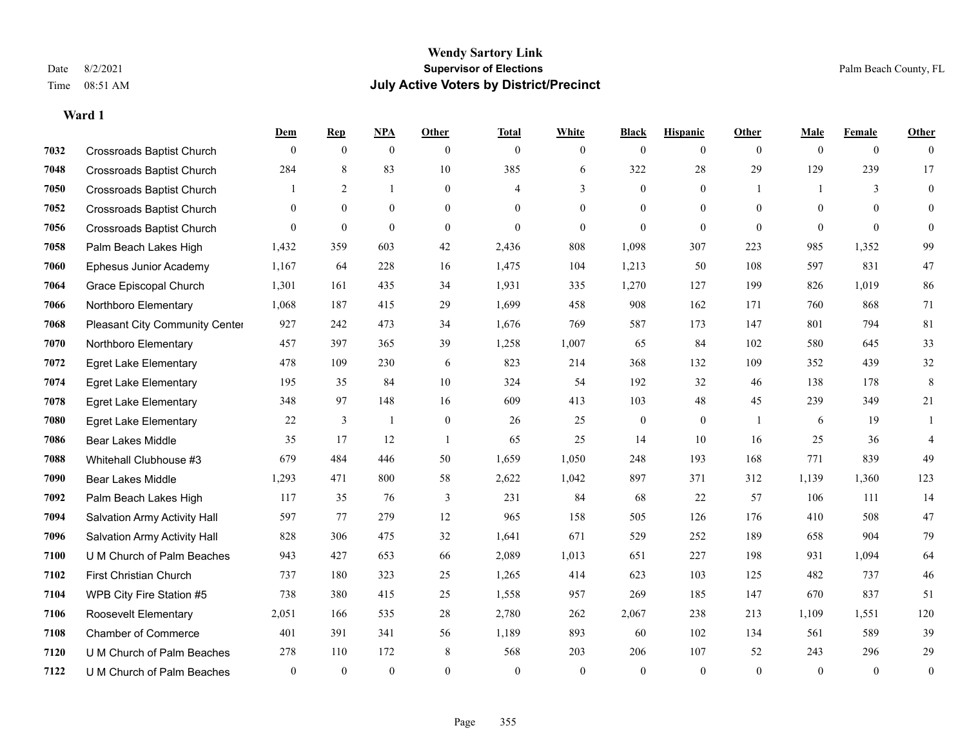|      |                                  | Dem            | <b>Rep</b>   | NPA          | <b>Other</b>   | <b>Total</b> | <b>White</b>   | <b>Black</b>   | <b>Hispanic</b> | <b>Other</b> | <b>Male</b>  | <b>Female</b>  | <b>Other</b>     |
|------|----------------------------------|----------------|--------------|--------------|----------------|--------------|----------------|----------------|-----------------|--------------|--------------|----------------|------------------|
| 7032 | <b>Crossroads Baptist Church</b> | $\theta$       | $\mathbf{0}$ | $\mathbf{0}$ | $\theta$       | $\theta$     | $\overline{0}$ | $\overline{0}$ | $\overline{0}$  | $\theta$     | $\theta$     | $\overline{0}$ | $\Omega$         |
| 7048 | <b>Crossroads Baptist Church</b> | 284            | $\,$ 8 $\,$  | 83           | $10\,$         | 385          | 6              | 322            | 28              | 29           | 129          | 239            | 17               |
| 7050 | <b>Crossroads Baptist Church</b> |                | 2            | 1            | $\theta$       | 4            | 3              | $\overline{0}$ | $\overline{0}$  | -1           | $\mathbf{1}$ | 3              | $\overline{0}$   |
| 7052 | <b>Crossroads Baptist Church</b> | $\overline{0}$ | $\mathbf{0}$ | $\mathbf{0}$ | $\overline{0}$ | $\theta$     | $\overline{0}$ | $\overline{0}$ | $\overline{0}$  | $\theta$     | $\theta$     | $\theta$       | $\overline{0}$   |
| 7056 | <b>Crossroads Baptist Church</b> | $\theta$       | $\mathbf{0}$ | $\mathbf{0}$ | $\theta$       | $\theta$     | $\overline{0}$ | $\overline{0}$ | $\overline{0}$  | $\theta$     | $\theta$     | $\theta$       | $\overline{0}$   |
| 7058 | Palm Beach Lakes High            | 1,432          | 359          | 603          | 42             | 2,436        | 808            | 1,098          | 307             | 223          | 985          | 1,352          | 99               |
| 7060 | Ephesus Junior Academy           | 1,167          | 64           | 228          | 16             | 1,475        | 104            | 1,213          | 50              | 108          | 597          | 831            | 47               |
| 7064 | Grace Episcopal Church           | 1,301          | 161          | 435          | 34             | 1,931        | 335            | 1,270          | 127             | 199          | 826          | 1,019          | 86               |
| 7066 | Northboro Elementary             | 1,068          | 187          | 415          | 29             | 1,699        | 458            | 908            | 162             | 171          | 760          | 868            | 71               |
| 7068 | Pleasant City Community Center   | 927            | 242          | 473          | 34             | 1,676        | 769            | 587            | 173             | 147          | 801          | 794            | 81               |
| 7070 | Northboro Elementary             | 457            | 397          | 365          | 39             | 1,258        | 1,007          | 65             | 84              | 102          | 580          | 645            | 33               |
| 7072 | <b>Egret Lake Elementary</b>     | 478            | 109          | 230          | 6              | 823          | 214            | 368            | 132             | 109          | 352          | 439            | 32               |
| 7074 | <b>Egret Lake Elementary</b>     | 195            | 35           | 84           | 10             | 324          | 54             | 192            | 32              | 46           | 138          | 178            | $\,8\,$          |
| 7078 | <b>Egret Lake Elementary</b>     | 348            | 97           | 148          | 16             | 609          | 413            | 103            | 48              | 45           | 239          | 349            | 21               |
| 7080 | <b>Egret Lake Elementary</b>     | 22             | 3            | -1           | $\mathbf{0}$   | 26           | 25             | $\overline{0}$ | $\overline{0}$  | $\mathbf{1}$ | 6            | 19             |                  |
| 7086 | <b>Bear Lakes Middle</b>         | 35             | 17           | 12           | $\overline{1}$ | 65           | 25             | 14             | 10              | 16           | 25           | 36             | $\overline{4}$   |
| 7088 | Whitehall Clubhouse #3           | 679            | 484          | 446          | 50             | 1,659        | 1,050          | 248            | 193             | 168          | 771          | 839            | 49               |
| 7090 | <b>Bear Lakes Middle</b>         | 1,293          | 471          | 800          | 58             | 2,622        | 1,042          | 897            | 371             | 312          | 1,139        | 1,360          | 123              |
| 7092 | Palm Beach Lakes High            | 117            | 35           | 76           | $\mathfrak{Z}$ | 231          | 84             | 68             | 22              | 57           | 106          | 111            | 14               |
| 7094 | Salvation Army Activity Hall     | 597            | 77           | 279          | 12             | 965          | 158            | 505            | 126             | 176          | 410          | 508            | 47               |
| 7096 | Salvation Army Activity Hall     | 828            | 306          | 475          | 32             | 1,641        | 671            | 529            | 252             | 189          | 658          | 904            | 79               |
| 7100 | U M Church of Palm Beaches       | 943            | 427          | 653          | 66             | 2,089        | 1,013          | 651            | 227             | 198          | 931          | 1,094          | 64               |
| 7102 | First Christian Church           | 737            | 180          | 323          | 25             | 1,265        | 414            | 623            | 103             | 125          | 482          | 737            | 46               |
| 7104 | WPB City Fire Station #5         | 738            | 380          | 415          | 25             | 1,558        | 957            | 269            | 185             | 147          | 670          | 837            | 51               |
| 7106 | Roosevelt Elementary             | 2,051          | 166          | 535          | 28             | 2,780        | 262            | 2,067          | 238             | 213          | 1,109        | 1,551          | 120              |
| 7108 | <b>Chamber of Commerce</b>       | 401            | 391          | 341          | 56             | 1,189        | 893            | 60             | 102             | 134          | 561          | 589            | 39               |
| 7120 | U M Church of Palm Beaches       | 278            | 110          | 172          | 8              | 568          | 203            | 206            | 107             | 52           | 243          | 296            | 29               |
| 7122 | U M Church of Palm Beaches       | $\mathbf{0}$   | $\mathbf{0}$ | $\mathbf{0}$ | $\theta$       | $\theta$     | $\mathbf{0}$   | $\mathbf{0}$   | $\overline{0}$  | $\mathbf{0}$ | $\theta$     | $\mathbf{0}$   | $\boldsymbol{0}$ |